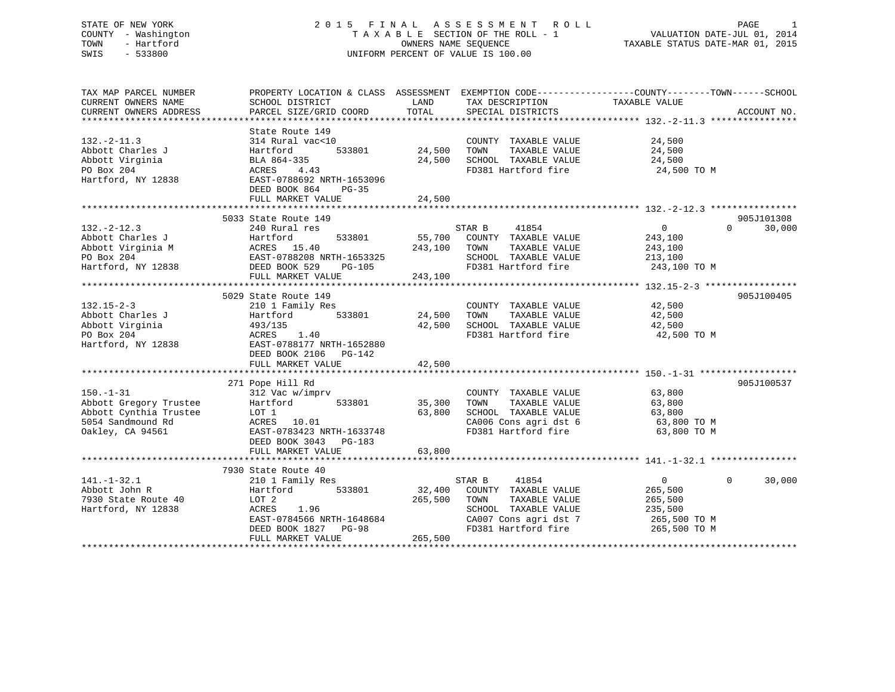# STATE OF NEW YORK 2 0 1 5 F I N A L A S S E S S M E N T R O L L PAGE 1 COUNTY - Washington T A X A B L E SECTION OF THE ROLL - 1 VALUATION DATE-JUL 01, 2014 TOWN - Hartford **TAXABLE STATUS DATE-MAR 01, 2015** OWNERS NAME SEQUENCE TAXABLE STATUS DATE-MAR 01, 2015 SWIS - 533800 UNIFORM PERCENT OF VALUE IS 100.00

| TAX MAP PARCEL NUMBER                                      |                                                                                                                                                                                                                                                                                                                                                                                                                     |         | PROPERTY LOCATION & CLASS ASSESSMENT EXEMPTION CODE----------------COUNTY-------TOWN------SCHOOL |                |                        |
|------------------------------------------------------------|---------------------------------------------------------------------------------------------------------------------------------------------------------------------------------------------------------------------------------------------------------------------------------------------------------------------------------------------------------------------------------------------------------------------|---------|--------------------------------------------------------------------------------------------------|----------------|------------------------|
| CURRENT OWNERS NAME                                        | SCHOOL DISTRICT                                                                                                                                                                                                                                                                                                                                                                                                     | LAND    | TAX DESCRIPTION                                                                                  | TAXABLE VALUE  |                        |
|                                                            |                                                                                                                                                                                                                                                                                                                                                                                                                     |         |                                                                                                  |                |                        |
|                                                            |                                                                                                                                                                                                                                                                                                                                                                                                                     |         |                                                                                                  |                |                        |
|                                                            | State Route 149                                                                                                                                                                                                                                                                                                                                                                                                     |         |                                                                                                  |                |                        |
| $132 - 2 - 11.3$                                           | 314 Rural vac<10                                                                                                                                                                                                                                                                                                                                                                                                    |         | COUNTY TAXABLE VALUE                                                                             | 24,500         |                        |
| Abbott Charles J                                           | 533801<br>Hartford                                                                                                                                                                                                                                                                                                                                                                                                  | 24,500  | TOWN<br>TAXABLE VALUE                                                                            | 24,500         |                        |
| Abbott Virginia                                            | BLA 864-335                                                                                                                                                                                                                                                                                                                                                                                                         | 24,500  | SCHOOL TAXABLE VALUE                                                                             | 24,500         |                        |
| PO Box 204                                                 | ACRES<br>4.43                                                                                                                                                                                                                                                                                                                                                                                                       |         | FD381 Hartford fire                                                                              | 24,500 TO M    |                        |
| Hartford, NY 12838                                         | EAST-0788692 NRTH-1653096                                                                                                                                                                                                                                                                                                                                                                                           |         |                                                                                                  |                |                        |
|                                                            | DEED BOOK 864<br>$PG-35$                                                                                                                                                                                                                                                                                                                                                                                            |         |                                                                                                  |                |                        |
|                                                            |                                                                                                                                                                                                                                                                                                                                                                                                                     |         |                                                                                                  |                |                        |
|                                                            | FULL MARKET VALUE                                                                                                                                                                                                                                                                                                                                                                                                   | 24,500  |                                                                                                  |                |                        |
|                                                            |                                                                                                                                                                                                                                                                                                                                                                                                                     |         |                                                                                                  |                |                        |
|                                                            | 5033 State Route 149                                                                                                                                                                                                                                                                                                                                                                                                |         |                                                                                                  |                | 905J101308             |
| $132 - 2 - 12.3$                                           | 240 Rural res                                                                                                                                                                                                                                                                                                                                                                                                       |         | STAR B<br>41854                                                                                  | $\overline{0}$ | $\Omega$<br>30,000     |
| Abbott Charles J<br>Abbott Virginia M<br>Abbott Virginia M | 533801<br>Hartford                                                                                                                                                                                                                                                                                                                                                                                                  |         | 55,700 COUNTY TAXABLE VALUE                                                                      | 243,100        |                        |
|                                                            | ACRES 15.40                                                                                                                                                                                                                                                                                                                                                                                                         | 243,100 | TAXABLE VALUE<br>TOWN                                                                            | 243,100        |                        |
|                                                            | PO Box 204<br>EAST-0788208 NRTH-1653325<br>Hartford, NY 12838<br>DEED BOOK 529 PG-105                                                                                                                                                                                                                                                                                                                               |         | SCHOOL TAXABLE VALUE                                                                             | 213,100        |                        |
|                                                            |                                                                                                                                                                                                                                                                                                                                                                                                                     |         | FD381 Hartford fire 243,100 TO M                                                                 |                |                        |
|                                                            | FULL MARKET VALUE                                                                                                                                                                                                                                                                                                                                                                                                   | 243,100 |                                                                                                  |                |                        |
|                                                            |                                                                                                                                                                                                                                                                                                                                                                                                                     |         |                                                                                                  |                |                        |
|                                                            | 5029 State Route 149                                                                                                                                                                                                                                                                                                                                                                                                |         |                                                                                                  |                | 905J100405             |
| $132.15 - 2 - 3$                                           | 210 1 Family Res                                                                                                                                                                                                                                                                                                                                                                                                    |         | COUNTY TAXABLE VALUE                                                                             | 42,500         |                        |
| Abbott Charles J                                           | Hartford<br>533801                                                                                                                                                                                                                                                                                                                                                                                                  | 24,500  | TAXABLE VALUE<br>TOWN                                                                            | 42,500         |                        |
| Abbott Virginia                                            | 493/135                                                                                                                                                                                                                                                                                                                                                                                                             | 42,500  | SCHOOL TAXABLE VALUE                                                                             | 42,500         |                        |
| PO Box 204                                                 | ACRES<br>1.40                                                                                                                                                                                                                                                                                                                                                                                                       |         | FD381 Hartford fire                                                                              | 42,500 TO M    |                        |
| Hartford, NY 12838                                         | EAST-0788177 NRTH-1652880                                                                                                                                                                                                                                                                                                                                                                                           |         |                                                                                                  |                |                        |
|                                                            | DEED BOOK 2106 PG-142                                                                                                                                                                                                                                                                                                                                                                                               |         |                                                                                                  |                |                        |
|                                                            |                                                                                                                                                                                                                                                                                                                                                                                                                     |         |                                                                                                  |                |                        |
|                                                            | $\begin{tabular}{ll} \bf .4RKEY \bf .*********** \bf .\\ \bf .+********** \bf .\\ \bf .-1 Pope Hill Rd \\ \bf .312 Vec w/imprv \\ \bf .6312 Vec w/imprv \\ \bf .6312 Vec w/imprv \\ \bf .6312 mc w/imprv \\ \bf .6312 mc w/imprv \\ \bf .6312 mc w/imprv \\ \bf .6312 mc w/imprv \\ \bf .6312 mc w/imprv \\ \bf .6312 mc w/imprv \\ \bf .6312 mc w/imprv \\ \bf .6312 mc w/imprv \\ \bf .6312 mc w/imprv \\ \bf .6$ |         |                                                                                                  |                |                        |
|                                                            |                                                                                                                                                                                                                                                                                                                                                                                                                     |         |                                                                                                  |                | 905J100537             |
| $150. - 1 - 31$                                            |                                                                                                                                                                                                                                                                                                                                                                                                                     |         | COUNTY TAXABLE VALUE                                                                             | 63,800         |                        |
| Abbott Gregory Trustee                                     | 533801                                                                                                                                                                                                                                                                                                                                                                                                              | 35,300  | TAXABLE VALUE<br>TOWN                                                                            | 63,800         |                        |
| Abbott Cynthia Trustee                                     |                                                                                                                                                                                                                                                                                                                                                                                                                     | 63,800  | SCHOOL TAXABLE VALUE                                                                             | 63,800         |                        |
| 5054 Sandmound Rd                                          |                                                                                                                                                                                                                                                                                                                                                                                                                     |         | CA006 Cons agri dst 6                                                                            | 63,800 TO M    |                        |
|                                                            |                                                                                                                                                                                                                                                                                                                                                                                                                     |         | FD381 Hartford fire                                                                              |                |                        |
| Oakley, CA 94561                                           | EAST-0783423 NRTH-1633748                                                                                                                                                                                                                                                                                                                                                                                           |         |                                                                                                  | 63,800 TO M    |                        |
|                                                            | DEED BOOK 3043 PG-183                                                                                                                                                                                                                                                                                                                                                                                               |         |                                                                                                  |                |                        |
|                                                            | FULL MARKET VALUE                                                                                                                                                                                                                                                                                                                                                                                                   | 63,800  |                                                                                                  |                |                        |
|                                                            |                                                                                                                                                                                                                                                                                                                                                                                                                     |         |                                                                                                  |                |                        |
|                                                            | 7930 State Route 40                                                                                                                                                                                                                                                                                                                                                                                                 |         |                                                                                                  |                |                        |
| $141. - 1 - 32.1$                                          | 210 1 Family Res                                                                                                                                                                                                                                                                                                                                                                                                    |         | STAR B<br>41854                                                                                  | $\overline{0}$ | $\mathbf{0}$<br>30,000 |
| Abbott John R                                              | 533801<br>Hartford                                                                                                                                                                                                                                                                                                                                                                                                  | 32,400  | COUNTY TAXABLE VALUE                                                                             | 265,500        |                        |
| 7930 State Route 40                                        | LOT 2                                                                                                                                                                                                                                                                                                                                                                                                               | 265,500 | TAXABLE VALUE<br>TOWN                                                                            | 265,500        |                        |
| Hartford, NY 12838                                         | ACRES<br>1.96                                                                                                                                                                                                                                                                                                                                                                                                       |         | SCHOOL TAXABLE VALUE                                                                             | 235,500        |                        |
|                                                            | EAST-0784566 NRTH-1648684                                                                                                                                                                                                                                                                                                                                                                                           |         | CA007 Cons agri dst 7                                                                            | 265,500 TO M   |                        |
|                                                            | DEED BOOK 1827 PG-98                                                                                                                                                                                                                                                                                                                                                                                                |         | FD381 Hartford fire                                                                              | 265,500 TO M   |                        |
|                                                            | FULL MARKET VALUE                                                                                                                                                                                                                                                                                                                                                                                                   | 265,500 |                                                                                                  |                |                        |
|                                                            |                                                                                                                                                                                                                                                                                                                                                                                                                     |         |                                                                                                  |                |                        |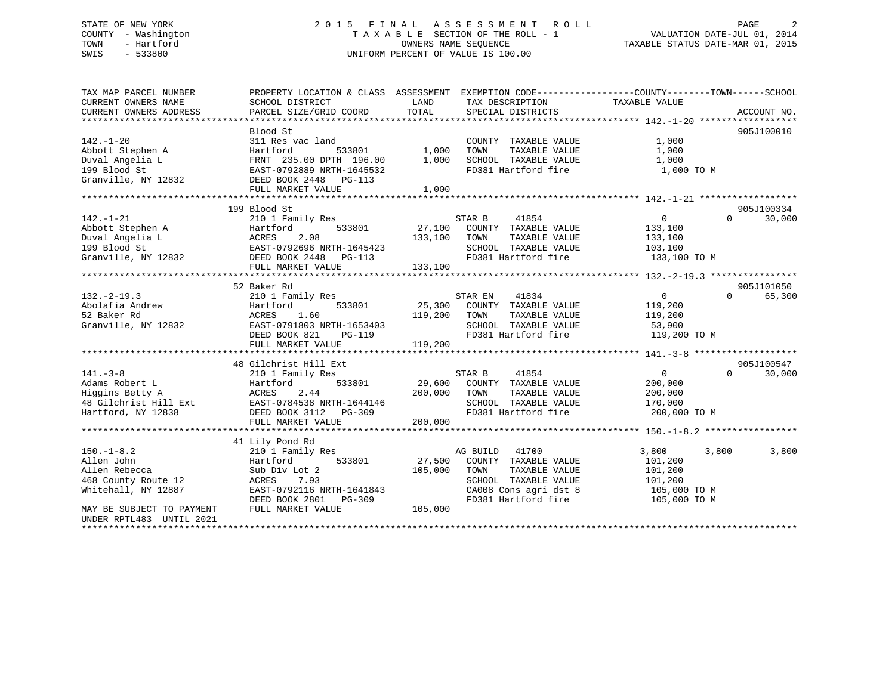# STATE OF NEW YORK 2 0 1 5 F I N A L A S S E S S M E N T R O L L PAGE 2 COUNTY - Washington T A X A B L E SECTION OF THE ROLL - 1 VALUATION DATE-JUL 01, 2014 TOWN - Hartford OWNERS NAME SEQUENCE TAXABLE STATUS DATE-MAR 01, 2015 SWIS - 533800 UNIFORM PERCENT OF VALUE IS 100.00

| TAX MAP PARCEL NUMBER     |                                                                                                               |                                                                                                                                                                                                                                        | PROPERTY LOCATION & CLASS ASSESSMENT EXEMPTION CODE---------------COUNTY-------TOWN------SCHOOL |
|---------------------------|---------------------------------------------------------------------------------------------------------------|----------------------------------------------------------------------------------------------------------------------------------------------------------------------------------------------------------------------------------------|-------------------------------------------------------------------------------------------------|
| CURRENT OWNERS NAME       | SCHOOL DISTRICT                                                                                               | LAND<br>TAX DESCRIPTION                                                                                                                                                                                                                | TAXABLE VALUE                                                                                   |
| CURRENT OWNERS ADDRESS    |                                                                                                               | TOTAL                                                                                                                                                                                                                                  |                                                                                                 |
|                           |                                                                                                               |                                                                                                                                                                                                                                        |                                                                                                 |
|                           | Blood St                                                                                                      |                                                                                                                                                                                                                                        | 905J100010                                                                                      |
| $142. - 1 - 20$           | 311 Res vac land                                                                                              | COUNTY TAXABLE VALUE                                                                                                                                                                                                                   | 1,000                                                                                           |
| Abbott Stephen A          | Hartford                                                                                                      | TAXABLE VALUE                                                                                                                                                                                                                          | 1,000                                                                                           |
|                           |                                                                                                               | 1,000<br>SCHOOL TAXABLE VALUE                                                                                                                                                                                                          | 1,000                                                                                           |
|                           |                                                                                                               | FD381 Hartford fire                                                                                                                                                                                                                    | 1,000 TO M                                                                                      |
|                           | Duval Angelia L<br>199 Blood St<br>199 Blood St<br>199 Blood St<br>199 Blood St<br>2832 DEED BOOK 2448 PG-113 |                                                                                                                                                                                                                                        |                                                                                                 |
|                           | FULL MARKET VALUE                                                                                             | 1,000                                                                                                                                                                                                                                  |                                                                                                 |
|                           |                                                                                                               |                                                                                                                                                                                                                                        |                                                                                                 |
|                           | 199 Blood St                                                                                                  |                                                                                                                                                                                                                                        | 905J100334                                                                                      |
| $142. - 1 - 21$           | 210 1 Family Res                                                                                              | STAR B 41854<br>27,100 COUNTY TAXABLE VALUE                                                                                                                                                                                            | $\overline{0}$<br>$\Omega$<br>30,000                                                            |
|                           |                                                                                                               |                                                                                                                                                                                                                                        |                                                                                                 |
|                           |                                                                                                               |                                                                                                                                                                                                                                        |                                                                                                 |
|                           |                                                                                                               |                                                                                                                                                                                                                                        |                                                                                                 |
|                           |                                                                                                               | 142.-1-21 210 1 Family Res<br>Abbott Stephen A Hartford 533801 27,100 COUNTY TAXABLE VALUE<br>Duval Angelia L ACRES 2.08 133,100 TOWN TAXABLE VALUE 133,100<br>199 Blood St EAST-0792696 NRTH-1645423 SCHOOL TAXABLE VALUE 103,100<br> | 133,100 TO M                                                                                    |
|                           | FULL MARKET VALUE                                                                                             | 133,100                                                                                                                                                                                                                                |                                                                                                 |
|                           |                                                                                                               |                                                                                                                                                                                                                                        |                                                                                                 |
|                           | 52 Baker Rd                                                                                                   |                                                                                                                                                                                                                                        | 905J101050                                                                                      |
| $132. - 2 - 19.3$         | 210 1 Family Res                                                                                              | STAR EN<br>41834                                                                                                                                                                                                                       | $\Omega$<br>65,300<br>$0 \qquad \qquad$                                                         |
| 132.-2<br>Abolafia Andrew | Hartfo<br>ACRES<br>533801<br>Hartford                                                                         | 25,300 COUNTY TAXABLE VALUE                                                                                                                                                                                                            | 119,200                                                                                         |
|                           | 1.60                                                                                                          | 119,200<br>TAXABLE VALUE<br>TOWN                                                                                                                                                                                                       | 119,200                                                                                         |
| Granville, NY 12832       | EAST-0791803 NRTH-1653403                                                                                     | SCHOOL TAXABLE VALUE 53,900                                                                                                                                                                                                            |                                                                                                 |
|                           | DEED BOOK 821<br>PG-119                                                                                       | FD381 Hartford fire                                                                                                                                                                                                                    | 119,200 TO M                                                                                    |
|                           | FULL MARKET VALUE                                                                                             | 119,200                                                                                                                                                                                                                                |                                                                                                 |
|                           |                                                                                                               |                                                                                                                                                                                                                                        |                                                                                                 |
|                           | 48 Gilchrist Hill Ext                                                                                         |                                                                                                                                                                                                                                        | 905J100547                                                                                      |
| $141. - 3 - 8$            | 210 1 Family Res                                                                                              | STAR B<br>41854                                                                                                                                                                                                                        | $\Omega$<br>$\overline{0}$<br>30,000                                                            |
|                           |                                                                                                               | 29,600 COUNTY TAXABLE VALUE                                                                                                                                                                                                            | 200,000                                                                                         |
|                           |                                                                                                               | TAXABLE VALUE                                                                                                                                                                                                                          | 200,000                                                                                         |
|                           | Adams Robert L<br>Higgins Betty A (ACRES 2.44<br>48 Gilchrist Hill Ext EAST-0784538 NRTH-1644146              | $200,000$ TOWN<br>46 SCHOOI<br>FD381<br>SCHOOL TAXABLE VALUE 170,000                                                                                                                                                                   |                                                                                                 |
| Hartford, NY 12838        | DEED BOOK 3112 PG-309                                                                                         | FD381 Hartford fire                                                                                                                                                                                                                    | 200,000 TO M                                                                                    |
|                           | FULL MARKET VALUE                                                                                             | 200,000                                                                                                                                                                                                                                |                                                                                                 |
|                           |                                                                                                               |                                                                                                                                                                                                                                        |                                                                                                 |
|                           | 41 Lily Pond Rd                                                                                               |                                                                                                                                                                                                                                        |                                                                                                 |
| $150. -1 - 8.2$           | 210 1 Family Res                                                                                              | AG BUILD 41700                                                                                                                                                                                                                         | 3,800<br>3,800<br>3,800                                                                         |
| Allen John                | 533801<br>Hartford                                                                                            | 27,500 COUNTY TAXABLE VALUE                                                                                                                                                                                                            | 101,200                                                                                         |
| Allen Rebecca             | Sub Div Lot 2                                                                                                 | TAXABLE VALUE<br>105,000<br>TOWN                                                                                                                                                                                                       | 101,200                                                                                         |
| 468 County Route 12       | 7.93<br>ACRES                                                                                                 | SCHOOL TAXABLE VALUE                                                                                                                                                                                                                   | 101,200                                                                                         |
| Whitehall, NY 12887       |                                                                                                               | CA008 Cons agri dst 8                                                                                                                                                                                                                  | 105,000 TO M                                                                                    |
|                           | DEED BOOK 2801 PG-309<br>FIJLT. MADVET ***---                                                                 | FD381 Hartford fire                                                                                                                                                                                                                    | 105,000 TO M                                                                                    |
| MAY BE SUBJECT TO PAYMENT | FULL MARKET VALUE                                                                                             | 105,000                                                                                                                                                                                                                                |                                                                                                 |
| UNDER RPTL483 UNTIL 2021  |                                                                                                               |                                                                                                                                                                                                                                        |                                                                                                 |
|                           |                                                                                                               |                                                                                                                                                                                                                                        |                                                                                                 |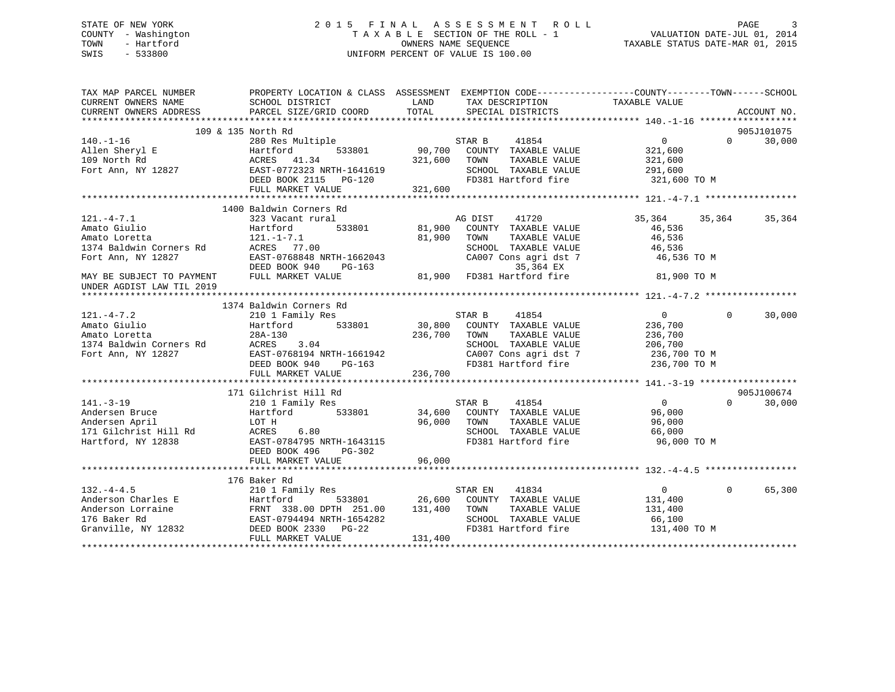# STATE OF NEW YORK 2 0 1 5 F I N A L A S S E S S M E N T R O L L PAGE 3 COUNTY - Washington T A X A B L E SECTION OF THE ROLL - 1 VALUATION DATE-JUL 01, 2014 TOWN - Hartford **TAXABLE STATUS DATE-MAR 01, 2015** OWNERS NAME SEQUENCE TAXABLE STATUS DATE-MAR 01, 2015 SWIS - 533800 UNIFORM PERCENT OF VALUE IS 100.00

| TAX MAP PARCEL NUMBER<br>CURRENT OWNERS NAME           | SCHOOL DISTRICT                                                                                                                                                                                                                                           | PROPERTY LOCATION & CLASS ASSESSMENT EXEMPTION CODE-----------------COUNTY-------TOWN------SCHOOL<br>LAND TAX DESCRIPTION                                                                                                                                                                                                                                                                | TAXABLE VALUE                                                                                                                                                                                                                                                                                                       |
|--------------------------------------------------------|-----------------------------------------------------------------------------------------------------------------------------------------------------------------------------------------------------------------------------------------------------------|------------------------------------------------------------------------------------------------------------------------------------------------------------------------------------------------------------------------------------------------------------------------------------------------------------------------------------------------------------------------------------------|---------------------------------------------------------------------------------------------------------------------------------------------------------------------------------------------------------------------------------------------------------------------------------------------------------------------|
| CURRENT OWNERS ADDRESS                                 | PARCEL SIZE/GRID COORD                                                                                                                                                                                                                                    | TOTAL SPECIAL DISTRICTS                                                                                                                                                                                                                                                                                                                                                                  | ACCOUNT NO.                                                                                                                                                                                                                                                                                                         |
|                                                        | 109 & 135 North Rd                                                                                                                                                                                                                                        |                                                                                                                                                                                                                                                                                                                                                                                          | 905J101075                                                                                                                                                                                                                                                                                                          |
|                                                        |                                                                                                                                                                                                                                                           |                                                                                                                                                                                                                                                                                                                                                                                          | $\overline{0}$<br>30,000                                                                                                                                                                                                                                                                                            |
|                                                        |                                                                                                                                                                                                                                                           | 280 Res Multiple 533801 STAR B 41854<br>Hartford 533801 90,700 COUNTY TAXABLE VALUE                                                                                                                                                                                                                                                                                                      |                                                                                                                                                                                                                                                                                                                     |
|                                                        |                                                                                                                                                                                                                                                           |                                                                                                                                                                                                                                                                                                                                                                                          |                                                                                                                                                                                                                                                                                                                     |
|                                                        |                                                                                                                                                                                                                                                           |                                                                                                                                                                                                                                                                                                                                                                                          |                                                                                                                                                                                                                                                                                                                     |
|                                                        |                                                                                                                                                                                                                                                           |                                                                                                                                                                                                                                                                                                                                                                                          |                                                                                                                                                                                                                                                                                                                     |
|                                                        |                                                                                                                                                                                                                                                           |                                                                                                                                                                                                                                                                                                                                                                                          |                                                                                                                                                                                                                                                                                                                     |
|                                                        |                                                                                                                                                                                                                                                           | $\begin{array}{cccccccc} 140.-1-16 & 280\,\, {\rm Res\,\, {\rm Multiple}} & 533801 & 90,700 & {\rm COUNTY\,\,} & {\rm TAXABLE\,\, VALUE} & 0 & 0 & 30,000 \\ \text{Allen Sheryl\,\, E} & 141.34 & 533801 & 90,700 & {\rm COUNTY\,\,} & {\rm TAXABLE\,\, VALUE} & 321,600 \\ 109\,\, {\tt North\,\, R}\\ \text{Fort\,\, Anr\,\, } & NY\,\, 12827 & EAST-0772323\,\, {\tt NRTH-164$        |                                                                                                                                                                                                                                                                                                                     |
|                                                        | 1400 Baldwin Corners Rd                                                                                                                                                                                                                                   |                                                                                                                                                                                                                                                                                                                                                                                          |                                                                                                                                                                                                                                                                                                                     |
| $121. -4 - 7.1$                                        | 323 Vacant rural                                                                                                                                                                                                                                          | AG DIST<br>41720                                                                                                                                                                                                                                                                                                                                                                         | 35,364<br>35,364<br>35,364                                                                                                                                                                                                                                                                                          |
|                                                        | 121.-4-7.1<br>Amato Giulio Hartford 533801 81,900<br>Amato Loretta 121.-1-7.1 81,900<br>1374 Baldwin Corners Rd ACRES 77.00<br>Fort Ann, NY 12827 EAST-0768848 NRTH-1662043                                                                               | 533801 81,900 COUNTY TAXABLE VALUE                                                                                                                                                                                                                                                                                                                                                       | 46,536                                                                                                                                                                                                                                                                                                              |
|                                                        |                                                                                                                                                                                                                                                           | 81,900<br>TOWN<br>TAXABLE VALUE                                                                                                                                                                                                                                                                                                                                                          | 46,536                                                                                                                                                                                                                                                                                                              |
|                                                        |                                                                                                                                                                                                                                                           |                                                                                                                                                                                                                                                                                                                                                                                          |                                                                                                                                                                                                                                                                                                                     |
|                                                        |                                                                                                                                                                                                                                                           | SCHOOL TAXABLE VALUE 46,536<br>CA007 Cons agri dst 7 46,536                                                                                                                                                                                                                                                                                                                              | 46,536 TO M                                                                                                                                                                                                                                                                                                         |
|                                                        |                                                                                                                                                                                                                                                           |                                                                                                                                                                                                                                                                                                                                                                                          |                                                                                                                                                                                                                                                                                                                     |
| MAY BE SUBJECT TO PAYMENT<br>UNDER AGDIST LAW TIL 2019 |                                                                                                                                                                                                                                                           | DEED BOOK 940 PG-163<br>FULL MARKET VALUE 81,900 FD381 Hartford fire                                                                                                                                                                                                                                                                                                                     | 81,900 TO M                                                                                                                                                                                                                                                                                                         |
|                                                        |                                                                                                                                                                                                                                                           |                                                                                                                                                                                                                                                                                                                                                                                          |                                                                                                                                                                                                                                                                                                                     |
|                                                        |                                                                                                                                                                                                                                                           |                                                                                                                                                                                                                                                                                                                                                                                          |                                                                                                                                                                                                                                                                                                                     |
|                                                        |                                                                                                                                                                                                                                                           |                                                                                                                                                                                                                                                                                                                                                                                          | $\Omega$<br>30,000<br>$\sim$ 0 $\sim$ 0 $\sim$ 0 $\sim$ 0 $\sim$ 0 $\sim$ 0 $\sim$ 0 $\sim$ 0 $\sim$ 0 $\sim$ 0 $\sim$ 0 $\sim$ 0 $\sim$ 0 $\sim$ 0 $\sim$ 0 $\sim$ 0 $\sim$ 0 $\sim$ 0 $\sim$ 0 $\sim$ 0 $\sim$ 0 $\sim$ 0 $\sim$ 0 $\sim$ 0 $\sim$ 0 $\sim$ 0 $\sim$ 0 $\sim$ 0 $\sim$ 0 $\sim$ 0 $\sim$ 0 $\sim$ |
|                                                        |                                                                                                                                                                                                                                                           |                                                                                                                                                                                                                                                                                                                                                                                          | 236,700                                                                                                                                                                                                                                                                                                             |
|                                                        |                                                                                                                                                                                                                                                           |                                                                                                                                                                                                                                                                                                                                                                                          | 236,700                                                                                                                                                                                                                                                                                                             |
|                                                        |                                                                                                                                                                                                                                                           |                                                                                                                                                                                                                                                                                                                                                                                          | 206,700                                                                                                                                                                                                                                                                                                             |
|                                                        |                                                                                                                                                                                                                                                           | CA007 Cons agri dst 7 236,700 TO M                                                                                                                                                                                                                                                                                                                                                       |                                                                                                                                                                                                                                                                                                                     |
|                                                        |                                                                                                                                                                                                                                                           | FD381 Hartford fire 236,700 TO M                                                                                                                                                                                                                                                                                                                                                         |                                                                                                                                                                                                                                                                                                                     |
|                                                        |                                                                                                                                                                                                                                                           | $\begin{tabular}{lcccc} \bf 121.-4-7.2 & 1374 BA1QW1R columns in a 533801 & STAR B & 41854Amato Giulio & Hartford & 533801 & 30,800 COUNT TAXABLE VALUEAmato Loretta & 28A-130 & 236,700 TOWN & TAXABLE VALUE1374 Balwin corners RdFort Ann, NY 12827 & EAST-0768194 NRTH-1661942 & CAO07 Cons agri dist 7DEED BOOK 940 PG-163 & P381 Hartford firemit number of a 236,700 & TONN236,70$ |                                                                                                                                                                                                                                                                                                                     |
|                                                        |                                                                                                                                                                                                                                                           |                                                                                                                                                                                                                                                                                                                                                                                          |                                                                                                                                                                                                                                                                                                                     |
|                                                        | 171 Gilchrist Hill Rd                                                                                                                                                                                                                                     |                                                                                                                                                                                                                                                                                                                                                                                          | 905J100674                                                                                                                                                                                                                                                                                                          |
|                                                        |                                                                                                                                                                                                                                                           |                                                                                                                                                                                                                                                                                                                                                                                          | $\overline{0}$<br>$\Omega$<br>30,000                                                                                                                                                                                                                                                                                |
|                                                        |                                                                                                                                                                                                                                                           |                                                                                                                                                                                                                                                                                                                                                                                          | 96,000                                                                                                                                                                                                                                                                                                              |
|                                                        |                                                                                                                                                                                                                                                           |                                                                                                                                                                                                                                                                                                                                                                                          | 96,000                                                                                                                                                                                                                                                                                                              |
|                                                        |                                                                                                                                                                                                                                                           |                                                                                                                                                                                                                                                                                                                                                                                          | 66,000                                                                                                                                                                                                                                                                                                              |
|                                                        |                                                                                                                                                                                                                                                           | 11 GIOI Family Res<br>210 I Family Res<br>210 I Family Res<br>210 I Family Res<br>33801<br>210 I Family Res<br>533801<br>34,600 COUNTY TAXABLE VALUE<br>210 I Family Res<br>34,600 COUNTY TAXABLE VALUE<br>26,000 TOWN TAXABLE VALUE<br>26,000 TOWN<br>SCHOOL TAXABLE VALUE<br>FD381 Hartford fire                                                                                       | 96,000 TO M                                                                                                                                                                                                                                                                                                         |
|                                                        | DEED BOOK 496<br>PG-302                                                                                                                                                                                                                                   |                                                                                                                                                                                                                                                                                                                                                                                          |                                                                                                                                                                                                                                                                                                                     |
|                                                        |                                                                                                                                                                                                                                                           |                                                                                                                                                                                                                                                                                                                                                                                          |                                                                                                                                                                                                                                                                                                                     |
|                                                        |                                                                                                                                                                                                                                                           |                                                                                                                                                                                                                                                                                                                                                                                          |                                                                                                                                                                                                                                                                                                                     |
|                                                        | 176 Baker Rd                                                                                                                                                                                                                                              |                                                                                                                                                                                                                                                                                                                                                                                          |                                                                                                                                                                                                                                                                                                                     |
| $132. - 4 - 4.5$                                       | 210 1 Family Res                                                                                                                                                                                                                                          |                                                                                                                                                                                                                                                                                                                                                                                          | 65,300<br>$0 \qquad \qquad$<br>$\Omega$                                                                                                                                                                                                                                                                             |
|                                                        |                                                                                                                                                                                                                                                           |                                                                                                                                                                                                                                                                                                                                                                                          | 131,400                                                                                                                                                                                                                                                                                                             |
|                                                        |                                                                                                                                                                                                                                                           | TAXABLE VALUE                                                                                                                                                                                                                                                                                                                                                                            | 131,400                                                                                                                                                                                                                                                                                                             |
|                                                        |                                                                                                                                                                                                                                                           | SCHOOL TAXABLE VALUE<br>FD381 Hartford fire                                                                                                                                                                                                                                                                                                                                              | $66,100$<br>131 400                                                                                                                                                                                                                                                                                                 |
|                                                        | 132.-4-4.5<br>Anderson Charles E<br>Anderson Lorraine<br>176 Baker Rd<br>Granville, NY 12832<br>283801<br>26,600 COUNTY<br>26,600 COUNTY<br>26,600 COUNTY<br>26,600 COUNTY<br>26,7600 COUNTY<br>26,800 COUNTY<br>26,800 COUNTY<br>26,800 COUNTY<br>26,800 |                                                                                                                                                                                                                                                                                                                                                                                          | 131,400 TO M                                                                                                                                                                                                                                                                                                        |
|                                                        | FULL MARKET VALUE                                                                                                                                                                                                                                         | 131,400                                                                                                                                                                                                                                                                                                                                                                                  |                                                                                                                                                                                                                                                                                                                     |
|                                                        |                                                                                                                                                                                                                                                           |                                                                                                                                                                                                                                                                                                                                                                                          |                                                                                                                                                                                                                                                                                                                     |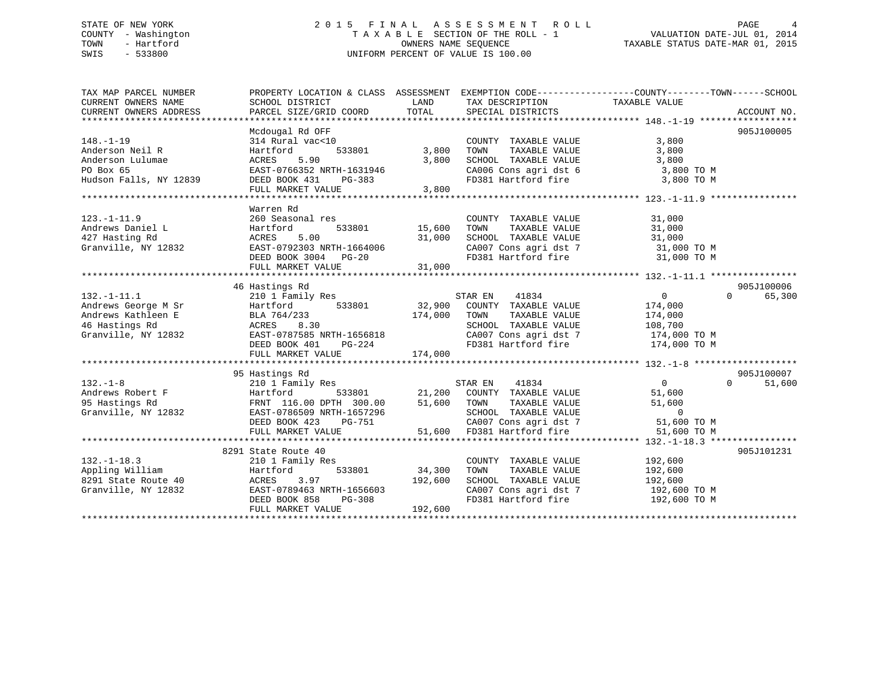# STATE OF NEW YORK 2 0 1 5 F I N A L A S S E S S M E N T R O L L PAGE 4 COUNTY - Washington T A X A B L E SECTION OF THE ROLL - 1 VALUATION DATE-JUL 01, 2014 TOWN - Hartford **TAXABLE STATUS DATE-MAR 01, 2015** OWNERS NAME SEQUENCE TAXABLE STATUS DATE-MAR 01, 2015 SWIS - 533800 UNIFORM PERCENT OF VALUE IS 100.00

| TAX MAP PARCEL NUMBER  | PROPERTY LOCATION & CLASS ASSESSMENT EXEMPTION CODE---------------COUNTY-------TOWN-----SCHOOL |             |                                                                  |                |                    |
|------------------------|------------------------------------------------------------------------------------------------|-------------|------------------------------------------------------------------|----------------|--------------------|
| CURRENT OWNERS NAME    | SCHOOL DISTRICT                                                                                | LAND        | TAX DESCRIPTION                                                  | TAXABLE VALUE  |                    |
| CURRENT OWNERS ADDRESS | PARCEL SIZE/GRID COORD                                                                         | TOTAL       | SPECIAL DISTRICTS                                                |                | ACCOUNT NO.        |
|                        |                                                                                                |             |                                                                  |                |                    |
|                        | Mcdougal Rd OFF                                                                                |             |                                                                  |                | 905J100005         |
| $148. - 1 - 19$        | 314 Rural vac<10                                                                               |             | COUNTY TAXABLE VALUE                                             | 3,800          |                    |
| Anderson Neil R        | 533801<br>Hartford                                                                             | 3,800       | TAXABLE VALUE<br>TOWN                                            | 3,800          |                    |
| Anderson Lulumae       | 5.90<br>ACRES                                                                                  | 3,800       | SCHOOL TAXABLE VALUE                                             | 3,800          |                    |
| PO Box 65              | EAST-0766352 NRTH-1631946                                                                      |             | CA006 Cons agri dst 6                                            | 3,800 TO M     |                    |
| Hudson Falls, NY 12839 | DEED BOOK 431<br>PG-383                                                                        |             | FD381 Hartford fire                                              | 3,800 TO M     |                    |
|                        | FULL MARKET VALUE                                                                              | 3,800       |                                                                  |                |                    |
|                        |                                                                                                |             |                                                                  |                |                    |
|                        | Warren Rd                                                                                      |             |                                                                  |                |                    |
| $123. - 1 - 11.9$      | 260 Seasonal res                                                                               |             | COUNTY TAXABLE VALUE                                             | 31,000         |                    |
| Andrews Daniel L       | 533801<br>Hartford                                                                             | 15,600      | TOWN<br>TAXABLE VALUE                                            | 31,000         |                    |
| 427 Hasting Rd         | 5.00<br>ACRES                                                                                  | 31,000      | SCHOOL TAXABLE VALUE 31,000<br>CA007 Cons agri dst 7 31,000 TO M |                |                    |
| Granville, NY 12832    | EAST-0792303 NRTH-1664006                                                                      |             |                                                                  |                |                    |
|                        | DEED BOOK 3004 PG-20                                                                           |             | FD381 Hartford fire 31,000 TO M                                  |                |                    |
|                        | FULL MARKET VALUE                                                                              | 31,000      |                                                                  |                |                    |
|                        | 46 Hastings Rd                                                                                 |             |                                                                  |                | 905J100006         |
| $132.-1-11.1$          | 210 1 Family Res                                                                               |             | STAR EN<br>41834                                                 | $\overline{0}$ | $\Omega$<br>65,300 |
| Andrews George M Sr    | Hartford 533801                                                                                |             | 32,900 COUNTY TAXABLE VALUE                                      | 174,000        |                    |
| Andrews Kathleen E     | BLA 764/233                                                                                    | 174,000     | TOWN<br>TAXABLE VALUE                                            | 174,000        |                    |
| 46 Hastings Rd         | ACRES<br>8.30                                                                                  |             | SCHOOL TAXABLE VALUE                                             | 108,700        |                    |
| Granville, NY 12832    | EAST-0787585 NRTH-1656818                                                                      |             | CA007 Cons agri dst 7 174,000 TO M                               |                |                    |
|                        | DEED BOOK 401<br>PG-224                                                                        |             | FD381 Hartford fire 174,000 TO M                                 |                |                    |
|                        | FULL MARKET VALUE                                                                              | 174,000     |                                                                  |                |                    |
|                        |                                                                                                |             |                                                                  |                |                    |
|                        | 95 Hastings Rd                                                                                 |             |                                                                  |                | 905J100007         |
| $132. - 1 - 8$         | 210 1 Family Res                                                                               |             | STAR EN<br>41834                                                 | $\overline{0}$ | $\Omega$<br>51,600 |
| Andrews Robert F       | 533801<br>Hartford                                                                             |             | 21,200 COUNTY TAXABLE VALUE                                      | 51,600         |                    |
| 95 Hastings Rd         | FRNT 116.00 DPTH 300.00                                                                        | 51,600 TOWN | TAXABLE VALUE                                                    | 51,600         |                    |
| Granville, NY 12832    | EAST-0786509 NRTH-1657296                                                                      |             |                                                                  | $\overline{0}$ |                    |
|                        | DEED BOOK 423 PG-751                                                                           |             | SCHOOL TAXABLE VALUE<br>CA007 Cons agri dst 7                    | 51,600 TO M    |                    |
|                        | FULL MARKET VALUE                                                                              |             | 51,600 FD381 Hartford fire                                       | 51,600 TO M    |                    |
|                        |                                                                                                |             |                                                                  |                |                    |
|                        | 8291 State Route 40                                                                            |             |                                                                  |                | 905J101231         |
| $132. - 1 - 18.3$      | 210 1 Family Res                                                                               |             | COUNTY TAXABLE VALUE                                             | 192,600        |                    |
| Appling William        | 533801<br>Hartford                                                                             | 34,300      | TAXABLE VALUE<br>TOWN                                            | 192,600        |                    |
| 8291 State Route 40    | ACRES<br>3.97                                                                                  | 192,600     | SCHOOL TAXABLE VALUE                                             | 192,600        |                    |
| Granville, NY 12832    | EAST-0789463 NRTH-1656603                                                                      |             | CA007 Cons agri dst 7                                            | 192,600 TO M   |                    |
|                        | DEED BOOK 858<br>PG-308                                                                        |             | FD381 Hartford fire                                              | 192,600 TO M   |                    |
|                        | FULL MARKET VALUE                                                                              | 192,600     |                                                                  |                |                    |
|                        |                                                                                                |             |                                                                  |                |                    |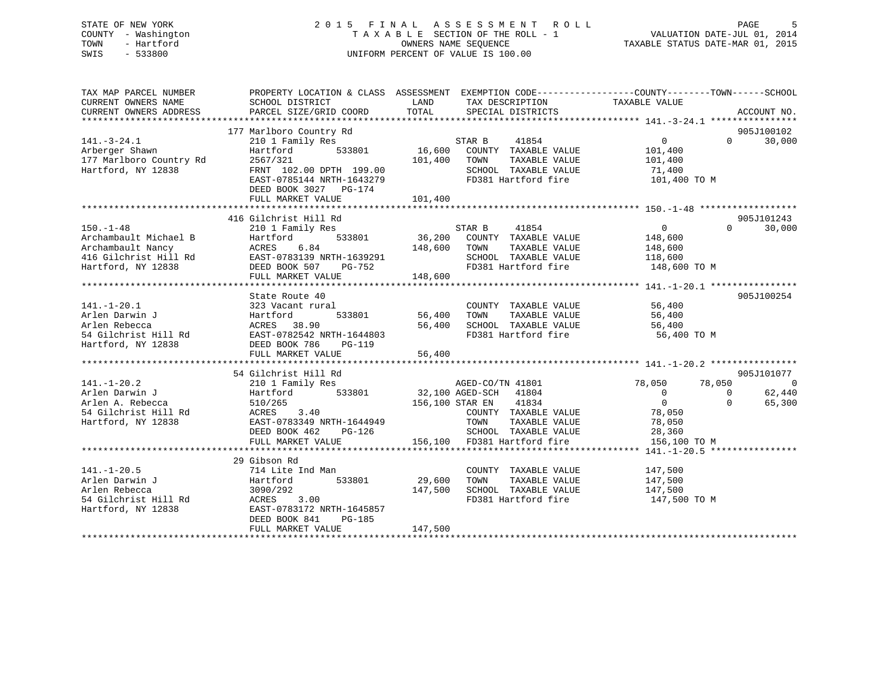# STATE OF NEW YORK 2 0 1 5 F I N A L A S S E S S M E N T R O L L PAGE 5 COUNTY - Washington T A X A B L E SECTION OF THE ROLL - 1 VALUATION DATE-JUL 01, 2014 TOWN - Hartford **TAXABLE STATUS DATE-MAR 01, 2015** OWNERS NAME SEQUENCE TAXABLE STATUS DATE-MAR 01, 2015 SWIS - 533800 UNIFORM PERCENT OF VALUE IS 100.00

| TAX MAP PARCEL NUMBER<br>CURRENT OWNERS NAME<br>CURRENT OWNERS ADDRESS                                       | PROPERTY LOCATION & CLASS ASSESSMENT EXEMPTION CODE---------------COUNTY-------TOWN------SCHOOL<br>SCHOOL DISTRICT<br>PARCEL SIZE/GRID COORD                                        | LAND<br>TOTAL                                                                         | TAX DESCRIPTION TAXABLE VALUE SPECIAL DISTRICTS                                                                                                                                   |                                                                                                                               | ACCOUNT NO.                        |
|--------------------------------------------------------------------------------------------------------------|-------------------------------------------------------------------------------------------------------------------------------------------------------------------------------------|---------------------------------------------------------------------------------------|-----------------------------------------------------------------------------------------------------------------------------------------------------------------------------------|-------------------------------------------------------------------------------------------------------------------------------|------------------------------------|
| $141. - 3 - 24.1$<br>Arberger Shawn<br>177 Marlboro Country Rd<br>Hartford, NY 12838                         | 177 Marlboro Country Rd<br>210 1 Family Res<br>533801<br>Hartford<br>2567/321<br>FRNT 102.00 DPTH 199.00<br>EAST-0785144 NRTH-1643279<br>DEED BOOK 3027 PG-174<br>FULL MARKET VALUE | $\begin{array}{cc} & & \text{S1} \\ 801 & & 16,600 \end{array}$<br>101,400<br>101,400 | STAR B<br>41854<br>COUNTY TAXABLE VALUE<br>TOWN<br>TAXABLE VALUE<br>SCHOOL TAXABLE VALUE<br>FD381 Hartford fire                                                                   | $0 \qquad \qquad$<br>101,400<br>101,400<br>71,400<br>101,400 TO M                                                             | 905J100102<br>$\Omega$<br>30,000   |
|                                                                                                              |                                                                                                                                                                                     |                                                                                       |                                                                                                                                                                                   |                                                                                                                               |                                    |
| $150. - 1 - 48$<br>Archambault Michael B<br>Archambault Nancy<br>416 Gilchrist Hill Rd<br>Hartford, NY 12838 | 416 Gilchrist Hill Rd<br>210 1 Family Res<br>533801<br>Hartford<br>6.84<br>ACRES<br>EAST-0783139 NRTH-1639291<br>DEED BOOK 507<br>PG-752<br>FULL MARKET VALUE                       | 148,600<br>148,600                                                                    | STAR B<br>41854<br>36,200 COUNTY TAXABLE VALUE<br>TOWN<br>TAXABLE VALUE<br>SCHOOL TAXABLE VALUE 118,600<br>FD381 Hartford fire                                                    | $\overline{0}$<br>$148,600$<br>$149,600$<br>148,600<br>148,600 TO M                                                           | 905J101243<br>$\Omega$<br>30,000   |
|                                                                                                              |                                                                                                                                                                                     |                                                                                       |                                                                                                                                                                                   |                                                                                                                               |                                    |
| $141. - 1 - 20.1$<br>Arlen Darwin J<br>Arlen Rebecca<br>54 Gilchrist Hill Rd<br>Hartford, NY 12838           | ouate Route 40<br>323 Vacant rural<br>Hartford 53<br>ACRES 38.90<br>Rd EAST-0782542 NRTH-1<br>}<br>DEED P^^<br>EAST-0782542 NRTH-1644803<br>PG-119<br>FULL MARKET VALUE             | 56,400<br>56,400                                                                      | COUNTY TAXABLE VALUE 56,400<br>TOWN<br>TAXABLE VALUE<br>SCHOOL TAXABLE VALUE 56,400<br>FD381 Hartford fire                                                                        | 56,400<br>56,400 TO M                                                                                                         | 905J100254                         |
|                                                                                                              | 54 Gilchrist Hill Rd                                                                                                                                                                |                                                                                       |                                                                                                                                                                                   |                                                                                                                               | 905J101077                         |
| $141. - 1 - 20.2$<br>Arlen Darwin J<br>Arlen A. Rebecca<br>54 Gilchrist Hill Rd<br>Hartford, NY 12838        | 210 1 Family Res<br>Hartford<br>510/265<br>510/265<br>ACRES 3.40<br>EAST-0783349 NRTH-1644949<br>DEED BOOK 462<br>$PG-126$<br>FULL MARKET VALUE                                     |                                                                                       | AGED-CO/TN 41801<br>533801 32,100 AGED-SCH 41804<br>156,100 STAR EN 41834<br>COUNTY TAXABLE VALUE<br>TAXABLE VALUE<br>TOWN<br>SCHOOL TAXABLE VALUE<br>156,100 FD381 Hartford fire | 78,050<br>78,050 78<br>$\overline{0}$<br>$\Omega$<br>$\overline{0}$<br>$\Omega$<br>78,050<br>78,050<br>28,360<br>156,100 TO M | $\overline{0}$<br>62,440<br>65,300 |
|                                                                                                              |                                                                                                                                                                                     |                                                                                       |                                                                                                                                                                                   |                                                                                                                               |                                    |
| $141. - 1 - 20.5$<br>Arlen Darwin J<br>Hartford, NY 12838                                                    | 29 Gibson Rd<br>714 Lite Ind Man<br>533801<br>Hartford<br>ACRES 3.00<br>EAST-0783172 NRTH-1645857<br>DEED BOOK 841<br>PG-185<br>FULL MARKET VALUE                                   | 29,600<br>147,500<br>147,500                                                          | COUNTY TAXABLE VALUE<br>TAXABLE VALUE<br>TOWN<br>SCHOOL TAXABLE VALUE<br>FD381 Hartford fire                                                                                      | 147,500<br>147,500<br>147,500<br>147,500 TO M                                                                                 |                                    |
|                                                                                                              |                                                                                                                                                                                     |                                                                                       |                                                                                                                                                                                   |                                                                                                                               |                                    |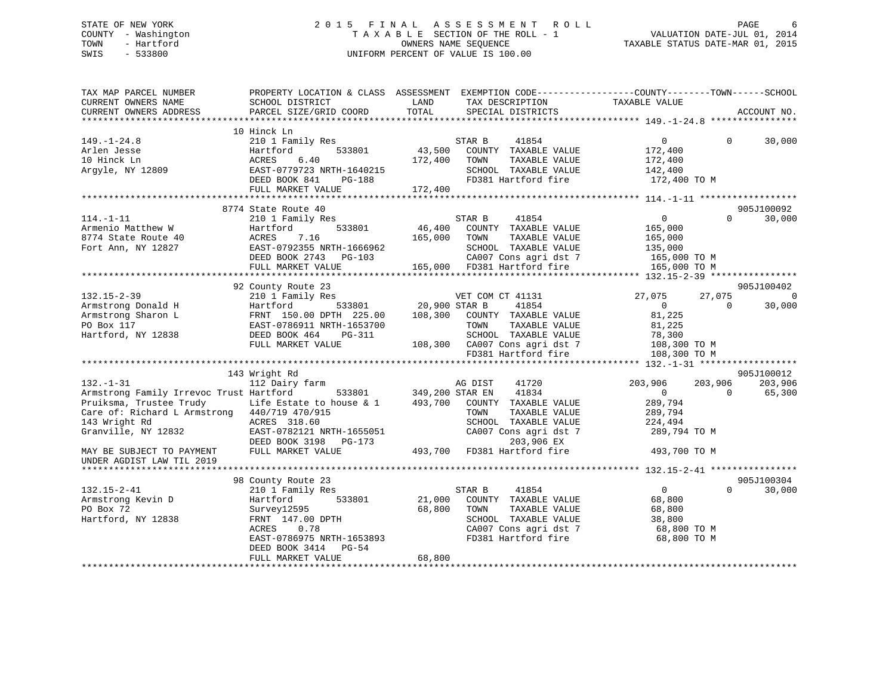# STATE OF NEW YORK 2 0 1 5 F I N A L A S S E S S M E N T R O L L PAGE 6 COUNTY - Washington T A X A B L E SECTION OF THE ROLL - 1 VALUATION DATE-JUL 01, 2014 TOWN - Hartford **TAXABLE STATUS DATE-MAR 01, 2015** OWNERS NAME SEQUENCE TAXABLE STATUS DATE-MAR 01, 2015 SWIS - 533800 UNIFORM PERCENT OF VALUE IS 100.00

| TAX MAP PARCEL NUMBER<br>CURRENT OWNERS NAME<br>CURRENT OWNERS ADDRESS                                                                                                                                                                                                             | PROPERTY LOCATION & CLASS ASSESSMENT EXEMPTION CODE----------------COUNTY-------TOWN------SCHOOL<br>SCHOOL DISTRICT<br>PARCEL SIZE/GRID COORD                                                                                                                                                                          | LAND<br>TOTAL                               | TAX DESCRIPTION<br>SPECIAL DISTRICTS                                                                                                                                                                                                                                                                            | TAXABLE VALUE                                                                                                                                                  |                                           | ACCOUNT NO.                                                               |
|------------------------------------------------------------------------------------------------------------------------------------------------------------------------------------------------------------------------------------------------------------------------------------|------------------------------------------------------------------------------------------------------------------------------------------------------------------------------------------------------------------------------------------------------------------------------------------------------------------------|---------------------------------------------|-----------------------------------------------------------------------------------------------------------------------------------------------------------------------------------------------------------------------------------------------------------------------------------------------------------------|----------------------------------------------------------------------------------------------------------------------------------------------------------------|-------------------------------------------|---------------------------------------------------------------------------|
|                                                                                                                                                                                                                                                                                    |                                                                                                                                                                                                                                                                                                                        |                                             |                                                                                                                                                                                                                                                                                                                 |                                                                                                                                                                |                                           |                                                                           |
| $149. - 1 - 24.8$<br>Arlen Jesse<br>10 Hinck Ln<br>Argyle, NY 12809                                                                                                                                                                                                                | 10 Hinck Ln<br>210 1 Family Res<br>533801<br>Hartford<br>6.40<br>ACRES<br>EAST-0779723 NRTH-1640215<br>DEED BOOK 841<br>PG-188<br>FULL MARKET VALUE                                                                                                                                                                    | 43,500<br>172,400<br>172,400                | 41854<br>STAR B<br>COUNTY TAXABLE VALUE<br>TOWN<br>TAXABLE VALUE<br>SCHOOL TAXABLE VALUE<br>FD381 Hartford fire                                                                                                                                                                                                 | $\overline{0}$<br>172,400<br>172,400<br>142,400<br>172,400 TO M                                                                                                | $\Omega$                                  | 30,000                                                                    |
|                                                                                                                                                                                                                                                                                    |                                                                                                                                                                                                                                                                                                                        |                                             |                                                                                                                                                                                                                                                                                                                 |                                                                                                                                                                |                                           |                                                                           |
|                                                                                                                                                                                                                                                                                    | 8774 State Route 40                                                                                                                                                                                                                                                                                                    |                                             |                                                                                                                                                                                                                                                                                                                 |                                                                                                                                                                |                                           | 905J100092                                                                |
| $114. - 1 - 11$<br>Armenio Matthew W<br>8774 State Route 40<br>Fort Ann, NY 12827                                                                                                                                                                                                  | 210 1 Family Res<br>533801<br>Hartford<br>7.16<br>ACRES<br>EAST-0792355 NRTH-1666962<br>DEED BOOK 2743 PG-103<br>FULL MARKET VALUE                                                                                                                                                                                     | 46,400<br>165,000                           | STAR B<br>41854<br>COUNTY TAXABLE VALUE<br>TOWN<br>TAXABLE VALUE<br>SCHOOL TAXABLE VALUE<br>CA007 Cons agri dst 7<br>165,000 FD381 Hartford fire                                                                                                                                                                | $\overline{0}$<br>165,000<br>165,000<br>135,000<br>165,000 TO M<br>165,000 TO M                                                                                | $\Omega$                                  | 30,000                                                                    |
|                                                                                                                                                                                                                                                                                    |                                                                                                                                                                                                                                                                                                                        |                                             |                                                                                                                                                                                                                                                                                                                 |                                                                                                                                                                |                                           |                                                                           |
| $132.15 - 2 - 39$<br>Armstrong Donald H<br>Armstrong Sharon L<br>PO Box 117<br>Hartford, NY 12838<br>$132. - 1 - 31$<br>Armstrong Family Irrevoc Trust Hartford<br>Pruiksma, Trustee Trudy<br>Care of: Richard L Armstrong 440/719 470/915<br>143 Wright Rd<br>Granville, NY 12832 | 92 County Route 23<br>210 1 Family Res<br>Hartford<br>533801<br>FRNT 150.00 DPTH 225.00<br>EAST-0786911 NRTH-1653700<br>DEED BOOK 464<br>PG-311<br>FULL MARKET VALUE<br>143 Wright Rd<br>112 Dairy farm<br>533801<br>Life Estate to house & 1<br>ACRES 318.60<br>EAST-0782121 NRTH-1655051<br>DEED BOOK 3198<br>PG-173 | 20,900 STAR B<br>349,200 STAR EN<br>493,700 | VET COM CT 41131<br>41854<br>108,300 COUNTY TAXABLE VALUE<br>TOWN<br>TAXABLE VALUE<br>SCHOOL TAXABLE VALUE<br>108,300 CA007 Cons agri dst 7<br>FD381 Hartford fire<br>AG DIST<br>41720<br>41834<br>COUNTY TAXABLE VALUE<br>TOWN<br>TAXABLE VALUE<br>SCHOOL TAXABLE VALUE<br>CA007 Cons agri dst 7<br>203,906 EX | 27,075<br>$\overline{0}$<br>81,225<br>81,225<br>78,300<br>108,300 TO M<br>108,300 TO M<br>203,906<br>$\Omega$<br>289,794<br>289,794<br>224,494<br>289,794 TO M | 27,075<br>$\Omega$<br>203,906<br>$\Omega$ | 905J100402<br>$\overline{0}$<br>30,000<br>905J100012<br>203,906<br>65,300 |
| MAY BE SUBJECT TO PAYMENT<br>UNDER AGDIST LAW TIL 2019                                                                                                                                                                                                                             | FULL MARKET VALUE                                                                                                                                                                                                                                                                                                      |                                             | 493,700 FD381 Hartford fire                                                                                                                                                                                                                                                                                     | 493,700 TO M                                                                                                                                                   |                                           |                                                                           |
| $132.15 - 2 - 41$<br>Armstrong Kevin D<br>PO Box 72<br>Hartford, NY 12838                                                                                                                                                                                                          | 98 County Route 23<br>210 1 Family Res<br>Hartford<br>533801<br>Survey12595<br>FRNT 147.00 DPTH<br>ACRES<br>0.78<br>EAST-0786975 NRTH-1653893<br>DEED BOOK 3414<br>PG-54                                                                                                                                               | 21,000<br>68,800                            | STAR B<br>41854<br>COUNTY TAXABLE VALUE<br>TAXABLE VALUE<br>TOWN<br>SCHOOL TAXABLE VALUE<br>CA007 Cons agri dst 7<br>FD381 Hartford fire                                                                                                                                                                        | $\overline{0}$<br>68,800<br>68,800<br>38,800<br>68,800 TO M<br>68,800 TO M                                                                                     | $\Omega$                                  | 905J100304<br>30,000                                                      |
|                                                                                                                                                                                                                                                                                    | FULL MARKET VALUE                                                                                                                                                                                                                                                                                                      | 68,800                                      |                                                                                                                                                                                                                                                                                                                 |                                                                                                                                                                |                                           |                                                                           |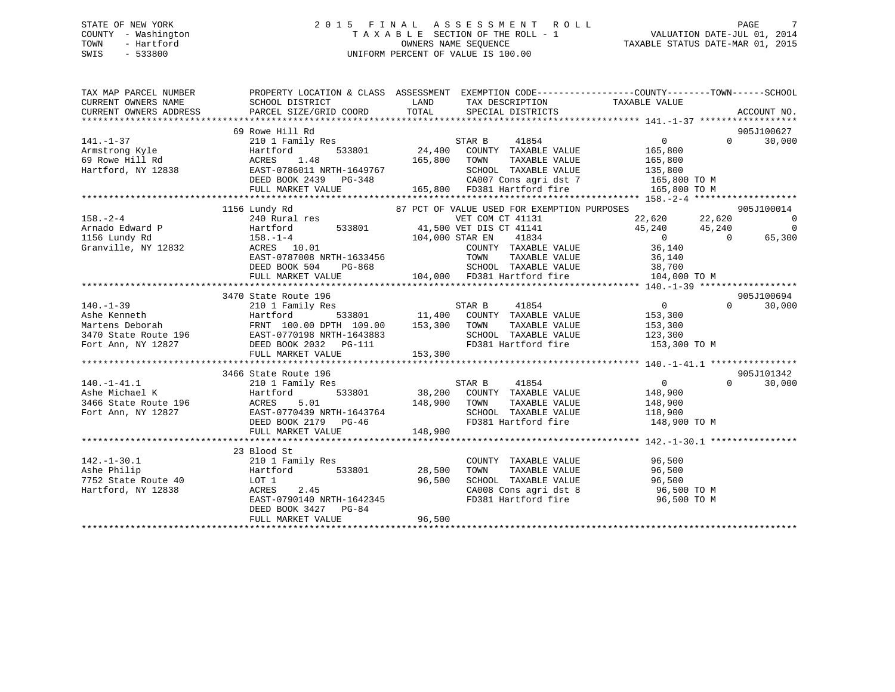# STATE OF NEW YORK 2 0 1 5 F I N A L A S S E S S M E N T R O L L PAGE 7 COUNTY - Washington T A X A B L E SECTION OF THE ROLL - 1 VALUATION DATE-JUL 01, 2014 TOWN - Hartford **TAXABLE STATUS DATE-MAR 01, 2015** OWNERS NAME SEQUENCE TAXABLE STATUS DATE-MAR 01, 2015 SWIS - 533800 UNIFORM PERCENT OF VALUE IS 100.00

| 69 Rowe Hill Rd      |                                                                                                                                                                                                                               | 905J100627                                                                                                                                                                                                                                                                                                                                                                                                                        |
|----------------------|-------------------------------------------------------------------------------------------------------------------------------------------------------------------------------------------------------------------------------|-----------------------------------------------------------------------------------------------------------------------------------------------------------------------------------------------------------------------------------------------------------------------------------------------------------------------------------------------------------------------------------------------------------------------------------|
|                      |                                                                                                                                                                                                                               |                                                                                                                                                                                                                                                                                                                                                                                                                                   |
|                      |                                                                                                                                                                                                                               |                                                                                                                                                                                                                                                                                                                                                                                                                                   |
|                      |                                                                                                                                                                                                                               |                                                                                                                                                                                                                                                                                                                                                                                                                                   |
|                      |                                                                                                                                                                                                                               |                                                                                                                                                                                                                                                                                                                                                                                                                                   |
|                      |                                                                                                                                                                                                                               |                                                                                                                                                                                                                                                                                                                                                                                                                                   |
|                      |                                                                                                                                                                                                                               |                                                                                                                                                                                                                                                                                                                                                                                                                                   |
| 1156 Lundy Rd        | 87 PCT OF VALUE USED FOR EXEMPTION PURPOSES                                                                                                                                                                                   | 905J100014                                                                                                                                                                                                                                                                                                                                                                                                                        |
|                      |                                                                                                                                                                                                                               | $\overline{0}$                                                                                                                                                                                                                                                                                                                                                                                                                    |
|                      |                                                                                                                                                                                                                               | $\overline{\phantom{0}}$                                                                                                                                                                                                                                                                                                                                                                                                          |
|                      |                                                                                                                                                                                                                               | 65,300                                                                                                                                                                                                                                                                                                                                                                                                                            |
|                      |                                                                                                                                                                                                                               |                                                                                                                                                                                                                                                                                                                                                                                                                                   |
|                      |                                                                                                                                                                                                                               |                                                                                                                                                                                                                                                                                                                                                                                                                                   |
|                      |                                                                                                                                                                                                                               |                                                                                                                                                                                                                                                                                                                                                                                                                                   |
|                      |                                                                                                                                                                                                                               |                                                                                                                                                                                                                                                                                                                                                                                                                                   |
|                      |                                                                                                                                                                                                                               |                                                                                                                                                                                                                                                                                                                                                                                                                                   |
| 3470 State Route 196 |                                                                                                                                                                                                                               | 905J100694                                                                                                                                                                                                                                                                                                                                                                                                                        |
|                      |                                                                                                                                                                                                                               |                                                                                                                                                                                                                                                                                                                                                                                                                                   |
|                      |                                                                                                                                                                                                                               |                                                                                                                                                                                                                                                                                                                                                                                                                                   |
|                      |                                                                                                                                                                                                                               |                                                                                                                                                                                                                                                                                                                                                                                                                                   |
|                      |                                                                                                                                                                                                                               |                                                                                                                                                                                                                                                                                                                                                                                                                                   |
|                      |                                                                                                                                                                                                                               |                                                                                                                                                                                                                                                                                                                                                                                                                                   |
|                      |                                                                                                                                                                                                                               |                                                                                                                                                                                                                                                                                                                                                                                                                                   |
|                      |                                                                                                                                                                                                                               | $\begin{tabular}{lllllllllllllllllll} \hline & & & & & & 3470 \text{ State Route } 196 & & & & & & & 905 \text{J100694} \\ \text{Table Kenneth} & & & & & & & & & 11,400 & \text{COUNTY} & \text{TABLE VALUE} & & & 153,300 & & & 30,000 \\ \text{Martford} & & & & & & & & & & 11,400 & \text{COUNTY} & \text{TAXABLE VALUE} & & & 153,300 & & & 30,000 \\ \text{Martson} & & & & & & & & & & 153,300 & \text{TONINN} & \text{T$ |
| 3466 State Route 196 |                                                                                                                                                                                                                               | 905J101342                                                                                                                                                                                                                                                                                                                                                                                                                        |
|                      |                                                                                                                                                                                                                               | $\Omega$<br>30,000                                                                                                                                                                                                                                                                                                                                                                                                                |
|                      |                                                                                                                                                                                                                               |                                                                                                                                                                                                                                                                                                                                                                                                                                   |
|                      |                                                                                                                                                                                                                               |                                                                                                                                                                                                                                                                                                                                                                                                                                   |
|                      |                                                                                                                                                                                                                               |                                                                                                                                                                                                                                                                                                                                                                                                                                   |
|                      |                                                                                                                                                                                                                               |                                                                                                                                                                                                                                                                                                                                                                                                                                   |
|                      |                                                                                                                                                                                                                               |                                                                                                                                                                                                                                                                                                                                                                                                                                   |
| 23 Blood St          |                                                                                                                                                                                                                               |                                                                                                                                                                                                                                                                                                                                                                                                                                   |
|                      |                                                                                                                                                                                                                               |                                                                                                                                                                                                                                                                                                                                                                                                                                   |
|                      |                                                                                                                                                                                                                               |                                                                                                                                                                                                                                                                                                                                                                                                                                   |
|                      |                                                                                                                                                                                                                               |                                                                                                                                                                                                                                                                                                                                                                                                                                   |
|                      | 210 1 Family Res<br>Hartford 533801 28,500 TOWN TAXABLE VALUE 96,500<br>LOT 1 96,500 SCHOOL TAXABLE VALUE 96,500<br>ACRES 2.45 CA008 Cons agri dst 8 96,500 TO M<br>EAST-0790140 NRTH-1642345 FD381 Hartford fire 96,500 TO M |                                                                                                                                                                                                                                                                                                                                                                                                                                   |
|                      |                                                                                                                                                                                                                               |                                                                                                                                                                                                                                                                                                                                                                                                                                   |
| DEED BOOK 3427 PG-84 |                                                                                                                                                                                                                               |                                                                                                                                                                                                                                                                                                                                                                                                                                   |
| FULL MARKET VALUE    | 96,500                                                                                                                                                                                                                        |                                                                                                                                                                                                                                                                                                                                                                                                                                   |
|                      |                                                                                                                                                                                                                               |                                                                                                                                                                                                                                                                                                                                                                                                                                   |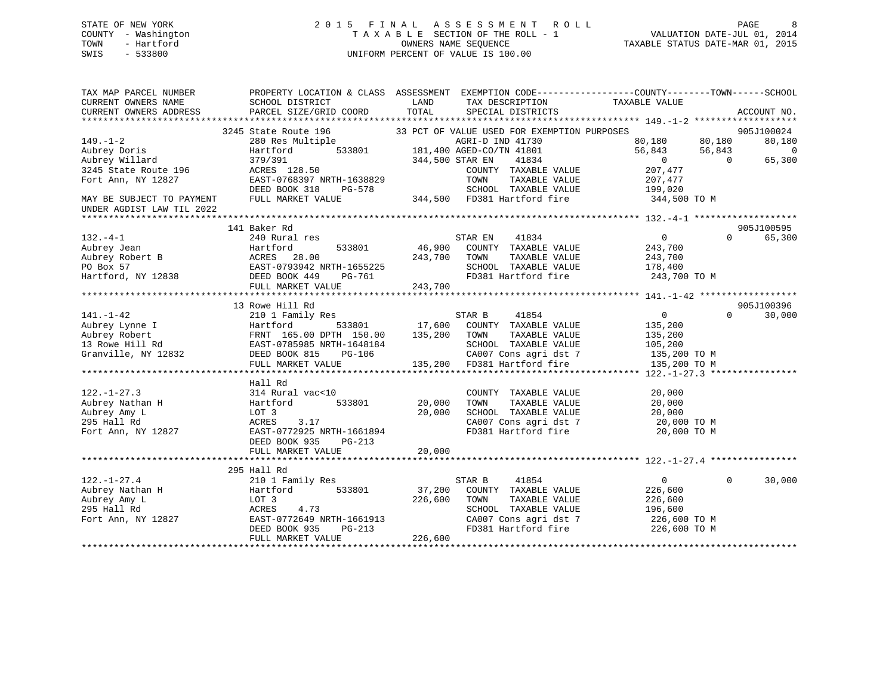# STATE OF NEW YORK 2 0 1 5 F I N A L A S S E S S M E N T R O L L PAGE 8 COUNTY - Washington T A X A B L E SECTION OF THE ROLL - 1 VALUATION DATE-JUL 01, 2014 TOWN - Hartford **TAXABLE STATUS DATE-MAR 01, 2015** OWNERS NAME SEQUENCE TAXABLE STATUS DATE-MAR 01, 2015 SWIS - 533800 UNIFORM PERCENT OF VALUE IS 100.00

| TAX MAP PARCEL NUMBER                       | PROPERTY LOCATION & CLASS ASSESSMENT EXEMPTION CODE-----------------COUNTY--------TOWN------SCHOOL                                                                                                                                                                                                                                                                                                                                                              |                                                |                                       |                                                                        |                   |             |
|---------------------------------------------|-----------------------------------------------------------------------------------------------------------------------------------------------------------------------------------------------------------------------------------------------------------------------------------------------------------------------------------------------------------------------------------------------------------------------------------------------------------------|------------------------------------------------|---------------------------------------|------------------------------------------------------------------------|-------------------|-------------|
| CURRENT OWNERS NAME                         | SCHOOL DISTRICT                                                                                                                                                                                                                                                                                                                                                                                                                                                 | <b>LAND</b><br>TAX DESCRIPTION                 |                                       | TAXABLE VALUE                                                          |                   |             |
| CURRENT OWNERS ADDRESS                      | PARCEL SIZE/GRID COORD                                                                                                                                                                                                                                                                                                                                                                                                                                          | TOTAL<br>SPECIAL DISTRICTS                     |                                       |                                                                        |                   | ACCOUNT NO. |
|                                             |                                                                                                                                                                                                                                                                                                                                                                                                                                                                 | 33 PCT OF VALUE USED FOR EXEMPTION PURPOSES    |                                       |                                                                        |                   | 905J100024  |
| $149. - 1 - 2$                              | 3245 State Route 196 33 PCT OF VALUE USED FOR EXEMPLE 280 Res Multiple<br>280 Res Multiple 333801 181,400 AGRI-D IND 41730<br>181,400 AGRI-D IND 41801                                                                                                                                                                                                                                                                                                          |                                                |                                       |                                                                        |                   | 80,180      |
|                                             |                                                                                                                                                                                                                                                                                                                                                                                                                                                                 |                                                |                                       | $56,843$<br>0 0 0                                                      |                   | 0           |
| Aubrey Doris<br>Aubrey Willard              |                                                                                                                                                                                                                                                                                                                                                                                                                                                                 | 344,500 STAR EN                                | 41801<br>41834                        |                                                                        |                   | 65,300      |
| 3245 State Route 196                        | 379/391<br>ACRES 128.50                                                                                                                                                                                                                                                                                                                                                                                                                                         |                                                | COUNTY TAXABLE VALUE                  | 207,477                                                                |                   |             |
| Fort Ann, NY 12827                          | EAST-0768397 NRTH-1638829                                                                                                                                                                                                                                                                                                                                                                                                                                       | TOWN                                           | TAXABLE VALUE                         | 207,477                                                                |                   |             |
|                                             | DEED BOOK 318                                                                                                                                                                                                                                                                                                                                                                                                                                                   | PG-578                                         |                                       | SCHOOL TAXABLE VALUE 199,020                                           |                   |             |
| MAY BE SUBJECT TO PAYMENT FULL MARKET VALUE |                                                                                                                                                                                                                                                                                                                                                                                                                                                                 | 344,500 FD381 Hartford fire 344,500 TO M       |                                       |                                                                        |                   |             |
| UNDER AGDIST LAW TIL 2022                   |                                                                                                                                                                                                                                                                                                                                                                                                                                                                 |                                                |                                       |                                                                        |                   |             |
|                                             |                                                                                                                                                                                                                                                                                                                                                                                                                                                                 |                                                |                                       |                                                                        |                   |             |
|                                             | 141 Baker Rd                                                                                                                                                                                                                                                                                                                                                                                                                                                    |                                                |                                       |                                                                        |                   | 905J100595  |
| $132 - 4 - 1$                               | 240 Rural res<br>533801                                                                                                                                                                                                                                                                                                                                                                                                                                         | STAR EN<br>46,900 COUNTY TAXABLE VALUE         | 41834                                 | $\overline{0}$<br>243,700                                              | $\Omega$          | 65,300      |
| Aubrey Jean                                 | Hartford                                                                                                                                                                                                                                                                                                                                                                                                                                                        | 243,700 TOWN                                   |                                       | TAXABLE VALUE 243,700                                                  |                   |             |
|                                             |                                                                                                                                                                                                                                                                                                                                                                                                                                                                 |                                                |                                       |                                                                        |                   |             |
|                                             |                                                                                                                                                                                                                                                                                                                                                                                                                                                                 |                                                |                                       |                                                                        |                   |             |
|                                             | FULL MARKET VALUE                                                                                                                                                                                                                                                                                                                                                                                                                                               | 243,700                                        |                                       |                                                                        |                   |             |
|                                             |                                                                                                                                                                                                                                                                                                                                                                                                                                                                 |                                                |                                       |                                                                        |                   |             |
|                                             | 13 Rowe Hill Rd                                                                                                                                                                                                                                                                                                                                                                                                                                                 |                                                |                                       |                                                                        |                   | 905J100396  |
| 141.-1-42                                   | 210 1 Family Res                                                                                                                                                                                                                                                                                                                                                                                                                                                | STAR B 41854                                   |                                       | $\overline{0}$                                                         | $0 \qquad \qquad$ | 30,000      |
|                                             |                                                                                                                                                                                                                                                                                                                                                                                                                                                                 |                                                |                                       |                                                                        |                   |             |
|                                             |                                                                                                                                                                                                                                                                                                                                                                                                                                                                 |                                                |                                       |                                                                        |                   |             |
|                                             |                                                                                                                                                                                                                                                                                                                                                                                                                                                                 |                                                |                                       |                                                                        |                   |             |
|                                             |                                                                                                                                                                                                                                                                                                                                                                                                                                                                 |                                                |                                       |                                                                        |                   |             |
|                                             | $\begin{tabular}{lllllllllllllllllllllll} \multicolumn{3}{c}{\textbf{141.}-1-42} & \multicolumn{3}{c}{\textbf{210 I family Res}} & \multicolumn{3}{c}{\textbf{533801}} & \multicolumn{3}{c}{\textbf{17,600}} & \multicolumn{3}{c}{\textbf{0.100}} & \multicolumn{3}{c}{\textbf{135,200}} & \multicolumn{3}{c}{\textbf{210 I family Res}} & \multicolumn{3}{c}{\textbf{210 I family Res}} & \multicolumn{3}{c}{\textbf{210 I family Res}} & \multicolumn{3}{c}{$ |                                                |                                       |                                                                        |                   |             |
|                                             | Hall Rd                                                                                                                                                                                                                                                                                                                                                                                                                                                         |                                                |                                       |                                                                        |                   |             |
| $122. - 1 - 27.3$                           | 314 Rural vac<10                                                                                                                                                                                                                                                                                                                                                                                                                                                |                                                | COUNTY TAXABLE VALUE                  | 20,000                                                                 |                   |             |
| Aubrey Nathan H                             | 533801<br>Hartford                                                                                                                                                                                                                                                                                                                                                                                                                                              | 20,000<br>TOWN                                 | TAXABLE VALUE                         | 20,000                                                                 |                   |             |
| Aubrey Amy L                                | LOT 3                                                                                                                                                                                                                                                                                                                                                                                                                                                           | 20,000                                         | SCHOOL TAXABLE VALUE                  | 20,000                                                                 |                   |             |
| 295 Hall Rd                                 |                                                                                                                                                                                                                                                                                                                                                                                                                                                                 |                                                | CA007 Cons agri dst 7                 | 20,000 TO M                                                            |                   |             |
| Fort Ann, NY 12827                          | ACKES 3.17<br>EAST-0772925 NRTH-1661894                                                                                                                                                                                                                                                                                                                                                                                                                         |                                                | FD381 Hartford fire                   | 20,000 TO M                                                            |                   |             |
|                                             | DEED BOOK 935<br>PG-213                                                                                                                                                                                                                                                                                                                                                                                                                                         |                                                |                                       |                                                                        |                   |             |
|                                             |                                                                                                                                                                                                                                                                                                                                                                                                                                                                 |                                                |                                       |                                                                        |                   |             |
|                                             |                                                                                                                                                                                                                                                                                                                                                                                                                                                                 |                                                |                                       |                                                                        |                   |             |
|                                             | 295 Hall Rd                                                                                                                                                                                                                                                                                                                                                                                                                                                     |                                                |                                       |                                                                        |                   |             |
| $122. - 1 - 27.4$                           | 210 1 Family Res                                                                                                                                                                                                                                                                                                                                                                                                                                                | STAR B                                         | 41854                                 | $\overline{0}$                                                         | $\Omega$          | 30,000      |
| Aubrey Nathan H                             | 533801<br>Hartford                                                                                                                                                                                                                                                                                                                                                                                                                                              | 37,200 COUNTY TAXABLE VALUE<br>226,600<br>TOWN |                                       | 226,600                                                                |                   |             |
| Aubrey Amy L<br>295 Hall Rd                 | LOT 3<br>ACRES<br>4.73                                                                                                                                                                                                                                                                                                                                                                                                                                          |                                                | TAXABLE VALUE<br>SCHOOL TAXABLE VALUE | 226,600                                                                |                   |             |
| Fort Ann, NY 12827                          |                                                                                                                                                                                                                                                                                                                                                                                                                                                                 |                                                |                                       | 196,600                                                                |                   |             |
|                                             | EAST-0772649 NRTH-1661913<br>DEED BOOK 935 PG-213<br>FIILL MADVET WALLER                                                                                                                                                                                                                                                                                                                                                                                        |                                                |                                       | CA007 Cons agri dst 7 226,600 TO M<br>FD381 Hartford fire 226,600 TO M |                   |             |
|                                             | FULL MARKET VALUE                                                                                                                                                                                                                                                                                                                                                                                                                                               | 226,600                                        |                                       |                                                                        |                   |             |
|                                             |                                                                                                                                                                                                                                                                                                                                                                                                                                                                 |                                                |                                       |                                                                        |                   |             |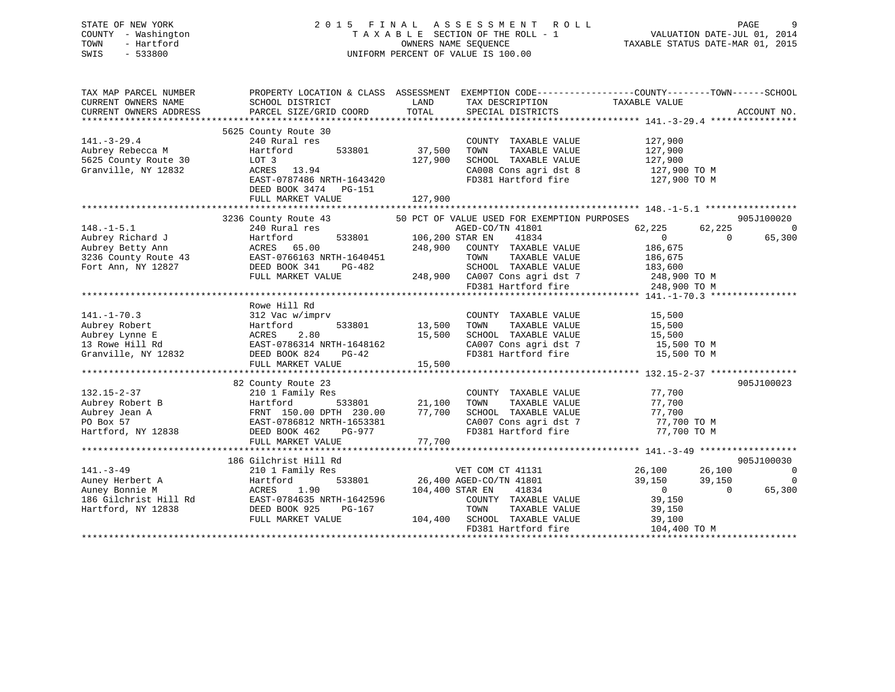# STATE OF NEW YORK 2 0 1 5 F I N A L A S S E S S M E N T R O L L PAGE 9 COUNTY - Washington T A X A B L E SECTION OF THE ROLL - 1 VALUATION DATE-JUL 01, 2014 TOWN - Hartford OWNERS NAME SEQUENCE TAXABLE STATUS DATE-MAR 01, 2015 SWIS - 533800 UNIFORM PERCENT OF VALUE IS 100.00

| TAX MAP PARCEL NUMBER<br>CURRENT OWNERS NAME<br>CURRENT OWNERS ADDRESS                                                          | SCHOOL DISTRICT<br>PARCEL SIZE/GRID COORD                                                                                                                                                                                                                                                                                | LAND<br>TOTAL                     | TAX DESCRIPTION<br>SPECIAL DISTRICTS                                                                                                                                          | PROPERTY LOCATION & CLASS ASSESSMENT EXEMPTION CODE---------------COUNTY-------TOWN------SCHOOL<br>TAXABLE VALUE | ACCOUNT NO.                                              |
|---------------------------------------------------------------------------------------------------------------------------------|--------------------------------------------------------------------------------------------------------------------------------------------------------------------------------------------------------------------------------------------------------------------------------------------------------------------------|-----------------------------------|-------------------------------------------------------------------------------------------------------------------------------------------------------------------------------|------------------------------------------------------------------------------------------------------------------|----------------------------------------------------------|
|                                                                                                                                 |                                                                                                                                                                                                                                                                                                                          |                                   |                                                                                                                                                                               |                                                                                                                  |                                                          |
| $141. - 3 - 29.4$<br>Aubrey Rebecca M<br>5625 County Route 30<br>Granville, NY 12832                                            | 5625 County Route 30<br>240 Rural res<br>533801<br>Hartford<br>LOT 3<br>ACRES 13.94<br>EAST-0787486 NRTH-1643420                                                                                                                                                                                                         | 37,500<br>127,900                 | COUNTY TAXABLE VALUE<br>TOWN<br>TAXABLE VALUE<br>SCHOOL TAXABLE VALUE<br>CA008 Cons agri dst 8                                                                                | 127,900<br>127,900<br>127,900<br>127,900 TO M<br>FD381 Hartford fire 127,900 TO M                                |                                                          |
|                                                                                                                                 | DEED BOOK 3474 PG-151<br>FULL MARKET VALUE                                                                                                                                                                                                                                                                               | 127,900                           |                                                                                                                                                                               |                                                                                                                  |                                                          |
|                                                                                                                                 |                                                                                                                                                                                                                                                                                                                          |                                   |                                                                                                                                                                               |                                                                                                                  |                                                          |
| $148. - 1 - 5.1$<br>Aubrey Richard J<br>Aubrey Betty Ann                                                                        | 3236 County Route 43 50 PCT OF VALUE USED FOR EXEMPTION PURPOSES<br>240 Rural res<br>Hartford<br><b>ACRES</b> 65.00<br>3236 County Route 43 EAST-0766163 NRTH-1640451<br>Fort Ann, NY 12827 DEED BOOK 341 PG-482<br>FULL MARKET VALUE                                                                                    | 533801 106,200 STAR EN<br>248,900 | AGED-CO/TN 41801<br>41834<br>COUNTY TAXABLE VALUE<br>TOWN<br>--<br>TAXABLE VALUE<br>SCHOOL TAXABLE VALUE<br>248,900 CA007 Cons agri dst 7 248,900 TO M<br>FD381 Hartford fire | 62,225<br>62,225<br>$\Omega$<br>$\Omega$<br>186,675<br>186,675<br>183,600<br>248,900 TO M                        | 905J100020<br>$\Omega$<br>65,300                         |
|                                                                                                                                 |                                                                                                                                                                                                                                                                                                                          |                                   |                                                                                                                                                                               |                                                                                                                  |                                                          |
| $141. - 1 - 70.3$<br>Hartfo<br>ACRES<br>Aubrey Robert<br>Aubrey Lynne E<br>13 Rowe Hill Rd<br>Granville, NY 12832 DEED BOOK 824 | Rowe Hill Rd<br>312 Vac w/imprv<br>Hartford<br>2.80<br>ACKES 2.00<br>EAST-0786314 NRTH-1648162<br>PG-42<br>FULL MARKET VALUE                                                                                                                                                                                             | 533801 13,500<br>15,500<br>15,500 | COUNTY TAXABLE VALUE<br>TOWN<br>TAXABLE VALUE<br>SCHOOL TAXABLE VALUE<br>FD381 Hartford fire                                                                                  | 15,500<br>15,500<br>15,500<br>CA007 Cons agri dst 7 15,500 TO M<br>15,500 TO M                                   |                                                          |
|                                                                                                                                 |                                                                                                                                                                                                                                                                                                                          |                                   |                                                                                                                                                                               |                                                                                                                  |                                                          |
| $132.15 - 2 - 37$<br>Aubrey Robert B<br>Aubrey Jean A<br>PO Box 57<br>Hartford, NY 12838                                        | 82 County Route 23<br>210 1 Family Res<br>19 Martiora<br>FRNT 150.00 DPTH 230.00<br>EAST-0786812 NRTH-1653381<br>DEED BOOK 462 PG-977<br>COOK 462 PG-977<br>FULL MARKET VALUE                                                                                                                                            | 533801 21,100<br>77,700<br>77,700 | COUNTY TAXABLE VALUE<br>TOWN<br>TAXABLE VALUE<br>SCHOOL TAXABLE VALUE 77,700<br>CA007 Cons agri dst 7<br>FD381 Hartford fire                                                  | 77,700<br>77,700<br>77,700 TO M<br>77,700 TO M                                                                   | 905J100023                                               |
| $141. - 3 - 49$                                                                                                                 | 186 Gilchrist Hill Rd<br>210 1 Family Res<br>Auney Herbert A<br>Auney Bonnie M<br>186 Gilchrist Hill Rd<br>186 Gilchrist Hill Rd<br>19838<br>19828<br>19828<br>19828<br>19828<br>19828<br>198296<br>198296<br>198296<br>198296<br>198296<br>198296<br>1984635<br>1984635<br>1984615<br>1984615<br>1984615<br>1984615<br> |                                   | VET COM CT 41131<br>533801 26,400 AGED-CO/TN 41801<br>104,400 STAR EN<br>41834<br>COUNTY TAXABLE VALUE<br>TAXABLE VALUE<br>TOWN                                               | 26,100<br>26,100<br>39,150<br>39,150<br>$\overline{0}$<br>$\Omega$<br>39,150<br>39,150                           | 905J100030<br>$\overline{0}$<br>$\overline{0}$<br>65,300 |
|                                                                                                                                 | FULL MARKET VALUE                                                                                                                                                                                                                                                                                                        |                                   | 104,400 SCHOOL TAXABLE VALUE<br>FD381 Hartford fire                                                                                                                           | 39,100<br>104,400 TO M                                                                                           |                                                          |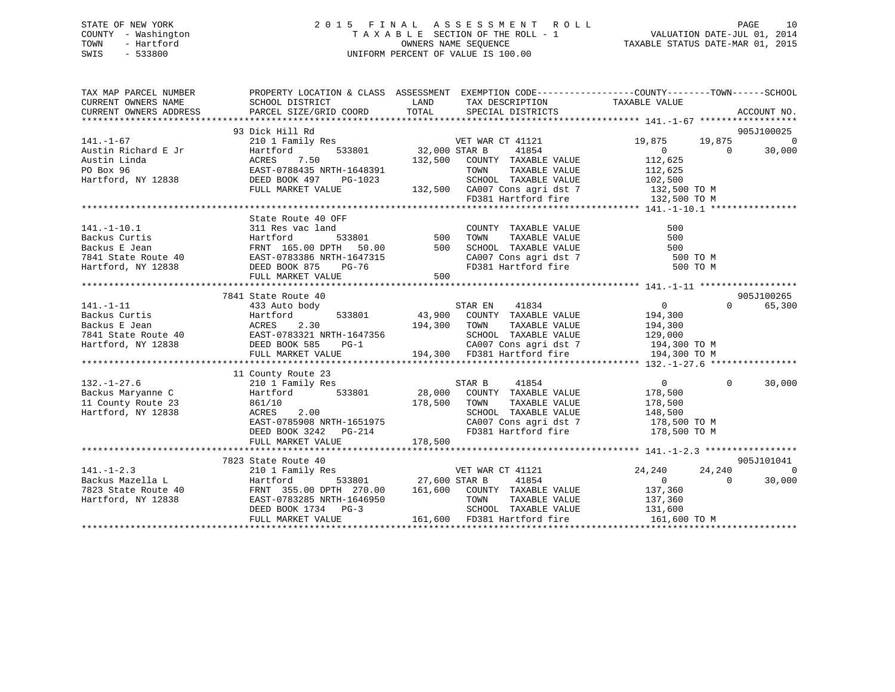# STATE OF NEW YORK 2 0 1 5 F I N A L A S S E S S M E N T R O L L PAGE 10 COUNTY - Washington T A X A B L E SECTION OF THE ROLL - 1 VALUATION DATE-JUL 01, 2014 TOWN - Hartford **TAXABLE STATUS DATE-MAR 01, 2015** OWNERS NAME SEQUENCE TAXABLE STATUS DATE-MAR 01, 2015 SWIS - 533800 UNIFORM PERCENT OF VALUE IS 100.00

| TAX MAP PARCEL NUMBER                                                                                                                                                                                                                              | PROPERTY LOCATION & CLASS ASSESSMENT EXEMPTION CODE---------------COUNTY-------TOWN-----SCHOOL |                         |                                                                                   |                                             |                |                        |        |   |               |                                                |                         |  |  |  |  |  |  |
|----------------------------------------------------------------------------------------------------------------------------------------------------------------------------------------------------------------------------------------------------|------------------------------------------------------------------------------------------------|-------------------------|-----------------------------------------------------------------------------------|---------------------------------------------|----------------|------------------------|--------|---|---------------|------------------------------------------------|-------------------------|--|--|--|--|--|--|
| $141. - 1 - 67$                                                                                                                                                                                                                                    | 93 Dick Hill Rd<br>210 1 Family Res                                                            |                         | VET WAR CT 41121                                                                  | 19,875                                      | 19,875         | 905J100025<br>$\Omega$ |        |   |               |                                                |                         |  |  |  |  |  |  |
|                                                                                                                                                                                                                                                    |                                                                                                |                         | 41854                                                                             |                                             | $\bigcirc$     | 30,000                 |        |   |               |                                                |                         |  |  |  |  |  |  |
| Pustin Richard E Jr Hartford 533801<br>Austin Linda ACRES 7.50<br>PO Box 96 EAST-0788435 NRTH-1648391<br>Hartford, NY 12838 DEED BOOK 497 PG-1023<br>FUIL MAPKET VALUE                                                                             | $\frac{1}{2}$ 533801 32,000 STAR B                                                             |                         | 132,500 COUNTY TAXABLE VALUE                                                      | $\begin{array}{c} 0 \\ 112,625 \end{array}$ |                |                        |        |   |               |                                                |                         |  |  |  |  |  |  |
|                                                                                                                                                                                                                                                    |                                                                                                |                         | TOWN                                                                              | TAXABLE VALUE 112,625                       |                |                        |        |   |               |                                                |                         |  |  |  |  |  |  |
|                                                                                                                                                                                                                                                    |                                                                                                |                         |                                                                                   |                                             |                |                        |        |   |               |                                                |                         |  |  |  |  |  |  |
|                                                                                                                                                                                                                                                    | FULL MARKET VALUE                                                                              |                         | 3-1023 SCHOOL TAXABLE VALUE 102,500<br>132,500 CA007 Cons agri dst 7 132,500 TO M |                                             |                |                        |        |   |               |                                                |                         |  |  |  |  |  |  |
|                                                                                                                                                                                                                                                    |                                                                                                |                         | FD381 Hartford fire 132,500 TO M                                                  |                                             |                |                        |        |   |               |                                                |                         |  |  |  |  |  |  |
|                                                                                                                                                                                                                                                    |                                                                                                |                         |                                                                                   |                                             |                |                        |        |   |               |                                                |                         |  |  |  |  |  |  |
|                                                                                                                                                                                                                                                    | State Route 40 OFF                                                                             |                         |                                                                                   |                                             |                |                        |        |   |               |                                                |                         |  |  |  |  |  |  |
| 141.-1-10.1<br>Backus Curtis (1990)<br>Backus E Jean (1991)<br>FRNT 165.00 DPTH 50.00 500 SCHOOL TAXABLE VALUE 500 FORM TAXABLE VALUE 500 FORM CANABLE VALUE 500 FORM CANABLE VALUE 500 FORM CANABLE VALUE 500 FORM CANABLE VALUE 50               |                                                                                                |                         |                                                                                   |                                             |                |                        |        |   |               |                                                |                         |  |  |  |  |  |  |
|                                                                                                                                                                                                                                                    |                                                                                                |                         |                                                                                   |                                             |                |                        |        |   |               |                                                |                         |  |  |  |  |  |  |
|                                                                                                                                                                                                                                                    |                                                                                                |                         |                                                                                   |                                             |                |                        |        |   |               |                                                |                         |  |  |  |  |  |  |
|                                                                                                                                                                                                                                                    |                                                                                                |                         |                                                                                   | $500$ TO M                                  |                |                        |        |   |               |                                                |                         |  |  |  |  |  |  |
|                                                                                                                                                                                                                                                    |                                                                                                |                         |                                                                                   | 500 TO M                                    |                |                        |        |   |               |                                                |                         |  |  |  |  |  |  |
|                                                                                                                                                                                                                                                    | FULL MARKET VALUE                                                                              | 500                     |                                                                                   |                                             |                |                        |        |   |               |                                                |                         |  |  |  |  |  |  |
|                                                                                                                                                                                                                                                    |                                                                                                |                         |                                                                                   |                                             |                |                        |        |   |               |                                                |                         |  |  |  |  |  |  |
|                                                                                                                                                                                                                                                    | 7841 State Route 40                                                                            |                         |                                                                                   |                                             |                | 905J100265             |        |   |               |                                                |                         |  |  |  |  |  |  |
|                                                                                                                                                                                                                                                    |                                                                                                |                         |                                                                                   |                                             | $\Omega$       | 65,300                 |        |   |               |                                                |                         |  |  |  |  |  |  |
|                                                                                                                                                                                                                                                    |                                                                                                |                         |                                                                                   |                                             |                |                        |        |   |               |                                                |                         |  |  |  |  |  |  |
|                                                                                                                                                                                                                                                    |                                                                                                |                         |                                                                                   |                                             |                |                        |        |   |               |                                                |                         |  |  |  |  |  |  |
|                                                                                                                                                                                                                                                    |                                                                                                |                         |                                                                                   |                                             |                |                        |        |   |               |                                                |                         |  |  |  |  |  |  |
|                                                                                                                                                                                                                                                    |                                                                                                |                         |                                                                                   |                                             |                |                        |        |   |               |                                                |                         |  |  |  |  |  |  |
| $\n\n\n141.-1-11\n7841 State Route 40\n533801\n533801\n533801\n633801\n641834\n0\n\n\nBackus Curtis\n194,300300301432,900433,900434,300533801533801\n64183443,90043,90053380$                                                                      | 141.-1-11                                                                                      | 7841 State Route 40     | 533801                                                                            | 533801                                      | 533801         | 633801                 | 641834 | 0 | Backus Curtis | 194,300300301432,900433,900434,300533801533801 | 64183443,90043,90053380 |  |  |  |  |  |  |
| 141.-1-11                                                                                                                                                                                                                                          | 7841 State Route 40                                                                            | 533801                  | 533801                                                                            | 533801                                      | 633801         | 641834                 | 0      |   |               |                                                |                         |  |  |  |  |  |  |
| Backus Curtis                                                                                                                                                                                                                                      | 194,300300301432,900433,900434,300533801533801                                                 | 64183443,90043,90053380 |                                                                                   |                                             |                |                        |        |   |               |                                                |                         |  |  |  |  |  |  |
|                                                                                                                                                                                                                                                    |                                                                                                |                         |                                                                                   |                                             |                |                        |        |   |               |                                                |                         |  |  |  |  |  |  |
|                                                                                                                                                                                                                                                    | 11 County Route 23                                                                             |                         |                                                                                   |                                             |                |                        |        |   |               |                                                |                         |  |  |  |  |  |  |
|                                                                                                                                                                                                                                                    |                                                                                                |                         |                                                                                   | $\begin{array}{c} 0 \\ 178,500 \end{array}$ | $\overline{0}$ | 30,000                 |        |   |               |                                                |                         |  |  |  |  |  |  |
|                                                                                                                                                                                                                                                    |                                                                                                |                         |                                                                                   |                                             |                |                        |        |   |               |                                                |                         |  |  |  |  |  |  |
|                                                                                                                                                                                                                                                    |                                                                                                |                         |                                                                                   | TAXABLE VALUE 178,500                       |                |                        |        |   |               |                                                |                         |  |  |  |  |  |  |
| Hartford, NY 12838                                                                                                                                                                                                                                 | ACRES<br>2.00                                                                                  |                         | SCHOOL TAXABLE VALUE 148,500<br>CA007 Cons agri dst 7 178,500 TO M                |                                             |                |                        |        |   |               |                                                |                         |  |  |  |  |  |  |
|                                                                                                                                                                                                                                                    | EAST-0785908 NRTH-1651975                                                                      |                         |                                                                                   |                                             |                |                        |        |   |               |                                                |                         |  |  |  |  |  |  |
|                                                                                                                                                                                                                                                    | DEED BOOK 3242 PG-214                                                                          |                         | FD381 Hartford fire 178,500 TO M                                                  |                                             |                |                        |        |   |               |                                                |                         |  |  |  |  |  |  |
|                                                                                                                                                                                                                                                    | FULL MARKET VALUE                                                                              | 178,500                 |                                                                                   |                                             |                |                        |        |   |               |                                                |                         |  |  |  |  |  |  |
|                                                                                                                                                                                                                                                    | 7823 State Route 40                                                                            |                         |                                                                                   |                                             |                | 905J101041             |        |   |               |                                                |                         |  |  |  |  |  |  |
| $141. - 1 - 2.3$                                                                                                                                                                                                                                   |                                                                                                |                         | VET WAR CT 41121<br>MORT AND STAR R 41854                                         | 24,240                                      | 24,240         | $\Omega$               |        |   |               |                                                |                         |  |  |  |  |  |  |
|                                                                                                                                                                                                                                                    | 210 1 Family Res                                                                               |                         |                                                                                   |                                             | $\Omega$       | 30,000                 |        |   |               |                                                |                         |  |  |  |  |  |  |
|                                                                                                                                                                                                                                                    |                                                                                                |                         |                                                                                   |                                             |                |                        |        |   |               |                                                |                         |  |  |  |  |  |  |
|                                                                                                                                                                                                                                                    |                                                                                                |                         |                                                                                   |                                             |                |                        |        |   |               |                                                |                         |  |  |  |  |  |  |
|                                                                                                                                                                                                                                                    |                                                                                                |                         |                                                                                   |                                             |                |                        |        |   |               |                                                |                         |  |  |  |  |  |  |
| $[141. -1-2.3$ Backus Mazella L<br>Backus Mazella L<br>7823 State Route 40<br>Hartford 533801<br>FRNT 355.00 DPTH 270.00<br>FRNT 355.00 DPTH 270.00<br>161,600 COUNTY TAXABLE VALUE<br>700N TAXABLE VALUE<br>700N TAXABLE VALUE<br>137,360<br>161, |                                                                                                |                         |                                                                                   | 161,600 TO M                                |                |                        |        |   |               |                                                |                         |  |  |  |  |  |  |
|                                                                                                                                                                                                                                                    |                                                                                                |                         |                                                                                   |                                             |                |                        |        |   |               |                                                |                         |  |  |  |  |  |  |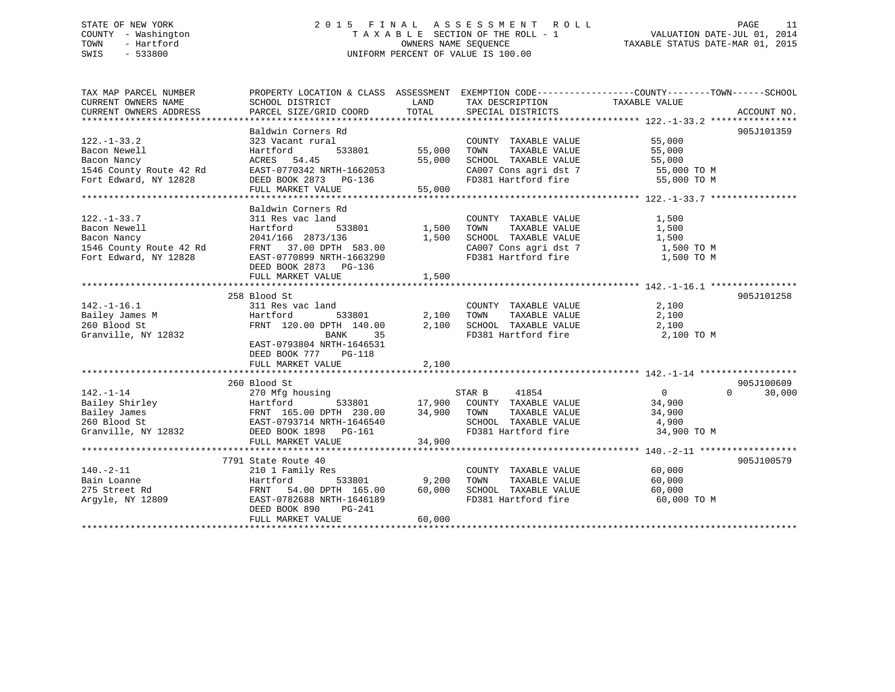# STATE OF NEW YORK 2 0 1 5 F I N A L A S S E S S M E N T R O L L PAGE 11 COUNTY - Washington T A X A B L E SECTION OF THE ROLL - 1 VALUATION DATE-JUL 01, 2014 TOWN - Hartford **TAXABLE STATUS DATE-MAR 01, 2015** OWNERS NAME SEQUENCE TAXABLE STATUS DATE-MAR 01, 2015 SWIS - 533800 UNIFORM PERCENT OF VALUE IS 100.00

| TAX MAP PARCEL NUMBER                                           | PROPERTY LOCATION & CLASS ASSESSMENT EXEMPTION CODE----------------COUNTY-------TOWN------SCHOOL                                                |                      |                                                                          |               |                    |
|-----------------------------------------------------------------|-------------------------------------------------------------------------------------------------------------------------------------------------|----------------------|--------------------------------------------------------------------------|---------------|--------------------|
| CURRENT OWNERS NAME                                             | SCHOOL DISTRICT                                                                                                                                 | LAND                 | TAX DESCRIPTION                                                          | TAXABLE VALUE |                    |
| CURRENT OWNERS ADDRESS                                          | PARCEL SIZE/GRID COORD TOTAL SPECIAL DISTRICTS                                                                                                  |                      |                                                                          |               | ACCOUNT NO.        |
|                                                                 |                                                                                                                                                 |                      |                                                                          |               |                    |
|                                                                 | Baldwin Corners Rd                                                                                                                              |                      |                                                                          |               | 905J101359         |
| $122. - 1 - 33.2$                                               | 323 Vacant rural                                                                                                                                |                      | COUNTY TAXABLE VALUE 55,000<br>TOWN TAXABLE VALUE 55,000                 |               |                    |
| Bacon Newell                                                    | Hartford                                                                                                                                        | 533801 55,000 TOWN   | TAXABLE VALUE                                                            | 55,000        |                    |
|                                                                 | ACRES 54.45                                                                                                                                     |                      | 55,000 SCHOOL TAXABLE VALUE                                              | 55,000        |                    |
| Bacon Nancy<br>1546 County Route 42 Rd<br>Fort Edward, NY 12828 | EAST-0770342 NRTH-1662053<br>DEED BOOK 2873 PG-136                                                                                              |                      | CA007 Cons agri dst 7 55,000 TO M<br>FD381 Hartford fire 55,000 TO M     |               |                    |
|                                                                 |                                                                                                                                                 |                      |                                                                          |               |                    |
|                                                                 | FULL MARKET VALUE                                                                                                                               | 55,000               |                                                                          |               |                    |
|                                                                 |                                                                                                                                                 |                      |                                                                          |               |                    |
|                                                                 | Baldwin Corners Rd                                                                                                                              |                      |                                                                          |               |                    |
| $122. - 1 - 33.7$                                               | 311 Res vac land                                                                                                                                | COUNTY<br>1,500 TOWN | COUNTY TAXABLE VALUE 1,500                                               |               |                    |
|                                                                 |                                                                                                                                                 |                      | 1,500 TOWN TAXABLE VALUE 1,500<br>1,500 SCHOOL TAXABLE VALUE 1,500       |               |                    |
|                                                                 |                                                                                                                                                 |                      |                                                                          |               |                    |
|                                                                 | Bacon Newell<br>Bacon Nancy<br>1546 County Route 42 Rd<br>FRNT 37.00 DPTH 583.00<br>Fort Edward, NY 12828<br>EAST-0770899 NRTH-1663290          |                      | CA007 Cons agri dst 7 $1,500$ TO M                                       |               |                    |
|                                                                 |                                                                                                                                                 |                      | FD381 Hartford fire                                                      | 1,500 TO M    |                    |
|                                                                 | DEED BOOK 2873 PG-136                                                                                                                           |                      |                                                                          |               |                    |
|                                                                 | FULL MARKET VALUE                                                                                                                               | 1,500                |                                                                          |               |                    |
|                                                                 |                                                                                                                                                 |                      |                                                                          |               |                    |
|                                                                 | 258 Blood St<br>$311$ Res vac land                                                                                                              |                      | COUNTY TAXABLE VALUE 2,100                                               |               | 905J101258         |
| $142.-1-16.1$<br>Bailey James M                                 | 533801 2,100 TOWN                                                                                                                               |                      | TAXABLE VALUE                                                            |               |                    |
| ta a shekarar 1990.<br>Matukio<br>260 Blood St                  | Hartford                                                                                                                                        |                      |                                                                          | 2,100         |                    |
| Granville, NY 12832                                             | FRNT 120.00 DPTH 140.00 $2,100$ SCHOOL TAXABLE VALUE $2,100$<br>BANK 35                                                                         |                      | FD381 Hartford fire                                                      | 2,100 TO M    |                    |
|                                                                 | EAST-0793804 NRTH-1646531                                                                                                                       |                      |                                                                          |               |                    |
|                                                                 | DEED BOOK 777 PG-118                                                                                                                            |                      |                                                                          |               |                    |
|                                                                 | FULL MARKET VALUE                                                                                                                               | 2,100                |                                                                          |               |                    |
|                                                                 |                                                                                                                                                 |                      |                                                                          |               |                    |
|                                                                 | 260 Blood St                                                                                                                                    |                      |                                                                          |               | 905J100609         |
|                                                                 |                                                                                                                                                 |                      |                                                                          |               | 30,000<br>$\Omega$ |
|                                                                 |                                                                                                                                                 |                      | using 533801 571R B 41854 0<br>533801 17,900 COUNTY TAXABLE VALUE 34,900 |               |                    |
|                                                                 |                                                                                                                                                 |                      | TAXABLE VALUE                                                            | 34,900        |                    |
|                                                                 |                                                                                                                                                 |                      | SCHOOL TAXABLE VALUE 4,900                                               |               |                    |
|                                                                 | Granville, NY 12832 DEED BOOK 1898 PG-161                                                                                                       |                      | FD381 Hartford fire 34,900 TO M                                          |               |                    |
|                                                                 | FULL MARKET VALUE                                                                                                                               | 34,900               |                                                                          |               |                    |
|                                                                 |                                                                                                                                                 |                      |                                                                          |               |                    |
|                                                                 | 7791 State Route 40                                                                                                                             |                      |                                                                          |               | 905J100579         |
| $140.-2-11$                                                     | 210 1 Family Res                                                                                                                                |                      | COUNTY TAXABLE VALUE 60,000                                              |               |                    |
| Bain Loanne                                                     |                                                                                                                                                 |                      | TAXABLE VALUE                                                            | 60,000        |                    |
| 275 Street Rd                                                   | Hartford 533801 9,200 TOWN TAXABLE VALUE<br>FRNT 54.00 DPTH 165.00 60,000 SCHOOL TAXABLE VALUE<br>EAST-0782688 NRTH-1646189 FD381 Hartford fire |                      |                                                                          | 60,000        |                    |
| Argyle, NY 12809                                                |                                                                                                                                                 |                      |                                                                          | 60,000 TO M   |                    |
|                                                                 | DEED BOOK 890<br>PG-241                                                                                                                         |                      |                                                                          |               |                    |
|                                                                 | FULL MARKET VALUE                                                                                                                               | 60,000               |                                                                          |               |                    |
|                                                                 |                                                                                                                                                 |                      |                                                                          |               |                    |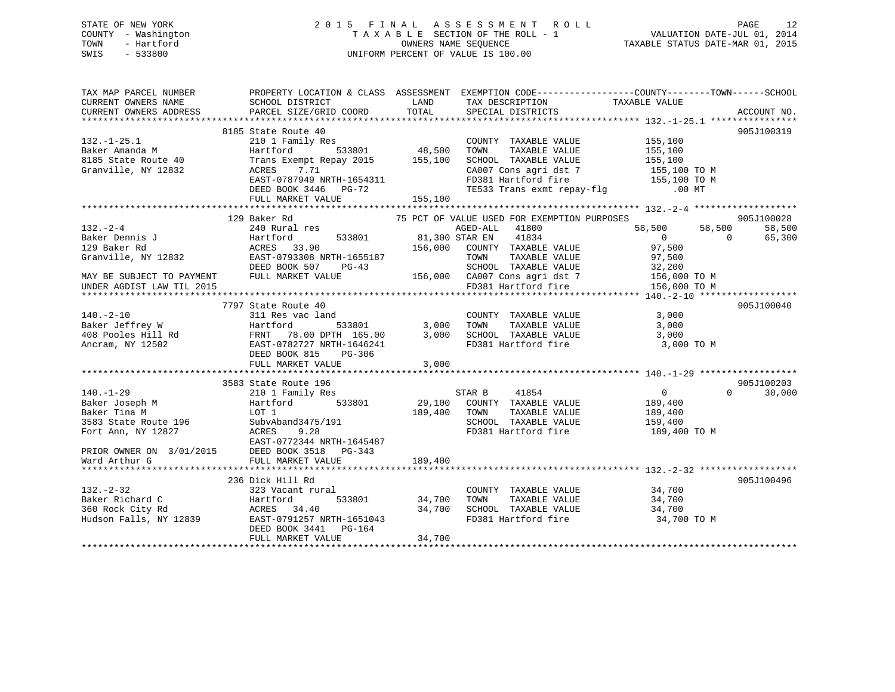# STATE OF NEW YORK 2 0 1 5 F I N A L A S S E S S M E N T R O L L PAGE 12 COUNTY - Washington T A X A B L E SECTION OF THE ROLL - 1 VALUATION DATE-JUL 01, 2014 TOWN - Hartford **TAXABLE STATUS DATE-MAR 01, 2015** OWNERS NAME SEQUENCE TAXABLE STATUS DATE-MAR 01, 2015 SWIS - 533800 UNIFORM PERCENT OF VALUE IS 100.00

| TAX MAP PARCEL NUMBER<br>CURRENT OWNERS NAME | PROPERTY LOCATION & CLASS ASSESSMENT EXEMPTION CODE---------------COUNTY-------TOWN-----SCHOOL<br>SCHOOL DISTRICT                                                                                                                                     | <b>LAND</b>                           | TAX DESCRIPTION TAXABLE VALUE SPECIAL DISTRICTS                    |                                                                                              |                    |
|----------------------------------------------|-------------------------------------------------------------------------------------------------------------------------------------------------------------------------------------------------------------------------------------------------------|---------------------------------------|--------------------------------------------------------------------|----------------------------------------------------------------------------------------------|--------------------|
| CURRENT OWNERS ADDRESS                       | PARCEL SIZE/GRID COORD                                                                                                                                                                                                                                |                                       | TOTAL SPECIAL DISTRICTS                                            |                                                                                              | ACCOUNT NO.        |
|                                              |                                                                                                                                                                                                                                                       |                                       |                                                                    |                                                                                              |                    |
| $132. - 1 - 25.1$                            | 8185 State Route 40<br>210 1 Family Res                                                                                                                                                                                                               | з<br>533801                    48,500 |                                                                    |                                                                                              | 905J100319         |
| Baker Amanda M                               |                                                                                                                                                                                                                                                       |                                       | COUNTY TAXABLE VALUE 155,100<br>TOWN TAXABLE VALUE 155,100<br>TOWN |                                                                                              |                    |
|                                              | Hartford                                                                                                                                                                                                                                              |                                       |                                                                    |                                                                                              |                    |
| 8185 State Route 40<br>Granville, NY 12832   | Trans Exempt Repay 2015 155,100                                                                                                                                                                                                                       |                                       | SCHOOL TAXABLE VALUE 155,100<br>CA007 Cons agri dst 7 155,100 TO M |                                                                                              |                    |
| Granville, NY 12832                          | 7.71<br>ACRES                                                                                                                                                                                                                                         |                                       |                                                                    |                                                                                              |                    |
|                                              | EAST-0787949 NRTH-1654311<br>DEED BOOK 3446 PG-72                                                                                                                                                                                                     |                                       |                                                                    |                                                                                              |                    |
|                                              |                                                                                                                                                                                                                                                       |                                       |                                                                    | FD381 Hartford fire<br>TD381 Hartford fire 155,100 TO M<br>TE533 Trans exmt repay-flg .00 MT |                    |
|                                              | FULL MARKET VALUE                                                                                                                                                                                                                                     | 155,100                               |                                                                    |                                                                                              |                    |
|                                              |                                                                                                                                                                                                                                                       |                                       |                                                                    |                                                                                              |                    |
| 132.-2-4<br>Baker Dennis J<br>100 Paker Rd   | Baker Rd                           75 PCT OF VALUE USED FOR EXEMPTION PURPOSES                                 AGED-ALL     41800<br>129 Baker Rd                                                                                                     |                                       |                                                                    |                                                                                              | 905J100028         |
|                                              |                                                                                                                                                                                                                                                       |                                       |                                                                    | $58,500$ $58,500$ 0                                                                          | 58,500             |
|                                              |                                                                                                                                                                                                                                                       |                                       |                                                                    |                                                                                              | 65,300             |
|                                              | Hartford 533801 81,300 STAR EN 41834<br>ACRES 33.90 156,000 COUNTY TAXABLE VALUE<br>EAST-0793308 NRTH-1655187 TOWN TAXABLE VALUE                                                                                                                      |                                       |                                                                    | 97,500                                                                                       |                    |
| Granville, NY 12832                          |                                                                                                                                                                                                                                                       |                                       |                                                                    |                                                                                              |                    |
|                                              |                                                                                                                                                                                                                                                       |                                       |                                                                    |                                                                                              |                    |
| MAY BE SUBJECT TO PAYMENT                    |                                                                                                                                                                                                                                                       |                                       |                                                                    |                                                                                              |                    |
| UNDER AGDIST LAW TIL 2015                    | EAST-0793308 NRTH-1655187 TOWN TAXABLE VALUE 97,500<br>DEED BOOK 507 PG-43 SCHOOL TAXABLE VALUE 32,200<br>FULL MARKET VALUE 156,000 CA007 Cons agri dst 7 156,000 TO M<br>FD381 Hartford fire 156,000 TO M                                            |                                       |                                                                    |                                                                                              |                    |
|                                              |                                                                                                                                                                                                                                                       |                                       |                                                                    |                                                                                              |                    |
|                                              | 7797 State Route 40                                                                                                                                                                                                                                   |                                       |                                                                    |                                                                                              | 905J100040         |
|                                              |                                                                                                                                                                                                                                                       |                                       |                                                                    |                                                                                              |                    |
|                                              |                                                                                                                                                                                                                                                       |                                       |                                                                    |                                                                                              |                    |
|                                              |                                                                                                                                                                                                                                                       |                                       |                                                                    |                                                                                              |                    |
|                                              |                                                                                                                                                                                                                                                       |                                       |                                                                    | 3,000 TO M                                                                                   |                    |
|                                              |                                                                                                                                                                                                                                                       |                                       |                                                                    |                                                                                              |                    |
|                                              | 140.-2-10<br>Baker Jeffrey W Hartford 533801 3,000 TOWN TAXABLE VALUE 3,000<br>408 Pooles Hill Rd FRNT 78.00 DPTH 165.00 3,000 SCHOOL TAXABLE VALUE 3,000<br>Ancram, NY 12502 EAST-0782727 NRTH-1646241 PD381 Hartford fire 3,000<br>                 |                                       |                                                                    |                                                                                              |                    |
|                                              |                                                                                                                                                                                                                                                       |                                       |                                                                    |                                                                                              |                    |
|                                              | 140.-1-29<br>Baker Joseph M<br>Baker Tina M<br>3583 State Route 196<br>Fort Ann, NY 12827<br>EAST-0772344 NRTH-16454;<br>COLLECT 21844<br>PORT ACRES<br>FORT 21844 NRTH-16454;<br>COLLECT 21844<br>PORT 21844 NRTH-16454;<br>COLLECT 21844<br>PORT 21 |                                       |                                                                    |                                                                                              | 905J100203         |
|                                              |                                                                                                                                                                                                                                                       |                                       |                                                                    |                                                                                              | $\Omega$<br>30,000 |
|                                              | 210 1 Family Res<br>Hartford 533801 29,100 COUNTY TAXABLE VALUE 189,400                                                                                                                                                                               |                                       |                                                                    |                                                                                              |                    |
|                                              |                                                                                                                                                                                                                                                       | 189,400 TOWN                          | TAXABLE VALUE                                                      | 189,400                                                                                      |                    |
|                                              |                                                                                                                                                                                                                                                       |                                       | SCHOOL TAXABLE VALUE 159,400                                       |                                                                                              |                    |
|                                              |                                                                                                                                                                                                                                                       |                                       | FD381 Hartford fire                                                |                                                                                              |                    |
|                                              |                                                                                                                                                                                                                                                       |                                       |                                                                    | 189,400 TO M                                                                                 |                    |
|                                              | EAST-0772344 NRTH-1645487                                                                                                                                                                                                                             |                                       |                                                                    |                                                                                              |                    |
|                                              |                                                                                                                                                                                                                                                       |                                       |                                                                    |                                                                                              |                    |
|                                              |                                                                                                                                                                                                                                                       |                                       |                                                                    |                                                                                              |                    |
|                                              |                                                                                                                                                                                                                                                       |                                       |                                                                    |                                                                                              |                    |
|                                              | 236 Dick Hill Rd                                                                                                                                                                                                                                      |                                       |                                                                    |                                                                                              | 905J100496         |
| $132 - 2 - 32$                               | ard C<br>$\begin{array}{ccc}\n & & 323 \text{ Vac} & \dots \\ \text{int } \text{Rd} \\ \text{int } \text{Rd} \\ \text{Rd} \\ \text{RAFES} \\ \text{RAF} - 0791257 \text{ N} \\ \text{FAF} - 07941\n\end{array}$<br>323 Vacant rural                   |                                       | COUNTY TAXABLE VALUE 34,700                                        |                                                                                              |                    |
| Baker Richard C                              |                                                                                                                                                                                                                                                       |                                       |                                                                    |                                                                                              |                    |
| 360 Rock City Rd                             |                                                                                                                                                                                                                                                       |                                       |                                                                    |                                                                                              |                    |
| Hudson Falls, NY 12839                       | Partford 533801 34,700<br>ACRES 34.40 34,700<br>EAST-0791257 NRTH-1651043                                                                                                                                                                             |                                       | FD381 Hartford fire                                                | 34,700 TO M                                                                                  |                    |
|                                              | DEED BOOK 3441 PG-164                                                                                                                                                                                                                                 |                                       |                                                                    |                                                                                              |                    |
|                                              | FULL MARKET VALUE                                                                                                                                                                                                                                     | 34,700                                |                                                                    |                                                                                              |                    |
|                                              |                                                                                                                                                                                                                                                       |                                       |                                                                    |                                                                                              |                    |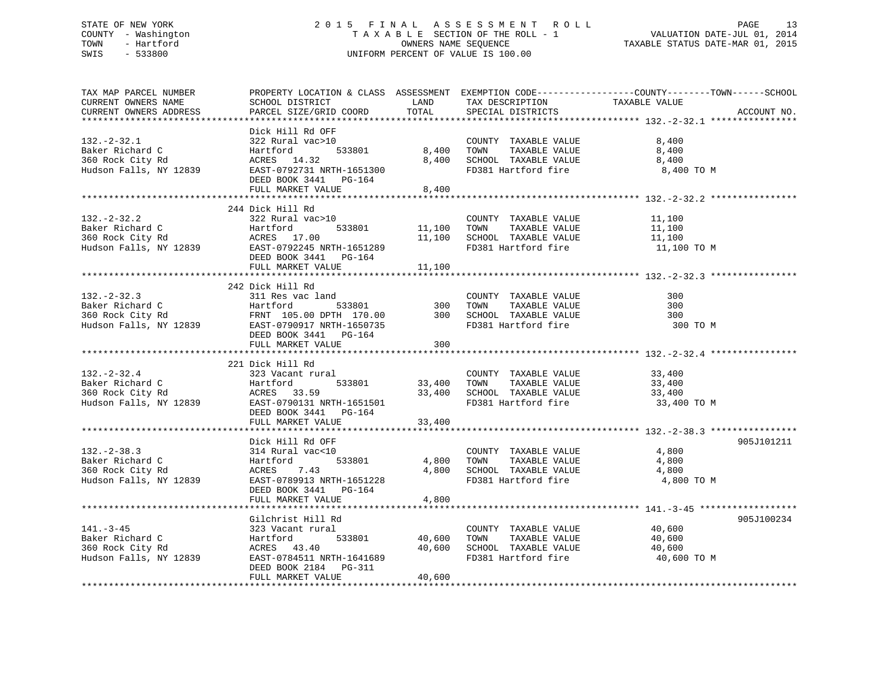# STATE OF NEW YORK 2 0 1 5 F I N A L A S S E S S M E N T R O L L PAGE 13 COUNTY - Washington T A X A B L E SECTION OF THE ROLL - 1 VALUATION DATE-JUL 01, 2014 TOWN - Hartford **TAXABLE STATUS DATE-MAR 01, 2015** OWNERS NAME SEQUENCE TAXABLE STATUS DATE-MAR 01, 2015 SWIS - 533800 UNIFORM PERCENT OF VALUE IS 100.00

| TAX MAP PARCEL NUMBER<br>CURRENT OWNERS NAME<br>CURRENT OWNERS ADDRESS                               | SCHOOL DISTRICT<br>PARCEL SIZE/GRID COORD                                                                                                                                                                                                                                                           | LAND<br>TOTAL    | TAX DESCRIPTION<br>SPECIAL DISTRICTS                                                                                  | PROPERTY LOCATION & CLASS ASSESSMENT EXEMPTION CODE----------------COUNTY-------TOWN------SCHOOL<br>TAXABLE VALUE<br>ACCOUNT NO. |
|------------------------------------------------------------------------------------------------------|-----------------------------------------------------------------------------------------------------------------------------------------------------------------------------------------------------------------------------------------------------------------------------------------------------|------------------|-----------------------------------------------------------------------------------------------------------------------|----------------------------------------------------------------------------------------------------------------------------------|
| $132 - 2 - 32.1$<br>Baker Richard C<br>360 Rock City Rd<br>Hudson Falls, NY 12839                    | Dick Hill Rd OFF<br>)<br>533801<br>322 Rural vac>10<br>Hartford 533801<br>ACRES 14.32<br>EAST-0792731 NRTH-1651300<br>DEED BOOK 3441 PG-164<br>FULL MARKET VALUE                                                                                                                                    | 8,400<br>8,400   | COUNTY TAXABLE VALUE<br>8,400 TOWN TAXABLE VALUE<br>SCHOOL TAXABLE VALUE<br>FD381 Hartford fire                       | 8,400<br>8,400<br>8,400<br>8,400 TO M                                                                                            |
| $132 - 2 - 32.2$                                                                                     | 244 Dick Hill Rd<br>322 Rural vac>10<br>Baker Richard C<br>Hartford 533801 11,100 TOWN TAXABLE VALUE 11,100<br>360 Rock City Rd ACRES 17.00 11,100 SCHOOL TAXABLE VALUE 11,100<br>Hudson Falls, NY 12839 EAST-0792245 NRTH-1651289 FD381 Hartford fire 11,100<br>DEED BOOK 344<br>FULL MARKET VALUE | 11,100           | COUNTY TAXABLE VALUE                                                                                                  | 11,100<br>11,100 TO M                                                                                                            |
|                                                                                                      |                                                                                                                                                                                                                                                                                                     |                  |                                                                                                                       |                                                                                                                                  |
| $132 - 2 - 32.3$                                                                                     | 242 Dick Hill Rd<br>311 Res vac land<br>DEED BOOK 3441 PG-164<br>FULL MARKET VALUE                                                                                                                                                                                                                  | 300              | COUNTY TAXABLE VALUE                                                                                                  | 300<br>300<br>300<br>300 TO M                                                                                                    |
|                                                                                                      |                                                                                                                                                                                                                                                                                                     |                  |                                                                                                                       |                                                                                                                                  |
| $132 - 2 - 32.4$<br>Baker Richard C<br>360 Rock City Rd<br>Hudson Falls, NY 12839                    | 221 Dick Hill Rd<br>323 Vacant rural<br>Hartford<br>ACRES 33.59<br>12839 EAST-0790131 NE<br>Hartford<br>EAST-0790131 NRTH-1651501<br>DEED BOOK 3441 PG-164<br>FULL MARKET VALUE                                                                                                                     | 33,400           | COUNTY TAXABLE VALUE 33,400<br>533801 33,400 TOWN TAXABLE VALUE<br>33,400 SCHOOL TAXABLE VALUE<br>FD381 Hartford fire | 33,400<br>33,400<br>33,400 TO M                                                                                                  |
|                                                                                                      |                                                                                                                                                                                                                                                                                                     |                  |                                                                                                                       |                                                                                                                                  |
| $132 - 2 - 38.3$<br>Baker Richard C<br>360 Rock City Rd<br>Hudson Falls, NY 12839                    | Dick Hill Rd OFF<br>314 Rural vac<10 COUNTY TAXABLE VALUE<br>Hartford 533801 4,800 TOWN TAXABLE VALUE<br>ACRES 7.43<br>EAST-0789913 NRTH-1651228<br>DEED BOOK 3441 PG-164<br>FULL MARKET VALUE                                                                                                      | 4,800            | 4,800 SCHOOL TAXABLE VALUE<br>FD381 Hartford fire                                                                     | 905J101211<br>4,800<br>4,800<br>4,800<br>4,800 TO M                                                                              |
|                                                                                                      |                                                                                                                                                                                                                                                                                                     |                  |                                                                                                                       |                                                                                                                                  |
| $141. - 3 - 45$<br>Baker Richard C<br>360 Rock City Rd<br>360 Rock City Rd<br>Hudson Falls, NY 12839 | Gilchrist Hill Rd<br>323 Vacant rural<br>533801 40,600<br>Hartford<br>ACRES 43.40<br>EAST-0784511 NRTH-1641689<br>DEED BOOK 2184 PG-311<br>FULL MARKET VALUE                                                                                                                                        | 40,600<br>40,600 | COUNTY TAXABLE VALUE 40,600<br>TOWN      TAXABLE VALUE<br>SCHOOL   TAXABLE VALUE<br>FD381 Hartford fire               | 905J100234<br>40,600<br>40,600<br>40,600<br>40,600 TO M                                                                          |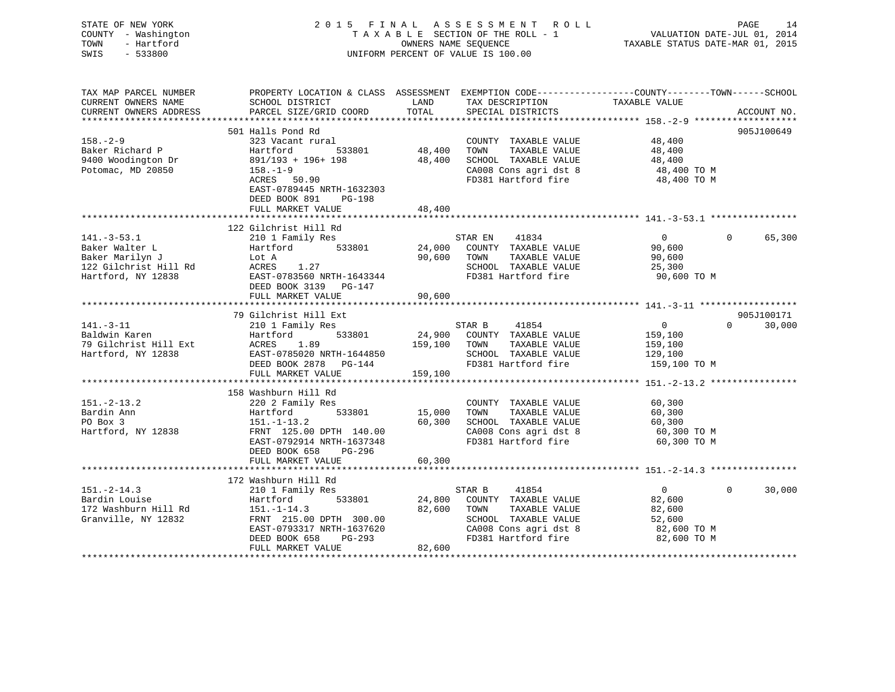| STATE OF NEW YORK<br>COUNTY - Washington<br>TOWN<br>- Hartford<br>SWIS<br>$-533800$               |                                                                                                                                                                                         | OWNERS NAME SEQUENCE       | 2015 FINAL ASSESSMENT ROLL<br>TAXABLE SECTION OF THE ROLL - 1<br>UNIFORM PERCENT OF VALUE IS 100.00                                      | PAGE 14<br>VALUATION DATE-JUL 01, 2014<br>TAXABLE STATUS DATE VILLET       |                                  |
|---------------------------------------------------------------------------------------------------|-----------------------------------------------------------------------------------------------------------------------------------------------------------------------------------------|----------------------------|------------------------------------------------------------------------------------------------------------------------------------------|----------------------------------------------------------------------------|----------------------------------|
| TAX MAP PARCEL NUMBER<br>CURRENT OWNERS NAME<br>CURRENT OWNERS ADDRESS                            | PROPERTY LOCATION & CLASS ASSESSMENT EXEMPTION CODE----------------COUNTY-------TOWN------SCHOOL<br>SCHOOL DISTRICT<br>PARCEL SIZE/GRID COORD                                           | LAND<br>TOTAL              | TAX DESCRIPTION<br>SPECIAL DISTRICTS                                                                                                     | TAXABLE VALUE                                                              | ACCOUNT NO.                      |
|                                                                                                   | 501 Halls Pond Rd                                                                                                                                                                       |                            |                                                                                                                                          |                                                                            | 905J100649                       |
| $158. - 2 - 9$<br>Baker Richard P<br>9400 Woodington Dr<br>Potomac, MD 20850                      | 323 Vacant rural<br>Hartford<br>533801<br>891/193 + 196+ 198<br>$158. - 1 - 9$<br>ACRES 50.90<br>EAST-0789445 NRTH-1632303<br>DEED BOOK 891 PG-198                                      | 48,400<br>48,400           | COUNTY TAXABLE VALUE<br>TOWN<br>TAXABLE VALUE<br>SCHOOL TAXABLE VALUE<br>CA008 Cons agri dst 8<br>FD381 Hartford fire                    | 48,400<br>48,400<br>48,400<br>48,400 TO M<br>48,400 TO M                   |                                  |
|                                                                                                   | FULL MARKET VALUE                                                                                                                                                                       | 48,400                     |                                                                                                                                          |                                                                            |                                  |
|                                                                                                   |                                                                                                                                                                                         |                            |                                                                                                                                          |                                                                            |                                  |
|                                                                                                   | 122 Gilchrist Hill Rd                                                                                                                                                                   |                            |                                                                                                                                          |                                                                            |                                  |
| $141.-3-53.1$<br>Baker Walter L<br>Baker Marilyn J<br>122 Gilchrist Hill Rd<br>Hartford, NY 12838 | 210 1 Family Res<br>533801<br>Hartford<br>Lot A<br>ACRES 1.27<br>EAST-0783560 NRTH-1643344<br>DEED BOOK 3139 PG-147                                                                     | 24,000                     | STAR EN<br>41834<br>COUNTY TAXABLE VALUE<br>TAXABLE VALUE<br>90,600 TOWN<br>SCHOOL TAXABLE VALUE<br>FD381 Hartford fire                  | $\overline{0}$<br>90,600<br>90,600<br>25,300<br>90,600 TO M                | $\Omega$<br>65,300               |
|                                                                                                   | FULL MARKET VALUE                                                                                                                                                                       | 90,600                     |                                                                                                                                          |                                                                            |                                  |
|                                                                                                   |                                                                                                                                                                                         |                            |                                                                                                                                          |                                                                            |                                  |
| $141. - 3 - 11$<br>Baldwin Karen<br>79 Gilchrist Hill Ext<br>Hartford, NY 12838                   | 79 Gilchrist Hill Ext<br>210 1 Family Res<br>533801<br>Hartford<br>ACRES 1.89<br>EAST-0785020 NRTH-1644850<br>DEED BOOK 2878 PG-144<br>FULL MARKET VALUE                                | 159,100 TOWN<br>159,100    | STAR B<br>41854<br>24,900 COUNTY TAXABLE VALUE<br>TAXABLE VALUE<br>SCHOOL TAXABLE VALUE<br>FD381 Hartford fire                           | $\overline{0}$<br>159,100<br>159,100<br>129,100<br>159,100 TO M            | 905J100171<br>$\Omega$<br>30,000 |
|                                                                                                   |                                                                                                                                                                                         |                            |                                                                                                                                          |                                                                            |                                  |
| $151 - 2 - 13.2$<br>Bardin Ann<br>PO Box 3<br>Hartford, NY 12838                                  | 158 Washburn Hill Rd<br>220 2 Family Res<br>533801<br>Hartford<br>$151.-1-13.2$<br>FRNT 125.00 DPTH 140.00<br>EAST-0792914 NRTH-1637348<br>DEED BOOK 658 PG-296                         | 15,000<br>60,300           | COUNTY TAXABLE VALUE<br>TOWN<br>TAXABLE VALUE<br>SCHOOL TAXABLE VALUE<br>CA008 Cons agri dst 8<br>FD381 Hartford fire                    | 60,300<br>60,300<br>60,300<br>60,300 TO M<br>60,300 TO M                   |                                  |
|                                                                                                   | FULL MARKET VALUE                                                                                                                                                                       | 60,300                     |                                                                                                                                          |                                                                            |                                  |
|                                                                                                   |                                                                                                                                                                                         |                            |                                                                                                                                          |                                                                            |                                  |
| $151. - 2 - 14.3$<br>Bardin Louise<br>172 Washburn Hill Rd<br>Granville, NY 12832                 | 172 Washburn Hill Rd<br>210 1 Family Res<br>Hartford<br>533801<br>$151.-1-14.3$<br>FRNT 215.00 DPTH 300.00<br>EAST-0793317 NRTH-1637620<br>DEED BOOK 658<br>PG-293<br>FULL MARKET VALUE | 24,800<br>82,600<br>82,600 | STAR B<br>41854<br>COUNTY TAXABLE VALUE<br>TOWN<br>TAXABLE VALUE<br>SCHOOL TAXABLE VALUE<br>CA008 Cons agri dst 8<br>FD381 Hartford fire | $\overline{0}$<br>82,600<br>82,600<br>52,600<br>82,600 TO M<br>82,600 TO M | $\Omega$<br>30,000               |
| *********************                                                                             |                                                                                                                                                                                         |                            |                                                                                                                                          |                                                                            |                                  |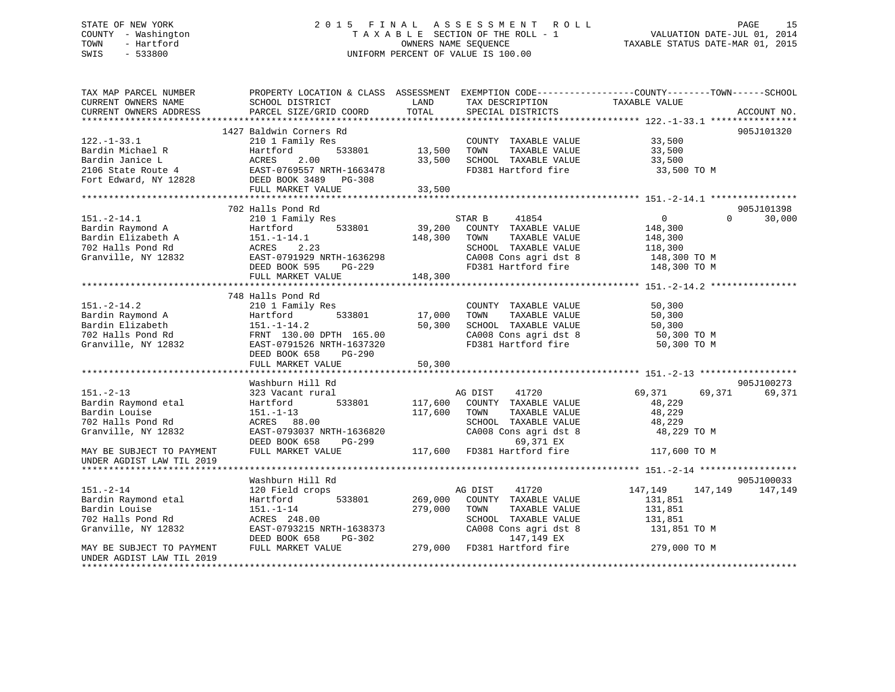# STATE OF NEW YORK 2 0 1 5 F I N A L A S S E S S M E N T R O L L PAGE 15 COUNTY - Washington T A X A B L E SECTION OF THE ROLL - 1 VALUATION DATE-JUL 01, 2014 TOWN - Hartford **TAXABLE STATUS DATE-MAR 01, 2015** OWNERS NAME SEQUENCE TAXABLE STATUS DATE-MAR 01, 2015 SWIS - 533800 UNIFORM PERCENT OF VALUE IS 100.00

| 1427 Baldwin Corners Rd<br>905J101320<br>COUNTY TAXABLE VALUE 33,500<br>533801 13,500<br>TOWN<br>TAXABLE VALUE 33,500<br>TAXABLE VALUE 33,500<br>Example 2010 For the Martford S33801<br>Bardin Janice Land Martford 533801<br>2106 State Route 4<br>Fort Edward, NY 12828<br>PEED BOOK 3489<br>33,500<br>SCHOOL TAXABLE VALUE<br>FD381 Hartford fire 33,500 TO M<br>33,500<br>702 Halls Pond Rd<br>905J101398<br>$\overline{0}$<br>30,000<br>$151.-2-14.1$<br>210 1 Family Res<br>STAR B<br>41854<br>$\Omega$<br>39,200 COUNTY TAXABLE VALUE<br>533801<br>Bardin Raymond A<br>Hartford<br>148,300<br>Bardin Elizabeth A<br>148,300<br>TAXABLE VALUE<br>$151.-1-14.1$<br>TOWN<br>148,300<br>ACRES 2.23<br>EAST-0791929 NRTH-1636298<br>COLLECTER PG-229<br>702 Halls Pond Rd<br>SCHOOL TAXABLE VALUE 118,300<br>CA008 Cons agri dst 8 148,300 TO M<br>Granville, NY 12832<br>FD381 Hartford fire 148,300 TO M<br>FULL MARKET VALUE<br>148,300<br>748 Halls Pond Rd<br>$151. - 2 - 14.2$<br>210 1 Family Res<br>COUNTY TAXABLE VALUE<br>50,300<br>Bardin Raymond A<br>533801<br>17,000<br>TOWN<br>TAXABLE VALUE<br>50,300<br>Hartford<br>50,300<br>50,300 TO M<br>200 TO M<br>Bardin Elizabeth<br>50,300<br>SCHOOL TAXABLE VALUE<br>$151. - 1 - 14.2$<br>702 Halls Pond Rd<br>CA008 Cons agri dst 8<br>FRNT 130.00 DPTH 165.00<br>FD381 Hartford fire<br>Granville, NY 12832<br>EAST-0791526 NRTH-1637320<br>50,300 TO M |
|-------------------------------------------------------------------------------------------------------------------------------------------------------------------------------------------------------------------------------------------------------------------------------------------------------------------------------------------------------------------------------------------------------------------------------------------------------------------------------------------------------------------------------------------------------------------------------------------------------------------------------------------------------------------------------------------------------------------------------------------------------------------------------------------------------------------------------------------------------------------------------------------------------------------------------------------------------------------------------------------------------------------------------------------------------------------------------------------------------------------------------------------------------------------------------------------------------------------------------------------------------------------------------------------------------------------------------------------------------------------------------------------------------------------------|
|                                                                                                                                                                                                                                                                                                                                                                                                                                                                                                                                                                                                                                                                                                                                                                                                                                                                                                                                                                                                                                                                                                                                                                                                                                                                                                                                                                                                                         |
|                                                                                                                                                                                                                                                                                                                                                                                                                                                                                                                                                                                                                                                                                                                                                                                                                                                                                                                                                                                                                                                                                                                                                                                                                                                                                                                                                                                                                         |
|                                                                                                                                                                                                                                                                                                                                                                                                                                                                                                                                                                                                                                                                                                                                                                                                                                                                                                                                                                                                                                                                                                                                                                                                                                                                                                                                                                                                                         |
|                                                                                                                                                                                                                                                                                                                                                                                                                                                                                                                                                                                                                                                                                                                                                                                                                                                                                                                                                                                                                                                                                                                                                                                                                                                                                                                                                                                                                         |
|                                                                                                                                                                                                                                                                                                                                                                                                                                                                                                                                                                                                                                                                                                                                                                                                                                                                                                                                                                                                                                                                                                                                                                                                                                                                                                                                                                                                                         |
|                                                                                                                                                                                                                                                                                                                                                                                                                                                                                                                                                                                                                                                                                                                                                                                                                                                                                                                                                                                                                                                                                                                                                                                                                                                                                                                                                                                                                         |
|                                                                                                                                                                                                                                                                                                                                                                                                                                                                                                                                                                                                                                                                                                                                                                                                                                                                                                                                                                                                                                                                                                                                                                                                                                                                                                                                                                                                                         |
|                                                                                                                                                                                                                                                                                                                                                                                                                                                                                                                                                                                                                                                                                                                                                                                                                                                                                                                                                                                                                                                                                                                                                                                                                                                                                                                                                                                                                         |
|                                                                                                                                                                                                                                                                                                                                                                                                                                                                                                                                                                                                                                                                                                                                                                                                                                                                                                                                                                                                                                                                                                                                                                                                                                                                                                                                                                                                                         |
|                                                                                                                                                                                                                                                                                                                                                                                                                                                                                                                                                                                                                                                                                                                                                                                                                                                                                                                                                                                                                                                                                                                                                                                                                                                                                                                                                                                                                         |
|                                                                                                                                                                                                                                                                                                                                                                                                                                                                                                                                                                                                                                                                                                                                                                                                                                                                                                                                                                                                                                                                                                                                                                                                                                                                                                                                                                                                                         |
|                                                                                                                                                                                                                                                                                                                                                                                                                                                                                                                                                                                                                                                                                                                                                                                                                                                                                                                                                                                                                                                                                                                                                                                                                                                                                                                                                                                                                         |
|                                                                                                                                                                                                                                                                                                                                                                                                                                                                                                                                                                                                                                                                                                                                                                                                                                                                                                                                                                                                                                                                                                                                                                                                                                                                                                                                                                                                                         |
|                                                                                                                                                                                                                                                                                                                                                                                                                                                                                                                                                                                                                                                                                                                                                                                                                                                                                                                                                                                                                                                                                                                                                                                                                                                                                                                                                                                                                         |
|                                                                                                                                                                                                                                                                                                                                                                                                                                                                                                                                                                                                                                                                                                                                                                                                                                                                                                                                                                                                                                                                                                                                                                                                                                                                                                                                                                                                                         |
|                                                                                                                                                                                                                                                                                                                                                                                                                                                                                                                                                                                                                                                                                                                                                                                                                                                                                                                                                                                                                                                                                                                                                                                                                                                                                                                                                                                                                         |
|                                                                                                                                                                                                                                                                                                                                                                                                                                                                                                                                                                                                                                                                                                                                                                                                                                                                                                                                                                                                                                                                                                                                                                                                                                                                                                                                                                                                                         |
|                                                                                                                                                                                                                                                                                                                                                                                                                                                                                                                                                                                                                                                                                                                                                                                                                                                                                                                                                                                                                                                                                                                                                                                                                                                                                                                                                                                                                         |
|                                                                                                                                                                                                                                                                                                                                                                                                                                                                                                                                                                                                                                                                                                                                                                                                                                                                                                                                                                                                                                                                                                                                                                                                                                                                                                                                                                                                                         |
|                                                                                                                                                                                                                                                                                                                                                                                                                                                                                                                                                                                                                                                                                                                                                                                                                                                                                                                                                                                                                                                                                                                                                                                                                                                                                                                                                                                                                         |
|                                                                                                                                                                                                                                                                                                                                                                                                                                                                                                                                                                                                                                                                                                                                                                                                                                                                                                                                                                                                                                                                                                                                                                                                                                                                                                                                                                                                                         |
|                                                                                                                                                                                                                                                                                                                                                                                                                                                                                                                                                                                                                                                                                                                                                                                                                                                                                                                                                                                                                                                                                                                                                                                                                                                                                                                                                                                                                         |
|                                                                                                                                                                                                                                                                                                                                                                                                                                                                                                                                                                                                                                                                                                                                                                                                                                                                                                                                                                                                                                                                                                                                                                                                                                                                                                                                                                                                                         |
| DEED BOOK 658 PG-290                                                                                                                                                                                                                                                                                                                                                                                                                                                                                                                                                                                                                                                                                                                                                                                                                                                                                                                                                                                                                                                                                                                                                                                                                                                                                                                                                                                                    |
| 50, 300<br>FULL MARKET VALUE                                                                                                                                                                                                                                                                                                                                                                                                                                                                                                                                                                                                                                                                                                                                                                                                                                                                                                                                                                                                                                                                                                                                                                                                                                                                                                                                                                                            |
|                                                                                                                                                                                                                                                                                                                                                                                                                                                                                                                                                                                                                                                                                                                                                                                                                                                                                                                                                                                                                                                                                                                                                                                                                                                                                                                                                                                                                         |
| Washburn Hill Rd<br>905J100273                                                                                                                                                                                                                                                                                                                                                                                                                                                                                                                                                                                                                                                                                                                                                                                                                                                                                                                                                                                                                                                                                                                                                                                                                                                                                                                                                                                          |
| $151. - 2 - 13$<br>323 Vacant rural<br>AG DIST<br>41720<br>69,371<br>69,371<br>69,371                                                                                                                                                                                                                                                                                                                                                                                                                                                                                                                                                                                                                                                                                                                                                                                                                                                                                                                                                                                                                                                                                                                                                                                                                                                                                                                                   |
| Bardin Raymond etal<br>533801<br>117,600<br>COUNTY TAXABLE VALUE<br>Hartford<br>48,229                                                                                                                                                                                                                                                                                                                                                                                                                                                                                                                                                                                                                                                                                                                                                                                                                                                                                                                                                                                                                                                                                                                                                                                                                                                                                                                                  |
| Bardin Louise<br>117,600<br>TAXABLE VALUE<br>48,229<br>$151. - 1 - 13$<br>TOWN                                                                                                                                                                                                                                                                                                                                                                                                                                                                                                                                                                                                                                                                                                                                                                                                                                                                                                                                                                                                                                                                                                                                                                                                                                                                                                                                          |
| SCHOOL TAXABLE VALUE<br>702 Halls Pond Rd<br>ACRES 88.00<br>48,229                                                                                                                                                                                                                                                                                                                                                                                                                                                                                                                                                                                                                                                                                                                                                                                                                                                                                                                                                                                                                                                                                                                                                                                                                                                                                                                                                      |
| CA008 Cons agri dst 8<br>Granville, NY 12832<br>EAST-0793037 NRTH-1636820<br>48,229 TO M                                                                                                                                                                                                                                                                                                                                                                                                                                                                                                                                                                                                                                                                                                                                                                                                                                                                                                                                                                                                                                                                                                                                                                                                                                                                                                                                |
| PG-299<br>69,371 EX<br>DEED BOOK 658                                                                                                                                                                                                                                                                                                                                                                                                                                                                                                                                                                                                                                                                                                                                                                                                                                                                                                                                                                                                                                                                                                                                                                                                                                                                                                                                                                                    |
| $117,600$ FD381 Hartford fire<br>FULL MARKET VALUE<br>117,600 TO M<br>MAY BE SUBJECT TO PAYMENT                                                                                                                                                                                                                                                                                                                                                                                                                                                                                                                                                                                                                                                                                                                                                                                                                                                                                                                                                                                                                                                                                                                                                                                                                                                                                                                         |
| UNDER AGDIST LAW TIL 2019                                                                                                                                                                                                                                                                                                                                                                                                                                                                                                                                                                                                                                                                                                                                                                                                                                                                                                                                                                                                                                                                                                                                                                                                                                                                                                                                                                                               |
|                                                                                                                                                                                                                                                                                                                                                                                                                                                                                                                                                                                                                                                                                                                                                                                                                                                                                                                                                                                                                                                                                                                                                                                                                                                                                                                                                                                                                         |
| Washburn Hill Rd<br>905J100033                                                                                                                                                                                                                                                                                                                                                                                                                                                                                                                                                                                                                                                                                                                                                                                                                                                                                                                                                                                                                                                                                                                                                                                                                                                                                                                                                                                          |
| $151. - 2 - 14$<br>AG DIST 41720<br>147, 149 147, 149<br>120 Field crops<br>147,149                                                                                                                                                                                                                                                                                                                                                                                                                                                                                                                                                                                                                                                                                                                                                                                                                                                                                                                                                                                                                                                                                                                                                                                                                                                                                                                                     |
| Bardin Raymond etal<br>533801<br>269,000 COUNTY TAXABLE VALUE<br>Hartford<br>131,851                                                                                                                                                                                                                                                                                                                                                                                                                                                                                                                                                                                                                                                                                                                                                                                                                                                                                                                                                                                                                                                                                                                                                                                                                                                                                                                                    |
| Bardin Louise<br>279,000<br>$151.-1-14$<br>TOWN<br>TAXABLE VALUE<br>131,851                                                                                                                                                                                                                                                                                                                                                                                                                                                                                                                                                                                                                                                                                                                                                                                                                                                                                                                                                                                                                                                                                                                                                                                                                                                                                                                                             |
| 702 Halls Pond Rd<br>ACRES 248.00<br>SCHOOL TAXABLE VALUE<br>131,851                                                                                                                                                                                                                                                                                                                                                                                                                                                                                                                                                                                                                                                                                                                                                                                                                                                                                                                                                                                                                                                                                                                                                                                                                                                                                                                                                    |
| Granville, NY 12832<br>EAST-0793215 NRTH-1638373<br>131,851 TO M                                                                                                                                                                                                                                                                                                                                                                                                                                                                                                                                                                                                                                                                                                                                                                                                                                                                                                                                                                                                                                                                                                                                                                                                                                                                                                                                                        |
| CA008 Cons agri dst 8<br>147,149 EX<br>1638373 CA008 Cons agri dst 8 131,851 TO M<br>3-302 147,149 EX<br>279,000 FD381 Hartford fire 279,000 TO M<br>DEED BOOK 658<br>PG-302                                                                                                                                                                                                                                                                                                                                                                                                                                                                                                                                                                                                                                                                                                                                                                                                                                                                                                                                                                                                                                                                                                                                                                                                                                            |
| FULL MARKET VALUE<br>MAY BE SUBJECT TO PAYMENT                                                                                                                                                                                                                                                                                                                                                                                                                                                                                                                                                                                                                                                                                                                                                                                                                                                                                                                                                                                                                                                                                                                                                                                                                                                                                                                                                                          |
| UNDER AGDIST LAW TIL 2019                                                                                                                                                                                                                                                                                                                                                                                                                                                                                                                                                                                                                                                                                                                                                                                                                                                                                                                                                                                                                                                                                                                                                                                                                                                                                                                                                                                               |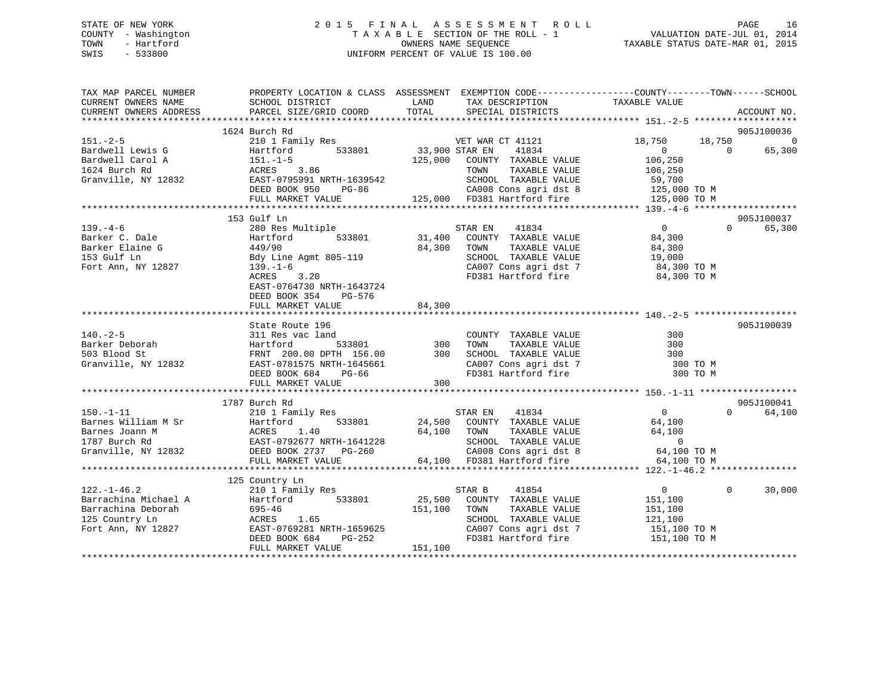# STATE OF NEW YORK 2 0 1 5 F I N A L A S S E S S M E N T R O L L PAGE 16 COUNTY - Washington T A X A B L E SECTION OF THE ROLL - 1 VALUATION DATE-JUL 01, 2014 TOWN - Hartford **TAXABLE STATUS DATE-MAR 01, 2015** OWNERS NAME SEQUENCE TAXABLE STATUS DATE-MAR 01, 2015 SWIS - 533800 UNIFORM PERCENT OF VALUE IS 100.00

| TAX MAP PARCEL NUMBER<br>CURRENT OWNERS NAME<br>CURRENT OWNERS ADDRESS | SCHOOL DISTRICT<br>PARCEL SIZE/GRID COORD                                                                                                         | PROPERTY LOCATION & CLASS ASSESSMENT EXEMPTION CODE---------------COUNTY-------TOWN-----SCHOOL<br>LAND<br>TAX DESCRIPTION<br>TOTAL<br>SPECIAL DISTRICTS | TAXABLE VALUE              | ACCOUNT NO.    |
|------------------------------------------------------------------------|---------------------------------------------------------------------------------------------------------------------------------------------------|---------------------------------------------------------------------------------------------------------------------------------------------------------|----------------------------|----------------|
|                                                                        |                                                                                                                                                   |                                                                                                                                                         |                            |                |
|                                                                        | 1624 Burch Rd                                                                                                                                     |                                                                                                                                                         |                            | 905J100036     |
| $151 - 2 - 5$                                                          | 210 1 Family Res                                                                                                                                  | VET WAR CT 41121                                                                                                                                        | 18,750<br>18,750           | $\overline{0}$ |
| Bardwell Lewis G                                                       | Hartford                                                                                                                                          | 533801 33,900 STAR EN<br>41834                                                                                                                          | $\Omega$<br>$\Omega$       | 65,300         |
| Bardwell Carol A                                                       | $151. - 1 - 5$                                                                                                                                    | 125,000 COUNTY TAXABLE VALUE                                                                                                                            | 106,250                    |                |
| 1624 Burch Rd                                                          | ACRES 3.86                                                                                                                                        | TAXABLE VALUE<br>TOWN                                                                                                                                   | 106,250                    |                |
| Granville, NY 12832                                                    | EAST-0795991 NRTH-1639542                                                                                                                         | SCHOOL TAXABLE VALUE<br>SCHOOL TAXABLE VALUE 59,700<br>CAOO8 Cons agri dst 8 125,000 TO M                                                               |                            |                |
|                                                                        | DEED BOOK 950<br>PG-86                                                                                                                            |                                                                                                                                                         |                            |                |
|                                                                        | FULL MARKET VALUE                                                                                                                                 | 125,000 FD381 Hartford fire                                                                                                                             | 125,000 TO M               |                |
|                                                                        |                                                                                                                                                   |                                                                                                                                                         |                            |                |
|                                                                        | 153 Gulf Ln                                                                                                                                       |                                                                                                                                                         | $\overline{0}$             | 905J100037     |
| $139. -4 - 6$                                                          | 280 Res Multiple<br>533801                                                                                                                        | STAR EN 41834                                                                                                                                           | $\Omega$<br>84,300         | 65,300         |
| Barker C. Dale<br>Parker Elaine G<br>Barker Elaine G                   | Hartford                                                                                                                                          | 31,400 COUNTY TAXABLE VALUE                                                                                                                             |                            |                |
|                                                                        | 449/90                                                                                                                                            | 84,300<br>TAXABLE VALUE<br>TOWN                                                                                                                         | 84,300                     |                |
| 153 Gulf Ln                                                            | Bdy Line Agmt 805-119                                                                                                                             | SCHOOL TAXABLE VALUE                                                                                                                                    | 19,000<br>84,300 TO M      |                |
| Fort Ann, NY 12827                                                     | $139. - 1 - 6$                                                                                                                                    | CA007 Cons agri dst 7                                                                                                                                   |                            |                |
|                                                                        | ACRES<br>3.20                                                                                                                                     | FD381 Hartford fire 84,300 TO M                                                                                                                         |                            |                |
|                                                                        | EAST-0764730 NRTH-1643724                                                                                                                         |                                                                                                                                                         |                            |                |
|                                                                        | DEED BOOK 354<br>PG-576                                                                                                                           |                                                                                                                                                         |                            |                |
|                                                                        | FULL MARKET VALUE                                                                                                                                 | 84,300                                                                                                                                                  |                            |                |
|                                                                        |                                                                                                                                                   |                                                                                                                                                         |                            |                |
|                                                                        | State Route 196                                                                                                                                   |                                                                                                                                                         |                            | 905J100039     |
| $140. - 2 - 5$                                                         | 311 Res vac land                                                                                                                                  | COUNTY TAXABLE VALUE                                                                                                                                    | 300                        |                |
| Barker Deborah<br>The Planet St                                        | Hartford 533801 300<br>FRNT 200.00 DPTH 156.00 300                                                                                                | TAXABLE VALUE<br>TOWN                                                                                                                                   | 300                        |                |
| 503 Blood St                                                           |                                                                                                                                                   | SCHOOL TAXABLE VALUE                                                                                                                                    | 300                        |                |
| Granville, NY 12832                                                    | EAST-0781575<br>== 0781575 NRTH-1645661<br>== 0807 CM DC-66                                                                                       | SCHOOD Innumer<br>CA007 Cons agri dst 7<br>----- Tentford fire                                                                                          | 300 TO M                   |                |
|                                                                        | DEED BOOK 684 PG-66                                                                                                                               |                                                                                                                                                         | 300 TO M                   |                |
|                                                                        | FULL MARKET VALUE                                                                                                                                 | 300                                                                                                                                                     |                            |                |
|                                                                        |                                                                                                                                                   |                                                                                                                                                         |                            |                |
|                                                                        | 1787 Burch Rd                                                                                                                                     |                                                                                                                                                         |                            | 905J100041     |
| $150. - 1 - 11$                                                        | 210 1 Family Res                                                                                                                                  | STAR EN 41834                                                                                                                                           | $\overline{0}$<br>$\Omega$ | 64,100         |
|                                                                        |                                                                                                                                                   | 533801 24,500 COUNTY TAXABLE VALUE                                                                                                                      | 64,100                     |                |
|                                                                        |                                                                                                                                                   | 64,100 TOWN<br>TOWN TAXABLE VALUE<br>SCHOOL TAXABLE VALUE                                                                                               | 64,100                     |                |
|                                                                        |                                                                                                                                                   |                                                                                                                                                         | $\sim$ 0                   |                |
|                                                                        | Barnes William M Sr<br>Barnes Joann M M ACRES 1.40 64,100<br>1787 Burch Rd EAST-0792677 NRTH-1641228<br>Granville, NY 12832 DEED BOOK 2737 PG-260 | CA008 Cons agri dst 8<br>64,100 FD381 Hartford fire                                                                                                     | 64,100 TO M                |                |
|                                                                        | FULL MARKET VALUE                                                                                                                                 |                                                                                                                                                         | 64,100 TO M                |                |
|                                                                        |                                                                                                                                                   |                                                                                                                                                         |                            |                |
|                                                                        | 125 Country Ln                                                                                                                                    |                                                                                                                                                         |                            |                |
| $122. - 1 - 46.2$                                                      | 210 1 Family Res                                                                                                                                  | STAR B<br>41854                                                                                                                                         | $\overline{0}$<br>$\Omega$ | 30,000         |
| Barrachina Michael A                                                   | Hartford 533801                                                                                                                                   | 25,500<br>COUNTY TAXABLE VALUE                                                                                                                          | 151,100                    |                |
| Barrachina Deborah<br>125 Country Ln                                   | 695-46                                                                                                                                            | 151,100<br>TOWN<br>TAXABLE VALUE                                                                                                                        | 151,100                    |                |
|                                                                        | ACRES<br>1.65                                                                                                                                     | SCHOOL TAXABLE VALUE                                                                                                                                    | 121,100                    |                |
| Fort Ann, NY 12827                                                     | IRTH-1659625<br>PG-252<br>EAST-0769281 NRTH-1659625                                                                                               | CA007 Cons agri dst 7 151,100 TO M<br>FD381 Hartford fire 151,100 TO M                                                                                  |                            |                |
|                                                                        | DEED BOOK 684                                                                                                                                     |                                                                                                                                                         |                            |                |
|                                                                        | FULL MARKET VALUE                                                                                                                                 | 151,100                                                                                                                                                 |                            |                |
|                                                                        |                                                                                                                                                   |                                                                                                                                                         |                            |                |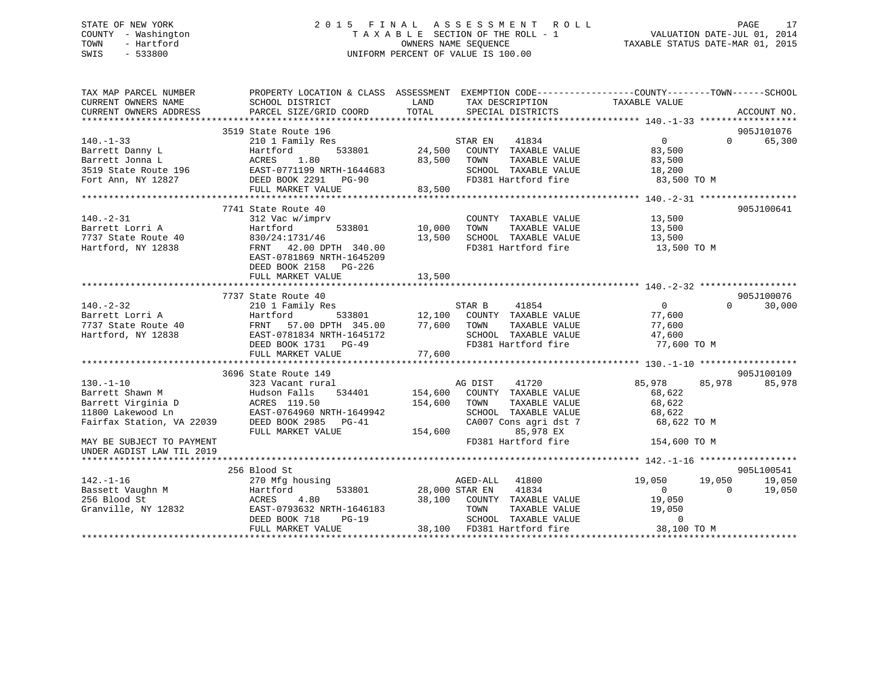# STATE OF NEW YORK 2 0 1 5 F I N A L A S S E S S M E N T R O L L PAGE 17 COUNTY - Washington T A X A B L E SECTION OF THE ROLL - 1 VALUATION DATE-JUL 01, 2014 TOWN - Hartford **TAXABLE STATUS DATE-MAR 01, 2015** OWNERS NAME SEQUENCE TAXABLE STATUS DATE-MAR 01, 2015 SWIS - 533800 UNIFORM PERCENT OF VALUE IS 100.00

| TAX MAP PARCEL NUMBER                         |                                           | PROPERTY LOCATION & CLASS ASSESSMENT EXEMPTION CODE---------------COUNTY-------TOWN------SCHOOL<br>LAND |                                      |
|-----------------------------------------------|-------------------------------------------|---------------------------------------------------------------------------------------------------------|--------------------------------------|
| CURRENT OWNERS NAME<br>CURRENT OWNERS ADDRESS | SCHOOL DISTRICT<br>PARCEL SIZE/GRID COORD | TAX DESCRIPTION<br>TOTAL<br>SPECIAL DISTRICTS                                                           | TAXABLE VALUE<br>ACCOUNT NO.         |
|                                               |                                           |                                                                                                         |                                      |
|                                               | 3519 State Route 196                      |                                                                                                         | 905J101076                           |
|                                               |                                           |                                                                                                         | $\overline{0}$<br>65,300<br>$\Omega$ |
| $140. - 1 - 33$                               | 210 1 Family Res<br>533801                | STAR EN<br>41834<br>24,500 COUNTY TAXABLE VALUE                                                         |                                      |
|                                               |                                           |                                                                                                         | 83,500                               |
|                                               |                                           | 83,500 TOWN<br>TAXABLE VALUE                                                                            | 83,500                               |
|                                               | EAST-0771199 NRTH-1644683                 | SCHOOL TAXABLE VALUE<br>SCHUOL TAXABLE VALUE<br>FD381 Hartford fire                                     | 18,200                               |
|                                               |                                           |                                                                                                         | 83,500 TO M                          |
|                                               |                                           | 83,500                                                                                                  |                                      |
|                                               |                                           |                                                                                                         |                                      |
|                                               | 7741 State Route 40                       |                                                                                                         | 905J100641                           |
| $140. -2 - 31$                                | 312 Vac w/imprv                           | COUNTY TAXABLE VALUE                                                                                    | 13,500                               |
| Barrett Lorri A                               | Hartford                                  | 533801 10,000<br>TAXABLE VALUE<br>TOWN                                                                  | 13,500                               |
| 7737 State Route 40                           | 830/24:1731/46                            | 13,500<br>SCHOOL TAXABLE VALUE                                                                          | 13,500                               |
| Hartford, NY 12838                            | FRNT 42.00 DPTH 340.00                    | VALUE VALUE<br>FD381 Hartford fire                                                                      | $13,500$ TO M                        |
|                                               | EAST-0781869 NRTH-1645209                 |                                                                                                         |                                      |
|                                               | DEED BOOK 2158 PG-226                     |                                                                                                         |                                      |
|                                               | FULL MARKET VALUE                         | 13,500                                                                                                  |                                      |
|                                               |                                           |                                                                                                         |                                      |
|                                               | 7737 State Route 40                       |                                                                                                         | 905J100076                           |
| $140. - 2 - 32$                               | 210 1 Family Res                          |                                                                                                         | $\overline{0}$<br>$\Omega$<br>30,000 |
| Barrett Lorri A                               | Hartford                                  |                                                                                                         | 77,600                               |
| 7737 State Route 40                           | FRNT 57.00 DPTH 345.00                    | 77,600 TOWN<br>TAXABLE VALUE                                                                            | 77,600                               |
| Hartford, NY 12838                            | EAST-0781834 NRTH-1645172                 | SCHOOL TAXABLE VALUE                                                                                    | 47,600                               |
|                                               | DEED BOOK 1731 PG-49                      | FD381 Hartford fire                                                                                     | 77,600 TO M                          |
|                                               |                                           | 77,600                                                                                                  |                                      |
|                                               | FULL MARKET VALUE                         |                                                                                                         |                                      |
|                                               |                                           |                                                                                                         |                                      |
|                                               | 3696 State Route 149                      |                                                                                                         | 905J100109                           |
| $130. - 1 - 10$                               | 323 Vacant rural                          | AG DIST<br>41720                                                                                        | 85,978<br>85,978<br>85,978           |
| Barrett Shawn M                               | Hudson Falls<br>534401                    | 154,600<br>COUNTY TAXABLE VALUE                                                                         | 68,622                               |
| Barrett Virginia D                            | ACRES 119.50                              | 154,600 TOWN<br>TAXABLE VALUE                                                                           | 68,622                               |
| 11800 Lakewood Ln                             | EAST-0764960 NRTH-1649942                 | SCHOOL TAXABLE VALUE                                                                                    | 68,622                               |
| Fairfax Station, VA 22039                     | DEED BOOK 2985 PG-41                      | CA007 Cons agri dst 7                                                                                   | 68,622 TO M                          |
|                                               | FULL MARKET VALUE                         | 154,600<br>85,978 EX                                                                                    |                                      |
| MAY BE SUBJECT TO PAYMENT                     |                                           | FD381 Hartford fire                                                                                     | 154,600 TO M                         |
| UNDER AGDIST LAW TIL 2019                     |                                           |                                                                                                         |                                      |
|                                               |                                           |                                                                                                         |                                      |
|                                               | 256 Blood St                              |                                                                                                         | 905L100541                           |
| $142. - 1 - 16$                               | 270 Mfg housing                           | AGED-ALL<br>41800                                                                                       | 19,050<br>19,050<br>19,050           |
| Bassett Vaughn M                              | Hartford                                  | 533801 28,000 STAR EN<br>41834                                                                          | $\overline{0}$<br>$\Omega$<br>19,050 |
| 256 Blood St                                  | ACRES<br>4.80                             | 38,100 COUNTY TAXABLE VALUE                                                                             | 19,050                               |
| Granville, NY 12832                           | EAST-0793632 NRTH-1646183                 | TOWN<br>TAXABLE VALUE                                                                                   | 19,050                               |
|                                               | DEED BOOK 718<br>$PG-19$                  | SCHOOL TAXABLE VALUE                                                                                    | $\Omega$                             |
|                                               | FULL MARKET VALUE                         | 38,100 FD381 Hartford fire                                                                              | 38,100 TO M                          |
|                                               |                                           |                                                                                                         |                                      |
|                                               |                                           |                                                                                                         |                                      |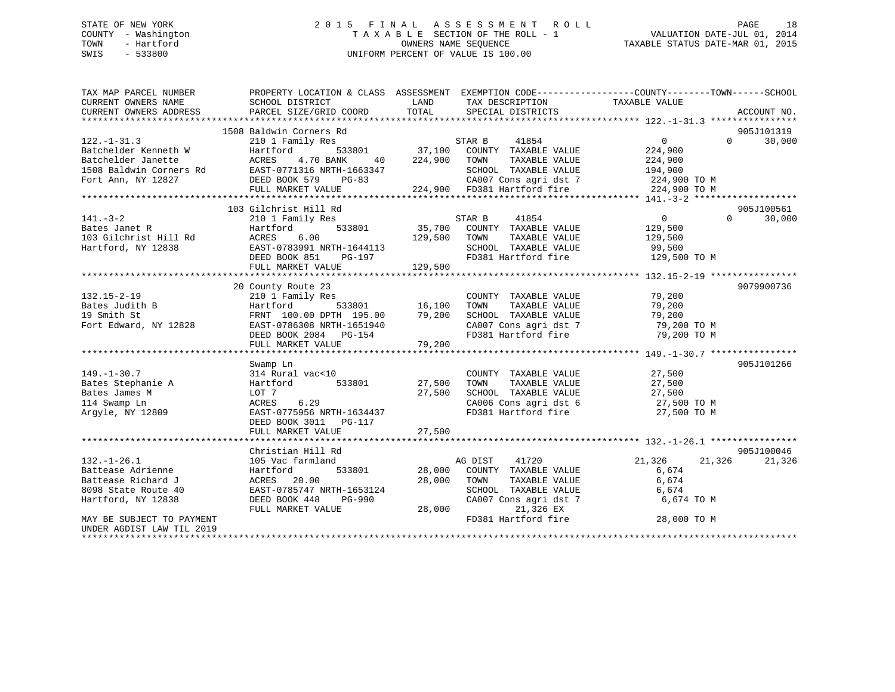# STATE OF NEW YORK 2 0 1 5 F I N A L A S S E S S M E N T R O L L PAGE 18 COUNTY - Washington T A X A B L E SECTION OF THE ROLL - 1 VALUATION DATE-JUL 01, 2014 TOWN - Hartford OWNERS NAME SEQUENCE TAXABLE STATUS DATE-MAR 01, 2015 SWIS - 533800 UNIFORM PERCENT OF VALUE IS 100.00

| TAX MAP PARCEL NUMBER<br>CURRENT OWNERS NAME<br>CURRENT OWNERS ADDRESS | SCHOOL DISTRICT<br>PARCEL SIZE/GRID COORD                                                                                                                                                                                                        | LAND<br>TOTAL   | TAX DESCRIPTION<br>SPECIAL DISTRICTS                    | PROPERTY LOCATION & CLASS ASSESSMENT EXEMPTION CODE---------------COUNTY-------TOWN-----SCHOOL<br>TAXABLE VALUE                                                                                                                                  | ACCOUNT NO.        |
|------------------------------------------------------------------------|--------------------------------------------------------------------------------------------------------------------------------------------------------------------------------------------------------------------------------------------------|-----------------|---------------------------------------------------------|--------------------------------------------------------------------------------------------------------------------------------------------------------------------------------------------------------------------------------------------------|--------------------|
|                                                                        |                                                                                                                                                                                                                                                  |                 |                                                         |                                                                                                                                                                                                                                                  |                    |
|                                                                        | 1508 Baldwin Corners Rd                                                                                                                                                                                                                          |                 |                                                         |                                                                                                                                                                                                                                                  | 905J101319         |
| $122. - 1 - 31.3$                                                      | 210 1 Family Res                                                                                                                                                                                                                                 |                 |                                                         | $\overline{0}$                                                                                                                                                                                                                                   | 30,000<br>$\Omega$ |
| Batchelder Kenneth W                                                   | Hartford                                                                                                                                                                                                                                         |                 |                                                         | 224,900                                                                                                                                                                                                                                          |                    |
|                                                                        |                                                                                                                                                                                                                                                  | 40 224,900 TOWN | TAXABLE VALUE                                           | 224,900                                                                                                                                                                                                                                          |                    |
|                                                                        |                                                                                                                                                                                                                                                  |                 | SCHOOL TAXABLE VALUE                                    | 194,900                                                                                                                                                                                                                                          |                    |
|                                                                        | Batchelder Janette<br>Batchelder Janette<br>1508 Baldwin Corners Rd<br>1508 Baldwin Corners Rd<br>1508 Baldwin Corners Rd<br>1608 Baldwin Corners Rd<br>1608 Baldwin Corners Rd<br>1608 Baldwin Corners Rd<br>1608 Baldwin Corners Rd<br>1608 Ba |                 |                                                         | CA007 Cons agri dst 7 224,900 TO M                                                                                                                                                                                                               |                    |
|                                                                        | FULL MARKET VALUE                                                                                                                                                                                                                                |                 | 224,900 FD381 Hartford fire                             | 224,900 TO M                                                                                                                                                                                                                                     |                    |
|                                                                        |                                                                                                                                                                                                                                                  |                 |                                                         |                                                                                                                                                                                                                                                  |                    |
|                                                                        | 103 Gilchrist Hill Rd                                                                                                                                                                                                                            |                 |                                                         |                                                                                                                                                                                                                                                  | 905J100561         |
| $141. - 3 - 2$                                                         | 210 1 Family Res                                                                                                                                                                                                                                 |                 | STAR B<br>41854                                         | $\overline{0}$<br>$\Omega$                                                                                                                                                                                                                       | 30,000             |
| Bates Janet R                                                          | Hartford                                                                                                                                                                                                                                         |                 | $\overline{333801}$ 35,700 COUNTY TAXABLE VALUE 129,500 |                                                                                                                                                                                                                                                  |                    |
|                                                                        |                                                                                                                                                                                                                                                  | 129,500         | TAXABLE VALUE<br>TOWN                                   | 129,500                                                                                                                                                                                                                                          |                    |
|                                                                        |                                                                                                                                                                                                                                                  |                 | SCHOOL TAXABLE VALUE                                    | 99,500                                                                                                                                                                                                                                           |                    |
|                                                                        | DEED BOOK 851<br>PG-197                                                                                                                                                                                                                          |                 |                                                         | FD381 Hartford fire 129,500 TO M                                                                                                                                                                                                                 |                    |
|                                                                        | FULL MARKET VALUE                                                                                                                                                                                                                                | 129,500         |                                                         |                                                                                                                                                                                                                                                  |                    |
|                                                                        |                                                                                                                                                                                                                                                  |                 |                                                         |                                                                                                                                                                                                                                                  |                    |
|                                                                        | 20 County Route 23                                                                                                                                                                                                                               |                 |                                                         |                                                                                                                                                                                                                                                  | 9079900736         |
| $132.15 - 2 - 19$                                                      | 210 1 Family Res                                                                                                                                                                                                                                 |                 | COUNTY TAXABLE VALUE 79,200                             |                                                                                                                                                                                                                                                  |                    |
| Bates Judith B                                                         | Hartford                                                                                                                                                                                                                                         | 533801 16,100   | TOWN<br>TAXABLE VALUE                                   | 79,200                                                                                                                                                                                                                                           |                    |
|                                                                        |                                                                                                                                                                                                                                                  |                 |                                                         |                                                                                                                                                                                                                                                  |                    |
|                                                                        |                                                                                                                                                                                                                                                  |                 |                                                         |                                                                                                                                                                                                                                                  |                    |
|                                                                        |                                                                                                                                                                                                                                                  |                 |                                                         |                                                                                                                                                                                                                                                  |                    |
|                                                                        |                                                                                                                                                                                                                                                  |                 |                                                         |                                                                                                                                                                                                                                                  |                    |
|                                                                        | 3.19 Smith St. 2000 EXAMBLE VALUE<br>Fort Edward, NY 12828 EAST-0786308 NRTH-1651940 CA007 Cons agri dst 7 79,200 TO M<br>FERNT 100.00 DPTH 195.00 79,200 CA007 Cons agri dst 7 79,200 TO M<br>DEED BOOK 2084 PG-154 FD381 Hartford              |                 |                                                         |                                                                                                                                                                                                                                                  |                    |
|                                                                        | Swamp Ln                                                                                                                                                                                                                                         |                 |                                                         |                                                                                                                                                                                                                                                  | 905J101266         |
| $149. - 1 - 30.7$                                                      | 314 Rural vac<10                                                                                                                                                                                                                                 |                 | COUNTY TAXABLE VALUE                                    | 27,500                                                                                                                                                                                                                                           |                    |
| Bates Stephanie A                                                      | 533801 27,500<br>Hartford                                                                                                                                                                                                                        |                 | TAXABLE VALUE<br>TOWN                                   | 27,500                                                                                                                                                                                                                                           |                    |
| Bates James M                                                          | LOT 7                                                                                                                                                                                                                                            | 27,500          |                                                         |                                                                                                                                                                                                                                                  |                    |
| 114 Swamp Ln                                                           | 6.29<br>ACRES                                                                                                                                                                                                                                    |                 |                                                         | SCHOOL TAXABLE VALUE 27,500<br>CA006 Cons agri dst 6 27,500 TO M                                                                                                                                                                                 |                    |
| Argyle, NY 12809                                                       | EAST-0775956 NRTH-1634437                                                                                                                                                                                                                        |                 | FD381 Hartford fire                                     | 27,500 TO M                                                                                                                                                                                                                                      |                    |
|                                                                        |                                                                                                                                                                                                                                                  |                 |                                                         |                                                                                                                                                                                                                                                  |                    |
|                                                                        |                                                                                                                                                                                                                                                  | 27,500          |                                                         |                                                                                                                                                                                                                                                  |                    |
|                                                                        | FULL MARKET VALUE                                                                                                                                                                                                                                |                 |                                                         |                                                                                                                                                                                                                                                  |                    |
|                                                                        |                                                                                                                                                                                                                                                  |                 |                                                         |                                                                                                                                                                                                                                                  | 905J100046         |
|                                                                        | Christian Hill Rd                                                                                                                                                                                                                                |                 |                                                         |                                                                                                                                                                                                                                                  |                    |
| $132. - 1 - 26.1$                                                      | 105 Vac farmland                                                                                                                                                                                                                                 |                 | AG DIST 41720                                           | 21,326<br>21,326                                                                                                                                                                                                                                 | 21,326             |
| Battease Adrienne                                                      | 533801<br>Hartford                                                                                                                                                                                                                               | 28,000          | COUNTY TAXABLE VALUE                                    | 6,674                                                                                                                                                                                                                                            |                    |
| Battease Richard J                                                     | 20.00<br>ACRES                                                                                                                                                                                                                                   | 28,000          | TOWN<br>TAXABLE VALUE                                   | 6,674                                                                                                                                                                                                                                            |                    |
| 8098 State Route 40                                                    | EAST-0785747 NRTH-1653124                                                                                                                                                                                                                        |                 |                                                         |                                                                                                                                                                                                                                                  |                    |
| Hartford, NY 12838                                                     | PG-990<br>DEED BOOK 448                                                                                                                                                                                                                          |                 |                                                         | $\begin{tabular}{lllllll} \multicolumn{2}{c}{\textbf{SCHODL}} & \textbf{TAXABLE} & \textbf{VALUE} & \textbf{6,674} \\ \textbf{CA007} & \textbf{Cons}\ \textbf{agri}\ \textbf{dst}\ \textbf{7} & \textbf{6,674} & \textbf{TO M} \\ \end{tabular}$ |                    |
|                                                                        | FULL MARKET VALUE                                                                                                                                                                                                                                | 28,000          | 21,326 EX                                               |                                                                                                                                                                                                                                                  |                    |
| MAY BE SUBJECT TO PAYMENT                                              |                                                                                                                                                                                                                                                  |                 | FD381 Hartford fire                                     | 28,000 TO M                                                                                                                                                                                                                                      |                    |
| UNDER AGDIST LAW TIL 2019                                              |                                                                                                                                                                                                                                                  |                 |                                                         |                                                                                                                                                                                                                                                  |                    |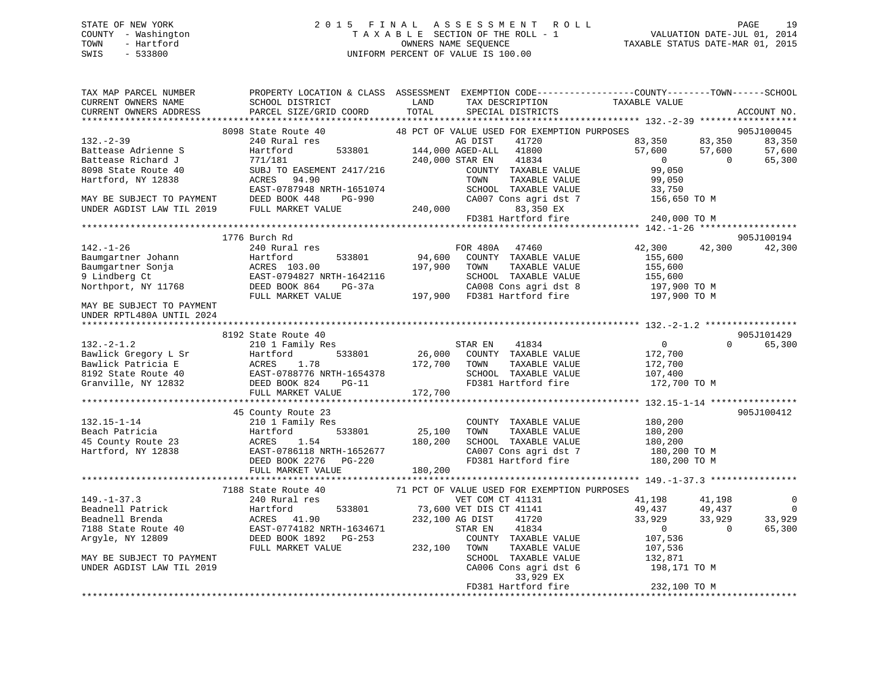# STATE OF NEW YORK 2 0 1 5 F I N A L A S S E S S M E N T R O L L PAGE 19 COUNTY - Washington T A X A B L E SECTION OF THE ROLL - 1 VALUATION DATE-JUL 01, 2014 TOWN - Hartford **TAXABLE STATUS DATE-MAR 01, 2015** OWNERS NAME SEQUENCE TAXABLE STATUS DATE-MAR 01, 2015 SWIS - 533800 UNIFORM PERCENT OF VALUE IS 100.00

| TAX MAP PARCEL NUMBER<br>CURRENT OWNERS NAME<br>CURRENT OWNERS ADDRESS | SCHOOL DISTRICT<br><b>LAND</b><br>PARCEL SIZE/GRID COORD | TAX DESCRIPTION<br>TOTAL<br>SPECIAL DISTRICTS  | PROPERTY LOCATION & CLASS ASSESSMENT EXEMPTION CODE---------------COUNTY-------TOWN-----SCHOOL<br>TAXABLE VALUE<br>ACCOUNT NO. |
|------------------------------------------------------------------------|----------------------------------------------------------|------------------------------------------------|--------------------------------------------------------------------------------------------------------------------------------|
|                                                                        |                                                          |                                                |                                                                                                                                |
|                                                                        | 8098 State Route 40                                      | 48 PCT OF VALUE USED FOR EXEMPTION PURPOSES    | 905J100045                                                                                                                     |
| $132 - 2 - 39$                                                         | 240 Rural res                                            | AG DIST<br>41720                               | 83,350<br>83,350<br>83,350                                                                                                     |
| Battease Adrienne S                                                    | Hartford                                                 | AG DIST 41720<br>533801 144,000 AGED-ALL 41800 | 57,600<br>57,600<br>57,600                                                                                                     |
| Battease Richard J                                                     | 771/181                                                  | 41834<br>240,000 STAR EN                       | $\overline{0}$<br>$\Omega$<br>65,300                                                                                           |
| 8098 State Route 40                                                    | SUBJ TO EASEMENT 2417/216                                | COUNTY TAXABLE VALUE                           | 99,050                                                                                                                         |
| Hartford, NY 12838                                                     | ACRES 94.90                                              | TOWN<br>TAXABLE VALUE                          | 99,050                                                                                                                         |
|                                                                        | EAST-0787948 NRTH-1651074                                | SCHOOL TAXABLE VALUE                           | 33,750                                                                                                                         |
| MAY BE SUBJECT TO PAYMENT                                              | DEED BOOK 448<br>PG-990                                  | CA007 Cons agri dst 7                          | 156,650 TO M                                                                                                                   |
| UNDER AGDIST LAW TIL 2019                                              | FULL MARKET VALUE                                        | 240,000<br>83,350 EX                           |                                                                                                                                |
|                                                                        |                                                          | FD381 Hartford fire                            | 240,000 TO M                                                                                                                   |
|                                                                        |                                                          |                                                |                                                                                                                                |
|                                                                        | 1776 Burch Rd                                            |                                                | 905J100194                                                                                                                     |
| $142. - 1 - 26$                                                        | 240 Rural res                                            | FOR 480A 47460                                 | 42,300<br>42,300<br>42,300                                                                                                     |
| Baumgartner Johann                                                     | 533801                                                   | 94,600<br>COUNTY TAXABLE VALUE                 | 155,600                                                                                                                        |
| Baumgartner Sonja                                                      | Hartford<br>ACRES 103.00                                 | 197,900<br>TOWN<br>TAXABLE VALUE               | 155,600                                                                                                                        |
| 9 Lindberg Ct                                                          | EAST-0794827 NRTH-1642116                                | SCHOOL TAXABLE VALUE                           | 155,600                                                                                                                        |
| Northport, NY 11768                                                    | DEED BOOK 864<br>PG-37a                                  | CA008 Cons agri dst 8                          | 197,900 TO M                                                                                                                   |
|                                                                        | FULL MARKET VALUE                                        | 197,900 FD381 Hartford fire 197,900 TO M       |                                                                                                                                |
| MAY BE SUBJECT TO PAYMENT<br>UNDER RPTL480A UNTIL 2024                 |                                                          |                                                |                                                                                                                                |
|                                                                        |                                                          |                                                | 905J101429                                                                                                                     |
|                                                                        | 8192 State Route 40                                      | STAR EN                                        | $\overline{0}$<br>$\Omega$                                                                                                     |
| $132 - 2 - 1.2$                                                        | 210 1 Family Res                                         | 41834<br>$533801$ 26,000 COUNTY TAXABLE VALUE  | 65,300                                                                                                                         |
| Bawlick Gregory L Sr                                                   | Hartford                                                 |                                                | 172,700                                                                                                                        |
| Bawlick Patricia E                                                     | 1.78<br>ACRES                                            | 172,700<br>TOWN<br>TAXABLE VALUE               | 172,700                                                                                                                        |
| 8192 State Route 40                                                    | EAST-0788776 NRTH-1654378                                | SCHOOL TAXABLE VALUE                           | 107,400                                                                                                                        |
| Granville, NY 12832                                                    | DEED BOOK 824 PG-11                                      | FD381 Hartford fire                            | 172,700 TO M                                                                                                                   |
|                                                                        | FULL MARKET VALUE                                        | 172,700                                        |                                                                                                                                |
|                                                                        |                                                          |                                                |                                                                                                                                |
| $132.15 - 1 - 14$                                                      | 45 County Route 23                                       |                                                | 905J100412                                                                                                                     |
|                                                                        | 210 1 Family Res                                         | COUNTY TAXABLE VALUE                           | 180,200                                                                                                                        |
| Beach Patricia                                                         | Hartford<br>533801                                       | TAXABLE VALUE<br>25,100<br>TOWN                | 180,200                                                                                                                        |
| 45 County Route 23                                                     | ACRES 1.54                                               | 180,200<br>SCHOOL TAXABLE VALUE                | 180,200                                                                                                                        |
| Hartford, NY 12838                                                     | EAST-0786118 NRTH-1652677                                | CA007 Cons agri dst 7                          | 180,200 TO M                                                                                                                   |
|                                                                        | DEED BOOK 2276 PG-220                                    | FD381 Hartford fire                            | 180,200 TO M                                                                                                                   |
|                                                                        | FULL MARKET VALUE                                        | 180,200                                        |                                                                                                                                |
|                                                                        |                                                          |                                                |                                                                                                                                |
|                                                                        | 7188 State Route 40                                      | 71 PCT OF VALUE USED FOR EXEMPTION PURPOSES    |                                                                                                                                |
| $149. - 1 - 37.3$                                                      | 240 Rural res                                            | VET COM CT 41131                               | $\overline{0}$<br>41,198<br>41,198                                                                                             |
| Beadnell Patrick                                                       | 533801<br>Hartford                                       | 73,600 VET DIS CT 41141                        | 49,437<br>$\overline{0}$<br>49,437                                                                                             |
| Beadnell Brenda                                                        | ACRES 41.90                                              | 232,100 AG DIST<br>41720                       | 33,929<br>33,929<br>33,929                                                                                                     |
| 7188 State Route 40                                                    | EAST-0774182 NRTH-1634671                                | 41834<br>STAR EN                               | $\overline{0}$<br>$\overline{0}$<br>65,300                                                                                     |
| Argyle, NY 12809                                                       | DEED BOOK 1892 PG-253                                    | COUNTY TAXABLE VALUE                           | 107,536                                                                                                                        |
|                                                                        | FULL MARKET VALUE                                        | 232,100 TOWN<br>TAXABLE VALUE                  | 107,536                                                                                                                        |
| MAY BE SUBJECT TO PAYMENT                                              |                                                          | SCHOOL TAXABLE VALUE                           | 132,871                                                                                                                        |
| UNDER AGDIST LAW TIL 2019                                              |                                                          | CA006 Cons agri dst 6                          | 198,171 TO M                                                                                                                   |
|                                                                        |                                                          | 33,929 EX                                      |                                                                                                                                |
|                                                                        |                                                          | FD381 Hartford fire                            | 232,100 TO M                                                                                                                   |
|                                                                        |                                                          |                                                |                                                                                                                                |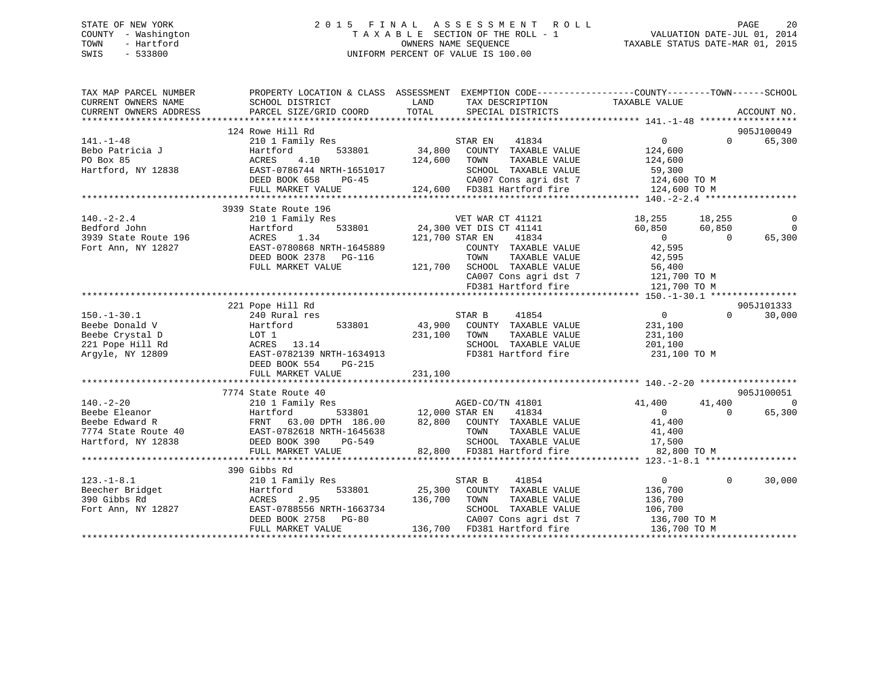# STATE OF NEW YORK 2 0 1 5 F I N A L A S S E S S M E N T R O L L PAGE 20 COUNTY - Washington T A X A B L E SECTION OF THE ROLL - 1 VALUATION DATE-JUL 01, 2014 TOWN - Hartford **TAXABLE STATUS DATE-MAR 01, 2015** OWNERS NAME SEQUENCE TAXABLE STATUS DATE-MAR 01, 2015 SWIS - 533800 UNIFORM PERCENT OF VALUE IS 100.00

| TAX MAP PARCEL NUMBER<br>CURRENT OWNERS NAME<br>CURRENT OWNERS ADDRESS | SCHOOL DISTRICT<br>PARCEL SIZE/GRID COORD                         | PROPERTY LOCATION & CLASS ASSESSMENT EXEMPTION CODE---------------COUNTY-------TOWN-----SCHOOL<br>TAX DESCRIPTION TAXABLE VALUE<br>SPECIAL DISTRICTS<br>LAND<br>TOTAL                                                                                                                                                                                                   |                                                        | ACCOUNT NO.    |
|------------------------------------------------------------------------|-------------------------------------------------------------------|-------------------------------------------------------------------------------------------------------------------------------------------------------------------------------------------------------------------------------------------------------------------------------------------------------------------------------------------------------------------------|--------------------------------------------------------|----------------|
|                                                                        |                                                                   |                                                                                                                                                                                                                                                                                                                                                                         |                                                        |                |
|                                                                        | 124 Rowe Hill Rd                                                  |                                                                                                                                                                                                                                                                                                                                                                         |                                                        | 905J100049     |
| $141. - 1 - 48$                                                        |                                                                   | 210 1 Family Res<br>Hartford 533801 34,800 COUNTY TAXABLE VALUE<br>ACRES 4.10 124,600 TOWN TAXABLE VALUE                                                                                                                                                                                                                                                                | $\overline{0}$<br>$\Omega$                             | 65,300         |
| Bebo Patricia J                                                        |                                                                   |                                                                                                                                                                                                                                                                                                                                                                         | 124,600                                                |                |
| PO Box 85                                                              |                                                                   | TAXABLE VALUE 124,600                                                                                                                                                                                                                                                                                                                                                   |                                                        |                |
| Hartford, NY 12838                                                     |                                                                   |                                                                                                                                                                                                                                                                                                                                                                         |                                                        |                |
|                                                                        |                                                                   |                                                                                                                                                                                                                                                                                                                                                                         |                                                        |                |
|                                                                        |                                                                   |                                                                                                                                                                                                                                                                                                                                                                         |                                                        |                |
|                                                                        |                                                                   | 2004<br>2007 EXEST-0786744 NRTH-1651017 CHOOL TAXABLE VALUE 59,300<br>DEED BOOK 658 PG-45 (2007 Cons agri dst 7 124,600 TO M<br>21,600 TO M FULL MARKET VALUE 124,600 FD381 Hartford fire 124,600 TO M<br>21,600 TO M FULL MARKET VALUE 12                                                                                                                              |                                                        |                |
|                                                                        | 3939 State Route 196                                              |                                                                                                                                                                                                                                                                                                                                                                         |                                                        |                |
| $140. - 2 - 2.4$                                                       | 210 1 Family Res                                                  |                                                                                                                                                                                                                                                                                                                                                                         |                                                        | 0              |
| 1991<br>3939 State Route 196<br>Fort Ann, NY 12827                     | Hartford                                                          | 91121 VET WAR CT 41121<br>1133801 24,300 VET DIS CT 41141                                                                                                                                                                                                                                                                                                               | $18,255$ $18,255$<br>$60,850$ $60,850$<br>$0$ $42,595$ | $\overline{0}$ |
|                                                                        | ACRES 1.34                                                        | 121,700 STAR EN<br>41834                                                                                                                                                                                                                                                                                                                                                |                                                        | 65,300         |
|                                                                        | EAST-0780868 NRTH-1645889                                         | COUNTY TAXABLE VALUE                                                                                                                                                                                                                                                                                                                                                    |                                                        |                |
|                                                                        | DEED BOOK 2378 PG-116                                             | TAXABLE VALUE 42,595<br>TOWN                                                                                                                                                                                                                                                                                                                                            |                                                        |                |
|                                                                        | FULL MARKET VALUE                                                 |                                                                                                                                                                                                                                                                                                                                                                         |                                                        |                |
|                                                                        |                                                                   | 121,700 SCHOOL TAXABLE VALUE 56,400<br>CA007 Cons agri dst 7 121,700 TO M                                                                                                                                                                                                                                                                                               |                                                        |                |
|                                                                        |                                                                   | FD381 Hartford fire                                                                                                                                                                                                                                                                                                                                                     | 121,700 TO M                                           |                |
|                                                                        |                                                                   |                                                                                                                                                                                                                                                                                                                                                                         |                                                        |                |
|                                                                        |                                                                   |                                                                                                                                                                                                                                                                                                                                                                         |                                                        | 905J101333     |
|                                                                        | 221 Pope Hill Rd                                                  |                                                                                                                                                                                                                                                                                                                                                                         | $\overline{0}$<br>$\Omega$                             |                |
|                                                                        |                                                                   |                                                                                                                                                                                                                                                                                                                                                                         |                                                        | 30,000         |
|                                                                        |                                                                   |                                                                                                                                                                                                                                                                                                                                                                         | 231,100                                                |                |
| Beebe Crystal D                                                        |                                                                   | $231,100$ TOWN<br>TAXABLE VALUE                                                                                                                                                                                                                                                                                                                                         | 231,100                                                |                |
| 221 Pope Hill Rd                                                       |                                                                   | SCHOOL TAXABLE VALUE                                                                                                                                                                                                                                                                                                                                                    | 201,100                                                |                |
| Argyle, NY 12809                                                       | LOT 1 231,100<br>ACRES 13.14 231,100<br>EAST-0782139 NRTH-1634913 | FD381 Hartford fire 231,100 TO M                                                                                                                                                                                                                                                                                                                                        |                                                        |                |
|                                                                        | DEED BOOK 554 PG-215                                              |                                                                                                                                                                                                                                                                                                                                                                         |                                                        |                |
|                                                                        | FULL MARKET VALUE                                                 | 231,100                                                                                                                                                                                                                                                                                                                                                                 |                                                        |                |
|                                                                        |                                                                   |                                                                                                                                                                                                                                                                                                                                                                         |                                                        |                |
|                                                                        |                                                                   |                                                                                                                                                                                                                                                                                                                                                                         |                                                        | 905J100051     |
|                                                                        |                                                                   |                                                                                                                                                                                                                                                                                                                                                                         | 41,400                                                 | 0              |
|                                                                        |                                                                   |                                                                                                                                                                                                                                                                                                                                                                         | $\overline{0}$                                         | 65,300         |
|                                                                        |                                                                   |                                                                                                                                                                                                                                                                                                                                                                         |                                                        |                |
|                                                                        |                                                                   | EAST-0782618 NRTH-1645638 TOWN TAXABLE VALUE $41,400$<br>DEED BOOK 390 PG-549 SCHOOL TAXABLE VALUE 17,500<br>FULL MARKET VALUE 82,800 FD381 Hartford fire 82,800 TO M                                                                                                                                                                                                   |                                                        |                |
|                                                                        |                                                                   |                                                                                                                                                                                                                                                                                                                                                                         |                                                        |                |
|                                                                        |                                                                   |                                                                                                                                                                                                                                                                                                                                                                         |                                                        |                |
|                                                                        |                                                                   |                                                                                                                                                                                                                                                                                                                                                                         |                                                        |                |
|                                                                        | 390 Gibbs Rd                                                      |                                                                                                                                                                                                                                                                                                                                                                         |                                                        |                |
|                                                                        |                                                                   |                                                                                                                                                                                                                                                                                                                                                                         | $\overline{0}$<br>$\Omega$                             | 30,000         |
|                                                                        |                                                                   | $\begin{tabular}{lcccccc} 123.-1-8.1 & 2101 Family Res & 533801 & 533801 & 25,300 & COUNTY TAXABLE VALUE \\ 390 Gibbs Rd & 2827 & 295 & 533801 & 25,300 & COUNTY TAXABLE VALUE \\ 390 Gibbs Rd & 2827 & EAST-0788556 NRTH-1663734 & 25,300 & TOWN & TAXABLE VALUE \\ 390 CDDS & 295 & 295 & 136,700 & TOWN & TAXABLE VALUE \\ 390 CDOS & 295 & 295 & 295 & 295 & 295 &$ | 136,700                                                |                |
|                                                                        |                                                                   | TAXABLE VALUE 136,700                                                                                                                                                                                                                                                                                                                                                   |                                                        |                |
|                                                                        |                                                                   |                                                                                                                                                                                                                                                                                                                                                                         |                                                        |                |
|                                                                        |                                                                   | SCHOOL TAXABLE VALUE 106,700<br>CA007 Cons agri dst 7 136,700 TO M                                                                                                                                                                                                                                                                                                      |                                                        |                |
|                                                                        | DEED BOOK 2758 PG-80<br>FULL MARKET WATTER<br>FULL MARKET VALUE   | 136,700 FD381 Hartford fire                                                                                                                                                                                                                                                                                                                                             | 136,700 TO M                                           |                |
|                                                                        |                                                                   |                                                                                                                                                                                                                                                                                                                                                                         |                                                        |                |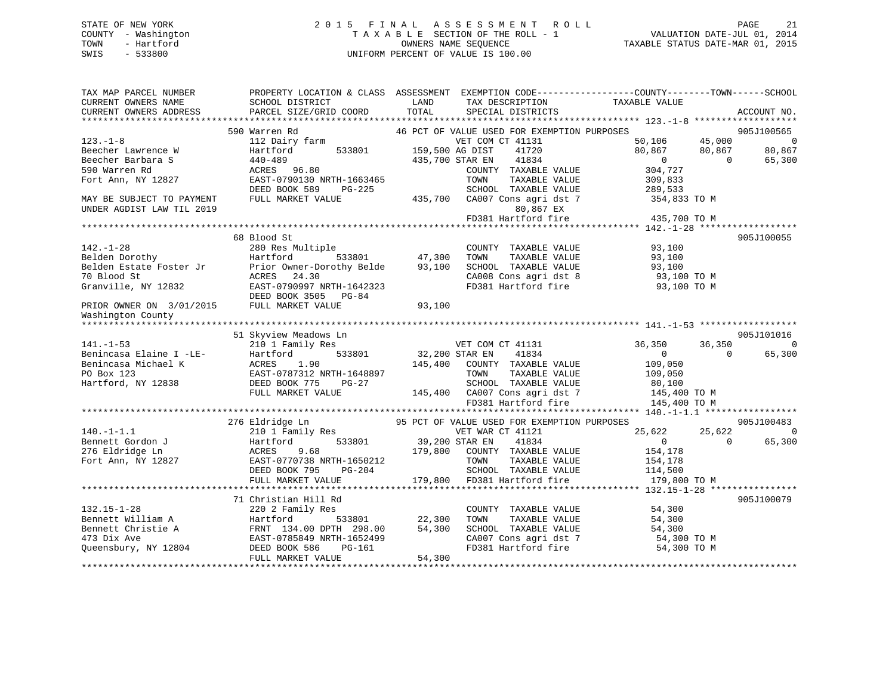# STATE OF NEW YORK 2 0 1 5 F I N A L A S S E S S M E N T R O L L PAGE 21 COUNTY - Washington T A X A B L E SECTION OF THE ROLL - 1 VALUATION DATE-JUL 01, 2014 TOWN - Hartford **TAXABLE STATUS DATE-MAR 01, 2015** OWNERS NAME SEQUENCE TAXABLE STATUS DATE-MAR 01, 2015 SWIS - 533800 UNIFORM PERCENT OF VALUE IS 100.00

| TAX MAP PARCEL NUMBER<br>CURRENT OWNERS NAME<br>CURRENT OWNERS ADDRESS | SCHOOL DISTRICT<br>PARCEL SIZE/GRID COORD  | LAND<br>TAX DESCRIPTION<br>TOTAL<br>SPECIAL DISTRICTS | PROPERTY LOCATION & CLASS ASSESSMENT EXEMPTION CODE---------------COUNTY-------TOWN------SCHOOL<br>TAXABLE VALUE<br>ACCOUNT NO. |
|------------------------------------------------------------------------|--------------------------------------------|-------------------------------------------------------|---------------------------------------------------------------------------------------------------------------------------------|
|                                                                        |                                            |                                                       |                                                                                                                                 |
|                                                                        | 590 Warren Rd                              | 46 PCT OF VALUE USED FOR EXEMPTION PURPOSES           | 905J100565                                                                                                                      |
| $123. - 1 - 8$                                                         | 112 Dairy farm                             | VET COM CT 41131                                      | 50,106<br>45,000<br>$\overline{0}$                                                                                              |
| Beecher Lawrence W                                                     | 533801<br>Hartford                         | 159,500 AG DIST<br>41720                              | 80,867<br>80,867<br>80,867                                                                                                      |
| Beecher Barbara S                                                      | $440 - 489$                                | 435,700 STAR EN<br>41834                              | $\overline{0}$<br>$\Omega$<br>65,300                                                                                            |
| 590 Warren Rd                                                          | ACRES 96.80                                | COUNTY TAXABLE VALUE<br>TOWN                          | 304,727                                                                                                                         |
| Fort Ann, NY 12827                                                     | EAST-0790130 NRTH-1663465<br>DEED BOOK 589 | TAXABLE VALUE<br>SCHOOL TAXABLE VALUE                 | 309,833                                                                                                                         |
| MAY BE SUBJECT TO PAYMENT                                              | PG-225<br>FULL MARKET VALUE                | 435,700<br>CA007 Cons agri dst 7                      | 289,533                                                                                                                         |
| UNDER AGDIST LAW TIL 2019                                              |                                            | 80,867 EX                                             | 354,833 TO M                                                                                                                    |
|                                                                        |                                            | FD381 Hartford fire                                   | 435,700 TO M                                                                                                                    |
|                                                                        |                                            |                                                       |                                                                                                                                 |
|                                                                        | 68 Blood St                                |                                                       | 905J100055                                                                                                                      |
| $142. - 1 - 28$                                                        | 280 Res Multiple                           | COUNTY TAXABLE VALUE                                  | 93,100                                                                                                                          |
| Belden Dorothy                                                         | Hartford<br>533801                         | 47,300<br>TOWN<br>TAXABLE VALUE                       | 93,100                                                                                                                          |
| Belden Estate Foster Jr                                                | Prior Owner-Dorothy Belde                  | SCHOOL TAXABLE VALUE<br>93,100                        | 93,100                                                                                                                          |
| 70 Blood St                                                            | ACRES 24.30                                | CA008 Cons agri dst 8                                 | 93,100 TO M                                                                                                                     |
| Granville, NY 12832                                                    | EAST-0790997 NRTH-1642323                  | FD381 Hartford fire                                   | 93,100 TO M                                                                                                                     |
|                                                                        | DEED BOOK 3505 PG-84                       |                                                       |                                                                                                                                 |
| PRIOR OWNER ON 3/01/2015                                               | FULL MARKET VALUE                          | 93,100                                                |                                                                                                                                 |
| Washington County                                                      |                                            |                                                       |                                                                                                                                 |
| ******************                                                     |                                            |                                                       |                                                                                                                                 |
|                                                                        | 51 Skyview Meadows Ln                      |                                                       | 905J101016                                                                                                                      |
| $141. - 1 - 53$                                                        | 210 1 Family Res                           | VET COM CT 41131                                      | 36,350<br>36,350<br>$\Omega$                                                                                                    |
| Benincasa Elaine I -LE-                                                | Hartford<br>533801                         | 32,200 STAR EN<br>41834                               | $\mathbf{0}$<br>65,300<br>$\Omega$                                                                                              |
| Benincasa Michael K                                                    | ACRES<br>1.90                              | 145,400<br>COUNTY TAXABLE VALUE                       | 109,050                                                                                                                         |
| PO Box 123                                                             | EAST-0787312 NRTH-1648897                  | TAXABLE VALUE<br>TOWN                                 | 109,050                                                                                                                         |
| Hartford, NY 12838                                                     | DEED BOOK 775<br>$PG-27$                   | SCHOOL TAXABLE VALUE                                  | 80,100                                                                                                                          |
|                                                                        | FULL MARKET VALUE                          | 145,400 CA007 Cons agri dst 7                         | 145,400 TO M                                                                                                                    |
|                                                                        |                                            | FD381 Hartford fire                                   | 145,400 TO M                                                                                                                    |
|                                                                        | 276 Eldridge Ln                            | 95 PCT OF VALUE USED FOR EXEMPTION PURPOSES           | 905J100483                                                                                                                      |
| $140. - 1 - 1.1$                                                       | 210 1 Family Res                           | VET WAR CT 41121                                      | 25,622<br>25,622<br>$\Omega$                                                                                                    |
| Bennett Gordon J                                                       | Hartford<br>533801                         | 39,200 STAR EN<br>41834                               | 65,300<br>$\overline{0}$<br>$\Omega$                                                                                            |
| 276 Eldridge Ln                                                        | ACRES<br>9.68                              | 179,800<br>COUNTY TAXABLE VALUE                       | 154,178                                                                                                                         |
| Fort Ann, NY 12827                                                     | EAST-0770738 NRTH-1650212                  | TOWN<br>TAXABLE VALUE                                 | 154,178                                                                                                                         |
|                                                                        | DEED BOOK 795<br>PG-204                    | SCHOOL TAXABLE VALUE                                  | 114,500                                                                                                                         |
|                                                                        | FULL MARKET VALUE                          | 179,800<br>FD381 Hartford fire                        | 179,800 TO M                                                                                                                    |
|                                                                        |                                            |                                                       |                                                                                                                                 |
|                                                                        | 71 Christian Hill Rd                       |                                                       | 905J100079                                                                                                                      |
| $132.15 - 1 - 28$                                                      | 220 2 Family Res                           | COUNTY TAXABLE VALUE                                  | 54,300                                                                                                                          |
| Bennett William A                                                      | Hartford<br>533801                         | TAXABLE VALUE<br>22,300<br>TOWN                       | 54,300                                                                                                                          |
| Bennett Christie A                                                     | FRNT 134.00 DPTH 298.00                    | 54,300<br>SCHOOL TAXABLE VALUE                        | 54,300                                                                                                                          |
| 473 Dix Ave                                                            | EAST-0785849 NRTH-1652499                  | CA007 Cons agri dst 7                                 | 54,300 TO M                                                                                                                     |
| Queensbury, NY 12804                                                   | DEED BOOK 586<br>PG-161                    | FD381 Hartford fire                                   | 54,300 TO M                                                                                                                     |
|                                                                        | FULL MARKET VALUE                          | 54,300                                                |                                                                                                                                 |
|                                                                        |                                            |                                                       |                                                                                                                                 |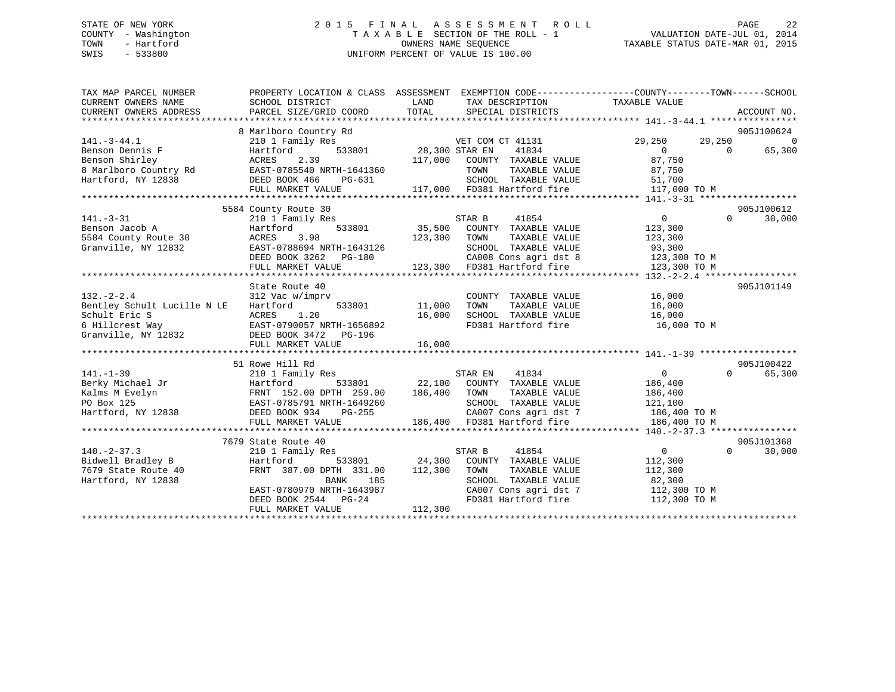# STATE OF NEW YORK 2 0 1 5 F I N A L A S S E S S M E N T R O L L PAGE 22 COUNTY - Washington T A X A B L E SECTION OF THE ROLL - 1 VALUATION DATE-JUL 01, 2014 TOWN - Hartford **TAXABLE STATUS DATE-MAR 01, 2015** OWNERS NAME SEQUENCE TAXABLE STATUS DATE-MAR 01, 2015 SWIS - 533800 UNIFORM PERCENT OF VALUE IS 100.00

| TAX MAP PARCEL NUMBER<br>CURRENT OWNERS NAME<br>CURRENT OWNERS ADDRESS | PROPERTY LOCATION & CLASS ASSESSMENT<br>SCHOOL DISTRICT<br>PARCEL SIZE/GRID COORD | LAND<br>TOTAL         | TAX DESCRIPTION TAXABLE VALUE<br>SPECIAL DISTRICTS  | EXEMPTION CODE-----------------COUNTY-------TOWN------SCHOOL | ACCOUNT NO.        |
|------------------------------------------------------------------------|-----------------------------------------------------------------------------------|-----------------------|-----------------------------------------------------|--------------------------------------------------------------|--------------------|
|                                                                        | 8 Marlboro Country Rd                                                             |                       |                                                     |                                                              | 905J100624         |
| $141.-3-44.1$                                                          | 210 1 Family Res                                                                  |                       | VET COM CT 41131                                    | 29,250<br>29,250                                             | $\overline{0}$     |
| Benson Dennis F                                                        | Hartford                                                                          | 533801 28,300 STAR EN | 41834                                               | $\overline{0}$<br>$\Omega$                                   | 65,300             |
| Benson Shirley                                                         | 2.39<br>ACRES                                                                     |                       | 117,000 COUNTY TAXABLE VALUE                        | 87,750                                                       |                    |
| 8 Marlboro Country Rd EAST-0785540 NRTH-1641360                        |                                                                                   |                       | TOWN<br>TAXABLE VALUE                               | 87,750                                                       |                    |
| Hartford, NY 12838                                                     | DEED BOOK 466<br>PG-631                                                           |                       | SCHOOL TAXABLE VALUE                                | 51,700                                                       |                    |
|                                                                        | FULL MARKET VALUE                                                                 |                       | 117,000 FD381 Hartford fire                         | 117,000 TO M                                                 |                    |
|                                                                        |                                                                                   |                       |                                                     |                                                              |                    |
|                                                                        | 5584 County Route 30                                                              |                       |                                                     |                                                              | 905J100612         |
| $141. - 3 - 31$                                                        | 210 1 Family Res                                                                  |                       | STAR B<br>41854                                     | $0 \qquad \qquad$<br>$\Omega$                                | 30,000             |
| Benson Jacob A                                                         | 533801<br>Hartford                                                                |                       | 35,500 COUNTY TAXABLE VALUE                         | 123,300                                                      |                    |
| 5584 County Route 30                                                   | 3.98<br>ACRES                                                                     | 123,300 TOWN          | TAXABLE VALUE                                       | 123,300                                                      |                    |
| Granville, NY 12832                                                    | EAST-0788694 NRTH-1643126                                                         |                       | SCHOOL TAXABLE VALUE                                | 93,300                                                       |                    |
|                                                                        | DEED BOOK 3262 PG-180                                                             |                       | CA008 Cons agri dst 8                               | 123,300 TO M                                                 |                    |
|                                                                        | FULL MARKET VALUE                                                                 |                       | 123,300 FD381 Hartford fire                         | 123,300 TO M                                                 |                    |
|                                                                        |                                                                                   |                       |                                                     |                                                              |                    |
|                                                                        | State Route 40                                                                    |                       |                                                     |                                                              | 905J101149         |
| $132. - 2 - 2.4$                                                       | 312 Vac w/imprv                                                                   |                       | COUNTY TAXABLE VALUE                                | 16,000                                                       |                    |
| Bentley Schult Lucille N LE                                            | Hartford<br>533801                                                                | 11,000                | TOWN      TAXABLE  VALUE<br>SCHOOL   TAXABLE  VALUE | 16,000                                                       |                    |
| Schult Eric S                                                          | ACRES<br>1.20                                                                     | 16,000                |                                                     | 16,000                                                       |                    |
| 6 Hillcrest Way                                                        | EAST-0790057 NRTH-1656892                                                         |                       | FD381 Hartford fire                                 | 16,000 TO M                                                  |                    |
| Granville, NY 12832                                                    | DEED BOOK 3472 PG-196                                                             |                       |                                                     |                                                              |                    |
|                                                                        | FULL MARKET VALUE                                                                 | 16,000                |                                                     |                                                              |                    |
|                                                                        |                                                                                   |                       |                                                     |                                                              |                    |
|                                                                        | 51 Rowe Hill Rd                                                                   |                       |                                                     |                                                              | 905J100422         |
| $141. - 1 - 39$                                                        | 210 1 Family Res                                                                  |                       | STAR EN<br>41834                                    | $\overline{0}$                                               | $\Omega$<br>65,300 |
| Berky Michael Jr                                                       | Hartford                                                                          | 533801 22,100         | COUNTY TAXABLE VALUE                                | 186,400                                                      |                    |
| Kalms M Evelyn                                                         | FRNT 152.00 DPTH 259.00                                                           | 186,400               | TOWN<br>TAXABLE VALUE                               | 186,400                                                      |                    |
| PO Box 125                                                             | EAST-0785791 NRTH-1649260                                                         |                       | SCHOOL TAXABLE VALUE                                | 121,100                                                      |                    |
| Hartford, NY 12838                                                     | DEED BOOK 934<br>PG-255                                                           |                       | CA007 Cons agri dst 7                               | 186,400 TO M                                                 |                    |
|                                                                        | FULL MARKET VALUE                                                                 |                       | 186,400 FD381 Hartford fire                         | 186,400 TO M                                                 |                    |
|                                                                        |                                                                                   |                       |                                                     |                                                              |                    |
|                                                                        | 7679 State Route 40                                                               |                       |                                                     |                                                              | 905J101368         |
| $140. - 2 - 37.3$                                                      | 210 1 Family Res                                                                  |                       | 41854<br>STAR B                                     | $\overline{0}$<br>$\Omega$                                   | 30,000             |
| Bidwell Bradley B                                                      | Hartford<br>533801                                                                |                       | 24,300 COUNTY TAXABLE VALUE                         | 112,300                                                      |                    |
| 7679 State Route 40                                                    | FRNT 387.00 DPTH 331.00                                                           | 112,300               | TOWN<br>TAXABLE VALUE                               | 112,300                                                      |                    |
| Hartford, NY 12838                                                     | BANK 185                                                                          |                       | SCHOOL TAXABLE VALUE                                | 82,300                                                       |                    |
|                                                                        | EAST-0780970 NRTH-1643987                                                         |                       |                                                     | CA007 Cons agri dst 7 112,300 TO M                           |                    |
|                                                                        | DEED BOOK 2544 PG-24                                                              |                       | FD381 Hartford fire                                 | 112,300 TO M                                                 |                    |
|                                                                        | FULL MARKET VALUE                                                                 | 112,300               |                                                     |                                                              |                    |
|                                                                        |                                                                                   |                       |                                                     |                                                              |                    |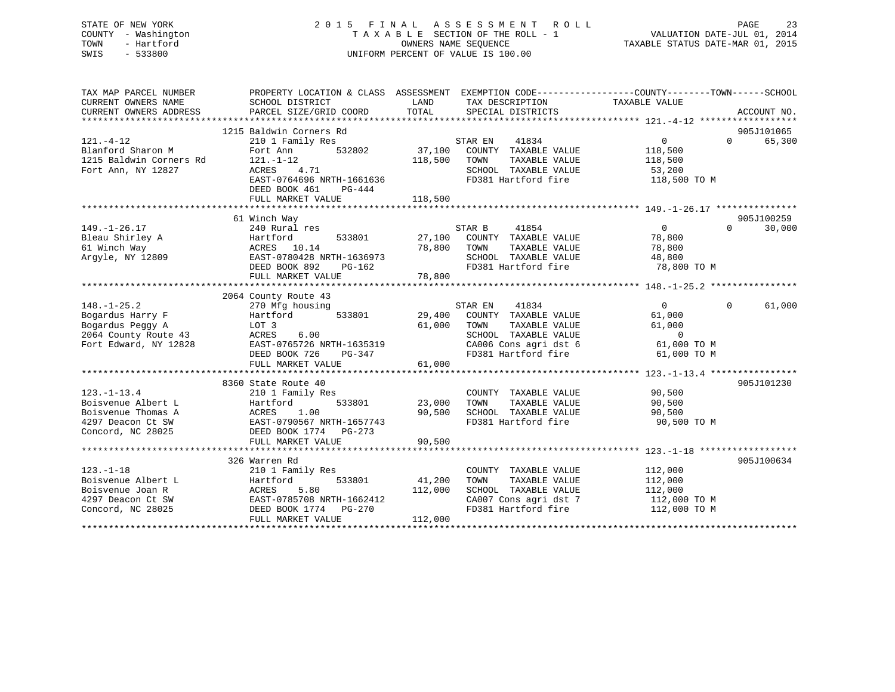# STATE OF NEW YORK 2 0 1 5 F I N A L A S S E S S M E N T R O L L PAGE 23 COUNTY - Washington T A X A B L E SECTION OF THE ROLL - 1 VALUATION DATE-JUL 01, 2014 TOWN - Hartford **TAXABLE STATUS DATE-MAR 01, 2015** OWNERS NAME SEQUENCE TAXABLE STATUS DATE-MAR 01, 2015 SWIS - 533800 UNIFORM PERCENT OF VALUE IS 100.00

| TAX MAP PARCEL NUMBER<br>CURRENT OWNERS NAME<br>CURRENT OWNERS ADDRESS | PROPERTY LOCATION & CLASS ASSESSMENT EXEMPTION CODE---------------COUNTY-------TOWN-----SCHOOL<br>SCHOOL DISTRICT<br>PARCEL SIZE/GRID COORD | LAND<br>TOTAL | TAX DESCRIPTION TAXABLE VALUE<br>SPECIAL DISTRICTS |                | ACCOUNT NO.        |
|------------------------------------------------------------------------|---------------------------------------------------------------------------------------------------------------------------------------------|---------------|----------------------------------------------------|----------------|--------------------|
|                                                                        |                                                                                                                                             |               |                                                    |                |                    |
|                                                                        | 1215 Baldwin Corners Rd                                                                                                                     |               |                                                    |                | 905J101065         |
| $121. - 4 - 12$                                                        | 210 1 Family Res                                                                                                                            |               | 41834<br>STAR EN                                   | $\mathbf{0}$   | 65,300<br>$\Omega$ |
| Blanford Sharon M                                                      | Fort Ann<br>532802                                                                                                                          | 37,100        | COUNTY TAXABLE VALUE                               | 118,500        |                    |
| 1215 Baldwin Corners Rd                                                | $121. - 1 - 12$                                                                                                                             | 118,500       | TAXABLE VALUE<br>TOWN                              | 118,500        |                    |
| Fort Ann, NY 12827                                                     | ACRES<br>4.71                                                                                                                               |               | SCHOOL TAXABLE VALUE                               | 53,200         |                    |
|                                                                        | EAST-0764696 NRTH-1661636                                                                                                                   |               | FD381 Hartford fire                                | 118,500 TO M   |                    |
|                                                                        | DEED BOOK 461<br>PG-444                                                                                                                     |               |                                                    |                |                    |
|                                                                        | FULL MARKET VALUE                                                                                                                           | 118,500       |                                                    |                |                    |
|                                                                        |                                                                                                                                             |               |                                                    |                |                    |
|                                                                        | 61 Winch Way                                                                                                                                |               |                                                    |                | 905J100259         |
| $149. - 1 - 26.17$                                                     | 240 Rural res                                                                                                                               |               | STAR B<br>41854                                    | $\overline{0}$ | $\Omega$<br>30,000 |
| Bleau Shirley A                                                        | Hartford<br>533801                                                                                                                          |               | 27,100 COUNTY TAXABLE VALUE                        | 78,800         |                    |
| 61 Winch Way                                                           | ACRES 10.14                                                                                                                                 | 78,800 TOWN   | TAXABLE VALUE                                      | 78,800         |                    |
| Argyle, NY 12809                                                       | EAST-0780428 NRTH-1636973                                                                                                                   |               | SCHOOL TAXABLE VALUE                               | 48,800         |                    |
|                                                                        | DEED BOOK 892<br>PG-162                                                                                                                     |               | FD381 Hartford fire                                | 78,800 TO M    |                    |
|                                                                        | FULL MARKET VALUE                                                                                                                           | 78,800        |                                                    |                |                    |
|                                                                        |                                                                                                                                             |               |                                                    |                |                    |
|                                                                        | 2064 County Route 43                                                                                                                        |               |                                                    |                |                    |
| $148. - 1 - 25.2$                                                      | 270 Mfg housing                                                                                                                             |               | STAR EN<br>41834                                   | $\overline{0}$ | 61,000<br>$\Omega$ |
| Bogardus Harry F                                                       | Hartford<br>533801                                                                                                                          | 29,400        | COUNTY TAXABLE VALUE                               | 61,000         |                    |
| Bogardus Peggy A                                                       | LOT <sub>3</sub>                                                                                                                            | 61,000        | TOWN<br>TAXABLE VALUE                              | 61,000         |                    |
| 2064 County Route 43                                                   | ACRES<br>6.00                                                                                                                               |               | SCHOOL TAXABLE VALUE                               | $\overline{0}$ |                    |
| Fort Edward, NY 12828                                                  | EAST-0765726 NRTH-1635319                                                                                                                   |               | CA006 Cons agri dst 6                              | 61,000 TO M    |                    |
|                                                                        | DEED BOOK 726<br>PG-347                                                                                                                     |               | FD381 Hartford fire                                | 61,000 TO M    |                    |
|                                                                        | FULL MARKET VALUE                                                                                                                           | 61,000        |                                                    |                |                    |
|                                                                        |                                                                                                                                             |               |                                                    |                |                    |
|                                                                        | 8360 State Route 40                                                                                                                         |               |                                                    |                | 905J101230         |
| $123. - 1 - 13.4$                                                      | 210 1 Family Res                                                                                                                            |               | COUNTY TAXABLE VALUE                               | 90,500         |                    |
| Boisvenue Albert L                                                     | 533801<br>Hartford                                                                                                                          | 23,000        | TOWN<br>TAXABLE VALUE                              | 90,500         |                    |
| Boisvenue Thomas A                                                     | ACRES<br>1.00                                                                                                                               | 90,500        | SCHOOL TAXABLE VALUE                               | 90,500         |                    |
| 4297 Deacon Ct SW                                                      | EAST-0790567 NRTH-1657743                                                                                                                   |               | FD381 Hartford fire                                | 90,500 TO M    |                    |
| Concord, NC 28025                                                      | DEED BOOK 1774 PG-273                                                                                                                       |               |                                                    |                |                    |
|                                                                        | FULL MARKET VALUE                                                                                                                           | 90,500        |                                                    |                |                    |
|                                                                        |                                                                                                                                             |               |                                                    |                |                    |
|                                                                        | 326 Warren Rd                                                                                                                               |               |                                                    |                | 905J100634         |
| $123. - 1 - 18$                                                        | 210 1 Family Res                                                                                                                            |               | COUNTY TAXABLE VALUE                               | 112,000        |                    |
| Boisvenue Albert L                                                     | 533801<br>Hartford                                                                                                                          | 41,200        | TAXABLE VALUE<br>TOWN                              | 112,000        |                    |
| Boisvenue Joan R                                                       | ACRES<br>5.80                                                                                                                               | 112,000       | SCHOOL TAXABLE VALUE                               | 112,000        |                    |
| 4297 Deacon Ct SW                                                      | EAST-0785708 NRTH-1662412                                                                                                                   |               |                                                    | 112,000 TO M   |                    |
| Concord, NC 28025                                                      | DEED BOOK 1774 PG-270                                                                                                                       |               | CA007 Cons agri dst 7<br>FD381 Hartford fire       | 112,000 TO M   |                    |
|                                                                        |                                                                                                                                             |               |                                                    |                |                    |
|                                                                        | FULL MARKET VALUE                                                                                                                           | 112,000       |                                                    |                |                    |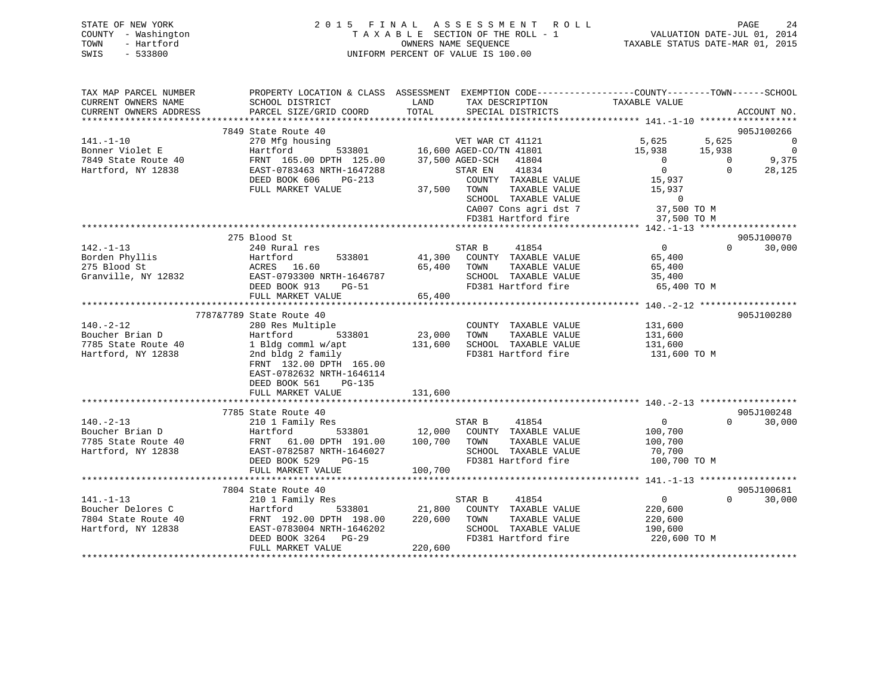|      | STATE OF NEW YORK   | 2015 FINAL ASSESSMENT ROLL         | 2.4<br>PAGE                      |
|------|---------------------|------------------------------------|----------------------------------|
|      | COUNTY - Washington | TAXABLE SECTION OF THE ROLL - 1    | VALUATION DATE-JUL 01, 2014      |
| TOWN | - Hartford          | OWNERS NAME SEOUENCE               | TAXABLE STATUS DATE-MAR 01, 2015 |
| SWIS | $-533800$           | UNIFORM PERCENT OF VALUE IS 100.00 |                                  |

| TAX MAP PARCEL NUMBER                                        |                                                                                                                                                                                                                                      |         | PROPERTY LOCATION & CLASS ASSESSMENT EXEMPTION CODE----------------COUNTY-------TOWN------SCHOOL |                                             |          |               |
|--------------------------------------------------------------|--------------------------------------------------------------------------------------------------------------------------------------------------------------------------------------------------------------------------------------|---------|--------------------------------------------------------------------------------------------------|---------------------------------------------|----------|---------------|
| CURRENT OWNERS NAME                                          | SCHOOL DISTRICT                                                                                                                                                                                                                      | LAND    | TAX DESCRIPTION                                                                                  | TAXABLE VALUE                               |          |               |
| CURRENT OWNERS ADDRESS                                       | PARCEL SIZE/GRID COORD                                                                                                                                                                                                               |         | TOTAL SPECIAL DISTRICTS                                                                          |                                             |          | ACCOUNT NO.   |
|                                                              |                                                                                                                                                                                                                                      |         |                                                                                                  |                                             |          |               |
|                                                              | 7849 State Route 40                                                                                                                                                                                                                  |         |                                                                                                  |                                             |          | 905J100266    |
| $141. - 1 - 10$                                              | 270 Mfg housing<br>270 Mfg housing<br>370 Mfg housing<br>37,801 16,600 AGED-CO/TN 41801 15,938 15,938 0<br>37,500 AGED-SCH 41804 0 0 9,375                                                                                           |         |                                                                                                  |                                             |          |               |
|                                                              |                                                                                                                                                                                                                                      |         |                                                                                                  |                                             |          |               |
|                                                              |                                                                                                                                                                                                                                      |         |                                                                                                  |                                             |          |               |
| Bonner Violet E<br>7849 State Route 40<br>Hartford, NY 12838 | EAST-0783463 NRTH-1647288                                                                                                                                                                                                            |         | STAR EN 41834                                                                                    | $\overline{0}$                              | $\Omega$ | 28,125        |
|                                                              | DEED BOOK 606<br>$PG-213$                                                                                                                                                                                                            |         | COUNTY TAXABLE VALUE                                                                             | 15,937                                      |          |               |
|                                                              | FULL MARKET VALUE                                                                                                                                                                                                                    |         |                                                                                                  |                                             |          |               |
|                                                              |                                                                                                                                                                                                                                      |         | TOWN TAXABLE VALUE 15,937<br>SCHOOL TAXABLE VALUE 0<br>CA007 Cons agri dst 7 37,500 TO M         |                                             |          |               |
|                                                              |                                                                                                                                                                                                                                      |         |                                                                                                  |                                             |          |               |
|                                                              |                                                                                                                                                                                                                                      |         |                                                                                                  |                                             |          |               |
|                                                              |                                                                                                                                                                                                                                      |         |                                                                                                  |                                             |          |               |
|                                                              | 275 Blood St                                                                                                                                                                                                                         |         |                                                                                                  | $\begin{array}{c}\n0 \\ 65400\n\end{array}$ |          | 905J100070    |
| $142. - 1 - 13$                                              | 240 Rural res                                                                                                                                                                                                                        |         | STAR B<br>41854                                                                                  |                                             | $\Omega$ | 30,000        |
| Borden Phyllis<br>275 Blood St                               |                                                                                                                                                                                                                                      |         | 41,300 COUNTY TAXABLE VALUE<br>TAXABLE VALUE                                                     |                                             |          |               |
| 275 Blood St                                                 |                                                                                                                                                                                                                                      |         | 65,400 TOWN                                                                                      | 65,400                                      |          |               |
| Granville, NY 12832                                          |                                                                                                                                                                                                                                      |         | SCHOOL TAXABLE VALUE 35,400<br>FD381 Hartford fire 65,400 TO M                                   |                                             |          |               |
|                                                              |                                                                                                                                                                                                                                      |         |                                                                                                  |                                             |          |               |
|                                                              |                                                                                                                                                                                                                                      |         |                                                                                                  |                                             |          |               |
|                                                              | 7787&7789 State Route 40                                                                                                                                                                                                             |         |                                                                                                  |                                             |          | 905J100280    |
| $140. - 2 - 12$                                              | 280 Res Multiple                                                                                                                                                                                                                     |         | COUNTY TAXABLE VALUE 131,600                                                                     |                                             |          |               |
| Boucher Brian D                                              | 533801                                                                                                                                                                                                                               | 23,000  | TAXABLE VALUE<br>TOWN                                                                            | 131,600                                     |          |               |
| 7785 State Route 40                                          |                                                                                                                                                                                                                                      |         | 131,600 SCHOOL TAXABLE VALUE                                                                     | 131,600                                     |          |               |
| Hartford, NY 12838                                           | 2nd bldg 2 family                                                                                                                                                                                                                    |         | FD381 Hartford fire 131,600 TO M                                                                 |                                             |          |               |
|                                                              | FRNT 132.00 DPTH 165.00                                                                                                                                                                                                              |         |                                                                                                  |                                             |          |               |
|                                                              | EAST-0782632 NRTH-1646114                                                                                                                                                                                                            |         |                                                                                                  |                                             |          |               |
|                                                              | DEED BOOK 561 PG-135                                                                                                                                                                                                                 |         |                                                                                                  |                                             |          |               |
|                                                              | FULL MARKET VALUE                                                                                                                                                                                                                    | 131,600 |                                                                                                  |                                             |          |               |
|                                                              |                                                                                                                                                                                                                                      |         |                                                                                                  |                                             |          |               |
|                                                              | 7785 State Route 40                                                                                                                                                                                                                  |         |                                                                                                  |                                             |          | 905J100248    |
| $140. - 2 - 13$                                              | 210 1 Family Res                                                                                                                                                                                                                     |         | STAR B 41854                                                                                     | $\overline{0}$                              |          | $0 \t 30,000$ |
| Boucher Brian D                                              |                                                                                                                                                                                                                                      |         |                                                                                                  |                                             |          |               |
| 7785 State Route 40                                          |                                                                                                                                                                                                                                      |         |                                                                                                  |                                             |          |               |
| Hartford, NY 12838                                           |                                                                                                                                                                                                                                      |         |                                                                                                  |                                             |          |               |
|                                                              |                                                                                                                                                                                                                                      |         |                                                                                                  |                                             |          |               |
|                                                              |                                                                                                                                                                                                                                      |         |                                                                                                  |                                             |          |               |
|                                                              | 0.-2-13<br>ucher Brian D and Martford (1.00 DPH 191.00 100,700 TOWN TAXABLE VALUE 100,700<br>EAST-0782587 NRTH-1646027 SCHOOL TAXABLE VALUE 100,700<br>FULL MARKET VALUE 100,700 DEED BOOK 529 PG-15 FD381 Hartford fire 100,700 TOW |         |                                                                                                  |                                             |          |               |
|                                                              | 7804 State Route 40                                                                                                                                                                                                                  |         |                                                                                                  |                                             |          | 905J100681    |
| $141. - 1 - 13$                                              | 210 1 Family Res                                                                                                                                                                                                                     |         | 41854<br>STAR B                                                                                  | $\overline{0}$                              | $\Omega$ | 30,000        |
|                                                              |                                                                                                                                                                                                                                      |         | 533801 21,800 COUNTY TAXABLE VALUE                                                               | 220,600                                     |          |               |
|                                                              |                                                                                                                                                                                                                                      |         | TAXABLE VALUE 220,600                                                                            |                                             |          |               |
| Hartford, NY 12838                                           | EAST-0783004 NRTH-1646202                                                                                                                                                                                                            |         | SCHOOL TAXABLE VALUE 190,600<br>FD381 Hartford fire 1220,600                                     |                                             |          |               |
|                                                              | DEED BOOK 3264 PG-29                                                                                                                                                                                                                 |         |                                                                                                  | 220,600 TO M                                |          |               |
|                                                              | FULL MARKET VALUE                                                                                                                                                                                                                    | 220,600 |                                                                                                  |                                             |          |               |
|                                                              |                                                                                                                                                                                                                                      |         |                                                                                                  |                                             |          |               |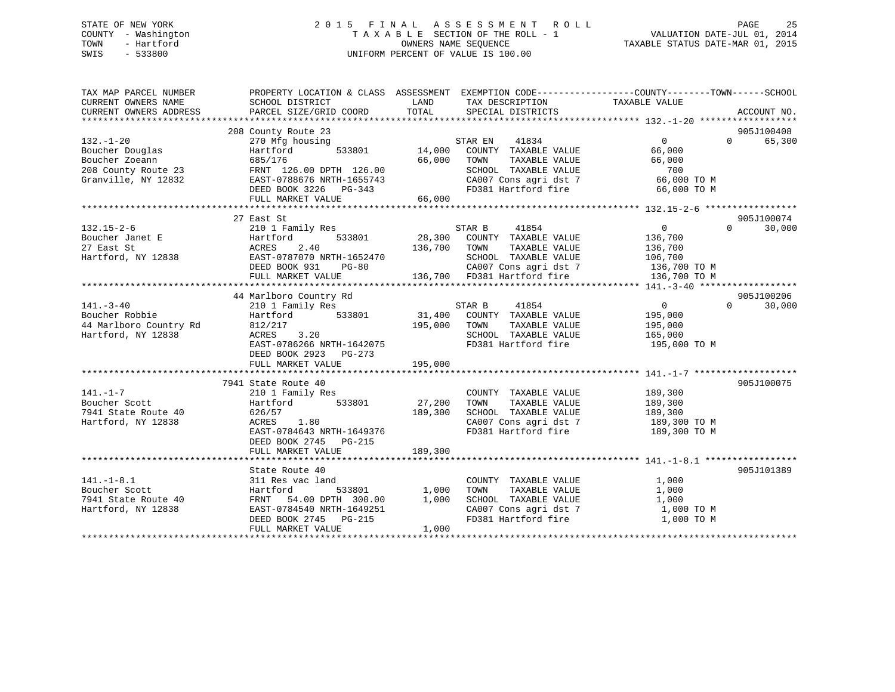# STATE OF NEW YORK 2 0 1 5 F I N A L A S S E S S M E N T R O L L PAGE 25 COUNTY - Washington T A X A B L E SECTION OF THE ROLL - 1 VALUATION DATE-JUL 01, 2014 TOWN - Hartford **TAXABLE STATUS DATE-MAR 01, 2015** OWNERS NAME SEQUENCE TAXABLE STATUS DATE-MAR 01, 2015 SWIS - 533800 UNIFORM PERCENT OF VALUE IS 100.00

| TAX MAP PARCEL NUMBER<br>CURRENT OWNERS NAME<br>CURRENT OWNERS ADDRESS | PROPERTY LOCATION & CLASS ASSESSMENT<br>SCHOOL DISTRICT<br>PARCEL SIZE/GRID COORD | LAND<br>TOTAL | EXEMPTION CODE-----------------COUNTY-------TOWN------SCHOOL<br>TAX DESCRIPTION TAXABLE VALUE<br>SPECIAL DISTRICTS |                            | ACCOUNT NO.        |
|------------------------------------------------------------------------|-----------------------------------------------------------------------------------|---------------|--------------------------------------------------------------------------------------------------------------------|----------------------------|--------------------|
|                                                                        |                                                                                   |               |                                                                                                                    |                            |                    |
|                                                                        | 208 County Route 23                                                               |               |                                                                                                                    |                            | 905J100408         |
| $132. - 1 - 20$                                                        | 270 Mfg housing                                                                   |               | STAR EN<br>41834                                                                                                   | $\overline{0}$             | 65,300<br>$\Omega$ |
| Boucher Douglas                                                        | Hartford<br>533801                                                                | 14,000        | COUNTY TAXABLE VALUE                                                                                               | 66,000                     |                    |
| Boucher Zoeann                                                         | 685/176                                                                           | 66,000        | TOWN<br>TAXABLE VALUE                                                                                              | 66,000                     |                    |
| 208 County Route 23                                                    | FRNT 126.00 DPTH 126.00                                                           |               | SCHOOL TAXABLE VALUE                                                                                               | 700                        |                    |
| Granville, NY 12832                                                    | EAST-0788676 NRTH-1655743                                                         |               | CA007 Cons agri dst 7                                                                                              | 66,000 TO M                |                    |
|                                                                        | DEED BOOK 3226 PG-343                                                             |               | FD381 Hartford fire                                                                                                | 66,000 TO M                |                    |
|                                                                        | FULL MARKET VALUE                                                                 | 66,000        |                                                                                                                    |                            |                    |
|                                                                        |                                                                                   |               |                                                                                                                    |                            |                    |
|                                                                        | 27 East St                                                                        |               |                                                                                                                    |                            | 905J100074         |
| $132.15 - 2 - 6$                                                       | 210 1 Family Res                                                                  |               | STAR B<br>41854                                                                                                    | $\overline{0}$             | $\Omega$<br>30,000 |
| Boucher Janet E                                                        | 533801<br>Hartford                                                                |               | 28,300 COUNTY TAXABLE VALUE                                                                                        | 136,700                    |                    |
| 27 East St                                                             | ACRES<br>2.40                                                                     | 136,700       | TAXABLE VALUE<br>TOWN                                                                                              | 136,700                    |                    |
| Hartford, NY 12838                                                     | EAST-0787070 NRTH-1652470                                                         |               | SCHOOL TAXABLE VALUE                                                                                               | 106,700                    |                    |
|                                                                        | DEED BOOK 931<br>PG-80                                                            |               |                                                                                                                    | 136,700 TO M               |                    |
|                                                                        | FULL MARKET VALUE                                                                 |               | CA007 Cons agri dst 7<br>136,700 FD381 Hartford fire                                                               | 136,700 TO M               |                    |
|                                                                        |                                                                                   |               |                                                                                                                    |                            |                    |
|                                                                        | 44 Marlboro Country Rd                                                            |               |                                                                                                                    |                            | 905J100206         |
| $141. - 3 - 40$                                                        | 210 1 Family Res                                                                  |               | 41854<br>STAR B                                                                                                    | $\overline{0}$<br>$\Omega$ | 30,000             |
| Boucher Robbie                                                         | Hartford 533801                                                                   |               | 31,400 COUNTY TAXABLE VALUE                                                                                        | 195,000                    |                    |
| 44 Marlboro Country Rd                                                 | 812/217                                                                           | 195,000       | TOWN<br>TAXABLE VALUE                                                                                              | 195,000                    |                    |
| Hartford, NY 12838                                                     | 3.20<br>ACRES                                                                     |               | SCHOOL TAXABLE VALUE                                                                                               | 165,000                    |                    |
|                                                                        | EAST-0786266 NRTH-1642075                                                         |               | FD381 Hartford fire                                                                                                | 195,000 TO M               |                    |
|                                                                        | DEED BOOK 2923 PG-273                                                             |               |                                                                                                                    |                            |                    |
|                                                                        | FULL MARKET VALUE                                                                 | 195,000       |                                                                                                                    |                            |                    |
|                                                                        |                                                                                   |               |                                                                                                                    |                            |                    |
|                                                                        | 7941 State Route 40                                                               |               |                                                                                                                    |                            | 905J100075         |
| $141. - 1 - 7$                                                         | 210 1 Family Res                                                                  |               | COUNTY TAXABLE VALUE                                                                                               | 189,300                    |                    |
| Boucher Scott                                                          | 533801<br>Hartford                                                                | 27,200        | TAXABLE VALUE<br>TOWN                                                                                              | 189,300                    |                    |
| 7941 State Route 40                                                    | 626/57                                                                            | 189,300       | SCHOOL TAXABLE VALUE                                                                                               | 189,300                    |                    |
| Hartford, NY 12838                                                     | ACRES<br>1.80                                                                     |               | CA007 Cons agri dst 7                                                                                              | 189,300 TO M               |                    |
|                                                                        | EAST-0784643 NRTH-1649376                                                         |               | FD381 Hartford fire                                                                                                | 189,300 TO M               |                    |
|                                                                        | DEED BOOK 2745 PG-215                                                             |               |                                                                                                                    |                            |                    |
|                                                                        | FULL MARKET VALUE                                                                 | 189,300       |                                                                                                                    |                            |                    |
|                                                                        |                                                                                   |               |                                                                                                                    |                            |                    |
|                                                                        | State Route 40                                                                    |               |                                                                                                                    |                            | 905J101389         |
| $141. - 1 - 8.1$                                                       | 311 Res vac land                                                                  |               | COUNTY TAXABLE VALUE                                                                                               | 1,000                      |                    |
| Boucher Scott                                                          | Hartford<br>533801                                                                | 1,000         | TAXABLE VALUE<br>TOWN                                                                                              | 1,000                      |                    |
| 7941 State Route 40                                                    | FRNT 54.00 DPTH 300.00                                                            | 1,000         | SCHOOL TAXABLE VALUE                                                                                               | 1,000                      |                    |
| Hartford, NY 12838                                                     | EAST-0784540 NRTH-1649251                                                         |               |                                                                                                                    | 1,000 TO M                 |                    |
|                                                                        | DEED BOOK 2745 PG-215                                                             |               | CA007 Cons agri dst 7<br>FD381 Hartford fire                                                                       | 1,000 TO M                 |                    |
|                                                                        | FULL MARKET VALUE                                                                 | 1,000         |                                                                                                                    |                            |                    |
|                                                                        |                                                                                   |               |                                                                                                                    |                            |                    |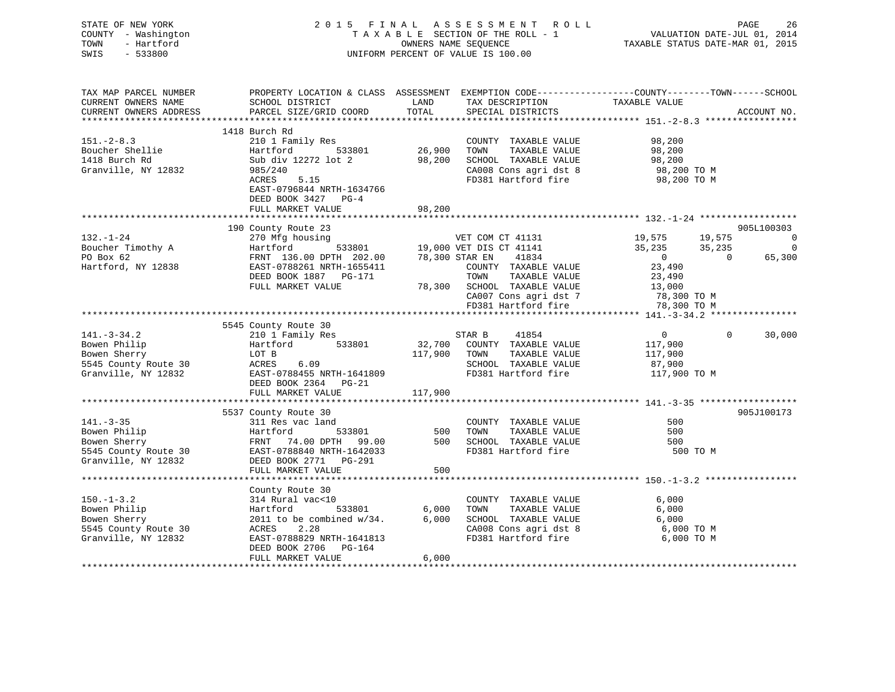| STATE OF NEW YORK<br>COUNTY - Washington<br>TOWN<br>- Hartford<br>$-533800$<br>SWIS              |                                                                                                                                                                                          | OWNERS NAME SEQUENCE | 2015 FINAL ASSESSMENT ROLL<br>TAXABLE SECTION OF THE ROLL - 1<br>UNIFORM PERCENT OF VALUE IS 100.00                          |                                                                  | PAGE<br>26<br>VALUATION DATE-JUL 01, 2014<br>TAXABLE STATUS DATE-MAR 01, 2015 |
|--------------------------------------------------------------------------------------------------|------------------------------------------------------------------------------------------------------------------------------------------------------------------------------------------|----------------------|------------------------------------------------------------------------------------------------------------------------------|------------------------------------------------------------------|-------------------------------------------------------------------------------|
| TAX MAP PARCEL NUMBER<br>CURRENT OWNERS NAME<br>CURRENT OWNERS ADDRESS                           | PROPERTY LOCATION & CLASS ASSESSMENT EXEMPTION CODE----------------COUNTY-------TOWN------SCHOOL<br>SCHOOL DISTRICT<br>PARCEL SIZE/GRID COORD                                            | LAND<br>TOTAL        | TAX DESCRIPTION TAXABLE VALUE<br>SPECIAL DISTRICTS<br>SPECIAL DISTRICTS                                                      |                                                                  | ACCOUNT NO.                                                                   |
|                                                                                                  | 1418 Burch Rd                                                                                                                                                                            |                      |                                                                                                                              |                                                                  |                                                                               |
| $151. - 2 - 8.3$<br>Boucher Shellie<br>1418 Burch Rd<br>Granville, NY 12832                      | 210 1 Family Res<br>Hartford 533801<br>Sub div 12272 lot 2<br>985/240<br>5.15<br>ACRES<br>EAST-0796844 NRTH-1634766<br>DEED BOOK 3427 PG-4<br>FULL MARKET VALUE                          | 26,900<br>98,200     | COUNTY TAXABLE VALUE<br>TOWN<br>TAXABLE VALUE<br>98,200 SCHOOL TAXABLE VALUE<br>CA008 Cons agri dst 8<br>FD381 Hartford fire | 98,200<br>98,200<br>98,200<br>98,200 TO M<br>98,200 TO M         |                                                                               |
|                                                                                                  |                                                                                                                                                                                          | ***********          |                                                                                                                              |                                                                  |                                                                               |
|                                                                                                  | 190 County Route 23                                                                                                                                                                      |                      |                                                                                                                              |                                                                  | 905L100303                                                                    |
| $132. - 1 - 24$<br>Boucher Timothy A<br>PO Box 62<br>Hartford, NY 12838                          | DEED BOOK 1887 PG-171<br>FULL MARKET VALUE                                                                                                                                               |                      | VET COM CT 41131<br>41834<br>COUNTY TAXABLE VALUE<br>TOWN<br>TAXABLE VALUE<br>78,300 SCHOOL TAXABLE VALUE                    | 19,575<br>35,235<br>$\overline{0}$<br>23,490<br>23,490<br>13,000 | 19,575<br>0<br>35,235<br>0<br>$\sim$ 0<br>65,300                              |
|                                                                                                  |                                                                                                                                                                                          |                      | CA007 Cons agri dst 7                                                                                                        | 78,300 TO M                                                      |                                                                               |
|                                                                                                  |                                                                                                                                                                                          |                      | FD381 Hartford fire                                                                                                          | 78,300 TO M                                                      |                                                                               |
|                                                                                                  | 5545 County Route 30                                                                                                                                                                     |                      |                                                                                                                              |                                                                  |                                                                               |
| $141. - 3 - 34.2$<br>Bowen Philip<br>Bowen Sherry<br>5545 County Route 30<br>Granville, NY 12832 | 210 1 Family Res<br>$Hartford$ 533801<br>LOT B<br>ACRES 6.09<br>EAST-0788455 NRTH-1641809<br>DEED BOOK 2364 PG-21                                                                        | 117,900 TOWN         | STAR B<br>41854<br>32,700 COUNTY TAXABLE VALUE<br>TAXABLE VALUE<br>SCHOOL TAXABLE VALUE<br>FD381 Hartford fire               | $\overline{0}$<br>117,900<br>117,900<br>87,900<br>117,900 TO M   | $\Omega$<br>30,000                                                            |
|                                                                                                  | FULL MARKET VALUE                                                                                                                                                                        | 117,900              |                                                                                                                              |                                                                  |                                                                               |
| $141. - 3 - 35$<br>Bowen Philip<br>Bowen Sherry<br>5545 County Route 30<br>Granville, NY 12832   | 5537 County Route 30<br>311 Res vac land<br>Hartford 533801<br>FRNT 74.00 DPTH 99.00<br>EAST-0788840 NRTH-1642033<br>----- 2531 DG-291<br>DEED BOOK 2771 PG-291<br>FULL MARKET VALUE     | 500<br>500           | COUNTY TAXABLE VALUE<br>TAXABLE VALUE<br>TOWN<br>500 SCHOOL TAXABLE VALUE<br>FD381 Hartford fire                             | 500<br>500<br>500<br>500 TO M                                    | 905J100173                                                                    |
|                                                                                                  | County Route 30                                                                                                                                                                          |                      |                                                                                                                              |                                                                  |                                                                               |
| $150. - 1 - 3.2$<br>Bowen Philip<br>Bowen Sherry<br>5545 County Route 30<br>Granville, NY 12832  | 314 Rural vac<10<br>si <del>i</del> Kurai<br>Hartford<br>533801<br>2011 to be combined $w/34$ .<br>ACRES 2.28<br>EAST-0788829 NRTH-1641813<br>DEED BOOK 2706 PG-164<br>FULL MARKET VALUE | 6,000<br>6.000       | COUNTY TAXABLE VALUE<br>TOWN<br>TAXABLE VALUE<br>6,000 SCHOOL TAXABLE VALUE<br>CA008 Cons agri dst 8<br>FD381 Hartford fire  | 6,000<br>6,000<br>6,000<br>6,000 TO M<br>6,000 TO M              |                                                                               |
|                                                                                                  |                                                                                                                                                                                          |                      |                                                                                                                              |                                                                  |                                                                               |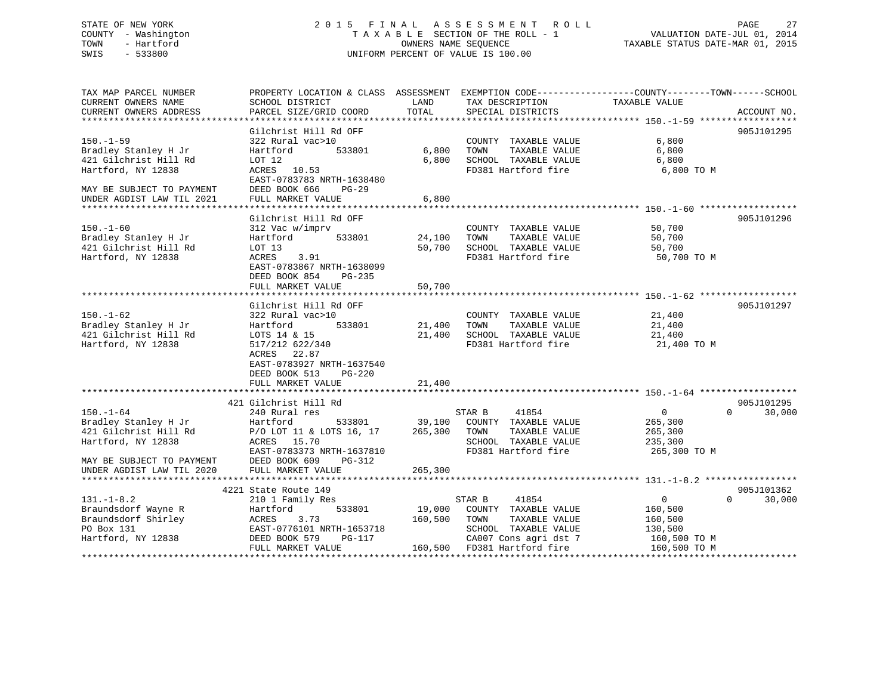# STATE OF NEW YORK 2 0 1 5 F I N A L A S S E S S M E N T R O L L PAGE 27 COUNTY - Washington T A X A B L E SECTION OF THE ROLL - 1 VALUATION DATE-JUL 01, 2014 TOWN - Hartford OWNERS NAME SEQUENCE TAXABLE STATUS DATE-MAR 01, 2015 SWIS - 533800 UNIFORM PERCENT OF VALUE IS 100.00

| TAX MAP PARCEL NUMBER                         |                           |             |                                                           | PROPERTY LOCATION & CLASS ASSESSMENT EXEMPTION CODE---------------COUNTY-------TOWN------SCHOOL |
|-----------------------------------------------|---------------------------|-------------|-----------------------------------------------------------|-------------------------------------------------------------------------------------------------|
| CURRENT OWNERS NAME                           | SCHOOL DISTRICT           | LAND        | TAX DESCRIPTION                                           | TAXABLE VALUE                                                                                   |
| CURRENT OWNERS ADDRESS                        | PARCEL SIZE/GRID COORD    | TOTAL       | SPECIAL DISTRICTS                                         | ACCOUNT NO.                                                                                     |
|                                               |                           |             |                                                           |                                                                                                 |
|                                               | Gilchrist Hill Rd OFF     |             |                                                           | 905J101295                                                                                      |
| $150. - 1 - 59$                               | 322 Rural vac>10          |             | COUNTY TAXABLE VALUE                                      | 6,800                                                                                           |
| Bradley Stanley H Jr                          | 533801<br>Hartford        | 6,800       | TOWN<br>TAXABLE VALUE                                     | 6,800                                                                                           |
| 421 Gilchrist Hill Rd                         | LOT 12                    | 6,800       | SCHOOL TAXABLE VALUE                                      | 6,800                                                                                           |
| Hartford, NY 12838                            | ACRES 10.53               |             | FD381 Hartford fire                                       | 6,800 TO M                                                                                      |
|                                               |                           |             |                                                           |                                                                                                 |
|                                               | EAST-0783783 NRTH-1638480 |             |                                                           |                                                                                                 |
| MAY BE SUBJECT TO PAYMENT                     | DEED BOOK 666<br>PG-29    |             |                                                           |                                                                                                 |
| UNDER AGDIST LAW TIL 2021                     | FULL MARKET VALUE         | 6,800       |                                                           |                                                                                                 |
|                                               |                           |             |                                                           |                                                                                                 |
|                                               | Gilchrist Hill Rd OFF     |             |                                                           | 905J101296                                                                                      |
| $150. - 1 - 60$                               | 312 Vac w/imprv           |             | COUNTY TAXABLE VALUE                                      | 50,700                                                                                          |
| Bradley Stanley H Jr                          | 533801<br>Hartford        | 24,100      | TOWN<br>TAXABLE VALUE                                     | 50,700                                                                                          |
| 421 Gilchrist Hill Rd                         | LOT 13                    | 50,700      | SCHOOL TAXABLE VALUE                                      | 50,700                                                                                          |
| Hartford, NY 12838                            | ACRES<br>3.91             |             | FD381 Hartford fire                                       | 50,700 TO M                                                                                     |
|                                               | EAST-0783867 NRTH-1638099 |             |                                                           |                                                                                                 |
|                                               | DEED BOOK 854<br>PG-235   |             |                                                           |                                                                                                 |
|                                               | FULL MARKET VALUE         | 50,700      |                                                           |                                                                                                 |
|                                               |                           |             |                                                           |                                                                                                 |
|                                               | Gilchrist Hill Rd OFF     |             |                                                           | 905J101297                                                                                      |
|                                               |                           |             |                                                           |                                                                                                 |
| $150. - 1 - 62$                               | 322 Rural vac>10          |             | COUNTY TAXABLE VALUE                                      | 21,400                                                                                          |
| Bradley Stanley H Jr                          | 533801<br>Hartford        | 21,400 TOWN | TAXABLE VALUE                                             | 21,400                                                                                          |
| 421 Gilchrist Hill Rd                         | LOTS 14 & 15              | 21,400      | SCHOOL TAXABLE VALUE                                      | 21,400                                                                                          |
| Hartford, NY 12838                            | 517/212 622/340           |             | FD381 Hartford fire                                       | 21,400 TO M                                                                                     |
|                                               | ACRES<br>22.87            |             |                                                           |                                                                                                 |
|                                               | EAST-0783927 NRTH-1637540 |             |                                                           |                                                                                                 |
|                                               | DEED BOOK 513<br>PG-220   |             |                                                           |                                                                                                 |
|                                               | FULL MARKET VALUE         | 21,400      |                                                           |                                                                                                 |
|                                               |                           |             |                                                           |                                                                                                 |
|                                               | 421 Gilchrist Hill Rd     |             |                                                           | 905J101295                                                                                      |
| $150. - 1 - 64$                               | 240 Rural res             |             | STAR B<br>41854                                           | $\Omega$<br>$\overline{0}$<br>30,000                                                            |
| Bradley Stanley H Jr<br>And Gilchrist Hill Rd | Hartford<br>533801        |             |                                                           | 265,300                                                                                         |
|                                               | P/O LOT 11 & LOTS 16, 17  |             | 39,100 COUNTY TAXABLE VALUE<br>265,300 TOWN TAXABLE VALUE | 265,300                                                                                         |
| Hartford, NY 12838                            | ACRES 15.70               |             | SCHOOL TAXABLE VALUE                                      | 235,300                                                                                         |
|                                               |                           |             |                                                           |                                                                                                 |
|                                               | EAST-0783373 NRTH-1637810 |             | FD381 Hartford fire                                       | 265,300 TO M                                                                                    |
| MAY BE SUBJECT TO PAYMENT                     | DEED BOOK 609<br>PG-312   |             |                                                           |                                                                                                 |
| UNDER AGDIST LAW TIL 2020                     |                           |             |                                                           |                                                                                                 |
|                                               |                           |             |                                                           |                                                                                                 |
|                                               | 4221 State Route 149      |             |                                                           | 905J101362                                                                                      |
| $131. - 1 - 8.2$                              | 210 1 Family Res          |             | 41854<br>STAR B                                           | $\Omega$<br>$\mathbf{0}$<br>30,000                                                              |
| Braundsdorf Wayne R<br>Braundsdorf Shirley    | Hartford<br>533801        | 19,000      | COUNTY TAXABLE VALUE                                      | 160,500                                                                                         |
|                                               | ACRES<br>3.73             | 160,500     | TOWN<br>TAXABLE VALUE                                     | 160,500                                                                                         |
| PO Box 131                                    | EAST-0776101 NRTH-1653718 |             | SCHOOL TAXABLE VALUE                                      | 130,500                                                                                         |
| Hartford, NY 12838                            | DEED BOOK 579<br>PG-117   |             | CA007 Cons agri dst 7                                     | 160,500 TO M                                                                                    |
|                                               | FULL MARKET VALUE         |             | 160,500 FD381 Hartford fire                               | 160,500 TO M                                                                                    |
|                                               |                           |             |                                                           |                                                                                                 |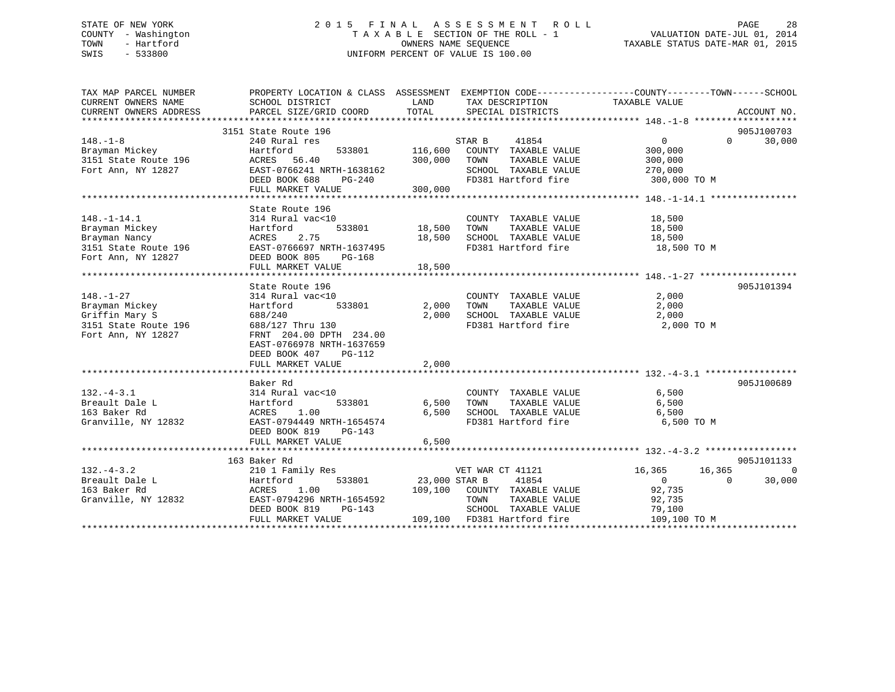# STATE OF NEW YORK 2 0 1 5 F I N A L A S S E S S M E N T R O L L PAGE 28 COUNTY - Washington T A X A B L E SECTION OF THE ROLL - 1 VALUATION DATE-JUL 01, 2014 TOWN - Hartford **TAXABLE STATUS DATE-MAR 01, 2015** OWNERS NAME SEQUENCE TAXABLE STATUS DATE-MAR 01, 2015 SWIS - 533800 UNIFORM PERCENT OF VALUE IS 100.00

| TAX MAP PARCEL NUMBER<br>CURRENT OWNERS NAME<br>CURRENT OWNERS ADDRESS                    | PROPERTY LOCATION & CLASS ASSESSMENT EXEMPTION CODE---------------COUNTY-------TOWN------SCHOOL<br>SCHOOL DISTRICT<br>PARCEL SIZE/GRID COORD | LAND<br>TOTAL      | TAX DESCRIPTION TAXABLE VALUE<br>SPECIAL DISTRICTS |                                                | ACCOUNT NO.                      |
|-------------------------------------------------------------------------------------------|----------------------------------------------------------------------------------------------------------------------------------------------|--------------------|----------------------------------------------------|------------------------------------------------|----------------------------------|
|                                                                                           |                                                                                                                                              |                    |                                                    |                                                |                                  |
| $148. - 1 - 8$                                                                            | 3151 State Route 196<br>240 Rural res                                                                                                        |                    | STAR B<br>41854                                    | $\overline{0}$                                 | 905J100703<br>$\Omega$<br>30,000 |
| Brayman Mickey<br>3151 State Route 196                                                    | Hartford<br>533801<br>ACRES 56.40                                                                                                            | 116,600<br>300,000 | COUNTY TAXABLE VALUE<br>TOWN<br>TAXABLE VALUE      | 300,000<br>300,000                             |                                  |
| Fort Ann, NY 12827                                                                        | EAST-0766241 NRTH-1638162<br>DEED BOOK 688<br>PG-240                                                                                         |                    | SCHOOL TAXABLE VALUE<br>FD381 Hartford fire        | 270,000<br>300,000 TO M                        |                                  |
|                                                                                           | FULL MARKET VALUE                                                                                                                            | 300,000            |                                                    |                                                |                                  |
|                                                                                           | State Route 196                                                                                                                              |                    |                                                    |                                                |                                  |
| $148. - 1 - 14.1$                                                                         | 314 Rural vac<10                                                                                                                             |                    | COUNTY TAXABLE VALUE 18,500                        |                                                |                                  |
| Brayman Mickey                                                                            | 533801<br>Hartford                                                                                                                           | 18,500             | TOWN      TAXABLE VALUE<br>SCHOOL   TAXABLE VALUE  | 18,500                                         |                                  |
| Brayman Nancy                                                                             | ACRES<br>2.75                                                                                                                                | 18,500             |                                                    | 18,500                                         |                                  |
| 3151 State Route 196 EAST-0766697 NRTH-1637495<br>Fort Ann, NY 12827 DEED BOOK 805 PG-168 |                                                                                                                                              |                    | FD381 Hartford fire 18,500 TO M                    |                                                |                                  |
|                                                                                           | FULL MARKET VALUE                                                                                                                            | 18,500             |                                                    |                                                |                                  |
|                                                                                           | State Route 196                                                                                                                              |                    |                                                    |                                                | 905J101394                       |
| $148. - 1 - 27$                                                                           | 314 Rural vac<10                                                                                                                             |                    | COUNTY TAXABLE VALUE                               | 2,000                                          |                                  |
| Brayman Mickey                                                                            | Hartford<br>533801                                                                                                                           | 2,000              | TOWN<br>TAXABLE VALUE                              | 2,000                                          |                                  |
| Griffin Mary S                                                                            | 688/240                                                                                                                                      | 2,000              | SCHOOL TAXABLE VALUE                               | 2,000                                          |                                  |
| $3151$ State Route 196<br>Fort Ann, NY 12827                                              | 688/127 Thru 130<br>FRNT 204.00 DPTH 234.00<br>EAST-0766978 NRTH-1637659<br>DEED BOOK 407<br>PG-112                                          |                    | FD381 Hartford fire                                | 2,000 TO M                                     |                                  |
|                                                                                           | FULL MARKET VALUE                                                                                                                            | 2,000              |                                                    |                                                |                                  |
|                                                                                           |                                                                                                                                              |                    |                                                    |                                                |                                  |
| $132. -4 - 3.1$                                                                           | Baker Rd                                                                                                                                     |                    |                                                    | 6,500                                          | 905J100689                       |
| Breault Dale L                                                                            | 314 Rural vac<10<br>Hartford                                                                                                                 | 533801 6,500       | COUNTY TAXABLE VALUE<br>TOWN<br>TAXABLE VALUE      | 6,500                                          |                                  |
| 163 Baker Rd                                                                              | ACRES<br>1.00                                                                                                                                | 6,500              | SCHOOL TAXABLE VALUE                               | 6,500                                          |                                  |
| Granville, NY 12832                                                                       | EAST-0794449 NRTH-1654574<br>DEED BOOK 819<br>PG-143                                                                                         |                    | FD381 Hartford fire                                | 6,500 TO M                                     |                                  |
|                                                                                           | FULL MARKET VALUE                                                                                                                            | 6,500              |                                                    |                                                |                                  |
|                                                                                           |                                                                                                                                              |                    |                                                    |                                                |                                  |
| $132. - 4 - 3.2$                                                                          | 163 Baker Rd                                                                                                                                 |                    |                                                    |                                                | 905J101133<br>$\overline{0}$     |
| Breault Dale L                                                                            | 210 1 Family Res<br>533801<br>Hartford                                                                                                       | 23,000 STAR B      | VET WAR CT 41121<br>41854                          | 16,365<br>16,365<br>$\overline{0}$<br>$\Omega$ | 30,000                           |
| 163 Baker Rd                                                                              | ACRES 1.00                                                                                                                                   |                    | 109,100 COUNTY TAXABLE VALUE                       | 92,735                                         |                                  |
| Granville, NY 12832                                                                       | EAST-0794296 NRTH-1654592                                                                                                                    |                    | TOWN<br>TAXABLE VALUE                              | 92,735                                         |                                  |
|                                                                                           | DEED BOOK 819<br>PG-143                                                                                                                      |                    | SCHOOL TAXABLE VALUE                               | 79,100                                         |                                  |
|                                                                                           | FULL MARKET VALUE                                                                                                                            |                    | 109,100 FD381 Hartford fire                        | 109,100 TO M                                   |                                  |
|                                                                                           |                                                                                                                                              |                    |                                                    |                                                |                                  |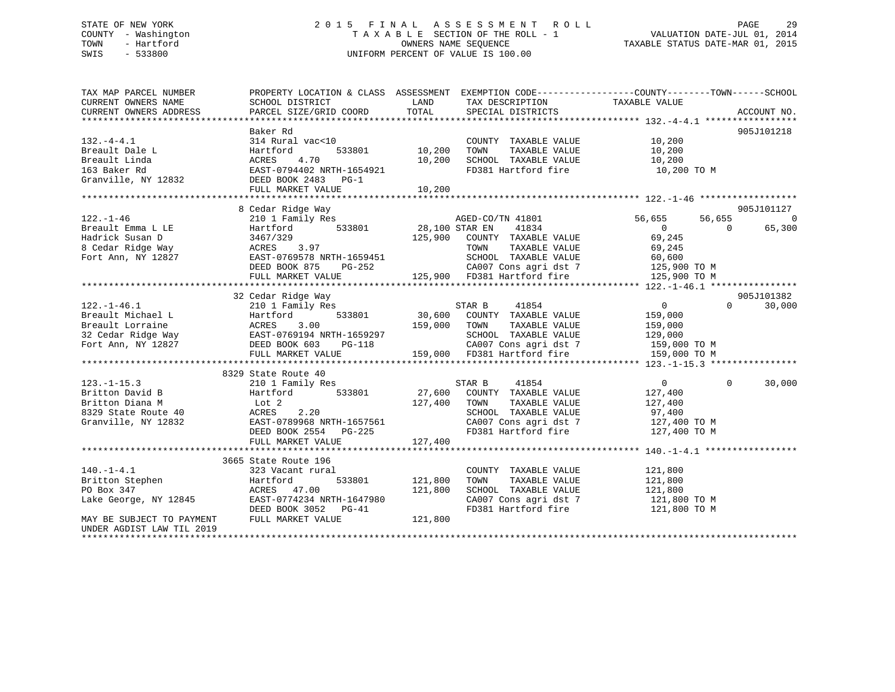# STATE OF NEW YORK 2 0 1 5 F I N A L A S S E S S M E N T R O L L PAGE 29 COUNTY - Washington T A X A B L E SECTION OF THE ROLL - 1 VALUATION DATE-JUL 01, 2014 TOWN - Hartford **TAXABLE STATUS DATE-MAR 01, 2015** OWNERS NAME SEQUENCE TAXABLE STATUS DATE-MAR 01, 2015 SWIS - 533800 UNIFORM PERCENT OF VALUE IS 100.00

| TAX MAP PARCEL NUMBER                         | PROPERTY LOCATION & CLASS ASSESSMENT EXEMPTION CODE---------------COUNTY-------TOWN-----SCHOOL                                                                                                                                                   |         |                                                                                                                                   |                                  |                |
|-----------------------------------------------|--------------------------------------------------------------------------------------------------------------------------------------------------------------------------------------------------------------------------------------------------|---------|-----------------------------------------------------------------------------------------------------------------------------------|----------------------------------|----------------|
|                                               |                                                                                                                                                                                                                                                  |         |                                                                                                                                   |                                  |                |
|                                               | Baker Rd                                                                                                                                                                                                                                         |         |                                                                                                                                   |                                  | 905J101218     |
| $132. -4 - 4.1$                               |                                                                                                                                                                                                                                                  |         |                                                                                                                                   |                                  |                |
| Breault Dale L                                | $314 \text{ Rural vac} < 10 \qquad \qquad \text{COUNTY} \\ \text{Hartford} \qquad \qquad 533801 \qquad \qquad 10,200 \qquad \text{TOWN}$                                                                                                         |         |                                                                                                                                   |                                  |                |
|                                               |                                                                                                                                                                                                                                                  |         |                                                                                                                                   |                                  |                |
|                                               | EAST-0794402 NRTH-1654921                                                                                                                                                                                                                        |         | FD381 Hartford fire                                                                                                               | 10,200 TO M                      |                |
|                                               |                                                                                                                                                                                                                                                  |         |                                                                                                                                   |                                  |                |
|                                               |                                                                                                                                                                                                                                                  |         |                                                                                                                                   |                                  |                |
|                                               |                                                                                                                                                                                                                                                  |         |                                                                                                                                   |                                  |                |
|                                               | 8 Cedar Ridge Way                                                                                                                                                                                                                                |         |                                                                                                                                   |                                  | 905J101127     |
|                                               |                                                                                                                                                                                                                                                  |         |                                                                                                                                   | 56,655<br>56,655                 | $\overline{0}$ |
|                                               |                                                                                                                                                                                                                                                  |         |                                                                                                                                   | $\overline{0}$<br>$\overline{0}$ | 65,300         |
|                                               |                                                                                                                                                                                                                                                  |         | 20,100 SIAN EN 11001<br>125,900 COUNTY TAXABLE VALUE 69,245<br>TOWN TAXABLE VALUE 69,245                                          |                                  |                |
|                                               |                                                                                                                                                                                                                                                  |         |                                                                                                                                   |                                  |                |
|                                               |                                                                                                                                                                                                                                                  |         | 1659451<br>3-252 CAOOL TAXABLE VALUE 60,600<br>3-252 CAO07 Consagridst 7 125,900 TO M<br>125,900 FD381 Hartford fire 125,900 TO M |                                  |                |
|                                               | DEED BOOK 875 PG-252                                                                                                                                                                                                                             |         |                                                                                                                                   |                                  |                |
|                                               | FULL MARKET VALUE                                                                                                                                                                                                                                |         |                                                                                                                                   |                                  |                |
|                                               |                                                                                                                                                                                                                                                  |         |                                                                                                                                   |                                  |                |
|                                               | 32 Cedar Ridge Way                                                                                                                                                                                                                               |         |                                                                                                                                   |                                  | 905J101382     |
| $122. - 1 - 46.1$                             | 210 1 Family Res                                                                                                                                                                                                                                 |         | STAR B 41854                                                                                                                      | $\overline{0}$<br>$\Omega$       | 30,000         |
|                                               |                                                                                                                                                                                                                                                  |         |                                                                                                                                   |                                  |                |
|                                               |                                                                                                                                                                                                                                                  |         |                                                                                                                                   |                                  |                |
|                                               |                                                                                                                                                                                                                                                  |         |                                                                                                                                   |                                  |                |
|                                               |                                                                                                                                                                                                                                                  |         |                                                                                                                                   |                                  |                |
|                                               | Execut Michael L and Hartford 533801 30,600 COUNTY TAXABLE VALUE 159,000<br>Breault Lorraine ACRES 3.00 159,000 TOWN TAXABLE VALUE 159,000<br>32 Cedar Ridge Way EAST-0769194 NRTH-1659297 SCHOOL TAXABLE VALUE 129,000<br>Fort Ann,             |         |                                                                                                                                   |                                  |                |
|                                               |                                                                                                                                                                                                                                                  |         |                                                                                                                                   |                                  |                |
| 123.-1-15.3<br>Britton David B<br>All Diana M | 8329 State Route 40<br>329 State Route 40<br>210 1 Family Res<br>Hartford 533801 27,600 COUNTY TAXABLE VALUE<br>127,400 TOWN TAXABLE VALUE<br>SCHOOL TAXABLE VALUE<br>SCHOOL TAXABLE VALUE<br>127,400 TOWN TAXABLE VALUE<br>SCHOOL TAXABLE VALUE |         |                                                                                                                                   |                                  |                |
|                                               |                                                                                                                                                                                                                                                  |         |                                                                                                                                   | $\overline{0}$<br>$\Omega$       | 30,000         |
|                                               |                                                                                                                                                                                                                                                  |         |                                                                                                                                   | 127,400                          |                |
|                                               |                                                                                                                                                                                                                                                  |         |                                                                                                                                   |                                  |                |
|                                               |                                                                                                                                                                                                                                                  |         |                                                                                                                                   |                                  |                |
|                                               |                                                                                                                                                                                                                                                  |         |                                                                                                                                   |                                  |                |
|                                               |                                                                                                                                                                                                                                                  |         |                                                                                                                                   |                                  |                |
|                                               |                                                                                                                                                                                                                                                  |         |                                                                                                                                   |                                  |                |
|                                               | Britton David B Martion (1992)<br>Britton Diana M and Lot 2<br>Britton Diana M and Lot 2<br>Britton Diana M and 22<br>Bast-0789968 NRTH-1657561<br>EED BOOK 2554 PG-225 PD381 Hartford fire 127,400 TO M FULL MARKET VALUE<br>FULL MARKET        |         |                                                                                                                                   |                                  |                |
|                                               | 3665 State Route 196                                                                                                                                                                                                                             |         |                                                                                                                                   |                                  |                |
| $140. -1 - 4.1$                               | 323 Vacant rural                                                                                                                                                                                                                                 |         | COUNTY TAXABLE VALUE                                                                                                              | 121,800                          |                |
| Britton Stephen<br>Po Por 247                 | 533801 121,800                                                                                                                                                                                                                                   |         | TOWN<br>TAXABLE VALUE                                                                                                             | 121,800                          |                |
| PO Box 347                                    | ACRES 47.00<br>Lake George, NY 12845 EAST-0774234 NRTH-1647980                                                                                                                                                                                   | 121,800 | SCHOOL TAXABLE VALUE<br>CA007 Cons agri dst 7 121,800 TO M                                                                        | 121,800                          |                |
|                                               |                                                                                                                                                                                                                                                  |         |                                                                                                                                   |                                  |                |
| MAY BE SUBJECT TO PAYMENT                     | DEED BOOK 3052 PG-41<br>FULL MARKET VALUE                                                                                                                                                                                                        | 121,800 | FD381 Hartford fire                                                                                                               | 121,800 TO M                     |                |
| UNDER AGDIST LAW TIL 2019                     |                                                                                                                                                                                                                                                  |         |                                                                                                                                   |                                  |                |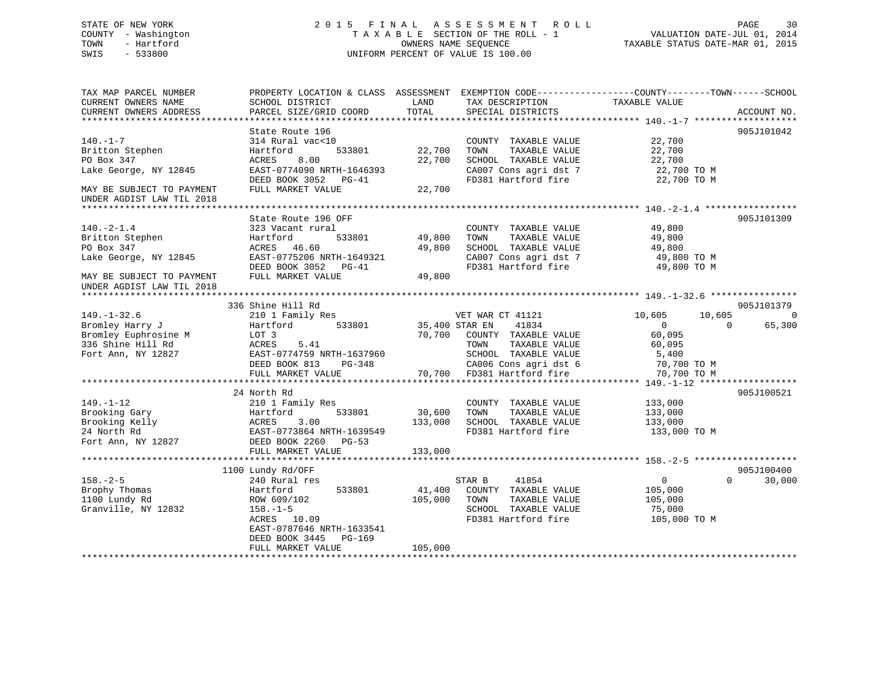# STATE OF NEW YORK 2 0 1 5 F I N A L A S S E S S M E N T R O L L PAGE 30 COUNTY - Washington T A X A B L E SECTION OF THE ROLL - 1 VALUATION DATE-JUL 01, 2014 TOWN - Hartford OWNERS NAME SEQUENCE TAXABLE STATUS DATE-MAR 01, 2015 SWIS - 533800 UNIFORM PERCENT OF VALUE IS 100.00

| TAX MAP PARCEL NUMBER<br>CURRENT OWNERS NAME           | SCHOOL DISTRICT                                        | LAND<br>TOTAL | TAX DESCRIPTION                              | PROPERTY LOCATION & CLASS ASSESSMENT EXEMPTION CODE----------------COUNTY-------TOWN------SCHOOL<br>TAXABLE VALUE |
|--------------------------------------------------------|--------------------------------------------------------|---------------|----------------------------------------------|-------------------------------------------------------------------------------------------------------------------|
| CURRENT OWNERS ADDRESS                                 | PARCEL SIZE/GRID COORD                                 |               | SPECIAL DISTRICTS                            | ACCOUNT NO.                                                                                                       |
|                                                        | State Route 196                                        |               |                                              | 905J101042                                                                                                        |
| $140. - 1 - 7$                                         | 314 Rural vac<10                                       |               | COUNTY TAXABLE VALUE                         | 22,700                                                                                                            |
| Britton Stephen                                        | 533801<br>Hartford                                     | 22,700        | TOWN<br>TAXABLE VALUE                        | 22,700                                                                                                            |
| PO Box 347                                             | 8.00<br>ACRES                                          | 22,700        | SCHOOL TAXABLE VALUE                         | 22,700                                                                                                            |
| Lake George, NY 12845                                  | EAST-0774090 NRTH-1646393                              |               | CA007 Cons agri dst 7                        | 22,700 TO M                                                                                                       |
|                                                        | DEED BOOK 3052 PG-41                                   |               | FD381 Hartford fire                          | 22,700 TO M                                                                                                       |
| MAY BE SUBJECT TO PAYMENT<br>UNDER AGDIST LAW TIL 2018 | FULL MARKET VALUE                                      | 22,700        |                                              |                                                                                                                   |
|                                                        |                                                        |               |                                              |                                                                                                                   |
|                                                        | State Route 196 OFF                                    |               |                                              | 905J101309                                                                                                        |
| $140. -2 - 1.4$                                        | 323 Vacant rural                                       |               | COUNTY TAXABLE VALUE                         | 49,800                                                                                                            |
| Britton Stephen                                        | Hartford<br>533801                                     | 49,800        | TOWN<br>TAXABLE VALUE                        | 49,800                                                                                                            |
| PO Box 347                                             | ACRES 46.60                                            | 49,800        | SCHOOL TAXABLE VALUE                         | 49,800                                                                                                            |
| Lake George, NY 12845                                  | EAST-0775206 NRTH-1649321<br>DEED BOOK 3052<br>$PG-41$ |               | CA007 Cons agri dst 7<br>FD381 Hartford fire | 49,800 TO M<br>49,800 TO M                                                                                        |
| MAY BE SUBJECT TO PAYMENT                              | FULL MARKET VALUE                                      | 49,800        |                                              |                                                                                                                   |
| UNDER AGDIST LAW TIL 2018                              |                                                        |               |                                              |                                                                                                                   |
|                                                        | 336 Shine Hill Rd                                      |               |                                              | 905J101379                                                                                                        |
| $149. - 1 - 32.6$                                      | 210 1 Family Res                                       |               | VET WAR CT 41121                             | 10,605<br>10,605<br>$\Omega$                                                                                      |
| Bromley Harry J                                        | Hartford<br>533801                                     |               | 41834<br>35,400 STAR EN                      | $\Omega$<br>65,300<br>$\mathbf{0}$                                                                                |
| Bromley Euphrosine M                                   | LOT 3                                                  | 70,700        | COUNTY TAXABLE VALUE                         | 60,095                                                                                                            |
| 336 Shine Hill Rd                                      | 5.41<br>ACRES                                          |               | TAXABLE VALUE<br>TOWN                        | 60,095                                                                                                            |
| Fort Ann, NY 12827                                     | EAST-0774759 NRTH-1637960                              |               | SCHOOL TAXABLE VALUE                         | 5,400                                                                                                             |
|                                                        | DEED BOOK 813<br>$PG-348$                              |               | CA006 Cons agri dst 6                        | 70,700 TO M                                                                                                       |
|                                                        | FULL MARKET VALUE                                      |               | 70,700 FD381 Hartford fire                   | 70,700 TO M                                                                                                       |
|                                                        |                                                        |               |                                              |                                                                                                                   |
|                                                        | 24 North Rd                                            |               |                                              | 905J100521                                                                                                        |
| $149. - 1 - 12$                                        | 210 1 Family Res                                       |               | COUNTY TAXABLE VALUE                         | 133,000                                                                                                           |
| Brooking Gary                                          | 533801<br>Hartford                                     | 30,600        | TOWN<br>TAXABLE VALUE                        | 133,000                                                                                                           |
| Brooking Kelly                                         | 3.00<br>ACRES                                          | 133,000       | SCHOOL TAXABLE VALUE                         | 133,000                                                                                                           |
| 24 North Rd                                            | EAST-0773864 NRTH-1639549                              |               | FD381 Hartford fire                          | 133,000 TO M                                                                                                      |
| Fort Ann, NY 12827                                     | DEED BOOK 2260 PG-53                                   |               |                                              |                                                                                                                   |
|                                                        | FULL MARKET VALUE                                      | 133,000       |                                              |                                                                                                                   |
|                                                        | 1100 Lundy Rd/OFF                                      |               |                                              | 905J100400                                                                                                        |
| $158. - 2 - 5$                                         | 240 Rural res                                          |               | STAR B<br>41854                              | $\mathbf{0}$<br>$\Omega$<br>30,000                                                                                |
| Brophy Thomas                                          | 533801<br>Hartford                                     | 41,400        | COUNTY TAXABLE VALUE                         | 105,000                                                                                                           |
| 1100 Lundy Rd                                          | ROW 609/102                                            | 105,000       | TAXABLE VALUE<br>TOWN                        | 105,000                                                                                                           |
| Granville, NY 12832                                    | $158. - 1 - 5$                                         |               | SCHOOL TAXABLE VALUE                         | 75,000                                                                                                            |
|                                                        | ACRES 10.09                                            |               | FD381 Hartford fire                          | 105,000 TO M                                                                                                      |
|                                                        | EAST-0787646 NRTH-1633541                              |               |                                              |                                                                                                                   |
|                                                        | DEED BOOK 3445<br>PG-169                               |               |                                              |                                                                                                                   |
|                                                        | FULL MARKET VALUE                                      | 105,000       |                                              |                                                                                                                   |
|                                                        |                                                        |               |                                              |                                                                                                                   |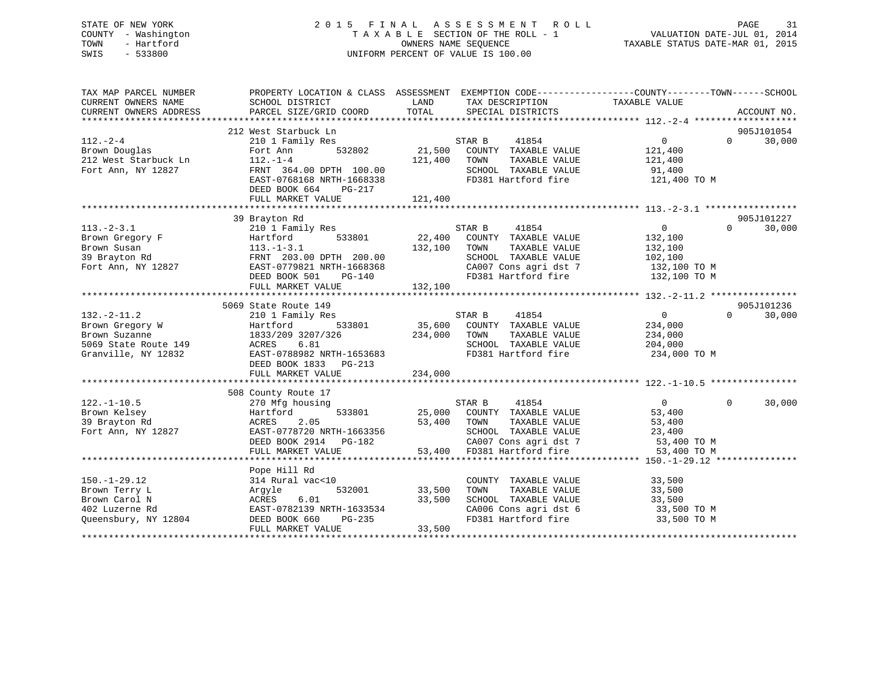# STATE OF NEW YORK 2 0 1 5 F I N A L A S S E S S M E N T R O L L PAGE 31 COUNTY - Washington T A X A B L E SECTION OF THE ROLL - 1 VALUATION DATE-JUL 01, 2014 TOWN - Hartford **TAXABLE STATUS DATE-MAR 01, 2015** OWNERS NAME SEQUENCE TAXABLE STATUS DATE-MAR 01, 2015 SWIS - 533800 UNIFORM PERCENT OF VALUE IS 100.00

| TAX MAP PARCEL NUMBER<br>CURRENT OWNERS NAME | PROPERTY LOCATION & CLASS ASSESSMENT EXEMPTION CODE---------------COUNTY-------TOWN-----SCHOOL<br>SCHOOL DISTRICT                                                                                      | LAND          | TAX DESCRIPTION                                                                                                                                                                                                                                                                                         | TAXABLE VALUE     |                    |
|----------------------------------------------|--------------------------------------------------------------------------------------------------------------------------------------------------------------------------------------------------------|---------------|---------------------------------------------------------------------------------------------------------------------------------------------------------------------------------------------------------------------------------------------------------------------------------------------------------|-------------------|--------------------|
| CURRENT OWNERS ADDRESS                       | PARCEL SIZE/GRID COORD                                                                                                                                                                                 | TOTAL         | SPECIAL DISTRICTS                                                                                                                                                                                                                                                                                       |                   | ACCOUNT NO.        |
|                                              | 212 West Starbuck Ln                                                                                                                                                                                   |               |                                                                                                                                                                                                                                                                                                         |                   | 905J101054         |
| $112. - 2 - 4$                               | 210 1 Family Res                                                                                                                                                                                       |               |                                                                                                                                                                                                                                                                                                         | 0                 | 30,000<br>$\Omega$ |
| 112.-2-4<br>Brown Douglas                    | 532802<br>Fort Ann                                                                                                                                                                                     |               | STAR B 41854<br>2802 21,500 COUNTY TAXABLE VALUE                                                                                                                                                                                                                                                        | 121,400           |                    |
| 212 West Starbuck Ln                         | $112. -1 - 4$                                                                                                                                                                                          | 121,400 TOWN  | TAXABLE VALUE                                                                                                                                                                                                                                                                                           | 121,400           |                    |
| Fort Ann, NY 12827                           | FRNT 364.00 DPTH 100.00                                                                                                                                                                                |               | SCHOOL TAXABLE VALUE                                                                                                                                                                                                                                                                                    | 91,400            |                    |
|                                              | FRN1 504.00 DPTH 100.00<br>EAST-0768168 NRTH-1668338                                                                                                                                                   |               | FD381 Hartford fire                                                                                                                                                                                                                                                                                     | 121,400 TO M      |                    |
|                                              | DEED BOOK 664<br>PG-217                                                                                                                                                                                |               |                                                                                                                                                                                                                                                                                                         |                   |                    |
|                                              |                                                                                                                                                                                                        |               |                                                                                                                                                                                                                                                                                                         |                   |                    |
|                                              |                                                                                                                                                                                                        |               |                                                                                                                                                                                                                                                                                                         |                   |                    |
|                                              | 39 Brayton Rd                                                                                                                                                                                          |               |                                                                                                                                                                                                                                                                                                         |                   | 905J101227         |
| $113. - 2 - 3.1$                             | 210 1 Family Res                                                                                                                                                                                       |               | STAR B<br>41854                                                                                                                                                                                                                                                                                         | $\overline{0}$    | 30,000<br>$\Omega$ |
|                                              |                                                                                                                                                                                                        |               | 533801 22,400 COUNTY TAXABLE VALUE                                                                                                                                                                                                                                                                      | 132,100           |                    |
|                                              |                                                                                                                                                                                                        | 132,100       | TAXABLE VALUE<br>TOWN                                                                                                                                                                                                                                                                                   | 132,100           |                    |
|                                              | Hartford 533801<br>Hartford 533801<br>Brown Susan 113.-1-3.1<br>39 Brayton Rd FRNT 203.00 DPTH 200.00<br>Fort Ann, NY 12827 EAST-0779821 NRTH-1668368                                                  |               | SCHOOL TAXABLE VALUE                                                                                                                                                                                                                                                                                    | 102,100           |                    |
|                                              | EAST-0779821 NRTH-1668368                                                                                                                                                                              |               | CA007 Cons agri dst 7 132,100 TO M<br>FD381 Hartford fire 132,100 TO M                                                                                                                                                                                                                                  |                   |                    |
|                                              | $PG-140$<br>DEED BOOK 501                                                                                                                                                                              |               |                                                                                                                                                                                                                                                                                                         |                   |                    |
|                                              | FULL MARKET VALUE                                                                                                                                                                                      | 132,100       |                                                                                                                                                                                                                                                                                                         |                   |                    |
|                                              |                                                                                                                                                                                                        |               |                                                                                                                                                                                                                                                                                                         |                   |                    |
|                                              | 5069 State Route 149                                                                                                                                                                                   |               |                                                                                                                                                                                                                                                                                                         |                   | 905J101236         |
| $132 - 2 - 11.2$                             | 210 1 Family Res                                                                                                                                                                                       |               |                                                                                                                                                                                                                                                                                                         | $0 \qquad \qquad$ | $\Omega$<br>30,000 |
| Brown Gregory W<br>Brown Suzanne             | Hartford                                                                                                                                                                                               |               |                                                                                                                                                                                                                                                                                                         | 234,000           |                    |
| Brown Suzanne<br>5069 State Route 149        | 1833/209 3207/326<br>6.81                                                                                                                                                                              | 234,000 TOWN  | TAXABLE VALUE                                                                                                                                                                                                                                                                                           | 234,000           |                    |
| Granville, NY 12832                          | ACRES<br>EAST-0788982 NRTH-1653683                                                                                                                                                                     |               | SCHOOL TAXABLE VALUE<br>FD381 Hartford fire 234,000 TO M                                                                                                                                                                                                                                                | 204,000           |                    |
|                                              | DEED BOOK 1833 PG-213                                                                                                                                                                                  |               |                                                                                                                                                                                                                                                                                                         |                   |                    |
|                                              | FULL MARKET VALUE                                                                                                                                                                                      | 234,000       |                                                                                                                                                                                                                                                                                                         |                   |                    |
|                                              |                                                                                                                                                                                                        |               |                                                                                                                                                                                                                                                                                                         |                   |                    |
|                                              | 508 County Route 17                                                                                                                                                                                    |               |                                                                                                                                                                                                                                                                                                         |                   |                    |
| $122. - 1 - 10.5$                            | 270 Mfg housing                                                                                                                                                                                        |               |                                                                                                                                                                                                                                                                                                         | $\overline{0}$    | $\Omega$<br>30,000 |
| Brown Kelsey                                 | 533801<br>Hartford                                                                                                                                                                                     |               |                                                                                                                                                                                                                                                                                                         | 53,400            |                    |
| 39 Brayton Rd                                | 2.05<br>ACRES                                                                                                                                                                                          |               | $\begin{tabular}{ccccc} \multicolumn{2}{c}{STAR} & & & & \multicolumn{2}{c}{4LOJ} \cr 25,000 & \multicolumn{2}{c}{COUNTY} & \multicolumn{2}{c}{TAXABLE} & \text{VALUE} \cr & & & & \multicolumn{2}{c}{TAXABLE} & \text{VALUE} \cr & & & & \multicolumn{2}{c}{TAXABLE} & \text{VALUE} \cr \end{tabular}$ | 53,400            |                    |
| Fort Ann, NY 12827                           | EAST-0778720 NRTH-1663356<br>print book 2914 PG-182                                                                                                                                                    |               |                                                                                                                                                                                                                                                                                                         |                   |                    |
|                                              |                                                                                                                                                                                                        |               | SCHOOL TAXABLE VALUE 23,400<br>CA007 Cons agri dst 7 53,400 TO M                                                                                                                                                                                                                                        |                   |                    |
|                                              | FULL MARKET VALUE                                                                                                                                                                                      |               | 53,400 FD381 Hartford fire                                                                                                                                                                                                                                                                              | 53,400 TO M       |                    |
|                                              |                                                                                                                                                                                                        |               |                                                                                                                                                                                                                                                                                                         |                   |                    |
|                                              | Pope Hill Rd                                                                                                                                                                                           |               |                                                                                                                                                                                                                                                                                                         |                   |                    |
| $150. - 1 - 29.12$                           | 314 Rural vac<10                                                                                                                                                                                       |               | COUNTY TAXABLE VALUE                                                                                                                                                                                                                                                                                    | 33,500            |                    |
| Brown Terry L                                | Argyle                                                                                                                                                                                                 | 532001 33,500 | TAXABLE VALUE<br>TOWN                                                                                                                                                                                                                                                                                   | 33,500            |                    |
| Brown Carol N                                |                                                                                                                                                                                                        |               | SCHOOL TAXABLE VALUE                                                                                                                                                                                                                                                                                    | 33,500            |                    |
| 402 Luzerne Rd                               |                                                                                                                                                                                                        |               | CA006 Cons agri dst 6<br>FD381 Hartford fire                                                                                                                                                                                                                                                            | 33,500 TO M       |                    |
| Oueensbury, NY 12804                         | $\begin{tabular}{l l l l} \hline . & . & . & . & . \\ \hline EAST-0782139 \mbox{ NRTH}-1633534 & 33,500 \\ DEED \mbox{ BOK 660} & PG-235 \\ FULL \mbox{ MARKET VATITE} \end{tabular}$<br>DEED BOOK 660 |               |                                                                                                                                                                                                                                                                                                         | 33,500 TO M       |                    |
|                                              |                                                                                                                                                                                                        | 33,500        |                                                                                                                                                                                                                                                                                                         |                   |                    |
|                                              |                                                                                                                                                                                                        |               |                                                                                                                                                                                                                                                                                                         |                   |                    |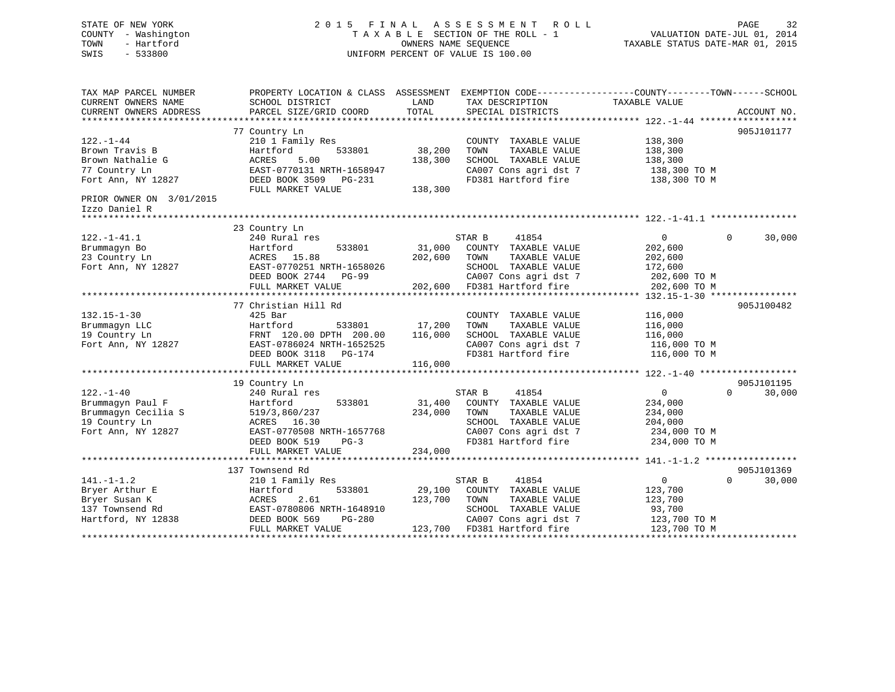# STATE OF NEW YORK 2 0 1 5 F I N A L A S S E S S M E N T R O L L PAGE 32 COUNTY - Washington T A X A B L E SECTION OF THE ROLL - 1 VALUATION DATE-JUL 01, 2014 TOWN - Hartford OWNERS NAME SEQUENCE TAXABLE STATUS DATE-MAR 01, 2015 SWIS - 533800 UNIFORM PERCENT OF VALUE IS 100.00

| TAX MAP PARCEL NUMBER<br>CURRENT OWNERS NAME<br>CURRENT OWNERS ADDRESS                       | SCHOOL DISTRICT<br>PARCEL SIZE/GRID COORD                                                                                            | LAND<br>TOTAL                | TAX DESCRIPTION<br>SPECIAL DISTRICTS                                                                                                             | PROPERTY LOCATION & CLASS ASSESSMENT EXEMPTION CODE----------------COUNTY-------TOWN------SCHOOL<br>TAXABLE VALUE<br>ACCOUNT NO. |
|----------------------------------------------------------------------------------------------|--------------------------------------------------------------------------------------------------------------------------------------|------------------------------|--------------------------------------------------------------------------------------------------------------------------------------------------|----------------------------------------------------------------------------------------------------------------------------------|
| $122. - 1 - 44$                                                                              | 77 Country Ln<br>210 1 Family Res                                                                                                    |                              | COUNTY TAXABLE VALUE                                                                                                                             | 905J101177<br>138,300                                                                                                            |
| Brown Travis B<br>Brown Nathalie G<br>77 Country Ln<br>Fort Ann, NY 12827                    | 533801<br>Hartford<br>ACRES<br>5.00<br>EAST-0770131 NRTH-1658947<br>DEED BOOK 3509 PG-231                                            | 38,200<br>138,300            | TAXABLE VALUE<br>TOWN<br>SCHOOL TAXABLE VALUE<br>CA007 Cons agri dst 7<br>FD381 Hartford fire                                                    | 138,300<br>138,300<br>138,300 TO M<br>138,300 TO M                                                                               |
| PRIOR OWNER ON 3/01/2015                                                                     | FULL MARKET VALUE                                                                                                                    | 138,300                      |                                                                                                                                                  |                                                                                                                                  |
| Izzo Daniel R<br>**********************                                                      |                                                                                                                                      |                              |                                                                                                                                                  |                                                                                                                                  |
|                                                                                              | 23 Country Ln                                                                                                                        |                              |                                                                                                                                                  |                                                                                                                                  |
| $122. - 1 - 41.1$<br>Brummagyn Bo<br>23 Country Ln<br>Fort Ann, NY 12827                     | 240 Rural res<br>533801<br>Hartford<br>ACRES 15.88<br>EAST-0770251 NRTH-1658026<br>DEED BOOK 2744 PG-99                              | 31,000<br>202,600            | STAR B<br>41854<br>COUNTY TAXABLE VALUE<br>TAXABLE VALUE<br>TOWN<br>SCHOOL TAXABLE VALUE<br>CA007 Cons agri dst 7                                | $\overline{0}$<br>30,000<br>$\Omega$<br>202,600<br>202,600<br>172,600<br>202,600 TO M                                            |
|                                                                                              | FULL MARKET VALUE                                                                                                                    |                              | 202,600 FD381 Hartford fire                                                                                                                      | 202,600 TO M                                                                                                                     |
|                                                                                              | 77 Christian Hill Rd                                                                                                                 |                              |                                                                                                                                                  | 905J100482                                                                                                                       |
| $132.15 - 1 - 30$<br>Brummagyn LLC<br>19 Country Ln<br>Fort Ann, NY 12827                    | $425$ Bar<br>533801<br>Hartford<br>FRNT 120.00 DPTH 200.00<br>EAST-0786024 NRTH-1652525<br>DEED BOOK 3118<br>PG-174                  | 17,200<br>116,000            | COUNTY TAXABLE VALUE<br>TOWN<br>TAXABLE VALUE<br>SCHOOL TAXABLE VALUE<br>CA007 Cons agri dst 7<br>FD381 Hartford fire                            | 116,000<br>116,000<br>116,000<br>116,000 TO M<br>116,000 TO M                                                                    |
|                                                                                              | FULL MARKET VALUE                                                                                                                    | 116,000                      |                                                                                                                                                  |                                                                                                                                  |
| $122. - 1 - 40$                                                                              | 19 Country Ln<br>240 Rural res                                                                                                       |                              | STAR B<br>41854                                                                                                                                  | 905J101195<br>$\overline{0}$<br>$\Omega$<br>30,000                                                                               |
| Brummagyn Paul F<br>Brummagyn Cecilia S<br>19 Country Ln<br>Fort Ann, NY 12827               | 533801<br>Hartford<br>519/3,860/237<br>ACRES 16.30<br>EAST-0770508 NRTH-1657768<br>DEED BOOK 519<br>$PG-3$<br>FULL MARKET VALUE      | 31,400<br>234,000<br>234,000 | COUNTY TAXABLE VALUE<br>TOWN<br>TAXABLE VALUE<br>SCHOOL TAXABLE VALUE<br>CA007 Cons agri dst 7<br>FD381 Hartford fire                            | 234,000<br>234,000<br>204,000<br>234,000 TO M<br>234,000 TO M                                                                    |
|                                                                                              | 137 Townsend Rd                                                                                                                      |                              |                                                                                                                                                  | 905J101369                                                                                                                       |
| $141. - 1 - 1.2$<br>Bryer Arthur E<br>Bryer Susan K<br>137 Townsend Rd<br>Hartford, NY 12838 | 210 1 Family Res<br>Hartford<br>533801<br>ACRES<br>2.61<br>EAST-0780806 NRTH-1648910<br>DEED BOOK 569<br>PG-280<br>FULL MARKET VALUE | 29,100<br>123,700            | 41854<br>STAR B<br>COUNTY TAXABLE VALUE<br>TOWN<br>TAXABLE VALUE<br>SCHOOL TAXABLE VALUE<br>CA007 Cons agri dst 7<br>123,700 FD381 Hartford fire | 0<br>$\Omega$<br>30,000<br>123,700<br>123,700<br>93,700<br>123,700 TO M<br>123,700 TO M                                          |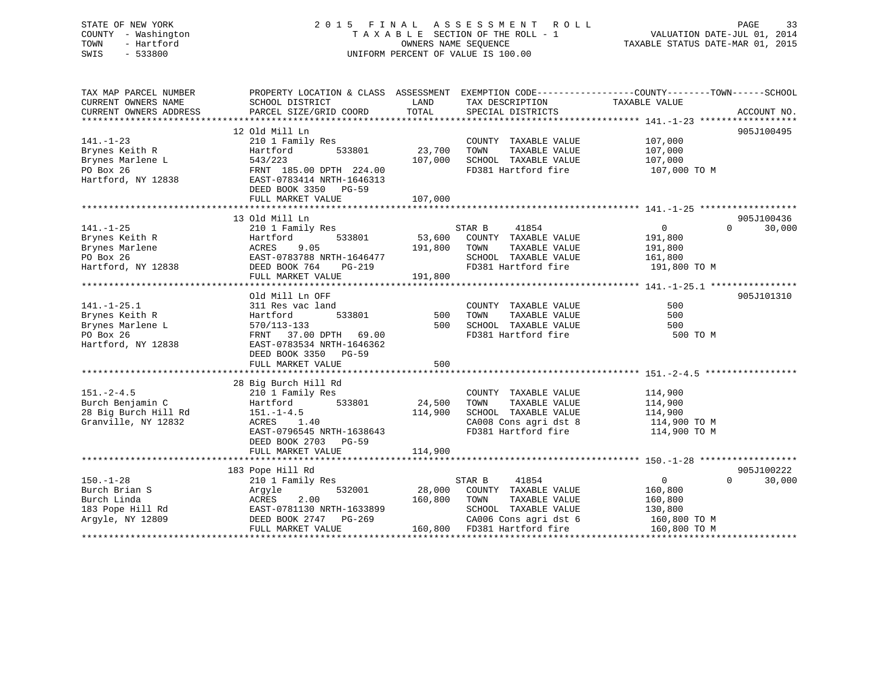| STATE OF NEW YORK<br>COUNTY - Washington<br>- Hartford<br>TOWN<br>SWIS<br>$-533800$ | 2015 FINAL                                   |         | A S S E S S M E N T<br>R O L L<br>TAXABLE SECTION OF THE ROLL - 1<br>OWNERS NAME SEOUENCE<br>UNIFORM PERCENT OF VALUE IS 100.00 | VALUATION DATE-JUL 01, 2014<br>TAXABLE STATUS DATE-MAR 01, 2015                                                 | PAGE<br>33  |
|-------------------------------------------------------------------------------------|----------------------------------------------|---------|---------------------------------------------------------------------------------------------------------------------------------|-----------------------------------------------------------------------------------------------------------------|-------------|
| TAX MAP PARCEL NUMBER<br>CURRENT OWNERS NAME                                        | SCHOOL DISTRICT                              | LAND    | TAX DESCRIPTION                                                                                                                 | PROPERTY LOCATION & CLASS ASSESSMENT EXEMPTION CODE---------------COUNTY-------TOWN-----SCHOOL<br>TAXABLE VALUE |             |
| CURRENT OWNERS ADDRESS                                                              | PARCEL SIZE/GRID COORD                       | TOTAL   | SPECIAL DISTRICTS                                                                                                               |                                                                                                                 | ACCOUNT NO. |
|                                                                                     | 12 Old Mill Ln                               |         |                                                                                                                                 |                                                                                                                 | 905J100495  |
| $141. - 1 - 23$                                                                     | 210 1 Family Res                             |         | COUNTY TAXABLE VALUE                                                                                                            | 107,000                                                                                                         |             |
| Brynes Keith R                                                                      | Hartford<br>533801                           | 23,700  | TAXABLE VALUE<br>TOWN                                                                                                           | 107,000                                                                                                         |             |
| Brynes Marlene L                                                                    | 543/223                                      | 107,000 | SCHOOL TAXABLE VALUE                                                                                                            | 107,000                                                                                                         |             |
| PO Box 26                                                                           | FRNT 185.00 DPTH 224.00                      |         | FD381 Hartford fire                                                                                                             | 107,000 TO M                                                                                                    |             |
| Hartford, NY 12838                                                                  | EAST-0783414 NRTH-1646313                    |         |                                                                                                                                 |                                                                                                                 |             |
|                                                                                     | DEED BOOK 3350 PG-59                         |         |                                                                                                                                 |                                                                                                                 |             |
|                                                                                     | FULL MARKET VALUE                            | 107,000 |                                                                                                                                 |                                                                                                                 |             |
|                                                                                     |                                              |         |                                                                                                                                 |                                                                                                                 |             |
|                                                                                     | 13 Old Mill Ln                               |         |                                                                                                                                 |                                                                                                                 | 905J100436  |
| $141. - 1 - 25$                                                                     | 210 1 Family Res                             |         | STAR B<br>41854                                                                                                                 | $\overline{0}$<br>$\Omega$                                                                                      | 30,000      |
| Brynes Keith R                                                                      | Hartford<br>533801                           | 53,600  | COUNTY TAXABLE VALUE                                                                                                            | 191,800                                                                                                         |             |
| Brynes Marlene                                                                      | <b>ACRES</b><br>9.05                         | 191,800 | TAXABLE VALUE<br>TOWN                                                                                                           | 191,800                                                                                                         |             |
| PO Box 26                                                                           | EAST-0783788 NRTH-1646477                    |         | SCHOOL TAXABLE VALUE                                                                                                            | 161,800                                                                                                         |             |
| Hartford, NY 12838                                                                  | DEED BOOK 764<br>PG-219<br>FULL MARKET VALUE | 191,800 | FD381 Hartford fire                                                                                                             | 191,800 TO M                                                                                                    |             |
|                                                                                     |                                              |         |                                                                                                                                 |                                                                                                                 |             |
|                                                                                     | Old Mill Ln OFF                              |         |                                                                                                                                 |                                                                                                                 | 905J101310  |
| $141. - 1 - 25.1$                                                                   | 311 Res vac land                             |         | COUNTY TAXABLE VALUE                                                                                                            | 500                                                                                                             |             |
| Brynes Keith R                                                                      | Hartford<br>533801                           | 500     | TAXABLE VALUE<br>TOWN                                                                                                           | 500                                                                                                             |             |
| Brynes Marlene L                                                                    | 570/113-133                                  | 500     | SCHOOL TAXABLE VALUE                                                                                                            | 500                                                                                                             |             |
| PO Box 26                                                                           | FRNT 37.00 DPTH 69.00                        |         | FD381 Hartford fire                                                                                                             | 500 TO M                                                                                                        |             |
| Hartford, NY 12838                                                                  | EAST-0783534 NRTH-1646362                    |         |                                                                                                                                 |                                                                                                                 |             |
|                                                                                     | DEED BOOK 3350 PG-59                         |         |                                                                                                                                 |                                                                                                                 |             |
|                                                                                     | FULL MARKET VALUE                            | 500     |                                                                                                                                 |                                                                                                                 |             |
|                                                                                     |                                              |         |                                                                                                                                 |                                                                                                                 |             |
|                                                                                     | 28 Big Burch Hill Rd                         |         |                                                                                                                                 |                                                                                                                 |             |
| $151. - 2 - 4.5$                                                                    | 210 1 Family Res                             |         | COUNTY TAXABLE VALUE                                                                                                            | 114,900                                                                                                         |             |
| Burch Benjamin C                                                                    | 533801<br>Hartford                           | 24,500  | TAXABLE VALUE<br>TOWN                                                                                                           | 114,900                                                                                                         |             |
| 28 Big Burch Hill Rd                                                                | $151. - 1 - 4.5$                             | 114,900 | SCHOOL TAXABLE VALUE                                                                                                            | 114,900                                                                                                         |             |
| Granville, NY 12832                                                                 | ACRES 1.40<br>EAST-0796545 NRTH-1638643      |         | CA008 Cons agri dst 8<br>FD381 Hartford fire                                                                                    | 114,900 TO M                                                                                                    |             |
|                                                                                     | DEED BOOK 2703 PG-59                         |         |                                                                                                                                 | 114,900 TO M                                                                                                    |             |
|                                                                                     | FULL MARKET VALUE                            | 114,900 |                                                                                                                                 |                                                                                                                 |             |
|                                                                                     |                                              |         |                                                                                                                                 |                                                                                                                 |             |
|                                                                                     | 183 Pope Hill Rd                             |         |                                                                                                                                 |                                                                                                                 | 905J100222  |
| $150. - 1 - 28$                                                                     | 210 1 Family Res                             |         | STAR B<br>41854                                                                                                                 | $\mathbf 0$<br>$\Omega$                                                                                         | 30,000      |
| Burch Brian S                                                                       | Argyle<br>532001                             | 28,000  | COUNTY TAXABLE VALUE                                                                                                            | 160,800                                                                                                         |             |
| Burch Linda                                                                         | ACRES<br>2.00                                | 160,800 | TOWN<br>TAXABLE VALUE                                                                                                           | 160,800                                                                                                         |             |
| 183 Pope Hill Rd                                                                    | EAST-0781130 NRTH-1633899                    |         | SCHOOL TAXABLE VALUE                                                                                                            | 130,800                                                                                                         |             |
| Argyle, NY 12809                                                                    | DEED BOOK 2747 PG-269                        |         | CA006 Cons agri dst 6                                                                                                           | 160,800 TO M                                                                                                    |             |
|                                                                                     | FULL MARKET VALUE                            | 160,800 | FD381 Hartford fire                                                                                                             | 160,800 TO M                                                                                                    |             |

\*\*\*\*\*\*\*\*\*\*\*\*\*\*\*\*\*\*\*\*\*\*\*\*\*\*\*\*\*\*\*\*\*\*\*\*\*\*\*\*\*\*\*\*\*\*\*\*\*\*\*\*\*\*\*\*\*\*\*\*\*\*\*\*\*\*\*\*\*\*\*\*\*\*\*\*\*\*\*\*\*\*\*\*\*\*\*\*\*\*\*\*\*\*\*\*\*\*\*\*\*\*\*\*\*\*\*\*\*\*\*\*\*\*\*\*\*\*\*\*\*\*\*\*\*\*\*\*\*\*\*\*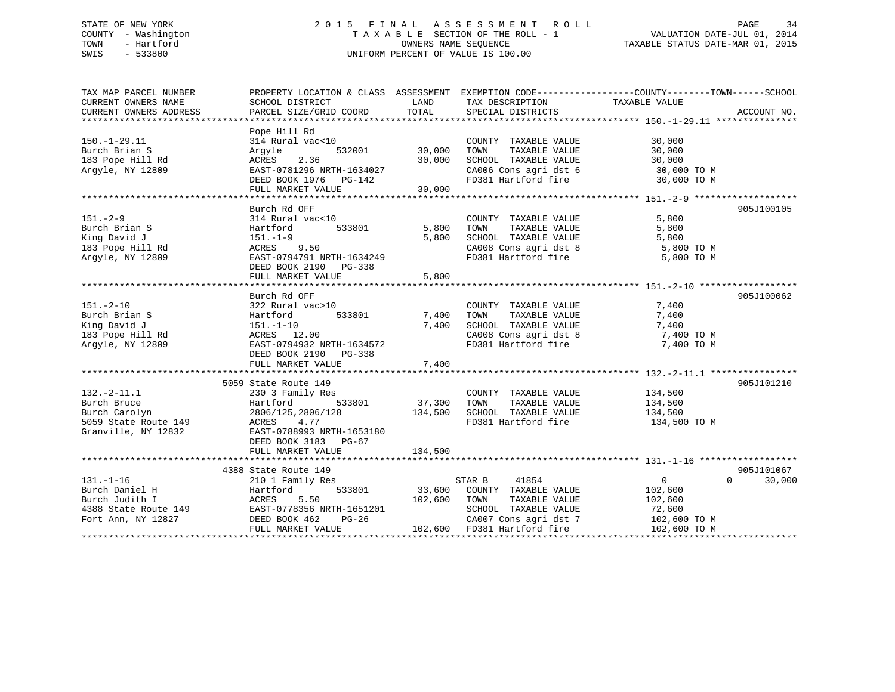# STATE OF NEW YORK 2 0 1 5 F I N A L A S S E S S M E N T R O L L PAGE 34 COUNTY - Washington T A X A B L E SECTION OF THE ROLL - 1 VALUATION DATE-JUL 01, 2014 TOWN - Hartford OWNERS NAME SEQUENCE TAXABLE STATUS DATE-MAR 01, 2015 SWIS - 533800 UNIFORM PERCENT OF VALUE IS 100.00

| TAX MAP PARCEL NUMBER<br>CURRENT OWNERS NAME                          | SCHOOL DISTRICT           | LAND         |                                                              | PROPERTY LOCATION & CLASS ASSESSMENT EXEMPTION CODE---------------COUNTY-------TOWN-----SCHOOL |
|-----------------------------------------------------------------------|---------------------------|--------------|--------------------------------------------------------------|------------------------------------------------------------------------------------------------|
| CURRENT OWNERS ADDRESS                                                | PARCEL SIZE/GRID COORD    | TOTAL        | TAX DESCRIPTION TAXABLE VALUE SPECIAL DISTRICTS              | ACCOUNT NO.                                                                                    |
|                                                                       |                           |              |                                                              |                                                                                                |
|                                                                       | Pope Hill Rd              |              |                                                              |                                                                                                |
| $150.-1-29.11$                                                        | 314 Rural vac<10          |              | COUNTY TAXABLE VALUE                                         | 30,000                                                                                         |
| Burch Brian S                                                         | 532001<br>Argyle          | 30,000       | TOWN<br>TAXABLE VALUE                                        | 30,000                                                                                         |
| 183 Pope Hill Rd                                                      | 2.36<br>ACRES             | 30,000       | SCHOOL TAXABLE VALUE                                         | 30,000                                                                                         |
| Arqyle, NY 12809                                                      | EAST-0781296 NRTH-1634027 |              |                                                              | CA006 Cons agri dst 6 30,000 TO M<br>FD381 Hartford fire 30,000 TO M                           |
|                                                                       |                           |              |                                                              |                                                                                                |
|                                                                       | FULL MARKET VALUE         | 30,000       |                                                              |                                                                                                |
|                                                                       |                           |              |                                                              |                                                                                                |
|                                                                       | Burch Rd OFF              |              |                                                              | 905J100105                                                                                     |
| $151. - 2 - 9$                                                        | 314 Rural vac<10          |              | COUNTY TAXABLE VALUE                                         | 5,800                                                                                          |
| Burch Brian S                                                         | 533801<br>Hartford        | 5,800        | TAXABLE VALUE<br>TOWN                                        | 5,800                                                                                          |
| King David J                                                          | 151.-1-9                  | 5,800        |                                                              | 5,800                                                                                          |
| 183 Pope Hill Rd                                                      | ACRES 9.50                |              | SCHOOL TAXABLE VALUE<br>CA008 Cons agri dst 8                | $5,800$ TO M                                                                                   |
| Argyle, NY 12809                                                      | EAST-0794791 NRTH-1634249 |              | FD381 Hartford fire                                          | 5,800 TO M                                                                                     |
|                                                                       | DEED BOOK 2190 PG-338     |              |                                                              |                                                                                                |
|                                                                       | FULL MARKET VALUE         | 5,800        |                                                              |                                                                                                |
|                                                                       |                           |              |                                                              |                                                                                                |
|                                                                       | Burch Rd OFF              |              |                                                              | 905J100062                                                                                     |
| $151. - 2 - 10$                                                       | 322 Rural vac>10          |              | COUNTY TAXABLE VALUE                                         | 7,400                                                                                          |
| Burch Brian S                                                         | 533801<br>Hartford        | 7,400        | TOWN<br>TAXABLE VALUE                                        | 7,400                                                                                          |
| King David J                                                          |                           | 7,400        | SCHOOL TAXABLE VALUE 7,400                                   |                                                                                                |
| 183 Pope Hill Rd                                                      |                           |              |                                                              | 7,400 TO M                                                                                     |
| Argyle, NY 12809                                                      |                           |              | CA008 Cons agri dst 8<br>FD381 Hartford fire                 | 7,400 TO M                                                                                     |
|                                                                       | DEED BOOK 2190 PG-338     |              |                                                              |                                                                                                |
|                                                                       | FULL MARKET VALUE         | 7,400        |                                                              |                                                                                                |
|                                                                       |                           |              |                                                              |                                                                                                |
|                                                                       | 5059 State Route 149      |              |                                                              | 905J101210                                                                                     |
|                                                                       |                           |              |                                                              |                                                                                                |
| $132.-2-11.1$                                                         | 230 3 Family Res          |              | COUNTY TAXABLE VALUE 134,500                                 |                                                                                                |
| Burch Bruce                                                           | Hartford 533801           | 37,300       | TOWN TAXABLE VALUE                                           | 134,500<br>134,500                                                                             |
| Burch Carolyn                                                         | 2806/125,2806/128         | 134,500      | SCHOOL TAXABLE VALUE                                         |                                                                                                |
| 5059 State Route 149 MCRES 4.77<br>Granville, NY 12832 EAST-0788993 I |                           |              |                                                              | FD381 Hartford fire 134,500 TO M                                                               |
|                                                                       | EAST-0788993 NRTH-1653180 |              |                                                              |                                                                                                |
|                                                                       | DEED BOOK 3183 PG-67      |              |                                                              |                                                                                                |
|                                                                       | FULL MARKET VALUE         | 134,500      |                                                              |                                                                                                |
|                                                                       |                           |              |                                                              |                                                                                                |
|                                                                       | 4388 State Route 149      |              |                                                              | 905J101067                                                                                     |
| $131. - 1 - 16$                                                       | 210 1 Family Res          |              | 41854<br>STAR B                                              | $\overline{0}$<br>$\Omega$<br>30,000                                                           |
| Burch Daniel H                                                        | 533801<br>Hartford        | 33,600       | COUNTY TAXABLE VALUE                                         | 102,600                                                                                        |
| Burch Judith I                                                        | ACRES 5.50                | 102,600 TOWN | TAXABLE VALUE                                                | 102,600                                                                                        |
| 4388 State Route 149 EAST-0778356 NRTH-1651201                        |                           |              | SCHOOL TAXABLE VALUE                                         | 72,600                                                                                         |
| Fort Ann, NY 12827                                                    | DEED BOOK 462<br>$PG-26$  |              | CA007 Cons agri dst 7                                        | 102,600 TO M                                                                                   |
|                                                                       | FULL MARKET VALUE         |              | $102,600$ FD381 Hartford fire<br>102,600 FD381 Hartford fire | 102,600 TO M                                                                                   |
|                                                                       |                           |              |                                                              |                                                                                                |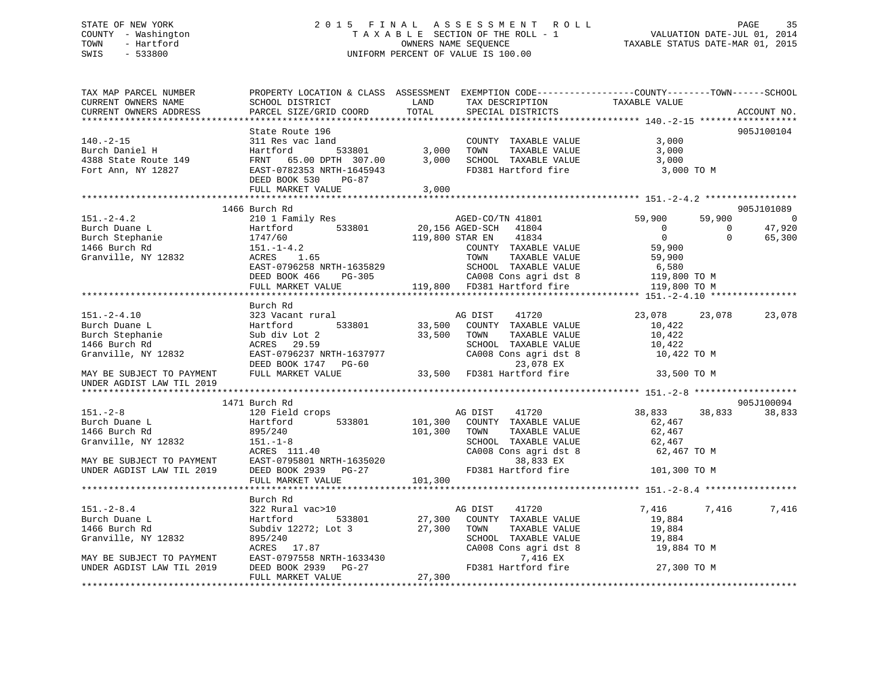# STATE OF NEW YORK 2 0 1 5 F I N A L A S S E S S M E N T R O L L PAGE 35 COUNTY - Washington T A X A B L E SECTION OF THE ROLL - 1 VALUATION DATE-JUL 01, 2014 TOWN - Hartford **TAXABLE STATUS DATE-MAR 01, 2015** OWNERS NAME SEQUENCE TAXABLE STATUS DATE-MAR 01, 2015 SWIS - 533800 UNIFORM PERCENT OF VALUE IS 100.00

| TAX MAP PARCEL NUMBER<br>CURRENT OWNERS NAME                                                                                  | SCHOOL DISTRICT                                                                                       | PROPERTY LOCATION & CLASS ASSESSMENT EXEMPTION CODE----------------COUNTY-------TOWN------SCHOOL<br>LAND<br>TAX DESCRIPTION | TAXABLE VALUE                        |                |
|-------------------------------------------------------------------------------------------------------------------------------|-------------------------------------------------------------------------------------------------------|-----------------------------------------------------------------------------------------------------------------------------|--------------------------------------|----------------|
| CURRENT OWNERS ADDRESS                                                                                                        | PARCEL SIZE/GRID COORD                                                                                | TOTAL<br>SPECIAL DISTRICTS                                                                                                  | ACCOUNT NO.                          |                |
|                                                                                                                               | State Route 196                                                                                       |                                                                                                                             | 905J100104                           |                |
| $140. -2 - 15$                                                                                                                | 311 Res vac land                                                                                      | COUNTY TAXABLE VALUE                                                                                                        | 3,000                                |                |
|                                                                                                                               |                                                                                                       | TOWN<br>TAXABLE VALUE                                                                                                       | 3,000                                |                |
|                                                                                                                               |                                                                                                       | 3,000 SCHOOL TAXABLE VALUE                                                                                                  | 3,000                                |                |
|                                                                                                                               | DEED BOOK 530<br>PG-87                                                                                | FD381 Hartford fire                                                                                                         | 3,000 TO M                           |                |
|                                                                                                                               | FULL MARKET VALUE                                                                                     | 3,000                                                                                                                       |                                      |                |
|                                                                                                                               | 1466 Burch Rd                                                                                         |                                                                                                                             | 905J101089                           |                |
| $151. - 2 - 4.2$                                                                                                              | 210 1 Family Res                                                                                      | AGED-CO/TN 41801                                                                                                            | 59,900<br>59,900                     | $\overline{0}$ |
| Burch Duane L<br>Burch Duane L<br>Burch Stephanie 1747/60<br>1466 Burch Rd<br>151.-1-4.2<br>Granville, NY 12832<br>ACRES 1.65 | Hartford 533801                                                                                       | 20,156 AGED-SCH 41804                                                                                                       | 47,920<br>$\overline{0}$<br>$\Omega$ |                |
|                                                                                                                               |                                                                                                       | 119,800 STAR EN<br>41834                                                                                                    | $\overline{0}$<br>$\Omega$<br>65,300 |                |
|                                                                                                                               |                                                                                                       | COUNTY TAXABLE VALUE                                                                                                        | 59,900                               |                |
|                                                                                                                               |                                                                                                       | TOWN<br>TAXABLE VALUE                                                                                                       | 59,900                               |                |
|                                                                                                                               |                                                                                                       |                                                                                                                             | 6,580                                |                |
|                                                                                                                               |                                                                                                       |                                                                                                                             | 119,800 TO M                         |                |
|                                                                                                                               | FULL MARKET VALUE                                                                                     | 119,800 FD381 Hartford fire                                                                                                 | 119,800 TO M                         |                |
|                                                                                                                               |                                                                                                       |                                                                                                                             |                                      |                |
|                                                                                                                               | Burch Rd                                                                                              |                                                                                                                             |                                      |                |
| $151. - 2 - 4.10$                                                                                                             | 323 Vacant rural                                                                                      | AG DIST 41720<br>33,500 COUNTY TAXABLE VALUE                                                                                | 23,078<br>23,078<br>23,078           |                |
| Burch Duane L                                                                                                                 | 533801                                                                                                |                                                                                                                             | 10,422                               |                |
| Burch Stephanie<br>1466 Burch Rd                                                                                              | Hartford<br>Sub div Lot 2<br>ACRES 29.59                                                              | 33,500<br>TOWN<br>TAXABLE VALUE                                                                                             | 10,422                               |                |
| 1466 Burch Rd                                                                                                                 |                                                                                                       | SCHOOL TAXABLE VALUE                                                                                                        | 10,422                               |                |
| Granville, NY 12832                                                                                                           | EAST-0796237 NRTH-1637977                                                                             | CA008 Cons agri dst 8                                                                                                       | 10,422 TO M                          |                |
|                                                                                                                               | DEED BOOK 1747 PG-60                                                                                  | 23,078 EX<br>$\frac{23,000}{23,500}$ FD381 Hartford fire                                                                    |                                      |                |
| MAY BE SUBJECT TO PAYMENT<br>UNDER AGDIST LAW TIL 2019                                                                        | FULL MARKET VALUE                                                                                     |                                                                                                                             | 33,500 TO M                          |                |
|                                                                                                                               |                                                                                                       |                                                                                                                             |                                      |                |
|                                                                                                                               | 1471 Burch Rd                                                                                         |                                                                                                                             | 905J100094                           |                |
| $151. - 2 - 8$                                                                                                                | 120 Field crops                                                                                       | AG DIST 41720                                                                                                               | 38,833<br>38,833<br>38,833           |                |
| Burch Duane L                                                                                                                 | 533801<br>Hartford                                                                                    | 101,300 COUNTY TAXABLE VALUE                                                                                                | 62,467                               |                |
| 1466 Burch Rd                                                                                                                 |                                                                                                       | TAXABLE VALUE<br>TOWN                                                                                                       | 62,467                               |                |
| Granville, NY 12832                                                                                                           |                                                                                                       | SCHOOL TAXABLE VALUE<br>SCHOOL TAXABLE VALUE<br>CA008 Cons agri dst 8                                                       | 62,467                               |                |
|                                                                                                                               |                                                                                                       |                                                                                                                             | 62,467 TO M                          |                |
| MAY BE SUBJECT TO PAYMENT<br>UNDER AGDIST LAW TIL 2019                                                                        |                                                                                                       | 38,833 EX                                                                                                                   |                                      |                |
|                                                                                                                               | 895/240<br>151.-1-8<br>ACRES 111.40<br>EAST-0795801 NRTH-1635020<br>TIP ROOK 2939<br>PG-27<br>101,300 | FD381 Hartford fire                                                                                                         | 101,300 TO M                         |                |
|                                                                                                                               |                                                                                                       |                                                                                                                             |                                      |                |
|                                                                                                                               | Burch Rd                                                                                              |                                                                                                                             |                                      |                |
| $151 - 2 - 8.4$                                                                                                               | 322 Rural vac>10                                                                                      | AG DIST<br>41720                                                                                                            | 7,416<br>7,416<br>7,416              |                |
| Burch Duane L                                                                                                                 | 533801<br>Hartford                                                                                    | 27,300<br>COUNTY TAXABLE VALUE                                                                                              | 19,884                               |                |
| 1466 Burch Rd                                                                                                                 | Subdiv 12272; Lot 3                                                                                   | 27,300 TOWN<br>TAXABLE VALUE                                                                                                | 19,884                               |                |
| Granville, NY 12832                                                                                                           | 895/240                                                                                               | SCHOOL TAXABLE VALUE                                                                                                        | 19,884                               |                |
|                                                                                                                               |                                                                                                       | CA008 Cons agri dst 8                                                                                                       | 19,884 TO M                          |                |
| MAY BE SUBJECT TO PAYMENT                                                                                                     | EAST-0797558 NRTH-1633430<br>DEED BOOK 2939 PG-27<br>FULL MAPKET WALLER                               | 7,416 EX                                                                                                                    |                                      |                |
| UNDER AGDIST LAW TIL 2019                                                                                                     |                                                                                                       | FD381 Hartford fire                                                                                                         | 27,300 TO M                          |                |
|                                                                                                                               | FULL MARKET VALUE                                                                                     | 27,300                                                                                                                      |                                      |                |
|                                                                                                                               |                                                                                                       |                                                                                                                             |                                      |                |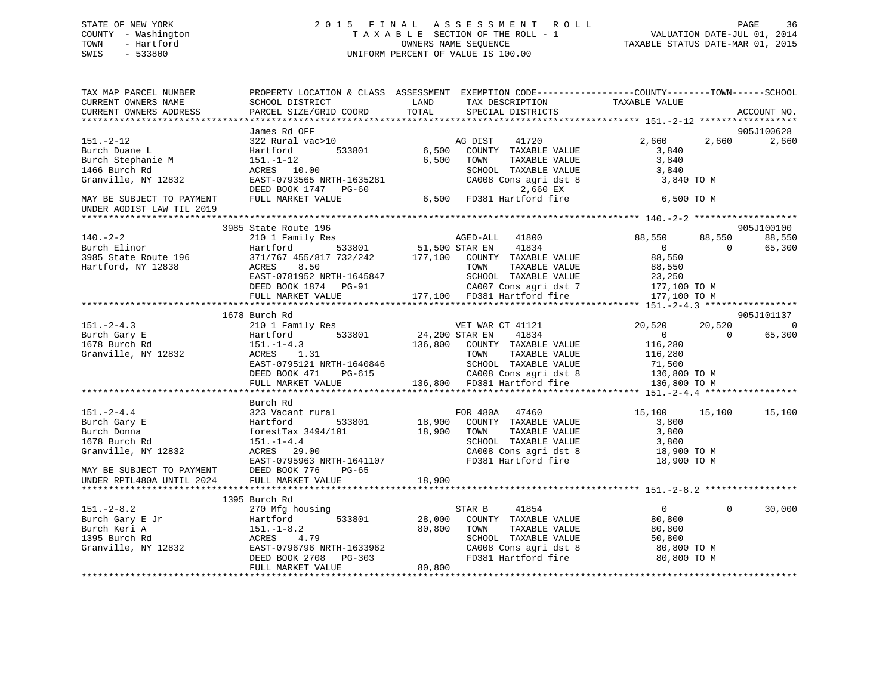# STATE OF NEW YORK 2 0 1 5 F I N A L A S S E S S M E N T R O L L PAGE 36 COUNTY - Washington T A X A B L E SECTION OF THE ROLL - 1 VALUATION DATE-JUL 01, 2014 TOWN - Hartford OWNERS NAME SEQUENCE TAXABLE STATUS DATE-MAR 01, 2015 SWIS - 533800 UNIFORM PERCENT OF VALUE IS 100.00

| TAX MAP PARCEL NUMBER<br>CURRENT OWNERS NAME                    | <b>LAND</b><br>SCHOOL DISTRICT                                 | PROPERTY LOCATION & CLASS ASSESSMENT EXEMPTION CODE----------------COUNTY-------TOWN------SCHOOL<br>TAX DESCRIPTION<br>TOTAL                                                   | TAXABLE VALUE                            |                                |
|-----------------------------------------------------------------|----------------------------------------------------------------|--------------------------------------------------------------------------------------------------------------------------------------------------------------------------------|------------------------------------------|--------------------------------|
| CURRENT OWNERS ADDRESS                                          | PARCEL SIZE/GRID COORD                                         | SPECIAL DISTRICTS                                                                                                                                                              |                                          | ACCOUNT NO.                    |
|                                                                 | James Rd OFF                                                   |                                                                                                                                                                                |                                          | 905J100628                     |
| $151. - 2 - 12$<br>Burch Duane L<br>Burch Stephanie M           | 322 Rural vac>10<br>533801<br>Hartford<br>$151. - 1 - 12$      | 41720<br>AG DIST<br>6,500 COUNTY TAXABLE VALUE<br>6,500 TOWN<br>TAXABLE VALUE                                                                                                  | 2,660<br>2,660<br>3,840<br>3,840         | 2,660                          |
| 1466 Burch Rd                                                   | ACRES 10.00                                                    | SCHOOL TAXABLE VALUE                                                                                                                                                           | 3,840                                    |                                |
| Granville, NY 12832                                             | EAST-0793565 NRTH-1635281<br>DEED BOOK 1747 PG-60              | CA008 Cons agri dst 8<br>2,660 EX                                                                                                                                              | 3,840 TO M                               |                                |
| MAY BE SUBJECT TO PAYMENT<br>UNDER AGDIST LAW TIL 2019          | FULL MARKET VALUE                                              | 2,660 EX<br>6,500 FD381 Hartford fire                                                                                                                                          | 6,500 TO M                               |                                |
|                                                                 |                                                                |                                                                                                                                                                                |                                          |                                |
| $140. - 2 - 2$<br>Burch Elinor                                  | 3985 State Route 196<br>210 1 Family Res<br>533801<br>Hartford | AGED-ALL<br>51,500 STAR EN<br>AGED-ALL<br>41800<br>41834                                                                                                                       | 88,550<br>88,550<br>$\sim$ 0<br>$\Omega$ | 905J100100<br>88,550<br>65,300 |
| 3985 State Route 196<br>Westfand NW 19939<br>Hartford, NY 12838 | 8.50<br>ACRES                                                  | 371/767 455/817 732/242 177,100 COUNTY TAXABLE VALUE<br>TOWN<br>TAXABLE VALUE                                                                                                  | 88,550<br>88,550                         |                                |
|                                                                 |                                                                | EAST-0781952 NRTH-1645847 SCHOOL TAXABLE VALUE 23,250<br>DEED BOOK 1874 PG-91 CA007 Cons agri dst 7 177,100 TO M<br>FULL MARKET VALUE 177,100 FD381 Hartford fire 177,100 TO M |                                          |                                |
|                                                                 |                                                                |                                                                                                                                                                                |                                          |                                |
|                                                                 | 1678 Burch Rd                                                  |                                                                                                                                                                                |                                          | 905J101137                     |
| $151. - 2 - 4.3$                                                |                                                                |                                                                                                                                                                                | 20,520<br>20,520                         | $\overline{0}$                 |
| Burch Gary E                                                    |                                                                |                                                                                                                                                                                | $\overline{0}$<br>$\bigcap$              | 65,300                         |
| 1678 Burch Rd                                                   | $151. - 1 - 4.3$                                               | 136,800 COUNTY TAXABLE VALUE                                                                                                                                                   | 116,280                                  |                                |
| Granville, NY 12832                                             | ACRES 1.31                                                     | TAXABLE VALUE<br>TOWN                                                                                                                                                          | 116,280                                  |                                |
|                                                                 | EAST-0795121 NRTH-1640846                                      | SCHOOL TAXABLE VALUE                                                                                                                                                           | 71,500                                   |                                |
|                                                                 | DEED BOOK 471 PG-615                                           | G-615 CA008 Cons agri dst 8<br>136,800 FD381 Hartford fire                                                                                                                     | 136,800 TO M<br>136,800 TO M             |                                |
|                                                                 | FULL MARKET VALUE                                              |                                                                                                                                                                                |                                          |                                |
|                                                                 | Burch Rd                                                       |                                                                                                                                                                                |                                          |                                |
| $151 - 2 - 4.4$                                                 | 323 Vacant rural                                               |                                                                                                                                                                                | 15,100 15,100                            | 15,100                         |
| Burch Gary E                                                    | Hartford                                                       | rural FOR 480A 47460<br>533801 18,900 COUNTY TAXABLE VALUE                                                                                                                     | 3,800                                    |                                |
| Burch Donna                                                     | forestTax 3494/101                                             | 18,900 TOWN<br>TAXABLE VALUE                                                                                                                                                   | 3,800                                    |                                |
| 1678 Burch Rd                                                   | $151. - 1 - 4.4$                                               | SCHOOL TAXABLE VALUE                                                                                                                                                           | 3,800                                    |                                |
| Granville, NY 12832                                             | ACRES 29.00                                                    | CA008 Cons agri dst 8                                                                                                                                                          | 18,900 TO M                              |                                |
| MAY BE SUBJECT TO PAYMENT DEED BOOK 776 PG-65                   | EAST-0795963 NRTH-1641107                                      | FD381 Hartford fire                                                                                                                                                            | 18,900 TO M                              |                                |
| UNDER RPTL480A UNTIL 2024                                       | FULL MARKET VALUE                                              | 18,900                                                                                                                                                                         |                                          |                                |
|                                                                 | 1395 Burch Rd                                                  |                                                                                                                                                                                |                                          |                                |
| $151 - 2 - 8.2$                                                 | 270 Mfg housing                                                |                                                                                                                                                                                | $\overline{0}$<br>$\Omega$               | 30,000                         |
|                                                                 | 533801<br>Hartford                                             |                                                                                                                                                                                | 80,800                                   |                                |
| Burch Gary E Jr<br>Burch Keri A                                 | $151. - 1 - 8.2$                                               | 28,000 COUNTY TAXABLE VALUE<br>80,800 TOWN TAXABLE VALUE                                                                                                                       | 80,800                                   |                                |
| 1395 Burch Rd                                                   | ACRES 4.79                                                     |                                                                                                                                                                                | 50,800                                   |                                |
| Granville, NY 12832                                             | EAST-0796796 NRTH-1633962<br>DEED BOOK 2708 PG-303             | SCHOOL TAXABLE VALUE<br>CA008 Cons agri dst 8                                                                                                                                  | 80,800 TO M                              |                                |
|                                                                 |                                                                | FD381 Hartford fire                                                                                                                                                            | 80,800 TO M                              |                                |
|                                                                 | FULL MARKET VALUE                                              | 80,800                                                                                                                                                                         |                                          |                                |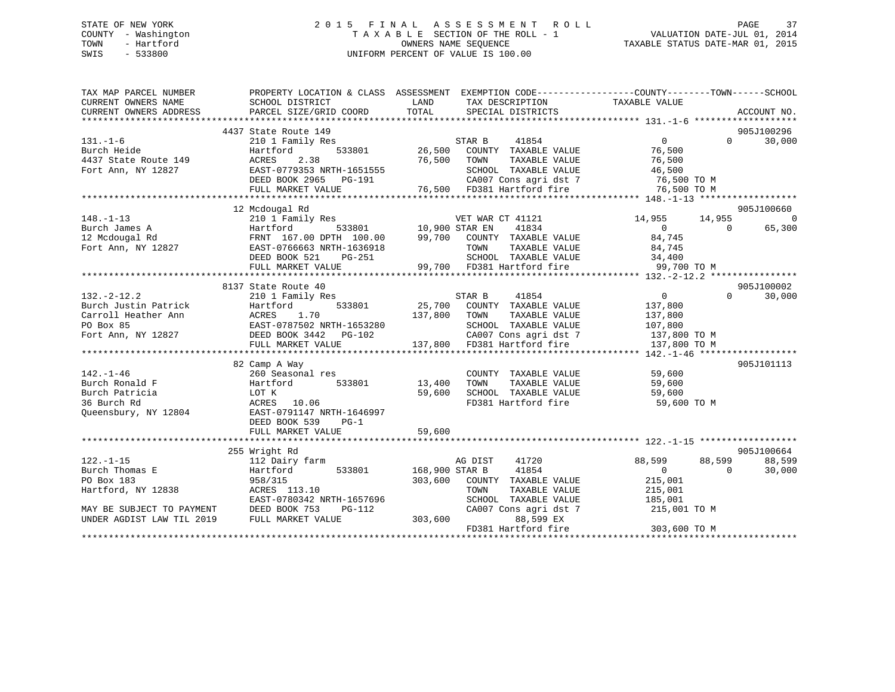## STATE OF NEW YORK 2 0 1 5 F I N A L A S S E S S M E N T R O L L PAGE 37 COUNTY - Washington T A X A B L E SECTION OF THE ROLL - 1 VALUATION DATE-JUL 01, 2014 TOWN - Hartford OWNERS NAME SEQUENCE TAXABLE STATUS DATE-MAR 01, 2015 SWIS - 533800 UNIFORM PERCENT OF VALUE IS 100.00

| TAX MAP PARCEL NUMBER<br>CURRENT OWNERS NAME | PROPERTY LOCATION & CLASS ASSESSMENT EXEMPTION CODE---------------COUNTY-------TOWN------SCHOOL<br>SCHOOL DISTRICT                                                                                                               | LAND           | TAX DESCRIPTION TAXABLE VALUE                 |                                          |                             |
|----------------------------------------------|----------------------------------------------------------------------------------------------------------------------------------------------------------------------------------------------------------------------------------|----------------|-----------------------------------------------|------------------------------------------|-----------------------------|
| CURRENT OWNERS ADDRESS                       | PARCEL SIZE/GRID COORD                                                                                                                                                                                                           | TOTAL          | SPECIAL DISTRICTS                             |                                          | ACCOUNT NO.                 |
|                                              | 4437 State Route 149                                                                                                                                                                                                             |                |                                               |                                          | 905J100296                  |
|                                              | 210 1 Family Res<br>Hartford 533801 26,500 COUNTY TAXABLE VALUE<br>ACRES 2.38 76,500 TOWN TAXABLE VALUE<br>EAST-0779353 NRTH-1651555 SCHOOL TAXABLE VALUE<br>DEED BOOK 2965 PG-191 CA007 Cons agri dst 7<br>FIILL MAPKET VALUE   |                |                                               | $\overline{0}$                           | $0 \qquad \qquad$<br>30,000 |
| 131.-1-6<br>Burch Heide                      |                                                                                                                                                                                                                                  |                |                                               | 76,500                                   |                             |
| 4437 State Route 149                         |                                                                                                                                                                                                                                  |                |                                               | TAXABLE VALUE 76,500                     |                             |
| Fort Ann, NY 12827                           |                                                                                                                                                                                                                                  |                |                                               |                                          |                             |
|                                              |                                                                                                                                                                                                                                  |                | SCHOOL TAXABLE VALUE<br>CA007 Cons agri dst 7 |                                          |                             |
|                                              | FULL MARKET VALUE                                                                                                                                                                                                                |                | 76,500 FD381 Hartford fire 76,500 TO M        | 46,500<br>76,500 TO M<br>ר <u>בר הרה</u> |                             |
|                                              |                                                                                                                                                                                                                                  |                |                                               |                                          |                             |
|                                              | 12 Mcdougal Rd                                                                                                                                                                                                                   |                |                                               |                                          | 905J100660                  |
| $148. - 1 - 13$                              |                                                                                                                                                                                                                                  |                | VET WAR CT 41121                              | 14,955 14,955                            | $\Omega$                    |
|                                              | 210 1 Family Res WET WAR<br>Hartford 533801 10,900 STAR EN                                                                                                                                                                       |                |                                               | $\overline{0}$<br>$\overline{0}$         | 65,300                      |
|                                              |                                                                                                                                                                                                                                  |                |                                               | 84,745                                   |                             |
|                                              |                                                                                                                                                                                                                                  |                |                                               | 84,745                                   |                             |
|                                              | DEED BOOK 521<br>PG-251                                                                                                                                                                                                          |                | SCHOOL TAXABLE VALUE 34,400                   |                                          |                             |
|                                              | FULL MARKET VALUE                                                                                                                                                                                                                |                | 99,700 FD381 Hartford fire                    | 99,700 TO M                              |                             |
|                                              |                                                                                                                                                                                                                                  |                |                                               |                                          |                             |
|                                              | 8137 State Route 40                                                                                                                                                                                                              |                |                                               |                                          | 905J100002                  |
| $132. - 2 - 12.2$                            | 210 1 Family Res                                                                                                                                                                                                                 |                | STAR B<br>41854                               | $\overline{0}$                           | $\Omega$<br>30,000          |
| Burch Justin Patrick                         | Hartford                                                                                                                                                                                                                         |                | 533801 25,700 COUNTY TAXABLE VALUE            | 137,800                                  |                             |
|                                              |                                                                                                                                                                                                                                  |                |                                               |                                          |                             |
|                                              |                                                                                                                                                                                                                                  |                |                                               |                                          |                             |
|                                              |                                                                                                                                                                                                                                  |                |                                               |                                          |                             |
|                                              | Carroll Heather Ann (137,800 MRTH-1653280 137,800 TOWN TAXABLE VALUE 137,800 1237,800 NOROX 85 EAST-0787502 NRTH-1653280 SCHOOL TAXABLE VALUE 137,800 10 M<br>Fort Ann, NY 12827 DEED BOOK 3442 PG-102 (2007 Cons agri dst 7 137 |                |                                               |                                          |                             |
|                                              |                                                                                                                                                                                                                                  |                |                                               |                                          |                             |
|                                              | 82 Camp A Way                                                                                                                                                                                                                    |                |                                               |                                          | 905J101113                  |
| $142. - 1 - 46$                              | 260 Seasonal res                                                                                                                                                                                                                 |                | COUNTY TAXABLE VALUE                          | 59,600                                   |                             |
| Burch Ronald F                               | Hartford                                                                                                                                                                                                                         | 533801 13,400  | TOWN<br>TAXABLE VALUE                         | 59,600                                   |                             |
| Burch Patricia                               | LOT K                                                                                                                                                                                                                            | 59,600         | SCHOOL TAXABLE VALUE                          | 59,600                                   |                             |
| 36 Burch Rd                                  | ACRES 10.06                                                                                                                                                                                                                      |                | FD381 Hartford fire                           | 59,600 TO M                              |                             |
| Queensbury, NY 12804                         | EAST-0791147 NRTH-1646997                                                                                                                                                                                                        |                |                                               |                                          |                             |
|                                              | DEED BOOK 539 PG-1                                                                                                                                                                                                               |                |                                               |                                          |                             |
|                                              | FULL MARKET VALUE                                                                                                                                                                                                                | 59,600         |                                               |                                          |                             |
|                                              |                                                                                                                                                                                                                                  |                |                                               |                                          |                             |
|                                              | 255 Wright Rd                                                                                                                                                                                                                    |                |                                               |                                          | 905J100664                  |
| $122. - 1 - 15$                              | 112 Dairy farm                                                                                                                                                                                                                   |                | 41720<br>AG DIST                              | 88,599<br>88,599                         | 88,599                      |
| Burch Thomas E                               | Hartford<br>533801                                                                                                                                                                                                               | 168,900 STAR B | 41854                                         | $\overline{0}$<br>$\overline{0}$         | 30,000                      |
| PO Box 183                                   | 958/315                                                                                                                                                                                                                          |                | 303,600 COUNTY TAXABLE VALUE                  | 215,001                                  |                             |
| Hartford, NY 12838                           | ACRES 113.10                                                                                                                                                                                                                     |                | TAXABLE VALUE<br>TOWN                         | 215,001                                  |                             |
|                                              | EAST-0780342 NRTH-1657696                                                                                                                                                                                                        |                | SCHOOL TAXABLE VALUE                          | 185,001                                  |                             |
| MAY BE SUBJECT TO PAYMENT                    | DEED BOOK 753<br>PG-112                                                                                                                                                                                                          |                | CA007 Cons agri dst 7                         | 215,001 TO M                             |                             |
| UNDER AGDIST LAW TIL 2019                    | FULL MARKET VALUE                                                                                                                                                                                                                | 303,600        | 88,599 EX                                     |                                          |                             |
|                                              |                                                                                                                                                                                                                                  |                | FD381 Hartford fire                           | 303,600 TO M                             |                             |
|                                              |                                                                                                                                                                                                                                  |                |                                               |                                          |                             |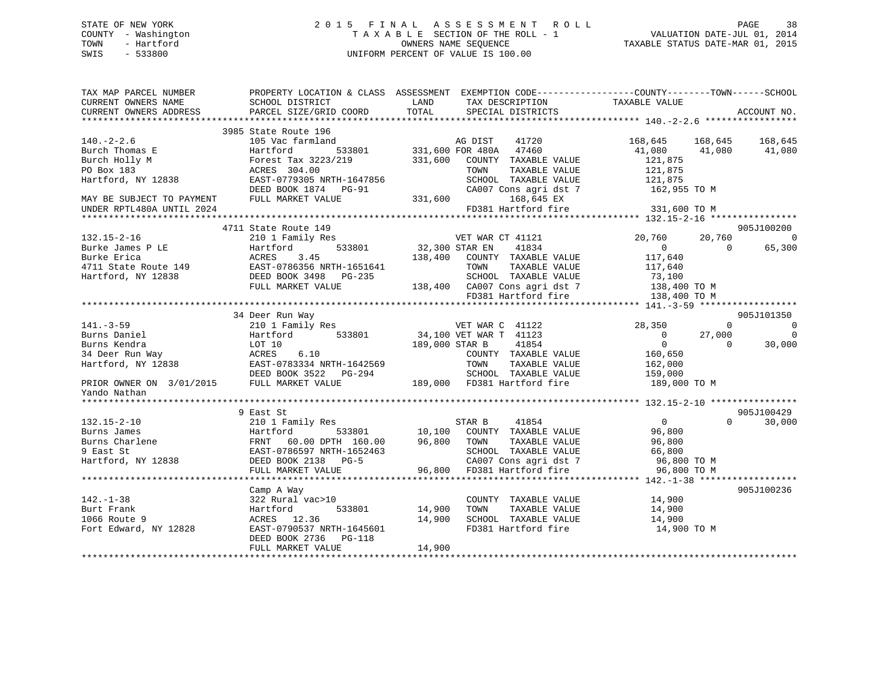## STATE OF NEW YORK 2 0 1 5 F I N A L A S S E S S M E N T R O L L PAGE 38 COUNTY - Washington T A X A B L E SECTION OF THE ROLL - 1 VALUATION DATE-JUL 01, 2014 TOWN - Hartford **TAXABLE STATUS DATE-MAR 01, 2015** OWNERS NAME SEQUENCE TAXABLE STATUS DATE-MAR 01, 2015 SWIS - 533800 UNIFORM PERCENT OF VALUE IS 100.00

| TAX MAP PARCEL NUMBER<br>CURRENT OWNERS NAME | SCHOOL DISTRICT                                                                                                                                                                                                                                        | PROPERTY LOCATION & CLASS ASSESSMENT EXEMPTION CODE----------------COUNTY-------TOWN------SCHOOL<br>LAND<br>TAX DESCRIPTION                                                                                                                                                                                                                                                                                                                                                    | TAXABLE VALUE                    |                            |
|----------------------------------------------|--------------------------------------------------------------------------------------------------------------------------------------------------------------------------------------------------------------------------------------------------------|--------------------------------------------------------------------------------------------------------------------------------------------------------------------------------------------------------------------------------------------------------------------------------------------------------------------------------------------------------------------------------------------------------------------------------------------------------------------------------|----------------------------------|----------------------------|
| CURRENT OWNERS ADDRESS                       | PARCEL SIZE/GRID COORD                                                                                                                                                                                                                                 | SPECIAL DISTRICTS<br>TOTAL                                                                                                                                                                                                                                                                                                                                                                                                                                                     | ACCOUNT NO.                      |                            |
|                                              | 3985 State Route 196                                                                                                                                                                                                                                   |                                                                                                                                                                                                                                                                                                                                                                                                                                                                                |                                  |                            |
| $140. -2 - 2.6$                              | 105 Vac farmland                                                                                                                                                                                                                                       | 196<br>mland 533801 331,600 FOR 480A 47460<br>533801 331,600 FOR 480A 47460<br>331,600 FOR 480A 47460                                                                                                                                                                                                                                                                                                                                                                          | 168,645 168,645 168,645          |                            |
|                                              | Purel. 2-2.0<br>Burch Thomas E<br>Burch Holly M<br>Po Box 183<br>Po Box 183<br>Hartford, NY 12838<br>Hartford, NY 12838<br>Po Box 183<br>EAST-0779305 NRTH-1647856<br>MAY BE SUBJECT TO PAYMENT<br>FULL MARKET VALUE<br>TINDER RPTL480A INTIL 2024<br> |                                                                                                                                                                                                                                                                                                                                                                                                                                                                                | 41,080 41,080 41,080             |                            |
|                                              |                                                                                                                                                                                                                                                        | $331,600$ $000$ WTY TAXABLE VALUE                                                                                                                                                                                                                                                                                                                                                                                                                                              | 121,875                          |                            |
|                                              |                                                                                                                                                                                                                                                        | TAXABLE VALUE<br>TOWN                                                                                                                                                                                                                                                                                                                                                                                                                                                          | 121,875                          |                            |
|                                              |                                                                                                                                                                                                                                                        | SCHOOL TAXABLE VALUE                                                                                                                                                                                                                                                                                                                                                                                                                                                           | 121,875                          |                            |
|                                              |                                                                                                                                                                                                                                                        | $CAO07$ Cons agri dst 7 $162,955$ TO M                                                                                                                                                                                                                                                                                                                                                                                                                                         |                                  |                            |
|                                              |                                                                                                                                                                                                                                                        | 331,600<br>168,645 EX                                                                                                                                                                                                                                                                                                                                                                                                                                                          |                                  |                            |
| UNDER RPTL480A UNTIL 2024                    |                                                                                                                                                                                                                                                        | FD381 Hartford fire 331,600 TO M                                                                                                                                                                                                                                                                                                                                                                                                                                               |                                  |                            |
|                                              |                                                                                                                                                                                                                                                        |                                                                                                                                                                                                                                                                                                                                                                                                                                                                                |                                  |                            |
|                                              | 4711 State Route 149                                                                                                                                                                                                                                   |                                                                                                                                                                                                                                                                                                                                                                                                                                                                                | 905J100200                       |                            |
| $132.15 - 2 - 16$                            | 210 1 Family Res                                                                                                                                                                                                                                       | 3 VET WAR CT 41121<br>533801 32,300 STAR EN 41834                                                                                                                                                                                                                                                                                                                                                                                                                              | 20,760<br>20,760                 | $\sim$ 0                   |
|                                              | Example 210 1 Family Res<br>Burke James P LE<br>Burke Erica<br>4711 State Route 149<br>Hartford, NY 12838<br>PEAST-0786356 NRTH-1651641<br>EAST-0786356 PRTH-1651641<br>PEAST-0786356 PRTH-1651641<br>PEAST-0786356 PRTH-1651641<br>PEAST-078635       |                                                                                                                                                                                                                                                                                                                                                                                                                                                                                | $\overline{0}$<br>$\overline{0}$ | 65,300                     |
|                                              |                                                                                                                                                                                                                                                        | 138,400 COUNTY TAXABLE VALUE                                                                                                                                                                                                                                                                                                                                                                                                                                                   | 117,640<br>117,640               |                            |
|                                              |                                                                                                                                                                                                                                                        | TOWN<br>TAXABLE VALUE                                                                                                                                                                                                                                                                                                                                                                                                                                                          |                                  |                            |
|                                              |                                                                                                                                                                                                                                                        | SCHOOL TAXABLE VALUE 73,100<br>138,400 CA007 Cons agri dst 7 138,400 TO M                                                                                                                                                                                                                                                                                                                                                                                                      |                                  |                            |
|                                              | FULL MARKET VALUE                                                                                                                                                                                                                                      |                                                                                                                                                                                                                                                                                                                                                                                                                                                                                |                                  |                            |
|                                              |                                                                                                                                                                                                                                                        | FD381 Hartford fire                                                                                                                                                                                                                                                                                                                                                                                                                                                            | 138,400 TO M                     |                            |
|                                              |                                                                                                                                                                                                                                                        |                                                                                                                                                                                                                                                                                                                                                                                                                                                                                |                                  |                            |
|                                              | 34 Deer Run Way                                                                                                                                                                                                                                        |                                                                                                                                                                                                                                                                                                                                                                                                                                                                                | 905J101350                       |                            |
| $141. - 3 - 59$                              | 210 1 Family Res                                                                                                                                                                                                                                       | VET WAR C 41122                                                                                                                                                                                                                                                                                                                                                                                                                                                                | 28,350<br>$\mathbf{0}$           | $\overline{0}$<br>$\Omega$ |
|                                              |                                                                                                                                                                                                                                                        | 141.-3-59<br>Burns Daniel Hartford 533801 34,100 VET WAR T 41123<br>Burns Daniel LOT 10<br>34 Deer Run Way ACRES 6.10<br>Hartford, NY 12838 EAST-0783334 NRTH-1642569 TOWN TAXABLE VALUE<br>PRIOR OWNER ON 3/01/2015 FULL MARKET VALUE<br>                                                                                                                                                                                                                                     | 27,000<br>$\overline{0}$         |                            |
|                                              |                                                                                                                                                                                                                                                        |                                                                                                                                                                                                                                                                                                                                                                                                                                                                                |                                  | 30,000                     |
|                                              |                                                                                                                                                                                                                                                        |                                                                                                                                                                                                                                                                                                                                                                                                                                                                                |                                  |                            |
|                                              |                                                                                                                                                                                                                                                        |                                                                                                                                                                                                                                                                                                                                                                                                                                                                                |                                  |                            |
|                                              |                                                                                                                                                                                                                                                        |                                                                                                                                                                                                                                                                                                                                                                                                                                                                                |                                  |                            |
| Yando Nathan                                 |                                                                                                                                                                                                                                                        |                                                                                                                                                                                                                                                                                                                                                                                                                                                                                |                                  |                            |
|                                              |                                                                                                                                                                                                                                                        |                                                                                                                                                                                                                                                                                                                                                                                                                                                                                |                                  |                            |
|                                              |                                                                                                                                                                                                                                                        |                                                                                                                                                                                                                                                                                                                                                                                                                                                                                | 905J100429                       |                            |
|                                              |                                                                                                                                                                                                                                                        |                                                                                                                                                                                                                                                                                                                                                                                                                                                                                | $\Omega$                         | 30,000                     |
|                                              |                                                                                                                                                                                                                                                        |                                                                                                                                                                                                                                                                                                                                                                                                                                                                                |                                  |                            |
|                                              |                                                                                                                                                                                                                                                        |                                                                                                                                                                                                                                                                                                                                                                                                                                                                                |                                  |                            |
|                                              |                                                                                                                                                                                                                                                        |                                                                                                                                                                                                                                                                                                                                                                                                                                                                                |                                  |                            |
|                                              |                                                                                                                                                                                                                                                        |                                                                                                                                                                                                                                                                                                                                                                                                                                                                                |                                  |                            |
|                                              |                                                                                                                                                                                                                                                        |                                                                                                                                                                                                                                                                                                                                                                                                                                                                                |                                  |                            |
|                                              |                                                                                                                                                                                                                                                        | $\begin{tabular}{lllllllllllllllllll} \hline & & & & & & & & \hline \\ 132.15-2-10 && 2101 Family Res && 533801 && 10,100 COUNTY TAXABLE VALUE && 96,800 \\ \hline \text{Burns James} & & & & & & \hline \\ \text{Burns Charles} & & & & & & \hline \\ \text{Burns Charles} & & & & & & \hline \\ \text{Burns Charles} & & & & & & \hline \\ \text{Burns Charles} & & & & & & \hline \\ \text{Burns Charles} & & & & & & \hline \\ \text{Burns the RNTT 60.00 DPTH} & & & & &$ |                                  |                            |
|                                              | Camp A Way                                                                                                                                                                                                                                             |                                                                                                                                                                                                                                                                                                                                                                                                                                                                                | 905J100236                       |                            |
| $142. - 1 - 38$                              | 322 Rural vac>10                                                                                                                                                                                                                                       | COUNTY TAXABLE VALUE                                                                                                                                                                                                                                                                                                                                                                                                                                                           | 14,900                           |                            |
| Burt Frank                                   | Hartford<br>533801                                                                                                                                                                                                                                     | 14,900<br>TAXABLE VALUE<br>TOWN                                                                                                                                                                                                                                                                                                                                                                                                                                                | 14,900                           |                            |
| 1066 Route 9                                 | ACRES 12.36                                                                                                                                                                                                                                            | SCHOOL TAXABLE VALUE 14,900<br>14,900                                                                                                                                                                                                                                                                                                                                                                                                                                          |                                  |                            |
| Fort Edward, NY 12828                        | EAST-0790537 NRTH-1645601                                                                                                                                                                                                                              | FD381 Hartford fire                                                                                                                                                                                                                                                                                                                                                                                                                                                            | 14,900 TO M                      |                            |
|                                              | DEED BOOK 2736 PG-118                                                                                                                                                                                                                                  |                                                                                                                                                                                                                                                                                                                                                                                                                                                                                |                                  |                            |
|                                              | FULL MARKET VALUE                                                                                                                                                                                                                                      | 14,900                                                                                                                                                                                                                                                                                                                                                                                                                                                                         |                                  |                            |
|                                              |                                                                                                                                                                                                                                                        |                                                                                                                                                                                                                                                                                                                                                                                                                                                                                |                                  |                            |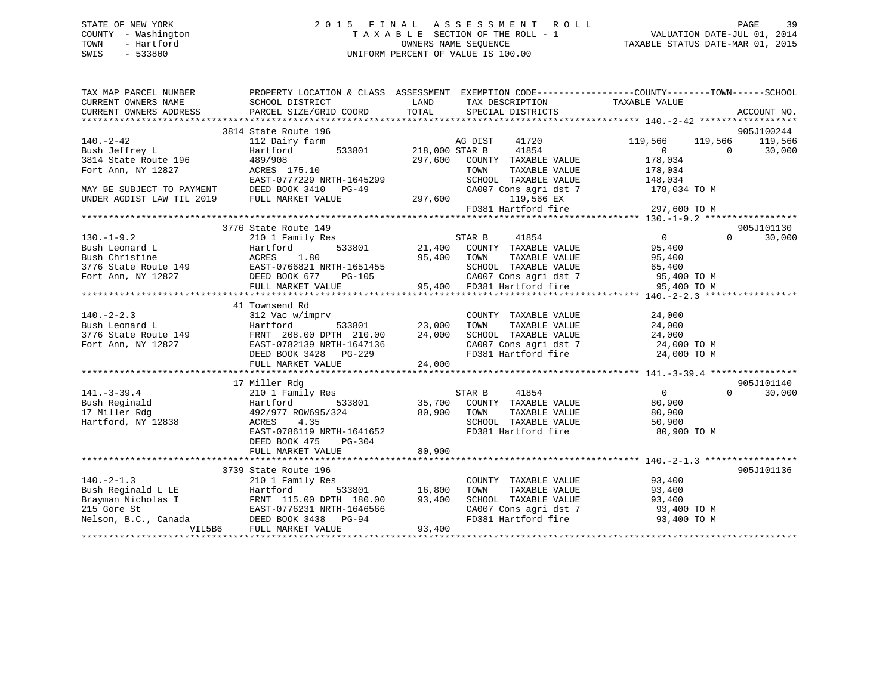## STATE OF NEW YORK 2 0 1 5 F I N A L A S S E S S M E N T R O L L PAGE 39 COUNTY - Washington T A X A B L E SECTION OF THE ROLL - 1 VALUATION DATE-JUL 01, 2014 TOWN - Hartford **TAXABLE STATUS DATE-MAR 01, 2015** OWNERS NAME SEQUENCE TAXABLE STATUS DATE-MAR 01, 2015 SWIS - 533800 UNIFORM PERCENT OF VALUE IS 100.00

| TAX MAP PARCEL NUMBER<br>CURRENT OWNERS NAME                                                                                                                                                                                                                                                                                                                                                                                                                                                                   | SCHOOL DISTRICT                                                                                          | LAND                  |                                                                                                           | PROPERTY LOCATION & CLASS ASSESSMENT EXEMPTION CODE-----------------COUNTY-------TOWN------SCHOOL | ACCOUNT NO.        |
|----------------------------------------------------------------------------------------------------------------------------------------------------------------------------------------------------------------------------------------------------------------------------------------------------------------------------------------------------------------------------------------------------------------------------------------------------------------------------------------------------------------|----------------------------------------------------------------------------------------------------------|-----------------------|-----------------------------------------------------------------------------------------------------------|---------------------------------------------------------------------------------------------------|--------------------|
|                                                                                                                                                                                                                                                                                                                                                                                                                                                                                                                |                                                                                                          |                       |                                                                                                           |                                                                                                   |                    |
|                                                                                                                                                                                                                                                                                                                                                                                                                                                                                                                | 3814 State Route 196                                                                                     |                       |                                                                                                           |                                                                                                   | 905J100244         |
|                                                                                                                                                                                                                                                                                                                                                                                                                                                                                                                | 112 Dairy farm                                                                                           |                       | AG DIST<br>41720                                                                                          | 119,566<br>119,566                                                                                | 119,566            |
| 140.-2-42<br>Bush Jeffrey L<br>$\begin{array}{ccc}\n & & & 112 \text{ bar} \\ \text{Bush } \text{Jeffrey L} & & \text{Hartford} \\ \hline\n & \text{Martford} & & 489/908 \\ \end{array}$                                                                                                                                                                                                                                                                                                                      | Hartford                                                                                                 | 533801 218,000 STAR B | 41854                                                                                                     | $\overline{0}$<br>$\overline{0}$                                                                  | 30,000             |
|                                                                                                                                                                                                                                                                                                                                                                                                                                                                                                                |                                                                                                          | 297,600               | COUNTY TAXABLE VALUE                                                                                      | 178,034                                                                                           |                    |
| Fort Ann, NY 12827                                                                                                                                                                                                                                                                                                                                                                                                                                                                                             | ACRES 175.10                                                                                             |                       | TOWN<br>TAXABLE VALUE                                                                                     | 178,034<br>148,034                                                                                |                    |
|                                                                                                                                                                                                                                                                                                                                                                                                                                                                                                                |                                                                                                          |                       |                                                                                                           | SCHOOL TAXABLE VALUE 148,034<br>CA007 Cons agri dst 7 178,034 TO M                                |                    |
|                                                                                                                                                                                                                                                                                                                                                                                                                                                                                                                |                                                                                                          |                       |                                                                                                           |                                                                                                   |                    |
|                                                                                                                                                                                                                                                                                                                                                                                                                                                                                                                |                                                                                                          |                       |                                                                                                           |                                                                                                   |                    |
| $\begin{tabular}{lllllllllll} \multicolumn{2}{c}{\begin{tabular}{l} \multicolumn{2}{c}{\begin{tabular}{l} \multicolumn{2}{c}{\begin{tabular}{l} \multicolumn{2}{c}{\begin{tabular}{l} \multicolumn{2}{c}{\begin{tabular}{c} \multicolumn{2}{c}{\begin{tabular}{c} \multicolumn{2}{c}{\begin{tabular}{c} \multicolumn{2}{c}{\begin{tabular}{c} \multicolumn{2}{c}{\begin{tabular}{c} \multicolumn{2}{c}{\begin{tabular}{c} \multicolumn{2}{c}{\begin{tabular}{c} \multicolumn{2}{c}{\begin{tabular}{c} \multic$ |                                                                                                          |                       |                                                                                                           | 119,566 EX<br>FD381 Hartford fire 297,600 TO M                                                    |                    |
|                                                                                                                                                                                                                                                                                                                                                                                                                                                                                                                |                                                                                                          |                       |                                                                                                           |                                                                                                   |                    |
|                                                                                                                                                                                                                                                                                                                                                                                                                                                                                                                | 3776 State Route 149                                                                                     |                       |                                                                                                           |                                                                                                   | 905J101130         |
|                                                                                                                                                                                                                                                                                                                                                                                                                                                                                                                |                                                                                                          |                       |                                                                                                           |                                                                                                   |                    |
|                                                                                                                                                                                                                                                                                                                                                                                                                                                                                                                |                                                                                                          |                       |                                                                                                           |                                                                                                   |                    |
|                                                                                                                                                                                                                                                                                                                                                                                                                                                                                                                |                                                                                                          |                       |                                                                                                           |                                                                                                   |                    |
|                                                                                                                                                                                                                                                                                                                                                                                                                                                                                                                |                                                                                                          |                       |                                                                                                           |                                                                                                   |                    |
|                                                                                                                                                                                                                                                                                                                                                                                                                                                                                                                |                                                                                                          |                       |                                                                                                           |                                                                                                   |                    |
| $\begin{tabular}{ccccc} 130.-1-9.2 & 3776 State Route 149 & 95,400 & 30,000 \\ 130.-1-9.2 & 210 1 Family Res & 533801 & 21,400 COUNTY TAXABLE VALUE & 95,400 \\ 130.1-1-9.2 & 210 1 Family Res & 533801 & 21,400 COUNTY TAXABLE VALUE & 95,400 \\ 13776 State Route 149 & 2188 & 95,400 TOWN & TAXABLE VALUE & 95,400 \\ 3776 State Route 149 & EAST-0766821 NRTH-1$                                                                                                                                           |                                                                                                          |                       |                                                                                                           |                                                                                                   |                    |
|                                                                                                                                                                                                                                                                                                                                                                                                                                                                                                                |                                                                                                          |                       |                                                                                                           |                                                                                                   |                    |
|                                                                                                                                                                                                                                                                                                                                                                                                                                                                                                                | 41 Townsend Rd                                                                                           |                       |                                                                                                           |                                                                                                   |                    |
|                                                                                                                                                                                                                                                                                                                                                                                                                                                                                                                | imprv COUNT 533801 23,000 TOWN                                                                           |                       | COUNTY TAXABLE VALUE                                                                                      | 24,000                                                                                            |                    |
|                                                                                                                                                                                                                                                                                                                                                                                                                                                                                                                |                                                                                                          |                       | TAXABLE VALUE                                                                                             | 24,000                                                                                            |                    |
|                                                                                                                                                                                                                                                                                                                                                                                                                                                                                                                |                                                                                                          |                       |                                                                                                           |                                                                                                   |                    |
|                                                                                                                                                                                                                                                                                                                                                                                                                                                                                                                |                                                                                                          |                       |                                                                                                           |                                                                                                   |                    |
|                                                                                                                                                                                                                                                                                                                                                                                                                                                                                                                |                                                                                                          |                       | SCHOOL TAXABLE VALUE $24,000$<br>CA007 Cons agri dst 7 $24,000$ TO M<br>FD381 Hartford fire $24,000$ TO M |                                                                                                   |                    |
| 140.-2-2.3<br>Bush Leonard L<br>312 Vac w/imprv<br>533801 23,000<br>3776 State Route 149<br>FRNT 208.00 DPTH 210.00 24,000<br>Fort Ann, NY 12827<br>EAST-0782139 NRTH-1647136<br>DEED BOOK 3428 PG-229<br>PHIT MAPKET VALUE 24,000<br>24,000                                                                                                                                                                                                                                                                   |                                                                                                          |                       |                                                                                                           |                                                                                                   |                    |
|                                                                                                                                                                                                                                                                                                                                                                                                                                                                                                                |                                                                                                          |                       |                                                                                                           |                                                                                                   |                    |
|                                                                                                                                                                                                                                                                                                                                                                                                                                                                                                                | 17 Miller Rdg                                                                                            |                       |                                                                                                           |                                                                                                   | 905J101140         |
| $141. - 3 - 39.4$                                                                                                                                                                                                                                                                                                                                                                                                                                                                                              | Miller Ruy<br>210 1 Family Res                                                                           |                       | STAR B 41854                                                                                              | $\overline{0}$                                                                                    | $\Omega$<br>30,000 |
|                                                                                                                                                                                                                                                                                                                                                                                                                                                                                                                |                                                                                                          |                       | 533801 35,700 COUNTY TAXABLE VALUE 80,900                                                                 |                                                                                                   |                    |
|                                                                                                                                                                                                                                                                                                                                                                                                                                                                                                                |                                                                                                          |                       |                                                                                                           |                                                                                                   |                    |
|                                                                                                                                                                                                                                                                                                                                                                                                                                                                                                                |                                                                                                          |                       |                                                                                                           |                                                                                                   |                    |
|                                                                                                                                                                                                                                                                                                                                                                                                                                                                                                                | ACRES 4.35<br>EAST-0786119 NRTH-1641652                                                                  |                       | FD381 Hartford fire 60,900 TO M                                                                           |                                                                                                   |                    |
|                                                                                                                                                                                                                                                                                                                                                                                                                                                                                                                | DEED BOOK 475<br>PG-304                                                                                  |                       |                                                                                                           |                                                                                                   |                    |
|                                                                                                                                                                                                                                                                                                                                                                                                                                                                                                                | FULL MARKET VALUE                                                                                        | 80,900                |                                                                                                           |                                                                                                   |                    |
|                                                                                                                                                                                                                                                                                                                                                                                                                                                                                                                |                                                                                                          |                       |                                                                                                           |                                                                                                   |                    |
|                                                                                                                                                                                                                                                                                                                                                                                                                                                                                                                | 3739 State Route 196                                                                                     |                       |                                                                                                           |                                                                                                   | 905J101136         |
| $140. - 2 - 1.3$                                                                                                                                                                                                                                                                                                                                                                                                                                                                                               | 210 1 Family Res                                                                                         |                       | COUNTY TAXABLE VALUE                                                                                      | 93,400<br>93,400                                                                                  |                    |
| Bush Reginald L LE                                                                                                                                                                                                                                                                                                                                                                                                                                                                                             | Ero I Part                                                                                               | 5<br>33801 16,800     | TOWN<br>TAXABLE VALUE                                                                                     |                                                                                                   |                    |
| Brayman Nicholas I                                                                                                                                                                                                                                                                                                                                                                                                                                                                                             |                                                                                                          |                       | SCHOOL TAXABLE VALUE                                                                                      | 93,400                                                                                            |                    |
| 215 Gore St                                                                                                                                                                                                                                                                                                                                                                                                                                                                                                    |                                                                                                          |                       |                                                                                                           | CA007 Cons agri dst 7 93,400 TO M<br>FD381 Hartford fire 93,400 TO M                              |                    |
| Nelson, B.C., Canada                                                                                                                                                                                                                                                                                                                                                                                                                                                                                           | 1 18. I FRNT 115.00 DPTH 180.00 93,400<br>Las I EAST-0776231 NRTH-1646566<br>Canada DEED BOOK 3438 PG-94 |                       |                                                                                                           |                                                                                                   |                    |
| VIL5B6                                                                                                                                                                                                                                                                                                                                                                                                                                                                                                         | FULL MARKET VALUE                                                                                        | 93,400                |                                                                                                           |                                                                                                   |                    |
|                                                                                                                                                                                                                                                                                                                                                                                                                                                                                                                |                                                                                                          |                       |                                                                                                           |                                                                                                   |                    |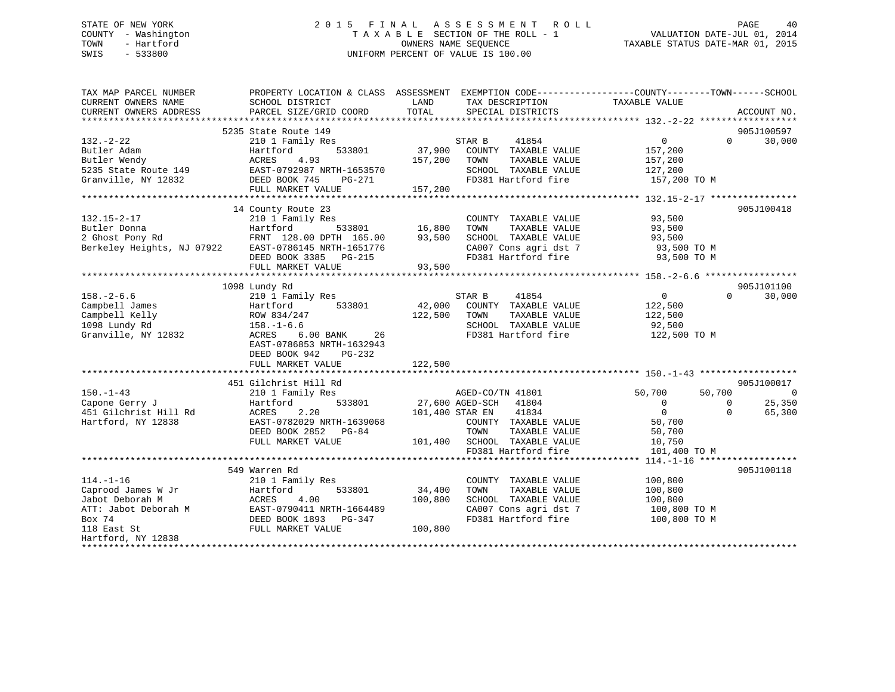# STATE OF NEW YORK 2 0 1 5 F I N A L A S S E S S M E N T R O L L PAGE 40COUNTY - Washington  $T A X A B L E$  SECTION OF THE ROLL - 1<br>TOWN - Hartford SWIS - 533800 UNIFORM PERCENT OF VALUE IS 100.00

TAXABLE STATUS DATE-MAR 01, 2015

| TAXABLE VALUE<br>CURRENT OWNERS NAME<br>SCHOOL DISTRICT<br>LAND<br>TAX DESCRIPTION<br>TOTAL<br>CURRENT OWNERS ADDRESS<br>PARCEL SIZE/GRID COORD<br>SPECIAL DISTRICTS<br>ACCOUNT NO.<br>5235 State Route 149<br>905J100597<br>30,000<br>$132 - 2 - 22$<br>210 1 Family Res<br>STAR B<br>41854<br>$\overline{0}$<br>$\Omega$<br>37,900<br>Butler Adam<br>Hartford<br>533801<br>COUNTY TAXABLE VALUE<br>157,200<br>4.93<br>157,200<br>TAXABLE VALUE<br>Butler Wendy<br>ACRES<br>TOWN<br>157,200<br>EAST-0792987 NRTH-1653570<br>5235 State Route 149<br>SCHOOL TAXABLE VALUE<br>127,200<br>FD381 Hartford fire<br>Granville, NY 12832<br>DEED BOOK 745<br>PG-271<br>157,200 TO M<br>FULL MARKET VALUE<br>157,200<br>14 County Route 23<br>905J100418<br>$132.15 - 2 - 17$<br>210 1 Family Res<br>93,500<br>COUNTY TAXABLE VALUE<br>Butler Donna<br>Hartford<br>533801 16,800<br>TAXABLE VALUE<br>93,500<br>TOWN<br>FRNT 128.00 DPTH 165.00<br>93,500<br>2 Ghost Pony Rd<br>SCHOOL TAXABLE VALUE<br>93,500<br>Berkeley Heights, NJ 07922<br>EAST-0786145 NRTH-1651776<br>CA007 Cons agri dst 7<br>93,500 TO M<br>FD381 Hartford fire<br>DEED BOOK 3385 PG-215<br>93,500 TO M<br>FULL MARKET VALUE<br>93,500<br>905J101100<br>1098 Lundy Rd<br>$158. - 2 - 6.6$<br>210 1 Family Res<br>0<br>30,000<br>STAR B<br>41854<br>$\Omega$<br>42,000<br>Campbell James<br>533801<br>COUNTY TAXABLE VALUE<br>122,500<br>Hartford<br>Campbell Kelly<br>122,500<br>TAXABLE VALUE<br>ROW 834/247<br>TOWN<br>122,500<br>1098 Lundy Rd<br>$158. - 1 - 6.6$<br>SCHOOL TAXABLE VALUE<br>92,500<br>Granville, NY 12832<br>FD381 Hartford fire<br>ACRES<br>$6.00$ BANK<br>26<br>122,500 TO M<br>EAST-0786853 NRTH-1632943<br>DEED BOOK 942<br>PG-232<br>FULL MARKET VALUE<br>122,500<br>451 Gilchrist Hill Rd<br>905J100017<br>$150. - 1 - 43$<br>210 1 Family Res<br>50,700<br>$\overline{\phantom{0}}$<br>AGED-CO/TN 41801<br>50,700<br>27,600 AGED-SCH 41804<br>25,350<br>Capone Gerry J<br>533801<br>$\overline{0}$<br>Hartford<br>$\Omega$<br>$\overline{0}$<br>451 Gilchrist Hill Rd<br>2.20<br>41834<br>ACRES<br>101,400 STAR EN<br>$\Omega$<br>65,300<br>Hartford, NY 12838<br>EAST-0782029 NRTH-1639068<br>COUNTY TAXABLE VALUE<br>50,700<br>DEED BOOK 2852 PG-84<br>TOWN<br>TAXABLE VALUE<br>50,700<br>FULL MARKET VALUE<br>101,400 SCHOOL TAXABLE VALUE<br>10,750<br>FD381 Hartford fire<br>101,400 TO M<br>905J100118<br>549 Warren Rd<br>$114. - 1 - 16$<br>210 1 Family Res<br>100,800<br>COUNTY TAXABLE VALUE<br>Caprood James W Jr<br>533801<br>34,400<br>TOWN<br>TAXABLE VALUE<br>100,800<br>Hartford<br>Jabot Deborah M<br>ACRES<br>4.00<br>100,800<br>SCHOOL TAXABLE VALUE<br>100,800<br>EAST-0790411 NRTH-1664489<br>ATT: Jabot Deborah M<br>CA007 Cons agri dst 7<br>100,800 TO M<br>Box 74<br>FD381 Hartford fire<br>DEED BOOK 1893 PG-347<br>100,800 TO M<br>FULL MARKET VALUE<br>100,800<br>118 East St<br>Hartford, NY 12838 | TAX MAP PARCEL NUMBER |  | PROPERTY LOCATION & CLASS ASSESSMENT EXEMPTION CODE---------------COUNTY-------TOWN-----SCHOOL |
|-------------------------------------------------------------------------------------------------------------------------------------------------------------------------------------------------------------------------------------------------------------------------------------------------------------------------------------------------------------------------------------------------------------------------------------------------------------------------------------------------------------------------------------------------------------------------------------------------------------------------------------------------------------------------------------------------------------------------------------------------------------------------------------------------------------------------------------------------------------------------------------------------------------------------------------------------------------------------------------------------------------------------------------------------------------------------------------------------------------------------------------------------------------------------------------------------------------------------------------------------------------------------------------------------------------------------------------------------------------------------------------------------------------------------------------------------------------------------------------------------------------------------------------------------------------------------------------------------------------------------------------------------------------------------------------------------------------------------------------------------------------------------------------------------------------------------------------------------------------------------------------------------------------------------------------------------------------------------------------------------------------------------------------------------------------------------------------------------------------------------------------------------------------------------------------------------------------------------------------------------------------------------------------------------------------------------------------------------------------------------------------------------------------------------------------------------------------------------------------------------------------------------------------------------------------------------------------------------------------------------------------------------------------------------------------------------------------------------------------------------------------------------------------------------------------------------------------------------------------------------------------------------------------------------------|-----------------------|--|------------------------------------------------------------------------------------------------|
|                                                                                                                                                                                                                                                                                                                                                                                                                                                                                                                                                                                                                                                                                                                                                                                                                                                                                                                                                                                                                                                                                                                                                                                                                                                                                                                                                                                                                                                                                                                                                                                                                                                                                                                                                                                                                                                                                                                                                                                                                                                                                                                                                                                                                                                                                                                                                                                                                                                                                                                                                                                                                                                                                                                                                                                                                                                                                                                               |                       |  |                                                                                                |
|                                                                                                                                                                                                                                                                                                                                                                                                                                                                                                                                                                                                                                                                                                                                                                                                                                                                                                                                                                                                                                                                                                                                                                                                                                                                                                                                                                                                                                                                                                                                                                                                                                                                                                                                                                                                                                                                                                                                                                                                                                                                                                                                                                                                                                                                                                                                                                                                                                                                                                                                                                                                                                                                                                                                                                                                                                                                                                                               |                       |  |                                                                                                |
|                                                                                                                                                                                                                                                                                                                                                                                                                                                                                                                                                                                                                                                                                                                                                                                                                                                                                                                                                                                                                                                                                                                                                                                                                                                                                                                                                                                                                                                                                                                                                                                                                                                                                                                                                                                                                                                                                                                                                                                                                                                                                                                                                                                                                                                                                                                                                                                                                                                                                                                                                                                                                                                                                                                                                                                                                                                                                                                               |                       |  |                                                                                                |
|                                                                                                                                                                                                                                                                                                                                                                                                                                                                                                                                                                                                                                                                                                                                                                                                                                                                                                                                                                                                                                                                                                                                                                                                                                                                                                                                                                                                                                                                                                                                                                                                                                                                                                                                                                                                                                                                                                                                                                                                                                                                                                                                                                                                                                                                                                                                                                                                                                                                                                                                                                                                                                                                                                                                                                                                                                                                                                                               |                       |  |                                                                                                |
|                                                                                                                                                                                                                                                                                                                                                                                                                                                                                                                                                                                                                                                                                                                                                                                                                                                                                                                                                                                                                                                                                                                                                                                                                                                                                                                                                                                                                                                                                                                                                                                                                                                                                                                                                                                                                                                                                                                                                                                                                                                                                                                                                                                                                                                                                                                                                                                                                                                                                                                                                                                                                                                                                                                                                                                                                                                                                                                               |                       |  |                                                                                                |
|                                                                                                                                                                                                                                                                                                                                                                                                                                                                                                                                                                                                                                                                                                                                                                                                                                                                                                                                                                                                                                                                                                                                                                                                                                                                                                                                                                                                                                                                                                                                                                                                                                                                                                                                                                                                                                                                                                                                                                                                                                                                                                                                                                                                                                                                                                                                                                                                                                                                                                                                                                                                                                                                                                                                                                                                                                                                                                                               |                       |  |                                                                                                |
|                                                                                                                                                                                                                                                                                                                                                                                                                                                                                                                                                                                                                                                                                                                                                                                                                                                                                                                                                                                                                                                                                                                                                                                                                                                                                                                                                                                                                                                                                                                                                                                                                                                                                                                                                                                                                                                                                                                                                                                                                                                                                                                                                                                                                                                                                                                                                                                                                                                                                                                                                                                                                                                                                                                                                                                                                                                                                                                               |                       |  |                                                                                                |
|                                                                                                                                                                                                                                                                                                                                                                                                                                                                                                                                                                                                                                                                                                                                                                                                                                                                                                                                                                                                                                                                                                                                                                                                                                                                                                                                                                                                                                                                                                                                                                                                                                                                                                                                                                                                                                                                                                                                                                                                                                                                                                                                                                                                                                                                                                                                                                                                                                                                                                                                                                                                                                                                                                                                                                                                                                                                                                                               |                       |  |                                                                                                |
|                                                                                                                                                                                                                                                                                                                                                                                                                                                                                                                                                                                                                                                                                                                                                                                                                                                                                                                                                                                                                                                                                                                                                                                                                                                                                                                                                                                                                                                                                                                                                                                                                                                                                                                                                                                                                                                                                                                                                                                                                                                                                                                                                                                                                                                                                                                                                                                                                                                                                                                                                                                                                                                                                                                                                                                                                                                                                                                               |                       |  |                                                                                                |
|                                                                                                                                                                                                                                                                                                                                                                                                                                                                                                                                                                                                                                                                                                                                                                                                                                                                                                                                                                                                                                                                                                                                                                                                                                                                                                                                                                                                                                                                                                                                                                                                                                                                                                                                                                                                                                                                                                                                                                                                                                                                                                                                                                                                                                                                                                                                                                                                                                                                                                                                                                                                                                                                                                                                                                                                                                                                                                                               |                       |  |                                                                                                |
|                                                                                                                                                                                                                                                                                                                                                                                                                                                                                                                                                                                                                                                                                                                                                                                                                                                                                                                                                                                                                                                                                                                                                                                                                                                                                                                                                                                                                                                                                                                                                                                                                                                                                                                                                                                                                                                                                                                                                                                                                                                                                                                                                                                                                                                                                                                                                                                                                                                                                                                                                                                                                                                                                                                                                                                                                                                                                                                               |                       |  |                                                                                                |
|                                                                                                                                                                                                                                                                                                                                                                                                                                                                                                                                                                                                                                                                                                                                                                                                                                                                                                                                                                                                                                                                                                                                                                                                                                                                                                                                                                                                                                                                                                                                                                                                                                                                                                                                                                                                                                                                                                                                                                                                                                                                                                                                                                                                                                                                                                                                                                                                                                                                                                                                                                                                                                                                                                                                                                                                                                                                                                                               |                       |  |                                                                                                |
|                                                                                                                                                                                                                                                                                                                                                                                                                                                                                                                                                                                                                                                                                                                                                                                                                                                                                                                                                                                                                                                                                                                                                                                                                                                                                                                                                                                                                                                                                                                                                                                                                                                                                                                                                                                                                                                                                                                                                                                                                                                                                                                                                                                                                                                                                                                                                                                                                                                                                                                                                                                                                                                                                                                                                                                                                                                                                                                               |                       |  |                                                                                                |
|                                                                                                                                                                                                                                                                                                                                                                                                                                                                                                                                                                                                                                                                                                                                                                                                                                                                                                                                                                                                                                                                                                                                                                                                                                                                                                                                                                                                                                                                                                                                                                                                                                                                                                                                                                                                                                                                                                                                                                                                                                                                                                                                                                                                                                                                                                                                                                                                                                                                                                                                                                                                                                                                                                                                                                                                                                                                                                                               |                       |  |                                                                                                |
|                                                                                                                                                                                                                                                                                                                                                                                                                                                                                                                                                                                                                                                                                                                                                                                                                                                                                                                                                                                                                                                                                                                                                                                                                                                                                                                                                                                                                                                                                                                                                                                                                                                                                                                                                                                                                                                                                                                                                                                                                                                                                                                                                                                                                                                                                                                                                                                                                                                                                                                                                                                                                                                                                                                                                                                                                                                                                                                               |                       |  |                                                                                                |
|                                                                                                                                                                                                                                                                                                                                                                                                                                                                                                                                                                                                                                                                                                                                                                                                                                                                                                                                                                                                                                                                                                                                                                                                                                                                                                                                                                                                                                                                                                                                                                                                                                                                                                                                                                                                                                                                                                                                                                                                                                                                                                                                                                                                                                                                                                                                                                                                                                                                                                                                                                                                                                                                                                                                                                                                                                                                                                                               |                       |  |                                                                                                |
|                                                                                                                                                                                                                                                                                                                                                                                                                                                                                                                                                                                                                                                                                                                                                                                                                                                                                                                                                                                                                                                                                                                                                                                                                                                                                                                                                                                                                                                                                                                                                                                                                                                                                                                                                                                                                                                                                                                                                                                                                                                                                                                                                                                                                                                                                                                                                                                                                                                                                                                                                                                                                                                                                                                                                                                                                                                                                                                               |                       |  |                                                                                                |
|                                                                                                                                                                                                                                                                                                                                                                                                                                                                                                                                                                                                                                                                                                                                                                                                                                                                                                                                                                                                                                                                                                                                                                                                                                                                                                                                                                                                                                                                                                                                                                                                                                                                                                                                                                                                                                                                                                                                                                                                                                                                                                                                                                                                                                                                                                                                                                                                                                                                                                                                                                                                                                                                                                                                                                                                                                                                                                                               |                       |  |                                                                                                |
|                                                                                                                                                                                                                                                                                                                                                                                                                                                                                                                                                                                                                                                                                                                                                                                                                                                                                                                                                                                                                                                                                                                                                                                                                                                                                                                                                                                                                                                                                                                                                                                                                                                                                                                                                                                                                                                                                                                                                                                                                                                                                                                                                                                                                                                                                                                                                                                                                                                                                                                                                                                                                                                                                                                                                                                                                                                                                                                               |                       |  |                                                                                                |
|                                                                                                                                                                                                                                                                                                                                                                                                                                                                                                                                                                                                                                                                                                                                                                                                                                                                                                                                                                                                                                                                                                                                                                                                                                                                                                                                                                                                                                                                                                                                                                                                                                                                                                                                                                                                                                                                                                                                                                                                                                                                                                                                                                                                                                                                                                                                                                                                                                                                                                                                                                                                                                                                                                                                                                                                                                                                                                                               |                       |  |                                                                                                |
|                                                                                                                                                                                                                                                                                                                                                                                                                                                                                                                                                                                                                                                                                                                                                                                                                                                                                                                                                                                                                                                                                                                                                                                                                                                                                                                                                                                                                                                                                                                                                                                                                                                                                                                                                                                                                                                                                                                                                                                                                                                                                                                                                                                                                                                                                                                                                                                                                                                                                                                                                                                                                                                                                                                                                                                                                                                                                                                               |                       |  |                                                                                                |
|                                                                                                                                                                                                                                                                                                                                                                                                                                                                                                                                                                                                                                                                                                                                                                                                                                                                                                                                                                                                                                                                                                                                                                                                                                                                                                                                                                                                                                                                                                                                                                                                                                                                                                                                                                                                                                                                                                                                                                                                                                                                                                                                                                                                                                                                                                                                                                                                                                                                                                                                                                                                                                                                                                                                                                                                                                                                                                                               |                       |  |                                                                                                |
|                                                                                                                                                                                                                                                                                                                                                                                                                                                                                                                                                                                                                                                                                                                                                                                                                                                                                                                                                                                                                                                                                                                                                                                                                                                                                                                                                                                                                                                                                                                                                                                                                                                                                                                                                                                                                                                                                                                                                                                                                                                                                                                                                                                                                                                                                                                                                                                                                                                                                                                                                                                                                                                                                                                                                                                                                                                                                                                               |                       |  |                                                                                                |
|                                                                                                                                                                                                                                                                                                                                                                                                                                                                                                                                                                                                                                                                                                                                                                                                                                                                                                                                                                                                                                                                                                                                                                                                                                                                                                                                                                                                                                                                                                                                                                                                                                                                                                                                                                                                                                                                                                                                                                                                                                                                                                                                                                                                                                                                                                                                                                                                                                                                                                                                                                                                                                                                                                                                                                                                                                                                                                                               |                       |  |                                                                                                |
|                                                                                                                                                                                                                                                                                                                                                                                                                                                                                                                                                                                                                                                                                                                                                                                                                                                                                                                                                                                                                                                                                                                                                                                                                                                                                                                                                                                                                                                                                                                                                                                                                                                                                                                                                                                                                                                                                                                                                                                                                                                                                                                                                                                                                                                                                                                                                                                                                                                                                                                                                                                                                                                                                                                                                                                                                                                                                                                               |                       |  |                                                                                                |
|                                                                                                                                                                                                                                                                                                                                                                                                                                                                                                                                                                                                                                                                                                                                                                                                                                                                                                                                                                                                                                                                                                                                                                                                                                                                                                                                                                                                                                                                                                                                                                                                                                                                                                                                                                                                                                                                                                                                                                                                                                                                                                                                                                                                                                                                                                                                                                                                                                                                                                                                                                                                                                                                                                                                                                                                                                                                                                                               |                       |  |                                                                                                |
|                                                                                                                                                                                                                                                                                                                                                                                                                                                                                                                                                                                                                                                                                                                                                                                                                                                                                                                                                                                                                                                                                                                                                                                                                                                                                                                                                                                                                                                                                                                                                                                                                                                                                                                                                                                                                                                                                                                                                                                                                                                                                                                                                                                                                                                                                                                                                                                                                                                                                                                                                                                                                                                                                                                                                                                                                                                                                                                               |                       |  |                                                                                                |
|                                                                                                                                                                                                                                                                                                                                                                                                                                                                                                                                                                                                                                                                                                                                                                                                                                                                                                                                                                                                                                                                                                                                                                                                                                                                                                                                                                                                                                                                                                                                                                                                                                                                                                                                                                                                                                                                                                                                                                                                                                                                                                                                                                                                                                                                                                                                                                                                                                                                                                                                                                                                                                                                                                                                                                                                                                                                                                                               |                       |  |                                                                                                |
|                                                                                                                                                                                                                                                                                                                                                                                                                                                                                                                                                                                                                                                                                                                                                                                                                                                                                                                                                                                                                                                                                                                                                                                                                                                                                                                                                                                                                                                                                                                                                                                                                                                                                                                                                                                                                                                                                                                                                                                                                                                                                                                                                                                                                                                                                                                                                                                                                                                                                                                                                                                                                                                                                                                                                                                                                                                                                                                               |                       |  |                                                                                                |
|                                                                                                                                                                                                                                                                                                                                                                                                                                                                                                                                                                                                                                                                                                                                                                                                                                                                                                                                                                                                                                                                                                                                                                                                                                                                                                                                                                                                                                                                                                                                                                                                                                                                                                                                                                                                                                                                                                                                                                                                                                                                                                                                                                                                                                                                                                                                                                                                                                                                                                                                                                                                                                                                                                                                                                                                                                                                                                                               |                       |  |                                                                                                |
|                                                                                                                                                                                                                                                                                                                                                                                                                                                                                                                                                                                                                                                                                                                                                                                                                                                                                                                                                                                                                                                                                                                                                                                                                                                                                                                                                                                                                                                                                                                                                                                                                                                                                                                                                                                                                                                                                                                                                                                                                                                                                                                                                                                                                                                                                                                                                                                                                                                                                                                                                                                                                                                                                                                                                                                                                                                                                                                               |                       |  |                                                                                                |
|                                                                                                                                                                                                                                                                                                                                                                                                                                                                                                                                                                                                                                                                                                                                                                                                                                                                                                                                                                                                                                                                                                                                                                                                                                                                                                                                                                                                                                                                                                                                                                                                                                                                                                                                                                                                                                                                                                                                                                                                                                                                                                                                                                                                                                                                                                                                                                                                                                                                                                                                                                                                                                                                                                                                                                                                                                                                                                                               |                       |  |                                                                                                |
|                                                                                                                                                                                                                                                                                                                                                                                                                                                                                                                                                                                                                                                                                                                                                                                                                                                                                                                                                                                                                                                                                                                                                                                                                                                                                                                                                                                                                                                                                                                                                                                                                                                                                                                                                                                                                                                                                                                                                                                                                                                                                                                                                                                                                                                                                                                                                                                                                                                                                                                                                                                                                                                                                                                                                                                                                                                                                                                               |                       |  |                                                                                                |
|                                                                                                                                                                                                                                                                                                                                                                                                                                                                                                                                                                                                                                                                                                                                                                                                                                                                                                                                                                                                                                                                                                                                                                                                                                                                                                                                                                                                                                                                                                                                                                                                                                                                                                                                                                                                                                                                                                                                                                                                                                                                                                                                                                                                                                                                                                                                                                                                                                                                                                                                                                                                                                                                                                                                                                                                                                                                                                                               |                       |  |                                                                                                |
|                                                                                                                                                                                                                                                                                                                                                                                                                                                                                                                                                                                                                                                                                                                                                                                                                                                                                                                                                                                                                                                                                                                                                                                                                                                                                                                                                                                                                                                                                                                                                                                                                                                                                                                                                                                                                                                                                                                                                                                                                                                                                                                                                                                                                                                                                                                                                                                                                                                                                                                                                                                                                                                                                                                                                                                                                                                                                                                               |                       |  |                                                                                                |
|                                                                                                                                                                                                                                                                                                                                                                                                                                                                                                                                                                                                                                                                                                                                                                                                                                                                                                                                                                                                                                                                                                                                                                                                                                                                                                                                                                                                                                                                                                                                                                                                                                                                                                                                                                                                                                                                                                                                                                                                                                                                                                                                                                                                                                                                                                                                                                                                                                                                                                                                                                                                                                                                                                                                                                                                                                                                                                                               |                       |  |                                                                                                |
|                                                                                                                                                                                                                                                                                                                                                                                                                                                                                                                                                                                                                                                                                                                                                                                                                                                                                                                                                                                                                                                                                                                                                                                                                                                                                                                                                                                                                                                                                                                                                                                                                                                                                                                                                                                                                                                                                                                                                                                                                                                                                                                                                                                                                                                                                                                                                                                                                                                                                                                                                                                                                                                                                                                                                                                                                                                                                                                               |                       |  |                                                                                                |
|                                                                                                                                                                                                                                                                                                                                                                                                                                                                                                                                                                                                                                                                                                                                                                                                                                                                                                                                                                                                                                                                                                                                                                                                                                                                                                                                                                                                                                                                                                                                                                                                                                                                                                                                                                                                                                                                                                                                                                                                                                                                                                                                                                                                                                                                                                                                                                                                                                                                                                                                                                                                                                                                                                                                                                                                                                                                                                                               |                       |  |                                                                                                |
|                                                                                                                                                                                                                                                                                                                                                                                                                                                                                                                                                                                                                                                                                                                                                                                                                                                                                                                                                                                                                                                                                                                                                                                                                                                                                                                                                                                                                                                                                                                                                                                                                                                                                                                                                                                                                                                                                                                                                                                                                                                                                                                                                                                                                                                                                                                                                                                                                                                                                                                                                                                                                                                                                                                                                                                                                                                                                                                               |                       |  |                                                                                                |
|                                                                                                                                                                                                                                                                                                                                                                                                                                                                                                                                                                                                                                                                                                                                                                                                                                                                                                                                                                                                                                                                                                                                                                                                                                                                                                                                                                                                                                                                                                                                                                                                                                                                                                                                                                                                                                                                                                                                                                                                                                                                                                                                                                                                                                                                                                                                                                                                                                                                                                                                                                                                                                                                                                                                                                                                                                                                                                                               |                       |  |                                                                                                |
|                                                                                                                                                                                                                                                                                                                                                                                                                                                                                                                                                                                                                                                                                                                                                                                                                                                                                                                                                                                                                                                                                                                                                                                                                                                                                                                                                                                                                                                                                                                                                                                                                                                                                                                                                                                                                                                                                                                                                                                                                                                                                                                                                                                                                                                                                                                                                                                                                                                                                                                                                                                                                                                                                                                                                                                                                                                                                                                               |                       |  |                                                                                                |
|                                                                                                                                                                                                                                                                                                                                                                                                                                                                                                                                                                                                                                                                                                                                                                                                                                                                                                                                                                                                                                                                                                                                                                                                                                                                                                                                                                                                                                                                                                                                                                                                                                                                                                                                                                                                                                                                                                                                                                                                                                                                                                                                                                                                                                                                                                                                                                                                                                                                                                                                                                                                                                                                                                                                                                                                                                                                                                                               |                       |  |                                                                                                |
|                                                                                                                                                                                                                                                                                                                                                                                                                                                                                                                                                                                                                                                                                                                                                                                                                                                                                                                                                                                                                                                                                                                                                                                                                                                                                                                                                                                                                                                                                                                                                                                                                                                                                                                                                                                                                                                                                                                                                                                                                                                                                                                                                                                                                                                                                                                                                                                                                                                                                                                                                                                                                                                                                                                                                                                                                                                                                                                               |                       |  |                                                                                                |
|                                                                                                                                                                                                                                                                                                                                                                                                                                                                                                                                                                                                                                                                                                                                                                                                                                                                                                                                                                                                                                                                                                                                                                                                                                                                                                                                                                                                                                                                                                                                                                                                                                                                                                                                                                                                                                                                                                                                                                                                                                                                                                                                                                                                                                                                                                                                                                                                                                                                                                                                                                                                                                                                                                                                                                                                                                                                                                                               |                       |  |                                                                                                |
|                                                                                                                                                                                                                                                                                                                                                                                                                                                                                                                                                                                                                                                                                                                                                                                                                                                                                                                                                                                                                                                                                                                                                                                                                                                                                                                                                                                                                                                                                                                                                                                                                                                                                                                                                                                                                                                                                                                                                                                                                                                                                                                                                                                                                                                                                                                                                                                                                                                                                                                                                                                                                                                                                                                                                                                                                                                                                                                               |                       |  |                                                                                                |
|                                                                                                                                                                                                                                                                                                                                                                                                                                                                                                                                                                                                                                                                                                                                                                                                                                                                                                                                                                                                                                                                                                                                                                                                                                                                                                                                                                                                                                                                                                                                                                                                                                                                                                                                                                                                                                                                                                                                                                                                                                                                                                                                                                                                                                                                                                                                                                                                                                                                                                                                                                                                                                                                                                                                                                                                                                                                                                                               |                       |  |                                                                                                |
|                                                                                                                                                                                                                                                                                                                                                                                                                                                                                                                                                                                                                                                                                                                                                                                                                                                                                                                                                                                                                                                                                                                                                                                                                                                                                                                                                                                                                                                                                                                                                                                                                                                                                                                                                                                                                                                                                                                                                                                                                                                                                                                                                                                                                                                                                                                                                                                                                                                                                                                                                                                                                                                                                                                                                                                                                                                                                                                               |                       |  |                                                                                                |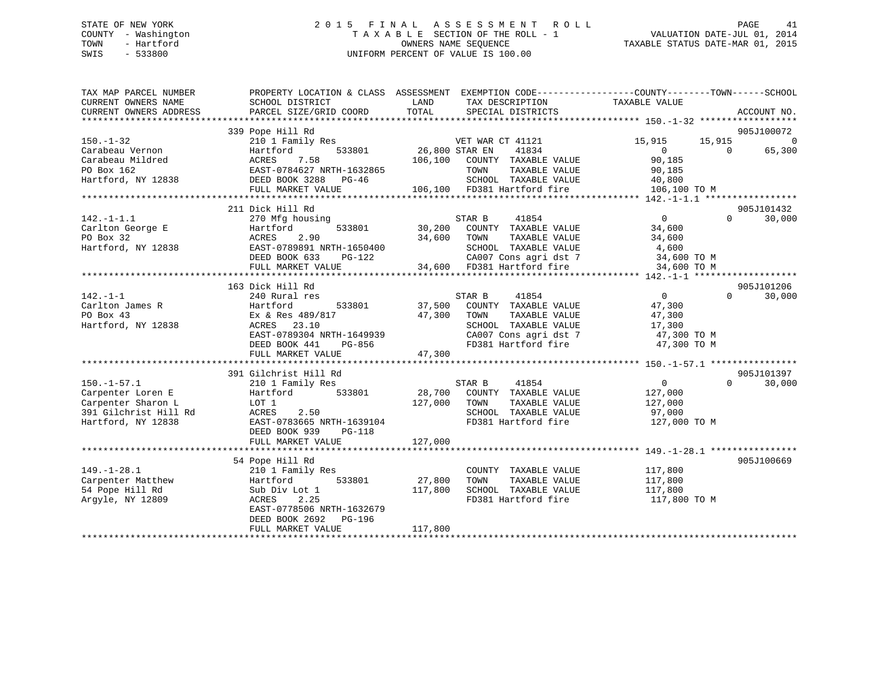## STATE OF NEW YORK 2 0 1 5 F I N A L A S S E S S M E N T R O L L PAGE 41 COUNTY - Washington T A X A B L E SECTION OF THE ROLL - 1 VALUATION DATE-JUL 01, 2014 TOWN - Hartford **TAXABLE STATUS DATE-MAR 01, 2015** OWNERS NAME SEQUENCE TAXABLE STATUS DATE-MAR 01, 2015 SWIS - 533800 UNIFORM PERCENT OF VALUE IS 100.00

| 339 Pope Hill Rd<br>905J100072<br>VET WAR<br>26,800 STAR EN<br>$150. - 1 - 32$<br>210 1 Family Res<br>VET WAR CT 41121<br>15,915<br>15,915<br>Carabeau Vernon<br>41834<br>$\Omega$<br>65,300<br>Hartford<br>533801<br>$\overline{0}$<br>Carabeau Mildred<br>ACRES<br>7.58<br>106,100<br>COUNTY TAXABLE VALUE<br>90,185<br>PO Box 162<br>EAST-0784627 NRTH-1632865<br>TOWN<br>TAXABLE VALUE<br>90,185 | ACCOUNT NO. |
|------------------------------------------------------------------------------------------------------------------------------------------------------------------------------------------------------------------------------------------------------------------------------------------------------------------------------------------------------------------------------------------------------|-------------|
|                                                                                                                                                                                                                                                                                                                                                                                                      |             |
|                                                                                                                                                                                                                                                                                                                                                                                                      |             |
|                                                                                                                                                                                                                                                                                                                                                                                                      | $\Omega$    |
|                                                                                                                                                                                                                                                                                                                                                                                                      |             |
|                                                                                                                                                                                                                                                                                                                                                                                                      |             |
|                                                                                                                                                                                                                                                                                                                                                                                                      |             |
| Hartford, NY 12838<br>SCHOOL TAXABLE VALUE<br>40,800<br>DEED BOOK 3288 PG-46                                                                                                                                                                                                                                                                                                                         |             |
| 106,100 FD381 Hartford fire<br>FULL MARKET VALUE<br>106,100 TO M                                                                                                                                                                                                                                                                                                                                     |             |
|                                                                                                                                                                                                                                                                                                                                                                                                      |             |
| 211 Dick Hill Rd<br>905J101432                                                                                                                                                                                                                                                                                                                                                                       |             |
| $0 \qquad \qquad$<br>30,000<br>$142. - 1 - 1.1$<br>270 Mfg housing<br>STAR B<br>41854<br>$\Omega$                                                                                                                                                                                                                                                                                                    |             |
| Carlton George E<br>533801<br>30,200 COUNTY TAXABLE VALUE<br>Hartford<br>34,600                                                                                                                                                                                                                                                                                                                      |             |
| PO Box 32<br>ACRES<br>2.90<br>34,600<br>TOWN<br>TAXABLE VALUE<br>34,600                                                                                                                                                                                                                                                                                                                              |             |
| Hartford, NY 12838<br>EAST-0789891 NRTH-1650400<br>SCHOOL TAXABLE VALUE<br>4,600                                                                                                                                                                                                                                                                                                                     |             |
| CA007 Cons agri dst 7 34,600 TO M<br>DEED BOOK 633<br>$PG-122$                                                                                                                                                                                                                                                                                                                                       |             |
| 34,600 FD381 Hartford fire<br>34,600 TO M<br>FULL MARKET VALUE                                                                                                                                                                                                                                                                                                                                       |             |
|                                                                                                                                                                                                                                                                                                                                                                                                      |             |
| 163 Dick Hill Rd<br>905J101206                                                                                                                                                                                                                                                                                                                                                                       |             |
| $142. - 1 - 1$<br>240 Rural res<br>STAR B<br>41854<br>$\overline{0}$<br>$\Omega$<br>30,000                                                                                                                                                                                                                                                                                                           |             |
| 37,500<br>COUNTY TAXABLE VALUE<br>Carlton James R<br>Hartford<br>533801<br>47,300                                                                                                                                                                                                                                                                                                                    |             |
| PO Box 43<br>Ex & Res 489/817<br>47,300<br>TAXABLE VALUE<br>TOWN<br>47,300                                                                                                                                                                                                                                                                                                                           |             |
| 17,300<br>Hartford, NY 12838<br>SCHOOL TAXABLE VALUE<br>ACRES 23.10                                                                                                                                                                                                                                                                                                                                  |             |
| CA007 Cons agri dst 7<br>EAST-0789304 NRTH-1649939<br>47,300 TO M                                                                                                                                                                                                                                                                                                                                    |             |
| DEED BOOK 441<br>PG-856<br>FD381 Hartford fire<br>47,300 TO M                                                                                                                                                                                                                                                                                                                                        |             |
| 47,300<br>FULL MARKET VALUE                                                                                                                                                                                                                                                                                                                                                                          |             |
|                                                                                                                                                                                                                                                                                                                                                                                                      |             |
| 905J101397<br>391 Gilchrist Hill Rd                                                                                                                                                                                                                                                                                                                                                                  |             |
| STAR B<br>41854<br>$\overline{0}$<br>$\Omega$<br>30,000<br>$150. - 1 - 57.1$<br>210 1 Family Res                                                                                                                                                                                                                                                                                                     |             |
| Carpenter Loren E<br>Hartford<br>533801<br>28,700 COUNTY TAXABLE VALUE<br>127,000                                                                                                                                                                                                                                                                                                                    |             |
| 127,000<br>Carpenter Sharon L<br>LOT 1<br>TOWN<br>TAXABLE VALUE<br>127,000                                                                                                                                                                                                                                                                                                                           |             |
| 391 Gilchrist Hill Rd<br>SCHOOL TAXABLE VALUE<br>ACRES<br>2.50<br>97,000                                                                                                                                                                                                                                                                                                                             |             |
| FD381 Hartford fire<br>Hartford, NY 12838<br>EAST-0783665 NRTH-1639104<br>127,000 TO M                                                                                                                                                                                                                                                                                                               |             |
| DEED BOOK 939<br>PG-118                                                                                                                                                                                                                                                                                                                                                                              |             |
| 127,000<br>FULL MARKET VALUE                                                                                                                                                                                                                                                                                                                                                                         |             |
|                                                                                                                                                                                                                                                                                                                                                                                                      |             |
| 54 Pope Hill Rd<br>905J100669                                                                                                                                                                                                                                                                                                                                                                        |             |
| $149. - 1 - 28.1$<br>117,800<br>210 1 Family Res<br>COUNTY TAXABLE VALUE                                                                                                                                                                                                                                                                                                                             |             |
| 27,800<br>TAXABLE VALUE<br>Carpenter Matthew<br>533801<br>TOWN<br>117,800<br>Hartford                                                                                                                                                                                                                                                                                                                |             |
| SCHOOL TAXABLE VALUE<br>54 Pope Hill Rd<br>Sub Div Lot 1<br>117,800<br>117,800                                                                                                                                                                                                                                                                                                                       |             |
| FD381 Hartford fire<br>Argyle, NY 12809<br>2.25<br>117,800 TO M<br>ACRES                                                                                                                                                                                                                                                                                                                             |             |
| EAST-0778506 NRTH-1632679                                                                                                                                                                                                                                                                                                                                                                            |             |
| DEED BOOK 2692 PG-196                                                                                                                                                                                                                                                                                                                                                                                |             |
| 117,800<br>FULL MARKET VALUE                                                                                                                                                                                                                                                                                                                                                                         |             |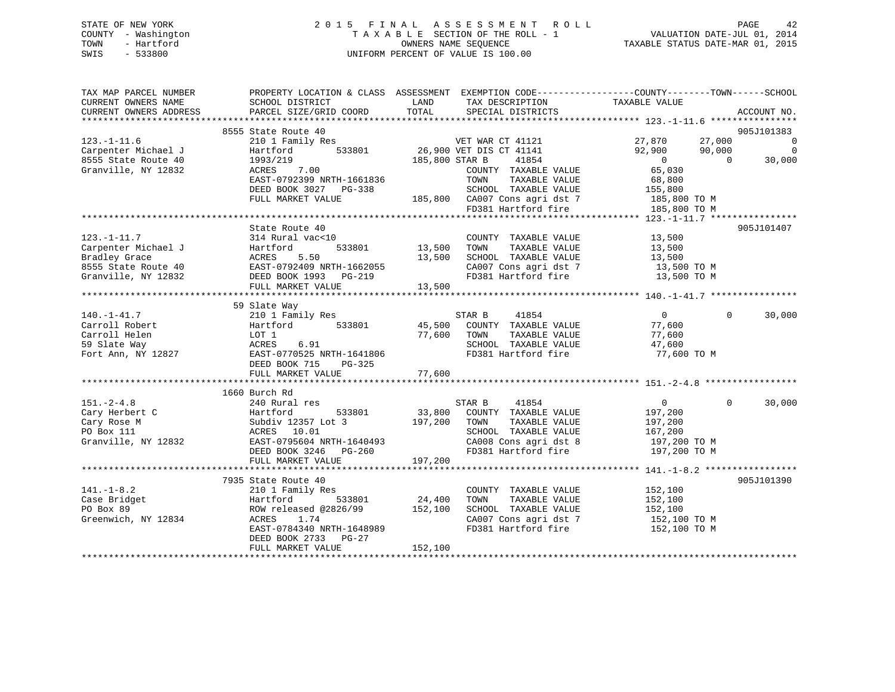## STATE OF NEW YORK 2 0 1 5 F I N A L A S S E S S M E N T R O L L PAGE 42 COUNTY - Washington T A X A B L E SECTION OF THE ROLL - 1 VALUATION DATE-JUL 01, 2014 TOWN - Hartford **TAXABLE STATUS DATE-MAR 01, 2015** OWNERS NAME SEQUENCE TAXABLE STATUS DATE-MAR 01, 2015 SWIS - 533800 UNIFORM PERCENT OF VALUE IS 100.00

| TAX MAP PARCEL NUMBER<br>CURRENT OWNERS NAME<br>CURRENT OWNERS ADDRESS | PROPERTY LOCATION & CLASS ASSESSMENT EXEMPTION CODE---------------COUNTY-------TOWN-----SCHOOL<br>SCHOOL DISTRICT<br><b>EXAMPLE SERVICE SERVICE SERVICE SERVICE SERVICE SERVICE SERVICE SERVICE SERVICE SERVICE SERVICE SERVICE SERVICE</b><br>PARCEL SIZE/GRID COORD | TOTAL                 | TAX DESCRIPTION TAXABLE VALUE SPECIAL DISTRICTS                                |                                  | ACCOUNT NO.              |
|------------------------------------------------------------------------|-----------------------------------------------------------------------------------------------------------------------------------------------------------------------------------------------------------------------------------------------------------------------|-----------------------|--------------------------------------------------------------------------------|----------------------------------|--------------------------|
|                                                                        |                                                                                                                                                                                                                                                                       |                       |                                                                                |                                  |                          |
|                                                                        | 8555 State Route 40                                                                                                                                                                                                                                                   |                       |                                                                                |                                  | 905J101383               |
| $123. - 1 - 11.6$                                                      | 210 1 Family Res<br>Hartford 533801 26,900 VET DIS CT 41141                                                                                                                                                                                                           |                       |                                                                                | 27,870 27,000                    | $\overline{\phantom{0}}$ |
| Carpenter Michael J                                                    | Hartford                                                                                                                                                                                                                                                              |                       |                                                                                | 90,000<br>92,900                 | $\mathbf 0$              |
| 8555 State Route 40                                                    |                                                                                                                                                                                                                                                                       | 185,800 STAR B        | 41854                                                                          | $\overline{0}$<br>$\overline{0}$ | 30,000                   |
| Granville, NY 12832                                                    | 1993/219<br>ACRES 7.00                                                                                                                                                                                                                                                |                       | COUNTY TAXABLE VALUE                                                           | 65,030                           |                          |
|                                                                        | EAST-0792399 NRTH-1661836                                                                                                                                                                                                                                             |                       | TAXABLE VALUE<br>TOWN                                                          | 68,800                           |                          |
|                                                                        | DEED BOOK 3027 PG-338                                                                                                                                                                                                                                                 |                       | SCHOOL TAXABLE VALUE 155,800                                                   |                                  |                          |
|                                                                        | FULL MARKET VALUE                                                                                                                                                                                                                                                     |                       |                                                                                |                                  |                          |
|                                                                        |                                                                                                                                                                                                                                                                       |                       | 185,800 CA007 Cons agri dst 7 185,800 TO M<br>FD381 Hartford fire 185,800 TO M |                                  |                          |
|                                                                        |                                                                                                                                                                                                                                                                       |                       |                                                                                |                                  |                          |
|                                                                        | State Route 40                                                                                                                                                                                                                                                        |                       |                                                                                |                                  | 905J101407               |
| $123. - 1 - 11.7$                                                      | 314 Rural vac<10                                                                                                                                                                                                                                                      |                       |                                                                                |                                  |                          |
| Carpenter Michael J                                                    | 533801                                                                                                                                                                                                                                                                | COUNTY<br>13,500 TOWN | COUNTY TAXABLE VALUE 13,500<br>TOWN TAXABLE VALUE 13,500                       |                                  |                          |
| Bradley Grace                                                          | 314 Rudal Vacsio<br>Hartford 533801<br>ACRES 5.50<br>EAST-0792409 NRTH-1662055                                                                                                                                                                                        | 13,500                |                                                                                |                                  |                          |
| 8555 State Route 40                                                    |                                                                                                                                                                                                                                                                       |                       | SCHOOL TAXABLE VALUE 13,500<br>CA007 Cons agri dst 7 13,500 TO M               |                                  |                          |
| Granville, NY 12832                                                    |                                                                                                                                                                                                                                                                       |                       | FD381 Hartford fire 13,500 TO M                                                |                                  |                          |
|                                                                        |                                                                                                                                                                                                                                                                       |                       |                                                                                |                                  |                          |
|                                                                        |                                                                                                                                                                                                                                                                       |                       |                                                                                |                                  |                          |
|                                                                        | 59 Slate Way                                                                                                                                                                                                                                                          |                       |                                                                                |                                  |                          |
| $140. - 1 - 41.7$                                                      | 210 1 Family Res                                                                                                                                                                                                                                                      |                       |                                                                                | $\frac{0}{77}$                   | $\Omega$<br>30,000       |
| Carroll Robert                                                         | Hartford 533801                                                                                                                                                                                                                                                       |                       | STAR B 41854<br>45,500 COUNTY TAXABLE VALUE                                    |                                  |                          |
| Carroll Helen                                                          | LOT 1<br>LOT 1<br>ACRES                                                                                                                                                                                                                                               | 77,600 TOWN<br>SCHOOL | TAXABLE VALUE                                                                  | 77,600                           |                          |
| 59 Slate Way                                                           | 6.91                                                                                                                                                                                                                                                                  |                       | SCHOOL TAXABLE VALUE                                                           | 47,600                           |                          |
|                                                                        |                                                                                                                                                                                                                                                                       |                       | FD381 Hartford fire                                                            | 77,600 TO M                      |                          |
|                                                                        | DEED BOOK 715 PG-325                                                                                                                                                                                                                                                  |                       |                                                                                |                                  |                          |
|                                                                        | FULL MARKET VALUE                                                                                                                                                                                                                                                     | 77,600                |                                                                                |                                  |                          |
|                                                                        |                                                                                                                                                                                                                                                                       |                       |                                                                                |                                  |                          |
|                                                                        | 1660 Burch Rd                                                                                                                                                                                                                                                         |                       |                                                                                |                                  |                          |
| $151. - 2 - 4.8$                                                       | 240 Rural res                                                                                                                                                                                                                                                         |                       | STAR B 41854                                                                   | $\overline{0}$                   | $\Omega$<br>30,000       |
|                                                                        |                                                                                                                                                                                                                                                                       |                       | 33,800 COUNTY TAXABLE VALUE                                                    | 197,200                          |                          |
| Cary Herbert C<br>Cary Rose M<br>PO Box 111                            |                                                                                                                                                                                                                                                                       | 197,200 TOWN          | TAXABLE VALUE                                                                  |                                  |                          |
| PO Box 111                                                             | ACKES 10.01<br>EAST-0795604 NRTH-1640493<br>DEED BOOK 3246 PG-260<br>EHII WINGS 1                                                                                                                                                                                     |                       | SCHOOL TAXABLE VALUE                                                           | 197,200<br>167,200               |                          |
| Granville, NY 12832                                                    |                                                                                                                                                                                                                                                                       |                       | CA008 Cons agri dst 8 197,200 TO M                                             |                                  |                          |
|                                                                        |                                                                                                                                                                                                                                                                       |                       | FD381 Hartford fire                                                            | 197,200 TO M                     |                          |
|                                                                        | FULL MARKET VALUE                                                                                                                                                                                                                                                     | 197,200               |                                                                                |                                  |                          |
|                                                                        |                                                                                                                                                                                                                                                                       |                       |                                                                                |                                  |                          |
|                                                                        | 7935 State Route 40                                                                                                                                                                                                                                                   |                       |                                                                                |                                  | 905J101390               |
| $141. - 1 - 8.2$                                                       | 210 1 Family Res                                                                                                                                                                                                                                                      |                       | COUNTY TAXABLE VALUE                                                           | 152,100                          |                          |
| Case Bridget                                                           | $533801$ 24,400<br>Hartford                                                                                                                                                                                                                                           |                       | TOWN                                                                           | TAXABLE VALUE 152,100            |                          |
| PO Box 89                                                              | ROW released @2826/99 152,100<br>ACRES 1.74                                                                                                                                                                                                                           |                       | SCHOOL TAXABLE VALUE                                                           | 152,100                          |                          |
| Greenwich, NY 12834                                                    | 1.74                                                                                                                                                                                                                                                                  |                       | CA007 Cons agri dst 7 152,100 TO M                                             |                                  |                          |
|                                                                        | EAST-0784340 NRTH-1648989                                                                                                                                                                                                                                             |                       | FD381 Hartford fire                                                            | 152,100 TO M                     |                          |
|                                                                        | DEED BOOK 2733 PG-27                                                                                                                                                                                                                                                  |                       |                                                                                |                                  |                          |
|                                                                        | FULL MARKET VALUE                                                                                                                                                                                                                                                     | 152,100               |                                                                                |                                  |                          |
|                                                                        |                                                                                                                                                                                                                                                                       |                       |                                                                                |                                  |                          |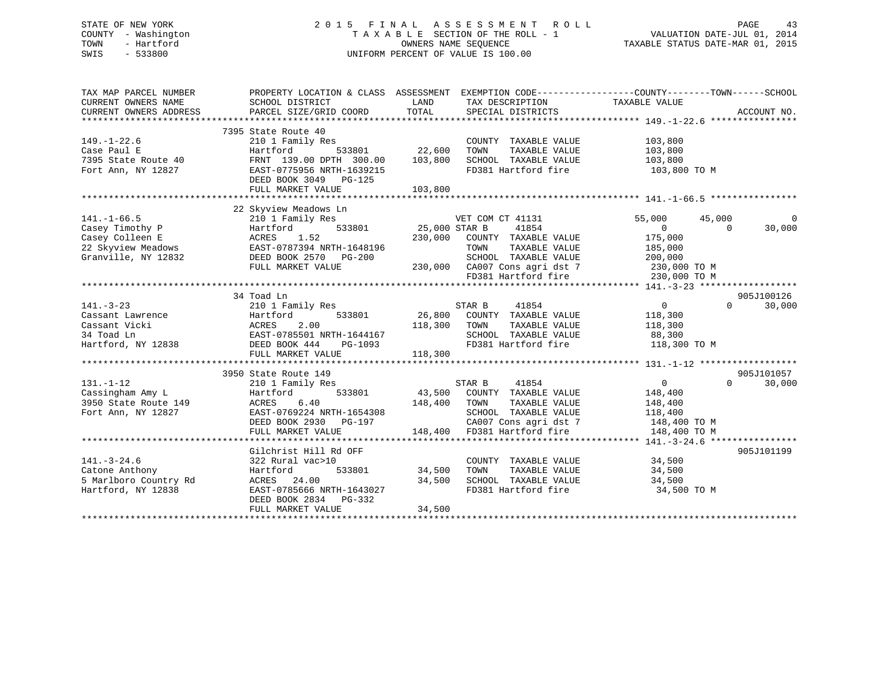## STATE OF NEW YORK 2 0 1 5 F I N A L A S S E S S M E N T R O L L PAGE 43 COUNTY - Washington T A X A B L E SECTION OF THE ROLL - 1 VALUATION DATE-JUL 01, 2014 TOWN - Hartford **TAXABLE STATUS DATE-MAR 01, 2015** OWNERS NAME SEQUENCE TAXABLE STATUS DATE-MAR 01, 2015 SWIS - 533800 UNIFORM PERCENT OF VALUE IS 100.00

| TAX MAP PARCEL NUMBER<br>CURRENT OWNERS NAME<br>CURRENT OWNERS ADDRESS                                                          | PROPERTY LOCATION & CLASS ASSESSMENT EXEMPTION CODE---------------COUNTY-------TOWN-----SCHOOL<br>SCHOOL DISTRICT<br>PARCEL SIZE/GRID COORD                                                       | LAND<br>TOTAL                              | TAX DESCRIPTION TAXABLE VALUE<br>SPECIAL DISTRICTS                                                                                                                                                   |                                                                                             | ACCOUNT NO.          |
|---------------------------------------------------------------------------------------------------------------------------------|---------------------------------------------------------------------------------------------------------------------------------------------------------------------------------------------------|--------------------------------------------|------------------------------------------------------------------------------------------------------------------------------------------------------------------------------------------------------|---------------------------------------------------------------------------------------------|----------------------|
| $149. - 1 - 22.6$<br>Case Paul E<br>7395 State Route 40<br>Fort Ann, NY 12827                                                   | 7395 State Route 40<br>210 1 Family Res<br>Hartford<br>FRNT 139.00 DPTH 300.00<br>EAST-0775956 NRTH-1639215<br>DEED BOOK 3049 PG-125<br>FULL MARKET VALUE                                         | 533801 22,600<br>103,800<br>103,800        | COUNTY TAXABLE VALUE<br>TOWN<br>TAXABLE VALUE<br>SCHOOL TAXABLE VALUE<br>FD381 Hartford fire                                                                                                         | 103,800<br>103,800<br>103,800<br>103,800 TO M                                               |                      |
| 141.-1-66.5<br>Casey Timothy P<br>Casey Colleen E<br>22 Skyview Meadows<br>22 Skyview Meadows<br>22 Skyview MY 12832            | 22 Skyview Meadows Ln<br>210 1 Family Res<br>Hartford<br>1.52<br>ACRES<br>EAST-0787394 NRTH-1648196<br>DEED BOOK 2570 PG-200<br>FULL MARKET VALUE                                                 | F VET COM<br>533801 25,000 STAR B          | VET COM CT 41131<br>41854<br>230,000 COUNTY TAXABLE VALUE<br>TOWN<br>TAXABLE VALUE<br>SCHOOL TAXABLE VALUE 200,000<br>230,000 CA007 Cons agri dst 7 230,000 TO M<br>FD381 Hartford fire 230,000 TO M | 55,000<br>45,000<br>$\Omega$<br>$\Omega$<br>175,000<br>185,000                              | $\Omega$<br>30,000   |
|                                                                                                                                 | 34 Toad Ln                                                                                                                                                                                        |                                            |                                                                                                                                                                                                      |                                                                                             | 905J100126           |
| $141. - 3 - 23$<br>141.-3-23<br>Cassant Lawrence<br>Cassant Vicki<br>34 Toad Ln<br>Hartford, NY 12838<br>BEED BOOK<br>DEED BOOK | 210 1 Family Res<br>2.00<br>EAST-0785501 NRTH-1644167<br>DEED BOOK 444<br>FULL MARKET VALUE                                                                                                       | 118,300<br>H-1644167<br>PG-1093<br>118,300 | STAR B<br>41854<br>533801 26,800 COUNTY TAXABLE VALUE<br>TOWN<br>TAXABLE VALUE<br>SCHOOL TAXABLE VALUE 88,300<br>FD381 Hartford fire 118,300 TO M                                                    | $0 \qquad \qquad$<br>$\Omega$<br>118,300<br>118,300                                         | 30,000               |
| $131. - 1 - 12$<br>Cassingham Amy L<br>3950 State Route 149<br>Fort Ann, NY 12827                                               | 3950 State Route 149<br>ly Res<br>533801<br>210 1 Family Res<br>Hartford<br>6.40<br>ACRES<br>EAST-0769224 NRTH-1654308<br>LASI-0709224 NRTH-1654308<br>DEED BOOK 2930 PG-197<br>FULL MARKET VALUE | 148,400 TOWN<br>148,400                    | STAR B<br>41854<br>43,500 COUNTY TAXABLE VALUE<br>TAXABLE VALUE<br>SCHOOL TAXABLE VALUE<br>CA007 Cons agri dst 7<br>FD381 Hartford fire                                                              | $\overline{0}$<br>$\Omega$<br>148,400<br>148,400<br>118,400<br>148,400 TO M<br>148,400 TO M | 905J101057<br>30,000 |
|                                                                                                                                 | Gilchrist Hill Rd OFF                                                                                                                                                                             |                                            |                                                                                                                                                                                                      |                                                                                             | 905J101199           |
| $141. - 3 - 24.6$<br>Catone Anthony<br>catone Anthony<br>5 Marlboro Country Rd<br>Hartford, NY 12838                            | 322 Rural vac>10<br>533801<br>Hartford<br>ACRES 24.00<br>EAST-0785666 NRTH-1643027<br>DEED BOOK 2834 PG-332<br>FULL MARKET VALUE                                                                  | 34,500<br>34,500<br>34,500                 | COUNTY TAXABLE VALUE<br>TOWN<br>TAXABLE VALUE<br>TOWN       TAXABLE  VALUE<br>SCHOOL    TAXABLE  VALUE<br>FD381 Hartford fire                                                                        | 34,500<br>34,500<br>34,500<br>34,500 TO M                                                   |                      |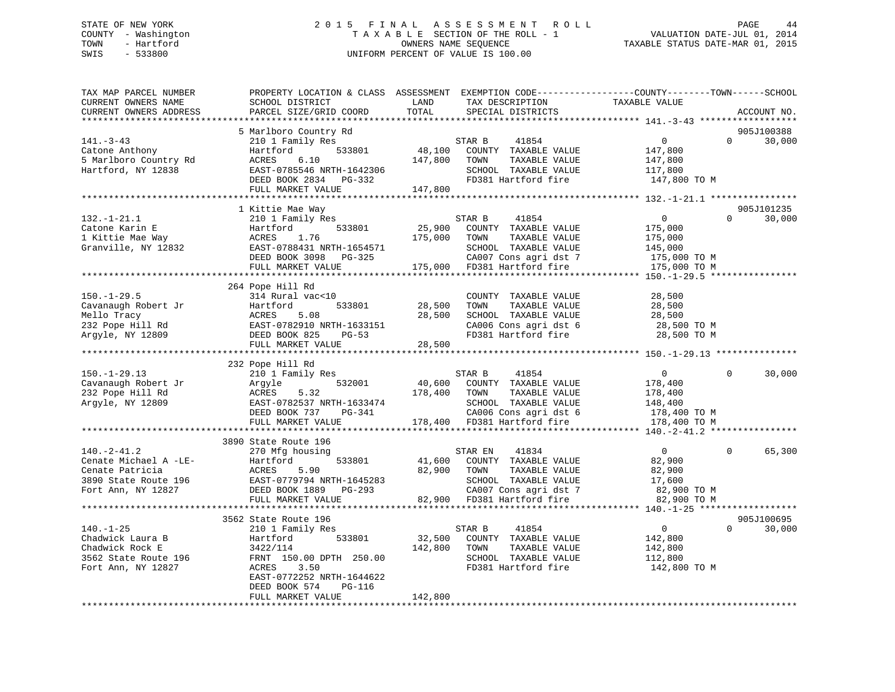## STATE OF NEW YORK 2 0 1 5 F I N A L A S S E S S M E N T R O L L PAGE 44 COUNTY - Washington T A X A B L E SECTION OF THE ROLL - 1 VALUATION DATE-JUL 01, 2014 TOWN - Hartford **TAXABLE STATUS DATE-MAR 01, 2015** OWNERS NAME SEQUENCE TAXABLE STATUS DATE-MAR 01, 2015 SWIS - 533800 UNIFORM PERCENT OF VALUE IS 100.00

| TAX MAP PARCEL NUMBER<br>CURRENT OWNERS NAME<br>CURRENT OWNERS ADDRESS                                      | PROPERTY LOCATION & CLASS ASSESSMENT<br>SCHOOL DISTRICT<br>PARCEL SIZE/GRID COORD                                                                            | LAND<br>TAX DESCRIPTION<br>TOTAL<br>SPECIAL DISTRICTS                                                                                                                    | EXEMPTION CODE-----------------COUNTY-------TOWN------SCHOOL<br>TAXABLE VALUE<br>ACCOUNT NO.        |
|-------------------------------------------------------------------------------------------------------------|--------------------------------------------------------------------------------------------------------------------------------------------------------------|--------------------------------------------------------------------------------------------------------------------------------------------------------------------------|-----------------------------------------------------------------------------------------------------|
| ***********************                                                                                     |                                                                                                                                                              |                                                                                                                                                                          |                                                                                                     |
| $141. - 3 - 43$<br>Catone Anthony<br>5 Marlboro Country Rd<br>Hartford, NY 12838                            | 5 Marlboro Country Rd<br>210 1 Family Res<br>533801<br>Hartford<br>ACRES<br>6.10<br>EAST-0785546 NRTH-1642306<br>DEED BOOK 2834 PG-332                       | STAR B<br>41854<br>48,100<br>COUNTY TAXABLE VALUE<br>147,800<br>TOWN<br>TAXABLE VALUE<br>SCHOOL TAXABLE VALUE<br>FD381 Hartford fire                                     | 905J100388<br>$\mathbf{0}$<br>$\Omega$<br>30,000<br>147,800<br>147,800<br>117,800<br>147,800 TO M   |
|                                                                                                             | FULL MARKET VALUE                                                                                                                                            | 147,800                                                                                                                                                                  |                                                                                                     |
|                                                                                                             |                                                                                                                                                              |                                                                                                                                                                          |                                                                                                     |
| $132. - 1 - 21.1$<br>Catone Karin E<br>1 Kittie Mae Way<br>Granville, NY 12832                              | 1 Kittie Mae Way<br>210 1 Family Res<br>533801<br>Hartford<br>ACRES<br>1.76<br>EAST-0788431 NRTH-1654571<br>DEED BOOK 3098 PG-325                            | 41854<br>STAR B<br>25,900<br>COUNTY TAXABLE VALUE<br>175,000<br>TOWN<br>TAXABLE VALUE<br>SCHOOL TAXABLE VALUE<br>CA007 Cons agri dst 7                                   | 905J101235<br>$\overline{0}$<br>$\Omega$<br>30,000<br>175,000<br>175,000<br>145,000<br>175,000 TO M |
|                                                                                                             | FULL MARKET VALUE                                                                                                                                            | 175,000<br>FD381 Hartford fire                                                                                                                                           | 175,000 TO M                                                                                        |
| $150. - 1 - 29.5$<br>Cavanaugh Robert Jr<br>Mello Tracy<br>232 Pope Hill Rd<br>Argyle, NY 12809             | 264 Pope Hill Rd<br>314 Rural vac<10<br>Hartford<br>533801<br>ACRES<br>5.08<br>EAST-0782910 NRTH-1633151<br>DEED BOOK 825<br>$PG-53$<br>FULL MARKET VALUE    | COUNTY TAXABLE VALUE<br>28,500<br>TOWN<br>TAXABLE VALUE<br>28,500<br>SCHOOL TAXABLE VALUE<br>CA006 Cons agri dst 6<br>FD381 Hartford fire<br>28,500                      | 28,500<br>28,500<br>28,500<br>28,500 TO M<br>28,500 TO M                                            |
|                                                                                                             | 232 Pope Hill Rd                                                                                                                                             |                                                                                                                                                                          |                                                                                                     |
| $150. - 1 - 29.13$<br>Cavanaugh Robert Jr<br>232 Pope Hill Rd<br>Argyle, NY 12809                           | 210 1 Family Res<br>532001<br>Argyle<br>ACRES<br>5.32<br>EAST-0782537 NRTH-1633474<br>DEED BOOK 737<br>PG-341<br>FULL MARKET VALUE                           | STAR B<br>41854<br>40,600<br>COUNTY TAXABLE VALUE<br>178,400<br>TOWN<br>TAXABLE VALUE<br>SCHOOL TAXABLE VALUE<br>CA006 Cons agri dst 6<br>178,400<br>FD381 Hartford fire | $\mathsf{O}$<br>30,000<br>$\Omega$<br>178,400<br>178,400<br>148,400<br>178,400 TO M<br>178,400 TO M |
|                                                                                                             | **************************                                                                                                                                   |                                                                                                                                                                          |                                                                                                     |
| $140. - 2 - 41.2$<br>Cenate Michael A -LE-<br>Cenate Patricia<br>3890 State Route 196<br>Fort Ann, NY 12827 | 3890 State Route 196<br>270 Mfg housing<br>533801<br>Hartford<br>ACRES<br>5.90<br>EAST-0779794 NRTH-1645283<br>DEED BOOK 1889<br>PG-293<br>FULL MARKET VALUE | 41834<br>STAR EN<br>41,600<br>COUNTY TAXABLE VALUE<br>82,900<br>TOWN<br>TAXABLE VALUE<br>SCHOOL TAXABLE VALUE<br>CA007 Cons agri dst 7<br>82,900<br>FD381 Hartford fire  | $\overline{0}$<br>$\mathbf 0$<br>65,300<br>82,900<br>82,900<br>17,600<br>82,900 TO M<br>82,900 TO M |
|                                                                                                             | ************************<br>3562 State Route 196                                                                                                             | ************************                                                                                                                                                 | ********** 140.-1-25 ******************<br>905J100695                                               |
| $140. - 1 - 25$<br>Chadwick Laura B<br>Chadwick Rock E<br>3562 State Route 196<br>Fort Ann, NY 12827        | 210 1 Family Res<br>Hartford<br>533801<br>3422/114<br>FRNT 150.00 DPTH 250.00<br>3.50<br>ACRES<br>EAST-0772252 NRTH-1644622                                  | 41854<br>STAR B<br>32,500<br>COUNTY TAXABLE VALUE<br>142,800<br>TOWN<br>TAXABLE VALUE<br>SCHOOL TAXABLE VALUE<br>FD381 Hartford fire                                     | 30,000<br>$\overline{0}$<br>$\Omega$<br>142,800<br>142,800<br>112,800<br>142,800 TO M               |
|                                                                                                             | DEED BOOK 574<br>PG-116<br>FULL MARKET VALUE                                                                                                                 | 142,800                                                                                                                                                                  |                                                                                                     |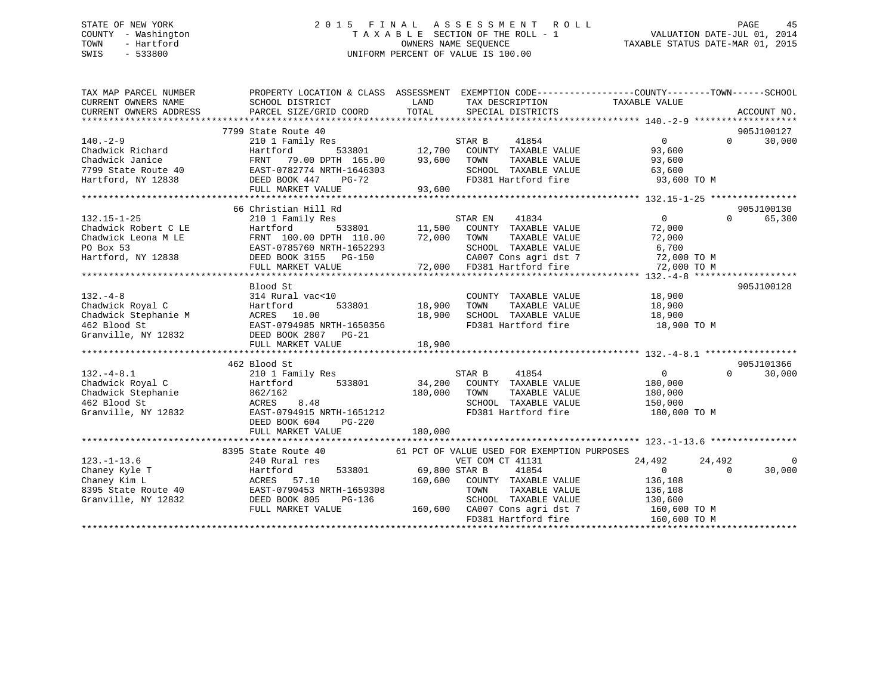## STATE OF NEW YORK 2 0 1 5 F I N A L A S S E S S M E N T R O L L PAGE 45 COUNTY - Washington T A X A B L E SECTION OF THE ROLL - 1 VALUATION DATE-JUL 01, 2014 TOWN - Hartford **TAXABLE STATUS DATE-MAR 01, 2015** OWNERS NAME SEQUENCE TAXABLE STATUS DATE-MAR 01, 2015 SWIS - 533800 UNIFORM PERCENT OF VALUE IS 100.00

| TAX MAP PARCEL NUMBER<br>CURRENT OWNERS NAME<br>CURRENT OWNERS ADDRESS                                                                                                                                                                              | PROPERTY LOCATION & CLASS ASSESSMENT EXEMPTION CODE-----------------COUNTY--------TOWN------SCHOOL<br>SCHOOL DISTRICT<br>PARCEL SIZE/GRID COORD TOTAL | LAND                         | TAX DESCRIPTION TAXABLE VALUE<br>SPECIAL DISTRICTS         |                  | ACCOUNT NO.                 |
|-----------------------------------------------------------------------------------------------------------------------------------------------------------------------------------------------------------------------------------------------------|-------------------------------------------------------------------------------------------------------------------------------------------------------|------------------------------|------------------------------------------------------------|------------------|-----------------------------|
|                                                                                                                                                                                                                                                     |                                                                                                                                                       |                              |                                                            |                  |                             |
|                                                                                                                                                                                                                                                     | 7799 State Route 40                                                                                                                                   |                              |                                                            |                  | 905J100127                  |
|                                                                                                                                                                                                                                                     |                                                                                                                                                       |                              |                                                            | $\overline{0}$   | $0 \qquad \qquad$<br>30,000 |
|                                                                                                                                                                                                                                                     |                                                                                                                                                       |                              |                                                            | 93,600           |                             |
|                                                                                                                                                                                                                                                     |                                                                                                                                                       |                              | TAXABLE VALUE                                              | 93,600           |                             |
|                                                                                                                                                                                                                                                     |                                                                                                                                                       |                              | SCHOOL TAXABLE VALUE 63,600                                |                  |                             |
|                                                                                                                                                                                                                                                     |                                                                                                                                                       |                              | FD381 Hartford fire                                        | 93,600 TO M      |                             |
| 140.-2-9<br>Chadwick Richard<br>Chadwick Richard<br>Chadwick Janice<br>Chadwick Janice<br>Chadwick Janice<br>Chadwick Janice<br>FRNT 79.00 DPTH 165.00<br>FRNT 79.00 DPTH 165.00<br>93,600 TOWN TAXABLE VALUE<br>SCHOOL TAXABLE VALUE<br>SCHOOL TAX |                                                                                                                                                       |                              |                                                            |                  |                             |
|                                                                                                                                                                                                                                                     |                                                                                                                                                       |                              |                                                            |                  |                             |
|                                                                                                                                                                                                                                                     | 66 Christian Hill Rd                                                                                                                                  |                              |                                                            |                  | 905J100130                  |
|                                                                                                                                                                                                                                                     |                                                                                                                                                       |                              |                                                            |                  | $\Omega$<br>65,300          |
|                                                                                                                                                                                                                                                     |                                                                                                                                                       |                              |                                                            |                  |                             |
|                                                                                                                                                                                                                                                     |                                                                                                                                                       |                              |                                                            |                  |                             |
|                                                                                                                                                                                                                                                     |                                                                                                                                                       |                              |                                                            |                  |                             |
|                                                                                                                                                                                                                                                     |                                                                                                                                                       |                              |                                                            |                  |                             |
|                                                                                                                                                                                                                                                     |                                                                                                                                                       |                              |                                                            |                  |                             |
|                                                                                                                                                                                                                                                     |                                                                                                                                                       |                              |                                                            |                  |                             |
| $132. -4 - 8$                                                                                                                                                                                                                                       | Blood St<br>314 Rural vac<10                                                                                                                          |                              |                                                            |                  | 905J100128                  |
|                                                                                                                                                                                                                                                     |                                                                                                                                                       |                              | COUNTY TAXABLE VALUE 18,900                                |                  |                             |
|                                                                                                                                                                                                                                                     |                                                                                                                                                       | 533801 18,900 TOWN<br>18,900 | TOWN      TAXABLE VALUE<br>SCHOOL   TAXABLE VALUE          | 18,900<br>18,900 |                             |
|                                                                                                                                                                                                                                                     |                                                                                                                                                       |                              | FD381 Hartford fire 18,900 TO M                            |                  |                             |
|                                                                                                                                                                                                                                                     |                                                                                                                                                       |                              |                                                            |                  |                             |
| Chadwick Royal C<br>Chadwick Stephanie M<br>462 Blood St<br>Granville, NY 12832<br>2007 BLOOD 18,900<br>2007 BLOOD 18,900<br>2007 BC-21<br>2007 BC-21<br>2007 BC-21                                                                                 | FULL MARKET VALUE                                                                                                                                     | 18,900                       |                                                            |                  |                             |
|                                                                                                                                                                                                                                                     |                                                                                                                                                       |                              |                                                            |                  |                             |
|                                                                                                                                                                                                                                                     | 462 Blood St                                                                                                                                          |                              |                                                            |                  | 905J101366                  |
| $132. -4 - 8.1$                                                                                                                                                                                                                                     | 210 1 Family Res                                                                                                                                      |                              | STAR B<br>41854                                            | $\overline{0}$   | $\Omega$<br>30,000          |
|                                                                                                                                                                                                                                                     | Hartford 533801                                                                                                                                       |                              | 34,200 COUNTY TAXABLE VALUE                                | 180,000          |                             |
|                                                                                                                                                                                                                                                     |                                                                                                                                                       | 180,000 TOWN                 | TAXABLE VALUE                                              | 180,000          |                             |
|                                                                                                                                                                                                                                                     | 8.48                                                                                                                                                  |                              | SCHOOL TAXABLE VALUE 150,000                               |                  |                             |
| Granville, NY 12832                                                                                                                                                                                                                                 | EAST-0794915 NRTH-1651212                                                                                                                             |                              | FD381 Hartford fire                                        | 180,000 TO M     |                             |
|                                                                                                                                                                                                                                                     | DEED BOOK 604<br>PG-220                                                                                                                               |                              |                                                            |                  |                             |
|                                                                                                                                                                                                                                                     | FULL MARKET VALUE                                                                                                                                     | 180,000                      |                                                            |                  |                             |
|                                                                                                                                                                                                                                                     |                                                                                                                                                       |                              |                                                            |                  |                             |
|                                                                                                                                                                                                                                                     | 8395 State Route 40                                                                                                                                   |                              | 61 PCT OF VALUE USED FOR EXEMPTION PURPOSES                |                  |                             |
| $123. - 1 - 13.6$                                                                                                                                                                                                                                   | 240 Rural res                                                                                                                                         |                              | VET COM CT 41131                                           | 24,492<br>24,492 | $\Omega$                    |
| Chaney Kyle T                                                                                                                                                                                                                                       | 533801 69,800 STAR B<br>Hartford                                                                                                                      |                              | 41854                                                      | $\overline{0}$   | 30,000<br>$\Omega$          |
| Chaney Ayie 1<br>Chaney Kim L<br>8395 State Route 40<br>Granville, NY 12832<br>Change Changes DEED BOOK 805 PG-136<br>Changes Changes DEED BOOK 805 PG-136                                                                                          |                                                                                                                                                       |                              | 160,600 COUNTY TAXABLE VALUE                               | 136,108          |                             |
|                                                                                                                                                                                                                                                     |                                                                                                                                                       |                              |                                                            |                  |                             |
|                                                                                                                                                                                                                                                     | PG-136                                                                                                                                                |                              | TOWN TAXABLE VALUE 136,108<br>SCHOOL TAXABLE VALUE 130,600 |                  |                             |
|                                                                                                                                                                                                                                                     | FULL MARKET VALUE                                                                                                                                     |                              | 160,600 CA007 Cons agri dst 7 160,600 TO M                 |                  |                             |
|                                                                                                                                                                                                                                                     |                                                                                                                                                       |                              | FD381 Hartford fire                                        | 160,600 TO M     |                             |
|                                                                                                                                                                                                                                                     |                                                                                                                                                       |                              |                                                            |                  |                             |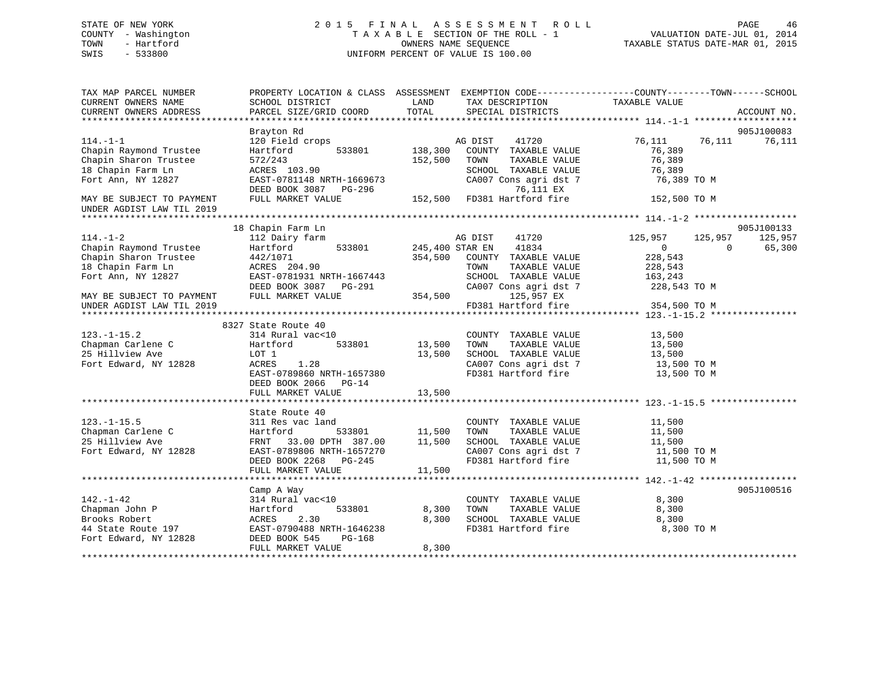## STATE OF NEW YORK 2 0 1 5 F I N A L A S S E S S M E N T R O L L PAGE 46 COUNTY - Washington T A X A B L E SECTION OF THE ROLL - 1 VALUATION DATE-JUL 01, 2014 TOWN - Hartford **TAXABLE STATUS DATE-MAR 01, 2015** OWNERS NAME SEQUENCE TAXABLE STATUS DATE-MAR 01, 2015 SWIS - 533800 UNIFORM PERCENT OF VALUE IS 100.00

| TAX MAP PARCEL NUMBER<br>CURRENT OWNERS NAME           | SCHOOL DISTRICT                | LAND<br>TAX DESCRIPTION                              | PROPERTY LOCATION & CLASS ASSESSMENT EXEMPTION CODE---------------COUNTY-------TOWN-----SCHOOL<br>TAXABLE VALUE |
|--------------------------------------------------------|--------------------------------|------------------------------------------------------|-----------------------------------------------------------------------------------------------------------------|
| CURRENT OWNERS ADDRESS                                 | PARCEL SIZE/GRID COORD         | TOTAL<br>SPECIAL DISTRICTS                           | ACCOUNT NO.                                                                                                     |
|                                                        | Brayton Rd                     |                                                      | 905J100083                                                                                                      |
| $114. - 1 - 1$                                         | 120 Field crops                | AG DIST<br>41720                                     | 76,111<br>76,111<br>76,111                                                                                      |
| Chapin Raymond Trustee                                 | 533801<br>Hartford             | 138,300<br>COUNTY TAXABLE VALUE                      | 76,389                                                                                                          |
| Chapin Sharon Trustee                                  | 572/243                        | 152,500<br>TAXABLE VALUE<br>TOWN                     | 76,389                                                                                                          |
| 18 Chapin Farm Ln                                      | ACRES 103.90                   | SCHOOL TAXABLE VALUE                                 | 76,389                                                                                                          |
| Fort Ann, NY 12827                                     | EAST-0781148 NRTH-1669673      | CA007 Cons agri dst 7                                | 76,389 TO M                                                                                                     |
|                                                        | DEED BOOK 3087<br>PG-296       | 76,111 EX                                            |                                                                                                                 |
| MAY BE SUBJECT TO PAYMENT<br>UNDER AGDIST LAW TIL 2019 | FULL MARKET VALUE              | 152,500 FD381 Hartford fire                          | 152,500 TO M                                                                                                    |
|                                                        |                                |                                                      |                                                                                                                 |
|                                                        | 18 Chapin Farm Ln              |                                                      | 905J100133                                                                                                      |
| $114. - 1 - 2$                                         | 112 Dairy farm                 | AG DIST<br>41720                                     | 125,957<br>125,957<br>125,957                                                                                   |
| Chapin Raymond Trustee                                 | 533801<br>Hartford             | 245,400 STAR EN<br>41834                             | $\overline{0}$<br>$\Omega$<br>65,300                                                                            |
| Chapin Sharon Trustee                                  | 442/1071                       | 354,500<br>COUNTY TAXABLE VALUE                      | 228,543                                                                                                         |
| 18 Chapin Farm Ln                                      | ACRES 204.90                   | TAXABLE VALUE<br>TOWN                                | 228,543                                                                                                         |
| Fort Ann, NY 12827                                     | EAST-0781931 NRTH-1667443      | SCHOOL TAXABLE VALUE                                 | 163,243                                                                                                         |
|                                                        | DEED BOOK 3087 PG-291          | CA007 Cons agri dst 7                                | 228,543 TO M                                                                                                    |
| MAY BE SUBJECT TO PAYMENT                              | FULL MARKET VALUE              | 354,500<br>125,957 EX<br>FD381 Hartford fire         | 354,500 TO M                                                                                                    |
| UNDER AGDIST LAW TIL 2019                              |                                |                                                      |                                                                                                                 |
|                                                        | 8327 State Route 40            |                                                      |                                                                                                                 |
| $123. - 1 - 15.2$                                      | 314 Rural vac<10               | COUNTY TAXABLE VALUE                                 | 13,500                                                                                                          |
| Chapman Carlene C                                      | Hartford<br>533801             | 13,500<br>TOWN<br>TAXABLE VALUE                      | 13,500                                                                                                          |
| 25 Hillview Ave                                        | LOT 1                          | 13,500<br>SCHOOL TAXABLE VALUE                       | 13,500                                                                                                          |
| Fort Edward, NY 12828                                  | 1.28<br>ACRES                  | CA007 Cons agri dst 7                                | 13,500 TO M                                                                                                     |
|                                                        | EAST-0789860 NRTH-1657380      | FD381 Hartford fire                                  | 13,500 TO M                                                                                                     |
|                                                        | DEED BOOK 2066<br>$PG-14$      |                                                      |                                                                                                                 |
|                                                        | FULL MARKET VALUE              | 13,500                                               |                                                                                                                 |
|                                                        |                                |                                                      |                                                                                                                 |
|                                                        | State Route 40                 |                                                      |                                                                                                                 |
| $123. - 1 - 15.5$                                      | 311 Res vac land               | COUNTY TAXABLE VALUE                                 | 11,500                                                                                                          |
| Chapman Carlene C                                      | Hartford<br>533801             | 11,500<br>TOWN<br>TAXABLE VALUE                      | 11,500                                                                                                          |
| 25 Hillview Ave                                        | 33.00 DPTH 387.00<br>FRNT      | 11,500<br>SCHOOL TAXABLE VALUE                       | 11,500                                                                                                          |
| Fort Edward, NY 12828                                  | EAST-0789806 NRTH-1657270      | SCHOOL Induct-<br>CA007 Cons agri dst 7<br>Lind fire | 11,500 TO M                                                                                                     |
|                                                        | DEED BOOK 2268 PG-245          |                                                      | 11,500 TO M                                                                                                     |
|                                                        | FULL MARKET VALUE              | 11,500                                               |                                                                                                                 |
|                                                        |                                |                                                      | 905J100516                                                                                                      |
| $142. - 1 - 42$                                        | Camp A Way<br>314 Rural vac<10 | COUNTY TAXABLE VALUE                                 | 8,300                                                                                                           |
| Chapman John P                                         | Hartford<br>533801             | 8,300<br>TAXABLE VALUE<br>TOWN                       | 8,300                                                                                                           |
| Brooks Robert                                          | 2.30<br>ACRES                  | 8,300<br>SCHOOL TAXABLE VALUE                        | 8,300                                                                                                           |
| 44 State Route 197                                     | EAST-0790488 NRTH-1646238      | FD381 Hartford fire                                  | 8,300 TO M                                                                                                      |
| Fort Edward, NY 12828                                  | DEED BOOK 545<br>PG-168        |                                                      |                                                                                                                 |
|                                                        | FULL MARKET VALUE              | 8,300                                                |                                                                                                                 |
|                                                        |                                |                                                      |                                                                                                                 |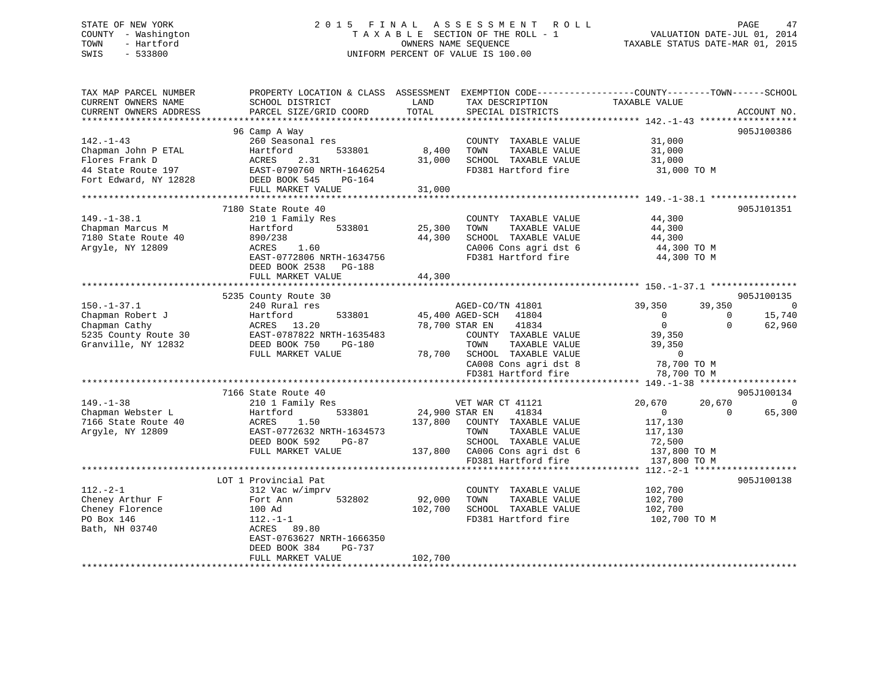## STATE OF NEW YORK 2 0 1 5 F I N A L A S S E S S M E N T R O L L PAGE 47 COUNTY - Washington T A X A B L E SECTION OF THE ROLL - 1 VALUATION DATE-JUL 01, 2014 TOWN - Hartford OWNERS NAME SEQUENCE TAXABLE STATUS DATE-MAR 01, 2015 SWIS - 533800 UNIFORM PERCENT OF VALUE IS 100.00

| TAX MAP PARCEL NUMBER<br>CURRENT OWNERS NAME<br>CURRENT OWNERS ADDRESS | PROPERTY LOCATION & CLASS ASSESSMENT<br>SCHOOL DISTRICT<br>PARCEL SIZE/GRID COORD | LAND<br>TOTAL | TAX DESCRIPTION<br>SPECIAL DISTRICTS         | EXEMPTION CODE-----------------COUNTY-------TOWN------SCHOOL<br>TAXABLE VALUE | ACCOUNT NO. |
|------------------------------------------------------------------------|-----------------------------------------------------------------------------------|---------------|----------------------------------------------|-------------------------------------------------------------------------------|-------------|
| **********************                                                 |                                                                                   |               |                                              |                                                                               |             |
|                                                                        | 96 Camp A Way                                                                     |               |                                              |                                                                               | 905J100386  |
| $142. - 1 - 43$                                                        | 260 Seasonal res                                                                  |               | COUNTY TAXABLE VALUE                         | 31,000                                                                        |             |
| Chapman John P ETAL                                                    | 533801<br>Hartford                                                                | 8,400         | TOWN<br>TAXABLE VALUE                        | 31,000                                                                        |             |
| Flores Frank D                                                         | 2.31<br>ACRES                                                                     | 31,000        | SCHOOL TAXABLE VALUE                         | 31,000                                                                        |             |
| 44 State Route 197                                                     | EAST-0790760 NRTH-1646254                                                         |               | FD381 Hartford fire                          | 31,000 TO M                                                                   |             |
| Fort Edward, NY 12828                                                  | DEED BOOK 545<br>PG-164                                                           |               |                                              |                                                                               |             |
|                                                                        | FULL MARKET VALUE                                                                 | 31,000        |                                              |                                                                               |             |
|                                                                        | 7180 State Route 40                                                               |               |                                              |                                                                               | 905J101351  |
| $149. - 1 - 38.1$                                                      | 210 1 Family Res                                                                  |               | COUNTY TAXABLE VALUE                         | 44,300                                                                        |             |
| Chapman Marcus M                                                       | 533801<br>Hartford                                                                | 25,300        | TOWN<br>TAXABLE VALUE                        | 44,300                                                                        |             |
| 7180 State Route 40                                                    | 890/238                                                                           | 44,300        | SCHOOL TAXABLE VALUE                         | 44,300                                                                        |             |
| Argyle, NY 12809                                                       | 1.60<br>ACRES                                                                     |               | CA006 Cons agri dst 6                        | 44,300 TO M                                                                   |             |
|                                                                        | EAST-0772806 NRTH-1634756                                                         |               | FD381 Hartford fire                          | 44,300 TO M                                                                   |             |
|                                                                        | DEED BOOK 2538<br>PG-188                                                          |               |                                              |                                                                               |             |
|                                                                        | FULL MARKET VALUE                                                                 | 44,300        |                                              |                                                                               |             |
|                                                                        | ************************                                                          |               |                                              |                                                                               |             |
|                                                                        | 5235 County Route 30                                                              |               |                                              |                                                                               | 905J100135  |
| $150. - 1 - 37.1$                                                      | 240 Rural res                                                                     |               | AGED-CO/TN 41801                             | 39,350<br>39,350                                                              | $\mathbf 0$ |
| Chapman Robert J                                                       | Hartford<br>533801                                                                |               | 45,400 AGED-SCH<br>41804                     | $\mathbf 0$<br>0                                                              | 15,740      |
| Chapman Cathy                                                          | 13.20<br>ACRES                                                                    |               | 78,700 STAR EN<br>41834                      | $\mathbf{0}$<br>$\Omega$                                                      | 62,960      |
| 5235 County Route 30                                                   | EAST-0787822 NRTH-1635483                                                         |               | COUNTY TAXABLE VALUE                         | 39,350                                                                        |             |
| Granville, NY 12832                                                    | DEED BOOK 750<br><b>PG-180</b>                                                    |               | TOWN<br>TAXABLE VALUE                        | 39,350                                                                        |             |
|                                                                        | FULL MARKET VALUE                                                                 | 78,700        | SCHOOL TAXABLE VALUE                         | $\mathbf 0$                                                                   |             |
|                                                                        |                                                                                   |               | CA008 Cons agri dst 8<br>FD381 Hartford fire | 78,700 TO M                                                                   |             |
|                                                                        |                                                                                   |               |                                              | 78,700 TO M                                                                   |             |
|                                                                        | 7166 State Route 40                                                               |               |                                              |                                                                               | 905J100134  |
| $149. - 1 - 38$                                                        | 210 1 Family Res                                                                  |               | VET WAR CT 41121                             | 20,670<br>20,670                                                              | $\Omega$    |
| Chapman Webster L                                                      | 533801<br>Hartford                                                                |               | 24,900 STAR EN<br>41834                      | $\mathbf{0}$<br>$\Omega$                                                      | 65,300      |
| 7166 State Route 40                                                    | 1.50<br>ACRES                                                                     | 137,800       | COUNTY TAXABLE VALUE                         | 117,130                                                                       |             |
| Argyle, NY 12809                                                       | EAST-0772632 NRTH-1634573                                                         |               | TOWN<br>TAXABLE VALUE                        | 117,130                                                                       |             |
|                                                                        | DEED BOOK 592<br>$PG-87$                                                          |               | SCHOOL TAXABLE VALUE                         | 72,500                                                                        |             |
|                                                                        | FULL MARKET VALUE                                                                 | 137,800       | CA006 Cons agri dst 6                        | 137,800 TO M                                                                  |             |
|                                                                        |                                                                                   |               | FD381 Hartford fire                          | 137,800 TO M                                                                  |             |
|                                                                        |                                                                                   |               |                                              | $112 - 2 - 1$ ******                                                          |             |
|                                                                        | LOT 1 Provincial Pat                                                              |               |                                              |                                                                               | 905J100138  |
| $112. - 2 - 1$                                                         | 312 Vac w/imprv                                                                   |               | COUNTY TAXABLE VALUE                         | 102,700                                                                       |             |
| Cheney Arthur F                                                        | Fort Ann<br>532802                                                                | 92,000        | TOWN<br>TAXABLE VALUE                        | 102,700                                                                       |             |
| Cheney Florence                                                        | 100 Ad                                                                            | 102,700       | SCHOOL TAXABLE VALUE                         | 102,700                                                                       |             |
| PO Box 146                                                             | $112.-1-1$                                                                        |               | FD381 Hartford fire                          | 102,700 TO M                                                                  |             |
| Bath, NH 03740                                                         | ACRES 89.80<br>EAST-0763627 NRTH-1666350                                          |               |                                              |                                                                               |             |
|                                                                        | DEED BOOK 384<br>PG-737                                                           |               |                                              |                                                                               |             |
|                                                                        | FULL MARKET VALUE                                                                 | 102,700       |                                              |                                                                               |             |
|                                                                        |                                                                                   |               |                                              |                                                                               |             |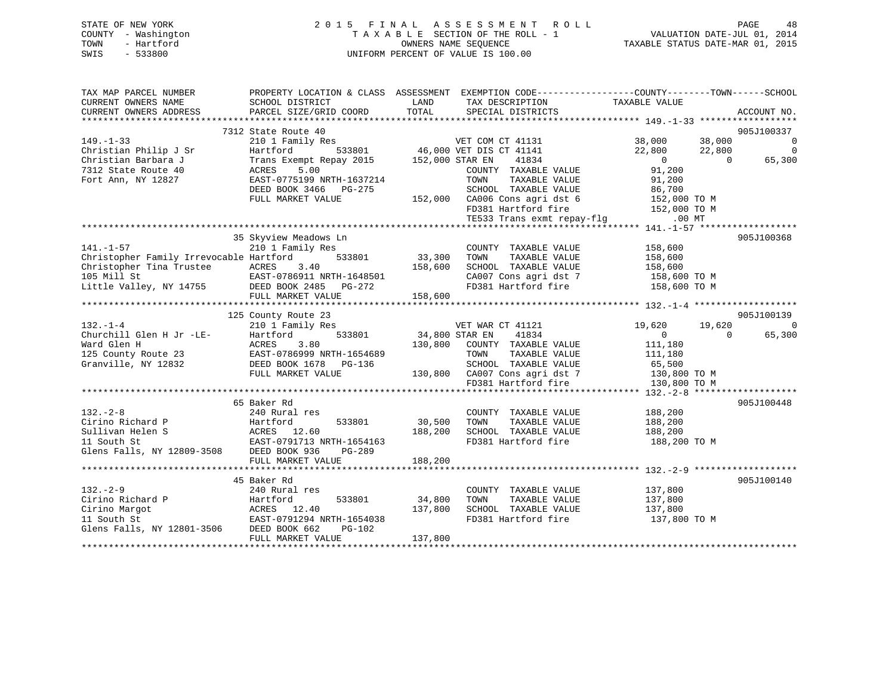|      | STATE OF NEW YORK   | 2015 FINAL ASSESSMENT ROLL                               | PAGE                        | 48 |
|------|---------------------|----------------------------------------------------------|-----------------------------|----|
|      | COUNTY - Washington | TAXABLE SECTION OF THE ROLL - 1                          | VALUATION DATE-JUL 01, 2014 |    |
| TOWN | - Hartford          | TAXABLE STATUS DATE-MAR 01, 2015<br>OWNERS NAME SEOUENCE |                             |    |
| SWIS | - 533800            | UNIFORM PERCENT OF VALUE IS 100.00                       |                             |    |

| TAX MAP PARCEL NUMBER<br>CURRENT OWNERS NAME                                                                                                                                                | SCHOOL DISTRICT                                                                                         | LAND                         | PROPERTY LOCATION & CLASS ASSESSMENT EXEMPTION CODE---------------COUNTY-------TOWN-----SCHOOL<br>TAX DESCRIPTION                                 | TAXABLE VALUE                                              |                |                                            |
|---------------------------------------------------------------------------------------------------------------------------------------------------------------------------------------------|---------------------------------------------------------------------------------------------------------|------------------------------|---------------------------------------------------------------------------------------------------------------------------------------------------|------------------------------------------------------------|----------------|--------------------------------------------|
| CURRENT OWNERS ADDRESS                                                                                                                                                                      | PARCEL SIZE/GRID COORD                                                                                  | TOTAL                        | SPECIAL DISTRICTS                                                                                                                                 |                                                            |                | ACCOUNT NO.                                |
|                                                                                                                                                                                             | 7312 State Route 40                                                                                     |                              |                                                                                                                                                   |                                                            |                | 905J100337                                 |
| $149. - 1 - 33$<br>Christian Philip J Sr<br>Christian Barbara J                                                                                                                             | 210 1 Family Res<br>Hartford<br>Trans Exempt Repay 2015 152,000 STAR EN                                 |                              | ver COM CT 41131 38,000 38,000<br>533801 46,000 VET DIS CT 41141 22,800 22,800 22,800<br>41834                                                    | $\overline{0}$                                             | $\overline{0}$ | $\overline{0}$<br>$\overline{0}$<br>65,300 |
| 7312 State Route 40<br>Fort Ann, NY 12827                                                                                                                                                   | 5.00<br>ACRES<br>EAST-0775199 NRTH-1637214<br>DEED BOOK 3466 PG-275<br>FULL MARKET VALUE                |                              | COUNTY TAXABLE VALUE<br>TOWN<br>TAXABLE VALUE<br>SCHOOL TAXABLE VALUE<br>152,000 CA006 Cons agri dst 6                                            | 91,200<br>91,200<br>86,700<br>152,000 TO M<br>152,000 TO M |                |                                            |
|                                                                                                                                                                                             |                                                                                                         |                              | FD381 Hartford fire<br>TE533 Trans exmt repay-flg                                                                                                 | $.00$ MT                                                   |                |                                            |
|                                                                                                                                                                                             | 35 Skyview Meadows Ln                                                                                   |                              |                                                                                                                                                   |                                                            |                | 905J100368                                 |
| $141. - 1 - 57$<br>Christopher Family Irrevocable Hartford<br>Christopher Tina Trustee ACRES 3.40<br>105 Mill St EAST-0786911 NRTH-1648501<br>Little Valley, NY 14755 DEED BOOK 2485 PG-272 | 210 1 Family Res<br>533801                                                                              | 33,300<br>158,600            | COUNTY TAXABLE VALUE<br>TOWN<br>TAXABLE VALUE<br>CA007 Cons agri dst 7<br>CA007 Cons agri dst 7<br>FD201 YV C<br>FD381 Hartford fire 158,600 TO M | 158,600<br>158,600<br>158,600<br>158,600 TO M              |                |                                            |
|                                                                                                                                                                                             | FULL MARKET VALUE                                                                                       | 158,600                      |                                                                                                                                                   |                                                            |                |                                            |
| $132. - 1 - 4$                                                                                                                                                                              | 125 County Route 23<br>210 1 Family Res                                                                 |                              | VET WAR CT 41121                                                                                                                                  | 19,620                                                     | 19,620         | 905J100139<br>$\overline{0}$               |
| Churchill Glen H Jr -LE-<br>Ward Glen H<br>Ward Glen H<br>125 County Route 23                                                                                                               | Hartford<br>533801<br>ACRES<br>3.80<br>RCRES 3.00<br>EAST-0786999 NRTH-1654689<br>DEED BOOK 1678 PG-136 | 34,800 STAR EN               | 41834<br>130,800 COUNTY TAXABLE VALUE<br>TAXABLE VALUE<br>TOWN                                                                                    | $\overline{0}$<br>111,180<br>111,180                       | $\Omega$       | 65,300                                     |
| Granville, NY 12832                                                                                                                                                                         | FULL MARKET VALUE                                                                                       |                              | SCHOOL TAXABLE VALUE<br>130,800 CA007 Cons agri dst 7<br>FD381 Hartford fire                                                                      | 65,500<br>130,800 TO M<br>130,800 TO M                     |                |                                            |
|                                                                                                                                                                                             | 65 Baker Rd                                                                                             |                              |                                                                                                                                                   |                                                            |                | 905J100448                                 |
| $132 - 2 - 8$                                                                                                                                                                               | 240 Rural res<br>FULL MARKET VALUE                                                                      | 30,500<br>188,200<br>188,200 | COUNTY TAXABLE VALUE<br>TOWN<br>TAXABLE VALUE<br>SCHOOL TAXABLE VALUE<br>FD381 Hartford fire 188,200 TO M                                         | 188,200<br>188,200<br>188,200                              |                |                                            |
|                                                                                                                                                                                             | 45 Baker Rd                                                                                             |                              |                                                                                                                                                   |                                                            |                | 905J100140                                 |
| $132 - 2 - 9$<br>Cirino Richard P<br>Cirino Margot<br>11 South St<br>Glens Falls, NY 12801-3506 DEED BOOK 662                                                                               | 240 Rural res<br>533801<br>Hartford<br>ACRES 12.40<br>EAST-0791294 NRTH-1654038<br>PG-102               | 34,800<br>137,800            | COUNTY TAXABLE VALUE<br>TOWN<br>TAXABLE VALUE<br>SCHOOL TAXABLE VALUE<br>FD381 Hartford fire                                                      | 137,800<br>137,800<br>137,800<br>137,800 TO M              |                |                                            |
|                                                                                                                                                                                             | FULL MARKET VALUE                                                                                       | 137,800                      |                                                                                                                                                   |                                                            |                |                                            |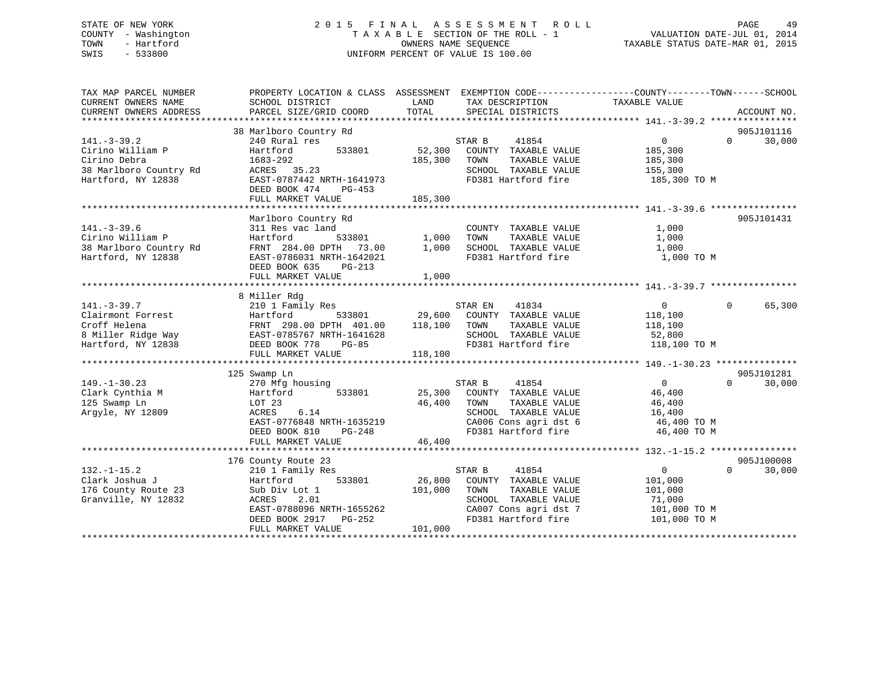## STATE OF NEW YORK 2 0 1 5 F I N A L A S S E S S M E N T R O L L PAGE 49 COUNTY - Washington T A X A B L E SECTION OF THE ROLL - 1 VALUATION DATE-JUL 01, 2014 TOWN - Hartford **TAXABLE STATUS DATE-MAR 01, 2015** OWNERS NAME SEQUENCE TAXABLE STATUS DATE-MAR 01, 2015 SWIS - 533800 UNIFORM PERCENT OF VALUE IS 100.00

| TAX MAP PARCEL NUMBER<br>CURRENT OWNERS NAME | PROPERTY LOCATION & CLASS ASSESSMENT<br>SCHOOL DISTRICT | LAND              | EXEMPTION CODE-----------------COUNTY-------TOWN------SCHOOL<br>TAX DESCRIPTION | TAXABLE VALUE      |                    |  |
|----------------------------------------------|---------------------------------------------------------|-------------------|---------------------------------------------------------------------------------|--------------------|--------------------|--|
| CURRENT OWNERS ADDRESS                       | PARCEL SIZE/GRID COORD                                  | TOTAL             | SPECIAL DISTRICTS                                                               |                    | ACCOUNT NO.        |  |
|                                              |                                                         |                   |                                                                                 |                    |                    |  |
|                                              | 38 Marlboro Country Rd                                  |                   |                                                                                 |                    | 905J101116         |  |
| $141. - 3 - 39.2$                            | 240 Rural res                                           |                   | STAR B<br>41854                                                                 | 0                  | 30,000<br>$\Omega$ |  |
| Cirino William P<br>Cirino Debra             | 533801<br>Hartford<br>1683-292                          | 52,300<br>185,300 | COUNTY TAXABLE VALUE<br>TAXABLE VALUE<br>TOWN                                   | 185,300            |                    |  |
| 38 Marlboro Country Rd                       | ACRES 35.23                                             |                   | SCHOOL TAXABLE VALUE                                                            | 185,300<br>155,300 |                    |  |
| Hartford, NY 12838                           | EAST-0787442 NRTH-1641973                               |                   | FD381 Hartford fire                                                             | 185,300 TO M       |                    |  |
|                                              | DEED BOOK 474<br>PG-453                                 |                   |                                                                                 |                    |                    |  |
|                                              | FULL MARKET VALUE                                       | 185,300           |                                                                                 |                    |                    |  |
|                                              |                                                         |                   |                                                                                 |                    |                    |  |
|                                              | Marlboro Country Rd                                     |                   |                                                                                 |                    | 905J101431         |  |
| $141. - 3 - 39.6$                            | 311 Res vac land                                        |                   | COUNTY TAXABLE VALUE                                                            | 1,000              |                    |  |
| Cirino William P                             | Hartford<br>533801                                      | 1,000             | TAXABLE VALUE<br>TOWN                                                           | 1,000              |                    |  |
| 38 Marlboro Country Rd                       | FRNT 284.00 DPTH 73.00                                  | 1,000             | SCHOOL TAXABLE VALUE                                                            | 1,000              |                    |  |
| Hartford, NY 12838                           | EAST-0786031 NRTH-1642021                               |                   | FD381 Hartford fire                                                             | 1,000 TO M         |                    |  |
|                                              | DEED BOOK 635<br>PG-213                                 |                   |                                                                                 |                    |                    |  |
|                                              | FULL MARKET VALUE                                       | 1,000             |                                                                                 |                    |                    |  |
|                                              |                                                         |                   |                                                                                 |                    |                    |  |
|                                              | 8 Miller Rdg                                            |                   |                                                                                 |                    |                    |  |
| $141. - 3 - 39.7$                            | 210 1 Family Res                                        |                   | STAR EN<br>41834                                                                | $\overline{0}$     | $\Omega$<br>65,300 |  |
| Clairmont Forrest                            | 533801<br>Hartford                                      |                   | 29,600 COUNTY TAXABLE VALUE                                                     | 118,100            |                    |  |
| Croff Helena                                 | FRNT 298.00 DPTH 401.00                                 | 118,100           | TOWN<br>TAXABLE VALUE                                                           | 118,100            |                    |  |
| 8 Miller Ridge Way                           | EAST-0785767 NRTH-1641628                               |                   | SCHOOL TAXABLE VALUE                                                            | 52,800             |                    |  |
| Hartford, NY 12838                           | DEED BOOK 778<br>$PG-85$                                |                   | FD381 Hartford fire                                                             | 118,100 TO M       |                    |  |
|                                              | FULL MARKET VALUE                                       | 118,100           |                                                                                 |                    |                    |  |
|                                              |                                                         |                   |                                                                                 |                    |                    |  |
|                                              | 125 Swamp Ln                                            |                   |                                                                                 |                    | 905J101281         |  |
| $149. - 1 - 30.23$                           | 270 Mfg housing                                         |                   | STAR B<br>41854                                                                 | $\overline{0}$     | $\Omega$<br>30,000 |  |
| Clark Cynthia M                              | 533801<br>Hartford                                      | 25,300            | COUNTY TAXABLE VALUE                                                            | 46,400             |                    |  |
| 125 Swamp Ln                                 | LOT 23                                                  | 46,400            | TAXABLE VALUE<br>TOWN                                                           | 46,400             |                    |  |
| Argyle, NY 12809                             | 6.14<br>ACRES                                           |                   | SCHOOL TAXABLE VALUE                                                            | 16,400             |                    |  |
|                                              | EAST-0776848 NRTH-1635219                               |                   | CA006 Cons agri dst 6                                                           | 46,400 TO M        |                    |  |
|                                              | DEED BOOK 810<br>PG-248                                 |                   | FD381 Hartford fire                                                             | 46,400 TO M        |                    |  |
|                                              | FULL MARKET VALUE                                       | 46,400            |                                                                                 |                    |                    |  |
|                                              |                                                         |                   |                                                                                 |                    |                    |  |
|                                              | 176 County Route 23                                     |                   |                                                                                 |                    | 905J100008         |  |
| $132. - 1 - 15.2$                            | 210 1 Family Res                                        |                   | STAR B<br>41854                                                                 | $\mathbf 0$        | $\Omega$<br>30,000 |  |
| Clark Joshua J                               | 533801<br>Hartford                                      | 26,800            | COUNTY TAXABLE VALUE                                                            | 101,000            |                    |  |
| 176 County Route 23                          | Sub Div Lot 1                                           | 101,000           | TOWN<br>TAXABLE VALUE                                                           | 101,000            |                    |  |
| Granville, NY 12832                          | ACRES<br>2.01                                           |                   | SCHOOL TAXABLE VALUE                                                            | 71,000             |                    |  |
|                                              | EAST-0788096 NRTH-1655262                               |                   | CA007 Cons agri dst 7                                                           | 101,000 TO M       |                    |  |
|                                              | DEED BOOK 2917 PG-252                                   |                   | FD381 Hartford fire                                                             | 101,000 TO M       |                    |  |
|                                              | FULL MARKET VALUE                                       | 101,000           |                                                                                 |                    |                    |  |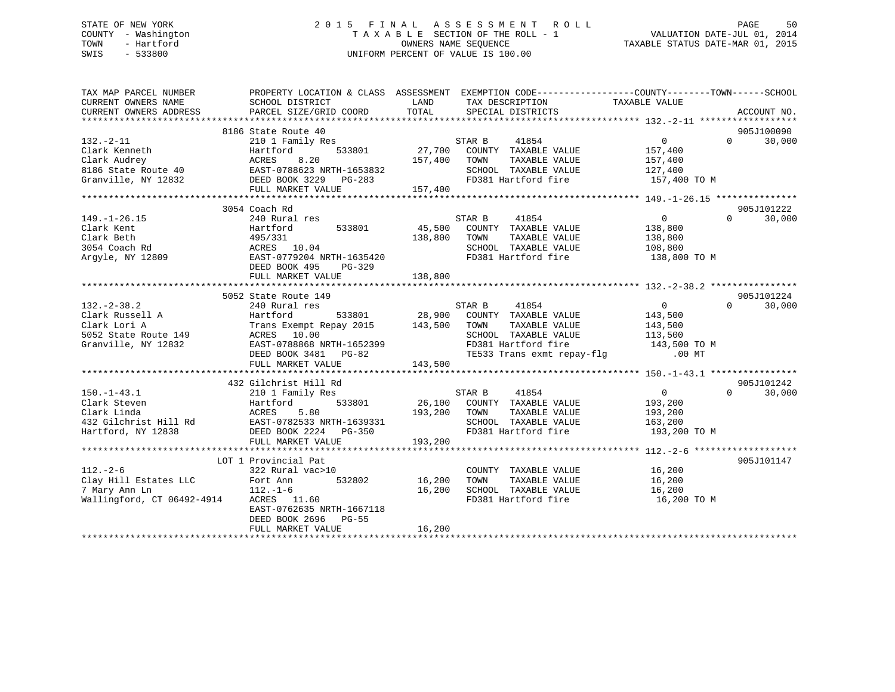## STATE OF NEW YORK 2 0 1 5 F I N A L A S S E S S M E N T R O L L PAGE 50 COUNTY - Washington T A X A B L E SECTION OF THE ROLL - 1 VALUATION DATE-JUL 01, 2014 TOWN - Hartford **TAXABLE STATUS DATE-MAR 01, 2015** OWNERS NAME SEQUENCE TAXABLE STATUS DATE-MAR 01, 2015 SWIS - 533800 UNIFORM PERCENT OF VALUE IS 100.00

| TAX MAP PARCEL NUMBER<br>CURRENT OWNERS NAME                                                                                                                                                                                                                                                                                                                                   | PROPERTY LOCATION & CLASS ASSESSMENT EXEMPTION CODE----------------COUNTY-------TOWN------SCHOOL<br>SCHOOL DISTRICT                                                                |             | LAND TAX DESCRIPTION                                                                                                                                                       | TAXABLE VALUE      |                    |
|--------------------------------------------------------------------------------------------------------------------------------------------------------------------------------------------------------------------------------------------------------------------------------------------------------------------------------------------------------------------------------|------------------------------------------------------------------------------------------------------------------------------------------------------------------------------------|-------------|----------------------------------------------------------------------------------------------------------------------------------------------------------------------------|--------------------|--------------------|
| CURRENT OWNERS ADDRESS                                                                                                                                                                                                                                                                                                                                                         | PARCEL SIZE/GRID COORD                                                                                                                                                             |             | TOTAL SPECIAL DISTRICTS                                                                                                                                                    |                    | ACCOUNT NO.        |
|                                                                                                                                                                                                                                                                                                                                                                                |                                                                                                                                                                                    |             |                                                                                                                                                                            |                    |                    |
|                                                                                                                                                                                                                                                                                                                                                                                | 8186 State Route 40                                                                                                                                                                |             |                                                                                                                                                                            |                    | 905J100090         |
| $132 - 2 - 11$                                                                                                                                                                                                                                                                                                                                                                 | 210 1 Family Res<br>Hartford 533801 27,700 COUNTY TAXABLE VALUE                                                                                                                    |             |                                                                                                                                                                            | $\overline{0}$     | 30,000<br>$\Omega$ |
| Clark Kenneth                                                                                                                                                                                                                                                                                                                                                                  |                                                                                                                                                                                    |             |                                                                                                                                                                            | 157,400            |                    |
|                                                                                                                                                                                                                                                                                                                                                                                |                                                                                                                                                                                    |             | TAXABLE VALUE                                                                                                                                                              | 157,400<br>127,400 |                    |
|                                                                                                                                                                                                                                                                                                                                                                                |                                                                                                                                                                                    |             | SCHOOL TAXABLE VALUE                                                                                                                                                       |                    |                    |
|                                                                                                                                                                                                                                                                                                                                                                                |                                                                                                                                                                                    |             | FD381 Hartford fire 157,400 TO M                                                                                                                                           |                    |                    |
|                                                                                                                                                                                                                                                                                                                                                                                | FULL MARKET VALUE 157,400                                                                                                                                                          |             |                                                                                                                                                                            |                    |                    |
|                                                                                                                                                                                                                                                                                                                                                                                |                                                                                                                                                                                    |             |                                                                                                                                                                            |                    |                    |
|                                                                                                                                                                                                                                                                                                                                                                                | 3054 Coach Rd                                                                                                                                                                      |             |                                                                                                                                                                            |                    | 905J101222         |
| $149. - 1 - 26.15$                                                                                                                                                                                                                                                                                                                                                             | 240 Rural res                                                                                                                                                                      |             | STAR B<br>41854                                                                                                                                                            | $\overline{0}$     | $\Omega$<br>30,000 |
|                                                                                                                                                                                                                                                                                                                                                                                |                                                                                                                                                                                    |             | 45,500 COUNTY TAXABLE VALUE                                                                                                                                                | 138,800            |                    |
|                                                                                                                                                                                                                                                                                                                                                                                |                                                                                                                                                                                    |             | TAXABLE VALUE<br>TOWN                                                                                                                                                      | 138,800            |                    |
|                                                                                                                                                                                                                                                                                                                                                                                |                                                                                                                                                                                    |             | SCHOOL TAXABLE VALUE                                                                                                                                                       | 108,800            |                    |
| Clark Kent<br>Clark Kent<br>Clark Beth<br>3054 Coach Rd<br>Argyle, NY 12809<br>Argyle, NY 12809<br>Clark Beth<br>2013054 Coach Rd<br>Argyle, NY 12809<br>2023<br>2024 NRTH-1635420<br>2021<br>2021<br>2021<br>2021<br>2021<br>2021<br>2021<br>2021<br>2021                                                                                                                     |                                                                                                                                                                                    |             | FD381 Hartford fire 138,800 TO M                                                                                                                                           |                    |                    |
|                                                                                                                                                                                                                                                                                                                                                                                | DEED BOOK 495 PG-329                                                                                                                                                               |             |                                                                                                                                                                            |                    |                    |
|                                                                                                                                                                                                                                                                                                                                                                                | FULL MARKET VALUE                                                                                                                                                                  | 138,800     |                                                                                                                                                                            |                    |                    |
|                                                                                                                                                                                                                                                                                                                                                                                |                                                                                                                                                                                    |             |                                                                                                                                                                            |                    |                    |
|                                                                                                                                                                                                                                                                                                                                                                                | 5052 State Route 149                                                                                                                                                               |             |                                                                                                                                                                            |                    | 905J101224         |
| $132. -2 - 38.2$                                                                                                                                                                                                                                                                                                                                                               | 240 Rural res                                                                                                                                                                      |             |                                                                                                                                                                            | $\overline{0}$     | $\Omega$<br>30,000 |
|                                                                                                                                                                                                                                                                                                                                                                                |                                                                                                                                                                                    |             | ${\tt res} \qquad \qquad {\tt STRR \ B} \qquad \qquad {\tt 41854} \label{eq:28.900}$ ${\tt 533801} \qquad \qquad {\tt 28.900 \quad \  COUNTY \quad \  TAXABLE \,\, VALUE}$ | 143,500            |                    |
| Clark Russell A<br>Clark Lori A<br>Clark Lori A                                                                                                                                                                                                                                                                                                                                |                                                                                                                                                                                    |             | TAXABLE VALUE                                                                                                                                                              | 143,500            |                    |
| 5052 State Route 149                                                                                                                                                                                                                                                                                                                                                           |                                                                                                                                                                                    |             | SCHOOL TAXABLE VALUE                                                                                                                                                       | 113,500            |                    |
| Granville, NY 12832                                                                                                                                                                                                                                                                                                                                                            |                                                                                                                                                                                    |             | FD381 Hartford fire 143,500 TO M                                                                                                                                           |                    |                    |
|                                                                                                                                                                                                                                                                                                                                                                                |                                                                                                                                                                                    |             | TE533 Trans exmt repay-flg .00 MT                                                                                                                                          |                    |                    |
|                                                                                                                                                                                                                                                                                                                                                                                | 240 Rural 1es<br>Hartford 533801 28,900 COOM<br>Trans Exempt Repay 2015 143,500 TOWN<br>ACRES 10.00 SCHOO<br>EAST-078866 NRTH-1652399 FD381<br>TE533<br>TE533<br>FULL MARKET VALUE | 143,500     |                                                                                                                                                                            |                    |                    |
|                                                                                                                                                                                                                                                                                                                                                                                |                                                                                                                                                                                    |             |                                                                                                                                                                            |                    |                    |
|                                                                                                                                                                                                                                                                                                                                                                                | 432 Gilchrist Hill Rd                                                                                                                                                              |             |                                                                                                                                                                            |                    | 905J101242         |
| $150. - 1 - 43.1$                                                                                                                                                                                                                                                                                                                                                              | 210 1 Family Res                                                                                                                                                                   |             | STAR B 41854                                                                                                                                                               | $\sim$ 0           | $\Omega$<br>30,000 |
|                                                                                                                                                                                                                                                                                                                                                                                |                                                                                                                                                                                    |             |                                                                                                                                                                            | 193,200            |                    |
|                                                                                                                                                                                                                                                                                                                                                                                |                                                                                                                                                                                    |             | TAXABLE VALUE                                                                                                                                                              | 193,200            |                    |
|                                                                                                                                                                                                                                                                                                                                                                                |                                                                                                                                                                                    |             | SCHOOL TAXABLE VALUE 163,200                                                                                                                                               |                    |                    |
|                                                                                                                                                                                                                                                                                                                                                                                |                                                                                                                                                                                    |             | FD381 Hartford fire                                                                                                                                                        | 193,200 TO M       |                    |
| Clark Linda<br>Clark Linda<br>Clark Linda<br>ACRES 5.80<br>26,100 COUNTY TAXABLE VALUE<br>26,100 COUNTY TAXABLE VALUE<br>26,100 COUNTY TAXABLE VALUE<br>26,100 COUNTY TAXABLE VALUE<br>26,100 COUNTY TAXABLE VALUE<br>26,100 COUNTY TAXABLE VALU                                                                                                                               | FULL MARKET VALUE                                                                                                                                                                  | 193,200     |                                                                                                                                                                            |                    |                    |
|                                                                                                                                                                                                                                                                                                                                                                                |                                                                                                                                                                                    |             |                                                                                                                                                                            |                    |                    |
|                                                                                                                                                                                                                                                                                                                                                                                | LOT 1 Provincial Pat                                                                                                                                                               |             |                                                                                                                                                                            |                    | 905J101147         |
| $112. - 2 - 6$                                                                                                                                                                                                                                                                                                                                                                 | 322 Rural vac>10                                                                                                                                                                   |             | COUNTY TAXABLE VALUE                                                                                                                                                       |                    |                    |
| $\begin{array}{lllll} \text{112.} - \text{22.0} & \text{32.0} & \text{32.0} \\ \text{12.0} & \text{111} & \text{Estates LLC} & \text{22.0} \\ \text{7.0} & \text{9.0} & \text{12.0} \\ \text{9.0} & \text{11.0} & \text{12.0} \\ \text{12.0} & \text{13.0} & \text{11.0} \\ \text{13.0} & \text{13.0} & \text{13.0} \\ \text{14.0} & \text{15.0} & \text{15.0} \\ \text{16.0}$ |                                                                                                                                                                                    | 16,200 TOWN | TAXABLE VALUE                                                                                                                                                              | 16,200<br>16,200   |                    |
|                                                                                                                                                                                                                                                                                                                                                                                |                                                                                                                                                                                    |             | 16,200 SCHOOL TAXABLE VALUE 16,200                                                                                                                                         |                    |                    |
|                                                                                                                                                                                                                                                                                                                                                                                |                                                                                                                                                                                    |             | FD381 Hartford fire                                                                                                                                                        | 16,200 TO M        |                    |
|                                                                                                                                                                                                                                                                                                                                                                                | EAST-0762635 NRTH-1667118                                                                                                                                                          |             |                                                                                                                                                                            |                    |                    |
|                                                                                                                                                                                                                                                                                                                                                                                | DEED BOOK 2696 PG-55                                                                                                                                                               |             |                                                                                                                                                                            |                    |                    |
|                                                                                                                                                                                                                                                                                                                                                                                | FULL MARKET VALUE                                                                                                                                                                  | 16,200      |                                                                                                                                                                            |                    |                    |
|                                                                                                                                                                                                                                                                                                                                                                                |                                                                                                                                                                                    |             |                                                                                                                                                                            |                    |                    |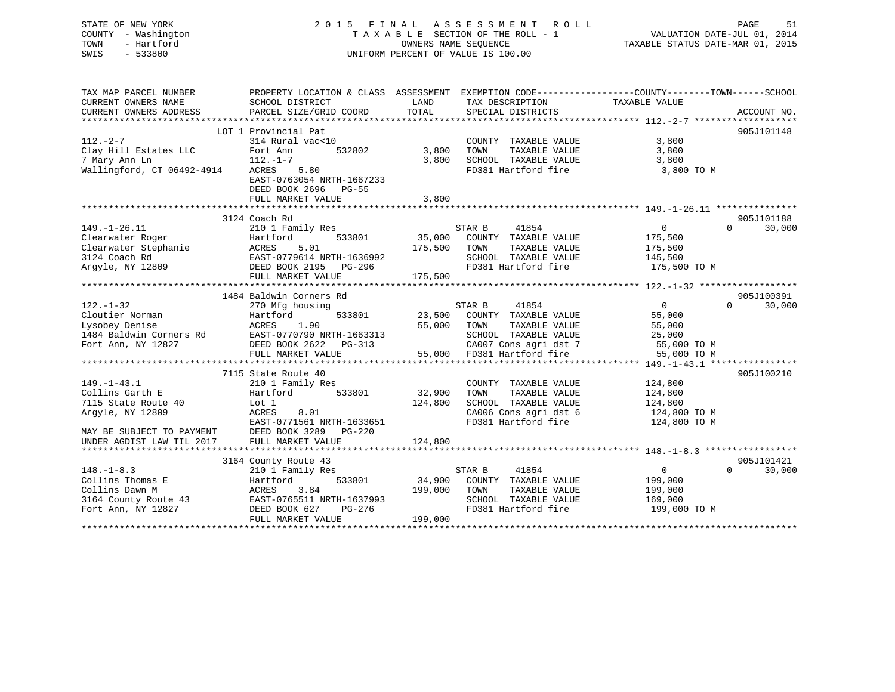| STATE OF NEW YORK<br>- Washington<br>COUNTY |                                      |                      | 2015 FINAL ASSESSMENT ROLL         | 51<br>PAGE<br>T A X A B L E SECTION OF THE ROLL - 1 VALUATION DATE-JUL 01, 2014 |
|---------------------------------------------|--------------------------------------|----------------------|------------------------------------|---------------------------------------------------------------------------------|
| - Hartford<br>TOWN                          |                                      |                      | OWNERS NAME SEQUENCE               | TAXABLE STATUS DATE-MAR 01, 2015                                                |
| $-533800$<br>SWIS                           |                                      |                      | UNIFORM PERCENT OF VALUE IS 100.00 |                                                                                 |
|                                             |                                      |                      |                                    |                                                                                 |
|                                             |                                      |                      |                                    |                                                                                 |
| TAX MAP PARCEL NUMBER                       | PROPERTY LOCATION & CLASS ASSESSMENT |                      |                                    | EXEMPTION CODE-----------------COUNTY-------TOWN------SCHOOL                    |
| CURRENT OWNERS NAME                         | SCHOOL DISTRICT                      |                      | LAND TAX DESCRIPTION TAXABLE VALUE |                                                                                 |
|                                             |                                      |                      |                                    |                                                                                 |
|                                             |                                      |                      |                                    |                                                                                 |
|                                             | LOT 1 Provincial Pat                 |                      |                                    | 905J101148                                                                      |
| $112 - 2 - 7$                               | 314 Rural vac<10                     |                      | COUNTY<br>TAXABLE VALUE            | 3,800                                                                           |
| Clay Hill Estates LLC                       | Fort Ann<br>532802                   | 3,800                | TOWN<br>TAXABLE VALUE              | 3,800                                                                           |
| 7 Mary Ann Ln                               | $112. - 1 - 7$                       | 3,800                | SCHOOL<br>TAXABLE VALUE            | 3,800                                                                           |
| Wallingford, CT 06492-4914                  | ACRES 5.80                           |                      | FD381 Hartford fire                | 3,800 TO M                                                                      |
|                                             | EAST-0763054 NRTH-1667233            |                      |                                    |                                                                                 |
|                                             | DEED BOOK 2696 PG-55                 |                      |                                    |                                                                                 |
|                                             | FULL MARKET VALUE                    | 3,800                |                                    |                                                                                 |
|                                             |                                      |                      |                                    |                                                                                 |
|                                             | 3124 Coach Rd                        |                      |                                    | 905J101188                                                                      |
| $149. - 1 - 26.11$                          | 210 1 Family Res                     |                      | 41854<br>STAR B                    | $\Omega$<br>$\Omega$<br>30,000                                                  |
| Clearwater Roger                            | Hartford                             | 533801 35,000 COUNTY | TAXABLE VALUE                      | 175,500                                                                         |
| Clearwater Stephanie                        | ACRES 5.01                           | 175,500              | TOWN<br>TAXABLE VALUE              | 175,500                                                                         |
| 3124 Coach Rd                               | EAST-0779614 NRTH-1636992            |                      | SCHOOL<br>TAXABLE VALUE            | 145,500                                                                         |
| Argyle, NY 12809                            | DEED BOOK 2195 PG-296                |                      | FD381 Hartford fire                | 175,500 TO M                                                                    |

|                           | FULL MARKET VALUE         | 175,500                           |                                   |
|---------------------------|---------------------------|-----------------------------------|-----------------------------------|
|                           |                           |                                   |                                   |
|                           | 1484 Baldwin Corners Rd   |                                   | 905J100391                        |
| $122. - 1 - 32$           | 270 Mfg housing           | 41854<br>STAR B                   | $\Omega$<br>$\Omega$<br>30,000    |
| Cloutier Norman           | Hartford<br>533801        | 23,500<br>COUNTY<br>TAXABLE VALUE | 55,000                            |
| Lysobey Denise            | 1.90<br>ACRES             | 55,000<br>TAXABLE VALUE<br>TOWN   | 55,000                            |
| 1484 Baldwin Corners Rd   | EAST-0770790 NRTH-1663313 | SCHOOL<br>TAXABLE VALUE           | 25,000                            |
| Fort Ann, NY 12827        | DEED BOOK 2622 PG-313     | CA007 Cons agri dst 7             | 55,000 TO M                       |
|                           | FULL MARKET VALUE         | 55,000 FD381 Hartford fire        | 55,000 TO M                       |
|                           |                           |                                   |                                   |
|                           | 7115 State Route 40       |                                   | 905J100210                        |
| $149. - 1 - 43.1$         | 210 1 Family Res          | COUNTY<br>TAXABLE VALUE           | 124,800                           |
| Collins Garth E           | Hartford<br>533801        | 32,900<br>TAXABLE VALUE<br>TOWN   | 124,800                           |
| 7115 State Route 40       | Lot 1                     | 124,800<br>SCHOOL TAXABLE VALUE   | 124,800                           |
| Argyle, NY 12809          | ACRES 8.01                | CA006 Cons agri dst 6             | 124,800 TO M                      |
|                           | EAST-0771561 NRTH-1633651 | FD381 Hartford fire               | 124,800 TO M                      |
| MAY BE SUBJECT TO PAYMENT | DEED BOOK 3289 PG-220     |                                   |                                   |
| UNDER AGDIST LAW TIL 2017 | FULL MARKET VALUE         | 124,800                           |                                   |
|                           |                           |                                   |                                   |
|                           | 3164 County Route 43      |                                   | 905J101421                        |
| $148. - 1 - 8.3$          | 210 1 Family Res          | 41854<br>STAR B                   | 30,000<br>$\mathbf 0$<br>$\Omega$ |
| Collins Thomas E          | Hartford<br>533801        | COUNTY<br>34,900<br>TAXABLE VALUE | 199,000                           |
| Collins Dawn M            | 3.84<br>ACRES             | 199,000<br>TOWN<br>TAXABLE VALUE  | 199,000                           |
| 3164 County Route 43      | EAST-0765511 NRTH-1637993 | TAXABLE VALUE<br>SCHOOL           | 169,000                           |
| Fort Ann, NY 12827        | DEED BOOK 627<br>PG-276   | FD381 Hartford fire               | 199,000 TO M                      |
|                           | FULL MARKET VALUE         | 199,000                           |                                   |
|                           |                           |                                   |                                   |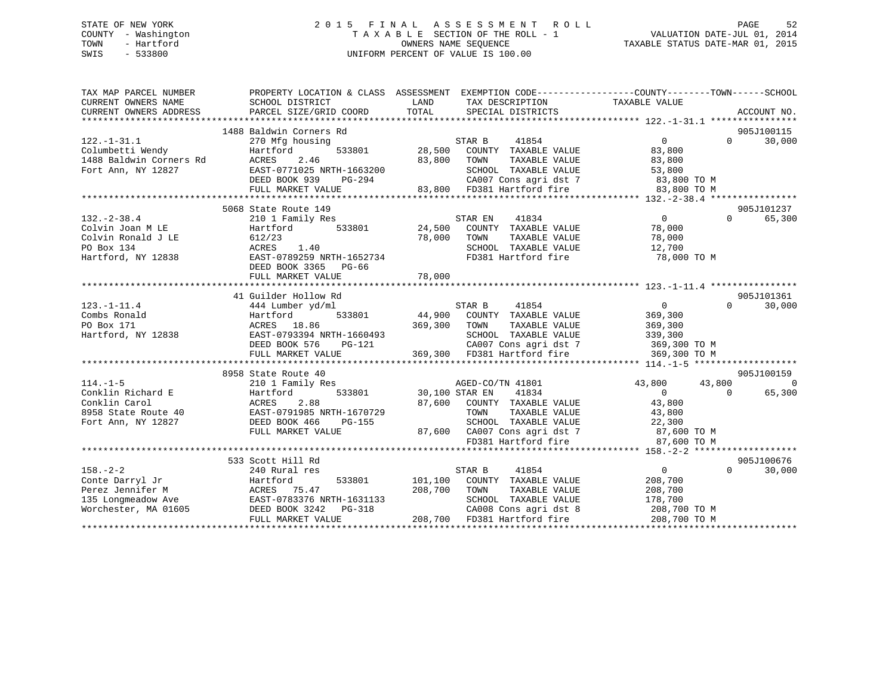## STATE OF NEW YORK 2 0 1 5 F I N A L A S S E S S M E N T R O L L PAGE 52 COUNTY - Washington T A X A B L E SECTION OF THE ROLL - 1 VALUATION DATE-JUL 01, 2014 TOWN - Hartford **TAXABLE STATUS DATE-MAR 01, 2015** OWNERS NAME SEQUENCE TAXABLE STATUS DATE-MAR 01, 2015 SWIS - 533800 UNIFORM PERCENT OF VALUE IS 100.00

| 905J100115<br>1488 Baldwin Corners Rd<br>$\overline{0}$<br>$\Omega$<br>30,000<br>$122. - 1 - 31.1$<br>270 Mfg housing<br>STAR B<br>41854<br>533801 28,500<br>83,800<br>Hartford<br>COUNTY TAXABLE VALUE<br>2.46<br>83,800<br>83,800<br>ACRES<br>TOWN<br>TAXABLE VALUE<br>Fort Ann, NY 12827<br>EAST-0771025 NRTH-1663200<br>SCHOOL TAXABLE VALUE<br>53,800<br>CA007 Cons agri dst 7 83,800 TO M<br>83,800 FD381 Hartford fire 83,800 TO M<br>DEED BOOK 939<br>PG-294<br>FULL MARKET VALUE<br>905J101237<br>5068 State Route 149<br>$\overline{0}$<br>$132. - 2 - 38.4$<br>210 1 Family Res<br>41834<br>$\Omega$<br>65,300<br>STAR EN<br>533801 24,500 COUNTY TAXABLE VALUE<br>78,000<br>Colvin Joan M LE<br>Hartford<br>78,000<br>78,000<br>Colvin Ronald J LE<br>612/23<br>TOWN<br>TAXABLE VALUE<br>SCHOOL TAXABLE VALUE 12,700<br>ACRES 1.40<br>PO Box 134<br>EAST-0789259 NRTH-1652734<br>Hartford, NY 12838<br>FD381 Hartford fire<br>78,000 TO M<br>DEED BOOK 3365 PG-66<br>905J101361<br>41 Guilder Hollow Rd<br>30,000<br>$123. - 1 - 11.4$<br>STAR B<br>41854<br>$\overline{0}$<br>$\Omega$<br>444 Lumber yd/ml<br>533801 44,900 COUNTY TAXABLE VALUE<br>Hartford<br>369,300<br>369,300 TOWN<br>369,300<br>ACRES 18.86<br>PO Box 171<br>TAXABLE VALUE<br>Hartford, NY 12838<br>EAST-0793394 NRTH-1660493<br>SCHOOL TAXABLE VALUE<br>339,300<br>LASI-U73394 NRTH-1660493<br>DEED BOOK 576 PG-121<br>CA007 Cons agri dst 7<br>369,300 TO M<br>369,300 FD381 Hartford fire<br>FULL MARKET VALUE<br>369,300 TO M<br>905J100159<br>8958 State Route 40<br>AGED-CO/<br>30,100 STAR EN<br>43,800<br>$114. - 1 - 5$<br>210 1 Family Res<br>AGED-CO/TN 41801<br>43,800<br>$\overline{0}$<br>65,300<br>Conklin Richard E Martford 533801<br>Conklin Carol ACRES 2.88<br>8958 State Route 40 EAST-0791985 NRTH-1670729<br>Fort Ann, NY 12827 DEED BOOK 466 PG-155<br>41834<br>$\overline{0}$<br>$\Omega$<br>87,600 COUNTY TAXABLE VALUE<br>43,800<br>TOWN<br>TAXABLE VALUE<br>43,800<br>22,300<br>SCHOOL TAXABLE VALUE 22,300<br>87,600 CA007 Cons agri dst 7 67,600 TO M<br>FULL MARKET VALUE<br>FD381 Hartford fire<br>87,600 TO M<br>533 Scott Hill Rd<br>905J100676<br>$\Omega$<br>$\Omega$<br>30,000<br>$158. - 2 - 2$<br>240 Rural res<br>STAR B<br>41854<br>Conte Darryl Jr<br>533801 101,100 COUNTY TAXABLE VALUE<br>208,700<br>Hartford<br>208,700<br>TAXABLE VALUE<br>208,700<br>TOWN<br>SCHOOL TAXABLE VALUE<br>178,700<br>CA008 Cons agri dst 8 208,700 TO M | TAX MAP PARCEL NUMBER<br>CURRENT OWNERS NAME<br>CURRENT OWNERS ADDRESS | PROPERTY LOCATION & CLASS ASSESSMENT EXEMPTION CODE---------------COUNTY-------TOWN------SCHOOL<br>SCHOOL DISTRICT<br>PARCEL SIZE/GRID COORD | LAND<br>TOTAL | TAX DESCRIPTION TAXABLE VALUE<br>SPECIAL DISTRICTS |  | ACCOUNT NO. |
|-----------------------------------------------------------------------------------------------------------------------------------------------------------------------------------------------------------------------------------------------------------------------------------------------------------------------------------------------------------------------------------------------------------------------------------------------------------------------------------------------------------------------------------------------------------------------------------------------------------------------------------------------------------------------------------------------------------------------------------------------------------------------------------------------------------------------------------------------------------------------------------------------------------------------------------------------------------------------------------------------------------------------------------------------------------------------------------------------------------------------------------------------------------------------------------------------------------------------------------------------------------------------------------------------------------------------------------------------------------------------------------------------------------------------------------------------------------------------------------------------------------------------------------------------------------------------------------------------------------------------------------------------------------------------------------------------------------------------------------------------------------------------------------------------------------------------------------------------------------------------------------------------------------------------------------------------------------------------------------------------------------------------------------------------------------------------------------------------------------------------------------------------------------------------------------------------------------------------------------------------------------------------------------------------------------------------------------------------------------------------------------------------------------------------------------------------------------------------|------------------------------------------------------------------------|----------------------------------------------------------------------------------------------------------------------------------------------|---------------|----------------------------------------------------|--|-------------|
|                                                                                                                                                                                                                                                                                                                                                                                                                                                                                                                                                                                                                                                                                                                                                                                                                                                                                                                                                                                                                                                                                                                                                                                                                                                                                                                                                                                                                                                                                                                                                                                                                                                                                                                                                                                                                                                                                                                                                                                                                                                                                                                                                                                                                                                                                                                                                                                                                                                                       |                                                                        |                                                                                                                                              |               |                                                    |  |             |
|                                                                                                                                                                                                                                                                                                                                                                                                                                                                                                                                                                                                                                                                                                                                                                                                                                                                                                                                                                                                                                                                                                                                                                                                                                                                                                                                                                                                                                                                                                                                                                                                                                                                                                                                                                                                                                                                                                                                                                                                                                                                                                                                                                                                                                                                                                                                                                                                                                                                       |                                                                        |                                                                                                                                              |               |                                                    |  |             |
|                                                                                                                                                                                                                                                                                                                                                                                                                                                                                                                                                                                                                                                                                                                                                                                                                                                                                                                                                                                                                                                                                                                                                                                                                                                                                                                                                                                                                                                                                                                                                                                                                                                                                                                                                                                                                                                                                                                                                                                                                                                                                                                                                                                                                                                                                                                                                                                                                                                                       |                                                                        |                                                                                                                                              |               |                                                    |  |             |
|                                                                                                                                                                                                                                                                                                                                                                                                                                                                                                                                                                                                                                                                                                                                                                                                                                                                                                                                                                                                                                                                                                                                                                                                                                                                                                                                                                                                                                                                                                                                                                                                                                                                                                                                                                                                                                                                                                                                                                                                                                                                                                                                                                                                                                                                                                                                                                                                                                                                       | Columbetti Wendy                                                       |                                                                                                                                              |               |                                                    |  |             |
|                                                                                                                                                                                                                                                                                                                                                                                                                                                                                                                                                                                                                                                                                                                                                                                                                                                                                                                                                                                                                                                                                                                                                                                                                                                                                                                                                                                                                                                                                                                                                                                                                                                                                                                                                                                                                                                                                                                                                                                                                                                                                                                                                                                                                                                                                                                                                                                                                                                                       | 1488 Baldwin Corners Rd                                                |                                                                                                                                              |               |                                                    |  |             |
|                                                                                                                                                                                                                                                                                                                                                                                                                                                                                                                                                                                                                                                                                                                                                                                                                                                                                                                                                                                                                                                                                                                                                                                                                                                                                                                                                                                                                                                                                                                                                                                                                                                                                                                                                                                                                                                                                                                                                                                                                                                                                                                                                                                                                                                                                                                                                                                                                                                                       |                                                                        |                                                                                                                                              |               |                                                    |  |             |
|                                                                                                                                                                                                                                                                                                                                                                                                                                                                                                                                                                                                                                                                                                                                                                                                                                                                                                                                                                                                                                                                                                                                                                                                                                                                                                                                                                                                                                                                                                                                                                                                                                                                                                                                                                                                                                                                                                                                                                                                                                                                                                                                                                                                                                                                                                                                                                                                                                                                       |                                                                        |                                                                                                                                              |               |                                                    |  |             |
|                                                                                                                                                                                                                                                                                                                                                                                                                                                                                                                                                                                                                                                                                                                                                                                                                                                                                                                                                                                                                                                                                                                                                                                                                                                                                                                                                                                                                                                                                                                                                                                                                                                                                                                                                                                                                                                                                                                                                                                                                                                                                                                                                                                                                                                                                                                                                                                                                                                                       |                                                                        |                                                                                                                                              |               |                                                    |  |             |
|                                                                                                                                                                                                                                                                                                                                                                                                                                                                                                                                                                                                                                                                                                                                                                                                                                                                                                                                                                                                                                                                                                                                                                                                                                                                                                                                                                                                                                                                                                                                                                                                                                                                                                                                                                                                                                                                                                                                                                                                                                                                                                                                                                                                                                                                                                                                                                                                                                                                       |                                                                        |                                                                                                                                              |               |                                                    |  |             |
|                                                                                                                                                                                                                                                                                                                                                                                                                                                                                                                                                                                                                                                                                                                                                                                                                                                                                                                                                                                                                                                                                                                                                                                                                                                                                                                                                                                                                                                                                                                                                                                                                                                                                                                                                                                                                                                                                                                                                                                                                                                                                                                                                                                                                                                                                                                                                                                                                                                                       |                                                                        |                                                                                                                                              |               |                                                    |  |             |
|                                                                                                                                                                                                                                                                                                                                                                                                                                                                                                                                                                                                                                                                                                                                                                                                                                                                                                                                                                                                                                                                                                                                                                                                                                                                                                                                                                                                                                                                                                                                                                                                                                                                                                                                                                                                                                                                                                                                                                                                                                                                                                                                                                                                                                                                                                                                                                                                                                                                       |                                                                        |                                                                                                                                              |               |                                                    |  |             |
|                                                                                                                                                                                                                                                                                                                                                                                                                                                                                                                                                                                                                                                                                                                                                                                                                                                                                                                                                                                                                                                                                                                                                                                                                                                                                                                                                                                                                                                                                                                                                                                                                                                                                                                                                                                                                                                                                                                                                                                                                                                                                                                                                                                                                                                                                                                                                                                                                                                                       |                                                                        |                                                                                                                                              |               |                                                    |  |             |
|                                                                                                                                                                                                                                                                                                                                                                                                                                                                                                                                                                                                                                                                                                                                                                                                                                                                                                                                                                                                                                                                                                                                                                                                                                                                                                                                                                                                                                                                                                                                                                                                                                                                                                                                                                                                                                                                                                                                                                                                                                                                                                                                                                                                                                                                                                                                                                                                                                                                       |                                                                        |                                                                                                                                              |               |                                                    |  |             |
|                                                                                                                                                                                                                                                                                                                                                                                                                                                                                                                                                                                                                                                                                                                                                                                                                                                                                                                                                                                                                                                                                                                                                                                                                                                                                                                                                                                                                                                                                                                                                                                                                                                                                                                                                                                                                                                                                                                                                                                                                                                                                                                                                                                                                                                                                                                                                                                                                                                                       |                                                                        |                                                                                                                                              |               |                                                    |  |             |
|                                                                                                                                                                                                                                                                                                                                                                                                                                                                                                                                                                                                                                                                                                                                                                                                                                                                                                                                                                                                                                                                                                                                                                                                                                                                                                                                                                                                                                                                                                                                                                                                                                                                                                                                                                                                                                                                                                                                                                                                                                                                                                                                                                                                                                                                                                                                                                                                                                                                       |                                                                        |                                                                                                                                              |               |                                                    |  |             |
|                                                                                                                                                                                                                                                                                                                                                                                                                                                                                                                                                                                                                                                                                                                                                                                                                                                                                                                                                                                                                                                                                                                                                                                                                                                                                                                                                                                                                                                                                                                                                                                                                                                                                                                                                                                                                                                                                                                                                                                                                                                                                                                                                                                                                                                                                                                                                                                                                                                                       |                                                                        |                                                                                                                                              |               |                                                    |  |             |
|                                                                                                                                                                                                                                                                                                                                                                                                                                                                                                                                                                                                                                                                                                                                                                                                                                                                                                                                                                                                                                                                                                                                                                                                                                                                                                                                                                                                                                                                                                                                                                                                                                                                                                                                                                                                                                                                                                                                                                                                                                                                                                                                                                                                                                                                                                                                                                                                                                                                       |                                                                        |                                                                                                                                              |               |                                                    |  |             |
|                                                                                                                                                                                                                                                                                                                                                                                                                                                                                                                                                                                                                                                                                                                                                                                                                                                                                                                                                                                                                                                                                                                                                                                                                                                                                                                                                                                                                                                                                                                                                                                                                                                                                                                                                                                                                                                                                                                                                                                                                                                                                                                                                                                                                                                                                                                                                                                                                                                                       |                                                                        |                                                                                                                                              |               |                                                    |  |             |
|                                                                                                                                                                                                                                                                                                                                                                                                                                                                                                                                                                                                                                                                                                                                                                                                                                                                                                                                                                                                                                                                                                                                                                                                                                                                                                                                                                                                                                                                                                                                                                                                                                                                                                                                                                                                                                                                                                                                                                                                                                                                                                                                                                                                                                                                                                                                                                                                                                                                       |                                                                        |                                                                                                                                              |               |                                                    |  |             |
|                                                                                                                                                                                                                                                                                                                                                                                                                                                                                                                                                                                                                                                                                                                                                                                                                                                                                                                                                                                                                                                                                                                                                                                                                                                                                                                                                                                                                                                                                                                                                                                                                                                                                                                                                                                                                                                                                                                                                                                                                                                                                                                                                                                                                                                                                                                                                                                                                                                                       |                                                                        |                                                                                                                                              |               |                                                    |  |             |
|                                                                                                                                                                                                                                                                                                                                                                                                                                                                                                                                                                                                                                                                                                                                                                                                                                                                                                                                                                                                                                                                                                                                                                                                                                                                                                                                                                                                                                                                                                                                                                                                                                                                                                                                                                                                                                                                                                                                                                                                                                                                                                                                                                                                                                                                                                                                                                                                                                                                       | Combs Ronald                                                           |                                                                                                                                              |               |                                                    |  |             |
|                                                                                                                                                                                                                                                                                                                                                                                                                                                                                                                                                                                                                                                                                                                                                                                                                                                                                                                                                                                                                                                                                                                                                                                                                                                                                                                                                                                                                                                                                                                                                                                                                                                                                                                                                                                                                                                                                                                                                                                                                                                                                                                                                                                                                                                                                                                                                                                                                                                                       |                                                                        |                                                                                                                                              |               |                                                    |  |             |
|                                                                                                                                                                                                                                                                                                                                                                                                                                                                                                                                                                                                                                                                                                                                                                                                                                                                                                                                                                                                                                                                                                                                                                                                                                                                                                                                                                                                                                                                                                                                                                                                                                                                                                                                                                                                                                                                                                                                                                                                                                                                                                                                                                                                                                                                                                                                                                                                                                                                       |                                                                        |                                                                                                                                              |               |                                                    |  |             |
|                                                                                                                                                                                                                                                                                                                                                                                                                                                                                                                                                                                                                                                                                                                                                                                                                                                                                                                                                                                                                                                                                                                                                                                                                                                                                                                                                                                                                                                                                                                                                                                                                                                                                                                                                                                                                                                                                                                                                                                                                                                                                                                                                                                                                                                                                                                                                                                                                                                                       |                                                                        |                                                                                                                                              |               |                                                    |  |             |
|                                                                                                                                                                                                                                                                                                                                                                                                                                                                                                                                                                                                                                                                                                                                                                                                                                                                                                                                                                                                                                                                                                                                                                                                                                                                                                                                                                                                                                                                                                                                                                                                                                                                                                                                                                                                                                                                                                                                                                                                                                                                                                                                                                                                                                                                                                                                                                                                                                                                       |                                                                        |                                                                                                                                              |               |                                                    |  |             |
|                                                                                                                                                                                                                                                                                                                                                                                                                                                                                                                                                                                                                                                                                                                                                                                                                                                                                                                                                                                                                                                                                                                                                                                                                                                                                                                                                                                                                                                                                                                                                                                                                                                                                                                                                                                                                                                                                                                                                                                                                                                                                                                                                                                                                                                                                                                                                                                                                                                                       |                                                                        |                                                                                                                                              |               |                                                    |  |             |
|                                                                                                                                                                                                                                                                                                                                                                                                                                                                                                                                                                                                                                                                                                                                                                                                                                                                                                                                                                                                                                                                                                                                                                                                                                                                                                                                                                                                                                                                                                                                                                                                                                                                                                                                                                                                                                                                                                                                                                                                                                                                                                                                                                                                                                                                                                                                                                                                                                                                       |                                                                        |                                                                                                                                              |               |                                                    |  |             |
|                                                                                                                                                                                                                                                                                                                                                                                                                                                                                                                                                                                                                                                                                                                                                                                                                                                                                                                                                                                                                                                                                                                                                                                                                                                                                                                                                                                                                                                                                                                                                                                                                                                                                                                                                                                                                                                                                                                                                                                                                                                                                                                                                                                                                                                                                                                                                                                                                                                                       |                                                                        |                                                                                                                                              |               |                                                    |  |             |
|                                                                                                                                                                                                                                                                                                                                                                                                                                                                                                                                                                                                                                                                                                                                                                                                                                                                                                                                                                                                                                                                                                                                                                                                                                                                                                                                                                                                                                                                                                                                                                                                                                                                                                                                                                                                                                                                                                                                                                                                                                                                                                                                                                                                                                                                                                                                                                                                                                                                       |                                                                        |                                                                                                                                              |               |                                                    |  |             |
|                                                                                                                                                                                                                                                                                                                                                                                                                                                                                                                                                                                                                                                                                                                                                                                                                                                                                                                                                                                                                                                                                                                                                                                                                                                                                                                                                                                                                                                                                                                                                                                                                                                                                                                                                                                                                                                                                                                                                                                                                                                                                                                                                                                                                                                                                                                                                                                                                                                                       |                                                                        |                                                                                                                                              |               |                                                    |  |             |
|                                                                                                                                                                                                                                                                                                                                                                                                                                                                                                                                                                                                                                                                                                                                                                                                                                                                                                                                                                                                                                                                                                                                                                                                                                                                                                                                                                                                                                                                                                                                                                                                                                                                                                                                                                                                                                                                                                                                                                                                                                                                                                                                                                                                                                                                                                                                                                                                                                                                       |                                                                        |                                                                                                                                              |               |                                                    |  |             |
|                                                                                                                                                                                                                                                                                                                                                                                                                                                                                                                                                                                                                                                                                                                                                                                                                                                                                                                                                                                                                                                                                                                                                                                                                                                                                                                                                                                                                                                                                                                                                                                                                                                                                                                                                                                                                                                                                                                                                                                                                                                                                                                                                                                                                                                                                                                                                                                                                                                                       |                                                                        |                                                                                                                                              |               |                                                    |  |             |
|                                                                                                                                                                                                                                                                                                                                                                                                                                                                                                                                                                                                                                                                                                                                                                                                                                                                                                                                                                                                                                                                                                                                                                                                                                                                                                                                                                                                                                                                                                                                                                                                                                                                                                                                                                                                                                                                                                                                                                                                                                                                                                                                                                                                                                                                                                                                                                                                                                                                       |                                                                        |                                                                                                                                              |               |                                                    |  |             |
|                                                                                                                                                                                                                                                                                                                                                                                                                                                                                                                                                                                                                                                                                                                                                                                                                                                                                                                                                                                                                                                                                                                                                                                                                                                                                                                                                                                                                                                                                                                                                                                                                                                                                                                                                                                                                                                                                                                                                                                                                                                                                                                                                                                                                                                                                                                                                                                                                                                                       |                                                                        |                                                                                                                                              |               |                                                    |  |             |
|                                                                                                                                                                                                                                                                                                                                                                                                                                                                                                                                                                                                                                                                                                                                                                                                                                                                                                                                                                                                                                                                                                                                                                                                                                                                                                                                                                                                                                                                                                                                                                                                                                                                                                                                                                                                                                                                                                                                                                                                                                                                                                                                                                                                                                                                                                                                                                                                                                                                       |                                                                        |                                                                                                                                              |               |                                                    |  |             |
|                                                                                                                                                                                                                                                                                                                                                                                                                                                                                                                                                                                                                                                                                                                                                                                                                                                                                                                                                                                                                                                                                                                                                                                                                                                                                                                                                                                                                                                                                                                                                                                                                                                                                                                                                                                                                                                                                                                                                                                                                                                                                                                                                                                                                                                                                                                                                                                                                                                                       |                                                                        |                                                                                                                                              |               |                                                    |  |             |
|                                                                                                                                                                                                                                                                                                                                                                                                                                                                                                                                                                                                                                                                                                                                                                                                                                                                                                                                                                                                                                                                                                                                                                                                                                                                                                                                                                                                                                                                                                                                                                                                                                                                                                                                                                                                                                                                                                                                                                                                                                                                                                                                                                                                                                                                                                                                                                                                                                                                       |                                                                        |                                                                                                                                              |               |                                                    |  |             |
|                                                                                                                                                                                                                                                                                                                                                                                                                                                                                                                                                                                                                                                                                                                                                                                                                                                                                                                                                                                                                                                                                                                                                                                                                                                                                                                                                                                                                                                                                                                                                                                                                                                                                                                                                                                                                                                                                                                                                                                                                                                                                                                                                                                                                                                                                                                                                                                                                                                                       |                                                                        |                                                                                                                                              |               |                                                    |  |             |
|                                                                                                                                                                                                                                                                                                                                                                                                                                                                                                                                                                                                                                                                                                                                                                                                                                                                                                                                                                                                                                                                                                                                                                                                                                                                                                                                                                                                                                                                                                                                                                                                                                                                                                                                                                                                                                                                                                                                                                                                                                                                                                                                                                                                                                                                                                                                                                                                                                                                       |                                                                        |                                                                                                                                              |               |                                                    |  |             |
|                                                                                                                                                                                                                                                                                                                                                                                                                                                                                                                                                                                                                                                                                                                                                                                                                                                                                                                                                                                                                                                                                                                                                                                                                                                                                                                                                                                                                                                                                                                                                                                                                                                                                                                                                                                                                                                                                                                                                                                                                                                                                                                                                                                                                                                                                                                                                                                                                                                                       |                                                                        |                                                                                                                                              |               |                                                    |  |             |
|                                                                                                                                                                                                                                                                                                                                                                                                                                                                                                                                                                                                                                                                                                                                                                                                                                                                                                                                                                                                                                                                                                                                                                                                                                                                                                                                                                                                                                                                                                                                                                                                                                                                                                                                                                                                                                                                                                                                                                                                                                                                                                                                                                                                                                                                                                                                                                                                                                                                       |                                                                        |                                                                                                                                              |               |                                                    |  |             |
| 208,700 FD381 Hartford fire<br>208,700 TO M<br>FULL MARKET VALUE                                                                                                                                                                                                                                                                                                                                                                                                                                                                                                                                                                                                                                                                                                                                                                                                                                                                                                                                                                                                                                                                                                                                                                                                                                                                                                                                                                                                                                                                                                                                                                                                                                                                                                                                                                                                                                                                                                                                                                                                                                                                                                                                                                                                                                                                                                                                                                                                      |                                                                        |                                                                                                                                              |               |                                                    |  |             |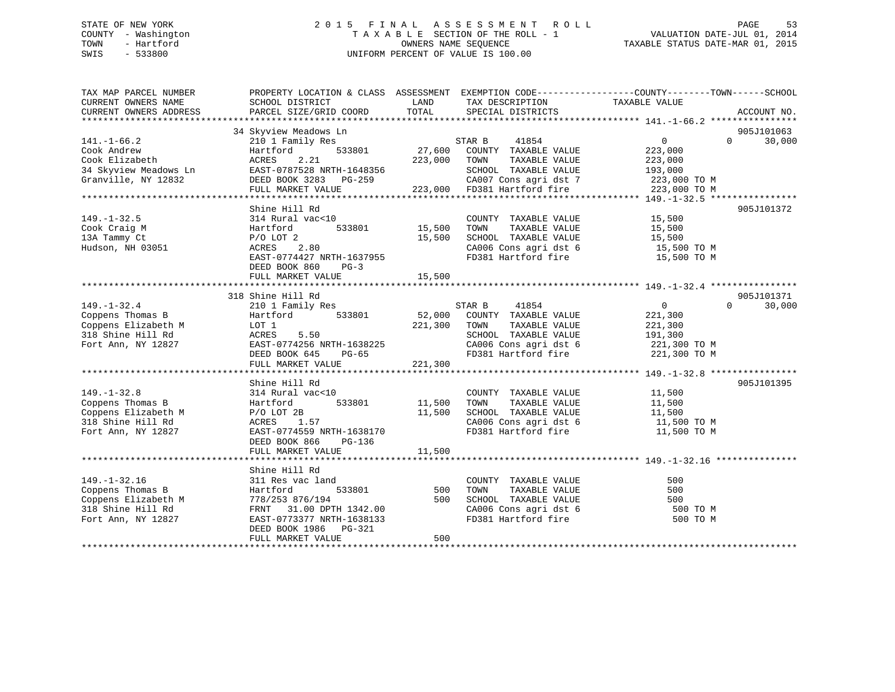## STATE OF NEW YORK 2 0 1 5 F I N A L A S S E S S M E N T R O L L PAGE 53 COUNTY - Washington T A X A B L E SECTION OF THE ROLL - 1 VALUATION DATE-JUL 01, 2014 TOWN - Hartford **TAXABLE STATUS DATE-MAR 01, 2015** OWNERS NAME SEQUENCE TAXABLE STATUS DATE-MAR 01, 2015 SWIS - 533800 UNIFORM PERCENT OF VALUE IS 100.00

| TAX MAP PARCEL NUMBER<br>CURRENT OWNERS NAME<br>CURRENT OWNERS ADDRESS                                   | PROPERTY LOCATION & CLASS ASSESSMENT EXEMPTION CODE---------------COUNTY-------TOWN------SCHOOL<br>SCHOOL DISTRICT<br>PARCEL SIZE/GRID COORD                                           | LAND<br>TOTAL                | TAX DESCRIPTION<br>SPECIAL DISTRICTS                                                                                                                               | TAXABLE VALUE                                            | ACCOUNT NO.                      |
|----------------------------------------------------------------------------------------------------------|----------------------------------------------------------------------------------------------------------------------------------------------------------------------------------------|------------------------------|--------------------------------------------------------------------------------------------------------------------------------------------------------------------|----------------------------------------------------------|----------------------------------|
| $141. - 1 - 66.2$<br>Cook Andrew<br>Cook Elizabeth<br>34 Skyview Meadows Ln<br>Granville, NY 12832       | 34 Skyview Meadows Ln<br>210 1 Family Res<br>533801<br>Hartford<br>2.21<br>ACRES<br>EAST-0787528 NRTH-1648356<br>DEED BOOK 3283 PG-259<br>FULL MARKET VALUE                            | 27,600<br>223,000 TOWN       | 41854<br>STAR B<br>COUNTY TAXABLE VALUE<br>TAXABLE VALUE<br>SCHOOL TAXABLE VALUE<br>CA007 Cons agri dst 7 223,000 TO M<br>223,000 FD381 Hartford fire 223,000 TO M | $\overline{0}$<br>223,000<br>223,000<br>193,000          | 905J101063<br>$\Omega$<br>30,000 |
| $149. - 1 - 32.5$<br>Cook Craig M<br>13A Tammy Ct<br>Hudson, NH 03051                                    | Shine Hill Rd<br>314 Rural vac<10<br>Hartford<br>533801<br>$P/O$ LOT $2$<br>2.80<br>ACRES<br>EAST-0774427 NRTH-1637955<br>DEED BOOK 860<br>$PG-3$<br>FULL MARKET VALUE                 | 15,500<br>15,500<br>15,500   | COUNTY TAXABLE VALUE<br>TAXABLE VALUE<br>TOWN<br>SCHOOL TAXABLE VALUE<br>CA006 Cons agri dst 6<br>FD381 Hartford fire                                              | 15,500<br>15,500<br>15,500<br>15,500 TO M<br>15,500 TO M | 905J101372                       |
| $149. - 1 - 32.4$<br>Coppens Thomas B<br>Coppens Elizabeth M<br>318 Shine Hill Rd<br>Fort Ann, NY 12827  | 318 Shine Hill Rd<br>210 1 Family Res<br>Hartford<br>533801<br>LOT 1<br>5.50<br>ACRES<br>EAST-0774256 NRTH-1638225<br>$PG-65$<br>DEED BOOK 645<br>FULL MARKET VALUE                    | 52,000<br>221,300<br>221,300 | STAR B<br>41854<br>COUNTY TAXABLE VALUE<br>TOWN<br>TAXABLE VALUE<br>SCHOOL TAXABLE VALUE<br>CA006 Cons agri dst 6 221,300 TO M<br>FD381 Hartford fire 221,300 TO M | $\overline{0}$<br>221,300<br>221,300<br>191,300          | 905J101371<br>$\Omega$<br>30,000 |
| $149. - 1 - 32.8$<br>Coppens Thomas B<br>Coppens Elizabeth M<br>318 Shine Hill Rd<br>Fort Ann, NY 12827  | Shine Hill Rd<br>314 Rural vac<10<br>533801<br>Hartford<br>$P/O$ LOT 2B<br>ACRES 1.57<br>EAST-0774559 NRTH-1638170<br>DEED BOOK 866<br>PG-136<br>FULL MARKET VALUE                     | 11,500<br>11,500<br>11,500   | COUNTY TAXABLE VALUE<br>TAXABLE VALUE<br>TOWN<br>SCHOOL TAXABLE VALUE<br>CA006 Cons agri dst 6<br>FD381 Hartford fire                                              | 11,500<br>11,500<br>11,500<br>11,500 TO M<br>11,500 TO M | 905J101395                       |
| $149. - 1 - 32.16$<br>Coppens Thomas B<br>Coppens Elizabeth M<br>318 Shine Hill Rd<br>Fort Ann, NY 12827 | Shine Hill Rd<br>311 Res vac land<br>533801<br>Hartford<br>778/253 876/194<br>31.00 DPTH 1342.00<br>FRNT<br>EAST-0773377 NRTH-1638133<br>DEED BOOK 1986<br>PG-321<br>FULL MARKET VALUE | 500<br>500<br>500            | COUNTY TAXABLE VALUE<br>TOWN<br>TAXABLE VALUE<br>SCHOOL TAXABLE VALUE<br>CA006 Cons agri dst 6<br>FD381 Hartford fire                                              | 500<br>500<br>500<br>500 TO M<br>500 TO M                |                                  |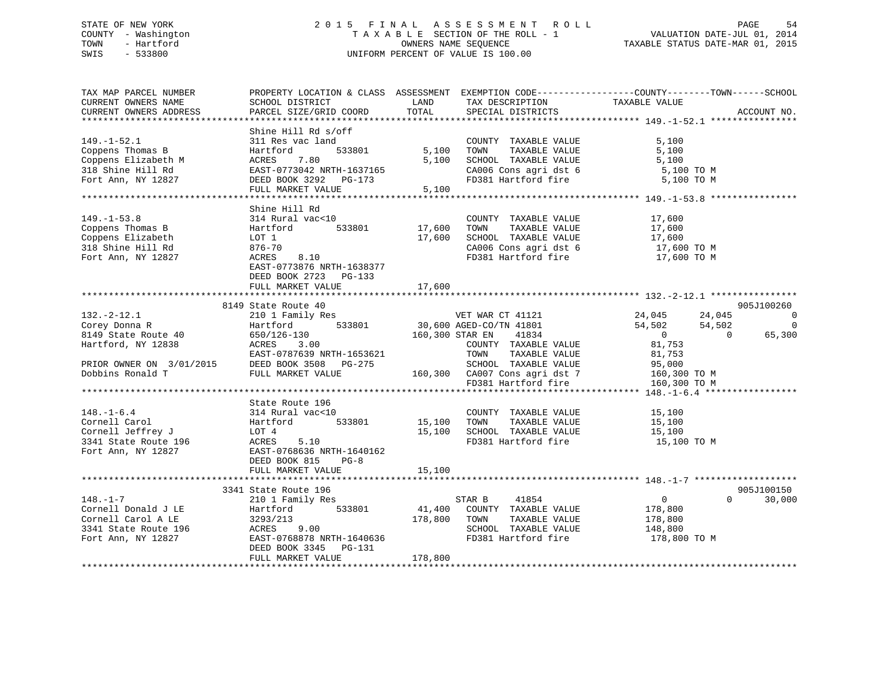## STATE OF NEW YORK 2 0 1 5 F I N A L A S S E S S M E N T R O L L PAGE 54 COUNTY - Washington T A X A B L E SECTION OF THE ROLL - 1 VALUATION DATE-JUL 01, 2014 TOWN - Hartford **TAXABLE STATUS DATE-MAR 01, 2015** OWNERS NAME SEQUENCE TAXABLE STATUS DATE-MAR 01, 2015 SWIS - 533800 UNIFORM PERCENT OF VALUE IS 100.00

| TAX MAP PARCEL NUMBER<br>CURRENT OWNERS NAME<br>CURRENT OWNERS ADDRESS                                                                                               | SCHOOL DISTRICT<br>PARCEL SIZE/GRID COORD                                                                                                                                                                                             | LAND<br>TOTAL                | TAX DESCRIPTION<br>SPECIAL DISTRICTS                                                                                                                                                                                                   | PROPERTY LOCATION & CLASS ASSESSMENT EXEMPTION CODE----------------COUNTY-------TOWN------SCHOOL<br>TAXABLE VALUE                                      | ACCOUNT NO.                           |
|----------------------------------------------------------------------------------------------------------------------------------------------------------------------|---------------------------------------------------------------------------------------------------------------------------------------------------------------------------------------------------------------------------------------|------------------------------|----------------------------------------------------------------------------------------------------------------------------------------------------------------------------------------------------------------------------------------|--------------------------------------------------------------------------------------------------------------------------------------------------------|---------------------------------------|
|                                                                                                                                                                      |                                                                                                                                                                                                                                       |                              |                                                                                                                                                                                                                                        |                                                                                                                                                        |                                       |
| $149. - 1 - 52.1$<br>Coppens Thomas B<br>Coppens Elizabeth M<br>318 Shine Hill Rd<br>Fort Ann, NY 12827                                                              | Shine Hill Rd s/off<br>311 Res vac land<br>533801<br>Hartford<br>7.80<br>ACRES<br>EAST-0773042 NRTH-1637165<br>DEED BOOK 3292 PG-173                                                                                                  | 5,100<br>5,100               | COUNTY TAXABLE VALUE<br>TOWN<br>TAXABLE VALUE<br>SCHOOL TAXABLE VALUE<br>CA006 Cons agri dst 6<br>FD381 Hartford fire                                                                                                                  | 5,100<br>5,100<br>5,100<br>5,100 TO M<br>5,100 TO M                                                                                                    |                                       |
|                                                                                                                                                                      | FULL MARKET VALUE                                                                                                                                                                                                                     | 5.100                        |                                                                                                                                                                                                                                        |                                                                                                                                                        |                                       |
| $149. - 1 - 53.8$<br>Coppens Thomas B<br>Coppens Elizabeth<br>318 Shine Hill Rd<br>Fort Ann, NY 12827                                                                | Shine Hill Rd<br>314 Rural vac<10<br>533801<br>Hartford<br>LOT 1<br>$876 - 70$<br>ACRES<br>8.10<br>EAST-0773876 NRTH-1638377<br>DEED BOOK 2723 PG-133                                                                                 | 17,600<br>17,600             | COUNTY TAXABLE VALUE<br>TOWN<br>TAXABLE VALUE<br>SCHOOL TAXABLE VALUE<br>CA006 Cons agri dst 6<br>FD381 Hartford fire                                                                                                                  | 17,600<br>17,600<br>17,600<br>17,600 TO M<br>17,600 TO M                                                                                               |                                       |
|                                                                                                                                                                      | FULL MARKET VALUE                                                                                                                                                                                                                     | 17,600                       |                                                                                                                                                                                                                                        |                                                                                                                                                        |                                       |
|                                                                                                                                                                      |                                                                                                                                                                                                                                       |                              |                                                                                                                                                                                                                                        |                                                                                                                                                        |                                       |
| $132. - 2 - 12.1$<br>Corey Donna R<br>8149 State Route 40<br>Hartford, NY 12838<br>PRIOR OWNER ON 3/01/2015<br>Dobbins Ronald T<br>$148. - 1 - 6.4$<br>Cornell Carol | 8149 State Route 40<br>210 1 Family Res<br>533801<br>Hartford<br>650/126-130<br>ACRES<br>3.00<br>EAST-0787639 NRTH-1653621<br>DEED BOOK 3508 PG-275<br>FULL MARKET VALUE<br>State Route 196<br>314 Rural vac<10<br>533801<br>Hartford | 160,300 STAR EN<br>15,100    | VET WAR CT 41121<br>30,600 AGED-CO/TN 41801<br>41834<br>COUNTY TAXABLE VALUE<br>TOWN<br>TAXABLE VALUE<br>SCHOOL TAXABLE VALUE<br>160,300 CA007 Cons agri dst 7<br>FD381 Hartford fire<br>COUNTY TAXABLE VALUE<br>TOWN<br>TAXABLE VALUE | 24,045<br>24,045<br>54,502<br>54,502<br>$\overline{0}$<br>$\bigcirc$<br>81,753<br>81,753<br>95,000<br>160,300 TO M<br>160,300 TO M<br>15,100<br>15,100 | 905J100260<br>0<br>$\Omega$<br>65,300 |
| Cornell Jeffrey J<br>3341 State Route 196<br>Fort Ann, NY 12827                                                                                                      | LOT 4<br>5.10<br>ACRES<br>EAST-0768636 NRTH-1640162<br>DEED BOOK 815<br>$PG-8$<br>FULL MARKET VALUE                                                                                                                                   | 15,100<br>15,100             | SCHOOL TAXABLE VALUE<br>FD381 Hartford fire                                                                                                                                                                                            | 15,100<br>15,100 TO M                                                                                                                                  |                                       |
|                                                                                                                                                                      |                                                                                                                                                                                                                                       |                              |                                                                                                                                                                                                                                        |                                                                                                                                                        |                                       |
| $148. - 1 - 7$<br>Cornell Donald J LE<br>Cornell Carol A LE<br>3341 State Route 196<br>Fort Ann, NY 12827                                                            | 3341 State Route 196<br>210 1 Family Res<br>Hartford<br>533801<br>3293/213<br>ACRES<br>9.00<br>EAST-0768878 NRTH-1640636<br>DEED BOOK 3345<br>PG-131<br>FULL MARKET VALUE                                                             | 41,400<br>178,800<br>178,800 | 41854<br>STAR B<br>COUNTY TAXABLE VALUE<br>TOWN<br>TAXABLE VALUE<br>SCHOOL TAXABLE VALUE<br>FD381 Hartford fire                                                                                                                        | $\overline{0}$<br>$\Omega$<br>178,800<br>178,800<br>148,800<br>178,800 TO M                                                                            | 905J100150<br>30,000                  |
|                                                                                                                                                                      |                                                                                                                                                                                                                                       |                              |                                                                                                                                                                                                                                        |                                                                                                                                                        |                                       |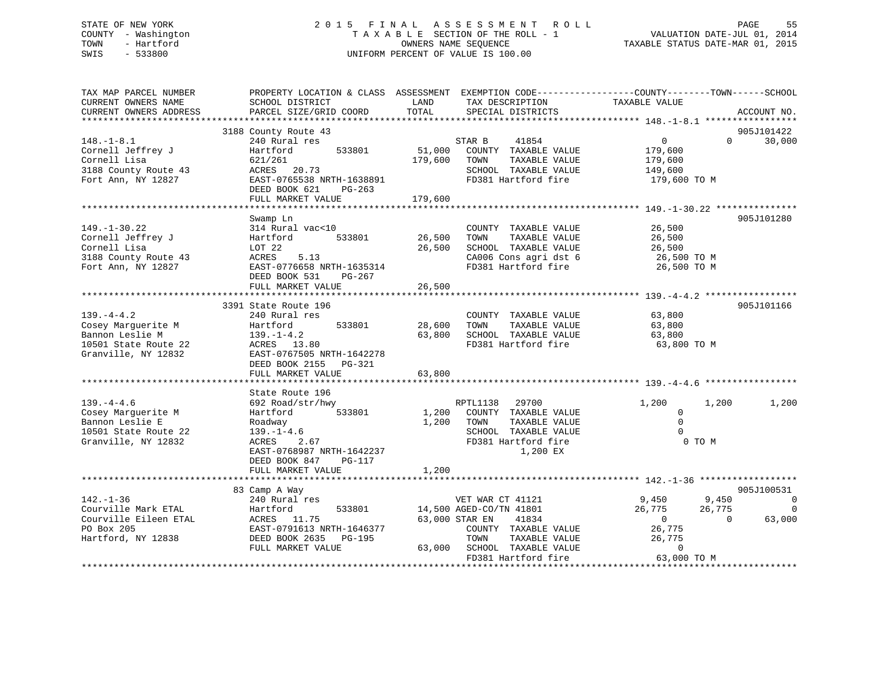## STATE OF NEW YORK 2 0 1 5 F I N A L A S S E S S M E N T R O L L PAGE 55 COUNTY - Washington T A X A B L E SECTION OF THE ROLL - 1 VALUATION DATE-JUL 01, 2014 TOWN - Hartford **TAXABLE STATUS DATE-MAR 01, 2015** OWNERS NAME SEQUENCE TAXABLE STATUS DATE-MAR 01, 2015 SWIS - 533800 UNIFORM PERCENT OF VALUE IS 100.00

| TAX MAP PARCEL NUMBER<br>CURRENT OWNERS NAME<br>CURRENT OWNERS ADDRESS                                  | PROPERTY LOCATION & CLASS ASSESSMENT EXEMPTION CODE----------------COUNTY-------TOWN------SCHOOL<br>SCHOOL DISTRICT<br>PARCEL SIZE/GRID COORD                     | LAND<br>TOTAL     | TAX DESCRIPTION<br>SPECIAL DISTRICTS                                                                                                            | TAXABLE VALUE                                                                  | ACCOUNT NO.                               |
|---------------------------------------------------------------------------------------------------------|-------------------------------------------------------------------------------------------------------------------------------------------------------------------|-------------------|-------------------------------------------------------------------------------------------------------------------------------------------------|--------------------------------------------------------------------------------|-------------------------------------------|
|                                                                                                         |                                                                                                                                                                   |                   |                                                                                                                                                 |                                                                                |                                           |
| $148. - 1 - 8.1$                                                                                        | 3188 County Route 43<br>240 Rural res                                                                                                                             |                   | 41854<br>STAR B                                                                                                                                 | $\overline{0}$                                                                 | 905J101422<br>$\Omega$<br>30,000          |
| Cornell Jeffrey J<br>Cornell Lisa                                                                       | 533801<br>Hartford<br>621/261                                                                                                                                     | 51,000<br>179,600 | COUNTY TAXABLE VALUE<br>TAXABLE VALUE<br>TOWN                                                                                                   | 179,600<br>179,600                                                             |                                           |
| 3188 County Route 43<br>Fort Ann, NY 12827                                                              | ACRES 20.73<br>EAST-0765538 NRTH-1638891<br>DEED BOOK 621<br>PG-263                                                                                               |                   | SCHOOL TAXABLE VALUE<br>FD381 Hartford fire                                                                                                     | 149,600<br>179,600 TO M                                                        |                                           |
|                                                                                                         | FULL MARKET VALUE                                                                                                                                                 | 179,600           |                                                                                                                                                 |                                                                                |                                           |
|                                                                                                         | Swamp Ln                                                                                                                                                          |                   |                                                                                                                                                 |                                                                                | 905J101280                                |
| $149. - 1 - 30.22$<br>Cornell Jeffrey J<br>Cornell Lisa<br>3188 County Route 43                         | 314 Rural vac<10<br>Hartford<br>533801<br>LOT 22<br>5.13<br>ACRES                                                                                                 | 26,500<br>26,500  | COUNTY TAXABLE VALUE<br>TOWN<br>TAXABLE VALUE<br>SCHOOL TAXABLE VALUE<br>CA006 Cons agri dst 6                                                  | 26,500<br>26,500<br>26,500<br>26,500 TO M                                      |                                           |
| Fort Ann, NY 12827                                                                                      | EAST-0776658 NRTH-1635314<br>DEED BOOK 531<br>PG-267<br>FULL MARKET VALUE                                                                                         | 26,500            | FD381 Hartford fire                                                                                                                             | 26,500 TO M                                                                    |                                           |
|                                                                                                         |                                                                                                                                                                   |                   |                                                                                                                                                 |                                                                                |                                           |
|                                                                                                         | 3391 State Route 196                                                                                                                                              |                   |                                                                                                                                                 |                                                                                | 905J101166                                |
| $139. -4 - 4.2$<br>Cosey Marquerite M<br>Bannon Leslie M<br>10501 State Route 22<br>Granville, NY 12832 | 240 Rural res<br>533801<br>Hartford<br>$139. - 1 - 4.2$<br>ACRES 13.80<br>EAST-0767505 NRTH-1642278<br>DEED BOOK 2155 PG-321                                      | 28,600<br>63,800  | COUNTY TAXABLE VALUE<br>TAXABLE VALUE<br>TOWN<br>SCHOOL TAXABLE VALUE<br>FD381 Hartford fire                                                    | 63,800<br>63,800<br>63,800<br>63,800 TO M                                      |                                           |
|                                                                                                         | FULL MARKET VALUE                                                                                                                                                 | 63,800            |                                                                                                                                                 |                                                                                |                                           |
|                                                                                                         |                                                                                                                                                                   |                   |                                                                                                                                                 |                                                                                |                                           |
| $139. -4 - 4.6$<br>Cosey Marquerite M<br>Bannon Leslie E<br>10501 State Route 22<br>Granville, NY 12832 | State Route 196<br>692 Road/str/hwy<br>533801<br>Hartford<br>Roadway<br>$139. - 1 - 4.6$<br>ACRES<br>2.67<br>EAST-0768987 NRTH-1642237<br>DEED BOOK 847<br>PG-117 | 1,200<br>1,200    | RPTL1138<br>29700<br>COUNTY TAXABLE VALUE<br>TOWN<br>TAXABLE VALUE<br>SCHOOL TAXABLE VALUE<br>FD381 Hartford fire<br>1,200 EX                   | 1,200<br>1,200<br>$\Omega$<br>$\Omega$<br>$\Omega$<br>0 TO M                   | 1,200                                     |
|                                                                                                         | FULL MARKET VALUE                                                                                                                                                 | 1,200             |                                                                                                                                                 |                                                                                |                                           |
|                                                                                                         | 83 Camp A Way                                                                                                                                                     |                   |                                                                                                                                                 |                                                                                | 905J100531                                |
| $142. - 1 - 36$<br>Courville Mark ETAL<br>Courville Eileen ETAL<br>PO Box 205<br>Hartford, NY 12838     | 240 Rural res<br>Hartford<br>533801<br>ACRES 11.75<br>EAST-0791613 NRTH-1646377<br>DEED BOOK 2635<br>PG-195<br>FULL MARKET VALUE                                  | 63,000            | VET WAR CT 41121<br>14,500 AGED-CO/TN 41801<br>63,000 STAR EN<br>41834<br>COUNTY TAXABLE VALUE<br>TOWN<br>TAXABLE VALUE<br>SCHOOL TAXABLE VALUE | 9,450<br>9,450<br>26,775<br>26,775<br>$\Omega$<br>26,775<br>26,775<br>$\Omega$ | 0<br>$\overline{0}$<br>63,000<br>$\Omega$ |
|                                                                                                         |                                                                                                                                                                   |                   | FD381 Hartford fire                                                                                                                             | 63,000 TO M                                                                    |                                           |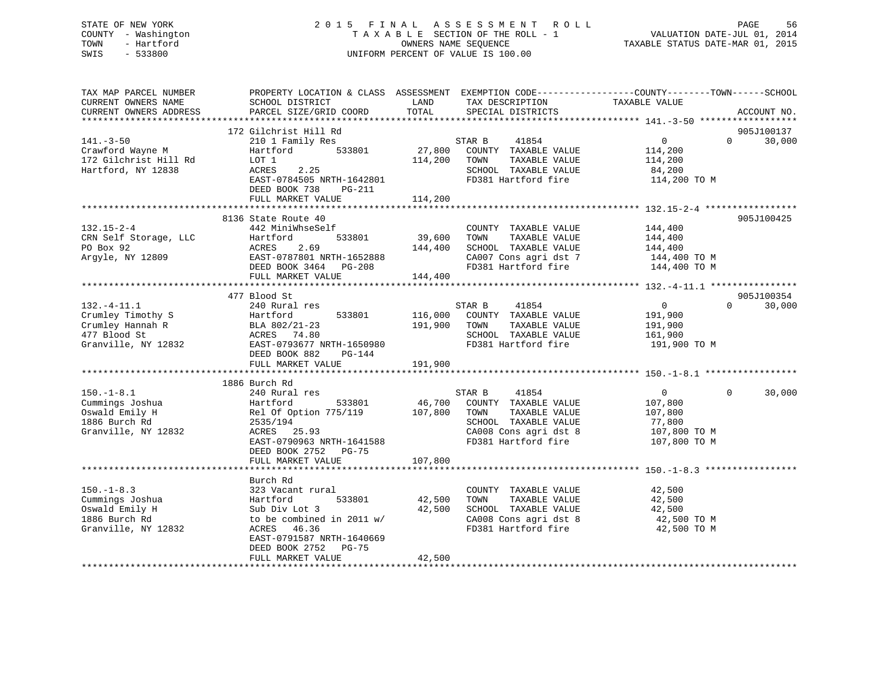## STATE OF NEW YORK 2 0 1 5 F I N A L A S S E S S M E N T R O L L PAGE 56 COUNTY - Washington T A X A B L E SECTION OF THE ROLL - 1 VALUATION DATE-JUL 01, 2014 TOWN - Hartford **TAXABLE STATUS DATE-MAR 01, 2015** OWNERS NAME SEQUENCE TAXABLE STATUS DATE-MAR 01, 2015 SWIS - 533800 UNIFORM PERCENT OF VALUE IS 100.00

| TAX MAP PARCEL NUMBER<br>CURRENT OWNERS NAME<br>CURRENT OWNERS ADDRESS                           | PROPERTY LOCATION & CLASS ASSESSMENT EXEMPTION CODE---------------COUNTY-------TOWN-----SCHOOL<br>SCHOOL DISTRICT<br>PARCEL SIZE/GRID COORD                                       | LAND<br>TOTAL                 | TAX DESCRIPTION<br>SPECIAL DISTRICTS                                                                                                     | TAXABLE VALUE                                                                              | ACCOUNT NO.          |
|--------------------------------------------------------------------------------------------------|-----------------------------------------------------------------------------------------------------------------------------------------------------------------------------------|-------------------------------|------------------------------------------------------------------------------------------------------------------------------------------|--------------------------------------------------------------------------------------------|----------------------|
| $141. - 3 - 50$<br>Crawford Wayne M<br>172 Gilchrist Hill Rd<br>Hartford, NY 12838               | 172 Gilchrist Hill Rd<br>210 1 Family Res<br>533801<br>Hartford<br>LOT 1<br>ACRES<br>2.25<br>EAST-0784505 NRTH-1642801<br>DEED BOOK 738<br>PG-211                                 | 27,800<br>114,200             | STAR B<br>41854<br>COUNTY TAXABLE VALUE<br>TOWN<br>TAXABLE VALUE<br>SCHOOL TAXABLE VALUE<br>FD381 Hartford fire                          | 0<br>$\Omega$<br>114,200<br>114,200<br>84,200<br>114,200 TO M                              | 905J100137<br>30,000 |
|                                                                                                  | FULL MARKET VALUE<br>*************************                                                                                                                                    | 114,200<br>************       |                                                                                                                                          |                                                                                            |                      |
| $132.15 - 2 - 4$<br>CRN Self Storage, LLC<br>PO Box 92<br>Argyle, NY 12809                       | 8136 State Route 40<br>442 MiniWhseSelf<br>Hartford<br>533801<br>ACRES<br>2.69<br>EAST-0787801 NRTH-1652888<br>DEED BOOK 3464 PG-208<br>FULL MARKET VALUE                         | 39,600<br>144,400<br>144,400  | COUNTY TAXABLE VALUE<br>TOWN<br>TAXABLE VALUE<br>SCHOOL TAXABLE VALUE<br>CA007 Cons agri dst 7<br>FD381 Hartford fire                    | 144,400<br>144,400<br>144,400<br>144,400 TO M<br>144,400 TO M                              | 905J100425           |
|                                                                                                  |                                                                                                                                                                                   |                               |                                                                                                                                          |                                                                                            |                      |
| $132. -4 - 11.1$<br>Crumley Timothy S<br>Crumley Hannah R<br>477 Blood St<br>Granville, NY 12832 | 477 Blood St<br>240 Rural res<br>533801<br>Hartford<br>BLA 802/21-23<br>ACRES 74.80<br>EAST-0793677 NRTH-1650980<br>DEED BOOK 882<br>PG-144<br>FULL MARKET VALUE                  | 116,000<br>191,900<br>191,900 | STAR B<br>41854<br>COUNTY TAXABLE VALUE<br>TOWN<br>TAXABLE VALUE<br>SCHOOL TAXABLE VALUE<br>FD381 Hartford fire                          | $\overline{0}$<br>$\Omega$<br>191,900<br>191,900<br>161,900<br>191,900 TO M                | 905J100354<br>30,000 |
|                                                                                                  |                                                                                                                                                                                   |                               |                                                                                                                                          |                                                                                            |                      |
| $150. - 1 - 8.1$<br>Cummings Joshua<br>Oswald Emily H<br>1886 Burch Rd<br>Granville, NY 12832    | 1886 Burch Rd<br>240 Rural res<br>533801<br>Hartford<br>Rel Of Option 775/119<br>2535/194<br>25.93<br>ACRES<br>EAST-0790963 NRTH-1641588<br>DEED BOOK 2752 PG-75                  | 46,700<br>107,800             | STAR B<br>41854<br>COUNTY TAXABLE VALUE<br>TOWN<br>TAXABLE VALUE<br>SCHOOL TAXABLE VALUE<br>CA008 Cons agri dst 8<br>FD381 Hartford fire | $\overline{0}$<br>$\Omega$<br>107,800<br>107,800<br>77,800<br>107,800 TO M<br>107,800 TO M | 30,000               |
|                                                                                                  | FULL MARKET VALUE                                                                                                                                                                 | 107,800                       |                                                                                                                                          |                                                                                            |                      |
| $150. - 1 - 8.3$<br>Cummings Joshua<br>Oswald Emily H<br>1886 Burch Rd<br>Granville, NY 12832    | Burch Rd<br>323 Vacant rural<br>533801<br>Hartford<br>Sub Div Lot 3<br>to be combined in 2011 w/<br>46.36<br>ACRES<br>EAST-0791587 NRTH-1640669<br>DEED BOOK 2752<br><b>PG-75</b> | 42,500<br>42,500              | COUNTY TAXABLE VALUE<br>TAXABLE VALUE<br>TOWN<br>SCHOOL TAXABLE VALUE<br>CA008 Cons agri dst 8<br>FD381 Hartford fire                    | 42,500<br>42,500<br>42,500<br>42,500 TO M<br>42,500 TO M                                   |                      |
|                                                                                                  | FULL MARKET VALUE                                                                                                                                                                 | 42,500                        |                                                                                                                                          |                                                                                            |                      |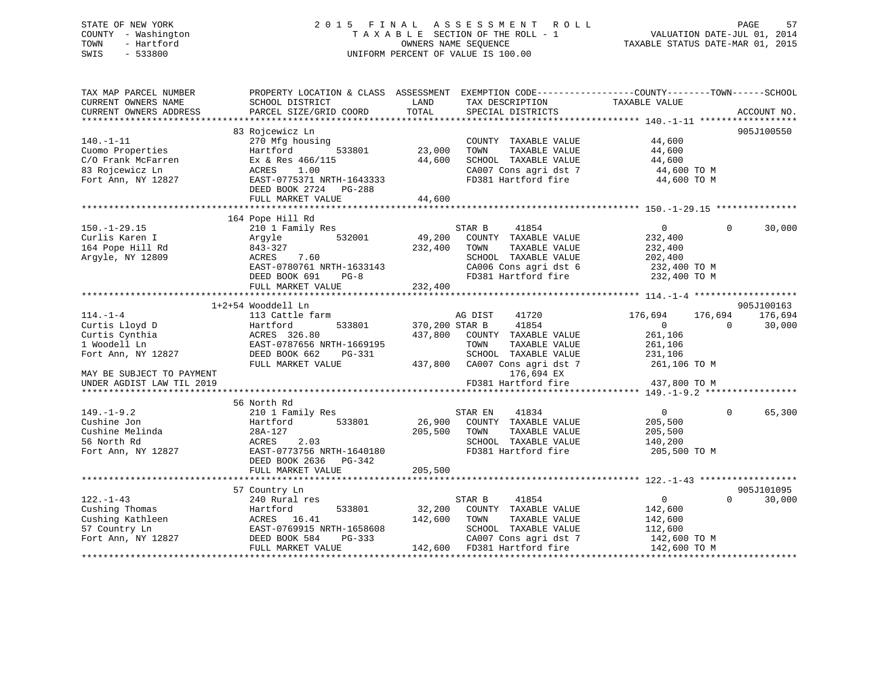## STATE OF NEW YORK 2 0 1 5 F I N A L A S S E S S M E N T R O L L PAGE 57 COUNTY - Washington T A X A B L E SECTION OF THE ROLL - 1 VALUATION DATE-JUL 01, 2014 TOWN - Hartford OWNERS NAME SEQUENCE TAXABLE STATUS DATE-MAR 01, 2015 SWIS - 533800 UNIFORM PERCENT OF VALUE IS 100.00

| TAX MAP PARCEL NUMBER<br>CURRENT OWNERS NAME<br>CURRENT OWNERS ADDRESS | PROPERTY LOCATION & CLASS ASSESSMENT<br>SCHOOL DISTRICT<br>PARCEL SIZE/GRID COORD | LAND<br>TOTAL  | TAX DESCRIPTION<br>SPECIAL DISTRICTS | EXEMPTION CODE-----------------COUNTY-------TOWN------SCHOOL<br>TAXABLE VALUE | ACCOUNT NO. |
|------------------------------------------------------------------------|-----------------------------------------------------------------------------------|----------------|--------------------------------------|-------------------------------------------------------------------------------|-------------|
|                                                                        |                                                                                   |                |                                      |                                                                               |             |
|                                                                        | 83 Rojcewicz Ln                                                                   |                |                                      |                                                                               | 905J100550  |
| $140. - 1 - 11$                                                        | 270 Mfg housing                                                                   |                | COUNTY TAXABLE VALUE                 | 44,600                                                                        |             |
| Cuomo Properties                                                       | Hartford<br>533801                                                                | 23,000         | TAXABLE VALUE<br>TOWN                | 44,600                                                                        |             |
| C/O Frank McFarren                                                     | Ex & Res 466/115                                                                  | 44,600         | SCHOOL TAXABLE VALUE                 | 44,600                                                                        |             |
| 83 Rojcewicz Ln                                                        | ACRES<br>1.00                                                                     |                | CA007 Cons agri dst 7                | 44,600 TO M                                                                   |             |
| Fort Ann, NY 12827                                                     | EAST-0775371 NRTH-1643333                                                         |                | FD381 Hartford fire                  | 44,600 TO M                                                                   |             |
|                                                                        | DEED BOOK 2724<br>PG-288                                                          |                |                                      |                                                                               |             |
|                                                                        | FULL MARKET VALUE                                                                 | 44,600         |                                      |                                                                               |             |
|                                                                        |                                                                                   |                |                                      |                                                                               |             |
|                                                                        | 164 Pope Hill Rd                                                                  |                |                                      |                                                                               |             |
| $150. - 1 - 29.15$                                                     | 210 1 Family Res                                                                  |                | STAR B<br>41854                      | $\overline{0}$<br>$\Omega$                                                    | 30,000      |
| Curlis Karen I                                                         | 532001<br>Argyle                                                                  | 49,200         | COUNTY TAXABLE VALUE                 | 232,400                                                                       |             |
| 164 Pope Hill Rd                                                       | 843-327                                                                           | 232,400        | TOWN<br>TAXABLE VALUE                | 232,400                                                                       |             |
| Argyle, NY 12809                                                       | 7.60<br>ACRES                                                                     |                | SCHOOL TAXABLE VALUE                 | 202,400                                                                       |             |
|                                                                        | EAST-0780761 NRTH-1633143                                                         |                | CA006 Cons agri dst 6                |                                                                               |             |
|                                                                        |                                                                                   |                | FD381 Hartford fire                  | 232,400 TO M                                                                  |             |
|                                                                        | DEED BOOK 691<br>$PG-8$                                                           |                |                                      | 232,400 TO M                                                                  |             |
|                                                                        | FULL MARKET VALUE                                                                 | 232,400        |                                      |                                                                               |             |
|                                                                        |                                                                                   |                |                                      |                                                                               |             |
|                                                                        | 1+2+54 Wooddell Ln                                                                |                |                                      |                                                                               | 905J100163  |
| $114. - 1 - 4$                                                         | 113 Cattle farm                                                                   |                | AG DIST<br>41720                     | 176,694<br>176,694                                                            | 176,694     |
| Curtis Lloyd D                                                         | 533801<br>Hartford                                                                | 370,200 STAR B | 41854                                | $\overline{0}$<br>$\Omega$                                                    | 30,000      |
| Curtis Cynthia                                                         | ACRES 326.80                                                                      | 437,800        | COUNTY TAXABLE VALUE                 | 261,106                                                                       |             |
| 1 Woodell Ln                                                           | EAST-0787656 NRTH-1669195                                                         |                | TAXABLE VALUE<br>TOWN                | 261,106                                                                       |             |
| Fort Ann, NY 12827                                                     | DEED BOOK 662<br>PG-331                                                           |                | SCHOOL TAXABLE VALUE                 | 231,106                                                                       |             |
|                                                                        | FULL MARKET VALUE                                                                 | 437,800        | CA007 Cons agri dst 7                | 261,106 TO M                                                                  |             |
| MAY BE SUBJECT TO PAYMENT                                              |                                                                                   |                | 176,694 EX                           |                                                                               |             |
| UNDER AGDIST LAW TIL 2019                                              |                                                                                   |                | FD381 Hartford fire                  | 437,800 TO M                                                                  |             |
|                                                                        |                                                                                   |                |                                      |                                                                               |             |
|                                                                        | 56 North Rd                                                                       |                |                                      |                                                                               |             |
| $149. - 1 - 9.2$                                                       | 210 1 Family Res                                                                  |                | STAR EN<br>41834                     | $\Omega$<br>$\overline{0}$                                                    | 65,300      |
| Cushine Jon                                                            | 533801<br>Hartford                                                                | 26,900         | COUNTY TAXABLE VALUE                 | 205,500                                                                       |             |
| Cushine Melinda                                                        | 28A-127                                                                           | 205,500        | TAXABLE VALUE<br>TOWN                | 205,500                                                                       |             |
| 56 North Rd                                                            | ACRES<br>2.03                                                                     |                | SCHOOL TAXABLE VALUE                 | 140,200                                                                       |             |
| Fort Ann, NY 12827                                                     | EAST-0773756 NRTH-1640180                                                         |                | FD381 Hartford fire                  | 205,500 TO M                                                                  |             |
|                                                                        | DEED BOOK 2636 PG-342                                                             |                |                                      |                                                                               |             |
|                                                                        | FULL MARKET VALUE                                                                 | 205,500        |                                      |                                                                               |             |
|                                                                        |                                                                                   |                |                                      |                                                                               |             |
|                                                                        | 57 Country Ln                                                                     |                |                                      |                                                                               | 905J101095  |
| $122. - 1 - 43$                                                        | 240 Rural res                                                                     |                | 41854<br>STAR B                      | $\mathbf 0$<br>$\Omega$                                                       | 30,000      |
| Cushing Thomas                                                         | 533801<br>Hartford                                                                | 32,200         | COUNTY TAXABLE VALUE                 | 142,600                                                                       |             |
|                                                                        |                                                                                   |                |                                      |                                                                               |             |
| Cushing Kathleen                                                       | ACRES 16.41                                                                       | 142,600        | TOWN<br>TAXABLE VALUE                | 142,600                                                                       |             |
| 57 Country Ln                                                          | EAST-0769915 NRTH-1658608                                                         |                | SCHOOL TAXABLE VALUE                 | 112,600                                                                       |             |
| Fort Ann, NY 12827                                                     | DEED BOOK 584<br>PG-333                                                           |                | CA007 Cons agri dst 7                | 142,600 TO M                                                                  |             |
|                                                                        | FULL MARKET VALUE                                                                 |                | 142,600 FD381 Hartford fire          | 142,600 TO M                                                                  |             |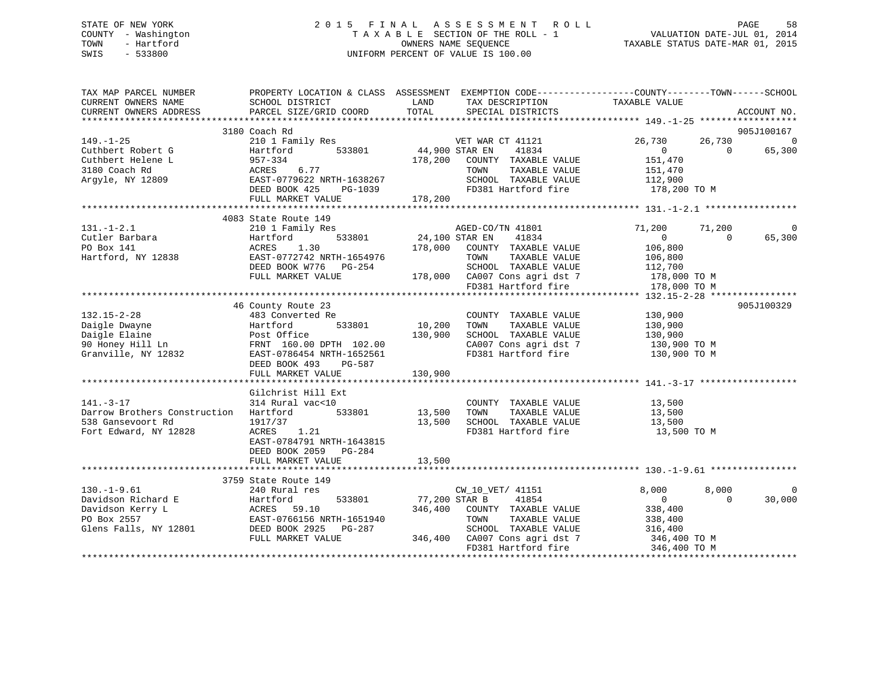### STATE OF NEW YORK STATE OF NEW YORK SEE SOMEN THE SEE SOME NOT THE ROLL SEE SOME OF A LIMIT AS SEES SMENT ROLL COUNTY - Washington T A X A B L E SECTION OF THE ROLL - 1<br>TOWN - Hartford TOWN - And COUNTRINAL SEQUENCE OWNERS NAME SEQUENCE TAXABLE STATUS DATE-MAR 01, 2015 SWIS - 533800 UNIFORM PERCENT OF VALUE IS 100.00

| TAX MAP PARCEL NUMBER<br>CURRENT OWNERS NAME<br>CURRENT OWNERS ADDRESS                                                                                                                                                                                            | PROPERTY LOCATION & CLASS ASSESSMENT EXEMPTION CODE----------------COUNTY-------TOWN------SCHOOL<br>SCHOOL DISTRICT<br>PARCEL SIZE/GRID COORD TOTAL SPECIAL DISTRICTS | LAND                  | TAX DESCRIPTION TAXABLE VALUE                                                                                                                                                                                                                               |                                                                                  |                          | ACCOUNT NO.            |
|-------------------------------------------------------------------------------------------------------------------------------------------------------------------------------------------------------------------------------------------------------------------|-----------------------------------------------------------------------------------------------------------------------------------------------------------------------|-----------------------|-------------------------------------------------------------------------------------------------------------------------------------------------------------------------------------------------------------------------------------------------------------|----------------------------------------------------------------------------------|--------------------------|------------------------|
| $149. - 1 - 25$                                                                                                                                                                                                                                                   | 3180 Coach Rd                                                                                                                                                         |                       |                                                                                                                                                                                                                                                             |                                                                                  |                          | 905J100167<br>$\Omega$ |
| Cuthbert Robert G<br>Cuthbert Helene L<br>3180 Coach Rd<br>3180 Coach Rd<br>3180 Coach Rd<br>3180 Coach Rd<br>3180 EAST-0779622 NRTH-1638267                                                                                                                      | DEED BOOK 425 PG-1039                                                                                                                                                 |                       | VET WAR CT 41121<br>41834<br>178,200 COUNTY TAXABLE VALUE<br>TOWN<br>TAXABLE VALUE<br>SCHOOL TAXABLE VALULE<br>FD381 Hartford fire<br>SCHOOL TAXABLE VALUE 112,900                                                                                          | 26,730<br>$\begin{array}{c} 0 \\ 151,470 \end{array}$<br>151,470<br>178,200 TO M | 26,730<br>$\overline{0}$ | 65,300                 |
|                                                                                                                                                                                                                                                                   | FULL MARKET VALUE                                                                                                                                                     | 178,200               |                                                                                                                                                                                                                                                             |                                                                                  |                          |                        |
|                                                                                                                                                                                                                                                                   | 4083 State Route 149                                                                                                                                                  |                       |                                                                                                                                                                                                                                                             |                                                                                  |                          |                        |
| $131. - 1 - 2.1$<br>Cutler Barbara<br>PO Box 141<br>Hartford, NY 12838<br>EAST-0772742 NRTH-1654976                                                                                                                                                               | 210 1 Family Res<br>Hartford<br>DEED BOOK W776 PG-254<br>FULL MARKET VALUE                                                                                            |                       | 3<br>533801 24,100 STAR EN 41834<br>533801 24,100 STAR EN 41834<br>178,000 COUNTY TAXABLE VALUE<br>TOWN TAXABLE VALUE<br>SCHOOL TAXABLE VALUE<br>TAXABLE VALUE<br>SCHOOL TAXABLE VALUE<br>178,000 CA007 Cons agri dst 7 178,000 TO M<br>FD381 Hartford fire | 71,200 71,200<br>$\overline{0}$<br>106,800<br>106,800<br>112,700<br>178,000 TO M | $\Omega$                 | 0<br>65,300            |
|                                                                                                                                                                                                                                                                   |                                                                                                                                                                       |                       |                                                                                                                                                                                                                                                             |                                                                                  |                          |                        |
|                                                                                                                                                                                                                                                                   | 46 County Route 23                                                                                                                                                    |                       | COUNTY TAXABLE VALUE 130,900<br>10,200 TOWN TAXABLE VALUE<br>130,900 CHOOL TAXABLE VALUE 130,900<br>130,900 SCHOOL TAXABLE VALUE 130,900<br>CA007 Cons agri dst 7 130,900 TO M<br>FD381 Hartford fire 130,900 TO M                                          | 130,900                                                                          |                          | 905J100329             |
|                                                                                                                                                                                                                                                                   | FULL MARKET VALUE                                                                                                                                                     | 130,900               |                                                                                                                                                                                                                                                             |                                                                                  |                          |                        |
| $141. - 3 - 17$<br>Darrow Brothers Construction Hartford 533801<br>538 Gansevoort Rd<br>Fort Edward, NY 12828                                                                                                                                                     | Gilchrist Hill Ext<br>314 Rural vac<10<br>1917/37<br>ACRES 1.21<br>EAST-0784791 NRTH-1643815<br>DEED BOOK 2059 PG-284                                                 | COUNTY<br>13,500 TOWN | COUNTY TAXABLE VALUE 13,500<br>TOWN TAXABLE VALUE 13,500<br>13,500 SCHOOL TAXABLE VALUE 13,500<br>FD381 Hartford fire                                                                                                                                       | 13,500 TO M                                                                      |                          |                        |
|                                                                                                                                                                                                                                                                   | FULL MARKET VALUE                                                                                                                                                     | 13,500                |                                                                                                                                                                                                                                                             |                                                                                  |                          |                        |
|                                                                                                                                                                                                                                                                   | 3759 State Route 149                                                                                                                                                  |                       |                                                                                                                                                                                                                                                             |                                                                                  |                          |                        |
| $130.-1-9.61$<br>Davidson Richard E<br>Davidson Kerry L<br>PO Box 2557<br>San EAST-0766156 NRTH-1651940<br>Glens Falls, NY 12801<br>EAST-0766156 NRTH-1651940<br>ERST-0766156 NRTH-1651940<br>ERST-0766156 NRTH-1651940<br>ERST-0766156 NRTH-1651940<br>ERST-0766 | 240 Rural res<br>533801 77,200 STAR B<br>FULL MARKET VALUE                                                                                                            |                       | CW_10_VET/ 41151<br>41854<br>346,400 COUNTY TAXABLE VALUE<br>TOWN<br>$G-287$ SCHOOL TAXABLE VALUE 316,400<br>346,400 CA007 Cons agri dst 7 346,400 TO M<br>FD381 Hartford fire                                                                              | 8,000<br>$\overline{0}$<br>338,400<br>TAXABLE VALUE 338,400<br>346,400 TO M      | 8,000<br>$\Omega$        | $\mathbf 0$<br>30,000  |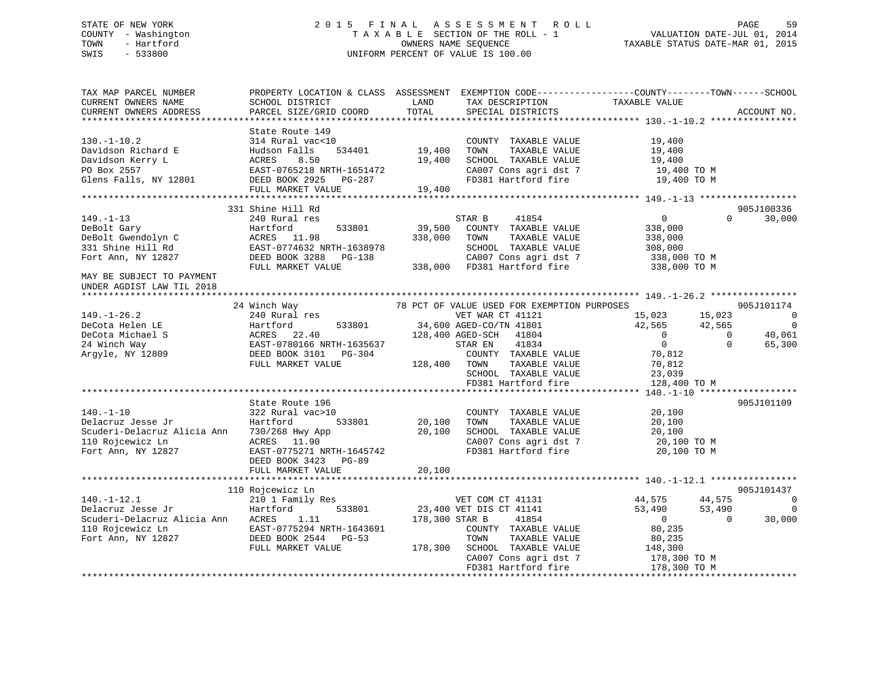## STATE OF NEW YORK 2 0 1 5 F I N A L A S S E S S M E N T R O L L PAGE 59 COUNTY - Washington T A X A B L E SECTION OF THE ROLL - 1 VALUATION DATE-JUL 01, 2014 TOWN - Hartford **TAXABLE STATUS DATE-MAR 01, 2015** OWNERS NAME SEQUENCE TAXABLE STATUS DATE-MAR 01, 2015 SWIS - 533800 UNIFORM PERCENT OF VALUE IS 100.00

| TAX MAP PARCEL NUMBER             | PROPERTY LOCATION & CLASS ASSESSMENT EXEMPTION CODE---------------COUNTY-------TOWN-----SCHOOL |              |                                             |                  |                                    |
|-----------------------------------|------------------------------------------------------------------------------------------------|--------------|---------------------------------------------|------------------|------------------------------------|
| CURRENT OWNERS NAME               | SCHOOL DISTRICT                                                                                | LAND         | TAX DESCRIPTION                             | TAXABLE VALUE    |                                    |
| CURRENT OWNERS ADDRESS            | PARCEL SIZE/GRID COORD                                                                         | TOTAL        | SPECIAL DISTRICTS                           |                  | ACCOUNT NO.                        |
|                                   |                                                                                                |              |                                             |                  |                                    |
|                                   | State Route 149                                                                                |              |                                             |                  |                                    |
| $130. - 1 - 10.2$                 | 314 Rural vac<10                                                                               | 19,400       | COUNTY TAXABLE VALUE                        | 19,400           |                                    |
| Davidson Richard E                | Hudson Falls<br>534401                                                                         |              | TOWN<br>TAXABLE VALUE                       | 19,400           |                                    |
| Davidson Kerry L                  | ACRES<br>8.50                                                                                  | 19,400       | SCHOOL TAXABLE VALUE                        | 19,400           |                                    |
| PO Box 2557                       | EAST-0765218 NRTH-1651472                                                                      |              | CA007 Cons agri dst 7                       | $19,400$ TO M    |                                    |
| Glens Falls, NY 12801             | DEED BOOK 2925 PG-287                                                                          |              | FD381 Hartford fire                         | 19,400 TO M      |                                    |
|                                   | FULL MARKET VALUE                                                                              | 19,400       |                                             |                  |                                    |
|                                   |                                                                                                |              |                                             |                  |                                    |
|                                   | 331 Shine Hill Rd                                                                              |              |                                             |                  | 905J100336                         |
| $149. - 1 - 13$                   | 240 Rural res                                                                                  |              | STAR B<br>41854                             | $\overline{0}$   | 30,000<br>$\Omega$                 |
| DeBolt Gary                       | 533801<br>Hartford                                                                             | 39,500       | COUNTY TAXABLE VALUE                        | 338,000          |                                    |
| DeBolt Gwendolyn C                | ACRES 11.98                                                                                    | 338,000      | TOWN<br>TAXABLE VALUE                       | 338,000          |                                    |
| 331 Shine Hill Rd                 | EAST-0774632 NRTH-1638978                                                                      |              | SCHOOL TAXABLE VALUE                        | 308,000          |                                    |
| Fort Ann, NY 12827                | DEED BOOK 3288 PG-138                                                                          |              |                                             | 338,000 TO M     |                                    |
|                                   | FULL MARKET VALUE                                                                              |              |                                             | 338,000 TO M     |                                    |
| MAY BE SUBJECT TO PAYMENT         |                                                                                                |              |                                             |                  |                                    |
| UNDER AGDIST LAW TIL 2018         |                                                                                                |              |                                             |                  |                                    |
|                                   |                                                                                                |              |                                             |                  |                                    |
|                                   | 24 Winch Way                                                                                   |              | 78 PCT OF VALUE USED FOR EXEMPTION PURPOSES |                  | 905J101174                         |
| $149. - 1 - 26.2$                 | 240 Rural res                                                                                  |              | VET WAR CT 41121                            | 15,023<br>15,023 | $\overline{0}$                     |
| DeCota Helen LE                   | 533801<br>Hartford                                                                             |              | 34,600 AGED-CO/TN 41801                     | 42,565           | $\overline{\phantom{0}}$<br>42,565 |
| DeCota Michael S                  | ACRES 22.40                                                                                    |              | 128,400 AGED-SCH 41804                      | $\overline{0}$   | 40,061<br>$\overline{0}$           |
| 24 Winch Way                      | EAST-0780166 NRTH-1635637                                                                      |              | 41834<br>STAR EN                            | $\overline{0}$   | $\Omega$<br>65,300                 |
| Argyle, NY 12809                  | DEED BOOK 3101 PG-304                                                                          |              | COUNTY TAXABLE VALUE                        | 70,812           |                                    |
|                                   | FULL MARKET VALUE                                                                              | 128,400 TOWN | TAXABLE VALUE                               | 70,812           |                                    |
|                                   |                                                                                                |              | SCHOOL TAXABLE VALUE                        | 23,039           |                                    |
|                                   |                                                                                                |              | FD381 Hartford fire                         | 128,400 TO M     |                                    |
|                                   |                                                                                                |              |                                             |                  |                                    |
|                                   | State Route 196                                                                                |              |                                             |                  | 905J101109                         |
| $140. - 1 - 10$                   | 322 Rural vac>10                                                                               |              | COUNTY TAXABLE VALUE                        | 20,100           |                                    |
| Delacruz Jesse Jr                 | Hartford<br>533801                                                                             | 20,100       | TAXABLE VALUE<br>TOWN                       | 20,100           |                                    |
| Scuderi-Delacruz Alicia Ann       | 730/268 Hwy App                                                                                | 20,100       | SCHOOL TAXABLE VALUE                        | 20,100           |                                    |
| 110 Rojcewicz Ln                  | ACRES 11.90                                                                                    |              | CA007 Cons agri dst 7                       | 20,100 TO M      |                                    |
| Fort Ann, NY 12827                | EAST-0775271 NRTH-1645742                                                                      |              | FD381 Hartford fire                         | 20,100 TO M      |                                    |
|                                   | DEED BOOK 3423 PG-89                                                                           |              |                                             |                  |                                    |
|                                   | FULL MARKET VALUE                                                                              | 20,100       |                                             |                  |                                    |
|                                   |                                                                                                |              |                                             |                  |                                    |
|                                   | 110 Rojcewicz Ln                                                                               |              |                                             |                  | 905J101437                         |
| $140. - 1 - 12.1$                 | 210 1 Family Res                                                                               |              | VET COM CT 41131                            | 44,575           | 44,575<br>$\overline{0}$           |
| Delacruz Jesse Jr                 | Hartford<br>533801                                                                             |              | 23,400 VET DIS CT 41141                     | 53,490           | $\overline{0}$<br>53,490           |
| Scuderi-Delacruz Alicia Ann ACRES | 1,11                                                                                           |              | 178,300 STAR B<br>41854                     | $\overline{0}$   | 30,000<br>$\Omega$                 |
| 110 Rojcewicz Ln                  | EAST-0775294 NRTH-1643691                                                                      |              | COUNTY TAXABLE VALUE                        |                  |                                    |
|                                   |                                                                                                |              |                                             | 80,235           |                                    |
| Fort Ann, NY 12827                | DEED BOOK 2544 PG-53                                                                           |              | TAXABLE VALUE<br>TOWN                       | 80,235           |                                    |
|                                   | FULL MARKET VALUE                                                                              |              | 178,300 SCHOOL TAXABLE VALUE                | 148,300          |                                    |
|                                   |                                                                                                |              | CA007 Cons agri dst 7                       | 178,300 TO M     |                                    |
|                                   |                                                                                                |              | FD381 Hartford fire                         | 178,300 TO M     |                                    |
|                                   |                                                                                                |              |                                             |                  |                                    |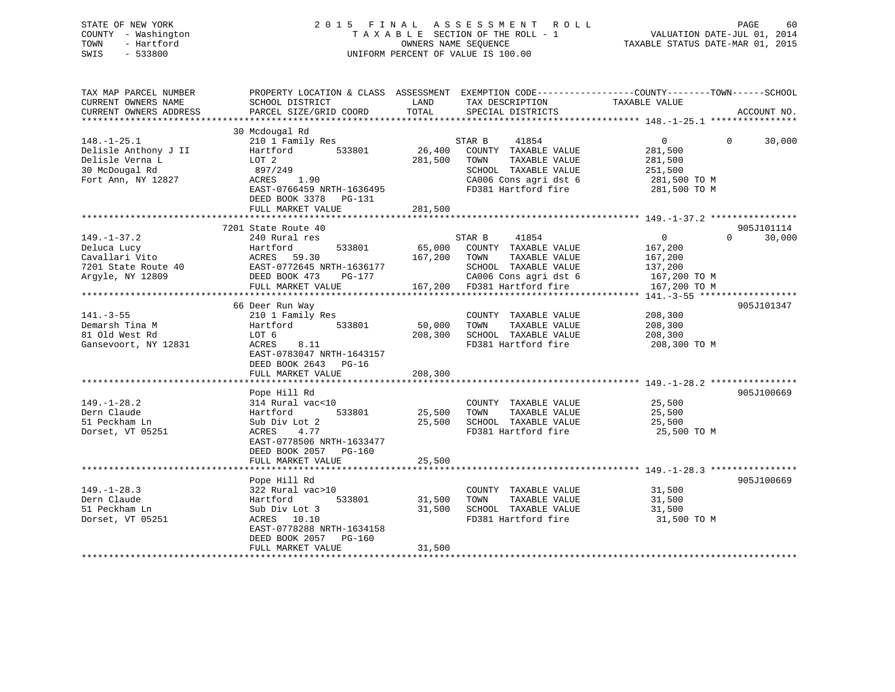| STATE OF NEW YORK<br>COUNTY - Washington<br>- Hartford<br>TOWN<br>SWIS<br>$-533800$ | 2015 FINAL                                                            | OWNERS NAME SEQUENCE     | A S S E S S M E N T<br>R O L L<br>TAXABLE SECTION OF THE ROLL - 1<br>UNIFORM PERCENT OF VALUE IS 100.00 | PAGE<br>VALUATION DATE-JUL 01, 2014<br>TAXABLE STATUS DATE-MAR 01, 2015                                           | 60     |
|-------------------------------------------------------------------------------------|-----------------------------------------------------------------------|--------------------------|---------------------------------------------------------------------------------------------------------|-------------------------------------------------------------------------------------------------------------------|--------|
| TAX MAP PARCEL NUMBER<br>CURRENT OWNERS NAME                                        | SCHOOL DISTRICT                                                       | LAND                     | TAX DESCRIPTION                                                                                         | PROPERTY LOCATION & CLASS ASSESSMENT EXEMPTION CODE----------------COUNTY-------TOWN------SCHOOL<br>TAXABLE VALUE |        |
| CURRENT OWNERS ADDRESS                                                              | PARCEL SIZE/GRID COORD                                                | TOTAL                    | SPECIAL DISTRICTS                                                                                       | ACCOUNT NO.                                                                                                       |        |
|                                                                                     |                                                                       |                          |                                                                                                         |                                                                                                                   |        |
|                                                                                     | 30 Mcdougal Rd                                                        |                          |                                                                                                         |                                                                                                                   |        |
| $148. - 1 - 25.1$                                                                   | 210 1 Family Res                                                      |                          | 41854<br>STAR B                                                                                         | $\mathbf{0}$<br>$\Omega$                                                                                          | 30,000 |
| Delisle Anthony J II                                                                | 533801<br>Hartford                                                    | 26,400                   | COUNTY TAXABLE VALUE                                                                                    | 281,500                                                                                                           |        |
| Delisle Verna L                                                                     | LOT 2                                                                 | 281,500                  | TOWN<br>TAXABLE VALUE                                                                                   | 281,500                                                                                                           |        |
| 30 McDougal Rd                                                                      | 897/249                                                               |                          | SCHOOL TAXABLE VALUE                                                                                    | 251,500                                                                                                           |        |
| Fort Ann, NY 12827                                                                  | ACRES<br>1.90                                                         |                          | CA006 Cons agri dst 6                                                                                   | 281,500 TO M                                                                                                      |        |
|                                                                                     | EAST-0766459 NRTH-1636495                                             |                          | FD381 Hartford fire                                                                                     | 281,500 TO M                                                                                                      |        |
|                                                                                     | DEED BOOK 3378 PG-131                                                 |                          |                                                                                                         |                                                                                                                   |        |
|                                                                                     | FULL MARKET VALUE                                                     | 281,500                  |                                                                                                         |                                                                                                                   |        |
|                                                                                     | 7201 State Route 40                                                   |                          |                                                                                                         | 905J101114                                                                                                        |        |
| $149. - 1 - 37.2$                                                                   | 240 Rural res                                                         |                          | STAR B<br>41854                                                                                         | $\overline{0}$<br>$\Omega$                                                                                        | 30,000 |
| Deluca Lucy                                                                         | 533801<br>Hartford                                                    | 65,000                   | COUNTY TAXABLE VALUE                                                                                    | 167,200                                                                                                           |        |
| Cavallari Vito                                                                      | ACRES 59.30                                                           | 167,200                  | TOWN<br>TAXABLE VALUE                                                                                   | 167,200                                                                                                           |        |
| 7201 State Route 40                                                                 | EAST-0772645 NRTH-1636177                                             |                          | SCHOOL TAXABLE VALUE                                                                                    | 137,200                                                                                                           |        |
| Argyle, NY 12809                                                                    | DEED BOOK 473<br>PG-177                                               |                          | CA006 Cons agri dst 6                                                                                   | 167,200 TO M                                                                                                      |        |
|                                                                                     | FULL MARKET VALUE                                                     | 167,200                  | FD381 Hartford fire                                                                                     | 167,200 TO M                                                                                                      |        |
|                                                                                     | *********************                                                 | **************           |                                                                                                         | **************** 141.-3-55 *******************                                                                    |        |
|                                                                                     | 66 Deer Run Way                                                       |                          |                                                                                                         | 905J101347                                                                                                        |        |
| $141. - 3 - 55$                                                                     | 210 1 Family Res                                                      |                          | COUNTY TAXABLE VALUE                                                                                    | 208,300                                                                                                           |        |
| Demarsh Tina M                                                                      | Hartford<br>533801                                                    | 50,000                   | TAXABLE VALUE<br>TOWN                                                                                   | 208,300                                                                                                           |        |
| 81 Old West Rd                                                                      | LOT 6                                                                 | 208,300                  | SCHOOL TAXABLE VALUE                                                                                    | 208,300                                                                                                           |        |
| Gansevoort, NY 12831                                                                | ACRES<br>8.11<br>EAST-0783047 NRTH-1643157<br>DEED BOOK 2643<br>PG-16 |                          | FD381 Hartford fire                                                                                     | 208,300 TO M                                                                                                      |        |
|                                                                                     | FULL MARKET VALUE                                                     | 208,300                  |                                                                                                         |                                                                                                                   |        |
|                                                                                     |                                                                       | *********                |                                                                                                         | ************************ 149. -1-28. 2 ****************                                                           |        |
|                                                                                     | Pope Hill Rd                                                          |                          |                                                                                                         | 905J100669                                                                                                        |        |
| $149. - 1 - 28.2$                                                                   | 314 Rural vac<10                                                      |                          | COUNTY TAXABLE VALUE                                                                                    | 25,500                                                                                                            |        |
| Dern Claude                                                                         | Hartford<br>533801                                                    | 25,500                   | TAXABLE VALUE<br>TOWN                                                                                   | 25,500                                                                                                            |        |
| 51 Peckham Ln                                                                       | Sub Div Lot 2                                                         | 25,500                   | SCHOOL TAXABLE VALUE                                                                                    | 25,500                                                                                                            |        |
| Dorset, VT 05251                                                                    | 4.77<br>ACRES                                                         |                          | FD381 Hartford fire                                                                                     | 25,500 TO M                                                                                                       |        |
|                                                                                     | EAST-0778506 NRTH-1633477                                             |                          |                                                                                                         |                                                                                                                   |        |
|                                                                                     | DEED BOOK 2057 PG-160                                                 |                          |                                                                                                         |                                                                                                                   |        |
|                                                                                     | FULL MARKET VALUE<br>********************                             | 25,500<br>************** |                                                                                                         |                                                                                                                   |        |
|                                                                                     | Pope Hill Rd                                                          |                          |                                                                                                         | 905J100669                                                                                                        |        |
| $149. - 1 - 28.3$                                                                   | 322 Rural vac>10                                                      |                          | COUNTY TAXABLE VALUE                                                                                    | 31,500                                                                                                            |        |
| Dern Claude                                                                         | Hartford<br>533801                                                    | 31,500                   | TOWN<br>TAXABLE VALUE                                                                                   | 31,500                                                                                                            |        |
| 51 Peckham Ln                                                                       | Sub Div Lot 3                                                         | 31,500                   | SCHOOL TAXABLE VALUE                                                                                    | 31,500                                                                                                            |        |
| Dorset, VT 05251                                                                    | ACRES 10.10                                                           |                          | FD381 Hartford fire                                                                                     | 31,500 TO M                                                                                                       |        |
|                                                                                     | EAST-0778288 NRTH-1634158                                             |                          |                                                                                                         |                                                                                                                   |        |

31,500

\*\*\*\*\*\*\*\*\*\*\*\*\*\*\*\*\*\*\*\*\*\*\*\*\*\*\*\*\*\*\*\*\*\*\*\*\*\*\*\*\*\*\*\*\*\*\*\*\*\*\*\*\*\*\*\*\*\*\*\*\*\*\*\*\*\*\*\*\*\*\*\*\*\*\*\*\*\*\*\*\*\*\*\*\*\*\*\*\*\*\*\*\*\*\*\*\*\*\*\*\*\*\*\*\*\*\*\*\*\*\*\*\*\*\*\*\*\*\*\*\*\*\*\*\*\*\*\*\*\*\*\*

DEED BOOK 2057 PG-160

FULL MARKET VALUE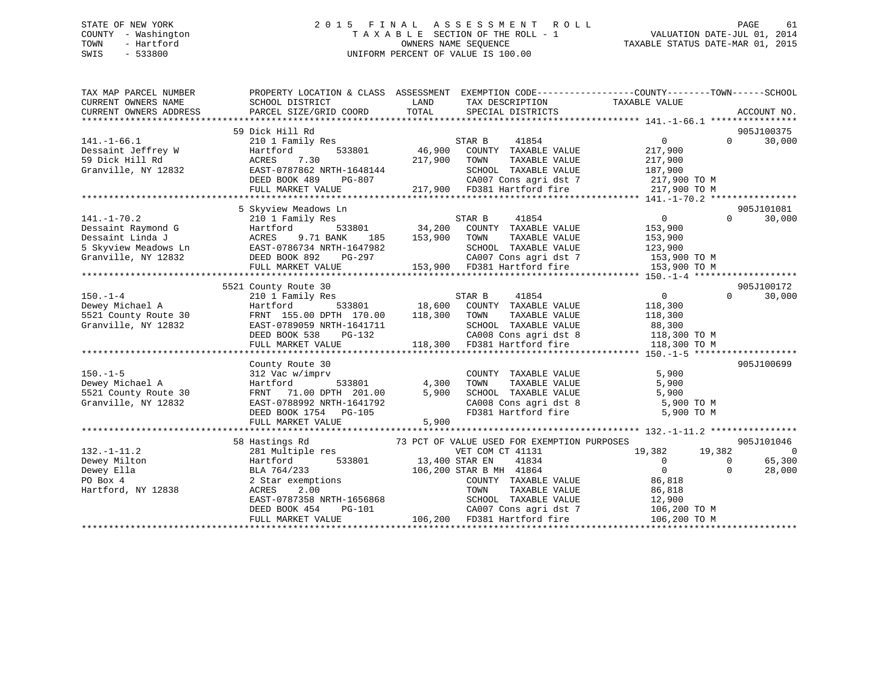## STATE OF NEW YORK 2 0 1 5 F I N A L A S S E S S M E N T R O L L PAGE 61 COUNTY - Washington T A X A B L E SECTION OF THE ROLL - 1 VALUATION DATE-JUL 01, 2014 TOWN - Hartford OWNERS NAME SEQUENCE TAXABLE STATUS DATE-MAR 01, 2015 SWIS - 533800 UNIFORM PERCENT OF VALUE IS 100.00

| TAX MAP PARCEL NUMBER      | PROPERTY LOCATION & CLASS ASSESSMENT EXEMPTION CODE----------------COUNTY-------TOWN------SCHOOL                                                                                                                                                     |       |                                                                     |                                                   |                                  |                |
|----------------------------|------------------------------------------------------------------------------------------------------------------------------------------------------------------------------------------------------------------------------------------------------|-------|---------------------------------------------------------------------|---------------------------------------------------|----------------------------------|----------------|
| CURRENT OWNERS NAME        | SCHOOL DISTRICT                                                                                                                                                                                                                                      | LAND  | TAX DESCRIPTION TAXABLE VALUE                                       |                                                   |                                  |                |
| CURRENT OWNERS ADDRESS     | PARCEL SIZE/GRID COORD                                                                                                                                                                                                                               | TOTAL | SPECIAL DISTRICTS                                                   |                                                   |                                  | ACCOUNT NO.    |
|                            |                                                                                                                                                                                                                                                      |       |                                                                     |                                                   |                                  |                |
|                            | 59 Dick Hill Rd                                                                                                                                                                                                                                      |       |                                                                     |                                                   |                                  | 905J100375     |
| $141. - 1 - 66.1$          |                                                                                                                                                                                                                                                      |       |                                                                     | $\overline{0}$                                    | $\Omega$                         | 30,000         |
|                            |                                                                                                                                                                                                                                                      |       |                                                                     | 217,900                                           |                                  |                |
|                            |                                                                                                                                                                                                                                                      |       |                                                                     | TAXABLE VALUE 217,900                             |                                  |                |
|                            |                                                                                                                                                                                                                                                      |       | SCHOOL TAXABLE VALUE 187,900<br>CA007 Cons agri dst 7 1217,900 TO M |                                                   |                                  |                |
|                            |                                                                                                                                                                                                                                                      |       |                                                                     |                                                   |                                  |                |
|                            | FULL MARKET VALUE                                                                                                                                                                                                                                    |       | 217,900 FD381 Hartford fire 217,900 TO M                            |                                                   |                                  |                |
|                            |                                                                                                                                                                                                                                                      |       |                                                                     |                                                   |                                  |                |
|                            | 5 Skyview Meadows Ln                                                                                                                                                                                                                                 |       |                                                                     |                                                   |                                  | 905J101081     |
|                            |                                                                                                                                                                                                                                                      |       |                                                                     | $\begin{smallmatrix}&&0\153,900\end{smallmatrix}$ | $\Omega$                         | 30,000         |
|                            |                                                                                                                                                                                                                                                      |       |                                                                     |                                                   |                                  |                |
|                            |                                                                                                                                                                                                                                                      |       |                                                                     | TAXABLE VALUE 153,900                             |                                  |                |
|                            |                                                                                                                                                                                                                                                      |       | SCHOOL TAXABLE VALUE 123,900<br>CA007 Cons agri dst 7 153,900 TO M  |                                                   |                                  |                |
|                            |                                                                                                                                                                                                                                                      |       |                                                                     |                                                   |                                  |                |
|                            |                                                                                                                                                                                                                                                      |       | 153,900 FD381 Hartford fire 153,900 TO M                            |                                                   |                                  |                |
|                            |                                                                                                                                                                                                                                                      |       |                                                                     |                                                   |                                  |                |
|                            | 5521 County Route 30                                                                                                                                                                                                                                 |       |                                                                     |                                                   |                                  | 905J100172     |
|                            |                                                                                                                                                                                                                                                      |       |                                                                     |                                                   | $\Omega$                         | 30,000         |
|                            |                                                                                                                                                                                                                                                      |       |                                                                     |                                                   |                                  |                |
|                            |                                                                                                                                                                                                                                                      |       |                                                                     |                                                   |                                  |                |
|                            |                                                                                                                                                                                                                                                      |       |                                                                     |                                                   |                                  |                |
|                            |                                                                                                                                                                                                                                                      |       |                                                                     |                                                   |                                  |                |
|                            |                                                                                                                                                                                                                                                      |       |                                                                     |                                                   |                                  |                |
|                            |                                                                                                                                                                                                                                                      |       |                                                                     |                                                   |                                  |                |
|                            | County Route 30                                                                                                                                                                                                                                      |       |                                                                     |                                                   |                                  | 905J100699     |
|                            |                                                                                                                                                                                                                                                      |       | COUNTY TAXABLE VALUE                                                | 5,900                                             |                                  |                |
|                            |                                                                                                                                                                                                                                                      |       | TOWN TAXABLE VALUE 5,900<br>SCHOOL TAXABLE VALUE 5,900              |                                                   |                                  |                |
|                            |                                                                                                                                                                                                                                                      |       |                                                                     |                                                   |                                  |                |
|                            |                                                                                                                                                                                                                                                      |       |                                                                     | CA008 Cons agri dst 8 5,900 TO M                  |                                  |                |
|                            | 150.-1-5<br>Dewey Michael A<br>512 Vac w/imprv<br>533801 4,300<br>521 County Route 30<br>6721 County Route 30<br>6721 County Route 30<br>6721 County Route 30<br>FRNT 71.00 DPTH 201.00<br>5,900<br>6721 CAST-0788992 NRTH-1641792<br>DEED BOOK 1754 |       | FD381 Hartford fire                                                 | 5,900 TO M                                        |                                  |                |
|                            |                                                                                                                                                                                                                                                      |       |                                                                     |                                                   |                                  |                |
|                            |                                                                                                                                                                                                                                                      |       |                                                                     |                                                   |                                  |                |
|                            | 58 Hastings Rd                                                                                                                                                                                                                                       |       | 73 PCT OF VALUE USED FOR EXEMPTION PURPOSES                         |                                                   |                                  | 905J101046     |
| $132. - 1 - 11.2$          | 281 Multiple res                                                                                                                                                                                                                                     |       | VET COM CT 41131                                                    | 19,382 19,382                                     |                                  | $\overline{0}$ |
| Dewey Milton               | Hartford<br>BLA 764/233<br>2 Star exemp                                                                                                                                                                                                              |       | $41834$<br>$41864$                                                  | $\overline{0}$                                    | $\begin{matrix}0\\0\end{matrix}$ | 65,300         |
| Dewey Ella<br>$\mathbf{a}$ |                                                                                                                                                                                                                                                      |       |                                                                     | $\overline{0}$                                    |                                  | 28,000         |
| PO Box 4                   | Hartford 533801 13,400 STAR EN 41834<br>BLA 764/233 106,200 STAR B MH 41864<br>2 Star exemptions COUNTY TAXABLE<br>ACRES 2.00                                                                                                                        |       | COUNTY TAXABLE VALUE 86,818                                         |                                                   |                                  |                |
| Hartford, NY 12838         | EAST-0787358 NRTH-1656868                                                                                                                                                                                                                            |       |                                                                     |                                                   |                                  |                |
|                            |                                                                                                                                                                                                                                                      |       |                                                                     |                                                   |                                  |                |
|                            |                                                                                                                                                                                                                                                      |       |                                                                     |                                                   |                                  |                |
|                            |                                                                                                                                                                                                                                                      |       |                                                                     |                                                   |                                  |                |
|                            |                                                                                                                                                                                                                                                      |       |                                                                     |                                                   |                                  |                |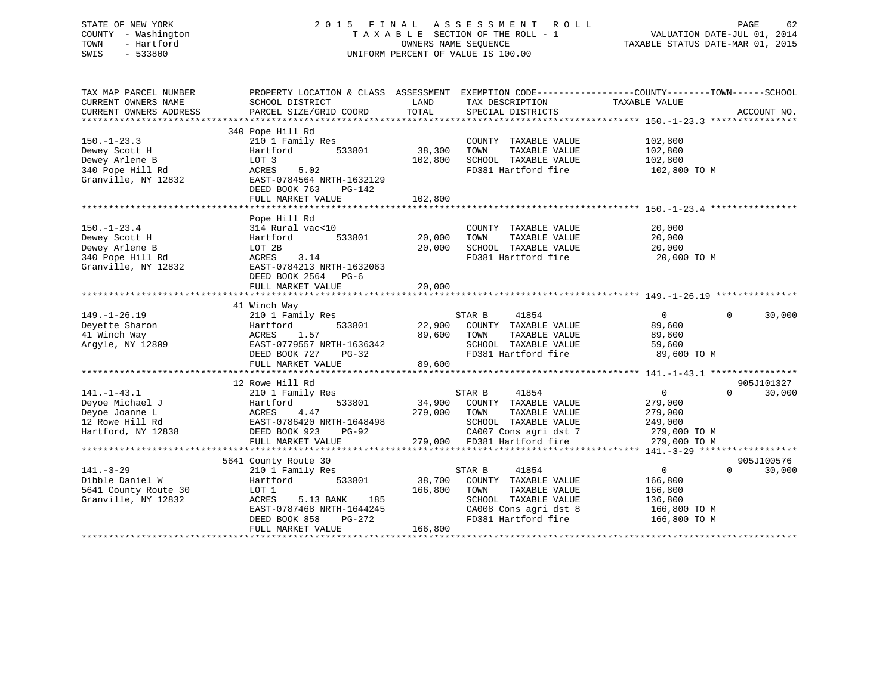## STATE OF NEW YORK 2 0 1 5 F I N A L A S S E S S M E N T R O L L PAGE 62 COUNTY - Washington T A X A B L E SECTION OF THE ROLL - 1 VALUATION DATE-JUL 01, 2014 TOWN - Hartford **TAXABLE STATUS DATE-MAR 01, 2015** OWNERS NAME SEQUENCE TAXABLE STATUS DATE-MAR 01, 2015 SWIS - 533800 UNIFORM PERCENT OF VALUE IS 100.00

| TAX MAP PARCEL NUMBER  |                           |                                  | PROPERTY LOCATION & CLASS ASSESSMENT EXEMPTION CODE----------------COUNTY-------TOWN------SCHOOL |
|------------------------|---------------------------|----------------------------------|--------------------------------------------------------------------------------------------------|
| CURRENT OWNERS NAME    | SCHOOL DISTRICT           | LAND<br>TAX DESCRIPTION          | TAXABLE VALUE                                                                                    |
| CURRENT OWNERS ADDRESS | PARCEL SIZE/GRID COORD    | TOTAL<br>SPECIAL DISTRICTS       | ACCOUNT NO.                                                                                      |
|                        |                           |                                  |                                                                                                  |
|                        | 340 Pope Hill Rd          |                                  |                                                                                                  |
| $150. - 1 - 23.3$      | 210 1 Family Res          | COUNTY TAXABLE VALUE             | 102,800                                                                                          |
| Dewey Scott H          | Hartford<br>533801        | 38,300<br>TOWN<br>TAXABLE VALUE  | 102,800                                                                                          |
| Dewey Arlene B         | LOT 3                     | 102,800<br>SCHOOL TAXABLE VALUE  | 102,800                                                                                          |
| 340 Pope Hill Rd       | 5.02<br>ACRES             | FD381 Hartford fire              | 102,800 TO M                                                                                     |
| Granville, NY 12832    | EAST-0784564 NRTH-1632129 |                                  |                                                                                                  |
|                        | DEED BOOK 763<br>PG-142   |                                  |                                                                                                  |
|                        | FULL MARKET VALUE         | 102,800                          |                                                                                                  |
|                        |                           |                                  |                                                                                                  |
|                        | Pope Hill Rd              |                                  |                                                                                                  |
| $150. - 1 - 23.4$      | 314 Rural vac<10          | COUNTY TAXABLE VALUE             | 20,000                                                                                           |
| Dewey Scott H          | 533801<br>Hartford        | 20,000<br>TAXABLE VALUE<br>TOWN  | 20,000                                                                                           |
| Dewey Arlene B         | LOT 2B                    | 20,000<br>SCHOOL TAXABLE VALUE   | 20,000                                                                                           |
| 340 Pope Hill Rd       | ACRES 3.14                | FD381 Hartford fire              | 20,000 TO M                                                                                      |
| Granville, NY 12832    | EAST-0784213 NRTH-1632063 |                                  |                                                                                                  |
|                        | DEED BOOK 2564 PG-6       |                                  |                                                                                                  |
|                        | FULL MARKET VALUE         | 20,000                           |                                                                                                  |
|                        |                           |                                  |                                                                                                  |
|                        | 41 Winch Way              |                                  |                                                                                                  |
| $149. - 1 - 26.19$     | 210 1 Family Res          | 41854<br>STAR B                  | $\Omega$<br>$\Omega$<br>30,000                                                                   |
| Deyette Sharon         | 533801<br>Hartford        | 22,900<br>COUNTY TAXABLE VALUE   | 89,600                                                                                           |
| 41 Winch Way           | 1.57<br>ACRES             | 89,600<br>TOWN<br>TAXABLE VALUE  | 89,600                                                                                           |
| Argyle, NY 12809       | EAST-0779557 NRTH-1636342 | SCHOOL TAXABLE VALUE             | 59,600                                                                                           |
|                        | DEED BOOK 727<br>$PG-32$  | FD381 Hartford fire              | 89,600 TO M                                                                                      |
|                        | FULL MARKET VALUE         | 89,600                           |                                                                                                  |
|                        |                           |                                  |                                                                                                  |
|                        | 12 Rowe Hill Rd           |                                  | 905J101327                                                                                       |
| $141. - 1 - 43.1$      | 210 1 Family Res          | STAR B<br>41854                  | $\overline{0}$<br>$\Omega$<br>30,000                                                             |
| Deyoe Michael J        | 533801<br>Hartford        | 34,900 COUNTY TAXABLE VALUE      | 279,000                                                                                          |
| Deyoe Joanne L         | ACRES<br>4.47             | 279,000 TOWN<br>TAXABLE VALUE    | 279,000                                                                                          |
| 12 Rowe Hill Rd        | EAST-0786420 NRTH-1648498 | SCHOOL TAXABLE VALUE             | 249,000                                                                                          |
| Hartford, NY 12838     | DEED BOOK 923<br>PG-92    | CA007 Cons agri dst 7            | 279,000 TO M                                                                                     |
|                        | FULL MARKET VALUE         | 279,000 FD381 Hartford fire      | 279,000 TO M                                                                                     |
|                        |                           |                                  |                                                                                                  |
|                        | 5641 County Route 30      |                                  | 905J100576                                                                                       |
| $141. - 3 - 29$        | 210 1 Family Res          | 41854<br>STAR B                  | $\overline{0}$<br>$\Omega$<br>30,000                                                             |
| Dibble Daniel W        | 533801<br>Hartford        | 38,700<br>COUNTY TAXABLE VALUE   | 166,800                                                                                          |
| 5641 County Route 30   | LOT 1                     | 166,800<br>TOWN<br>TAXABLE VALUE | 166,800                                                                                          |
| Granville, NY 12832    | ACRES<br>5.13 BANK<br>185 | SCHOOL TAXABLE VALUE             | 136,800                                                                                          |
|                        | EAST-0787468 NRTH-1644245 | CA008 Cons agri dst 8            | 166,800 TO M                                                                                     |
|                        | DEED BOOK 858<br>PG-272   | FD381 Hartford fire              | 166,800 TO M                                                                                     |
|                        | FULL MARKET VALUE         | 166,800                          |                                                                                                  |
|                        |                           |                                  |                                                                                                  |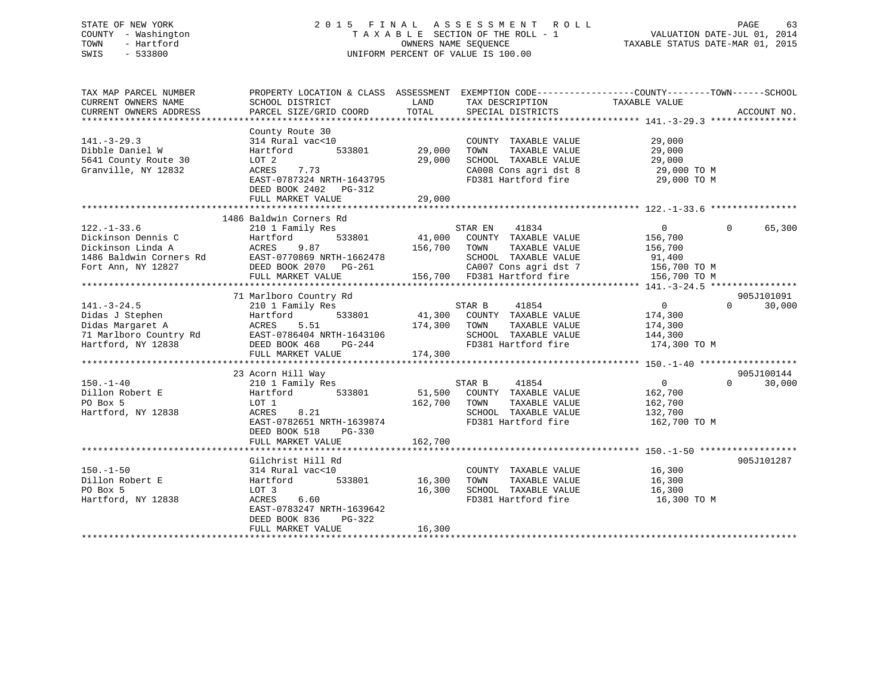## STATE OF NEW YORK 2 0 1 5 F I N A L A S S E S S M E N T R O L L PAGE 63 COUNTY - Washington T A X A B L E SECTION OF THE ROLL - 1 VALUATION DATE-JUL 01, 2014 TOWN - Hartford **TAXABLE STATUS DATE-MAR 01, 2015** OWNERS NAME SEQUENCE TAXABLE STATUS DATE-MAR 01, 2015 SWIS - 533800 UNIFORM PERCENT OF VALUE IS 100.00

| TAX MAP PARCEL NUMBER<br>CURRENT OWNERS NAME<br>CURRENT OWNERS ADDRESS                                        | PROPERTY LOCATION & CLASS ASSESSMENT<br>SCHOOL DISTRICT<br>PARCEL SIZE/GRID COORD                                                                                  | LAND<br>TOTAL                | TAX DESCRIPTION<br>SPECIAL DISTRICTS                                                                                                              | EXEMPTION CODE----------------COUNTY-------TOWN-----SCHOOL<br>TAXABLE VALUE    | ACCOUNT NO.                      |
|---------------------------------------------------------------------------------------------------------------|--------------------------------------------------------------------------------------------------------------------------------------------------------------------|------------------------------|---------------------------------------------------------------------------------------------------------------------------------------------------|--------------------------------------------------------------------------------|----------------------------------|
| $141. - 3 - 29.3$<br>Dibble Daniel W<br>5641 County Route 30<br>Granville, NY 12832                           | County Route 30<br>314 Rural vac<10<br>533801<br>Hartford<br>LOT 2<br>7.73<br>ACRES<br>EAST-0787324 NRTH-1643795<br>DEED BOOK 2402 PG-312<br>FULL MARKET VALUE     | 29,000<br>29,000<br>29,000   | COUNTY TAXABLE VALUE<br>TAXABLE VALUE<br>TOWN<br>SCHOOL TAXABLE VALUE<br>CA008 Cons agri dst 8<br>FD381 Hartford fire                             | 29,000<br>29,000<br>29,000<br>29,000 TO M<br>29,000 TO M                       |                                  |
|                                                                                                               |                                                                                                                                                                    |                              |                                                                                                                                                   |                                                                                |                                  |
| $122. - 1 - 33.6$<br>Dickinson Dennis C<br>Dickinson Linda A<br>1486 Baldwin Corners Rd<br>Fort Ann, NY 12827 | 1486 Baldwin Corners Rd<br>210 1 Family Res<br>533801<br>Hartford<br>9.87<br>ACRES<br>EAST-0770869 NRTH-1662478<br>DEED BOOK 2070 PG-261<br>FULL MARKET VALUE      | 41,000<br>156,700            | 41834<br>STAR EN<br>COUNTY TAXABLE VALUE<br>TOWN<br>TAXABLE VALUE<br>SCHOOL TAXABLE VALUE<br>CA007 Cons agri dst 7<br>156,700 FD381 Hartford fire | $\overline{0}$<br>156,700<br>156,700<br>91,400<br>156,700 TO M<br>156,700 TO M | 65,300<br>$\Omega$               |
|                                                                                                               |                                                                                                                                                                    |                              |                                                                                                                                                   |                                                                                |                                  |
|                                                                                                               | 71 Marlboro Country Rd                                                                                                                                             |                              |                                                                                                                                                   |                                                                                | 905J101091                       |
| $141. - 3 - 24.5$<br>Didas J Stephen<br>Didas Margaret A<br>71 Marlboro Country Rd<br>Hartford, NY 12838      | 210 1 Family Res<br>533801<br>Hartford<br>5.51<br>ACRES<br>EAST-0786404 NRTH-1643106<br>DEED BOOK 468<br>PG-244<br>FULL MARKET VALUE                               | 174,300<br>174,300           | STAR B<br>41854<br>41,300 COUNTY TAXABLE VALUE<br>TOWN<br>TAXABLE VALUE<br>SCHOOL TAXABLE VALUE<br>FD381 Hartford fire                            | $\overline{0}$<br>174,300<br>174,300<br>144,300<br>174,300 TO M                | $\Omega$<br>30,000               |
|                                                                                                               |                                                                                                                                                                    |                              |                                                                                                                                                   |                                                                                |                                  |
| $150. - 1 - 40$<br>Dillon Robert E<br>PO Box 5<br>Hartford, NY 12838                                          | 23 Acorn Hill Way<br>210 1 Family Res<br>Hartford<br>533801<br>LOT 1<br>8.21<br>ACRES<br>EAST-0782651 NRTH-1639874<br>DEED BOOK 518<br>PG-330<br>FULL MARKET VALUE | 51,500<br>162,700<br>162,700 | 41854<br>STAR B<br>COUNTY TAXABLE VALUE<br>TAXABLE VALUE<br>TOWN<br>SCHOOL TAXABLE VALUE<br>FD381 Hartford fire                                   | $\overline{0}$<br>162,700<br>162,700<br>132,700<br>162,700 TO M                | 905J100144<br>$\Omega$<br>30,000 |
|                                                                                                               | Gilchrist Hill Rd                                                                                                                                                  |                              |                                                                                                                                                   |                                                                                | 905J101287                       |
| $150 - 1 - 50$<br>Dillon Robert E<br>PO Box 5<br>Hartford, NY 12838                                           | 314 Rural vac<10<br>Hartford<br>533801<br>LOT 3<br>ACRES<br>6.60<br>EAST-0783247 NRTH-1639642<br>DEED BOOK 836<br>PG-322<br>FULL MARKET VALUE                      | 16,300<br>16,300<br>16,300   | COUNTY TAXABLE VALUE<br>TOWN<br>TAXABLE VALUE<br>SCHOOL TAXABLE VALUE<br>FD381 Hartford fire                                                      | 16,300<br>16,300<br>16,300<br>16,300 TO M                                      |                                  |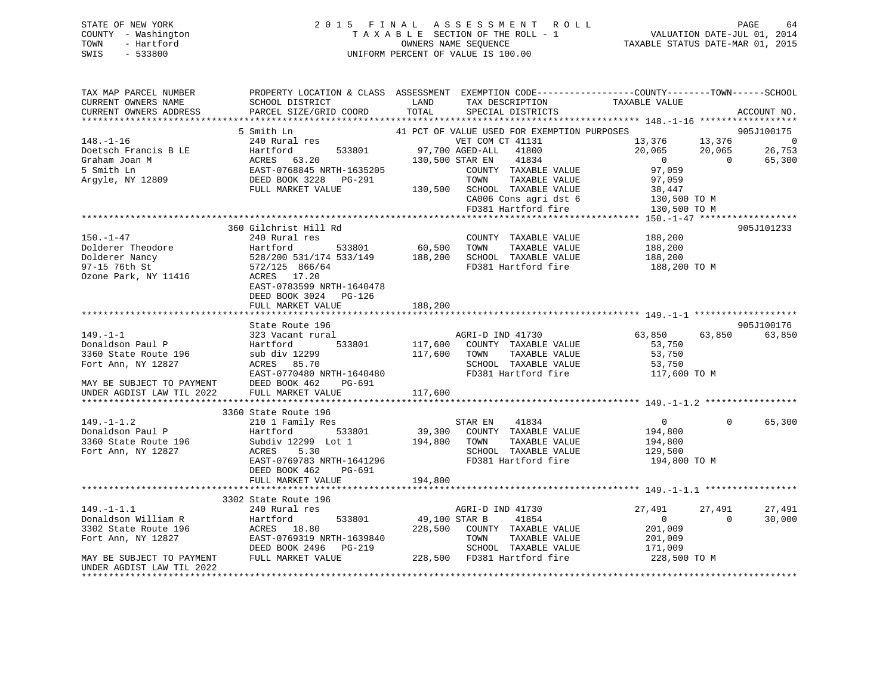## STATE OF NEW YORK 2 0 1 5 F I N A L A S S E S S M E N T R O L L PAGE 64 COUNTY - Washington T A X A B L E SECTION OF THE ROLL - 1 VALUATION DATE-JUL 01, 2014 TOWN - Hartford **TAXABLE STATUS DATE-MAR 01, 2015** OWNERS NAME SEQUENCE TAXABLE STATUS DATE-MAR 01, 2015 SWIS - 533800 UNIFORM PERCENT OF VALUE IS 100.00

| TAX MAP PARCEL NUMBER<br>CURRENT OWNERS NAME                               | PROPERTY LOCATION & CLASS ASSESSMENT EXEMPTION CODE----------------COUNTY-------TOWN------SCHOOL<br>SCHOOL DISTRICT                                                                                                                                                                                            | LAND    | TAX DESCRIPTION                                                                                                                                  | TAXABLE VALUE                    |                |                    |
|----------------------------------------------------------------------------|----------------------------------------------------------------------------------------------------------------------------------------------------------------------------------------------------------------------------------------------------------------------------------------------------------------|---------|--------------------------------------------------------------------------------------------------------------------------------------------------|----------------------------------|----------------|--------------------|
| CURRENT OWNERS ADDRESS                                                     | PARCEL SIZE/GRID COORD TOTAL                                                                                                                                                                                                                                                                                   |         | SPECIAL DISTRICTS                                                                                                                                |                                  |                | ACCOUNT NO.        |
|                                                                            | 5 Smith Ln                                                                                                                                                                                                                                                                                                     |         | 41 PCT OF VALUE USED FOR EXEMPTION PURPOSES                                                                                                      |                                  |                | 905J100175         |
|                                                                            |                                                                                                                                                                                                                                                                                                                |         | VET COM CT 41131 13.376 13,376 13,376 0<br>AGED-ALL 41800 20,065 20,065 26,753<br>STAR EN 41834 0 65,300<br>COUNTY TAXABLE VALUE 97,059 0 65,300 |                                  |                |                    |
|                                                                            | FULL MARKET VALUE                                                                                                                                                                                                                                                                                              |         |                                                                                                                                                  |                                  |                |                    |
|                                                                            |                                                                                                                                                                                                                                                                                                                |         | TOWN TAXABLE VALUE 97,059<br>130,500 SCHOOL TAXABLE VALUE 38,447<br>CA006 Cons agri dst 6 130,500 TO M<br>FD381 Hartford fire 130,500 TO M       |                                  |                |                    |
|                                                                            | 360 Gilchrist Hill Rd                                                                                                                                                                                                                                                                                          |         |                                                                                                                                                  |                                  |                | 905J101233         |
| $150. - 1 - 47$                                                            | 240 Rural res                                                                                                                                                                                                                                                                                                  |         | COUNTY TAXABLE VALUE 188,200                                                                                                                     | TAXABLE VALUE 188,200<br>188,200 |                |                    |
|                                                                            | Dolderer Theodore<br>Dolderer Nancy<br>Dolderer Nancy<br>97-15 76th St<br>272/125 866/64<br>272/125 866/64<br>272/125 866/64<br>272/125 866/64<br>272/125 866/64<br>272/125 866/64<br>272/125 866/64<br>272/125 866/64<br>272/125 866/64<br>27381 Hartfo<br>EAST-0783599 NRTH-1640478<br>DEED BOOK 3024 PG-126 |         | FD381 Hartford fire 188,200 TO M                                                                                                                 |                                  |                |                    |
|                                                                            | FULL MARKET VALUE                                                                                                                                                                                                                                                                                              | 188,200 |                                                                                                                                                  |                                  |                |                    |
|                                                                            | State Route 196                                                                                                                                                                                                                                                                                                |         |                                                                                                                                                  |                                  |                | 905J100176         |
| $149. - 1 - 1$                                                             | 323 Vacant rural                                                                                                                                                                                                                                                                                               |         | AGRI-D IND 41730                                                                                                                                 | 63,850                           | 63,850         | 63,850             |
| 149.-1-1<br>Donaldson Paul P<br>3360 State Route 196<br>Fort Ann, NY 12827 | Hartford                                                                                                                                                                                                                                                                                                       |         |                                                                                                                                                  |                                  |                |                    |
|                                                                            |                                                                                                                                                                                                                                                                                                                |         | 533801 117,600 COUNTY TAXABLE VALUE<br>299 117,600 TOWN TAXABLE VALUE                                                                            | 53,750<br>53,750                 |                |                    |
|                                                                            |                                                                                                                                                                                                                                                                                                                |         |                                                                                                                                                  |                                  |                |                    |
|                                                                            | sub div 12299 117,600 TOWN TAXABLE VALUE 53,750<br>ACRES 85.70 SCHOOL TAXABLE VALUE 53,750<br>EAST-0770480 NRTH-1640480 FD381 Hartford fire 117,600                                                                                                                                                            |         |                                                                                                                                                  | 117,600 TO M                     |                |                    |
| MAY BE SUBJECT TO PAYMENT<br>UNDER AGDIST LAW TIL 2022                     | DEED BOOK 462<br>PG-691<br>FULL MARKET VALUE                                                                                                                                                                                                                                                                   | 117,600 |                                                                                                                                                  |                                  |                |                    |
|                                                                            | 3360 State Route 196                                                                                                                                                                                                                                                                                           |         |                                                                                                                                                  |                                  |                |                    |
| $149. - 1 - 1.2$                                                           | State Route 196<br>210 1 Family Res<br>149.-1-1.2 210 1 Family Res 57AR EN 41834 0<br>Donaldson Paul P Hartford 533801 39,300 COUNTY TAXABLE VALUE 194,800<br>3360 State Route 196 5ubdiv 12299 Lot 1 194,800 TOWN TAXABLE VALUE 194,800<br>Fort Ann, NY 12827 ACRES 5.30 S                                    |         | STAR EN 41834                                                                                                                                    | $\overline{0}$                   |                | $\Omega$<br>65,300 |
|                                                                            | EAST-0769783 NRTH-1641296<br>PG-691<br>DEED BOOK 462                                                                                                                                                                                                                                                           |         | SCHOOL TAXABLE VALUE 129,500<br>FD381 Hartford fire                                                                                              | 194,800 TO M                     |                |                    |
|                                                                            | FULL MARKET VALUE                                                                                                                                                                                                                                                                                              | 194,800 |                                                                                                                                                  |                                  |                |                    |
|                                                                            |                                                                                                                                                                                                                                                                                                                |         |                                                                                                                                                  |                                  |                |                    |
| $149. - 1 - 1.1$                                                           | 3302 State Route 196                                                                                                                                                                                                                                                                                           |         |                                                                                                                                                  |                                  | 27,491         | 27,491             |
| Donaldson William R<br>3302 State Route 196                                |                                                                                                                                                                                                                                                                                                                |         |                                                                                                                                                  |                                  | $\overline{0}$ | 30,000             |
| Fort Ann, NY 12827                                                         |                                                                                                                                                                                                                                                                                                                |         |                                                                                                                                                  |                                  |                |                    |
| MAY BE SUBJECT TO PAYMENT FULL MARKET VALUE<br>UNDER AGDIST LAW TIL 2022   | 3302 State Route 196<br>240 Rural res<br>240 Rural res<br>Hartford 533801 49,100 STAR B 41854 0<br>ACRES 18.80 228,500 COUNTY TAXABLE VALUE 201,009<br>EAST-0769319 NRTH-1639840 70WN TAXABLE VALUE 201,009<br>DEED BOOK 2496 PG-219 SCHO                                                                      |         |                                                                                                                                                  |                                  |                |                    |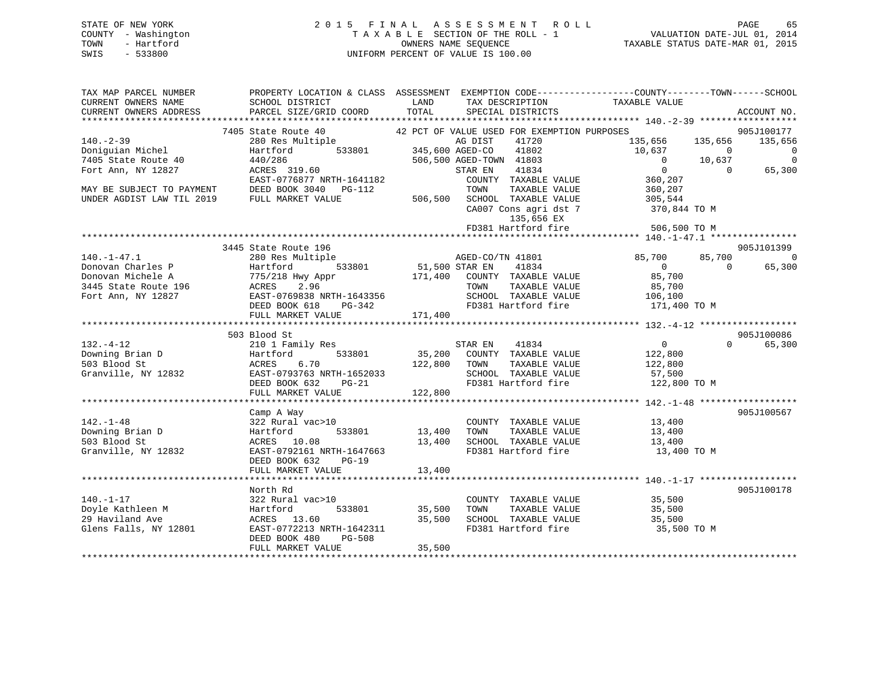| STATE OF NEW YORK   | 2015 FINAL ASSESSMENT ROLL         | 65<br>PAGE                       |
|---------------------|------------------------------------|----------------------------------|
| COUNTY - Washington | TAXABLE SECTION OF THE ROLL - 1    | VALUATION DATE-JUL 01, 2014      |
| TOWN<br>- Hartford  | OWNERS NAME SEOUENCE               | TAXABLE STATUS DATE-MAR 01, 2015 |
| SWIS<br>- 533800    | UNIFORM PERCENT OF VALUE IS 100.00 |                                  |
|                     |                                    |                                  |

| TAX MAP PARCEL NUMBER     | PROPERTY LOCATION & CLASS ASSESSMENT EXEMPTION CODE----------------COUNTY-------TOWN-----SCHOOL                                                                                                                             |                       |                                             |                                                                 |                |                          |
|---------------------------|-----------------------------------------------------------------------------------------------------------------------------------------------------------------------------------------------------------------------------|-----------------------|---------------------------------------------|-----------------------------------------------------------------|----------------|--------------------------|
| CURRENT OWNERS NAME       | SCHOOL DISTRICT                                                                                                                                                                                                             | LAND                  | TAX DESCRIPTION                             | TAXABLE VALUE                                                   |                |                          |
|                           | CONNERS ADDRESS DESCLE SIZE/GRID COORD TOTAL SECIAL DISTRICTS CONNERS ADDRESS DESCLE SIZE/GRID COORD TOTAL SECIAL DISTRICTS ACCOUNT NO.<br>CURRENT OWNERS ADDRESS DARCEL SIZE/GRID COORD TOTAL SECIAL DISTRICTS ACCOUNT NO. |                       |                                             |                                                                 |                |                          |
|                           |                                                                                                                                                                                                                             |                       |                                             |                                                                 |                |                          |
|                           | 7405 State Route 40                                                                                                                                                                                                         |                       | 42 PCT OF VALUE USED FOR EXEMPTION PURPOSES |                                                                 |                | 905J100177               |
| $140. - 2 - 39$           | 280 Res Multiple 533801 AG DIST<br>Hartford 533801 345,600 AGED-CO                                                                                                                                                          |                       | 41720                                       | 135,656                                                         | 135,656        | 135,656                  |
| Doniguian Michel          |                                                                                                                                                                                                                             |                       | 41802                                       | 10,637                                                          | $\overline{0}$ | $\overline{0}$           |
| 7405 State Route 40       | 440/286                                                                                                                                                                                                                     |                       | 506,500 AGED-TOWN 41803                     | $\overline{0}$                                                  | 10,637         | $\Omega$                 |
| Fort Ann, NY 12827        | $ACRES$ 319.60                                                                                                                                                                                                              |                       | 41834<br>STAR EN                            | $\Omega$                                                        | $\overline{0}$ | 65,300                   |
|                           | EAST-0776877 NRTH-1641182                                                                                                                                                                                                   |                       | COUNTY TAXABLE VALUE                        | 360,207                                                         |                |                          |
| MAY BE SUBJECT TO PAYMENT | DEED BOOK 3040 PG-112                                                                                                                                                                                                       |                       | TAXABLE VALUE<br>TOWN                       | 360,207                                                         |                |                          |
| UNDER AGDIST LAW TIL 2019 | FULL MARKET VALUE                                                                                                                                                                                                           |                       | 506,500 SCHOOL TAXABLE VALUE                | 305,544                                                         |                |                          |
|                           |                                                                                                                                                                                                                             |                       |                                             | CA007 Cons agri dst 7 370,844 TO M                              |                |                          |
|                           |                                                                                                                                                                                                                             |                       | 135,656 EX                                  |                                                                 |                |                          |
|                           |                                                                                                                                                                                                                             |                       | FD381 Hartford fire                         | 506,500 TO M                                                    |                |                          |
|                           |                                                                                                                                                                                                                             |                       |                                             |                                                                 |                |                          |
|                           | 3445 State Route 196                                                                                                                                                                                                        |                       |                                             |                                                                 |                | 905J101399               |
| $140. - 1 - 47.1$         | 280 Res Multiple                                                                                                                                                                                                            |                       | AGED-CO/TN 41801                            | 85,700                                                          | 85,700         | $\overline{\phantom{0}}$ |
| Donovan Charles P         | Hartford                                                                                                                                                                                                                    | 533801 51,500 STAR EN | 41834                                       | $\overline{0}$                                                  | $\cap$         | 65,300                   |
| Donovan Michele A         | 775/218 Hwy Appr                                                                                                                                                                                                            |                       | 171,400 COUNTY TAXABLE VALUE                | 85,700                                                          |                |                          |
| 3445 State Route 196      | 2.96<br>ACRES                                                                                                                                                                                                               |                       | TAXABLE VALUE<br>TOWN                       | 85,700                                                          |                |                          |
| Fort Ann, NY 12827        | EAST-0769838 NRTH-1643356                                                                                                                                                                                                   |                       | SCHOOL TAXABLE VALUE                        | 106,100                                                         |                |                          |
|                           | DEED BOOK 618<br>PG-342                                                                                                                                                                                                     |                       |                                             | FD381 Hartford fire 171,400 TO M                                |                |                          |
|                           |                                                                                                                                                                                                                             |                       |                                             |                                                                 |                |                          |
|                           | FULL MARKET VALUE                                                                                                                                                                                                           | 171,400               |                                             |                                                                 |                |                          |
|                           | 503 Blood St                                                                                                                                                                                                                |                       |                                             |                                                                 |                | 905J100086               |
| $132. - 4 - 12$           |                                                                                                                                                                                                                             |                       | 41834<br>STAR EN                            | $\overline{0}$                                                  | $\Omega$       | 65,300                   |
|                           | 210 1 Family Res                                                                                                                                                                                                            |                       |                                             |                                                                 |                |                          |
| Downing Brian D           | 533801<br>Hartford                                                                                                                                                                                                          |                       | 35,200 COUNTY TAXABLE VALUE                 | 122,800                                                         |                |                          |
| 503 Blood St              | 6.70<br>ACRES                                                                                                                                                                                                               |                       | 122,800 TOWN<br>TAXABLE VALUE               | 122,800                                                         |                |                          |
| Granville, NY 12832       | EAST-0793763 NRTH-1652033                                                                                                                                                                                                   |                       |                                             | SCHOOL TAXABLE VALUE 57,500<br>FD381 Hartford fire 122,800 TO M |                |                          |
|                           | DEED BOOK 632 PG-21                                                                                                                                                                                                         |                       |                                             |                                                                 |                |                          |
|                           | FULL MARKET VALUE                                                                                                                                                                                                           | 122,800               |                                             |                                                                 |                |                          |
|                           |                                                                                                                                                                                                                             |                       |                                             |                                                                 |                |                          |
|                           | Camp A Way                                                                                                                                                                                                                  |                       |                                             |                                                                 |                | 905J100567               |
| $142. - 1 - 48$           | 322 Rural vac>10                                                                                                                                                                                                            |                       | COUNTY TAXABLE VALUE                        | 13,400                                                          |                |                          |
| Downing Brian D           | 533801<br>Hartford                                                                                                                                                                                                          | 13,400                | TAXABLE VALUE<br>TOWN                       | 13,400                                                          |                |                          |
| 503 Blood St              | ACRES 10.08                                                                                                                                                                                                                 | 13,400                | SCHOOL TAXABLE VALUE<br>FD381 Hartford fire | 13,400<br>13,400 TO M                                           |                |                          |
| Granville, NY 12832       | EAST-0792161 NRTH-1647663                                                                                                                                                                                                   |                       |                                             |                                                                 |                |                          |
|                           | DEED BOOK 632<br>$PG-19$                                                                                                                                                                                                    |                       |                                             |                                                                 |                |                          |
|                           | FULL MARKET VALUE                                                                                                                                                                                                           | 13,400                |                                             |                                                                 |                |                          |
|                           |                                                                                                                                                                                                                             |                       |                                             |                                                                 |                |                          |
|                           | North Rd                                                                                                                                                                                                                    |                       |                                             |                                                                 |                | 905J100178               |
| $140. - 1 - 17$           | 322 Rural vac>10                                                                                                                                                                                                            |                       | COUNTY TAXABLE VALUE                        | $35,500$<br>$35,500$                                            |                |                          |
| Doyle Kathleen M          | Hartford<br>533801                                                                                                                                                                                                          | 35,500                | TAXABLE VALUE<br>TOWN                       | 35,500                                                          |                |                          |
| 29 Haviland Ave           | ACRES 13.60                                                                                                                                                                                                                 | 35,500                | SCHOOL TAXABLE VALUE                        | 35,500                                                          |                |                          |
| Glens Falls, NY 12801     | EAST-0772213 NRTH-1642311                                                                                                                                                                                                   |                       | FD381 Hartford fire                         | 35,500 TO M                                                     |                |                          |
|                           | DEED BOOK 480<br>PG-508                                                                                                                                                                                                     |                       |                                             |                                                                 |                |                          |
|                           | FULL MARKET VALUE                                                                                                                                                                                                           | 35,500                |                                             |                                                                 |                |                          |
|                           |                                                                                                                                                                                                                             |                       |                                             |                                                                 |                |                          |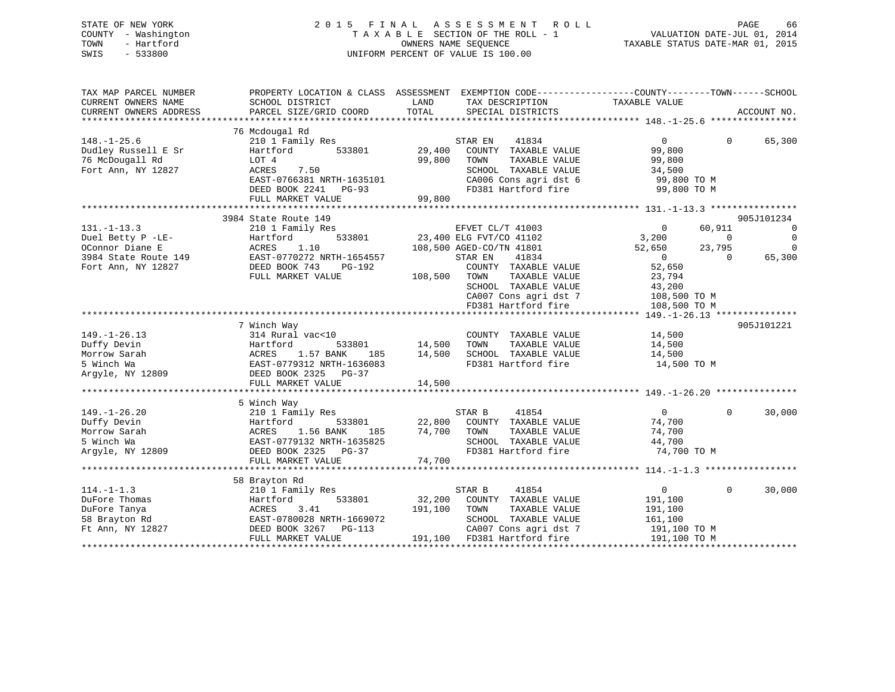## STATE OF NEW YORK 2 0 1 5 F I N A L A S S E S S M E N T R O L L PAGE 66 COUNTY - Washington T A X A B L E SECTION OF THE ROLL - 1 VALUATION DATE-JUL 01, 2014 TOWN - Hartford **TAXABLE STATUS DATE-MAR 01, 2015** OWNERS NAME SEQUENCE TAXABLE STATUS DATE-MAR 01, 2015 SWIS - 533800 UNIFORM PERCENT OF VALUE IS 100.00

| TAX MAP PARCEL NUMBER<br>CURRENT OWNERS NAME<br>CURRENT OWNERS ADDRESS | SCHOOL DISTRICT<br>PARCEL SIZE/GRID COORD                               | PROPERTY LOCATION & CLASS ASSESSMENT EXEMPTION CODE----------------COUNTY-------TOWN------SCHOOL<br>LAND<br>TAX DESCRIPTION<br>TOTAL<br>SPECIAL DISTRICTS | TAXABLE VALUE                                               | ACCOUNT NO.               |
|------------------------------------------------------------------------|-------------------------------------------------------------------------|-----------------------------------------------------------------------------------------------------------------------------------------------------------|-------------------------------------------------------------|---------------------------|
|                                                                        |                                                                         |                                                                                                                                                           |                                                             |                           |
| $148. - 1 - 25.6$                                                      | 76 Mcdougal Rd<br>210 1 Family Res                                      | STAR EN<br>41834                                                                                                                                          | $\overline{0}$<br>$\Omega$                                  | 65,300                    |
| Dudley Russell E Sr<br>76 McDougall Rd<br>Fort Ann, NY 12827           | 533801<br>Hartford<br>LOT 4<br>ACRES<br>7.50                            | COUNTY TAXABLE VALUE<br>29,400<br>99,800<br>TAXABLE VALUE<br>TOWN<br>SCHOOL TAXABLE VALUE                                                                 | 99,800<br>99,800<br>34,500                                  |                           |
|                                                                        | EAST-0766381 NRTH-1635101<br>DEED BOOK 2241 PG-93<br>FULL MARKET VALUE  | CA006 Cons agri dst 6<br>FD381 Hartford fire<br>99,800                                                                                                    | 99,800 TO M<br>99,800 TO M                                  |                           |
|                                                                        |                                                                         |                                                                                                                                                           |                                                             |                           |
|                                                                        | 3984 State Route 149                                                    |                                                                                                                                                           |                                                             | 905J101234                |
| $131. - 1 - 13.3$<br>Duel Betty P -LE-<br>OConnor Diane E              | 210 1 Family Res<br>533801<br>Hartford<br>1.10<br>ACRES                 | EFVET CL/T 41003<br>23,400 ELG FVT/CO 41102<br>108,500 AGED-CO/TN 41801                                                                                   | 60,911<br>$\Omega$<br>3,200<br>$\Omega$<br>52,650<br>23,795 | 0<br>$\Omega$<br>$\Omega$ |
| 3984 State Route 149<br>Fort Ann, NY 12827                             | EAST-0770272 NRTH-1654557<br>DEED BOOK 743<br>PG-192                    | STAR EN<br>41834<br>COUNTY TAXABLE VALUE                                                                                                                  | $\overline{0}$<br>$\Omega$<br>52,650                        | 65,300                    |
|                                                                        | FULL MARKET VALUE                                                       | 108,500<br>TOWN<br>TAXABLE VALUE<br>SCHOOL TAXABLE VALUE<br>CA007 Cons agri dst 7                                                                         | 23,794<br>43,200<br>108,500 TO M                            |                           |
|                                                                        |                                                                         | FD381 Hartford fire                                                                                                                                       | 108,500 TO M                                                |                           |
|                                                                        | 7 Winch Way                                                             |                                                                                                                                                           |                                                             | 905J101221                |
| $149. - 1 - 26.13$                                                     | 314 Rural vac<10                                                        | COUNTY TAXABLE VALUE                                                                                                                                      | 14,500                                                      |                           |
| Duffy Devin<br>Morrow Sarah                                            | Hartford<br>533801<br>1.57 BANK<br>ACRES<br>185                         | 14,500<br>TOWN<br>TAXABLE VALUE<br>14,500<br>SCHOOL TAXABLE VALUE                                                                                         | 14,500<br>14,500                                            |                           |
| 5 Winch Wa<br>Argyle, NY 12809                                         | EAST-0779312 NRTH-1636083<br>DEED BOOK 2325 PG-37                       | FD381 Hartford fire                                                                                                                                       | 14,500 TO M                                                 |                           |
|                                                                        | FULL MARKET VALUE                                                       | 14,500                                                                                                                                                    |                                                             |                           |
|                                                                        |                                                                         |                                                                                                                                                           |                                                             |                           |
| $149. - 1 - 26.20$                                                     | 5 Winch Way<br>210 1 Family Res                                         | STAR B<br>41854                                                                                                                                           | $\Omega$<br>$\Omega$                                        | 30,000                    |
| Duffy Devin<br>Morrow Sarah                                            | 533801<br>Hartford<br>1.56 BANK<br>ACRES                                | 22,800 COUNTY TAXABLE VALUE<br>185 74,700 TOWN<br>TAXABLE VALUE                                                                                           | 74,700<br>74,700                                            |                           |
| 5 Winch Wa<br>Argyle, NY 12809                                         | EAST-0779132 NRTH-1635825<br>DEED BOOK 2325 PG-37                       | SCHOOL TAXABLE VALUE<br>FD381 Hartford fire                                                                                                               | 44,700<br>74,700 TO M                                       |                           |
|                                                                        | FULL MARKET VALUE                                                       | 74,700                                                                                                                                                    |                                                             |                           |
|                                                                        |                                                                         |                                                                                                                                                           |                                                             |                           |
| $114. - 1 - 1.3$                                                       | 58 Brayton Rd<br>210 1 Family Res                                       | STAR B<br>41854                                                                                                                                           | $\mathbf 0$<br>$\overline{0}$                               | 30,000                    |
| DuFore Thomas<br>DuFore Tanya                                          | 533801<br>Hartford<br>ACRES<br>3.41                                     | 32,200<br>COUNTY TAXABLE VALUE<br>191,100<br>TOWN<br>TAXABLE VALUE                                                                                        | 191,100<br>191,100                                          |                           |
| 58 Brayton Rd<br>Ft Ann, NY 12827                                      | EAST-0780028 NRTH-1669072<br>DEED BOOK 3267 PG-113<br>FULL MARKET VALUE | SCHOOL TAXABLE VALUE<br>CA007 Cons agri dst 7<br>191,100 FD381 Hartford fire                                                                              | 161,100<br>191,100 TO M                                     |                           |
|                                                                        |                                                                         |                                                                                                                                                           | 191,100 TO M                                                |                           |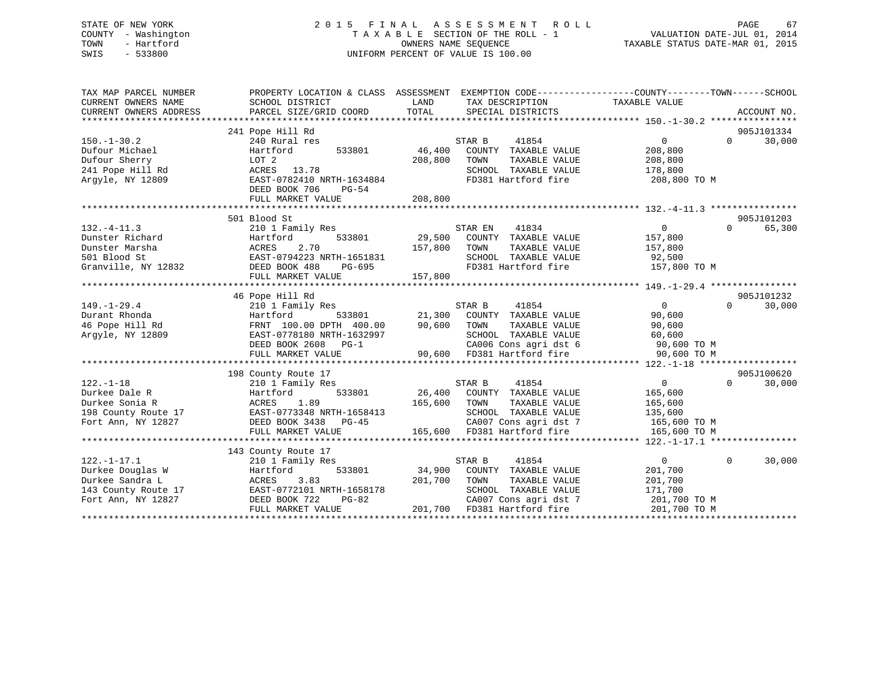## STATE OF NEW YORK 2 0 1 5 F I N A L A S S E S S M E N T R O L L PAGE 67 COUNTY - Washington T A X A B L E SECTION OF THE ROLL - 1 VALUATION DATE-JUL 01, 2014 TOWN - Hartford **TAXABLE STATUS DATE-MAR 01, 2015** OWNERS NAME SEQUENCE TAXABLE STATUS DATE-MAR 01, 2015 SWIS - 533800 UNIFORM PERCENT OF VALUE IS 100.00

| TAX MAP PARCEL NUMBER<br>CURRENT OWNERS NAME<br>CURRENT OWNERS ADDRESS                          | SCHOOL DISTRICT<br>PARCEL SIZE/GRID COORD                                                                                                                                      | PROPERTY LOCATION & CLASS ASSESSMENT EXEMPTION CODE----------------COUNTY-------TOWN------SCHOOL<br>LAND<br>TAX DESCRIPTION<br>TOTAL<br>SPECIAL DISTRICTS                                                                                                                                                                                                                                                                                                                                                               | TAXABLE VALUE<br>ACCOUNT NO.                                                                                        |
|-------------------------------------------------------------------------------------------------|--------------------------------------------------------------------------------------------------------------------------------------------------------------------------------|-------------------------------------------------------------------------------------------------------------------------------------------------------------------------------------------------------------------------------------------------------------------------------------------------------------------------------------------------------------------------------------------------------------------------------------------------------------------------------------------------------------------------|---------------------------------------------------------------------------------------------------------------------|
| $150. - 1 - 30.2$<br>Dufour Michael<br>Dufour Sherry<br>241 Pope Hill Rd<br>Arqyle, NY 12809    | 241 Pope Hill Rd<br>240 Rural res<br>533801<br>Hartford<br>LOT 2<br>ACRES 13.78<br>EAST-0782410 NRTH-1634884<br>DEED BOOK 706<br>PG-54<br>FULL MARKET VALUE                    | STAR B<br>41854<br>46,400<br>COUNTY TAXABLE VALUE<br>208,800<br>TAXABLE VALUE<br>TOWN<br>SCHOOL TAXABLE VALUE<br>FD381 Hartford fire<br>208,800                                                                                                                                                                                                                                                                                                                                                                         | 905J101334<br>$\Omega$<br>30,000<br>$\overline{0}$<br>208,800<br>208,800<br>178,800<br>208,800 TO M                 |
| $132. - 4 - 11.3$<br>Dunster Richard<br>Dunster Marsha<br>Granville, NY 12832                   | 501 Blood St<br>210 1 Family Res<br>533801<br>Hartford<br>2.70<br>ACRES                                                                                                        | 41834<br>STAR EN<br>29,500 COUNTY TAXABLE VALUE<br>157,800<br>TOWN<br>TAXABLE VALUE<br>$\begin{tabular}{lllllllllll} \texttt{501 Blood St} & & & & & \texttt{EAST-0794223 NRTH-1651831} & & & & \texttt{SCHOOL} & \texttt{TAXABLE VALUE} & & & \texttt{92,500} \\ \texttt{Granville, NY 12832} & & & & \texttt{DEED BOOK 488} & & \texttt{PG-695} & & \texttt{FD381 Hartford fire} & & \texttt{157,800 TO M} \\ & & & & & \texttt{FULL MARKET VALUE} & & & \texttt{157,800} & & & \texttt{157,800 TO M} & & \texttt{15$ | 905J101203<br>$\overline{0}$<br>65,300<br>$\Omega$<br>157,800<br>157,800                                            |
| $149. - 1 - 29.4$<br>Durant Rhonda<br>46 Pope Hill Rd<br>Arqyle, NY 12809                       | 46 Pope Hill Rd<br>210 1 Family Res<br>Hartford<br>FRNT 100.00 DPTH 400.00<br>EAST-0778180 NRTH-1632997<br>DEED BOOK 2608 PG-1<br>FULL MARKET VALUE                            | 41854<br>STAR B<br>533801 21,300 COUNTY TAXABLE VALUE<br>90,600<br>TOWN<br>TAXABLE VALUE<br>SCHOOL TAXABLE VALUE<br>CA006 Cons agri dst 6 90,600 TO M<br>90,600 FD381 Hartford fire                                                                                                                                                                                                                                                                                                                                     | 905J101232<br>$\overline{0}$<br>$\Omega$<br>30,000<br>90,600<br>90,600<br>60,600<br>90,600 TO M                     |
| $122. - 1 - 18$<br>Durkee Dale R<br>Durkee Sonia R<br>198 County Route 17<br>Fort Ann, NY 12827 | 198 County Route 17<br>210 1 Family Res<br>Hartford<br>533801<br>1.89<br>ACRES<br>EAST-0773348 NRTH-1658413<br>DEED BOOK 3438 PG-45<br>FULL MARKET VALUE                       | 41854<br>STAR B<br>26,400 COUNTY TAXABLE VALUE<br>165,600<br>TAXABLE VALUE<br>TOWN<br>SCHOOL TAXABLE VALUE<br>CA007 Cons agri dst 7<br>165,600 FD381 Hartford fire                                                                                                                                                                                                                                                                                                                                                      | 905J100620<br>$\overline{0}$<br>$\Omega$<br>30,000<br>165,600<br>165,600<br>135,600<br>165,600 TO M<br>165,600 TO M |
| $122. - 1 - 17.1$<br>Durkee Douglas W<br>Durkee Sandra L<br>Fort Ann, NY 12827                  | 143 County Route 17<br>210 1 Family Res<br>533801<br>Hartford<br>3.83<br>ACRES<br>143 County Route 17 EAST-0772101 NRTH-1658178<br>DEED BOOK 722<br>PG-82<br>FULL MARKET VALUE | STAR B<br>41854<br>34,900<br>COUNTY TAXABLE VALUE<br>201,700<br>TOWN<br>TAXABLE VALUE<br>SCHOOL TAXABLE VALUE<br>CA007 Cons agri dst 7<br>201,700 FD381 Hartford fire                                                                                                                                                                                                                                                                                                                                                   | $\overline{0}$<br>$\Omega$<br>30,000<br>201,700<br>201,700<br>171,700<br>201,700 TO M<br>201,700 TO M               |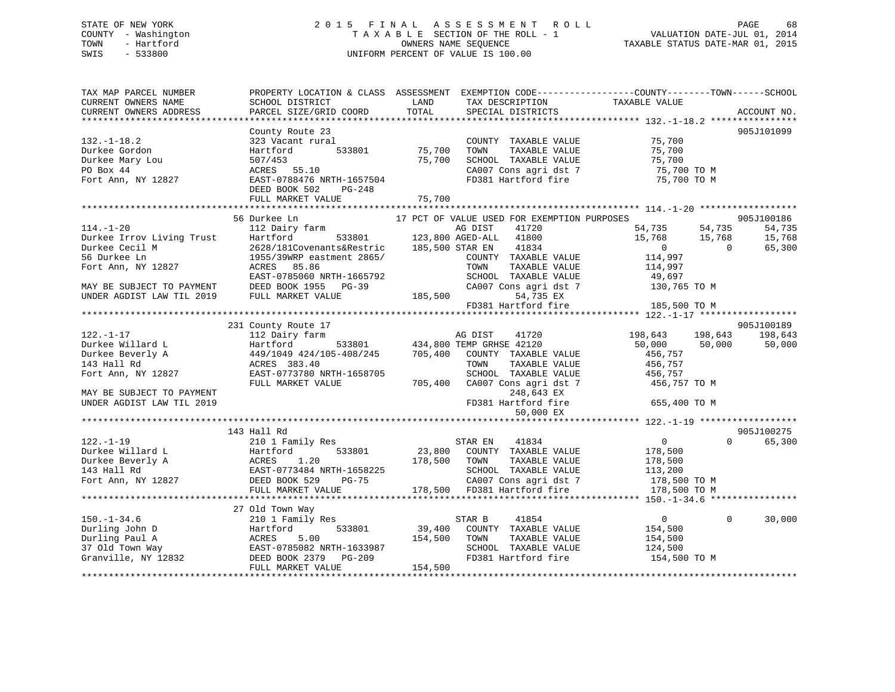## STATE OF NEW YORK 2 0 1 5 F I N A L A S S E S S M E N T R O L L PAGE 68 COUNTY - Washington T A X A B L E SECTION OF THE ROLL - 1 VALUATION DATE-JUL 01, 2014 TOWN - Hartford **TAXABLE STATUS DATE-MAR 01, 2015** OWNERS NAME SEQUENCE TAXABLE STATUS DATE-MAR 01, 2015 SWIS - 533800 UNIFORM PERCENT OF VALUE IS 100.00

| TAX MAP PARCEL NUMBER<br>CURRENT OWNERS NAME<br>CURRENT OWNERS ADDRESS                   | SCHOOL DISTRICT<br>PARCEL SIZE/GRID COORD                                                                                                                                                                                                                                     | LAND<br>TOTAL                | TAX DESCRIPTION<br>SPECIAL DISTRICTS                                                                                                                                                                                                        | PROPERTY LOCATION & CLASS ASSESSMENT EXEMPTION CODE---------------COUNTY-------TOWN-----SCHOOL<br>TAXABLE VALUE | ACCOUNT NO.                              |
|------------------------------------------------------------------------------------------|-------------------------------------------------------------------------------------------------------------------------------------------------------------------------------------------------------------------------------------------------------------------------------|------------------------------|---------------------------------------------------------------------------------------------------------------------------------------------------------------------------------------------------------------------------------------------|-----------------------------------------------------------------------------------------------------------------|------------------------------------------|
|                                                                                          |                                                                                                                                                                                                                                                                               |                              |                                                                                                                                                                                                                                             |                                                                                                                 |                                          |
| $132. - 1 - 18.2$<br>Durkee Gordon<br>Durkee Mary Lou<br>PO Box 44<br>Fort Ann, NY 12827 | County Route 23<br>323 Vacant rural<br>533801<br>Hartford<br>507/453<br>ACRES 55.10<br>EAST-0788476 NRTH-1657504                                                                                                                                                              | 75,700<br>75,700             | COUNTY TAXABLE VALUE<br>TOWN<br>TAXABLE VALUE<br>SCHOOL TAXABLE VALUE<br>CA007 Cons agri dst 7<br>FD381 Hartford fire                                                                                                                       | 75,700<br>75,700<br>טט/,15<br>75,700 TO M<br>רי רי די<br>75,700 TO M                                            | 905J101099                               |
|                                                                                          | DEED BOOK 502<br>PG-248                                                                                                                                                                                                                                                       |                              |                                                                                                                                                                                                                                             |                                                                                                                 |                                          |
|                                                                                          | FULL MARKET VALUE                                                                                                                                                                                                                                                             | 75,700                       |                                                                                                                                                                                                                                             |                                                                                                                 |                                          |
|                                                                                          |                                                                                                                                                                                                                                                                               |                              |                                                                                                                                                                                                                                             |                                                                                                                 |                                          |
| $114. - 1 - 20$<br>MAY BE SUBJECT TO PAYMENT<br>UNDER AGDIST LAW TIL 2019                | 56 Durkee Ln<br>112 Dairy farm<br>Durkee Irrov Living Trust Hartford 533801<br>Durkee Cecil M 2628/181Covenants&Restric<br>56 Durkee Ln 1955/39WRP eastment 2865/<br>Fort Ann, NY 12827 ACRES 85.86<br>EAST-0785060 NRTH-1665792<br>DEED BOOK 1955 PG-39<br>FULL MARKET VALUE | 185,500                      | 17 PCT OF VALUE USED FOR EXEMPTION PURPOSES<br>AG DIST<br>41720<br>533801 123,800 AGED-ALL 41800<br>185,500 STAR EN<br>41834<br>COUNTY TAXABLE VALUE<br>TOWN<br>TAXABLE VALUE<br>SCHOOL TAXABLE VALUE<br>CA007 Cons agri dst 7<br>54,735 EX | 54,735<br>54,735<br>15,768<br>15,768<br>$\sim$ 0<br>$\Omega$<br>114,997<br>114,997<br>49,697<br>130,765 TO M    | 905J100186<br>54,735<br>15,768<br>65,300 |
|                                                                                          |                                                                                                                                                                                                                                                                               |                              | FD381 Hartford fire                                                                                                                                                                                                                         | 185,500 TO M                                                                                                    |                                          |
| $122. - 1 - 17$                                                                          | 231 County Route 17<br>112 Dairy farm                                                                                                                                                                                                                                         |                              | AG DIST<br>41720                                                                                                                                                                                                                            | 198,643<br>198,643                                                                                              | 905J100189<br>198,643                    |
| Durkee Willard L<br>Durkee Beverly A<br>143 Hall Rd<br>Fort Ann, NY 12827                | Hartford<br>449/1049 424/105-408/245<br>ACRES 383.40<br>EAST-0773780 NRTH-1658705                                                                                                                                                                                             | 705,400                      | 533801 434,800 TEMP GRHSE 42120<br>COUNTY TAXABLE VALUE<br>TOWN<br>TAXABLE VALUE<br>SCHOOL TAXABLE VALUE                                                                                                                                    | 50,000 50,000<br>456,757<br>456,757<br>456,757                                                                  | 50,000                                   |
| MAY BE SUBJECT TO PAYMENT<br>UNDER AGDIST LAW TIL 2019                                   | FULL MARKET VALUE                                                                                                                                                                                                                                                             |                              | 705,400 CA007 Cons agri dst 7<br>248,643 EX<br>FD381 Hartford fire<br>50,000 EX                                                                                                                                                             | 456,757 TO M<br>655,400 TO M                                                                                    |                                          |
|                                                                                          |                                                                                                                                                                                                                                                                               |                              |                                                                                                                                                                                                                                             |                                                                                                                 |                                          |
| $122. - 1 - 19$<br>Durkee Willard L<br>Durkee Beverly A<br>143 Hall Rd                   | 143 Hall Rd<br>210 1 Family Res<br>533801<br>Hartford 533801<br>ACRES 1.20<br>EAST-0773484 NRTH-1658225<br>DEED BOOK 529 PG-75                                                                                                                                                | 178,500 TOWN                 | STAR EN<br>41834<br>23,800 COUNTY TAXABLE VALUE<br>TAXABLE VALUE<br>SCHOOL TAXABLE VALUE                                                                                                                                                    | $\overline{0}$<br>$\Omega$<br>178,500<br>178,500<br>113,200                                                     | 905J100275<br>65,300                     |
| Fort Ann, NY 12827                                                                       | FULL MARKET VALUE                                                                                                                                                                                                                                                             |                              | CA007 Cons agri dst 7<br>178,500 FD381 Hartford fire                                                                                                                                                                                        | 178,500 TO M<br>178,500 TO M                                                                                    |                                          |
| $150. - 1 - 34.6$                                                                        | 27 Old Town Way<br>210 1 Family Res<br>Durling John D<br>Durling Paul A<br>27 Old Town Way<br>Granville, NY 12832<br>EAST-0785082 NRTH-1633987<br>DEED BOOK 2379 PG-209<br>DEED BOOK 2379 PG-209<br>DEED BOOK 2379 PG-209<br>PETIT MARKET VALUE<br>FULL MARKET VALUE          | 39,400<br>154,500<br>154,500 | 41854<br>STAR B<br>COUNTY TAXABLE VALUE<br>TAXABLE VALUE<br>TOWN<br>SCHOOL TAXABLE VALUE<br>FD381 Hartford fire                                                                                                                             | $\overline{0}$<br>$\Omega$<br>154,500<br>154,500<br>124,500<br>154,500 TO M                                     | 30,000                                   |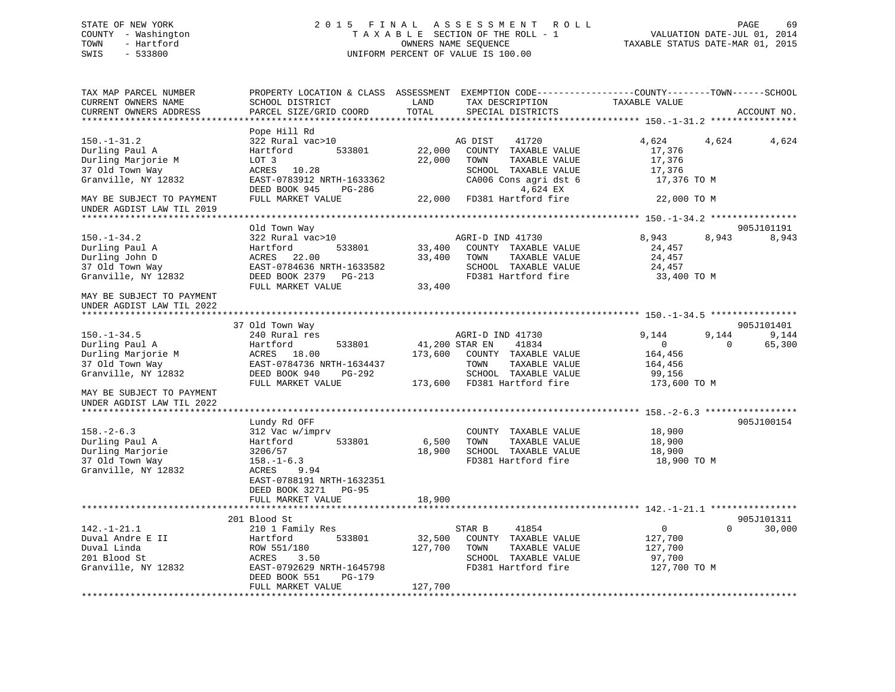## STATE OF NEW YORK 2 0 1 5 F I N A L A S S E S S M E N T R O L L PAGE 69 COUNTY - Washington T A X A B L E SECTION OF THE ROLL - 1 VALUATION DATE-JUL 01, 2014 TOWN - Hartford OWNERS NAME SEQUENCE TAXABLE STATUS DATE-MAR 01, 2015 SWIS - 533800 UNIFORM PERCENT OF VALUE IS 100.00

| TAX MAP PARCEL NUMBER<br>CURRENT OWNERS NAME<br>CURRENT OWNERS ADDRESS                              | SCHOOL DISTRICT<br>PARCEL SIZE/GRID COORD                                                                                                                                       | LAND<br>TAX DESCRIPTION<br>TOTAL<br>SPECIAL DISTRICTS                                                                                                          | PROPERTY LOCATION & CLASS ASSESSMENT EXEMPTION CODE----------------COUNTY-------TOWN------SCHOOL<br>TAXABLE VALUE<br>ACCOUNT NO. |
|-----------------------------------------------------------------------------------------------------|---------------------------------------------------------------------------------------------------------------------------------------------------------------------------------|----------------------------------------------------------------------------------------------------------------------------------------------------------------|----------------------------------------------------------------------------------------------------------------------------------|
|                                                                                                     |                                                                                                                                                                                 |                                                                                                                                                                |                                                                                                                                  |
| $150. - 1 - 31.2$<br>Durling Paul A<br>Durling Marjorie M<br>37 Old Town Way<br>Granville, NY 12832 | Pope Hill Rd<br>322 Rural vac>10<br>Hartford<br>533801<br>LOT 3<br>ACRES 10.28<br>EAST-0783912 NRTH-1633362<br>DEED BOOK 945<br>PG-286                                          | AG DIST<br>41720<br>22,000<br>COUNTY TAXABLE VALUE<br>22,000<br>TOWN<br>TAXABLE VALUE<br>SCHOOL TAXABLE VALUE<br>CA006 Cons agri dst 6<br>4,624 EX             | 4,624<br>4,624<br>4,624<br>17,376<br>17,376<br>17,376<br>17,376 TO M                                                             |
| MAY BE SUBJECT TO PAYMENT<br>UNDER AGDIST LAW TIL 2019                                              | FULL MARKET VALUE                                                                                                                                                               | 22,000 FD381 Hartford fire                                                                                                                                     | 22,000 TO M                                                                                                                      |
|                                                                                                     |                                                                                                                                                                                 |                                                                                                                                                                |                                                                                                                                  |
| $150. - 1 - 34.2$<br>Durling Paul A<br>Durling John D<br>37 Old Town Way<br>Granville, NY 12832     | Old Town Way<br>322 Rural vac>10<br>Hartford<br>533801<br>ACRES 22.00<br>EAST-0784636 NRTH-1633582<br>DEED BOOK 2379 PG-213<br>FULL MARKET VALUE                                | AGRI-D IND 41730<br>33,400<br>COUNTY TAXABLE VALUE<br>33,400<br>TOWN<br>TAXABLE VALUE<br>SCHOOL TAXABLE VALUE<br>FD381 Hartford fire<br>33,400                 | 905J101191<br>8,943<br>8,943<br>8,943<br>24,457<br>24,457<br>24,457<br>33,400 TO M                                               |
| MAY BE SUBJECT TO PAYMENT<br>UNDER AGDIST LAW TIL 2022                                              |                                                                                                                                                                                 |                                                                                                                                                                |                                                                                                                                  |
|                                                                                                     | 37 Old Town Way                                                                                                                                                                 |                                                                                                                                                                | 905J101401                                                                                                                       |
| $150. - 1 - 34.5$<br>Durling Paul A<br>Durling Marjorie M<br>37 Old Town Way<br>Granville, NY 12832 | 240 Rural res<br>Hartford<br>533801<br>ACRES 18.00<br>EAST-0784736 NRTH-1634437<br>DEED BOOK 940<br>PG-292<br>FULL MARKET VALUE                                                 | AGRI-D IND 41730<br>41,200 STAR EN<br>41834<br>173,600<br>COUNTY TAXABLE VALUE<br>TAXABLE VALUE<br>TOWN<br>SCHOOL TAXABLE VALUE<br>173,600 FD381 Hartford fire | 9,144<br>9,144<br>9,144<br>65,300<br>$\overline{0}$<br>$\Omega$<br>164,456<br>164,456<br>99,156<br>173,600 TO M                  |
| MAY BE SUBJECT TO PAYMENT<br>UNDER AGDIST LAW TIL 2022                                              |                                                                                                                                                                                 |                                                                                                                                                                |                                                                                                                                  |
| $158. - 2 - 6.3$<br>Durling Paul A<br>Durling Marjorie<br>37 Old Town Way<br>Granville, NY 12832    | Lundy Rd OFF<br>312 Vac w/imprv<br>533801<br>Hartford<br>3206/57<br>$158. - 1 - 6.3$<br>ACRES<br>9.94<br>EAST-0788191 NRTH-1632351<br>DEED BOOK 3271 PG-95<br>FULL MARKET VALUE | COUNTY TAXABLE VALUE<br>6,500<br>TOWN<br>TAXABLE VALUE<br>18,900 SCHOOL TAXABLE VALUE<br>FD381 Hartford fire<br>18,900                                         | 905J100154<br>18,900<br>18,900<br>18,900<br>18,900 TO M                                                                          |
|                                                                                                     |                                                                                                                                                                                 |                                                                                                                                                                |                                                                                                                                  |
| $142. - 1 - 21.1$<br>Duval Andre E II<br>Duval Linda<br>201 Blood St<br>Granville, NY 12832         | 201 Blood St<br>210 1 Family Res<br>533801<br>Hartford<br>ROW 551/180<br>ACRES<br>3.50<br>EAST-0792629 NRTH-1645798<br>DEED BOOK 551<br>PG-179<br>FULL MARKET VALUE             | STAR B<br>41854<br>32,500<br>COUNTY TAXABLE VALUE<br>127,700<br>TOWN<br>TAXABLE VALUE<br>SCHOOL TAXABLE VALUE<br>FD381 Hartford fire<br>127,700                | 905J101311<br>$\mathbf{0}$<br>$\Omega$<br>30,000<br>127,700<br>127,700<br>97,700<br>127,700 TO M                                 |
|                                                                                                     |                                                                                                                                                                                 |                                                                                                                                                                |                                                                                                                                  |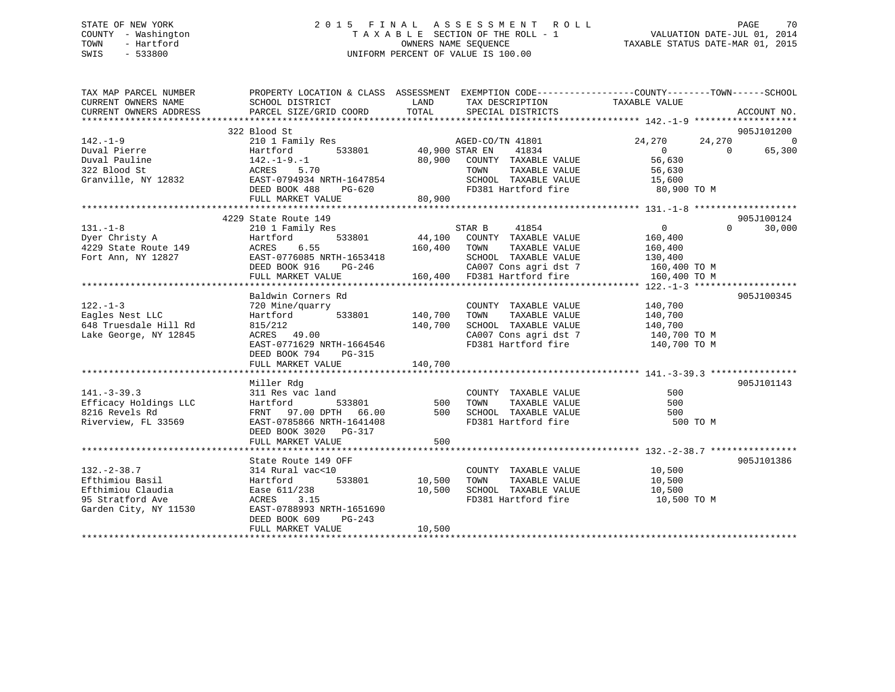## STATE OF NEW YORK 2 0 1 5 F I N A L A S S E S S M E N T R O L L PAGE 70 COUNTY - Washington T A X A B L E SECTION OF THE ROLL - 1 VALUATION DATE-JUL 01, 2014 TOWN - Hartford OWNERS NAME SEQUENCE TAXABLE STATUS DATE-MAR 01, 2015 SWIS - 533800 UNIFORM PERCENT OF VALUE IS 100.00

| TAX MAP PARCEL NUMBER<br>CURRENT OWNERS NAME<br>CURRENT OWNERS ADDRESS                                 | PROPERTY LOCATION & CLASS ASSESSMENT EXEMPTION CODE----------------COUNTY-------TOWN------SCHOOL<br>SCHOOL DISTRICT<br>PARCEL SIZE/GRID COORD                            | LAND<br>TOTAL                       | TAX DESCRIPTION TAXABLE VALUE<br>SPECIAL DISTRICTS                                                                             |                                                                 | ACCOUNT NO.            |
|--------------------------------------------------------------------------------------------------------|--------------------------------------------------------------------------------------------------------------------------------------------------------------------------|-------------------------------------|--------------------------------------------------------------------------------------------------------------------------------|-----------------------------------------------------------------|------------------------|
| $142. - 1 - 9$                                                                                         | 322 Blood St<br>210 1 Family Res                                                                                                                                         |                                     | AGED-CO/TN 41801                                                                                                               | 24,270<br>24,270                                                | 905J101200<br>$\Omega$ |
| Duval Pierre<br>Duval Pauline<br>322 Blood St<br>Granville, NY 12832                                   | Hartford<br>533801<br>$142. -1 - 9. -1$<br>ACRES 5.70<br>EAST-0794934 NRTH-1647854<br>DEED BOOK 488<br>PG-620                                                            | 40,900 STAR EN<br>80,900<br>TOWN    | 41834<br>COUNTY TAXABLE VALUE<br>TAXABLE VALUE<br>SCHOOL TAXABLE VALUE 15,600                                                  | $\Omega$<br>56,630<br>56,630<br>FD381 Hartford fire 80,900 TO M | 65,300<br>$\Omega$     |
|                                                                                                        | FULL MARKET VALUE                                                                                                                                                        | 80,900                              |                                                                                                                                |                                                                 |                        |
|                                                                                                        |                                                                                                                                                                          |                                     |                                                                                                                                |                                                                 |                        |
|                                                                                                        | 4229 State Route 149                                                                                                                                                     |                                     |                                                                                                                                |                                                                 | 905J100124             |
| $131. - 1 - 8$<br>Dyer Christy A<br>4229 State Route 149<br>Fort Ann, NY 12827                         | 210 1 Family Res<br>533801<br>Hartford<br>6.55<br>ACRES<br>EAST-0776085 NRTH-1653418<br>DEED BOOK 916<br>PG-246                                                          | STAR B<br>44,100<br>160,400<br>TOWN | 41854<br>COUNTY TAXABLE VALUE<br>TAXABLE VALUE<br>SCHOOL TAXABLE VALUE<br>CA007 Cons agri dst 7<br>160,400 FD381 Hartford fire | $\overline{0}$<br>160,400<br>160,400<br>130,400<br>160,400 TO M | $\Omega$<br>30,000     |
|                                                                                                        | FULL MARKET VALUE                                                                                                                                                        |                                     |                                                                                                                                | 160,400 TO M                                                    |                        |
|                                                                                                        | Baldwin Corners Rd                                                                                                                                                       |                                     |                                                                                                                                |                                                                 | 905J100345             |
| $122. - 1 - 3$<br>Eagles Nest LLC<br>648 Truesdale Hill Rd<br>Lake George, NY 12845                    | 720 Mine/quarry<br>Hartford 533801<br>815/212<br>ACRES 49.00<br>EAST-0771629 NRTH-1664546<br>DEED BOOK 794<br>PG-315                                                     | 140,700<br>TOWN<br>140,700          | COUNTY TAXABLE VALUE<br>TAXABLE VALUE<br>SCHOOL TAXABLE VALUE<br>CA007 Cons agri dst 7<br>FD381 Hartford fire                  | 140,700<br>140,700<br>140,700<br>140,700 TO M<br>140,700 TO M   |                        |
|                                                                                                        | FULL MARKET VALUE                                                                                                                                                        | 140,700                             |                                                                                                                                |                                                                 |                        |
|                                                                                                        |                                                                                                                                                                          |                                     |                                                                                                                                |                                                                 |                        |
| $141. - 3 - 39.3$<br>Efficacy Holdings LLC<br>8216 Revels Rd<br>Riverview, FL 33569                    | Miller Rdg<br>311 Res vac land<br>Hartford 533801 500<br>FRNT 97.00 DPTH 66.00 500<br>EAST-0785866 NRTH-1641408<br>DEED BOOK 3020 PG-317<br>FULL MARKET VALUE            | TOWN<br>500                         | COUNTY TAXABLE VALUE<br>TAXABLE VALUE<br>SCHOOL TAXABLE VALUE<br>FD381 Hartford fire                                           | 500<br>500<br>500<br>500 TO M                                   | 905J101143             |
|                                                                                                        |                                                                                                                                                                          |                                     |                                                                                                                                |                                                                 |                        |
| $132. - 2 - 38.7$<br>Efthimiou Basil<br>Efthimiou Claudia<br>95 Stratford Ave<br>Garden City, NY 11530 | State Route 149 OFF<br>314 Rural vac<10<br>533801<br>Hartford<br>Ease 611/238<br>ACRES 3.15<br>EAST-0788993 NRTH-1651690<br>DEED BOOK 609<br>PG-243<br>FULL MARKET VALUE | 10,500<br>TOWN<br>10,500<br>10,500  | COUNTY TAXABLE VALUE<br>TAXABLE VALUE<br>SCHOOL TAXABLE VALUE<br>FD381 Hartford fire                                           | 10,500<br>10,500<br>10,500<br>10,500 TO M                       | 905J101386             |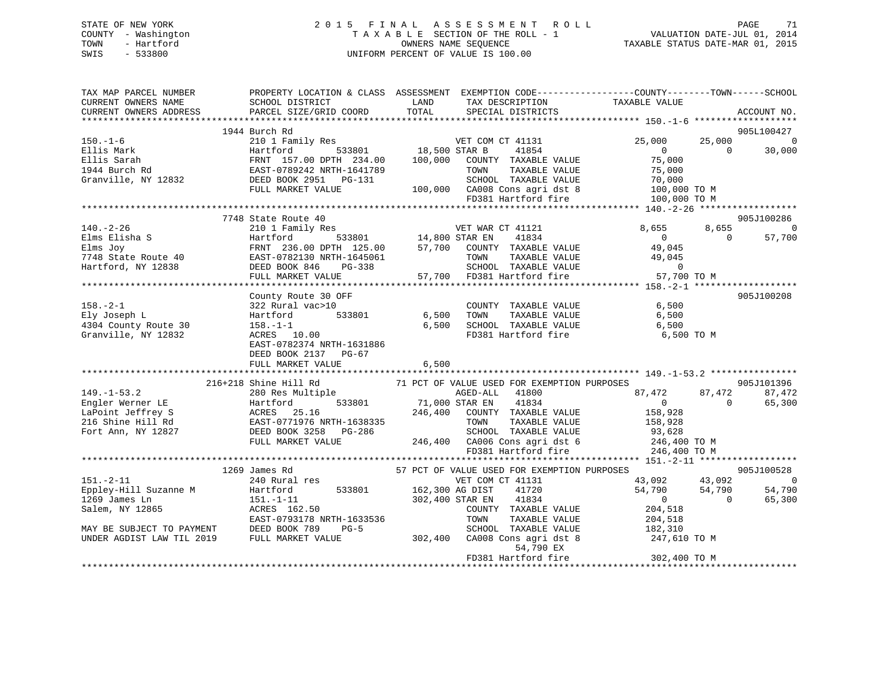|      | STATE OF NEW YORK   | 2015 FINAL ASSESSMENT ROLL         | PAGE                             | -71 |
|------|---------------------|------------------------------------|----------------------------------|-----|
|      | COUNTY - Washington | TAXABLE SECTION OF THE ROLL - 1    | VALUATION DATE-JUL 01, 2014      |     |
| TOWN | - Hartford          | OWNERS NAME SEOUENCE               | TAXABLE STATUS DATE-MAR 01, 2015 |     |
| SWIS | $-533800$           | UNIFORM PERCENT OF VALUE IS 100.00 |                                  |     |
|      |                     |                                    |                                  |     |
|      |                     |                                    |                                  |     |

| TAX MAP PARCEL NUMBER THE PROPERTY LOCATION & CLASS ASSESSMENT EXEMPTION CODE--------------COUNTY--------TOWN------SCHOOL                                                                                                                                                                                                                                                                                                      |                           |           |  |             |
|--------------------------------------------------------------------------------------------------------------------------------------------------------------------------------------------------------------------------------------------------------------------------------------------------------------------------------------------------------------------------------------------------------------------------------|---------------------------|-----------|--|-------------|
|                                                                                                                                                                                                                                                                                                                                                                                                                                |                           |           |  |             |
|                                                                                                                                                                                                                                                                                                                                                                                                                                |                           |           |  | ACCOUNT NO. |
|                                                                                                                                                                                                                                                                                                                                                                                                                                |                           |           |  |             |
|                                                                                                                                                                                                                                                                                                                                                                                                                                | 1944 Burch Rd             |           |  | 905L100427  |
|                                                                                                                                                                                                                                                                                                                                                                                                                                |                           |           |  |             |
|                                                                                                                                                                                                                                                                                                                                                                                                                                |                           |           |  |             |
|                                                                                                                                                                                                                                                                                                                                                                                                                                |                           |           |  |             |
|                                                                                                                                                                                                                                                                                                                                                                                                                                |                           |           |  |             |
|                                                                                                                                                                                                                                                                                                                                                                                                                                |                           |           |  |             |
|                                                                                                                                                                                                                                                                                                                                                                                                                                |                           |           |  |             |
|                                                                                                                                                                                                                                                                                                                                                                                                                                |                           |           |  |             |
|                                                                                                                                                                                                                                                                                                                                                                                                                                |                           |           |  |             |
|                                                                                                                                                                                                                                                                                                                                                                                                                                |                           |           |  |             |
|                                                                                                                                                                                                                                                                                                                                                                                                                                | 7748 State Route 40       |           |  | 905J100286  |
|                                                                                                                                                                                                                                                                                                                                                                                                                                |                           |           |  |             |
|                                                                                                                                                                                                                                                                                                                                                                                                                                |                           |           |  |             |
|                                                                                                                                                                                                                                                                                                                                                                                                                                |                           |           |  |             |
|                                                                                                                                                                                                                                                                                                                                                                                                                                |                           |           |  |             |
|                                                                                                                                                                                                                                                                                                                                                                                                                                |                           |           |  |             |
|                                                                                                                                                                                                                                                                                                                                                                                                                                |                           |           |  |             |
|                                                                                                                                                                                                                                                                                                                                                                                                                                |                           |           |  |             |
|                                                                                                                                                                                                                                                                                                                                                                                                                                |                           |           |  |             |
|                                                                                                                                                                                                                                                                                                                                                                                                                                | County Route 30 OFF       |           |  | 905J100208  |
|                                                                                                                                                                                                                                                                                                                                                                                                                                |                           |           |  |             |
|                                                                                                                                                                                                                                                                                                                                                                                                                                |                           |           |  |             |
|                                                                                                                                                                                                                                                                                                                                                                                                                                |                           |           |  |             |
|                                                                                                                                                                                                                                                                                                                                                                                                                                |                           |           |  |             |
|                                                                                                                                                                                                                                                                                                                                                                                                                                |                           |           |  |             |
|                                                                                                                                                                                                                                                                                                                                                                                                                                | EAST-0782374 NRTH-1631886 |           |  |             |
|                                                                                                                                                                                                                                                                                                                                                                                                                                | DEED BOOK 2137 PG-67      |           |  |             |
|                                                                                                                                                                                                                                                                                                                                                                                                                                |                           |           |  |             |
|                                                                                                                                                                                                                                                                                                                                                                                                                                |                           |           |  |             |
| 149.-1-53.2<br>216+218 Shine Hill Rd<br>Engler Werner LE<br>216-2018 Solet Hill Rd<br>216 Shine Hill Rd<br>216 Shine Hill Rd<br>216 Shine Hill Rd<br>216 Shine Hill Rd<br>216 Shine Hill Rd<br>216 Shine Hill Rd<br>216 Shine Hill Rd<br>216 Shine H                                                                                                                                                                           |                           |           |  |             |
|                                                                                                                                                                                                                                                                                                                                                                                                                                |                           |           |  |             |
|                                                                                                                                                                                                                                                                                                                                                                                                                                |                           |           |  |             |
|                                                                                                                                                                                                                                                                                                                                                                                                                                |                           |           |  |             |
|                                                                                                                                                                                                                                                                                                                                                                                                                                |                           |           |  |             |
|                                                                                                                                                                                                                                                                                                                                                                                                                                |                           |           |  |             |
|                                                                                                                                                                                                                                                                                                                                                                                                                                |                           |           |  |             |
|                                                                                                                                                                                                                                                                                                                                                                                                                                |                           |           |  |             |
|                                                                                                                                                                                                                                                                                                                                                                                                                                |                           |           |  |             |
|                                                                                                                                                                                                                                                                                                                                                                                                                                |                           |           |  |             |
|                                                                                                                                                                                                                                                                                                                                                                                                                                |                           |           |  |             |
|                                                                                                                                                                                                                                                                                                                                                                                                                                |                           |           |  |             |
|                                                                                                                                                                                                                                                                                                                                                                                                                                |                           |           |  |             |
|                                                                                                                                                                                                                                                                                                                                                                                                                                |                           |           |  |             |
| $\begin{tabular}{l cccc} \textbf{151.}-2-11 & \textbf{1269 James Rd} & \textbf{57 PCT OF VALUE ISED FOR EXENPTION PURPOSES} \\ \hline 151.-2-11 & \textbf{240 Rural res} & \textbf{95.1100528} \\ \hline 240 Rural res & \textbf{151.}-11 & \textbf{240 Rural res} \\ \hline 240 Rural res & \textbf{151.}-11 & \textbf{241.}-11 & \textbf{242.}-11 \\ \hline 240 Rural res & \textbf{151.}-11 & \textbf{242.}-11 & \textbf{2$ |                           |           |  |             |
|                                                                                                                                                                                                                                                                                                                                                                                                                                |                           |           |  |             |
|                                                                                                                                                                                                                                                                                                                                                                                                                                |                           |           |  |             |
|                                                                                                                                                                                                                                                                                                                                                                                                                                |                           |           |  |             |
|                                                                                                                                                                                                                                                                                                                                                                                                                                |                           |           |  |             |
|                                                                                                                                                                                                                                                                                                                                                                                                                                |                           | 54,790 EX |  |             |
|                                                                                                                                                                                                                                                                                                                                                                                                                                |                           |           |  |             |
|                                                                                                                                                                                                                                                                                                                                                                                                                                |                           |           |  |             |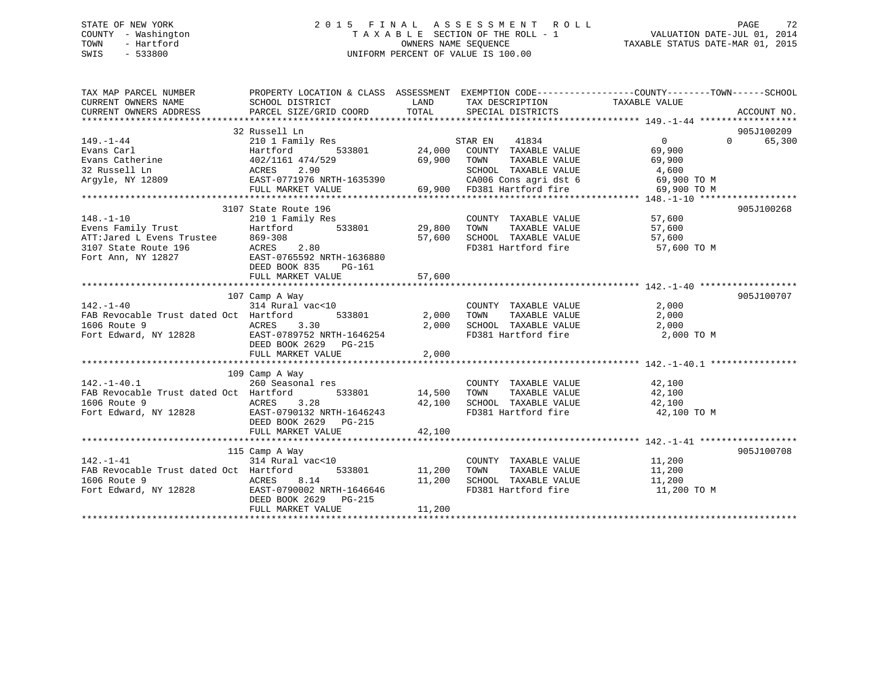## STATE OF NEW YORK 2 0 1 5 F I N A L A S S E S S M E N T R O L L PAGE 72 COUNTY - Washington T A X A B L E SECTION OF THE ROLL - 1 VALUATION DATE-JUL 01, 2014 TOWN - Hartford **TAXABLE STATUS DATE-MAR 01, 2015** OWNERS NAME SEQUENCE TAXABLE STATUS DATE-MAR 01, 2015 SWIS - 533800 UNIFORM PERCENT OF VALUE IS 100.00

| TAX MAP PARCEL NUMBER<br>CURRENT OWNERS NAME<br>CURRENT OWNERS ADDRESS                                                                                                                                                                                                             | PROPERTY LOCATION & CLASS ASSESSMENT EXEMPTION CODE-----------------COUNTY-------TOWN------SCHOOL<br>SCHOOL DISTRICT<br>PARCEL SIZE/GRID COORD TOTAL SPECIAL DISTRICTS |                | LAND TAX DESCRIPTION TAXABLE VALUE                                                                   |                                     | ACCOUNT NO.                               |
|------------------------------------------------------------------------------------------------------------------------------------------------------------------------------------------------------------------------------------------------------------------------------------|------------------------------------------------------------------------------------------------------------------------------------------------------------------------|----------------|------------------------------------------------------------------------------------------------------|-------------------------------------|-------------------------------------------|
| $149. - 1 - 44$<br>$[149.-1-44$ Evans Carl<br>Evans Catherine $402/1161$<br>$474/529$<br>Evans Catherine $402/1161$<br>$474/529$<br>$533801$<br>$402/1161$<br>$474/529$<br>$59,900$<br>$59,900$<br>$59,900$<br>$59,900$<br>$59,900$<br>$59,900$<br>$59,900$<br>$59,900$<br>$59,90$ | 32 Russell Ln                                                                                                                                                          |                |                                                                                                      | $\overline{0}$                      | 905J100209<br>$0 \qquad \qquad$<br>65,300 |
| 110.11-10<br>Evens Family Trust<br>Evens Family Trust<br>ATT:Jared L Evens Trustee 869-308<br>3107 State Route 196 ACRES 2.80<br>Fort Ann, NY 12827<br>Fort Ann, NY 12827<br>29,800<br>29,800<br>57,600<br>57,600<br>Fort Ann, NY 12827<br>29,800<br>29,                           | DEED BOOK 835 PG-161                                                                                                                                                   |                | COUNTY TAXABLE VALUE 57,600<br>57,600 SCHOOL TAXABLE VALUE 57,600<br>FD381 Hartford fire 57,600 TO M | TAXABLE VALUE 57,600                | 905J100268                                |
| $142. - 1 - 40$<br>FAB Revocable Trust dated Oct Hartford<br>1606 Route 9<br>Fort Edward, NY 12828 EAST-0789752 NRTH-1646254                                                                                                                                                       | 107 Camp A Way<br>$314$ Rural vac<10<br>$533801$ 2,000<br>ACRES 3.30<br>DEED BOOK 2629 PG-215<br>FULL MARKET VALUE                                                     | 2,000<br>2,000 | COUNTY TAXABLE VALUE<br>TAXABLE VALUE<br>TOWN                                                        | 2,000<br>2,000                      | 905J100707                                |
| $142. - 1 - 40.1$<br>FAB Revocable Trust dated Oct Hartford<br>1606 Route 9 		 ACRES 3.28 		 42,100 SCHOOL TAXABLE VALUE 		 42,100 		 42,100 		 FOTT Edward, NY 12828 		 EAST-0790132 NRTH-1646243 		 FD381 Hartford fire 		 42,100 		 42,100                                      | 109 Camp A Way<br>مسبب به way<br>260 Seasonal res<br>533801 14,500 TOWN<br>DEED BOOK 2629 PG-215<br>FULL MARKET VALUE                                                  | 42,100         | COUNTY TAXABLE VALUE 42,100                                                                          | TAXABLE VALUE 42,100<br>42,100 TO M |                                           |
| $142. - 1 - 41$<br>FAB Revocable Trust dated Oct Hartford<br>1606 Route 9<br>Fort Edward, NY 12828<br>Fort Edward, NY 12828<br>Fort Canada EAST-0790002 NRTH-1646646                                                                                                               | 115 Camp A Way<br>country<br>314 Rural vac<10 000NTY<br>Hartford 533801 11,200 TOWN<br>DEED BOOK 2629 PG-215                                                           |                | 11,200 SCHOOL TAXABLE VALUE 11,200<br>FD381 Hartford fire                                            | 11,200 TO M                         | 905J100708                                |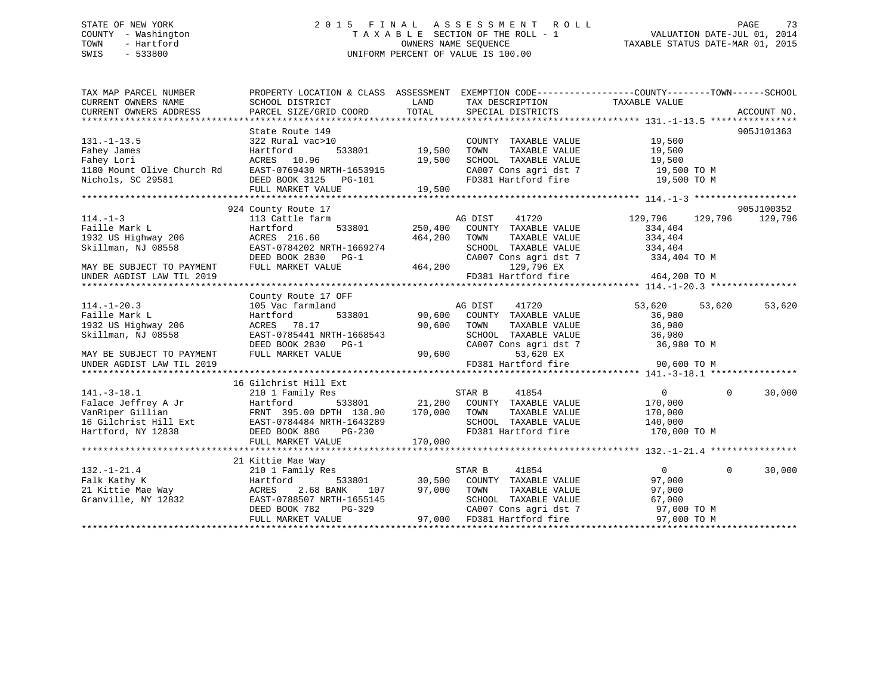# STATE OF NEW YORK 2 0 1 5 F I N A L A S S E S S M E N T R O L L PAGE 73 COUNTY - Washington T A X A B L E SECTION OF THE ROLL - 1 VALUATION DATE-JUL 01, 2014 TOWN - Hartford **TAXABLE STATUS DATE-MAR 01, 2015** OWNERS NAME SEQUENCE TAXABLE STATUS DATE-MAR 01, 2015 SWIS - 533800 UNIFORM PERCENT OF VALUE IS 100.00

| TAX MAP PARCEL NUMBER                                                                                                                                                                                                                                                                                                                                                                                                       | PROPERTY LOCATION & CLASS ASSESSMENT EXEMPTION CODE---------------COUNTY-------TOWN------SCHOOL                                  |                                      |                                                                                                                 |        |              |            |
|-----------------------------------------------------------------------------------------------------------------------------------------------------------------------------------------------------------------------------------------------------------------------------------------------------------------------------------------------------------------------------------------------------------------------------|----------------------------------------------------------------------------------------------------------------------------------|--------------------------------------|-----------------------------------------------------------------------------------------------------------------|--------|--------------|------------|
| CURRENT OWNERS NAME                                                                                                                                                                                                                                                                                                                                                                                                         | SCHOOL DISTRICT                                                                                                                  | <b>LAND</b>                          | TAX DESCRIPTION TAXABLE VALUE                                                                                   |        |              |            |
|                                                                                                                                                                                                                                                                                                                                                                                                                             |                                                                                                                                  |                                      |                                                                                                                 |        |              |            |
|                                                                                                                                                                                                                                                                                                                                                                                                                             |                                                                                                                                  |                                      |                                                                                                                 |        |              |            |
|                                                                                                                                                                                                                                                                                                                                                                                                                             | State Route 149                                                                                                                  |                                      |                                                                                                                 |        |              | 905J101363 |
|                                                                                                                                                                                                                                                                                                                                                                                                                             |                                                                                                                                  | 0<br>533801                   19,500 |                                                                                                                 |        |              |            |
|                                                                                                                                                                                                                                                                                                                                                                                                                             |                                                                                                                                  |                                      |                                                                                                                 |        |              |            |
|                                                                                                                                                                                                                                                                                                                                                                                                                             |                                                                                                                                  |                                      |                                                                                                                 |        |              |            |
|                                                                                                                                                                                                                                                                                                                                                                                                                             |                                                                                                                                  |                                      | CA007 Cons agri dst 7 19,500 TO M<br>FD381 Hartford fire 19,500 TO M                                            |        |              |            |
|                                                                                                                                                                                                                                                                                                                                                                                                                             |                                                                                                                                  |                                      |                                                                                                                 |        |              |            |
| 131.-1-13.5<br>Fahey James<br>Fahey Lori 202 Rural vac>10<br>Fahey Lori 202 Rural vac>10<br>Fahey Lori 202 Rural vac>10<br>Fahey Lori 202 Rural vac>10<br>Fahey Lori 2033801<br>Fahey Lori 2032 Rural vac>10<br>Fahey Lori 20381<br>Fahey Lori 2                                                                                                                                                                            |                                                                                                                                  |                                      |                                                                                                                 |        |              |            |
|                                                                                                                                                                                                                                                                                                                                                                                                                             |                                                                                                                                  |                                      |                                                                                                                 |        |              |            |
|                                                                                                                                                                                                                                                                                                                                                                                                                             | 924 County Route 17                                                                                                              |                                      |                                                                                                                 |        |              | 905J100352 |
|                                                                                                                                                                                                                                                                                                                                                                                                                             |                                                                                                                                  |                                      | 129,796 129,796 129,796 129,796 129,796 129,796 129,796 533801 250,400 COUNTY TAXABLE VALUE 234,404             |        |              | 129,796    |
|                                                                                                                                                                                                                                                                                                                                                                                                                             |                                                                                                                                  |                                      |                                                                                                                 |        |              |            |
|                                                                                                                                                                                                                                                                                                                                                                                                                             |                                                                                                                                  |                                      |                                                                                                                 |        |              |            |
|                                                                                                                                                                                                                                                                                                                                                                                                                             |                                                                                                                                  |                                      |                                                                                                                 |        |              |            |
|                                                                                                                                                                                                                                                                                                                                                                                                                             |                                                                                                                                  |                                      |                                                                                                                 |        |              |            |
|                                                                                                                                                                                                                                                                                                                                                                                                                             |                                                                                                                                  |                                      |                                                                                                                 |        |              |            |
|                                                                                                                                                                                                                                                                                                                                                                                                                             |                                                                                                                                  |                                      |                                                                                                                 |        |              |            |
|                                                                                                                                                                                                                                                                                                                                                                                                                             |                                                                                                                                  |                                      |                                                                                                                 |        |              |            |
|                                                                                                                                                                                                                                                                                                                                                                                                                             | County Route 17 OFF                                                                                                              |                                      |                                                                                                                 |        |              |            |
| $114. - 1 - 20.3$                                                                                                                                                                                                                                                                                                                                                                                                           | 105 Vac farmland                                                                                                                 |                                      | ite 17 Orr<br>190,600 COUNTY TAXABLE VALUE 53,620<br>53,801 90,600 COUNTY TAXABLE VALUE 36,980<br>54,980 36,980 | 53,620 | 53,620       | 53,620     |
| Faille Mark L                                                                                                                                                                                                                                                                                                                                                                                                               | Hartford                                                                                                                         |                                      |                                                                                                                 |        |              |            |
| 1932 US Highway 206                                                                                                                                                                                                                                                                                                                                                                                                         |                                                                                                                                  |                                      |                                                                                                                 |        |              |            |
| Skillman, NJ 08558                                                                                                                                                                                                                                                                                                                                                                                                          |                                                                                                                                  |                                      | TOWN TAXABLE VALUE 36,980<br>SCHOOL TAXABLE VALUE 36,980<br>CA007 Cons agri dst 7 36,980 TO M                   |        |              |            |
|                                                                                                                                                                                                                                                                                                                                                                                                                             |                                                                                                                                  |                                      |                                                                                                                 |        |              |            |
|                                                                                                                                                                                                                                                                                                                                                                                                                             |                                                                                                                                  |                                      |                                                                                                                 |        |              |            |
| MAY BE SUBJECT TO PAYMENT                                                                                                                                                                                                                                                                                                                                                                                                   | ACRES 78.17 90,600 TOWN<br>EAST-0785441 NRTH-1668543 SCHOOL<br>DEED BOOK 2830 PG-1 CA007 CC<br>FULL MARKET VALUE 90,600 FD381 Hz |                                      | 53,620 EX<br>FD381 Hartford fire 90,600 TO M                                                                    |        |              |            |
| UNDER AGDIST LAW TIL 2019                                                                                                                                                                                                                                                                                                                                                                                                   |                                                                                                                                  |                                      |                                                                                                                 |        |              |            |
|                                                                                                                                                                                                                                                                                                                                                                                                                             |                                                                                                                                  |                                      |                                                                                                                 |        |              |            |
| 141.-3-18.1<br>141.-3-18.1<br>111.-3-18.1<br>2101 Family Res STAR B 41854 0<br>21,200 COUNTY TAXABLE VALUE 170,000<br>170,000 TOWN TAXABLE VALUE 170,000<br>16 Gilchrist Hill Ext EAST-0784484 NRTH-1643289 SCHOOL TAXABLE VALUE 170,00                                                                                                                                                                                     |                                                                                                                                  |                                      |                                                                                                                 |        |              |            |
|                                                                                                                                                                                                                                                                                                                                                                                                                             |                                                                                                                                  |                                      |                                                                                                                 |        | $\mathbf{0}$ | 30,000     |
|                                                                                                                                                                                                                                                                                                                                                                                                                             |                                                                                                                                  |                                      |                                                                                                                 |        |              |            |
|                                                                                                                                                                                                                                                                                                                                                                                                                             |                                                                                                                                  |                                      |                                                                                                                 |        |              |            |
|                                                                                                                                                                                                                                                                                                                                                                                                                             |                                                                                                                                  |                                      |                                                                                                                 |        |              |            |
|                                                                                                                                                                                                                                                                                                                                                                                                                             |                                                                                                                                  |                                      | FD381 Hartford fire 170,000 TO M                                                                                |        |              |            |
|                                                                                                                                                                                                                                                                                                                                                                                                                             |                                                                                                                                  |                                      |                                                                                                                 |        |              |            |
|                                                                                                                                                                                                                                                                                                                                                                                                                             |                                                                                                                                  |                                      |                                                                                                                 |        |              |            |
|                                                                                                                                                                                                                                                                                                                                                                                                                             | 21 Kittie Mae Way                                                                                                                |                                      |                                                                                                                 |        |              |            |
|                                                                                                                                                                                                                                                                                                                                                                                                                             |                                                                                                                                  |                                      |                                                                                                                 |        |              | 30,000     |
|                                                                                                                                                                                                                                                                                                                                                                                                                             |                                                                                                                                  |                                      |                                                                                                                 |        |              |            |
|                                                                                                                                                                                                                                                                                                                                                                                                                             |                                                                                                                                  |                                      |                                                                                                                 |        |              |            |
|                                                                                                                                                                                                                                                                                                                                                                                                                             |                                                                                                                                  |                                      |                                                                                                                 |        |              |            |
|                                                                                                                                                                                                                                                                                                                                                                                                                             |                                                                                                                                  |                                      |                                                                                                                 |        |              |            |
| $\begin{array}{cccccccc} \texttt{132.-1-21.4} & \texttt{21 Kittie Mae Way} & \texttt{21 Kittie Mae Way} & \texttt{132.-1-21.4} & 0 & 0 & 3 \\ \texttt{Falk Kathy K} & \texttt{Hartford} & \texttt{533801} & 30,500 & \texttt{COUNT TAXABLE VALUE} & 97,000 \\ \texttt{21 Kittie Mae Way} & \texttt{ACRES} & 2.68 BANK & 107 & 97,000 & \texttt{TOWN} & \texttt{TAXABLE VALUE} & 97,000 \\ \texttt{Granville, NY 12832} & \$ |                                                                                                                                  |                                      |                                                                                                                 |        |              |            |
|                                                                                                                                                                                                                                                                                                                                                                                                                             |                                                                                                                                  |                                      |                                                                                                                 |        |              |            |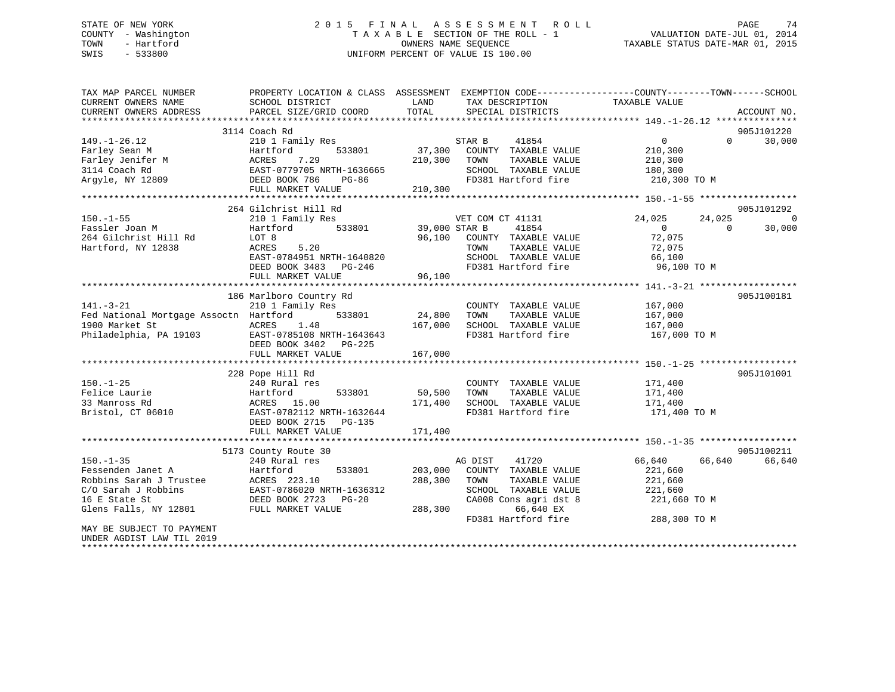# STATE OF NEW YORK 2 0 1 5 F I N A L A S S E S S M E N T R O L L PAGE 74 COUNTY - Washington T A X A B L E SECTION OF THE ROLL - 1 VALUATION DATE-JUL 01, 2014 TOWN - Hartford **TAXABLE STATUS DATE-MAR 01, 2015** OWNERS NAME SEQUENCE TAXABLE STATUS DATE-MAR 01, 2015 SWIS - 533800 UNIFORM PERCENT OF VALUE IS 100.00

| TAX MAP PARCEL NUMBER                         | PROPERTY LOCATION & CLASS ASSESSMENT EXEMPTION CODE----------------COUNTY-------TOWN------SCHOOL     | LAND          |                                      | TAXABLE VALUE  |          |             |
|-----------------------------------------------|------------------------------------------------------------------------------------------------------|---------------|--------------------------------------|----------------|----------|-------------|
| CURRENT OWNERS NAME<br>CURRENT OWNERS ADDRESS | SCHOOL DISTRICT<br>PARCEL SIZE/GRID COORD                                                            | TOTAL         | TAX DESCRIPTION<br>SPECIAL DISTRICTS |                |          | ACCOUNT NO. |
|                                               |                                                                                                      |               |                                      |                |          |             |
|                                               | 3114 Coach Rd                                                                                        |               |                                      |                |          | 905J101220  |
| $149. - 1 - 26.12$                            | 210 1 Family Res                                                                                     |               | STAR B<br>41854                      | $\Omega$       | $\Omega$ | 30,000      |
| Farley Sean M                                 | 533801<br>Hartford                                                                                   |               | 37,300 COUNTY TAXABLE VALUE          | 210,300        |          |             |
| Farley Jenifer M                              | 7.29<br>ACRES                                                                                        | 210,300 TOWN  | TAXABLE VALUE                        | 210,300        |          |             |
| 3114 Coach Rd                                 | EAST-0779705 NRTH-1636665                                                                            |               | SCHOOL TAXABLE VALUE                 | 180,300        |          |             |
| Argyle, NY 12809                              | DEED BOOK 786<br>PG-86                                                                               |               | FD381 Hartford fire                  | 210,300 TO M   |          |             |
|                                               | FULL MARKET VALUE                                                                                    | 210, 300      |                                      |                |          |             |
|                                               |                                                                                                      |               |                                      |                |          |             |
|                                               | 264 Gilchrist Hill Rd                                                                                |               |                                      |                |          | 905J101292  |
| $150. - 1 - 55$                               | 210 1 Family Res                                                                                     |               | VET COM CT 41131                     | 24,025         | 24,025   | $\Omega$    |
| Fassler Joan M                                | Hartford<br>533801                                                                                   | 39,000 STAR B | 41854                                | $\overline{0}$ | $\Omega$ | 30,000      |
| 264 Gilchrist Hill Rd                         | LOT 8                                                                                                | 96,100        | COUNTY TAXABLE VALUE                 | 72,075         |          |             |
| Hartford, NY 12838                            | 5.20<br>ACRES                                                                                        |               | TAXABLE VALUE<br>TOWN                | 72,075         |          |             |
|                                               | EAST-0784951 NRTH-1640820                                                                            |               | SCHOOL TAXABLE VALUE                 | 66,100         |          |             |
|                                               | DEED BOOK 3483 PG-246                                                                                |               | FD381 Hartford fire                  | 96,100 TO M    |          |             |
|                                               | FULL MARKET VALUE                                                                                    | 96,100        |                                      |                |          |             |
|                                               |                                                                                                      |               |                                      |                |          |             |
|                                               | 186 Marlboro Country Rd                                                                              |               |                                      |                |          | 905J100181  |
| $141. - 3 - 21$                               | 210 1 Family Res                                                                                     |               | COUNTY TAXABLE VALUE                 | 167,000        |          |             |
| Fed National Mortgage Assoctn Hartford        | 533801                                                                                               | 24,800        | TAXABLE VALUE<br>TOWN                | 167,000        |          |             |
| 1900 Market St                                | 1.48<br>ACRES                                                                                        | 167,000       | SCHOOL TAXABLE VALUE                 | 167,000        |          |             |
| Philadelphia, PA 19103                        | EAST-0785108 NRTH-1643643                                                                            |               | FD381 Hartford fire                  | 167,000 TO M   |          |             |
|                                               | DEED BOOK 3402 PG-225                                                                                |               |                                      |                |          |             |
|                                               | FULL MARKET VALUE                                                                                    | 167,000       |                                      |                |          |             |
|                                               |                                                                                                      |               |                                      |                |          |             |
|                                               | 228 Pope Hill Rd                                                                                     |               |                                      |                |          | 905J101001  |
| $150. - 1 - 25$                               |                                                                                                      |               | COUNTY TAXABLE VALUE                 | 171,400        |          |             |
| Felice Laurie                                 |                                                                                                      | 50,500        | TOWN<br>TAXABLE VALUE                | 171,400        |          |             |
| 33 Manross Rd                                 |                                                                                                      | 171,400       | SCHOOL TAXABLE VALUE                 | 171,400        |          |             |
| Bristol, CT 06010                             |                                                                                                      |               | FD381 Hartford fire                  | 171,400 TO M   |          |             |
|                                               | 240 Rural 100<br>Hartford 533801<br>ACRES 15.00<br>EAST-0782112 NRTH-1632644<br>TAR DOOK 2715 PG-135 |               |                                      |                |          |             |
|                                               | FULL MARKET VALUE                                                                                    | 171,400       |                                      |                |          |             |
|                                               |                                                                                                      |               |                                      |                |          |             |
|                                               | 5173 County Route 30                                                                                 |               |                                      |                |          | 905J100211  |
| $150. - 1 - 35$                               | 240 Rural res                                                                                        |               | 41720<br>AG DIST                     | 66,640         | 66,640   | 66,640      |
|                                               | 533801<br>Hartford                                                                                   | 203,000       | COUNTY TAXABLE VALUE                 | 221,660        |          |             |
| Fessenden Janet A<br>Robbins Sarah J Trustee  | ACRES 223.10                                                                                         | 288,300       | TOWN<br>TAXABLE VALUE                | 221,660        |          |             |
| C/O Sarah J Robbins                           |                                                                                                      |               | SCHOOL TAXABLE VALUE                 | 221,660        |          |             |
| 16 E State St                                 | EAST-0786020 NRTH-1636312<br>DEED BOOK 2723 PG-20                                                    |               | CA008 Cons agri dst 8                | 221,660 TO M   |          |             |
| Glens Falls, NY 12801                         | FULL MARKET VALUE                                                                                    | 288,300       | 66,640 EX                            |                |          |             |
|                                               |                                                                                                      |               | FD381 Hartford fire                  | 288,300 TO M   |          |             |
| MAY BE SUBJECT TO PAYMENT                     |                                                                                                      |               |                                      |                |          |             |
| UNDER AGDIST LAW TIL 2019                     |                                                                                                      |               |                                      |                |          |             |
|                                               |                                                                                                      |               |                                      |                |          |             |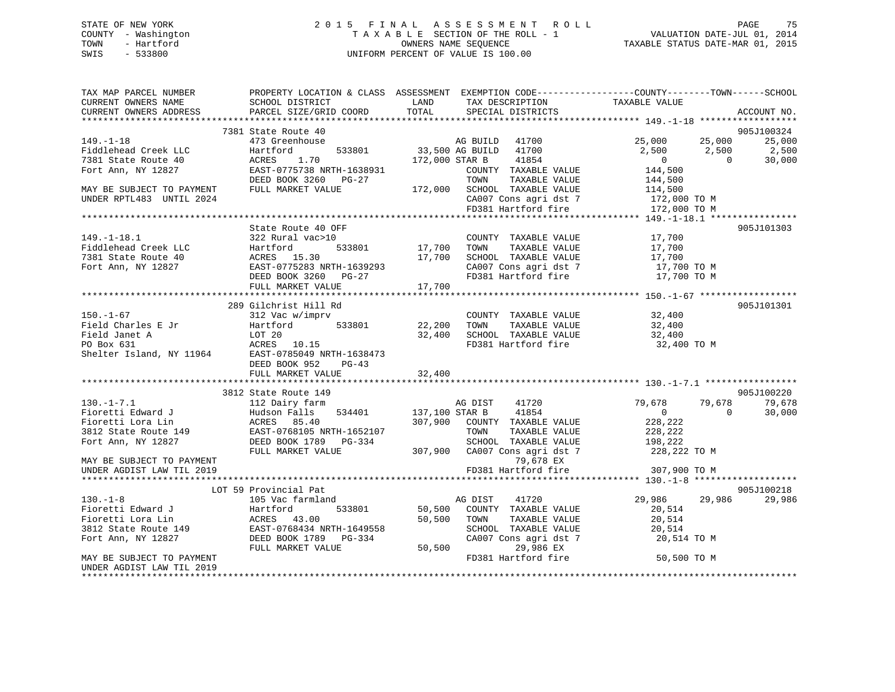# STATE OF NEW YORK 2 0 1 5 F I N A L A S S E S S M E N T R O L L PAGE 75 COUNTY - Washington T A X A B L E SECTION OF THE ROLL - 1 VALUATION DATE-JUL 01, 2014 TOWN - Hartford **TAXABLE STATUS DATE-MAR 01, 2015** OWNERS NAME SEQUENCE TAXABLE STATUS DATE-MAR 01, 2015 SWIS - 533800 UNIFORM PERCENT OF VALUE IS 100.00

| TAX MAP PARCEL NUMBER<br>CURRENT OWNERS NAME<br>CURRENT OWNERS ADDRESS                                                                                                                                               | SCHOOL DISTRICT<br>PARCEL SIZE/GRID COORD              | PROPERTY LOCATION & CLASS ASSESSMENT EXEMPTION CODE---------------COUNTY-------TOWN-----SCHOOL<br>LAND<br>TAX DESCRIPTION<br>TOTAL<br>SPECIAL DISTRICTS                                                                                                                                                                                                                                                                                                                                          | TAXABLE VALUE<br>ACCOUNT NO.                                                     |
|----------------------------------------------------------------------------------------------------------------------------------------------------------------------------------------------------------------------|--------------------------------------------------------|--------------------------------------------------------------------------------------------------------------------------------------------------------------------------------------------------------------------------------------------------------------------------------------------------------------------------------------------------------------------------------------------------------------------------------------------------------------------------------------------------|----------------------------------------------------------------------------------|
|                                                                                                                                                                                                                      |                                                        |                                                                                                                                                                                                                                                                                                                                                                                                                                                                                                  |                                                                                  |
| $149. - 1 - 18$                                                                                                                                                                                                      | 7381 State Route 40<br>473 Greenhouse                  | 2 + 0<br>1001 533801 1002 533801 533801 533801 533801 533801 533801 533801 533801 533801 533801 533860 541854                                                                                                                                                                                                                                                                                                                                                                                    | 905J100324<br>25,000 25,000<br>25,000                                            |
| Fiddlehead Creek LLC<br>7381 State Route 40<br>Fort Ann, NY 12827                                                                                                                                                    | Hartford<br>ACRES<br>1.70<br>EAST-0775738 NRTH-1638931 | 172,000 STAR B<br>41854<br>COUNTY TAXABLE VALUE                                                                                                                                                                                                                                                                                                                                                                                                                                                  | 2,500<br>2,500<br>2,500<br>$\overline{0}$<br>30,000<br>$\overline{0}$<br>144,500 |
|                                                                                                                                                                                                                      |                                                        | TAXABLE VALUE                                                                                                                                                                                                                                                                                                                                                                                                                                                                                    | 144,500                                                                          |
| MAY BE SUBJECT TO PAYMENT<br>UNDER RPTL483 UNTIL 2024                                                                                                                                                                |                                                        | $\begin{array}{lllllllll} \texttt{EAST-U775750} & \texttt{min}\ & \texttt{172,000} & \texttt{10WN} & \texttt{160mm}\ & \texttt{172,000} & \texttt{SCH0OL} & \texttt{TXABLE VALUE} \\ \texttt{min}\ & \texttt{maxKET} & \texttt{VALUE} & \texttt{172,000} & \texttt{SCH0OL} & \texttt{TAXABLE VALUE} \\ \texttt{maxKET} & \texttt{VALUE} & \texttt{172,000} & \texttt{172,000} & \texttt{172,000} & \texttt{172,000} &$<br>CA007 Cons agri dst 7 172,000 TO M<br>FD381 Hartford fire 172,000 TO M | 114,500                                                                          |
|                                                                                                                                                                                                                      |                                                        |                                                                                                                                                                                                                                                                                                                                                                                                                                                                                                  |                                                                                  |
|                                                                                                                                                                                                                      | State Route 40 OFF                                     |                                                                                                                                                                                                                                                                                                                                                                                                                                                                                                  | 905J101303                                                                       |
| $149. - 1 - 18.1$<br>Fiddlehead Creek LLC<br>7381 State Route 40 (Figure 2014)<br>Fort Ann, NY 12827 (FAST-0775283 NRTH-1639293                                                                                      | 322 Rural vac>10                                       | COUNTY TAXABLE VALUE<br>17,700 TOWN<br>TAXABLE VALUE<br>17,700 SCHOOL TAXABLE VALUE<br>CA007 Cons agri dst 7                                                                                                                                                                                                                                                                                                                                                                                     | $\frac{17}{17}$ , 700<br>17,700 TO M<br>17,700 TO M<br>200 TO M                  |
|                                                                                                                                                                                                                      | DEED BOOK 3260 PG-27                                   | FD381 Hartford fire 17,700 TO M<br>17,700                                                                                                                                                                                                                                                                                                                                                                                                                                                        |                                                                                  |
|                                                                                                                                                                                                                      | FULL MARKET VALUE                                      |                                                                                                                                                                                                                                                                                                                                                                                                                                                                                                  |                                                                                  |
|                                                                                                                                                                                                                      | 289 Gilchrist Hill Rd                                  |                                                                                                                                                                                                                                                                                                                                                                                                                                                                                                  | 905J101301                                                                       |
| $150. - 1 - 67$<br>Field Charles E Jr                                                                                                                                                                                | 312 Vac w/imprv<br>Hartford                            | COUNTY TAXABLE VALUE<br>533801 22,200 TOWN<br>TAXABLE VALUE                                                                                                                                                                                                                                                                                                                                                                                                                                      | 32,400<br>32,400                                                                 |
| Field Janet A<br>PO Box 631<br>Shelter Island, NY 11964<br>EAST-0785049 NRTH-1638473                                                                                                                                 |                                                        | 32,400 SCHOOL TAXABLE VALUE<br>FD381 Hartford fire 32,400 TO M                                                                                                                                                                                                                                                                                                                                                                                                                                   | 32,400                                                                           |
|                                                                                                                                                                                                                      | DEED BOOK 952<br>PG-43<br>FULL MARKET VALUE            | 32,400                                                                                                                                                                                                                                                                                                                                                                                                                                                                                           |                                                                                  |
|                                                                                                                                                                                                                      |                                                        |                                                                                                                                                                                                                                                                                                                                                                                                                                                                                                  |                                                                                  |
|                                                                                                                                                                                                                      | 3812 State Route 149                                   |                                                                                                                                                                                                                                                                                                                                                                                                                                                                                                  | 905J100220                                                                       |
| $130. - 1 - 7.1$<br>Fioretti Edward J<br>Fioretti Lora Lin (Hudson Falls 534401 137,100 STAR B<br>307,900 COUNTY 1<br>3812 State Route 149 EAST-0768105 NRTH-1652107 TOWN T<br>For the NY 19997 CHANGE COUNTY TOWN T | 112 Dairy farm                                         | AG DIST<br>41720<br>41854                                                                                                                                                                                                                                                                                                                                                                                                                                                                        | 79,678<br>79,678<br>79,678<br>$\sim$ 0<br>$\overline{0}$<br>30,000               |
|                                                                                                                                                                                                                      |                                                        | 307,900 COUNTY TAXABLE VALUE<br>TAXABLE VALUE                                                                                                                                                                                                                                                                                                                                                                                                                                                    | 228,222<br>228,222                                                               |
| Fort Ann, NY 12827                                                                                                                                                                                                   | DEED BOOK 1789 PG-334                                  |                                                                                                                                                                                                                                                                                                                                                                                                                                                                                                  |                                                                                  |
| MAY BE SUBJECT TO PAYMENT                                                                                                                                                                                            | FULL MARKET VALUE                                      | SCHOOL TAXABLE VALUE 198,222<br>307,900 CA007 Cons agri dst 7 228,222 TO M<br>79,678 EX                                                                                                                                                                                                                                                                                                                                                                                                          |                                                                                  |
| UNDER AGDIST LAW TIL 2019                                                                                                                                                                                            |                                                        | FD381 Hartford fire                                                                                                                                                                                                                                                                                                                                                                                                                                                                              | 307,900 TO M                                                                     |
|                                                                                                                                                                                                                      |                                                        |                                                                                                                                                                                                                                                                                                                                                                                                                                                                                                  |                                                                                  |
|                                                                                                                                                                                                                      | LOT 59 Provincial Pat                                  |                                                                                                                                                                                                                                                                                                                                                                                                                                                                                                  | 905J100218                                                                       |
| $130. - 1 - 8$                                                                                                                                                                                                       | 105 Vac farmland                                       | AG DIST<br>41720                                                                                                                                                                                                                                                                                                                                                                                                                                                                                 | 29,986 29,986<br>29,986                                                          |
|                                                                                                                                                                                                                      | 533801                                                 | 50,500 COUNTY TAXABLE VALUE                                                                                                                                                                                                                                                                                                                                                                                                                                                                      | 20,514                                                                           |
|                                                                                                                                                                                                                      |                                                        | 50,500 TOWN<br>TAXABLE VALUE                                                                                                                                                                                                                                                                                                                                                                                                                                                                     | 20,514<br>20,514                                                                 |
| Figure 1.1.<br>Fioretti Lora Lin<br>3812 State Route 149<br>The May 12827<br>2000 DEED BOOK 1789 PG-334<br>2000 PG-334                                                                                               |                                                        | SCHOOL TAXABLE VALUE<br>CA007 Cons agri dst 7<br>29.986 EX                                                                                                                                                                                                                                                                                                                                                                                                                                       | 20,514 TO M                                                                      |
|                                                                                                                                                                                                                      | FULL MARKET VALUE                                      | 50,500<br>29,986 EX                                                                                                                                                                                                                                                                                                                                                                                                                                                                              |                                                                                  |
| MAY BE SUBJECT TO PAYMENT<br>UNDER AGDIST LAW TIL 2019                                                                                                                                                               |                                                        | FD381 Hartford fire                                                                                                                                                                                                                                                                                                                                                                                                                                                                              | 50,500 TO M                                                                      |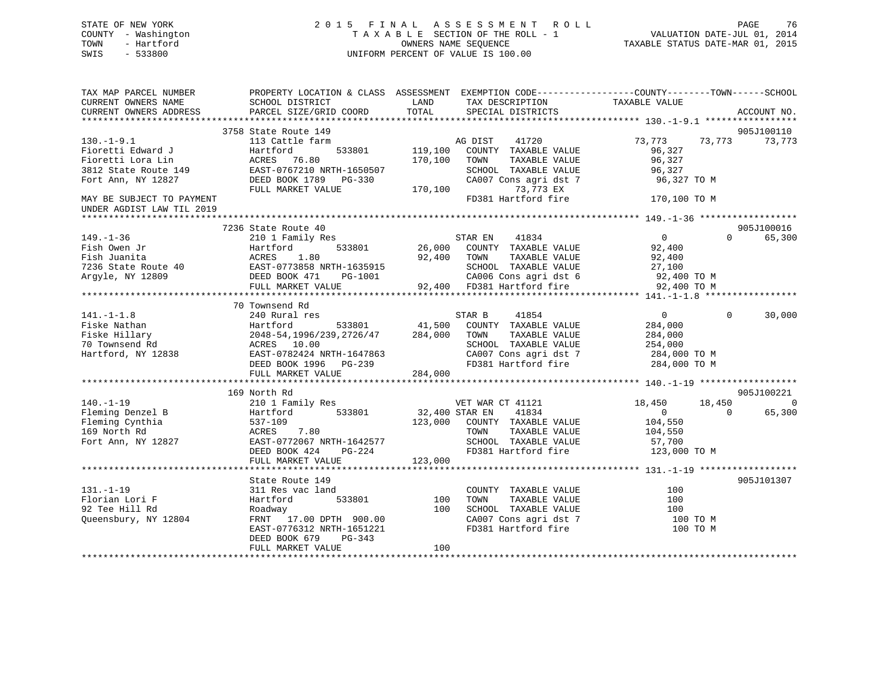# STATE OF NEW YORK 2 0 1 5 F I N A L A S S E S S M E N T R O L L PAGE 76 COUNTY - Washington T A X A B L E SECTION OF THE ROLL - 1 VALUATION DATE-JUL 01, 2014 TOWN - Hartford **TAXABLE STATUS DATE-MAR 01, 2015** OWNERS NAME SEQUENCE TAXABLE STATUS DATE-MAR 01, 2015 SWIS - 533800 UNIFORM PERCENT OF VALUE IS 100.00

| TAX MAP PARCEL NUMBER<br>CURRENT OWNERS NAME | SCHOOL DISTRICT                     | LAND                                            | PROPERTY LOCATION & CLASS ASSESSMENT EXEMPTION CODE----------------COUNTY-------TOWN-----SCHOOL<br>TAX DESCRIPTION | TAXABLE VALUE  |          |                |
|----------------------------------------------|-------------------------------------|-------------------------------------------------|--------------------------------------------------------------------------------------------------------------------|----------------|----------|----------------|
| CURRENT OWNERS ADDRESS                       | PARCEL SIZE/GRID COORD              | TOTAL                                           | SPECIAL DISTRICTS                                                                                                  |                |          | ACCOUNT NO.    |
|                                              | 3758 State Route 149                |                                                 |                                                                                                                    |                |          | 905J100110     |
| $130.-1-9.1$                                 | 113 Cattle farm                     |                                                 | AG DIST<br>41720                                                                                                   | 73,773         | 73,773   | 73,773         |
| Fioretti Edward J                            | 533801<br>Hartford                  | 119,100                                         | COUNTY TAXABLE VALUE                                                                                               | 96,327         |          |                |
| Fioretti Lora Lin                            | ACRES 76.80                         | 170,100                                         | TOWN<br>TAXABLE VALUE                                                                                              | 96,327         |          |                |
| 3812 State Route 149                         | EAST-0767210 NRTH-1650507           |                                                 | SCHOOL TAXABLE VALUE                                                                                               | 96,327         |          |                |
| Fort Ann, NY 12827                           | DEED BOOK 1789 PG-330               |                                                 | CA007 Cons agri dst 7                                                                                              | 96,327 TO M    |          |                |
|                                              | FULL MARKET VALUE                   | 170,100                                         | 73,773 EX                                                                                                          |                |          |                |
| MAY BE SUBJECT TO PAYMENT                    |                                     |                                                 | FD381 Hartford fire                                                                                                | 170,100 TO M   |          |                |
| UNDER AGDIST LAW TIL 2019                    |                                     |                                                 |                                                                                                                    |                |          |                |
|                                              |                                     |                                                 |                                                                                                                    |                |          |                |
|                                              | 7236 State Route 40                 |                                                 |                                                                                                                    |                |          | 905J100016     |
| $149. - 1 - 36$                              | 210 1 Family Res                    |                                                 | STAR EN 41834                                                                                                      | $\overline{0}$ | $\Omega$ | 65,300         |
| Fish Owen Jr                                 | 533801<br>Hartford                  |                                                 | 26,000 COUNTY TAXABLE VALUE                                                                                        | 92,400         |          |                |
| Fish Juanita                                 | 1.80<br>ACRES                       | 92,400                                          | TAXABLE VALUE<br>TOWN                                                                                              | 92,400         |          |                |
| 7236 State Route 40                          | EAST-0773858 NRTH-1635915           |                                                 | SCHOOL TAXABLE VALUE                                                                                               | 27,100         |          |                |
| Argyle, NY 12809                             | DEED BOOK 471<br>PG-1001            | $\begin{array}{c}\n92 \text{ } 42\n\end{array}$ | CA006 Cons agri dst 6                                                                                              | 92,400 TO M    |          |                |
|                                              | FULL MARKET VALUE                   |                                                 | 92,400 FD381 Hartford fire                                                                                         | 92,400 TO M    |          |                |
|                                              |                                     |                                                 |                                                                                                                    |                |          |                |
|                                              | 70 Townsend Rd                      |                                                 |                                                                                                                    |                |          |                |
| $141. - 1 - 1.8$                             | 240 Rural res                       |                                                 | STAR B<br>41854                                                                                                    | $\overline{0}$ | $\Omega$ | 30,000         |
| Fiske Nathan                                 | Hartford<br>533801                  | 41,500                                          | COUNTY TAXABLE VALUE                                                                                               | 284,000        |          |                |
| Fiske Hillary                                | 2048-54, 1996/239, 2726/47 284, 000 |                                                 | TAXABLE VALUE<br>TOWN                                                                                              | 284,000        |          |                |
| 70 Townsend Rd                               | ACRES 10.00                         |                                                 | SCHOOL TAXABLE VALUE                                                                                               | 254,000        |          |                |
| Hartford, NY 12838                           | EAST-0782424 NRTH-1647863           |                                                 | CA007 Cons agri dst 7                                                                                              | 284,000 TO M   |          |                |
|                                              | DEED BOOK 1996 PG-239               |                                                 | FD381 Hartford fire                                                                                                | 284,000 TO M   |          |                |
|                                              | FULL MARKET VALUE                   | 284,000                                         |                                                                                                                    |                |          |                |
|                                              |                                     |                                                 |                                                                                                                    |                |          |                |
|                                              | 169 North Rd                        |                                                 |                                                                                                                    |                |          | 905J100221     |
| $140. - 1 - 19$                              | 210 1 Family Res                    |                                                 | VET WAR CT 41121                                                                                                   | 18,450         | 18,450   | $\overline{0}$ |
| Fleming Denzel B                             | 533801<br>Hartford                  | 32,400 STAR EN                                  | 41834                                                                                                              | $\overline{0}$ | $\Omega$ | 65,300         |
| Fleming Cynthia                              | 537-109                             | 123,000                                         | COUNTY TAXABLE VALUE                                                                                               | 104,550        |          |                |
| 169 North Rd                                 | ACRES<br>7.80                       |                                                 | TAXABLE VALUE<br>TOWN                                                                                              | 104,550        |          |                |
| Fort Ann, NY 12827                           | EAST-0772067 NRTH-1642577           |                                                 | SCHOOL TAXABLE VALUE                                                                                               | 57,700         |          |                |
|                                              | DEED BOOK 424<br>PG-224             |                                                 | FD381 Hartford fire                                                                                                | 123,000 TO M   |          |                |
|                                              | FULL MARKET VALUE                   | 123,000                                         |                                                                                                                    |                |          |                |
|                                              |                                     |                                                 |                                                                                                                    |                |          |                |
|                                              | State Route 149                     |                                                 |                                                                                                                    |                |          | 905J101307     |
| $131. - 1 - 19$                              | 311 Res vac land                    |                                                 | COUNTY TAXABLE VALUE                                                                                               | 100            |          |                |
| Florian Lori F                               | Hartford<br>533801                  | 100                                             | TOWN<br>TAXABLE VALUE                                                                                              | 100            |          |                |
| 92 Tee Hill Rd                               | Roadway                             | 100                                             | SCHOOL TAXABLE VALUE                                                                                               | 100            |          |                |
| Queensbury, NY 12804                         | FRNT 17.00 DPTH 900.00              |                                                 | CA007 Cons agri dst 7                                                                                              | 100 TO M       |          |                |
|                                              | EAST-0776312 NRTH-1651221           |                                                 | FD381 Hartford fire                                                                                                | 100 TO M       |          |                |
|                                              | DEED BOOK 679<br>PG-343             |                                                 |                                                                                                                    |                |          |                |
|                                              | FULL MARKET VALUE                   | 100                                             |                                                                                                                    |                |          |                |
|                                              |                                     |                                                 |                                                                                                                    |                |          |                |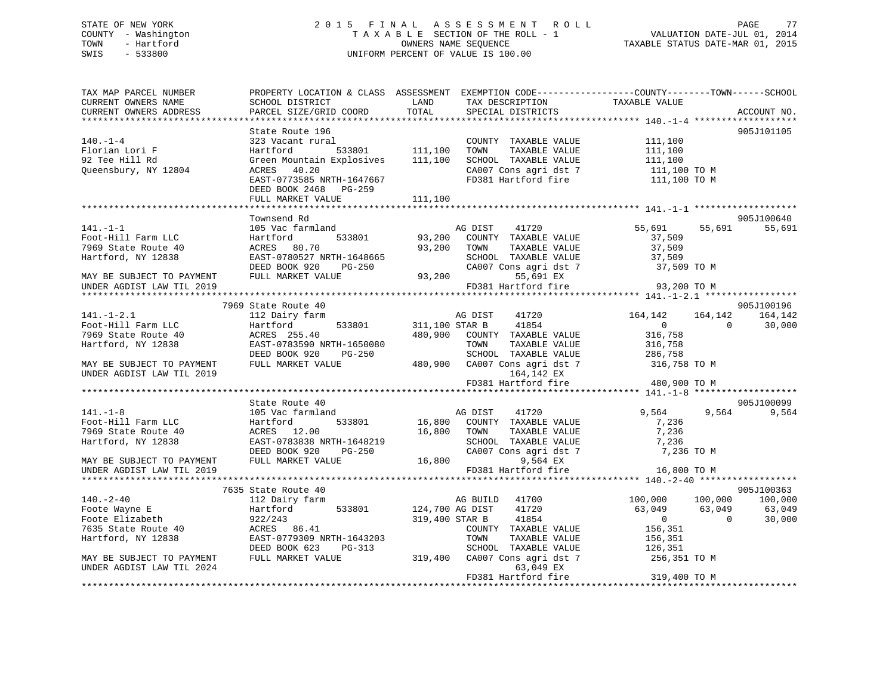# STATE OF NEW YORK 2 0 1 5 F I N A L A S S E S S M E N T R O L L PAGE 77 COUNTY - Washington T A X A B L E SECTION OF THE ROLL - 1 VALUATION DATE-JUL 01, 2014 TOWN - Hartford OWNERS NAME SEQUENCE TAXABLE STATUS DATE-MAR 01, 2015 SWIS - 533800 UNIFORM PERCENT OF VALUE IS 100.00

| TAX MAP PARCEL NUMBER     | PROPERTY LOCATION & CLASS ASSESSMENT EXEMPTION CODE----------------COUNTY-------TOWN-----SCHOOL |                |                                      |                |                    |
|---------------------------|-------------------------------------------------------------------------------------------------|----------------|--------------------------------------|----------------|--------------------|
| CURRENT OWNERS NAME       | SCHOOL DISTRICT                                                                                 | LAND           | TAX DESCRIPTION<br>SERCIAL DISTRICTS |                |                    |
| CURRENT OWNERS ADDRESS    | PARCEL SIZE/GRID COORD                                                                          | TOTAL          | SPECIAL DISTRICTS                    |                | ACCOUNT NO.        |
|                           |                                                                                                 |                |                                      |                |                    |
|                           | State Route 196                                                                                 |                |                                      |                | 905J101105         |
| $140. - 1 - 4$            | 323 Vacant rural                                                                                |                | COUNTY TAXABLE VALUE                 | 111,100        |                    |
| Florian Lori F            | Hartford                                                                                        | 533801 111,100 | TOWN<br>TAXABLE VALUE                | 111,100        |                    |
| 92 Tee Hill Rd            | Green Mountain Explosives                                                                       | 111,100        | SCHOOL TAXABLE VALUE                 | 111,100        |                    |
| Oueensbury, NY 12804      | ACRES 40.20                                                                                     |                | CA007 Cons agri dst 7                | 111,100 TO M   |                    |
|                           | EAST-0773585 NRTH-1647667                                                                       |                | FD381 Hartford fire                  | 111,100 TO M   |                    |
|                           | DEED BOOK 2468 PG-259                                                                           |                |                                      |                |                    |
|                           | FULL MARKET VALUE                                                                               | 111,100        |                                      |                |                    |
|                           |                                                                                                 |                |                                      |                |                    |
|                           | Townsend Rd                                                                                     |                |                                      |                | 905J100640         |
| $141. - 1 - 1$            | 105 Vac farmland                                                                                |                | 41720<br>AG DIST                     | 55,691         | 55,691<br>55,691   |
| Foot-Hill Farm LLC        | 533801<br>Hartford                                                                              | 93,200         | COUNTY TAXABLE VALUE                 | 37,509         |                    |
| 7969 State Route 40       | ACRES 80.70                                                                                     | 93,200         | TOWN<br>TAXABLE VALUE                | 37,509         |                    |
| Hartford, NY 12838        | EAST-0780527 NRTH-1648665                                                                       |                | SCHOOL TAXABLE VALUE                 | 37,509         |                    |
|                           | DEED BOOK 920<br>$PG-250$                                                                       |                | CA007 Cons agri dst 7                | 37,509 TO M    |                    |
|                           |                                                                                                 |                |                                      |                |                    |
| MAY BE SUBJECT TO PAYMENT | FULL MARKET VALUE                                                                               | 93,200         | 55,691 EX                            |                |                    |
| UNDER AGDIST LAW TIL 2019 |                                                                                                 |                | FD381 Hartford fire                  | 93,200 TO M    |                    |
|                           |                                                                                                 |                |                                      |                |                    |
|                           | 7969 State Route 40                                                                             |                |                                      |                | 905J100196         |
| $141. - 1 - 2.1$          | 112 Dairy farm                                                                                  |                | AG DIST<br>41720                     | 164,142        | 164, 142 164, 142  |
| Foot-Hill Farm LLC        | 533801<br>Hartford                                                                              |                | 311,100 STAR B<br>41854              | $\overline{0}$ | $\Omega$<br>30,000 |
| 7969 State Route 40       | ACRES 255.40                                                                                    | 480,900        | COUNTY TAXABLE VALUE                 | 316,758        |                    |
| Hartford, NY 12838        | EAST-0783590 NRTH-1650080                                                                       |                | TOWN<br>TAXABLE VALUE                | 316,758        |                    |
|                           | DEED BOOK 920<br>$PG-250$                                                                       |                | SCHOOL TAXABLE VALUE                 | 286,758        |                    |
| MAY BE SUBJECT TO PAYMENT | FULL MARKET VALUE                                                                               | 480,900        | CA007 Cons agri dst 7                | 316,758 TO M   |                    |
| UNDER AGDIST LAW TIL 2019 |                                                                                                 |                | 164,142 EX                           |                |                    |
|                           |                                                                                                 |                | FD381 Hartford fire                  | 480,900 TO M   |                    |
|                           |                                                                                                 |                |                                      |                |                    |
|                           | State Route 40                                                                                  |                |                                      |                | 905J100099         |
| $141. - 1 - 8$            | 105 Vac farmland                                                                                |                | AG DIST<br>41720                     | 9,564          | 9,564<br>9,564     |
| Foot-Hill Farm LLC        | 533801<br>Hartford                                                                              |                | 16,800 COUNTY TAXABLE VALUE          | 7,236          |                    |
| 7969 State Route 40       | ACRES 12.00                                                                                     | 16,800         | TOWN<br>TAXABLE VALUE                | 7,236          |                    |
| Hartford, NY 12838        | EAST-0783838 NRTH-1648219                                                                       |                | SCHOOL TAXABLE VALUE                 | 7,236          |                    |
|                           | DEED BOOK 920<br>PG-250                                                                         |                | CA007 Cons agri dst 7                | 7,236 TO M     |                    |
| MAY BE SUBJECT TO PAYMENT | FULL MARKET VALUE                                                                               | 16,800         | 9,564 EX                             |                |                    |
| UNDER AGDIST LAW TIL 2019 |                                                                                                 |                | FD381 Hartford fire                  | 16,800 TO M    |                    |
|                           |                                                                                                 |                |                                      |                |                    |
|                           | 7635 State Route 40                                                                             |                |                                      |                | 905J100363         |
| $140. - 2 - 40$           | 112 Dairy farm                                                                                  |                | AG BUILD 41700                       | 100,000        | 100,000<br>100,000 |
| Foote Wayne E             | Hartford<br>533801                                                                              |                | 124,700 AG DIST<br>41720             | 63,049         | 63,049<br>63,049   |
| Foote Elizabeth           | 922/243                                                                                         |                | 319,400 STAR B<br>41854              | $\mathbf{0}$   | $\Omega$<br>30,000 |
|                           |                                                                                                 |                |                                      |                |                    |
| 7635 State Route 40       | ACRES 86.41                                                                                     |                | COUNTY TAXABLE VALUE                 | 156,351        |                    |
| Hartford, NY 12838        | EAST-0779309 NRTH-1643203                                                                       |                | TOWN<br>TAXABLE VALUE                | 156,351        |                    |
|                           | DEED BOOK 623<br>PG-313                                                                         |                | SCHOOL TAXABLE VALUE                 | 126,351        |                    |
| MAY BE SUBJECT TO PAYMENT | FULL MARKET VALUE                                                                               | 319,400        | CA007 Cons agri dst 7                | 256,351 TO M   |                    |
| UNDER AGDIST LAW TIL 2024 |                                                                                                 |                | 63,049 EX                            |                |                    |
|                           |                                                                                                 |                | FD381 Hartford fire                  | 319,400 TO M   |                    |
|                           |                                                                                                 |                |                                      |                |                    |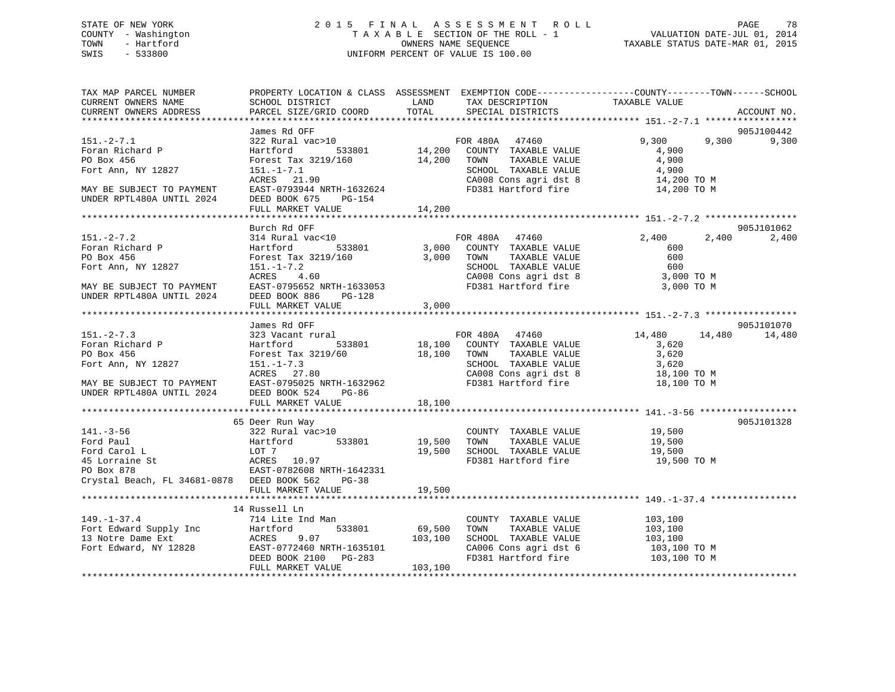# STATE OF NEW YORK 2 0 1 5 F I N A L A S S E S S M E N T R O L L PAGE 78 COUNTY - Washington T A X A B L E SECTION OF THE ROLL - 1 VALUATION DATE-JUL 01, 2014 TOWN - Hartford **TAXABLE STATUS DATE-MAR 01, 2015** OWNERS NAME SEQUENCE TAXABLE STATUS DATE-MAR 01, 2015 SWIS - 533800 UNIFORM PERCENT OF VALUE IS 100.00

| TAX MAP PARCEL NUMBER<br>CURRENT OWNERS NAME<br>CURRENT OWNERS ADDRESS | SCHOOL DISTRICT<br>PARCEL SIZE/GRID COORD                                                                                                                                                                                                                                                                                                                       | LAND<br>TOTAL | PROPERTY LOCATION & CLASS ASSESSMENT EXEMPTION CODE----------------COUNTY-------TOWN------SCHOOL<br>TAX DESCRIPTION<br>SPECIAL DISTRICTS | TAXABLE VALUE           | ACCOUNT NO.      |
|------------------------------------------------------------------------|-----------------------------------------------------------------------------------------------------------------------------------------------------------------------------------------------------------------------------------------------------------------------------------------------------------------------------------------------------------------|---------------|------------------------------------------------------------------------------------------------------------------------------------------|-------------------------|------------------|
|                                                                        |                                                                                                                                                                                                                                                                                                                                                                 |               |                                                                                                                                          |                         |                  |
|                                                                        | James Rd OFF                                                                                                                                                                                                                                                                                                                                                    |               |                                                                                                                                          |                         | 905J100442       |
| $151. - 2 - 7.1$<br>Foran Richard P<br>PO Box 456                      | $322$ Rural vac $>10$<br>533801<br>Hartford<br>Forest Tax 3219/160 14,200 TOWN                                                                                                                                                                                                                                                                                  |               | FOR 480A 47460<br>14,200 COUNTY TAXABLE VALUE<br>TAXABLE VALUE                                                                           | 9,300<br>4,900<br>4,900 | 9,300<br>9,300   |
| Fort Ann, NY 12827                                                     | $151. - 1 - 7.1$                                                                                                                                                                                                                                                                                                                                                |               | SCHOOL TAXABLE VALUE                                                                                                                     | 4,900                   |                  |
|                                                                        | ACRES 21.90                                                                                                                                                                                                                                                                                                                                                     |               | CA008 Cons agri dst 8                                                                                                                    | 14,200 TO M             |                  |
| MAY BE SUBJECT TO PAYMENT<br>UNDER RPTL480A UNTIL 2024                 | EAST-0793944 NRTH-1632624<br>DEED BOOK 675<br>PG-154<br>FULL MARKET VALUE                                                                                                                                                                                                                                                                                       | 14,200        | FD381 Hartford fire                                                                                                                      | 14,200 TO M             |                  |
|                                                                        |                                                                                                                                                                                                                                                                                                                                                                 |               |                                                                                                                                          |                         |                  |
|                                                                        | Burch Rd OFF                                                                                                                                                                                                                                                                                                                                                    |               |                                                                                                                                          |                         | 905J101062       |
| $151 - 2 - 7.2$                                                        | 314 Rural vac<10                                                                                                                                                                                                                                                                                                                                                |               | FOR 480A 47460                                                                                                                           | 2,400                   | 2,400<br>2,400   |
| Foran Richard P                                                        | Hartford                                                                                                                                                                                                                                                                                                                                                        |               | 533801 3,000 COUNTY TAXABLE VALUE                                                                                                        | 600                     |                  |
| PO Box 456                                                             | Forest Tax 3219/160                                                                                                                                                                                                                                                                                                                                             | 3,000 TOWN    | TOWN TAXABLE VALUE<br>SCHOOL TAXABLE VALUE                                                                                               | 600                     |                  |
| Fort Ann, NY 12827                                                     | $151. - 1 - 7.2$                                                                                                                                                                                                                                                                                                                                                |               |                                                                                                                                          | 600                     |                  |
|                                                                        | ACRES 4.60                                                                                                                                                                                                                                                                                                                                                      |               | CA008 Cons agri dst 8<br>FD381 Hartford fire                                                                                             | 3,000 TO M              |                  |
| MAY BE SUBJECT TO PAYMENT                                              | EAST-0795652 NRTH-1633053                                                                                                                                                                                                                                                                                                                                       |               |                                                                                                                                          | 3,000 TO M              |                  |
| UNDER RPTL480A UNTIL 2024                                              | DEED BOOK 886<br>$PG-128$<br>FULL MARKET VALUE                                                                                                                                                                                                                                                                                                                  | 3,000         |                                                                                                                                          |                         |                  |
|                                                                        |                                                                                                                                                                                                                                                                                                                                                                 |               |                                                                                                                                          |                         |                  |
|                                                                        | James Rd OFF                                                                                                                                                                                                                                                                                                                                                    |               |                                                                                                                                          |                         | 905J101070       |
| $151. - 2 - 7.3$                                                       | 323 Vacant rural                                                                                                                                                                                                                                                                                                                                                |               | FOR 480A 47460                                                                                                                           | 14,480                  | 14,480<br>14,480 |
| Foran Richard P                                                        | 533801<br>Hartford                                                                                                                                                                                                                                                                                                                                              |               | 18,100 COUNTY TAXABLE VALUE                                                                                                              | 3,620                   |                  |
| PO Box 456                                                             | Forest Tax 3219/60                                                                                                                                                                                                                                                                                                                                              | 18,100        | TOWN<br>TAXABLE VALUE                                                                                                                    | 3,620                   |                  |
| Fort Ann, NY 12827                                                     | $151. - 1 - 7.3$                                                                                                                                                                                                                                                                                                                                                |               |                                                                                                                                          | 3,620                   |                  |
|                                                                        | ACRES 27.80                                                                                                                                                                                                                                                                                                                                                     |               | CA008 Cons agri dst 8<br>CA008 Cons agri dst 8<br>ED201 V                                                                                | 18,100 TO M             |                  |
| MAY BE SUBJECT TO PAYMENT                                              | EAST-0795025 NRTH-1632962                                                                                                                                                                                                                                                                                                                                       |               | FD381 Hartford fire                                                                                                                      | 18,100 TO M             |                  |
| UNDER RPTL480A UNTIL 2024                                              | DEED BOOK 524<br>PG-86                                                                                                                                                                                                                                                                                                                                          |               |                                                                                                                                          |                         |                  |
|                                                                        | FULL MARKET VALUE                                                                                                                                                                                                                                                                                                                                               | 18,100        |                                                                                                                                          |                         |                  |
|                                                                        |                                                                                                                                                                                                                                                                                                                                                                 |               |                                                                                                                                          |                         |                  |
|                                                                        | 65 Deer Run Way                                                                                                                                                                                                                                                                                                                                                 |               |                                                                                                                                          |                         | 905J101328       |
| $141. - 3 - 56$                                                        | 322 Rural vac>10                                                                                                                                                                                                                                                                                                                                                | 19,500        | COUNTY TAXABLE VALUE 19,500                                                                                                              |                         |                  |
| Ford Paul                                                              | 533801<br>Hartford                                                                                                                                                                                                                                                                                                                                              |               | TOWN<br>TAXABLE VALUE                                                                                                                    | 19,500                  |                  |
| Ford Carol L                                                           | $\begin{array}{r} \text{LOT 7} \\ \text{ACRES} \\ \text{ACRES} \\ \text{EAST-0782608 NRTH-1642331} \\ \text{FAST-0782608 NRTH-1642331} \\ \text{FST-0.024} \\ \text{FST-0.024} \\ \text{FST-0.024} \\ \text{FST-0.014} \\ \text{FST-0.014} \\ \text{FST-0.024} \\ \text{FST-0.014} \\ \text{FST-0.014} \\ \text{FST-0.014} \\ \text{FST-0.014} \\ \text{FST-0.$ | 19,500        | SCHOOL TAXABLE VALUE                                                                                                                     | 19,500                  |                  |
| 45 Lorraine St                                                         |                                                                                                                                                                                                                                                                                                                                                                 |               | FD381 Hartford fire                                                                                                                      | 19,500 TO M             |                  |
| PO Box 878                                                             |                                                                                                                                                                                                                                                                                                                                                                 |               |                                                                                                                                          |                         |                  |
| Crystal Beach, FL 34681-0878 DEED BOOK 562 PG-38                       |                                                                                                                                                                                                                                                                                                                                                                 |               |                                                                                                                                          |                         |                  |
|                                                                        | FULL MARKET VALUE                                                                                                                                                                                                                                                                                                                                               | 19,500        |                                                                                                                                          |                         |                  |
|                                                                        | 14 Russell Ln                                                                                                                                                                                                                                                                                                                                                   |               |                                                                                                                                          |                         |                  |
| $149. - 1 - 37.4$                                                      | 714 Lite Ind Man                                                                                                                                                                                                                                                                                                                                                |               | COUNTY TAXABLE VALUE                                                                                                                     | 103,100                 |                  |
|                                                                        | Hartford<br>533801                                                                                                                                                                                                                                                                                                                                              | 69,500        | TAXABLE VALUE<br>TOWN                                                                                                                    | 103,100                 |                  |
|                                                                        | 9.07                                                                                                                                                                                                                                                                                                                                                            | 103,100       | SCHOOL TAXABLE VALUE                                                                                                                     | 103,100                 |                  |
|                                                                        |                                                                                                                                                                                                                                                                                                                                                                 |               |                                                                                                                                          |                         |                  |
|                                                                        |                                                                                                                                                                                                                                                                                                                                                                 |               | CA006 Cons agri dst 6 103,100 TO M<br>FD381 Hartford fire 103,100 TO M                                                                   |                         |                  |
|                                                                        | EAST-0772460 NRTH-1635101<br>DEED BOOK 2100 PG-283<br>FULL MARKET VALUE 103,100                                                                                                                                                                                                                                                                                 |               |                                                                                                                                          |                         |                  |
|                                                                        |                                                                                                                                                                                                                                                                                                                                                                 |               |                                                                                                                                          |                         |                  |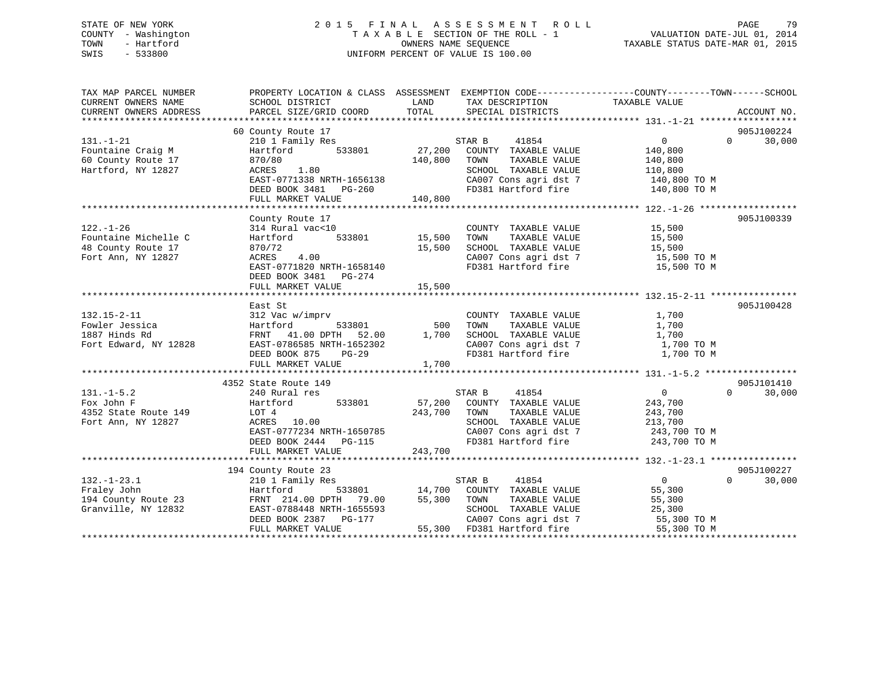# STATE OF NEW YORK 2 0 1 5 F I N A L A S S E S S M E N T R O L L PAGE 79 COUNTY - Washington T A X A B L E SECTION OF THE ROLL - 1 VALUATION DATE-JUL 01, 2014 TOWN - Hartford OWNERS NAME SEQUENCE TAXABLE STATUS DATE-MAR 01, 2015 SWIS - 533800 UNIFORM PERCENT OF VALUE IS 100.00

| TAX MAP PARCEL NUMBER<br>CURRENT OWNERS NAME<br>CURRENT OWNERS ADDRESS              | SCHOOL DISTRICT<br>PARCEL SIZE/GRID COORD                                                                                                                                                | LAND<br>TOTAL           | TAX DESCRIPTION TAXABLE VALUE<br>SPECIAL DISTRICTS                                                                                   | PROPERTY LOCATION & CLASS ASSESSMENT EXEMPTION CODE---------------COUNTY-------TOWN------SCHOOL<br>ACCOUNT NO.                                                                                                                                    |
|-------------------------------------------------------------------------------------|------------------------------------------------------------------------------------------------------------------------------------------------------------------------------------------|-------------------------|--------------------------------------------------------------------------------------------------------------------------------------|---------------------------------------------------------------------------------------------------------------------------------------------------------------------------------------------------------------------------------------------------|
| $131. - 1 - 21$<br>Fountaine Craig M<br>60 County Route 17<br>Hartford, NY 12827    | 60 County Route 17<br>210 1 Family Res<br>533801<br>Hartford<br>870/80<br>1.80<br>ACRES<br>EAST-0771338 NRTH-1656138                                                                     | 27,200<br>140,800       | STAR B<br>41854<br>COUNTY TAXABLE VALUE<br>TAXABLE VALUE<br>TOWN<br>SCHOOL TAXABLE VALUE<br>CA007 Cons agri dst 7<br>FD381 IL-15     | 905J100224<br>$0 \qquad \qquad$<br>$\Omega$<br>30,000<br>140,800<br>140,800<br>110,800<br>$140,800$ TO M<br>140,800 TO M                                                                                                                          |
|                                                                                     |                                                                                                                                                                                          |                         |                                                                                                                                      |                                                                                                                                                                                                                                                   |
| $122. - 1 - 26$<br>Fountaine Michelle C<br>48 County Route 17<br>Fort Ann, NY 12827 | County Route 17<br>314 Rural vac<10<br>Hartford<br>870/72<br>ACRES 4.00<br>EAST-0771820 NRTH-1658140<br>DEED BOOK 3481 PG-274                                                            | 533801 15,500<br>15,500 | COUNTY TAXABLE VALUE<br>TAXABLE VALUE<br>TOWN<br>SCHOOL TAXABLE VALUE<br>FD381 Hartford fire                                         | 905J100339<br>15,500<br>15,500<br>15,500<br>CA007 Cons agri dst 7 15,500 TO M<br>15,500 TO M                                                                                                                                                      |
|                                                                                     | FULL MARKET VALUE                                                                                                                                                                        | 15,500                  |                                                                                                                                      |                                                                                                                                                                                                                                                   |
| $132.15 - 2 - 11$<br>Fowler Jessica<br>1887 Hinds Rd<br>Fort Edward, NY 12828       | East St<br>312 Vac w/imprv<br>$533801$ 500<br>Hartford<br>FRNT 41.00 DPTH 52.00 1,700<br>EAST-0786585 NRTH-1652302<br>DEED BOOK 875<br>PG-29<br>FULL MARKET VALUE                        | 1,700                   | COUNTY TAXABLE VALUE<br>TAXABLE VALUE<br>TOWN<br>FD381 Hartford fire                                                                 | 905J100428<br>1,700<br>1,700<br>$\begin{tabular}{lllllllll} \multicolumn{2}{c}{\textbf{SCHOOL}} & \textbf{TAXABLE VALUE} & & & 1,700 \\ \multicolumn{2}{c}{\textbf{CA007 Cons agri dst 7}} & & & 1,700~\textbf{TO M} \end{tabular}$<br>1,700 TO M |
|                                                                                     | 4352 State Route 149                                                                                                                                                                     |                         |                                                                                                                                      | 905J101410                                                                                                                                                                                                                                        |
| $131. - 1 - 5.2$<br>Fox John F<br>4352 State Route 149<br>Fort Ann, NY 12827        | 240 Rural res<br>533801 57,200<br>Hartford<br>LOT 4<br>ACRES 10.00<br>EAST-0777234 NRTH-1650785<br>DEED BOOK 2444 PG-115<br>FULL MARKET VALUE                                            | 243,700<br>243,700      | 41854<br>STAR B<br>COUNTY TAXABLE VALUE<br>TOWN<br>TAXABLE VALUE<br>SCHOOL TAXABLE VALUE                                             | $\overline{0}$<br>$\Omega$<br>30,000<br>243,700<br>243,700<br>213,700<br>CA007 Cons agri dst 7 243,700 TO M<br>FD381 Hartford fire 243,700 TO M                                                                                                   |
|                                                                                     |                                                                                                                                                                                          |                         |                                                                                                                                      |                                                                                                                                                                                                                                                   |
| $132. - 1 - 23.1$<br>Fraley John<br>194 County Route 23<br>Granville, NY 12832      | 194 County Route 23<br>210 1 Family Res<br>Hartford<br>FRNT 214.00 DPTH 79.00 55,300<br>EAST-0788448 NRTH-1655593<br>DEED BOOK 2387 PG-177<br>PEED BOOK 2387 PG-177<br>FULL MARKET VALUE |                         | STAR B<br>41854<br>533801 14,700 COUNTY TAXABLE VALUE<br>TOWN<br>TAXABLE VALUE<br>SCHOOL TAXABLE VALUE<br>55,300 FD381 Hartford fire | 905J100227<br>$\Omega$<br>$0 \qquad \qquad$<br>30,000<br>55,300<br>55,300<br>25,300<br>CA007 Cons agri dst 7 55,300 TO M<br>55,300 TO M                                                                                                           |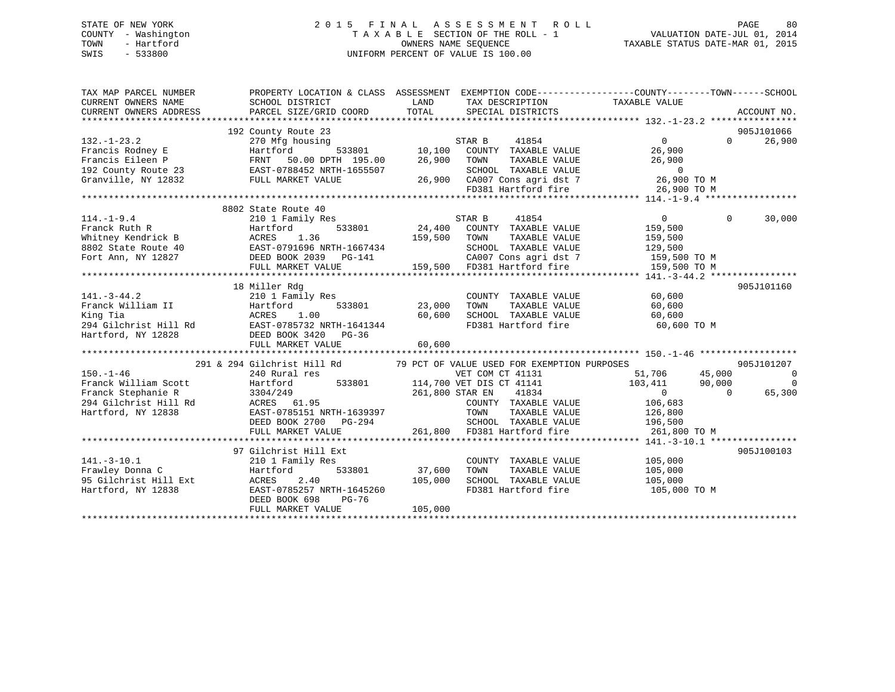# STATE OF NEW YORK 2 0 1 5 F I N A L A S S E S S M E N T R O L L PAGE 80 COUNTY - Washington T A X A B L E SECTION OF THE ROLL - 1 VALUATION DATE-JUL 01, 2014 TOWN - Hartford **TAXABLE STATUS DATE-MAR 01, 2015** OWNERS NAME SEQUENCE TAXABLE STATUS DATE-MAR 01, 2015 SWIS - 533800 UNIFORM PERCENT OF VALUE IS 100.00

| TAX MAP PARCEL NUMBER<br>CURRENT OWNERS NAME<br>CURRENT OWNERS ADDRESS              | PROPERTY LOCATION & CLASS ASSESSMENT EXEMPTION CODE----------------COUNTY-------TOWN------SCHOOL<br>SCHOOL DISTRICT<br>PARCEL SIZE/GRID COORD                                                                                                                                                 | LAND<br>TOTAL                | TAX DESCRIPTION TAXABLE VALUE<br>SPECIAL DISTRICTS                                                                                                                                                                                                                                                  |                                                                                       |                   | ACCOUNT NO.                                          |
|-------------------------------------------------------------------------------------|-----------------------------------------------------------------------------------------------------------------------------------------------------------------------------------------------------------------------------------------------------------------------------------------------|------------------------------|-----------------------------------------------------------------------------------------------------------------------------------------------------------------------------------------------------------------------------------------------------------------------------------------------------|---------------------------------------------------------------------------------------|-------------------|------------------------------------------------------|
| $132. - 1 - 23.2$                                                                   | 192 County Route 23<br>270 Mfg housing<br>Exancis Rodney E Francis Rodney E Hartford 533801 10,100 COUNTY TAXABLE VALUE<br>Francis Eileen P FRNT 50.00 DPTH 195.00 26,900 TOWN TAXABLE VALUE 26,900<br>192 County Route 23 EAST-0788452 NRTH-1655507 SCHOOL TAXABLE VALUE 0<br>               |                              | ing<br>533801 10,100 COUNTY TAXABLE VALUE 26,900<br>FD381 Hartford fire                                                                                                                                                                                                                             | 26,900 TO M                                                                           | $0 \qquad \qquad$ | 905J101066<br>26,900                                 |
|                                                                                     |                                                                                                                                                                                                                                                                                               |                              |                                                                                                                                                                                                                                                                                                     |                                                                                       |                   |                                                      |
| $114. - 1 - 9.4$                                                                    | 8802 State Route 40<br>210 1 Family Res<br>114.-1-9.4<br>Franck Ruth R<br>Whitney Kendrick B<br>802 State Route 40<br>Fort Ann, NY 12827<br>FULL MARKET VALUE BOOK 2039<br>FORE BOOK 2039<br>FULL MARKET VALUE BOOK 2039<br>FULL MARKET VALUE BOOK 2039<br>FULL MARKET VALUE 159,500<br>159,5 | STAR B<br>159,500 TOWN       | 41854<br>$24,400$ COUNTY TAXABLE VALUE<br>TAXABLE VALUE<br>SCHOOL TAXABLE VALUE<br>159,500 FD381 Hartford fire 159,500 TO M                                                                                                                                                                         | $\overline{0}$<br>159,500<br>159,500<br>129,500<br>CA007 Cons agri dst 7 159,500 TO M | $\Omega$          | 30,000                                               |
|                                                                                     | 18 Miller Rdg                                                                                                                                                                                                                                                                                 |                              |                                                                                                                                                                                                                                                                                                     |                                                                                       |                   | 905J101160                                           |
|                                                                                     |                                                                                                                                                                                                                                                                                               | 60,600<br>60,600             | COUNTY TAXABLE VALUE<br>TOWN       TAXABLE  VALUE<br>SCHOOL    TAXABLE  VALUE                                                                                                                                                                                                                       | 60,600<br>60,600<br>60,600<br>FD381 Hartford fire 60,600 TO M                         |                   |                                                      |
|                                                                                     | 291 & 294 Gilchrist Hill Rd 79 PCT OF VALUE USED FOR EXEMPTION PURPOSES                                                                                                                                                                                                                       |                              |                                                                                                                                                                                                                                                                                                     |                                                                                       |                   | 905J101207                                           |
| $150. - 1 - 46$<br>Franck William Scott<br>Franck Stephanie R<br>Hartford, NY 12838 | 240 Rural res<br>Hartford<br>3304/249<br>EAST-0785151 NRTH-1639397<br>DEED BOOK 2700 PG-294<br>FULL MARKET VALUE                                                                                                                                                                              |                              | VET COM CT 41131<br>$\frac{125}{533801}$ 533801 114,700 VET DIS CT 41141 103,411 90,000<br>261 800 STAR EN 41834 0 0<br>261,800 STAR EN 41834<br>COUNTY TAXABLE VALUE 106,683<br>9397 70000 70000 70000 70000 70000 70000 70000 70000 70000 136,500<br>94 7261,800 70381 Hartford fire 261,800 70 M | 45,000<br>51,706<br>$\overline{0}$                                                    | $\overline{0}$    | $\overline{\phantom{0}}$<br>$\overline{0}$<br>65,300 |
|                                                                                     |                                                                                                                                                                                                                                                                                               |                              |                                                                                                                                                                                                                                                                                                     |                                                                                       |                   |                                                      |
| $141. - 3 - 10.1$<br>Frawley Donna C<br>95 Gilchrist Hill Ext<br>Hartford, NY 12838 | 97 Gilchrist Hill Ext<br>210 1 Family Res<br>533801<br>Hartford<br>2.40<br>ACRES<br>EAST-0785257 NRTH-1645260<br>DEED BOOK 698<br>PG-76<br>FULL MARKET VALUE                                                                                                                                  | 37,600<br>105,000<br>105,000 | COUNTY TAXABLE VALUE 105,000<br>TOWN<br>SCHOOL TAXABLE VALUE                                                                                                                                                                                                                                        | TAXABLE VALUE 105,000<br>TAXABLE VALUE 105,000<br>FD381 Hartford fire 105,000 TO M    |                   | 905J100103                                           |
|                                                                                     |                                                                                                                                                                                                                                                                                               |                              |                                                                                                                                                                                                                                                                                                     |                                                                                       |                   |                                                      |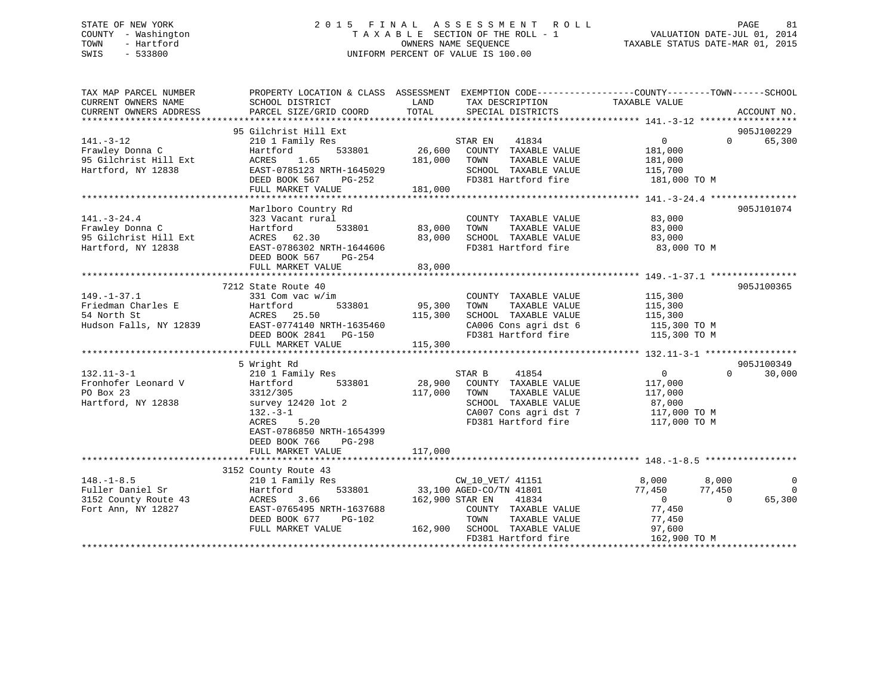# STATE OF NEW YORK 2 0 1 5 F I N A L A S S E S S M E N T R O L L PAGE 81 COUNTY - Washington T A X A B L E SECTION OF THE ROLL - 1 VALUATION DATE-JUL 01, 2014 TOWN - Hartford OWNERS NAME SEQUENCE TAXABLE STATUS DATE-MAR 01, 2015 SWIS - 533800 UNIFORM PERCENT OF VALUE IS 100.00

| TOTAL<br>CURRENT OWNERS ADDRESS<br>PARCEL SIZE/GRID COORD<br>SPECIAL DISTRICTS<br>ACCOUNT NO.<br>95 Gilchrist Hill Ext<br>905J100229<br>65,300<br>$141. - 3 - 12$<br>210 1 Family Res<br>STAR EN<br>41834<br>$\overline{0}$<br>$\Omega$<br>26,600<br>Frawley Donna C<br>533801<br>COUNTY TAXABLE VALUE<br>181,000<br>Hartford<br>95 Gilchrist Hill Ext<br>181,000<br>ACRES<br>1.65<br>TOWN<br>TAXABLE VALUE<br>181,000<br>Hartford, NY 12838<br>EAST-0785123 NRTH-1645029<br>SCHOOL TAXABLE VALUE<br>115,700<br>DEED BOOK 567<br>FD381 Hartford fire<br>181,000 TO M<br>PG-252<br>FULL MARKET VALUE<br>181,000<br>Marlboro Country Rd<br>905J101074<br>$141. - 3 - 24.4$<br>323 Vacant rural<br>COUNTY TAXABLE VALUE<br>83,000<br>Frawley Donna C<br>Hartford<br>533801<br>83,000<br>TAXABLE VALUE<br>TOWN<br>83,000<br>95 Gilchrist Hill Ext<br>ACRES 62.30<br>83,000<br>SCHOOL TAXABLE VALUE<br>83,000<br>Hartford, NY 12838<br>EAST-0786302 NRTH-1644606<br>FD381 Hartford fire<br>83,000 TO M<br>DEED BOOK 567<br>PG-254<br>FULL MARKET VALUE<br>83,000 | EXEMPTION CODE-----------------COUNTY-------TOWN------SCHOOL |
|-------------------------------------------------------------------------------------------------------------------------------------------------------------------------------------------------------------------------------------------------------------------------------------------------------------------------------------------------------------------------------------------------------------------------------------------------------------------------------------------------------------------------------------------------------------------------------------------------------------------------------------------------------------------------------------------------------------------------------------------------------------------------------------------------------------------------------------------------------------------------------------------------------------------------------------------------------------------------------------------------------------------------------------------------------------|--------------------------------------------------------------|
|                                                                                                                                                                                                                                                                                                                                                                                                                                                                                                                                                                                                                                                                                                                                                                                                                                                                                                                                                                                                                                                             |                                                              |
|                                                                                                                                                                                                                                                                                                                                                                                                                                                                                                                                                                                                                                                                                                                                                                                                                                                                                                                                                                                                                                                             |                                                              |
|                                                                                                                                                                                                                                                                                                                                                                                                                                                                                                                                                                                                                                                                                                                                                                                                                                                                                                                                                                                                                                                             |                                                              |
|                                                                                                                                                                                                                                                                                                                                                                                                                                                                                                                                                                                                                                                                                                                                                                                                                                                                                                                                                                                                                                                             |                                                              |
|                                                                                                                                                                                                                                                                                                                                                                                                                                                                                                                                                                                                                                                                                                                                                                                                                                                                                                                                                                                                                                                             |                                                              |
|                                                                                                                                                                                                                                                                                                                                                                                                                                                                                                                                                                                                                                                                                                                                                                                                                                                                                                                                                                                                                                                             |                                                              |
|                                                                                                                                                                                                                                                                                                                                                                                                                                                                                                                                                                                                                                                                                                                                                                                                                                                                                                                                                                                                                                                             |                                                              |
|                                                                                                                                                                                                                                                                                                                                                                                                                                                                                                                                                                                                                                                                                                                                                                                                                                                                                                                                                                                                                                                             |                                                              |
|                                                                                                                                                                                                                                                                                                                                                                                                                                                                                                                                                                                                                                                                                                                                                                                                                                                                                                                                                                                                                                                             |                                                              |
|                                                                                                                                                                                                                                                                                                                                                                                                                                                                                                                                                                                                                                                                                                                                                                                                                                                                                                                                                                                                                                                             |                                                              |
|                                                                                                                                                                                                                                                                                                                                                                                                                                                                                                                                                                                                                                                                                                                                                                                                                                                                                                                                                                                                                                                             |                                                              |
|                                                                                                                                                                                                                                                                                                                                                                                                                                                                                                                                                                                                                                                                                                                                                                                                                                                                                                                                                                                                                                                             |                                                              |
|                                                                                                                                                                                                                                                                                                                                                                                                                                                                                                                                                                                                                                                                                                                                                                                                                                                                                                                                                                                                                                                             |                                                              |
|                                                                                                                                                                                                                                                                                                                                                                                                                                                                                                                                                                                                                                                                                                                                                                                                                                                                                                                                                                                                                                                             |                                                              |
|                                                                                                                                                                                                                                                                                                                                                                                                                                                                                                                                                                                                                                                                                                                                                                                                                                                                                                                                                                                                                                                             |                                                              |
|                                                                                                                                                                                                                                                                                                                                                                                                                                                                                                                                                                                                                                                                                                                                                                                                                                                                                                                                                                                                                                                             |                                                              |
|                                                                                                                                                                                                                                                                                                                                                                                                                                                                                                                                                                                                                                                                                                                                                                                                                                                                                                                                                                                                                                                             |                                                              |
| 7212 State Route 40<br>905J100365                                                                                                                                                                                                                                                                                                                                                                                                                                                                                                                                                                                                                                                                                                                                                                                                                                                                                                                                                                                                                           |                                                              |
| $149. - 1 - 37.1$<br>115,300<br>331 Com vac w/im<br>COUNTY TAXABLE VALUE                                                                                                                                                                                                                                                                                                                                                                                                                                                                                                                                                                                                                                                                                                                                                                                                                                                                                                                                                                                    |                                                              |
| Friedman Charles E<br>Hartford<br>533801<br>95,300<br>TOWN<br>TAXABLE VALUE<br>115,300                                                                                                                                                                                                                                                                                                                                                                                                                                                                                                                                                                                                                                                                                                                                                                                                                                                                                                                                                                      |                                                              |
| 54 North St<br>ACRES<br>25.50<br>115,300<br>SCHOOL TAXABLE VALUE<br>115,300                                                                                                                                                                                                                                                                                                                                                                                                                                                                                                                                                                                                                                                                                                                                                                                                                                                                                                                                                                                 |                                                              |
| Hudson Falls, NY 12839<br>EAST-0774140 NRTH-1635460<br>CA006 Cons agri dst 6<br>115,300 TO M                                                                                                                                                                                                                                                                                                                                                                                                                                                                                                                                                                                                                                                                                                                                                                                                                                                                                                                                                                |                                                              |
| FD381 Hartford fire<br>DEED BOOK 2841 PG-150<br>115,300 TO M                                                                                                                                                                                                                                                                                                                                                                                                                                                                                                                                                                                                                                                                                                                                                                                                                                                                                                                                                                                                |                                                              |
| FULL MARKET VALUE<br>115,300                                                                                                                                                                                                                                                                                                                                                                                                                                                                                                                                                                                                                                                                                                                                                                                                                                                                                                                                                                                                                                |                                                              |
|                                                                                                                                                                                                                                                                                                                                                                                                                                                                                                                                                                                                                                                                                                                                                                                                                                                                                                                                                                                                                                                             |                                                              |
| 905J100349<br>5 Wright Rd                                                                                                                                                                                                                                                                                                                                                                                                                                                                                                                                                                                                                                                                                                                                                                                                                                                                                                                                                                                                                                   |                                                              |
| 41854<br>$132.11 - 3 - 1$<br>STAR B<br>$\overline{0}$<br>$\Omega$<br>30,000<br>210 1 Family Res                                                                                                                                                                                                                                                                                                                                                                                                                                                                                                                                                                                                                                                                                                                                                                                                                                                                                                                                                             |                                                              |
| Fronhofer Leonard V<br>533801<br>28,900<br>COUNTY TAXABLE VALUE<br>Hartford<br>117,000                                                                                                                                                                                                                                                                                                                                                                                                                                                                                                                                                                                                                                                                                                                                                                                                                                                                                                                                                                      |                                                              |
| PO Box 23<br>3312/305<br>117,000<br>TAXABLE VALUE<br>TOWN<br>117,000                                                                                                                                                                                                                                                                                                                                                                                                                                                                                                                                                                                                                                                                                                                                                                                                                                                                                                                                                                                        |                                                              |
| Hartford, NY 12838<br>survey 12420 lot 2<br>SCHOOL TAXABLE VALUE<br>87,000                                                                                                                                                                                                                                                                                                                                                                                                                                                                                                                                                                                                                                                                                                                                                                                                                                                                                                                                                                                  |                                                              |
| CA007 Cons agri dst 7<br>$132 - 3 - 1$<br>117,000 TO M                                                                                                                                                                                                                                                                                                                                                                                                                                                                                                                                                                                                                                                                                                                                                                                                                                                                                                                                                                                                      |                                                              |
| 5.20<br>FD381 Hartford fire<br>117,000 TO M<br>ACRES                                                                                                                                                                                                                                                                                                                                                                                                                                                                                                                                                                                                                                                                                                                                                                                                                                                                                                                                                                                                        |                                                              |
| EAST-0786850 NRTH-1654399                                                                                                                                                                                                                                                                                                                                                                                                                                                                                                                                                                                                                                                                                                                                                                                                                                                                                                                                                                                                                                   |                                                              |
| DEED BOOK 766<br>PG-298                                                                                                                                                                                                                                                                                                                                                                                                                                                                                                                                                                                                                                                                                                                                                                                                                                                                                                                                                                                                                                     |                                                              |
| 117,000<br>FULL MARKET VALUE                                                                                                                                                                                                                                                                                                                                                                                                                                                                                                                                                                                                                                                                                                                                                                                                                                                                                                                                                                                                                                |                                                              |
|                                                                                                                                                                                                                                                                                                                                                                                                                                                                                                                                                                                                                                                                                                                                                                                                                                                                                                                                                                                                                                                             |                                                              |
| 3152 County Route 43                                                                                                                                                                                                                                                                                                                                                                                                                                                                                                                                                                                                                                                                                                                                                                                                                                                                                                                                                                                                                                        |                                                              |
| $148. - 1 - 8.5$<br>8,000<br>8,000<br>210 1 Family Res<br>CW_10_VET/ 41151                                                                                                                                                                                                                                                                                                                                                                                                                                                                                                                                                                                                                                                                                                                                                                                                                                                                                                                                                                                  | $\mathbf 0$                                                  |
| Fuller Daniel Sr<br>533801<br>33,100 AGED-CO/TN 41801<br>77,450<br>77,450<br>Hartford                                                                                                                                                                                                                                                                                                                                                                                                                                                                                                                                                                                                                                                                                                                                                                                                                                                                                                                                                                       | $\Omega$                                                     |
| 3152 County Route 43<br>3.66<br>162,900 STAR EN 41834<br>65,300<br>ACRES<br>$\overline{0}$<br>$\Omega$                                                                                                                                                                                                                                                                                                                                                                                                                                                                                                                                                                                                                                                                                                                                                                                                                                                                                                                                                      |                                                              |
| Fort Ann, NY 12827<br>EAST-0765495 NRTH-1637688<br>77,450<br>COUNTY TAXABLE VALUE                                                                                                                                                                                                                                                                                                                                                                                                                                                                                                                                                                                                                                                                                                                                                                                                                                                                                                                                                                           |                                                              |
| DEED BOOK 677<br>PG-102<br>TOWN<br>TAXABLE VALUE<br>77,450                                                                                                                                                                                                                                                                                                                                                                                                                                                                                                                                                                                                                                                                                                                                                                                                                                                                                                                                                                                                  |                                                              |
| FULL MARKET VALUE<br>162,900 SCHOOL TAXABLE VALUE<br>97,600                                                                                                                                                                                                                                                                                                                                                                                                                                                                                                                                                                                                                                                                                                                                                                                                                                                                                                                                                                                                 |                                                              |
| FD381 Hartford fire<br>162,900 TO M                                                                                                                                                                                                                                                                                                                                                                                                                                                                                                                                                                                                                                                                                                                                                                                                                                                                                                                                                                                                                         |                                                              |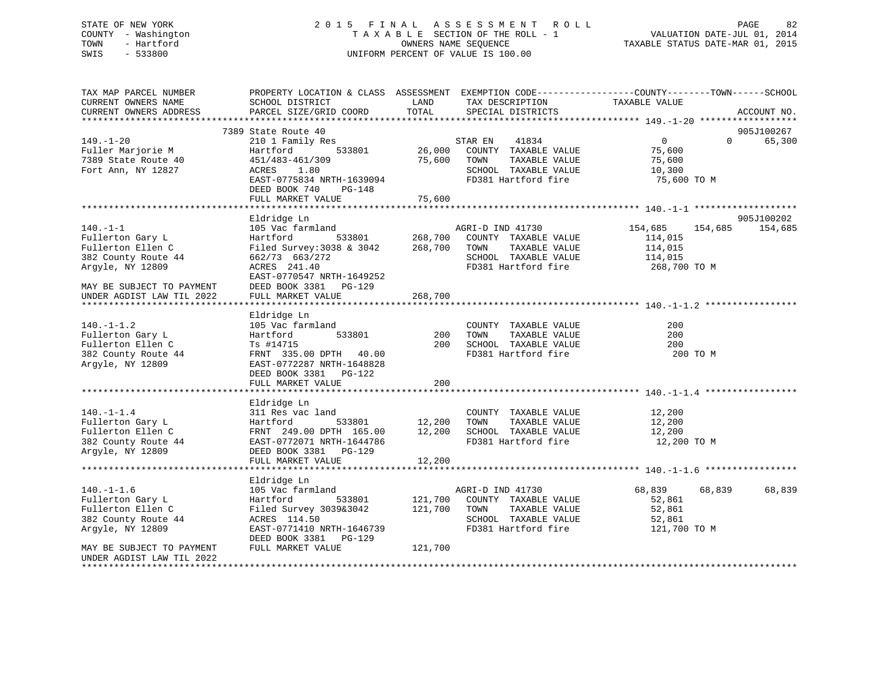# STATE OF NEW YORK 2 0 1 5 F I N A L A S S E S S M E N T R O L L PAGE 82 COUNTY - Washington T A X A B L E SECTION OF THE ROLL - 1 VALUATION DATE-JUL 01, 2014 TOWN - Hartford OWNERS NAME SEQUENCE TAXABLE STATUS DATE-MAR 01, 2015 SWIS - 533800 UNIFORM PERCENT OF VALUE IS 100.00

| TAX MAP PARCEL NUMBER<br>CURRENT OWNERS NAME           | PROPERTY LOCATION & CLASS ASSESSMENT EXEMPTION CODE----------------COUNTY-------TOWN------SCHOOL<br>SCHOOL DISTRICT | LAND    | TAX DESCRIPTION                     | TAXABLE VALUE  |                    |  |
|--------------------------------------------------------|---------------------------------------------------------------------------------------------------------------------|---------|-------------------------------------|----------------|--------------------|--|
| CURRENT OWNERS ADDRESS                                 | PARCEL SIZE/GRID COORD                                                                                              | TOTAL   | SPECIAL DISTRICTS                   |                | ACCOUNT NO.        |  |
|                                                        |                                                                                                                     |         |                                     |                |                    |  |
|                                                        | 7389 State Route 40                                                                                                 |         |                                     |                | 905J100267         |  |
| $149. - 1 - 20$                                        | 210 1 Family Res                                                                                                    |         | STAR EN 41834                       | $\overline{0}$ | 65,300<br>$\Omega$ |  |
| Fuller Marjorie M                                      | 533801<br>Hartford                                                                                                  |         | 26,000 COUNTY TAXABLE VALUE         | 75,600         |                    |  |
| 7389 State Route 40                                    | 451/483-461/309                                                                                                     | 75,600  | TAXABLE VALUE<br>TOWN               | 75,600         |                    |  |
| Fort Ann, NY 12827                                     | ACRES<br>1.80                                                                                                       |         | SCHOOL TAXABLE VALUE                | 10,300         |                    |  |
|                                                        | EAST-0775834 NRTH-1639094<br>DEED BOOK 740<br>PG-148                                                                |         | FD381 Hartford fire                 | 75,600 TO M    |                    |  |
|                                                        | FULL MARKET VALUE                                                                                                   | 75,600  |                                     |                |                    |  |
|                                                        |                                                                                                                     |         |                                     |                |                    |  |
|                                                        | Eldridge Ln                                                                                                         |         |                                     |                | 905J100202         |  |
| $140. - 1 - 1$                                         | 105 Vac farmland                                                                                                    |         | AGRI-D IND 41730                    | 154,685        | 154,685<br>154,685 |  |
| Fullerton Gary L                                       | Hartford                                                                                                            |         | 533801 268,700 COUNTY TAXABLE VALUE | 114,015        |                    |  |
| Fullerton Ellen C                                      | Filed Survey: 3038 & 3042                                                                                           | 268,700 | TOWN<br>TAXABLE VALUE               | 114,015        |                    |  |
| 382 County Route 44                                    | 662/73 663/272                                                                                                      |         | SCHOOL TAXABLE VALUE                | 114,015        |                    |  |
| Argyle, NY 12809                                       | ACRES 241.40                                                                                                        |         | FD381 Hartford fire                 | 268,700 ТО М   |                    |  |
|                                                        | EAST-0770547 NRTH-1649252                                                                                           |         |                                     |                |                    |  |
| MAY BE SUBJECT TO PAYMENT                              | DEED BOOK 3381 PG-129                                                                                               |         |                                     |                |                    |  |
| UNDER AGDIST LAW TIL 2022                              | FULL MARKET VALUE                                                                                                   | 268,700 |                                     |                |                    |  |
|                                                        |                                                                                                                     |         |                                     |                |                    |  |
|                                                        | Eldridge Ln                                                                                                         |         |                                     |                |                    |  |
| $140. - 1 - 1.2$                                       | 105 Vac farmland                                                                                                    |         | COUNTY TAXABLE VALUE                | 200            |                    |  |
| Fullerton Gary L                                       | 533801<br>Hartford                                                                                                  | 200     | TAXABLE VALUE<br>TOWN               | 200            |                    |  |
| Fullerton Ellen C                                      | Ts #14715                                                                                                           | 200     | SCHOOL TAXABLE VALUE                | 200            |                    |  |
| 382 County Route 44                                    | FRNT 335.00 DPTH 40.00                                                                                              |         | FD381 Hartford fire                 | 200 TO M       |                    |  |
| Argyle, NY 12809                                       | EAST-0772287 NRTH-1648828                                                                                           |         |                                     |                |                    |  |
|                                                        | DEED BOOK 3381 PG-122<br>FULL MARKET VALUE                                                                          | 200     |                                     |                |                    |  |
|                                                        |                                                                                                                     |         |                                     |                |                    |  |
|                                                        | Eldridge Ln                                                                                                         |         |                                     |                |                    |  |
| $140. - 1 - 1.4$                                       | 311 Res vac land                                                                                                    |         | COUNTY TAXABLE VALUE                | 12,200         |                    |  |
| Fullerton Gary L                                       | Hartford<br>533801                                                                                                  | 12,200  | TOWN<br>TAXABLE VALUE               | 12,200         |                    |  |
| Fullerton Ellen C                                      | FRNT 249.00 DPTH 165.00                                                                                             | 12,200  | SCHOOL TAXABLE VALUE                | 12,200         |                    |  |
| 382 County Route 44                                    | EAST-0772071 NRTH-1644786                                                                                           |         | FD381 Hartford fire                 | 12,200 TO M    |                    |  |
| Argyle, NY 12809                                       | DEED BOOK 3381 PG-129                                                                                               |         |                                     |                |                    |  |
|                                                        | FULL MARKET VALUE                                                                                                   | 12,200  |                                     |                |                    |  |
|                                                        |                                                                                                                     |         |                                     |                |                    |  |
|                                                        | Eldridge Ln                                                                                                         |         |                                     |                |                    |  |
| $140. - 1 - 1.6$                                       | 105 Vac farmland                                                                                                    |         | AGRI-D IND 41730                    | 68,839 68,839  | 68,839             |  |
| Fullerton Gary L                                       | 533801<br>Hartford                                                                                                  | 121,700 | COUNTY TAXABLE VALUE                | 52,861         |                    |  |
| Fullerton Ellen C                                      | Filed Survey 3039&3042                                                                                              | 121,700 | TOWN<br>TAXABLE VALUE               | 52,861         |                    |  |
| 382 County Route 44                                    | ACRES 114.50                                                                                                        |         | SCHOOL TAXABLE VALUE                | 52,861         |                    |  |
| Argyle, NY 12809                                       | EAST-0771410 NRTH-1646739                                                                                           |         | FD381 Hartford fire                 | 121,700 TO M   |                    |  |
|                                                        | DEED BOOK 3381 PG-129                                                                                               |         |                                     |                |                    |  |
| MAY BE SUBJECT TO PAYMENT<br>UNDER AGDIST LAW TIL 2022 | FULL MARKET VALUE                                                                                                   | 121,700 |                                     |                |                    |  |
|                                                        |                                                                                                                     |         |                                     |                |                    |  |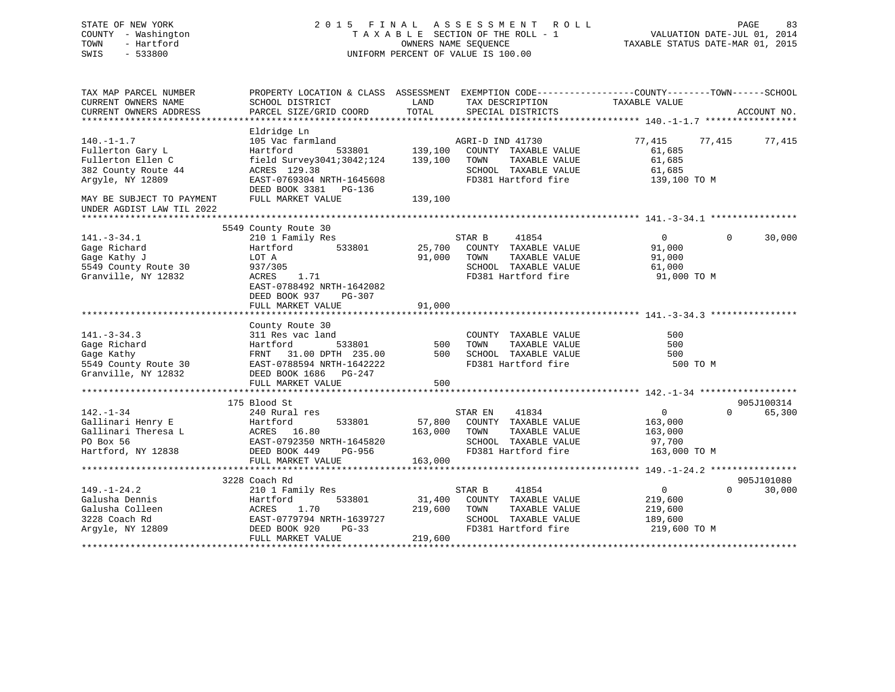| STATE OF NEW YORK<br>COUNTY - Washington<br>TOWN<br>- Hartford<br>SWIS<br>$-533800$ |                                                                                                                     | TAXABLE SECTION OF THE ROLL - 1<br>OWNERS NAME SEOUENCE<br>UNIFORM PERCENT OF VALUE IS 100.00 |                  | 2015 FINAL ASSESSMENT ROLL                  |                | PAGE<br>83<br>VALUATION DATE-JUL 01, 2014<br>TAXABLE STATUS DATE-MAR 01, 2015 |  |
|-------------------------------------------------------------------------------------|---------------------------------------------------------------------------------------------------------------------|-----------------------------------------------------------------------------------------------|------------------|---------------------------------------------|----------------|-------------------------------------------------------------------------------|--|
| TAX MAP PARCEL NUMBER<br>CURRENT OWNERS NAME                                        | PROPERTY LOCATION & CLASS ASSESSMENT EXEMPTION CODE----------------COUNTY-------TOWN------SCHOOL<br>SCHOOL DISTRICT | LAND                                                                                          |                  | TAX DESCRIPTION                             | TAXABLE VALUE  |                                                                               |  |
| CURRENT OWNERS ADDRESS                                                              | PARCEL SIZE/GRID COORD                                                                                              | TOTAL                                                                                         |                  | SPECIAL DISTRICTS                           |                | ACCOUNT NO.                                                                   |  |
|                                                                                     |                                                                                                                     |                                                                                               |                  |                                             |                |                                                                               |  |
|                                                                                     | Eldridge Ln                                                                                                         |                                                                                               |                  |                                             |                |                                                                               |  |
| $140. - 1 - 1.7$                                                                    | 105 Vac farmland                                                                                                    |                                                                                               | AGRI-D IND 41730 |                                             | 77,415         | 77,415<br>77,415                                                              |  |
| Fullerton Gary L                                                                    | Hartford<br>533801                                                                                                  | 139,100                                                                                       |                  | COUNTY TAXABLE VALUE                        | 61,685         |                                                                               |  |
| Fullerton Ellen C                                                                   | field Survey3041;3042;124                                                                                           | 139,100                                                                                       | TOWN             | TAXABLE VALUE                               | 61,685         |                                                                               |  |
| 382 County Route 44                                                                 | ACRES 129.38                                                                                                        |                                                                                               |                  | SCHOOL TAXABLE VALUE                        | 61,685         |                                                                               |  |
| Argyle, NY 12809                                                                    | EAST-0769304 NRTH-1645608<br>DEED BOOK 3381 PG-136                                                                  |                                                                                               |                  | FD381 Hartford fire                         | 139,100 TO M   |                                                                               |  |
| MAY BE SUBJECT TO PAYMENT                                                           | FULL MARKET VALUE                                                                                                   | 139,100                                                                                       |                  |                                             |                |                                                                               |  |
| UNDER AGDIST LAW TIL 2022                                                           |                                                                                                                     |                                                                                               |                  |                                             |                |                                                                               |  |
|                                                                                     |                                                                                                                     |                                                                                               |                  |                                             |                |                                                                               |  |
| $141. - 3 - 34.1$                                                                   | 5549 County Route 30<br>210 1 Family Res                                                                            |                                                                                               | STAR B           | 41854                                       | $\mathbf{0}$   | $\Omega$<br>30,000                                                            |  |
| Gage Richard                                                                        | 533801<br>Hartford                                                                                                  | 25,700                                                                                        |                  | COUNTY TAXABLE VALUE                        | 91,000         |                                                                               |  |
| Gage Kathy J                                                                        | LOT A                                                                                                               | 91,000                                                                                        | TOWN             | TAXABLE VALUE                               | 91,000         |                                                                               |  |
| 5549 County Route 30                                                                | 937/305                                                                                                             |                                                                                               |                  | SCHOOL TAXABLE VALUE                        | 61,000         |                                                                               |  |
| Granville, NY 12832                                                                 | ACRES<br>1.71                                                                                                       |                                                                                               |                  | FD381 Hartford fire                         | 91,000 TO M    |                                                                               |  |
|                                                                                     | EAST-0788492 NRTH-1642082                                                                                           |                                                                                               |                  |                                             |                |                                                                               |  |
|                                                                                     | DEED BOOK 937<br>PG-307                                                                                             |                                                                                               |                  |                                             |                |                                                                               |  |
|                                                                                     | FULL MARKET VALUE                                                                                                   | 91,000                                                                                        |                  |                                             |                |                                                                               |  |
|                                                                                     |                                                                                                                     |                                                                                               |                  |                                             |                |                                                                               |  |
| $141. - 3 - 34.3$                                                                   | County Route 30<br>311 Res vac land                                                                                 |                                                                                               |                  | COUNTY TAXABLE VALUE                        | 500            |                                                                               |  |
| Gage Richard                                                                        | 533801<br>Hartford                                                                                                  | 500                                                                                           | TOWN             | TAXABLE VALUE                               | 500            |                                                                               |  |
| Gage Kathy                                                                          | FRNT 31.00 DPTH 235.00                                                                                              | 500                                                                                           |                  | SCHOOL TAXABLE VALUE                        | 500            |                                                                               |  |
| 5549 County Route 30                                                                | EAST-0788594 NRTH-1642222                                                                                           |                                                                                               |                  | FD381 Hartford fire                         | 500 TO M       |                                                                               |  |
| Granville, NY 12832                                                                 | DEED BOOK 1686 PG-247                                                                                               |                                                                                               |                  |                                             |                |                                                                               |  |
|                                                                                     | FULL MARKET VALUE                                                                                                   | 500                                                                                           |                  |                                             |                |                                                                               |  |
|                                                                                     |                                                                                                                     |                                                                                               |                  |                                             |                |                                                                               |  |
|                                                                                     | 175 Blood St                                                                                                        |                                                                                               |                  |                                             |                | 905J100314                                                                    |  |
| $142. - 1 - 34$                                                                     | 240 Rural res                                                                                                       |                                                                                               | STAR EN          | 41834                                       | $\mathbf 0$    | $\Omega$<br>65,300                                                            |  |
| Gallinari Henry E                                                                   | Hartford<br>533801                                                                                                  | 57,800                                                                                        |                  | COUNTY TAXABLE VALUE                        | 163,000        |                                                                               |  |
| Gallinari Theresa L                                                                 | ACRES 16.80                                                                                                         | 163,000                                                                                       | TOWN             | TAXABLE VALUE                               | 163,000        |                                                                               |  |
| PO Box 56                                                                           | EAST-0792350 NRTH-1645820<br>PG-956                                                                                 |                                                                                               |                  | SCHOOL TAXABLE VALUE<br>FD381 Hartford fire | 97,700         |                                                                               |  |
| Hartford, NY 12838                                                                  | DEED BOOK 449<br>FULL MARKET VALUE                                                                                  | 163,000                                                                                       |                  |                                             | 163,000 TO M   |                                                                               |  |
|                                                                                     |                                                                                                                     |                                                                                               |                  |                                             |                |                                                                               |  |
|                                                                                     | 3228 Coach Rd                                                                                                       |                                                                                               |                  |                                             |                | 905J101080                                                                    |  |
| $149. - 1 - 24.2$                                                                   | 210 1 Family Res                                                                                                    |                                                                                               | STAR B           | 41854                                       | $\overline{0}$ | $\Omega$<br>30,000                                                            |  |
| Galusha Dennis                                                                      | 533801<br>Hartford                                                                                                  | 31,400                                                                                        |                  | COUNTY TAXABLE VALUE                        | 219,600        |                                                                               |  |
| Galusha Colleen                                                                     | ACRES<br>1.70                                                                                                       | 219,600                                                                                       | TOWN             | TAXABLE VALUE                               | 219,600        |                                                                               |  |
| 3228 Coach Rd                                                                       | EAST-0779794 NRTH-1639727                                                                                           |                                                                                               |                  | SCHOOL TAXABLE VALUE                        | 189,600        |                                                                               |  |
| Argyle, NY 12809                                                                    | DEED BOOK 920<br>$PG-33$                                                                                            |                                                                                               |                  | FD381 Hartford fire                         | 219,600 TO M   |                                                                               |  |
|                                                                                     | FULL MARKET VALUE                                                                                                   | 219,600                                                                                       |                  |                                             |                | + + + + + + + + + + + + + + + + + +                                           |  |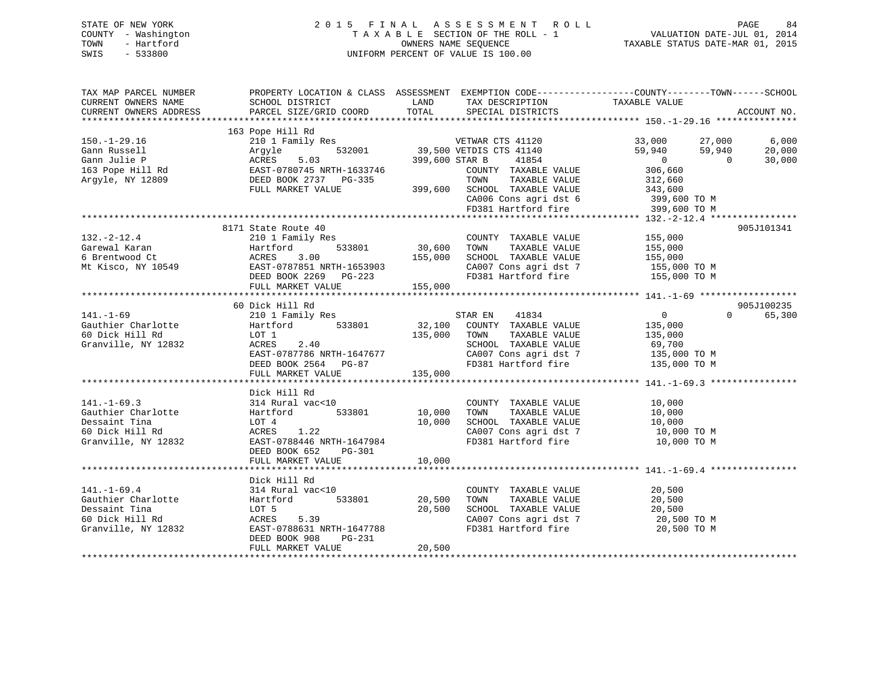# STATE OF NEW YORK 2 0 1 5 F I N A L A S S E S S M E N T R O L L PAGE 84 COUNTY - Washington T A X A B L E SECTION OF THE ROLL - 1 VALUATION DATE-JUL 01, 2014 TOWN - Hartford OWNERS NAME SEQUENCE TAXABLE STATUS DATE-MAR 01, 2015 SWIS - 533800 UNIFORM PERCENT OF VALUE IS 100.00

| TAX MAP PARCEL NUMBER<br>CURRENT OWNERS NAME<br>CURRENT OWNERS ADDRESS                             | SCHOOL DISTRICT<br>PARCEL SIZE/GRID COORD                                                                                                                                                | LAND<br>TOTAL                | TAX DESCRIPTION<br>SPECIAL DISTRICTS                                                                                                                           | PROPERTY LOCATION & CLASS ASSESSMENT EXEMPTION CODE---------------COUNTY-------TOWN------SCHOOL<br>TAXABLE VALUE       | ACCOUNT NO.               |
|----------------------------------------------------------------------------------------------------|------------------------------------------------------------------------------------------------------------------------------------------------------------------------------------------|------------------------------|----------------------------------------------------------------------------------------------------------------------------------------------------------------|------------------------------------------------------------------------------------------------------------------------|---------------------------|
| $150. - 1 - 29.16$<br>Gann Russell<br>Gann Julie P<br>163 Pope Hill Rd<br>Argyle, NY 12809         | 163 Pope Hill Rd<br>210 1 Family Res<br>532001<br>Arqyle<br>5.03<br>ACRES<br>AURED 5.00<br>EAST-0780745 NRTH-1633746<br>- TACY 0737 DC-335<br>DEED BOOK 2737 PG-335<br>FULL MARKET VALUE | 399,600 STAR B               | VETWAR CTS 41120<br>39,500 VETDIS CTS 41140<br>41854<br>COUNTY TAXABLE VALUE<br>TAXABLE VALUE<br>TOWN<br>399,600 SCHOOL TAXABLE VALUE<br>CA006 Cons agri dst 6 | 33,000 27,000<br>59,940<br>59,940<br>$\overline{0}$<br>$\overline{0}$<br>306,660<br>312,660<br>343,600<br>399,600 TO M | 6,000<br>20,000<br>30,000 |
|                                                                                                    |                                                                                                                                                                                          |                              | FD381 Hartford fire                                                                                                                                            | 399,600 TO M                                                                                                           |                           |
| $132. - 2 - 12.4$<br>Garewal Karan<br>6 Brentwood Ct<br>Mt Kisco, NY 10549                         | 8171 State Route 40<br>210 1 Family Res<br>Hartford<br>533801<br>Hartfo<br>ACRES<br>EAST-0<br>3.00<br>EAST-0787851 NRTH-1653903<br>DEED BOOK 2269 PG-223<br>FULL MARKET VALUE            | 30,600<br>155,000<br>155,000 | COUNTY TAXABLE VALUE<br>TAXABLE VALUE<br>TOWN<br>SCHOOL TAXABLE VALUE<br>CA007 Cons agri dst 7<br>FD381 Hartford fire                                          | 155,000<br>155,000<br>155,000<br>155,000 TO M<br>155,000 TO M                                                          | 905J101341                |
|                                                                                                    | 60 Dick Hill Rd                                                                                                                                                                          |                              |                                                                                                                                                                |                                                                                                                        | 905J100235                |
| $141. - 1 - 69$<br>Gauthier Charlotte<br>60 Dick Hill Rd<br>Granville, NY 12832                    | 210 1 Family Res<br>Hartford 533801<br>LOT 1<br>ACRES<br>2.40<br>EAST-0787786 NRTH-1647677<br>DEED BOOK 2564 PG-87<br>FULL MARKET VALUE                                                  | 135,000<br>135,000           | STAR EN 41834<br>32,100 COUNTY TAXABLE VALUE<br>TAXABLE VALUE<br>TOWN<br>SCHOOL TAXABLE VALUE<br>CA007 Cons agri dst 7<br>FD381 Hartford fire                  | $\overline{0}$<br>$\Omega$<br>135,000<br>135,000<br>69,700<br>135,000 TO M<br>135,000 TO M                             | 65,300                    |
|                                                                                                    | Dick Hill Rd                                                                                                                                                                             |                              |                                                                                                                                                                |                                                                                                                        |                           |
| $141. - 1 - 69.3$<br>Gauthier Charlotte<br>Dessaint Tina<br>60 Dick Hill Rd<br>Granville, NY 12832 | 314 Rural vac<10<br>533801<br>Hartford<br>LOT 4<br>1.22<br>ACRES<br>EAST-0788446 NRTH-1647984<br>DEED BOOK 652<br>PG-301                                                                 | 10,000<br>10,000             | COUNTY TAXABLE VALUE<br>TAXABLE VALUE<br>TOWN<br>SCHOOL TAXABLE VALUE<br>CA007 Cons agri dst 7<br>FD381 Hartford fire                                          | 10,000<br>10,000<br>10,000<br>10,000 TO M<br>10,000 TO M                                                               |                           |
|                                                                                                    | FULL MARKET VALUE                                                                                                                                                                        | 10,000                       |                                                                                                                                                                |                                                                                                                        |                           |
|                                                                                                    | Dick Hill Rd                                                                                                                                                                             |                              |                                                                                                                                                                |                                                                                                                        |                           |
| $141. - 1 - 69.4$<br>Gauthier Charlotte<br>Dessaint Tina<br>60 Dick Hill Rd<br>Granville, NY 12832 | 314 Rural vac<10<br>533801<br>Hartford<br>LOT 5<br>5.39<br>ACRES<br>EAST-0788631 NRTH-1647788<br>DEED BOOK 908<br>PG-231                                                                 | 20,500<br>20,500             | COUNTY TAXABLE VALUE<br>TOWN<br>TAXABLE VALUE<br>SCHOOL TAXABLE VALUE<br>CA007 Cons agri dst 7<br>FD381 Hartford fire                                          | 20,500<br>20,500<br>20,500<br>20,500 TO M<br>20,500 TO M                                                               |                           |
|                                                                                                    | FULL MARKET VALUE                                                                                                                                                                        | 20,500                       |                                                                                                                                                                |                                                                                                                        |                           |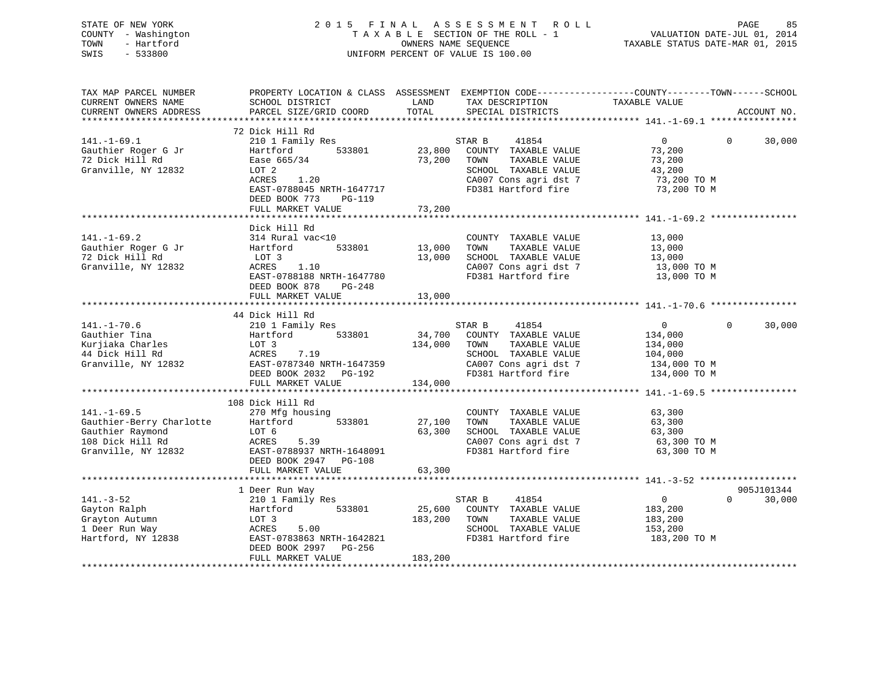| STATE OF NEW YORK   | 2015 FINAL ASSESSMENT ROLL         | PAGE                             | 85 |
|---------------------|------------------------------------|----------------------------------|----|
| COUNTY - Washington | TAXABLE SECTION OF THE ROLL - 1    | VALUATION DATE-JUL 01, 2014      |    |
| - Hartford<br>TOWN  | OWNERS NAME SEOUENCE               | TAXABLE STATUS DATE-MAR 01, 2015 |    |
| SWIS<br>- 533800    | UNIFORM PERCENT OF VALUE IS 100.00 |                                  |    |
|                     |                                    |                                  |    |
|                     |                                    |                                  |    |
|                     |                                    |                                  |    |

TAX MAP PARCEL NUMBER PROPERTY LOCATION & CLASS ASSESSMENT EXEMPTION CODE------------------COUNTY--------TOWN------SCHOOL

| CURRENT OWNERS NAME      | SCHOOL DISTRICT           | LAND    | TAX DESCRIPTION              | TAXABLE VALUE                                 |                          |
|--------------------------|---------------------------|---------|------------------------------|-----------------------------------------------|--------------------------|
| CURRENT OWNERS ADDRESS   | PARCEL SIZE/GRID COORD    | TOTAL   | SPECIAL DISTRICTS            |                                               | ACCOUNT NO.              |
|                          |                           |         |                              |                                               |                          |
|                          | 72 Dick Hill Rd           |         |                              |                                               |                          |
| $141. - 1 - 69.1$        | 210 1 Family Res          |         | STAR B<br>41854              | $\overline{0}$                                | $\overline{0}$<br>30,000 |
| Gauthier Roger G Jr      | 533801<br>Hartford        |         | 23,800 COUNTY TAXABLE VALUE  | 73,200                                        |                          |
| 72 Dick Hill Rd          | Ease 665/34               |         | 73,200 TOWN<br>TAXABLE VALUE | 73,200                                        |                          |
| Granville, NY 12832      | LOT 2                     |         | SCHOOL TAXABLE VALUE         | 43,200                                        |                          |
|                          | ACRES<br>1.20             |         | CA007 Cons agri dst 7        | 73,200 TO M                                   |                          |
|                          | EAST-0788045 NRTH-1647717 |         | FD381 Hartford fire          | 73,200 TO M                                   |                          |
|                          | DEED BOOK 773<br>PG-119   |         |                              |                                               |                          |
|                          | FULL MARKET VALUE         | 73,200  |                              |                                               |                          |
|                          |                           |         |                              |                                               |                          |
|                          | Dick Hill Rd              |         |                              |                                               |                          |
| $141. - 1 - 69.2$        | 314 Rural vac<10          |         | COUNTY TAXABLE VALUE         | 13,000                                        |                          |
| Gauthier Roger G Jr      | 533801<br>Hartford        | 13,000  | TOWN<br>TAXABLE VALUE        | 13,000                                        |                          |
| 72 Dick Hill Rd          | LOT 3                     | 13,000  | SCHOOL TAXABLE VALUE         |                                               |                          |
| Granville, NY 12832      | ACRES<br>1.10             |         | CA007 Cons agri dst 7        |                                               |                          |
|                          | EAST-0788188 NRTH-1647780 |         | FD381 Hartford fire          | $13,000$ TO M<br>$13,000$ TO M<br>13,000 TO M |                          |
|                          |                           |         |                              |                                               |                          |
|                          | DEED BOOK 878<br>PG-248   |         |                              |                                               |                          |
|                          | FULL MARKET VALUE         | 13,000  |                              |                                               |                          |
|                          |                           |         |                              |                                               |                          |
|                          | 44 Dick Hill Rd           |         |                              |                                               | $\Omega$                 |
| $141. - 1 - 70.6$        | 210 1 Family Res          |         | STAR B<br>41854              | $0 \qquad \qquad$                             | 30,000                   |
| Gauthier Tina            | Hartford<br>533801        | 34,700  | COUNTY TAXABLE VALUE         | 134,000                                       |                          |
| Kurjiaka Charles         | LOT 3                     | 134,000 | TAXABLE VALUE<br>TOWN        | 134,000                                       |                          |
| 44 Dick Hill Rd          | 7.19<br>ACRES             |         | SCHOOL TAXABLE VALUE         | 104,000                                       |                          |
| Granville, NY 12832      | EAST-0787340 NRTH-1647359 |         | CA007 Cons agri dst 7        | 134,000 TO M                                  |                          |
|                          | DEED BOOK 2032    PG-192  |         | FD381 Hartford fire          | 134,000 TO M                                  |                          |
|                          | FULL MARKET VALUE         | 134,000 |                              |                                               |                          |
|                          |                           |         |                              |                                               |                          |
|                          | 108 Dick Hill Rd          |         |                              |                                               |                          |
| $141. - 1 - 69.5$        | 270 Mfg housing           |         | COUNTY TAXABLE VALUE         | 63,300                                        |                          |
| Gauthier-Berry Charlotte | Hartford 533801           | 27,100  | TOWN<br>TAXABLE VALUE        | 63,300                                        |                          |
| Gauthier Raymond         | LOT 6                     | 63,300  | SCHOOL TAXABLE VALUE         | 63,300                                        |                          |
| 108 Dick Hill Rd         | ACRES<br>5.39             |         | CA007 Cons agri dst 7        | 63,300 TO M                                   |                          |
| Granville, NY 12832      | EAST-0788937 NRTH-1648091 |         | FD381 Hartford fire          | 63,300 TO M                                   |                          |
|                          | DEED BOOK 2947 PG-108     |         |                              |                                               |                          |
|                          | FULL MARKET VALUE         | 63,300  |                              |                                               |                          |
|                          |                           |         |                              |                                               |                          |
|                          | 1 Deer Run Way            |         |                              |                                               | 905J101344               |
| $141. - 3 - 52$          | 210 1 Family Res          |         | 41854<br>STAR B              | $\overline{0}$                                | 30,000<br>$\Omega$       |
| Gayton Ralph             | 533801<br>Hartford        |         | 25,600 COUNTY TAXABLE VALUE  | 183,200                                       |                          |
| Grayton Autumn           | LOT 3                     | 183,200 | TAXABLE VALUE<br>TOWN        | 183,200                                       |                          |
| 1 Deer Run Way           | ACRES<br>5.00             |         | SCHOOL TAXABLE VALUE         | 153,200                                       |                          |
| Hartford, NY 12838       | EAST-0783863 NRTH-1642821 |         | FD381 Hartford fire          | 183,200 TO M                                  |                          |
|                          | DEED BOOK 2997 PG-256     |         |                              |                                               |                          |
|                          | FULL MARKET VALUE         | 183,200 |                              |                                               |                          |
|                          |                           |         |                              |                                               |                          |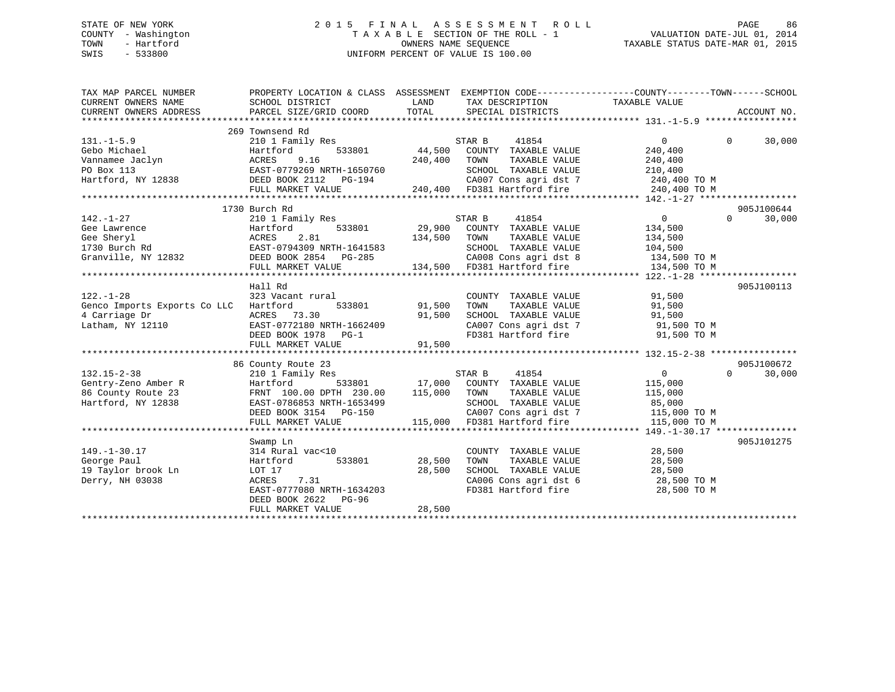# STATE OF NEW YORK 2 0 1 5 F I N A L A S S E S S M E N T R O L L PAGE 86 COUNTY - Washington T A X A B L E SECTION OF THE ROLL - 1 VALUATION DATE-JUL 01, 2014 TOWN - Hartford **TAXABLE STATUS DATE-MAR 01, 2015** OWNERS NAME SEQUENCE TAXABLE STATUS DATE-MAR 01, 2015 SWIS - 533800 UNIFORM PERCENT OF VALUE IS 100.00

| TAX MAP PARCEL NUMBER<br>CURRENT OWNERS NAME<br>CURRENT OWNERS ADDRESS | PROPERTY LOCATION & CLASS ASSESSMENT EXEMPTION CODE----------------COUNTY-------TOWN-----SCHOOL<br>SCHOOL DISTRICT<br>PARCEL SIZE/GRID COORD | LAND<br>TOTAL | TAX DESCRIPTION TAXABLE VALUE<br>SPECIAL DISTRICTS  |                | ACCOUNT NO.        |
|------------------------------------------------------------------------|----------------------------------------------------------------------------------------------------------------------------------------------|---------------|-----------------------------------------------------|----------------|--------------------|
|                                                                        |                                                                                                                                              |               |                                                     |                |                    |
|                                                                        | 269 Townsend Rd                                                                                                                              |               |                                                     |                |                    |
| $131. - 1 - 5.9$                                                       | 210 1 Family Res                                                                                                                             |               | STAR B<br>41854                                     | $\Omega$       | $\Omega$<br>30,000 |
| Gebo Michael                                                           | Hartford                                                                                                                                     | 533801 44,500 | COUNTY TAXABLE VALUE                                | 240,400        |                    |
| Vannamee Jaclyn<br>PO Box 113<br>Hartford, NY 12838                    | 9.16<br>ACRES                                                                                                                                | 240,400       | TOWN<br>TAXABLE VALUE                               | 240,400        |                    |
|                                                                        | EAST-0779269 NRTH-1650760                                                                                                                    |               | SCHOOL TAXABLE VALUE                                | 210,400        |                    |
|                                                                        | EASI-0773269 NRTH-1650760<br>DEED BOOK 2112 PG-194<br>THIT TICKLES TO                                                                        |               | CA007 Cons agri dst 7 240,400 TO M                  |                |                    |
|                                                                        | FULL MARKET VALUE                                                                                                                            |               | 240,400 FD381 Hartford fire                         | 240,400 TO M   |                    |
|                                                                        |                                                                                                                                              |               |                                                     |                |                    |
|                                                                        | 1730 Burch Rd                                                                                                                                |               |                                                     |                | 905J100644         |
| 142.-1-27                                                              | 210 1 Family Res                                                                                                                             |               | 41854<br>STAR B                                     | $\overline{0}$ | 30,000<br>$\Omega$ |
| Gee Lawrence                                                           | Hartford                                                                                                                                     |               | $533801$ 29,900 COUNTY TAXABLE VALUE                | 134,500        |                    |
| Gee Sheryl                                                             | 2.81<br>ACRES                                                                                                                                | 134,500 TOWN  | TAXABLE VALUE                                       | 134,500        |                    |
| 1730 Burch Rd                                                          | EAST-0794309 NRTH-1641583                                                                                                                    |               | SCHOOL TAXABLE VALUE                                | 104,500        |                    |
| Granville, NY 12832                                                    | DEED BOOK 2854 PG-285                                                                                                                        |               | CA008 Cons agri dst 8 134,500 TO M                  |                |                    |
|                                                                        | FULL MARKET VALUE                                                                                                                            |               | 134,500 FD381 Hartford fire                         | 134,500 TO M   |                    |
|                                                                        |                                                                                                                                              |               |                                                     |                |                    |
|                                                                        | Hall Rd                                                                                                                                      |               |                                                     |                | 905J100113         |
| $122. - 1 - 28$                                                        | 323 Vacant rural                                                                                                                             |               | COUNTY TAXABLE VALUE                                | 91,500         |                    |
| Genco Imports Exports Co LLC                                           | Hartford<br>533801                                                                                                                           | 91,500        |                                                     | 91,500         |                    |
| 4 Carriage Dr                                                          | ACRES 73.30                                                                                                                                  | 91,500        | TOWN      TAXABLE  VALUE<br>SCHOOL   TAXABLE  VALUE | 91,500         |                    |
| Latham, NY 12110                                                       | EAST-0772180 NRTH-1662409                                                                                                                    |               | CA007 Cons agri dst 7 91,500 TO M                   |                |                    |
|                                                                        | DEED BOOK 1978 PG-1                                                                                                                          |               | FD381 Hartford fire                                 | 91,500 TO M    |                    |
|                                                                        | FULL MARKET VALUE                                                                                                                            | 91,500        |                                                     |                |                    |
|                                                                        |                                                                                                                                              |               |                                                     |                |                    |
|                                                                        | 86 County Route 23                                                                                                                           |               |                                                     |                | 905J100672         |
| $132.15 - 2 - 38$                                                      | 210 1 Family Res                                                                                                                             |               | STAR B<br>41854                                     | $\overline{0}$ | $\Omega$<br>30,000 |
| Gentry-Zeno Amber R                                                    | Hartford                                                                                                                                     | 533801 17,000 | COUNTY TAXABLE VALUE                                | 115,000        |                    |
| 86 County Route 23                                                     | FRNT 100.00 DPTH 230.00                                                                                                                      | 115,000       | TAXABLE VALUE<br>TOWN                               | 115,000        |                    |
| Hartford, NY 12838                                                     | EAST-0786853 NRTH-1653499                                                                                                                    |               | SCHOOL TAXABLE VALUE                                | 85,000         |                    |
|                                                                        | DEED BOOK 3154 PG-150                                                                                                                        |               | CA007 Cons agri dst 7                               | 115,000 TO M   |                    |
|                                                                        | FULL MARKET VALUE                                                                                                                            |               | 115,000 FD381 Hartford fire                         | 115,000 TO M   |                    |
|                                                                        |                                                                                                                                              |               |                                                     |                |                    |
|                                                                        | Swamp Ln                                                                                                                                     |               |                                                     |                | 905J101275         |
| $149. - 1 - 30.17$                                                     | 314 Rural vac<10                                                                                                                             |               | COUNTY TAXABLE VALUE                                | 28,500         |                    |
| George Paul                                                            | 533801<br>Hartford                                                                                                                           | 28,500        | TAXABLE VALUE<br>TOWN                               | 28,500         |                    |
| 19 Taylor brook Ln                                                     | LOT 17                                                                                                                                       | 28,500        | SCHOOL TAXABLE VALUE                                | 28,500         |                    |
| Derry, NH 03038                                                        | ACRES<br>7.31                                                                                                                                |               | CA006 Cons agri dst 6                               | 28,500 TO M    |                    |
|                                                                        | EAST-0777080 NRTH-1634203                                                                                                                    |               | FD381 Hartford fire                                 | 28,500 TO M    |                    |
|                                                                        | DEED BOOK 2622<br>$PG-96$                                                                                                                    |               |                                                     |                |                    |
|                                                                        | FULL MARKET VALUE                                                                                                                            | 28,500        |                                                     |                |                    |
|                                                                        |                                                                                                                                              |               |                                                     |                |                    |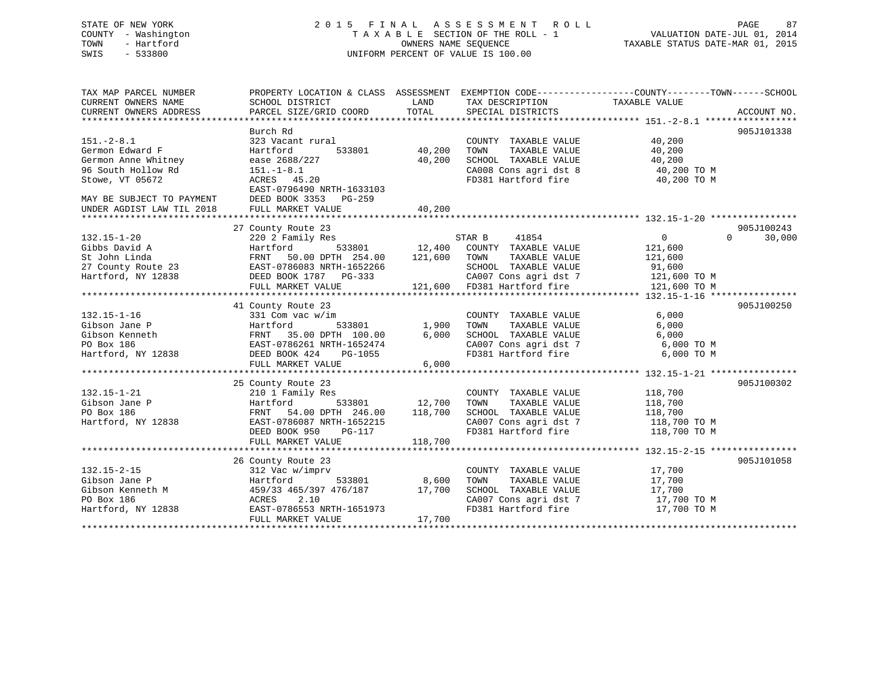# STATE OF NEW YORK 2 0 1 5 F I N A L A S S E S S M E N T R O L L PAGE 87 COUNTY - Washington T A X A B L E SECTION OF THE ROLL - 1 VALUATION DATE-JUL 01, 2014 TOWN - Hartford **TAXABLE STATUS DATE-MAR 01, 2015** OWNERS NAME SEQUENCE TAXABLE STATUS DATE-MAR 01, 2015 SWIS - 533800 UNIFORM PERCENT OF VALUE IS 100.00

| TAX MAP PARCEL NUMBER<br>CURRENT OWNERS NAME<br>CURRENT OWNERS ADDRESS | PROPERTY LOCATION & CLASS ASSESSMENT<br>SCHOOL DISTRICT<br>PARCEL SIZE/GRID COORD | LAND<br>TOTAL | TAX DESCRIPTION<br>SPECIAL DISTRICTS          | EXEMPTION CODE-----------------COUNTY-------TOWN------SCHOOL<br>TAXABLE VALUE | ACCOUNT NO.        |
|------------------------------------------------------------------------|-----------------------------------------------------------------------------------|---------------|-----------------------------------------------|-------------------------------------------------------------------------------|--------------------|
|                                                                        |                                                                                   |               |                                               |                                                                               |                    |
|                                                                        | Burch Rd                                                                          |               |                                               |                                                                               | 905J101338         |
| $151. - 2 - 8.1$                                                       | 323 Vacant rural                                                                  |               | COUNTY TAXABLE VALUE                          | 40,200                                                                        |                    |
| Germon Edward F                                                        | Hartford<br>533801                                                                | 40,200        | TAXABLE VALUE<br>TOWN                         | 40,200                                                                        |                    |
| Germon Anne Whitney                                                    | ease 2688/227                                                                     | 40,200        | SCHOOL TAXABLE VALUE                          | 40,200                                                                        |                    |
| 96 South Hollow Rd                                                     | $151. - 1 - 8.1$                                                                  |               | CA008 Cons agri dst 8                         | 40,200 TO M                                                                   |                    |
| Stowe, VT 05672                                                        | ACRES 45.20<br>EAST-0796490 NRTH-1633103                                          |               | FD381 Hartford fire                           | 40,200 TO M                                                                   |                    |
| MAY BE SUBJECT TO PAYMENT                                              | DEED BOOK 3353 PG-259                                                             |               |                                               |                                                                               |                    |
| UNDER AGDIST LAW TIL 2018                                              | FULL MARKET VALUE                                                                 | 40,200        |                                               |                                                                               |                    |
|                                                                        |                                                                                   |               |                                               |                                                                               |                    |
|                                                                        | 27 County Route 23                                                                |               |                                               |                                                                               | 905J100243         |
| $132.15 - 1 - 20$                                                      | 220 2 Family Res                                                                  |               | STAR B<br>41854                               | $\overline{0}$                                                                | 30,000<br>$\Omega$ |
| Gibbs David A                                                          | Hartford<br>533801                                                                | 12,400        | COUNTY TAXABLE VALUE                          | 121,600                                                                       |                    |
| St John Linda                                                          | FRNT<br>50.00 DPTH 254.00                                                         | 121,600       | TOWN<br>TAXABLE VALUE                         | 121,600                                                                       |                    |
| 27 County Route 23                                                     | EAST-0786083 NRTH-1652266                                                         |               | SCHOOL TAXABLE VALUE                          | 91,600                                                                        |                    |
| Hartford, NY 12838                                                     | DEED BOOK 1787 PG-333                                                             | 121,600       | CA007 Cons agri dst 7<br>FD381 Hartford fire  | 121,600 TO M                                                                  |                    |
|                                                                        | FULL MARKET VALUE                                                                 |               |                                               | 121,600 TO M                                                                  |                    |
|                                                                        | 41 County Route 23                                                                |               |                                               |                                                                               | 905J100250         |
| $132.15 - 1 - 16$                                                      | 331 Com vac w/im                                                                  |               | COUNTY TAXABLE VALUE                          | 6,000                                                                         |                    |
| Gibson Jane P                                                          | Hartford<br>533801                                                                | 1,900         | TAXABLE VALUE<br>TOWN                         | 6,000                                                                         |                    |
| Gibson Kenneth                                                         | FRNT 35.00 DPTH 100.00                                                            | 6,000         | SCHOOL TAXABLE VALUE                          | 6,000                                                                         |                    |
| PO Box 186                                                             | EAST-0786261 NRTH-1652474                                                         |               | CA007 Cons agri dst 7                         | 6,000 TO M                                                                    |                    |
| Hartford, NY 12838                                                     | DEED BOOK 424<br>PG-1055                                                          |               | FD381 Hartford fire                           | 6,000 TO M                                                                    |                    |
|                                                                        | FULL MARKET VALUE                                                                 | 6,000         |                                               |                                                                               |                    |
|                                                                        |                                                                                   |               |                                               |                                                                               | 905J100302         |
| $132.15 - 1 - 21$                                                      | 25 County Route 23                                                                |               |                                               |                                                                               |                    |
| Gibson Jane P                                                          | 210 1 Family Res<br>Hartford<br>533801                                            | 12,700        | COUNTY TAXABLE VALUE<br>TOWN<br>TAXABLE VALUE | 118,700<br>118,700                                                            |                    |
| PO Box 186                                                             | 54.00 DPTH 246.00<br>FRNT                                                         | 118,700       | SCHOOL TAXABLE VALUE                          | 118,700                                                                       |                    |
| Hartford, NY 12838                                                     | EAST-0786087 NRTH-1652215                                                         |               | CA007 Cons agri dst 7                         | 118,700 TO M                                                                  |                    |
|                                                                        | DEED BOOK 950<br>PG-117                                                           |               | FD381 Hartford fire                           | 118,700 TO M                                                                  |                    |
|                                                                        | FULL MARKET VALUE                                                                 | 118,700       |                                               |                                                                               |                    |
|                                                                        |                                                                                   |               |                                               |                                                                               |                    |
|                                                                        | 26 County Route 23                                                                |               |                                               |                                                                               | 905J101058         |
| $132.15 - 2 - 15$                                                      | 312 Vac w/imprv                                                                   |               | COUNTY TAXABLE VALUE                          | 17,700                                                                        |                    |
| Gibson Jane P                                                          | Hartford<br>533801                                                                | 8,600         | TOWN<br>TAXABLE VALUE                         | 17,700                                                                        |                    |
| Gibson Kenneth M                                                       | 459/33 465/397 476/187                                                            | 17,700        | SCHOOL TAXABLE VALUE                          | 17,700                                                                        |                    |
| PO Box 186                                                             | 2.10<br>ACRES                                                                     |               | CA007 Cons agri dst 7                         | 17,700 TO M                                                                   |                    |
| Hartford, NY 12838                                                     | EAST-0786553 NRTH-1651973                                                         |               | FD381 Hartford fire                           | 17,700 TO M                                                                   |                    |
|                                                                        | FULL MARKET VALUE                                                                 | 17,700        |                                               |                                                                               |                    |
|                                                                        |                                                                                   |               |                                               |                                                                               |                    |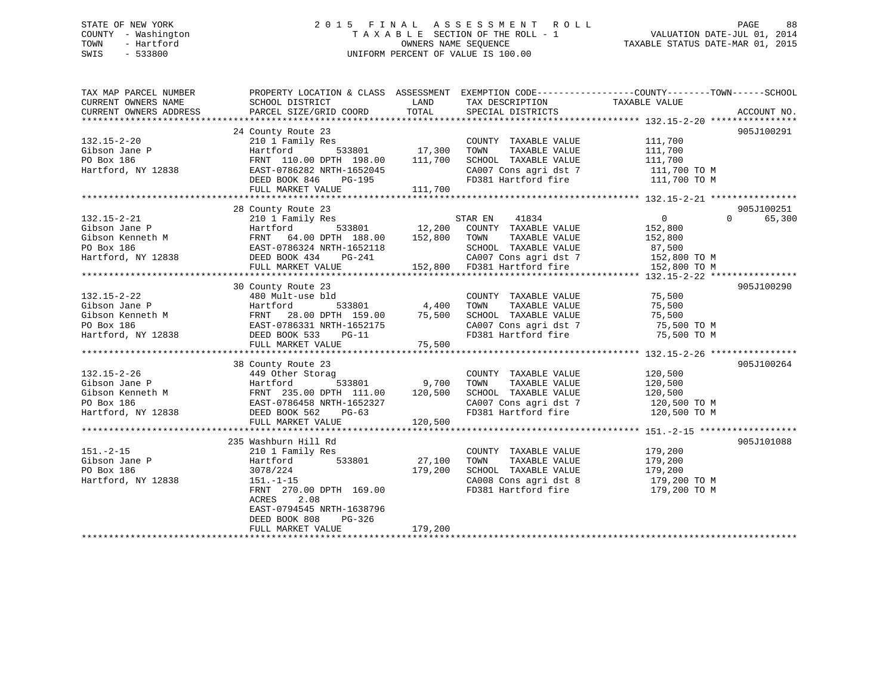# STATE OF NEW YORK 2 0 1 5 F I N A L A S S E S S M E N T R O L L PAGE 88 COUNTY - Washington T A X A B L E SECTION OF THE ROLL - 1 VALUATION DATE-JUL 01, 2014 TOWN - Hartford **TAXABLE STATUS DATE-MAR 01, 2015** OWNERS NAME SEQUENCE TAXABLE STATUS DATE-MAR 01, 2015 SWIS - 533800 UNIFORM PERCENT OF VALUE IS 100.00

| TAX MAP PARCEL NUMBER<br>CURRENT OWNERS NAME                                                                                                                                          | PROPERTY LOCATION & CLASS ASSESSMENT EXEMPTION CODE----------------COUNTY-------TOWN-----SCHOOL<br>SCHOOL DISTRICT | <b>EXAMPLE THE STATE OF STATE OF STATE OF STATE OF STATE OF STATE OF STATE OF STATE</b> | TAX DESCRIPTION                                | TAXABLE VALUE                                                                                                 |                    |
|---------------------------------------------------------------------------------------------------------------------------------------------------------------------------------------|--------------------------------------------------------------------------------------------------------------------|-----------------------------------------------------------------------------------------|------------------------------------------------|---------------------------------------------------------------------------------------------------------------|--------------------|
| CURRENT OWNERS ADDRESS                                                                                                                                                                | PARCEL SIZE/GRID COORD                                                                                             | TOTAL                                                                                   | SPECIAL DISTRICTS                              |                                                                                                               | ACCOUNT NO.        |
|                                                                                                                                                                                       |                                                                                                                    |                                                                                         |                                                |                                                                                                               |                    |
|                                                                                                                                                                                       | 24 County Route 23                                                                                                 |                                                                                         |                                                |                                                                                                               | 905J100291         |
| $132.15 - 2 - 20$                                                                                                                                                                     | 210 1 Family Res                                                                                                   |                                                                                         | COUNTY TAXABLE VALUE                           | 111,700                                                                                                       |                    |
| Gibson Jane P                                                                                                                                                                         | Hartford                                                                                                           |                                                                                         | TAXABLE VALUE<br>TOWN                          | 111,700                                                                                                       |                    |
| PO Box 186                                                                                                                                                                            | FRNT 110.00 DPTH 198.00 111,700                                                                                    |                                                                                         | SCHOOL TAXABLE VALUE                           | 111,700                                                                                                       |                    |
| Hartford, NY 12838                                                                                                                                                                    | EAST-0786282 NRTH-1652045<br>DEED BOOK 846 PG-195                                                                  |                                                                                         |                                                | CA007 Cons agri dst 7 111,700 TO M<br>FD381 Hartford fire 111,700 TO M                                        |                    |
|                                                                                                                                                                                       |                                                                                                                    |                                                                                         |                                                |                                                                                                               |                    |
|                                                                                                                                                                                       | FULL MARKET VALUE                                                                                                  | 111,700                                                                                 |                                                |                                                                                                               |                    |
|                                                                                                                                                                                       |                                                                                                                    |                                                                                         |                                                |                                                                                                               |                    |
|                                                                                                                                                                                       | 28 County Route 23                                                                                                 |                                                                                         |                                                |                                                                                                               | 905J100251         |
| $132.15 - 2 - 21$                                                                                                                                                                     | 210 1 Family Res                                                                                                   |                                                                                         | STAR EN 41834                                  | $\overline{0}$                                                                                                | 65,300<br>$\Omega$ |
| COUNT:<br>Cibson Jane P<br>Gibson Kenneth M<br>PO Box 186<br>Hartford, NY 12838<br>Hartford, NY 12838<br>PEED BOOK 434<br>DEED BOOK 434<br>PC-241<br>CA007<br>COUNT:                  |                                                                                                                    |                                                                                         | 533801 12,200 COUNTY TAXABLE VALUE 152,800     |                                                                                                               |                    |
|                                                                                                                                                                                       |                                                                                                                    |                                                                                         | TAXABLE VALUE                                  | 152,800                                                                                                       |                    |
|                                                                                                                                                                                       |                                                                                                                    |                                                                                         | SCHOOL TAXABLE VALUE                           |                                                                                                               |                    |
|                                                                                                                                                                                       |                                                                                                                    |                                                                                         |                                                |                                                                                                               |                    |
|                                                                                                                                                                                       | FULL MARKET VALUE                                                                                                  |                                                                                         |                                                | SCHOOL TAXABLE VALUE 87,500<br>CA007 Cons agri dst 7 152,800 TO M<br>152,800 FD381 Hartford fire 152,800 TO M |                    |
|                                                                                                                                                                                       |                                                                                                                    |                                                                                         |                                                |                                                                                                               |                    |
|                                                                                                                                                                                       | 30 County Route 23                                                                                                 |                                                                                         |                                                |                                                                                                               | 905J100290         |
| $132.15 - 2 - 22$                                                                                                                                                                     | 480 Mult-use bld                                                                                                   |                                                                                         | COUNTY TAXABLE VALUE 75,500                    |                                                                                                               |                    |
| Gibson Jane P<br>Gibson Kenneth M<br>FRNT 28.00 DPTH 159.00 75,500<br>PO Box 186<br>Hartford, NY 12838<br>EAST-0786331 NRTH-1652175<br>DEED BOOK 533 PG-11<br>FINT MAPKET VALUE PC-11 |                                                                                                                    |                                                                                         | TOWN<br>TAXABLE VALUE                          | 75,500<br>75,500                                                                                              |                    |
|                                                                                                                                                                                       |                                                                                                                    |                                                                                         | SCHOOL TAXABLE VALUE                           |                                                                                                               |                    |
|                                                                                                                                                                                       |                                                                                                                    |                                                                                         |                                                | CA007 Cons agri dst 7 75,500 TO M                                                                             |                    |
|                                                                                                                                                                                       |                                                                                                                    |                                                                                         | FD381 Hartford fire                            | 75,500 TO M                                                                                                   |                    |
|                                                                                                                                                                                       | FULL MARKET VALUE                                                                                                  | 75,500                                                                                  |                                                |                                                                                                               |                    |
|                                                                                                                                                                                       |                                                                                                                    |                                                                                         |                                                |                                                                                                               |                    |
|                                                                                                                                                                                       | 38 County Route 23                                                                                                 |                                                                                         |                                                |                                                                                                               | 905J100264         |
| $132.15 - 2 - 26$                                                                                                                                                                     | 449 Other Storag                                                                                                   |                                                                                         | COUNTY TAXABLE VALUE                           | 120,500                                                                                                       |                    |
|                                                                                                                                                                                       | 533801 9,700                                                                                                       |                                                                                         | TAXABLE VALUE<br>TOWN                          | 120,500                                                                                                       |                    |
|                                                                                                                                                                                       |                                                                                                                    |                                                                                         | SCHOOL TAXABLE VALUE                           | 120,500                                                                                                       |                    |
|                                                                                                                                                                                       |                                                                                                                    |                                                                                         |                                                |                                                                                                               |                    |
|                                                                                                                                                                                       |                                                                                                                    |                                                                                         |                                                | CA007 Cons agri dst 7 120,500 TO M<br>FD381 Hartford fire 120,500 TO M                                        |                    |
|                                                                                                                                                                                       | FULL MARKET VALUE                                                                                                  | 120,500                                                                                 |                                                |                                                                                                               |                    |
|                                                                                                                                                                                       |                                                                                                                    |                                                                                         |                                                |                                                                                                               |                    |
|                                                                                                                                                                                       | 235 Washburn Hill Rd                                                                                               |                                                                                         |                                                |                                                                                                               | 905J101088         |
| $151. - 2 - 15$                                                                                                                                                                       | 210 1 Family Res                                                                                                   |                                                                                         |                                                |                                                                                                               |                    |
|                                                                                                                                                                                       | ly Res<br>533801 27,100<br>Hartford                                                                                |                                                                                         | COUNTY TAXABLE VALUE<br>TOWN     TAXABLE VALUE | 179,200<br>179,200                                                                                            |                    |
|                                                                                                                                                                                       | 3078/224                                                                                                           | 179,200                                                                                 | SCHOOL TAXABLE VALUE                           |                                                                                                               |                    |
| 151.-2-15<br>Gibson Jane P<br>PO Box 186<br>Hartford, NY 12838                                                                                                                        | $151. - 1 - 15$                                                                                                    |                                                                                         |                                                | 179,200<br>179,200 TO M                                                                                       |                    |
|                                                                                                                                                                                       | FRNT 270.00 DPTH 169.00                                                                                            |                                                                                         |                                                | CA008 Cons agri dst 8 179,200 TO M<br>FD381 Hartford fire 179,200 TO M                                        |                    |
|                                                                                                                                                                                       | ACRES<br>2.08                                                                                                      |                                                                                         |                                                |                                                                                                               |                    |
|                                                                                                                                                                                       | EAST-0794545 NRTH-1638796                                                                                          |                                                                                         |                                                |                                                                                                               |                    |
|                                                                                                                                                                                       | PG-326<br>DEED BOOK 808                                                                                            |                                                                                         |                                                |                                                                                                               |                    |
|                                                                                                                                                                                       | FULL MARKET VALUE                                                                                                  | 179,200                                                                                 |                                                |                                                                                                               |                    |
|                                                                                                                                                                                       |                                                                                                                    |                                                                                         |                                                |                                                                                                               |                    |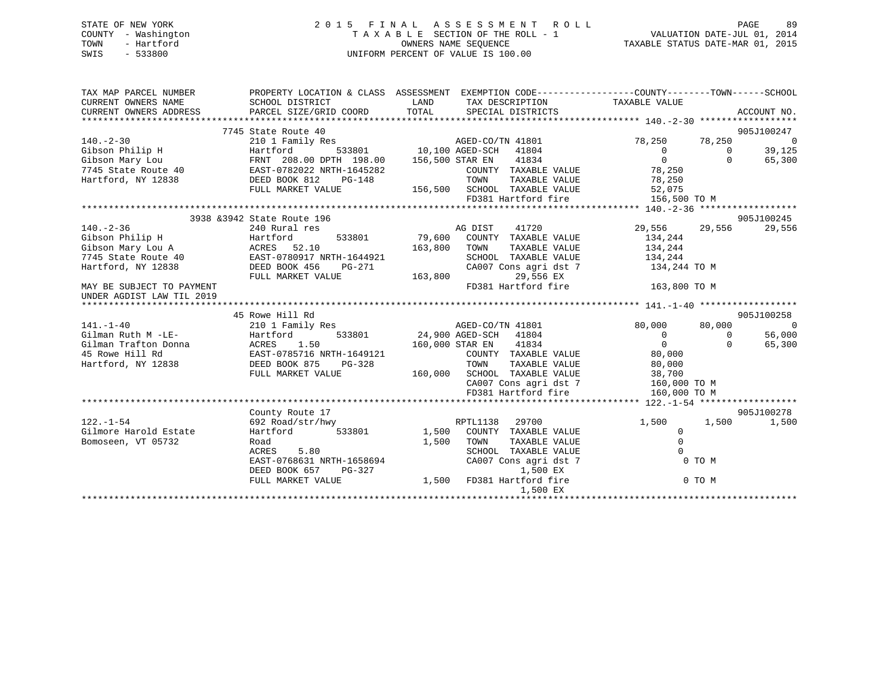# STATE OF NEW YORK 2 0 1 5 F I N A L A S S E S S M E N T R O L L PAGE 89 COUNTY - Washington T A X A B L E SECTION OF THE ROLL - 1 VALUATION DATE-JUL 01, 2014 TOWN - Hartford **TAXABLE STATUS DATE-MAR 01, 2015** OWNERS NAME SEQUENCE TAXABLE STATUS DATE-MAR 01, 2015 SWIS - 533800 UNIFORM PERCENT OF VALUE IS 100.00

| TAX MAP PARCEL NUMBER<br>CURRENT OWNERS NAME<br>CURRENT OWNERS ADDRESS PARCEL SIZE/GRID COORD                                                                                                                                        | PROPERTY LOCATION & CLASS ASSESSMENT EXEMPTION CODE---------------COUNTY-------TOWN-----SCHOOL<br>SCHOOL DISTRICT | LAND<br>TOTAL | TAX DESCRIPTION TAXABLE VALUE<br>SPECIAL DISTRICTS                        |                               |                | ACCOUNT NO.              |
|--------------------------------------------------------------------------------------------------------------------------------------------------------------------------------------------------------------------------------------|-------------------------------------------------------------------------------------------------------------------|---------------|---------------------------------------------------------------------------|-------------------------------|----------------|--------------------------|
|                                                                                                                                                                                                                                      |                                                                                                                   |               |                                                                           |                               |                |                          |
|                                                                                                                                                                                                                                      | 7745 State Route 40                                                                                               |               |                                                                           |                               |                | 905J100247               |
| $140. - 2 - 30$                                                                                                                                                                                                                      | 210 1 Family Res                                                                                                  |               | 3<br>533801 10,100 AGED-SCH 41804<br>.<br>$\label{eq:1} \text{UL}$ .      | 78,250                        | 78,250         | $\overline{\phantom{0}}$ |
|                                                                                                                                                                                                                                      |                                                                                                                   |               |                                                                           | $\overline{0}$<br>$\Omega$    | $\Omega$       | 39,125                   |
|                                                                                                                                                                                                                                      |                                                                                                                   |               |                                                                           |                               | $\Omega$       | 65,300                   |
| Gibson Philip H (Gibson Mary Lou FRNT 208.00 DPTH 198.00 10,100 AGED-SCH 41804<br>Gibson Mary Lou FRNT 208.00 DPTH 198.00 156,500 STAR EN 41834<br>7745 State Route 40 EAST-0782022 NRTH-1645282 (COUNTY TAXABLE<br>Hartford, NY 128 |                                                                                                                   |               | COUNTY TAXABLE VALUE 78,250                                               | , J , 250<br>78 , 250<br>52 . |                |                          |
|                                                                                                                                                                                                                                      |                                                                                                                   |               | TAXABLE VALUE                                                             |                               |                |                          |
|                                                                                                                                                                                                                                      | FULL MARKET VALUE                                                                                                 |               | 156,500 SCHOOL TAXABLE VALUE<br>FD381 Hartford fire                       | 156,500 TO M                  |                |                          |
|                                                                                                                                                                                                                                      |                                                                                                                   |               |                                                                           |                               |                |                          |
|                                                                                                                                                                                                                                      | 3938 & 3942 State Route 196                                                                                       |               |                                                                           |                               |                | 905J100245               |
| $140. -2 - 36$                                                                                                                                                                                                                       | 240 Rural res                                                                                                     |               | AG DIST 41720                                                             | 29,556                        | 29,556         | 29,556                   |
| Gibson Philip H                                                                                                                                                                                                                      | Hartford                                                                                                          |               | 533801 79,600 COUNTY TAXABLE VALUE                                        | 134,244                       |                |                          |
|                                                                                                                                                                                                                                      |                                                                                                                   | 163,800       | TOWN<br>TAXABLE VALUE                                                     | 134,244                       |                |                          |
|                                                                                                                                                                                                                                      |                                                                                                                   |               | SCHOOL TAXABLE VALUE                                                      |                               |                |                          |
| Gibson Mary Lou A<br>7745 State Route 40<br>Hartford, NY 12838<br>Hartford, NY 12838<br>DEED BOOK 456 PG-271                                                                                                                         |                                                                                                                   |               | SCHOOL TAXABLE VALUE<br>CA007 Cons agri dst 7                             | 134,244<br>134,244 TO M       |                |                          |
|                                                                                                                                                                                                                                      | FULL MARKET VALUE                                                                                                 | 163,800       | 29,556 EX                                                                 |                               |                |                          |
| MAY BE SUBJECT TO PAYMENT                                                                                                                                                                                                            |                                                                                                                   |               | FD381 Hartford fire                                                       | 163,800 TO M                  |                |                          |
| UNDER AGDIST LAW TIL 2019                                                                                                                                                                                                            |                                                                                                                   |               |                                                                           |                               |                |                          |
|                                                                                                                                                                                                                                      |                                                                                                                   |               |                                                                           |                               |                |                          |
|                                                                                                                                                                                                                                      | 45 Rowe Hill Rd                                                                                                   |               |                                                                           |                               |                | 905J100258               |
| $141. - 1 - 40$                                                                                                                                                                                                                      | 210 1 Family Res                                                                                                  |               | AGED-CO/TN 41801                                                          | 80,000                        | 80,000         | - 0                      |
| Gilman Ruth M -LE-                                                                                                                                                                                                                   |                                                                                                                   |               | 533801 24,900 AGED-SCH 41804                                              | $\overline{0}$                | $\overline{0}$ | 56,000                   |
| Gilman Trafton Donna                                                                                                                                                                                                                 | Hartford 533801<br>ACRES 1.50<br>EAST-0785716 NRTH-1649121                                                        |               | 160,000 STAR EN 41834                                                     | $\overline{0}$                | $\Omega$       | 65,300                   |
| 45 Rowe Hill Rd                                                                                                                                                                                                                      |                                                                                                                   |               | COUNTY TAXABLE VALUE 80,000                                               |                               |                |                          |
| Hartford, NY 12838                                                                                                                                                                                                                   | DEED BOOK 875<br>PG-328                                                                                           |               | TOWN                                                                      | TAXABLE VALUE 80,000          |                |                          |
|                                                                                                                                                                                                                                      | FULL MARKET VALUE                                                                                                 |               | 160,000 SCHOOL TAXABLE VALUE 38,700<br>CA007 Cons agri dst 7 160,000 TO M |                               |                |                          |
|                                                                                                                                                                                                                                      |                                                                                                                   |               |                                                                           |                               |                |                          |
|                                                                                                                                                                                                                                      |                                                                                                                   |               | FD381 Hartford fire                                                       | 160,000 TO M                  |                |                          |
|                                                                                                                                                                                                                                      |                                                                                                                   |               |                                                                           |                               |                |                          |
|                                                                                                                                                                                                                                      | County Route 17                                                                                                   |               |                                                                           |                               |                | 905J100278               |
| $122. - 1 - 54$                                                                                                                                                                                                                      | 692 Road/str/hwy                                                                                                  |               | RPTL1138 29700                                                            | 1,500                         | 1,500          | 1,500                    |
| Gilmore Harold Estate                                                                                                                                                                                                                | Hartford                                                                                                          | 533801 1,500  | COUNTY TAXABLE VALUE                                                      | $\Omega$                      |                |                          |
| Bomoseen, VT 05732                                                                                                                                                                                                                   | Road                                                                                                              | 1,500         | TOWN<br>TAXABLE VALUE                                                     | $\mathbf 0$                   |                |                          |
|                                                                                                                                                                                                                                      | ACRES 5.80                                                                                                        |               | SCHOOL TAXABLE VALUE                                                      | $\Omega$                      |                |                          |
|                                                                                                                                                                                                                                      | EAST-0768631 NRTH-1658694                                                                                         |               | CA007 Cons agri dst 7                                                     |                               | 0 TO M         |                          |
|                                                                                                                                                                                                                                      | DEED BOOK 657<br>PG-327                                                                                           |               | 1,500 EX                                                                  |                               |                |                          |
|                                                                                                                                                                                                                                      | FULL MARKET VALUE                                                                                                 |               | 1,500 FD381 Hartford fire<br>1,500 EX                                     |                               | 0 TO M         |                          |
|                                                                                                                                                                                                                                      |                                                                                                                   |               |                                                                           |                               |                |                          |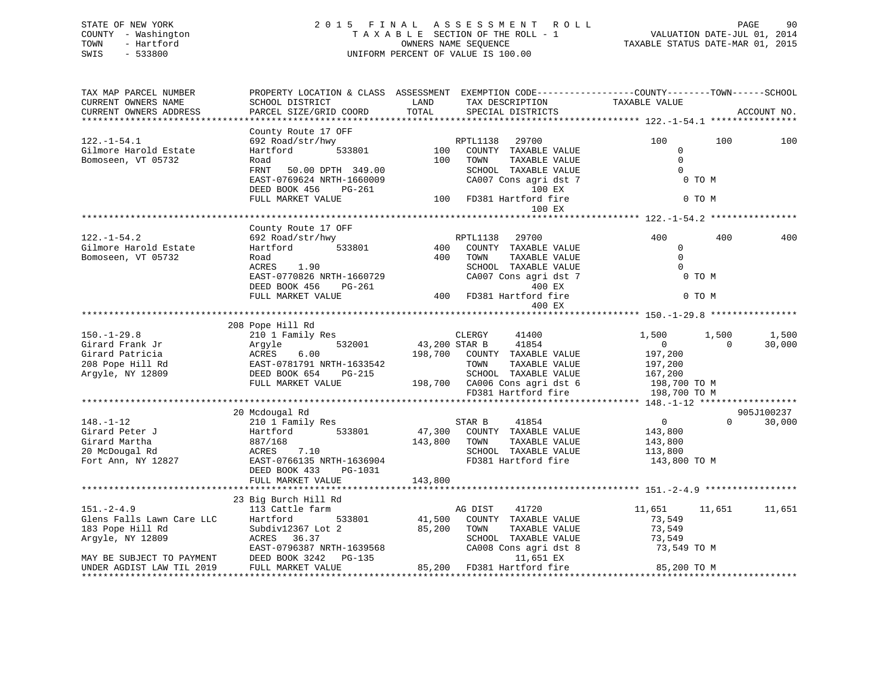# STATE OF NEW YORK 2 0 1 5 F I N A L A S S E S S M E N T R O L L PAGE 90 COUNTY - Washington T A X A B L E SECTION OF THE ROLL - 1 VALUATION DATE-JUL 01, 2014 TOWN - Hartford **TAXABLE STATUS DATE-MAR 01, 2015** OWNERS NAME SEQUENCE TAXABLE STATUS DATE-MAR 01, 2015 SWIS - 533800 UNIFORM PERCENT OF VALUE IS 100.00

| TAX MAP PARCEL NUMBER<br>CURRENT OWNERS NAME | SCHOOL DISTRICT                                                                                                                                                                                                                                 | LAND         | TAX DESCRIPTION                                                                | PROPERTY LOCATION & CLASS ASSESSMENT EXEMPTION CODE----------------COUNTY-------TOWN------SCHOOL<br>TAXABLE VALUE |             |
|----------------------------------------------|-------------------------------------------------------------------------------------------------------------------------------------------------------------------------------------------------------------------------------------------------|--------------|--------------------------------------------------------------------------------|-------------------------------------------------------------------------------------------------------------------|-------------|
| CURRENT OWNERS ADDRESS                       | PARCEL SIZE/GRID COORD                                                                                                                                                                                                                          | TOTAL        | SPECIAL DISTRICTS                                                              |                                                                                                                   | ACCOUNT NO. |
|                                              |                                                                                                                                                                                                                                                 |              |                                                                                |                                                                                                                   |             |
|                                              | County Route 17 OFF                                                                                                                                                                                                                             |              |                                                                                |                                                                                                                   |             |
| $122. - 1 - 54.1$                            |                                                                                                                                                                                                                                                 |              |                                                                                | 100<br>100                                                                                                        | 100         |
| Gilmore Harold Estate                        |                                                                                                                                                                                                                                                 |              |                                                                                | $\mathbf 0$                                                                                                       |             |
| Bomoseen, VT 05732                           | Road                                                                                                                                                                                                                                            | 100          | TOWN<br>TAXABLE VALUE                                                          | $\overline{0}$                                                                                                    |             |
|                                              | 50.00 DPTH 349.00<br>FRNT                                                                                                                                                                                                                       |              | SCHOOL TAXABLE VALUE                                                           | $\overline{0}$                                                                                                    |             |
|                                              | EAST-0769624 NRTH-1660009                                                                                                                                                                                                                       |              | CA007 Cons agri dst 7                                                          | O TO M                                                                                                            |             |
|                                              | DEED BOOK 456 PG-261                                                                                                                                                                                                                            |              | 100 EX<br>100 EX 100 EX<br>100 FD381 Hartford fire                             |                                                                                                                   |             |
|                                              | FULL MARKET VALUE                                                                                                                                                                                                                               |              | 100 EX                                                                         | 0 TO M                                                                                                            |             |
|                                              |                                                                                                                                                                                                                                                 |              |                                                                                |                                                                                                                   |             |
|                                              | County Route 17 OFF                                                                                                                                                                                                                             |              |                                                                                |                                                                                                                   |             |
| $122. - 1 - 54.2$                            | 692 Road/str/hwy                                                                                                                                                                                                                                |              |                                                                                | 400<br>400                                                                                                        | 400         |
| Gilmore Harold Estate                        | Hartford                                                                                                                                                                                                                                        |              |                                                                                | $\mathbf{0}$                                                                                                      |             |
| Bomoseen, VT 05732                           | Road                                                                                                                                                                                                                                            |              | 400 TOWN<br>TAXABLE VALUE                                                      | $\Omega$                                                                                                          |             |
|                                              | ACRES 1.90                                                                                                                                                                                                                                      |              | SCHOOL TAXABLE VALUE                                                           |                                                                                                                   |             |
|                                              |                                                                                                                                                                                                                                                 |              | $CA007$ Cons agri dst $7$                                                      | 0 TO M                                                                                                            |             |
|                                              |                                                                                                                                                                                                                                                 |              |                                                                                |                                                                                                                   |             |
|                                              | EAST-0770826 NRTH-1660729<br>DEED BOOK 456 PG-261 400 FD381 Hartford fire<br>FULL MARKET VALUE 400 FD381 Hartford fire                                                                                                                          |              |                                                                                | 0 TO M                                                                                                            |             |
|                                              |                                                                                                                                                                                                                                                 |              | 400 EX                                                                         |                                                                                                                   |             |
|                                              |                                                                                                                                                                                                                                                 |              |                                                                                |                                                                                                                   |             |
|                                              | 208 Pope Hill Rd                                                                                                                                                                                                                                |              |                                                                                |                                                                                                                   |             |
| $150. - 1 - 29.8$                            | 210 1 Family Res                                                                                                                                                                                                                                |              | CLERGY<br>41400                                                                | 1,500<br>1,500                                                                                                    | 1,500       |
|                                              |                                                                                                                                                                                                                                                 |              | 532001 43,200 STAR B 41854                                                     | $\overline{0}$<br>$\Omega$                                                                                        | 30,000      |
|                                              |                                                                                                                                                                                                                                                 |              | 198,700 COUNTY TAXABLE VALUE                                                   | 197,200                                                                                                           |             |
|                                              |                                                                                                                                                                                                                                                 |              | TOWN                                                                           |                                                                                                                   |             |
|                                              | Contract Contract Circums (Circums 1988)<br>Circums Circums (Circums 1989)<br>208 Pope Hill Rd (CRES 6.00 198)<br>208 Pope Hill Rd (CRES 6.00 198)<br>208 Pope Hill Rd (CRES 6.00 198)<br>DEED BOOK 654 PG-215                                  |              | SCHOOL TAXABLE VALUE                                                           | TAXABLE VALUE<br>$\begin{array}{ccc}\n 191120 \\  - & 191120 \\  - & 167120 \\  - & 167120\n \end{array}$         |             |
|                                              | FULL MARKET VALUE                                                                                                                                                                                                                               |              | 198,700 CA006 Cons agri dst 6 198,700 TO M<br>FD381 Hartford fire 198,700 TO M |                                                                                                                   |             |
|                                              |                                                                                                                                                                                                                                                 |              |                                                                                |                                                                                                                   |             |
|                                              |                                                                                                                                                                                                                                                 |              |                                                                                |                                                                                                                   |             |
|                                              | 20 Mcdougal Rd                                                                                                                                                                                                                                  |              | STAR B 41854                                                                   | $\overline{0}$<br>$\Omega$                                                                                        | 905J100237  |
| $148. - 1 - 12$                              | 210 1 Family Res<br>Hartford 533801 47,300 COUNTY TAXABLE VALUE 143,800                                                                                                                                                                         |              |                                                                                |                                                                                                                   | 30,000      |
| Girard Peter J                               |                                                                                                                                                                                                                                                 | 143,800 TOWN |                                                                                |                                                                                                                   |             |
| Girard Martha<br>20 McDougal Rd              | 887/168<br>7.10                                                                                                                                                                                                                                 |              | TAXABLE VALUE<br>SCHOOL TAXABLE VALUE 113,800                                  | 143,800                                                                                                           |             |
| Fort Ann, NY 12827                           | Hartfo<br>Hartfo<br>887/16<br>ACRES<br>EAST-0<br>EAST-0766135 NRTH-1636904                                                                                                                                                                      |              | FD381 Hartford fire                                                            | 143,800 TO M                                                                                                      |             |
|                                              | DEED BOOK 433<br>PG-1031                                                                                                                                                                                                                        |              |                                                                                |                                                                                                                   |             |
|                                              | FULL MARKET VALUE                                                                                                                                                                                                                               | 143,800      |                                                                                |                                                                                                                   |             |
|                                              |                                                                                                                                                                                                                                                 |              |                                                                                |                                                                                                                   |             |
|                                              | 23 Big Burch Hill Rd                                                                                                                                                                                                                            |              |                                                                                |                                                                                                                   |             |
|                                              |                                                                                                                                                                                                                                                 |              |                                                                                | 11,651 11,651                                                                                                     | 11,651      |
|                                              |                                                                                                                                                                                                                                                 |              | AG DIST 41720<br>41,500 COUNTY TAXABLE VALUE                                   | 73,549                                                                                                            |             |
|                                              | Subdiv12367 Lot 2 85,200                                                                                                                                                                                                                        |              | TOWN<br>TAXABLE VALUE                                                          |                                                                                                                   |             |
|                                              | Contracts and the Martin Clens Falls Lawn Care LLC<br>113 Cattle farm<br>113 Cattle farm<br>123 Pope Hill Rd<br>183 Pope Hill Rd<br>183 Pope Hill Rd<br>183 Pope Hill Rd<br>2 Rockes<br>2 ACRES<br>184 Pope Acres 36.37<br>184 Pope Acres 36.37 |              | SCHOOL TAXABLE VALUE                                                           | 73,549<br>73,549                                                                                                  |             |
|                                              |                                                                                                                                                                                                                                                 |              | CA008 Cons agri dst 8 73,549 TO M                                              |                                                                                                                   |             |
|                                              | Argyle, NY 12809<br>EAST-0796387 NRTH-1639568<br>MAY BE SUBJECT TO PAYMENT DEED BOOK 3242 PG-135<br>UNDER AGDIST LAW TIL 2019 FULL MARKET VALUE 85,200 FD381 Hartford fire                                                                      |              |                                                                                |                                                                                                                   |             |
|                                              |                                                                                                                                                                                                                                                 |              |                                                                                | 85,200 TO M                                                                                                       |             |
|                                              |                                                                                                                                                                                                                                                 |              |                                                                                |                                                                                                                   |             |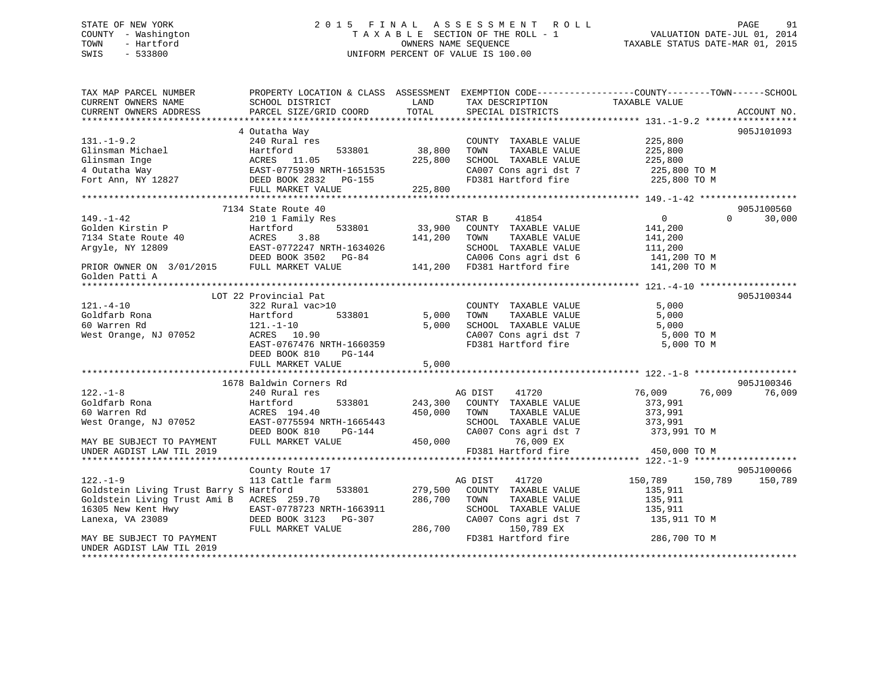# STATE OF NEW YORK 2 0 1 5 F I N A L A S S E S S M E N T R O L L PAGE 91 COUNTY - Washington T A X A B L E SECTION OF THE ROLL - 1 VALUATION DATE-JUL 01, 2014 TOWN - Hartford **TAXABLE STATUS DATE-MAR 01, 2015** OWNERS NAME SEQUENCE TAXABLE STATUS DATE-MAR 01, 2015 SWIS - 533800 UNIFORM PERCENT OF VALUE IS 100.00

| TAX MAP PARCEL NUMBER<br>CURRENT OWNERS NAME                                     | PROPERTY LOCATION & CLASS ASSESSMENT EXEMPTION CODE----------------COUNTY-------TOWN------SCHOOL<br>SCHOOL DISTRICT | LAND    | TAX DESCRIPTION                                      | TAXABLE VALUE                 |             |
|----------------------------------------------------------------------------------|---------------------------------------------------------------------------------------------------------------------|---------|------------------------------------------------------|-------------------------------|-------------|
| CURRENT OWNERS ADDRESS                                                           | PARCEL SIZE/GRID COORD                                                                                              | TOTAL   | SPECIAL DISTRICTS                                    |                               | ACCOUNT NO. |
|                                                                                  | 4 Outatha Way                                                                                                       |         |                                                      |                               | 905J101093  |
| $131. - 1 - 9.2$                                                                 | 240 Rural res                                                                                                       |         | COUNTY TAXABLE VALUE                                 | 225,800                       |             |
|                                                                                  |                                                                                                                     | 38,800  | TOWN<br>TAXABLE VALUE                                | 225,800                       |             |
|                                                                                  |                                                                                                                     | 225,800 | SCHOOL TAXABLE VALUE                                 | 225,800                       |             |
|                                                                                  |                                                                                                                     |         | CA007 Cons agri dst 7                                | 225,800 TO M                  |             |
|                                                                                  |                                                                                                                     |         | FD381 Hartford fire 225,800 TO M                     |                               |             |
|                                                                                  | FULL MARKET VALUE                                                                                                   | 225,800 |                                                      |                               |             |
|                                                                                  |                                                                                                                     |         |                                                      |                               |             |
|                                                                                  | 7134 State Route 40                                                                                                 |         |                                                      |                               | 905J100560  |
| $149. - 1 - 42$                                                                  | 210 1 Family Res                                                                                                    |         | STAR B 41854                                         | $0 \qquad \qquad$<br>$\Omega$ | 30,000      |
| Golden Kirstin P                                                                 | 533801<br>Hartford                                                                                                  |         | 33,900 COUNTY TAXABLE VALUE                          | 141,200                       |             |
| 7134 State Route 40                                                              | 3.88<br>ACRES                                                                                                       | 141,200 | TOWN<br>TAXABLE VALUE                                | 141,200                       |             |
| Argyle, NY 12809                                                                 |                                                                                                                     |         | SCHOOL TAXABLE VALUE                                 | 111,200                       |             |
|                                                                                  | DEED BOOK 3502 PG-84                                                                                                |         | CA006 Cons agri dst 6                                | 141,200 TO M                  |             |
| DEED BOOK 3502 I<br>PRIOR OWNER ON 3/01/2015 FULL MARKET VALUE<br>Golden Patti A |                                                                                                                     |         | CA006 Cons agri dst 6<br>141,200 FD381 Hartford fire | 141,200 TO M                  |             |
|                                                                                  |                                                                                                                     |         |                                                      |                               |             |
|                                                                                  | LOT 22 Provincial Pat                                                                                               |         |                                                      |                               | 905J100344  |
| $121. - 4 - 10$                                                                  | 322 Rural vac>10                                                                                                    |         | COUNTY TAXABLE VALUE                                 | 5,000                         |             |
| Goldfarb Rona                                                                    | 533801<br>Hartford                                                                                                  | 5,000   | TAXABLE VALUE<br>TOWN                                | 5,000                         |             |
| 60 Warren Rd                                                                     | $121.-1-10$                                                                                                         | 5,000   | SCHOOL TAXABLE VALUE<br>CA007 Cons agri dst 7        | 5,000                         |             |
| West Orange, NJ 07052                                                            | ACRES 10.90                                                                                                         |         |                                                      | 5,000 TO M                    |             |
|                                                                                  | EAST-0767476 NRTH-1660359                                                                                           |         | FD381 Hartford fire                                  | 5,000 TO M                    |             |
|                                                                                  | DEED BOOK 810<br>$PG-144$                                                                                           |         |                                                      |                               |             |
|                                                                                  | FULL MARKET VALUE                                                                                                   | 5,000   |                                                      |                               |             |
|                                                                                  |                                                                                                                     |         |                                                      |                               |             |
|                                                                                  | 1678 Baldwin Corners Rd                                                                                             |         |                                                      |                               | 905J100346  |
| $122. - 1 - 8$<br>Goldfarb Rona                                                  | 240 Rural res<br>533801                                                                                             |         | AG DIST 41720<br>243,300 COUNTY TAXABLE VALUE        | 76,009<br>76,009<br>373,991   | 76,009      |
| 60 Warren Rd                                                                     | Hartford<br>ACRES 194.40                                                                                            | 450,000 | TOWN<br>TAXABLE VALUE                                | 373,991                       |             |
| West Orange, NJ 07052                                                            | EAST-0775594 NRTH-1665443                                                                                           |         | SCHOOL TAXABLE VALUE                                 | 373,991                       |             |
|                                                                                  | DEED BOOK 810<br>PG-144                                                                                             |         | CA007 Cons agri dst 7                                | 373,991 TO M                  |             |
| MAY BE SUBJECT TO PAYMENT                                                        | FULL MARKET VALUE                                                                                                   | 450,000 | 76,009 EX                                            |                               |             |
| UNDER AGDIST LAW TIL 2019                                                        |                                                                                                                     |         | FD381 Hartford fire                                  | 450,000 TO M                  |             |
|                                                                                  |                                                                                                                     |         |                                                      |                               |             |
|                                                                                  | County Route 17                                                                                                     |         |                                                      |                               | 905J100066  |
| $122. - 1 - 9$                                                                   | 113 Cattle farm                                                                                                     |         | AG DIST<br>41720                                     | 150,789<br>150,789            | 150,789     |
| Goldstein Living Trust Barry S Hartford                                          | 533801                                                                                                              |         | 279,500 COUNTY TAXABLE VALUE                         | 135,911                       |             |
| Goldstein Living Trust Ami B ACRES 259.70                                        |                                                                                                                     | 286,700 | TOWN<br>TAXABLE VALUE                                | 135,911                       |             |
|                                                                                  |                                                                                                                     |         | SCHOOL TAXABLE VALUE                                 | 135,911                       |             |
| Lanexa, VA 23089                                                                 | DEED BOOK 3123 PG-307                                                                                               |         | CA007 Cons agri dst 7                                | 135,911 TO M                  |             |
|                                                                                  | FULL MARKET VALUE                                                                                                   | 286,700 | 150,789 EX                                           |                               |             |
| MAY BE SUBJECT TO PAYMENT                                                        |                                                                                                                     |         | FD381 Hartford fire                                  | 286,700 TO M                  |             |
| UNDER AGDIST LAW TIL 2019                                                        |                                                                                                                     |         |                                                      |                               |             |
|                                                                                  |                                                                                                                     |         |                                                      |                               |             |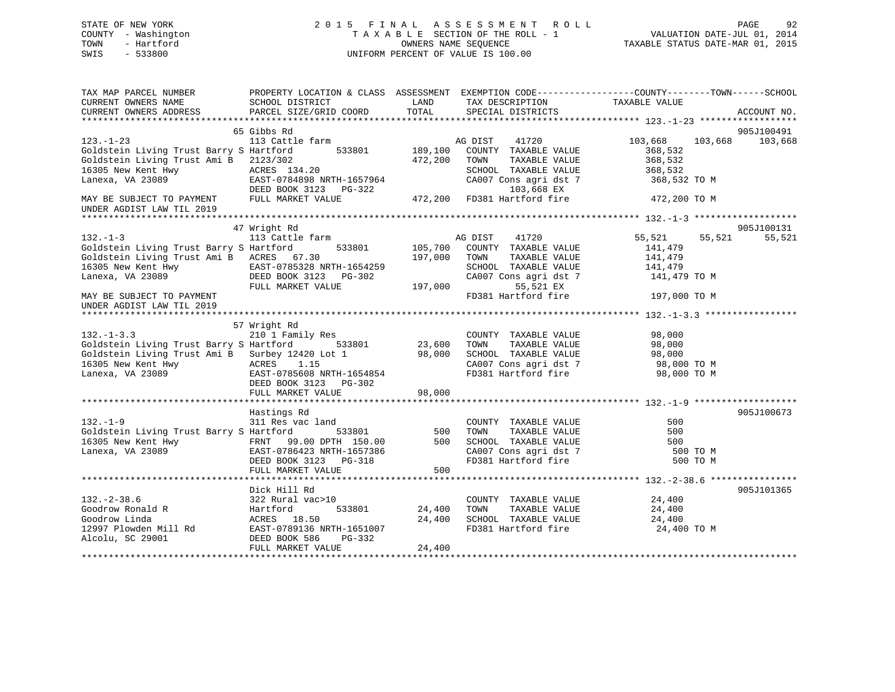|      | STATE OF NEW YORK   | 2015 FINAL ASSESSMENT ROLL         | 92<br>PAGE                       |
|------|---------------------|------------------------------------|----------------------------------|
|      | COUNTY - Washington | TAXABLE SECTION OF THE ROLL - 1    | VALUATION DATE-JUL 01, 2014      |
| TOWN | - Hartford          | OWNERS NAME SEOUENCE               | TAXABLE STATUS DATE-MAR 01, 2015 |
| SWIS | $-533800$           | UNIFORM PERCENT OF VALUE IS 100.00 |                                  |
|      |                     |                                    |                                  |
|      |                     |                                    |                                  |
|      |                     |                                    |                                  |

| TAX MAP PARCEL NUMBER                                                                                                                                                                                                                                                                                                                                                                                                                  | PROPERTY LOCATION & CLASS ASSESSMENT EXEMPTION CODE----------------COUNTY-------TOWN------SCHOOL                                                                                                                                 |         |                                                                                                                                                                                                                                               |                      |        |                 |
|----------------------------------------------------------------------------------------------------------------------------------------------------------------------------------------------------------------------------------------------------------------------------------------------------------------------------------------------------------------------------------------------------------------------------------------|----------------------------------------------------------------------------------------------------------------------------------------------------------------------------------------------------------------------------------|---------|-----------------------------------------------------------------------------------------------------------------------------------------------------------------------------------------------------------------------------------------------|----------------------|--------|-----------------|
| CURRENT OWNERS NAME                                                                                                                                                                                                                                                                                                                                                                                                                    | SCHOOL DISTRICT                                                                                                                                                                                                                  | LAND    | TAX DESCRIPTION                                                                                                                                                                                                                               | TAXABLE VALUE        |        |                 |
| CURRENT OWNERS ADDRESS PARCEL SIZE/GRID COORD TOTAL                                                                                                                                                                                                                                                                                                                                                                                    |                                                                                                                                                                                                                                  |         | SPECIAL DISTRICTS                                                                                                                                                                                                                             |                      |        | ACCOUNT NO.     |
|                                                                                                                                                                                                                                                                                                                                                                                                                                        |                                                                                                                                                                                                                                  |         |                                                                                                                                                                                                                                               |                      |        |                 |
|                                                                                                                                                                                                                                                                                                                                                                                                                                        | 65 Gibbs Rd                                                                                                                                                                                                                      |         |                                                                                                                                                                                                                                               |                      |        | 905J100491      |
|                                                                                                                                                                                                                                                                                                                                                                                                                                        |                                                                                                                                                                                                                                  |         |                                                                                                                                                                                                                                               |                      |        | 103,668 103,668 |
| 123.-1-23 103,668<br>Goldstein Living Trust Barry S Hartford 533801 189,100 COUNTY TAXABLE VALUE 368,532                                                                                                                                                                                                                                                                                                                               |                                                                                                                                                                                                                                  |         |                                                                                                                                                                                                                                               |                      |        |                 |
|                                                                                                                                                                                                                                                                                                                                                                                                                                        |                                                                                                                                                                                                                                  |         |                                                                                                                                                                                                                                               |                      |        |                 |
|                                                                                                                                                                                                                                                                                                                                                                                                                                        |                                                                                                                                                                                                                                  |         |                                                                                                                                                                                                                                               |                      |        |                 |
| Goldstein Living Trust Barry Seather (1937)<br>Goldstein Living Trust Ami B 2123/302<br>16305 New Kent Hwy ACRES 134.20<br>16305 New Kent Hwy ACRES 134.20<br>2007 Cons agri dst 7 368,532<br>2007 Cons agri dst 7 368,532<br>2007 Cons ag                                                                                                                                                                                             |                                                                                                                                                                                                                                  |         |                                                                                                                                                                                                                                               |                      |        |                 |
|                                                                                                                                                                                                                                                                                                                                                                                                                                        |                                                                                                                                                                                                                                  |         |                                                                                                                                                                                                                                               |                      |        |                 |
|                                                                                                                                                                                                                                                                                                                                                                                                                                        |                                                                                                                                                                                                                                  |         |                                                                                                                                                                                                                                               |                      |        |                 |
|                                                                                                                                                                                                                                                                                                                                                                                                                                        |                                                                                                                                                                                                                                  |         |                                                                                                                                                                                                                                               |                      |        |                 |
|                                                                                                                                                                                                                                                                                                                                                                                                                                        |                                                                                                                                                                                                                                  |         |                                                                                                                                                                                                                                               |                      |        |                 |
|                                                                                                                                                                                                                                                                                                                                                                                                                                        |                                                                                                                                                                                                                                  |         |                                                                                                                                                                                                                                               |                      |        |                 |
|                                                                                                                                                                                                                                                                                                                                                                                                                                        | 47 Wright Rd                                                                                                                                                                                                                     |         |                                                                                                                                                                                                                                               |                      |        | 905J100131      |
| $132. - 1 - 3$                                                                                                                                                                                                                                                                                                                                                                                                                         | 113 Cattle farm                                                                                                                                                                                                                  |         | AG DIST<br>41720                                                                                                                                                                                                                              | 55,521               | 55,521 | 55,521          |
| Goldstein Living Trust Barry S Hartford                                                                                                                                                                                                                                                                                                                                                                                                |                                                                                                                                                                                                                                  |         | 533801 105,700 COUNTY TAXABLE VALUE                                                                                                                                                                                                           | 141,479              |        |                 |
| Goldstein Living Trust Ami B ACRES 67.30                                                                                                                                                                                                                                                                                                                                                                                               |                                                                                                                                                                                                                                  | 197,000 | TOWN<br>TAXABLE VALUE                                                                                                                                                                                                                         | 141,479              |        |                 |
|                                                                                                                                                                                                                                                                                                                                                                                                                                        |                                                                                                                                                                                                                                  |         |                                                                                                                                                                                                                                               |                      |        |                 |
| 16305 New Kent Hwy<br>Lanexa, VA 23089 DEED BOOK 3123 PG-302 CAO<br>FULL MARKET VALUE 197,000                                                                                                                                                                                                                                                                                                                                          |                                                                                                                                                                                                                                  |         | $\begin{tabular}{lllllllll} \texttt{SCHOOL} & \texttt{TAXABLE} & \texttt{VALUE} & & \texttt{141,479} \\ \texttt{CA007} & \texttt{Cons}\ \texttt{agri}\ \texttt{dst}\ \texttt{7} & & \texttt{141,479} \ \texttt{TO}\ \texttt{M} \end{tabular}$ |                      |        |                 |
|                                                                                                                                                                                                                                                                                                                                                                                                                                        |                                                                                                                                                                                                                                  |         | 55,521 EX                                                                                                                                                                                                                                     |                      |        |                 |
| MAY BE SUBJECT TO PAYMENT                                                                                                                                                                                                                                                                                                                                                                                                              |                                                                                                                                                                                                                                  |         | FD381 Hartford fire                                                                                                                                                                                                                           | 197,000 TO M         |        |                 |
|                                                                                                                                                                                                                                                                                                                                                                                                                                        |                                                                                                                                                                                                                                  |         |                                                                                                                                                                                                                                               |                      |        |                 |
| UNDER AGDIST LAW TIL 2019                                                                                                                                                                                                                                                                                                                                                                                                              |                                                                                                                                                                                                                                  |         |                                                                                                                                                                                                                                               |                      |        |                 |
|                                                                                                                                                                                                                                                                                                                                                                                                                                        |                                                                                                                                                                                                                                  |         |                                                                                                                                                                                                                                               |                      |        |                 |
|                                                                                                                                                                                                                                                                                                                                                                                                                                        | 57 Wright Rd                                                                                                                                                                                                                     |         |                                                                                                                                                                                                                                               |                      |        |                 |
| $132. -1 - 3.3$                                                                                                                                                                                                                                                                                                                                                                                                                        | 210 <sup>1</sup> Family Res                                                                                                                                                                                                      |         | COUNTY TAXABLE VALUE                                                                                                                                                                                                                          | 98,000               |        |                 |
| Goldstein Living Trust Barry S Hartford 533801 23,600                                                                                                                                                                                                                                                                                                                                                                                  |                                                                                                                                                                                                                                  |         | TOWN                                                                                                                                                                                                                                          | TAXABLE VALUE 98,000 |        |                 |
| Goldstein Living Trust Ami B Surbey 12420 Lot 1 98,000<br>16305 New Kent Hwy ACRES 1.15                                                                                                                                                                                                                                                                                                                                                |                                                                                                                                                                                                                                  |         |                                                                                                                                                                                                                                               |                      |        |                 |
|                                                                                                                                                                                                                                                                                                                                                                                                                                        |                                                                                                                                                                                                                                  |         |                                                                                                                                                                                                                                               |                      |        |                 |
| 16305 New Kent Hwy $\overline{ACRES}$ 1.15<br>Lanexa, VA 23089 EAST-0785608 NRTH-1654854<br>DEED BOOK 3123 PG-302                                                                                                                                                                                                                                                                                                                      |                                                                                                                                                                                                                                  |         | SCHOOL TAXABLE VALUE 98,000<br>CA007 Cons agri dst 7 98,000 TO M<br>FD381 Hartford fire 98,000 TO M                                                                                                                                           |                      |        |                 |
|                                                                                                                                                                                                                                                                                                                                                                                                                                        | DEED BOOK 3123 PG-302                                                                                                                                                                                                            |         |                                                                                                                                                                                                                                               |                      |        |                 |
|                                                                                                                                                                                                                                                                                                                                                                                                                                        | FULL MARKET VALUE                                                                                                                                                                                                                | 98,000  |                                                                                                                                                                                                                                               |                      |        |                 |
|                                                                                                                                                                                                                                                                                                                                                                                                                                        |                                                                                                                                                                                                                                  |         |                                                                                                                                                                                                                                               |                      |        |                 |
|                                                                                                                                                                                                                                                                                                                                                                                                                                        | Hastings Rd                                                                                                                                                                                                                      |         |                                                                                                                                                                                                                                               |                      |        | 905J100673      |
| $132. -1 - 9$                                                                                                                                                                                                                                                                                                                                                                                                                          | and the state of the state of the state of the state of the state of the state of the state of the state of th<br>and the state of the state of the state of the state of the state of the state of the state of the state of th |         | COUNTY TAXABLE VALUE                                                                                                                                                                                                                          | 500                  |        |                 |
|                                                                                                                                                                                                                                                                                                                                                                                                                                        |                                                                                                                                                                                                                                  |         |                                                                                                                                                                                                                                               |                      |        |                 |
|                                                                                                                                                                                                                                                                                                                                                                                                                                        |                                                                                                                                                                                                                                  |         |                                                                                                                                                                                                                                               |                      |        |                 |
|                                                                                                                                                                                                                                                                                                                                                                                                                                        |                                                                                                                                                                                                                                  |         |                                                                                                                                                                                                                                               |                      |        |                 |
| 311 Res vac 1and Coldstein Living Trust Barry S Hartford 533801 500 TOWN TAXABLE VALUE 500<br>16305 New Kent Hwy FRNT 99.00 DPTH 150.00 500 SCHOOL TAXABLE VALUE 500 500<br>16305 New Kent Hwy FRNT 99.00 DPTH 150.00 500 SCHOOL TAX                                                                                                                                                                                                   |                                                                                                                                                                                                                                  |         |                                                                                                                                                                                                                                               |                      |        |                 |
|                                                                                                                                                                                                                                                                                                                                                                                                                                        |                                                                                                                                                                                                                                  |         |                                                                                                                                                                                                                                               |                      |        |                 |
|                                                                                                                                                                                                                                                                                                                                                                                                                                        |                                                                                                                                                                                                                                  |         |                                                                                                                                                                                                                                               |                      |        |                 |
|                                                                                                                                                                                                                                                                                                                                                                                                                                        |                                                                                                                                                                                                                                  |         |                                                                                                                                                                                                                                               |                      |        |                 |
|                                                                                                                                                                                                                                                                                                                                                                                                                                        | Dick Hill Rd                                                                                                                                                                                                                     |         |                                                                                                                                                                                                                                               |                      |        | 905J101365      |
|                                                                                                                                                                                                                                                                                                                                                                                                                                        |                                                                                                                                                                                                                                  |         | $\begin{tabular}{lllllllll} \multicolumn{2}{c}{\textbf{COUNTY}} & \textbf{TXABLE VALUE} & & & 24,400 \\ \multicolumn{2}{c}{\textbf{TONN}} & \textbf{TXABLE VALUE} & & 24,400 \\ \end{tabular}$                                                |                      |        |                 |
|                                                                                                                                                                                                                                                                                                                                                                                                                                        |                                                                                                                                                                                                                                  |         |                                                                                                                                                                                                                                               |                      |        |                 |
|                                                                                                                                                                                                                                                                                                                                                                                                                                        |                                                                                                                                                                                                                                  |         |                                                                                                                                                                                                                                               |                      |        |                 |
|                                                                                                                                                                                                                                                                                                                                                                                                                                        |                                                                                                                                                                                                                                  |         |                                                                                                                                                                                                                                               | 24,400 TO M          |        |                 |
|                                                                                                                                                                                                                                                                                                                                                                                                                                        |                                                                                                                                                                                                                                  |         |                                                                                                                                                                                                                                               |                      |        |                 |
| $\begin{array}{cccccc} \text{132. -2-38.6} & \text{322 Rural vac}>10 & \text{COUNTY TAXABLE VALUE} & \text{24,400} \\ \text{Goodrow Ronald R} & \text{Hartford} & \text{533801} & \text{24,400 TOWN TAXABLE VALUE} & \text{24,400} \\ \text{Goodrow Linda} & \text{ACRES} & 18.50 & \text{24,400} & \text{SCHOOL TAXABLE VALUE} & \text{24,400} \\ \text{12997 Plowden Mill Rd} & \text{EAST-0789136 NRTH-1651007} & \text{FD381 Hart$ |                                                                                                                                                                                                                                  |         |                                                                                                                                                                                                                                               |                      |        |                 |
|                                                                                                                                                                                                                                                                                                                                                                                                                                        |                                                                                                                                                                                                                                  |         |                                                                                                                                                                                                                                               |                      |        |                 |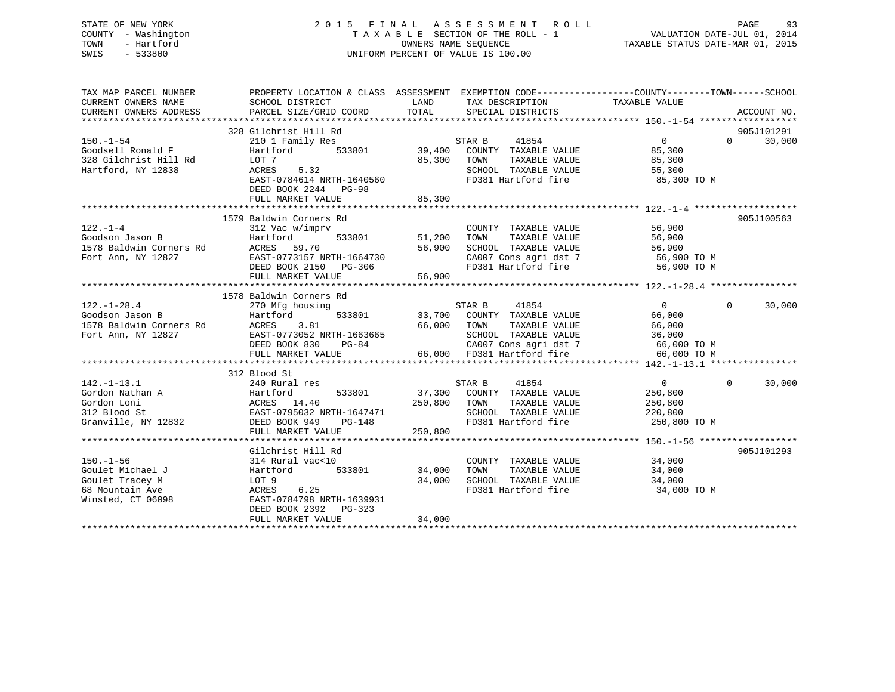# STATE OF NEW YORK 2 0 1 5 F I N A L A S S E S S M E N T R O L L PAGE 93 COUNTY - Washington T A X A B L E SECTION OF THE ROLL - 1 VALUATION DATE-JUL 01, 2014 TOWN - Hartford **TAXABLE STATUS DATE-MAR 01, 2015** OWNERS NAME SEQUENCE TAXABLE STATUS DATE-MAR 01, 2015 SWIS - 533800 UNIFORM PERCENT OF VALUE IS 100.00

| TAX MAP PARCEL NUMBER<br>CURRENT OWNERS NAME<br>CURRENT OWNERS ADDRESS                                | SCHOOL DISTRICT<br>PARCEL SIZE/GRID COORD                                                                                                                                                                                                                                                                                                                                                                                                                                                                                      | LAND<br>TOTAL SPECIAL DISTRICTS                                                                                                                                                                                                                                                                 | PROPERTY LOCATION & CLASS ASSESSMENT EXEMPTION CODE----------------COUNTY-------TOWN------SCHOOL<br>ACCOUNT NO. |
|-------------------------------------------------------------------------------------------------------|--------------------------------------------------------------------------------------------------------------------------------------------------------------------------------------------------------------------------------------------------------------------------------------------------------------------------------------------------------------------------------------------------------------------------------------------------------------------------------------------------------------------------------|-------------------------------------------------------------------------------------------------------------------------------------------------------------------------------------------------------------------------------------------------------------------------------------------------|-----------------------------------------------------------------------------------------------------------------|
| $150. - 1 - 54$<br>Hartford, NY 12838                                                                 | 328 Gilchrist Hill Rd<br>210 1 Family Res<br>5.32<br>ACRES                                                                                                                                                                                                                                                                                                                                                                                                                                                                     | STAR B<br>41854<br>533801 39,400 COUNTY TAXABLE VALUE 85,300<br>85,300 TOWN TAXABLE VALUE 85,300                                                                                                                                                                                                | 905J101291<br>$\overline{0}$<br>$\Omega$<br>30,000<br>85,300                                                    |
|                                                                                                       | EAST-0784614 NRTH-1640560<br>DEED BOOK 2244 PG-98                                                                                                                                                                                                                                                                                                                                                                                                                                                                              | FD381 Hartford fire                                                                                                                                                                                                                                                                             | SCHOOL TAXABLE VALUE 55,300<br>85,300 TO M                                                                      |
|                                                                                                       |                                                                                                                                                                                                                                                                                                                                                                                                                                                                                                                                |                                                                                                                                                                                                                                                                                                 |                                                                                                                 |
|                                                                                                       | 1579 Baldwin Corners Rd<br>$\begin{tabular}{lllllllllllllllllllll} \multicolumn{4}{l}{} & & & & & & 312\;\mathrm{Vac}\;\mathrm{w/1up1v} \\ \text{Goodson Jason B} & & & & \text{Hartford} & & & 533801 \\ \text{1578 Baldwin \,Corners \,Rd} & & & & \text{ACRES} & 59.70 \\ \text{Fort Ann, NY 12827} & & & & \text{EAST-0773157 \, NRTH-1664730} \\ & & & & \text{DEED BOOK 2150} & \text{PG-306} \\ & & & & & \text{CPE} & & \text{CPE} & \text$<br>EAST-0773157 NRTH-1664730<br>DEED BOOK 2150 PG-306<br>FULL MARKET VALUE | COUNTY<br>533801 51,200 TOWN<br>56,900<br>56,900                                                                                                                                                                                                                                                | 905J100563<br>COUNTY TAXABLE VALUE 56,900<br>TOWN TAXABLE VALUE 56,900                                          |
|                                                                                                       |                                                                                                                                                                                                                                                                                                                                                                                                                                                                                                                                |                                                                                                                                                                                                                                                                                                 |                                                                                                                 |
| $122.-1-28.4$ Goodson Jason B $$\tt Hartford$$<br>1578 Baldwin Corners Rd ACRES<br>Fort Ann, NY 12827 | 1578 Baldwin Corners Rd<br>270 Mfg housing                                                                                                                                                                                                                                                                                                                                                                                                                                                                                     | STAR B 41854<br>533801 33,700 COUNTY TAXABLE VALUE<br>ACRES 3.81 66,000 TOWN TAXABLE VALUE<br>EAST-0773052 NRTH-1663665 SCHOOL TAXABLE VALUE 36,000<br>DEED BOOK 830 PG-84 CA007 Cons agri dst 7 66,000 TO M<br>FULL MARKET VALUE 66,000 FD381 Hartford fire<br>$109 - 0.000$ TO M<br>FULL MARK | $\overline{0}$<br>$\Omega$<br>30,000<br>66,000                                                                  |
|                                                                                                       | 312 Blood St                                                                                                                                                                                                                                                                                                                                                                                                                                                                                                                   |                                                                                                                                                                                                                                                                                                 |                                                                                                                 |
|                                                                                                       | 142.-1-13.1<br>Gordon Nathan A<br>Gordon Loni (1993)<br>240 Rural res<br>Hartford 533801 37,300<br>37,300<br>37,300<br>37,300<br>250,800<br>312 Blood St<br>Granville, NY 12832<br>DEED BOOK 949<br>PG-148<br>FULL MARKET VALUE                                                                                                                                                                                                                                                                                                | 250,800 TOWN<br>SCHOOL TAXABLE VALUE<br>FD381 Hartford fire<br>250,800                                                                                                                                                                                                                          | 30,000<br>$\overline{0}$<br>$\Omega$<br>250,800<br>TAXABLE VALUE<br>250,800<br>220,800<br>250,800 TO M          |
|                                                                                                       | Gilchrist Hill Rd                                                                                                                                                                                                                                                                                                                                                                                                                                                                                                              |                                                                                                                                                                                                                                                                                                 | 905J101293                                                                                                      |
| $150. - 1 - 56$<br>Goulet Michael J<br>Goulet Tracey M<br>68 Mountain Ave<br>Winsted, CT 06098        | 314 Rural vac<10<br>Hartford<br>LOT 9<br>ACRES 0.25<br>EAST-0784798 NRTH-1639931<br>DEED BOOK 2392 PG-323<br>FULL MARKET VALUE                                                                                                                                                                                                                                                                                                                                                                                                 | COUNTY TAXABLE VALUE<br>533801 34,000 TOWN<br>TAXABLE VALUE<br>34,000<br>FD381 Hartford fire<br>34,000                                                                                                                                                                                          | 34,000<br>34,000<br>SCHOOL TAXABLE VALUE 34,000<br>34,000 TO M                                                  |
|                                                                                                       |                                                                                                                                                                                                                                                                                                                                                                                                                                                                                                                                |                                                                                                                                                                                                                                                                                                 |                                                                                                                 |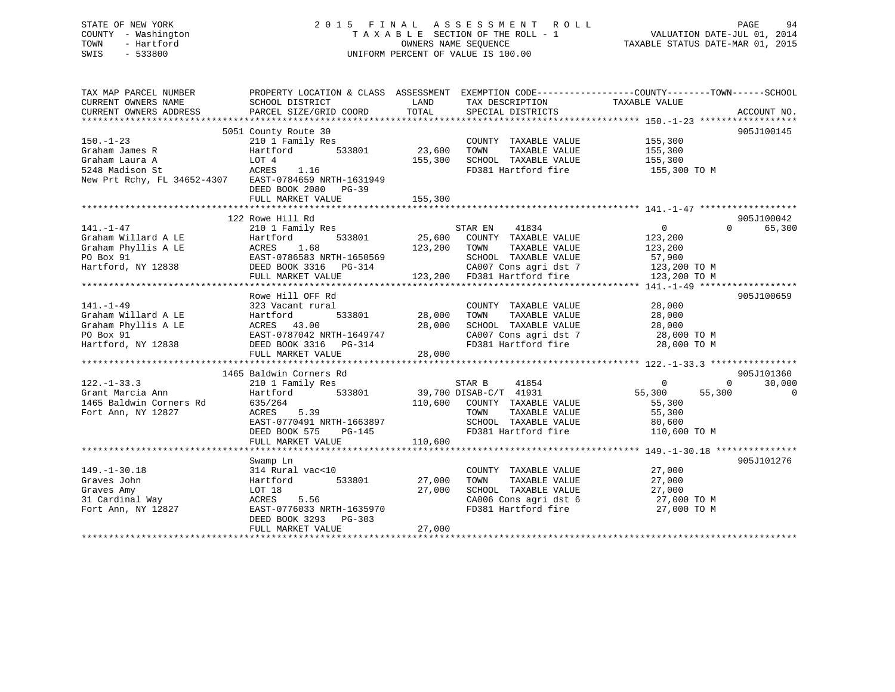| STATE OF NEW YORK<br>- Washington<br>COUNTY<br>- Hartford<br>TOWN<br>$-533800$<br>SWIS |                                                                        |                             | 2015 FINAL ASSESSMENT ROLL<br>TAXABLE SECTION OF THE ROLL - 1<br>OWNERS NAME SEQUENCE<br>UNIFORM PERCENT OF VALUE IS 100.00 | TAXABLE STATUS DATE-MAR 01, 2015                                              | PAGE<br>VALUATION DATE-JUL 01, 2014 | 94          |
|----------------------------------------------------------------------------------------|------------------------------------------------------------------------|-----------------------------|-----------------------------------------------------------------------------------------------------------------------------|-------------------------------------------------------------------------------|-------------------------------------|-------------|
| TAX MAP PARCEL NUMBER<br>CURRENT OWNERS NAME<br>CURRENT OWNERS ADDRESS                 | PROPERTY LOCATION & CLASS<br>SCHOOL DISTRICT<br>PARCEL SIZE/GRID COORD | ASSESSMENT<br>LAND<br>TOTAL | TAX DESCRIPTION<br>SPECIAL DISTRICTS                                                                                        | EXEMPTION CODE-----------------COUNTY-------TOWN------SCHOOL<br>TAXABLE VALUE |                                     | ACCOUNT NO. |

150.-1-23 210 1 Family Res COUNTY TAXABLE VALUE 155,300 Graham James R Hartford 533801 23,600 TOWN TAXABLE VALUE 155,300 Graham Laura A LOT 4 155,300 SCHOOL TAXABLE VALUE 155,300 5248 Madison St ACRES 1.16 FD381 Hartford fire 155,300 TO M

New Prt Rchy, FL 34652-4307 EAST-0784659 NRTH-1631949

5051 County Route 30 905J100145

|                                                   |                                              | DEED BOOK 2080 PG-39                                                             |                                                                                                                                                                                            |
|---------------------------------------------------|----------------------------------------------|----------------------------------------------------------------------------------|--------------------------------------------------------------------------------------------------------------------------------------------------------------------------------------------|
|                                                   |                                              |                                                                                  |                                                                                                                                                                                            |
|                                                   |                                              |                                                                                  |                                                                                                                                                                                            |
| 905J100042                                        |                                              | 122 Rowe Hill Rd                                                                 |                                                                                                                                                                                            |
| 65,300<br>$\overline{0}$<br>$\Omega$ and $\Omega$ | STAR EN 41834                                | 210 1 Family Res                                                                 | $141. - 1 - 47$                                                                                                                                                                            |
| 123,200                                           | 533801 25,600 COUNTY TAXABLE VALUE           | Hartford                                                                         | Graham Willard A LE                                                                                                                                                                        |
| 123,200                                           | TAXABLE VALUE<br>TOWN                        | ACRES 1.68 123,200<br>EAST-0786583 NRTH-1650569 123,200<br>DEED BOOK 3316 PG-314 | Graham Phyllis A LE                                                                                                                                                                        |
| 57,900                                            | SCHOOL TAXABLE VALUE                         |                                                                                  | PO Box 91                                                                                                                                                                                  |
| 123,200 TO M                                      | CA007 Cons agri dst 7                        |                                                                                  | Hartford, NY 12838                                                                                                                                                                         |
| 123,200 TO M                                      | 123,200 FD381 Hartford fire                  | FULL MARKET VALUE                                                                |                                                                                                                                                                                            |
|                                                   |                                              |                                                                                  |                                                                                                                                                                                            |
| 905J100659                                        |                                              | Rowe Hill OFF Rd                                                                 |                                                                                                                                                                                            |
| 28,000                                            | COUNTY TAXABLE VALUE                         | 323 Vacant rural                                                                 | $141. - 1 - 49$                                                                                                                                                                            |
| 28,000                                            | TOWN<br>TAXABLE VALUE                        | 533801 28,000<br>Hartford                                                        | Graham Willard A LE                                                                                                                                                                        |
| 28,000                                            | SCHOOL TAXABLE VALUE                         | 28,000<br>ACRES 43.00                                                            | Graham Phyllis A LE                                                                                                                                                                        |
|                                                   | CA007 Cons agri dst 7 28,000 TO M            | EAST-0787042 NRTH-1649747                                                        | PO Box 91                                                                                                                                                                                  |
|                                                   | FD381 Hartford fire 28,000 TO M              |                                                                                  | Hartford, NY 12838                                                                                                                                                                         |
|                                                   |                                              | FULL MARKET VALUE<br>28,000                                                      |                                                                                                                                                                                            |
|                                                   |                                              |                                                                                  |                                                                                                                                                                                            |
|                                                   |                                              |                                                                                  |                                                                                                                                                                                            |
| 905J101360                                        |                                              | 1465 Baldwin Corners Rd                                                          |                                                                                                                                                                                            |
| $\mathbf{0}$<br>30,000<br>$\Omega$                | STAR B 41854                                 | 210 1 Family Res                                                                 |                                                                                                                                                                                            |
| 55,300<br>55,300                                  |                                              | Hartford 533801 39,700 DISAB-C/T 41931                                           |                                                                                                                                                                                            |
| 55,300                                            | 110,600 COUNTY TAXABLE VALUE                 |                                                                                  |                                                                                                                                                                                            |
| 55,300                                            | TOWN                                         |                                                                                  |                                                                                                                                                                                            |
| 80,600                                            | TAXABLE VALUE                                | ACRES 5.39<br>EAST-0770491 NRTH-1663897                                          |                                                                                                                                                                                            |
| 110,600 TO M                                      | SCHOOL TAXABLE VALUE<br>FD381 Hartford fire  | DEED BOOK 575 PG-145                                                             |                                                                                                                                                                                            |
|                                                   |                                              | FULL MARKET VALUE<br>110,600                                                     |                                                                                                                                                                                            |
|                                                   |                                              |                                                                                  |                                                                                                                                                                                            |
| 905J101276                                        |                                              | Swamp Ln                                                                         |                                                                                                                                                                                            |
| 27,000                                            | COUNTY TAXABLE VALUE                         | 314 Rural vac<10                                                                 |                                                                                                                                                                                            |
| 27,000                                            | TOWN<br>TAXABLE VALUE                        | Hartford<br>533801 27,000                                                        |                                                                                                                                                                                            |
| 27,000                                            | 27,000                                       | LOT 18                                                                           |                                                                                                                                                                                            |
|                                                   | SCHOOL TAXABLE VALUE                         | ACRES<br>5.56                                                                    |                                                                                                                                                                                            |
| 27,000 TO M<br>27,000 TO M                        | CA006 Cons agri dst 6<br>FD381 Hartford fire | EAST-0776033 NRTH-1635970                                                        |                                                                                                                                                                                            |
|                                                   |                                              | DEED BOOK 3293 PG-303                                                            | $122. - 1 - 33.3$<br>Grant Marcia Ann<br>1465 Baldwin Corners Rd 635/264<br>Fort Ann, NY 12827<br>$149. - 1 - 30.18$<br>Graves John<br>Graves Amy<br>31 Cardinal Way<br>Fort Ann, NY 12827 |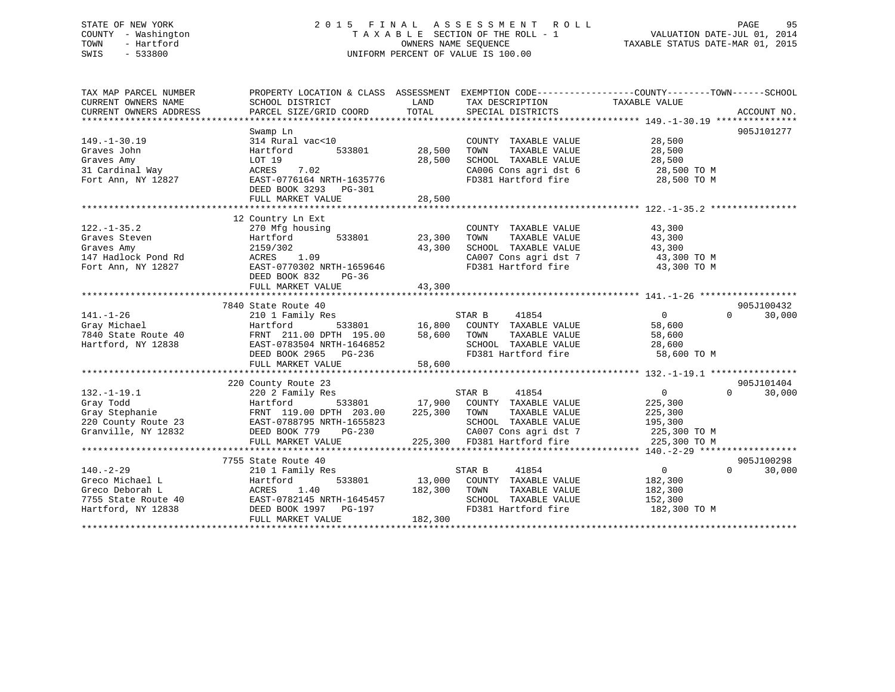# STATE OF NEW YORK 2 0 1 5 F I N A L A S S E S S M E N T R O L L PAGE 95 COUNTY - Washington T A X A B L E SECTION OF THE ROLL - 1 VALUATION DATE-JUL 01, 2014 TOWN - Hartford OWNERS NAME SEQUENCE TAXABLE STATUS DATE-MAR 01, 2015 SWIS - 533800 UNIFORM PERCENT OF VALUE IS 100.00

| TAX MAP PARCEL NUMBER             |                                                                                                                                                                                                                                                                                  |         |                                            | PROPERTY LOCATION & CLASS ASSESSMENT EXEMPTION CODE---------------COUNTY-------TOWN------SCHOOL |  |
|-----------------------------------|----------------------------------------------------------------------------------------------------------------------------------------------------------------------------------------------------------------------------------------------------------------------------------|---------|--------------------------------------------|-------------------------------------------------------------------------------------------------|--|
| CURRENT OWNERS NAME               | SCHOOL DISTRICT                                                                                                                                                                                                                                                                  | LAND    | TAX DESCRIPTION TAXABLE VALUE              |                                                                                                 |  |
| CURRENT OWNERS ADDRESS            |                                                                                                                                                                                                                                                                                  |         |                                            |                                                                                                 |  |
|                                   |                                                                                                                                                                                                                                                                                  |         |                                            |                                                                                                 |  |
|                                   | Swamp Ln                                                                                                                                                                                                                                                                         |         |                                            | 905J101277                                                                                      |  |
| $149. - 1 - 30.19$                | 314 Rural vac<10                                                                                                                                                                                                                                                                 |         | COUNTY TAXABLE VALUE                       | 28,500<br>28,500                                                                                |  |
| Graves John                       | Hartford 533801 28,500                                                                                                                                                                                                                                                           |         | TOWN<br>TAXABLE VALUE                      |                                                                                                 |  |
| Graves Amy                        | LOT 19                                                                                                                                                                                                                                                                           | 28,500  | SCHOOL TAXABLE VALUE 28,500                |                                                                                                 |  |
|                                   |                                                                                                                                                                                                                                                                                  |         |                                            | CA006 Cons agri dst 6 28,500 TO M<br>FD381 Hartford fire 28,500 TO M                            |  |
|                                   |                                                                                                                                                                                                                                                                                  |         |                                            |                                                                                                 |  |
|                                   | DEED BOOK 3293 PG-301                                                                                                                                                                                                                                                            |         |                                            |                                                                                                 |  |
|                                   |                                                                                                                                                                                                                                                                                  |         |                                            |                                                                                                 |  |
|                                   |                                                                                                                                                                                                                                                                                  |         |                                            |                                                                                                 |  |
|                                   | 12 Country Ln Ext                                                                                                                                                                                                                                                                |         |                                            |                                                                                                 |  |
|                                   |                                                                                                                                                                                                                                                                                  |         | COUNTY TAXABLE VALUE                       | 43,300                                                                                          |  |
|                                   |                                                                                                                                                                                                                                                                                  |         | TOWN                                       | TAXABLE VALUE 43,300                                                                            |  |
|                                   |                                                                                                                                                                                                                                                                                  |         |                                            | SCHOOL TAXABLE VALUE 43,300<br>CA007 Cons agri dst 7 43,300 TO M                                |  |
|                                   | 122.-1-35.2<br>370 Mfg housing<br>33801<br>33,300<br>33,300<br>43,300<br>43,300<br>Fort Ann, NY 12827<br>$R = 0.770302 \times 10^{9}$<br>$R = 0.09$<br>Fort Ann, NY 12827<br>$R = 0.770302 \times 10^{9}$<br>$R = 0.0282 \times 10^{10}$<br>$R = 0.0282 \times 10^{10}$<br>$R =$ |         |                                            |                                                                                                 |  |
|                                   |                                                                                                                                                                                                                                                                                  |         |                                            | FD381 Hartford fire 43,300 TO M                                                                 |  |
|                                   | DEED BOOK 832<br>PG-36                                                                                                                                                                                                                                                           |         |                                            |                                                                                                 |  |
|                                   | FULL MARKET VALUE                                                                                                                                                                                                                                                                | 43,300  |                                            |                                                                                                 |  |
|                                   |                                                                                                                                                                                                                                                                                  |         |                                            |                                                                                                 |  |
|                                   | 7840 State Route 40                                                                                                                                                                                                                                                              |         |                                            | 905J100432                                                                                      |  |
|                                   |                                                                                                                                                                                                                                                                                  |         |                                            |                                                                                                 |  |
|                                   |                                                                                                                                                                                                                                                                                  |         |                                            |                                                                                                 |  |
|                                   |                                                                                                                                                                                                                                                                                  |         |                                            |                                                                                                 |  |
|                                   |                                                                                                                                                                                                                                                                                  |         |                                            |                                                                                                 |  |
|                                   |                                                                                                                                                                                                                                                                                  |         |                                            |                                                                                                 |  |
|                                   |                                                                                                                                                                                                                                                                                  |         |                                            |                                                                                                 |  |
|                                   |                                                                                                                                                                                                                                                                                  |         |                                            |                                                                                                 |  |
|                                   | 220 County Route 23                                                                                                                                                                                                                                                              |         |                                            | 905J101404                                                                                      |  |
| $132. - 1 - 19.1$                 | 220 2 Family Res                                                                                                                                                                                                                                                                 |         | 41854<br>STAR B                            | $\overline{0}$<br>$\Omega$<br>30,000                                                            |  |
|                                   |                                                                                                                                                                                                                                                                                  |         | 533801 17,900 COUNTY TAXABLE VALUE 225,300 |                                                                                                 |  |
|                                   |                                                                                                                                                                                                                                                                                  |         | TAXABLE VALUE                              | 225,300                                                                                         |  |
|                                   |                                                                                                                                                                                                                                                                                  |         | SCHOOL TAXABLE VALUE 195,300               |                                                                                                 |  |
| Granville, NY 12832 DEED BOOK 779 | PG-230                                                                                                                                                                                                                                                                           |         |                                            | CA007 Cons agri dst 7 225,300 TO M                                                              |  |
|                                   | FULL MARKET VALUE                                                                                                                                                                                                                                                                |         | 225,300 FD381 Hartford fire                | 225,300 TO M                                                                                    |  |
|                                   |                                                                                                                                                                                                                                                                                  |         |                                            |                                                                                                 |  |
|                                   | 7755 State Route 40<br>blate koute 40<br>210 1 Family Res                                                                                                                                                                                                                        |         |                                            | 905J100298                                                                                      |  |
| $140. - 2 - 29$                   |                                                                                                                                                                                                                                                                                  |         | 41854<br>STAR B                            | $\overline{0}$<br>$\Omega$<br>30,000                                                            |  |
| Greco Michael L                   | Hartford                                                                                                                                                                                                                                                                         |         | 533801 13,000 COUNTY TAXABLE VALUE         | 182,300                                                                                         |  |
|                                   |                                                                                                                                                                                                                                                                                  |         | TAXABLE VALUE                              | 182,300                                                                                         |  |
|                                   |                                                                                                                                                                                                                                                                                  |         | SCHOOL TAXABLE VALUE                       | 152, 300                                                                                        |  |
|                                   |                                                                                                                                                                                                                                                                                  |         |                                            | FD381 Hartford fire 182,300 TO M                                                                |  |
|                                   | FULL MARKET VALUE                                                                                                                                                                                                                                                                | 182,300 |                                            |                                                                                                 |  |
|                                   |                                                                                                                                                                                                                                                                                  |         |                                            |                                                                                                 |  |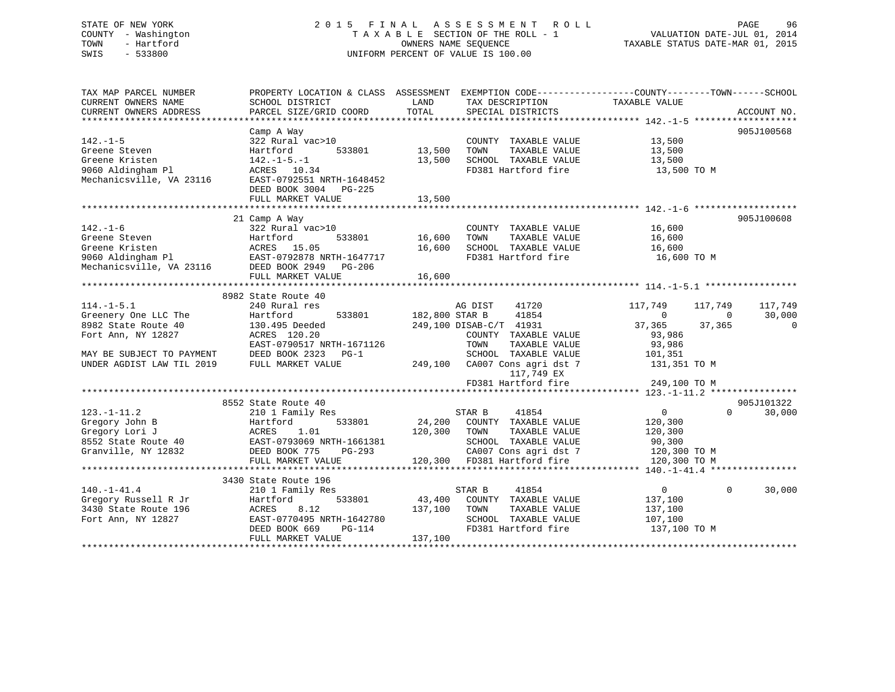# STATE OF NEW YORK 2 0 1 5 F I N A L A S S E S S M E N T R O L L PAGE 96 COUNTY - Washington T A X A B L E SECTION OF THE ROLL - 1 VALUATION DATE-JUL 01, 2014 TOWN - Hartford **TAXABLE STATUS DATE-MAR 01, 2015** OWNERS NAME SEQUENCE TAXABLE STATUS DATE-MAR 01, 2015 SWIS - 533800 UNIFORM PERCENT OF VALUE IS 100.00

| TAX MAP PARCEL NUMBER                                                                                                                                                                                                          | PROPERTY LOCATION & CLASS ASSESSMENT EXEMPTION CODE-----------------COUNTY-------TOWN------SCHOOL                                                                                                                              |                                                                                         |                                                |                                              |                   |                |
|--------------------------------------------------------------------------------------------------------------------------------------------------------------------------------------------------------------------------------|--------------------------------------------------------------------------------------------------------------------------------------------------------------------------------------------------------------------------------|-----------------------------------------------------------------------------------------|------------------------------------------------|----------------------------------------------|-------------------|----------------|
| CURRENT OWNERS NAME                                                                                                                                                                                                            | SCHOOL DISTRICT                                                                                                                                                                                                                | LAND<br>TAX DESCRIPTION                                                                 |                                                | TAXABLE VALUE                                |                   |                |
|                                                                                                                                                                                                                                |                                                                                                                                                                                                                                |                                                                                         |                                                |                                              |                   |                |
|                                                                                                                                                                                                                                |                                                                                                                                                                                                                                |                                                                                         |                                                |                                              |                   |                |
|                                                                                                                                                                                                                                | Camp A Way                                                                                                                                                                                                                     |                                                                                         |                                                |                                              |                   | 905J100568     |
| $142. - 1 - 5$                                                                                                                                                                                                                 | $322$ Rural vac > 10                                                                                                                                                                                                           |                                                                                         |                                                | COUNTY TAXABLE VALUE 13,500                  |                   |                |
| Greene Steven                                                                                                                                                                                                                  | Hartford                                                                                                                                                                                                                       | 533801 13,500 TOWN                                                                      |                                                |                                              |                   |                |
| Greene Kristen                                                                                                                                                                                                                 | Hartford<br>142.–1–5.–1                                                                                                                                                                                                        | 13,500 SCHOOL TAXABLE VALUE                                                             |                                                | TAXABLE VALUE 13,500<br>TAXABLE VALUE 13,500 |                   |                |
|                                                                                                                                                                                                                                | 9060 Aldingham Pl<br>Mechanicsville, VA 23116 EAST-0792551 NRTH-1648452<br>DEED BOOK 3004 PG-225                                                                                                                               |                                                                                         |                                                | FD381 Hartford fire 13,500 TO M              |                   |                |
|                                                                                                                                                                                                                                |                                                                                                                                                                                                                                |                                                                                         |                                                |                                              |                   |                |
|                                                                                                                                                                                                                                |                                                                                                                                                                                                                                |                                                                                         |                                                |                                              |                   |                |
|                                                                                                                                                                                                                                | FULL MARKET VALUE                                                                                                                                                                                                              | 13,500                                                                                  |                                                |                                              |                   |                |
|                                                                                                                                                                                                                                |                                                                                                                                                                                                                                |                                                                                         |                                                |                                              |                   |                |
|                                                                                                                                                                                                                                | 21 Camp A Way                                                                                                                                                                                                                  |                                                                                         |                                                |                                              |                   | 905J100608     |
| $142. - 1 - 6$                                                                                                                                                                                                                 | $322$ Rural vac>10                                                                                                                                                                                                             |                                                                                         |                                                | COUNTY TAXABLE VALUE 16,600                  |                   |                |
|                                                                                                                                                                                                                                | Fraction and the correction of the matrices of the contraction of the contraction of the matrices of the matrices of the matrices of the matrices of the matrices of the matrices of the matrices of the matrices of the matri |                                                                                         |                                                |                                              |                   |                |
|                                                                                                                                                                                                                                |                                                                                                                                                                                                                                |                                                                                         |                                                |                                              |                   |                |
|                                                                                                                                                                                                                                |                                                                                                                                                                                                                                |                                                                                         |                                                |                                              |                   |                |
|                                                                                                                                                                                                                                |                                                                                                                                                                                                                                |                                                                                         |                                                |                                              |                   |                |
|                                                                                                                                                                                                                                |                                                                                                                                                                                                                                |                                                                                         |                                                |                                              |                   |                |
|                                                                                                                                                                                                                                |                                                                                                                                                                                                                                |                                                                                         |                                                |                                              |                   |                |
|                                                                                                                                                                                                                                | 8982 State Route 40                                                                                                                                                                                                            |                                                                                         |                                                |                                              |                   |                |
| $114.-1-5.1$                                                                                                                                                                                                                   | 240 Rural res                                                                                                                                                                                                                  | AG DIST                                                                                 | 41720                                          | 117,749                                      | 117,749           | 117,749        |
|                                                                                                                                                                                                                                | Greenery One LLC The Bartford 533801<br>8982 State Route 40 130.495 Deeded                                                                                                                                                     |                                                                                         |                                                | $\sim$ 0 $\sim$ 0                            | $\sim$ 0          | 30,000         |
|                                                                                                                                                                                                                                |                                                                                                                                                                                                                                | 533801 182,800 STAR B 41854<br>eeded 249,100 DISAB-C/T 41931                            |                                                | 37,365 37,365                                |                   | $\overline{0}$ |
| Fort Ann, NY 12827                                                                                                                                                                                                             | ACRES 120.20                                                                                                                                                                                                                   |                                                                                         |                                                |                                              |                   |                |
|                                                                                                                                                                                                                                | EAST-0790517 NRTH-1671126<br>DEED BOOK 2333                                                                                                                                                                                    |                                                                                         | COUNTY TAXABLE VALUE<br>TOWN     TAXABLE VALUE | 93,986<br>93,986                             |                   |                |
|                                                                                                                                                                                                                                | DEED BOOK 2323 PG-1                                                                                                                                                                                                            |                                                                                         |                                                | SCHOOL TAXABLE VALUE 101,351                 |                   |                |
| MAY BE SUBJECT TO PAYMENT<br>FIRIT 10DICT LAW TIL 2019                                                                                                                                                                         | FULL MARKET VALUE                                                                                                                                                                                                              |                                                                                         |                                                | 131,351 TO M                                 |                   |                |
|                                                                                                                                                                                                                                |                                                                                                                                                                                                                                |                                                                                         | 117,749 EX                                     |                                              |                   |                |
|                                                                                                                                                                                                                                |                                                                                                                                                                                                                                |                                                                                         |                                                |                                              |                   |                |
|                                                                                                                                                                                                                                |                                                                                                                                                                                                                                |                                                                                         |                                                |                                              |                   |                |
|                                                                                                                                                                                                                                | 8552 State Route 40                                                                                                                                                                                                            |                                                                                         |                                                |                                              |                   | 905J101322     |
| $123. - 1 - 11.2$                                                                                                                                                                                                              | 210 1 Family Res                                                                                                                                                                                                               | STAR B 41854                                                                            |                                                | $\overline{0}$                               | $0 \qquad \qquad$ | 30,000         |
|                                                                                                                                                                                                                                |                                                                                                                                                                                                                                |                                                                                         |                                                |                                              |                   |                |
|                                                                                                                                                                                                                                |                                                                                                                                                                                                                                |                                                                                         |                                                |                                              |                   |                |
|                                                                                                                                                                                                                                |                                                                                                                                                                                                                                |                                                                                         |                                                |                                              |                   |                |
|                                                                                                                                                                                                                                |                                                                                                                                                                                                                                |                                                                                         |                                                |                                              |                   |                |
|                                                                                                                                                                                                                                |                                                                                                                                                                                                                                |                                                                                         |                                                |                                              |                   |                |
|                                                                                                                                                                                                                                |                                                                                                                                                                                                                                |                                                                                         |                                                |                                              |                   |                |
|                                                                                                                                                                                                                                |                                                                                                                                                                                                                                |                                                                                         |                                                |                                              |                   |                |
| $140.-1-41.4$                                                                                                                                                                                                                  | 210 1 Family Res                                                                                                                                                                                                               |                                                                                         |                                                | $\overline{0}$                               | $\Omega$          | 30,000         |
| Changed Transferred Transferred Transferred Transferred Transferred Transferred Transferred Transferred Transferred Transferred Transferred Transferred Transferred Transferred Transferred Transferred Transferred Transferre | Hartford                                                                                                                                                                                                                       | ily Res 533801 (1875)<br>533801 (43,400 COUNTY TAXABLE VALUE 137,100 TOWN TAXABLE VALUE |                                                | 137,100                                      |                   |                |
|                                                                                                                                                                                                                                | 8.12                                                                                                                                                                                                                           |                                                                                         |                                                | 137,100                                      |                   |                |
| Fort Ann, NY 12827                                                                                                                                                                                                             |                                                                                                                                                                                                                                |                                                                                         |                                                | 107,100                                      |                   |                |
|                                                                                                                                                                                                                                | EAST-0770495 NRTH-1642780<br>DEED BOOK 669 PG-114                                                                                                                                                                              |                                                                                         | SCHOOL TAXABLE VALUE<br>FD381 Hartford fire    | 137,100 TO M                                 |                   |                |
|                                                                                                                                                                                                                                | FULL MARKET VALUE                                                                                                                                                                                                              | 137,100                                                                                 |                                                |                                              |                   |                |
|                                                                                                                                                                                                                                |                                                                                                                                                                                                                                |                                                                                         |                                                |                                              |                   |                |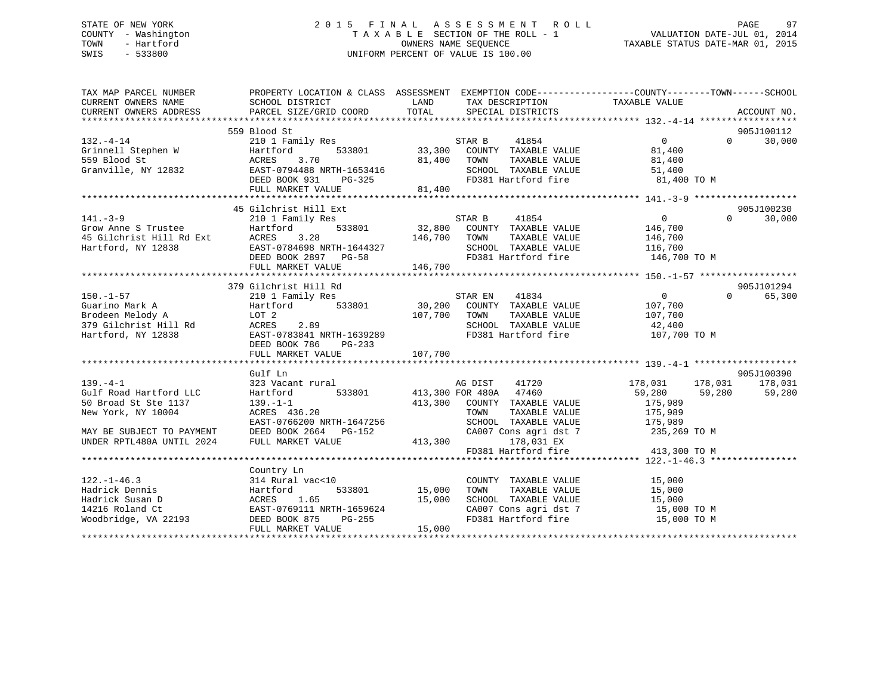# STATE OF NEW YORK 2 0 1 5 F I N A L A S S E S S M E N T R O L L PAGE 97 COUNTY - Washington T A X A B L E SECTION OF THE ROLL - 1 VALUATION DATE-JUL 01, 2014 TOWN - Hartford OWNERS NAME SEQUENCE TAXABLE STATUS DATE-MAR 01, 2015 SWIS - 533800 UNIFORM PERCENT OF VALUE IS 100.00

| TAX MAP PARCEL NUMBER<br>CURRENT OWNERS ADDRESS                                                                                                                | PROPERTY LOCATION & CLASS ASSESSMENT EXEMPTION CODE----------------COUNTY-------TOWN------SCHOOL |               |                                                                    |                                             |                    |
|----------------------------------------------------------------------------------------------------------------------------------------------------------------|--------------------------------------------------------------------------------------------------|---------------|--------------------------------------------------------------------|---------------------------------------------|--------------------|
|                                                                                                                                                                |                                                                                                  |               |                                                                    |                                             |                    |
|                                                                                                                                                                | 559 Blood St                                                                                     |               |                                                                    |                                             | 905J100112         |
| $132. - 4 - 14$                                                                                                                                                | 210 1 Family Res                                                                                 |               |                                                                    | $\overline{0}$                              | 30,000<br>$\Omega$ |
| Grinnell Stephen W<br>559 Blood St<br>Granville, NY 12832                                                                                                      | Hartford                                                                                         |               |                                                                    | 81,400                                      |                    |
|                                                                                                                                                                | 3.70<br>ACRES                                                                                    | 81,400 TOWN   | TAXABLE VALUE                                                      | 81,400                                      |                    |
|                                                                                                                                                                | EAST-0794488 NRTH-1653416                                                                        |               | SCHOOL TAXABLE VALUE 51,400<br>FD381 Hartford fire 61,400 TO M     |                                             |                    |
|                                                                                                                                                                | DEED BOOK 931 PG-325                                                                             |               |                                                                    |                                             |                    |
|                                                                                                                                                                | FULL MARKET VALUE                                                                                | 81,400        |                                                                    |                                             |                    |
|                                                                                                                                                                |                                                                                                  |               |                                                                    |                                             |                    |
|                                                                                                                                                                | 45 Gilchrist Hill Ext                                                                            |               |                                                                    |                                             | 905J100230         |
| $141. - 3 - 9$                                                                                                                                                 | 210 1 Family Res                                                                                 |               | s<br>533801 32,800 COUNTY TAXABLE VALUE 146,700                    |                                             | $\Omega$<br>30,000 |
| THI.-3-9<br>Grow Anne S Trustee Hartford 533801<br>45 Gilchrist Hill Rd Ext ACRES 3.28<br>Hartford, NY 12838 EAST-0784698 NRTH-1644327<br>DEED BOOK 2897 PG-58 |                                                                                                  |               |                                                                    |                                             |                    |
|                                                                                                                                                                |                                                                                                  | 146,700       | TOWN<br>TAXABLE VALUE                                              | 146,700                                     |                    |
|                                                                                                                                                                |                                                                                                  |               | SCHOOL TAXABLE VALUE                                               | 116,700                                     |                    |
|                                                                                                                                                                | DEED BOOK 2897 PG-58                                                                             |               | FD381 Hartford fire 146,700 TO M                                   |                                             |                    |
|                                                                                                                                                                | FULL MARKET VALUE                                                                                | 146,700       |                                                                    |                                             |                    |
|                                                                                                                                                                |                                                                                                  |               |                                                                    |                                             |                    |
|                                                                                                                                                                | 379 Gilchrist Hill Rd                                                                            |               |                                                                    |                                             | 905J101294         |
| $150. - 1 - 57$                                                                                                                                                |                                                                                                  |               | <b>STAR EN</b> 41834                                               | $\overline{0}$                              | $\Omega$<br>65,300 |
|                                                                                                                                                                | 210 1 Family Res                                                                                 |               |                                                                    |                                             |                    |
| Guarino Mark A                                                                                                                                                 | Hartford                                                                                         |               | 533801 30,200 COUNTY TAXABLE VALUE                                 | 107,700                                     |                    |
| Brodeen Melody A<br>Brodeen Melody A<br>379 Gilchrist Hill Rd                                                                                                  | LOT 2                                                                                            | 107,700 TOWN  | TOWN TAXABLE VALUE 107,700<br>SCHOOL TAXABLE VALUE 12,400          |                                             |                    |
|                                                                                                                                                                | 2.89<br>ACRES                                                                                    |               |                                                                    |                                             |                    |
| Hartford, NY 12838                                                                                                                                             | EAST-0783841 NRTH-1639289                                                                        |               | FD381 Hartford fire 107,700 TO M                                   |                                             |                    |
|                                                                                                                                                                | DEED BOOK 786<br>$PG-233$                                                                        |               |                                                                    |                                             |                    |
|                                                                                                                                                                |                                                                                                  |               |                                                                    |                                             |                    |
|                                                                                                                                                                |                                                                                                  |               |                                                                    |                                             |                    |
|                                                                                                                                                                | Gulf Ln                                                                                          |               |                                                                    |                                             | 905J100390         |
| $139 - 4 - 1$                                                                                                                                                  | 323 Vacant rural                                                                                 |               | AG DIST<br>41720                                                   | 178,031<br>178,031                          | 178,031            |
| Gulf Road Hartford LLC                                                                                                                                         | 533801 413,300 FOR 480A 47460<br>Hartford                                                        |               |                                                                    | 59,280<br>59,280                            | 59,280             |
| 50 Broad St Ste 1137                                                                                                                                           | $139. - 1 - 1$                                                                                   |               | 413,300 COUNTY TAXABLE VALUE                                       | 175,989                                     |                    |
| New York, NY 10004                                                                                                                                             | ACRES 436.20                                                                                     |               | TOWN<br>TAXABLE VALUE                                              | 175,989                                     |                    |
|                                                                                                                                                                | EAST-0766200 NRTH-1647256                                                                        |               |                                                                    |                                             |                    |
| MAY BE SUBJECT TO PAYMENT                                                                                                                                      | DEED BOOK 2664 PG-152                                                                            |               | SCHOOL TAXABLE VALUE 175,989<br>CA007 Cons agri dst 7 235,269 TO M |                                             |                    |
| UNDER RPTL480A UNTIL 2024                                                                                                                                      | FULL MARKET VALUE                                                                                | $300$ CAUU    | 178,031 EX                                                         |                                             |                    |
|                                                                                                                                                                |                                                                                                  |               | FD381 Hartford fire                                                | 413,300 TO M                                |                    |
|                                                                                                                                                                |                                                                                                  |               |                                                                    |                                             |                    |
|                                                                                                                                                                | Country Ln                                                                                       |               |                                                                    |                                             |                    |
| $122. - 1 - 46.3$                                                                                                                                              | 314 Rural vac<10                                                                                 |               | COUNTY TAXABLE VALUE                                               | 15,000                                      |                    |
|                                                                                                                                                                |                                                                                                  |               |                                                                    |                                             |                    |
| Hadrick Dennis                                                                                                                                                 | Hartford                                                                                         | 533801 15,000 | TAXABLE VALUE<br>TOWN                                              | 15,000<br>15,000<br>15,000 TO M<br>200 TO M |                    |
| Hadrick Susan D                                                                                                                                                | ACRES<br>1.65                                                                                    | 15,000        | SCHOOL TAXABLE VALUE                                               |                                             |                    |
| 14216 Roland Ct                                                                                                                                                | EAST-0769111 NRTH-1659624                                                                        |               | SCHOOL TAXABLE WILL<br>CA007 Cons agri dst 7                       |                                             |                    |
| Moodbridge, VA 22193 DEED BOOK 875                                                                                                                             | PG-255                                                                                           |               |                                                                    | 15,000 TO M                                 |                    |
|                                                                                                                                                                | FULL MARKET VALUE                                                                                | 15,000        |                                                                    |                                             |                    |
|                                                                                                                                                                |                                                                                                  |               |                                                                    |                                             |                    |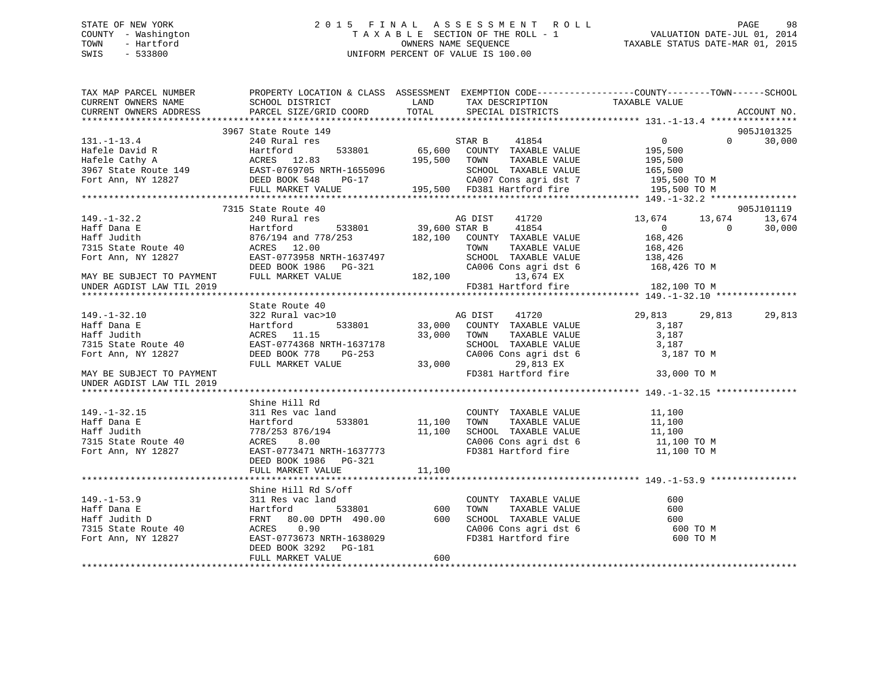# STATE OF NEW YORK 2 0 1 5 F I N A L A S S E S S M E N T R O L L PAGE 98 COUNTY - Washington T A X A B L E SECTION OF THE ROLL - 1 VALUATION DATE-JUL 01, 2014 TOWN - Hartford **TAXABLE STATUS DATE-MAR 01, 2015** OWNERS NAME SEQUENCE TAXABLE STATUS DATE-MAR 01, 2015 SWIS - 533800 UNIFORM PERCENT OF VALUE IS 100.00

| TAX MAP PARCEL NUMBER THE PROPERTY LOCATION & CLASS ASSESSMENT EXEMPTION CODE---------------COUNTY--------TOWN------SCHOOL<br>CURRENT OWNERS NAME SCHOOL DISTRICT                                                                                   |                       |        |                                    |               |               |
|-----------------------------------------------------------------------------------------------------------------------------------------------------------------------------------------------------------------------------------------------------|-----------------------|--------|------------------------------------|---------------|---------------|
| CURRENT OWNERS ADDRESS PARCEL SIZE/GRID COORD TOTAL SPECIAL DISTRICTS                                                                                                                                                                               |                       |        | LAND TAX DESCRIPTION TAXABLE VALUE |               | ACCOUNT NO.   |
|                                                                                                                                                                                                                                                     |                       |        |                                    |               |               |
|                                                                                                                                                                                                                                                     | 3967 State Route 149  |        |                                    |               | 905J101325    |
| 3967 State Route 149<br>3967 State Route 149<br>240 Rural res<br>3967 State Route 149<br>3967 State Route 149<br>3967 State Route 149<br>3967 State Route 149<br>3967 State Route 149<br>240 Rural res<br>3967 State Route 149<br>240 Rural res<br> |                       |        |                                    |               | $0 \t 30,000$ |
|                                                                                                                                                                                                                                                     |                       |        |                                    |               |               |
|                                                                                                                                                                                                                                                     |                       |        |                                    |               |               |
|                                                                                                                                                                                                                                                     |                       |        |                                    |               |               |
|                                                                                                                                                                                                                                                     |                       |        |                                    |               |               |
|                                                                                                                                                                                                                                                     |                       |        |                                    |               |               |
|                                                                                                                                                                                                                                                     |                       |        |                                    |               |               |
|                                                                                                                                                                                                                                                     | 7315 State Route 40   |        |                                    |               | 905J101119    |
|                                                                                                                                                                                                                                                     |                       |        |                                    |               |               |
|                                                                                                                                                                                                                                                     |                       |        |                                    |               |               |
|                                                                                                                                                                                                                                                     |                       |        |                                    |               |               |
|                                                                                                                                                                                                                                                     |                       |        |                                    |               |               |
|                                                                                                                                                                                                                                                     |                       |        |                                    |               |               |
|                                                                                                                                                                                                                                                     |                       |        |                                    |               |               |
|                                                                                                                                                                                                                                                     |                       |        |                                    |               |               |
|                                                                                                                                                                                                                                                     |                       |        | FD381 Hartford fire 182,100 TO M   |               |               |
| UNDER AGDIST LAW TIL 2019                                                                                                                                                                                                                           |                       |        |                                    |               |               |
|                                                                                                                                                                                                                                                     |                       |        |                                    |               |               |
|                                                                                                                                                                                                                                                     |                       |        |                                    |               |               |
|                                                                                                                                                                                                                                                     |                       |        |                                    | 29,813 29,813 | 29,813        |
|                                                                                                                                                                                                                                                     |                       |        |                                    |               |               |
|                                                                                                                                                                                                                                                     |                       |        |                                    |               |               |
|                                                                                                                                                                                                                                                     |                       |        |                                    |               |               |
|                                                                                                                                                                                                                                                     |                       |        |                                    |               |               |
|                                                                                                                                                                                                                                                     |                       |        |                                    |               |               |
| UNDER AGDIST LAW TIL 2019                                                                                                                                                                                                                           |                       |        |                                    |               |               |
|                                                                                                                                                                                                                                                     |                       |        |                                    |               |               |
|                                                                                                                                                                                                                                                     | Shine Hill Rd         |        |                                    |               |               |
|                                                                                                                                                                                                                                                     |                       |        |                                    |               |               |
|                                                                                                                                                                                                                                                     |                       |        |                                    |               |               |
|                                                                                                                                                                                                                                                     |                       |        |                                    |               |               |
|                                                                                                                                                                                                                                                     |                       |        |                                    |               |               |
| 311 Res vac land<br>Haff Dana E Hartford 533801 11,100 TOWN TAXABLE VALUE 11,100<br>Haff Judith 778/253 876/194 11,100 SCHOOL TAXABLE VALUE 11,100<br>TOWN TAXABLE VALUE 11,100<br>TAXABLE VALUE 11,100<br>11,100 TOWN TAXABLE VALUE 11,            |                       |        |                                    |               |               |
|                                                                                                                                                                                                                                                     | DEED BOOK 1986 PG-321 |        |                                    |               |               |
|                                                                                                                                                                                                                                                     | FULL MARKET VALUE     | 11,100 |                                    |               |               |
|                                                                                                                                                                                                                                                     |                       |        |                                    |               |               |
|                                                                                                                                                                                                                                                     | Shine Hill Rd S/off   |        |                                    |               |               |
|                                                                                                                                                                                                                                                     |                       |        |                                    |               |               |
|                                                                                                                                                                                                                                                     |                       |        |                                    |               |               |
|                                                                                                                                                                                                                                                     |                       |        |                                    |               |               |
|                                                                                                                                                                                                                                                     |                       |        |                                    |               |               |
|                                                                                                                                                                                                                                                     |                       |        |                                    |               |               |
|                                                                                                                                                                                                                                                     |                       |        |                                    |               |               |
|                                                                                                                                                                                                                                                     | FULL MARKET VALUE     | 600    |                                    |               |               |
|                                                                                                                                                                                                                                                     |                       |        |                                    |               |               |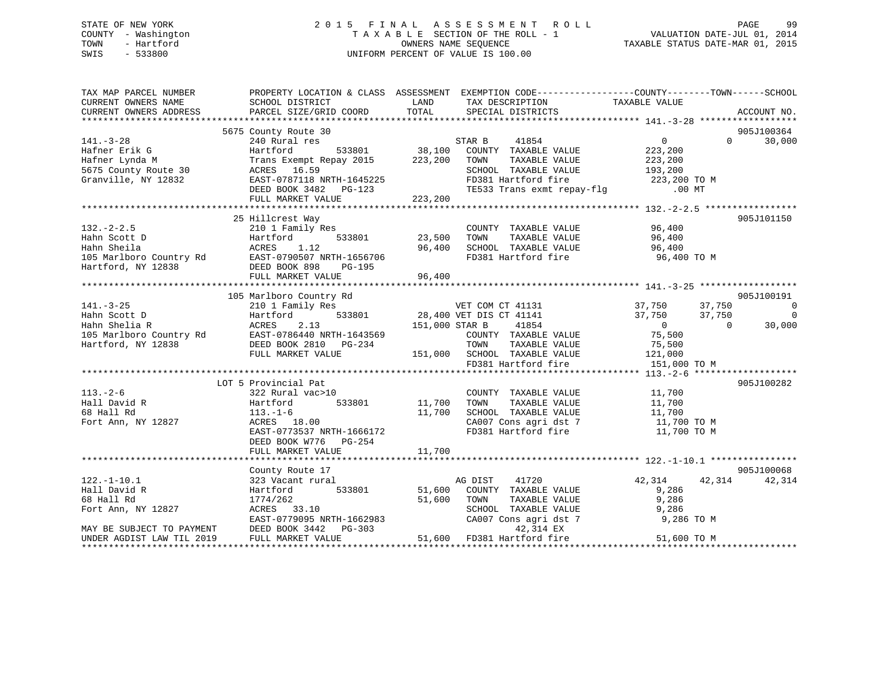# STATE OF NEW YORK 2 0 1 5 F I N A L A S S E S S M E N T R O L L PAGE 99 COUNTY - Washington T A X A B L E SECTION OF THE ROLL - 1 VALUATION DATE-JUL 01, 2014 TOWN - Hartford **TAXABLE STATUS DATE-MAR 01, 2015** OWNERS NAME SEQUENCE TAXABLE STATUS DATE-MAR 01, 2015 SWIS - 533800 UNIFORM PERCENT OF VALUE IS 100.00

| TAX MAP PARCEL NUMBER                         | PROPERTY LOCATION & CLASS ASSESSMENT EXEMPTION CODE----------------COUNTY-------TOWN------SCHOOL |                |                                             |                               |                          |
|-----------------------------------------------|--------------------------------------------------------------------------------------------------|----------------|---------------------------------------------|-------------------------------|--------------------------|
| CURRENT OWNERS NAME<br>CURRENT OWNERS ADDRESS | SCHOOL DISTRICT<br>PARCEL SIZE/GRID COORD                                                        | LAND<br>TOTAL  | TAX DESCRIPTION<br>SPECIAL DISTRICTS        | TAXABLE VALUE                 | ACCOUNT NO.              |
|                                               |                                                                                                  |                |                                             |                               |                          |
|                                               | 5675 County Route 30                                                                             |                |                                             |                               | 905J100364               |
| $141. - 3 - 28$                               | 240 Rural res                                                                                    |                | 41854<br>STAR B                             | $0 \qquad \qquad$<br>$\Omega$ | 30,000                   |
| Hafner Erik G                                 | 533801<br>Hartford                                                                               | 38,100         | COUNTY TAXABLE VALUE                        | 223,200                       |                          |
| Hafner Lynda M                                |                                                                                                  | 223,200        | TOWN<br>TAXABLE VALUE                       |                               |                          |
|                                               | Trans Exempt Repay 2015                                                                          |                |                                             | 223,200                       |                          |
| 5675 County Route 30                          | 16.59<br>ACRES                                                                                   |                | SCHOOL TAXABLE VALUE<br>FD381 Hartford fire | 193,200                       |                          |
| Granville, NY 12832                           | EAST-0787118 NRTH-1645225                                                                        |                |                                             | 223,200 TO M                  |                          |
|                                               | DEED BOOK 3482 PG-123                                                                            |                | TE533 Trans exmt repay-flg                  | $.00$ MT                      |                          |
|                                               | FULL MARKET VALUE                                                                                | 223,200        |                                             |                               |                          |
|                                               | 25 Hillcrest Way                                                                                 |                |                                             |                               | 905J101150               |
|                                               |                                                                                                  |                |                                             |                               |                          |
| $132. - 2 - 2.5$                              | 210 1 Family Res                                                                                 |                | COUNTY TAXABLE VALUE                        | 96,400                        |                          |
| Hahn Scott D                                  | 533801<br>Hartford                                                                               | 23,500         | TAXABLE VALUE<br>TOWN                       | 96,400                        |                          |
| Hahn Sheila                                   | ACRES<br>1.12                                                                                    | 96,400         | SCHOOL TAXABLE VALUE                        | 96,400                        |                          |
| 105 Marlboro Country Rd                       |                                                                                                  |                | FD381 Hartford fire                         | 96,400 TO M                   |                          |
| Hartford, NY 12838                            |                                                                                                  |                |                                             |                               |                          |
|                                               | FULL MARKET VALUE                                                                                | 96,400         |                                             |                               |                          |
|                                               |                                                                                                  |                |                                             |                               |                          |
|                                               | 105 Marlboro Country Rd                                                                          |                |                                             |                               | 905J100191               |
| $141. - 3 - 25$                               | 210 1 Family Res                                                                                 |                | VET COM CT 41131                            | 37,750<br>37,750              | $\overline{\phantom{0}}$ |
| Hahn Scott D                                  | Hartford                                                                                         |                | 533801 28,400 VET DIS CT 41141              | 37,750<br>37,750              | $\Omega$                 |
| Hahn Shelia R                                 | 2.13<br>ACRES                                                                                    | 151,000 STAR B | 41854                                       | $\overline{0}$<br>$\bigcirc$  | 30,000                   |
| 105 Marlboro Country Rd                       | EAST-0786440 NRTH-1643569                                                                        |                | COUNTY TAXABLE VALUE                        | 75,500                        |                          |
| Hartford, NY 12838                            | DEED BOOK 2810 PG-234                                                                            |                | TOWN<br>TAXABLE VALUE                       | 75,500                        |                          |
|                                               | FULL MARKET VALUE                                                                                |                | 151,000 SCHOOL TAXABLE VALUE                | 121,000                       |                          |
|                                               |                                                                                                  |                | FD381 Hartford fire                         | 151,000 TO M                  |                          |
|                                               |                                                                                                  |                |                                             |                               |                          |
|                                               | LOT 5 Provincial Pat                                                                             |                |                                             |                               | 905J100282               |
| $113. - 2 - 6$                                | 322 Rural vac>10                                                                                 |                | COUNTY TAXABLE VALUE                        | 11,700                        |                          |
| Hall David R                                  | 533801<br>Hartford                                                                               | 11,700         | TOWN<br>TAXABLE VALUE                       | 11,700                        |                          |
| 68 Hall Rd                                    | $113. - 1 - 6$                                                                                   | 11,700         | SCHOOL TAXABLE VALUE                        | 11,700                        |                          |
| Fort Ann, NY 12827                            | ACRES 18.00                                                                                      |                | CA007 Cons agri dst 7                       | 11,700 TO M                   |                          |
|                                               | EAST-0773537 NRTH-1666172                                                                        |                | FD381 Hartford fire                         | 11,700 TO M                   |                          |
|                                               | DEED BOOK W776 PG-254                                                                            |                |                                             |                               |                          |
|                                               | FULL MARKET VALUE                                                                                | 11,700         |                                             |                               |                          |
|                                               |                                                                                                  |                |                                             |                               |                          |
|                                               | County Route 17                                                                                  |                |                                             |                               | 905J100068               |
| $122. - 1 - 10.1$                             | 323 Vacant rural                                                                                 |                | 41720<br>AG DIST                            | 42,314<br>42,314              | 42,314                   |
| Hall David R                                  | 533801<br>Hartford                                                                               | 51,600         | COUNTY TAXABLE VALUE                        | 9,286                         |                          |
| 68 Hall Rd                                    | 1774/262                                                                                         | 51,600         | TAXABLE VALUE<br>TOWN                       | 9,286                         |                          |
| Fort Ann, NY 12827                            | ACRES 33.10                                                                                      |                | SCHOOL TAXABLE VALUE                        | 9,286                         |                          |
|                                               | EAST-0779095 NRTH-1662983                                                                        |                | CA007 Cons agri dst 7                       | 9,286 TO M                    |                          |
| MAY BE SUBJECT TO PAYMENT                     | DEED BOOK 3442<br>PG-303                                                                         |                | 42,314 EX                                   |                               |                          |
| UNDER AGDIST LAW TIL 2019                     | FULL MARKET VALUE                                                                                |                | 51,600 FD381 Hartford fire                  | 51,600 TO M                   |                          |
|                                               |                                                                                                  |                |                                             |                               |                          |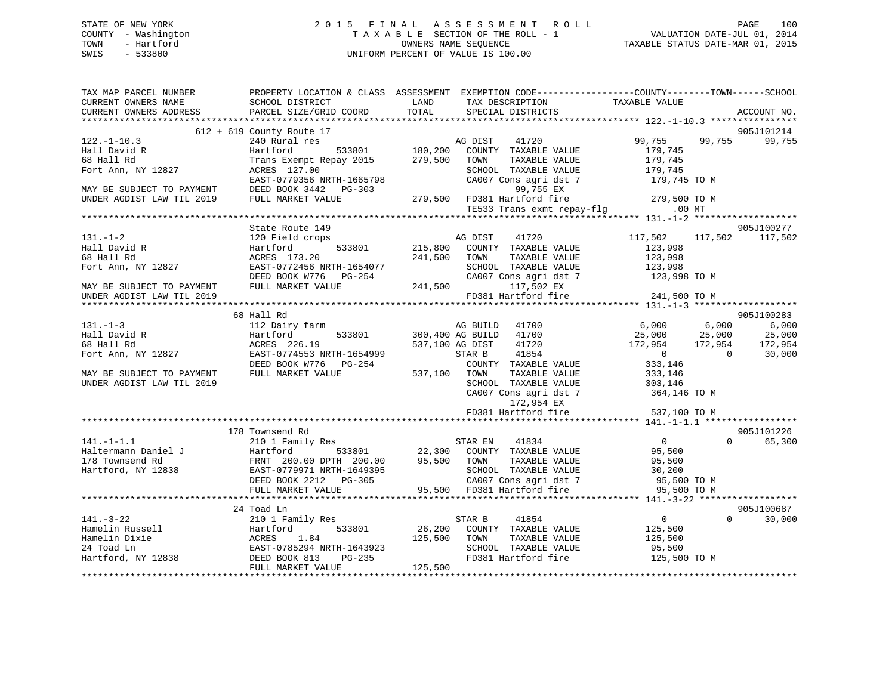# STATE OF NEW YORK 2 0 1 5 F I N A L A S S E S S M E N T R O L L PAGE 100 COUNTY - Washington T A X A B L E SECTION OF THE ROLL - 1 VALUATION DATE-JUL 01, 2014 TOWN - Hartford **TAXABLE STATUS DATE-MAR 01, 2015** OWNERS NAME SEQUENCE TAXABLE STATUS DATE-MAR 01, 2015 SWIS - 533800 UNIFORM PERCENT OF VALUE IS 100.00

| TAX MAP PARCEL NUMBER                                                                                                                                                                                                              | PROPERTY LOCATION & CLASS ASSESSMENT EXEMPTION CODE-----------------COUNTY-------TOWN------SCHOOL        |       |                                                                                                                                                                                                                                            |                                                   |        |                    |
|------------------------------------------------------------------------------------------------------------------------------------------------------------------------------------------------------------------------------------|----------------------------------------------------------------------------------------------------------|-------|--------------------------------------------------------------------------------------------------------------------------------------------------------------------------------------------------------------------------------------------|---------------------------------------------------|--------|--------------------|
| CURRENT OWNERS NAME                                                                                                                                                                                                                | SCHOOL DISTRICT                                                                                          | LAND  | TAX DESCRIPTION                                                                                                                                                                                                                            | TAXABLE VALUE                                     |        |                    |
| CURRENT OWNERS ADDRESS                                                                                                                                                                                                             | PARCEL SIZE/GRID COORD                                                                                   | TOTAL | SPECIAL DISTRICTS                                                                                                                                                                                                                          |                                                   |        | ACCOUNT NO.        |
|                                                                                                                                                                                                                                    | 612 + 619 County Route 17                                                                                |       |                                                                                                                                                                                                                                            |                                                   |        | 905J101214         |
| $122. - 1 - 10.3$                                                                                                                                                                                                                  | 240 Rural res                                                                                            |       |                                                                                                                                                                                                                                            | 99,755                                            | 99,755 | 99,755             |
| Hall David R                                                                                                                                                                                                                       |                                                                                                          |       | res<br>Tes 533801 180,200 COUNTY TAXABLE VALUE                                                                                                                                                                                             | 179,745                                           |        |                    |
| 68 Hall Rd                                                                                                                                                                                                                         | Hartford<br>Trans Exempt F<br>ACRES 127.00<br>Trans Exempt Repay 2015 279,500 TOWN                       |       | TAXABLE VALUE                                                                                                                                                                                                                              | 179,745                                           |        |                    |
| Fort Ann, NY 12827                                                                                                                                                                                                                 |                                                                                                          |       | SCHOOL TAXABLE VALUE                                                                                                                                                                                                                       | $\frac{1}{179}$ , 745                             |        |                    |
|                                                                                                                                                                                                                                    |                                                                                                          |       | CA007 Cons agri dst 7                                                                                                                                                                                                                      | 179,745 TO M                                      |        |                    |
|                                                                                                                                                                                                                                    |                                                                                                          |       |                                                                                                                                                                                                                                            |                                                   |        |                    |
| MAY BE SUBJECT TO PAYMENT<br>MAY BE SUBJECT TO PAYMENT<br>EAST-0779356 NRTH-1665798 CA007 Cons agri dst<br>DEED BOOK 3442 PG-303 99,755 EX<br>UNDER AGDIST LAW TIL 2019 FULL MARKET VALUE 279,500 FD381 Hartford fire              |                                                                                                          |       |                                                                                                                                                                                                                                            |                                                   |        |                    |
|                                                                                                                                                                                                                                    |                                                                                                          |       | FD381 Hartford fire 279,500 TO M<br>TE533 Trans exmt repay-flg 00 MT                                                                                                                                                                       |                                                   |        |                    |
|                                                                                                                                                                                                                                    |                                                                                                          |       |                                                                                                                                                                                                                                            |                                                   |        |                    |
|                                                                                                                                                                                                                                    | State Route 149                                                                                          |       |                                                                                                                                                                                                                                            |                                                   |        | 905J100277         |
| $131. - 1 - 2$                                                                                                                                                                                                                     | 120 Field crops                                                                                          |       | MG DIST 41720<br>533801 215,800 COUNTY TAXABLE VALUE                                                                                                                                                                                       | 117,502 117,502 117,502                           |        |                    |
| Hall David R                                                                                                                                                                                                                       | Hartford                                                                                                 |       |                                                                                                                                                                                                                                            | 123,998                                           |        |                    |
| 68 Hall Rd                                                                                                                                                                                                                         | ACRES 173.20<br>EAST-0772456 NRTH-1654077<br>DEED BOOK W776 PG-254 CA007 CC<br>FULL MARKET VALUE 241,500 |       | TAXABLE VALUE                                                                                                                                                                                                                              | 123,998                                           |        |                    |
| Fort Ann, NY 12827                                                                                                                                                                                                                 |                                                                                                          |       | SCHOOL TAXABLE VALUE 123,998                                                                                                                                                                                                               |                                                   |        |                    |
|                                                                                                                                                                                                                                    |                                                                                                          |       | CA007 Cons agri dst 7                                                                                                                                                                                                                      | 123,998 TO M                                      |        |                    |
| MAY BE SUBJECT TO PAYMENT                                                                                                                                                                                                          |                                                                                                          |       | 117,502 EX                                                                                                                                                                                                                                 |                                                   |        |                    |
| UNDER AGDIST LAW TIL 2019                                                                                                                                                                                                          |                                                                                                          |       | FD381 Hartford fire                                                                                                                                                                                                                        | 241,500 TO M                                      |        |                    |
|                                                                                                                                                                                                                                    |                                                                                                          |       |                                                                                                                                                                                                                                            |                                                   |        |                    |
|                                                                                                                                                                                                                                    | 68 Hall Rd                                                                                               |       |                                                                                                                                                                                                                                            |                                                   |        | 905J100283         |
| $131. - 1 - 3$                                                                                                                                                                                                                     |                                                                                                          |       |                                                                                                                                                                                                                                            |                                                   |        |                    |
| Hall David R                                                                                                                                                                                                                       |                                                                                                          |       |                                                                                                                                                                                                                                            |                                                   |        | 6,000<br>25,000    |
| 68 Hall Rd                                                                                                                                                                                                                         | ACRES 226.19                                                                                             |       | 537,100 AG DIST 41720                                                                                                                                                                                                                      | 172,954 172,954                                   |        | 172,954            |
| Fort Ann, NY 12827                                                                                                                                                                                                                 | EAST-0774553 NRTH-1654999                                                                                |       | STAR B 41854                                                                                                                                                                                                                               | $\begin{array}{ccc} & & 0 & & \hline \end{array}$ |        | 30,000             |
|                                                                                                                                                                                                                                    |                                                                                                          |       | COUNTY TAXABLE VALUE                                                                                                                                                                                                                       | 333,146                                           |        |                    |
| MAY BE SUBJECT TO PAYMENT                                                                                                                                                                                                          | DEED BOOK W776 PG-254 COUNT<br>FULL MARKET VALUE 537,100 TOWN                                            |       | TAXABLE VALUE                                                                                                                                                                                                                              | 333,146                                           |        |                    |
| UNDER AGDIST LAW TIL 2019                                                                                                                                                                                                          |                                                                                                          |       |                                                                                                                                                                                                                                            |                                                   |        |                    |
|                                                                                                                                                                                                                                    |                                                                                                          |       | $\begin{tabular}{lllllllll} \texttt{SCHOOL} & \texttt{TAXABLE} & \texttt{VALUE} & \texttt{303,146} \\ \texttt{CA007} & \texttt{Cons}\ \texttt{agri}\ \texttt{dst}\ \texttt{7} & \texttt{364,146} & \texttt{TO} \ \texttt{M} \end{tabular}$ |                                                   |        |                    |
|                                                                                                                                                                                                                                    |                                                                                                          |       | 172,954 EX                                                                                                                                                                                                                                 |                                                   |        |                    |
|                                                                                                                                                                                                                                    |                                                                                                          |       | FD381 Hartford fire                                                                                                                                                                                                                        | 537,100 TO M                                      |        |                    |
|                                                                                                                                                                                                                                    |                                                                                                          |       |                                                                                                                                                                                                                                            |                                                   |        |                    |
|                                                                                                                                                                                                                                    | 178 Townsend Rd                                                                                          |       |                                                                                                                                                                                                                                            |                                                   |        | 905J101226         |
| $141. -1 - 1.1$                                                                                                                                                                                                                    | 210 1 Family Res                                                                                         |       | STAR EN 41834                                                                                                                                                                                                                              | $\overline{0}$                                    |        | $\Omega$<br>65,300 |
|                                                                                                                                                                                                                                    |                                                                                                          |       |                                                                                                                                                                                                                                            |                                                   |        |                    |
|                                                                                                                                                                                                                                    |                                                                                                          |       | 1y Res<br>533801 22,300 COUNTY TAXABLE VALUE 95,500<br>00 PTH 200.00 95.500 TOWN TAXABLE VALUE 95,500                                                                                                                                      |                                                   |        |                    |
|                                                                                                                                                                                                                                    |                                                                                                          |       |                                                                                                                                                                                                                                            |                                                   |        |                    |
|                                                                                                                                                                                                                                    |                                                                                                          |       |                                                                                                                                                                                                                                            |                                                   |        |                    |
|                                                                                                                                                                                                                                    |                                                                                                          |       |                                                                                                                                                                                                                                            |                                                   |        |                    |
| 141.-1-1.1<br>Hartermann Daniel J<br>Hartermann Daniel J<br>Hartermann Daniel J<br>Hartermann Daniel J<br>Hartford, NY 12838<br>Hartford, NY 12838<br>Hartford, NY 12838<br>EAST-0779971 NRTH-1649395<br>EED BOOK 2212 PG-305<br>F |                                                                                                          |       |                                                                                                                                                                                                                                            |                                                   |        |                    |
|                                                                                                                                                                                                                                    | 24 Toad Ln                                                                                               |       |                                                                                                                                                                                                                                            |                                                   |        | 905J100687         |
|                                                                                                                                                                                                                                    |                                                                                                          |       |                                                                                                                                                                                                                                            | $\overline{0}$                                    |        | $\Omega$<br>30,000 |
|                                                                                                                                                                                                                                    |                                                                                                          |       |                                                                                                                                                                                                                                            |                                                   |        |                    |
|                                                                                                                                                                                                                                    |                                                                                                          |       |                                                                                                                                                                                                                                            | 125,500<br>125,500                                |        |                    |
|                                                                                                                                                                                                                                    |                                                                                                          |       |                                                                                                                                                                                                                                            |                                                   |        |                    |
|                                                                                                                                                                                                                                    |                                                                                                          |       | SCHOOL TAXABLE VALUE 95,500<br>FD381 Hartford fire 125,500 TO M                                                                                                                                                                            |                                                   |        |                    |
|                                                                                                                                                                                                                                    |                                                                                                          |       |                                                                                                                                                                                                                                            |                                                   |        |                    |
|                                                                                                                                                                                                                                    |                                                                                                          |       |                                                                                                                                                                                                                                            |                                                   |        |                    |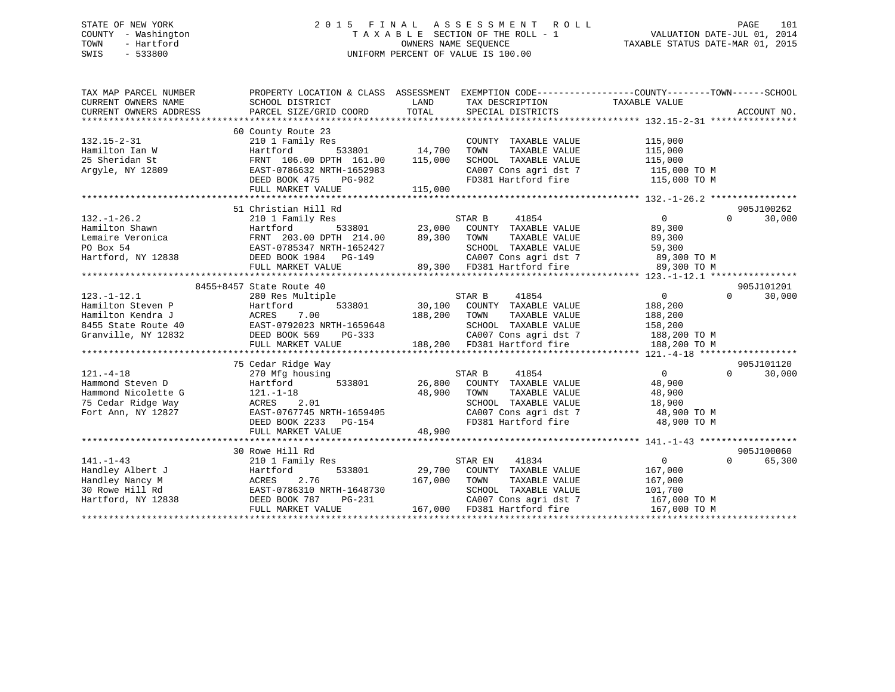# STATE OF NEW YORK 2 0 1 5 F I N A L A S S E S S M E N T R O L L PAGE 101 COUNTY - Washington T A X A B L E SECTION OF THE ROLL - 1 VALUATION DATE-JUL 01, 2014 TOWN - Hartford **TAXABLE STATUS DATE-MAR 01, 2015** OWNERS NAME SEQUENCE TAXABLE STATUS DATE-MAR 01, 2015 SWIS - 533800 UNIFORM PERCENT OF VALUE IS 100.00

| LAND<br>TAXABLE VALUE<br>CURRENT OWNERS NAME<br>SCHOOL DISTRICT<br>TAX DESCRIPTION<br>TOTAL<br>CURRENT OWNERS ADDRESS<br>PARCEL SIZE/GRID COORD<br>SPECIAL DISTRICTS<br>ACCOUNT NO.               |        |
|---------------------------------------------------------------------------------------------------------------------------------------------------------------------------------------------------|--------|
|                                                                                                                                                                                                   |        |
|                                                                                                                                                                                                   |        |
|                                                                                                                                                                                                   |        |
| 60 County Route 23                                                                                                                                                                                |        |
| $132.15 - 2 - 31$<br>210 1 Family Res<br>COUNTY TAXABLE VALUE<br>115,000                                                                                                                          |        |
| 533801 14,700<br>Hamilton Ian W<br>Hartford<br>TOWN<br>TAXABLE VALUE<br>115,000                                                                                                                   |        |
| 25 Sheridan St<br>FRNT 106.00 DPTH 161.00<br>115,000<br>SCHOOL TAXABLE VALUE<br>115,000                                                                                                           |        |
| Argyle, NY 12809<br>EAST-0786632 NRTH-1652983<br>CA007 Cons agri dst 7 115,000 TO M                                                                                                               |        |
| DEED BOOK 475<br>FD381 Hartford fire<br>115,000 TO M<br>PG-982                                                                                                                                    |        |
| FULL MARKET VALUE<br>115,000                                                                                                                                                                      |        |
|                                                                                                                                                                                                   |        |
| 905J100262<br>51 Christian Hill Rd                                                                                                                                                                |        |
| 41854<br>$\overline{0}$<br>$132. - 1 - 26.2$<br>210 1 Family Res<br>STAR B<br>$\Omega$                                                                                                            | 30,000 |
| 533801 23,000 COUNTY TAXABLE VALUE<br>Hamilton Shawn<br>89,300<br>Hartford 533801<br>FRNT 203.00 DPTH 214.00 89,300 TOWN<br>EAST-0785347 NRTH-1652427 SCHOOL<br>EAST-0785347 NRTH-1652427 CA007 C |        |
| Lemaire Veronica<br>TOWN        TAXABLE  VALUE<br>SCHOOL    TAXABLE  VALUE<br>89,300                                                                                                              |        |
| PO Box 54<br>59,300                                                                                                                                                                               |        |
| CA007 Cons agri dst 7 89,300 TO M<br>Hartford, NY 12838                                                                                                                                           |        |
| 89,300 TO M                                                                                                                                                                                       |        |
|                                                                                                                                                                                                   |        |
| 905J101201<br>8455+8457 State Route 40                                                                                                                                                            |        |
| $123. - 1 - 12.1$<br>$\overline{0}$<br>$\Omega$<br>280 Res Multiple<br>STAR B<br>41854<br>30,100 COUNTY TAXABLE VALUE                                                                             | 30,000 |
| ENGLAND MALLETING 533801<br>Hartford 533801<br>ACRES 7.00<br>EAST-0792023 NRTH-1659648<br>DEED BOOK 569 PG-333<br>188,200<br>Hamilton Steven P                                                    |        |
| Hamilton Kendra J<br>188,200<br>TOWN<br>TAXABLE VALUE<br>188,200                                                                                                                                  |        |
| 8455 State Route 40<br>SCHOOL TAXABLE VALUE 158,200<br>CA007 Cons agri dst 7 188,200 TO M<br>1-1059048<br>PG-333                                                                                  |        |
| Granville, NY 12832                                                                                                                                                                               |        |
| 188,200 FD381 Hartford fire<br>FULL MARKET VALUE<br>188,200 TO M                                                                                                                                  |        |
|                                                                                                                                                                                                   |        |
| 75 Cedar Ridge Way<br>905J101120<br>$\overline{0}$<br>$\Omega$                                                                                                                                    |        |
| $121. - 4 - 18$<br>STAR B<br>41854<br>270 Mfg housing<br>Hammond Steven D                                                                                                                         | 30,000 |
| Hartford<br>533801<br>26,800<br>COUNTY TAXABLE VALUE<br>48,900                                                                                                                                    |        |
| Hammond Nicolette G<br>$121.-1-18$<br>48,900<br>TOWN<br>TAXABLE VALUE<br>48,900                                                                                                                   |        |
| 75 Cedar Ridge Way<br>SCHOOL TAXABLE VALUE<br>18,900<br>ACKES 2.01<br>EAST-0767745 NRTH-1659405<br>DEED BOOK 2233 PG-154<br>Fort Ann, NY 12827                                                    |        |
| CA007 Cons agri dst 7<br>48,900 TO M                                                                                                                                                              |        |
| FD381 Hartford fire<br>48,900 TO M                                                                                                                                                                |        |
| 48,900<br>FULL MARKET VALUE                                                                                                                                                                       |        |
| 905J100060<br>30 Rowe Hill Rd                                                                                                                                                                     |        |
| $141. - 1 - 43$<br>41834<br>$\overline{0}$<br>STAR EN<br>$\Omega$                                                                                                                                 | 65,300 |
| 210 1 Family Res<br>Handley Albert J<br>533801<br>29,700 COUNTY TAXABLE VALUE<br>167,000                                                                                                          |        |
| Hartford<br>TAXABLE VALUE<br>167,000<br>2.76<br>167,000<br>Handley Nancy M<br>ACRES<br>TOWN                                                                                                       |        |
| EAST-0786310 NRTH-1648730<br>30 Rowe Hill Rd<br>SCHOOL TAXABLE VALUE<br>101,700                                                                                                                   |        |
| DEED BOOK 787<br>PG-231<br>167,000 TO M                                                                                                                                                           |        |
| Hartford, NY 12838<br>CA007 Cons agri dst 7<br>167,000 FD381 Hartford fire<br>167,000 TO M<br>FULL MARKET VALUE                                                                                   |        |
|                                                                                                                                                                                                   |        |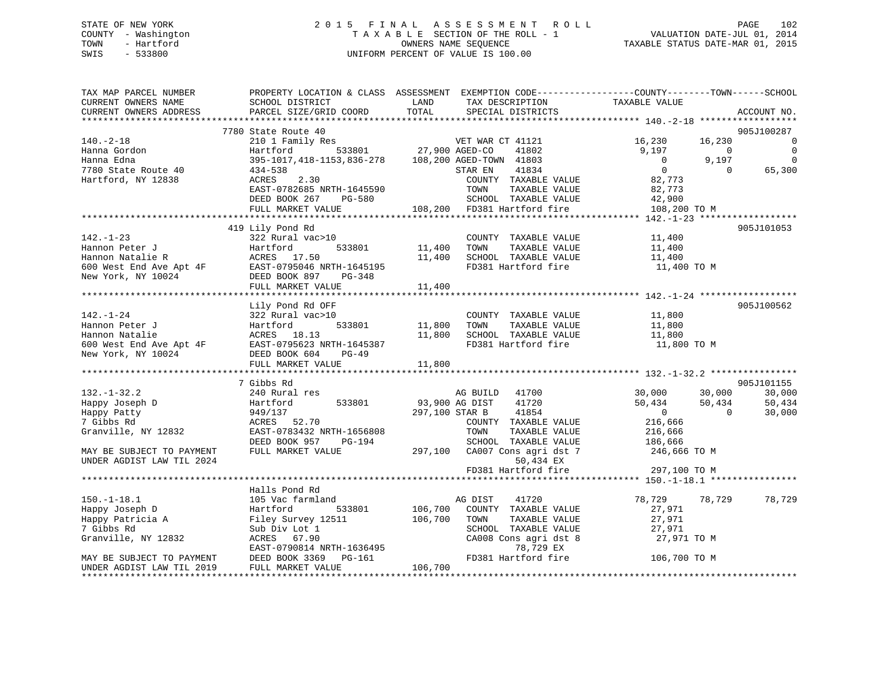# STATE OF NEW YORK 2 0 1 5 F I N A L A S S E S S M E N T R O L L PAGE 102 COUNTY - Washington T A X A B L E SECTION OF THE ROLL - 1 VALUATION DATE-JUL 01, 2014 TOWN - Hartford **TAXABLE STATUS DATE-MAR 01, 2015** OWNERS NAME SEQUENCE TAXABLE STATUS DATE-MAR 01, 2015 SWIS - 533800 UNIFORM PERCENT OF VALUE IS 100.00

| TAX MAP PARCEL NUMBER<br>CURRENT OWNERS NAME | SCHOOL DISTRICT                                                                                               | LAND<br>TAX DESCRIPTION                              | PROPERTY LOCATION & CLASS ASSESSMENT EXEMPTION CODE----------------COUNTY-------TOWN-----SCHOOL<br>TAXABLE VALUE |
|----------------------------------------------|---------------------------------------------------------------------------------------------------------------|------------------------------------------------------|------------------------------------------------------------------------------------------------------------------|
| CURRENT OWNERS ADDRESS                       | PARCEL SIZE/GRID COORD                                                                                        | TOTAL<br>SPECIAL DISTRICTS                           | ACCOUNT NO.                                                                                                      |
|                                              | 7780 State Route 40                                                                                           |                                                      | 905J100287                                                                                                       |
| $140.-2-18$                                  | 210 1 Family Res                                                                                              |                                                      | 16,230<br>16,230<br>$\mathbf 0$                                                                                  |
| Hanna Gordon                                 | Hartford                                                                                                      | 3<br>533801 77,900 AGED-CO 41802                     | 9,197<br>$\mathbf 0$<br>$\Omega$                                                                                 |
| Hanna Edna                                   |                                                                                                               | 395-1017, 418-1153, 836-278 108, 200 AGED-TOWN 41803 | $\overline{0}$<br>9,197<br>$\Omega$                                                                              |
| 7780 State Route 40                          | 434-538                                                                                                       | STAR EN<br>41834                                     | $\overline{0}$<br>$\Omega$<br>65,300                                                                             |
| Hartford, NY 12838                           | ACRES<br>2.30                                                                                                 | COUNTY TAXABLE VALUE                                 | 82,773                                                                                                           |
|                                              | EAST-0782685 NRTH-1645590                                                                                     | TOWN<br>TAXABLE VALUE                                | 82,773                                                                                                           |
|                                              | DEED BOOK 267<br><b>PG-580</b>                                                                                | SCHOOL TAXABLE VALUE                                 | 42,900                                                                                                           |
|                                              | FULL MARKET VALUE                                                                                             | 108,200 FD381 Hartford fire                          | 108,200 TO M                                                                                                     |
|                                              |                                                                                                               |                                                      |                                                                                                                  |
|                                              | 419 Lily Pond Rd                                                                                              |                                                      | 905J101053                                                                                                       |
| $142. - 1 - 23$                              | 322 Rural vac>10                                                                                              | COUNTY TAXABLE VALUE                                 | 11,400                                                                                                           |
| Hannon Peter J                               | 533801<br>Hartford                                                                                            | 11,400<br>TAXABLE VALUE<br>TOWN                      | 11,400                                                                                                           |
|                                              | Hannon Natalie R<br>Fannon Natalie R<br>600 West End Ave Apt 4F<br>New York, NY 10024<br>DEED BOOK 897 PG-348 | SCHOOL TAXABLE VALUE<br>11,400                       | 11,400                                                                                                           |
|                                              |                                                                                                               | FD381 Hartford fire                                  | 11,400 TO M                                                                                                      |
|                                              |                                                                                                               |                                                      |                                                                                                                  |
|                                              | FULL MARKET VALUE                                                                                             | 11,400                                               |                                                                                                                  |
|                                              |                                                                                                               |                                                      | 905J100562                                                                                                       |
| $142. - 1 - 24$                              | Lily Pond Rd OFF<br>322 Rural vac>10                                                                          | COUNTY TAXABLE VALUE                                 | 11,800                                                                                                           |
| Hannon Peter J                               | 533801<br>Hartford                                                                                            | 11,800<br>TAXABLE VALUE<br>TOWN                      | 11,800                                                                                                           |
| Hannon Natalie                               | ACRES 18.13                                                                                                   | SCHOOL TAXABLE VALUE<br>11,800                       | 11,800                                                                                                           |
|                                              |                                                                                                               | FD381 Hartford fire                                  | 11,800 TO M                                                                                                      |
|                                              |                                                                                                               |                                                      |                                                                                                                  |
|                                              | FULL MARKET VALUE                                                                                             | 11,800                                               |                                                                                                                  |
|                                              |                                                                                                               |                                                      |                                                                                                                  |
|                                              | 7 Gibbs Rd                                                                                                    |                                                      | 905J101155                                                                                                       |
| $132. - 1 - 32.2$                            | 240 Rural res                                                                                                 | AG BUILD 41700                                       | 30,000<br>30,000<br>30,000                                                                                       |
| Happy Joseph D                               | 533801<br>Hartford                                                                                            | 93,900 AG DIST<br>41720                              | 50,434<br>50,434<br>50,434                                                                                       |
| Happy Patty                                  | 949/137                                                                                                       | 41854<br>297,100 STAR B                              | $\overline{0}$<br>$\overline{0}$<br>30,000                                                                       |
| 7 Gibbs Rd                                   | ACRES 52.70                                                                                                   | COUNTY TAXABLE VALUE                                 | 216,666                                                                                                          |
| Granville, NY 12832                          | EAST-0783432 NRTH-1656808                                                                                     | TOWN<br>TAXABLE VALUE                                | 216,666                                                                                                          |
|                                              | DEED BOOK 957<br>PG-194                                                                                       | SCHOOL TAXABLE VALUE                                 | 186,666                                                                                                          |
| MAY BE SUBJECT TO PAYMENT                    | FULL MARKET VALUE                                                                                             | 297,100<br>CA007 Cons agri dst 7                     | $246,666$ TO M                                                                                                   |
| UNDER AGDIST LAW TIL 2024                    |                                                                                                               | 50,434 EX                                            |                                                                                                                  |
|                                              |                                                                                                               | FD381 Hartford fire                                  | 297,100 TO M                                                                                                     |
|                                              |                                                                                                               |                                                      |                                                                                                                  |
|                                              | Halls Pond Rd                                                                                                 |                                                      |                                                                                                                  |
| $150. - 1 - 18.1$                            | 105 Vac farmland                                                                                              | 41720<br>AG DIST                                     | 78,729<br>78,729<br>78,729                                                                                       |
| Happy Joseph D                               | Hartford<br>533801                                                                                            | 106,700<br>COUNTY TAXABLE VALUE                      | 27,971                                                                                                           |
| Happy Patricia A                             | Filey Survey 12511                                                                                            | 106,700<br>TOWN<br>TAXABLE VALUE                     | 27,971                                                                                                           |
| 7 Gibbs Rd                                   | Sub Div Lot 1                                                                                                 | SCHOOL TAXABLE VALUE                                 | 27,971                                                                                                           |
| Granville, NY 12832                          | ACRES 67.90                                                                                                   | CA008 Cons agri dst 8                                | 27,971 TO M                                                                                                      |
| MAY BE SUBJECT TO PAYMENT                    | EAST-0790814 NRTH-1636495<br>PG-161                                                                           | 78,729 EX<br>FD381 Hartford fire                     | 106,700 TO M                                                                                                     |
| UNDER AGDIST LAW TIL 2019                    | DEED BOOK 3369<br>FULL MARKET VALUE                                                                           | 106,700                                              |                                                                                                                  |
|                                              |                                                                                                               |                                                      |                                                                                                                  |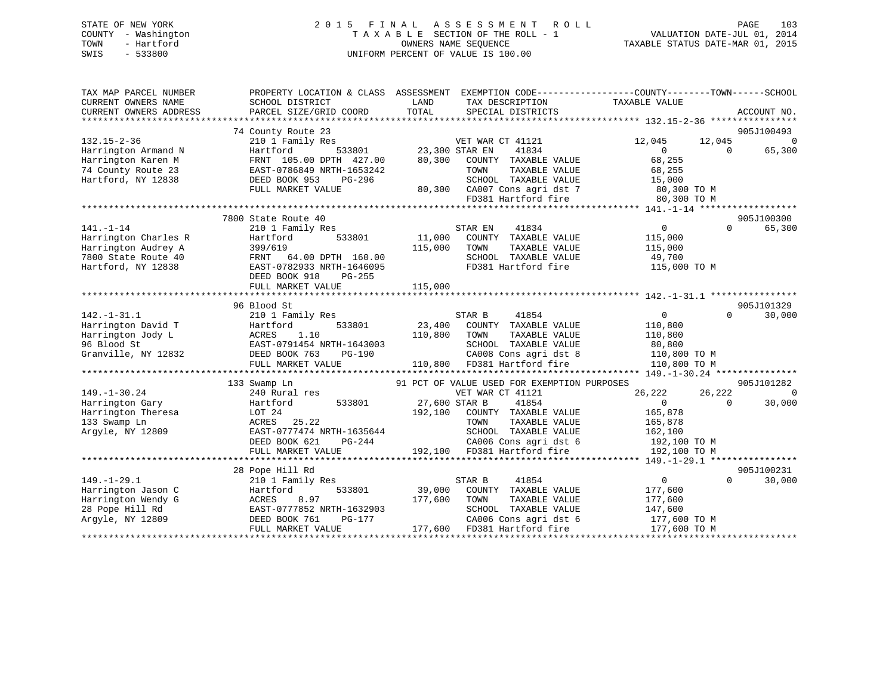# STATE OF NEW YORK 2 0 1 5 F I N A L A S S E S S M E N T R O L L PAGE 103 COUNTY - Washington T A X A B L E SECTION OF THE ROLL - 1 VALUATION DATE-JUL 01, 2014 TOWN - Hartford **TAXABLE STATUS DATE-MAR 01, 2015** OWNERS NAME SEQUENCE TAXABLE STATUS DATE-MAR 01, 2015 SWIS - 533800 UNIFORM PERCENT OF VALUE IS 100.00

| TAX MAP PARCEL NUMBER<br>CURRENT OWNERS NAME<br>CURRENT OWNERS ADDRESS | PROPERTY LOCATION & CLASS ASSESSMENT<br>SCHOOL DISTRICT<br>PARCEL SIZE/GRID COORD | LAND<br>TAX DESCRIPTION<br>TOTAL<br>SPECIAL DISTRICTS | EXEMPTION CODE-----------------COUNTY-------TOWN------SCHOOL<br>TAXABLE VALUE<br>ACCOUNT NO. |
|------------------------------------------------------------------------|-----------------------------------------------------------------------------------|-------------------------------------------------------|----------------------------------------------------------------------------------------------|
|                                                                        | 74 County Route 23                                                                |                                                       | 905J100493                                                                                   |
| $132.15 - 2 - 36$                                                      | 210 1 Family Res                                                                  | VET WAR CT 41121                                      | 12,045<br>$\mathbf 0$                                                                        |
| Harrington Armand N                                                    | 533801<br>Hartford                                                                | 23,300 STAR EN<br>41834                               | 12,045<br>$\Omega$<br>65,300<br>$\Omega$                                                     |
| Harrington Karen M                                                     | FRNT 105.00 DPTH 427.00                                                           | 80,300<br>COUNTY TAXABLE VALUE                        | 68,255                                                                                       |
| 74 County Route 23                                                     | EAST-0786849 NRTH-1653242                                                         | TAXABLE VALUE<br>TOWN                                 | 68,255                                                                                       |
| Hartford, NY 12838                                                     | DEED BOOK 953<br>PG-296                                                           | SCHOOL TAXABLE VALUE                                  | 15,000                                                                                       |
|                                                                        | FULL MARKET VALUE                                                                 | 80,300 CA007 Cons agri dst 7                          |                                                                                              |
|                                                                        |                                                                                   | FD381 Hartford fire                                   | 80,300 TO M<br>80,300 TO M                                                                   |
|                                                                        |                                                                                   |                                                       |                                                                                              |
|                                                                        | 7800 State Route 40                                                               |                                                       | 905J100300                                                                                   |
| $141. - 1 - 14$                                                        | 210 1 Family Res                                                                  | 41834<br>STAR EN                                      | $\overline{0}$<br>$\Omega$<br>65,300                                                         |
| Harrington Charles R                                                   | 533801<br>Hartford                                                                | 11,000<br>COUNTY TAXABLE VALUE                        | 115,000                                                                                      |
| Harrington Audrey A                                                    | 399/619                                                                           | 115,000<br>TOWN<br>TAXABLE VALUE                      | 115,000                                                                                      |
| 7800 State Route 40                                                    | FRNT 64.00 DPTH 160.00                                                            | SCHOOL TAXABLE VALUE                                  | 49,700                                                                                       |
| Hartford, NY 12838                                                     | EAST-0782933 NRTH-1646095                                                         | FD381 Hartford fire                                   | 115,000 TO M                                                                                 |
|                                                                        | DEED BOOK 918<br>PG-255                                                           |                                                       |                                                                                              |
|                                                                        | FULL MARKET VALUE                                                                 | 115,000                                               |                                                                                              |
|                                                                        |                                                                                   |                                                       |                                                                                              |
|                                                                        | 96 Blood St                                                                       |                                                       | 905J101329                                                                                   |
| $142. - 1 - 31.1$                                                      | 210 1 Family Res                                                                  | STAR B<br>41854                                       | $\overline{0}$<br>$\Omega$<br>30,000                                                         |
| Harrington David T                                                     | 533801<br>Hartford                                                                | 23,400<br>COUNTY TAXABLE VALUE                        | 110,800                                                                                      |
| Harrington Jody L                                                      | 1.10<br>ACRES                                                                     | 110,800<br>TOWN<br>TAXABLE VALUE                      | 110,800                                                                                      |
| 96 Blood St                                                            | EAST-0791454 NRTH-1643003                                                         | SCHOOL TAXABLE VALUE                                  | 80,800                                                                                       |
| Granville, NY 12832                                                    | PG-190<br>DEED BOOK 763                                                           | CA008 Cons agri dst 8                                 | 110,800 TO M                                                                                 |
|                                                                        | FULL MARKET VALUE                                                                 | 110,800 FD381 Hartford fire                           | 110,800 TO M                                                                                 |
|                                                                        |                                                                                   |                                                       |                                                                                              |
|                                                                        | 133 Swamp Ln                                                                      | 91 PCT OF VALUE USED FOR EXEMPTION PURPOSES           | 905J101282                                                                                   |
| $149. - 1 - 30.24$                                                     | 240 Rural res                                                                     | VET WAR CT 41121                                      | 26,222<br>26,222<br>$\mathbf 0$                                                              |
| Harrington Gary                                                        | 533801<br>Hartford                                                                | 27,600 STAR B<br>41854                                | 30,000<br>$\Omega$<br>$\Omega$                                                               |
| Harrington Theresa                                                     | LOT 24                                                                            | 192,100 COUNTY TAXABLE VALUE                          | 165,878                                                                                      |
| 133 Swamp Ln                                                           | ACRES<br>25.22                                                                    | TOWN<br>TAXABLE VALUE                                 | 165,878                                                                                      |
| Argyle, NY 12809                                                       | EAST-0777474 NRTH-1635644                                                         | SCHOOL TAXABLE VALUE                                  | 162,100                                                                                      |
|                                                                        | DEED BOOK 621<br>PG-244                                                           | CA006 Cons agri dst 6                                 | 192,100 TO M                                                                                 |
|                                                                        | FULL MARKET VALUE                                                                 | 192,100 FD381 Hartford fire                           | 192,100 TO M                                                                                 |
|                                                                        |                                                                                   |                                                       |                                                                                              |
|                                                                        | 28 Pope Hill Rd                                                                   |                                                       | 905J100231                                                                                   |
| $149. - 1 - 29.1$                                                      | 210 1 Family Res                                                                  | 41854<br>STAR B                                       | $\overline{0}$<br>$\Omega$<br>30,000                                                         |
| Harrington Jason C                                                     | 533801<br>Hartford                                                                | 39,000<br>COUNTY TAXABLE VALUE                        | 177,600                                                                                      |
| Harrington Wendy G                                                     | 8.97<br>ACRES                                                                     | 177,600<br>TOWN<br>TAXABLE VALUE                      | 177,600                                                                                      |
| 28 Pope Hill Rd                                                        | EAST-0777852 NRTH-1632903                                                         | SCHOOL TAXABLE VALUE                                  | 147,600                                                                                      |
| Argyle, NY 12809                                                       | DEED BOOK 761<br>PG-177                                                           | CA006 Cons agri dst 6                                 | 177,600 TO M                                                                                 |
|                                                                        | FULL MARKET VALUE                                                                 | 177,600 FD381 Hartford fire                           | 177,600 TO M                                                                                 |
|                                                                        |                                                                                   |                                                       |                                                                                              |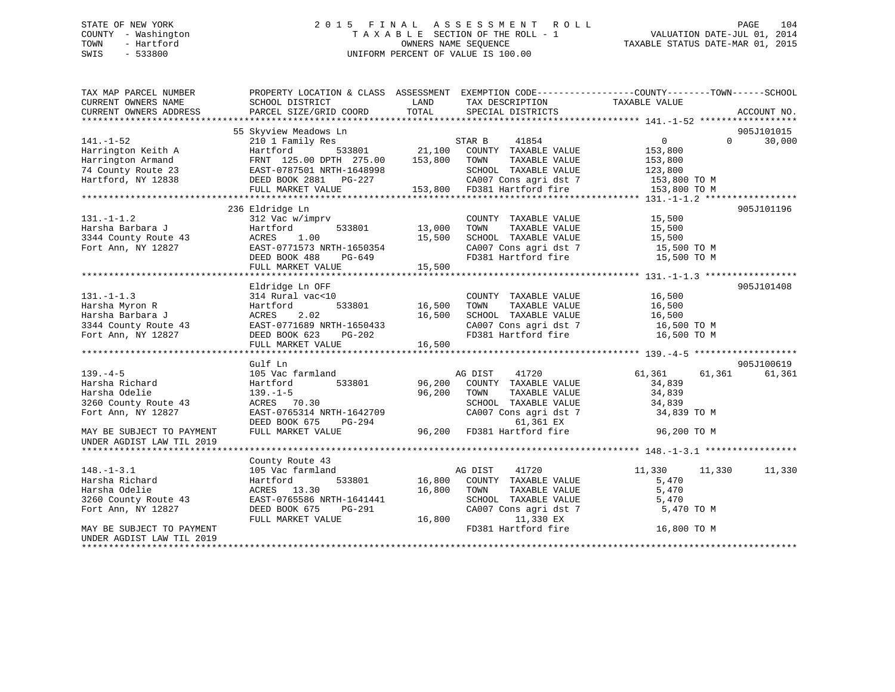# STATE OF NEW YORK 2 0 1 5 F I N A L A S S E S S M E N T R O L L PAGE 104 COUNTY - Washington T A X A B L E SECTION OF THE ROLL - 1 VALUATION DATE-JUL 01, 2014 TOWN - Hartford OWNERS NAME SEQUENCE TAXABLE STATUS DATE-MAR 01, 2015 SWIS - 533800 UNIFORM PERCENT OF VALUE IS 100.00UNIFORM PERCENT OF VALUE IS 100.00

| TAX MAP PARCEL NUMBER<br>CURRENT OWNERS NAME | SCHOOL DISTRICT                                                                 | LAND<br>TAX DESCRIPTION                                                      | PROPERTY LOCATION & CLASS ASSESSMENT EXEMPTION CODE---------------COUNTY-------TOWN-----SCHOOL<br>TAXABLE VALUE |
|----------------------------------------------|---------------------------------------------------------------------------------|------------------------------------------------------------------------------|-----------------------------------------------------------------------------------------------------------------|
| CURRENT OWNERS ADDRESS                       | PARCEL SIZE/GRID COORD                                                          | TOTAL<br>SPECIAL DISTRICTS                                                   | ACCOUNT NO.                                                                                                     |
|                                              |                                                                                 |                                                                              |                                                                                                                 |
|                                              | 55 Skyview Meadows Ln                                                           |                                                                              | 905J101015<br>$\Omega$                                                                                          |
| $141. - 1 - 52$                              | 210 1 Family Res                                                                | STAR B<br>41854                                                              | 30,000<br>$0 \qquad \qquad$                                                                                     |
| Harrington Keith A                           | 533801<br>Hartford                                                              | 21,100 COUNTY TAXABLE VALUE                                                  | 153,800                                                                                                         |
| Harrington Armand                            | FRNT 125.00 DPTH 275.00<br>FRNT 125.00 DPIH 275.00<br>EAST-0787501 NRTH-1648998 | 153,800 TOWN<br>TAXABLE VALUE                                                | 153,800                                                                                                         |
| 74 County Route 23                           |                                                                                 | SCHOOL TAXABLE VALUE                                                         | 123,800                                                                                                         |
| Hartford, NY 12838                           | DEED BOOK 2881 PG-227                                                           | SCHOOL TAXABLE VALUE<br>CA007 Cons agri dst 7<br>153,800 FD381 Hartford fire | CA007 Cons agri dst 7 153,800 TO M                                                                              |
|                                              | FULL MARKET VALUE                                                               |                                                                              | 153,800 TO M                                                                                                    |
|                                              | 236 Eldridge Ln                                                                 |                                                                              | 905J101196                                                                                                      |
| $131. - 1 - 1.2$                             | 312 Vac w/imprv                                                                 | COUNTY TAXABLE VALUE                                                         | 15,500                                                                                                          |
| Harsha Barbara J                             | Hartford                                                                        | TAXABLE VALUE<br>TOWN                                                        | 15,500                                                                                                          |
| 3344 County Route 43                         | 1.00<br>ACRES                                                                   | 533801 13,000<br>15,500<br>SCHOOL TAXABLE VALUE                              | 15,500                                                                                                          |
|                                              | EAST-0771573 NRTH-1650354                                                       | CA007 Cons agri dst 7                                                        |                                                                                                                 |
| Fort Ann, NY 12827                           |                                                                                 | FD381 Hartford fire                                                          | 15,500 TO M                                                                                                     |
|                                              | DEED BOOK 488<br>PG-649                                                         |                                                                              | 15,500 TO M                                                                                                     |
|                                              | FULL MARKET VALUE                                                               | 15,500                                                                       |                                                                                                                 |
|                                              | Eldridge Ln OFF                                                                 |                                                                              | 905J101408                                                                                                      |
| $131. -1 - 1.3$                              | 314 Rural vac<10                                                                | COUNTY TAXABLE VALUE                                                         | 16,500                                                                                                          |
| Harsha Myron R                               | 533801                                                                          | $16,500$ TOWN<br>TAXABLE VALUE                                               | 16,500                                                                                                          |
| Harsha Barbara J                             | Hartford<br>2.02                                                                | 16,500<br>SCHOOL TAXABLE VALUE                                               | 16,500                                                                                                          |
|                                              | ACRES                                                                           |                                                                              |                                                                                                                 |
| 3344 County Route 43                         | EAST-0771689 NRTH-1650433<br>DEED BOOK 623                                      | CA007 Cons agri dst 7<br>FD381 Hartford fire                                 | 16,500 TO M<br>16,500 TO M                                                                                      |
| Fort Ann, NY 12827                           | PG-202                                                                          |                                                                              |                                                                                                                 |
|                                              | FULL MARKET VALUE                                                               | 16,500                                                                       |                                                                                                                 |
|                                              | Gulf Ln                                                                         |                                                                              | 905J100619                                                                                                      |
| $139. -4 - 5$                                | 105 Vac farmland                                                                | AG DIST<br>41720                                                             | 61,361<br>61,361<br>61,361                                                                                      |
|                                              | 533801                                                                          | 96,200 COUNTY TAXABLE VALUE                                                  |                                                                                                                 |
| Harsha Richard                               | Hartford                                                                        | TOWN                                                                         | 34,839                                                                                                          |
| Harsha Odelie<br>3260 County Route 43        | $139. - 1 - 5$<br>ACRES 70.30                                                   | 96,200<br>TAXABLE VALUE<br>SCHOOL TAXABLE VALUE                              | 34,839                                                                                                          |
| Fort Ann, NY 12827                           | EAST-0765314 NRTH-1642709                                                       | CA007 Cons agri dst 7                                                        | 34,839                                                                                                          |
|                                              |                                                                                 | 61,361 EX                                                                    | 34,839 TO M                                                                                                     |
|                                              | DEED BOOK 675<br>PG-294                                                         | FD381 Hartford fire                                                          |                                                                                                                 |
| MAY BE SUBJECT TO PAYMENT                    | FULL MARKET VALUE                                                               | 96,200                                                                       | 96,200 TO M                                                                                                     |
| UNDER AGDIST LAW TIL 2019                    |                                                                                 |                                                                              |                                                                                                                 |
|                                              |                                                                                 |                                                                              |                                                                                                                 |
| $148. - 1 - 3.1$                             | County Route 43                                                                 | AG DIST<br>41720                                                             | 11,330                                                                                                          |
|                                              | 105 Vac farmland                                                                |                                                                              | 11,330 11,330                                                                                                   |
| Harsha Richard                               | 533801<br>Hartford<br>ACRES 13.30                                               | 16,800 COUNTY TAXABLE VALUE<br>16,800<br>TOWN                                | 5,470<br>5,470                                                                                                  |
| Harsha Odelie                                |                                                                                 | TAXABLE VALUE                                                                |                                                                                                                 |
| 3260 County Route 43                         | EAST-0765586 NRTH-1641441                                                       | SCHOOL TAXABLE VALUE                                                         | 5,470                                                                                                           |
| Fort Ann, NY 12827                           | DEED BOOK 675<br>PG-291                                                         | CA007 Cons agri dst 7                                                        | 5,470 TO M                                                                                                      |
|                                              | FULL MARKET VALUE                                                               | 16,800<br>11,330 EX                                                          |                                                                                                                 |
| MAY BE SUBJECT TO PAYMENT                    |                                                                                 | FD381 Hartford fire                                                          | 16,800 TO M                                                                                                     |
| UNDER AGDIST LAW TIL 2019                    |                                                                                 |                                                                              |                                                                                                                 |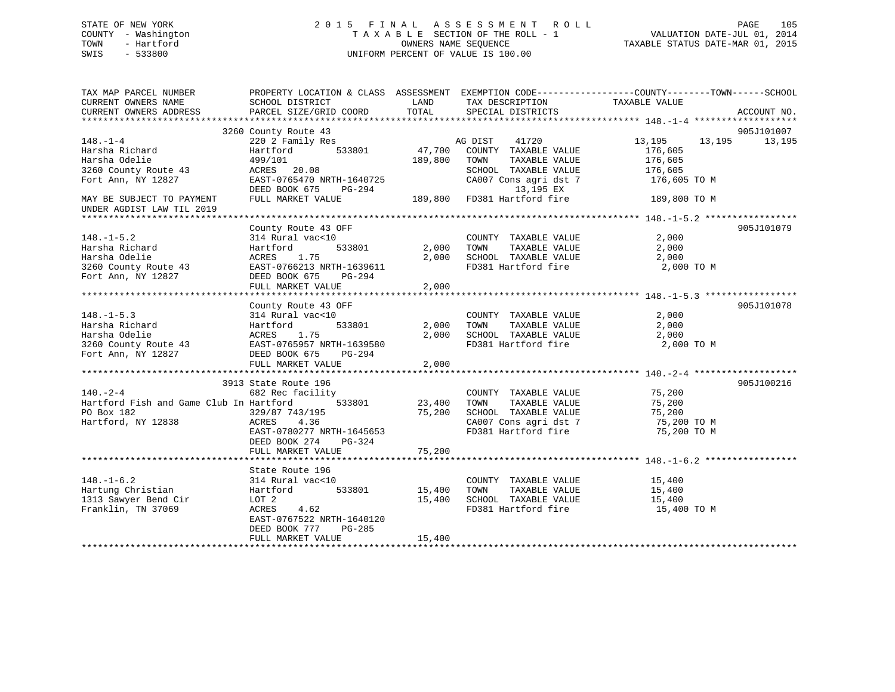# STATE OF NEW YORK 2 0 1 5 F I N A L A S S E S S M E N T R O L L PAGE 105 COUNTY - Washington T A X A B L E SECTION OF THE ROLL - 1 VALUATION DATE-JUL 01, 2014 TOWN - Hartford **TAXABLE STATUS DATE-MAR 01, 2015** OWNERS NAME SEQUENCE TAXABLE STATUS DATE-MAR 01, 2015 SWIS - 533800 UNIFORM PERCENT OF VALUE IS 100.00

| TAX MAP PARCEL NUMBER<br>CURRENT OWNERS NAME<br>CURRENT OWNERS ADDRESS                                                                           | PROPERTY LOCATION & CLASS ASSESSMENT EXEMPTION CODE----------------COUNTY-------TOWN------SCHOOL<br>SCHOOL DISTRICT<br>PARCEL SIZE/GRID COORD                      | LAND<br>TOTAL              | TAX DESCRIPTION<br>SPECIAL DISTRICTS                                                                                  | TAXABLE VALUE                                                                          | ACCOUNT NO.          |
|--------------------------------------------------------------------------------------------------------------------------------------------------|--------------------------------------------------------------------------------------------------------------------------------------------------------------------|----------------------------|-----------------------------------------------------------------------------------------------------------------------|----------------------------------------------------------------------------------------|----------------------|
| $148. - 1 - 4$<br>Harsha Richard<br>Harsha Odelie<br>3260 County Route 43<br>Fort Ann, NY 12827                                                  | 3260 County Route 43<br>220 2 Family Res<br>533801<br>Hartford<br>499/101<br>ACRES 20.08<br>EAST-0765470 NRTH-1640725<br>DEED BOOK 675<br>PG-294                   | 47,700<br>189,800          | AG DIST<br>41720<br>COUNTY TAXABLE VALUE<br>TOWN<br>TAXABLE VALUE<br>SCHOOL TAXABLE VALUE<br>13,195 EX                | 13, 195 13, 195<br>176,605<br>176,605<br>176,605<br>CA007 Cons agri dst 7 176,605 TO M | 905J101007<br>13,195 |
| MAY BE SUBJECT TO PAYMENT<br>UNDER AGDIST LAW TIL 2019                                                                                           | FULL MARKET VALUE                                                                                                                                                  |                            | 189,800 FD381 Hartford fire 189,800 TO M                                                                              |                                                                                        |                      |
| $148. - 1 - 5.2$<br>Harsha Richard<br>Harsha Odelie<br>3260 County Route 43<br>Fort Ann, NY 12827                                                | County Route 43 OFF<br>314 Rural vac<10<br>533801<br>Hartford<br>1.75<br>ACRES<br>EAST-0766213 NRTH-1639611<br>DEED BOOK 675<br>PG-294<br>FULL MARKET VALUE        | 2,000<br>2,000<br>2,000    | COUNTY TAXABLE VALUE<br>TAXABLE VALUE<br>TOWN<br>SCHOOL TAXABLE VALUE                                                 | 2,000<br>2,000<br>2,000<br>FD381 Hartford fire 2,000 TO M                              | 905J101079           |
| $148. - 1 - 5.3$<br>Harsha Richard<br>Harsha Odelie<br>3260 County Route 43 EAST-0765957 NRTH-1639580<br>Fort Ann, NY 12827 DEED BOOK 675 PG-294 | County Route 43 OFF<br>314 Rural vac<10<br>533801<br>Hartford<br>FULL MARKET VALUE                                                                                 | 2,000<br>2,000<br>2,000    | COUNTY TAXABLE VALUE<br>TOWN<br>TAXABLE VALUE<br>SCHOOL TAXABLE VALUE<br>FD381 Hartford fire                          | 2,000<br>2,000<br>2,000<br>2,000 TO M                                                  | 905J101078           |
| $140 - 2 - 4$<br>Hartford Fish and Game Club In Hartford<br>PO Box 182<br>Hartford, NY 12838                                                     | 3913 State Route 196<br>682 Rec facility<br>533801<br>329/87 743/195<br>ACRES<br>4.36<br>EAST-0780277 NRTH-1645653<br>DEED BOOK 274<br>PG-324<br>FULL MARKET VALUE | 23,400<br>75,200<br>75,200 | COUNTY TAXABLE VALUE<br>TOWN<br>TAXABLE VALUE<br>SCHOOL TAXABLE VALUE<br>CA007 Cons agri dst 7<br>FD381 Hartford fire | 75,200<br>75,200<br>75,200<br>75,200 TO M<br>75,200 TO M                               | 905J100216           |
| $148. - 1 - 6.2$<br>Hartung Christian<br>1313 Sawyer Bend Cir<br>Franklin, TN 37069                                                              | State Route 196<br>314 Rural vac<10<br>533801<br>Hartford<br>LOT 2<br>ACRES<br>4.62<br>EAST-0767522 NRTH-1640120<br>DEED BOOK 777<br>PG-285<br>FULL MARKET VALUE   | 15,400<br>15,400<br>15,400 | COUNTY TAXABLE VALUE<br>TOWN<br>TAXABLE VALUE<br>SCHOOL TAXABLE VALUE<br>FD381 Hartford fire                          | 15,400<br>15,400<br>15,400<br>15,400 TO M                                              |                      |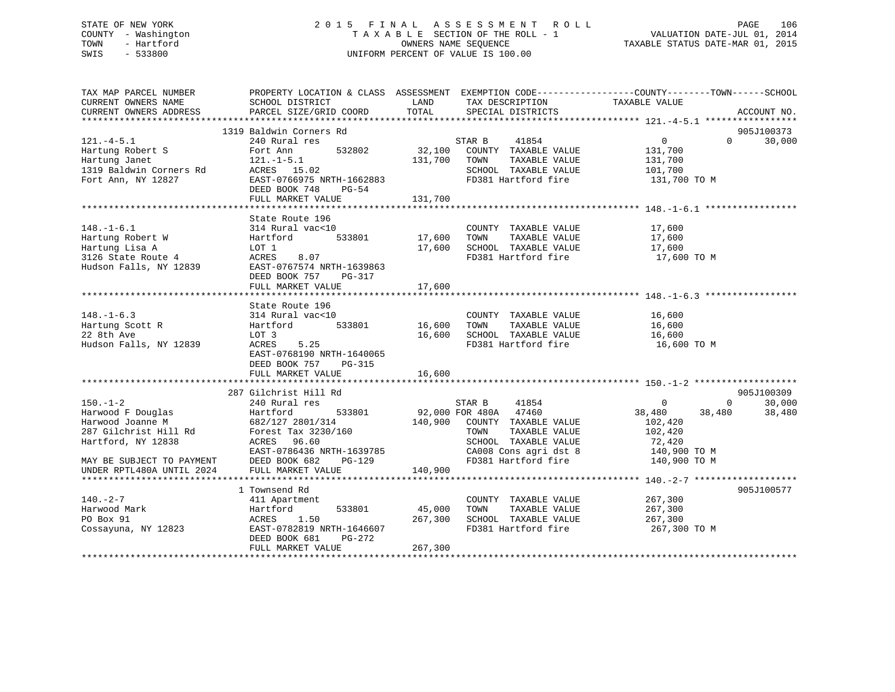# STATE OF NEW YORK 2 0 1 5 F I N A L A S S E S S M E N T R O L L PAGE 106 COUNTY - Washington T A X A B L E SECTION OF THE ROLL - 1 VALUATION DATE-JUL 01, 2014 TOWN - Hartford **TAXABLE STATUS DATE-MAR 01, 2015** OWNERS NAME SEQUENCE TAXABLE STATUS DATE-MAR 01, 2015 SWIS - 533800 UNIFORM PERCENT OF VALUE IS 100.00

| TAX MAP PARCEL NUMBER<br>CURRENT OWNERS NAME<br>CURRENT OWNERS ADDRESS                        | SCHOOL DISTRICT<br>PARCEL SIZE/GRID COORD                                                                                                                   | LAND<br>TOTAL | TAX DESCRIPTION TAXABLE VALUE<br>SPECIAL DISTRICTS                     | PROPERTY LOCATION & CLASS ASSESSMENT EXEMPTION CODE----------------COUNTY-------TOWN-----SCHOOL<br>ACCOUNT NO. |
|-----------------------------------------------------------------------------------------------|-------------------------------------------------------------------------------------------------------------------------------------------------------------|---------------|------------------------------------------------------------------------|----------------------------------------------------------------------------------------------------------------|
|                                                                                               |                                                                                                                                                             |               |                                                                        |                                                                                                                |
|                                                                                               | 1319 Baldwin Corners Rd                                                                                                                                     |               |                                                                        | 905J100373                                                                                                     |
| $121. -4 - 5.1$                                                                               | 240 Rural res                                                                                                                                               |               | 41854<br>STAR B                                                        | $\overline{0}$<br>$0 \t 30,000$                                                                                |
| Hartung Robert S                                                                              | Fort Ann 532802                                                                                                                                             |               | 32,100 COUNTY TAXABLE VALUE 131,700                                    |                                                                                                                |
|                                                                                               |                                                                                                                                                             |               | 131,700 TOWN<br>TAXABLE VALUE<br>SCHOOL TAXABLE VALUE 101,700          | 131,700                                                                                                        |
| 121.-1-5.1<br>1319 Baldwin Corners Rd ACRES 15.02<br>Fort Ann. NV 12827<br>Fort Ann, NY 12827 |                                                                                                                                                             |               |                                                                        |                                                                                                                |
|                                                                                               | EAST-0766975 NRTH-1662883<br>$PG-54$                                                                                                                        |               | FD381 Hartford fire 131,700 TO M                                       |                                                                                                                |
|                                                                                               | DEED BOOK 748<br>FULL MARKET VALUE                                                                                                                          | 131,700       |                                                                        |                                                                                                                |
|                                                                                               |                                                                                                                                                             |               |                                                                        |                                                                                                                |
|                                                                                               | State Route 196                                                                                                                                             |               |                                                                        |                                                                                                                |
| $148. - 1 - 6.1$                                                                              | 314 Rural vac<10                                                                                                                                            |               | COUNTY TAXABLE VALUE 17,600                                            |                                                                                                                |
|                                                                                               |                                                                                                                                                             |               | TOWN TAXABLE VALUE                                                     |                                                                                                                |
|                                                                                               |                                                                                                                                                             |               | SCHOOL TAXABLE VALUE                                                   | 17,600<br>17,600                                                                                               |
|                                                                                               |                                                                                                                                                             |               | FD381 Hartford fire 17,600 TO M                                        |                                                                                                                |
|                                                                                               | Hartung Robert W Hartford 533801 17,600<br>Hartung Lisa A LOT 1 17,600<br>3126 State Route 4 ACRES 8.07<br>Hudson Falls, NY 12839 EAST-0767574 NRTH-1639863 |               |                                                                        |                                                                                                                |
|                                                                                               | DEED BOOK 757 PG-317                                                                                                                                        |               |                                                                        |                                                                                                                |
|                                                                                               | FULL MARKET VALUE                                                                                                                                           | 17,600        |                                                                        |                                                                                                                |
|                                                                                               |                                                                                                                                                             |               |                                                                        |                                                                                                                |
|                                                                                               | State Route 196                                                                                                                                             |               |                                                                        |                                                                                                                |
| $148. - 1 - 6.3$                                                                              | 314 Rural vac<10                                                                                                                                            |               | COUNTY TAXABLE VALUE 16,600                                            |                                                                                                                |
| Hartung Scott R                                                                               | Hartford 533801                                                                                                                                             | 16,600        | TAXABLE VALUE<br>TOWN                                                  | 16,600                                                                                                         |
| 22 8th Ave                                                                                    | LOT 3                                                                                                                                                       | 16,600        | SCHOOL TAXABLE VALUE 16,600                                            |                                                                                                                |
| Hudson Falls, NY 12839                                                                        | ACRES 5.25                                                                                                                                                  |               | FD381 Hartford fire                                                    | 16,600 TO M                                                                                                    |
|                                                                                               | EAST-0768190 NRTH-1640065                                                                                                                                   |               |                                                                        |                                                                                                                |
|                                                                                               | DEED BOOK 757 PG-315                                                                                                                                        |               |                                                                        |                                                                                                                |
|                                                                                               | FULL MARKET VALUE                                                                                                                                           | 16,600        |                                                                        |                                                                                                                |
|                                                                                               |                                                                                                                                                             |               |                                                                        |                                                                                                                |
|                                                                                               | 287 Gilchrist Hill Rd                                                                                                                                       |               |                                                                        | 905J100309                                                                                                     |
| $150. - 1 - 2$                                                                                | 240 Rural res                                                                                                                                               |               | STAR B 41854<br>92,000 FOR 480A 47460                                  | $\overline{0}$<br>$0 \qquad \qquad$<br>30,000                                                                  |
|                                                                                               | Harwood F Douglas<br>Harwood F Douglas<br>Harwood Joanne M 682/127 2801/314<br>287 Gilchrist Hill Rd Forest Tax 3230/160                                    |               |                                                                        | 38,480<br>38,480<br>38,480                                                                                     |
|                                                                                               |                                                                                                                                                             |               | 140,900 COUNTY TAXABLE VALUE                                           | 102,420                                                                                                        |
|                                                                                               |                                                                                                                                                             |               | TAXABLE VALUE<br>TOWN                                                  | 102,420                                                                                                        |
| Hartford, NY 12838                                                                            | ACRES 96.60                                                                                                                                                 |               | SCHOOL TAXABLE VALUE                                                   | 72,420<br>140,900 TO M                                                                                         |
|                                                                                               | EAST-0786436 NRTH-1639785                                                                                                                                   |               |                                                                        |                                                                                                                |
|                                                                                               | PG-129                                                                                                                                                      |               | CA008 Cons agri dst 8 140,900 TO M<br>FD381 Hartford fire 140,900 TO M |                                                                                                                |
| MAY BE SUBJECT TO PAYMENT DEED BOOK 682 F<br>UNDER RPTL480A UNTIL 2024 FULL MARKET VALUE      |                                                                                                                                                             | 140,900       |                                                                        |                                                                                                                |
|                                                                                               |                                                                                                                                                             |               |                                                                        |                                                                                                                |
|                                                                                               | 1 Townsend Rd                                                                                                                                               |               |                                                                        | 905J100577                                                                                                     |
| $140. - 2 - 7$                                                                                | 411 Apartment                                                                                                                                               |               | COUNTY TAXABLE VALUE                                                   | 267,300                                                                                                        |
| Harwood Mark                                                                                  | Hartford                                                                                                                                                    | 533801 45,000 | TAXABLE VALUE<br>TOWN                                                  | 267,300                                                                                                        |
| PO Box 91                                                                                     | ACRES 1.50                                                                                                                                                  | 267,300       | SCHOOL TAXABLE VALUE 267,300                                           |                                                                                                                |
| Cossayuna, NY 12823                                                                           | EAST-0782819 NRTH-1646607                                                                                                                                   |               | FD381 Hartford fire                                                    | 267,300 TO M                                                                                                   |
|                                                                                               | DEED BOOK 681<br>PG-272                                                                                                                                     |               |                                                                        |                                                                                                                |
|                                                                                               | FULL MARKET VALUE                                                                                                                                           | 267,300       |                                                                        |                                                                                                                |
|                                                                                               |                                                                                                                                                             |               |                                                                        |                                                                                                                |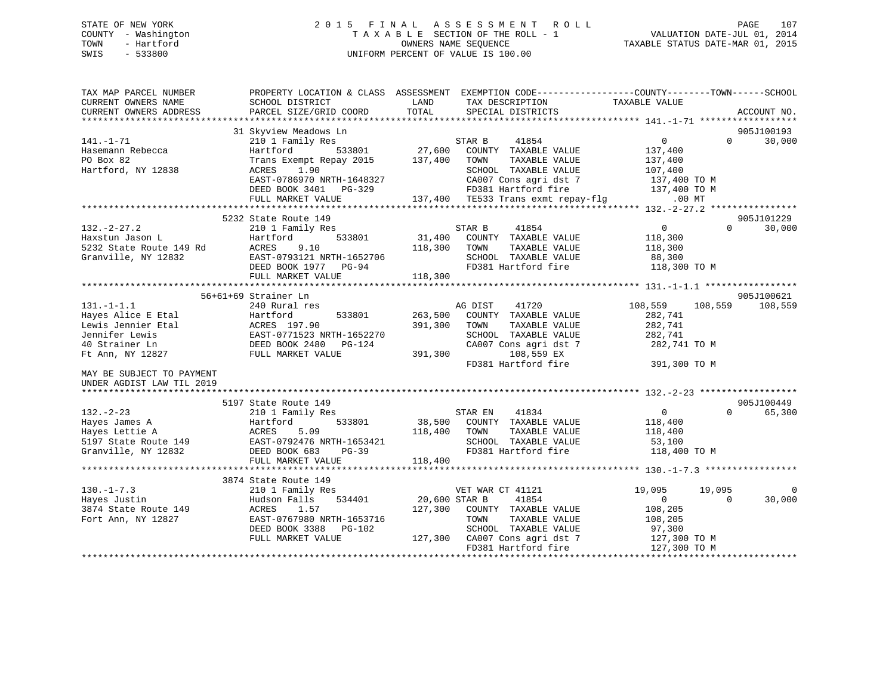# STATE OF NEW YORK 2 0 1 5 F I N A L A S S E S S M E N T R O L L PAGE 107 COUNTY - Washington T A X A B L E SECTION OF THE ROLL - 1 VALUATION DATE-JUL 01, 2014 TOWN - Hartford OWNERS NAME SEQUENCE TAXABLE STATUS DATE-MAR 01, 2015 SWIS - 533800 UNIFORM PERCENT OF VALUE IS 100.00

| TAX MAP PARCEL NUMBER<br>CURRENT OWNERS NAME                                                                         | PROPERTY LOCATION & CLASS ASSESSMENT EXEMPTION CODE---------------COUNTY-------TOWN-----SCHOOL<br>SCHOOL DISTRICT                                             | LAND                          | TAX DESCRIPTION                                                                                                                                                                | TAXABLE VALUE                                                      |                      |                    |
|----------------------------------------------------------------------------------------------------------------------|---------------------------------------------------------------------------------------------------------------------------------------------------------------|-------------------------------|--------------------------------------------------------------------------------------------------------------------------------------------------------------------------------|--------------------------------------------------------------------|----------------------|--------------------|
| CURRENT OWNERS ADDRESS                                                                                               | PARCEL SIZE/GRID COORD                                                                                                                                        | TOTAL                         | SPECIAL DISTRICTS                                                                                                                                                              |                                                                    |                      | ACCOUNT NO.        |
|                                                                                                                      | 31 Skyview Meadows Ln                                                                                                                                         |                               |                                                                                                                                                                                |                                                                    |                      | 905J100193         |
| $141. - 1 - 71$<br>Hasemann Rebecca<br>PO Box 82<br>Hartford, NY 12838                                               | 210 1 Family Res<br>533801<br>Hartford<br>Trans Exempt Repay 2015<br>1.90<br>ACRES<br>EAST-0786970 NRTH-1648327<br>DEED BOOK 3401 PG-329<br>FULL MARKET VALUE | 27,600<br>137,400             | 41854<br>STAR B<br>COUNTY TAXABLE VALUE<br>TOWN<br>TAXABLE VALUE<br>SCHOOL TAXABLE VALUE<br>CA007 Cons agri dst 7<br>FD381 Hartford fire<br>137,400 TE533 Trans exmt repay-flg | 0<br>137,400<br>137,400<br>107,400<br>137,400 TO M<br>137,400 TO M | $\Omega$<br>$.00$ MT | 30,000             |
|                                                                                                                      | 5232 State Route 149                                                                                                                                          |                               |                                                                                                                                                                                |                                                                    |                      | 905J101229         |
| $132 - 2 - 27.2$<br>Haxstun Jason L<br>5232 State Route 149 Rd<br>Granville, NY 12832                                | 210 1 Family Res<br>533801<br>Hartford<br>ACRES<br>9.10<br>EAST-0793121 NRTH-1652706<br>DEED BOOK 1977 PG-94<br>FULL MARKET VALUE                             | 31,400<br>118,300<br>118,300  | 41854<br>STAR B<br>COUNTY TAXABLE VALUE<br>TAXABLE VALUE<br>TOWN<br>SCHOOL TAXABLE VALUE<br>FD381 Hartford fire                                                                | $\overline{0}$<br>118,300<br>118,300<br>88,300<br>118,300 TO M     | $\Omega$             | 30,000             |
|                                                                                                                      | 56+61+69 Strainer Ln                                                                                                                                          |                               |                                                                                                                                                                                |                                                                    |                      | 905J100621         |
| $131. - 1 - 1.1$<br>Hayes Alice E Etal<br>Lewis Jennier Etal<br>Jennifer Lewis<br>40 Strainer Ln<br>Ft Ann, NY 12827 | 240 Rural res<br>Hartford<br>533801<br>ACRES 197.90<br>EAST-0771523 NRTH-1652270<br>DEED BOOK 2480 PG-124<br>FULL MARKET VALUE                                | 263,500<br>391,300<br>391,300 | AG DIST<br>41720<br>COUNTY TAXABLE VALUE<br>TOWN<br>TAXABLE VALUE<br>SCHOOL TAXABLE VALUE<br>CA007 Cons agri dst 7<br>108,559 EX                                               | 108,559<br>282,741<br>282,741<br>282,741<br>282,741 TO M           | 108,559              | 108,559            |
| MAY BE SUBJECT TO PAYMENT<br>UNDER AGDIST LAW TIL 2019                                                               |                                                                                                                                                               |                               | FD381 Hartford fire                                                                                                                                                            | 391,300 TO M                                                       |                      |                    |
|                                                                                                                      | 5197 State Route 149                                                                                                                                          |                               |                                                                                                                                                                                |                                                                    |                      | 905J100449         |
| $132 - 2 - 23$<br>Hayes James A<br>Hayes Lettie A<br>5197 State Route 149<br>Granville, NY 12832                     | 210 1 Family Res<br>533801<br>Hartford<br>ACRES<br>5.09<br>EAST-0792476 NRTH-1653421<br>DEED BOOK 683<br>$PG-39$<br>FULL MARKET VALUE                         | 38,500<br>118,400<br>118,400  | STAR EN<br>41834<br>COUNTY TAXABLE VALUE<br>TAXABLE VALUE<br>TOWN<br>SCHOOL TAXABLE VALUE<br>FD381 Hartford fire                                                               | $\overline{0}$<br>118,400<br>118,400<br>53,100<br>118,400 TO M     | $\Omega$             | 65,300             |
|                                                                                                                      |                                                                                                                                                               |                               |                                                                                                                                                                                |                                                                    |                      |                    |
| $130. - 1 - 7.3$<br>Hayes Justin<br>3874 State Route 149<br>Fort Ann, NY 12827                                       | 3874 State Route 149<br>210 1 Family Res<br>Hudson Falls<br>534401<br>ACRES<br>1.57<br>EAST-0767980 NRTH-1653716<br>DEED BOOK 3388<br>PG-102                  | 20,600 STAR B<br>127,300      | VET WAR CT 41121<br>41854<br>COUNTY TAXABLE VALUE<br>TOWN<br>TAXABLE VALUE<br>SCHOOL TAXABLE VALUE                                                                             | 19,095<br>$\Omega$<br>108,205<br>108,205<br>97,300                 | 19,095<br>$\Omega$   | $\Omega$<br>30,000 |
|                                                                                                                      | FULL MARKET VALUE                                                                                                                                             |                               | 127,300 CA007 Cons agri dst 7<br>FD381 Hartford fire                                                                                                                           | 127,300 TO M<br>127,300 TO M                                       |                      |                    |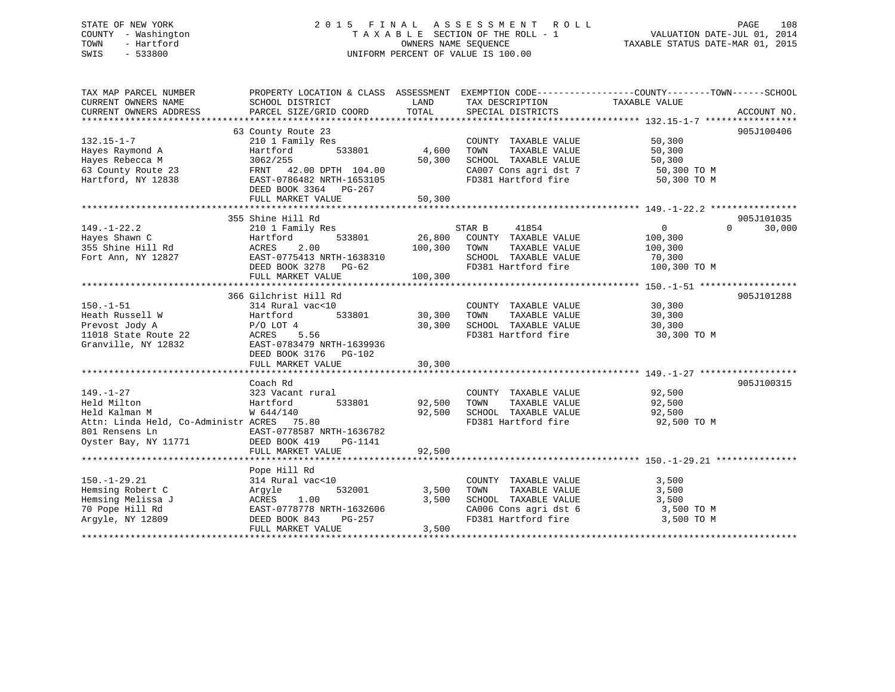# STATE OF NEW YORK 2 0 1 5 F I N A L A S S E S S M E N T R O L L PAGE 108 COUNTY - Washington T A X A B L E SECTION OF THE ROLL - 1 VALUATION DATE-JUL 01, 2014 TOWN - Hartford **TAXABLE STATUS DATE-MAR 01, 2015** OWNERS NAME SEQUENCE TAXABLE STATUS DATE-MAR 01, 2015 SWIS - 533800 UNIFORM PERCENT OF VALUE IS 100.00

| TAX MAP PARCEL NUMBER<br>CURRENT OWNERS NAME<br>CURRENT OWNERS ADDRESS                                                                  | SCHOOL DISTRICT<br>PARCEL SIZE/GRID COORD                                                                                                                                       | LAND<br>TOTAL                | TAX DESCRIPTION<br>SPECIAL DISTRICTS                                                                                  | PROPERTY LOCATION & CLASS ASSESSMENT EXEMPTION CODE----------------COUNTY-------TOWN------SCHOOL<br>TAXABLE VALUE<br>ACCOUNT NO. |
|-----------------------------------------------------------------------------------------------------------------------------------------|---------------------------------------------------------------------------------------------------------------------------------------------------------------------------------|------------------------------|-----------------------------------------------------------------------------------------------------------------------|----------------------------------------------------------------------------------------------------------------------------------|
| $132.15 - 1 - 7$<br>Hayes Raymond A<br>Hayes Rebecca M<br>63 County Route 23<br>Hartford, NY 12838                                      | 63 County Route 23<br>210 1 Family Res<br>533801<br>Hartford<br>3062/255<br>FRNT 42.00 DPTH 104.00<br>EAST-0786482 NRTH-1653105<br>DEED BOOK 3364 PG-267<br>FULL MARKET VALUE   | 4,600<br>50,300<br>50,300    | COUNTY TAXABLE VALUE<br>TOWN<br>TAXABLE VALUE<br>SCHOOL TAXABLE VALUE<br>CA007 Cons agri dst 7<br>FD381 Hartford fire | 905J100406<br>50,300<br>50,300<br>50,300<br>50,300 TO M<br>50,300 TO M                                                           |
|                                                                                                                                         |                                                                                                                                                                                 |                              |                                                                                                                       |                                                                                                                                  |
| $149. - 1 - 22.2$<br>Hayes Shawn C<br>355 Shine Hill Rd<br>Fort Ann, NY 12827                                                           | 355 Shine Hill Rd<br>210 1 Family Res<br>533801<br>Hartford<br>2.00<br>ACRES<br>EAST-0775413 NRTH-1638310<br>DEED BOOK 3278 PG-62<br>FULL MARKET VALUE<br>366 Gilchrist Hill Rd | 26,800<br>100,300<br>100,300 | STAR B<br>41854<br>COUNTY TAXABLE VALUE<br>TOWN<br>TAXABLE VALUE<br>SCHOOL TAXABLE VALUE<br>FD381 Hartford fire       | 905J101035<br>$\Omega$<br>$\overline{0}$<br>30,000<br>100,300<br>100,300<br>70,300<br>100,300 TO M<br>905J101288                 |
| $150. - 1 - 51$<br>Heath Russell W<br>Prevost Jody A<br>11018 State Route 22<br>Granville, NY 12832                                     | 314 Rural vac<10<br>533801<br>Hartford<br>$P/O$ LOT 4<br>ACRES 5.56<br>EAST-0783479 NRTH-1639936<br>DEED BOOK 3176<br>PG-102<br>FULL MARKET VALUE                               | 30,300<br>30,300<br>30,300   | COUNTY TAXABLE VALUE<br>TOWN<br>TAXABLE VALUE<br>SCHOOL TAXABLE VALUE<br>FD381 Hartford fire                          | 30,300<br>30,300<br>30,300<br>30,300 TO M                                                                                        |
| $149. - 1 - 27$<br>Held Milton<br>Held Kalman M<br>Attn: Linda Held, Co-Administr ACRES 75.80<br>801 Rensens Ln<br>Oyster Bay, NY 11771 | Coach Rd<br>323 Vacant rural<br>533801<br>Hartford<br>W 644/140<br>EAST-0778587 NRTH-1636782<br>DEED BOOK 419<br>PG-1141<br>FULL MARKET VALUE                                   | 92,500<br>92,500<br>92,500   | COUNTY TAXABLE VALUE<br>TOWN<br>TAXABLE VALUE<br>SCHOOL TAXABLE VALUE<br>FD381 Hartford fire                          | 905J100315<br>92,500<br>92,500<br>92,500<br>92,500 TO M                                                                          |
| $150.-1-29.21$<br>Hemsing Robert C<br>Hemsing Melissa J<br>70 Pope Hill Rd<br>Argyle, NY 12809                                          | Pope Hill Rd<br>314 Rural vac<10<br>532001<br>Argyle<br>1.00<br>ACRES<br>EAST-0778778 NRTH-1632606<br>DEED BOOK 843<br>PG-257<br>FULL MARKET VALUE                              | 3,500<br>3,500<br>3,500      | COUNTY TAXABLE VALUE<br>TOWN<br>TAXABLE VALUE<br>SCHOOL TAXABLE VALUE<br>CA006 Cons agri dst 6<br>FD381 Hartford fire | 3,500<br>3,500<br>3,500<br>3,500 TO M<br>3,500 TO M                                                                              |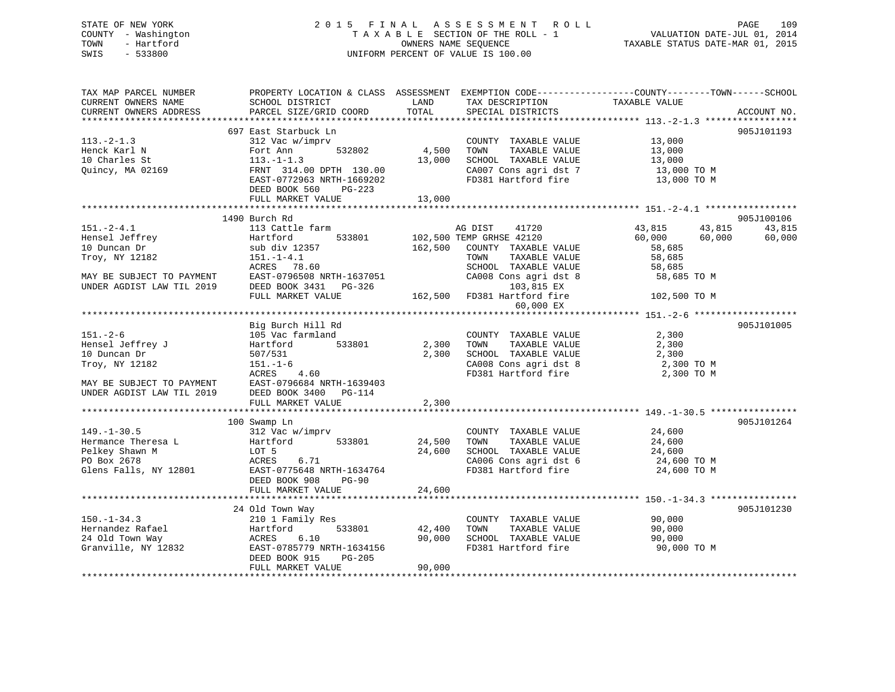## STATE OF NEW YORK 2 0 1 5 F I N A L A S S E S S M E N T R O L L PAGE 109 COUNTY - Washington T A X A B L E SECTION OF THE ROLL - 1 VALUATION DATE-JUL 01, 2014 TOWN - Hartford **TAXABLE STATUS DATE-MAR 01, 2015** OWNERS NAME SEQUENCE TAXABLE STATUS DATE-MAR 01, 2015 SWIS - 533800 UNIFORM PERCENT OF VALUE IS 100.00

| TAX MAP PARCEL NUMBER<br>CURRENT OWNERS NAME<br>CURRENT OWNERS ADDRESS | PROPERTY LOCATION & CLASS ASSESSMENT<br>SCHOOL DISTRICT<br>PARCEL SIZE/GRID COORD | LAND<br>TOTAL | TAX DESCRIPTION<br>SPECIAL DISTRICTS             | EXEMPTION CODE-----------------COUNTY-------TOWN------SCHOOL<br>TAXABLE VALUE | ACCOUNT NO. |
|------------------------------------------------------------------------|-----------------------------------------------------------------------------------|---------------|--------------------------------------------------|-------------------------------------------------------------------------------|-------------|
|                                                                        |                                                                                   |               |                                                  |                                                                               |             |
|                                                                        | 697 East Starbuck Ln                                                              |               |                                                  |                                                                               | 905J101193  |
| $113.-2-1.3$                                                           | 312 Vac w/imprv                                                                   |               | COUNTY TAXABLE VALUE                             | 13,000                                                                        |             |
| Henck Karl N                                                           | 532802<br>Fort Ann                                                                | 4,500         | TOWN<br>TAXABLE VALUE                            | 13,000                                                                        |             |
| 10 Charles St                                                          | $113.-1-1.3$                                                                      | 13,000        | SCHOOL TAXABLE VALUE                             | 13,000                                                                        |             |
| Quincy, MA 02169                                                       | FRNT 314.00 DPTH 130.00                                                           |               | CA007 Cons agri dst 7                            | 13,000 TO M                                                                   |             |
|                                                                        | EAST-0772963 NRTH-1669202                                                         |               | FD381 Hartford fire                              | 13,000 TO M                                                                   |             |
|                                                                        | DEED BOOK 560<br>PG-223                                                           |               |                                                  |                                                                               |             |
|                                                                        | FULL MARKET VALUE                                                                 | 13,000        |                                                  |                                                                               |             |
|                                                                        |                                                                                   |               |                                                  |                                                                               |             |
|                                                                        | 1490 Burch Rd                                                                     |               |                                                  |                                                                               | 905J100106  |
| $151 - 2 - 4.1$                                                        | 113 Cattle farm<br>533801                                                         |               | AG DIST<br>41720                                 | 43,815<br>43,815                                                              | 43,815      |
| Hensel Jeffrey<br>10 Duncan Dr                                         | Hartford<br>sub div 12357                                                         | 162,500       | 102,500 TEMP GRHSE 42120<br>COUNTY TAXABLE VALUE | 60,000<br>60,000<br>58,685                                                    | 60,000      |
| Troy, NY 12182                                                         | $151. - 1 - 4.1$                                                                  |               | TOWN<br>TAXABLE VALUE                            | 58,685                                                                        |             |
|                                                                        | ACRES 78.60                                                                       |               | SCHOOL TAXABLE VALUE                             | 58,685                                                                        |             |
| MAY BE SUBJECT TO PAYMENT                                              | EAST-0796508 NRTH-1637051                                                         |               | CA008 Cons agri dst 8                            | 58,685 TO M                                                                   |             |
| UNDER AGDIST LAW TIL 2019                                              | DEED BOOK 3431 PG-326                                                             |               | 103,815 EX                                       |                                                                               |             |
|                                                                        | FULL MARKET VALUE                                                                 |               | 162,500 FD381 Hartford fire                      | 102,500 TO M                                                                  |             |
|                                                                        |                                                                                   |               | 60,000 EX                                        |                                                                               |             |
|                                                                        |                                                                                   |               |                                                  |                                                                               |             |
|                                                                        | Big Burch Hill Rd                                                                 |               |                                                  |                                                                               | 905J101005  |
| $151 - 2 - 6$                                                          | 105 Vac farmland                                                                  |               | COUNTY TAXABLE VALUE                             | 2,300                                                                         |             |
| Hensel Jeffrey J                                                       | 533801<br>Hartford                                                                | 2,300         | TAXABLE VALUE<br>TOWN                            | 2,300                                                                         |             |
| 10 Duncan Dr                                                           | 507/531                                                                           | 2,300         | SCHOOL TAXABLE VALUE                             | 2,300                                                                         |             |
| Troy, NY 12182                                                         | $151. - 1 - 6$                                                                    |               | CA008 Cons agri dst 8                            | 2,300 TO M                                                                    |             |
|                                                                        | ACRES<br>4.60                                                                     |               | FD381 Hartford fire                              | 2,300 TO M                                                                    |             |
| MAY BE SUBJECT TO PAYMENT                                              | EAST-0796684 NRTH-1639403                                                         |               |                                                  |                                                                               |             |
| UNDER AGDIST LAW TIL 2019                                              | DEED BOOK 3400<br>PG-114                                                          |               |                                                  |                                                                               |             |
|                                                                        | FULL MARKET VALUE                                                                 | 2,300         |                                                  |                                                                               |             |
|                                                                        | 100 Swamp Ln                                                                      |               |                                                  |                                                                               | 905J101264  |
| $149. - 1 - 30.5$                                                      | 312 Vac w/imprv                                                                   |               | COUNTY TAXABLE VALUE                             | 24,600                                                                        |             |
| Hermance Theresa L                                                     | Hartford<br>533801                                                                | 24,500        | TAXABLE VALUE<br>TOWN                            | 24,600                                                                        |             |
| Pelkey Shawn M                                                         | LOT 5                                                                             | 24,600        | SCHOOL TAXABLE VALUE                             | 24,600                                                                        |             |
| PO Box 2678                                                            | ACRES<br>6.71                                                                     |               | CA006 Cons agri dst 6                            | 24,600 TO M                                                                   |             |
| Glens Falls, NY 12801                                                  | EAST-0775648 NRTH-1634764                                                         |               | FD381 Hartford fire                              | 24,600 TO M                                                                   |             |
|                                                                        | DEED BOOK 908<br><b>PG-90</b>                                                     |               |                                                  |                                                                               |             |
|                                                                        | FULL MARKET VALUE                                                                 | 24,600        |                                                  |                                                                               |             |
|                                                                        |                                                                                   |               |                                                  |                                                                               |             |
|                                                                        | 24 Old Town Way                                                                   |               |                                                  |                                                                               | 905J101230  |
| $150. - 1 - 34.3$                                                      | 210 1 Family Res                                                                  |               | COUNTY TAXABLE VALUE                             | 90,000                                                                        |             |
| Hernandez Rafael                                                       | 533801<br>Hartford                                                                | 42,400        | TAXABLE VALUE<br>TOWN                            | 90,000                                                                        |             |
| 24 Old Town Way                                                        | ACRES<br>6.10                                                                     | 90,000        | SCHOOL TAXABLE VALUE                             | 90,000                                                                        |             |
| Granville, NY 12832                                                    | EAST-0785779 NRTH-1634156                                                         |               | FD381 Hartford fire                              | 90,000 TO M                                                                   |             |
|                                                                        | DEED BOOK 915<br>$PG-205$                                                         |               |                                                  |                                                                               |             |
|                                                                        | FULL MARKET VALUE                                                                 | 90,000        |                                                  |                                                                               |             |
|                                                                        |                                                                                   |               |                                                  |                                                                               |             |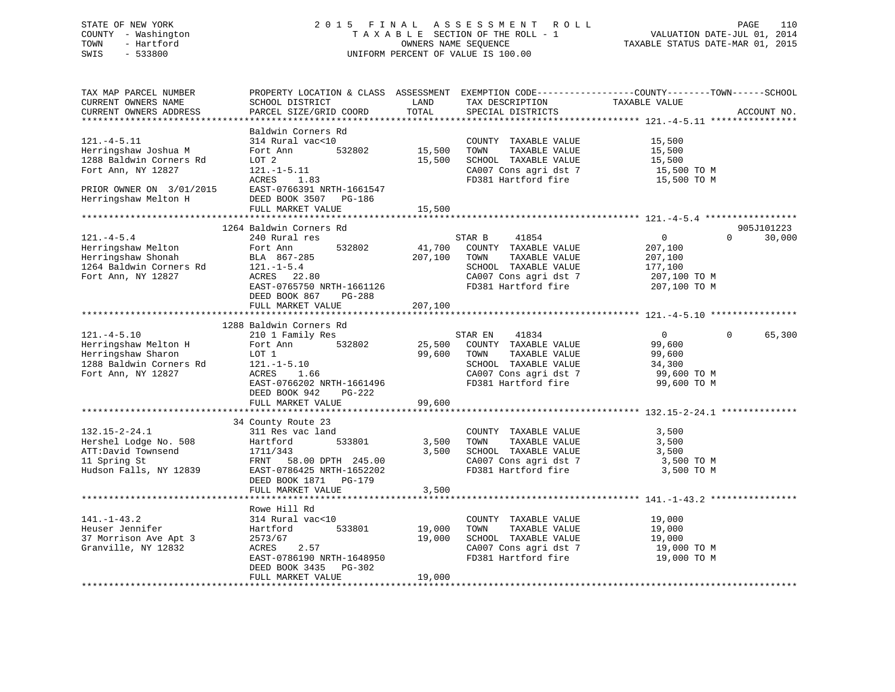## STATE OF NEW YORK 2 0 1 5 F I N A L A S S E S S M E N T R O L L PAGE 110 COUNTY - Washington T A X A B L E SECTION OF THE ROLL - 1 VALUATION DATE-JUL 01, 2014 TOWN - Hartford **TAXABLE STATUS DATE-MAR 01, 2015** OWNERS NAME SEQUENCE TAXABLE STATUS DATE-MAR 01, 2015 SWIS - 533800 UNIFORM PERCENT OF VALUE IS 100.00

| TAX MAP PARCEL NUMBER<br>CURRENT OWNERS NAME<br>CURRENT OWNERS ADDRESS                                                | PROPERTY LOCATION & CLASS ASSESSMENT<br>SCHOOL DISTRICT<br>PARCEL SIZE/GRID COORD                                                                 | LAND<br>TOTAL                | TAX DESCRIPTION<br>SPECIAL DISTRICTS                                                                                                      | EXEMPTION CODE-----------------COUNTY-------TOWN------SCHOOL<br>TAXABLE VALUE          | ACCOUNT NO.          |
|-----------------------------------------------------------------------------------------------------------------------|---------------------------------------------------------------------------------------------------------------------------------------------------|------------------------------|-------------------------------------------------------------------------------------------------------------------------------------------|----------------------------------------------------------------------------------------|----------------------|
| *************************                                                                                             |                                                                                                                                                   |                              |                                                                                                                                           |                                                                                        |                      |
| $121. -4 - 5.11$<br>Herringshaw Joshua M<br>1288 Baldwin Corners Rd<br>Fort Ann, NY 12827<br>PRIOR OWNER ON 3/01/2015 | Baldwin Corners Rd<br>314 Rural vac<10<br>Fort Ann<br>532802<br>LOT 2<br>$121.-1-5.11$<br>ACRES<br>1.83<br>EAST-0766391 NRTH-1661547              | 15,500<br>15,500             | COUNTY TAXABLE VALUE<br>TOWN<br>TAXABLE VALUE<br>SCHOOL TAXABLE VALUE<br>CA007 Cons agri dst 7<br>FD381 Hartford fire                     | 15,500<br>15,500<br>15,500<br>15,500 TO M<br>15,500 TO M                               |                      |
| Herringshaw Melton H                                                                                                  | DEED BOOK 3507<br>PG-186                                                                                                                          |                              |                                                                                                                                           |                                                                                        |                      |
|                                                                                                                       | FULL MARKET VALUE<br>********************                                                                                                         | 15,500                       |                                                                                                                                           |                                                                                        |                      |
| $121. -4 - 5.4$                                                                                                       | 1264 Baldwin Corners Rd<br>240 Rural res                                                                                                          |                              | STAR B<br>41854                                                                                                                           | $\overline{0}$<br>$\mathbf 0$                                                          | 905J101223<br>30,000 |
| Herringshaw Melton<br>Herringshaw Shonah<br>1264 Baldwin Corners Rd<br>Fort Ann, NY 12827                             | 532802<br>Fort Ann<br>BLA 867-285<br>$121. - 1 - 5.4$<br>ACRES 22.80<br>EAST-0765750 NRTH-1661126<br>DEED BOOK 867<br>PG-288<br>FULL MARKET VALUE | 41,700<br>207,100<br>207,100 | COUNTY TAXABLE VALUE<br>TAXABLE VALUE<br>TOWN<br>SCHOOL TAXABLE VALUE<br>CA007 Cons agri dst 7<br>FD381 Hartford fire                     | 207,100<br>207,100<br>177,100<br>207,100 TO M<br>207,100 TO M                          |                      |
|                                                                                                                       |                                                                                                                                                   |                              |                                                                                                                                           |                                                                                        |                      |
|                                                                                                                       | 1288 Baldwin Corners Rd                                                                                                                           |                              |                                                                                                                                           |                                                                                        |                      |
| $121. -4 - 5.10$<br>Herringshaw Melton H<br>Herringshaw Sharon<br>1288 Baldwin Corners Rd<br>Fort Ann, NY 12827       | 210 1 Family Res<br>532802<br>Fort Ann<br>LOT 1<br>$121. - 1 - 5.10$<br>ACRES<br>1.66<br>EAST-0766202 NRTH-1661496<br>DEED BOOK 942<br>PG-222     | 25,500<br>99,600             | 41834<br>STAR EN<br>COUNTY TAXABLE VALUE<br>TAXABLE VALUE<br>TOWN<br>SCHOOL TAXABLE VALUE<br>CA007 Cons agri dst 7<br>FD381 Hartford fire | $\overline{0}$<br>$\Omega$<br>99,600<br>99,600<br>34,300<br>99,600 то м<br>99,600 TO M | 65,300               |
|                                                                                                                       | FULL MARKET VALUE                                                                                                                                 | 99,600                       |                                                                                                                                           |                                                                                        |                      |
| $132.15 - 2 - 24.1$                                                                                                   | ********************<br>34 County Route 23<br>311 Res vac land                                                                                    |                              | COUNTY TAXABLE VALUE                                                                                                                      | ******************** 132.15-2-24.1<br>3,500                                            |                      |
| Hershel Lodge No. 508<br>ATT:David Townsend<br>11 Spring St<br>Hudson Falls, NY 12839                                 | 533801<br>Hartford<br>1711/343<br>58.00 DPTH 245.00<br>FRNT<br>EAST-0786425 NRTH-1652202<br>DEED BOOK 1871<br>PG-179<br>FULL MARKET VALUE         | 3,500<br>3,500<br>3,500      | TOWN<br>TAXABLE VALUE<br>SCHOOL TAXABLE VALUE<br>CA007 Cons agri dst 7<br>FD381 Hartford fire                                             | 3,500<br>3,500<br>3,500 TO M<br>3,500 TO M                                             |                      |
|                                                                                                                       |                                                                                                                                                   |                              |                                                                                                                                           |                                                                                        |                      |
| $141. - 1 - 43.2$<br>Heuser Jennifer<br>37 Morrison Ave Apt 3<br>Granville, NY 12832                                  | Rowe Hill Rd<br>314 Rural vac<10<br>Hartford<br>533801<br>2573/67<br>ACRES<br>2.57<br>EAST-0786190 NRTH-1648950<br>DEED BOOK 3435 PG-302          | 19,000<br>19,000             | COUNTY TAXABLE VALUE<br>TAXABLE VALUE<br>TOWN<br>SCHOOL TAXABLE VALUE<br>CA007 Cons agri dst 7<br>FD381 Hartford fire                     | 19,000<br>19,000<br>19,000<br>19,000 TO M<br>19,000 TO M                               |                      |
| *********************                                                                                                 | FULL MARKET VALUE                                                                                                                                 | 19,000                       |                                                                                                                                           |                                                                                        |                      |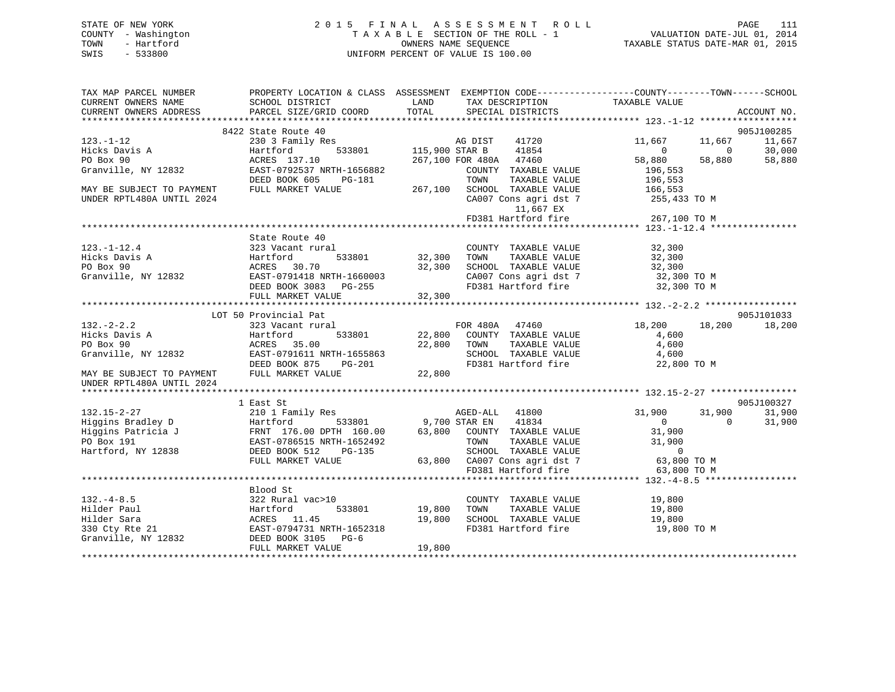## STATE OF NEW YORK 2 0 1 5 F I N A L A S S E S S M E N T R O L L PAGE 111 COUNTY - Washington T A X A B L E SECTION OF THE ROLL - 1 VALUATION DATE-JUL 01, 2014 TOWN - Hartford **TAXABLE STATUS DATE-MAR 01, 2015** OWNERS NAME SEQUENCE TAXABLE STATUS DATE-MAR 01, 2015 SWIS - 533800 UNIFORM PERCENT OF VALUE IS 100.00

| TAX MAP PARCEL NUMBER<br>CURRENT OWNERS NAME  | PROPERTY LOCATION & CLASS ASSESSMENT EXEMPTION CODE---------------COUNTY-------TOWN-----SCHOOL<br>SCHOOL DISTRICT | LAND          | TAX DESCRIPTION                                                                                                                                                                                                | TAXABLE VALUE    |                |             |
|-----------------------------------------------|-------------------------------------------------------------------------------------------------------------------|---------------|----------------------------------------------------------------------------------------------------------------------------------------------------------------------------------------------------------------|------------------|----------------|-------------|
| CURRENT OWNERS ADDRESS                        | PARCEL SIZE/GRID COORD                                                                                            | TOTAL         | SPECIAL DISTRICTS                                                                                                                                                                                              |                  |                | ACCOUNT NO. |
|                                               | 8422 State Route 40                                                                                               |               |                                                                                                                                                                                                                |                  |                | 905J100285  |
| $123. - 1 - 12$                               | State Route 40<br>230 3 Family Res<br>Hartford 533801 115,900 STAR B                                              |               | AG DIST 41720                                                                                                                                                                                                  | 11,667           | 11,667         | 11,667      |
| Hicks Davis A                                 |                                                                                                                   |               | 41854                                                                                                                                                                                                          | $\Omega$         | $\sim$ 0       | 30,000      |
| PO Box 90                                     | ACRES 137.10                                                                                                      |               | 267,100 FOR 480A 47460                                                                                                                                                                                         | 58,880           | 58,880         | 58,880      |
| Granville, NY 12832                           | EAST-0792537 NRTH-1656882                                                                                         |               | COUNTY TAXABLE VALUE                                                                                                                                                                                           | 196,553          |                |             |
|                                               | DEED BOOK 605<br>PG-181                                                                                           |               | TOWN<br>TAXABLE VALUE                                                                                                                                                                                          | 196,553          |                |             |
| MAY BE SUBJECT TO PAYMENT                     | FULL MARKET VALUE                                                                                                 |               | 267,100 SCHOOL TAXABLE VALUE 166,553                                                                                                                                                                           |                  |                |             |
| UNDER RPTL480A UNTIL 2024                     |                                                                                                                   |               | CA007 Cons agri dst 7 255,433 TO M                                                                                                                                                                             |                  |                |             |
|                                               |                                                                                                                   |               | 11,667 EX                                                                                                                                                                                                      |                  |                |             |
|                                               |                                                                                                                   |               | FD381 Hartford fire                                                                                                                                                                                            | 267,100 TO M     |                |             |
|                                               |                                                                                                                   |               |                                                                                                                                                                                                                |                  |                |             |
|                                               | State Route 40                                                                                                    |               |                                                                                                                                                                                                                |                  |                |             |
| $123. - 1 - 12.4$                             | 323 Vacant rural                                                                                                  |               | COUNTY TAXABLE VALUE                                                                                                                                                                                           | 32,300           |                |             |
| Hicks Davis A                                 | Hartford                                                                                                          | 533801 32,300 | TAXABLE VALUE<br>TOWN                                                                                                                                                                                          | 32,300           |                |             |
| PO Box 90                                     | ACRES 30.70                                                                                                       |               | 32,300 SCHOOL TAXABLE VALUE                                                                                                                                                                                    | 32,300           |                |             |
| Granville, NY 12832 EAST-0791418 NRTH-1660003 |                                                                                                                   |               | CA007 Cons agri dst 7 32,300 TO M                                                                                                                                                                              |                  |                |             |
|                                               | DEED BOOK 3083 PG-255                                                                                             |               | FD381 Hartford fire                                                                                                                                                                                            | 32,300 TO M      |                |             |
|                                               | FULL MARKET VALUE                                                                                                 | 32,300        |                                                                                                                                                                                                                |                  |                |             |
|                                               | LOT 50 Provincial Pat                                                                                             |               |                                                                                                                                                                                                                |                  |                | 905J101033  |
| $132 - 2 - 2.2$                               | 323 Vacant rural                                                                                                  |               | FOR 480A 47460                                                                                                                                                                                                 | 18,200           | 18,200         | 18,200      |
| Hicks Davis A                                 | Hartford                                                                                                          |               | 533801 22,800 COUNTY TAXABLE VALUE                                                                                                                                                                             | 4,600            |                |             |
| PO Box 90                                     | ACRES 35.00                                                                                                       | 22,800        | TOWN                                                                                                                                                                                                           | 4,600            |                |             |
| Granville, NY 12832                           | EAST-0791611 NRTH-1655863                                                                                         |               | TOWN      TAXABLE  VALUE<br>SCHOOL    TAXABLE  VALUE                                                                                                                                                           | 4,600            |                |             |
|                                               | DEED BOOK 875<br>PG-201                                                                                           |               | FD381 Hartford fire                                                                                                                                                                                            | 22,800 TO M      |                |             |
| MAY BE SUBJECT TO PAYMENT                     | FULL MARKET VALUE                                                                                                 | 22,800        |                                                                                                                                                                                                                |                  |                |             |
| UNDER RPTL480A UNTIL 2024                     |                                                                                                                   |               |                                                                                                                                                                                                                |                  |                |             |
|                                               |                                                                                                                   |               |                                                                                                                                                                                                                |                  |                |             |
|                                               | 1 East St                                                                                                         |               |                                                                                                                                                                                                                |                  |                | 905J100327  |
| $132.15 - 2 - 27$                             | 210 1 Family Res                                                                                                  |               | AGED-ALL 41800                                                                                                                                                                                                 | 31,900           | 31,900         | 31,900      |
|                                               |                                                                                                                   |               | 533801 9,700 STAR EN 41834                                                                                                                                                                                     | $\overline{0}$   | $\overline{0}$ | 31,900      |
|                                               |                                                                                                                   |               |                                                                                                                                                                                                                | 31,900           |                |             |
|                                               |                                                                                                                   |               | TAXABLE VALUE                                                                                                                                                                                                  | 31,900           |                |             |
| Hartford, NY 12838                            | DEED BOOK 512<br>PG-135                                                                                           |               | $\begin{tabular}{lllllllll} \multicolumn{2}{c}{\texttt{SCHOOL}} & \texttt{TAXABLE VALUE} & & & & 0 \\ \multicolumn{2}{c}{\texttt{63,800}} & \texttt{CAO07 Cons agri dst 7} & & & 63,800 TO M \\ \end{tabular}$ |                  |                |             |
|                                               | FULL MARKET VALUE                                                                                                 |               |                                                                                                                                                                                                                |                  |                |             |
|                                               |                                                                                                                   |               | FD381 Hartford fire                                                                                                                                                                                            | 63,800 TO M      |                |             |
|                                               | Blood St                                                                                                          |               |                                                                                                                                                                                                                |                  |                |             |
| $132. -4 - 8.5$                               | 322 Rural vac>10                                                                                                  |               |                                                                                                                                                                                                                |                  |                |             |
|                                               |                                                                                                                   |               | COUNTY TAXABLE VALUE 19,800<br>TOWN                                                                                                                                                                            |                  |                |             |
|                                               | 533801 19,800<br>Hartford<br>ACRES 11.45                                                                          | 19,800        | TAXABLE VALUE<br>SCHOOL TAXABLE VALUE                                                                                                                                                                          | 19,800<br>19,800 |                |             |
|                                               | EAST-0794731 NRTH-1652318                                                                                         |               | FD381 Hartford fire                                                                                                                                                                                            | 19,800 TO M      |                |             |
|                                               | DEED BOOK 3105 PG-6                                                                                               |               |                                                                                                                                                                                                                |                  |                |             |
|                                               | FULL MARKET VALUE                                                                                                 | 19,800        |                                                                                                                                                                                                                |                  |                |             |
|                                               |                                                                                                                   |               |                                                                                                                                                                                                                |                  |                |             |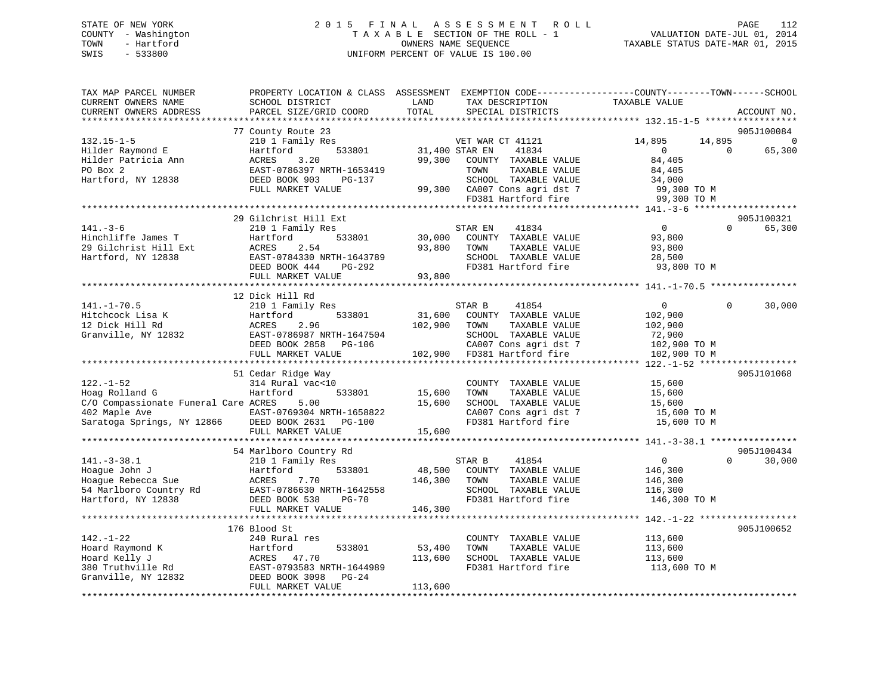# STATE OF NEW YORK 2015 FINAL ASSESSMENT ROLL PAGE 112 COUNTY - Washington  $T A X A B L E$  SECTION OF THE ROLL - 1<br>TOWN - Hartford SWIS - 533800 UNIFORM PERCENT OF VALUE IS 100.00

VALUATION DATE-JUL  $01$ , 2014

TAXABLE STATUS DATE-MAR 01, 2015

| TAX MAP PARCEL NUMBER<br>CURRENT OWNERS NAME<br>CURRENT OWNERS ADDRESS                                                                  | PROPERTY LOCATION & CLASS ASSESSMENT EXEMPTION CODE---------------COUNTY-------TOWN-----SCHOOL<br>SCHOOL DISTRICT<br>PARCEL SIZE/GRID COORD                   | LAND<br>TOTAL                | TAX DESCRIPTION<br>SPECIAL DISTRICTS                                                                                                                      | TAXABLE VALUE                                                                                  |          | ACCOUNT NO.                            |
|-----------------------------------------------------------------------------------------------------------------------------------------|---------------------------------------------------------------------------------------------------------------------------------------------------------------|------------------------------|-----------------------------------------------------------------------------------------------------------------------------------------------------------|------------------------------------------------------------------------------------------------|----------|----------------------------------------|
|                                                                                                                                         |                                                                                                                                                               |                              |                                                                                                                                                           |                                                                                                |          |                                        |
| $132.15 - 1 - 5$<br>Hilder Raymond E<br>Hilder Patricia Ann<br>PO Box 2<br>Hartford, NY 12838                                           | 77 County Route 23<br>210 1 Family Res<br>Hartford<br>533801<br>3.20<br>ACRES<br>EAST-0786397 NRTH-1653419<br>DEED BOOK 903<br>PG-137<br>FULL MARKET VALUE    | 31,400 STAR EN<br>99,300     | VET WAR CT 41121<br>41834<br>COUNTY TAXABLE VALUE<br>TOWN<br>TAXABLE VALUE<br>SCHOOL TAXABLE VALUE<br>99,300 CA007 Cons agri dst 7<br>FD381 Hartford fire | 14,895<br>14,895<br>$\overline{0}$<br>84,405<br>84,405<br>34,000<br>99,300 TO M<br>99,300 TO M | $\Omega$ | 905J100084<br>$\overline{0}$<br>65,300 |
|                                                                                                                                         |                                                                                                                                                               |                              |                                                                                                                                                           |                                                                                                |          |                                        |
| $141. - 3 - 6$<br>Hinchliffe James T<br>29 Gilchrist Hill Ext<br>Hartford, NY 12838                                                     | 29 Gilchrist Hill Ext<br>210 1 Family Res<br>533801<br>Hartford<br>2.54<br>ACRES<br>EAST-0784330 NRTH-1643789<br>DEED BOOK 444<br>PG-292<br>FULL MARKET VALUE | 30,000<br>93,800<br>93,800   | 41834<br>STAR EN<br>COUNTY TAXABLE VALUE<br>TOWN<br>TAXABLE VALUE<br>SCHOOL TAXABLE VALUE<br>FD381 Hartford fire                                          | $\overline{0}$<br>93,800<br>93,800<br>28,500<br>93,800 TO M                                    | $\Omega$ | 905J100321<br>65,300                   |
|                                                                                                                                         | **************************                                                                                                                                    |                              |                                                                                                                                                           |                                                                                                |          |                                        |
| $141. - 1 - 70.5$<br>Hitchcock Lisa K<br>12 Dick Hill Rd<br>Granville, NY 12832                                                         | 12 Dick Hill Rd<br>210 1 Family Res<br>533801<br>Hartford<br>ACRES<br>2.96<br>EAST-0786987 NRTH-1647504<br>DEED BOOK 2858 PG-106                              | 31,600<br>102,900            | STAR B<br>41854<br>COUNTY TAXABLE VALUE<br>TAXABLE VALUE<br>TOWN<br>SCHOOL TAXABLE VALUE<br>CA007 Cons agri dst 7                                         | $\overline{0}$<br>102,900<br>102,900<br>72,900<br>102,900 TO M                                 | $\Omega$ | 30,000                                 |
|                                                                                                                                         | FULL MARKET VALUE                                                                                                                                             |                              | 102,900 FD381 Hartford fire                                                                                                                               | 102,900 TO M                                                                                   |          |                                        |
|                                                                                                                                         |                                                                                                                                                               |                              |                                                                                                                                                           |                                                                                                |          |                                        |
| $122. - 1 - 52$<br>Hoag Rolland G<br>C/O Compassionate Funeral Care ACRES<br>402 Maple Ave<br>Saratoga Springs, NY 12866 DEED BOOK 2631 | 51 Cedar Ridge Way<br>314 Rural vac<10<br>Hartford<br>533801<br>5.00<br>EAST-0769304 NRTH-1658822<br>PG-100<br>FULL MARKET VALUE                              | 15,600<br>15,600<br>15,600   | COUNTY TAXABLE VALUE<br>TAXABLE VALUE<br>TOWN<br>SCHOOL TAXABLE VALUE<br>CA007 Cons agri dst 7<br>FD381 Hartford fire                                     | 15,600<br>15,600<br>15,600<br>15,600 TO M<br>15,600 TO M                                       |          | 905J101068                             |
|                                                                                                                                         |                                                                                                                                                               |                              |                                                                                                                                                           |                                                                                                |          |                                        |
| $141. - 3 - 38.1$<br>Hoaque John J<br>Hoague Rebecca Sue<br>54 Marlboro Country Rd<br>Hartford, NY 12838                                | 54 Marlboro Country Rd<br>210 1 Family Res<br>533801<br>Hartford<br>7.70<br>ACRES<br>EAST-0786630 NRTH-1642558<br>DEED BOOK 538<br><b>PG-70</b>               | 48,500<br>146,300            | 41854<br>STAR B<br>COUNTY TAXABLE VALUE<br>TOWN<br>TAXABLE VALUE<br>SCHOOL TAXABLE VALUE<br>FD381 Hartford fire                                           | $\overline{0}$<br>146,300<br>146,300<br>116,300<br>146,300 TO M                                | $\Omega$ | 905J100434<br>30,000                   |
|                                                                                                                                         | FULL MARKET VALUE                                                                                                                                             | 146,300                      |                                                                                                                                                           |                                                                                                |          |                                        |
| $142. - 1 - 22$<br>Hoard Raymond K<br>Hoard Kelly J<br>380 Truthville Rd<br>Granville, NY 12832                                         | 176 Blood St<br>240 Rural res<br>533801<br>Hartford<br>ACRES 47.70<br>EAST-0793583 NRTH-1644989<br>DEED BOOK 3098<br>$PG-24$<br>FULL MARKET VALUE             | 53,400<br>113,600<br>113,600 | COUNTY TAXABLE VALUE<br>TOWN<br>TAXABLE VALUE<br>SCHOOL TAXABLE VALUE<br>FD381 Hartford fire                                                              | 113,600<br>113,600<br>113,600<br>113,600 TO M                                                  |          | 905J100652                             |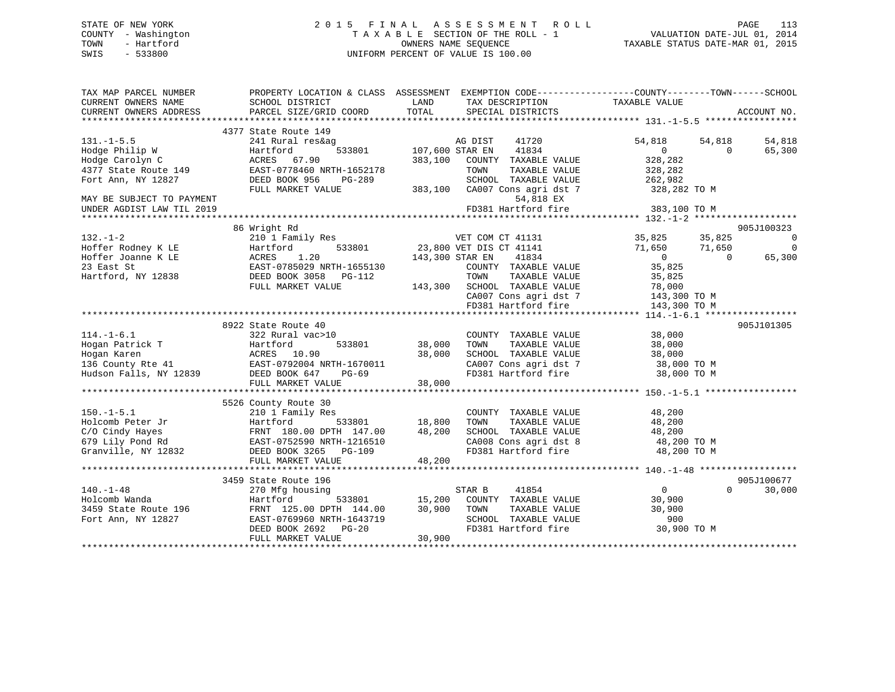## STATE OF NEW YORK 2 0 1 5 F I N A L A S S E S S M E N T R O L L PAGE 113 COUNTY - Washington T A X A B L E SECTION OF THE ROLL - 1 VALUATION DATE-JUL 01, 2014 TOWN - Hartford **TAXABLE STATUS DATE-MAR 01, 2015** OWNERS NAME SEQUENCE TAXABLE STATUS DATE-MAR 01, 2015 SWIS - 533800 UNIFORM PERCENT OF VALUE IS 100.00

| TAX MAP PARCEL NUMBER                                             | PROPERTY LOCATION & CLASS ASSESSMENT EXEMPTION CODE---------------COUNTY-------TOWN-----SCHOOL                                                                                                       |                                   |                                                                                                                                            |                  |                |                          |
|-------------------------------------------------------------------|------------------------------------------------------------------------------------------------------------------------------------------------------------------------------------------------------|-----------------------------------|--------------------------------------------------------------------------------------------------------------------------------------------|------------------|----------------|--------------------------|
| CURRENT OWNERS NAME                                               | SCHOOL DISTRICT                                                                                                                                                                                      | LAND                              |                                                                                                                                            |                  |                |                          |
| CURRENT OWNERS ADDRESS                                            | PARCEL SIZE/GRID COORD                                                                                                                                                                               | TOTAL                             | TAX DESCRIPTION TAXABLE VALUE SPECIAL DISTRICTS                                                                                            |                  |                | ACCOUNT NO.              |
|                                                                   |                                                                                                                                                                                                      |                                   |                                                                                                                                            |                  |                |                          |
|                                                                   |                                                                                                                                                                                                      |                                   |                                                                                                                                            |                  |                |                          |
|                                                                   | 4377 State Route 149                                                                                                                                                                                 | AG DIST<br>3801 107,600 STAR EN   |                                                                                                                                            |                  |                |                          |
| $131. - 1 - 5.5$                                                  | 241 Rural res&ag<br>533801                                                                                                                                                                           |                                   | 41720                                                                                                                                      | 54,818           | 54,818         | 54,818                   |
| ----<br>Hodge Philip W<br>Hodge Carolyn C<br>4377 State Route 149 | Hartford                                                                                                                                                                                             |                                   | 41834                                                                                                                                      | $\overline{0}$   | $\overline{0}$ | 65,300                   |
|                                                                   | ACRES 67.90                                                                                                                                                                                          |                                   | 383,100 COUNTY TAXABLE VALUE                                                                                                               | 328,282          |                |                          |
|                                                                   | EAST-0778460 NRTH-1652178                                                                                                                                                                            |                                   | TOWN<br>TAXABLE VALUE                                                                                                                      | 328,282          |                |                          |
| Fort Ann, NY 12827                                                | DEED BOOK 956<br>PG-289                                                                                                                                                                              |                                   | SCHOOL TAXABLE VALUE 262,982                                                                                                               |                  |                |                          |
|                                                                   | FULL MARKET VALUE                                                                                                                                                                                    |                                   | 383,100 CA007 Cons agri dst 7                                                                                                              | 328,282 TO M     |                |                          |
| MAY BE SUBJECT TO PAYMENT                                         |                                                                                                                                                                                                      |                                   | 54,818 EX                                                                                                                                  |                  |                |                          |
| UNDER AGDIST LAW TIL 2019                                         |                                                                                                                                                                                                      |                                   | FD381 Hartford fire                                                                                                                        | 383,100 TO M     |                |                          |
|                                                                   |                                                                                                                                                                                                      |                                   |                                                                                                                                            |                  |                |                          |
|                                                                   | 86 Wright Rd                                                                                                                                                                                         |                                   |                                                                                                                                            |                  |                | 905J100323               |
| $132. - 1 - 2$                                                    | 210 1 Family Res 69. 200 1 Family Res 69. 200 1 Family Res 69. 210 1 Family Res 69. 210 1 Family Res 69. 215 1                                                                                       |                                   |                                                                                                                                            |                  |                | $\overline{\phantom{0}}$ |
|                                                                   |                                                                                                                                                                                                      |                                   | 533801 23,800 VET DIS CT 41141                                                                                                             | 71,650<br>71,650 |                | $\overline{0}$           |
|                                                                   | Hoffer Rodney K LE<br>Hoffer Joanne K LE<br>Hoffer Joanne K LE<br>23 East St<br>23 East St<br>Hartford, NY 12838<br>23 EAST-0785029 NRTH-1655130<br>DEED BOOK 3058 PG-112<br>FILITE MOOK 3058 PG-112 | 143,300 STAR EN                   | 41834                                                                                                                                      | $\overline{0}$   | $\overline{0}$ | 65,300                   |
|                                                                   |                                                                                                                                                                                                      |                                   | COUNTY TAXABLE VALUE 35,825                                                                                                                |                  |                |                          |
|                                                                   |                                                                                                                                                                                                      |                                   |                                                                                                                                            |                  |                |                          |
|                                                                   | FULL MARKET VALUE                                                                                                                                                                                    |                                   | TOWN TAXABLE VALUE 35,825<br>143,300 SCHOOL TAXABLE VALUE 78,000<br>CA007 Cons agri dst 7 143,300 TO M<br>FD381 Hartford fire 143,300 TO M |                  |                |                          |
|                                                                   |                                                                                                                                                                                                      |                                   |                                                                                                                                            |                  |                |                          |
|                                                                   |                                                                                                                                                                                                      |                                   |                                                                                                                                            |                  |                |                          |
|                                                                   |                                                                                                                                                                                                      |                                   |                                                                                                                                            |                  |                |                          |
|                                                                   | 8922 State Route 40                                                                                                                                                                                  |                                   |                                                                                                                                            |                  |                | 905J101305               |
|                                                                   |                                                                                                                                                                                                      |                                   | COUNTY TAXABLE VALUE                                                                                                                       |                  |                |                          |
|                                                                   |                                                                                                                                                                                                      |                                   |                                                                                                                                            | 38,000           |                |                          |
|                                                                   | 533801                                                                                                                                                                                               | 38,000                            | TAXABLE VALUE                                                                                                                              |                  |                |                          |
|                                                                   |                                                                                                                                                                                                      | 38,000                            |                                                                                                                                            |                  |                |                          |
|                                                                   |                                                                                                                                                                                                      |                                   | CA007 Cons agri dst 7 38,000 TO M<br>FD381 Hartford fire 38,000 TO M                                                                       |                  |                |                          |
|                                                                   |                                                                                                                                                                                                      |                                   |                                                                                                                                            | 38,000 TO M      |                |                          |
|                                                                   | FULL MARKET VALUE                                                                                                                                                                                    | 38,000                            |                                                                                                                                            |                  |                |                          |
|                                                                   |                                                                                                                                                                                                      |                                   |                                                                                                                                            |                  |                |                          |
|                                                                   | 5526 County Route 30                                                                                                                                                                                 |                                   |                                                                                                                                            |                  |                |                          |
| $150. - 1 - 5.1$                                                  | 210 1 Family Res                                                                                                                                                                                     |                                   | COUNTY TAXABLE VALUE                                                                                                                       | 48,200           |                |                          |
|                                                                   |                                                                                                                                                                                                      |                                   | TAXABLE VALUE<br>TOWN                                                                                                                      | 48,200           |                |                          |
|                                                                   | Holcomb Peter Jr<br>Holcomb Peter Jr<br>C/O Cindy Hayes<br>679 Lily Pond Rd<br>Granville, NY 12832<br>FRNT 180.00 DPTH 147.00 48,200<br>EAST-0752590 NRTH-1216510<br>DEED BOOK 3265 PG-109           |                                   | SCHOOL TAXABLE VALUE 48,200<br>CA008 Cons agri dst 8 48,200 TO M<br>FD381 Hartford fire 48,200 TO M                                        |                  |                |                          |
|                                                                   |                                                                                                                                                                                                      |                                   |                                                                                                                                            |                  |                |                          |
|                                                                   |                                                                                                                                                                                                      |                                   |                                                                                                                                            |                  |                |                          |
|                                                                   |                                                                                                                                                                                                      |                                   |                                                                                                                                            |                  |                |                          |
|                                                                   |                                                                                                                                                                                                      |                                   |                                                                                                                                            |                  |                |                          |
|                                                                   | 3459 State Route 196                                                                                                                                                                                 |                                   |                                                                                                                                            |                  |                | 905J100677               |
| $140. - 1 - 48$                                                   | 270 Mfg housing                                                                                                                                                                                      |                                   | STAR B<br>41854                                                                                                                            | $\overline{0}$   | $\Omega$       | 30,000                   |
| Holcomb Wanda                                                     | Hartford                                                                                                                                                                                             |                                   | COUNTY TAXABLE VALUE                                                                                                                       | 30,900           |                |                          |
| 3459 State Route 196                                              | FRNT 125.00 DPTH 144.00                                                                                                                                                                              | 533801 15,200<br>TH 144.00 30,900 |                                                                                                                                            | 30,900           |                |                          |
| Fort Ann, NY 12827                                                | EAST-0769960 NRTH-1643719                                                                                                                                                                            |                                   |                                                                                                                                            | 900              |                |                          |
|                                                                   | DEED BOOK 2692<br>$PG-20$                                                                                                                                                                            |                                   | TOWN TAXABLE VALUE<br>SCHOOL TAXABLE VALUE<br>FD381 Hartford fire                                                                          | 30,900 TO M      |                |                          |
|                                                                   | FULL MARKET VALUE                                                                                                                                                                                    | 30,900                            |                                                                                                                                            |                  |                |                          |
|                                                                   |                                                                                                                                                                                                      |                                   |                                                                                                                                            |                  |                |                          |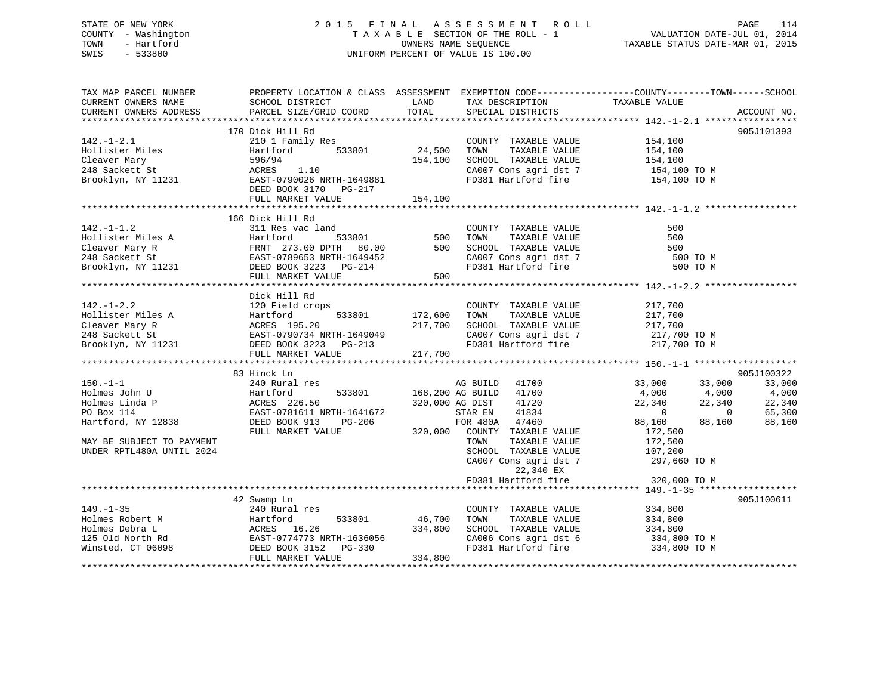## STATE OF NEW YORK 2 0 1 5 F I N A L A S S E S S M E N T R O L L PAGE 114 COUNTY - Washington T A X A B L E SECTION OF THE ROLL - 1 VALUATION DATE-JUL 01, 2014 TOWN - Hartford **TAXABLE STATUS DATE-MAR 01, 2015** OWNERS NAME SEQUENCE TAXABLE STATUS DATE-MAR 01, 2015 SWIS - 533800 UNIFORM PERCENT OF VALUE IS 100.00

| TAX MAP PARCEL NUMBER<br>CURRENT OWNERS NAME<br>CURRENT OWNERS ADDRESS                                                                          | PROPERTY LOCATION & CLASS ASSESSMENT<br>SCHOOL DISTRICT<br>PARCEL SIZE/GRID COORD                                                                   | LAND<br>TOTAL                 | EXEMPTION CODE-----------------COUNTY-------TOWN------SCHOOL<br>TAX DESCRIPTION<br>SPECIAL DISTRICTS                                                                                                                                   | TAXABLE VALUE                                                                                                                                                 | ACCOUNT NO.                                               |
|-------------------------------------------------------------------------------------------------------------------------------------------------|-----------------------------------------------------------------------------------------------------------------------------------------------------|-------------------------------|----------------------------------------------------------------------------------------------------------------------------------------------------------------------------------------------------------------------------------------|---------------------------------------------------------------------------------------------------------------------------------------------------------------|-----------------------------------------------------------|
| $142. - 1 - 2.1$<br>Hollister Miles<br>Cleaver Mary<br>248 Sackett St<br>Brooklyn, NY 11231                                                     | 170 Dick Hill Rd<br>210 1 Family Res<br>Hartford<br>533801<br>596/94<br>ACRES<br>1.10<br>EAST-0790026 NRTH-1649881<br>DEED BOOK 3170<br>PG-217      | 24,500<br>154,100             | COUNTY TAXABLE VALUE<br>TOWN<br>TAXABLE VALUE<br>SCHOOL TAXABLE VALUE<br>CA007 Cons agri dst 7<br>FD381 Hartford fire                                                                                                                  | 154,100<br>154,100<br>154,100<br>154,100 TO M<br>154,100 TO M                                                                                                 | 905J101393                                                |
|                                                                                                                                                 | FULL MARKET VALUE                                                                                                                                   | 154,100                       |                                                                                                                                                                                                                                        |                                                                                                                                                               |                                                           |
| $142. - 1 - 1.2$<br>Hollister Miles A<br>Cleaver Mary R<br>248 Sackett St<br>Brooklyn, NY 11231                                                 | 166 Dick Hill Rd<br>311 Res vac land<br>Hartford<br>533801<br>FRNT 273.00 DPTH 80.00<br>EAST-0789653 NRTH-1649452<br>DEED BOOK 3223 PG-214          | 500<br>500                    | COUNTY TAXABLE VALUE<br>TOWN<br>TAXABLE VALUE<br>SCHOOL TAXABLE VALUE<br>CA007 Cons agri dst 7<br>FD381 Hartford fire                                                                                                                  | 500<br>500<br>500<br>500 TO M<br>500 TO M                                                                                                                     |                                                           |
|                                                                                                                                                 | FULL MARKET VALUE<br>**********************                                                                                                         | 500                           |                                                                                                                                                                                                                                        | ************* 142.-1-2.2 **                                                                                                                                   |                                                           |
| $142. - 1 - 2.2$<br>Hollister Miles A<br>Cleaver Mary R<br>248 Sackett St<br>Brooklyn, NY 11231                                                 | Dick Hill Rd<br>120 Field crops<br>Hartford<br>533801<br>ACRES 195.20<br>EAST-0790734 NRTH-1649049<br>DEED BOOK 3223<br>PG-213<br>FULL MARKET VALUE | 172,600<br>217,700<br>217,700 | COUNTY TAXABLE VALUE<br>TAXABLE VALUE<br>TOWN<br>SCHOOL TAXABLE VALUE<br>CA007 Cons agri dst 7<br>FD381 Hartford fire                                                                                                                  | 217,700<br>217,700<br>217,700<br>217,700 TO M<br>217,700 TO M                                                                                                 |                                                           |
|                                                                                                                                                 | 83 Hinck Ln                                                                                                                                         |                               |                                                                                                                                                                                                                                        |                                                                                                                                                               | 905J100322                                                |
| $150. - 1 - 1$<br>Holmes John U<br>Holmes Linda P<br>PO Box 114<br>Hartford, NY 12838<br>MAY BE SUBJECT TO PAYMENT<br>UNDER RPTL480A UNTIL 2024 | 240 Rural res<br>Hartford<br>533801<br>ACRES 226.50<br>EAST-0781611 NRTH-1641672<br>DEED BOOK 913<br>PG-206<br>FULL MARKET VALUE                    | 320,000 AG DIST<br>320,000    | AG BUILD<br>41700<br>168,200 AG BUILD<br>41700<br>41720<br>41834<br>STAR EN<br>FOR 480A<br>47460<br>COUNTY TAXABLE VALUE<br>TOWN<br>TAXABLE VALUE<br>SCHOOL TAXABLE VALUE<br>CA007 Cons agri dst 7<br>22,340 EX<br>FD381 Hartford fire | 33,000<br>33,000<br>4,000<br>4,000<br>22,340<br>22,340<br>$\overline{0}$<br>88,160<br>88,160<br>172,500<br>172,500<br>107,200<br>297,660 TO M<br>320,000 TO M | 33,000<br>4,000<br>22,340<br>$\Omega$<br>65,300<br>88,160 |
|                                                                                                                                                 |                                                                                                                                                     |                               |                                                                                                                                                                                                                                        |                                                                                                                                                               |                                                           |
| $149. - 1 - 35$<br>Holmes Robert M<br>Holmes Debra L<br>125 Old North Rd<br>Winsted, CT 06098                                                   | 42 Swamp Ln<br>240 Rural res<br>533801<br>Hartford<br>16.26<br>ACRES<br>EAST-0774773 NRTH-1636056<br>DEED BOOK 3152<br>$PG-330$                     | 46,700<br>334,800             | COUNTY TAXABLE VALUE<br>TAXABLE VALUE<br>TOWN<br>SCHOOL TAXABLE VALUE<br>CA006 Cons agri dst 6<br>FD381 Hartford fire                                                                                                                  | 334,800<br>334,800<br>334,800<br>334,800 TO M<br>334,800 TO M                                                                                                 | 905J100611                                                |
|                                                                                                                                                 | FULL MARKET VALUE                                                                                                                                   | 334,800                       |                                                                                                                                                                                                                                        |                                                                                                                                                               |                                                           |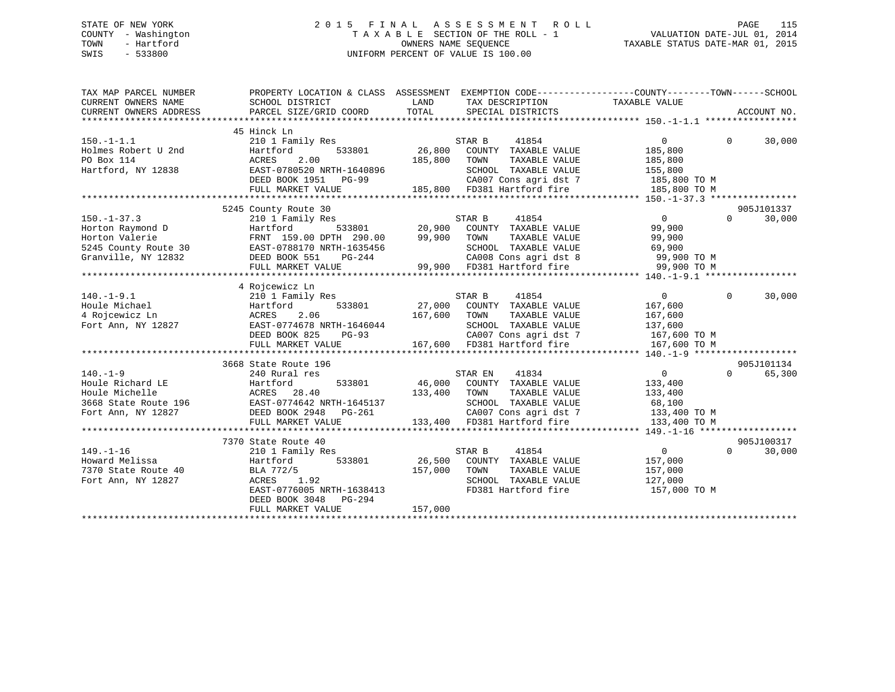## STATE OF NEW YORK 2 0 1 5 F I N A L A S S E S S M E N T R O L L PAGE 115 COUNTY - Washington T A X A B L E SECTION OF THE ROLL - 1 VALUATION DATE-JUL 01, 2014 TOWN - Hartford **TAXABLE STATUS DATE-MAR 01, 2015** OWNERS NAME SEQUENCE TAXABLE STATUS DATE-MAR 01, 2015 SWIS - 533800 UNIFORM PERCENT OF VALUE IS 100.00

| TAX MAP PARCEL NUMBER<br>CURRENT OWNERS NAME<br>CURRENT OWNERS ADDRESS                                 | PROPERTY LOCATION & CLASS ASSESSMENT<br>SCHOOL DISTRICT<br>PARCEL SIZE/GRID COORD                                                                                              | LAND<br>TOTAL                       | EXEMPTION CODE-----------------COUNTY-------TOWN------SCHOOL<br>TAX DESCRIPTION<br>SPECIAL DISTRICTS                                                        | TAXABLE VALUE                                                                              |          | ACCOUNT NO.          |
|--------------------------------------------------------------------------------------------------------|--------------------------------------------------------------------------------------------------------------------------------------------------------------------------------|-------------------------------------|-------------------------------------------------------------------------------------------------------------------------------------------------------------|--------------------------------------------------------------------------------------------|----------|----------------------|
| $150. - 1 - 1.1$<br>Holmes Robert U 2nd<br>PO Box 114<br>Hartford, NY 12838                            | 45 Hinck Ln<br>210 1 Family Res<br>Hartford<br>533801<br>ACRES<br>2.00<br>EAST-0780520 NRTH-1640896<br>DEED BOOK 1951 PG-99<br>FULL MARKET VALUE                               | 26,800<br>185,800                   | STAR B<br>41854<br>COUNTY TAXABLE VALUE<br>TOWN<br>TAXABLE VALUE<br>SCHOOL TAXABLE VALUE<br>CA007 Cons agri dst 7<br>185,800 FD381 Hartford fire            | $\Omega$<br>185,800<br>185,800<br>155,800<br>185,800 TO M<br>185,800 TO M                  | $\Omega$ | 30,000               |
| $150. - 1 - 37.3$<br>Horton Raymond D<br>Horton Valerie<br>5245 County Route 30<br>Granville, NY 12832 | 5245 County Route 30<br>210 1 Family Res<br>Hartford<br>FRNT 159.00 DPTH 290.00<br>PRN1 132.00 21<br>EAST-0788170 NRTH-1635456<br>DEED BOOK 551<br>PG-244<br>FULL MARKET VALUE | 533801 20,900<br>99,900             | 41854<br>STAR B<br>COUNTY TAXABLE VALUE<br>TOWN<br>TAXABLE VALUE<br>SCHOOL TAXABLE VALUE<br>CA008 Cons agri dst 8 99,900 TO M<br>99,900 FD381 Hartford fire | $\overline{0}$<br>99,900<br>99,900<br>69,900<br>99,900 TO M                                | $\Omega$ | 905J101337<br>30,000 |
| $140. - 1 - 9.1$<br>Houle Michael<br>4 Rojcewicz Ln<br>Fort Ann, NY 12827                              | 4 Rojcewicz Ln<br>210 1 Family Res<br>Hartford<br>533801<br>2.06<br>ACRES<br>EAST-0774678 NRTH-1646044<br>DEED BOOK 825<br>$PG-93$<br>FULL MARKET VALUE                        | 167,600                             | STAR B<br>41854<br>27,000 COUNTY TAXABLE VALUE<br>TOWN<br>TAXABLE VALUE<br>SCHOOL TAXABLE VALUE<br>CA007 Cons agri dst 7<br>167,600 FD381 Hartford fire     | $\overline{0}$<br>167,600<br>167,600<br>137,600<br>137,600<br>167,600 TO M<br>167,600 TO M | $\Omega$ | 30,000               |
| $140. -1 - 9$<br>Houle Richard LE<br>Houle Michelle<br>3668 State Route 196<br>Fort Ann, NY 12827      | 3668 State Route 196<br>240 Rural res<br>533801<br>Hartford<br>ACRES<br>28.40<br>EAST-0774642 NRTH-1645137<br>DEED BOOK 2948 PG-261<br>FULL MARKET VALUE                       | 46,000<br>133,400<br>133,400        | 41834<br>STAR EN<br>COUNTY TAXABLE VALUE<br>TAXABLE VALUE<br>TOWN<br>SCHOOL TAXABLE VALUE<br>CA007 Cons agri dst 7<br>FD381 Hartford fire                   | $\overline{0}$<br>133,400<br>133,400<br>68,100<br>133,400 TO M<br>133,400 TO M             | $\Omega$ | 905J101134<br>65,300 |
| $149. - 1 - 16$<br>Howard Melissa<br>7370 State Route 40<br>Fort Ann, NY 12827                         | 7370 State Route 40<br>210 1 Family Res<br>Hartford<br>BLA 772/5<br>ACRES<br>1.92<br>EAST-0776005 NRTH-1638413<br>DEED BOOK 3048 PG-294<br>FULL MARKET VALUE                   | 533801 26,500<br>157,000<br>157,000 | 41854<br>STAR B<br>COUNTY TAXABLE VALUE<br>TOWN<br>TAXABLE VALUE<br>SCHOOL TAXABLE VALUE<br>FD381 Hartford fire                                             | $\overline{0}$<br>157,000<br>157,000<br>127,000<br>157,000 TO M                            | $\Omega$ | 905J100317<br>30,000 |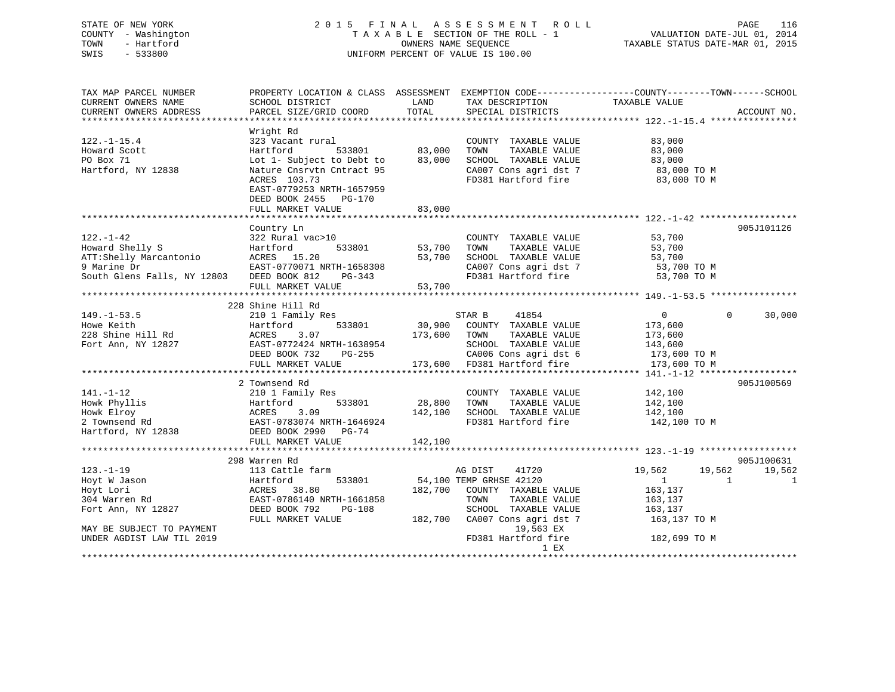## STATE OF NEW YORK 2 0 1 5 F I N A L A S S E S S M E N T R O L L PAGE 116 COUNTY - Washington T A X A B L E SECTION OF THE ROLL - 1 VALUATION DATE-JUL 01, 2014 TOWN - Hartford OWNERS NAME SEQUENCE TAXABLE STATUS DATE-MAR 01, 2015 SWIS - 533800 UNIFORM PERCENT OF VALUE IS 100.00

| TAX MAP PARCEL NUMBER<br>CURRENT OWNERS NAME<br>CURRENT OWNERS ADDRESS | SCHOOL DISTRICT<br>PARCEL SIZE/GRID COORD                                               | LAND<br>TOTAL | TAX DESCRIPTION<br>SPECIAL DISTRICTS          | PROPERTY LOCATION & CLASS ASSESSMENT EXEMPTION CODE---------------COUNTY-------TOWN-----SCHOOL<br>TAXABLE VALUE | ACCOUNT NO.  |
|------------------------------------------------------------------------|-----------------------------------------------------------------------------------------|---------------|-----------------------------------------------|-----------------------------------------------------------------------------------------------------------------|--------------|
|                                                                        |                                                                                         |               |                                               |                                                                                                                 |              |
|                                                                        | Wright Rd                                                                               |               |                                               |                                                                                                                 |              |
| $122. - 1 - 15.4$                                                      | 323 Vacant rural                                                                        |               | COUNTY TAXABLE VALUE                          | 83,000                                                                                                          |              |
| Howard Scott                                                           | Hartford<br>533801                                                                      | 83,000        | TOWN<br>TAXABLE VALUE                         | 83,000                                                                                                          |              |
| PO Box 71                                                              | Lot 1- Subject to Debt to                                                               | 83,000        | SCHOOL TAXABLE VALUE                          | 83,000                                                                                                          |              |
| Hartford, NY 12838                                                     | Nature Cnsrvtn Cntract 95                                                               |               | CA007 Cons agri dst 7                         | 83,000 TO M                                                                                                     |              |
|                                                                        | ACRES 103.73<br>EAST-0779253 NRTH-1657959<br>DEED BOOK 2455 PG-170<br>FULL MARKET VALUE | 83,000        | FD381 Hartford fire                           | 83,000 TO M                                                                                                     |              |
|                                                                        |                                                                                         |               |                                               |                                                                                                                 |              |
|                                                                        | Country Ln                                                                              |               |                                               |                                                                                                                 | 905J101126   |
| $122. - 1 - 42$                                                        | 322 Rural vac>10                                                                        |               | COUNTY TAXABLE VALUE                          | 53,700                                                                                                          |              |
| Howard Shelly S                                                        | 533801<br>Hartford                                                                      | 53,700        | TOWN<br>TAXABLE VALUE                         | 53,700                                                                                                          |              |
| ATT:Shelly Marcantonio                                                 | ACRES 15.20                                                                             | 53,700        | SCHOOL TAXABLE VALUE                          | 53,700                                                                                                          |              |
| 9 Marine Dr                                                            | EAST-0770071 NRTH-1658308                                                               |               | CA007 Cons agri dst 7                         | $53,700$ TO M<br>53,700 TO M                                                                                    |              |
| South Glens Falls, NY 12803                                            | DEED BOOK 812<br>PG-343                                                                 |               | FD381 Hartford fire                           | 53,700 TO M                                                                                                     |              |
|                                                                        | FULL MARKET VALUE                                                                       | 53,700        |                                               |                                                                                                                 |              |
|                                                                        |                                                                                         |               |                                               |                                                                                                                 |              |
|                                                                        | 228 Shine Hill Rd                                                                       |               |                                               |                                                                                                                 |              |
| $149. - 1 - 53.5$                                                      | 210 1 Family Res                                                                        |               | STAR B<br>41854                               | $\overline{0}$<br>$\Omega$                                                                                      | 30,000       |
| Howe Keith                                                             | 533801<br>Hartford                                                                      | 30,900        | COUNTY TAXABLE VALUE                          | 173,600                                                                                                         |              |
| 228 Shine Hill Rd                                                      | ACRES<br>3.07                                                                           | 173,600       | TOWN<br>TAXABLE VALUE                         | 173,600                                                                                                         |              |
| Fort Ann, NY 12827                                                     | EAST-0772424 NRTH-1638954                                                               |               | SCHOOL TAXABLE VALUE                          | 143,600                                                                                                         |              |
|                                                                        | DEED BOOK 732<br>PG-255                                                                 |               | CA006 Cons agri dst 6                         | 173,600 TO M                                                                                                    |              |
|                                                                        | FULL MARKET VALUE                                                                       | 173,600       | FD381 Hartford fire                           | 173,600 TO M                                                                                                    |              |
|                                                                        |                                                                                         |               |                                               |                                                                                                                 |              |
|                                                                        | 2 Townsend Rd                                                                           |               |                                               |                                                                                                                 | 905J100569   |
| $141. - 1 - 12$<br>Howk Phyllis                                        | 210 1 Family Res<br>533801                                                              | 28,800        | COUNTY TAXABLE VALUE                          | 142,100                                                                                                         |              |
| Howk Elroy                                                             | Hartford<br>ACRES<br>3.09                                                               | 142,100       | TAXABLE VALUE<br>TOWN<br>SCHOOL TAXABLE VALUE | 142,100<br>142,100                                                                                              |              |
| 2 Townsend Rd                                                          | EAST-0783074 NRTH-1646924                                                               |               | FD381 Hartford fire                           | 142,100 TO M                                                                                                    |              |
| Hartford, NY 12838                                                     | DEED BOOK 2990 PG-74                                                                    |               |                                               |                                                                                                                 |              |
|                                                                        | FULL MARKET VALUE                                                                       | 142,100       |                                               |                                                                                                                 |              |
|                                                                        | *****************************                                                           |               |                                               |                                                                                                                 |              |
|                                                                        | 298 Warren Rd                                                                           |               |                                               |                                                                                                                 | 905J100631   |
| $123. - 1 - 19$                                                        | 113 Cattle farm                                                                         |               | AG DIST<br>41720                              | 19,562<br>19,562                                                                                                | 19,562       |
| Hoyt W Jason                                                           | 533801<br>Hartford                                                                      |               | 54,100 TEMP GRHSE 42120                       | $\mathbf{1}$<br>$\overline{1}$                                                                                  | $\mathbf{1}$ |
| Hoyt Lori                                                              | ACRES 38.80                                                                             |               | 182,700 COUNTY TAXABLE VALUE                  | 163,137                                                                                                         |              |
| 304 Warren Rd                                                          | EAST-0786140 NRTH-1661858                                                               |               | TOWN<br>TAXABLE VALUE                         | 163,137                                                                                                         |              |
| Fort Ann, NY 12827                                                     | DEED BOOK 792<br>$PG-108$                                                               |               | SCHOOL TAXABLE VALUE                          | 163,137                                                                                                         |              |
|                                                                        | FULL MARKET VALUE                                                                       | 182,700       | CA007 Cons agri dst 7                         | 163,137 TO M                                                                                                    |              |
| MAY BE SUBJECT TO PAYMENT                                              |                                                                                         |               | 19,563 EX                                     |                                                                                                                 |              |
| UNDER AGDIST LAW TIL 2019                                              |                                                                                         |               | FD381 Hartford fire<br>1 EX                   | 182,699 TO M                                                                                                    |              |
|                                                                        |                                                                                         |               |                                               |                                                                                                                 |              |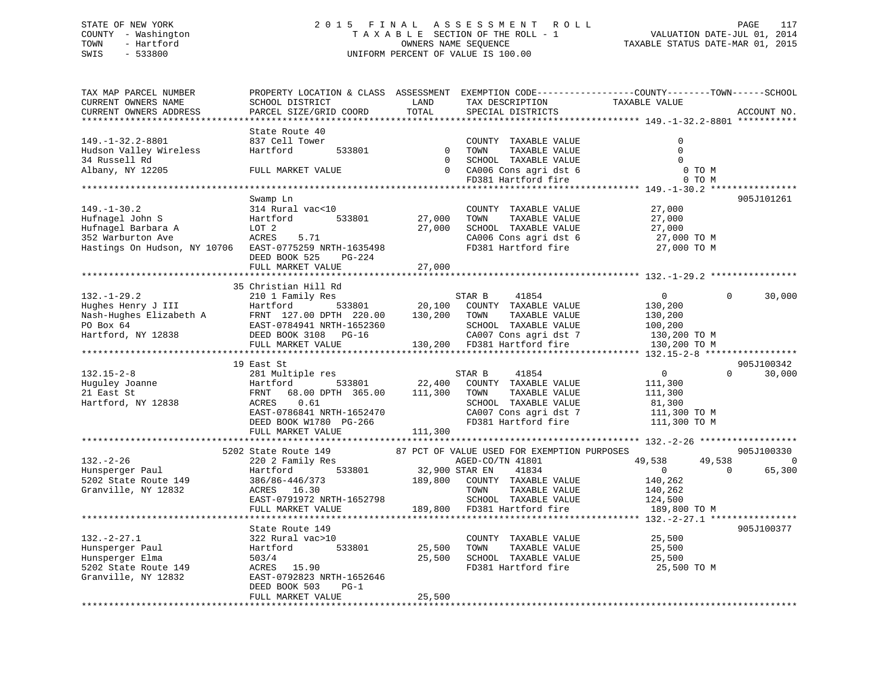## STATE OF NEW YORK 2 0 1 5 F I N A L A S S E S S M E N T R O L L PAGE 117 COUNTY - Washington T A X A B L E SECTION OF THE ROLL - 1 VALUATION DATE-JUL 01, 2014 TOWN - Hartford OWNERS NAME SEQUENCE TAXABLE STATUS DATE-MAR 01, 2015 SWIS - 533800 UNIFORM PERCENT OF VALUE IS 100.00

| TAX MAP PARCEL NUMBER<br>CURRENT OWNERS NAME<br>CURRENT OWNERS ADDRESS | PROPERTY LOCATION & CLASS ASSESSMENT<br>SCHOOL DISTRICT<br>PARCEL SIZE/GRID COORD | LAND<br>TOTAL               | TAX DESCRIPTION<br>SPECIAL DISTRICTS                                  | EXEMPTION CODE-----------------COUNTY-------TOWN------SCHOOL<br>TAXABLE VALUE | ACCOUNT NO. |
|------------------------------------------------------------------------|-----------------------------------------------------------------------------------|-----------------------------|-----------------------------------------------------------------------|-------------------------------------------------------------------------------|-------------|
| **********************                                                 | ****************                                                                  |                             |                                                                       |                                                                               |             |
| $149. -1 - 32.2 - 8801$<br>Hudson Valley Wireless<br>34 Russell Rd     | State Route 40<br>837 Cell Tower<br>Hartford<br>533801                            | $\mathbf 0$<br>$\mathbf{0}$ | COUNTY TAXABLE VALUE<br>TOWN<br>TAXABLE VALUE<br>SCHOOL TAXABLE VALUE | $\mathbf 0$<br>$\mathbf 0$<br>$\Omega$                                        |             |
| Albany, NY 12205                                                       | FULL MARKET VALUE                                                                 | $\Omega$                    | CA006 Cons agri dst 6<br>FD381 Hartford fire                          | 0 TO M<br>0 TO M                                                              |             |
|                                                                        |                                                                                   |                             |                                                                       |                                                                               |             |
|                                                                        | Swamp Ln                                                                          |                             |                                                                       |                                                                               | 905J101261  |
| $149. - 1 - 30.2$                                                      | 314 Rural vac<10                                                                  |                             | COUNTY TAXABLE VALUE                                                  | 27,000                                                                        |             |
| Hufnagel John S                                                        | Hartford<br>533801                                                                | 27,000                      | TAXABLE VALUE<br>TOWN                                                 | 27,000                                                                        |             |
| Hufnagel Barbara A                                                     | LOT 2                                                                             | 27,000                      | SCHOOL TAXABLE VALUE                                                  | 27,000                                                                        |             |
| 352 Warburton Ave                                                      | ACRES<br>5.71                                                                     |                             | CA006 Cons agri dst 6                                                 | 27,000 TO M                                                                   |             |
| Hastings On Hudson, NY 10706                                           | EAST-0775259 NRTH-1635498                                                         |                             | FD381 Hartford fire                                                   | 27,000 TO M                                                                   |             |
|                                                                        | DEED BOOK 525<br>PG-224                                                           |                             |                                                                       |                                                                               |             |
|                                                                        | FULL MARKET VALUE                                                                 | 27,000                      |                                                                       |                                                                               |             |
|                                                                        | ***************************                                                       |                             |                                                                       |                                                                               |             |
|                                                                        | 35 Christian Hill Rd                                                              |                             |                                                                       |                                                                               |             |
| $132. - 1 - 29.2$                                                      | 210 1 Family Res                                                                  |                             | STAR B<br>41854                                                       | $\overline{0}$<br>$\Omega$                                                    | 30,000      |
| Hughes Henry J III                                                     | 533801<br>Hartford                                                                | 20,100                      | COUNTY TAXABLE VALUE                                                  | 130,200                                                                       |             |
| Nash-Hughes Elizabeth A                                                | FRNT 127.00 DPTH 220.00                                                           | 130,200                     | TOWN<br>TAXABLE VALUE                                                 | 130,200                                                                       |             |
| PO Box 64                                                              | EAST-0784941 NRTH-1652360                                                         |                             | SCHOOL TAXABLE VALUE                                                  | 100,200                                                                       |             |
| Hartford, NY 12838                                                     | DEED BOOK 3108 PG-16                                                              |                             | CA007 Cons agri dst 7                                                 | 130,200 TO M                                                                  |             |
|                                                                        | FULL MARKET VALUE<br>***********************                                      | 130,200                     | FD381 Hartford fire                                                   | 130,200 TO M                                                                  |             |
|                                                                        | 19 East St                                                                        |                             |                                                                       | ***** 132.15-2-8 *****************                                            | 905J100342  |
| $132.15 - 2 - 8$                                                       | 281 Multiple res                                                                  |                             | 41854<br>STAR B                                                       | $\overline{0}$<br>$\Omega$                                                    | 30,000      |
| Huguley Joanne                                                         | Hartford<br>533801                                                                | 22,400                      | COUNTY TAXABLE VALUE                                                  | 111,300                                                                       |             |
| 21 East St                                                             | 68.00 DPTH 365.00<br>FRNT                                                         | 111,300                     | TAXABLE VALUE<br>TOWN                                                 | 111,300                                                                       |             |
| Hartford, NY 12838                                                     | ACRES<br>0.61                                                                     |                             | SCHOOL TAXABLE VALUE                                                  | 81,300                                                                        |             |
|                                                                        | EAST-0786841 NRTH-1652470                                                         |                             | CA007 Cons agri dst 7                                                 | 111,300 TO M                                                                  |             |
|                                                                        | DEED BOOK W1780 PG-266                                                            |                             | FD381 Hartford fire                                                   | 111,300 TO M                                                                  |             |
|                                                                        | FULL MARKET VALUE                                                                 | 111,300                     |                                                                       |                                                                               |             |
|                                                                        | ***********************                                                           |                             |                                                                       | ************ 132.-2-26 *******************                                    |             |
|                                                                        | 5202 State Route 149                                                              |                             | 87 PCT OF VALUE USED FOR EXEMPTION PURPOSES                           |                                                                               | 905J100330  |
| $132. - 2 - 26$                                                        | 220 2 Family Res                                                                  |                             | AGED-CO/TN 41801                                                      | 49,538<br>49,538                                                              | $\Omega$    |
| Hunsperger Paul                                                        | Hartford<br>533801                                                                |                             | 32,900 STAR EN<br>41834                                               | $\overline{0}$<br>$\Omega$                                                    | 65,300      |
| 5202 State Route 149                                                   | 386/86-446/373                                                                    | 189,800                     | COUNTY TAXABLE VALUE                                                  | 140,262                                                                       |             |
| Granville, NY 12832                                                    | ACRES 16.30                                                                       |                             | TOWN<br>TAXABLE VALUE                                                 | 140,262                                                                       |             |
|                                                                        | EAST-0791972 NRTH-1652798                                                         |                             | SCHOOL TAXABLE VALUE                                                  | 124,500                                                                       |             |
|                                                                        | FULL MARKET VALUE<br>***************************                                  | 189,800                     | FD381 Hartford fire                                                   | 189,800 TO M                                                                  |             |
|                                                                        |                                                                                   |                             |                                                                       |                                                                               |             |
|                                                                        | State Route 149                                                                   |                             |                                                                       |                                                                               | 905J100377  |
| $132 - 2 - 27.1$                                                       | 322 Rural vac>10                                                                  |                             | COUNTY TAXABLE VALUE                                                  | 25,500                                                                        |             |
| Hunsperger Paul                                                        | 533801<br>Hartford                                                                | 25,500                      | TAXABLE VALUE<br>TOWN                                                 | 25,500                                                                        |             |
| Hunsperger Elma<br>5202 State Route 149                                | 503/4<br>ACRES 15.90                                                              | 25,500                      | SCHOOL TAXABLE VALUE<br>FD381 Hartford fire                           | 25,500<br>25,500 TO M                                                         |             |
| Granville, NY 12832                                                    | EAST-0792823 NRTH-1652646                                                         |                             |                                                                       |                                                                               |             |
|                                                                        | $PG-1$<br>DEED BOOK 503                                                           |                             |                                                                       |                                                                               |             |
|                                                                        | FULL MARKET VALUE                                                                 | 25,500                      |                                                                       |                                                                               |             |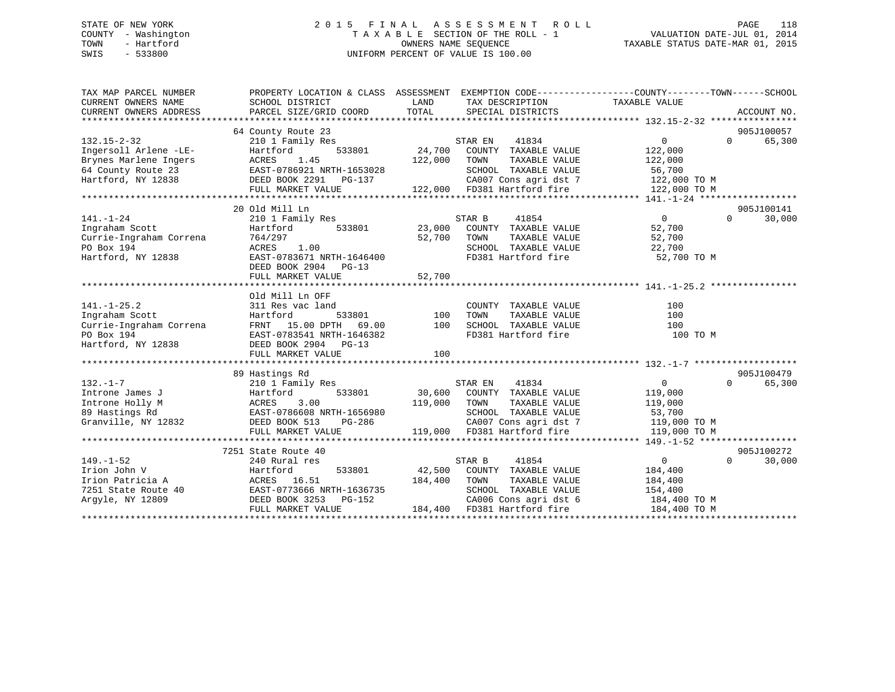## STATE OF NEW YORK 2 0 1 5 F I N A L A S S E S S M E N T R O L L PAGE 118 COUNTY - Washington T A X A B L E SECTION OF THE ROLL - 1 VALUATION DATE-JUL 01, 2014 TOWN - Hartford **TAXABLE STATUS DATE-MAR 01, 2015** OWNERS NAME SEQUENCE TAXABLE STATUS DATE-MAR 01, 2015 SWIS - 533800 UNIFORM PERCENT OF VALUE IS 100.00

| TAX MAP PARCEL NUMBER<br>CURRENT OWNERS NAME<br>CURRENT OWNERS ADDRESS | PROPERTY LOCATION & CLASS ASSESSMENT<br>SCHOOL DISTRICT<br>PARCEL SIZE/GRID COORD | LAND<br>TOTAL | EXEMPTION CODE----------------COUNTY-------TOWN------SCHOOL<br>TAX DESCRIPTION TAXABLE VALUE<br>SPECIAL DISTRICTS |                   | ACCOUNT NO.        |
|------------------------------------------------------------------------|-----------------------------------------------------------------------------------|---------------|-------------------------------------------------------------------------------------------------------------------|-------------------|--------------------|
|                                                                        | 64 County Route 23                                                                |               |                                                                                                                   |                   | 905J100057         |
| $132.15 - 2 - 32$                                                      | 210 1 Family Res                                                                  |               | STAR EN<br>41834                                                                                                  | $\overline{0}$    | $\Omega$<br>65,300 |
| Ingersoll Arlene -LE-                                                  | 533801<br>Hartford                                                                | 24,700        | COUNTY TAXABLE VALUE                                                                                              | 122,000           |                    |
| Brynes Marlene Ingers                                                  | ACRES<br>1.45                                                                     | 122,000       | TOWN<br>TAXABLE VALUE                                                                                             | 122,000           |                    |
| 64 County Route 23                                                     | EAST-0786921 NRTH-1653028                                                         |               | SCHOOL TAXABLE VALUE                                                                                              | 56,700            |                    |
| Hartford, NY 12838                                                     | DEED BOOK 2291<br>PG-137                                                          |               | CA007 Cons agri dst 7                                                                                             | 122,000 TO M      |                    |
|                                                                        | FULL MARKET VALUE                                                                 |               | 122,000 FD381 Hartford fire                                                                                       | 122,000 TO M      |                    |
|                                                                        |                                                                                   |               |                                                                                                                   |                   |                    |
|                                                                        | 20 Old Mill Ln                                                                    |               |                                                                                                                   |                   | 905J100141         |
| $141. - 1 - 24$                                                        | 210 1 Family Res                                                                  |               | STAR B<br>41854                                                                                                   | $0 \qquad \qquad$ | $\Omega$<br>30,000 |
| Ingraham Scott                                                         | Hartford<br>533801                                                                | 23,000        | COUNTY TAXABLE VALUE                                                                                              | 52,700            |                    |
| Currie-Ingraham Correna                                                | 764/297                                                                           | 52,700        | TOWN<br>TAXABLE VALUE                                                                                             | 52,700            |                    |
| PO Box 194                                                             | ACRES<br>1.00                                                                     |               | SCHOOL TAXABLE VALUE                                                                                              | 22,700            |                    |
| Hartford, NY 12838                                                     | EAST-0783671 NRTH-1646400                                                         |               | FD381 Hartford fire                                                                                               | 52,700 TO M       |                    |
|                                                                        | DEED BOOK 2904<br>$PG-13$                                                         |               |                                                                                                                   |                   |                    |
|                                                                        | FULL MARKET VALUE                                                                 | 52,700        |                                                                                                                   |                   |                    |
|                                                                        |                                                                                   |               |                                                                                                                   |                   |                    |
|                                                                        | Old Mill Ln OFF                                                                   |               |                                                                                                                   |                   |                    |
| $141. - 1 - 25.2$                                                      | 311 Res vac land                                                                  |               | COUNTY TAXABLE VALUE                                                                                              | 100               |                    |
| Ingraham Scott                                                         | Hartford<br>533801                                                                | 100           | TOWN<br>TAXABLE VALUE                                                                                             | 100               |                    |
| Currie-Ingraham Correna                                                | FRNT 15.00 DPTH<br>69.00                                                          | 100           | SCHOOL TAXABLE VALUE                                                                                              | 100               |                    |
| PO Box 194                                                             | EAST-0783541 NRTH-1646382                                                         |               | FD381 Hartford fire                                                                                               | 100 TO M          |                    |
| Hartford, NY 12838                                                     | DEED BOOK 2904 PG-13                                                              |               |                                                                                                                   |                   |                    |
|                                                                        | FULL MARKET VALUE                                                                 | 100           |                                                                                                                   |                   |                    |
|                                                                        |                                                                                   |               |                                                                                                                   |                   |                    |
|                                                                        | 89 Hastings Rd                                                                    |               |                                                                                                                   |                   | 905J100479         |
| $132. - 1 - 7$                                                         | 210 1 Family Res                                                                  |               | STAR EN<br>41834                                                                                                  | $\overline{0}$    | 65,300<br>$\Omega$ |
| Introne James J                                                        | Hartford<br>533801                                                                | 30,600        | COUNTY TAXABLE VALUE                                                                                              | 119,000           |                    |
| Introne Holly M                                                        | 3.00<br>ACRES                                                                     | 119,000       | TOWN<br>TAXABLE VALUE                                                                                             | 119,000           |                    |
| 89 Hastings Rd                                                         | EAST-0786608 NRTH-1656980                                                         |               | SCHOOL TAXABLE VALUE                                                                                              | 53,700            |                    |
| Granville, NY 12832                                                    | DEED BOOK 513<br>PG-286                                                           |               | CA007 Cons agri dst 7                                                                                             | 119,000 TO M      |                    |
|                                                                        | FULL MARKET VALUE                                                                 | 119,000       | FD381 Hartford fire                                                                                               | 119,000 TO M      |                    |
|                                                                        |                                                                                   |               |                                                                                                                   |                   |                    |
|                                                                        | 7251 State Route 40                                                               |               |                                                                                                                   |                   | 905J100272         |
| $149. - 1 - 52$                                                        | 240 Rural res                                                                     |               | 41854<br>STAR B                                                                                                   | $\overline{0}$    | $\Omega$<br>30,000 |
| Irion John V                                                           | 533801<br>Hartford                                                                | 42,500        | COUNTY TAXABLE VALUE                                                                                              | 184,400           |                    |
| Irion Patricia A                                                       | ACRES 16.51                                                                       | 184,400       | TOWN<br>TAXABLE VALUE                                                                                             | 184,400           |                    |
| 7251 State Route 40                                                    | EAST-0773666 NRTH-1636735                                                         |               | SCHOOL TAXABLE VALUE                                                                                              | 154,400           |                    |
| Argyle, NY 12809                                                       | DEED BOOK 3253<br>PG-152                                                          |               | CA006 Cons agri dst 6                                                                                             | 184,400 TO M      |                    |
|                                                                        | FULL MARKET VALUE                                                                 |               | 184,400 FD381 Hartford fire                                                                                       | 184,400 TO M      |                    |
|                                                                        |                                                                                   |               |                                                                                                                   |                   |                    |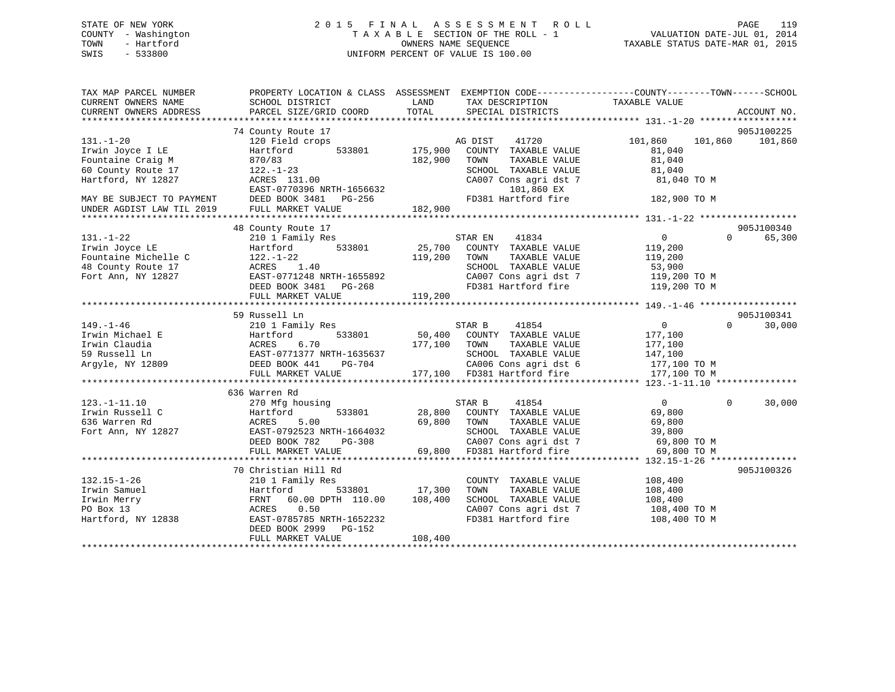## STATE OF NEW YORK 2 0 1 5 F I N A L A S S E S S M E N T R O L L PAGE 119 COUNTY - Washington T A X A B L E SECTION OF THE ROLL - 1 VALUATION DATE-JUL 01, 2014 TOWN - Hartford **TAXABLE STATUS DATE-MAR 01, 2015** OWNERS NAME SEQUENCE TAXABLE STATUS DATE-MAR 01, 2015 SWIS - 533800 UNIFORM PERCENT OF VALUE IS 100.00

| TAX MAP PARCEL NUMBER<br>CURRENT OWNERS NAME | PROPERTY LOCATION & CLASS ASSESSMENT<br>SCHOOL DISTRICT | LAND<br>TAX DESCRIPTION          | EXEMPTION CODE-----------------COUNTY-------TOWN------SCHOOL<br>TAXABLE VALUE |
|----------------------------------------------|---------------------------------------------------------|----------------------------------|-------------------------------------------------------------------------------|
| CURRENT OWNERS ADDRESS                       | PARCEL SIZE/GRID COORD                                  | TOTAL<br>SPECIAL DISTRICTS       | ACCOUNT NO.                                                                   |
|                                              |                                                         |                                  |                                                                               |
|                                              | 74 County Route 17                                      |                                  | 905J100225                                                                    |
| $131. - 1 - 20$                              | 120 Field crops                                         | 41720<br>AG DIST                 | 101,860<br>101,860<br>101,860                                                 |
| Irwin Joyce I LE                             | 533801<br>Hartford                                      | 175,900<br>COUNTY TAXABLE VALUE  | 81,040                                                                        |
| Fountaine Craig M                            | 870/83                                                  | 182,900<br>TOWN<br>TAXABLE VALUE | 81,040                                                                        |
| 60 County Route 17                           | $122. - 1 - 23$                                         | SCHOOL TAXABLE VALUE             | 81,040                                                                        |
| Hartford, NY 12827                           | ACRES 131.00                                            | CA007 Cons agri dst 7            | 81,040 TO M                                                                   |
|                                              | EAST-0770396 NRTH-1656632                               | 101,860 EX                       |                                                                               |
| MAY BE SUBJECT TO PAYMENT                    | DEED BOOK 3481<br>PG-256                                | FD381 Hartford fire              | 182,900 TO M                                                                  |
| UNDER AGDIST LAW TIL 2019                    | FULL MARKET VALUE                                       | 182,900                          |                                                                               |
|                                              |                                                         |                                  |                                                                               |
|                                              | 48 County Route 17                                      |                                  | 905J100340                                                                    |
| $131. - 1 - 22$                              | 210 1 Family Res                                        | STAR EN<br>41834                 | $\overline{0}$<br>65,300<br>$\Omega$                                          |
| Irwin Joyce LE                               | 533801<br>Hartford                                      | 25,700<br>COUNTY TAXABLE VALUE   | 119,200                                                                       |
| Fountaine Michelle C                         | $122. - 1 - 22$                                         | 119,200<br>TOWN<br>TAXABLE VALUE | 119,200                                                                       |
| 48 County Route 17                           | 1.40<br>ACRES                                           | SCHOOL TAXABLE VALUE             | 53,900                                                                        |
| Fort Ann, NY 12827                           | EAST-0771248 NRTH-1655892                               | CA007 Cons agri dst 7            | 119,200 TO M                                                                  |
|                                              | DEED BOOK 3481 PG-268                                   | FD381 Hartford fire              | 119,200 TO M                                                                  |
|                                              | FULL MARKET VALUE                                       | 119,200                          |                                                                               |
|                                              |                                                         |                                  |                                                                               |
|                                              | 59 Russell Ln                                           |                                  | 905J100341                                                                    |
| $149. - 1 - 46$                              | 210 1 Family Res                                        | 41854<br>STAR B                  | $\overline{0}$<br>$\Omega$<br>30,000                                          |
| Irwin Michael E                              | 533801<br>Hartford                                      | 50,400<br>COUNTY TAXABLE VALUE   | 177,100                                                                       |
| Irwin Claudia                                | ACRES<br>6.70                                           | 177,100<br>TAXABLE VALUE<br>TOWN | 177,100                                                                       |
| 59 Russell Ln                                | EAST-0771377 NRTH-1635637                               | SCHOOL TAXABLE VALUE             | 147,100                                                                       |
| Argyle, NY 12809                             | DEED BOOK 441<br>PG-704                                 | CA006 Cons agri dst 6            | 177,100 TO M                                                                  |
|                                              | FULL MARKET VALUE                                       | 177,100 FD381 Hartford fire      | 177,100 TO M                                                                  |
|                                              |                                                         |                                  |                                                                               |
|                                              | 636 Warren Rd                                           |                                  |                                                                               |
| $123. - 1 - 11.10$                           | 270 Mfg housing                                         | STAR B<br>41854                  | $\overline{0}$<br>$\Omega$<br>30,000                                          |
| Irwin Russell C                              | Hartford<br>533801                                      | 28,800<br>COUNTY TAXABLE VALUE   | 69,800                                                                        |
| 636 Warren Rd                                | ACRES<br>5.00                                           | 69,800<br>TOWN<br>TAXABLE VALUE  | 69,800                                                                        |
| Fort Ann, NY 12827                           | EAST-0792523 NRTH-1664032                               | SCHOOL TAXABLE VALUE             | 39,800                                                                        |
|                                              | DEED BOOK 782<br>PG-308                                 | CA007 Cons agri dst 7            | 69,800 TO M                                                                   |
|                                              | FULL MARKET VALUE                                       | 69,800<br>FD381 Hartford fire    | 69,800 TO M                                                                   |
|                                              |                                                         |                                  |                                                                               |
|                                              | 70 Christian Hill Rd                                    |                                  | 905J100326                                                                    |
| $132.15 - 1 - 26$                            | 210 1 Family Res                                        | COUNTY TAXABLE VALUE             | 108,400                                                                       |
| Irwin Samuel                                 | 533801<br>Hartford                                      | 17,300<br>TOWN<br>TAXABLE VALUE  | 108,400                                                                       |
| Irwin Merry                                  | FRNT<br>60.00 DPTH 110.00                               | 108,400<br>SCHOOL TAXABLE VALUE  | 108,400                                                                       |
| PO Box 13                                    | ACRES<br>0.50                                           | CA007 Cons agri dst 7            | 108,400 TO M                                                                  |
| Hartford, NY 12838                           | EAST-0785785 NRTH-1652232                               | FD381 Hartford fire              | 108,400 TO M                                                                  |
|                                              | DEED BOOK 2999<br>PG-152                                |                                  |                                                                               |
|                                              | FULL MARKET VALUE                                       | 108,400                          |                                                                               |
|                                              |                                                         |                                  |                                                                               |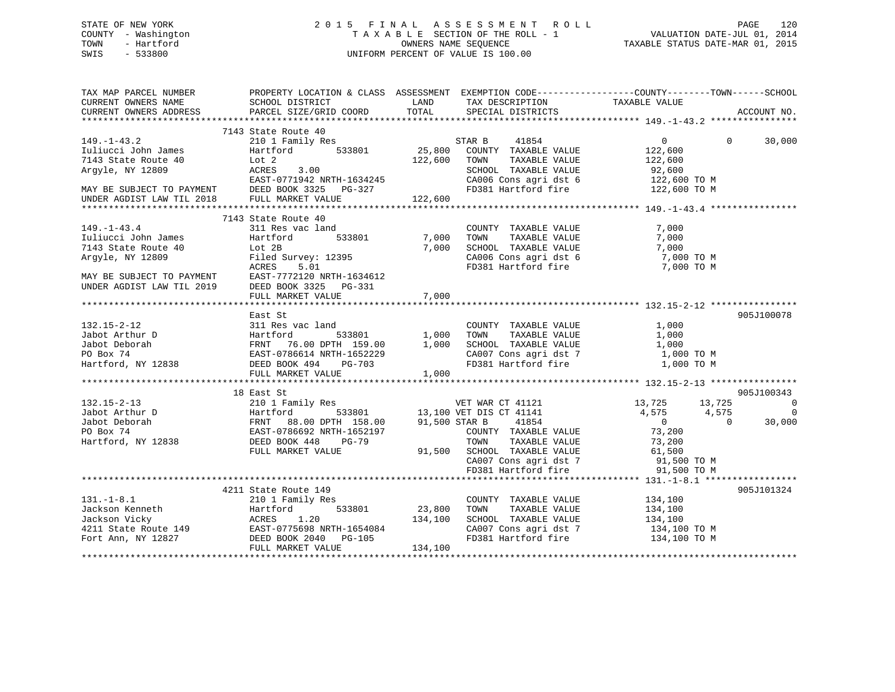## STATE OF NEW YORK 2 0 1 5 F I N A L A S S E S S M E N T R O L L PAGE 120 COUNTY - Washington T A X A B L E SECTION OF THE ROLL - 1 VALUATION DATE-JUL 01, 2014 TOWN - Hartford **TAXABLE STATUS DATE-MAR 01, 2015** OWNERS NAME SEQUENCE TAXABLE STATUS DATE-MAR 01, 2015 SWIS - 533800 UNIFORM PERCENT OF VALUE IS 100.00

| TAX MAP PARCEL NUMBER<br>CURRENT OWNERS NAME<br>CURRENT OWNERS ADDRESS                                                                                                                                                                                   | PROPERTY LOCATION & CLASS ASSESSMENT EXEMPTION CODE---------------COUNTY-------TOWN------SCHOOL<br>SCHOOL DISTRICT<br>PARCEL SIZE/GRID COORD | <b>LAND</b>              |                                                                                                                                                                |                              |           | ACCOUNT NO.              |
|----------------------------------------------------------------------------------------------------------------------------------------------------------------------------------------------------------------------------------------------------------|----------------------------------------------------------------------------------------------------------------------------------------------|--------------------------|----------------------------------------------------------------------------------------------------------------------------------------------------------------|------------------------------|-----------|--------------------------|
|                                                                                                                                                                                                                                                          |                                                                                                                                              |                          |                                                                                                                                                                |                              |           |                          |
| $149. - 1 - 43.2$                                                                                                                                                                                                                                        | 7143 State Route 40<br>210 1 Family Res                                                                                                      |                          | STAR B<br>41854                                                                                                                                                | $\overline{0}$               | $\Omega$  | 30,000                   |
| Iuliucci John James<br>7143 State Route 40                                                                                                                                                                                                               | ALU I Family 1<br>Hartford<br>Lot 2<br>ACRES 3.00<br>EAST-0771040<br>Hartford                                                                | 122,600 TOWN             | 533801 25,800 COUNTY TAXABLE VALUE                                                                                                                             | 122,600                      |           |                          |
| Argyle, NY 12809                                                                                                                                                                                                                                         |                                                                                                                                              |                          | TOWN TAXABLE VALUE 122,600<br>SCHOOL TAXABLE VALUE 92,600                                                                                                      |                              |           |                          |
| EAST-0771942 NRTH-1634245<br>EAST-0771942 NRTH-1634245<br>MAY BE SUBJECT TO PAYMENT DEED BOOK 3325 PG-327 FO381 Hartford fire 122,600 TO M<br>UNDER AGDIST LAW TIL 2018                                                                                  | FULL MARKET VALUE                                                                                                                            | 122,600                  |                                                                                                                                                                |                              |           |                          |
|                                                                                                                                                                                                                                                          |                                                                                                                                              |                          |                                                                                                                                                                |                              |           |                          |
|                                                                                                                                                                                                                                                          | 7143 State Route 40                                                                                                                          |                          |                                                                                                                                                                |                              |           |                          |
| $149. - 1 - 43.4$                                                                                                                                                                                                                                        | 311 Res vac land                                                                                                                             | $\frac{3}{533801}$ 7,000 | COUNTY TAXABLE VALUE                                                                                                                                           | 7,000                        |           |                          |
| Tuliucci John James<br>7143 State Route 40 Lot 2B                                                                                                                                                                                                        | Hartford                                                                                                                                     |                          | 7,000 TOWN TAXABLE VALUE 7,000<br>7,000 SCHOOL TAXABLE VALUE 7,000<br>CA006 Cons agri dst 6 7,000 TO M<br>FD381 Hartford fire 7,000 TO M                       |                              |           |                          |
|                                                                                                                                                                                                                                                          |                                                                                                                                              |                          |                                                                                                                                                                |                              |           |                          |
| Argyle, NY 12809                                                                                                                                                                                                                                         | Filed Survey: 12395                                                                                                                          |                          |                                                                                                                                                                |                              |           |                          |
|                                                                                                                                                                                                                                                          | ACRES 5.01                                                                                                                                   |                          |                                                                                                                                                                |                              |           |                          |
| MAY BE SUBJECT TO PAYMENT EAST-7772120 NRTH-1634612<br>UNDER AGDIST LAW TIL 2019 DEED BOOK 3325 PG-331                                                                                                                                                   |                                                                                                                                              |                          |                                                                                                                                                                |                              |           |                          |
|                                                                                                                                                                                                                                                          |                                                                                                                                              |                          |                                                                                                                                                                |                              |           |                          |
|                                                                                                                                                                                                                                                          | FULL MARKET VALUE                                                                                                                            | 7,000                    |                                                                                                                                                                |                              |           |                          |
|                                                                                                                                                                                                                                                          |                                                                                                                                              |                          |                                                                                                                                                                |                              |           |                          |
|                                                                                                                                                                                                                                                          | East St                                                                                                                                      |                          |                                                                                                                                                                |                              |           | 905J100078               |
|                                                                                                                                                                                                                                                          |                                                                                                                                              |                          | COUNTY TAXABLE VALUE                                                                                                                                           | 1,000                        |           |                          |
|                                                                                                                                                                                                                                                          |                                                                                                                                              | 533801 1,000             | TAXABLE VALUE<br>TOWN                                                                                                                                          | 1,000                        |           |                          |
|                                                                                                                                                                                                                                                          |                                                                                                                                              |                          | SCHOOL TAXABLE VALUE 1,000<br>CA007 Cons agri dst 7 1,000 TO M                                                                                                 |                              |           |                          |
|                                                                                                                                                                                                                                                          |                                                                                                                                              |                          |                                                                                                                                                                |                              |           |                          |
|                                                                                                                                                                                                                                                          |                                                                                                                                              |                          | FD381 Hartford fire                                                                                                                                            | 1,000 TO M                   |           |                          |
|                                                                                                                                                                                                                                                          |                                                                                                                                              |                          |                                                                                                                                                                |                              |           |                          |
|                                                                                                                                                                                                                                                          |                                                                                                                                              |                          |                                                                                                                                                                |                              |           |                          |
| 132.15-2-13<br>132.15-2-13<br>132.15-2-13<br>132.15-2-13<br>132.15-2-13<br>132.15-2-13<br>132.15-2-13<br>132.15-2-13<br>132.15-2-13<br>132.16 VET MAR CT 41121<br>132.100 VET DIS CT 41141<br>133.100 VET DIS CT 41141<br>133.100 VET DIS CT 41141<br>13 | 18 East St                                                                                                                                   |                          |                                                                                                                                                                |                              |           | 905J100343               |
|                                                                                                                                                                                                                                                          |                                                                                                                                              |                          |                                                                                                                                                                | 13,725 13,725<br>4,575 4,575 |           | $\overline{\phantom{0}}$ |
|                                                                                                                                                                                                                                                          |                                                                                                                                              |                          |                                                                                                                                                                |                              | $\bigcap$ | $\overline{\phantom{0}}$ |
|                                                                                                                                                                                                                                                          |                                                                                                                                              |                          |                                                                                                                                                                | $\overline{0}$<br>73,200     |           | 30,000                   |
|                                                                                                                                                                                                                                                          |                                                                                                                                              |                          |                                                                                                                                                                |                              |           |                          |
|                                                                                                                                                                                                                                                          |                                                                                                                                              |                          |                                                                                                                                                                |                              |           |                          |
|                                                                                                                                                                                                                                                          | FULL MARKET VALUE                                                                                                                            |                          |                                                                                                                                                                |                              |           |                          |
|                                                                                                                                                                                                                                                          |                                                                                                                                              |                          |                                                                                                                                                                |                              |           |                          |
|                                                                                                                                                                                                                                                          |                                                                                                                                              |                          |                                                                                                                                                                |                              |           |                          |
|                                                                                                                                                                                                                                                          | 4211 State Route 149                                                                                                                         |                          | TOWN TAXABLE VALUE 61,500<br>91,500 SCHOOL TAXABLE VALUE 61,500<br>CA007 Cons agri dst 7 91,500 TO M<br>FD381 Hartford fire 91,500 TO M<br>PRINT 131.-1-8.1 ** |                              |           | 905J101324               |
|                                                                                                                                                                                                                                                          |                                                                                                                                              |                          | COUNTY TAXABLE VALUE                                                                                                                                           | 134,100                      |           |                          |
|                                                                                                                                                                                                                                                          |                                                                                                                                              |                          | TAXABLE VALUE<br>TOWN                                                                                                                                          | 134,100                      |           |                          |
| 131.-1-8.1<br>Jackson Kenneth Hartford 533801 23,800<br>Jackson Vicky ACRES 1.20 134,100<br>4211 State Route 149 EAST-0775698 NRTH-1654084<br>Fort Ann, NY 12827 DEED BOOK 2040 PG-105<br>FULL MARKET VALUE AND FULL MARKET VALUE 134,                   |                                                                                                                                              |                          | SCHOOL TAXABLE VALUE 134,100                                                                                                                                   |                              |           |                          |
|                                                                                                                                                                                                                                                          |                                                                                                                                              |                          |                                                                                                                                                                |                              |           |                          |
|                                                                                                                                                                                                                                                          |                                                                                                                                              |                          | CA007 Cons agri dst 7 134,100 TO M<br>FD381 Hartford fire 134,100 TO M                                                                                         |                              |           |                          |
|                                                                                                                                                                                                                                                          |                                                                                                                                              |                          |                                                                                                                                                                |                              |           |                          |
|                                                                                                                                                                                                                                                          |                                                                                                                                              |                          |                                                                                                                                                                |                              |           |                          |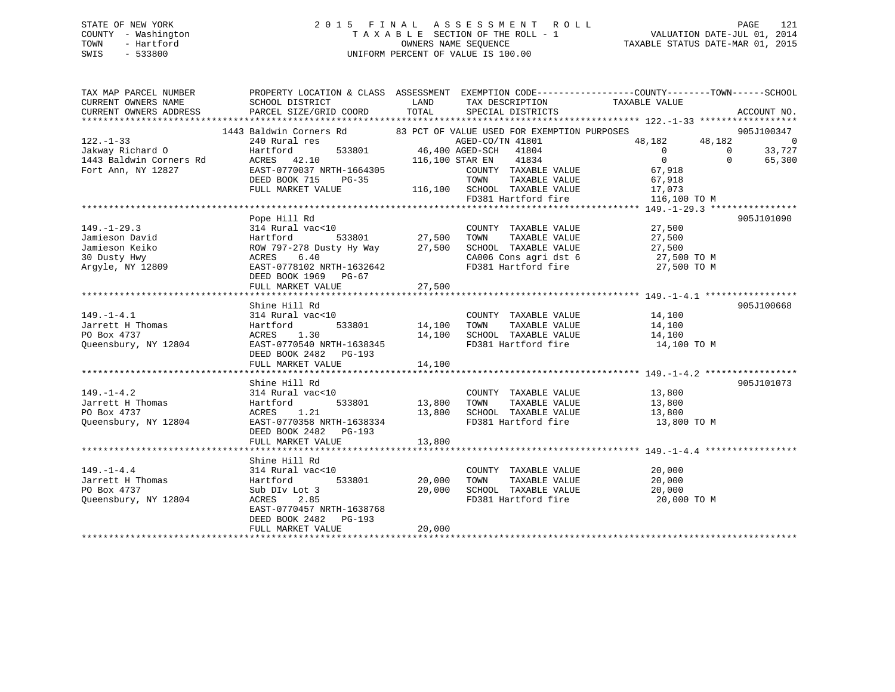## STATE OF NEW YORK 2 0 1 5 F I N A L A S S E S S M E N T R O L L PAGE 121 COUNTY - Washington T A X A B L E SECTION OF THE ROLL - 1 VALUATION DATE-JUL 01, 2014 TOWN - Hartford **TAXABLE STATUS DATE-MAR 01, 2015** OWNERS NAME SEQUENCE TAXABLE STATUS DATE-MAR 01, 2015 SWIS - 533800 UNIFORM PERCENT OF VALUE IS 100.00

| TAX MAP PARCEL NUMBER            | PROPERTY LOCATION & CLASS ASSESSMENT EXEMPTION CODE---------------COUNTY-------TOWN------SCHOOL                                                                                                                                          |        |                                                                                                                                                                     |                                                                                                                                             |            |
|----------------------------------|------------------------------------------------------------------------------------------------------------------------------------------------------------------------------------------------------------------------------------------|--------|---------------------------------------------------------------------------------------------------------------------------------------------------------------------|---------------------------------------------------------------------------------------------------------------------------------------------|------------|
|                                  |                                                                                                                                                                                                                                          |        |                                                                                                                                                                     |                                                                                                                                             |            |
|                                  |                                                                                                                                                                                                                                          |        |                                                                                                                                                                     |                                                                                                                                             |            |
|                                  |                                                                                                                                                                                                                                          |        |                                                                                                                                                                     |                                                                                                                                             |            |
|                                  | 1443 Baldwin Corners Rd 83 PCT OF VALUE USED FOR EXEMPTION PURPOSES                                                                                                                                                                      |        |                                                                                                                                                                     |                                                                                                                                             |            |
|                                  |                                                                                                                                                                                                                                          |        |                                                                                                                                                                     |                                                                                                                                             |            |
|                                  |                                                                                                                                                                                                                                          |        |                                                                                                                                                                     |                                                                                                                                             |            |
|                                  |                                                                                                                                                                                                                                          |        |                                                                                                                                                                     | $\begin{array}{cccc} & & & & & 905J100347 \\ 48,182 & & & 48\,,182 & & & 0 \\ & & & 0 & & 33\,,727 \\ & & 0 & & 0 & & 65\,,300 \end{array}$ |            |
|                                  |                                                                                                                                                                                                                                          |        |                                                                                                                                                                     |                                                                                                                                             |            |
|                                  | 122.-1-33<br>340 Hartford For Sales CO/TN 41801<br>340 Hartford 533801 46,400 AGED-CO/TN 41804 6<br>340 Hartford 533801 46,400 AGED-CO/TN 41804 0<br>316,100 STAR EN 41834 0<br>Fort Ann, NY 12827 EAST-0770037 NRTH-1664305 COUNTY TAXA |        | COUNTY TAXABLE VALUE 67,918                                                                                                                                         |                                                                                                                                             |            |
|                                  |                                                                                                                                                                                                                                          |        |                                                                                                                                                                     |                                                                                                                                             |            |
|                                  |                                                                                                                                                                                                                                          |        |                                                                                                                                                                     |                                                                                                                                             |            |
|                                  |                                                                                                                                                                                                                                          |        | FD381 Hartford fire                                                                                                                                                 | 116,100 TO M                                                                                                                                |            |
|                                  |                                                                                                                                                                                                                                          |        |                                                                                                                                                                     |                                                                                                                                             |            |
|                                  | Pope Hill Rd                                                                                                                                                                                                                             |        |                                                                                                                                                                     |                                                                                                                                             | 905J101090 |
| $149. - 1 - 29.3$                | - 27,500<br>214 Rural vac<10<br>Hartford 533801 27,500 TOWN TAXABLE VALUE 27,500                                                                                                                                                         |        |                                                                                                                                                                     |                                                                                                                                             |            |
| Jamieson David                   |                                                                                                                                                                                                                                          |        |                                                                                                                                                                     |                                                                                                                                             |            |
| Jamieson Keiko                   | 314 Rural vac<10 (COUNTY TAXABLE VALUE 27,500<br>Hartford 533801 27,500 TOWN TAXABLE VALUE 27,500<br>ROW 797-278 Dusty Hy Way 27,500 SCHOOL TAXABLE VALUE 27,500<br>ACRES 6.40 (CA006 Cons agri dst 6 27,500 TO M                        |        |                                                                                                                                                                     |                                                                                                                                             |            |
| 30 Dusty Hwy                     |                                                                                                                                                                                                                                          |        | CA006 Cons agri dst 6 27,500 TO M<br>FD381 Hartford fire 27,500 TO M                                                                                                |                                                                                                                                             |            |
| su Dusty Hwy<br>Argyle, NY 12809 | EAST-0778102 NRTH-1632642                                                                                                                                                                                                                |        |                                                                                                                                                                     |                                                                                                                                             |            |
|                                  | DEED BOOK 1969 PG-67                                                                                                                                                                                                                     |        |                                                                                                                                                                     |                                                                                                                                             |            |
|                                  |                                                                                                                                                                                                                                          |        |                                                                                                                                                                     |                                                                                                                                             |            |
|                                  |                                                                                                                                                                                                                                          |        |                                                                                                                                                                     |                                                                                                                                             |            |
|                                  | Shine Hill Rd                                                                                                                                                                                                                            |        |                                                                                                                                                                     |                                                                                                                                             | 905J100668 |
| $149. - 1 - 4.1$                 | 314 Rural vac<10                                                                                                                                                                                                                         |        | COUNTY TAXABLE VALUE 14,100                                                                                                                                         |                                                                                                                                             |            |
|                                  | 533801 14,100<br>Hartford                                                                                                                                                                                                                |        | TOWN                                                                                                                                                                |                                                                                                                                             |            |
| Jarrett H Thomas<br>PO Box 4737  | ACRES 1.30                                                                                                                                                                                                                               |        | 14,100 SCHOOL TAXABLE VALUE                                                                                                                                         | TAXABLE VALUE 14,100<br>TAXABLE VALUE 14,100                                                                                                |            |
|                                  |                                                                                                                                                                                                                                          |        | FD381 Hartford fire 14,100 TO M                                                                                                                                     |                                                                                                                                             |            |
| Oueensbury, NY 12804             | EAST-0770540 NRTH-1638345                                                                                                                                                                                                                |        |                                                                                                                                                                     |                                                                                                                                             |            |
|                                  | DEED BOOK 2482    PG-193                                                                                                                                                                                                                 |        |                                                                                                                                                                     |                                                                                                                                             |            |
|                                  | FULL MARKET VALUE                                                                                                                                                                                                                        | 14,100 |                                                                                                                                                                     |                                                                                                                                             |            |
|                                  |                                                                                                                                                                                                                                          |        |                                                                                                                                                                     |                                                                                                                                             |            |
|                                  | Shine Hill Rd                                                                                                                                                                                                                            |        |                                                                                                                                                                     |                                                                                                                                             | 905J101073 |
| $149. - 1 - 4.2$                 | 314 Rural vac<10                                                                                                                                                                                                                         |        | COUNTY TAXABLE VALUE 13,800                                                                                                                                         |                                                                                                                                             |            |
| Jarrett H Thomas                 | 533801<br>Hartford                                                                                                                                                                                                                       |        |                                                                                                                                                                     |                                                                                                                                             |            |
| PO Box 4737                      | ACRES 1.21                                                                                                                                                                                                                               |        | $13,800 \qquad \qquad \text{TONN} \qquad \text{TAXABLE VALUE} \qquad \qquad 13,800 \\ 13,800 \qquad \text{SCHOOL} \qquad \text{TAXABLE VALUE} \qquad \qquad 13,800$ |                                                                                                                                             |            |
| Queensbury, NY 12804             | EAST-0770358 NRTH-1638334                                                                                                                                                                                                                |        | FD381 Hartford fire 13,800 TO M                                                                                                                                     |                                                                                                                                             |            |
|                                  | DEED BOOK 2482 PG-193                                                                                                                                                                                                                    |        |                                                                                                                                                                     |                                                                                                                                             |            |
|                                  | FULL MARKET VALUE                                                                                                                                                                                                                        | 13,800 |                                                                                                                                                                     |                                                                                                                                             |            |
|                                  |                                                                                                                                                                                                                                          |        |                                                                                                                                                                     |                                                                                                                                             |            |
|                                  | Shine Hill Rd                                                                                                                                                                                                                            |        |                                                                                                                                                                     |                                                                                                                                             |            |
| $149. - 1 - 4.4$                 | 314 Rural vac<10                                                                                                                                                                                                                         |        |                                                                                                                                                                     | 20,000                                                                                                                                      |            |
| Jarrett H Thomas<br>DO Ber 4727  | 533801 20,000<br>Hartford                                                                                                                                                                                                                |        | COUNTY TAXABLE VALUE<br>TOWN       TAXABLE  VALUE<br>TAXABLE VALUE<br>TOWN                                                                                          | 20,000                                                                                                                                      |            |
| PO Box 4737                      | Sub DIv Lot 3                                                                                                                                                                                                                            | 20,000 | SCHOOL TAXABLE VALUE 20,000                                                                                                                                         |                                                                                                                                             |            |
| Queensbury, NY 12804             | ACRES 2.85                                                                                                                                                                                                                               |        | FD381 Hartford fire 20,000 TO M                                                                                                                                     |                                                                                                                                             |            |
|                                  | EAST-0770457 NRTH-1638768                                                                                                                                                                                                                |        |                                                                                                                                                                     |                                                                                                                                             |            |
|                                  | DEED BOOK 2482    PG-193                                                                                                                                                                                                                 |        |                                                                                                                                                                     |                                                                                                                                             |            |
|                                  | FULL MARKET VALUE                                                                                                                                                                                                                        | 20,000 |                                                                                                                                                                     |                                                                                                                                             |            |
|                                  |                                                                                                                                                                                                                                          |        |                                                                                                                                                                     |                                                                                                                                             |            |
|                                  |                                                                                                                                                                                                                                          |        |                                                                                                                                                                     |                                                                                                                                             |            |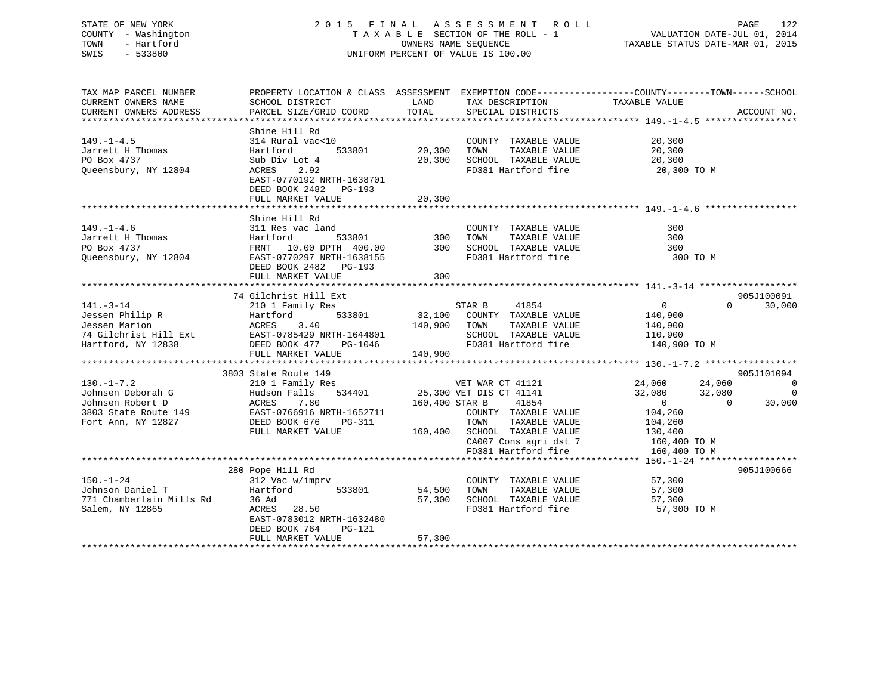## STATE OF NEW YORK 2 0 1 5 F I N A L A S S E S S M E N T R O L L PAGE 122 COUNTY - Washington T A X A B L E SECTION OF THE ROLL - 1 VALUATION DATE-JUL 01, 2014 TOWN - Hartford **TAXABLE STATUS DATE-MAR 01, 2015** OWNERS NAME SEQUENCE TAXABLE STATUS DATE-MAR 01, 2015 SWIS - 533800 UNIFORM PERCENT OF VALUE IS 100.00

| TAX MAP PARCEL NUMBER                                                       | PROPERTY LOCATION & CLASS ASSESSMENT EXEMPTION CODE---------------COUNTY-------TOWN-----SCHOOL                                                                                                                                                                            |                                   |                                                                                                                                                                                                                                                    |                                                                                                     |                                                          |
|-----------------------------------------------------------------------------|---------------------------------------------------------------------------------------------------------------------------------------------------------------------------------------------------------------------------------------------------------------------------|-----------------------------------|----------------------------------------------------------------------------------------------------------------------------------------------------------------------------------------------------------------------------------------------------|-----------------------------------------------------------------------------------------------------|----------------------------------------------------------|
| CURRENT OWNERS NAME<br>CURRENT OWNERS ADDRESS                               | SCHOOL DISTRICT<br>PARCEL SIZE/GRID COORD                                                                                                                                                                                                                                 | LAND<br>TOTAL                     | TAX DESCRIPTION<br>SPECIAL DISTRICTS                                                                                                                                                                                                               | TAXABLE VALUE                                                                                       | ACCOUNT NO.                                              |
|                                                                             |                                                                                                                                                                                                                                                                           |                                   |                                                                                                                                                                                                                                                    |                                                                                                     |                                                          |
| $149. - 1 - 4.5$<br>Jarrett H Thomas<br>PO Box 4737<br>Queensbury, NY 12804 | Shine Hill Rd<br>314 Rural vac<10<br>Hartford<br>Sub Div Lot 4<br>2.92<br>ACRES<br>EAST-0770192 NRTH-1638701<br>DEED BOOK 2482 PG-193<br>FULL MARKET VALUE                                                                                                                | 533801 20,300<br>20,300<br>20,300 | COUNTY TAXABLE VALUE 20,300<br>TOWN<br>TAXABLE VALUE<br>SCHOOL TAXABLE VALUE<br>FD381 Hartford fire                                                                                                                                                | 20,300<br>20,300<br>20,300 TO M                                                                     |                                                          |
| $149. - 1 - 4.6$                                                            | Shine Hill Rd<br>311 Res vac land<br>Fractional Hartford 533801 300 TOWN TAXABLE VALUE<br>PO Box 4737 FRNT 10.00 DPTH 400.00 300 SCHOOL TAXABLE VALUE<br>Queensbury, NY 12804 EAST-0770297 NRTH-1638155 FD381 Hartford fire<br>DEED BOOK 2482 PG-193<br>FULL MARKET VALUE | 300                               | COUNTY TAXABLE VALUE                                                                                                                                                                                                                               | 300<br>300<br>300<br>300 TO M                                                                       |                                                          |
|                                                                             | 74 Gilchrist Hill Ext                                                                                                                                                                                                                                                     |                                   | STAR B<br>41854<br>$533801 \qquad 32,100 \qquad \text{COUNTY} \qquad \text{TXABLE VALUE}$ $140,900 \qquad \text{TOWN} \qquad \text{TAXABLE VALUE}$<br>SCHOOL TAXABLE VALUE 110,900<br>FD381 Hartford fire 140,900 TO M<br>FD381 Hartford fire      | $\overline{0}$<br>140,900<br>140,900                                                                | 905J100091<br>$0 \qquad \qquad$<br>30,000                |
| $130. -1 - 7.2$<br>Fort Ann, NY 12827                                       | 3803 State Route 149<br>210 1 Family Res<br>Forms and Deborah G and Hudson Falls 534401<br>Johnsen Robert D ACRES 7.80<br>3803 State Route 149 EAST-0766916 NRTH-1652711<br>DEED BOOK 676<br>PG-311<br>FULL MARKET VALUE                                                  |                                   | VET WAR CT 41121<br>25,300 VET DIS CT 41141<br>160,400 STAR B 41854<br>COUNTY TAXABLE VALUE<br>TAXABLE VALUE 104,260<br>TAXABLE VALUE 130,400<br>TOWN<br>160,400 SCHOOL TAXABLE VALUE<br>CA007 Cons agri dst 7 160,400 TO M<br>FD381 Hartford fire | 24,060<br>24,060<br>32,080<br>32,080<br>$\overline{0}$<br>$\overline{0}$<br>104,260<br>160,400 TO M | 905J101094<br>$\overline{0}$<br>$\overline{0}$<br>30,000 |
| $150. - 1 - 24$<br>Salem, NY 12865                                          | 280 Pope Hill Rd<br>312 Vac w/imprv<br>533801<br>Hartford<br>ACRES 28.50<br>EAST-0783012 NRTH-1632480<br>DEED BOOK 764<br>PG-121<br>FULL MARKET VALUE                                                                                                                     | 54,500<br>57,300<br>57,300        | COUNTY TAXABLE VALUE<br>TOWN<br>TAXABLE VALUE<br>SCHOOL TAXABLE VALUE<br>FD381 Hartford fire                                                                                                                                                       | 57,300<br>57,300<br>57,300<br>57,300 TO M                                                           | 905J100666                                               |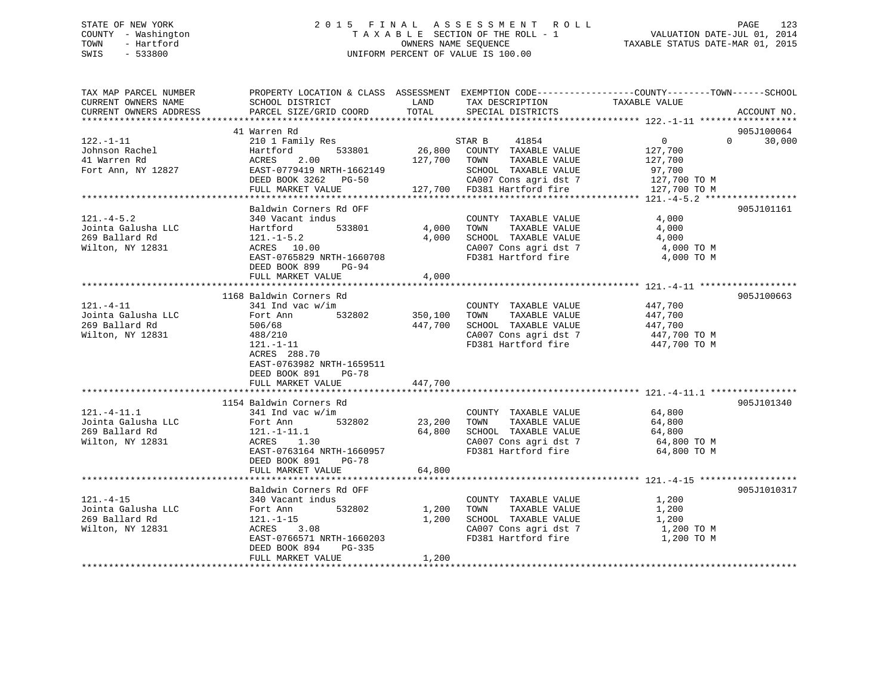## STATE OF NEW YORK 2 0 1 5 F I N A L A S S E S S M E N T R O L L PAGE 123 COUNTY - Washington T A X A B L E SECTION OF THE ROLL - 1 VALUATION DATE-JUL 01, 2014 TOWN - Hartford OWNERS NAME SEQUENCE TAXABLE STATUS DATE-MAR 01, 2015 SWIS - 533800 UNIFORM PERCENT OF VALUE IS 100.00UNIFORM PERCENT OF VALUE IS 100.00

| TAX MAP PARCEL NUMBER                         | PROPERTY LOCATION & CLASS ASSESSMENT EXEMPTION CODE----------------COUNTY-------TOWN------SCHOOL |               |                                      |                |                    |
|-----------------------------------------------|--------------------------------------------------------------------------------------------------|---------------|--------------------------------------|----------------|--------------------|
| CURRENT OWNERS NAME<br>CURRENT OWNERS ADDRESS | SCHOOL DISTRICT<br>PARCEL SIZE/GRID COORD                                                        | LAND<br>TOTAL | TAX DESCRIPTION<br>SPECIAL DISTRICTS | TAXABLE VALUE  | ACCOUNT NO.        |
|                                               |                                                                                                  |               |                                      |                |                    |
|                                               | 41 Warren Rd                                                                                     |               |                                      |                | 905J100064         |
| $122. - 1 - 11$                               | 210 1 Family Res                                                                                 |               | STAR B<br>41854                      | $\overline{0}$ | $\Omega$<br>30,000 |
| Johnson Rachel                                | 533801<br>Hartford                                                                               |               | 26,800 COUNTY TAXABLE VALUE          | 127,700        |                    |
| 41 Warren Rd                                  | 2.00<br>ACRES                                                                                    | 127,700 TOWN  | TAXABLE VALUE                        | 127,700        |                    |
| Fort Ann, NY 12827                            | EAST-0779419 NRTH-1662149                                                                        |               | SCHOOL TAXABLE VALUE                 | 97,700         |                    |
|                                               | DEED BOOK 3262 PG-50                                                                             |               | CA007 Cons agri dst 7                | 127,700 TO M   |                    |
|                                               | FULL MARKET VALUE                                                                                |               | 127,700 FD381 Hartford fire          | 127,700 TO M   |                    |
|                                               |                                                                                                  |               |                                      |                |                    |
|                                               | Baldwin Corners Rd OFF                                                                           |               |                                      |                | 905J101161         |
| $121. - 4 - 5.2$                              | 340 Vacant indus                                                                                 |               | COUNTY TAXABLE VALUE                 | 4,000          |                    |
| Jointa Galusha LLC                            | 533801<br>Hartford                                                                               | 4,000         | TOWN<br>TAXABLE VALUE                | 4,000          |                    |
| 269 Ballard Rd                                | $121.-1-5.2$                                                                                     | 4,000         | SCHOOL TAXABLE VALUE                 | 4,000          |                    |
| Wilton, NY 12831                              | ACRES 10.00                                                                                      |               | CA007 Cons agri dst 7                | 4,000 TO M     |                    |
|                                               | EAST-0765829 NRTH-1660708                                                                        |               | FD381 Hartford fire                  | 4,000 TO M     |                    |
|                                               | DEED BOOK 899<br>PG-94                                                                           |               |                                      |                |                    |
|                                               | FULL MARKET VALUE                                                                                | 4,000         |                                      |                |                    |
|                                               | 1168 Baldwin Corners Rd                                                                          |               |                                      |                | 905J100663         |
| $121. - 4 - 11$                               | $341$ Ind vac w/im                                                                               |               | COUNTY TAXABLE VALUE                 | 447,700        |                    |
| Jointa Galusha LLC                            | 532802<br>Fort Ann                                                                               | 350,100       | TOWN<br>TAXABLE VALUE                | 447,700        |                    |
| 269 Ballard Rd                                | 506/68                                                                                           | 447,700       | SCHOOL TAXABLE VALUE                 | 447,700        |                    |
| Wilton, NY 12831                              | 488/210                                                                                          |               | CA007 Cons agri dst 7                | 447,700 TO M   |                    |
|                                               | $121. - 1 - 11$                                                                                  |               | FD381 Hartford fire                  | 447,700 TO M   |                    |
|                                               | ACRES 288.70                                                                                     |               |                                      |                |                    |
|                                               | EAST-0763982 NRTH-1659511                                                                        |               |                                      |                |                    |
|                                               | DEED BOOK 891<br><b>PG-78</b>                                                                    |               |                                      |                |                    |
|                                               | FULL MARKET VALUE                                                                                | 447,700       |                                      |                |                    |
|                                               |                                                                                                  |               |                                      |                |                    |
|                                               | 1154 Baldwin Corners Rd                                                                          |               |                                      |                | 905J101340         |
| $121. - 4 - 11.1$                             | $341$ Ind vac w/im                                                                               |               | COUNTY TAXABLE VALUE                 | 64,800         |                    |
| Jointa Galusha LLC                            | 532802<br>Fort Ann                                                                               | 23,200        | TOWN<br>TAXABLE VALUE                | 64,800         |                    |
| 269 Ballard Rd                                | $121.-1-11.1$                                                                                    | 64,800        | SCHOOL TAXABLE VALUE                 | 64,800         |                    |
| Wilton, NY 12831                              | ACRES 1.30                                                                                       |               | CA007 Cons agri dst 7                | 64,800 TO M    |                    |
|                                               | EAST-0763164 NRTH-1660957                                                                        |               | FD381 Hartford fire                  | 64,800 TO M    |                    |
|                                               | DEED BOOK 891<br>PG-78                                                                           |               |                                      |                |                    |
|                                               | FULL MARKET VALUE                                                                                | 64,800        |                                      |                |                    |
|                                               |                                                                                                  |               |                                      |                |                    |
|                                               | Baldwin Corners Rd OFF                                                                           |               |                                      |                | 905J1010317        |
| $121. - 4 - 15$                               | 340 Vacant indus                                                                                 |               | COUNTY TAXABLE VALUE                 | 1,200          |                    |
| Jointa Galusha LLC                            | 532802<br>Fort Ann                                                                               | 1,200         | TAXABLE VALUE<br>TOWN                | 1,200          |                    |
| 269 Ballard Rd                                | $121. - 1 - 15$                                                                                  | 1,200         | SCHOOL TAXABLE VALUE                 | 1,200          |                    |
| Wilton, NY 12831                              | ACRES 3.08                                                                                       |               | CA007 Cons agri dst 7                | 1,200 TO M     |                    |
|                                               | EAST-0766571 NRTH-1660203                                                                        |               | FD381 Hartford fire                  | 1,200 TO M     |                    |
|                                               | DEED BOOK 894<br>PG-335                                                                          |               |                                      |                |                    |
|                                               | FULL MARKET VALUE                                                                                | 1,200         |                                      |                |                    |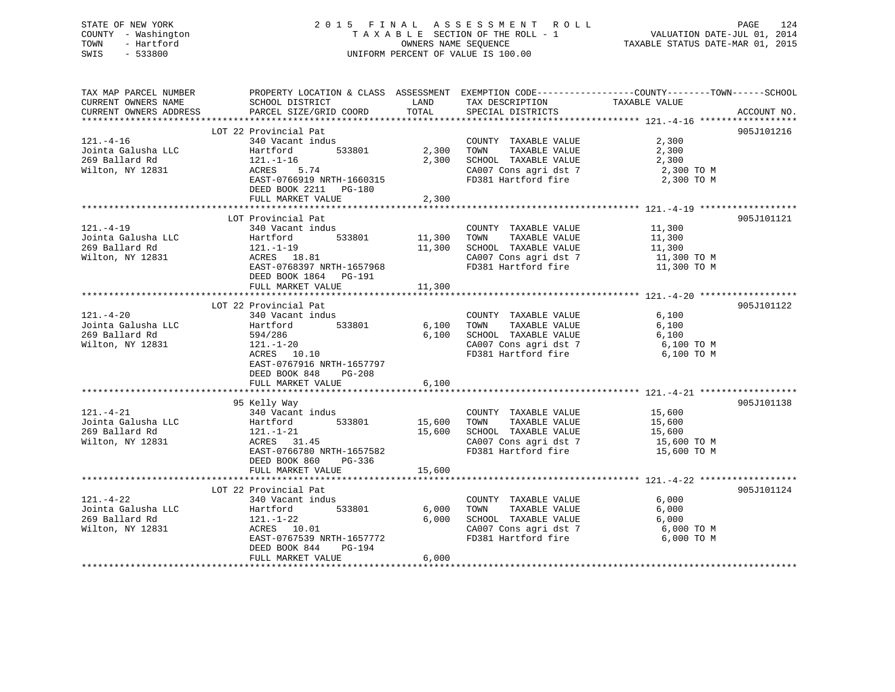## STATE OF NEW YORK 2 0 1 5 F I N A L A S S E S S M E N T R O L L PAGE 124 COUNTY - Washington T A X A B L E SECTION OF THE ROLL - 1 VALUATION DATE-JUL 01, 2014 TOWN - Hartford **TAXABLE STATUS DATE-MAR 01, 2015** OWNERS NAME SEQUENCE TAXABLE STATUS DATE-MAR 01, 2015 SWIS - 533800 UNIFORM PERCENT OF VALUE IS 100.00

| TAX MAP PARCEL NUMBER<br>CURRENT OWNERS NAME<br>CURRENT OWNERS ADDRESS      | SCHOOL DISTRICT<br>PARCEL SIZE/GRID COORD TOTAL                                                                                                                                                                                                          | LAND                                | TAX DESCRIPTION TAXABLE VALUE SPECIAL DISTRICTS<br>SPECIAL DISTRICTS                                                                                                                          | PROPERTY LOCATION & CLASS ASSESSMENT EXEMPTION CODE---------------COUNTY-------TOWN------SCHOOL<br>ACCOUNT NO. |
|-----------------------------------------------------------------------------|----------------------------------------------------------------------------------------------------------------------------------------------------------------------------------------------------------------------------------------------------------|-------------------------------------|-----------------------------------------------------------------------------------------------------------------------------------------------------------------------------------------------|----------------------------------------------------------------------------------------------------------------|
| $121. -4 - 16$<br>Jointa Galusha LLC<br>269 Ballard Rd<br>121.-1-16         | LOT 22 Provincial Pat<br>340 Vacant indus<br>121.-1-16<br>$1-16$<br>5.74<br>EAST-0766919 NRTH-1660315<br>DEED BOOK 2211 PG-180<br>FULL MARKET VALUE                                                                                                      | 533801 2,300 TOWN<br>2,300<br>2,300 | COUNTY TAXABLE VALUE<br>SCHOOL TAXABLE VALUE 2,300<br>CA007 Cons agri dst 7 2,300 TO M<br>FD381 Hartford fire                                                                                 | 905J101216<br>2,300<br>TAXABLE VALUE 2,300<br>2,300 TO M                                                       |
| $121. -4-19$                                                                | LOT Provincial Pat<br>340 Vacant indus<br>533801 11,300<br>EAST-0768397 NRTH-1657968<br>DEED BOOK 1864 PG-191<br>FULL MARKET VALUE                                                                                                                       | 11,300<br>11,300                    | COUNTY TAXABLE VALUE 11,300<br>TOWN TAXABLE VALUE<br>SCHOOL TAXABLE VALUE 11,300<br>CA007 Cons agri dst 7 11,300 TO M<br>CA007 Cons agri dst 7 11,300 TO M<br>FD381 Hartford fire 11,300 TO M | 905J101121<br>11,300                                                                                           |
| $121. - 4 - 20$<br>Jointa Galusha LLC<br>269 Ballard Rd<br>Wilton, NY 12831 | LOT 22 Provincial Pat<br>340 Vacant indus<br>Hartford<br>533801 6,100<br>594/286<br>$121. - 1 - 20$<br>ACRES 10.10<br>EAST-0767916 NRTH-1657797<br>DEED BOOK 848<br>PG-208<br>FULL MARKET VALUE                                                          | 6,100<br>6,100                      | COUNTY TAXABLE VALUE<br>TAXABLE VALUE<br>TOWN<br>SCHOOL TAXABLE VALUE<br>FD381 Hartford fire                                                                                                  | 905J101122<br>6,100<br>6,100<br>6,100<br>CA007 Cons agri dst 7 6,100 TO M<br>6,100 TO M                        |
| $121. - 4 - 21$                                                             | 95 Kelly Way<br>340 Vacant indus<br>121.1.2<br>15,600<br>269 Ballard Rd 121.1.21<br>269 Ballard Rd 121.1.21<br>269 Ballard Rd 121.1.21<br>26.600<br>269 Ballard Rd 121.1.21<br>EAST-0766780 NRTH-1657582<br>DEED BOOK 860<br>PG-336<br>FULL MARKET VALUE | 15,600                              | COUNTY TAXABLE VALUE 15,600<br>TOWN TAXABLE VALUE 15,600<br>SCHOOL TAXABLE VALUE 15,600<br>CA007 Cons agri dst 7<br>FD381 Hartford fire                                                       | 905J101138<br>15,600 TO M<br>15,600 TO M                                                                       |
| 269 Ballard Rd<br>Wilton, NY 12831                                          | LOT 22 Provincial Pat<br>t indus<br>533801 6,000<br>340 vacant 1000<br>EAST-0767539 NRTH-1657772<br>DEED BOOK 844<br>PG-194<br>FULL MARKET VALUE                                                                                                         | 6,000<br>6,000                      | COUNTY TAXABLE VALUE<br>TOWN<br>TAXABLE VALUE<br>FD381 Hartford fire                                                                                                                          | 905J101124<br>6,000<br>6,000<br>SCHOOL TAXABLE VALUE 6,000<br>CA007 Cons agri dst 7 6,000 TO M<br>6,000 TO M   |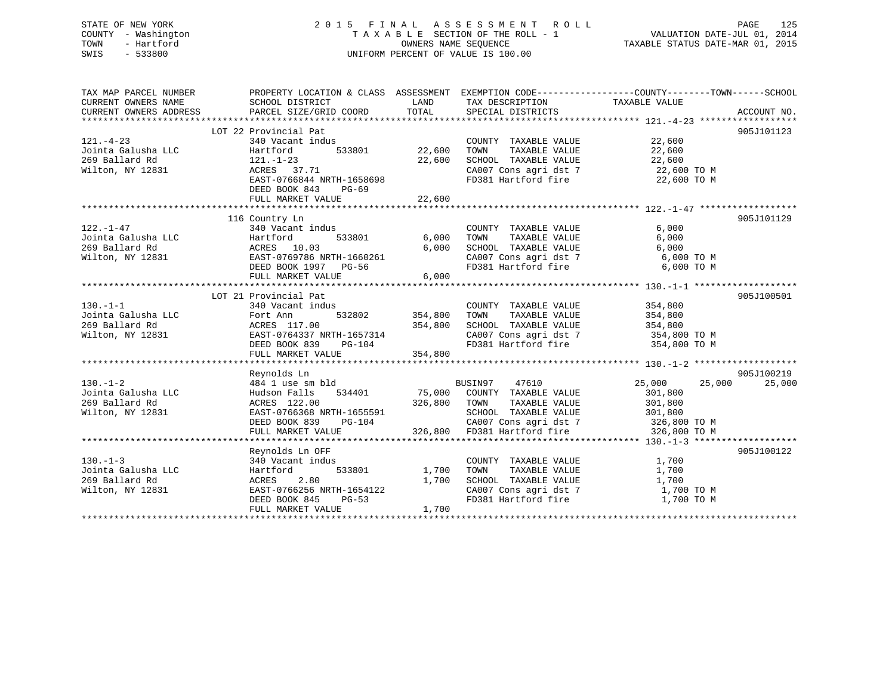## STATE OF NEW YORK 2 0 1 5 F I N A L A S S E S S M E N T R O L L PAGE 125 COUNTY - Washington T A X A B L E SECTION OF THE ROLL - 1 VALUATION DATE-JUL 01, 2014 TOWN - Hartford **TAXABLE STATUS DATE-MAR 01, 2015** OWNERS NAME SEQUENCE TAXABLE STATUS DATE-MAR 01, 2015 SWIS - 533800 UNIFORM PERCENT OF VALUE IS 100.00

| TAX MAP PARCEL NUMBER<br>CURRENT OWNERS NAME<br>CURRENT OWNERS ADDRESS                         | SCHOOL DISTRICT<br>PARCEL SIZE/GRID COORD                                                                                                                           | LAND<br>TOTAL                                    | TAX DESCRIPTION TAXABLE VALUE<br>SPECIAL DISTRICTS                                                                                                                            | PROPERTY LOCATION & CLASS ASSESSMENT EXEMPTION CODE----------------COUNTY-------TOWN------SCHOOL<br>ACCOUNT NO. |
|------------------------------------------------------------------------------------------------|---------------------------------------------------------------------------------------------------------------------------------------------------------------------|--------------------------------------------------|-------------------------------------------------------------------------------------------------------------------------------------------------------------------------------|-----------------------------------------------------------------------------------------------------------------|
| $121. - 4 - 23$<br>Jointa Galusha LLC<br>269 Ballard Rd<br>Wilton, NY 12831                    | LOT 22 Provincial Pat<br>340 Vacant indus<br>Hartford<br>$121. - 1 - 23$<br>ACRES 37.71<br>EAST-0766844 NRTH-1658698<br>DEED BOOK 843<br>PG-69<br>FULL MARKET VALUE | 533801 22,600<br>22,600<br>22,600                | COUNTY TAXABLE VALUE<br>TOWN<br>TAXABLE VALUE<br>SCHOOL TAXABLE VALUE<br>CA007 Cons agri dst 7 22,600 TO M<br>FD381 Hartford fire 22,600 TO M                                 | 905J101123<br>22,600<br>22,600<br>22,600                                                                        |
| $122. - 1 - 47$<br>122.-1-47<br>Jointa Galusha LLC Martford<br>ACRES 10.03<br>Wilton, NY 12831 | 116 Country Ln<br>340 Vacant indus<br>533801<br>EAST-0769786 NRTH-1660261<br>DEED BOOK 1997 PG-56<br>FULL MARKET VALUE                                              | 6,000<br>6,000<br>6,000                          | COUNTY TAXABLE VALUE<br>TOWN<br>TAXABLE VALUE<br>SCHOOL TAXABLE VALUE 6,000<br>CA007 Cons agri dst 7 6,000 TO M<br>FD381 Hartford fire 6,000 TO M                             | 905J101129<br>6,000<br>6,000                                                                                    |
| $130. -1 - 1$<br>Jointa Galusha LLC Fort Ann<br>269 Ballard Rd<br>Wilton, NY 12831             | LOT 21 Provincial Pat<br>340 Vacant indus<br>ACRES 117.00<br>EAST-0764337 N<br>EAST-0764337 NRTH-1657314<br>DEED BOOK 839<br>FULL MARKET VALUE                      | 532802 354,800<br>354,800<br>$PG-104$<br>354,800 | COUNTY TAXABLE VALUE<br>TAXABLE VALUE<br>TOWN<br>SCHOOL TAXABLE VALUE<br>SCHOOL TAXABLE VALUE<br>CA007 Cons agri dst 7<br>FD381 Hartford fire 354,800 TO M                    | 905J100501<br>354,800<br>354,800<br>354,800<br>354,800 TO M                                                     |
| $130. - 1 - 2$<br>Jointa Galusha LLC<br>269 Ballard Rd<br>Wilton, NY 12831                     | Reynolds Ln<br>484 1 use sm bld<br>534401<br>Hudson Falls<br>ACRES 122.00<br>EAST-0766368 NRTH-1655591<br>$PG-104$<br>DEED BOOK 839<br>FULL MARKET VALUE            | 326,800                                          | BUSIN97<br>47610<br>75,000 COUNTY TAXABLE VALUE<br>TAXABLE VALUE<br>TOWN<br>SCHOOL TAXABLE VALUE 301,800<br>CA007 Cons agri dst 7 326,800 TO M<br>326,800 FD381 Hartford fire | 905J100219<br>25,000<br>25,000<br>25,000<br>301,800<br>301,800<br>326,800 TO M                                  |
| $130. -1 - 3$<br>Jointa Galusha LLC<br>269 Ballard Rd<br>Wilton, NY 12831                      | Reynolds Ln OFF<br>340 Vacant indus<br>Hartford<br>533801<br>2.80<br>ACRES<br>EAST-0766256 NRTH-1654122<br>DEED BOOK 845<br>$PG-53$<br>FULL MARKET VALUE            | 1,700<br>1,700<br>1,700                          | COUNTY TAXABLE VALUE<br>CA007 Cons agri dst 7 1,700 TO M<br>FD381 Hartford fire                                                                                               | 905J100122<br>1,700<br>1,700<br>1,700<br>1,700 TO M                                                             |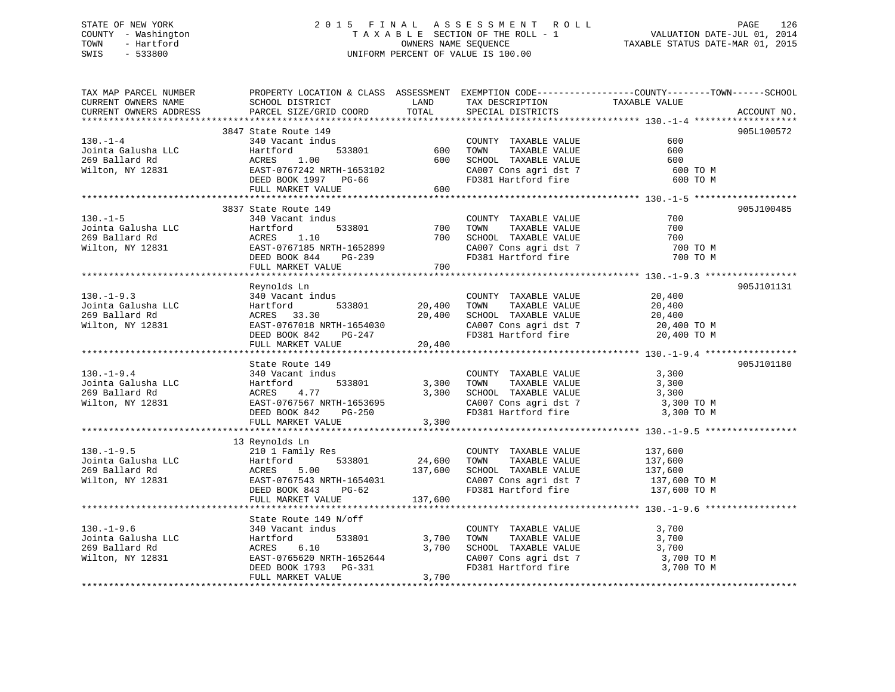## STATE OF NEW YORK 2 0 1 5 F I N A L A S S E S S M E N T R O L L PAGE 126 COUNTY - Washington T A X A B L E SECTION OF THE ROLL - 1 VALUATION DATE-JUL 01, 2014 TOWN - Hartford **TAXABLE STATUS DATE-MAR 01, 2015** OWNERS NAME SEQUENCE TAXABLE STATUS DATE-MAR 01, 2015 SWIS - 533800 UNIFORM PERCENT OF VALUE IS 100.00

| TAX MAP PARCEL NUMBER                                                                                                                     | PROPERTY LOCATION & CLASS ASSESSMENT EXEMPTION CODE-----------------COUNTY-------TOWN------SCHOOL                                                                                                                                                                                                    |         | LAND TAX DESCRIPTION TAXABLE VALUE                                                                                                                                                                                       |            |             |
|-------------------------------------------------------------------------------------------------------------------------------------------|------------------------------------------------------------------------------------------------------------------------------------------------------------------------------------------------------------------------------------------------------------------------------------------------------|---------|--------------------------------------------------------------------------------------------------------------------------------------------------------------------------------------------------------------------------|------------|-------------|
|                                                                                                                                           |                                                                                                                                                                                                                                                                                                      |         |                                                                                                                                                                                                                          |            | ACCOUNT NO. |
|                                                                                                                                           |                                                                                                                                                                                                                                                                                                      |         |                                                                                                                                                                                                                          |            |             |
|                                                                                                                                           | 3847 State Route 149                                                                                                                                                                                                                                                                                 |         |                                                                                                                                                                                                                          |            | 905L100572  |
|                                                                                                                                           |                                                                                                                                                                                                                                                                                                      |         |                                                                                                                                                                                                                          |            |             |
|                                                                                                                                           |                                                                                                                                                                                                                                                                                                      |         |                                                                                                                                                                                                                          |            |             |
|                                                                                                                                           |                                                                                                                                                                                                                                                                                                      |         |                                                                                                                                                                                                                          |            |             |
|                                                                                                                                           |                                                                                                                                                                                                                                                                                                      |         |                                                                                                                                                                                                                          |            |             |
|                                                                                                                                           | 130.-1-4<br>3917 Sources and Vacant indus<br>340 Vacant indus<br>33801 600 TOWN TAXABLE VALUE 600<br>269 Ballard Rd ACRES 1.00<br>3600 SCHOOL TAXABLE VALUE 600<br>269 Ballard Rd ACRES 1.00<br>269 Ballard Rd ACRES 1.00<br>269 Ballard Rd A                                                        |         |                                                                                                                                                                                                                          |            |             |
|                                                                                                                                           |                                                                                                                                                                                                                                                                                                      |         |                                                                                                                                                                                                                          |            |             |
|                                                                                                                                           | 3837 State Route 149                                                                                                                                                                                                                                                                                 |         |                                                                                                                                                                                                                          |            | 905J100485  |
| $130. - 1 - 5$                                                                                                                            | 340 Vacant indus                                                                                                                                                                                                                                                                                     |         | COUNTY TAXABLE VALUE                                                                                                                                                                                                     | 700        |             |
|                                                                                                                                           |                                                                                                                                                                                                                                                                                                      |         |                                                                                                                                                                                                                          | 700        |             |
|                                                                                                                                           |                                                                                                                                                                                                                                                                                                      |         |                                                                                                                                                                                                                          | 700        |             |
|                                                                                                                                           |                                                                                                                                                                                                                                                                                                      |         | CA007 Cons agri dst 7<br>FD381 Hartford fire                                                                                                                                                                             | 700 TO M   |             |
|                                                                                                                                           |                                                                                                                                                                                                                                                                                                      |         |                                                                                                                                                                                                                          | 700 TO M   |             |
|                                                                                                                                           | 150.-1-5<br>150.-1-5<br>269 Ballard Rd<br>Milton, NY 12831 269 Ballard Rd<br>Milton, NY 12831 262ED BOOK 844 PG-239 700 TOWN TAXABLE VALUE<br>EXT-0767185 NRTH-1652899 2007 Cons agri dst 7<br>DEED BOOK 844 PG-239 700<br>FD381 Hartford fi                                                         |         |                                                                                                                                                                                                                          |            |             |
|                                                                                                                                           |                                                                                                                                                                                                                                                                                                      |         |                                                                                                                                                                                                                          |            |             |
|                                                                                                                                           | Reynolds Ln                                                                                                                                                                                                                                                                                          |         |                                                                                                                                                                                                                          |            | 905J101131  |
| $130. - 1 - 9.3$                                                                                                                          | 340 Vacant indus                                                                                                                                                                                                                                                                                     |         | COUNTY TAXABLE VALUE<br>TOWN      TAXABLE VALUE                                                                                                                                                                          | 20,400     |             |
|                                                                                                                                           | Hartford 533801                                                                                                                                                                                                                                                                                      |         | 20,400 TOWN TAXABLE VALUE                                                                                                                                                                                                | 20,400     |             |
| 130.-1-9.3<br>Jointa Galusha LLC<br>269 Ballard Rd<br>Wilton, NY 12831                                                                    | ACRES 33.30                                                                                                                                                                                                                                                                                          |         | 20,400 SCHOOL TAXABLE VALUE 20,400<br>CA007 Cons agri dst 7 20,400 TO M                                                                                                                                                  |            |             |
|                                                                                                                                           |                                                                                                                                                                                                                                                                                                      |         |                                                                                                                                                                                                                          |            |             |
|                                                                                                                                           | ACRES 33.30<br>EAST-0767018 NRTH-1654030<br>DEED BOOK 842 PG-247<br>FULL MARKET VALUE 20,400                                                                                                                                                                                                         |         | FD381 Hartford fire 20,400 TO M                                                                                                                                                                                          |            |             |
|                                                                                                                                           |                                                                                                                                                                                                                                                                                                      |         |                                                                                                                                                                                                                          |            |             |
|                                                                                                                                           | State Route 149                                                                                                                                                                                                                                                                                      |         |                                                                                                                                                                                                                          |            | 905J101180  |
| $130.-1-9.4$                                                                                                                              | 340 Vacant indus                                                                                                                                                                                                                                                                                     |         | COUNTY TAXABLE VALUE                                                                                                                                                                                                     | 3,300      |             |
|                                                                                                                                           |                                                                                                                                                                                                                                                                                                      |         |                                                                                                                                                                                                                          |            |             |
|                                                                                                                                           |                                                                                                                                                                                                                                                                                                      |         | 533801 3,300 TOWN TAXABLE VALUE 3,300<br>3,300 SCHOOL TAXABLE VALUE 3,300                                                                                                                                                |            |             |
| Jointa Galusha LLC<br>269 Ballard Rd<br>269 Ballard Rd<br>269 Ballard Rd<br>268 Ballard Rd<br>268 BAST-0767567 NRT<br>2000 BAST DOOK BAST |                                                                                                                                                                                                                                                                                                      |         | 3,300 SCHOOL TAXABLE VALUE 3,300<br>CA007 Cons agri dst 7 3,300 TO M<br>FD381 Hartford fire 3,300 TO M                                                                                                                   |            |             |
|                                                                                                                                           |                                                                                                                                                                                                                                                                                                      |         |                                                                                                                                                                                                                          |            |             |
|                                                                                                                                           | FULL MARKET VALUE                                                                                                                                                                                                                                                                                    | 3,300   |                                                                                                                                                                                                                          |            |             |
|                                                                                                                                           |                                                                                                                                                                                                                                                                                                      |         |                                                                                                                                                                                                                          |            |             |
|                                                                                                                                           | 13 Reynolds Ln<br>130.-1-9.5<br>130.-1-9.5<br>137,600<br>137,600<br>24,600<br>24,600<br>24,600<br>24,600<br>24,600<br>24,600<br>24,600<br>24,600<br>24,600<br>24,600<br>24,600<br>24,600<br>24,600<br>24,600<br>24,600<br>24,600<br>24,600<br>24,600<br>24,600<br>24,600<br>24,600<br>24,600<br>24,6 |         |                                                                                                                                                                                                                          |            |             |
|                                                                                                                                           |                                                                                                                                                                                                                                                                                                      |         |                                                                                                                                                                                                                          |            |             |
|                                                                                                                                           |                                                                                                                                                                                                                                                                                                      |         |                                                                                                                                                                                                                          |            |             |
|                                                                                                                                           |                                                                                                                                                                                                                                                                                                      |         |                                                                                                                                                                                                                          |            |             |
|                                                                                                                                           |                                                                                                                                                                                                                                                                                                      |         |                                                                                                                                                                                                                          |            |             |
|                                                                                                                                           | FULL MARKET VALUE                                                                                                                                                                                                                                                                                    | 137,600 |                                                                                                                                                                                                                          |            |             |
|                                                                                                                                           |                                                                                                                                                                                                                                                                                                      |         |                                                                                                                                                                                                                          |            |             |
|                                                                                                                                           |                                                                                                                                                                                                                                                                                                      |         |                                                                                                                                                                                                                          |            |             |
|                                                                                                                                           |                                                                                                                                                                                                                                                                                                      |         |                                                                                                                                                                                                                          |            |             |
|                                                                                                                                           |                                                                                                                                                                                                                                                                                                      |         | $\begin{tabular}{lllllllllll} \multicolumn{2}{c}{\text{COUNTY}} & \text{TAXABLE VALUE} & & & & 3 \, , \mathit{700} \\ \multicolumn{2}{c}{\text{TONN}} & \text{TAXABLE VALUE} & & & 3 \, , \mathit{700} \\ \end{tabular}$ |            |             |
|                                                                                                                                           |                                                                                                                                                                                                                                                                                                      |         |                                                                                                                                                                                                                          |            |             |
| Wilton, NY 12831                                                                                                                          | ACRES 6.10 3,70<br>EAST-0765620 NRTH-1652644<br>DEED BOOK 1793 PG-331                                                                                                                                                                                                                                |         | 3,700 10mm<br>3,700 SCHOOL TAXABLE VALUE 3,700 TO M<br>CA007 Cons agri dst 7 3,700 TO M<br>3.700 TO M                                                                                                                    |            |             |
|                                                                                                                                           | DEED BOOK 1793 PG-331                                                                                                                                                                                                                                                                                |         | FD381 Hartford fire                                                                                                                                                                                                      | 3,700 TO M |             |
|                                                                                                                                           | FULL MARKET VALUE                                                                                                                                                                                                                                                                                    | 3,700   |                                                                                                                                                                                                                          |            |             |
|                                                                                                                                           |                                                                                                                                                                                                                                                                                                      |         |                                                                                                                                                                                                                          |            |             |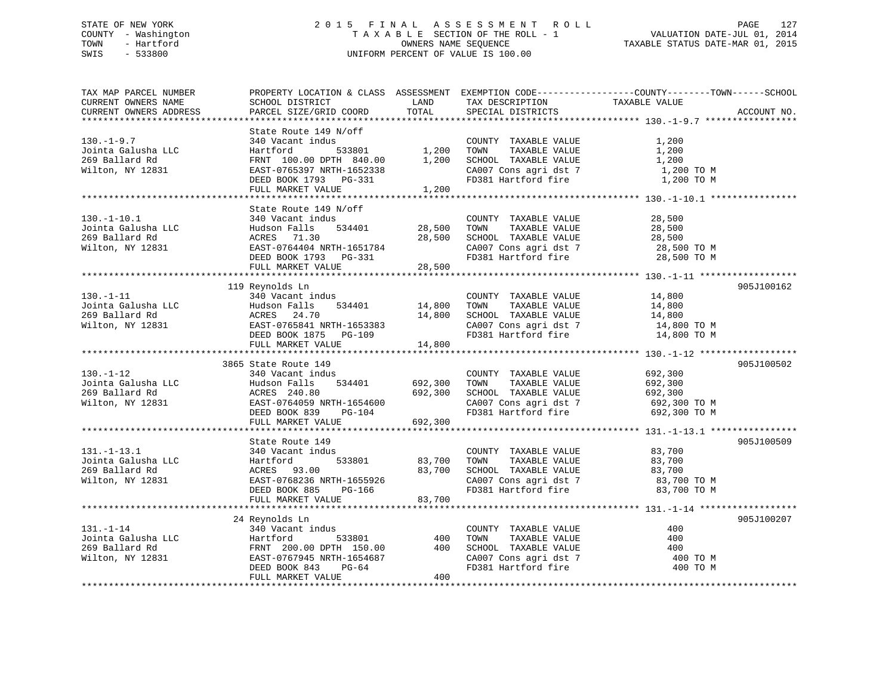## STATE OF NEW YORK 2 0 1 5 F I N A L A S S E S S M E N T R O L L PAGE 127 COUNTY - Washington T A X A B L E SECTION OF THE ROLL - 1 VALUATION DATE-JUL 01, 2014 TOWN - Hartford **TAXABLE STATUS DATE-MAR 01, 2015** OWNERS NAME SEQUENCE TAXABLE STATUS DATE-MAR 01, 2015 SWIS - 533800 UNIFORM PERCENT OF VALUE IS 100.00

| TAX MAP PARCEL NUMBER<br>CURRENT OWNERS NAME<br>CURRENT OWNERS ADDRESS                           | PROPERTY LOCATION & CLASS ASSESSMENT EXEMPTION CODE----------------COUNTY-------TOWN------SCHOOL<br>SCHOOL DISTRICT<br>PARCEL SIZE/GRID COORD                                                                                                       | LAND<br>TOTAL                             | TAX DESCRIPTION<br>SPECIAL DISTRICTS                                                                                                          | TAXABLE VALUE                                                                                           | ACCOUNT NO. |
|--------------------------------------------------------------------------------------------------|-----------------------------------------------------------------------------------------------------------------------------------------------------------------------------------------------------------------------------------------------------|-------------------------------------------|-----------------------------------------------------------------------------------------------------------------------------------------------|---------------------------------------------------------------------------------------------------------|-------------|
|                                                                                                  |                                                                                                                                                                                                                                                     |                                           |                                                                                                                                               |                                                                                                         |             |
| $130.-1-9.7$<br>Jointa Galusha LLC<br>269 Ballard Rd<br>Wilton, NY 12831                         | State Route 149 N/off<br>340 Vacant indus<br>Hartford<br>FRNT 100.00 DPTH 840.00<br>EAST-0765397 NRTH-1652338<br>DEED BOOK 1793 PG-331<br>FULL MARKET VALUE                                                                                         | 1,200<br>1,200                            | COUNTY TAXABLE VALUE<br>TOWN<br>TAXABLE VALUE<br>SCHOOL TAXABLE VALUE<br>CA007 Cons agri dst 7<br>FD381 Hartford fire                         | 1,200<br>1,200<br>1,200<br>1,200 TO M<br>1,200 TO M                                                     |             |
|                                                                                                  | State Route 149 N/off                                                                                                                                                                                                                               |                                           |                                                                                                                                               |                                                                                                         |             |
| $130. - 1 - 10.1$<br>Jointa Galusha LLC<br>269 Ballard Rd<br>Wilton, NY 12831                    | 340 Vacant indus<br>Hudson Falls<br>534401<br>ACRES 71.30<br>EAST-0764404 NRTH-1651784<br>DEED BOOK 1793 PG-331<br>FULL MARKET VALUE                                                                                                                | 28,500<br>28,500<br>28,500                | COUNTY TAXABLE VALUE<br>TOWN<br>TAXABLE VALUE<br>SCHOOL TAXABLE VALUE                                                                         | 28,500<br>28,500<br>28,500<br>CA007 Cons agri dst 7 28,500 TO M<br>FD381 Hartford fire 28,500 TO M      |             |
|                                                                                                  |                                                                                                                                                                                                                                                     |                                           |                                                                                                                                               |                                                                                                         |             |
| $130. -1 - 11$<br>Jointa Galusha LLC<br>Jointa Galusha LLC<br>269 Ballard Rd<br>Wilton, NY 12831 | 119 Reynolds Ln<br>340 Vacant indus<br>Hudson Falls<br>534401<br>ACRES 24.70<br>EAST-0765841 NRTH-1653383<br>DEED BOOK 1875 PG-109<br>FULL MARKET VALUE                                                                                             | 14,800<br>14,800<br>14,800                | COUNTY TAXABLE VALUE<br>TAXABLE VALUE<br>TOWN<br>SCHOOL TAXABLE VALUE<br>CA007 Cons agri dst 7<br>FD381 Hartford fire                         | 14,800<br>14,800<br>14,800<br>14,800 TO M<br>14,800 TO M                                                | 905J100162  |
|                                                                                                  |                                                                                                                                                                                                                                                     |                                           |                                                                                                                                               |                                                                                                         |             |
| $130. - 1 - 12$<br>Jointa Galusha LLC<br>269 Ballard Rd<br>Wilton, NY 12831                      | 3865 State Route 149<br>340 Vacant indus<br>Hudson Falls<br>534401<br>ACRES 240.80<br>EAST-0764059 NRTH-1654600<br>DEED BOOK 839<br>FULL MARKET VALUE                                                                                               | 692,300<br>692,300<br>$PG-104$<br>692,300 | COUNTY TAXABLE VALUE<br>TAXABLE VALUE<br>TOWN<br>SCHOOL TAXABLE VALUE<br>CA007 Cons agri dst 7<br>FD381 Hartford fire                         | 692,300<br>692,300<br>692,300<br>692,300 ТО М<br>692,300 TO M                                           | 905J100502  |
|                                                                                                  | State Route 149                                                                                                                                                                                                                                     |                                           |                                                                                                                                               |                                                                                                         | 905J100509  |
| $131. - 1 - 13.1$<br>Jointa Galusha LLC<br>269 Ballard Rd<br>Wilton, NY 12831                    | з<br>533801<br>340 Vacant indus<br>340 Vacant Inc<br>Hartford<br>ACRES 93.00<br>EAST-0768236 M<br>EAST-0768236 NRTH-1655926<br>DEED BOOK 885 PG-166<br>FULL MARKET VALUE                                                                            | 83,700<br>83,700<br>83,700                | COUNTY TAXABLE VALUE<br>TOWN<br>TAXABLE VALUE<br>FD381 Hartford fire                                                                          | 83,700<br>83,700<br>SCHOOL TAXABLE VALUE $83,700$<br>CA007 Cons agri dst 7 $83,700$ TO M<br>83,700 TO M |             |
|                                                                                                  |                                                                                                                                                                                                                                                     |                                           |                                                                                                                                               |                                                                                                         |             |
| $131. - 1 - 14$<br>Jointa Galusha LLC<br>269 Ballard Rd<br>Wilton, NY 12831                      | 24 Reynolds Ln<br>340 Vacant indus<br>C<br>Hartford 533801<br>FRNT 200.00 DPTH 150.00<br>EAST-0767945 NRTH-1654687<br>FILLERED FRITH-1654687<br>FRNT 200.00 DEIR 100.00<br>EAST-0767945 NRTH-1654687<br>DEED BOOK 843<br>PG-64<br>FULL MARKET VALUE | 400<br>400<br>400                         | COUNTY TAXABLE VALUE<br>TAXABLE VALUE<br>TOWN<br>SCHOOL TAXABLE VALUE<br>SCHOOL TAXABLE VALUE<br>CA007 Cons agri dst 7<br>FD381 Hartford fire | 400<br>400<br>400<br>400 TO M<br>400 TO M                                                               | 905J100207  |
|                                                                                                  |                                                                                                                                                                                                                                                     |                                           |                                                                                                                                               |                                                                                                         |             |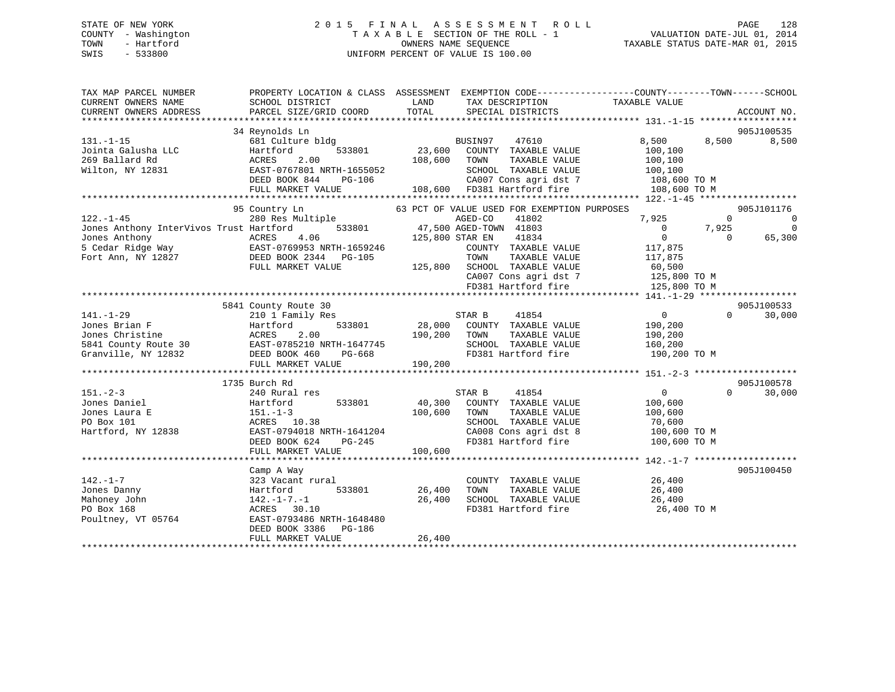## STATE OF NEW YORK 2 0 1 5 F I N A L A S S E S S M E N T R O L L PAGE 128 COUNTY - Washington T A X A B L E SECTION OF THE ROLL - 1 VALUATION DATE-JUL 01, 2014 TOWN - Hartford **TAXABLE STATUS DATE-MAR 01, 2015** OWNERS NAME SEQUENCE TAXABLE STATUS DATE-MAR 01, 2015 SWIS - 533800 UNIFORM PERCENT OF VALUE IS 100.00

| TAX MAP PARCEL NUMBER<br>CURRENT OWNERS NAME                                                                                                                                                                                     | SCHOOL DISTRICT                                                                                                                                                    | LAND                         | TAX DESCRIPTION                                                                                                                                                                                                                                               | PROPERTY LOCATION & CLASS ASSESSMENT EXEMPTION CODE---------------COUNTY-------TOWN-----SCHOOL<br>TAXABLE VALUE                                                                          |                                                          |
|----------------------------------------------------------------------------------------------------------------------------------------------------------------------------------------------------------------------------------|--------------------------------------------------------------------------------------------------------------------------------------------------------------------|------------------------------|---------------------------------------------------------------------------------------------------------------------------------------------------------------------------------------------------------------------------------------------------------------|------------------------------------------------------------------------------------------------------------------------------------------------------------------------------------------|----------------------------------------------------------|
| CURRENT OWNERS ADDRESS                                                                                                                                                                                                           | PARCEL SIZE/GRID COORD                                                                                                                                             | TOTAL                        | SPECIAL DISTRICTS                                                                                                                                                                                                                                             |                                                                                                                                                                                          | ACCOUNT NO.                                              |
|                                                                                                                                                                                                                                  | 34 Reynolds Ln                                                                                                                                                     |                              |                                                                                                                                                                                                                                                               |                                                                                                                                                                                          | 905J100535                                               |
| $131. -1 - 15$<br>Jointa Galusha LLC<br>269 Ballard Rd<br>Wilton, NY 12831                                                                                                                                                       | 681 Culture bldg<br>533801<br>Hartford<br>2.00<br>ACRES<br>EAST-0767801 NRTH-1655052<br>DEED BOOK 844<br>PG-106<br>FULL MARKET VALUE                               | 108,600 TOWN                 | BUSIN97<br>47610<br>23,600 COUNTY TAXABLE VALUE<br>TAXABLE VALUE                                                                                                                                                                                              | 8,500<br>8,500<br>100,100<br>100,100<br>100,100<br>2 SCHOOL TAXABLE VALUE 108,600 TO M<br>CA007 Cons agri dst 7 108,600 TO M<br>108,600 FD381 Hartford fire 108,600 TO M<br>108,600 TO M | 8,500                                                    |
|                                                                                                                                                                                                                                  |                                                                                                                                                                    |                              |                                                                                                                                                                                                                                                               |                                                                                                                                                                                          |                                                          |
| $122. - 1 - 45$<br>Jones Anthony InterVivos Trust Hartford<br>Jones Anthony<br>5 Cedar Ridge Way<br>Fort Ann, NY 12827<br>Fort Ann, NY 12827<br>DEED BOOK 2344<br>PG-105                                                         | 95 Country Ln<br>280 Res Multiple<br>FULL MARKET VALUE                                                                                                             |                              | 63 PCT OF VALUE USED FOR EXEMPTION PURPOSES<br>AGED-CO<br>41802<br>533801 47,500 AGED-TOWN 41803<br>41834<br>125,800 STAR EN<br>COUNTY TAXABLE VALUE<br>TOWN<br>TAXABLE VALUE<br>125,800 SCHOOL TAXABLE VALUE<br>CA007 Cons agri dst 7<br>FD381 Hartford fire | 7,925<br>$\Omega$<br>$\overline{0}$<br>7,925<br>$\overline{0}$<br>$\Omega$<br>117,875<br>117,875<br>60,500<br>125,800 TO M<br>125,800 TO M                                               | 905J101176<br>$\overline{0}$<br>$\overline{0}$<br>65,300 |
|                                                                                                                                                                                                                                  |                                                                                                                                                                    |                              |                                                                                                                                                                                                                                                               |                                                                                                                                                                                          |                                                          |
| $141. - 1 - 29$<br>Jones Brian F<br><b>Jones Christine EXECUSE ACRES</b> 2.00 <b>190,200 TOWN</b><br>5841 County Route 30 <b>EAST-0785210 NRTH-1647745 SCHOO</b><br>Granville, NY 12832 <b>DEED BOOK 460</b> PG-668 <b>FD381</b> | 5841 County Route 30<br>210 1 Family Res<br>533801<br>Hartford<br>FULL MARKET VALUE                                                                                | STAR B<br>190,200            | 41854<br>28,000 COUNTY TAXABLE VALUE<br>TAXABLE VALUE<br>SCHOOL TAXABLE VALUE                                                                                                                                                                                 | $\overline{0}$<br>$\Omega$<br>190,200<br>190,200<br>160,200<br>FD381 Hartford fire 190,200 TO M                                                                                          | 905J100533<br>30,000                                     |
|                                                                                                                                                                                                                                  | 1735 Burch Rd                                                                                                                                                      |                              |                                                                                                                                                                                                                                                               |                                                                                                                                                                                          | 905J100578                                               |
| $151 - 2 - 3$<br>Jones Daniel<br>Jones Laura E<br>PO Box 101<br>Hartford, NY 12838                                                                                                                                               | 240 Rural res<br>533801<br>Hartford<br>$151. - 1 - 3$<br>ACRES 10.38<br>EAST-0794018 NRTH-1641204<br>$PG-245$<br>DEED BOOK 624<br>FULL MARKET VALUE                | 40,300<br>100,600<br>100,600 | 41854<br>STAR B<br>COUNTY TAXABLE VALUE<br>TOWN<br>TAXABLE VALUE<br>SCHOOL TAXABLE VALUE<br>CA008 Cons agri dst 8<br>FD381 Hartford fire                                                                                                                      | $\overline{0}$<br>100,600<br>100,600<br>70,600<br>100,600 TO M<br>100,600 TO M                                                                                                           | $\Omega$<br>30,000                                       |
|                                                                                                                                                                                                                                  |                                                                                                                                                                    |                              |                                                                                                                                                                                                                                                               |                                                                                                                                                                                          |                                                          |
| $142. - 1 - 7$<br>Jones Danny<br>Mahoney John<br>PO Box 168<br>Poultney, VT 05764                                                                                                                                                | Camp A Way<br>323 Vacant rural<br>533801<br>Hartford<br>142.-1-7.-1<br>ACRES 30.10<br>EAST-0793486 NRTH-1648480<br>DEED BOOK 3386<br>$PG-186$<br>FULL MARKET VALUE | 26,400<br>26,400             | COUNTY TAXABLE VALUE<br>TOWN<br>TAXABLE VALUE<br>SCHOOL TAXABLE VALUE<br>FD381 Hartford fire                                                                                                                                                                  | 26,400<br>26,400<br>26,400<br>26,400 TO M                                                                                                                                                | 905J100450                                               |
|                                                                                                                                                                                                                                  |                                                                                                                                                                    | 26,400                       |                                                                                                                                                                                                                                                               |                                                                                                                                                                                          |                                                          |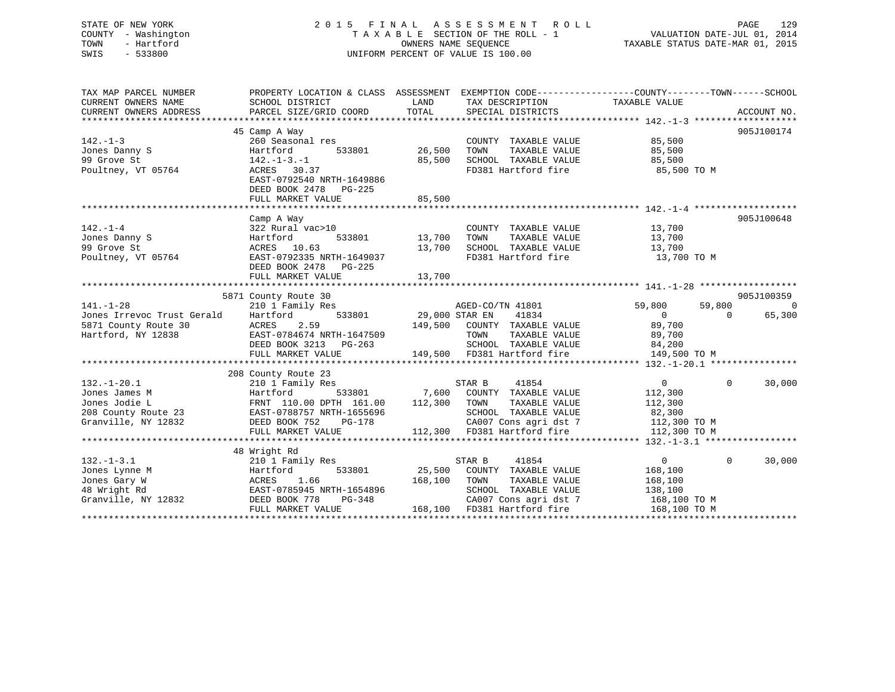## STATE OF NEW YORK 2 0 1 5 F I N A L A S S E S S M E N T R O L L PAGE 129 COUNTY - Washington T A X A B L E SECTION OF THE ROLL - 1 VALUATION DATE-JUL 01, 2014 TOWN - Hartford **TAXABLE STATUS DATE-MAR 01, 2015** OWNERS NAME SEQUENCE TAXABLE STATUS DATE-MAR 01, 2015 SWIS - 533800 UNIFORM PERCENT OF VALUE IS 100.00

| TAX MAP PARCEL NUMBER<br>CURRENT OWNERS NAME<br>CURRENT OWNERS ADDRESS                            | PROPERTY LOCATION & CLASS ASSESSMENT EXEMPTION CODE---------------COUNTY-------TOWN------SCHOOL<br>SCHOOL DISTRICT<br>PARCEL SIZE/GRID COORD                                                  | LAND<br>TOTAL              | TAX DESCRIPTION<br>SPECIAL DISTRICTS                                                                                                             | TAXABLE VALUE                                                                    | ACCOUNT NO.                                        |
|---------------------------------------------------------------------------------------------------|-----------------------------------------------------------------------------------------------------------------------------------------------------------------------------------------------|----------------------------|--------------------------------------------------------------------------------------------------------------------------------------------------|----------------------------------------------------------------------------------|----------------------------------------------------|
| $142. - 1 - 3$<br>Jones Danny S<br>99 Grove St<br>Poultney, VT 05764                              | 45 Camp A Way<br>260 Seasonal res<br>Hartford<br>533801<br>$142. - 1 - 3. - 1$<br>ACRES 30.37<br>EAST-0792540 NRTH-1649886<br>DEED BOOK 2478 PG-225<br>FULL MARKET VALUE                      | 26,500<br>85,500<br>85,500 | COUNTY TAXABLE VALUE<br>TOWN<br>TAXABLE VALUE<br>SCHOOL TAXABLE VALUE<br>FD381 Hartford fire                                                     | 85,500<br>85,500<br>85,500<br>85,500 TO M                                        | 905J100174                                         |
| $142. - 1 - 4$<br>Jones Danny S<br>99 Grove St<br>Poultney, VT 05764                              | Camp A Way<br>322 Rural vac>10<br>533801<br>Hartford<br>ACRES 10.63<br>EAST-0792335 NRTH-1649037<br>DEED BOOK 2478 PG-225                                                                     | 13,700                     | COUNTY TAXABLE VALUE<br>TOWN<br>TAXABLE VALUE<br>13,700    SCHOOL   TAXABLE VALUE<br>FD381 Hartford fire                                         | 13,700<br>13,700<br>13,700<br>13,700 TO M                                        | 905J100648                                         |
| $141. - 1 - 28$<br>Jones Irrevoc Trust Gerald<br>5871 County Route 30<br>Hartford, NY 12838       | 5871 County Route 30<br>210 1 Family Res<br>Hartford<br>ACRES<br>2.59<br>EAST-0784674 NRTH-1647509<br>DEED BOOK 3213 PG-263<br>FULL MARKET VALUE                                              | 533801 29,000 STAR EN      | AGED-CO/TN 41801<br>41834<br>149,500 COUNTY TAXABLE VALUE<br>TOWN<br>TAXABLE VALUE<br>SCHOOL TAXABLE VALUE<br>149,500 FD381 Hartford fire        | 59,800<br>59,800<br>$\overline{0}$<br>89,700<br>89,700<br>84,200<br>149,500 TO M | 905J100359<br>$\overline{0}$<br>65,300<br>$\Omega$ |
| $132. - 1 - 20.1$<br>Jones James M<br>Jones Jodie L<br>208 County Route 23<br>Granville, NY 12832 | 208 County Route 23<br>210 1 Family Res<br>Hartford<br>533801<br>FRNT 110.00 DPTH 161.00<br>EAST-0788757 NRTH-1655696<br>DEED BOOK 752 PG-178<br>PG-178<br>DEED BOOK 752<br>FULL MARKET VALUE | 112,300 TOWN               | 41854<br>STAR B<br>7,600 COUNTY TAXABLE VALUE<br>TAXABLE VALUE<br>SCHOOL TAXABLE VALUE<br>CA007 Cons agri dst 7<br>112,300 FD381 Hartford fire   | $\overline{0}$<br>112,300<br>112,300<br>82,300<br>112,300 TO M<br>112,300 TO M   | $\Omega$<br>30,000                                 |
| $132. - 1 - 3.1$<br>Jones Lynne M<br>Jones Gary W<br>48 Wright Rd<br>Granville, NY 12832          | 48 Wright Rd<br>210 1 Family Res<br>533801<br>Hartford<br>1.66<br>ACRES<br>EAST-0785945 NRTH-1654896<br>DEED BOOK 778<br>PG-348<br>FULL MARKET VALUE                                          | 25,500<br>168,100          | 41854<br>STAR B<br>COUNTY TAXABLE VALUE<br>TOWN<br>TAXABLE VALUE<br>SCHOOL TAXABLE VALUE<br>CA007 Cons agri dst 7<br>168,100 FD381 Hartford fire | $\overline{0}$<br>168,100<br>168,100<br>138,100<br>168,100 TO M<br>168,100 TO M  | $\Omega$<br>30,000                                 |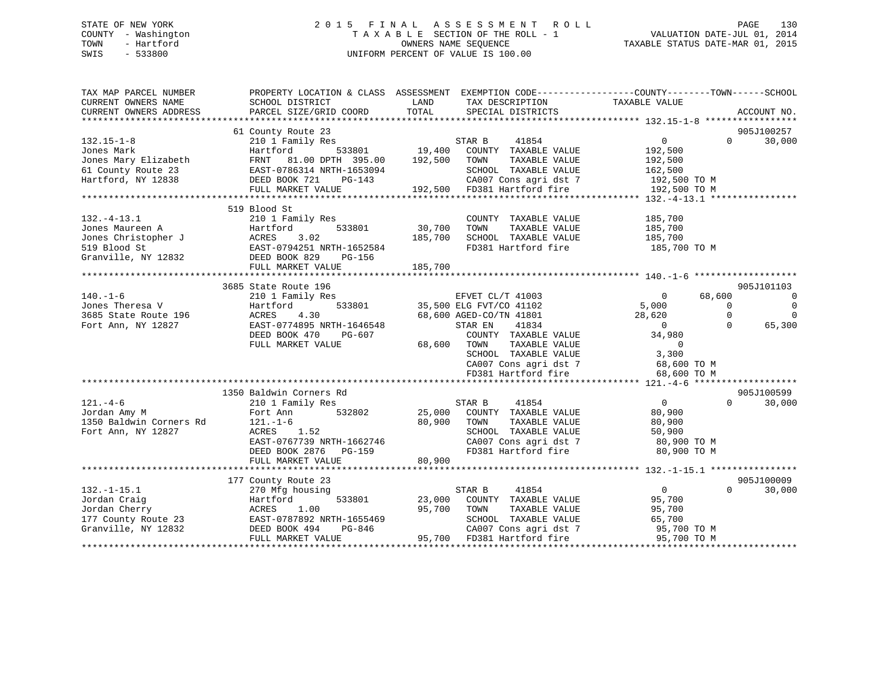## STATE OF NEW YORK 2 0 1 5 F I N A L A S S E S S M E N T R O L L PAGE 130 COUNTY - Washington T A X A B L E SECTION OF THE ROLL - 1 VALUATION DATE-JUL 01, 2014 TOWN - Hartford OWNERS NAME SEQUENCE TAXABLE STATUS DATE-MAR 01, 2015 SWIS - 533800 UNIFORM PERCENT OF VALUE IS 100.00

| 61 County Route 23<br>905J100257<br>s<br>533801 19,400 COUNTY TAXABLE VALUE<br>30,000<br>$132.15 - 1 - 8$<br>$0 \qquad \qquad$<br>$\Omega$<br>210 1 Family Res<br>Jones Mark<br>Hartford<br>192,500<br>Jones Mary Elizabeth FRNT 81.00 DPTH 395.00 192,500 TOWN<br>61 County Route 23 EAST-0786314 NRTH-1653094 SCHOC<br>TAXABLE VALUE<br>192,500<br>SCHOOL TAXABLE VALUE<br>162,500<br>Hartford, NY 12838 DEED BOOK 721<br>CA007 Cons agri dst 7 192,500 TO M<br>FULL MARKET VALUE<br>192,500 TO M<br>519 Blood St<br>$132. -4 - 13.1$<br>210 1 Family Res<br>185,700<br>COUNTY TAXABLE VALUE<br>32. The European Martine Hartford<br>Jones Marten A Hartford<br>Jones Christopher J<br>519 Blood St<br>62. EAST-0794251 NRTH-1652584<br>62. EAST-0794251 NRTH-1652584<br>62. EAST-0794251 NRTH-1652584<br>FIII.I. MARKET VALUE<br>533801 30,700<br>TOWN<br>TAXABLE VALUE<br>185,700<br>185,700<br>SCHOOL TAXABLE VALUE<br>185,700<br>FD381 Hartford fire 185,700 TO M<br>FULL MARKET VALUE<br>185,700<br>3685 State Route 196<br>905J101103<br>EFVET CL/T 41003 0<br>35,500 ELG FVT/CO 41102 5,000<br>$140. - 1 - 6$<br>68,600<br>210 1 Family Res<br>$\overline{\phantom{0}}$<br>з<br>533801<br>$\Omega$<br>Jones Theresa V<br>$\overline{0}$<br>Hartford<br>3685 State Route 196<br>Fort Ann, NY 12827<br>35,500 AGED - CO/TN 41801<br>68,600 AGED - CO/TN 41801<br>$\Omega$<br>ACRES<br>4.30<br>28,620<br>$\Omega$<br>EAST-0774895 NRTH-1646548<br>STAR EN<br>41834<br>$\overline{0}$<br>$\Omega$<br>65,300<br>Fort Ann, NY 12827<br>34,980<br>COUNTY TAXABLE VALUE<br>DEED BOOK 470<br>PG-607<br>68,600 TOWN<br>FULL MARKET VALUE<br>TOWN TAXABLE VALUE 0<br>SCHOOL TAXABLE VALUE 3,300<br>CA007 Cons agri dst 7<br>FD381 Hartford fire<br>68,600 TO M<br>68,600 TO M<br>1350 Baldwin Corners Rd<br>905J100599<br>$121. - 4 - 6$<br>$\overline{0}$<br>210 1 Family Res<br>STAR B<br>41854<br>$\Omega$<br>30,000<br>25,000 COUNTY TAXABLE VALUE<br>Jordan Amy M<br>532802<br>80,900<br>Fort Ann<br>$121. -1-6$<br>80,900<br>1350 Baldwin Corners Rd<br>TAXABLE VALUE<br>80,900<br>TOWN<br>Fort Ann, NY 12827<br>ACRES 1.52<br>SCHOOL TAXABLE VALUE 50,900<br>CA007 Cons agri dst 7 60,900 TO M<br>$RAST-0767739$ NRTH-1662746<br>FD381 Hartford fire 80,900 TO M<br>DEED BOOK 2876 PG-159<br>80,900<br>FULL MARKET VALUE<br>177 County Route 23<br>905J100009<br>$\overline{0}$<br>$\Omega$<br>$132. - 1 - 15.1$<br>STAR B<br>41854<br>30,000<br>270 Mfg housing<br>533801 23,000 COUNTY TAXABLE VALUE<br>95,700<br>Jordan Craig<br>Jordan Cherry<br>177 County Route 23<br>Granville, NY 12832<br>2008 DEED BOOK 494<br>2019 DEED BOOK 494<br>2019 DEED BOOK 494<br>95,700<br>TOWN<br>TAXABLE VALUE<br>95,700<br>H-1655469<br>PG-846<br>SCHOOL TAXABLE VALUE<br>65,700<br>95,700 TO M<br>900 TO M<br>CA007 Cons agri dst 7<br>95,700 FD381 Hartford fire 95,700 TO M<br>FULL MARKET VALUE | TAX MAP PARCEL NUMBER<br>CURRENT OWNERS NAME<br>CURRENT OWNERS ADDRESS | SCHOOL DISTRICT<br>PARCEL SIZE/GRID COORD | PROPERTY LOCATION & CLASS ASSESSMENT EXEMPTION CODE----------------COUNTY-------TOWN-----SCHOOL<br>TAX DESCRIPTION TAXABLE VALUE SPECIAL DISTRICTS<br>LAND<br>TOTAL | ACCOUNT NO. |
|-------------------------------------------------------------------------------------------------------------------------------------------------------------------------------------------------------------------------------------------------------------------------------------------------------------------------------------------------------------------------------------------------------------------------------------------------------------------------------------------------------------------------------------------------------------------------------------------------------------------------------------------------------------------------------------------------------------------------------------------------------------------------------------------------------------------------------------------------------------------------------------------------------------------------------------------------------------------------------------------------------------------------------------------------------------------------------------------------------------------------------------------------------------------------------------------------------------------------------------------------------------------------------------------------------------------------------------------------------------------------------------------------------------------------------------------------------------------------------------------------------------------------------------------------------------------------------------------------------------------------------------------------------------------------------------------------------------------------------------------------------------------------------------------------------------------------------------------------------------------------------------------------------------------------------------------------------------------------------------------------------------------------------------------------------------------------------------------------------------------------------------------------------------------------------------------------------------------------------------------------------------------------------------------------------------------------------------------------------------------------------------------------------------------------------------------------------------------------------------------------------------------------------------------------------------------------------------------------------------------------------------------------------------------------------------------------------------------------------------------------------------------------------------------------------------------------------------------------------------------------------------------------|------------------------------------------------------------------------|-------------------------------------------|---------------------------------------------------------------------------------------------------------------------------------------------------------------------|-------------|
|                                                                                                                                                                                                                                                                                                                                                                                                                                                                                                                                                                                                                                                                                                                                                                                                                                                                                                                                                                                                                                                                                                                                                                                                                                                                                                                                                                                                                                                                                                                                                                                                                                                                                                                                                                                                                                                                                                                                                                                                                                                                                                                                                                                                                                                                                                                                                                                                                                                                                                                                                                                                                                                                                                                                                                                                                                                                                                 |                                                                        |                                           |                                                                                                                                                                     |             |
|                                                                                                                                                                                                                                                                                                                                                                                                                                                                                                                                                                                                                                                                                                                                                                                                                                                                                                                                                                                                                                                                                                                                                                                                                                                                                                                                                                                                                                                                                                                                                                                                                                                                                                                                                                                                                                                                                                                                                                                                                                                                                                                                                                                                                                                                                                                                                                                                                                                                                                                                                                                                                                                                                                                                                                                                                                                                                                 |                                                                        |                                           |                                                                                                                                                                     |             |
|                                                                                                                                                                                                                                                                                                                                                                                                                                                                                                                                                                                                                                                                                                                                                                                                                                                                                                                                                                                                                                                                                                                                                                                                                                                                                                                                                                                                                                                                                                                                                                                                                                                                                                                                                                                                                                                                                                                                                                                                                                                                                                                                                                                                                                                                                                                                                                                                                                                                                                                                                                                                                                                                                                                                                                                                                                                                                                 |                                                                        |                                           |                                                                                                                                                                     |             |
|                                                                                                                                                                                                                                                                                                                                                                                                                                                                                                                                                                                                                                                                                                                                                                                                                                                                                                                                                                                                                                                                                                                                                                                                                                                                                                                                                                                                                                                                                                                                                                                                                                                                                                                                                                                                                                                                                                                                                                                                                                                                                                                                                                                                                                                                                                                                                                                                                                                                                                                                                                                                                                                                                                                                                                                                                                                                                                 |                                                                        |                                           |                                                                                                                                                                     |             |
|                                                                                                                                                                                                                                                                                                                                                                                                                                                                                                                                                                                                                                                                                                                                                                                                                                                                                                                                                                                                                                                                                                                                                                                                                                                                                                                                                                                                                                                                                                                                                                                                                                                                                                                                                                                                                                                                                                                                                                                                                                                                                                                                                                                                                                                                                                                                                                                                                                                                                                                                                                                                                                                                                                                                                                                                                                                                                                 |                                                                        |                                           |                                                                                                                                                                     |             |
|                                                                                                                                                                                                                                                                                                                                                                                                                                                                                                                                                                                                                                                                                                                                                                                                                                                                                                                                                                                                                                                                                                                                                                                                                                                                                                                                                                                                                                                                                                                                                                                                                                                                                                                                                                                                                                                                                                                                                                                                                                                                                                                                                                                                                                                                                                                                                                                                                                                                                                                                                                                                                                                                                                                                                                                                                                                                                                 |                                                                        |                                           |                                                                                                                                                                     |             |
|                                                                                                                                                                                                                                                                                                                                                                                                                                                                                                                                                                                                                                                                                                                                                                                                                                                                                                                                                                                                                                                                                                                                                                                                                                                                                                                                                                                                                                                                                                                                                                                                                                                                                                                                                                                                                                                                                                                                                                                                                                                                                                                                                                                                                                                                                                                                                                                                                                                                                                                                                                                                                                                                                                                                                                                                                                                                                                 |                                                                        |                                           |                                                                                                                                                                     |             |
|                                                                                                                                                                                                                                                                                                                                                                                                                                                                                                                                                                                                                                                                                                                                                                                                                                                                                                                                                                                                                                                                                                                                                                                                                                                                                                                                                                                                                                                                                                                                                                                                                                                                                                                                                                                                                                                                                                                                                                                                                                                                                                                                                                                                                                                                                                                                                                                                                                                                                                                                                                                                                                                                                                                                                                                                                                                                                                 |                                                                        |                                           |                                                                                                                                                                     |             |
|                                                                                                                                                                                                                                                                                                                                                                                                                                                                                                                                                                                                                                                                                                                                                                                                                                                                                                                                                                                                                                                                                                                                                                                                                                                                                                                                                                                                                                                                                                                                                                                                                                                                                                                                                                                                                                                                                                                                                                                                                                                                                                                                                                                                                                                                                                                                                                                                                                                                                                                                                                                                                                                                                                                                                                                                                                                                                                 |                                                                        |                                           |                                                                                                                                                                     |             |
|                                                                                                                                                                                                                                                                                                                                                                                                                                                                                                                                                                                                                                                                                                                                                                                                                                                                                                                                                                                                                                                                                                                                                                                                                                                                                                                                                                                                                                                                                                                                                                                                                                                                                                                                                                                                                                                                                                                                                                                                                                                                                                                                                                                                                                                                                                                                                                                                                                                                                                                                                                                                                                                                                                                                                                                                                                                                                                 |                                                                        |                                           |                                                                                                                                                                     |             |
|                                                                                                                                                                                                                                                                                                                                                                                                                                                                                                                                                                                                                                                                                                                                                                                                                                                                                                                                                                                                                                                                                                                                                                                                                                                                                                                                                                                                                                                                                                                                                                                                                                                                                                                                                                                                                                                                                                                                                                                                                                                                                                                                                                                                                                                                                                                                                                                                                                                                                                                                                                                                                                                                                                                                                                                                                                                                                                 |                                                                        |                                           |                                                                                                                                                                     |             |
|                                                                                                                                                                                                                                                                                                                                                                                                                                                                                                                                                                                                                                                                                                                                                                                                                                                                                                                                                                                                                                                                                                                                                                                                                                                                                                                                                                                                                                                                                                                                                                                                                                                                                                                                                                                                                                                                                                                                                                                                                                                                                                                                                                                                                                                                                                                                                                                                                                                                                                                                                                                                                                                                                                                                                                                                                                                                                                 |                                                                        |                                           |                                                                                                                                                                     |             |
|                                                                                                                                                                                                                                                                                                                                                                                                                                                                                                                                                                                                                                                                                                                                                                                                                                                                                                                                                                                                                                                                                                                                                                                                                                                                                                                                                                                                                                                                                                                                                                                                                                                                                                                                                                                                                                                                                                                                                                                                                                                                                                                                                                                                                                                                                                                                                                                                                                                                                                                                                                                                                                                                                                                                                                                                                                                                                                 |                                                                        |                                           |                                                                                                                                                                     |             |
|                                                                                                                                                                                                                                                                                                                                                                                                                                                                                                                                                                                                                                                                                                                                                                                                                                                                                                                                                                                                                                                                                                                                                                                                                                                                                                                                                                                                                                                                                                                                                                                                                                                                                                                                                                                                                                                                                                                                                                                                                                                                                                                                                                                                                                                                                                                                                                                                                                                                                                                                                                                                                                                                                                                                                                                                                                                                                                 |                                                                        |                                           |                                                                                                                                                                     |             |
|                                                                                                                                                                                                                                                                                                                                                                                                                                                                                                                                                                                                                                                                                                                                                                                                                                                                                                                                                                                                                                                                                                                                                                                                                                                                                                                                                                                                                                                                                                                                                                                                                                                                                                                                                                                                                                                                                                                                                                                                                                                                                                                                                                                                                                                                                                                                                                                                                                                                                                                                                                                                                                                                                                                                                                                                                                                                                                 |                                                                        |                                           |                                                                                                                                                                     |             |
|                                                                                                                                                                                                                                                                                                                                                                                                                                                                                                                                                                                                                                                                                                                                                                                                                                                                                                                                                                                                                                                                                                                                                                                                                                                                                                                                                                                                                                                                                                                                                                                                                                                                                                                                                                                                                                                                                                                                                                                                                                                                                                                                                                                                                                                                                                                                                                                                                                                                                                                                                                                                                                                                                                                                                                                                                                                                                                 |                                                                        |                                           |                                                                                                                                                                     |             |
|                                                                                                                                                                                                                                                                                                                                                                                                                                                                                                                                                                                                                                                                                                                                                                                                                                                                                                                                                                                                                                                                                                                                                                                                                                                                                                                                                                                                                                                                                                                                                                                                                                                                                                                                                                                                                                                                                                                                                                                                                                                                                                                                                                                                                                                                                                                                                                                                                                                                                                                                                                                                                                                                                                                                                                                                                                                                                                 |                                                                        |                                           |                                                                                                                                                                     |             |
|                                                                                                                                                                                                                                                                                                                                                                                                                                                                                                                                                                                                                                                                                                                                                                                                                                                                                                                                                                                                                                                                                                                                                                                                                                                                                                                                                                                                                                                                                                                                                                                                                                                                                                                                                                                                                                                                                                                                                                                                                                                                                                                                                                                                                                                                                                                                                                                                                                                                                                                                                                                                                                                                                                                                                                                                                                                                                                 |                                                                        |                                           |                                                                                                                                                                     |             |
|                                                                                                                                                                                                                                                                                                                                                                                                                                                                                                                                                                                                                                                                                                                                                                                                                                                                                                                                                                                                                                                                                                                                                                                                                                                                                                                                                                                                                                                                                                                                                                                                                                                                                                                                                                                                                                                                                                                                                                                                                                                                                                                                                                                                                                                                                                                                                                                                                                                                                                                                                                                                                                                                                                                                                                                                                                                                                                 |                                                                        |                                           |                                                                                                                                                                     |             |
|                                                                                                                                                                                                                                                                                                                                                                                                                                                                                                                                                                                                                                                                                                                                                                                                                                                                                                                                                                                                                                                                                                                                                                                                                                                                                                                                                                                                                                                                                                                                                                                                                                                                                                                                                                                                                                                                                                                                                                                                                                                                                                                                                                                                                                                                                                                                                                                                                                                                                                                                                                                                                                                                                                                                                                                                                                                                                                 |                                                                        |                                           |                                                                                                                                                                     |             |
|                                                                                                                                                                                                                                                                                                                                                                                                                                                                                                                                                                                                                                                                                                                                                                                                                                                                                                                                                                                                                                                                                                                                                                                                                                                                                                                                                                                                                                                                                                                                                                                                                                                                                                                                                                                                                                                                                                                                                                                                                                                                                                                                                                                                                                                                                                                                                                                                                                                                                                                                                                                                                                                                                                                                                                                                                                                                                                 |                                                                        |                                           |                                                                                                                                                                     |             |
|                                                                                                                                                                                                                                                                                                                                                                                                                                                                                                                                                                                                                                                                                                                                                                                                                                                                                                                                                                                                                                                                                                                                                                                                                                                                                                                                                                                                                                                                                                                                                                                                                                                                                                                                                                                                                                                                                                                                                                                                                                                                                                                                                                                                                                                                                                                                                                                                                                                                                                                                                                                                                                                                                                                                                                                                                                                                                                 |                                                                        |                                           |                                                                                                                                                                     |             |
|                                                                                                                                                                                                                                                                                                                                                                                                                                                                                                                                                                                                                                                                                                                                                                                                                                                                                                                                                                                                                                                                                                                                                                                                                                                                                                                                                                                                                                                                                                                                                                                                                                                                                                                                                                                                                                                                                                                                                                                                                                                                                                                                                                                                                                                                                                                                                                                                                                                                                                                                                                                                                                                                                                                                                                                                                                                                                                 |                                                                        |                                           |                                                                                                                                                                     |             |
|                                                                                                                                                                                                                                                                                                                                                                                                                                                                                                                                                                                                                                                                                                                                                                                                                                                                                                                                                                                                                                                                                                                                                                                                                                                                                                                                                                                                                                                                                                                                                                                                                                                                                                                                                                                                                                                                                                                                                                                                                                                                                                                                                                                                                                                                                                                                                                                                                                                                                                                                                                                                                                                                                                                                                                                                                                                                                                 |                                                                        |                                           |                                                                                                                                                                     |             |
|                                                                                                                                                                                                                                                                                                                                                                                                                                                                                                                                                                                                                                                                                                                                                                                                                                                                                                                                                                                                                                                                                                                                                                                                                                                                                                                                                                                                                                                                                                                                                                                                                                                                                                                                                                                                                                                                                                                                                                                                                                                                                                                                                                                                                                                                                                                                                                                                                                                                                                                                                                                                                                                                                                                                                                                                                                                                                                 |                                                                        |                                           |                                                                                                                                                                     |             |
|                                                                                                                                                                                                                                                                                                                                                                                                                                                                                                                                                                                                                                                                                                                                                                                                                                                                                                                                                                                                                                                                                                                                                                                                                                                                                                                                                                                                                                                                                                                                                                                                                                                                                                                                                                                                                                                                                                                                                                                                                                                                                                                                                                                                                                                                                                                                                                                                                                                                                                                                                                                                                                                                                                                                                                                                                                                                                                 |                                                                        |                                           |                                                                                                                                                                     |             |
|                                                                                                                                                                                                                                                                                                                                                                                                                                                                                                                                                                                                                                                                                                                                                                                                                                                                                                                                                                                                                                                                                                                                                                                                                                                                                                                                                                                                                                                                                                                                                                                                                                                                                                                                                                                                                                                                                                                                                                                                                                                                                                                                                                                                                                                                                                                                                                                                                                                                                                                                                                                                                                                                                                                                                                                                                                                                                                 |                                                                        |                                           |                                                                                                                                                                     |             |
|                                                                                                                                                                                                                                                                                                                                                                                                                                                                                                                                                                                                                                                                                                                                                                                                                                                                                                                                                                                                                                                                                                                                                                                                                                                                                                                                                                                                                                                                                                                                                                                                                                                                                                                                                                                                                                                                                                                                                                                                                                                                                                                                                                                                                                                                                                                                                                                                                                                                                                                                                                                                                                                                                                                                                                                                                                                                                                 |                                                                        |                                           |                                                                                                                                                                     |             |
|                                                                                                                                                                                                                                                                                                                                                                                                                                                                                                                                                                                                                                                                                                                                                                                                                                                                                                                                                                                                                                                                                                                                                                                                                                                                                                                                                                                                                                                                                                                                                                                                                                                                                                                                                                                                                                                                                                                                                                                                                                                                                                                                                                                                                                                                                                                                                                                                                                                                                                                                                                                                                                                                                                                                                                                                                                                                                                 |                                                                        |                                           |                                                                                                                                                                     |             |
|                                                                                                                                                                                                                                                                                                                                                                                                                                                                                                                                                                                                                                                                                                                                                                                                                                                                                                                                                                                                                                                                                                                                                                                                                                                                                                                                                                                                                                                                                                                                                                                                                                                                                                                                                                                                                                                                                                                                                                                                                                                                                                                                                                                                                                                                                                                                                                                                                                                                                                                                                                                                                                                                                                                                                                                                                                                                                                 |                                                                        |                                           |                                                                                                                                                                     |             |
|                                                                                                                                                                                                                                                                                                                                                                                                                                                                                                                                                                                                                                                                                                                                                                                                                                                                                                                                                                                                                                                                                                                                                                                                                                                                                                                                                                                                                                                                                                                                                                                                                                                                                                                                                                                                                                                                                                                                                                                                                                                                                                                                                                                                                                                                                                                                                                                                                                                                                                                                                                                                                                                                                                                                                                                                                                                                                                 |                                                                        |                                           |                                                                                                                                                                     |             |
|                                                                                                                                                                                                                                                                                                                                                                                                                                                                                                                                                                                                                                                                                                                                                                                                                                                                                                                                                                                                                                                                                                                                                                                                                                                                                                                                                                                                                                                                                                                                                                                                                                                                                                                                                                                                                                                                                                                                                                                                                                                                                                                                                                                                                                                                                                                                                                                                                                                                                                                                                                                                                                                                                                                                                                                                                                                                                                 |                                                                        |                                           |                                                                                                                                                                     |             |
|                                                                                                                                                                                                                                                                                                                                                                                                                                                                                                                                                                                                                                                                                                                                                                                                                                                                                                                                                                                                                                                                                                                                                                                                                                                                                                                                                                                                                                                                                                                                                                                                                                                                                                                                                                                                                                                                                                                                                                                                                                                                                                                                                                                                                                                                                                                                                                                                                                                                                                                                                                                                                                                                                                                                                                                                                                                                                                 |                                                                        |                                           |                                                                                                                                                                     |             |
|                                                                                                                                                                                                                                                                                                                                                                                                                                                                                                                                                                                                                                                                                                                                                                                                                                                                                                                                                                                                                                                                                                                                                                                                                                                                                                                                                                                                                                                                                                                                                                                                                                                                                                                                                                                                                                                                                                                                                                                                                                                                                                                                                                                                                                                                                                                                                                                                                                                                                                                                                                                                                                                                                                                                                                                                                                                                                                 |                                                                        |                                           |                                                                                                                                                                     |             |
|                                                                                                                                                                                                                                                                                                                                                                                                                                                                                                                                                                                                                                                                                                                                                                                                                                                                                                                                                                                                                                                                                                                                                                                                                                                                                                                                                                                                                                                                                                                                                                                                                                                                                                                                                                                                                                                                                                                                                                                                                                                                                                                                                                                                                                                                                                                                                                                                                                                                                                                                                                                                                                                                                                                                                                                                                                                                                                 |                                                                        |                                           |                                                                                                                                                                     |             |
|                                                                                                                                                                                                                                                                                                                                                                                                                                                                                                                                                                                                                                                                                                                                                                                                                                                                                                                                                                                                                                                                                                                                                                                                                                                                                                                                                                                                                                                                                                                                                                                                                                                                                                                                                                                                                                                                                                                                                                                                                                                                                                                                                                                                                                                                                                                                                                                                                                                                                                                                                                                                                                                                                                                                                                                                                                                                                                 |                                                                        |                                           |                                                                                                                                                                     |             |
|                                                                                                                                                                                                                                                                                                                                                                                                                                                                                                                                                                                                                                                                                                                                                                                                                                                                                                                                                                                                                                                                                                                                                                                                                                                                                                                                                                                                                                                                                                                                                                                                                                                                                                                                                                                                                                                                                                                                                                                                                                                                                                                                                                                                                                                                                                                                                                                                                                                                                                                                                                                                                                                                                                                                                                                                                                                                                                 |                                                                        |                                           |                                                                                                                                                                     |             |
|                                                                                                                                                                                                                                                                                                                                                                                                                                                                                                                                                                                                                                                                                                                                                                                                                                                                                                                                                                                                                                                                                                                                                                                                                                                                                                                                                                                                                                                                                                                                                                                                                                                                                                                                                                                                                                                                                                                                                                                                                                                                                                                                                                                                                                                                                                                                                                                                                                                                                                                                                                                                                                                                                                                                                                                                                                                                                                 |                                                                        |                                           |                                                                                                                                                                     |             |
|                                                                                                                                                                                                                                                                                                                                                                                                                                                                                                                                                                                                                                                                                                                                                                                                                                                                                                                                                                                                                                                                                                                                                                                                                                                                                                                                                                                                                                                                                                                                                                                                                                                                                                                                                                                                                                                                                                                                                                                                                                                                                                                                                                                                                                                                                                                                                                                                                                                                                                                                                                                                                                                                                                                                                                                                                                                                                                 |                                                                        |                                           |                                                                                                                                                                     |             |
|                                                                                                                                                                                                                                                                                                                                                                                                                                                                                                                                                                                                                                                                                                                                                                                                                                                                                                                                                                                                                                                                                                                                                                                                                                                                                                                                                                                                                                                                                                                                                                                                                                                                                                                                                                                                                                                                                                                                                                                                                                                                                                                                                                                                                                                                                                                                                                                                                                                                                                                                                                                                                                                                                                                                                                                                                                                                                                 |                                                                        |                                           |                                                                                                                                                                     |             |
|                                                                                                                                                                                                                                                                                                                                                                                                                                                                                                                                                                                                                                                                                                                                                                                                                                                                                                                                                                                                                                                                                                                                                                                                                                                                                                                                                                                                                                                                                                                                                                                                                                                                                                                                                                                                                                                                                                                                                                                                                                                                                                                                                                                                                                                                                                                                                                                                                                                                                                                                                                                                                                                                                                                                                                                                                                                                                                 |                                                                        |                                           |                                                                                                                                                                     |             |
|                                                                                                                                                                                                                                                                                                                                                                                                                                                                                                                                                                                                                                                                                                                                                                                                                                                                                                                                                                                                                                                                                                                                                                                                                                                                                                                                                                                                                                                                                                                                                                                                                                                                                                                                                                                                                                                                                                                                                                                                                                                                                                                                                                                                                                                                                                                                                                                                                                                                                                                                                                                                                                                                                                                                                                                                                                                                                                 |                                                                        |                                           |                                                                                                                                                                     |             |
|                                                                                                                                                                                                                                                                                                                                                                                                                                                                                                                                                                                                                                                                                                                                                                                                                                                                                                                                                                                                                                                                                                                                                                                                                                                                                                                                                                                                                                                                                                                                                                                                                                                                                                                                                                                                                                                                                                                                                                                                                                                                                                                                                                                                                                                                                                                                                                                                                                                                                                                                                                                                                                                                                                                                                                                                                                                                                                 |                                                                        |                                           |                                                                                                                                                                     |             |
|                                                                                                                                                                                                                                                                                                                                                                                                                                                                                                                                                                                                                                                                                                                                                                                                                                                                                                                                                                                                                                                                                                                                                                                                                                                                                                                                                                                                                                                                                                                                                                                                                                                                                                                                                                                                                                                                                                                                                                                                                                                                                                                                                                                                                                                                                                                                                                                                                                                                                                                                                                                                                                                                                                                                                                                                                                                                                                 |                                                                        |                                           |                                                                                                                                                                     |             |
|                                                                                                                                                                                                                                                                                                                                                                                                                                                                                                                                                                                                                                                                                                                                                                                                                                                                                                                                                                                                                                                                                                                                                                                                                                                                                                                                                                                                                                                                                                                                                                                                                                                                                                                                                                                                                                                                                                                                                                                                                                                                                                                                                                                                                                                                                                                                                                                                                                                                                                                                                                                                                                                                                                                                                                                                                                                                                                 |                                                                        |                                           |                                                                                                                                                                     |             |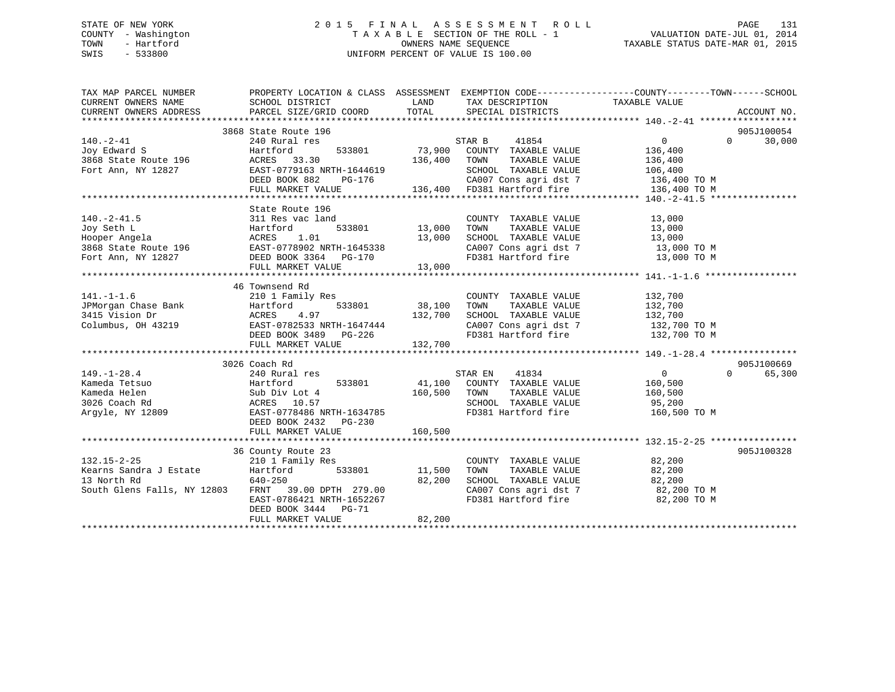## STATE OF NEW YORK 2 0 1 5 F I N A L A S S E S S M E N T R O L L PAGE 131 COUNTY - Washington T A X A B L E SECTION OF THE ROLL - 1 VALUATION DATE-JUL 01, 2014 TOWN - Hartford **TAXABLE STATUS DATE-MAR 01, 2015** OWNERS NAME SEQUENCE TAXABLE STATUS DATE-MAR 01, 2015 SWIS - 533800 UNIFORM PERCENT OF VALUE IS 100.00

| TAX MAP PARCEL NUMBER<br>CURRENT OWNERS NAME<br>CURRENT OWNERS ADDRESS                                                                                                                                                                                           | SCHOOL DISTRICT<br>PARCEL SIZE/GRID COORD | LAND<br>TOTAL | TAX DESCRIPTION TAXABLE VALUE<br>SPECIAL DISTRICTS   | PROPERTY LOCATION & CLASS ASSESSMENT EXEMPTION CODE---------------COUNTY-------TOWN-----SCHOOL | ACCOUNT NO.          |
|------------------------------------------------------------------------------------------------------------------------------------------------------------------------------------------------------------------------------------------------------------------|-------------------------------------------|---------------|------------------------------------------------------|------------------------------------------------------------------------------------------------|----------------------|
|                                                                                                                                                                                                                                                                  |                                           |               |                                                      |                                                                                                |                      |
| $140. - 2 - 41$                                                                                                                                                                                                                                                  | 3868 State Route 196<br>240 Rural res     |               | STAR B<br>41854                                      | $\overline{0}$<br>$\Omega$                                                                     | 905J100054<br>30,000 |
| Joy Edward S                                                                                                                                                                                                                                                     | Hartford<br>533801                        | 73,900        | COUNTY TAXABLE VALUE                                 | 136,400                                                                                        |                      |
| 3868 State Route 196                                                                                                                                                                                                                                             | ACRES 33.30                               | 136,400       | TOWN<br>TAXABLE VALUE                                | 136,400                                                                                        |                      |
| Fort Ann, NY 12827                                                                                                                                                                                                                                               | EAST-0779163 NRTH-1644619                 |               | SCHOOL TAXABLE VALUE                                 | 106,400                                                                                        |                      |
|                                                                                                                                                                                                                                                                  | DEED BOOK 882<br>PG-176                   |               |                                                      | 136,400 TO M                                                                                   |                      |
|                                                                                                                                                                                                                                                                  | FULL MARKET VALUE                         |               | CA007 Cons agri dst 7<br>136,400 FD381 Hartford fire | 136,400 TO M                                                                                   |                      |
|                                                                                                                                                                                                                                                                  |                                           |               |                                                      |                                                                                                |                      |
|                                                                                                                                                                                                                                                                  | State Route 196                           |               |                                                      |                                                                                                |                      |
| $140. -2 - 41.5$                                                                                                                                                                                                                                                 | 311 Res vac land                          |               | COUNTY TAXABLE VALUE                                 | 13,000                                                                                         |                      |
| Joy Seth L                                                                                                                                                                                                                                                       | 533801<br>Hartford                        | 13,000        | TOWN<br>TAXABLE VALUE                                | $\frac{1}{13}$ , 000                                                                           |                      |
| Hooper Angela                                                                                                                                                                                                                                                    | 1.01<br>ACRES                             | 13,000        | SCHOOL TAXABLE VALUE                                 |                                                                                                |                      |
|                                                                                                                                                                                                                                                                  |                                           |               | CA007 Cons agri dst 7 13,000 TO M                    |                                                                                                |                      |
| 3868 State Route 196<br>Fort Ann, NY 12827<br>Fort Ann, NY 12827<br>COME 2364<br>COME 2364<br>COME 2364<br>COME 2364<br>COME 2364<br>COME 2364<br>COME 2364<br>COME 2364<br>COME 2364<br>COME 2364<br>COME 2364<br>COME 2364<br>COME 2364<br>COME 2364<br>COME 2 |                                           |               | FD381 Hartford fire                                  | 13,000 TO M                                                                                    |                      |
|                                                                                                                                                                                                                                                                  | FULL MARKET VALUE                         | 13,000        |                                                      |                                                                                                |                      |
|                                                                                                                                                                                                                                                                  |                                           |               |                                                      |                                                                                                |                      |
|                                                                                                                                                                                                                                                                  | 46 Townsend Rd                            |               |                                                      |                                                                                                |                      |
| $141. - 1 - 1.6$                                                                                                                                                                                                                                                 | 210 1 Family Res                          |               | COUNTY TAXABLE VALUE                                 | 132,700                                                                                        |                      |
|                                                                                                                                                                                                                                                                  | 533801<br>Hartford                        | 38,100        | TOWN<br>TAXABLE VALUE                                | 132,700                                                                                        |                      |
|                                                                                                                                                                                                                                                                  | 4.97                                      | 132,700       | SCHOOL TAXABLE VALUE                                 | 132,700                                                                                        |                      |
| Columbus, OH 43219 EAST-0782533 NRTH-1647444                                                                                                                                                                                                                     |                                           |               | CA007 Cons agri dst 7 132,700 TO M                   |                                                                                                |                      |
|                                                                                                                                                                                                                                                                  | DEED BOOK 3489 PG-226                     |               | FD381 Hartford fire                                  | 132,700 TO M                                                                                   |                      |
|                                                                                                                                                                                                                                                                  | FULL MARKET VALUE                         | 132,700       |                                                      |                                                                                                |                      |
|                                                                                                                                                                                                                                                                  |                                           |               |                                                      |                                                                                                |                      |
|                                                                                                                                                                                                                                                                  | 3026 Coach Rd                             |               |                                                      |                                                                                                | 905J100669           |
| $149. - 1 - 28.4$                                                                                                                                                                                                                                                | 240 Rural res                             |               | 41834<br>STAR EN                                     | $\overline{0}$<br>$\Omega$                                                                     | 65,300               |
| Kameda Tetsuo                                                                                                                                                                                                                                                    | 533801<br>Hartford                        |               | 41,100 COUNTY TAXABLE VALUE                          | 160,500                                                                                        |                      |
| Kameda Helen                                                                                                                                                                                                                                                     | Sub Div Lot 4                             | 160,500       | TOWN<br>TAXABLE VALUE                                | 160,500                                                                                        |                      |
| 3026 Coach Rd                                                                                                                                                                                                                                                    | ACRES 10.57                               |               | SCHOOL TAXABLE VALUE 95,200                          |                                                                                                |                      |
| Argyle, NY 12809                                                                                                                                                                                                                                                 | EAST-0778486 NRTH-1634785                 |               | FD381 Hartford fire                                  | 160,500 TO M                                                                                   |                      |
|                                                                                                                                                                                                                                                                  | DEED BOOK 2432 PG-230                     |               |                                                      |                                                                                                |                      |
|                                                                                                                                                                                                                                                                  | FULL MARKET VALUE                         | 160,500       |                                                      |                                                                                                |                      |
|                                                                                                                                                                                                                                                                  |                                           |               |                                                      |                                                                                                |                      |
|                                                                                                                                                                                                                                                                  | 36 County Route 23                        |               |                                                      |                                                                                                | 905J100328           |
| $132.15 - 2 - 25$                                                                                                                                                                                                                                                | 210 1 Family Res                          |               | COUNTY TAXABLE VALUE                                 | 82,200                                                                                         |                      |
| Kearns Sandra J Estate                                                                                                                                                                                                                                           | 533801                                    | 11,500        | TAXABLE VALUE<br>TOWN                                | 82,200                                                                                         |                      |
| 13 North Rd                                                                                                                                                                                                                                                      | 640-250                                   | 82,200        | SCHOOL TAXABLE VALUE                                 | 82,200                                                                                         |                      |
| South Glens Falls, NY 12803                                                                                                                                                                                                                                      | FRNT 39.00 DPTH 279.00                    |               | CA007 Cons agri dst 7<br>ED381 Hartford fire         | 82,200 TO M                                                                                    |                      |
|                                                                                                                                                                                                                                                                  | EAST-0786421 NRTH-1652267                 |               | FD381 Hartford fire                                  | 82,200 TO M                                                                                    |                      |
|                                                                                                                                                                                                                                                                  | DEED BOOK 3444 PG-71<br>FULL MARKET VALUE | 82,200        |                                                      |                                                                                                |                      |
|                                                                                                                                                                                                                                                                  |                                           |               |                                                      |                                                                                                |                      |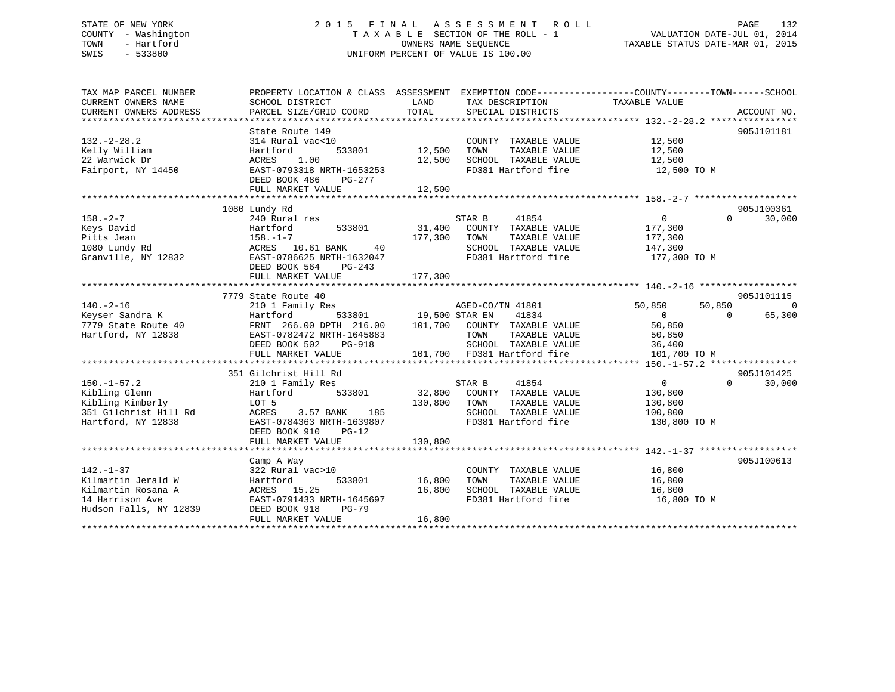## STATE OF NEW YORK 2 0 1 5 F I N A L A S S E S S M E N T R O L L PAGE 132 COUNTY - Washington T A X A B L E SECTION OF THE ROLL - 1 VALUATION DATE-JUL 01, 2014 TOWN - Hartford **TAXABLE STATUS DATE-MAR 01, 2015** OWNERS NAME SEQUENCE TAXABLE STATUS DATE-MAR 01, 2015 SWIS - 533800 UNIFORM PERCENT OF VALUE IS 100.00

| TAX MAP PARCEL NUMBER  | PROPERTY LOCATION & CLASS ASSESSMENT EXEMPTION CODE---------------COUNTY-------TOWN-----SCHOOL |                       |                             |                  |                    |
|------------------------|------------------------------------------------------------------------------------------------|-----------------------|-----------------------------|------------------|--------------------|
| CURRENT OWNERS NAME    | SCHOOL DISTRICT                                                                                | LAND                  | TAX DESCRIPTION             | TAXABLE VALUE    |                    |
| CURRENT OWNERS ADDRESS | PARCEL SIZE/GRID COORD                                                                         | TOTAL                 | SPECIAL DISTRICTS           |                  | ACCOUNT NO.        |
|                        |                                                                                                |                       |                             |                  |                    |
| $132 - 2 - 28.2$       | State Route 149                                                                                |                       |                             |                  | 905J101181         |
|                        | 314 Rural vac<10                                                                               |                       | COUNTY TAXABLE VALUE        | 12,500           |                    |
| Kelly William          | 533801<br>Hartford                                                                             | 12,500                | TOWN<br>TAXABLE VALUE       | 12,500           |                    |
| 22 Warwick Dr          | ACRES<br>1.00                                                                                  | 12,500                | SCHOOL TAXABLE VALUE        | 12,500           |                    |
| Fairport, NY 14450     | EAST-0793318 NRTH-1653253                                                                      |                       | FD381 Hartford fire         | 12,500 TO M      |                    |
|                        | DEED BOOK 486<br>PG-277                                                                        |                       |                             |                  |                    |
|                        | FULL MARKET VALUE                                                                              | 12,500                |                             |                  |                    |
|                        | 1080 Lundy Rd                                                                                  |                       |                             |                  | 905J100361         |
| $158. - 2 - 7$         |                                                                                                |                       | STAR B<br>41854             | 0                | $\Omega$           |
|                        | 240 Rural res                                                                                  |                       |                             |                  | 30,000             |
| Keys David             | Hartford<br>533801                                                                             |                       | 31,400 COUNTY TAXABLE VALUE | 177,300          |                    |
| Pitts Jean             | $158. - 1 - 7$                                                                                 | 177,300 TOWN          | TAXABLE VALUE               | 177,300          |                    |
| 1080 Lundy Rd          | ACRES 10.61 BANK 40                                                                            |                       | SCHOOL TAXABLE VALUE        | 147,300          |                    |
| Granville, NY 12832    | EAST-0786625 NRTH-1632047                                                                      |                       | FD381 Hartford fire         | 177,300 TO M     |                    |
|                        | DEED BOOK 564<br>PG-243                                                                        |                       |                             |                  |                    |
|                        | FULL MARKET VALUE                                                                              | 177,300               |                             |                  |                    |
|                        |                                                                                                |                       |                             |                  |                    |
|                        | 7779 State Route 40                                                                            |                       | AGED-CO/TN 41801            |                  | 905J101115         |
| $140. -2 - 16$         | 210 1 Family Res                                                                               |                       |                             | 50,850<br>50,850 | $\overline{0}$     |
| Keyser Sandra K        | Hartford                                                                                       | 533801 19,500 STAR EN | 41834                       | $\overline{0}$   | 65,300<br>$\Omega$ |
| 7779 State Route 40    | FRNT 266.00 DPTH 216.00 101,700 COUNTY TAXABLE VALUE                                           |                       |                             | 50,850           |                    |
| Hartford, NY 12838     | EAST-0782472 NRTH-1645883                                                                      |                       | TOWN<br>TAXABLE VALUE       | 50,850           |                    |
|                        | DEED BOOK 502 PG-918                                                                           |                       | SCHOOL TAXABLE VALUE        | 36,400           |                    |
|                        | FULL MARKET VALUE                                                                              |                       | 101,700 FD381 Hartford fire | 101,700 TO M     |                    |
|                        |                                                                                                |                       |                             |                  |                    |
|                        | 351 Gilchrist Hill Rd                                                                          |                       |                             |                  | 905J101425         |
| $150. - 1 - 57.2$      | 210 1 Family Res                                                                               |                       | 41854<br>STAR B             | 0                | $\Omega$<br>30,000 |
| Kibling Glenn          | 533801<br>Hartford                                                                             |                       | 32,800 COUNTY TAXABLE VALUE | 130,800          |                    |
| Kibling Kimberly       | LOT 5                                                                                          | 130,800               | TOWN<br>TAXABLE VALUE       | 130,800          |                    |
| 351 Gilchrist Hill Rd  | ACRES<br>3.57 BANK 185                                                                         |                       | SCHOOL TAXABLE VALUE        | 100,800          |                    |
| Hartford, NY 12838     | EAST-0784363 NRTH-1639807                                                                      |                       | FD381 Hartford fire         | 130,800 TO M     |                    |
|                        | DEED BOOK 910<br>$PG-12$                                                                       |                       |                             |                  |                    |
|                        | FULL MARKET VALUE                                                                              | 130,800               |                             |                  |                    |
|                        |                                                                                                |                       |                             |                  |                    |
|                        | Camp A Way                                                                                     |                       |                             |                  | 905J100613         |
| $142. - 1 - 37$        | 322 Rural vac>10                                                                               |                       | COUNTY TAXABLE VALUE        | 16,800           |                    |
| Kilmartin Jerald W     | 533801<br>Hartford                                                                             | 16,800                | TOWN<br>TAXABLE VALUE       | 16,800           |                    |
| Kilmartin Rosana A     | ACRES 15.25                                                                                    | 16,800                | SCHOOL TAXABLE VALUE        | 16,800           |                    |
| 14 Harrison Ave        | EAST-0791433 NRTH-1645697                                                                      |                       | FD381 Hartford fire         | 16,800 TO M      |                    |
| Hudson Falls, NY 12839 | DEED BOOK 918<br>PG-79                                                                         |                       |                             |                  |                    |
|                        | FULL MARKET VALUE                                                                              | 16,800                |                             |                  |                    |
|                        |                                                                                                |                       |                             |                  |                    |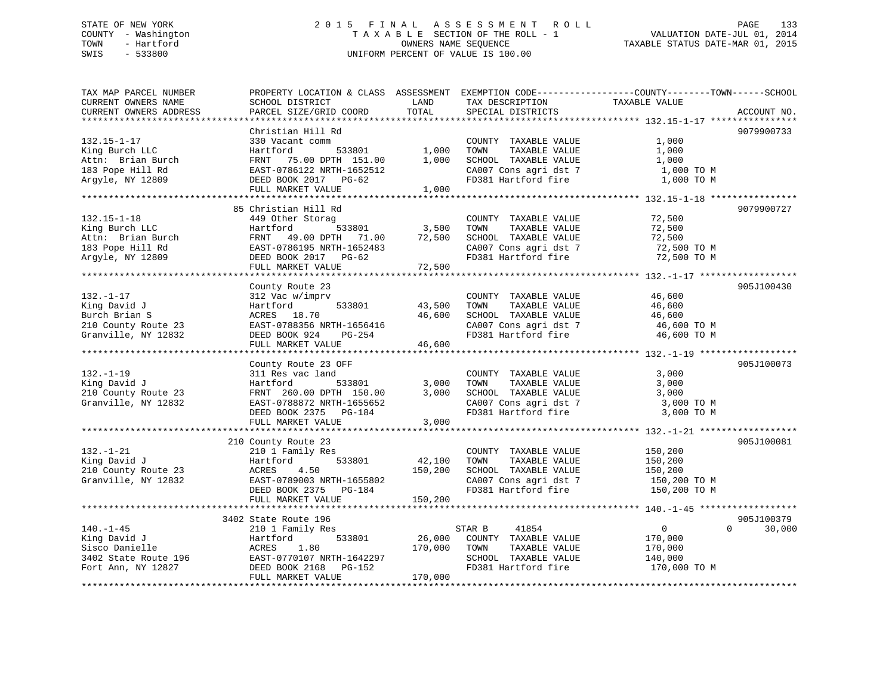## STATE OF NEW YORK 2 0 1 5 F I N A L A S S E S S M E N T R O L L PAGE 133 COUNTY - Washington T A X A B L E SECTION OF THE ROLL - 1 VALUATION DATE-JUL 01, 2014 TOWN - Hartford **TAXABLE STATUS DATE-MAR 01, 2015** OWNERS NAME SEQUENCE TAXABLE STATUS DATE-MAR 01, 2015 SWIS - 533800 UNIFORM PERCENT OF VALUE IS 100.00

| TAX MAP PARCEL NUMBER  | PROPERTY LOCATION & CLASS ASSESSMENT EXEMPTION CODE---------------COUNTY-------TOWN------SCHOOL |         |                                                |                |                    |
|------------------------|-------------------------------------------------------------------------------------------------|---------|------------------------------------------------|----------------|--------------------|
| CURRENT OWNERS NAME    | SCHOOL DISTRICT                                                                                 | LAND    | TAX DESCRIPTION                                | TAXABLE VALUE  |                    |
| CURRENT OWNERS ADDRESS | PARCEL SIZE/GRID COORD                                                                          | TOTAL   | SPECIAL DISTRICTS                              |                | ACCOUNT NO.        |
|                        | ******************                                                                              |         |                                                |                |                    |
|                        | Christian Hill Rd                                                                               |         |                                                |                | 9079900733         |
| $132.15 - 1 - 17$      | 330 Vacant comm                                                                                 |         | COUNTY TAXABLE VALUE                           | 1,000          |                    |
| King Burch LLC         | 533801<br>Hartford                                                                              | 1,000   | TOWN<br>TAXABLE VALUE                          | 1,000          |                    |
| Attn: Brian Burch      | FRNT 75.00 DPTH 151.00                                                                          | 1,000   | SCHOOL TAXABLE VALUE                           | 1,000          |                    |
| 183 Pope Hill Rd       | EAST-0786122 NRTH-1652512                                                                       |         | CA007 Cons agri dst 7                          | 1,000 TO M     |                    |
| Argyle, NY 12809       | DEED BOOK 2017 PG-62                                                                            |         | FD381 Hartford fire                            | 1,000 TO M     |                    |
|                        | FULL MARKET VALUE                                                                               | 1,000   |                                                |                |                    |
|                        |                                                                                                 |         |                                                |                |                    |
|                        | 85 Christian Hill Rd                                                                            |         |                                                |                | 9079900727         |
| $132.15 - 1 - 18$      | 449 Other Storag                                                                                |         | COUNTY TAXABLE VALUE                           | 72,500         |                    |
| King Burch LLC         | 533801<br>Hartford                                                                              | 3,500   | TAXABLE VALUE<br>TOWN                          | 72,500         |                    |
| Attn: Brian Burch      | FRNT 49.00 DPTH 71.00                                                                           | 72,500  | SCHOOL TAXABLE VALUE                           | 72,500         |                    |
| 183 Pope Hill Rd       | EAST-0786195 NRTH-1652483                                                                       |         | CA007 Cons agri dst 7<br>CA007 Cons agri dst 7 | 72,500 TO M    |                    |
| Argyle, NY 12809       | DEED BOOK 2017 PG-62                                                                            |         | FD381 Hartford fire                            | 72,500 TO M    |                    |
|                        | FULL MARKET VALUE                                                                               | 72,500  |                                                |                |                    |
|                        |                                                                                                 |         |                                                |                |                    |
|                        | County Route 23                                                                                 |         |                                                |                | 905J100430         |
| $132. - 1 - 17$        | 312 Vac w/imprv                                                                                 |         | COUNTY TAXABLE VALUE                           | 46,600         |                    |
| King David J           | Hartford<br>533801                                                                              | 43,500  | TOWN<br>TAXABLE VALUE                          | 46,600         |                    |
| Burch Brian S          | ACRES 18.70                                                                                     | 46,600  | SCHOOL TAXABLE VALUE                           | 46,600         |                    |
| 210 County Route 23    | EAST-0788356 NRTH-1656416                                                                       |         | CA007 Cons agri dst 7                          | 46,600 TO M    |                    |
| Granville, NY 12832    | DEED BOOK 924<br>PG-254                                                                         |         | FD381 Hartford fire                            | 46,600 TO M    |                    |
|                        | FULL MARKET VALUE                                                                               | 46,600  |                                                |                |                    |
|                        |                                                                                                 |         |                                                |                |                    |
|                        | County Route 23 OFF                                                                             |         |                                                |                | 905J100073         |
| $132. - 1 - 19$        | 311 Res vac land                                                                                |         | COUNTY TAXABLE VALUE                           | 3,000          |                    |
| King David J           | Hartford<br>533801                                                                              | 3,000   | TOWN<br>TAXABLE VALUE                          | 3,000          |                    |
| 210 County Route 23    | FRNT 260.00 DPTH 150.00                                                                         | 3,000   | SCHOOL TAXABLE VALUE                           | 3,000          |                    |
| Granville, NY 12832    | EAST-0788872 NRTH-1655652                                                                       |         | CA007 Cons agri dst 7                          | 3,000 TO M     |                    |
|                        | DEED BOOK 2375<br>PG-184                                                                        |         | FD381 Hartford fire                            | 3,000 TO M     |                    |
|                        | FULL MARKET VALUE                                                                               | 3,000   |                                                |                |                    |
|                        |                                                                                                 |         |                                                |                |                    |
|                        | 210 County Route 23                                                                             |         |                                                |                | 905J100081         |
| $132. - 1 - 21$        | 210 1 Family Res                                                                                |         | COUNTY TAXABLE VALUE                           | 150,200        |                    |
| King David J           | 533801<br>Hartford                                                                              | 42,100  | TOWN<br>TAXABLE VALUE                          | 150,200        |                    |
| 210 County Route 23    | 4.50<br>ACRES                                                                                   | 150,200 | SCHOOL TAXABLE VALUE                           | 150,200        |                    |
| Granville, NY 12832    | EAST-0789003 NRTH-1655802                                                                       |         | CA007 Cons agri dst 7                          | 150,200 ТО М   |                    |
|                        | DEED BOOK 2375 PG-184                                                                           |         | FD381 Hartford fire                            | 150,200 TO M   |                    |
|                        | FULL MARKET VALUE                                                                               | 150,200 |                                                |                |                    |
|                        |                                                                                                 |         |                                                |                |                    |
|                        | 3402 State Route 196                                                                            |         |                                                |                | 905J100379         |
| $140. - 1 - 45$        | 210 1 Family Res                                                                                |         | 41854<br>STAR B                                | $\overline{0}$ | $\Omega$<br>30,000 |
| King David J           | 533801<br>Hartford                                                                              | 26,000  | COUNTY TAXABLE VALUE                           | 170,000        |                    |
| Sisco Danielle         | ACRES<br>1.80                                                                                   | 170,000 | TOWN<br>TAXABLE VALUE                          | 170,000        |                    |
| 3402 State Route 196   | EAST-0770107 NRTH-1642297                                                                       |         | SCHOOL TAXABLE VALUE                           | 140,000        |                    |
| Fort Ann, NY 12827     | DEED BOOK 2168<br>PG-152                                                                        |         | FD381 Hartford fire                            | 170,000 TO M   |                    |
|                        | FULL MARKET VALUE                                                                               | 170,000 |                                                |                |                    |
|                        |                                                                                                 |         |                                                |                |                    |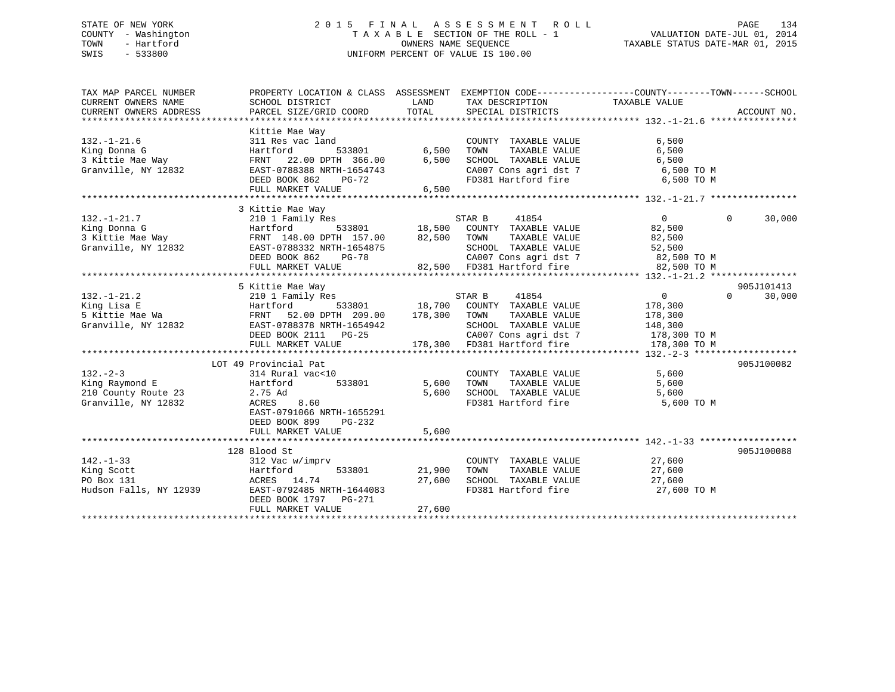## STATE OF NEW YORK 2 0 1 5 F I N A L A S S E S S M E N T R O L L PAGE 134 COUNTY - Washington T A X A B L E SECTION OF THE ROLL - 1 VALUATION DATE-JUL 01, 2014 TOWN - Hartford **TAXABLE STATUS DATE-MAR 01, 2015** OWNERS NAME SEQUENCE TAXABLE STATUS DATE-MAR 01, 2015 SWIS - 533800 UNIFORM PERCENT OF VALUE IS 100.00

| Kittie Mae Way<br>$132. - 1 - 21.6$<br>311 Res vac land<br>COUNTY TAXABLE VALUE<br>6,500<br>6,500<br>TAXABLE VALUE<br>King Donna G<br>Hartford<br>533801<br>TOWN<br>6,500<br>3 Kittie Mae Way<br>6,500<br>FRNT 22.00 DPTH 366.00<br>SCHOOL TAXABLE VALUE<br>6,500<br>$CA007$ Cons agri dst 7<br>Granville, NY 12832<br>EAST-0788388 NRTH-1654743<br>6,500 TO M<br>FD381 Hartford fire<br>DEED BOOK 862<br>$PG-72$<br>6,500 TO M<br>FULL MARKET VALUE<br>6.500<br>3 Kittie Mae Way<br>$\overline{0}$<br>$\Omega$<br>$132. - 1 - 21.7$<br>STAR B<br>41854<br>210 1 Family Res<br>18,500 COUNTY TAXABLE VALUE<br>533801<br>King Donna G<br>Hartford<br>82,500<br>3 Kittie Mae Way<br>FRNT 148.00 DPTH 157.00 82,500 TOWN<br>TAXABLE VALUE<br>82,500<br>Granville, NY 12832<br>SCHOOL TAXABLE VALUE<br>EAST-0788332 NRTH-1654875<br>52,500<br>CA007 Cons agri dst 7<br>DEED BOOK 862 PG-78<br>82,500 TO M<br>82,500 FD381 Hartford fire<br>FULL MARKET VALUE<br>82,500 TO M | EXEMPTION CODE----------------COUNTY-------TOWN------SCHOOL<br>ACCOUNT NO. |
|-------------------------------------------------------------------------------------------------------------------------------------------------------------------------------------------------------------------------------------------------------------------------------------------------------------------------------------------------------------------------------------------------------------------------------------------------------------------------------------------------------------------------------------------------------------------------------------------------------------------------------------------------------------------------------------------------------------------------------------------------------------------------------------------------------------------------------------------------------------------------------------------------------------------------------------------------------------------------|----------------------------------------------------------------------------|
|                                                                                                                                                                                                                                                                                                                                                                                                                                                                                                                                                                                                                                                                                                                                                                                                                                                                                                                                                                         |                                                                            |
|                                                                                                                                                                                                                                                                                                                                                                                                                                                                                                                                                                                                                                                                                                                                                                                                                                                                                                                                                                         | 30,000                                                                     |
| 905J101413<br>5 Kittie Mae Way                                                                                                                                                                                                                                                                                                                                                                                                                                                                                                                                                                                                                                                                                                                                                                                                                                                                                                                                          |                                                                            |
| $132. - 1 - 21.2$<br>41854<br>$\overline{0}$<br>$\Omega$<br>210 1 Family Res<br>STAR B<br>533801 18,700 COUNTY TAXABLE VALUE<br>King Lisa E<br>Hartford<br>178,300<br>178,300<br>5 Kittie Mae Wa<br>FRNT 52.00 DPTH 209.00<br>TAXABLE VALUE<br>TOWN<br>178,300<br>Granville, NY 12832<br>EAST-0788378 NRTH-1654942<br>SCHOOL TAXABLE VALUE<br>148,300<br>DEED BOOK 2111 PG-25<br>CA007 Cons agri dst 7<br>178,300 TO M<br>178,300 FD381 Hartford fire<br>FULL MARKET VALUE<br>178,300 TO M                                                                                                                                                                                                                                                                                                                                                                                                                                                                              | 30,000                                                                     |
| LOT 49 Provincial Pat                                                                                                                                                                                                                                                                                                                                                                                                                                                                                                                                                                                                                                                                                                                                                                                                                                                                                                                                                   |                                                                            |
| 905J100082<br>$132 - 2 - 3$<br>314 Rural vac<10<br>5,600<br>COUNTY TAXABLE VALUE<br>King Raymond E<br>533801<br>5,600<br>TAXABLE VALUE<br>5,600<br>Hartford<br>TOWN<br>210 County Route 23<br>SCHOOL TAXABLE VALUE<br>2.75 Ad<br>5,600<br>5,600<br>FD381 Hartford fire<br>5,600 TO M<br>Granville, NY 12832<br>ACRES<br>8.60<br>EAST-0791066 NRTH-1655291<br>DEED BOOK 899<br>PG-232<br>5,600<br>FULL MARKET VALUE                                                                                                                                                                                                                                                                                                                                                                                                                                                                                                                                                      |                                                                            |
|                                                                                                                                                                                                                                                                                                                                                                                                                                                                                                                                                                                                                                                                                                                                                                                                                                                                                                                                                                         |                                                                            |
| 128 Blood St<br>905J100088<br>$142. - 1 - 33$<br>312 Vac w/imprv<br>COUNTY TAXABLE VALUE<br>27,600<br>King Scott<br>533801<br>21,900<br>27,600<br>Hartford<br>TOWN<br>TAXABLE VALUE<br>PO Box 131<br>ACRES 14.74<br>27,600<br>SCHOOL TAXABLE VALUE<br>27,600<br>FD381 Hartford fire<br>Hudson Falls, NY 12939<br>EAST-0792485 NRTH-1644083<br>27,600 TO M<br>DEED BOOK 1797 PG-271<br>27,600<br>FULL MARKET VALUE                                                                                                                                                                                                                                                                                                                                                                                                                                                                                                                                                       |                                                                            |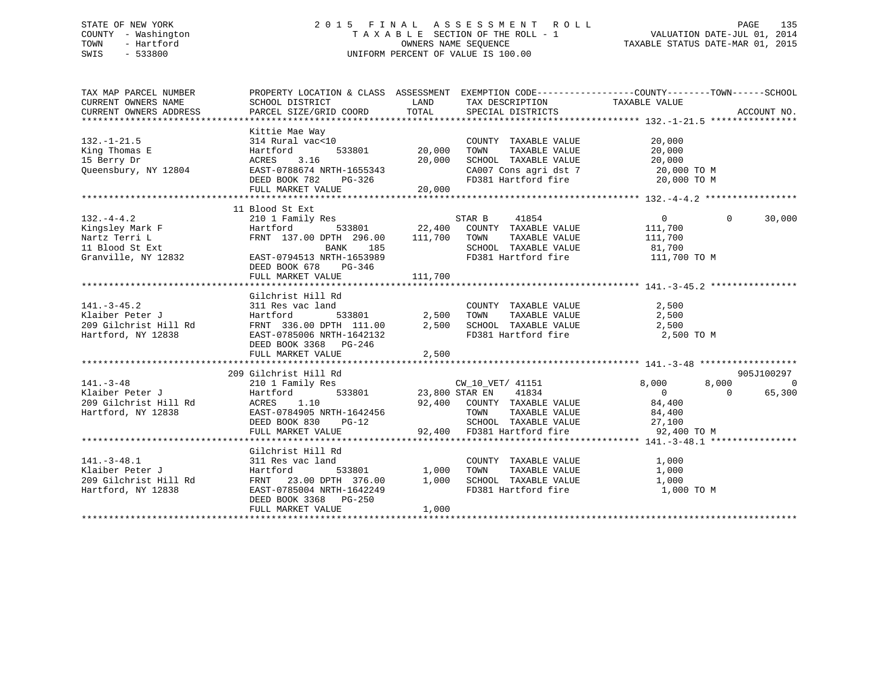## STATE OF NEW YORK 2 0 1 5 F I N A L A S S E S S M E N T R O L L PAGE 135 COUNTY - Washington T A X A B L E SECTION OF THE ROLL - 1 VALUATION DATE-JUL 01, 2014 TOWN - Hartford **TAXABLE STATUS DATE-MAR 01, 2015** OWNERS NAME SEQUENCE TAXABLE STATUS DATE-MAR 01, 2015 SWIS - 533800 UNIFORM PERCENT OF VALUE IS 100.00

| TAX MAP PARCEL NUMBER<br>CURRENT OWNERS NAME<br>CURRENT OWNERS ADDRESS                        | PROPERTY LOCATION & CLASS ASSESSMENT                                                                                                                                |                            | EXEMPTION CODE-----------------COUNTY-------TOWN------SCHOOL                                                                        |                                                                                             |                                              |
|-----------------------------------------------------------------------------------------------|---------------------------------------------------------------------------------------------------------------------------------------------------------------------|----------------------------|-------------------------------------------------------------------------------------------------------------------------------------|---------------------------------------------------------------------------------------------|----------------------------------------------|
| $132. - 1 - 21.5$<br>King Thomas E<br>15 Berry Dr<br>Queensbury, NY 12804                     | Kittie Mae Way<br>314 Rural vac<10<br>533801<br>Hartford<br>3.16<br>ACRES<br>EAST-0788674 NRTH-1655343<br>DEED BOOK 782<br>PG-326<br>FULL MARKET VALUE              | 20,000<br>20,000<br>20,000 | COUNTY TAXABLE VALUE<br>TOWN<br>TAXABLE VALUE<br>SCHOOL TAXABLE VALUE<br>CA007 Cons agri dst $7$<br>FD381 Hartford fire 20,000 TO M | 20,000<br>20,000<br>20,000<br>20,000 TO M                                                   |                                              |
|                                                                                               | 11 Blood St Ext                                                                                                                                                     |                            |                                                                                                                                     |                                                                                             |                                              |
| $132. -4 - 4.2$<br>Kingsley Mark F<br>Nartz Terri L<br>11 Blood St Ext<br>Granville, NY 12832 | 210 1 Family Res<br>Hartford<br>FRNT 137.00 DPTH 296.00<br>BANK<br>185<br>EAST-0794513 NRTH-1653989<br>DEED BOOK 678<br>PG-346                                      | 111,700                    | STAR B<br>41854<br>533801 22,400 COUNTY TAXABLE VALUE<br>TOWN<br>TAXABLE VALUE<br>SCHOOL TAXABLE VALUE<br>FD381 Hartford fire       | $\overline{0}$<br>111,700<br>111,700<br>81,700<br>111,700 TO M                              | $\Omega$<br>30,000                           |
|                                                                                               | FULL MARKET VALUE                                                                                                                                                   | 111,700                    |                                                                                                                                     |                                                                                             |                                              |
|                                                                                               |                                                                                                                                                                     |                            |                                                                                                                                     |                                                                                             |                                              |
| $141. - 3 - 45.2$<br>Klaiber Peter J<br>209 Gilchrist Hill Rd<br>Hartford, NY 12838           | Gilchrist Hill Rd<br>311 Res vac land<br>533801<br>Hartford<br>FRNT 336.00 DPTH 111.00<br>EAST-0785006 NRTH-1642132<br>DEED BOOK 3368 PG-246<br>FULL MARKET VALUE   | 2,500<br>2,500<br>2,500    | COUNTY TAXABLE VALUE<br>TOWN      TAXABLE VALUE<br>SCHOOL TAXABLE VALUE 2,500<br>FD381 Hartford fire                                | 2,500<br>2,500<br>2,500 TO M                                                                |                                              |
|                                                                                               |                                                                                                                                                                     |                            |                                                                                                                                     |                                                                                             |                                              |
| $141. - 3 - 48$<br>Klaiber Peter J<br>209 Gilchrist Hill Rd<br>Hartford, NY 12838             | 209 Gilchrist Hill Rd<br>210 1 Family Res<br>Hartford<br>ACRES<br>1.10<br>EAST-0784905 NRTH-1642456<br>DEED BOOK 830<br>$PG-12$<br>FULL MARKET VALUE                | 533801 23,800 STAR EN      | CW_10_VET/ 41151<br>41834<br>92,400 COUNTY TAXABLE VALUE<br>TOWN<br>SCHOOL TAXABLE VALUE<br>92,400 FD381 Hartford fire              | 8,000<br>8,000<br>$\overline{0}$<br>84,400<br>TAXABLE VALUE 84,400<br>27,100<br>92,400 TO M | 905J100297<br>$\Omega$<br>$\Omega$<br>65,300 |
|                                                                                               |                                                                                                                                                                     |                            |                                                                                                                                     |                                                                                             |                                              |
| $141. - 3 - 48.1$<br>Klaiber Peter J<br>209 Gilchrist Hill Rd<br>Hartford, NY 12838           | Gilchrist Hill Rd<br>311 Res vac land<br>Hartford<br>533801<br>FRNT 23.00 DPTH 376.00<br>EAST-0785004 NRTH-1642249<br>DEED BOOK 3368<br>PG-250<br>FULL MARKET VALUE | 1,000<br>1,000<br>1,000    | COUNTY TAXABLE VALUE<br>TOWN<br>TAXABLE VALUE<br>SCHOOL TAXABLE VALUE<br>FD381 Hartford fire                                        | 1,000<br>1,000<br>1,000<br>1,000 TO M                                                       |                                              |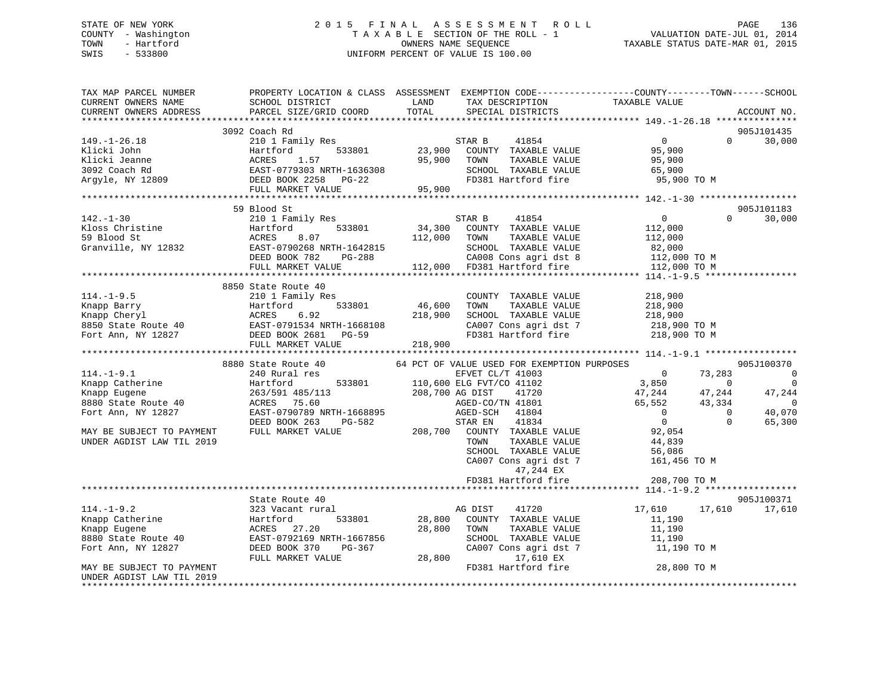## STATE OF NEW YORK 2 0 1 5 F I N A L A S S E S S M E N T R O L L PAGE 136 COUNTY - Washington T A X A B L E SECTION OF THE ROLL - 1 VALUATION DATE-JUL 01, 2014 TOWN - Hartford **TAXABLE STATUS DATE-MAR 01, 2015** OWNERS NAME SEQUENCE TAXABLE STATUS DATE-MAR 01, 2015 SWIS - 533800 UNIFORM PERCENT OF VALUE IS 100.00

| TAX MAP PARCEL NUMBER<br>CURRENT OWNERS NAME<br>CURRENT OWNERS ADDRESS                                                                                                                   | SCHOOL DISTRICT<br>PARCEL SIZE/GRID COORD                                                   | LAND<br>TOTAL   | TAX DESCRIPTION<br>SPECIAL DISTRICTS                            | PROPERTY LOCATION & CLASS ASSESSMENT EXEMPTION CODE----------------COUNTY-------TOWN-----SCHOOL<br>TAXABLE VALUE | ACCOUNT NO.    |
|------------------------------------------------------------------------------------------------------------------------------------------------------------------------------------------|---------------------------------------------------------------------------------------------|-----------------|-----------------------------------------------------------------|------------------------------------------------------------------------------------------------------------------|----------------|
|                                                                                                                                                                                          |                                                                                             |                 |                                                                 |                                                                                                                  |                |
|                                                                                                                                                                                          | 3092 Coach Rd                                                                               |                 |                                                                 |                                                                                                                  | 905J101435     |
| $149. - 1 - 26.18$                                                                                                                                                                       | 210 1 Family Res<br>Hartford 533801 23,900                                                  |                 | TAR B       41854<br>COUNTY   TAXABLE VALUE<br>STAR B           | 0<br>95,900<br>$\Omega$                                                                                          | 30,000         |
| Klicki John                                                                                                                                                                              |                                                                                             |                 |                                                                 |                                                                                                                  |                |
|                                                                                                                                                                                          |                                                                                             | 95,900          | TOWN<br>TAXABLE VALUE                                           | 95,900                                                                                                           |                |
|                                                                                                                                                                                          |                                                                                             |                 | SCHOOL TAXABLE VALUE                                            | 65,900                                                                                                           |                |
|                                                                                                                                                                                          |                                                                                             |                 | FD381 Hartford fire                                             | 95,900 TO M                                                                                                      |                |
|                                                                                                                                                                                          | FULL MARKET VALUE                                                                           | 95,900          |                                                                 |                                                                                                                  |                |
|                                                                                                                                                                                          |                                                                                             |                 |                                                                 |                                                                                                                  |                |
|                                                                                                                                                                                          | 59 Blood St                                                                                 |                 |                                                                 |                                                                                                                  | 905J101183     |
|                                                                                                                                                                                          |                                                                                             |                 | STAR B<br>41854                                                 | $\overline{0}$<br>$\Omega$                                                                                       | 30,000         |
|                                                                                                                                                                                          |                                                                                             | 533801 34,300   | COUNTY TAXABLE VALUE                                            | 112,000                                                                                                          |                |
|                                                                                                                                                                                          |                                                                                             |                 | TOWN<br>TAXABLE VALUE<br>SCHOOL TAXABLE VALUE                   | 112,000                                                                                                          |                |
|                                                                                                                                                                                          |                                                                                             |                 |                                                                 | 82,000<br>112,000 TO M                                                                                           |                |
| 142.-1-30<br>Kloss Christine Hartford 533801 59<br>Blood St ACRES 8.07 112,000<br>Granville, NY 12832 EAST-0790268 NRTH-1642815<br>DEED BOOK 782 PG-288<br>THE MATHE VALUE VALUE 112,000 | DEED BOOK 782 PG-288 CA008 Cons agri dst 8<br>FULL MARKET VALUE 112,000 FD381 Hartford fire |                 |                                                                 | 112,000 TO M                                                                                                     |                |
|                                                                                                                                                                                          |                                                                                             |                 |                                                                 |                                                                                                                  |                |
|                                                                                                                                                                                          | 8850 State Route 40                                                                         |                 |                                                                 |                                                                                                                  |                |
| $114. - 1 - 9.5$                                                                                                                                                                         | 210 1 Family Res                                                                            |                 | COUNTY TAXABLE VALUE                                            | 218,900                                                                                                          |                |
|                                                                                                                                                                                          |                                                                                             |                 | TAXABLE VALUE<br>TOWN                                           | 218,900                                                                                                          |                |
|                                                                                                                                                                                          |                                                                                             |                 | SCHOOL TAXABLE VALUE                                            | 218,900                                                                                                          |                |
|                                                                                                                                                                                          |                                                                                             |                 |                                                                 |                                                                                                                  |                |
|                                                                                                                                                                                          |                                                                                             |                 |                                                                 | CA007 Cons agri dst 7 218,900 TO M<br>FD381 Hartford fire 218,900 TO M                                           |                |
| 114.-1-9.5<br>Xnapp Barry Hartford 533801 46,600<br>Xnapp Cheryl ACRES 6.92<br>8850 State Route 40<br>Fort Ann, NY 12827 DEED BOOK 2681 PG-59<br>FULL MARKET VALUE<br>PULL MARKET VALUE  |                                                                                             |                 |                                                                 |                                                                                                                  |                |
|                                                                                                                                                                                          |                                                                                             |                 |                                                                 |                                                                                                                  |                |
|                                                                                                                                                                                          | 8880 State Route 40                                                                         |                 | 64 PCT OF VALUE USED FOR EXEMPTION PURPOSES                     |                                                                                                                  | 905J100370     |
| $114.-1-9.1$                                                                                                                                                                             | 240 Rural res                                                                               |                 | EFVET CL/T 41003                                                | $\overline{0}$<br>73,283                                                                                         | $\overline{0}$ |
| Knapp Catherine                                                                                                                                                                          | Hartford                                                                                    |                 | 533801 110,600 ELG FVT/CO 41102 3,850                           | $\overline{0}$                                                                                                   | $\overline{0}$ |
| Knapp Eugene                                                                                                                                                                             | 263/591 485/113                                                                             | 208,700 AG DIST | AG DIST 41720<br>AGED-CO/TN 41801                               | 47,244<br>47,244                                                                                                 | 47,244         |
| 8880 State Route 40                                                                                                                                                                      | ACRES 75.60                                                                                 |                 |                                                                 | 65,552<br>43,334                                                                                                 | $\Omega$       |
| Fort Ann, NY 12827                                                                                                                                                                       | EAST-0790789 NRTH-1668895                                                                   |                 | AGED-SCH 41804                                                  | $\overline{0}$<br>$\sim$ 0                                                                                       | 40,070         |
|                                                                                                                                                                                          | DEED BOOK 263<br>PG-582                                                                     |                 | AGED-SCH 41804<br>STAR EN 41834<br>208,700 COUNTY TAXABLE VALUE | $\overline{0}$<br>$\Omega$                                                                                       | 65,300         |
| MAY BE SUBJECT TO PAYMENT                                                                                                                                                                | FULL MARKET VALUE                                                                           |                 |                                                                 | 92,054                                                                                                           |                |
| UNDER AGDIST LAW TIL 2019                                                                                                                                                                |                                                                                             |                 | TOWN      TAXABLE VALUE<br>SCHOOL   TAXABLE VALUE               | 44,839                                                                                                           |                |
|                                                                                                                                                                                          |                                                                                             |                 |                                                                 | SCHOOL TAXABLE VALUE<br>CA007 Cons agri dst 7 56,086<br>47 244 EV 161,456 TO M<br>47 244 EV                      |                |
|                                                                                                                                                                                          |                                                                                             |                 |                                                                 |                                                                                                                  |                |
|                                                                                                                                                                                          |                                                                                             |                 | 47,244 EX                                                       |                                                                                                                  |                |
|                                                                                                                                                                                          |                                                                                             |                 | FD381 Hartford fire                                             | 208,700 TO M                                                                                                     |                |
|                                                                                                                                                                                          |                                                                                             |                 |                                                                 |                                                                                                                  |                |
| $114. - 1 - 9.2$                                                                                                                                                                         | State Route 40                                                                              |                 |                                                                 |                                                                                                                  | 905J100371     |
|                                                                                                                                                                                          | 323 Vacant rural<br>533801<br>Hartford                                                      |                 | AG DIST<br>41720<br>28,800 COUNTY TAXABLE VALUE                 | 17,610<br>17,610                                                                                                 | 17,610         |
| Xnapp Catherine<br>Eugene                                                                                                                                                                | ACRES 27.20                                                                                 | 28,800 TOWN     | TAXABLE VALUE                                                   | 11,190<br>11,190                                                                                                 |                |
| 8880 State Route 40                                                                                                                                                                      | EAST-0792169 NRTH-1667856                                                                   |                 | SCHOOL TAXABLE VALUE                                            | 11,190                                                                                                           |                |
| Fort Ann, NY 12827                                                                                                                                                                       | DEED BOOK 370<br>PG-367                                                                     |                 | CA007 Cons agri dst 7                                           | 11,190 TO M                                                                                                      |                |
|                                                                                                                                                                                          | FULL MARKET VALUE                                                                           | 28,800          | 17,610 EX                                                       |                                                                                                                  |                |
| MAY BE SUBJECT TO PAYMENT                                                                                                                                                                |                                                                                             |                 | FD381 Hartford fire                                             | 28,800 TO M                                                                                                      |                |
| UNDER AGDIST LAW TIL 2019                                                                                                                                                                |                                                                                             |                 |                                                                 |                                                                                                                  |                |
|                                                                                                                                                                                          |                                                                                             |                 |                                                                 |                                                                                                                  |                |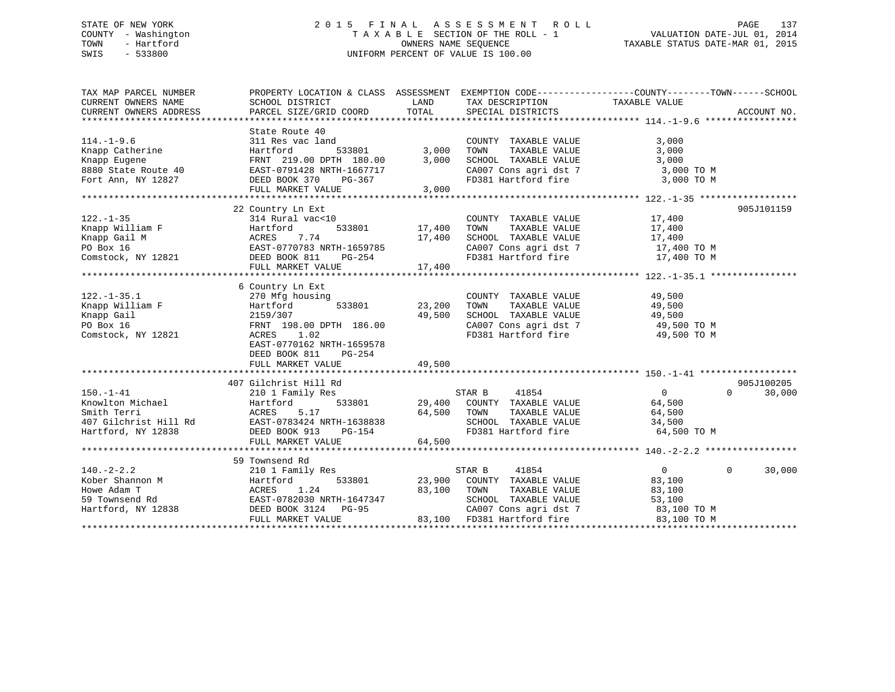## STATE OF NEW YORK 2 0 1 5 F I N A L A S S E S S M E N T R O L L PAGE 137 COUNTY - Washington T A X A B L E SECTION OF THE ROLL - 1 VALUATION DATE-JUL 01, 2014 TOWN - Hartford **TAXABLE STATUS DATE-MAR 01, 2015** OWNERS NAME SEQUENCE TAXABLE STATUS DATE-MAR 01, 2015 SWIS - 533800 UNIFORM PERCENT OF VALUE IS 100.00

| TAX MAP PARCEL NUMBER                                                                                                                                                   | PROPERTY LOCATION & CLASS ASSESSMENT EXEMPTION CODE----------------COUNTY-------TOWN-----SCHOOL |             |                                                      |                            |                    |
|-------------------------------------------------------------------------------------------------------------------------------------------------------------------------|-------------------------------------------------------------------------------------------------|-------------|------------------------------------------------------|----------------------------|--------------------|
| CURRENT OWNERS NAME                                                                                                                                                     | SCHOOL DISTRICT                                                                                 | LAND        | TAX DESCRIPTION                                      | TAXABLE VALUE              |                    |
| CURRENT OWNERS ADDRESS                                                                                                                                                  | PARCEL SIZE/GRID COORD                                                                          | TOTAL       | SPECIAL DISTRICTS                                    |                            | ACCOUNT NO.        |
|                                                                                                                                                                         |                                                                                                 |             |                                                      |                            |                    |
|                                                                                                                                                                         | State Route 40                                                                                  |             |                                                      |                            |                    |
| $114. - 1 - 9.6$                                                                                                                                                        | 311 Res vac land                                                                                |             | COUNTY TAXABLE VALUE                                 | 3,000                      |                    |
| Knapp Catherine                                                                                                                                                         | Hartford<br>533801                                                                              | 3,000       | TAXABLE VALUE<br>TOWN                                | 3,000                      |                    |
| Knapp Eugene                                                                                                                                                            | FRNT 219.00 DPTH 180.00                                                                         | 3,000       | SCHOOL TAXABLE VALUE                                 | 3,000                      |                    |
| 8880 State Route 40 EAST-0791428 NRTH-1667717<br>Fort Ann, NY 12827 DEED BOOK 370 PG-367                                                                                |                                                                                                 |             | CA007 Cons agri dst 7                                | 3,000 TO M                 |                    |
| Fort Ann, NY 12827                                                                                                                                                      | DEED BOOK 370                                                                                   |             | FD381 Hartford fire                                  | 3,000 TO M                 |                    |
|                                                                                                                                                                         | FULL MARKET VALUE                                                                               | 3,000       |                                                      |                            |                    |
|                                                                                                                                                                         |                                                                                                 |             |                                                      |                            |                    |
|                                                                                                                                                                         | 22 Country Ln Ext                                                                               |             |                                                      |                            | 905J101159         |
| $122. - 1 - 35$                                                                                                                                                         | 314 Rural vac<10                                                                                |             | COUNTY TAXABLE VALUE 17,400                          |                            |                    |
| دد-1-د<br>Knapp William F<br>مانیہ                                                                                                                                      |                                                                                                 | 17,400      |                                                      | 17,400                     |                    |
|                                                                                                                                                                         |                                                                                                 | 17,400      | TOWN      TAXABLE  VALUE<br>SCHOOL    TAXABLE  VALUE | 17,400                     |                    |
|                                                                                                                                                                         |                                                                                                 |             | CA007 Cons agri dst 7 17,400 TO M                    |                            |                    |
| Example William F (Example 2013)<br>Example 2013 M (EXAMPLE 2014)<br>PO Box 16 (EXAMPLE 2014)<br>EXAST-0770783 NRTH-1659785<br>Comstock, NY 12821 (DEED BOOK 811 PG-254 |                                                                                                 |             | FD381 Hartford fire                                  | 17,400 TO M                |                    |
|                                                                                                                                                                         | FULL MARKET VALUE                                                                               | 17,400      |                                                      |                            |                    |
|                                                                                                                                                                         |                                                                                                 |             |                                                      |                            |                    |
|                                                                                                                                                                         | 6 Country Ln Ext                                                                                |             |                                                      |                            |                    |
| $122. - 1 - 35.1$                                                                                                                                                       | 270 Mfg housing                                                                                 |             | COUNTY TAXABLE VALUE                                 | 49,500                     |                    |
| Knapp William F                                                                                                                                                         | Hartford<br>533801                                                                              | 23,200      | TOWN<br>TAXABLE VALUE                                | 49,500                     |                    |
| Knapp Gail                                                                                                                                                              | 2159/307                                                                                        | 49,500      | SCHOOL TAXABLE VALUE                                 | 49,500                     |                    |
| PO Box 16                                                                                                                                                               | FRNT 198.00 DPTH 186.00                                                                         |             | CA007 Cons agri dst 7                                | 49,500 TO M                |                    |
| Comstock, NY 12821                                                                                                                                                      | ACRES 1.02                                                                                      |             | FD381 Hartford fire                                  | 49,500 TO M                |                    |
|                                                                                                                                                                         | EAST-0770162 NRTH-1659578                                                                       |             |                                                      |                            |                    |
|                                                                                                                                                                         | DEED BOOK 811<br>PG-254                                                                         |             |                                                      |                            |                    |
|                                                                                                                                                                         | FULL MARKET VALUE                                                                               | 49,500      |                                                      |                            |                    |
|                                                                                                                                                                         |                                                                                                 |             |                                                      |                            |                    |
|                                                                                                                                                                         | 407 Gilchrist Hill Rd                                                                           |             |                                                      |                            | 905J100205         |
| $150. - 1 - 41$                                                                                                                                                         | 210 1 Family Res                                                                                |             | STAR B<br>41854                                      | $\overline{0}$<br>$\Omega$ | 30,000             |
| Knowlton Michael                                                                                                                                                        | 533801<br>Hartford                                                                              |             | 29,400 COUNTY TAXABLE VALUE                          | 64,500                     |                    |
| Smith Terri                                                                                                                                                             |                                                                                                 | 64,500      | TOWN<br>TAXABLE VALUE                                | 64,500                     |                    |
| Smith Terri<br>407 Gilchrist Hill Rd<br>EAST-0783424 NRTH-1638838                                                                                                       |                                                                                                 |             | SCHOOL TAXABLE VALUE                                 | 34,500                     |                    |
| Hartford, NY 12838                                                                                                                                                      | DEED BOOK 913<br>PG-154                                                                         |             | FD381 Hartford fire                                  | 64,500 TO M                |                    |
|                                                                                                                                                                         | FULL MARKET VALUE                                                                               | 64,500      |                                                      |                            |                    |
|                                                                                                                                                                         |                                                                                                 |             |                                                      |                            |                    |
|                                                                                                                                                                         | 59 Townsend Rd                                                                                  |             |                                                      |                            |                    |
| $140. -2 - 2.2$                                                                                                                                                         | 210 1 Family Res                                                                                |             | STAR B<br>41854                                      | $\overline{0}$             | $\Omega$<br>30,000 |
| Kober Shannon M                                                                                                                                                         | 533801<br>Hartford                                                                              |             | 23,900 COUNTY TAXABLE VALUE                          | 83,100                     |                    |
| Howe Adam T                                                                                                                                                             | 1.24<br>ACRES                                                                                   | 83,100 TOWN | TAXABLE VALUE                                        | 83,100                     |                    |
| 59 Townsend Rd                                                                                                                                                          | EAST-0782030 NRTH-1647347                                                                       |             | SCHOOL TAXABLE VALUE                                 | 53,100                     |                    |
| Hartford, NY 12838                                                                                                                                                      | DEED BOOK 3124 PG-95                                                                            |             | CA007 Cons agri dst 7                                | 83,100 TO M                |                    |
|                                                                                                                                                                         | FULL MARKET VALUE                                                                               |             | 83,100 FD381 Hartford fire                           | 83,100 TO M                |                    |
|                                                                                                                                                                         |                                                                                                 |             |                                                      |                            |                    |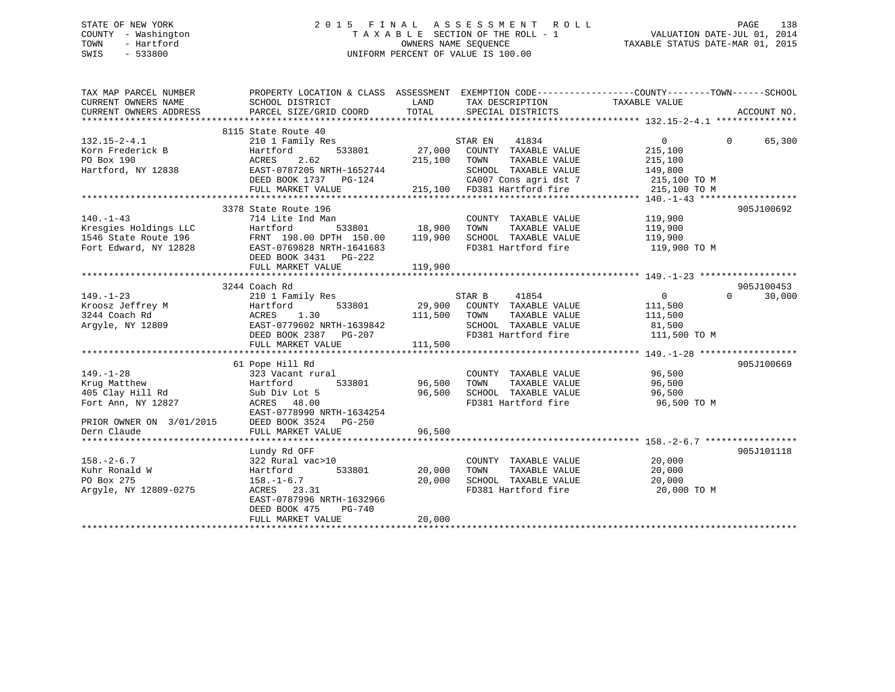## STATE OF NEW YORK 2 0 1 5 F I N A L A S S E S S M E N T R O L L PAGE 138 COUNTY - Washington T A X A B L E SECTION OF THE ROLL - 1 VALUATION DATE-JUL 01, 2014 TOWN - Hartford **TAXABLE STATUS DATE-MAR 01, 2015** OWNERS NAME SEQUENCE TAXABLE STATUS DATE-MAR 01, 2015 SWIS - 533800 UNIFORM PERCENT OF VALUE IS 100.00

| TAX MAP PARCEL NUMBER<br>CURRENT OWNERS NAME<br>CURRENT OWNERS ADDRESS | PROPERTY LOCATION & CLASS ASSESSMENT EXEMPTION CODE---------------COUNTY-------TOWN-----SCHOOL<br>SCHOOL DISTRICT<br>PARCEL SIZE/GRID COORD | LAND<br>TOTAL            | TAX DESCRIPTION TAXABLE VALUE<br>SPECIAL DISTRICTS |                        | ACCOUNT NO.            |
|------------------------------------------------------------------------|---------------------------------------------------------------------------------------------------------------------------------------------|--------------------------|----------------------------------------------------|------------------------|------------------------|
|                                                                        | 8115 State Route 40                                                                                                                         |                          |                                                    |                        |                        |
| $132.15 - 2 - 4.1$                                                     | 210 1 Family Res                                                                                                                            |                          | STAR EN<br>41834                                   | $\overline{0}$         | $\Omega$<br>65,300     |
| Korn Frederick B                                                       | 533801<br>Hartford                                                                                                                          | 27,000                   | COUNTY TAXABLE VALUE                               | 215,100                |                        |
| PO Box 190                                                             | 2.62<br>ACRES                                                                                                                               | 215,100                  | TAXABLE VALUE<br>TOWN                              | 215,100                |                        |
| Hartford, NY 12838                                                     | EAST-0787205 NRTH-1652744                                                                                                                   |                          | SCHOOL TAXABLE VALUE                               | 149,800                |                        |
|                                                                        | DEED BOOK 1737    PG-124                                                                                                                    |                          | CA007 Cons agri dst 7                              | 215,100 TO M           |                        |
|                                                                        | FULL MARKET VALUE                                                                                                                           | 215,100                  | FD381 Hartford fire                                | 215,100 TO M           |                        |
|                                                                        |                                                                                                                                             |                          |                                                    |                        |                        |
|                                                                        | 3378 State Route 196                                                                                                                        |                          |                                                    |                        | 905J100692             |
| $140. - 1 - 43$                                                        | 714 Lite Ind Man                                                                                                                            |                          | COUNTY TAXABLE VALUE                               | 119,900                |                        |
| Kresgies Holdings LLC                                                  | 533801<br>Hartford                                                                                                                          | $18,900$<br>00 $119,900$ | TOWN<br>TAXABLE VALUE                              | 119,900                |                        |
| 1546 State Route 196                                                   | FRNT 198.00 DPTH 150.00                                                                                                                     |                          | SCHOOL TAXABLE VALUE                               | 119,900                |                        |
| Fort Edward, NY 12828                                                  | EAST-0769828 NRTH-1641683                                                                                                                   |                          | FD381 Hartford fire                                | 119,900 TO M           |                        |
|                                                                        | DEED BOOK 3431 PG-222                                                                                                                       |                          |                                                    |                        |                        |
|                                                                        | FULL MARKET VALUE                                                                                                                           | 119,900                  |                                                    |                        |                        |
|                                                                        |                                                                                                                                             |                          |                                                    |                        |                        |
|                                                                        | 3244 Coach Rd                                                                                                                               |                          |                                                    |                        | 905J100453<br>$\Omega$ |
| $149. - 1 - 23$                                                        | 210 1 Family Res                                                                                                                            |                          | STAR B<br>41854                                    | $\mathbf{0}$           | 30,000                 |
| Kroosz Jeffrey M                                                       | 533801<br>Hartford                                                                                                                          | 29,900                   | COUNTY TAXABLE VALUE                               | 111,500                |                        |
| 3244 Coach Rd                                                          | 1.30<br>ACRES<br>EAST-0779602 NRTH-1639842                                                                                                  | 111,500                  | TOWN<br>TAXABLE VALUE<br>SCHOOL TAXABLE VALUE      | 111,500                |                        |
| Argyle, NY 12809                                                       | DEED BOOK 2387 PG-207                                                                                                                       |                          | FD381 Hartford fire                                | 81,500<br>111,500 TO M |                        |
|                                                                        | FULL MARKET VALUE                                                                                                                           | 111,500                  |                                                    |                        |                        |
|                                                                        |                                                                                                                                             |                          |                                                    |                        |                        |
|                                                                        | 61 Pope Hill Rd                                                                                                                             |                          |                                                    |                        | 905J100669             |
| $149. - 1 - 28$                                                        | 323 Vacant rural                                                                                                                            |                          | COUNTY TAXABLE VALUE                               | 96,500                 |                        |
| Krug Matthew                                                           | 533801<br>Hartford                                                                                                                          | 96,500                   | TOWN<br>TAXABLE VALUE                              | 96,500                 |                        |
| 405 Clay Hill Rd                                                       | Sub Div Lot 5                                                                                                                               | 96,500                   | SCHOOL TAXABLE VALUE                               | 96,500                 |                        |
| Fort Ann, NY 12827                                                     | ACRES 48.00                                                                                                                                 |                          | FD381 Hartford fire                                | 96,500 TO M            |                        |
|                                                                        | EAST-0778990 NRTH-1634254                                                                                                                   |                          |                                                    |                        |                        |
| PRIOR OWNER ON 3/01/2015                                               | DEED BOOK 3524 PG-250                                                                                                                       |                          |                                                    |                        |                        |
| Dern Claude                                                            | FULL MARKET VALUE                                                                                                                           | 96,500                   |                                                    |                        |                        |
|                                                                        |                                                                                                                                             |                          |                                                    |                        |                        |
|                                                                        | Lundy Rd OFF                                                                                                                                |                          |                                                    |                        | 905J101118             |
| $158. - 2 - 6.7$                                                       | 322 Rural vac>10                                                                                                                            |                          | COUNTY TAXABLE VALUE                               | 20,000                 |                        |
| Kuhr Ronald W                                                          | 533801<br>Hartford                                                                                                                          | 20,000                   | TAXABLE VALUE<br>TOWN                              | 20,000                 |                        |
| PO Box 275                                                             | $158. - 1 - 6.7$                                                                                                                            | 20,000                   | SCHOOL TAXABLE VALUE                               | 20,000                 |                        |
| Argyle, NY 12809-0275                                                  | ACRES 23.31                                                                                                                                 |                          | FD381 Hartford fire                                | 20,000 TO M            |                        |
|                                                                        | EAST-0787996 NRTH-1632966                                                                                                                   |                          |                                                    |                        |                        |
|                                                                        | DEED BOOK 475<br>PG-740                                                                                                                     |                          |                                                    |                        |                        |
|                                                                        | FULL MARKET VALUE                                                                                                                           | 20,000                   |                                                    |                        |                        |
|                                                                        |                                                                                                                                             |                          |                                                    |                        |                        |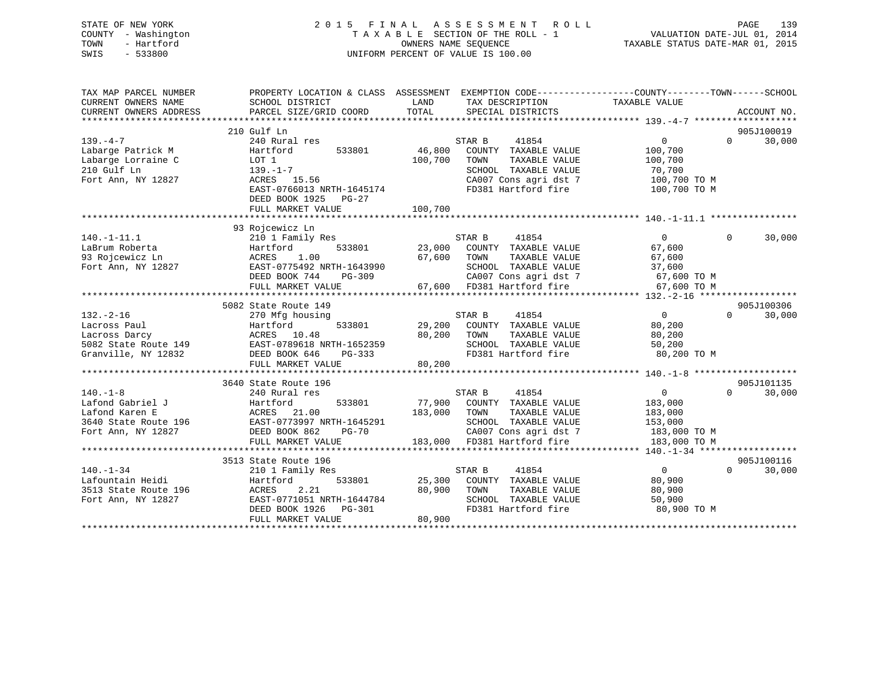## STATE OF NEW YORK 2 0 1 5 F I N A L A S S E S S M E N T R O L L PAGE 139 COUNTY - Washington T A X A B L E SECTION OF THE ROLL - 1 VALUATION DATE-JUL 01, 2014 TOWN - Hartford **TAXABLE STATUS DATE-MAR 01, 2015** OWNERS NAME SEQUENCE TAXABLE STATUS DATE-MAR 01, 2015 SWIS - 533800 UNIFORM PERCENT OF VALUE IS 100.00

| TAX MAP PARCEL NUMBER<br>CURRENT OWNERS NAME<br>CURRENT OWNERS ADDRESS                            | PROPERTY LOCATION & CLASS ASSESSMENT EXEMPTION CODE----------------COUNTY-------TOWN-----SCHOOL<br>SCHOOL DISTRICT<br>PARCEL SIZE/GRID COORD                                | LAND<br>TOTAL                | TAX DESCRIPTION<br>SPECIAL DISTRICTS                                                                                                            | TAXABLE VALUE                                                                   |          | ACCOUNT NO.          |
|---------------------------------------------------------------------------------------------------|-----------------------------------------------------------------------------------------------------------------------------------------------------------------------------|------------------------------|-------------------------------------------------------------------------------------------------------------------------------------------------|---------------------------------------------------------------------------------|----------|----------------------|
| $139. -4 -7$<br>Labarge Patrick M<br>Labarge Lorraine C<br>210 Gulf Ln<br>Fort Ann, NY 12827      | 210 Gulf Ln<br>240 Rural res<br>Hartford<br>533801<br>LOT 1<br>$139. - 1 - 7$<br>ACRES 15.56<br>EAST-0766013 NRTH-1645174<br>DEED BOOK 1925<br>$PG-27$<br>FULL MARKET VALUE | 46,800<br>100,700<br>100,700 | 41854<br>STAR B<br>COUNTY TAXABLE VALUE<br>TOWN<br>TAXABLE VALUE<br>SCHOOL TAXABLE VALUE<br>CA007 Cons agri dst 7<br>FD381 Hartford fire        | $\Omega$<br>100,700<br>100,700<br>70,700<br>100,700 TO M<br>100,700 TO M        | $\Omega$ | 905J100019<br>30,000 |
| $140. - 1 - 11.1$<br>LaBrum Roberta<br>93 Rojcewicz Ln<br>Fort Ann, NY 12827                      | 93 Rojcewicz Ln<br>210 1 Family Res<br>Hartford<br>533801<br>1.00<br>ACRES<br>EAST-0775492 NRTH-1643990<br>DEED BOOK 744<br>$PG-309$<br>FULL MARKET VALUE                   | 23,000<br>67,600             | STAR B<br>41854<br>COUNTY TAXABLE VALUE<br>TOWN<br>TAXABLE VALUE<br>SCHOOL TAXABLE VALUE<br>CA007 Cons agri dst 7<br>67,600 FD381 Hartford fire | $\Omega$<br>67,600<br>67,600<br>37,600<br>67,600 TO M<br>67,600 TO M            | $\Omega$ | 30,000               |
| $132. - 2 - 16$<br>Lacross Paul<br>Lacross Darcy<br>5082 State Route 149<br>Granville, NY 12832   | 5082 State Route 149<br>270 Mfg housing<br>533801<br>Hartford<br>ACRES 10.48<br>EAST-0789618 NRTH-1652359<br>DEED BOOK 646<br>PG-333<br>FULL MARKET VALUE                   | 29,200<br>80,200<br>80,200   | 41854<br>STAR B<br>COUNTY TAXABLE VALUE<br>TOWN<br>TAXABLE VALUE<br>SCHOOL TAXABLE VALUE<br>FD381 Hartford fire                                 | $\Omega$<br>80,200<br>80,200<br>50,200<br>80,200 TO M                           | $\Omega$ | 905J100306<br>30,000 |
| $140. -1 - 8$<br>Lafond Gabriel J<br>Lafond Karen E<br>3640 State Route 196<br>Fort Ann, NY 12827 | 3640 State Route 196<br>240 Rural res<br>Hartford<br>533801<br>ACRES 21.00<br>EAST-0773997 NRTH-1645291<br>DEED BOOK 862<br><b>PG-70</b><br>FULL MARKET VALUE               | 77,900<br>183,000<br>183,000 | 41854<br>STAR B<br>COUNTY TAXABLE VALUE<br>TAXABLE VALUE<br>TOWN<br>SCHOOL TAXABLE VALUE<br>CA007 Cons agri dst 7<br>FD381 Hartford fire        | $\overline{0}$<br>183,000<br>183,000<br>153,000<br>183,000 TO M<br>183,000 TO M | $\Omega$ | 905J101135<br>30,000 |
| $140. - 1 - 34$<br>Lafountain Heidi<br>3513 State Route 196<br>Fort Ann, NY 12827                 | 3513 State Route 196<br>210 1 Family Res<br>533801<br>Hartford<br>ACRES<br>2.21<br>EAST-0771051 NRTH-1644784<br>DEED BOOK 1926<br>PG-301<br>FULL MARKET VALUE               | 25,300<br>80,900<br>80,900   | 41854<br>STAR B<br>COUNTY TAXABLE VALUE<br>TOWN<br>TAXABLE VALUE<br>SCHOOL TAXABLE VALUE<br>FD381 Hartford fire                                 | $\overline{0}$<br>80,900<br>80,900<br>50,900<br>80,900 TO M                     | $\Omega$ | 905J100116<br>30,000 |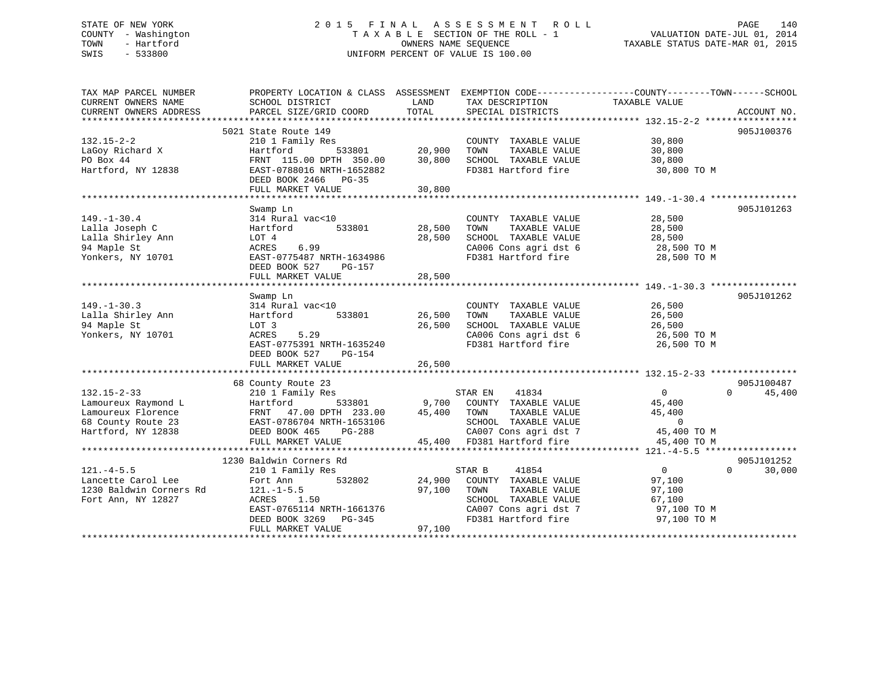## STATE OF NEW YORK 2 0 1 5 F I N A L A S S E S S M E N T R O L L PAGE 140 COUNTY - Washington T A X A B L E SECTION OF THE ROLL - 1 VALUATION DATE-JUL 01, 2014 TOWN - Hartford **TAXABLE STATUS DATE-MAR 01, 2015** OWNERS NAME SEQUENCE TAXABLE STATUS DATE-MAR 01, 2015 SWIS - 533800 UNIFORM PERCENT OF VALUE IS 100.00

| TAX MAP PARCEL NUMBER   |                                |               |                            | PROPERTY LOCATION & CLASS ASSESSMENT EXEMPTION CODE---------------COUNTY-------TOWN------SCHOOL |             |
|-------------------------|--------------------------------|---------------|----------------------------|-------------------------------------------------------------------------------------------------|-------------|
| CURRENT OWNERS NAME     | SCHOOL DISTRICT                | LAND          | TAX DESCRIPTION            | TAXABLE VALUE                                                                                   |             |
| CURRENT OWNERS ADDRESS  | PARCEL SIZE/GRID COORD         | TOTAL         | SPECIAL DISTRICTS          |                                                                                                 | ACCOUNT NO. |
|                         | 5021 State Route 149           |               |                            |                                                                                                 | 905J100376  |
| $132.15 - 2 - 2$        | 210 1 Family Res               |               | COUNTY TAXABLE VALUE       | 30,800                                                                                          |             |
| LaGoy Richard X         | Hartford                       | 533801 20,900 | TOWN<br>TAXABLE VALUE      | 30,800                                                                                          |             |
| PO Box 44               | FRNT 115.00 DPTH 350.00 30,800 |               | SCHOOL TAXABLE VALUE       | 30,800                                                                                          |             |
| Hartford, NY 12838      | EAST-0788016 NRTH-1652882      |               | FD381 Hartford fire        | 30,800 TO M                                                                                     |             |
|                         | DEED BOOK 2466 PG-35           |               |                            |                                                                                                 |             |
|                         | FULL MARKET VALUE              | 30,800        |                            |                                                                                                 |             |
|                         |                                |               |                            |                                                                                                 |             |
|                         | Swamp Ln                       |               |                            |                                                                                                 | 905J101263  |
| $149. - 1 - 30.4$       | 314 Rural vac<10               |               | COUNTY TAXABLE VALUE       | 28,500                                                                                          |             |
| Lalla Joseph C          | 533801<br>Hartford             | 28,500        | TOWN<br>TAXABLE VALUE      | 28,500                                                                                          |             |
| Lalla Shirley Ann       | LOT 4                          | 28,500        | SCHOOL TAXABLE VALUE       | 28,500                                                                                          |             |
| 94 Maple St             | ACRES<br>6.99                  |               | CA006 Cons agri dst 6      | 28,500 TO M                                                                                     |             |
| Yonkers, NY 10701       | EAST-0775487 NRTH-1634986      |               | FD381 Hartford fire        | 28,500 TO M                                                                                     |             |
|                         | DEED BOOK 527<br>PG-157        |               |                            |                                                                                                 |             |
|                         | FULL MARKET VALUE              | 28,500        |                            |                                                                                                 |             |
|                         |                                |               |                            |                                                                                                 |             |
|                         | Swamp Ln                       |               |                            |                                                                                                 | 905J101262  |
| $149. - 1 - 30.3$       | 314 Rural vac<10               |               | COUNTY TAXABLE VALUE       | 26,500                                                                                          |             |
| Lalla Shirley Ann       | 533801<br>Hartford             | 26,500        | TOWN<br>TAXABLE VALUE      | 26,500                                                                                          |             |
| 94 Maple St             | LOT 3                          | 26,500        | SCHOOL TAXABLE VALUE       | 26,500                                                                                          |             |
| Yonkers, NY 10701       | 5.29<br>ACRES                  |               | CA006 Cons agri dst 6      | $26,500$ TO M<br>$26,500$ TO M                                                                  |             |
|                         | EAST-0775391 NRTH-1635240      |               | FD381 Hartford fire        | 26,500 TO M                                                                                     |             |
|                         | DEED BOOK 527<br>PG-154        |               |                            |                                                                                                 |             |
|                         | FULL MARKET VALUE              | 26,500        |                            |                                                                                                 |             |
|                         |                                |               |                            |                                                                                                 |             |
|                         | 68 County Route 23             |               |                            |                                                                                                 | 905J100487  |
| $132.15 - 2 - 33$       | 210 1 Family Res               |               | STAR EN<br>41834           | $0 \qquad \qquad$<br>$\Omega$                                                                   | 45,400      |
| Lamoureux Raymond L     | Hartford<br>533801             |               | 9,700 COUNTY TAXABLE VALUE | 45,400                                                                                          |             |
| Lamoureux Florence      | 47.00 DPTH 233.00<br>FRNT      | 45,400        | TOWN<br>TAXABLE VALUE      | 45,400                                                                                          |             |
| 68 County Route 23      | EAST-0786704 NRTH-1653106      |               | SCHOOL TAXABLE VALUE       | $\overline{0}$                                                                                  |             |
| Hartford, NY 12838      | DEED BOOK 465<br>PG-288        |               | $CAO07$ Cons agri dst 7    | 45,400 TO M                                                                                     |             |
|                         | FULL MARKET VALUE              |               | 45,400 FD381 Hartford fire | 45,400 TO M                                                                                     |             |
|                         |                                |               |                            |                                                                                                 |             |
|                         | 1230 Baldwin Corners Rd        |               |                            |                                                                                                 | 905J101252  |
| $121. -4 - 5.5$         | 210 1 Family Res               |               | 41854<br>STAR B            | $\overline{0}$<br>$\Omega$                                                                      | 30,000      |
| Lancette Carol Lee      | 532802<br>Fort Ann             | 24,900        | COUNTY TAXABLE VALUE       | 97,100                                                                                          |             |
| 1230 Baldwin Corners Rd | $121. - 1 - 5.5$               | 97,100        | TOWN<br>TAXABLE VALUE      | 97,100                                                                                          |             |
| Fort Ann, NY 12827      | ACRES 1.50                     |               | SCHOOL TAXABLE VALUE       | 67,100                                                                                          |             |
|                         | EAST-0765114 NRTH-1661376      |               | CA007 Cons agri dst 7      | 97,100 TO M                                                                                     |             |
|                         | DEED BOOK 3269 PG-345          |               | FD381 Hartford fire        | 97,100 TO M                                                                                     |             |
|                         | FULL MARKET VALUE              | 97,100        |                            |                                                                                                 |             |
|                         |                                |               |                            |                                                                                                 |             |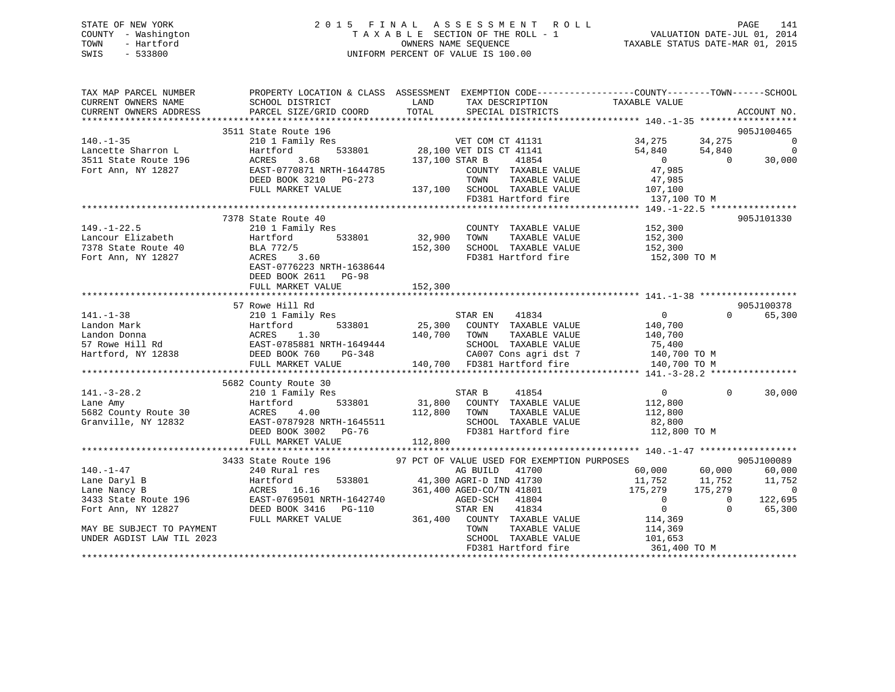## STATE OF NEW YORK 2 0 1 5 F I N A L A S S E S S M E N T R O L L PAGE 141 COUNTY - Washington T A X A B L E SECTION OF THE ROLL - 1 VALUATION DATE-JUL 01, 2014 TOWN - Hartford **TAXABLE STATUS DATE-MAR 01, 2015** OWNERS NAME SEQUENCE TAXABLE STATUS DATE-MAR 01, 2015 SWIS - 533800 UNIFORM PERCENT OF VALUE IS 100.00

| TAX MAP PARCEL NUMBER<br>CURRENT OWNERS NAME                                 | PROPERTY LOCATION & CLASS ASSESSMENT EXEMPTION CODE---------------COUNTY-------TOWN-----SCHOOL<br>SCHOOL DISTRICT                                             | LAND           | TAX DESCRIPTION                             | TAXABLE VALUE                      |                           |
|------------------------------------------------------------------------------|---------------------------------------------------------------------------------------------------------------------------------------------------------------|----------------|---------------------------------------------|------------------------------------|---------------------------|
| CURRENT OWNERS ADDRESS                                                       | PARCEL SIZE/GRID COORD                                                                                                                                        | TOTAL          | SPECIAL DISTRICTS                           |                                    | ACCOUNT NO.               |
|                                                                              | 3511 State Route 196                                                                                                                                          |                |                                             |                                    | 905J100465                |
| $140. - 1 - 35$                                                              | State Route 196<br>210 1 Family Res<br>Hartford 533801 28,100 VET DIS CT 41141                                                                                |                |                                             | 34, 275 34, 275                    | - 0                       |
|                                                                              |                                                                                                                                                               |                |                                             | 54,840 54,840                      | $\mathbf 0$               |
| 140.-1-35<br>Lancette Sharron L<br>3511 State Route 196<br>Tort Ann NY 12827 | 3.68<br>ACRES                                                                                                                                                 | 137,100 STAR B | 41854                                       | $\overline{0}$                     | $\Omega$<br>30,000        |
|                                                                              | EAST-0770871 NRTH-1644785                                                                                                                                     |                | COUNTY TAXABLE VALUE                        | 47,985                             |                           |
|                                                                              | DEED BOOK 3210 PG-273                                                                                                                                         |                | TOWN<br>TAXABLE VALUE                       | 47,985                             |                           |
|                                                                              | FULL MARKET VALUE                                                                                                                                             |                | 137,100 SCHOOL TAXABLE VALUE 107,100        |                                    |                           |
|                                                                              |                                                                                                                                                               |                | FD381 Hartford fire                         | 137,100 TO M                       |                           |
|                                                                              |                                                                                                                                                               |                |                                             |                                    |                           |
|                                                                              | 7378 State Route 40                                                                                                                                           |                |                                             |                                    | 905J101330                |
| $149. - 1 - 22.5$                                                            | 210 1 Family Res                                                                                                                                              |                | COUNTY TAXABLE VALUE 152,300                |                                    |                           |
| Lancour Elizabeth<br>7378 State Route 40                                     | Hartford 533801                                                                                                                                               | 32,900 TOWN    | TAXABLE VALUE                               | 152,300<br>152,300                 |                           |
|                                                                              | BLA 772/5<br>$\frac{2}{5}$ 3.60                                                                                                                               |                | 152,300 SCHOOL TAXABLE VALUE                |                                    |                           |
| Fort Ann, NY 12827                                                           | ACRES                                                                                                                                                         |                |                                             | FD381 Hartford fire 152,300 TO M   |                           |
|                                                                              | EAST-0776223 NRTH-1638644                                                                                                                                     |                |                                             |                                    |                           |
|                                                                              | DEED BOOK 2611 PG-98                                                                                                                                          |                |                                             |                                    |                           |
|                                                                              | FULL MARKET VALUE                                                                                                                                             | 152,300        |                                             |                                    |                           |
|                                                                              |                                                                                                                                                               |                |                                             |                                    |                           |
|                                                                              | 57 Rowe Hill Rd                                                                                                                                               |                |                                             |                                    | 905J100378                |
| $141. - 1 - 38$                                                              | $210 1 Family ResHartford 533801 25,300 COUNTY TXABLE VALUE$                                                                                                  |                |                                             | $\overline{0}$                     | $\Omega$<br>65,300        |
|                                                                              | Landon Mark Hartford 533801 25,300<br>Landon Donna ACRES 1.30 140,700<br>57 Rowe Hill Rd EAST-0785881 NRTH-1649444<br>Hartford, NY 12838 DEED BOOK 760 PG-348 | 140,700 TOWN   |                                             | 140,700                            |                           |
|                                                                              |                                                                                                                                                               |                | TAXABLE VALUE<br>SCHOOL TAXABLE VALUE       | 140,700<br>75,400                  |                           |
|                                                                              |                                                                                                                                                               |                |                                             | CA007 Cons agri dst 7 140,700 TO M |                           |
|                                                                              | FULL MARKET VALUE                                                                                                                                             |                | 140,700 FD381 Hartford fire                 | 140,700 TO M                       |                           |
|                                                                              |                                                                                                                                                               |                |                                             |                                    |                           |
|                                                                              | 5682 County Route 30                                                                                                                                          |                |                                             |                                    |                           |
| $141. - 3 - 28.2$                                                            | 210 1 Family Res                                                                                                                                              |                | 41854<br>STAR B                             | $\overline{0}$                     | $\Omega$<br>30,000        |
| Lane Amy                                                                     | 533801<br>Hartford                                                                                                                                            |                | 31,800 COUNTY TAXABLE VALUE                 | 112,800                            |                           |
| 5682 County Route 30                                                         | ACRES<br>4.00                                                                                                                                                 | 112,800 TOWN   | TAXABLE VALUE                               | 112,800                            |                           |
| Granville, NY 12832                                                          |                                                                                                                                                               |                | SCHOOL TAXABLE VALUE                        | 82,800                             |                           |
|                                                                              | EAST-0787928 NRTH-1645511<br>DEED BOOK 3002 PG-76                                                                                                             |                | FD381 Hartford fire                         | 112,800 TO M                       |                           |
|                                                                              | FULL MARKET VALUE                                                                                                                                             | 112,800        |                                             |                                    |                           |
|                                                                              |                                                                                                                                                               |                |                                             |                                    |                           |
|                                                                              | 3433 State Route 196                                                                                                                                          |                | 97 PCT OF VALUE USED FOR EXEMPTION PURPOSES |                                    | 905J100089                |
| $140. - 1 - 47$                                                              | 240 Rural res                                                                                                                                                 |                | AG BUILD<br>41700                           | 60,000<br>60,000                   | 60,000                    |
| Lane Daryl B                                                                 | Hartford                                                                                                                                                      |                | 533801 41,300 AGRI-D IND 41730              | 11,752<br>11,752                   | 11,752                    |
| Lane Nancy B                                                                 | ACRES 16.16                                                                                                                                                   |                | 361,400 AGED-CO/TN 41801                    | 175,279                            | 175,279<br>$\sim$ 0       |
| 3433 State Route 196                                                         |                                                                                                                                                               |                | 41804<br>AGED-SCH                           | $\overline{0}$                     | $\overline{0}$<br>122,695 |
| Fort Ann, NY 12827                                                           | EAST-0769501 NRTH-1642740<br>DEED BOOK 3416 PG-110<br>TITE :                                                                                                  |                | STAR EN<br>41834                            | $\overline{0}$                     | $\Omega$<br>65,300        |
|                                                                              | FULL MARKET VALUE                                                                                                                                             |                | 361,400 COUNTY TAXABLE VALUE                | 114,369                            |                           |
| MAY BE SUBJECT TO PAYMENT                                                    |                                                                                                                                                               |                | TOWN<br>TAXABLE VALUE                       | 114,369                            |                           |
| UNDER AGDIST LAW TIL 2023                                                    |                                                                                                                                                               |                | SCHOOL TAXABLE VALUE                        | $114,309$<br>$101,653$             |                           |
|                                                                              |                                                                                                                                                               |                |                                             |                                    |                           |
|                                                                              |                                                                                                                                                               |                |                                             |                                    |                           |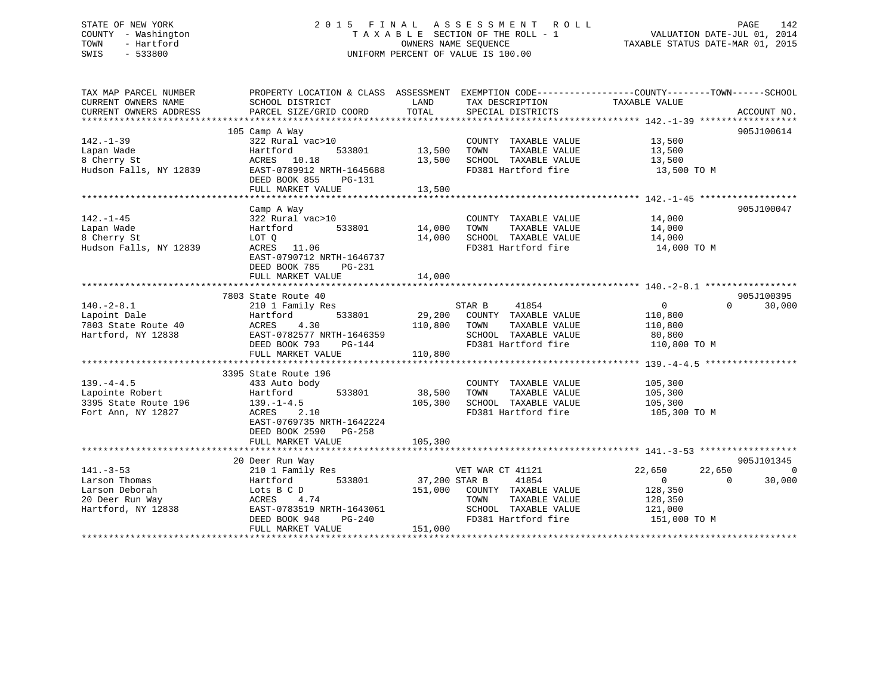## STATE OF NEW YORK 2 0 1 5 F I N A L A S S E S S M E N T R O L L PAGE 142 COUNTY - Washington T A X A B L E SECTION OF THE ROLL - 1 VALUATION DATE-JUL 01, 2014 TOWN - Hartford **TAXABLE STATUS DATE-MAR 01, 2015** OWNERS NAME SEQUENCE TAXABLE STATUS DATE-MAR 01, 2015 SWIS - 533800 UNIFORM PERCENT OF VALUE IS 100.00

| TAX MAP PARCEL NUMBER  |                           |               |                       | PROPERTY LOCATION & CLASS ASSESSMENT EXEMPTION CODE----------------COUNTY-------TOWN------SCHOOL |                             |
|------------------------|---------------------------|---------------|-----------------------|--------------------------------------------------------------------------------------------------|-----------------------------|
| CURRENT OWNERS NAME    | SCHOOL DISTRICT           | LAND          | TAX DESCRIPTION       | TAXABLE VALUE                                                                                    |                             |
| CURRENT OWNERS ADDRESS | PARCEL SIZE/GRID COORD    | TOTAL         | SPECIAL DISTRICTS     |                                                                                                  | ACCOUNT NO.                 |
|                        |                           |               |                       |                                                                                                  |                             |
|                        | 105 Camp A Way            |               |                       |                                                                                                  | 905J100614                  |
| $142. - 1 - 39$        | 322 Rural vac>10          |               | COUNTY TAXABLE VALUE  | 13,500                                                                                           |                             |
| Lapan Wade             | 533801<br>Hartford        | 13,500        | TOWN<br>TAXABLE VALUE | 13,500                                                                                           |                             |
| 8 Cherry St            | ACRES 10.18               | 13,500        | SCHOOL TAXABLE VALUE  | 13,500                                                                                           |                             |
| Hudson Falls, NY 12839 | EAST-0789912 NRTH-1645688 |               | FD381 Hartford fire   | 13,500 TO M                                                                                      |                             |
|                        | DEED BOOK 855<br>PG-131   |               |                       |                                                                                                  |                             |
|                        | FULL MARKET VALUE         | 13,500        |                       |                                                                                                  |                             |
|                        |                           |               |                       |                                                                                                  |                             |
|                        |                           |               |                       |                                                                                                  | 905J100047                  |
|                        | Camp A Way                |               |                       |                                                                                                  |                             |
| $142. - 1 - 45$        | 322 Rural vac>10          |               | COUNTY TAXABLE VALUE  | 14,000                                                                                           |                             |
| Lapan Wade             | Hartford<br>533801        | 14,000        | TAXABLE VALUE<br>TOWN | 14,000                                                                                           |                             |
| 8 Cherry St            | LOT Q                     | 14,000        | SCHOOL TAXABLE VALUE  | 14,000                                                                                           |                             |
| Hudson Falls, NY 12839 | 11.06<br>ACRES            |               | FD381 Hartford fire   | 14,000 TO M                                                                                      |                             |
|                        | EAST-0790712 NRTH-1646737 |               |                       |                                                                                                  |                             |
|                        | DEED BOOK 785<br>PG-231   |               |                       |                                                                                                  |                             |
|                        | FULL MARKET VALUE         | 14,000        |                       |                                                                                                  |                             |
|                        |                           |               |                       |                                                                                                  |                             |
|                        | 7803 State Route 40       |               |                       |                                                                                                  | 905J100395                  |
| $140. - 2 - 8.1$       | 210 1 Family Res          |               | 41854<br>STAR B       | $\overline{0}$                                                                                   | $0 \qquad \qquad$<br>30,000 |
| Lapoint Dale           | 533801<br>Hartford        | 29,200        | COUNTY TAXABLE VALUE  | 110,800                                                                                          |                             |
| 7803 State Route 40    | ACRES<br>4.30             | 110,800       | TOWN<br>TAXABLE VALUE | 110,800                                                                                          |                             |
| Hartford, NY 12838     | EAST-0782577 NRTH-1646359 |               | SCHOOL TAXABLE VALUE  | 80,800                                                                                           |                             |
|                        | DEED BOOK 793<br>PG-144   |               | FD381 Hartford fire   | 110,800 TO M                                                                                     |                             |
|                        | FULL MARKET VALUE         | 110,800       |                       |                                                                                                  |                             |
|                        |                           |               |                       |                                                                                                  |                             |
|                        | 3395 State Route 196      |               |                       |                                                                                                  |                             |
| $139. -4 - 4.5$        | 433 Auto body             |               | COUNTY TAXABLE VALUE  | 105,300                                                                                          |                             |
| Lapointe Robert        | Hartford<br>533801        | 38,500        | TOWN<br>TAXABLE VALUE | 105,300                                                                                          |                             |
| 3395 State Route 196   | $139. - 1 - 4.5$          | 105,300       | SCHOOL TAXABLE VALUE  | 105,300                                                                                          |                             |
| Fort Ann, NY 12827     | 2.10<br>ACRES             |               | FD381 Hartford fire   | 105,300 TO M                                                                                     |                             |
|                        | EAST-0769735 NRTH-1642224 |               |                       |                                                                                                  |                             |
|                        | DEED BOOK 2590<br>PG-258  |               |                       |                                                                                                  |                             |
|                        | FULL MARKET VALUE         | 105,300       |                       |                                                                                                  |                             |
|                        |                           |               |                       |                                                                                                  |                             |
|                        | 20 Deer Run Way           |               |                       |                                                                                                  | 905J101345                  |
| $141. - 3 - 53$        |                           |               | VET WAR CT 41121      | 22,650<br>22,650                                                                                 | $\bigcirc$                  |
|                        | 210 1 Family Res          | 37,200 STAR B | 41854                 | $\Omega$                                                                                         |                             |
| Larson Thomas          | Hartford<br>533801        |               |                       | $\overline{0}$                                                                                   | 30,000                      |
| Larson Deborah         | Lots B C D<br>ACRES 4.    | 151,000       | COUNTY TAXABLE VALUE  | 128,350                                                                                          |                             |
| 20 Deer Run Way        | 4.74                      |               | TOWN<br>TAXABLE VALUE | 128,350                                                                                          |                             |
| Hartford, NY 12838     | EAST-0783519 NRTH-1643061 |               | SCHOOL TAXABLE VALUE  | 121,000                                                                                          |                             |
|                        | DEED BOOK 948<br>$PG-240$ |               | FD381 Hartford fire   | 151,000 TO M                                                                                     |                             |
|                        | FULL MARKET VALUE         | 151,000       |                       |                                                                                                  |                             |
|                        |                           |               |                       |                                                                                                  |                             |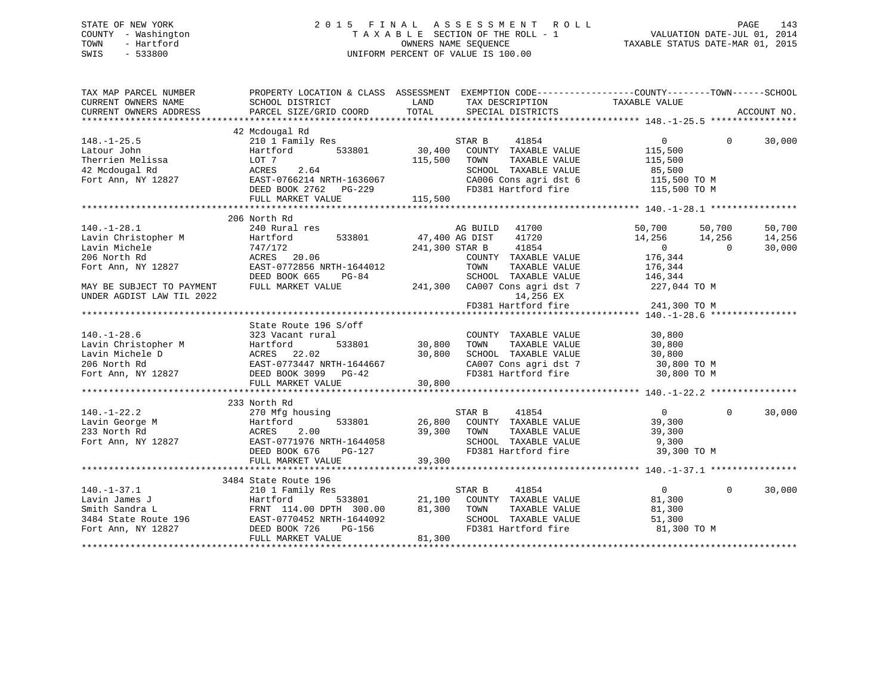## STATE OF NEW YORK 2 0 1 5 F I N A L A S S E S S M E N T R O L L PAGE 143 COUNTY - Washington T A X A B L E SECTION OF THE ROLL - 1 VALUATION DATE-JUL 01, 2014 TOWN - Hartford **TAXABLE STATUS DATE-MAR 01, 2015** OWNERS NAME SEQUENCE TAXABLE STATUS DATE-MAR 01, 2015 SWIS - 533800 UNIFORM PERCENT OF VALUE IS 100.00

| TAX MAP PARCEL NUMBER     | PROPERTY LOCATION & CLASS ASSESSMENT EXEMPTION CODE---------------COUNTY-------TOWN-----SCHOOL                                                                                                                                                                                                    |        |                                                                                                                                                                                                                                        |                                                                                                                                                                                                                                                                                                                                    |             |        |
|---------------------------|---------------------------------------------------------------------------------------------------------------------------------------------------------------------------------------------------------------------------------------------------------------------------------------------------|--------|----------------------------------------------------------------------------------------------------------------------------------------------------------------------------------------------------------------------------------------|------------------------------------------------------------------------------------------------------------------------------------------------------------------------------------------------------------------------------------------------------------------------------------------------------------------------------------|-------------|--------|
|                           |                                                                                                                                                                                                                                                                                                   |        |                                                                                                                                                                                                                                        |                                                                                                                                                                                                                                                                                                                                    |             |        |
|                           |                                                                                                                                                                                                                                                                                                   |        |                                                                                                                                                                                                                                        |                                                                                                                                                                                                                                                                                                                                    |             |        |
|                           | 42 Mcdougal Rd                                                                                                                                                                                                                                                                                    |        |                                                                                                                                                                                                                                        |                                                                                                                                                                                                                                                                                                                                    | $\Omega$    |        |
|                           |                                                                                                                                                                                                                                                                                                   |        |                                                                                                                                                                                                                                        | $\overline{0}$ and $\overline{0}$ and $\overline{0}$ and $\overline{0}$ and $\overline{0}$ and $\overline{0}$ and $\overline{0}$ and $\overline{0}$ and $\overline{0}$ and $\overline{0}$ and $\overline{0}$ and $\overline{0}$ and $\overline{0}$ and $\overline{0}$ and $\overline{0}$ and $\overline{0}$ and $\overline{0}$ and |             | 30,000 |
|                           |                                                                                                                                                                                                                                                                                                   |        |                                                                                                                                                                                                                                        | 115,500                                                                                                                                                                                                                                                                                                                            |             |        |
|                           |                                                                                                                                                                                                                                                                                                   |        |                                                                                                                                                                                                                                        | TAXABLE VALUE 115,500                                                                                                                                                                                                                                                                                                              |             |        |
|                           |                                                                                                                                                                                                                                                                                                   |        | SCHOOL TAXABLE VALUE 85,500<br>CA006 Cons agri dst 6 115,500 TO M                                                                                                                                                                      |                                                                                                                                                                                                                                                                                                                                    |             |        |
|                           |                                                                                                                                                                                                                                                                                                   |        |                                                                                                                                                                                                                                        |                                                                                                                                                                                                                                                                                                                                    |             |        |
|                           |                                                                                                                                                                                                                                                                                                   |        | FD381 Hartford fire 115,500 TO M                                                                                                                                                                                                       |                                                                                                                                                                                                                                                                                                                                    |             |        |
|                           |                                                                                                                                                                                                                                                                                                   |        |                                                                                                                                                                                                                                        |                                                                                                                                                                                                                                                                                                                                    |             |        |
|                           |                                                                                                                                                                                                                                                                                                   |        |                                                                                                                                                                                                                                        |                                                                                                                                                                                                                                                                                                                                    |             |        |
|                           | 206 North Rd                                                                                                                                                                                                                                                                                      |        |                                                                                                                                                                                                                                        |                                                                                                                                                                                                                                                                                                                                    |             |        |
|                           |                                                                                                                                                                                                                                                                                                   |        |                                                                                                                                                                                                                                        | 50,700 50,700                                                                                                                                                                                                                                                                                                                      |             | 50,700 |
|                           |                                                                                                                                                                                                                                                                                                   |        |                                                                                                                                                                                                                                        | 14,256 14,256                                                                                                                                                                                                                                                                                                                      |             | 14,256 |
|                           |                                                                                                                                                                                                                                                                                                   |        |                                                                                                                                                                                                                                        | $\sim$ 0                                                                                                                                                                                                                                                                                                                           |             | 30,000 |
|                           |                                                                                                                                                                                                                                                                                                   |        |                                                                                                                                                                                                                                        | $\begin{array}{c} 0 \\ 176,344 \end{array}$                                                                                                                                                                                                                                                                                        |             |        |
|                           |                                                                                                                                                                                                                                                                                                   |        | TAXABLE VALUE                                                                                                                                                                                                                          | 176,344                                                                                                                                                                                                                                                                                                                            |             |        |
|                           |                                                                                                                                                                                                                                                                                                   |        |                                                                                                                                                                                                                                        |                                                                                                                                                                                                                                                                                                                                    |             |        |
| MAY BE SUBJECT TO PAYMENT | FULL MARKET VALUE                                                                                                                                                                                                                                                                                 |        | 3-84 SCHOOL TAXABLE VALUE 146,344<br>241,300 CA007 Cons agri dst 7 227,044 TO M                                                                                                                                                        |                                                                                                                                                                                                                                                                                                                                    |             |        |
|                           |                                                                                                                                                                                                                                                                                                   |        |                                                                                                                                                                                                                                        |                                                                                                                                                                                                                                                                                                                                    |             |        |
|                           |                                                                                                                                                                                                                                                                                                   |        |                                                                                                                                                                                                                                        |                                                                                                                                                                                                                                                                                                                                    |             |        |
|                           |                                                                                                                                                                                                                                                                                                   |        |                                                                                                                                                                                                                                        |                                                                                                                                                                                                                                                                                                                                    |             |        |
|                           | State Route 196 S/off                                                                                                                                                                                                                                                                             |        |                                                                                                                                                                                                                                        |                                                                                                                                                                                                                                                                                                                                    |             |        |
| $140. - 1 - 28.6$         | 323 Vacant rural                                                                                                                                                                                                                                                                                  |        |                                                                                                                                                                                                                                        |                                                                                                                                                                                                                                                                                                                                    |             |        |
|                           |                                                                                                                                                                                                                                                                                                   |        |                                                                                                                                                                                                                                        |                                                                                                                                                                                                                                                                                                                                    |             |        |
|                           |                                                                                                                                                                                                                                                                                                   |        |                                                                                                                                                                                                                                        |                                                                                                                                                                                                                                                                                                                                    |             |        |
|                           |                                                                                                                                                                                                                                                                                                   |        |                                                                                                                                                                                                                                        |                                                                                                                                                                                                                                                                                                                                    |             |        |
|                           |                                                                                                                                                                                                                                                                                                   |        |                                                                                                                                                                                                                                        |                                                                                                                                                                                                                                                                                                                                    |             |        |
|                           | Lavin Christopher M<br>Lavin Michele D<br>2015 Morth Rd<br>2016 North Rd<br>2016 North Rd<br>2016 North Rd<br>2016 North Rd<br>2016 North Rd<br>2016 North Rd<br>2016 North Rd<br>2016 North Rd<br>2016 North Rd<br>2016 North Rd<br>2016 North Rd<br>2016                                        |        |                                                                                                                                                                                                                                        |                                                                                                                                                                                                                                                                                                                                    |             |        |
|                           |                                                                                                                                                                                                                                                                                                   |        | te 196 S/off<br>(t rural coUNTY TAXABLE VALUE 533801 30,800 TOWN TAXABLE VALUE 30,800<br>22.02 30,800 SCHOOL TAXABLE VALUE 30,800 30,800<br>3447 NRTH-1644667 CA007 Cons agri dst 7 30,800 TO M<br>PG-42 PG-42 FD381 Hartford fire 30, |                                                                                                                                                                                                                                                                                                                                    |             |        |
|                           |                                                                                                                                                                                                                                                                                                   |        |                                                                                                                                                                                                                                        |                                                                                                                                                                                                                                                                                                                                    |             |        |
|                           | 233 North Rd<br>270 Mfg housing STAR B 41854                                                                                                                                                                                                                                                      |        |                                                                                                                                                                                                                                        |                                                                                                                                                                                                                                                                                                                                    |             |        |
| $140. - 1 - 22.2$         |                                                                                                                                                                                                                                                                                                   |        |                                                                                                                                                                                                                                        | $\overline{0}$                                                                                                                                                                                                                                                                                                                     | $\Omega$    | 30,000 |
|                           |                                                                                                                                                                                                                                                                                                   |        |                                                                                                                                                                                                                                        |                                                                                                                                                                                                                                                                                                                                    |             |        |
|                           |                                                                                                                                                                                                                                                                                                   |        |                                                                                                                                                                                                                                        |                                                                                                                                                                                                                                                                                                                                    |             |        |
|                           |                                                                                                                                                                                                                                                                                                   |        |                                                                                                                                                                                                                                        |                                                                                                                                                                                                                                                                                                                                    |             |        |
|                           |                                                                                                                                                                                                                                                                                                   |        |                                                                                                                                                                                                                                        |                                                                                                                                                                                                                                                                                                                                    |             |        |
|                           |                                                                                                                                                                                                                                                                                                   |        |                                                                                                                                                                                                                                        |                                                                                                                                                                                                                                                                                                                                    |             |        |
|                           | $\begin{array}{cccccccc} 140.-1-22.2 & 270 & \text{MTg} \text{ nouns} & 533801 & 26,800 & \text{COUNTY} & 74.00 \text{+} & 39,300 & 39,300 & 39,300 & 39,300 & 39,300 & 39,300 & 39,300 & 39,300 & 39,300 & 39,300 & 39,300 & 39,300 & 39,300 & 39,300 & 39,300 & 39,300 & 39,300 & 39,300 & 39,$ |        |                                                                                                                                                                                                                                        |                                                                                                                                                                                                                                                                                                                                    |             |        |
|                           | 3484 State Route 196                                                                                                                                                                                                                                                                              |        |                                                                                                                                                                                                                                        |                                                                                                                                                                                                                                                                                                                                    |             |        |
|                           |                                                                                                                                                                                                                                                                                                   |        |                                                                                                                                                                                                                                        | $\overline{0}$                                                                                                                                                                                                                                                                                                                     | $\mathbf 0$ | 30,000 |
|                           |                                                                                                                                                                                                                                                                                                   |        |                                                                                                                                                                                                                                        | 81,300                                                                                                                                                                                                                                                                                                                             |             |        |
|                           |                                                                                                                                                                                                                                                                                                   |        | TAXABLE VALUE                                                                                                                                                                                                                          | 81,300                                                                                                                                                                                                                                                                                                                             |             |        |
|                           |                                                                                                                                                                                                                                                                                                   |        |                                                                                                                                                                                                                                        | 51,300                                                                                                                                                                                                                                                                                                                             |             |        |
|                           |                                                                                                                                                                                                                                                                                                   |        | SCHOOL TAXABLE VALUE<br>FD381 Hartford fire                                                                                                                                                                                            | 81,300 TO M                                                                                                                                                                                                                                                                                                                        |             |        |
|                           | 140.-1-37.1 210 1 Family Res<br>Lavin James J<br>Sixtee State Sixtee State Res<br>Sixtee Sixtee Sixtee Sixtee Sixtee Sixtee Sixtee Sixtee Sixtee Sixtee Sixtee Sixtee Sixtee Sixtee Sixtee Sixtee Sixtee Sixtee Sixtee Sixtee Sixte<br>FULL MARKET VALUE                                          | 81,300 |                                                                                                                                                                                                                                        |                                                                                                                                                                                                                                                                                                                                    |             |        |
|                           |                                                                                                                                                                                                                                                                                                   |        |                                                                                                                                                                                                                                        |                                                                                                                                                                                                                                                                                                                                    |             |        |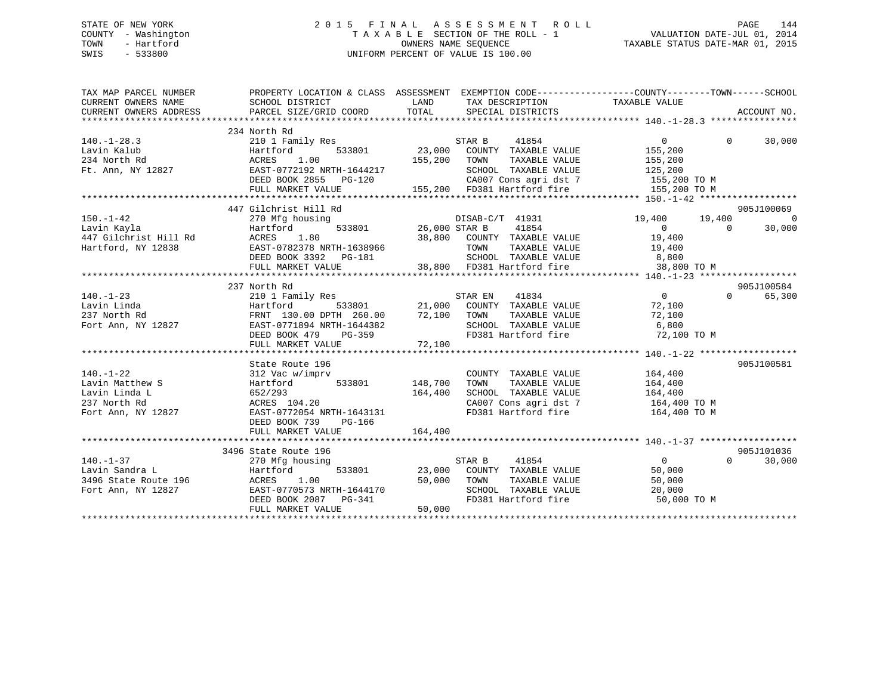## STATE OF NEW YORK 2 0 1 5 F I N A L A S S E S S M E N T R O L L PAGE 144 COUNTY - Washington T A X A B L E SECTION OF THE ROLL - 1 VALUATION DATE-JUL 01, 2014 TOWN - Hartford **TAXABLE STATUS DATE-MAR 01, 2015** OWNERS NAME SEQUENCE TAXABLE STATUS DATE-MAR 01, 2015 SWIS - 533800 UNIFORM PERCENT OF VALUE IS 100.00

| TAX MAP PARCEL NUMBER  | PROPERTY LOCATION & CLASS ASSESSMENT EXEMPTION CODE-----------------COUNTY--------TOWN------SCHOOL                                                                                                                                         |              |                                                                                   |                                             |          |                |
|------------------------|--------------------------------------------------------------------------------------------------------------------------------------------------------------------------------------------------------------------------------------------|--------------|-----------------------------------------------------------------------------------|---------------------------------------------|----------|----------------|
| CURRENT OWNERS NAME    | SCHOOL DISTRICT                                                                                                                                                                                                                            | LAND         | TAX DESCRIPTION TAXABLE VALUE                                                     |                                             |          |                |
| CURRENT OWNERS ADDRESS |                                                                                                                                                                                                                                            |              |                                                                                   |                                             |          |                |
|                        | 234 North Rd                                                                                                                                                                                                                               |              |                                                                                   |                                             |          |                |
| $140. - 1 - 28.3$      |                                                                                                                                                                                                                                            |              |                                                                                   | $\overline{0}$                              | $\Omega$ | 30,000         |
| Lavin Kalub            | Hartford                                                                                                                                                                                                                                   |              |                                                                                   | 155,200                                     |          |                |
| 234 North Rd           | 1.00<br>ACRES                                                                                                                                                                                                                              | 155,200 TOWN |                                                                                   | TAXABLE VALUE 155,200                       |          |                |
|                        | Ft. Ann, NY 12827 EAST-0772192 NRTH-1644217                                                                                                                                                                                                |              | SCHOOL TAXABLE VALUE 125,200                                                      |                                             |          |                |
|                        | DEED BOOK 2855 PG-120                                                                                                                                                                                                                      |              |                                                                                   |                                             |          |                |
|                        | FULL MARKET VALUE                                                                                                                                                                                                                          |              | 20 CA007 Cons agri dst 7 155,200 TO M<br>155,200 FD381 Hartford fire 155,200 TO M |                                             |          |                |
|                        |                                                                                                                                                                                                                                            |              |                                                                                   |                                             |          |                |
|                        | 447 Gilchrist Hill Rd                                                                                                                                                                                                                      |              |                                                                                   |                                             |          | 905J100069     |
| $150. - 1 - 42$        | 270 Mfg housing                                                                                                                                                                                                                            |              |                                                                                   | 19,400   19,400                             |          | $\overline{0}$ |
|                        |                                                                                                                                                                                                                                            |              | DISAB-C/T 41931<br>533801 26,000 STAR B 41854                                     |                                             |          |                |
|                        |                                                                                                                                                                                                                                            |              |                                                                                   |                                             |          |                |
|                        |                                                                                                                                                                                                                                            |              |                                                                                   |                                             |          |                |
|                        |                                                                                                                                                                                                                                            |              |                                                                                   |                                             |          |                |
|                        |                                                                                                                                                                                                                                            |              |                                                                                   |                                             |          |                |
|                        | 150.-1-42<br>150.-1-42<br>160.-1-42<br>160.000 Max = 180.000 Max = 1854<br>1612 Max = 180 (2000 Max = 180 1864 1854 18966 19,400<br>19,400 EAST-0782378 NRTH-1638966 TOWN TAXABLE VALUE 19,400<br>19,400 DEED BOOK 3392 PG-181 SCHOOL TAXA |              |                                                                                   |                                             |          |                |
|                        | 237 North Rd                                                                                                                                                                                                                               |              |                                                                                   |                                             |          | 905J100584     |
| $140. - 1 - 23$        | 210 1 Family Res                                                                                                                                                                                                                           |              |                                                                                   | $\overline{0}$                              | $\Omega$ | 65,300         |
| Lavin Linda            | 210 1 Family Res<br>Hartford 533801<br>FRNT 130.00 DPTH 260.00<br>EAST-0771894 NRTH-1644382<br>DEED BOOK 479 PG-359                                                                                                                        |              |                                                                                   |                                             |          |                |
| 237 North Rd           | FRNT 130.00 DPTH 260.00 72,100 TOWN<br>EAST-0771894 NRTH-1644382 SCHOC<br>DEED BOOK 479 PG-359 FD381                                                                                                                                       |              |                                                                                   | TAXABLE VALUE 72,100<br>TAXABLE VALUE 6,800 |          |                |
| Fort Ann, NY 12827     |                                                                                                                                                                                                                                            |              |                                                                                   |                                             |          |                |
|                        |                                                                                                                                                                                                                                            |              |                                                                                   |                                             |          |                |
|                        | FULL MARKET VALUE                                                                                                                                                                                                                          | 72,100       |                                                                                   |                                             |          |                |
|                        |                                                                                                                                                                                                                                            |              |                                                                                   |                                             |          |                |
|                        | State Route 196                                                                                                                                                                                                                            |              |                                                                                   |                                             |          | 905J100581     |
| $140. - 1 - 22$        | 312 Vac w/imprv                                                                                                                                                                                                                            |              | COUNTY TAXABLE VALUE                                                              | 164,400                                     |          |                |
| Lavin Matthew S        | Hartford 533801 148,700<br>Hartford<br>652/293                                                                                                                                                                                             |              | TAXABLE VALUE                                                                     |                                             |          |                |
| Lavin Linda L          |                                                                                                                                                                                                                                            | 164,400      |                                                                                   |                                             |          |                |
| 237 North Rd           | ACRES 104.20<br>EAST-0772054 NRTH-1643131                                                                                                                                                                                                  |              | CA007 Cons agri dst 7 164,400 TO M                                                |                                             |          |                |
| Fort Ann, NY 12827     |                                                                                                                                                                                                                                            |              | FD381 Hartford fire                                                               | 164,400 TO M                                |          |                |
|                        | DEED BOOK 739 PG-166                                                                                                                                                                                                                       |              |                                                                                   |                                             |          |                |
|                        | FULL MARKET VALUE                                                                                                                                                                                                                          | 164,400      |                                                                                   |                                             |          |                |
|                        |                                                                                                                                                                                                                                            |              |                                                                                   |                                             |          |                |
|                        | 3496 State Route 196                                                                                                                                                                                                                       |              |                                                                                   |                                             |          | 905J101036     |
|                        |                                                                                                                                                                                                                                            |              | 41854<br>STAR B                                                                   | $\overline{0}$                              | $\Omega$ | 30,000         |
|                        |                                                                                                                                                                                                                                            |              | 23,000 COUNTY TAXABLE VALUE<br>TAXABLE VALUE                                      | 50,000                                      |          |                |
|                        |                                                                                                                                                                                                                                            |              | 50,000 TOWN                                                                       | 50,000                                      |          |                |
|                        |                                                                                                                                                                                                                                            |              | SCHOOL TAXABLE VALUE<br>FD381 Hartford fire                                       | 20,000<br>50,000 TO M                       |          |                |
|                        |                                                                                                                                                                                                                                            |              |                                                                                   |                                             |          |                |
|                        |                                                                                                                                                                                                                                            |              |                                                                                   |                                             |          |                |
|                        |                                                                                                                                                                                                                                            |              |                                                                                   |                                             |          |                |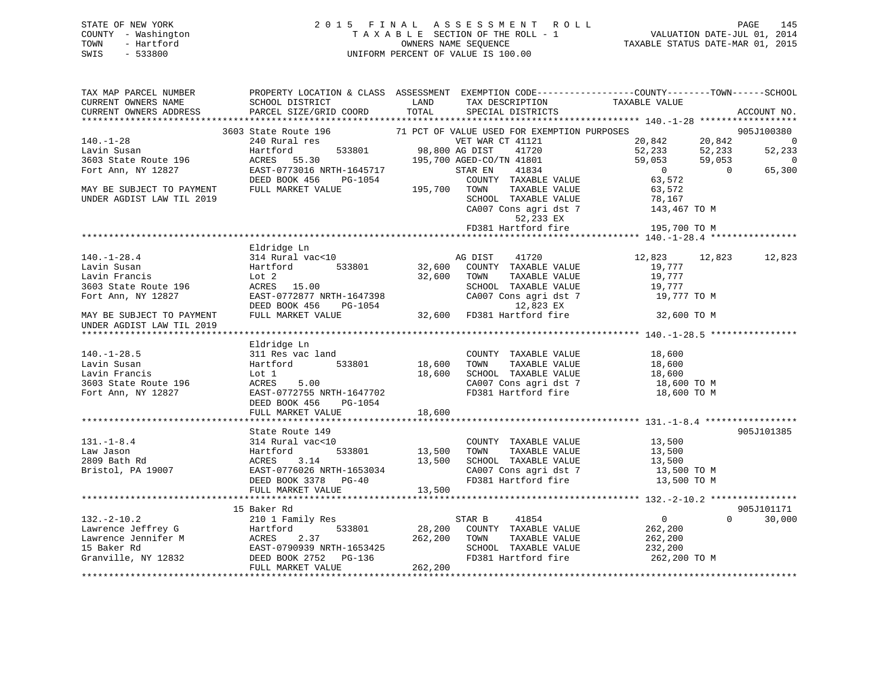## STATE OF NEW YORK 2 0 1 5 F I N A L A S S E S S M E N T R O L L PAGE 145 COUNTY - Washington T A X A B L E SECTION OF THE ROLL - 1 VALUATION DATE-JUL 01, 2014 TOWN - Hartford **TAXABLE STATUS DATE-MAR 01, 2015** OWNERS NAME SEQUENCE TAXABLE STATUS DATE-MAR 01, 2015 SWIS - 533800 UNIFORM PERCENT OF VALUE IS 100.00

| TAX MAP PARCEL NUMBER                       |                                                                                                                                                                                                                                                                                                                                                                                                                                            |                                  |                                                                   | PROPERTY LOCATION & CLASS ASSESSMENT EXEMPTION CODE----------------COUNTY-------TOWN------SCHOOL                                                                 |                          |
|---------------------------------------------|--------------------------------------------------------------------------------------------------------------------------------------------------------------------------------------------------------------------------------------------------------------------------------------------------------------------------------------------------------------------------------------------------------------------------------------------|----------------------------------|-------------------------------------------------------------------|------------------------------------------------------------------------------------------------------------------------------------------------------------------|--------------------------|
| CURRENT OWNERS NAME                         | SCHOOL DISTRICT                                                                                                                                                                                                                                                                                                                                                                                                                            | LAND                             | TAX DESCRIPTION                                                   | TAXABLE VALUE                                                                                                                                                    |                          |
| CURRENT OWNERS ADDRESS                      | PARCEL SIZE/GRID COORD                                                                                                                                                                                                                                                                                                                                                                                                                     | TOTAL                            | SPECIAL DISTRICTS                                                 |                                                                                                                                                                  | ACCOUNT NO.              |
|                                             |                                                                                                                                                                                                                                                                                                                                                                                                                                            |                                  |                                                                   |                                                                                                                                                                  |                          |
|                                             | 3603 State Route 196 $\,$ 71 PCT OF VALUE USED FOR EXEMPTION PURPOSES 240 Rural res $\,$ VET WAR CT 41121                                                                                                                                                                                                                                                                                                                                  |                                  |                                                                   |                                                                                                                                                                  | 905J100380               |
| $140. - 1 - 28$                             |                                                                                                                                                                                                                                                                                                                                                                                                                                            | VET WAR<br>533801 98,800 AG DIST |                                                                   | 20,842 20,842<br>52,233 52,233                                                                                                                                   | $\overline{0}$           |
| Lavin Susan                                 | Hartford                                                                                                                                                                                                                                                                                                                                                                                                                                   |                                  |                                                                   |                                                                                                                                                                  | 52,233                   |
| 3603 State Route 196                        | ACRES 55.30                                                                                                                                                                                                                                                                                                                                                                                                                                |                                  | 98,800 AG DIST 41720<br>195,700 AGED-CO/TN 41801<br>STAR EN 41834 | 59,053<br>59,053                                                                                                                                                 | $\overline{\phantom{0}}$ |
| Fort Ann, NY 12827                          | EAST-0773016 NRTH-1645717                                                                                                                                                                                                                                                                                                                                                                                                                  |                                  |                                                                   | $\overline{\phantom{a}}$<br>$\overline{0}$                                                                                                                       | 65,300                   |
| MAY BE SUBJECT TO PAYMENT FULL MARKET VALUE | DEED BOOK 456<br>PG-1054                                                                                                                                                                                                                                                                                                                                                                                                                   |                                  | COUNTY TAXABLE VALUE                                              | 63,572                                                                                                                                                           |                          |
|                                             |                                                                                                                                                                                                                                                                                                                                                                                                                                            |                                  | TAXABLE VALUE                                                     | 63,572                                                                                                                                                           |                          |
| UNDER AGDIST LAW TIL 2019                   |                                                                                                                                                                                                                                                                                                                                                                                                                                            |                                  |                                                                   | $\begin{tabular}{lllllllll} \texttt{SCHOOL} & \texttt{TAXABLE VALUE} & & & & 78,167 \\ \texttt{CA007 Cons agri dst 7} & & & 143,467\texttt{ TO M} \end{tabular}$ |                          |
|                                             |                                                                                                                                                                                                                                                                                                                                                                                                                                            |                                  |                                                                   |                                                                                                                                                                  |                          |
|                                             |                                                                                                                                                                                                                                                                                                                                                                                                                                            |                                  | 52,233 EX                                                         |                                                                                                                                                                  |                          |
|                                             |                                                                                                                                                                                                                                                                                                                                                                                                                                            |                                  | FD381 Hartford fire                                               | 195,700 TO M                                                                                                                                                     |                          |
|                                             |                                                                                                                                                                                                                                                                                                                                                                                                                                            |                                  |                                                                   |                                                                                                                                                                  |                          |
|                                             | Eldridge Ln                                                                                                                                                                                                                                                                                                                                                                                                                                |                                  |                                                                   |                                                                                                                                                                  |                          |
| $140. - 1 - 28.4$                           | 314 Rural vac<10                                                                                                                                                                                                                                                                                                                                                                                                                           | 32,600                           | AG DIST 41720                                                     | 12,823<br>12,823                                                                                                                                                 | 12,823                   |
| Lavin Susan                                 | 533801<br>Hartford                                                                                                                                                                                                                                                                                                                                                                                                                         |                                  | COUNTY TAXABLE VALUE                                              | 19,777                                                                                                                                                           |                          |
| Lavin Francis                               | Lot 2                                                                                                                                                                                                                                                                                                                                                                                                                                      | 32,600                           | TOWN<br>TAXABLE VALUE                                             | 19,777                                                                                                                                                           |                          |
| 3603 State Route 196                        | ACRES 15.00<br>EAST-0772877 NRTH-1647398                                                                                                                                                                                                                                                                                                                                                                                                   |                                  | SCHOOL TAXABLE VALUE                                              | 19,777                                                                                                                                                           |                          |
| Fort Ann, NY 12827                          |                                                                                                                                                                                                                                                                                                                                                                                                                                            |                                  | CA007 Cons agri dst 7                                             | 19,777 TO M                                                                                                                                                      |                          |
| MAY BE SUBJECT TO PAYMENT                   | DEED BOOK 456<br>PG-1054                                                                                                                                                                                                                                                                                                                                                                                                                   |                                  |                                                                   |                                                                                                                                                                  |                          |
|                                             | FULL MARKET VALUE                                                                                                                                                                                                                                                                                                                                                                                                                          |                                  |                                                                   | 32,600 TO M                                                                                                                                                      |                          |
| UNDER AGDIST LAW TIL 2019                   |                                                                                                                                                                                                                                                                                                                                                                                                                                            |                                  |                                                                   |                                                                                                                                                                  |                          |
|                                             | Eldridge Ln                                                                                                                                                                                                                                                                                                                                                                                                                                |                                  |                                                                   |                                                                                                                                                                  |                          |
| $140. - 1 - 28.5$                           | 311 Res vac land                                                                                                                                                                                                                                                                                                                                                                                                                           |                                  | COUNTY TAXABLE VALUE 18,600                                       |                                                                                                                                                                  |                          |
|                                             | 533801                                                                                                                                                                                                                                                                                                                                                                                                                                     |                                  | TOWN TAXABLE VALUE                                                |                                                                                                                                                                  |                          |
|                                             |                                                                                                                                                                                                                                                                                                                                                                                                                                            | 18,600<br>18,600                 | SCHOOL TAXABLE VALUE                                              | 18,600<br>18,600                                                                                                                                                 |                          |
|                                             |                                                                                                                                                                                                                                                                                                                                                                                                                                            |                                  | CA007 Cons agri dst 7                                             |                                                                                                                                                                  |                          |
|                                             | Lavin Susan Martford 533801<br>Lavin Francis Lot 1<br>3603 State Route 196 ACRES 5.00<br>Fort Ann, NY 12827 EAST-0772755 NRTH-1647702                                                                                                                                                                                                                                                                                                      |                                  | FD381 Hartford fire                                               | 18,600 TO M<br>18,600 TO M                                                                                                                                       |                          |
|                                             | DEED BOOK 456<br>PG-1054                                                                                                                                                                                                                                                                                                                                                                                                                   |                                  |                                                                   |                                                                                                                                                                  |                          |
|                                             | FULL MARKET VALUE                                                                                                                                                                                                                                                                                                                                                                                                                          | 18,600                           |                                                                   |                                                                                                                                                                  |                          |
|                                             |                                                                                                                                                                                                                                                                                                                                                                                                                                            |                                  |                                                                   |                                                                                                                                                                  |                          |
|                                             | State Route 149                                                                                                                                                                                                                                                                                                                                                                                                                            |                                  |                                                                   |                                                                                                                                                                  | 905J101385               |
| $131. - 1 - 8.4$                            | 314 Rural vac<10                                                                                                                                                                                                                                                                                                                                                                                                                           |                                  | COUNTY TAXABLE VALUE 13,500                                       |                                                                                                                                                                  |                          |
| Law Jason                                   | 314 Ru<br>Hartfc<br>ACRES<br>Hartford                                                                                                                                                                                                                                                                                                                                                                                                      | 533801 13,500                    | TOWN                                                              |                                                                                                                                                                  |                          |
|                                             |                                                                                                                                                                                                                                                                                                                                                                                                                                            |                                  | SCHOOL TAXABLE VALUE                                              | TAXABLE VALUE 13,500<br>TAXABLE VALUE 13,500                                                                                                                     |                          |
|                                             |                                                                                                                                                                                                                                                                                                                                                                                                                                            |                                  | CA007 Cons agri dst 7                                             | 13,500 TO M                                                                                                                                                      |                          |
|                                             |                                                                                                                                                                                                                                                                                                                                                                                                                                            |                                  | FD381 Hartford fire                                               | 13,500 TO M                                                                                                                                                      |                          |
|                                             | Bristol, PA 19007<br>Bristol, PA 19007<br>DEED BOOK 3378 PG-40<br>DEED BOOK 3378 PG-40<br>FULL MARKET VALUE 13,500                                                                                                                                                                                                                                                                                                                         |                                  |                                                                   |                                                                                                                                                                  |                          |
|                                             |                                                                                                                                                                                                                                                                                                                                                                                                                                            |                                  |                                                                   |                                                                                                                                                                  |                          |
|                                             | 15 Baker Rd                                                                                                                                                                                                                                                                                                                                                                                                                                |                                  |                                                                   |                                                                                                                                                                  | 905J101171               |
|                                             |                                                                                                                                                                                                                                                                                                                                                                                                                                            |                                  |                                                                   | $\overline{0}$                                                                                                                                                   | $\Omega$<br>30,000       |
|                                             |                                                                                                                                                                                                                                                                                                                                                                                                                                            |                                  |                                                                   | 262,200                                                                                                                                                          |                          |
|                                             |                                                                                                                                                                                                                                                                                                                                                                                                                                            |                                  |                                                                   | 262,200                                                                                                                                                          |                          |
|                                             |                                                                                                                                                                                                                                                                                                                                                                                                                                            |                                  |                                                                   |                                                                                                                                                                  |                          |
|                                             |                                                                                                                                                                                                                                                                                                                                                                                                                                            |                                  |                                                                   | SCHOOL TAXABLE VALUE 232,200<br>FD381 Hartford fire 262,200 TO M                                                                                                 |                          |
|                                             |                                                                                                                                                                                                                                                                                                                                                                                                                                            |                                  |                                                                   |                                                                                                                                                                  |                          |
|                                             | $\begin{tabular}{lllllllllllllllllll} \texttt{132.-2-10.2} & \texttt{15 Baker}~\text{ru} & \texttt{STAR B} & \texttt{41854} \\ \texttt{Lawrence Jeffrey G} & \texttt{Hartford} & 533801 & 28,200 & \texttt{COUNTY} & \texttt{TAXABLE VALUE} \\ \texttt{Lawrence Jennifer M} & \texttt{ACRES} & 2.37 & 262,200 & \texttt{TOWN} & \texttt{TAXABLE VALUE} \\ \texttt{15 Baker Rd} & \texttt{EAST-0790939 NRTH-1653425} & \texttt{SEEO BOK 27$ |                                  |                                                                   |                                                                                                                                                                  |                          |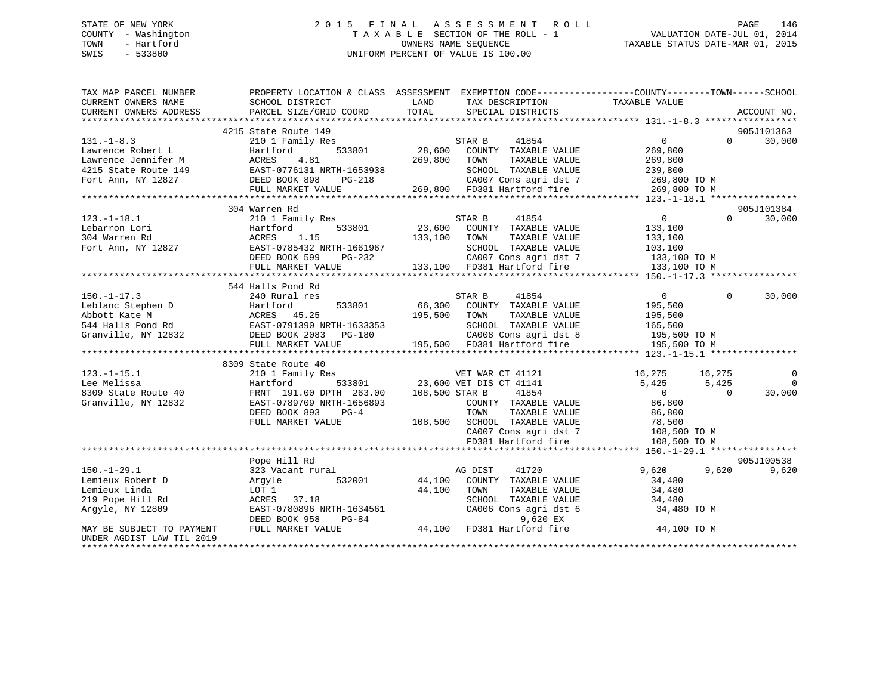## STATE OF NEW YORK 2 0 1 5 F I N A L A S S E S S M E N T R O L L PAGE 146 COUNTY - Washington T A X A B L E SECTION OF THE ROLL - 1 VALUATION DATE-JUL 01, 2014 TOWN - Hartford OWNERS NAME SEQUENCE TAXABLE STATUS DATE-MAR 01, 2015 SWIS - 533800 UNIFORM PERCENT OF VALUE IS 100.00

| TAX MAP PARCEL NUMBER     | PROPERTY LOCATION & CLASS ASSESSMENT EXEMPTION CODE----------------COUNTY-------TOWN------SCHOOL                                                                                                                                                                       |                                                                                                                                                |                      |                                                                    |                |                    |
|---------------------------|------------------------------------------------------------------------------------------------------------------------------------------------------------------------------------------------------------------------------------------------------------------------|------------------------------------------------------------------------------------------------------------------------------------------------|----------------------|--------------------------------------------------------------------|----------------|--------------------|
| CURRENT OWNERS NAME       | SCHOOL DISTRICT                                                                                                                                                                                                                                                        | LAND                                                                                                                                           | TAX DESCRIPTION      | TAXABLE VALUE                                                      |                |                    |
| CURRENT OWNERS ADDRESS    | PARCEL SIZE/GRID COORD                                                                                                                                                                                                                                                 | TOTAL                                                                                                                                          | SPECIAL DISTRICTS    |                                                                    |                | ACCOUNT NO.        |
|                           |                                                                                                                                                                                                                                                                        |                                                                                                                                                |                      |                                                                    |                |                    |
|                           | 4215 State Route 149                                                                                                                                                                                                                                                   |                                                                                                                                                |                      |                                                                    |                | 905J101363         |
| $131. -1 - 8.3$           | 210 1 Family Res                                                                                                                                                                                                                                                       | STAR B                                                                                                                                         | 41854                | $\overline{0}$                                                     |                | $\Omega$<br>30,000 |
| Lawrence Robert L         | 533801<br>Hartford                                                                                                                                                                                                                                                     | 28,600 COUNTY TAXABLE VALUE                                                                                                                    |                      | 269,800                                                            |                |                    |
|                           |                                                                                                                                                                                                                                                                        |                                                                                                                                                |                      |                                                                    |                |                    |
|                           |                                                                                                                                                                                                                                                                        |                                                                                                                                                |                      |                                                                    |                |                    |
|                           |                                                                                                                                                                                                                                                                        |                                                                                                                                                |                      |                                                                    |                |                    |
|                           |                                                                                                                                                                                                                                                                        |                                                                                                                                                |                      |                                                                    |                |                    |
|                           |                                                                                                                                                                                                                                                                        |                                                                                                                                                |                      |                                                                    |                |                    |
|                           | 304 Warren Rd                                                                                                                                                                                                                                                          |                                                                                                                                                |                      |                                                                    |                | 905J101384         |
| $123. - 1 - 18.1$         | 210 1 Family Res                                                                                                                                                                                                                                                       | STAR B                                                                                                                                         | 41854                | 0                                                                  | $\Omega$       | 30,000             |
| Lebarron Lori             | 533801<br>Hartford                                                                                                                                                                                                                                                     | 23,600 COUNTY TAXABLE VALUE<br>133,100 TOWN TAXABLE VALUE                                                                                      |                      | 133,100<br>133,100                                                 |                |                    |
| 304 Warren Rd             | ACRES<br>1.15                                                                                                                                                                                                                                                          | 133,100 TOWN                                                                                                                                   | TAXABLE VALUE        |                                                                    |                |                    |
| Fort Ann, NY 12827        | EAST-0785432 NRTH-1661967                                                                                                                                                                                                                                              |                                                                                                                                                |                      | SCHOOL TAXABLE VALUE 103,100<br>CA007 Cons agri dst 7 133,100 TO M |                |                    |
|                           | EAST-0785432 NRTH-1661967<br>DEED BOOK 599 PG-232                                                                                                                                                                                                                      |                                                                                                                                                |                      |                                                                    |                |                    |
|                           | FULL MARKET VALUE                                                                                                                                                                                                                                                      | 133,100 FD381 Hartford fire                                                                                                                    |                      | 133,100 TO M                                                       |                |                    |
|                           |                                                                                                                                                                                                                                                                        |                                                                                                                                                |                      |                                                                    |                |                    |
|                           | 544 Halls Pond Rd                                                                                                                                                                                                                                                      |                                                                                                                                                |                      |                                                                    |                |                    |
| $150. - 1 - 17.3$         | 240 Rural res                                                                                                                                                                                                                                                          | STAR B                                                                                                                                         | 41854                | $\overline{0}$                                                     | $\Omega$       | 30,000             |
|                           | 150.-1-17.3<br>Leblanc Stephen D<br>Abbott Kate M<br>544 Halls Pond Rd<br>66,300<br>544 Halls Pond Rd<br>66,300<br>544 Halls Pond Rd<br>86,300<br>86,300<br>86,300<br>86,300<br>86,300<br>86,300<br>86,300<br>86,300<br>86,300<br>86,300<br>86,300<br>86,300<br>86,300 |                                                                                                                                                |                      |                                                                    |                |                    |
|                           |                                                                                                                                                                                                                                                                        | 195,500 TOWN                                                                                                                                   | TAXABLE VALUE        |                                                                    |                |                    |
|                           |                                                                                                                                                                                                                                                                        |                                                                                                                                                | SCHOOL TAXABLE VALUE | 195,500<br>165,500                                                 |                |                    |
|                           |                                                                                                                                                                                                                                                                        |                                                                                                                                                |                      | CA008 Cons agri dst 8 195,500 TO M                                 |                |                    |
|                           | FULL MARKET VALUE                                                                                                                                                                                                                                                      | 195,500 FD381 Hartford fire                                                                                                                    |                      | 195,500 TO M                                                       |                |                    |
|                           |                                                                                                                                                                                                                                                                        |                                                                                                                                                |                      |                                                                    |                |                    |
|                           | 8309 State Route 40                                                                                                                                                                                                                                                    |                                                                                                                                                |                      |                                                                    |                |                    |
| $123.-1-15.1$             | 210 1 Family Res<br>210 1 Family Res<br>Hartford 533801 23,600 VET DIS CT 41141<br>FRNT 191.00 DPTH 263.00 108,500 STAR B 41854                                                                                                                                        |                                                                                                                                                |                      | 16,275 16,275                                                      |                | $\mathbf 0$        |
| Lee Melissa               |                                                                                                                                                                                                                                                                        |                                                                                                                                                |                      | 5,425 5,425                                                        |                | $\Omega$           |
| 8309 State Route 40       |                                                                                                                                                                                                                                                                        |                                                                                                                                                |                      | $\overline{0}$                                                     | $\overline{0}$ | 30,000             |
| Granville, NY 12832       | EAST-0789709 NRTH-1656893                                                                                                                                                                                                                                              |                                                                                                                                                |                      |                                                                    |                |                    |
|                           | DEED BOOK 893                                                                                                                                                                                                                                                          |                                                                                                                                                | TAXABLE VALUE        | COUNTY TAXABLE VALUE 86,800                                        |                |                    |
|                           | $PG-4$                                                                                                                                                                                                                                                                 | TOWN                                                                                                                                           |                      | 86,800                                                             |                |                    |
|                           | FULL MARKET VALUE                                                                                                                                                                                                                                                      |                                                                                                                                                |                      |                                                                    |                |                    |
|                           |                                                                                                                                                                                                                                                                        | 108,500 SCHOOL TAXABLE VALUE<br>278,500 CA007 Cons agri dst 7 108,500 TO M<br>281 Hartford fire 108,500 TO M<br>281 Hartford fire 108,500 TO M |                      |                                                                    |                |                    |
|                           |                                                                                                                                                                                                                                                                        |                                                                                                                                                | FD381 Hartford fire  | 108,500 TO M                                                       |                |                    |
|                           |                                                                                                                                                                                                                                                                        |                                                                                                                                                |                      |                                                                    |                |                    |
|                           | Pope Hill Rd                                                                                                                                                                                                                                                           |                                                                                                                                                |                      |                                                                    |                | 905J100538         |
| $150. - 1 - 29.1$         | 323 Vacant rural                                                                                                                                                                                                                                                       | AG DIST                                                                                                                                        | 41720                | 9,620                                                              | 9,620          | 9,620              |
| Lemieux Robert D          | Argyle 532001                                                                                                                                                                                                                                                          | 44,100 COUNTY TAXABLE VALUE                                                                                                                    |                      | 34,480                                                             |                |                    |
| Lemieux Linda             | LOT 1                                                                                                                                                                                                                                                                  | 44,100 TOWN                                                                                                                                    | TAXABLE VALUE        | 34,480                                                             |                |                    |
| 219 Pope Hill Rd          | ACRES 37.18                                                                                                                                                                                                                                                            |                                                                                                                                                | SCHOOL TAXABLE VALUE | 34,480                                                             |                |                    |
| Argyle, NY 12809          |                                                                                                                                                                                                                                                                        |                                                                                                                                                |                      | 34,480 TO M                                                        |                |                    |
|                           | EAST-0780896 NRTH-1634561<br>DEED BOOK 958 PG-84 9,620 EX<br>FULL MARKET VALUE 44,100 FD381 Hartford fire                                                                                                                                                              |                                                                                                                                                |                      |                                                                    |                |                    |
| MAY BE SUBJECT TO PAYMENT |                                                                                                                                                                                                                                                                        |                                                                                                                                                |                      | 44,100 TO M                                                        |                |                    |
| UNDER AGDIST LAW TIL 2019 |                                                                                                                                                                                                                                                                        |                                                                                                                                                |                      |                                                                    |                |                    |
|                           |                                                                                                                                                                                                                                                                        |                                                                                                                                                |                      |                                                                    |                |                    |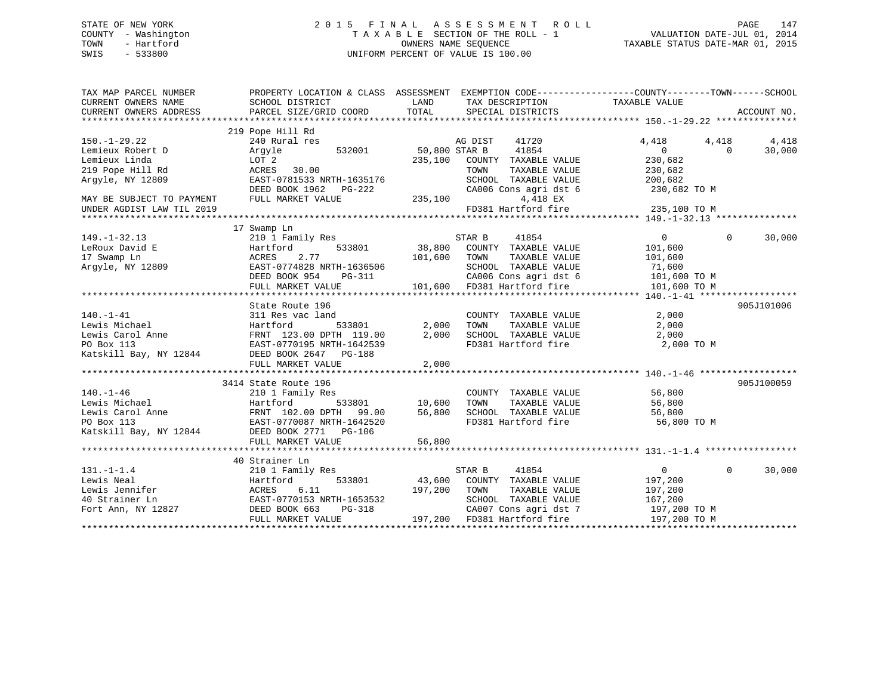## STATE OF NEW YORK 2 0 1 5 F I N A L A S S E S S M E N T R O L L PAGE 147 COUNTY - Washington T A X A B L E SECTION OF THE ROLL - 1 VALUATION DATE-JUL 01, 2014 TOWN - Hartford **TAXABLE STATUS DATE-MAR 01, 2015** OWNERS NAME SEQUENCE TAXABLE STATUS DATE-MAR 01, 2015 SWIS - 533800 UNIFORM PERCENT OF VALUE IS 100.00

| TAX MAP PARCEL NUMBER<br>CURRENT OWNERS NAME<br>CURRENT OWNERS ADDRESS                                                                                    | PROPERTY LOCATION & CLASS ASSESSMENT EXEMPTION CODE----------------COUNTY-------TOWN------SCHOOL<br>SCHOOL DISTRICT                                              | LAND<br>TOTAL            | TAX DESCRIPTION TAXABLE VALUE<br>SPECIAL DISTRICTS                                                                                               |                                                                                |                             |
|-----------------------------------------------------------------------------------------------------------------------------------------------------------|------------------------------------------------------------------------------------------------------------------------------------------------------------------|--------------------------|--------------------------------------------------------------------------------------------------------------------------------------------------|--------------------------------------------------------------------------------|-----------------------------|
| $150. - 1 - 29.22$<br>Lemieux Robert D<br>Lemieux Linda<br>219 Pope Hill Rd<br>Arqyle, NY 12809                                                           | 219 Pope Hill Rd<br>240 Rural res<br>Argyle<br>532001<br>LOT 2<br>ACRES 30.00<br>EAST-0781533 NRTH-1635176                                                       | 50,800 STAR B<br>235,100 | 41720<br>AG DIST<br>41854<br>COUNTY TAXABLE VALUE<br>TOWN<br>TAXABLE VALUE<br>SCHOOL TAXABLE VALUE                                               | 4,418<br>4,418<br>$\overline{0}$<br>230,682<br>230,682<br>200,682              | 4,418<br>30,000<br>$\Omega$ |
| MAY BE SUBJECT TO PAYMENT<br>UNDER AGDIST LAW TIL 2019                                                                                                    | DEED BOOK 1962 PG-222<br>FULL MARKET VALUE                                                                                                                       | 235,100                  | CA006 Cons agri dst 6<br>4,418 EX<br>FD381 Hartford fire                                                                                         | 230,682 TO M<br>235,100 TO M                                                   |                             |
| $149. - 1 - 32.13$<br>LeRoux David E<br>17 Swamp Ln<br>Argyle, NY 12809                                                                                   | 17 Swamp Ln<br>210 1 Family Res<br>Hartford<br>533801<br>ACRES<br>2.77<br>EAST-0774828 NRTH-1636506<br>DEED BOOK 954<br>PG-311<br>FULL MARKET VALUE              | 38,800<br>101,600        | STAR B<br>41854<br>COUNTY TAXABLE VALUE<br>TOWN<br>TAXABLE VALUE<br>SCHOOL TAXABLE VALUE<br>CA006 Cons agri dst 6<br>101,600 FD381 Hartford fire | $\overline{0}$<br>101,600<br>101,600<br>71,600<br>101,600 TO M<br>101,600 TO M | $\Omega$<br>30,000          |
| $140. - 1 - 41$<br>Lewis Michael<br>Lewis Carol Anne<br>PO Box 113<br>PO Box 113 EAST-0770195 NRTH-164253<br>Katskill Bay, NY 12844 DEED BOOK 2647 PG-188 | State Route 196<br>311 Res vac land<br>533801<br>Hartford<br>FRNT 123.00 DPTH 119.00<br>EAST-0770195 NRTH-1642539<br>FULL MARKET VALUE                           | 2,000<br>2,000<br>2,000  | COUNTY TAXABLE VALUE<br>TAXABLE VALUE<br>TOWN<br>SCHOOL TAXABLE VALUE<br>FD381 Hartford fire                                                     | 2,000<br>2,000<br>2,000<br>2,000 TO M                                          | 905J101006                  |
| $140. - 1 - 46$<br>Lewis Michael<br>Lewis Carol Anne<br>PO Box 113<br>Katskill Bay, NY 12844                                                              | 3414 State Route 196<br>210 1 Family Res<br>Hartford<br>---<br>FRNT 102.00 DPTH 99.00<br>EAST-0770087 NRTH-1642520<br>DEED BOOK 2771 PG-106<br>FULL MARKET VALUE | 56,800<br>56,800         | COUNTY TAXABLE VALUE<br>TAXABLE VALUE<br>TOWN<br>SCHOOL TAXABLE VALUE<br>FD381 Hartford fire                                                     | 56,800<br>56,800<br>56,800<br>56,800 TO M                                      | 905J100059                  |
| $131. - 1 - 1.4$<br>Lewis Neal<br>Lewis Jennifer<br>40 Strainer Ln<br>40 Strainer Ln<br>Fort Ann, NY 12827                                                | 40 Strainer Ln<br>210 1 Family Res<br>533801<br>Hartford<br>ACRES<br>6.11<br>EAST-0770153 NRTH-1653532<br><b>PG-318</b><br>DEED BOOK 663                         | 197,200                  | 41854<br>STAR B<br>43,600 COUNTY TAXABLE VALUE<br>TAXABLE VALUE<br>TOWN<br>SCHOOL TAXABLE VALUE<br>CA007 Cons agri dst 7                         | $0 \qquad \qquad$<br>197,200<br>197,200<br>167,200<br>197,200 TO M             | 30,000<br>$\Omega$          |
|                                                                                                                                                           | FULL MARKET VALUE                                                                                                                                                |                          | 197,200 FD381 Hartford fire                                                                                                                      | 197,200 TO M                                                                   |                             |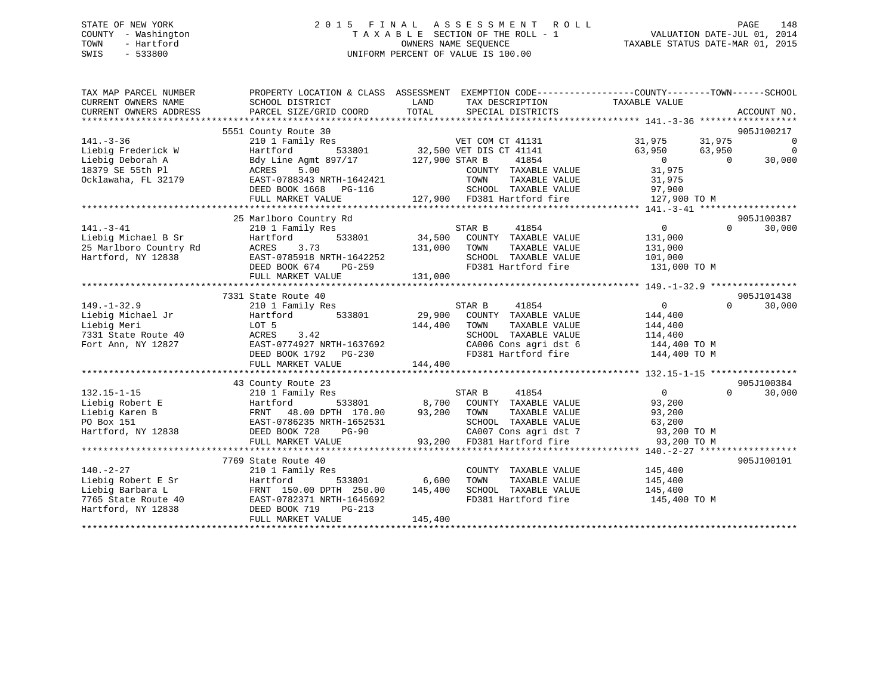## STATE OF NEW YORK 2 0 1 5 F I N A L A S S E S S M E N T R O L L PAGE 148 COUNTY - Washington T A X A B L E SECTION OF THE ROLL - 1 VALUATION DATE-JUL 01, 2014 TOWN - Hartford **TAXABLE STATUS DATE-MAR 01, 2015** OWNERS NAME SEQUENCE TAXABLE STATUS DATE-MAR 01, 2015 SWIS - 533800 UNIFORM PERCENT OF VALUE IS 100.00

| TAX MAP PARCEL NUMBER<br>CURRENT OWNERS NAME<br>CURRENT OWNERS ADDRESS | SCHOOL DISTRICT<br>PARCEL SIZE/GRID COORD | PROPERTY LOCATION & CLASS ASSESSMENT EXEMPTION CODE----------------COUNTY-------TOWN------SCHOOL<br>TAX DESCRIPTION TAXABLE VALUE<br>LAND<br>TOTAL<br>SPECIAL DISTRICTS | ACCOUNT NO.                          |
|------------------------------------------------------------------------|-------------------------------------------|-------------------------------------------------------------------------------------------------------------------------------------------------------------------------|--------------------------------------|
|                                                                        | 5551 County Route 30                      |                                                                                                                                                                         | 905J100217                           |
| $141. - 3 - 36$                                                        | 210 1 Family Res                          | VET COM CT 41131                                                                                                                                                        | 31,975<br>31,975<br>$\overline{0}$   |
|                                                                        | Hartford                                  |                                                                                                                                                                         | $\overline{0}$<br>63,950<br>63,950   |
| Liebig Frederick W                                                     |                                           | 533801 32,500 VET DIS CT 41141<br>97/17 127,900 STAR B 41854                                                                                                            | $\overline{0}$<br>$\bigcap$          |
| Liebig Deborah A                                                       | Bdy Line Agmt 897/17                      |                                                                                                                                                                         | 30,000<br>31,975                     |
| 18379 SE 55th Pl                                                       | ACRES 5.00                                | COUNTY TAXABLE VALUE                                                                                                                                                    |                                      |
| Ocklawaha, FL 32179                                                    | EAST-0788343 NRTH-1642421                 | TOWN TAXABLE VALUE 31,975<br>SCHOOL TAXABLE VALUE 97,900                                                                                                                |                                      |
|                                                                        | DEED BOOK 1668 PG-116                     |                                                                                                                                                                         |                                      |
|                                                                        | FULL MARKET VALUE                         | 127,900 FD381 Hartford fire                                                                                                                                             | 127,900 TO M                         |
|                                                                        |                                           |                                                                                                                                                                         |                                      |
|                                                                        | 25 Marlboro Country Rd                    |                                                                                                                                                                         | 905J100387                           |
| $141. - 3 - 41$                                                        | 210 1 Family Res                          | 41854<br>STAR B                                                                                                                                                         | $\overline{0}$<br>$\Omega$<br>30,000 |
| Liebig Michael B Sr                                                    | Hartford<br>533801                        |                                                                                                                                                                         | 131,000                              |
| 25 Marlboro Country Rd                                                 | 3.73<br>ACRES                             | 131,000 TOWN<br>TAXABLE VALUE                                                                                                                                           | 131,000                              |
| Hartford, NY 12838                                                     | EAST-0785918 NRTH-1642252                 | SCHOOL TAXABLE VALUE                                                                                                                                                    | 101,000                              |
|                                                                        | DEED BOOK 674<br>PG-259                   | FD381 Hartford fire                                                                                                                                                     | 131,000 TO M                         |
|                                                                        | FULL MARKET VALUE                         | 131,000                                                                                                                                                                 |                                      |
|                                                                        |                                           |                                                                                                                                                                         |                                      |
|                                                                        | 7331 State Route 40                       |                                                                                                                                                                         | 905J101438                           |
| $149. - 1 - 32.9$                                                      | 210 1 Family Res                          | STAR B<br>41854                                                                                                                                                         | $\mathbf{0}$<br>$\Omega$<br>30,000   |
| Liebig Michael Jr                                                      | Hartford<br>533801                        | 29,900 COUNTY TAXABLE VALUE                                                                                                                                             | 144,400                              |
| Liebig Meri                                                            | LOT 5                                     | 144,400<br>TOWN<br>TAXABLE VALUE                                                                                                                                        | 144,400                              |
| 7331 State Route 40                                                    | 3.42<br>ACRES                             | SCHOOL TAXABLE VALUE                                                                                                                                                    | 114,400                              |
| Fort Ann, NY 12827                                                     | EAST-0774927 NRTH-1637692                 | CA006 Cons agri dst 6<br>FD381 Hartford fire                                                                                                                            | 144,400 TO M                         |
|                                                                        | DEED BOOK 1792 PG-230                     |                                                                                                                                                                         | 144,400 TO M                         |
|                                                                        |                                           |                                                                                                                                                                         |                                      |
|                                                                        |                                           |                                                                                                                                                                         |                                      |
|                                                                        | 43 County Route 23                        |                                                                                                                                                                         | 905J100384                           |
| $132.15 - 1 - 15$                                                      | 210 1 Family Res                          | 41854<br>STAR B                                                                                                                                                         | $\overline{0}$<br>$\Omega$<br>30,000 |
| Liebig Robert E                                                        | Hartford                                  | 533801 8,700 COUNTY TAXABLE VALUE                                                                                                                                       | 93,200                               |
| Liebig Karen B                                                         | FRNT 48.00 DPTH 170.00                    | 93,200 TOWN<br>TAXABLE VALUE                                                                                                                                            | 93,200                               |
| PO Box 151                                                             | EAST-0786235 NRTH-1652531                 | SCHOOL TAXABLE VALUE                                                                                                                                                    | 63,200                               |
| Hartford, NY 12838                                                     | DEED BOOK 728<br>$PG-90$                  | CA007 Cons agri dst 7                                                                                                                                                   | 93,200 TO M                          |
|                                                                        | FULL MARKET VALUE                         | 93,200 FD381 Hartford fire                                                                                                                                              | 93,200 TO M                          |
|                                                                        |                                           |                                                                                                                                                                         |                                      |
|                                                                        | 7769 State Route 40                       |                                                                                                                                                                         | 905J100101                           |
| $140. - 2 - 27$                                                        | 210 1 Family Res                          | COUNTY TAXABLE VALUE                                                                                                                                                    | 145,400<br>145,400                   |
| Liebig Robert E Sr                                                     | 533801<br>Hartford                        | 6,600<br>TAXABLE VALUE<br>TOWN                                                                                                                                          |                                      |
| Liebig Barbara L                                                       | FRNT 150.00 DPTH 250.00                   | 145,400<br>SCHOOL TAXABLE VALUE                                                                                                                                         | 145,400                              |
| 7765 State Route 40                                                    | EAST-0782371 NRTH-1645692                 | FD381 Hartford fire                                                                                                                                                     | 145,400 TO M                         |
| Hartford, NY 12838                                                     | DEED BOOK 719<br>$PG-213$                 |                                                                                                                                                                         |                                      |
|                                                                        | FULL MARKET VALUE                         | 145,400                                                                                                                                                                 |                                      |
|                                                                        |                                           |                                                                                                                                                                         |                                      |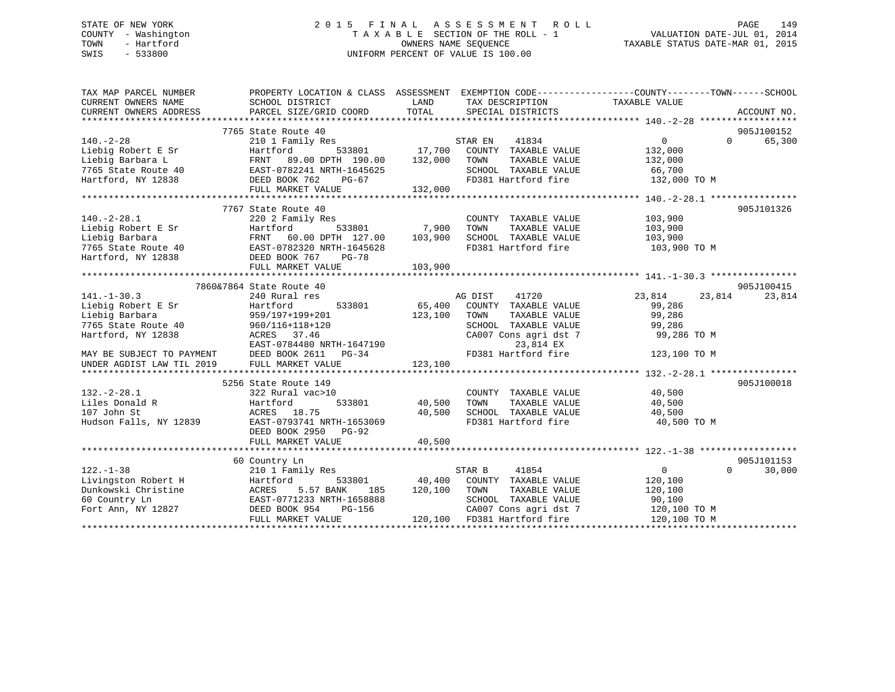## STATE OF NEW YORK 2 0 1 5 F I N A L A S S E S S M E N T R O L L PAGE 149 COUNTY - Washington T A X A B L E SECTION OF THE ROLL - 1 VALUATION DATE-JUL 01, 2014 TOWN - Hartford **TAXABLE STATUS DATE-MAR 01, 2015** OWNERS NAME SEQUENCE TAXABLE STATUS DATE-MAR 01, 2015 SWIS - 533800 UNIFORM PERCENT OF VALUE IS 100.00

| TAX MAP PARCEL NUMBER                                                                                                                                        |                                                                                  |               |                                                               | PROPERTY LOCATION & CLASS ASSESSMENT EXEMPTION CODE----------------COUNTY-------TOWN------SCHOOL |             |
|--------------------------------------------------------------------------------------------------------------------------------------------------------------|----------------------------------------------------------------------------------|---------------|---------------------------------------------------------------|--------------------------------------------------------------------------------------------------|-------------|
| CURRENT OWNERS NAME                                                                                                                                          | SCHOOL DISTRICT                                                                  | LAND          | TAX DESCRIPTION                                               | TAXABLE VALUE                                                                                    |             |
| CURRENT OWNERS ADDRESS                                                                                                                                       | PARCEL SIZE/GRID COORD                                                           | TOTAL         | SPECIAL DISTRICTS                                             |                                                                                                  | ACCOUNT NO. |
|                                                                                                                                                              |                                                                                  |               |                                                               |                                                                                                  |             |
|                                                                                                                                                              | 7765 State Route 40                                                              |               |                                                               |                                                                                                  | 905J100152  |
| $140. - 2 - 28$                                                                                                                                              | s<br>533801 17,700<br>210 1 Family Res                                           |               | STAR EN<br>41834                                              | 0<br>$\Omega$                                                                                    | 65,300      |
| Liebig Robert E Sr                                                                                                                                           | Hartford                                                                         |               | COUNTY TAXABLE VALUE                                          | 132,000                                                                                          |             |
|                                                                                                                                                              | FRNT 89.00 DPTH 190.00 132,000                                                   |               | TOWN<br>TAXABLE VALUE                                         | 132,000                                                                                          |             |
| Liebig Robert E SI<br>Liebig Barbara L<br>The ERNT 89.00 DPTH 190.00<br>7765 State Route 40<br>Hartford, NY 12838<br>EED BOOK 762 PG-67<br>FULL MARKET VALUE |                                                                                  |               | SCHOOL TAXABLE VALUE                                          | 66,700                                                                                           |             |
|                                                                                                                                                              |                                                                                  |               | FD381 Hartford fire                                           | 132,000 TO M                                                                                     |             |
|                                                                                                                                                              | FULL MARKET VALUE                                                                | 132,000       |                                                               |                                                                                                  |             |
|                                                                                                                                                              |                                                                                  |               |                                                               |                                                                                                  |             |
|                                                                                                                                                              | 7767 State Route 40                                                              |               |                                                               |                                                                                                  | 905J101326  |
| $140.-2-28.1$                                                                                                                                                | 220 2 Family Res                                                                 |               | COUNTY TAXABLE VALUE                                          | 103,900                                                                                          |             |
|                                                                                                                                                              |                                                                                  | 533801 7,900  | TOWN<br>TAXABLE VALUE                                         | 103,900                                                                                          |             |
|                                                                                                                                                              |                                                                                  |               | SCHOOL TAXABLE VALUE 103,900                                  |                                                                                                  |             |
|                                                                                                                                                              |                                                                                  |               | FD381 Hartford fire 103,900 TO M                              |                                                                                                  |             |
|                                                                                                                                                              |                                                                                  |               |                                                               |                                                                                                  |             |
|                                                                                                                                                              | FULL MARKET VALUE                                                                | 103,900       |                                                               |                                                                                                  |             |
|                                                                                                                                                              |                                                                                  |               |                                                               |                                                                                                  |             |
|                                                                                                                                                              | 7860&7864 State Route 40                                                         |               |                                                               |                                                                                                  | 905J100415  |
| $141. - 1 - 30.3$                                                                                                                                            | 240 Rural res                                                                    |               | AG DIST<br>41720                                              | 23,814<br>23,814                                                                                 | 23,814      |
| Liebig Robert E Sr                                                                                                                                           | 533801                                                                           | 65,400        | COUNTY TAXABLE VALUE                                          | 99,286                                                                                           |             |
| Liebig Barbara                                                                                                                                               | Hartford<br>959/197+199+201                                                      | 123,100       | TOWN<br>TAXABLE VALUE                                         | 99,286                                                                                           |             |
|                                                                                                                                                              |                                                                                  |               | SCHOOL TAXABLE VALUE                                          | 99,286                                                                                           |             |
|                                                                                                                                                              |                                                                                  |               | CA007 Cons agri dst 7                                         | 99,286 TO M                                                                                      |             |
|                                                                                                                                                              |                                                                                  |               |                                                               |                                                                                                  |             |
|                                                                                                                                                              |                                                                                  |               |                                                               |                                                                                                  |             |
| MAY BE SUBJECT TO PAYMENT DEED BOOK 2611 PG-34<br>UNDER AGDIST LAW TIL 2019 FULL MARKET VALUE                                                                |                                                                                  |               |                                                               |                                                                                                  |             |
|                                                                                                                                                              |                                                                                  |               |                                                               |                                                                                                  |             |
|                                                                                                                                                              | 5256 State Route 149                                                             |               |                                                               |                                                                                                  | 905J100018  |
| $132 - 2 - 28.1$                                                                                                                                             | 322 Rural vac>10                                                                 |               | COUNTY TAXABLE VALUE                                          | 40,500                                                                                           |             |
| Liles Donald R                                                                                                                                               | Hartford                                                                         | 533801 40,500 | TAXABLE VALUE<br>TOWN                                         | 40,500                                                                                           |             |
| 107 John St                                                                                                                                                  | ACRES 18.75                                                                      | 40,500        |                                                               | 40,500                                                                                           |             |
| Hudson Falls, NY 12839 EAST-0793741 NRTH-1653069                                                                                                             |                                                                                  |               | SCHOOL TAXABLE VALUE<br>FD381 Hartford fire                   | 40,500 TO M                                                                                      |             |
|                                                                                                                                                              | DEED BOOK 2950 PG-92                                                             |               |                                                               |                                                                                                  |             |
|                                                                                                                                                              | FULL MARKET VALUE                                                                | 40,500        |                                                               |                                                                                                  |             |
|                                                                                                                                                              |                                                                                  |               |                                                               |                                                                                                  |             |
|                                                                                                                                                              | 60 Country Ln                                                                    |               |                                                               |                                                                                                  | 905J101153  |
| $122. - 1 - 38$                                                                                                                                              | 210 1 Family Res                                                                 |               | STAR B<br>41854                                               | $\overline{0}$<br>$\Omega$                                                                       | 30,000      |
| Livingston Robert H                                                                                                                                          | Hartford                                                                         | 533801 40,400 | COUNTY TAXABLE VALUE                                          | 120,100                                                                                          |             |
| Dunkowski Christine                                                                                                                                          |                                                                                  | 120,100       | TOWN<br>TAXABLE VALUE                                         | 120,100                                                                                          |             |
| 60 Country Ln                                                                                                                                                |                                                                                  |               | SCHOOL TAXABLE VALUE                                          | 90,100                                                                                           |             |
| Fort Ann, NY 12827                                                                                                                                           | ACRES 5.5/ PANI.<br>EAST-0771233 NRTH-1658888<br>AST-054 PG-156<br>DEED BOOK 954 |               | CA007 Cons agri dst 7                                         | 120,100 TO M                                                                                     |             |
|                                                                                                                                                              | FULL MARKET VALUE                                                                |               | PG-156 CA007 Cons agri dst 7<br>E 120,100 FD381 Hartford fire | 120,100 TO M                                                                                     |             |
|                                                                                                                                                              |                                                                                  |               |                                                               |                                                                                                  |             |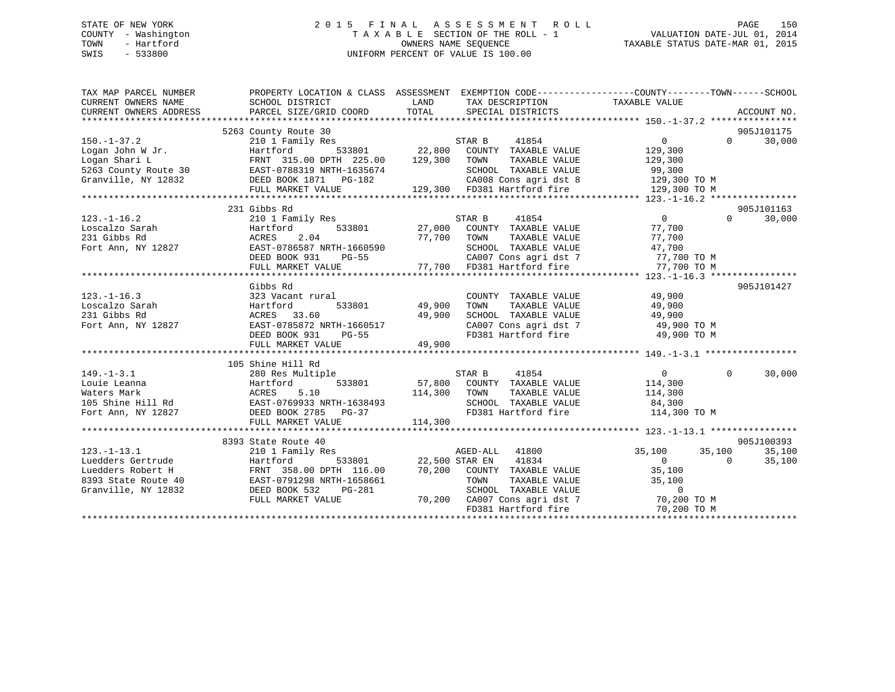## STATE OF NEW YORK 2 0 1 5 F I N A L A S S E S S M E N T R O L L PAGE 150 COUNTY - Washington T A X A B L E SECTION OF THE ROLL - 1 VALUATION DATE-JUL 01, 2014 TOWN - Hartford **TAXABLE STATUS DATE-MAR 01, 2015** OWNERS NAME SEQUENCE TAXABLE STATUS DATE-MAR 01, 2015 SWIS - 533800 UNIFORM PERCENT OF VALUE IS 100.00

| TAX MAP PARCEL NUMBER<br>CURRENT OWNERS NAME<br>CURRENT OWNERS ADDRESS                                                                                                                                                                 | PROPERTY LOCATION & CLASS ASSESSMENT EXEMPTION CODE----------------COUNTY-------TOWN------SCHOOL<br>SCHOOL DISTRICT<br>PARCEL SIZE/GRID COORD | LAND<br>TOTAL                       | TAX DESCRIPTION TAXABLE VALUE<br>SPECIAL DISTRICTS                |                                                                        | ACCOUNT NO.                 |
|----------------------------------------------------------------------------------------------------------------------------------------------------------------------------------------------------------------------------------------|-----------------------------------------------------------------------------------------------------------------------------------------------|-------------------------------------|-------------------------------------------------------------------|------------------------------------------------------------------------|-----------------------------|
|                                                                                                                                                                                                                                        | 5263 County Route 30                                                                                                                          |                                     |                                                                   |                                                                        | 905J101175                  |
| $150. - 1 - 37.2$                                                                                                                                                                                                                      | 210 1 Family Res                                                                                                                              |                                     | STAR B<br>41854                                                   | $\overline{0}$                                                         | $0 \qquad \qquad$<br>30,000 |
| 150.-1-37.2<br>Logan John W.Jr. Hartford Henrich (129,300 COUNTY TAXABLE VALUE<br>Logan John W.Jr. Hartford Henrich (129,300 COUNTY TAXABLE VALUE 129,300<br>EAST-0788319 NRTH-1635674 SCHOOL TAXABLE VALUE 99,300<br>Granville, NY 12 |                                                                                                                                               |                                     |                                                                   |                                                                        |                             |
|                                                                                                                                                                                                                                        |                                                                                                                                               |                                     |                                                                   |                                                                        |                             |
|                                                                                                                                                                                                                                        |                                                                                                                                               |                                     |                                                                   |                                                                        |                             |
|                                                                                                                                                                                                                                        |                                                                                                                                               |                                     |                                                                   |                                                                        |                             |
|                                                                                                                                                                                                                                        |                                                                                                                                               |                                     |                                                                   |                                                                        |                             |
|                                                                                                                                                                                                                                        |                                                                                                                                               |                                     |                                                                   |                                                                        |                             |
|                                                                                                                                                                                                                                        | 231 Gibbs Rd                                                                                                                                  |                                     |                                                                   |                                                                        | 905J101163                  |
| $123. - 1 - 16.2$                                                                                                                                                                                                                      | 210 1 Family Res                                                                                                                              |                                     | STAR B 41854                                                      | $\overline{0}$                                                         | $\Omega$<br>30,000          |
|                                                                                                                                                                                                                                        |                                                                                                                                               |                                     | 533801 27,000 COUNTY TAXABLE VALUE                                | 77,700                                                                 |                             |
|                                                                                                                                                                                                                                        |                                                                                                                                               |                                     |                                                                   | 77,700                                                                 |                             |
|                                                                                                                                                                                                                                        |                                                                                                                                               |                                     | TAXABLE VALUE<br>TAXABLE VALUE<br>SCHOOL TAXABLE VALUE            | 47,700                                                                 |                             |
|                                                                                                                                                                                                                                        | $PG-55$<br>DEED BOOK 931                                                                                                                      |                                     |                                                                   | CA007 Cons agri dst 7 $77,700$ TO M                                    |                             |
|                                                                                                                                                                                                                                        |                                                                                                                                               |                                     |                                                                   |                                                                        |                             |
|                                                                                                                                                                                                                                        |                                                                                                                                               |                                     |                                                                   |                                                                        |                             |
|                                                                                                                                                                                                                                        | Gibbs Rd                                                                                                                                      |                                     |                                                                   |                                                                        | 905J101427                  |
| $123. - 1 - 16.3$                                                                                                                                                                                                                      | 323 Vacant rural                                                                                                                              |                                     | COUNTY TAXABLE VALUE                                              | 49,900                                                                 |                             |
| Loscalzo Sarah                                                                                                                                                                                                                         | Hartford                                                                                                                                      | l<br>533801                  49,900 | TOWN<br>TAXABLE VALUE                                             | 49,900                                                                 |                             |
| 231 Gibbs Rd                                                                                                                                                                                                                           | ACRES 33.60                                                                                                                                   | 49,900                              | SCHOOL TAXABLE VALUE 49,900                                       |                                                                        |                             |
| Fort Ann, NY 12827                                                                                                                                                                                                                     |                                                                                                                                               |                                     |                                                                   |                                                                        |                             |
|                                                                                                                                                                                                                                        | EAST-0785872 NRTH-1660517<br>DEED BOOK 931 PG-55                                                                                              |                                     |                                                                   | CA007 Cons agri dst 7 (49,900 TO M<br>FD381 Hartford fire (49,900 TO M |                             |
|                                                                                                                                                                                                                                        | FULL MARKET VALUE                                                                                                                             | 49,900                              |                                                                   |                                                                        |                             |
|                                                                                                                                                                                                                                        |                                                                                                                                               |                                     |                                                                   |                                                                        |                             |
|                                                                                                                                                                                                                                        | 105 Shine Hill Rd                                                                                                                             |                                     |                                                                   |                                                                        |                             |
| $149. - 1 - 3.1$                                                                                                                                                                                                                       | 280 Res Multiple                                                                                                                              |                                     | STAR B<br>41854                                                   | $\overline{0}$                                                         | $\Omega$<br>30,000          |
|                                                                                                                                                                                                                                        |                                                                                                                                               |                                     |                                                                   |                                                                        |                             |
| Louie Leanna<br>Waters Mark Mark ACRES 5.10<br>105 Shine Hill Rd EAST-0769933 NRTH-1638493                                                                                                                                             |                                                                                                                                               | 114,300 TOWN                        | $533801$ $57,800$ COUNTY TAXABLE VALUE $114,300$<br>TAXABLE VALUE | 114,300                                                                |                             |
|                                                                                                                                                                                                                                        |                                                                                                                                               |                                     | SCHOOL TAXABLE VALUE 84,300                                       |                                                                        |                             |
| Fort Ann, NY 12827 DEED BOOK 2785 PG-37                                                                                                                                                                                                |                                                                                                                                               |                                     |                                                                   | FD381 Hartford fire 114,300 TO M                                       |                             |
|                                                                                                                                                                                                                                        | FULL MARKET VALUE                                                                                                                             | 114,300                             |                                                                   |                                                                        |                             |
|                                                                                                                                                                                                                                        |                                                                                                                                               |                                     |                                                                   |                                                                        |                             |
|                                                                                                                                                                                                                                        | 8393 State Route 40                                                                                                                           |                                     |                                                                   |                                                                        | 905J100393                  |
| $123. - 1 - 13.1$                                                                                                                                                                                                                      | 210 1 Family Res                                                                                                                              |                                     | AGED-ALL 41800                                                    | 35,100 35,100                                                          | 35,100                      |
| Luedders Gertrude                                                                                                                                                                                                                      | Hartford                                                                                                                                      |                                     | 533801 22,500 STAR EN 41834                                       | $\overline{0}$<br>$\overline{0}$                                       | 35,100                      |
|                                                                                                                                                                                                                                        |                                                                                                                                               |                                     |                                                                   |                                                                        |                             |
|                                                                                                                                                                                                                                        |                                                                                                                                               |                                     |                                                                   |                                                                        |                             |
|                                                                                                                                                                                                                                        |                                                                                                                                               |                                     |                                                                   |                                                                        |                             |
|                                                                                                                                                                                                                                        | FULL MARKET VALUE                                                                                                                             |                                     |                                                                   |                                                                        |                             |
|                                                                                                                                                                                                                                        |                                                                                                                                               |                                     | 70,200 CA007 Cons agri dst 7 70,200 TO M<br>FD381 Hartford fire   | 70,200 TO M                                                            |                             |
|                                                                                                                                                                                                                                        |                                                                                                                                               |                                     |                                                                   |                                                                        |                             |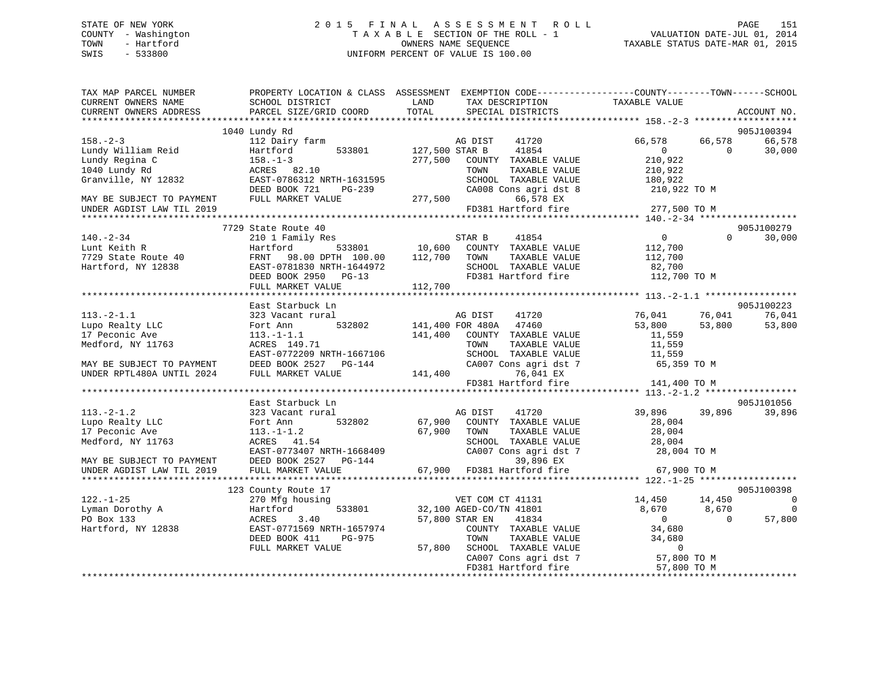## STATE OF NEW YORK 2 0 1 5 F I N A L A S S E S S M E N T R O L L PAGE 151 COUNTY - Washington T A X A B L E SECTION OF THE ROLL - 1 VALUATION DATE-JUL 01, 2014 TOWN - Hartford **TAXABLE STATUS DATE-MAR 01, 2015** OWNERS NAME SEQUENCE TAXABLE STATUS DATE-MAR 01, 2015 SWIS - 533800 UNIFORM PERCENT OF VALUE IS 100.00

| TAX MAP PARCEL NUMBER<br>CURRENT OWNERS NAME<br>CURRENT OWNERS ADDRESS                                                | SCHOOL DISTRICT<br>PARCEL SIZE/GRID COORD                                                                                                                                    | PROPERTY LOCATION & CLASS ASSESSMENT EXEMPTION CODE---------------COUNTY-------TOWN-----SCHOOL<br>LAND<br>TAX DESCRIPTION<br>TOTAL<br>SPECIAL DISTRICTS                                                                                                                                                                      | TAXABLE VALUE<br>ACCOUNT NO.                                                                        |                            |
|-----------------------------------------------------------------------------------------------------------------------|------------------------------------------------------------------------------------------------------------------------------------------------------------------------------|------------------------------------------------------------------------------------------------------------------------------------------------------------------------------------------------------------------------------------------------------------------------------------------------------------------------------|-----------------------------------------------------------------------------------------------------|----------------------------|
|                                                                                                                       |                                                                                                                                                                              |                                                                                                                                                                                                                                                                                                                              |                                                                                                     |                            |
|                                                                                                                       | 1040 Lundy Rd                                                                                                                                                                |                                                                                                                                                                                                                                                                                                                              | 905J100394                                                                                          |                            |
| $158. - 2 - 3$<br>Lundy William Reid<br>Lundy Regina C<br>1040 Lundy Rd<br>Granville, NY 12832                        | 112 Dairy farm<br>533801<br>Hartford<br>$158. - 1 - 3$<br>ACRES 82.10<br>EAST-0786312 NRTH-1631595                                                                           | AG DIST<br>41720<br>127,500 STAR B<br>41854<br>277,500 COUNTY TAXABLE VALUE<br>TAXABLE VALUE<br>TOWN<br>SCHOOL TAXABLE VALUE                                                                                                                                                                                                 | 66,578<br>66,578<br>66,578<br>$\overline{0}$<br>$\Omega$<br>30,000<br>210,922<br>210,922<br>180,922 |                            |
| MAY BE SUBJECT TO PAYMENT FULL MARKET VALUE<br>UNDER AGDIST LAW TIL 2019                                              | DEED BOOK 721<br>PG-239                                                                                                                                                      | CA008 Cons agri dst 8<br>66,578 EX<br>FD381 Hartford fire<br>277,500                                                                                                                                                                                                                                                         | 210,922 TO M<br>277,500 TO M                                                                        |                            |
|                                                                                                                       |                                                                                                                                                                              |                                                                                                                                                                                                                                                                                                                              |                                                                                                     |                            |
| $140. - 2 - 34$<br>Lunt Keith R<br>7729 State Route 40<br>Hartford, NY 12838                                          | 7729 State Route 40<br>210 1 Family Res<br>Hartford<br>FRNT 98.00 DPTH 100.00 112,700 TOWN<br>EAST-0781830 NRTH-1644972<br>DEED BOOK 2950 PG-13<br>FULL MARKET VALUE 112,700 | $\begin{array}{cccc}\texttt{533801} & \texttt{533801} & \texttt{10,600} & \texttt{COUNTY} & \texttt{TAXABLE VALUE} \end{array}$<br>TAXABLE VALUE<br>SCHOOL TAXABLE VALUE<br>FD381 Hartford fire 112,700 TO M                                                                                                                 | 905J100279<br>$\overline{0}$<br>$\Omega$<br>30,000<br>112,700<br>112,700<br>82,700                  |                            |
|                                                                                                                       | East Starbuck Ln                                                                                                                                                             |                                                                                                                                                                                                                                                                                                                              | 905J100223                                                                                          |                            |
| $113.-2-1.1$<br>Lupo Realty LLC<br>17 Peconic Ave<br>Medford, NY 11763                                                | 323 Vacant rural<br>Fort Ann<br>$113.-1-1.1$<br>ACRES 149.71<br>EAST-0772209 NRTH-1667106<br>DEED BOOK 2527 PG-144                                                           | 41720<br>AG DIST<br>532802 141,400 FOR 480A 47460<br>141,400 COUNTY TAXABLE VALUE<br>TOWN<br>TAXABLE VALUE<br>SCHOOL TAXABLE VALUE<br>CA007 Cons agri dst 7 65,359 TO M                                                                                                                                                      | 76,041<br>76,041<br>76,041<br>53,800<br>53,800<br>53,800<br>11,559<br>11,559<br>11,559              |                            |
| MAY BE SUBJECT TO PAYMENT<br>UNDER RPTL480A UNTIL 2024<br>UNDER RPTL480A UNTIL 2024                                   | FULL MARKET VALUE                                                                                                                                                            | 141,400<br>76,041 EX<br>FD381 Hartford fire                                                                                                                                                                                                                                                                                  | 141,400 TO M                                                                                        |                            |
|                                                                                                                       |                                                                                                                                                                              |                                                                                                                                                                                                                                                                                                                              |                                                                                                     |                            |
|                                                                                                                       | East Starbuck Ln                                                                                                                                                             |                                                                                                                                                                                                                                                                                                                              | 905J101056                                                                                          |                            |
| $113. - 2 - 1.2$<br>113.-2-1.2<br>Lupo Realty LLC<br>17 Peconic Ave<br>Medford, NY 11763<br>MAY BE SUBJECT TO PAYMENT | 323 Vacant rural<br>532802<br>Fort Ann<br>$113.-1-1.2$<br>ACRES 41.54<br>EAST-0773407 NRTH-1668409<br>DEED BOOK 2527 PG-144                                                  | AG DIST<br>41720<br>67,900 COUNTY TAXABLE VALUE<br>67,900 TOWN<br>TAXABLE VALUE<br>$\begin{tabular}{lllllllll} \texttt{SCHOOL} & \texttt{TAXABLE} & \texttt{VALUE} & & & 28,004 \\ \texttt{CA007} & \texttt{Cons}\ \texttt{agri}\ \texttt{dst}\ \texttt{7} & & & 28,004\ \texttt{TO}\ \texttt{M} \end{tabular}$<br>39,896 EX | 39,896<br>39,896<br>39,896<br>28,004<br>28,004                                                      |                            |
| UNDER AGDIST LAW TIL 2019                                                                                             | FULL MARKET VALUE                                                                                                                                                            | 67,900 FD381 Hartford fire                                                                                                                                                                                                                                                                                                   | 67,900 TO M                                                                                         |                            |
|                                                                                                                       |                                                                                                                                                                              |                                                                                                                                                                                                                                                                                                                              | 905J100398                                                                                          |                            |
| $122. - 1 - 25$<br>122.-1-25<br>Lyman Dorothy A<br>Hartford, NY 12838                                                 | 123 County Route 17<br>270 Mfg housing<br>533801<br>Hartford<br>3.40<br>ACRES<br>EAST-0771569 NRTH-1657974<br>DEED BOOK 411<br>PG-975<br>FULL MARKET VALUE                   | VET COM CT 41131<br>32,100 AGED-CO/TN 41801<br>57,800 STAR EN<br>41834<br>COUNTY TAXABLE VALUE<br>FOWN TAXABLE VALUE<br>TOWN TAXABLE VALUE<br>SCHOOL TAXABLE VALUE<br>CA007 Cons agri dst 7 57,800 TO M<br>FD381 Hartford fire 57,800 TO M<br>57,800 SCHOOL TAXABLE VALUE                                                    | 14,450 14,450<br>8,670<br>8,670<br>$\overline{0}$<br>$\bigcirc$<br>57,800<br>34,680<br>34,680       | $\overline{0}$<br>$\Omega$ |
|                                                                                                                       |                                                                                                                                                                              |                                                                                                                                                                                                                                                                                                                              |                                                                                                     |                            |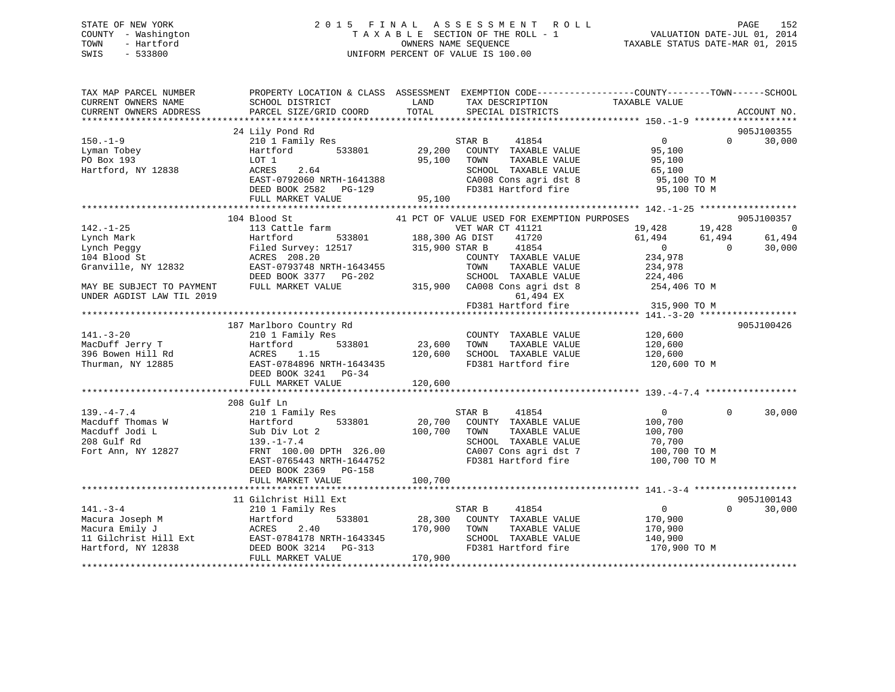## STATE OF NEW YORK 2 0 1 5 F I N A L A S S E S S M E N T R O L L PAGE 152 COUNTY - Washington T A X A B L E SECTION OF THE ROLL - 1 VALUATION DATE-JUL 01, 2014 TOWN - Hartford **TAXABLE STATUS DATE-MAR 01, 2015** OWNERS NAME SEQUENCE TAXABLE STATUS DATE-MAR 01, 2015 SWIS - 533800 UNIFORM PERCENT OF VALUE IS 100.00

| TAX MAP PARCEL NUMBER<br>CURRENT OWNERS NAME<br>CURRENT OWNERS ADDRESS | SCHOOL DISTRICT<br>PARCEL SIZE/GRID COORD         | PROPERTY LOCATION & CLASS ASSESSMENT EXEMPTION CODE----------------COUNTY-------TOWN------SCHOOL<br>LAND<br>TAX DESCRIPTION<br>TOTAL<br>SPECIAL DISTRICTS | TAXABLE VALUE<br>ACCOUNT NO.          |
|------------------------------------------------------------------------|---------------------------------------------------|-----------------------------------------------------------------------------------------------------------------------------------------------------------|---------------------------------------|
|                                                                        |                                                   |                                                                                                                                                           |                                       |
|                                                                        | 24 Lily Pond Rd                                   |                                                                                                                                                           | 905J100355                            |
| $150. - 1 - 9$                                                         | 210 1 Family Res                                  | STAR B<br>41854                                                                                                                                           | $\overline{0}$<br>$\Omega$<br>30,000  |
| Lyman Tobey<br>PO Box 193                                              | 533801<br>Hartford                                | 29,200<br>COUNTY TAXABLE VALUE                                                                                                                            | 95,100                                |
| Hartford, NY 12838                                                     | LOT 1<br>ACRES<br>2.64                            | 95,100<br>TAXABLE VALUE<br>TOWN<br>SCHOOL TAXABLE VALUE                                                                                                   | 95,100<br>65,100                      |
|                                                                        | EAST-0792060 NRTH-1641388                         | CA008 Cons agri dst 8                                                                                                                                     | 95,100 TO M                           |
|                                                                        | DEED BOOK 2582    PG-129                          | FD381 Hartford fire                                                                                                                                       | 95,100 TO M                           |
|                                                                        | FULL MARKET VALUE                                 | 95,100                                                                                                                                                    |                                       |
|                                                                        |                                                   |                                                                                                                                                           |                                       |
|                                                                        | 104 Blood St                                      | 41 PCT OF VALUE USED FOR EXEMPTION PURPOSES                                                                                                               | 905J100357                            |
| $142. - 1 - 25$                                                        | 113 Cattle farm                                   | VET WAR CT 41121                                                                                                                                          | 19,428<br>19,428<br>$\overline{0}$    |
| Lynch Mark                                                             | 533801<br>Hartford                                | 188,300 AG DIST<br>41720                                                                                                                                  | 61,494<br>61,494<br>61,494            |
| Lynch Peggy                                                            | Filed Survey: 12517                               | 41854<br>315,900 STAR B                                                                                                                                   | $\overline{0}$<br>30,000<br>$\bigcap$ |
| 104 Blood St                                                           | ACRES 208.20                                      | COUNTY TAXABLE VALUE                                                                                                                                      | 234,978                               |
| Granville, NY 12832                                                    | EAST-0793748 NRTH-1643455                         | TAXABLE VALUE<br>TOWN                                                                                                                                     | 234,978                               |
|                                                                        | DEED BOOK 3377 PG-202                             | SCHOOL TAXABLE VALUE                                                                                                                                      | 224,406                               |
| MAY BE SUBJECT TO PAYMENT                                              | FULL MARKET VALUE                                 | 315,900 CA008 Cons agri dst 8                                                                                                                             | 254,406 TO M                          |
| UNDER AGDIST LAW TIL 2019                                              |                                                   | 61,494 EX                                                                                                                                                 |                                       |
|                                                                        |                                                   | FD381 Hartford fire                                                                                                                                       | 315,900 TO M                          |
|                                                                        |                                                   |                                                                                                                                                           |                                       |
|                                                                        | 187 Marlboro Country Rd                           |                                                                                                                                                           | 905J100426                            |
| $141. - 3 - 20$                                                        | 210 1 Family Res                                  | COUNTY TAXABLE VALUE                                                                                                                                      | 120,600                               |
| MacDuff Jerry T                                                        | 533801<br>Hartford                                | 23,600<br>TAXABLE VALUE<br>TOWN                                                                                                                           | 120,600                               |
| 396 Bowen Hill Rd                                                      | ACRES<br>1.15                                     | 120,600<br>SCHOOL TAXABLE VALUE                                                                                                                           | 120,600                               |
| Thurman, NY 12885                                                      | EAST-0784896 NRTH-1643435<br>DEED BOOK 3241 PG-34 | FD381 Hartford fire                                                                                                                                       | 120,600 TO M                          |
|                                                                        | FULL MARKET VALUE                                 | 120,600                                                                                                                                                   |                                       |
|                                                                        |                                                   |                                                                                                                                                           |                                       |
|                                                                        | 208 Gulf Ln                                       |                                                                                                                                                           |                                       |
| $139. -4 - 7.4$                                                        | 210 1 Family Res                                  | STAR B<br>41854                                                                                                                                           | 30,000<br>$\overline{0}$<br>$\Omega$  |
| Macduff Thomas W                                                       | 533801<br>Hartford                                | 20,700 COUNTY TAXABLE VALUE                                                                                                                               | 100,700                               |
| Macduff Jodi L                                                         | Sub Div Lot 2                                     | 100,700<br>TAXABLE VALUE<br>TOWN                                                                                                                          | 100,700                               |
| 208 Gulf Rd                                                            | $139. - 1 - 7.4$                                  | SCHOOL TAXABLE VALUE                                                                                                                                      | 70,700                                |
| Fort Ann, NY 12827                                                     | FRNT 100.00 DPTH 326.00                           | CA007 Cons agri dst 7                                                                                                                                     | 100,700 TO M                          |
|                                                                        | EAST-0765443 NRTH-1644752                         | FD381 Hartford fire                                                                                                                                       | 100,700 TO M                          |
|                                                                        | DEED BOOK 2369 PG-158                             |                                                                                                                                                           |                                       |
|                                                                        | FULL MARKET VALUE                                 | 100,700                                                                                                                                                   |                                       |
|                                                                        |                                                   |                                                                                                                                                           |                                       |
|                                                                        | 11 Gilchrist Hill Ext                             |                                                                                                                                                           | 905J100143                            |
| $141 - 3 - 4$                                                          | 210 1 Family Res                                  | 41854<br>STAR B                                                                                                                                           | $\overline{0}$<br>30,000<br>$\Omega$  |
| Macura Joseph M                                                        | 533801<br>Hartford                                | 28,300<br>COUNTY TAXABLE VALUE                                                                                                                            | 170,900                               |
| Macura Emily J                                                         | ACRES<br>2.40                                     | 170,900<br>TOWN<br>TAXABLE VALUE                                                                                                                          | 170,900                               |
| 11 Gilchrist Hill Ext                                                  | EAST-0784178 NRTH-1643345                         | SCHOOL TAXABLE VALUE                                                                                                                                      | 140,900                               |
| Hartford, NY 12838                                                     | DEED BOOK 3214 PG-313<br>FULL MARKET VALUE        | FD381 Hartford fire<br>170,900                                                                                                                            | 170,900 TO M                          |
|                                                                        |                                                   |                                                                                                                                                           |                                       |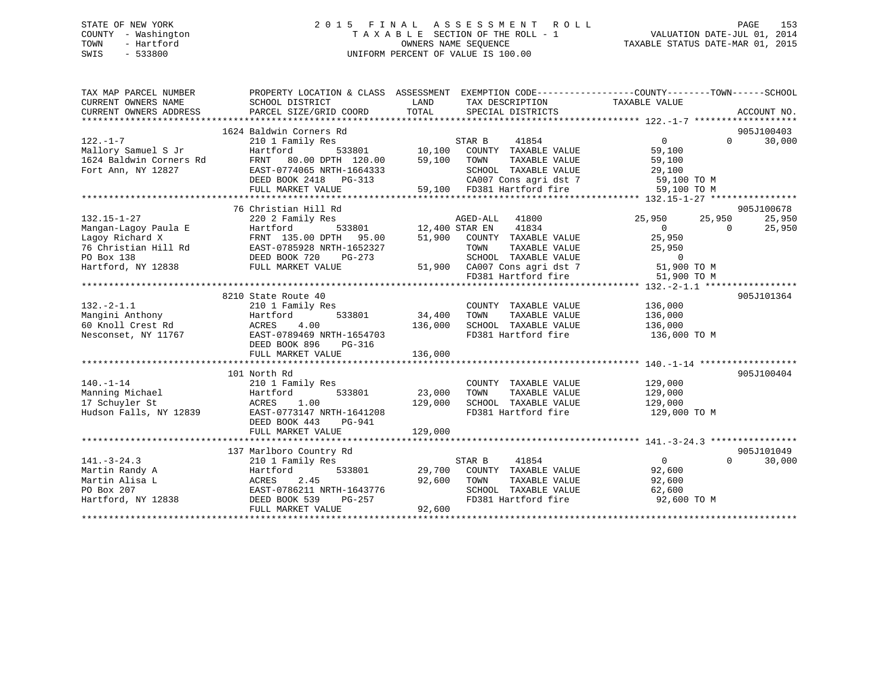## STATE OF NEW YORK 2 0 1 5 F I N A L A S S E S S M E N T R O L L PAGE 153 COUNTY - Washington T A X A B L E SECTION OF THE ROLL - 1 VALUATION DATE-JUL 01, 2014 TOWN - Hartford **TAXABLE STATUS DATE-MAR 01, 2015** OWNERS NAME SEQUENCE TAXABLE STATUS DATE-MAR 01, 2015 SWIS - 533800 UNIFORM PERCENT OF VALUE IS 100.00

| TAX MAP PARCEL NUMBER<br>CURRENT OWNERS NAME<br>CURRENT OWNERS ADDRESS | PROPERTY LOCATION & CLASS ASSESSMENT EXEMPTION CODE----------------COUNTY-------TOWN------SCHOOL<br>SCHOOL DISTRICT<br>PARCEL SIZE/GRID COORD | LAND<br>TOTAL         | TAX DESCRIPTION TAXABLE VALUE<br>SPECIAL DISTRICTS                                                      |                |          | ACCOUNT NO. |
|------------------------------------------------------------------------|-----------------------------------------------------------------------------------------------------------------------------------------------|-----------------------|---------------------------------------------------------------------------------------------------------|----------------|----------|-------------|
|                                                                        | 1624 Baldwin Corners Rd                                                                                                                       |                       |                                                                                                         |                |          | 905J100403  |
| $122. - 1 - 7$                                                         | 210 1 Family Res                                                                                                                              |                       | STAR B<br>41854                                                                                         | $\Omega$       | $\Omega$ | 30,000      |
| Mallory Samuel S Jr                                                    | Hartford                                                                                                                                      |                       | ${\tt 533801} \hspace{20pt} {\tt 10,100} \hspace{20pt} {\tt COUNTY} \hspace{20pt} {\tt TAXABLE~ VALUE}$ | 59,100         |          |             |
| 1624 Baldwin Corners Rd                                                | FRNT 80.00 DPTH 120.00                                                                                                                        | 59,100                | TAXABLE VALUE<br>TOWN                                                                                   | 59,100         |          |             |
| Fort Ann, NY 12827                                                     | EAST-0774065 NRTH-1664333                                                                                                                     |                       | SCHOOL TAXABLE VALUE                                                                                    | 29,100         |          |             |
|                                                                        | DEED BOOK 2418 PG-313                                                                                                                         |                       | CA007 Cons agri dst 7 59,100 TO M                                                                       |                |          |             |
|                                                                        | FULL MARKET VALUE                                                                                                                             |                       | 59,100 FD381 Hartford fire                                                                              | 59,100 TO M    |          |             |
|                                                                        |                                                                                                                                               |                       |                                                                                                         |                |          |             |
|                                                                        | 76 Christian Hill Rd                                                                                                                          |                       |                                                                                                         |                |          | 905J100678  |
| $132.15 - 1 - 27$                                                      | 220 2 Family Res                                                                                                                              |                       | AGED-ALL 41800                                                                                          | 25,950         | 25,950   | 25,950      |
| Mangan-Lagoy Paula E                                                   | Hartford                                                                                                                                      | 533801 12,400 STAR EN | 41834                                                                                                   | $\Omega$       | $\Omega$ | 25,950      |
| Lagoy Richard X                                                        | FRNT 135.00 DPTH 95.00                                                                                                                        |                       | 51,900 COUNTY TAXABLE VALUE                                                                             | 25,950         |          |             |
| 76 Christian Hill Rd                                                   | EAST-0785928 NRTH-1652327                                                                                                                     |                       | TOWN<br>TAXABLE VALUE                                                                                   | 25,950         |          |             |
| PO Box 138                                                             | DEED BOOK 720<br>PG-273                                                                                                                       |                       | SCHOOL TAXABLE VALUE                                                                                    | $\overline{0}$ |          |             |
| Hartford, NY 12838                                                     | FULL MARKET VALUE                                                                                                                             |                       | 51,900 CA007 Cons agri dst 7 51,900 TO M                                                                |                |          |             |
|                                                                        |                                                                                                                                               |                       | FD381 Hartford fire                                                                                     | 51,900 TO M    |          |             |
|                                                                        |                                                                                                                                               |                       |                                                                                                         |                |          |             |
|                                                                        | 8210 State Route 40                                                                                                                           |                       |                                                                                                         |                |          | 905J101364  |
| $132 - 2 - 1.1$                                                        | 210 1 Family Res                                                                                                                              |                       | COUNTY TAXABLE VALUE                                                                                    | 136,000        |          |             |
| Mangini Anthony                                                        | Hartford                                                                                                                                      | 533801 34,400         | TOWN<br>TAXABLE VALUE                                                                                   | 136,000        |          |             |
| 60 Knoll Crest Rd<br>Mesonset NY 11767                                 | 4.00<br>ACRES                                                                                                                                 | 136,000               | SCHOOL TAXABLE VALUE                                                                                    | 136,000        |          |             |
| Nesconset, NY 11767                                                    | EAST-0789469 NRTH-1654703                                                                                                                     |                       | FD381 Hartford fire                                                                                     | 136,000 TO M   |          |             |
|                                                                        | DEED BOOK 896<br>PG-316                                                                                                                       |                       |                                                                                                         |                |          |             |
|                                                                        | FULL MARKET VALUE                                                                                                                             | 136,000               |                                                                                                         |                |          |             |
|                                                                        |                                                                                                                                               |                       |                                                                                                         |                |          |             |
|                                                                        | 101 North Rd                                                                                                                                  |                       |                                                                                                         |                |          | 905J100404  |
| $140. - 1 - 14$                                                        | 210 1 Family Res                                                                                                                              |                       | COUNTY TAXABLE VALUE                                                                                    | 129,000        |          |             |
| Manning Michael                                                        | Hartford<br>533801                                                                                                                            | 23,000                | TAXABLE VALUE<br>TOWN                                                                                   | 129,000        |          |             |
| 17 Schuyler St                                                         | ACRES<br>1.00                                                                                                                                 | 129,000               | SCHOOL TAXABLE VALUE 129,000                                                                            |                |          |             |
| Hudson Falls, NY 12839                                                 | EAST-0773147 NRTH-1641208                                                                                                                     |                       | FD381 Hartford fire                                                                                     | 129,000 TO M   |          |             |
|                                                                        | DEED BOOK 443<br>PG-941                                                                                                                       |                       |                                                                                                         |                |          |             |
|                                                                        | FULL MARKET VALUE                                                                                                                             | 129,000               |                                                                                                         |                |          |             |
|                                                                        |                                                                                                                                               |                       |                                                                                                         |                |          |             |
|                                                                        | 137 Marlboro Country Rd                                                                                                                       |                       |                                                                                                         |                |          | 905J101049  |
| $141. - 3 - 24.3$                                                      | 210 1 Family Res                                                                                                                              |                       | 41854<br>STAR B                                                                                         | $\overline{0}$ | $\Omega$ | 30,000      |
| Martin Randy A                                                         | 533801<br>Hartford                                                                                                                            |                       | 29,700 COUNTY TAXABLE VALUE                                                                             | 92,600         |          |             |
| Martin Alisa L                                                         | 2.45<br>ACRES                                                                                                                                 | 92,600                | TOWN<br>TAXABLE VALUE                                                                                   | 92,600         |          |             |
| PO Box 207                                                             | EAST-0786211 NRTH-1643776                                                                                                                     |                       | SCHOOL TAXABLE VALUE                                                                                    | 62,600         |          |             |
| Hartford, NY 12838                                                     | DEED BOOK 539<br>PG-257                                                                                                                       |                       | FD381 Hartford fire 92,600 TO M                                                                         |                |          |             |
|                                                                        | FULL MARKET VALUE                                                                                                                             | 92,600                |                                                                                                         |                |          |             |
|                                                                        |                                                                                                                                               |                       |                                                                                                         |                |          |             |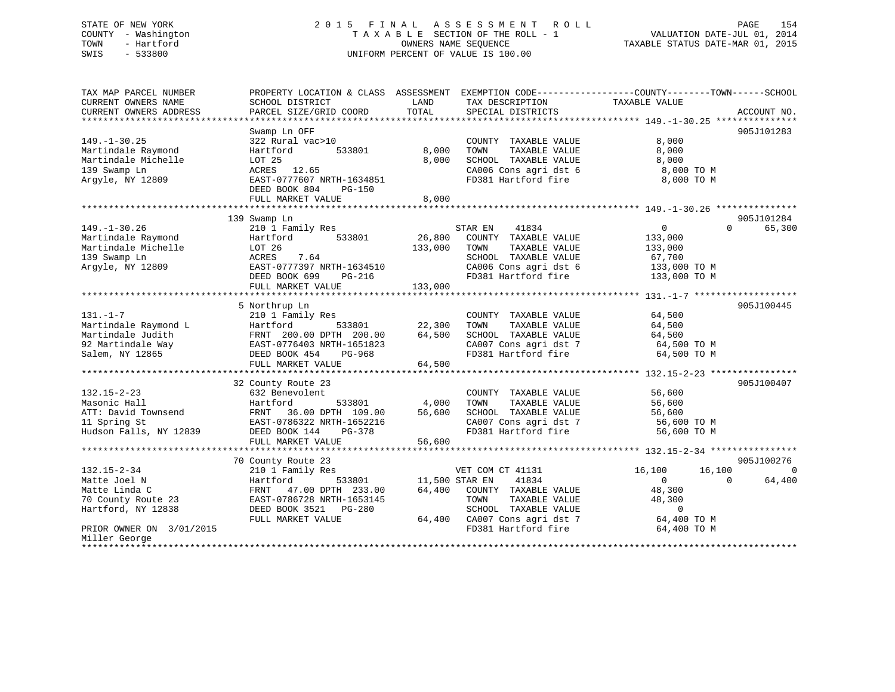## STATE OF NEW YORK 2 0 1 5 F I N A L A S S E S S M E N T R O L L PAGE 154 COUNTY - Washington T A X A B L E SECTION OF THE ROLL - 1 VALUATION DATE-JUL 01, 2014 TOWN - Hartford OWNERS NAME SEQUENCE TAXABLE STATUS DATE-MAR 01, 2015 SWIS - 533800 UNIFORM PERCENT OF VALUE IS 100.00UNIFORM PERCENT OF VALUE IS 100.00

| TAX MAP PARCEL NUMBER<br>CURRENT OWNERS NAME<br>CURRENT OWNERS ADDRESS | PROPERTY LOCATION & CLASS ASSESSMENT EXEMPTION CODE----------------COUNTY-------TOWN------SCHOOL<br>SCHOOL DISTRICT<br>PARCEL SIZE/GRID COORD | LAND<br>TOTAL | TAX DESCRIPTION<br>SPECIAL DISTRICTS | TAXABLE VALUE            | ACCOUNT NO. |
|------------------------------------------------------------------------|-----------------------------------------------------------------------------------------------------------------------------------------------|---------------|--------------------------------------|--------------------------|-------------|
|                                                                        |                                                                                                                                               |               |                                      |                          |             |
|                                                                        | Swamp Ln OFF                                                                                                                                  |               |                                      |                          | 905J101283  |
| $149. - 1 - 30.25$                                                     | 322 Rural vac>10                                                                                                                              |               | COUNTY TAXABLE VALUE                 | 8,000                    |             |
| Martindale Raymond                                                     | 533801<br>Hartford                                                                                                                            | 8,000         | TAXABLE VALUE<br>TOWN                | 8,000                    |             |
| Martindale Michelle                                                    | LOT 25                                                                                                                                        | 8,000         | SCHOOL TAXABLE VALUE                 | 8,000                    |             |
| 139 Swamp Ln                                                           | 12.65                                                                                                                                         |               | CA006 Cons agri dst 6                | 8,000 TO M               |             |
|                                                                        | ACRES                                                                                                                                         |               |                                      |                          |             |
| Argyle, NY 12809                                                       | EAST-0777607 NRTH-1634851                                                                                                                     |               | FD381 Hartford fire                  | 8,000 TO M               |             |
|                                                                        | DEED BOOK 804<br>$PG-150$                                                                                                                     |               |                                      |                          |             |
|                                                                        | FULL MARKET VALUE                                                                                                                             | 8,000         |                                      |                          |             |
|                                                                        |                                                                                                                                               |               |                                      |                          |             |
|                                                                        | 139 Swamp Ln                                                                                                                                  |               |                                      |                          | 905J101284  |
| $149. - 1 - 30.26$                                                     | 210 1 Family Res                                                                                                                              |               | STAR EN<br>41834                     | $\Omega$<br>$\Omega$     | 65,300      |
| Martindale Raymond                                                     | 533801<br>Hartford                                                                                                                            | 26,800        | COUNTY TAXABLE VALUE                 | 133,000                  |             |
| Martindale Michelle                                                    | LOT 26                                                                                                                                        | 133,000       | TAXABLE VALUE<br>TOWN                | 133,000                  |             |
| 139 Swamp Ln                                                           | ACRES<br>7.64                                                                                                                                 |               | SCHOOL TAXABLE VALUE                 | 67,700                   |             |
| Argyle, NY 12809                                                       | EAST-0777397 NRTH-1634510                                                                                                                     |               | CA006 Cons agri dst 6                | 133,000 TO M             |             |
|                                                                        | DEED BOOK 699<br><b>PG-216</b>                                                                                                                |               | FD381 Hartford fire                  | 133,000 TO M             |             |
|                                                                        | FULL MARKET VALUE                                                                                                                             | 133,000       |                                      |                          |             |
|                                                                        |                                                                                                                                               |               |                                      |                          |             |
|                                                                        | 5 Northrup Ln                                                                                                                                 |               |                                      |                          | 905J100445  |
| $131. - 1 - 7$                                                         | 210 1 Family Res                                                                                                                              |               | COUNTY TAXABLE VALUE                 | 64,500                   |             |
| Martindale Raymond L                                                   | Hartford<br>533801                                                                                                                            | 22,300        | TOWN<br>TAXABLE VALUE                | 64,500                   |             |
| Martindale Judith                                                      | FRNT 200.00 DPTH 200.00                                                                                                                       | 64,500        | SCHOOL TAXABLE VALUE                 | 64,500                   |             |
| 92 Martindale Way                                                      | EAST-0776403 NRTH-1651823                                                                                                                     |               | CA007 Cons agri dst 7                | 64,500 TO M              |             |
|                                                                        |                                                                                                                                               |               | FD381 Hartford fire                  |                          |             |
| Salem, NY 12865                                                        | DEED BOOK 454<br>PG-968                                                                                                                       |               |                                      | 64,500 TO M              |             |
|                                                                        | FULL MARKET VALUE                                                                                                                             | 64,500        |                                      |                          |             |
|                                                                        |                                                                                                                                               |               |                                      |                          |             |
|                                                                        | 32 County Route 23                                                                                                                            |               |                                      |                          | 905J100407  |
| $132.15 - 2 - 23$                                                      | 632 Benevolent                                                                                                                                |               | COUNTY TAXABLE VALUE                 | 56,600                   |             |
| Masonic Hall                                                           | 533801<br>Hartford                                                                                                                            | 4,000         | TAXABLE VALUE<br>TOWN                | 56,600                   |             |
| ATT: David Townsend                                                    | 36.00 DPTH 109.00<br>FRNT                                                                                                                     | 56,600        | SCHOOL TAXABLE VALUE                 | 56,600                   |             |
| 11 Spring St                                                           | EAST-0786322 NRTH-1652216                                                                                                                     |               | CA007 Cons agri dst 7                | 56,600 TO M              |             |
| Hudson Falls, NY 12839                                                 | DEED BOOK 144<br>PG-378                                                                                                                       |               | FD381 Hartford fire                  | 56,600 TO M              |             |
|                                                                        | FULL MARKET VALUE                                                                                                                             | 56,600        |                                      |                          |             |
|                                                                        |                                                                                                                                               |               |                                      |                          |             |
|                                                                        | 70 County Route 23                                                                                                                            |               |                                      |                          | 905J100276  |
| $132.15 - 2 - 34$                                                      | 210 1 Family Res                                                                                                                              |               | VET COM CT 41131                     | 16,100<br>16,100         |             |
| Matte Joel N                                                           | 533801<br>Hartford                                                                                                                            |               | 11,500 STAR EN<br>41834              | $\mathbf{0}$<br>$\Omega$ | 64,400      |
| Matte Linda C                                                          | 47.00 DPTH 233.00<br>FRNT                                                                                                                     | 64,400        | COUNTY TAXABLE VALUE                 | 48,300                   |             |
| 70 County Route 23                                                     | EAST-0786728 NRTH-1653145                                                                                                                     |               | TOWN<br>TAXABLE VALUE                | 48,300                   |             |
| Hartford, NY 12838                                                     | DEED BOOK 3521<br>PG-280                                                                                                                      |               | SCHOOL TAXABLE VALUE                 | $\Omega$                 |             |
|                                                                        | FULL MARKET VALUE                                                                                                                             | 64,400        | CA007 Cons agri dst 7                | 64,400 TO M              |             |
| PRIOR OWNER ON 3/01/2015                                               |                                                                                                                                               |               | FD381 Hartford fire                  | 64,400 TO M              |             |
| Miller George                                                          |                                                                                                                                               |               |                                      |                          |             |
| ****************                                                       |                                                                                                                                               |               |                                      |                          |             |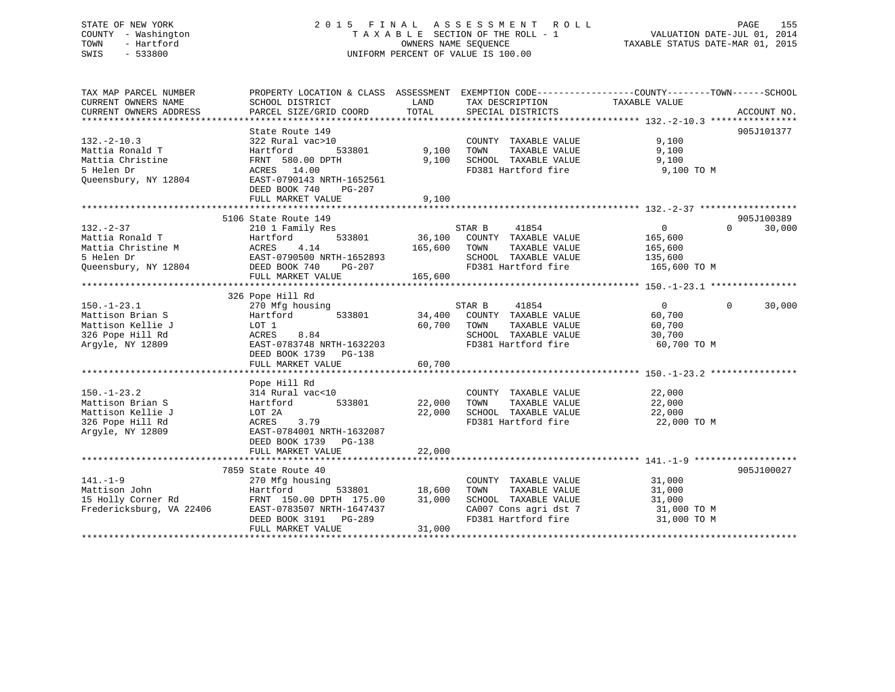## STATE OF NEW YORK 2 0 1 5 F I N A L A S S E S S M E N T R O L L PAGE 155 COUNTY - Washington T A X A B L E SECTION OF THE ROLL - 1 VALUATION DATE-JUL 01, 2014 TOWN - Hartford OWNERS NAME SEQUENCE TAXABLE STATUS DATE-MAR 01, 2015 SWIS - 533800 UNIFORM PERCENT OF VALUE IS 100.00

TAX MAP PARCEL NUMBER PROPERTY LOCATION & CLASS ASSESSMENT EXEMPTION CODE------------------COUNTY--------TOWN------SCHOOL

| TOTAL<br>PARCEL SIZE/GRID COORD<br>SPECIAL DISTRICTS<br>ACCOUNT NO.<br>State Route 149<br>905J101377<br>322 Rural vac>10<br>9,100<br>COUNTY TAXABLE VALUE<br>Hartford<br>533801<br>9,100<br>TOWN<br>TAXABLE VALUE<br>9,100<br>9,100<br>FRNT 580.00 DPTH<br>9,100<br>SCHOOL TAXABLE VALUE<br>ACRES 14.00<br>FD381 Hartford fire<br>9,100 TO M<br>EAST-0790143 NRTH-1652561<br>DEED BOOK 740<br>$PG-207$<br>9,100<br>FULL MARKET VALUE<br>5106 State Route 149<br>905J100389<br>210 1 Family Res<br>STAR B<br>41854<br>$\overline{0}$<br>$\Omega$<br>30,000<br>533801<br>36,100<br>Mattia Ronald T<br>Hartford<br>COUNTY TAXABLE VALUE<br>165,600<br>Mattia Christine M<br>ACRES<br>4.14<br>165,600<br>TOWN<br>TAXABLE VALUE<br>165,600<br>5 Helen Dr<br>EAST-0790500 NRTH-1652893<br>SCHOOL TAXABLE VALUE<br>135,600<br>165,600 TO M<br>Oueensbury, NY 12804<br>DEED BOOK 740<br>$PG-207$<br>FD381 Hartford fire<br>FULL MARKET VALUE<br>165,600<br>326 Pope Hill Rd<br>$\mathbf{0}$<br>$150. - 1 - 23.1$<br>STAR B<br>41854<br>$\Omega$<br>30,000<br>270 Mfg housing<br>Mattison Brian S<br>34,400<br>COUNTY TAXABLE VALUE<br>60,700<br>Hartford<br>533801<br>Mattison Kellie J<br>60,700<br>LOT 1<br>TOWN<br>TAXABLE VALUE<br>60,700<br>SCHOOL TAXABLE VALUE<br>326 Pope Hill Rd<br>ACRES<br>8.84<br>30,700<br>Arqyle, NY 12809<br>EAST-0783748 NRTH-1632203<br>FD381 Hartford fire<br>60,700 TO M<br>DEED BOOK 1739 PG-138<br>60,700<br>FULL MARKET VALUE<br>Pope Hill Rd<br>$150. - 1 - 23.2$<br>22,000<br>314 Rural vac<10<br>COUNTY TAXABLE VALUE<br>533801<br>22,000<br>22,000<br>Mattison Brian S<br>Hartford<br>TOWN<br>TAXABLE VALUE<br>22,000<br>SCHOOL TAXABLE VALUE<br>22,000<br>Mattison Kellie J<br>LOT 2A<br>FD381 Hartford fire<br>326 Pope Hill Rd<br>ACRES<br>3.79<br>22,000 TO M<br>EAST-0784001 NRTH-1632087<br>Argyle, NY 12809<br>DEED BOOK 1739<br>PG-138<br>22,000<br>FULL MARKET VALUE<br>905J100027<br>7859 State Route 40<br>$141. - 1 - 9$<br>COUNTY TAXABLE VALUE<br>31,000<br>270 Mfg housing<br>Mattison John<br>18,600<br>Hartford<br>533801<br>TOWN<br>TAXABLE VALUE<br>31,000<br>15 Holly Corner Rd<br>31,000<br>SCHOOL TAXABLE VALUE<br>FRNT 150.00 DPTH 175.00<br>31,000<br>Fredericksburg, VA 22406<br>CA007 Cons agri dst 7<br>31,000 TO M<br>EAST-0783507 NRTH-1647437<br>FD381 Hartford fire<br>DEED BOOK 3191<br>PG-289<br>31,000 TO M<br>31,000<br>FULL MARKET VALUE | CURRENT OWNERS NAME    | SCHOOL DISTRICT | LAND | TAX DESCRIPTION | TAXABLE VALUE |  |
|----------------------------------------------------------------------------------------------------------------------------------------------------------------------------------------------------------------------------------------------------------------------------------------------------------------------------------------------------------------------------------------------------------------------------------------------------------------------------------------------------------------------------------------------------------------------------------------------------------------------------------------------------------------------------------------------------------------------------------------------------------------------------------------------------------------------------------------------------------------------------------------------------------------------------------------------------------------------------------------------------------------------------------------------------------------------------------------------------------------------------------------------------------------------------------------------------------------------------------------------------------------------------------------------------------------------------------------------------------------------------------------------------------------------------------------------------------------------------------------------------------------------------------------------------------------------------------------------------------------------------------------------------------------------------------------------------------------------------------------------------------------------------------------------------------------------------------------------------------------------------------------------------------------------------------------------------------------------------------------------------------------------------------------------------------------------------------------------------------------------------------------------------------------------------------------------------------------------------------------------------------------------------------------------------------------------------------------------------------------------------------------------------------------|------------------------|-----------------|------|-----------------|---------------|--|
|                                                                                                                                                                                                                                                                                                                                                                                                                                                                                                                                                                                                                                                                                                                                                                                                                                                                                                                                                                                                                                                                                                                                                                                                                                                                                                                                                                                                                                                                                                                                                                                                                                                                                                                                                                                                                                                                                                                                                                                                                                                                                                                                                                                                                                                                                                                                                                                                                | CURRENT OWNERS ADDRESS |                 |      |                 |               |  |
|                                                                                                                                                                                                                                                                                                                                                                                                                                                                                                                                                                                                                                                                                                                                                                                                                                                                                                                                                                                                                                                                                                                                                                                                                                                                                                                                                                                                                                                                                                                                                                                                                                                                                                                                                                                                                                                                                                                                                                                                                                                                                                                                                                                                                                                                                                                                                                                                                |                        |                 |      |                 |               |  |
|                                                                                                                                                                                                                                                                                                                                                                                                                                                                                                                                                                                                                                                                                                                                                                                                                                                                                                                                                                                                                                                                                                                                                                                                                                                                                                                                                                                                                                                                                                                                                                                                                                                                                                                                                                                                                                                                                                                                                                                                                                                                                                                                                                                                                                                                                                                                                                                                                |                        |                 |      |                 |               |  |
|                                                                                                                                                                                                                                                                                                                                                                                                                                                                                                                                                                                                                                                                                                                                                                                                                                                                                                                                                                                                                                                                                                                                                                                                                                                                                                                                                                                                                                                                                                                                                                                                                                                                                                                                                                                                                                                                                                                                                                                                                                                                                                                                                                                                                                                                                                                                                                                                                | $132. - 2 - 10.3$      |                 |      |                 |               |  |
|                                                                                                                                                                                                                                                                                                                                                                                                                                                                                                                                                                                                                                                                                                                                                                                                                                                                                                                                                                                                                                                                                                                                                                                                                                                                                                                                                                                                                                                                                                                                                                                                                                                                                                                                                                                                                                                                                                                                                                                                                                                                                                                                                                                                                                                                                                                                                                                                                | Mattia Ronald T        |                 |      |                 |               |  |
|                                                                                                                                                                                                                                                                                                                                                                                                                                                                                                                                                                                                                                                                                                                                                                                                                                                                                                                                                                                                                                                                                                                                                                                                                                                                                                                                                                                                                                                                                                                                                                                                                                                                                                                                                                                                                                                                                                                                                                                                                                                                                                                                                                                                                                                                                                                                                                                                                | Mattia Christine       |                 |      |                 |               |  |
|                                                                                                                                                                                                                                                                                                                                                                                                                                                                                                                                                                                                                                                                                                                                                                                                                                                                                                                                                                                                                                                                                                                                                                                                                                                                                                                                                                                                                                                                                                                                                                                                                                                                                                                                                                                                                                                                                                                                                                                                                                                                                                                                                                                                                                                                                                                                                                                                                | 5 Helen Dr             |                 |      |                 |               |  |
|                                                                                                                                                                                                                                                                                                                                                                                                                                                                                                                                                                                                                                                                                                                                                                                                                                                                                                                                                                                                                                                                                                                                                                                                                                                                                                                                                                                                                                                                                                                                                                                                                                                                                                                                                                                                                                                                                                                                                                                                                                                                                                                                                                                                                                                                                                                                                                                                                | Queensbury, NY 12804   |                 |      |                 |               |  |
|                                                                                                                                                                                                                                                                                                                                                                                                                                                                                                                                                                                                                                                                                                                                                                                                                                                                                                                                                                                                                                                                                                                                                                                                                                                                                                                                                                                                                                                                                                                                                                                                                                                                                                                                                                                                                                                                                                                                                                                                                                                                                                                                                                                                                                                                                                                                                                                                                |                        |                 |      |                 |               |  |
|                                                                                                                                                                                                                                                                                                                                                                                                                                                                                                                                                                                                                                                                                                                                                                                                                                                                                                                                                                                                                                                                                                                                                                                                                                                                                                                                                                                                                                                                                                                                                                                                                                                                                                                                                                                                                                                                                                                                                                                                                                                                                                                                                                                                                                                                                                                                                                                                                |                        |                 |      |                 |               |  |
|                                                                                                                                                                                                                                                                                                                                                                                                                                                                                                                                                                                                                                                                                                                                                                                                                                                                                                                                                                                                                                                                                                                                                                                                                                                                                                                                                                                                                                                                                                                                                                                                                                                                                                                                                                                                                                                                                                                                                                                                                                                                                                                                                                                                                                                                                                                                                                                                                |                        |                 |      |                 |               |  |
|                                                                                                                                                                                                                                                                                                                                                                                                                                                                                                                                                                                                                                                                                                                                                                                                                                                                                                                                                                                                                                                                                                                                                                                                                                                                                                                                                                                                                                                                                                                                                                                                                                                                                                                                                                                                                                                                                                                                                                                                                                                                                                                                                                                                                                                                                                                                                                                                                |                        |                 |      |                 |               |  |
|                                                                                                                                                                                                                                                                                                                                                                                                                                                                                                                                                                                                                                                                                                                                                                                                                                                                                                                                                                                                                                                                                                                                                                                                                                                                                                                                                                                                                                                                                                                                                                                                                                                                                                                                                                                                                                                                                                                                                                                                                                                                                                                                                                                                                                                                                                                                                                                                                | $132 - 2 - 37$         |                 |      |                 |               |  |
|                                                                                                                                                                                                                                                                                                                                                                                                                                                                                                                                                                                                                                                                                                                                                                                                                                                                                                                                                                                                                                                                                                                                                                                                                                                                                                                                                                                                                                                                                                                                                                                                                                                                                                                                                                                                                                                                                                                                                                                                                                                                                                                                                                                                                                                                                                                                                                                                                |                        |                 |      |                 |               |  |
|                                                                                                                                                                                                                                                                                                                                                                                                                                                                                                                                                                                                                                                                                                                                                                                                                                                                                                                                                                                                                                                                                                                                                                                                                                                                                                                                                                                                                                                                                                                                                                                                                                                                                                                                                                                                                                                                                                                                                                                                                                                                                                                                                                                                                                                                                                                                                                                                                |                        |                 |      |                 |               |  |
|                                                                                                                                                                                                                                                                                                                                                                                                                                                                                                                                                                                                                                                                                                                                                                                                                                                                                                                                                                                                                                                                                                                                                                                                                                                                                                                                                                                                                                                                                                                                                                                                                                                                                                                                                                                                                                                                                                                                                                                                                                                                                                                                                                                                                                                                                                                                                                                                                |                        |                 |      |                 |               |  |
|                                                                                                                                                                                                                                                                                                                                                                                                                                                                                                                                                                                                                                                                                                                                                                                                                                                                                                                                                                                                                                                                                                                                                                                                                                                                                                                                                                                                                                                                                                                                                                                                                                                                                                                                                                                                                                                                                                                                                                                                                                                                                                                                                                                                                                                                                                                                                                                                                |                        |                 |      |                 |               |  |
|                                                                                                                                                                                                                                                                                                                                                                                                                                                                                                                                                                                                                                                                                                                                                                                                                                                                                                                                                                                                                                                                                                                                                                                                                                                                                                                                                                                                                                                                                                                                                                                                                                                                                                                                                                                                                                                                                                                                                                                                                                                                                                                                                                                                                                                                                                                                                                                                                |                        |                 |      |                 |               |  |
|                                                                                                                                                                                                                                                                                                                                                                                                                                                                                                                                                                                                                                                                                                                                                                                                                                                                                                                                                                                                                                                                                                                                                                                                                                                                                                                                                                                                                                                                                                                                                                                                                                                                                                                                                                                                                                                                                                                                                                                                                                                                                                                                                                                                                                                                                                                                                                                                                |                        |                 |      |                 |               |  |
|                                                                                                                                                                                                                                                                                                                                                                                                                                                                                                                                                                                                                                                                                                                                                                                                                                                                                                                                                                                                                                                                                                                                                                                                                                                                                                                                                                                                                                                                                                                                                                                                                                                                                                                                                                                                                                                                                                                                                                                                                                                                                                                                                                                                                                                                                                                                                                                                                |                        |                 |      |                 |               |  |
|                                                                                                                                                                                                                                                                                                                                                                                                                                                                                                                                                                                                                                                                                                                                                                                                                                                                                                                                                                                                                                                                                                                                                                                                                                                                                                                                                                                                                                                                                                                                                                                                                                                                                                                                                                                                                                                                                                                                                                                                                                                                                                                                                                                                                                                                                                                                                                                                                |                        |                 |      |                 |               |  |
|                                                                                                                                                                                                                                                                                                                                                                                                                                                                                                                                                                                                                                                                                                                                                                                                                                                                                                                                                                                                                                                                                                                                                                                                                                                                                                                                                                                                                                                                                                                                                                                                                                                                                                                                                                                                                                                                                                                                                                                                                                                                                                                                                                                                                                                                                                                                                                                                                |                        |                 |      |                 |               |  |
|                                                                                                                                                                                                                                                                                                                                                                                                                                                                                                                                                                                                                                                                                                                                                                                                                                                                                                                                                                                                                                                                                                                                                                                                                                                                                                                                                                                                                                                                                                                                                                                                                                                                                                                                                                                                                                                                                                                                                                                                                                                                                                                                                                                                                                                                                                                                                                                                                |                        |                 |      |                 |               |  |
|                                                                                                                                                                                                                                                                                                                                                                                                                                                                                                                                                                                                                                                                                                                                                                                                                                                                                                                                                                                                                                                                                                                                                                                                                                                                                                                                                                                                                                                                                                                                                                                                                                                                                                                                                                                                                                                                                                                                                                                                                                                                                                                                                                                                                                                                                                                                                                                                                |                        |                 |      |                 |               |  |
|                                                                                                                                                                                                                                                                                                                                                                                                                                                                                                                                                                                                                                                                                                                                                                                                                                                                                                                                                                                                                                                                                                                                                                                                                                                                                                                                                                                                                                                                                                                                                                                                                                                                                                                                                                                                                                                                                                                                                                                                                                                                                                                                                                                                                                                                                                                                                                                                                |                        |                 |      |                 |               |  |
|                                                                                                                                                                                                                                                                                                                                                                                                                                                                                                                                                                                                                                                                                                                                                                                                                                                                                                                                                                                                                                                                                                                                                                                                                                                                                                                                                                                                                                                                                                                                                                                                                                                                                                                                                                                                                                                                                                                                                                                                                                                                                                                                                                                                                                                                                                                                                                                                                |                        |                 |      |                 |               |  |
|                                                                                                                                                                                                                                                                                                                                                                                                                                                                                                                                                                                                                                                                                                                                                                                                                                                                                                                                                                                                                                                                                                                                                                                                                                                                                                                                                                                                                                                                                                                                                                                                                                                                                                                                                                                                                                                                                                                                                                                                                                                                                                                                                                                                                                                                                                                                                                                                                |                        |                 |      |                 |               |  |
|                                                                                                                                                                                                                                                                                                                                                                                                                                                                                                                                                                                                                                                                                                                                                                                                                                                                                                                                                                                                                                                                                                                                                                                                                                                                                                                                                                                                                                                                                                                                                                                                                                                                                                                                                                                                                                                                                                                                                                                                                                                                                                                                                                                                                                                                                                                                                                                                                |                        |                 |      |                 |               |  |
|                                                                                                                                                                                                                                                                                                                                                                                                                                                                                                                                                                                                                                                                                                                                                                                                                                                                                                                                                                                                                                                                                                                                                                                                                                                                                                                                                                                                                                                                                                                                                                                                                                                                                                                                                                                                                                                                                                                                                                                                                                                                                                                                                                                                                                                                                                                                                                                                                |                        |                 |      |                 |               |  |
|                                                                                                                                                                                                                                                                                                                                                                                                                                                                                                                                                                                                                                                                                                                                                                                                                                                                                                                                                                                                                                                                                                                                                                                                                                                                                                                                                                                                                                                                                                                                                                                                                                                                                                                                                                                                                                                                                                                                                                                                                                                                                                                                                                                                                                                                                                                                                                                                                |                        |                 |      |                 |               |  |
|                                                                                                                                                                                                                                                                                                                                                                                                                                                                                                                                                                                                                                                                                                                                                                                                                                                                                                                                                                                                                                                                                                                                                                                                                                                                                                                                                                                                                                                                                                                                                                                                                                                                                                                                                                                                                                                                                                                                                                                                                                                                                                                                                                                                                                                                                                                                                                                                                |                        |                 |      |                 |               |  |
|                                                                                                                                                                                                                                                                                                                                                                                                                                                                                                                                                                                                                                                                                                                                                                                                                                                                                                                                                                                                                                                                                                                                                                                                                                                                                                                                                                                                                                                                                                                                                                                                                                                                                                                                                                                                                                                                                                                                                                                                                                                                                                                                                                                                                                                                                                                                                                                                                |                        |                 |      |                 |               |  |
|                                                                                                                                                                                                                                                                                                                                                                                                                                                                                                                                                                                                                                                                                                                                                                                                                                                                                                                                                                                                                                                                                                                                                                                                                                                                                                                                                                                                                                                                                                                                                                                                                                                                                                                                                                                                                                                                                                                                                                                                                                                                                                                                                                                                                                                                                                                                                                                                                |                        |                 |      |                 |               |  |
|                                                                                                                                                                                                                                                                                                                                                                                                                                                                                                                                                                                                                                                                                                                                                                                                                                                                                                                                                                                                                                                                                                                                                                                                                                                                                                                                                                                                                                                                                                                                                                                                                                                                                                                                                                                                                                                                                                                                                                                                                                                                                                                                                                                                                                                                                                                                                                                                                |                        |                 |      |                 |               |  |
|                                                                                                                                                                                                                                                                                                                                                                                                                                                                                                                                                                                                                                                                                                                                                                                                                                                                                                                                                                                                                                                                                                                                                                                                                                                                                                                                                                                                                                                                                                                                                                                                                                                                                                                                                                                                                                                                                                                                                                                                                                                                                                                                                                                                                                                                                                                                                                                                                |                        |                 |      |                 |               |  |
|                                                                                                                                                                                                                                                                                                                                                                                                                                                                                                                                                                                                                                                                                                                                                                                                                                                                                                                                                                                                                                                                                                                                                                                                                                                                                                                                                                                                                                                                                                                                                                                                                                                                                                                                                                                                                                                                                                                                                                                                                                                                                                                                                                                                                                                                                                                                                                                                                |                        |                 |      |                 |               |  |
|                                                                                                                                                                                                                                                                                                                                                                                                                                                                                                                                                                                                                                                                                                                                                                                                                                                                                                                                                                                                                                                                                                                                                                                                                                                                                                                                                                                                                                                                                                                                                                                                                                                                                                                                                                                                                                                                                                                                                                                                                                                                                                                                                                                                                                                                                                                                                                                                                |                        |                 |      |                 |               |  |
|                                                                                                                                                                                                                                                                                                                                                                                                                                                                                                                                                                                                                                                                                                                                                                                                                                                                                                                                                                                                                                                                                                                                                                                                                                                                                                                                                                                                                                                                                                                                                                                                                                                                                                                                                                                                                                                                                                                                                                                                                                                                                                                                                                                                                                                                                                                                                                                                                |                        |                 |      |                 |               |  |
|                                                                                                                                                                                                                                                                                                                                                                                                                                                                                                                                                                                                                                                                                                                                                                                                                                                                                                                                                                                                                                                                                                                                                                                                                                                                                                                                                                                                                                                                                                                                                                                                                                                                                                                                                                                                                                                                                                                                                                                                                                                                                                                                                                                                                                                                                                                                                                                                                |                        |                 |      |                 |               |  |
|                                                                                                                                                                                                                                                                                                                                                                                                                                                                                                                                                                                                                                                                                                                                                                                                                                                                                                                                                                                                                                                                                                                                                                                                                                                                                                                                                                                                                                                                                                                                                                                                                                                                                                                                                                                                                                                                                                                                                                                                                                                                                                                                                                                                                                                                                                                                                                                                                |                        |                 |      |                 |               |  |
|                                                                                                                                                                                                                                                                                                                                                                                                                                                                                                                                                                                                                                                                                                                                                                                                                                                                                                                                                                                                                                                                                                                                                                                                                                                                                                                                                                                                                                                                                                                                                                                                                                                                                                                                                                                                                                                                                                                                                                                                                                                                                                                                                                                                                                                                                                                                                                                                                |                        |                 |      |                 |               |  |
|                                                                                                                                                                                                                                                                                                                                                                                                                                                                                                                                                                                                                                                                                                                                                                                                                                                                                                                                                                                                                                                                                                                                                                                                                                                                                                                                                                                                                                                                                                                                                                                                                                                                                                                                                                                                                                                                                                                                                                                                                                                                                                                                                                                                                                                                                                                                                                                                                |                        |                 |      |                 |               |  |
|                                                                                                                                                                                                                                                                                                                                                                                                                                                                                                                                                                                                                                                                                                                                                                                                                                                                                                                                                                                                                                                                                                                                                                                                                                                                                                                                                                                                                                                                                                                                                                                                                                                                                                                                                                                                                                                                                                                                                                                                                                                                                                                                                                                                                                                                                                                                                                                                                |                        |                 |      |                 |               |  |
|                                                                                                                                                                                                                                                                                                                                                                                                                                                                                                                                                                                                                                                                                                                                                                                                                                                                                                                                                                                                                                                                                                                                                                                                                                                                                                                                                                                                                                                                                                                                                                                                                                                                                                                                                                                                                                                                                                                                                                                                                                                                                                                                                                                                                                                                                                                                                                                                                |                        |                 |      |                 |               |  |
|                                                                                                                                                                                                                                                                                                                                                                                                                                                                                                                                                                                                                                                                                                                                                                                                                                                                                                                                                                                                                                                                                                                                                                                                                                                                                                                                                                                                                                                                                                                                                                                                                                                                                                                                                                                                                                                                                                                                                                                                                                                                                                                                                                                                                                                                                                                                                                                                                |                        |                 |      |                 |               |  |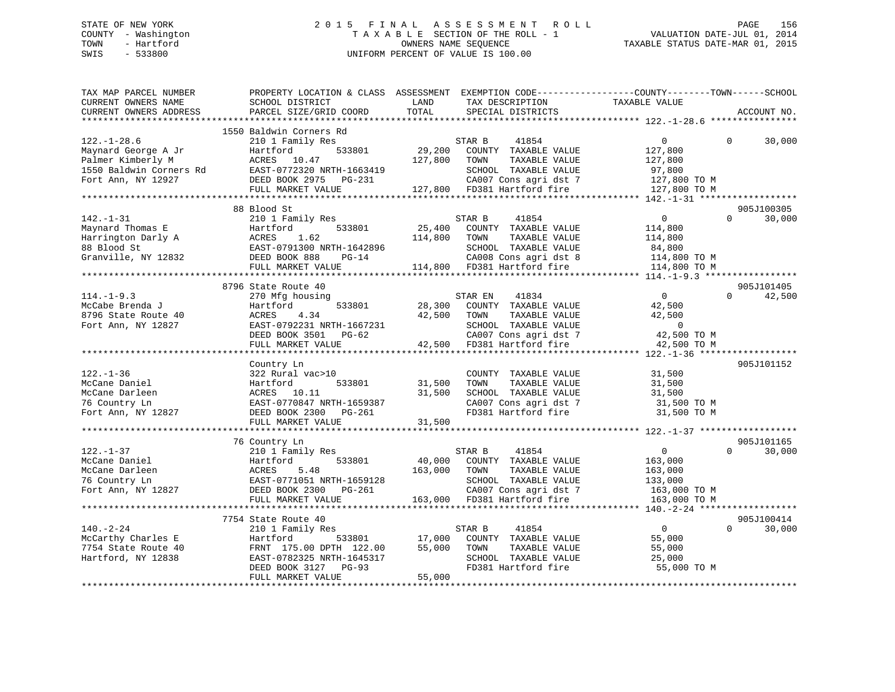## STATE OF NEW YORK 2 0 1 5 F I N A L A S S E S S M E N T R O L L PAGE 156 COUNTY - Washington T A X A B L E SECTION OF THE ROLL - 1 VALUATION DATE-JUL 01, 2014 TOWN - Hartford **TAXABLE STATUS DATE-MAR 01, 2015** OWNERS NAME SEQUENCE TAXABLE STATUS DATE-MAR 01, 2015 SWIS - 533800 UNIFORM PERCENT OF VALUE IS 100.00

| TAX MAP PARCEL NUMBER                                                                                                                                                                                                                                                                                                                                                                 | PROPERTY LOCATION & CLASS ASSESSMENT EXEMPTION CODE---------------COUNTY-------TOWN------SCHOOL                 |             |                                                                                       |                |          |               |
|---------------------------------------------------------------------------------------------------------------------------------------------------------------------------------------------------------------------------------------------------------------------------------------------------------------------------------------------------------------------------------------|-----------------------------------------------------------------------------------------------------------------|-------------|---------------------------------------------------------------------------------------|----------------|----------|---------------|
| CURRENT OWNERS NAME                                                                                                                                                                                                                                                                                                                                                                   | SCHOOL DISTRICT                                                                                                 | LAND        |                                                                                       |                |          |               |
| CURRENT OWNERS ADDRESS                                                                                                                                                                                                                                                                                                                                                                | PARCEL SIZE/GRID COORD                                                                                          | TOTAL       |                                                                                       |                |          | ACCOUNT NO.   |
|                                                                                                                                                                                                                                                                                                                                                                                       |                                                                                                                 |             |                                                                                       |                |          |               |
|                                                                                                                                                                                                                                                                                                                                                                                       | 1550 Baldwin Corners Rd                                                                                         |             |                                                                                       |                |          |               |
| $122. - 1 - 28.6$                                                                                                                                                                                                                                                                                                                                                                     | 210 1 Family Res                                                                                                |             | STAR B<br>41854                                                                       | $\overline{0}$ | $\Omega$ | 30,000        |
|                                                                                                                                                                                                                                                                                                                                                                                       |                                                                                                                 |             | 3<br>533801 29,200 COUNTY TAXABLE VALUE 127,800<br>127.800 TOWN TAXABLE VALUE 127,800 |                |          |               |
|                                                                                                                                                                                                                                                                                                                                                                                       |                                                                                                                 |             |                                                                                       |                |          |               |
|                                                                                                                                                                                                                                                                                                                                                                                       |                                                                                                                 |             |                                                                                       |                |          |               |
|                                                                                                                                                                                                                                                                                                                                                                                       |                                                                                                                 |             |                                                                                       |                |          |               |
| $\begin{tabular}{lllllllllllllllllllllll} \textsc{122.1--28.0} & \textsc{210.1 mm} & \textsc{121.0 mm} & \textsc{122.00} & \textsc{210.0 mm} & \textsc{210.0 mm} & \textsc{210.0 mm} & \textsc{210.0 mm} & \textsc{210.0 mm} & \textsc{210.0 mm} & \textsc{210.0 mm} & \textsc{210.0 mm} & \textsc{210.0 mm} & \textsc{210.0 mm} & \textsc{210.0 mm} & \textsc{210.0 mm} & \textsc{2$ |                                                                                                                 |             |                                                                                       |                |          |               |
|                                                                                                                                                                                                                                                                                                                                                                                       |                                                                                                                 |             |                                                                                       |                |          |               |
|                                                                                                                                                                                                                                                                                                                                                                                       | 88 Blood St                                                                                                     |             |                                                                                       |                |          | 905J100305    |
| 142.-1-31 00 bloud be<br>Maynard Thomas E Hartford 533801 Pamily Res<br>Harrington Darly A ACRES 1.62 114,800 TOWN TAXABLE VALUE 114,800<br>SEED BOOK 888 PG-14 CED BOOK 888 PG-14 114,800 COUNTY TAXABLE VALUE 114,800 TOWN TAXABL                                                                                                                                                   |                                                                                                                 |             |                                                                                       |                | $\Omega$ | 30,000        |
|                                                                                                                                                                                                                                                                                                                                                                                       |                                                                                                                 |             |                                                                                       |                |          |               |
|                                                                                                                                                                                                                                                                                                                                                                                       |                                                                                                                 |             |                                                                                       |                |          |               |
|                                                                                                                                                                                                                                                                                                                                                                                       |                                                                                                                 |             |                                                                                       |                |          |               |
|                                                                                                                                                                                                                                                                                                                                                                                       |                                                                                                                 |             |                                                                                       |                |          |               |
|                                                                                                                                                                                                                                                                                                                                                                                       |                                                                                                                 |             |                                                                                       |                |          |               |
|                                                                                                                                                                                                                                                                                                                                                                                       |                                                                                                                 |             |                                                                                       |                |          |               |
|                                                                                                                                                                                                                                                                                                                                                                                       | 8796 State Route 40                                                                                             |             |                                                                                       |                |          | 905J101405    |
| $114. - 1 - 9.3$                                                                                                                                                                                                                                                                                                                                                                      | 270 Mfg housing                                                                                                 |             | STAR EN 41834                                                                         | $\overline{0}$ |          | $0 \t 42,500$ |
|                                                                                                                                                                                                                                                                                                                                                                                       |                                                                                                                 |             |                                                                                       |                |          |               |
|                                                                                                                                                                                                                                                                                                                                                                                       |                                                                                                                 |             |                                                                                       |                |          |               |
|                                                                                                                                                                                                                                                                                                                                                                                       |                                                                                                                 |             |                                                                                       |                |          |               |
|                                                                                                                                                                                                                                                                                                                                                                                       |                                                                                                                 |             |                                                                                       |                |          |               |
|                                                                                                                                                                                                                                                                                                                                                                                       |                                                                                                                 |             |                                                                                       |                |          |               |
| 114.-1-9.3<br>McCabe Brenda J<br>8796 State Route 40<br>Fort Ann, NY 12827<br>Fort Ann, NY 12827<br>FULL MARKET VALUE<br>FULL MARKET VALUE<br>FULL MARKET VALUE<br>FULL MARKET VALUE<br>CAO07 Cons agri dst 7<br>42,500 TOM CAO07 Cons agri dst 7                                                                                                                                     |                                                                                                                 |             |                                                                                       |                |          |               |
|                                                                                                                                                                                                                                                                                                                                                                                       | Country Ln                                                                                                      |             |                                                                                       |                |          | 905J101152    |
| $122. - 1 - 36$                                                                                                                                                                                                                                                                                                                                                                       | 322 Rural vac>10                                                                                                |             | COUNTY TAXABLE VALUE 31,500                                                           |                |          |               |
|                                                                                                                                                                                                                                                                                                                                                                                       | $533801$ $31,500$                                                                                               |             |                                                                                       |                |          |               |
| McCane Daniel Martford 533801 31,500<br>McCane Daniel McCane Darleen ACRES 10.11 31,500<br>76 Country Ln EAST-0770847 NRTH-1659387<br>Fort Ann, NY 12827 DEED BOOK 2300 PG-261                                                                                                                                                                                                        |                                                                                                                 |             |                                                                                       |                |          |               |
|                                                                                                                                                                                                                                                                                                                                                                                       |                                                                                                                 |             |                                                                                       |                |          |               |
|                                                                                                                                                                                                                                                                                                                                                                                       |                                                                                                                 |             |                                                                                       |                |          |               |
|                                                                                                                                                                                                                                                                                                                                                                                       | FULL MARKET VALUE                                                                                               | 31,500      |                                                                                       |                |          |               |
|                                                                                                                                                                                                                                                                                                                                                                                       |                                                                                                                 |             |                                                                                       |                |          |               |
|                                                                                                                                                                                                                                                                                                                                                                                       | 76 Country Ln                                                                                                   |             |                                                                                       |                |          | 905J101165    |
|                                                                                                                                                                                                                                                                                                                                                                                       |                                                                                                                 |             |                                                                                       |                | $\Omega$ | 30,000        |
|                                                                                                                                                                                                                                                                                                                                                                                       |                                                                                                                 |             |                                                                                       |                |          |               |
|                                                                                                                                                                                                                                                                                                                                                                                       |                                                                                                                 |             |                                                                                       |                |          |               |
|                                                                                                                                                                                                                                                                                                                                                                                       |                                                                                                                 |             |                                                                                       |                |          |               |
|                                                                                                                                                                                                                                                                                                                                                                                       |                                                                                                                 |             |                                                                                       |                |          |               |
|                                                                                                                                                                                                                                                                                                                                                                                       |                                                                                                                 |             |                                                                                       |                |          |               |
|                                                                                                                                                                                                                                                                                                                                                                                       |                                                                                                                 |             |                                                                                       |                |          |               |
|                                                                                                                                                                                                                                                                                                                                                                                       | 7754 State Route 40                                                                                             |             |                                                                                       |                |          | 905J100414    |
| $140. - 2 - 24$                                                                                                                                                                                                                                                                                                                                                                       |                                                                                                                 |             |                                                                                       | $\overline{0}$ | $\Omega$ | 30,000        |
|                                                                                                                                                                                                                                                                                                                                                                                       |                                                                                                                 |             |                                                                                       | 55,000         |          |               |
|                                                                                                                                                                                                                                                                                                                                                                                       |                                                                                                                 | 55,000 TOWN | TAXABLE VALUE                                                                         | 55,000         |          |               |
| McCarthy Charles E<br>7754 State Route 40<br>Hartford, NY 12838                                                                                                                                                                                                                                                                                                                       | FRNT 175.00 DPTH 122.00 55,000<br>EAST-0782325 NRTH-1645317<br>DEED BOOK 3127 PG-93<br>FULL MARKET VALUE 55,000 |             | SCHOOL TAXABLE VALUE                                                                  | 25,000         |          |               |
|                                                                                                                                                                                                                                                                                                                                                                                       |                                                                                                                 |             | FD381 Hartford fire                                                                   | 55,000 TO M    |          |               |
|                                                                                                                                                                                                                                                                                                                                                                                       |                                                                                                                 | 55,000      |                                                                                       |                |          |               |
|                                                                                                                                                                                                                                                                                                                                                                                       |                                                                                                                 |             |                                                                                       |                |          |               |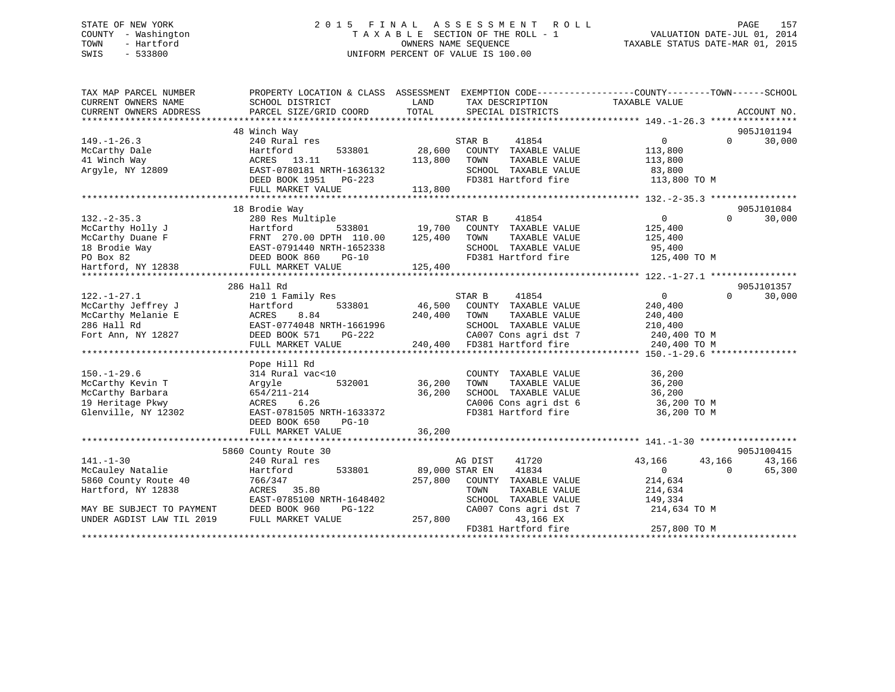## STATE OF NEW YORK 2 0 1 5 F I N A L A S S E S S M E N T R O L L PAGE 157 COUNTY - Washington T A X A B L E SECTION OF THE ROLL - 1 VALUATION DATE-JUL 01, 2014 TOWN - Hartford OWNERS NAME SEQUENCE TAXABLE STATUS DATE-MAR 01, 2015 SWIS - 533800 UNIFORM PERCENT OF VALUE IS 100.00

| TAX MAP PARCEL NUMBER     | PROPERTY LOCATION & CLASS ASSESSMENT EXEMPTION CODE-----------------COUNTY--------TOWN------SCHOOL |                |                             |                   |          |             |
|---------------------------|----------------------------------------------------------------------------------------------------|----------------|-----------------------------|-------------------|----------|-------------|
| CURRENT OWNERS NAME       | SCHOOL DISTRICT                                                                                    | LAND           | TAX DESCRIPTION             | TAXABLE VALUE     |          |             |
| CURRENT OWNERS ADDRESS    | PARCEL SIZE/GRID COORD                                                                             | TOTAL          | SPECIAL DISTRICTS           |                   |          | ACCOUNT NO. |
|                           |                                                                                                    |                |                             |                   |          |             |
|                           | 48 Winch Way                                                                                       |                |                             |                   |          | 905J101194  |
| $149. - 1 - 26.3$         | 240 Rural res                                                                                      |                | 41854<br>STAR B             | $0 \qquad \qquad$ | $\Omega$ | 30,000      |
| McCarthy Dale             | Hartford<br>533801                                                                                 | 28,600         | COUNTY TAXABLE VALUE        | 113,800           |          |             |
| 41 Winch Way              | ACRES 13.11                                                                                        | 113,800        | TOWN<br>TAXABLE VALUE       | 113,800           |          |             |
| Argyle, NY 12809          | EAST-0780181 NRTH-1636132                                                                          |                | SCHOOL TAXABLE VALUE        | 83,800            |          |             |
|                           | DEED BOOK 1951 PG-223                                                                              |                | FD381 Hartford fire         | 113,800 TO M      |          |             |
|                           | FULL MARKET VALUE                                                                                  | 113,800        |                             |                   |          |             |
|                           |                                                                                                    |                |                             |                   |          |             |
|                           | 18 Brodie Way                                                                                      |                |                             |                   |          | 905J101084  |
| $132 - 2 - 35.3$          | 280 Res Multiple                                                                                   |                | STAR B<br>41854             | $\overline{0}$    | $\Omega$ | 30,000      |
| McCarthy Holly J          | 533801<br>Hartford 533801<br>FRNT 270.00 DPTH 110.00<br>EAST-0791440 NRTH-1652338                  | 19,700         | COUNTY TAXABLE VALUE        | 125,400           |          |             |
| McCarthy Duane F          |                                                                                                    | 125,400        | TAXABLE VALUE<br>TOWN       | 125,400           |          |             |
| 18 Brodie Way             |                                                                                                    |                | SCHOOL TAXABLE VALUE        | 95,400            |          |             |
| PO Box 82                 | DEED BOOK 860<br>2007 DEED BOOK 860<br>2017 FULL MARKET V<br>$PG-10$                               |                | FD381 Hartford fire         | 125,400 TO M      |          |             |
| Hartford, NY 12838        | FULL MARKET VALUE                                                                                  | 125,400        |                             |                   |          |             |
|                           |                                                                                                    |                |                             |                   |          |             |
|                           | 286 Hall Rd                                                                                        |                |                             |                   |          | 905J101357  |
| $122. - 1 - 27.1$         | 210 1 Family Res                                                                                   |                | STAR B<br>41854             | $\overline{0}$    | $\Omega$ | 30,000      |
| McCarthy Jeffrey J        | 533801<br>Hartford                                                                                 | 46,500         | COUNTY TAXABLE VALUE        | 240,400           |          |             |
| McCarthy Melanie E        | 8.84<br>ACRES                                                                                      | 240,400        | TAXABLE VALUE<br>TOWN       | 240,400           |          |             |
| 286 Hall Rd               | EAST-0774048 NRTH-1661996                                                                          |                | SCHOOL TAXABLE VALUE        | 210,400           |          |             |
| Fort Ann, NY 12827        | DEED BOOK 571<br>PG-222                                                                            |                | CA007 Cons agri dst 7       | 240,400 TO M      |          |             |
|                           | FULL MARKET VALUE                                                                                  |                | 240,400 FD381 Hartford fire | 240,400 TO M      |          |             |
|                           |                                                                                                    |                |                             |                   |          |             |
|                           | Pope Hill Rd                                                                                       |                |                             |                   |          |             |
| $150. - 1 - 29.6$         | 314 Rural vac<10                                                                                   |                | COUNTY TAXABLE VALUE        | 36,200            |          |             |
| McCarthy Kevin T          | 532001<br>Arqyle                                                                                   | 36,200         | TOWN<br>TAXABLE VALUE       | 36,200            |          |             |
| McCarthy Barbara          | $654/211 - 214$                                                                                    | 36,200         | SCHOOL TAXABLE VALUE        | 36,200            |          |             |
| 19 Heritage Pkwy          | 6.26<br>ACRES                                                                                      |                | CA006 Cons agri dst 6       | 36,200 TO M       |          |             |
| Glenville, NY 12302       | EAST-0781505 NRTH-1633372                                                                          |                | FD381 Hartford fire         | 36,200 TO M       |          |             |
|                           | DEED BOOK 650<br>$PG-10$                                                                           |                |                             |                   |          |             |
|                           | FULL MARKET VALUE                                                                                  | 36,200         |                             |                   |          |             |
|                           |                                                                                                    |                |                             |                   |          |             |
|                           | 5860 County Route 30                                                                               |                |                             |                   |          | 905J100415  |
| $141. - 1 - 30$           | 240 Rural res                                                                                      |                | 41720<br>AG DIST            | 43,166            | 43,166   | 43,166      |
| McCauley Natalie          | 533801<br>Hartford                                                                                 | 89,000 STAR EN | 41834                       | $\overline{0}$    | $\Omega$ | 65,300      |
| 5860 County Route 40      | 766/347                                                                                            | 257,800        | COUNTY TAXABLE VALUE        | 214,634           |          |             |
| Hartford, NY 12838        | ACRES 35.80                                                                                        |                | TOWN<br>TAXABLE VALUE       | 214,634           |          |             |
|                           | EAST-0785100 NRTH-1648402                                                                          |                | SCHOOL TAXABLE VALUE        | 149,334           |          |             |
| MAY BE SUBJECT TO PAYMENT | DEED BOOK 960<br>PG-122                                                                            |                | CA007 Cons agri dst 7       | 214,634 TO M      |          |             |
| UNDER AGDIST LAW TIL 2019 | FULL MARKET VALUE                                                                                  | 257,800        | 43,166 EX                   |                   |          |             |
|                           |                                                                                                    |                | FD381 Hartford fire         | 257,800 TO M      |          |             |
|                           |                                                                                                    |                |                             |                   |          |             |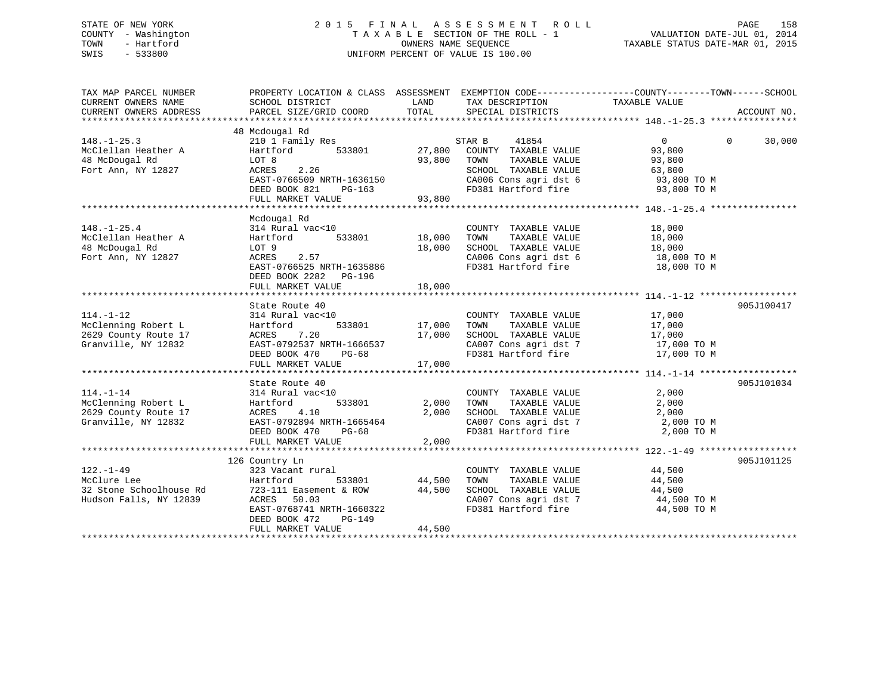## STATE OF NEW YORK 2 0 1 5 F I N A L A S S E S S M E N T R O L L PAGE 158 COUNTY - Washington T A X A B L E SECTION OF THE ROLL - 1 VALUATION DATE-JUL 01, 2014 TOWN - Hartford **TAXABLE STATUS DATE-MAR 01, 2015** OWNERS NAME SEQUENCE TAXABLE STATUS DATE-MAR 01, 2015 SWIS - 533800 UNIFORM PERCENT OF VALUE IS 100.00

| TAX MAP PARCEL NUMBER<br>CURRENT OWNERS NAME<br>CURRENT OWNERS ADDRESS | PROPERTY LOCATION & CLASS ASSESSMENT EXEMPTION CODE---------------COUNTY-------TOWN------SCHOOL<br>SCHOOL DISTRICT<br>PARCEL SIZE/GRID COORD | LAND<br>TOTAL           | TAX DESCRIPTION TAXABLE VALUE<br>SPECIAL DISTRICTS               |                  | ACCOUNT NO.        |
|------------------------------------------------------------------------|----------------------------------------------------------------------------------------------------------------------------------------------|-------------------------|------------------------------------------------------------------|------------------|--------------------|
| $148. - 1 - 25.3$                                                      | 48 Mcdougal Rd<br>210 1 Family Res                                                                                                           |                         | STAR B<br>41854                                                  | 0                | $\Omega$<br>30,000 |
| McClellan Heather A                                                    | Hartford<br>533801                                                                                                                           | 27,800                  | COUNTY TAXABLE VALUE                                             | 93,800           |                    |
| 48 McDougal Rd                                                         | LOT 8                                                                                                                                        | 93,800                  | TOWN<br>TAXABLE VALUE                                            | 93,800           |                    |
| Fort Ann, NY 12827                                                     | ACRES<br>2.26                                                                                                                                |                         | SCHOOL TAXABLE VALUE                                             | 63,800           |                    |
|                                                                        | EAST-0766509 NRTH-1636150                                                                                                                    |                         | $CAO06$ Cons agri dst $6$ FD381 IL-15                            | 93,800 TO M      |                    |
|                                                                        | DEED BOOK 821<br>PG-163                                                                                                                      |                         | FD381 Hartford fire 93,800 TO M                                  |                  |                    |
|                                                                        | FULL MARKET VALUE                                                                                                                            | 93,800                  |                                                                  |                  |                    |
|                                                                        |                                                                                                                                              |                         |                                                                  |                  |                    |
|                                                                        | Mcdougal Rd                                                                                                                                  |                         |                                                                  |                  |                    |
| $148. - 1 - 25.4$<br>McClellan Heather A                               | 314 Rural vac<10                                                                                                                             |                         | COUNTY TAXABLE VALUE<br>TAXABLE VALUE<br>TOWN                    | 18,000<br>18,000 |                    |
| 48 McDougal Rd                                                         | Hartford<br>LOT 9                                                                                                                            | 533801 18,000<br>18,000 | SCHOOL TAXABLE VALUE                                             | 18,000           |                    |
| Fort Ann, NY 12827                                                     | ACRES<br>2.57                                                                                                                                |                         | CA006 Cons agri dst 6 18,000 TO M                                |                  |                    |
|                                                                        | EAST-0766525 NRTH-1635886                                                                                                                    |                         | FD381 Hartford fire                                              | 18,000 TO M      |                    |
|                                                                        | DEED BOOK 2282 PG-196                                                                                                                        |                         |                                                                  |                  |                    |
|                                                                        | FULL MARKET VALUE                                                                                                                            | 18,000                  |                                                                  |                  |                    |
|                                                                        |                                                                                                                                              |                         |                                                                  |                  |                    |
|                                                                        | State Route 40                                                                                                                               |                         |                                                                  |                  | 905J100417         |
| $114. - 1 - 12$                                                        | 314 Rural vac<10                                                                                                                             |                         | COUNTY TAXABLE VALUE                                             | 17,000           |                    |
| McClenning Robert L                                                    | Hartford                                                                                                                                     | 533801 17,000           | TAXABLE VALUE<br>TOWN                                            | 17,000           |                    |
| 2629 County Route 17                                                   | ACRES<br>7.20                                                                                                                                | 17,000                  | SCHOOL TAXABLE VALUE                                             | 17,000           |                    |
| Granville, NY 12832                                                    | EAST-0792537 NRTH-1666537                                                                                                                    |                         | SCHOOL TAXABLE VALUE 17,000<br>CA007 Cons agri dst 7 17,000 TO M |                  |                    |
|                                                                        | DEED BOOK 470<br>PG-68                                                                                                                       |                         | FD381 Hartford fire 17,000 TO M                                  |                  |                    |
|                                                                        | FULL MARKET VALUE                                                                                                                            | 17,000                  |                                                                  |                  |                    |
|                                                                        |                                                                                                                                              |                         |                                                                  |                  |                    |
|                                                                        | State Route 40                                                                                                                               |                         |                                                                  |                  | 905J101034         |
| $114. - 1 - 14$                                                        | 314 Rural vac<10                                                                                                                             |                         | COUNTY TAXABLE VALUE                                             | 2,000            |                    |
| McClenning Robert L                                                    | 533801<br>Hartford                                                                                                                           | 2,000                   | TAXABLE VALUE<br>TOWN                                            | 2,000            |                    |
| 2629 County Route 17                                                   | ACRES<br>4.10                                                                                                                                | 2,000                   | SCHOOL TAXABLE VALUE                                             | 2,000            |                    |
| Granville, NY 12832                                                    | EAST-0792894 NRTH-1665464                                                                                                                    |                         | CA007 Cons agri dst 7 2,000 TO M                                 |                  |                    |
|                                                                        | DEED BOOK 470<br>PG-68                                                                                                                       |                         | FD381 Hartford fire                                              | 2,000 TO M       |                    |
|                                                                        | FULL MARKET VALUE                                                                                                                            | 2,000                   |                                                                  |                  |                    |
|                                                                        | 126 Country Ln                                                                                                                               |                         |                                                                  |                  | 905J101125         |
| $122. - 1 - 49$                                                        | 323 Vacant rural                                                                                                                             |                         | COUNTY TAXABLE VALUE                                             | 44,500           |                    |
| McClure Lee                                                            | Hartford<br>533801                                                                                                                           | 44,500                  | TAXABLE VALUE<br>TOWN                                            | 44,500           |                    |
| 32 Stone Schoolhouse Rd                                                | 723-111 Easement & ROW                                                                                                                       | 44,500                  | SCHOOL TAXABLE VALUE                                             | 44,500           |                    |
| Hudson Falls, NY 12839                                                 | ACRES 50.03                                                                                                                                  |                         | CA007 Cons agri dst 7                                            | 44,500 TO M      |                    |
|                                                                        | EAST-0768741 NRTH-1660322                                                                                                                    |                         | FD381 Hartford fire                                              | 44,500 TO M      |                    |
|                                                                        | DEED BOOK 472<br>$PG-149$                                                                                                                    |                         |                                                                  |                  |                    |
|                                                                        | FULL MARKET VALUE                                                                                                                            | 44,500                  |                                                                  |                  |                    |
|                                                                        |                                                                                                                                              |                         |                                                                  |                  |                    |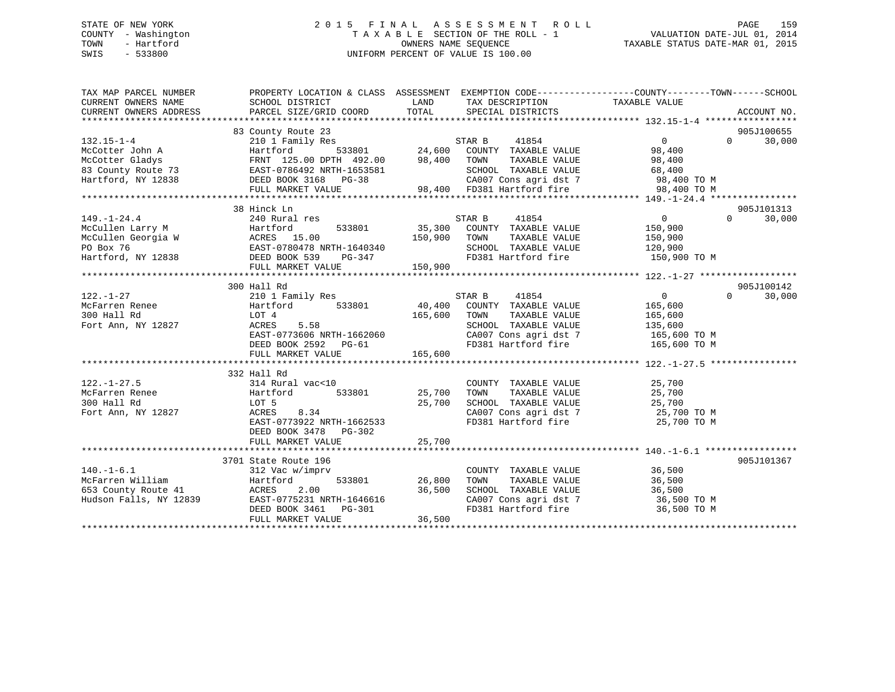## STATE OF NEW YORK 2 0 1 5 F I N A L A S S E S S M E N T R O L L PAGE 159 COUNTY - Washington T A X A B L E SECTION OF THE ROLL - 1 VALUATION DATE-JUL 01, 2014 TOWN - Hartford **TAXABLE STATUS DATE-MAR 01, 2015** OWNERS NAME SEQUENCE TAXABLE STATUS DATE-MAR 01, 2015 SWIS - 533800 UNIFORM PERCENT OF VALUE IS 100.00

| TAX MAP PARCEL NUMBER             | PROPERTY LOCATION & CLASS ASSESSMENT EXEMPTION CODE---------------COUNTY-------TOWN------SCHOOL |         |                                                                        |                                                                      |                             |
|-----------------------------------|-------------------------------------------------------------------------------------------------|---------|------------------------------------------------------------------------|----------------------------------------------------------------------|-----------------------------|
|                                   |                                                                                                 |         |                                                                        |                                                                      |                             |
|                                   | 83 County Route 23                                                                              |         |                                                                        |                                                                      | 905J100655                  |
|                                   |                                                                                                 |         |                                                                        | $\begin{array}{c} 0 \end{array}$                                     | $0 \qquad \qquad$<br>30,000 |
|                                   |                                                                                                 |         |                                                                        |                                                                      |                             |
|                                   |                                                                                                 |         |                                                                        |                                                                      |                             |
|                                   |                                                                                                 |         |                                                                        |                                                                      |                             |
|                                   |                                                                                                 |         |                                                                        |                                                                      |                             |
|                                   |                                                                                                 |         |                                                                        |                                                                      |                             |
|                                   |                                                                                                 |         |                                                                        |                                                                      |                             |
|                                   | 38 Hinck Ln                                                                                     |         |                                                                        |                                                                      | 905J101313                  |
| $149. - 1 - 24.4$                 |                                                                                                 |         | 41854<br>STAR B                                                        | $\overline{0}$                                                       | $\Omega$<br>30,000          |
|                                   |                                                                                                 |         | 533801 35,300 COUNTY TAXABLE VALUE<br>150,900 TOWN TAXABLE VALUE       | 150,900                                                              |                             |
|                                   |                                                                                                 |         | TAXABLE VALUE                                                          | 150,900                                                              |                             |
|                                   |                                                                                                 |         | SCHOOL TAXABLE VALUE 120,900                                           |                                                                      |                             |
|                                   |                                                                                                 |         | FD381 Hartford fire 150,900 TO M                                       |                                                                      |                             |
|                                   |                                                                                                 |         |                                                                        |                                                                      |                             |
|                                   |                                                                                                 |         |                                                                        |                                                                      |                             |
|                                   | 300 Hall Rd                                                                                     |         |                                                                        |                                                                      | 905J100142                  |
| $122. - 1 - 27$                   | 210 1 Family Res                                                                                |         | 41854<br>STAR B                                                        | $\overline{0}$                                                       | $\Omega$<br>30,000          |
| McFarren Renee<br>300 Hall Rd     | Hartford 533801 40,400                                                                          |         | COUNTY TAXABLE VALUE                                                   | 165,600                                                              |                             |
| 300 Hall Rd<br>Fort Ann, NY 12827 | LOT 4                                                                                           | 165,600 | TOWN<br>TAXABLE VALUE                                                  | 165,600                                                              |                             |
|                                   | ACRES 5.58                                                                                      |         | SCHOOL TAXABLE VALUE                                                   | 135,600                                                              |                             |
|                                   |                                                                                                 |         | CA007 Cons agri dst 7 165,600 TO M<br>FD381 Hartford fire 165,600 TO M |                                                                      |                             |
|                                   | EAST-0773606 NRTH-1662060<br>DEED BOOK 2592 PG-61<br>FULL MARKET VALUE                          |         |                                                                        |                                                                      |                             |
|                                   | FULL MARKET VALUE                                                                               | 165,600 |                                                                        |                                                                      |                             |
|                                   |                                                                                                 |         |                                                                        |                                                                      |                             |
|                                   | 332 Hall Rd                                                                                     |         |                                                                        |                                                                      |                             |
| $122. - 1 - 27.5$                 | 314 Rural vac<10                                                                                |         | COUNTY TAXABLE VALUE 25,700                                            |                                                                      |                             |
| McFarren Renee                    |                                                                                                 | 25,700  | TOWN<br>TAXABLE VALUE                                                  | 25,700                                                               |                             |
| 300 Hall Rd                       | LOT 5                                                                                           | 25,700  | SCHOOL TAXABLE VALUE 25,700                                            |                                                                      |                             |
| Fort Ann, NY 12827                | ACRES<br>8.34                                                                                   |         |                                                                        | CA007 Cons agri dst 7 $25,700$ TO M<br>FD201 Usubfaud fine           |                             |
|                                   | EAST-0773922 NRTH-1662533                                                                       |         | FD381 Hartford fire                                                    | 25,700 TO M                                                          |                             |
|                                   | DEED BOOK 3478 PG-302                                                                           |         |                                                                        |                                                                      |                             |
|                                   |                                                                                                 |         |                                                                        |                                                                      |                             |
|                                   |                                                                                                 |         |                                                                        |                                                                      |                             |
|                                   | 3701 State Route 196                                                                            |         |                                                                        |                                                                      | 905J101367                  |
| $140. - 1 - 6.1$                  | 312 Vac w/imprv<br>533801 26,800                                                                |         | COUNTY TAXABLE VALUE 36,500<br>TOWN TAXABLE VALUE 36,500               |                                                                      |                             |
|                                   |                                                                                                 |         |                                                                        |                                                                      |                             |
|                                   |                                                                                                 |         | SCHOOL TAXABLE VALUE 36,500<br>CA007 Cons agri dst 7 36,500 TO M       |                                                                      |                             |
|                                   | ACRES 2.00 36,500<br>EAST-0775231 NRTH-1646616 36,500<br>DEED BOOK 3461 PG-301                  |         |                                                                        | CA007 Cons agri dst 7 36,500 TO M<br>FD381 Hartford fire 36,500 TO M |                             |
|                                   | FULL MARKET VALUE                                                                               | 36,500  |                                                                        |                                                                      |                             |
|                                   |                                                                                                 |         |                                                                        |                                                                      |                             |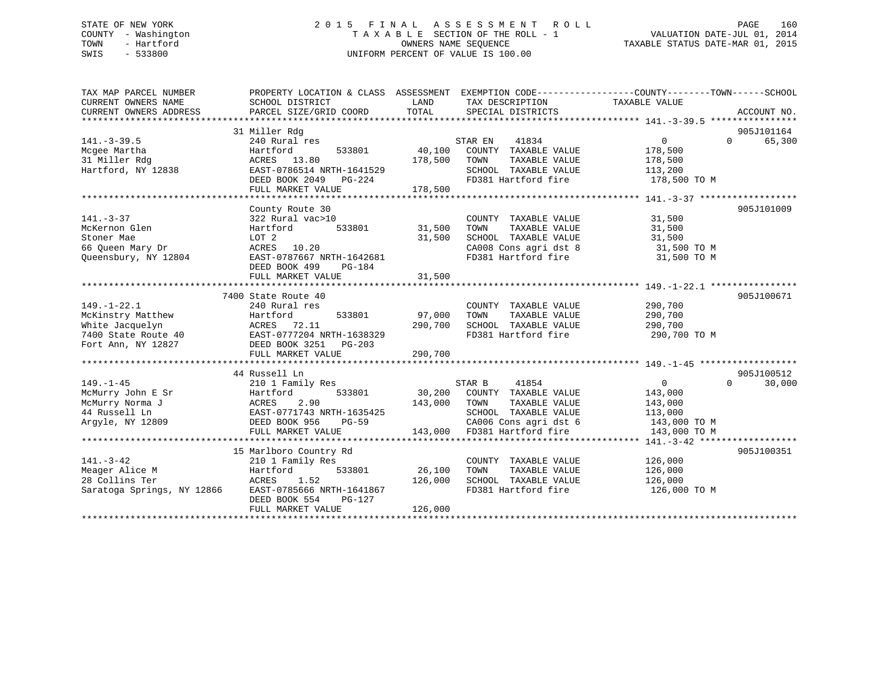## STATE OF NEW YORK 2 0 1 5 F I N A L A S S E S S M E N T R O L L PAGE 160 COUNTY - Washington T A X A B L E SECTION OF THE ROLL - 1 VALUATION DATE-JUL 01, 2014 TOWN - Hartford **TAXABLE STATUS DATE-MAR 01, 2015** OWNERS NAME SEQUENCE TAXABLE STATUS DATE-MAR 01, 2015 SWIS - 533800 UNIFORM PERCENT OF VALUE IS 100.00

| TAX MAP PARCEL NUMBER<br>CURRENT OWNERS NAME<br>CURRENT OWNERS ADDRESS | PROPERTY LOCATION & CLASS ASSESSMENT EXEMPTION CODE----------------COUNTY-------TOWN-----SCHOOL<br>SCHOOL DISTRICT<br>PARCEL SIZE/GRID COORD | LAND<br>TOTAL | TAX DESCRIPTION<br>SPECIAL DISTRICTS | TAXABLE VALUE | ACCOUNT NO.                      |
|------------------------------------------------------------------------|----------------------------------------------------------------------------------------------------------------------------------------------|---------------|--------------------------------------|---------------|----------------------------------|
|                                                                        |                                                                                                                                              |               |                                      |               |                                  |
| $141. - 3 - 39.5$                                                      | 31 Miller Rdg<br>240 Rural res                                                                                                               |               | STAR EN<br>41834                     | $\mathbf{0}$  | 905J101164<br>65,300<br>$\Omega$ |
| Mcgee Martha                                                           | Hartford<br>533801                                                                                                                           | 40,100        | COUNTY TAXABLE VALUE                 | 178,500       |                                  |
| 31 Miller Rdg                                                          | ACRES 13.80                                                                                                                                  | 178,500       | TOWN<br>TAXABLE VALUE                | 178,500       |                                  |
| Hartford, NY 12838                                                     | EAST-0786514 NRTH-1641529                                                                                                                    |               | SCHOOL TAXABLE VALUE                 | 113,200       |                                  |
|                                                                        | DEED BOOK 2049 PG-224                                                                                                                        |               | FD381 Hartford fire                  | 178,500 TO M  |                                  |
|                                                                        | FULL MARKET VALUE                                                                                                                            | 178,500       |                                      |               |                                  |
|                                                                        |                                                                                                                                              |               |                                      |               |                                  |
|                                                                        | County Route 30                                                                                                                              |               |                                      |               | 905J101009                       |
| $141. - 3 - 37$                                                        | 322 Rural vac>10                                                                                                                             |               | COUNTY TAXABLE VALUE                 | 31,500        |                                  |
| McKernon Glen                                                          | 533801<br>Hartford                                                                                                                           | 31,500        | TOWN<br>TAXABLE VALUE                | 31,500        |                                  |
| Stoner Mae                                                             | LOT 2                                                                                                                                        | 31,500        | SCHOOL TAXABLE VALUE                 | 31,500        |                                  |
| 66 Queen Mary Dr                                                       | ACRES<br>10.20                                                                                                                               |               | CA008 Cons agri dst 8                | 31,500 TO M   |                                  |
| Oueensbury, NY 12804                                                   | EAST-0787667 NRTH-1642681                                                                                                                    |               | FD381 Hartford fire                  | 31,500 TO M   |                                  |
|                                                                        | DEED BOOK 499<br>PG-184                                                                                                                      |               |                                      |               |                                  |
|                                                                        | FULL MARKET VALUE                                                                                                                            | 31,500        |                                      |               |                                  |
|                                                                        |                                                                                                                                              |               |                                      |               |                                  |
|                                                                        | 7400 State Route 40                                                                                                                          |               |                                      |               | 905J100671                       |
| $149. - 1 - 22.1$                                                      | 240 Rural res                                                                                                                                |               | COUNTY TAXABLE VALUE                 | 290,700       |                                  |
| McKinstry Matthew                                                      | 533801<br>Hartford                                                                                                                           | 97,000        | TAXABLE VALUE<br>TOWN                | 290,700       |                                  |
| White Jacquelyn                                                        | ACRES 72.11                                                                                                                                  | 290,700       | SCHOOL TAXABLE VALUE                 | 290,700       |                                  |
| 7400 State Route 40                                                    | EAST-0777204 NRTH-1638329                                                                                                                    |               | FD381 Hartford fire                  | 290,700 TO M  |                                  |
| Fort Ann, NY 12827                                                     | DEED BOOK 3251 PG-203                                                                                                                        |               |                                      |               |                                  |
|                                                                        | FULL MARKET VALUE                                                                                                                            | 290,700       |                                      |               |                                  |
|                                                                        |                                                                                                                                              |               |                                      |               |                                  |
|                                                                        | 44 Russell Ln                                                                                                                                |               |                                      |               | 905J100512                       |
| $149. - 1 - 45$                                                        | 210 1 Family Res                                                                                                                             |               | 41854<br>STAR B                      | $\Omega$      | 30,000<br>$\Omega$               |
| McMurry John E Sr                                                      | Hartford<br>533801                                                                                                                           |               | 30,200 COUNTY TAXABLE VALUE          | 143,000       |                                  |
| McMurry Norma J                                                        | 2.90<br>ACRES                                                                                                                                | 143,000       | TOWN<br>TAXABLE VALUE                | 143,000       |                                  |
| 44 Russell Ln                                                          | EAST-0771743 NRTH-1635425                                                                                                                    |               | SCHOOL TAXABLE VALUE                 | 113,000       |                                  |
| Argyle, NY 12809                                                       | DEED BOOK 956<br>PG-59                                                                                                                       |               | CA006 Cons agri dst 6                | 143,000 TO M  |                                  |
|                                                                        | FULL MARKET VALUE                                                                                                                            | 143,000       | FD381 Hartford fire                  | 143,000 TO M  |                                  |
|                                                                        |                                                                                                                                              |               |                                      |               |                                  |
|                                                                        | 15 Marlboro Country Rd                                                                                                                       |               |                                      |               | 905J100351                       |
| $141. - 3 - 42$                                                        | 210 1 Family Res                                                                                                                             |               | COUNTY TAXABLE VALUE                 | 126,000       |                                  |
| Meager Alice M                                                         | 533801<br>Hartford                                                                                                                           | 26,100        | TOWN<br>TAXABLE VALUE                | 126,000       |                                  |
| 28 Collins Ter                                                         | ACRES<br>1.52                                                                                                                                | 126,000       | SCHOOL TAXABLE VALUE                 | 126,000       |                                  |
| Saratoga Springs, NY 12866                                             | EAST-0785666 NRTH-1641867                                                                                                                    |               | FD381 Hartford fire                  | 126,000 TO M  |                                  |
|                                                                        | DEED BOOK 554<br>PG-127                                                                                                                      |               |                                      |               |                                  |
|                                                                        | FULL MARKET VALUE                                                                                                                            | 126,000       |                                      |               |                                  |
|                                                                        |                                                                                                                                              |               |                                      |               |                                  |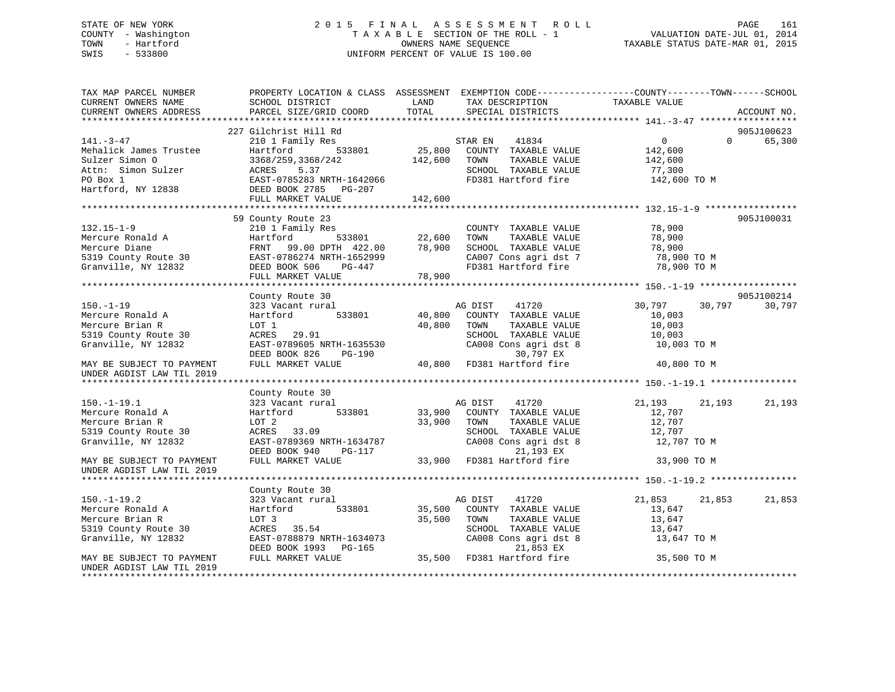## STATE OF NEW YORK 2 0 1 5 F I N A L A S S E S S M E N T R O L L PAGE 161 COUNTY - Washington T A X A B L E SECTION OF THE ROLL - 1 VALUATION DATE-JUL 01, 2014 TOWN - Hartford **TAXABLE STATUS DATE-MAR 01, 2015** OWNERS NAME SEQUENCE TAXABLE STATUS DATE-MAR 01, 2015 SWIS - 533800 UNIFORM PERCENT OF VALUE IS 100.00

| TAX MAP PARCEL NUMBER<br>CURRENT OWNERS NAME<br>CURRENT OWNERS ADDRESS                                                                                            | SCHOOL DISTRICT<br>PARCEL SIZE/GRID COORD                                                                                                                           | PROPERTY LOCATION & CLASS ASSESSMENT EXEMPTION CODE---------------COUNTY-------TOWN-----SCHOOL<br>LAND<br>TAX DESCRIPTION<br>TOTAL<br>SPECIAL DISTRICTS                                                                                             | TAXABLE VALUE<br>ACCOUNT NO.                                                                         |  |
|-------------------------------------------------------------------------------------------------------------------------------------------------------------------|---------------------------------------------------------------------------------------------------------------------------------------------------------------------|-----------------------------------------------------------------------------------------------------------------------------------------------------------------------------------------------------------------------------------------------------|------------------------------------------------------------------------------------------------------|--|
|                                                                                                                                                                   |                                                                                                                                                                     |                                                                                                                                                                                                                                                     |                                                                                                      |  |
| $141. - 3 - 47$<br>Mehalick James Trustee<br>Sulzer Simon O<br>Attn: Simon Sulzer<br>PO Box 1<br>Hartford, NY 12838                                               | 227 Gilchrist Hill Rd<br>210 1 Family Res<br>533801<br>Hartford<br>3368/259,3368/242<br>ACRES 5.37<br>EAST-0785283 NRTH-1642066<br>DEED BOOK 2785 PG-207<br>142 600 | STAR EN<br>41834<br>25,800 COUNTY TAXABLE VALUE<br>TAXABLE VALUE<br>142,600 TOWN<br>SCHOOL TAXABLE VALUE<br>FD381 Hartford fire                                                                                                                     | 905J100623<br>0<br>$\Omega$<br>65,300<br>142,600<br>142,600<br>77,300<br>142,600 TO M                |  |
|                                                                                                                                                                   | FULL MARKET VALUE                                                                                                                                                   | 142,600                                                                                                                                                                                                                                             |                                                                                                      |  |
| $132.15 - 1 - 9$<br>Mercure Ronald A<br>Mercure Diane<br>5319 County Route 30<br>Granville, NY 12832<br>Granville, NY 12832                                       | 59 County Route 23<br>210 1 Family Res<br>533801<br>Hartford<br>FRNT 99.00 DPTH 422.00<br>EAST-0786274 NRTH-1652999<br>DEED BOOK 506<br>PG-447<br>FULL MARKET VALUE | COUNTY TAXABLE VALUE<br>22,600<br>78,900<br>TAXABLE VALUE<br>TOWN<br>SCHOOL TAXABLE VALUE<br>CA007 Cons agri dst 7<br>CA007 Cons agri dst 7<br>FD381 Hartford fire<br>78,900                                                                        | 905J100031<br>78,900<br>78,900<br>78,900<br>78,900 TO M<br>78,900 TO M                               |  |
|                                                                                                                                                                   |                                                                                                                                                                     |                                                                                                                                                                                                                                                     |                                                                                                      |  |
| $150. - 1 - 19$<br>Mercure Ronald A<br>Mercure Brian R<br>5319 County Route 30<br>Granville, NY 12832<br>MAY BE SUBJECT TO PAYMENT<br>UNDER AGDIST LAW TIL 2019   | County Route 30<br>323 Vacant rural<br>533801<br>Hartford<br>LOT 1<br>ACRES<br>29.91<br>EAST-0789605 NRTH-1635530<br>DEED BOOK 826<br>PG-190<br>FULL MARKET VALUE   | AG DIST<br>41720<br>40,800<br>COUNTY TAXABLE VALUE<br>40,800<br>TOWN<br>TAXABLE VALUE<br>SCHOOL TAXABLE VALUE<br>CA008 Cons agri dst 8<br>30,797 EX<br>40,800 FD381 Hartford fire                                                                   | 905J100214<br>30,797<br>30,797<br>30,797<br>10,003<br>10,003<br>10,003<br>10,003 TO M<br>40,800 TO M |  |
| $150.-1-19.1$<br>Mercure Ronald A<br>Mercure Brian R<br>5319 County Route 30<br>Granville, NY 12832<br>MAY BE SUBJECT TO PAYMENT                                  | County Route 30<br>323 Vacant rural<br>533801<br>Hartford<br>LOT 2<br>ACRES 33.09<br>EAST-0789369 NRTH-1634787<br>DEED BOOK 940<br>PG-117<br>FULL MARKET VALUE      | AG DIST 41720<br>33,900 COUNTY TAXABLE VALUE<br>33,900<br>TOWN<br>TAXABLE VALUE<br>SCHOOL TAXABLE VALUE<br>CA008 Cons agri dst 8<br>21,193 EX<br>33,900 FD381 Hartford fire                                                                         | 21,193<br>21,193<br>21,193<br>12,707<br>12,707<br>12,707<br>12,707 TO M<br>33,900 TO M               |  |
| UNDER AGDIST LAW TIL 2019                                                                                                                                         |                                                                                                                                                                     |                                                                                                                                                                                                                                                     |                                                                                                      |  |
| $150. - 1 - 19.2$<br>Mercure Ronald A<br>Mercure Brian R<br>5319 County Route 30<br>Granville, NY 12832<br>MAY BE SUBJECT TO PAYMENT<br>UNDER AGDIST LAW TIL 2019 | County Route 30<br>323 Vacant rural<br>533801<br>Hartford<br>LOT 3<br>ACRES 35.54                                                                                   | AG DIST<br>41720<br>35,500 COUNTY TAXABLE VALUE<br>35,500<br>TAXABLE VALUE<br>TOWN<br>SCHOOL TAXABLE VALUE<br>EAST-0788879 NRTH-1634073<br>DEED BOOK 1993 PG-165 21,853 EX<br>FULL MARKET VALUE 35,500 FD381 Hartford fire<br>CA008 Cons agri dst 8 | 21,853<br>21,853<br>21,853<br>13,647<br>13,647<br>13,647<br>13,647 TO M<br>35,500 TO M               |  |
| ********************                                                                                                                                              |                                                                                                                                                                     |                                                                                                                                                                                                                                                     |                                                                                                      |  |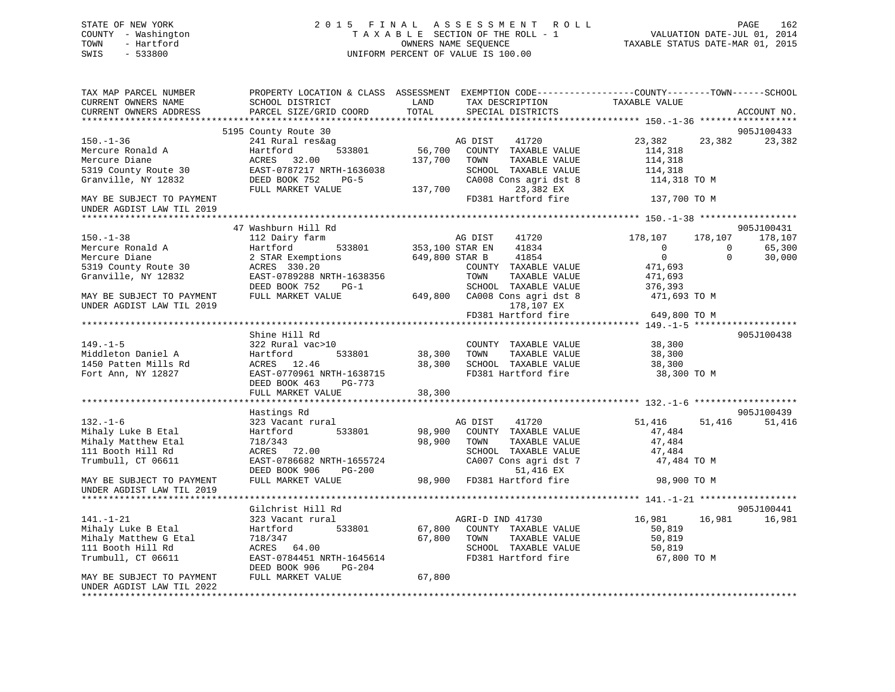## STATE OF NEW YORK 2 0 1 5 F I N A L A S S E S S M E N T R O L L PAGE 162 COUNTY - Washington T A X A B L E SECTION OF THE ROLL - 1 VALUATION DATE-JUL 01, 2014 TOWN - Hartford **TAXABLE STATUS DATE-MAR 01, 2015** OWNERS NAME SEQUENCE TAXABLE STATUS DATE-MAR 01, 2015 SWIS - 533800 UNIFORM PERCENT OF VALUE IS 100.00

| TAX MAP PARCEL NUMBER<br>CURRENT OWNERS NAME<br>CURRENT OWNERS ADDRESS | PROPERTY LOCATION & CLASS ASSESSMENT<br>SCHOOL DISTRICT<br>PARCEL SIZE/GRID COORD | LAND<br>TOTAL                     | EXEMPTION CODE-----------------COUNTY-------TOWN------SCHOOL<br>TAX DESCRIPTION<br>SPECIAL DISTRICTS | TAXABLE VALUE                  | ACCOUNT NO.                  |
|------------------------------------------------------------------------|-----------------------------------------------------------------------------------|-----------------------------------|------------------------------------------------------------------------------------------------------|--------------------------------|------------------------------|
|                                                                        |                                                                                   |                                   |                                                                                                      |                                |                              |
| $150. - 1 - 36$                                                        | 5195 County Route 30<br>241 Rural res&ag                                          |                                   | 41720<br>AG DIST                                                                                     | 23,382<br>23,382               | 905J100433<br>23,382         |
| Mercure Ronald A<br>Mercure Diane<br>5319 County Route 30              | Hartford<br>533801<br>ACRES 32.00<br>EAST-0787217 NRTH-1636038                    | 56,700<br>137,700                 | COUNTY TAXABLE VALUE<br>TAXABLE VALUE<br>TOWN<br>SCHOOL TAXABLE VALUE                                | 114,318<br>114,318<br>114,318  |                              |
| Granville, NY 12832                                                    | DEED BOOK 752<br>$PG-5$<br>FULL MARKET VALUE                                      | 137,700                           | CA008 Cons agri dst 8<br>23,382 EX                                                                   | 114,318 TO M                   |                              |
| MAY BE SUBJECT TO PAYMENT<br>UNDER AGDIST LAW TIL 2019                 |                                                                                   |                                   | FD381 Hartford fire                                                                                  | 137,700 TO M                   |                              |
|                                                                        |                                                                                   |                                   |                                                                                                      |                                |                              |
|                                                                        | 47 Washburn Hill Rd                                                               |                                   |                                                                                                      |                                | 905J100431                   |
| $150. - 1 - 38$                                                        | 112 Dairy farm<br>Hartford                                                        |                                   | 41720<br>AG DIST<br>41834                                                                            | 178,107<br>178,107<br>$\Omega$ | 178,107<br>$\Omega$          |
| Mercure Ronald A<br>Mercure Diane                                      | 533801<br>2 STAR Exemptions                                                       | 353,100 STAR EN<br>649,800 STAR B | 41854                                                                                                | $\overline{0}$                 | 65,300<br>$\Omega$<br>30,000 |
| 5319 County Route 30                                                   | ACRES 330.20                                                                      |                                   | COUNTY TAXABLE VALUE                                                                                 | 471,693                        |                              |
| Granville, NY 12832                                                    | EAST-0789288 NRTH-1638356                                                         |                                   | TOWN<br>TAXABLE VALUE                                                                                | 471,693                        |                              |
|                                                                        | DEED BOOK 752<br>$PG-1$                                                           |                                   | SCHOOL TAXABLE VALUE                                                                                 | 376,393                        |                              |
| MAY BE SUBJECT TO PAYMENT                                              | FULL MARKET VALUE                                                                 | 649,800                           | CA008 Cons agri dst 8                                                                                | 471,693 TO M                   |                              |
| UNDER AGDIST LAW TIL 2019                                              |                                                                                   |                                   | 178,107 EX                                                                                           |                                |                              |
|                                                                        |                                                                                   |                                   | FD381 Hartford fire                                                                                  | 649,800 TO M                   |                              |
|                                                                        |                                                                                   |                                   |                                                                                                      |                                |                              |
|                                                                        | Shine Hill Rd                                                                     |                                   |                                                                                                      |                                | 905J100438                   |
| $149. - 1 - 5$                                                         | 322 Rural vac>10                                                                  |                                   | COUNTY TAXABLE VALUE                                                                                 | 38,300                         |                              |
| Middleton Daniel A                                                     | Hartford<br>533801                                                                | 38,300                            | TOWN<br>TAXABLE VALUE                                                                                | 38,300                         |                              |
| 1450 Patten Mills Rd                                                   | ACRES 12.46                                                                       | 38,300                            | SCHOOL TAXABLE VALUE                                                                                 | 38,300                         |                              |
| Fort Ann, NY 12827                                                     | EAST-0770961 NRTH-1638715                                                         |                                   | FD381 Hartford fire                                                                                  | 38,300 TO M                    |                              |
|                                                                        | DEED BOOK 463<br>PG-773                                                           |                                   |                                                                                                      |                                |                              |
|                                                                        | FULL MARKET VALUE                                                                 | 38,300                            |                                                                                                      |                                |                              |
|                                                                        |                                                                                   |                                   |                                                                                                      |                                |                              |
|                                                                        | Hastings Rd                                                                       |                                   |                                                                                                      |                                | 905J100439                   |
| $132. - 1 - 6$                                                         | 323 Vacant rural                                                                  |                                   | AG DIST<br>41720                                                                                     | 51,416<br>51,416               | 51,416                       |
| Mihaly Luke B Etal                                                     | 533801<br>Hartford                                                                | 98,900                            | COUNTY TAXABLE VALUE                                                                                 | 47,484                         |                              |
| Mihaly Matthew Etal<br>111 Booth Hill Rd                               | 718/343<br>ACRES 72.00                                                            | 98,900                            | TAXABLE VALUE<br>TOWN<br>SCHOOL TAXABLE VALUE                                                        | 47,484                         |                              |
| Trumbull, CT 06611                                                     | EAST-0786682 NRTH-1655724                                                         |                                   | CA007 Cons agri dst 7                                                                                | 47,484<br>47,484 TO M          |                              |
|                                                                        | DEED BOOK 906<br>$PG-200$                                                         |                                   | 51,416 EX                                                                                            |                                |                              |
| MAY BE SUBJECT TO PAYMENT                                              | FULL MARKET VALUE                                                                 |                                   | 98,900 FD381 Hartford fire                                                                           | 98,900 TO M                    |                              |
| UNDER AGDIST LAW TIL 2019                                              |                                                                                   |                                   |                                                                                                      |                                |                              |
|                                                                        |                                                                                   |                                   |                                                                                                      |                                |                              |
|                                                                        | Gilchrist Hill Rd                                                                 |                                   |                                                                                                      |                                | 905J100441                   |
| $141. - 1 - 21$<br>Mihaly Luke B Etal                                  | 323 Vacant rural<br>533801<br>Hartford                                            | 67,800                            | AGRI-D IND 41730<br>COUNTY TAXABLE VALUE                                                             | 16,981<br>16,981<br>50,819     | 16,981                       |
| Mihaly Matthew G Etal                                                  | 718/347                                                                           | 67,800                            | TOWN<br>TAXABLE VALUE                                                                                | 50,819                         |                              |
| 111 Booth Hill Rd                                                      | ACRES 64.00                                                                       |                                   | SCHOOL TAXABLE VALUE                                                                                 | 50,819                         |                              |
| Trumbull, CT 06611                                                     | EAST-0784451 NRTH-1645614                                                         |                                   | FD381 Hartford fire                                                                                  | 67,800 TO M                    |                              |
|                                                                        | DEED BOOK 906<br>PG-204                                                           |                                   |                                                                                                      |                                |                              |
| MAY BE SUBJECT TO PAYMENT                                              | FULL MARKET VALUE                                                                 | 67,800                            |                                                                                                      |                                |                              |
| UNDER AGDIST LAW TIL 2022                                              |                                                                                   |                                   |                                                                                                      |                                |                              |
|                                                                        |                                                                                   |                                   |                                                                                                      |                                |                              |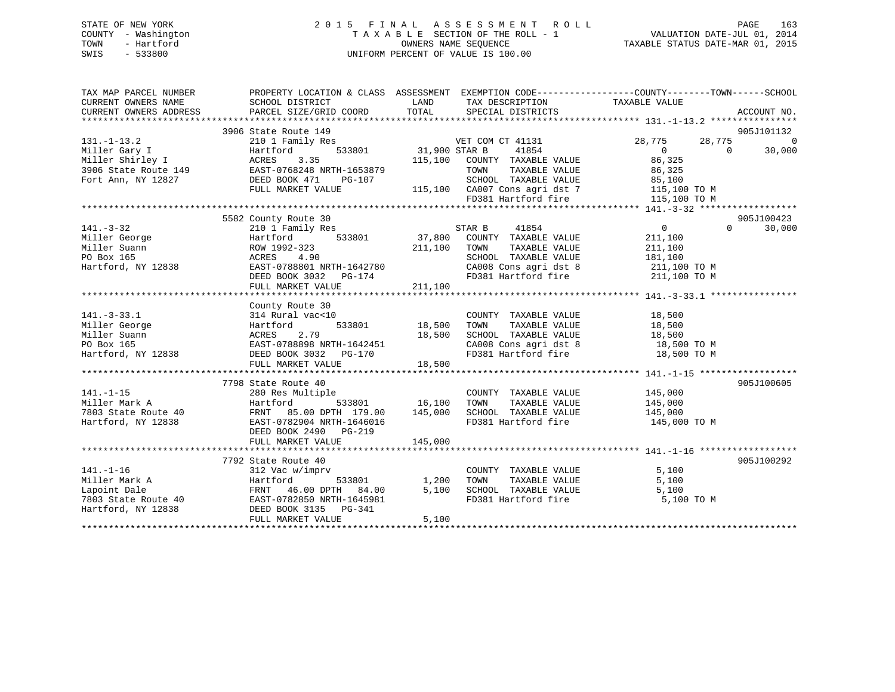## STATE OF NEW YORK 2 0 1 5 F I N A L A S S E S S M E N T R O L L PAGE 163 COUNTY - Washington T A X A B L E SECTION OF THE ROLL - 1 VALUATION DATE-JUL 01, 2014 TOWN - Hartford **TAXABLE STATUS DATE-MAR 01, 2015** OWNERS NAME SEQUENCE TAXABLE STATUS DATE-MAR 01, 2015 SWIS - 533800 UNIFORM PERCENT OF VALUE IS 100.00

| TAX MAP PARCEL NUMBER<br>CURRENT OWNERS NAME<br>CURRENT OWNERS ADDRESS                                                                    | PROPERTY LOCATION & CLASS ASSESSMENT EXEMPTION CODE---------------COUNTY-------TOWN-----SCHOOL<br>SCHOOL DISTRICT<br>PARCEL SIZE/GRID COORD | LAND<br>TOTAL                   | TAX DESCRIPTION TAXABLE VALUE<br>SPECIAL DISTRICTS                              |                          | ACCOUNT NO.                  |
|-------------------------------------------------------------------------------------------------------------------------------------------|---------------------------------------------------------------------------------------------------------------------------------------------|---------------------------------|---------------------------------------------------------------------------------|--------------------------|------------------------------|
|                                                                                                                                           | 3906 State Route 149                                                                                                                        |                                 |                                                                                 |                          | 905J101132<br>$\overline{0}$ |
| $131. - 1 - 13.2$                                                                                                                         | 210 1 Family Res                                                                                                                            |                                 | VET COM CT 41131                                                                | 28,775<br>28,775         |                              |
| Miller Gary I<br>Hartford Hartford Hartford Hartford Hartford Hartford Hartford Hartford Hartford Hartford Hartford H<br>Miller Shirley I | Hartford<br>3.35                                                                                                                            | 533801 31,900 STAR B<br>115,100 | 41854<br>COUNTY TAXABLE VALUE                                                   | $\overline{0}$<br>86,325 | $\overline{0}$<br>30,000     |
|                                                                                                                                           |                                                                                                                                             |                                 | TOWN                                                                            |                          |                              |
| 3906 State Route 149<br>Fort Ann, NY 12827<br>Fort Ann, NY 12827<br>CHED BOOK 471 PG-107                                                  |                                                                                                                                             |                                 |                                                                                 | TAXABLE VALUE 86,325     |                              |
|                                                                                                                                           | FULL MARKET VALUE                                                                                                                           |                                 | 3-107 SCHOOL TAXABLE VALUE 85,100<br>115,100 CA007 Cons agri dst 7 115,100 TO M |                          |                              |
|                                                                                                                                           |                                                                                                                                             |                                 | FD381 Hartford fire                                                             | 115,100 TO M             |                              |
|                                                                                                                                           |                                                                                                                                             |                                 |                                                                                 |                          |                              |
|                                                                                                                                           |                                                                                                                                             |                                 |                                                                                 |                          | 905J100423                   |
| $141. - 3 - 32$                                                                                                                           | 5582 County Route 30                                                                                                                        |                                 |                                                                                 | $\overline{0}$           | $\Omega$<br>30,000           |
| Miller George                                                                                                                             | 210 1 Family Res<br>ly Res<br>533801<br>Hartford                                                                                            |                                 | STAR B 41854<br>37,800 COUNTY TAXABLE VALUE                                     | 211,100                  |                              |
| Miller Suann                                                                                                                              | ROW 1992-323                                                                                                                                | 211,100                         | TOWN<br>TAXABLE VALUE                                                           | 211,100                  |                              |
| $-2838$<br>PO Box 165                                                                                                                     | ACRES 4.90                                                                                                                                  |                                 | SCHOOL TAXABLE VALUE                                                            | 181,100                  |                              |
| Hartford, NY 12838                                                                                                                        | AUKES 4.90<br>EAST-0788801 NRTH-1642780                                                                                                     |                                 | CA008 Cons agri dst 8 101,100<br>CA008 Cons agri dst 8 11,100 TO M              |                          |                              |
|                                                                                                                                           | DEED BOOK 3032 PG-174                                                                                                                       |                                 | FD381 Hartford fire 211,100 TO M                                                |                          |                              |
|                                                                                                                                           | FULL MARKET VALUE                                                                                                                           | 211,100                         |                                                                                 |                          |                              |
|                                                                                                                                           |                                                                                                                                             |                                 |                                                                                 |                          |                              |
|                                                                                                                                           | County Route 30                                                                                                                             |                                 |                                                                                 |                          |                              |
| $141. - 3 - 33.1$                                                                                                                         | 314 Rural vac<10                                                                                                                            |                                 | COUNTY TAXABLE VALUE 18,500                                                     |                          |                              |
| Miller George                                                                                                                             | Hartford                                                                                                                                    | 533801 18,500                   | TAXABLE VALUE<br>TOWN                                                           | 18,500                   |                              |
|                                                                                                                                           |                                                                                                                                             |                                 |                                                                                 |                          |                              |
|                                                                                                                                           | ACRES 2.79 18,500<br>EAST-0788898 NRTH-1642451 18,500<br>DEED BOOK 3032 PG-170                                                              |                                 | SCHOOL TAXABLE VALUE 18,500<br>CA008 Cons agri dst 8 18,500 TO M                |                          |                              |
|                                                                                                                                           |                                                                                                                                             |                                 | FD381 Hartford fire 18,500 TO M                                                 |                          |                              |
|                                                                                                                                           |                                                                                                                                             |                                 |                                                                                 |                          |                              |
|                                                                                                                                           |                                                                                                                                             |                                 |                                                                                 |                          |                              |
|                                                                                                                                           | 7798 State Route 40                                                                                                                         |                                 |                                                                                 |                          | 905J100605                   |
| $141. - 1 - 15$                                                                                                                           | 280 Res Multiple                                                                                                                            |                                 | COUNTY TAXABLE VALUE                                                            | 145,000                  |                              |
| Miller Mark A                                                                                                                             | Hartford                                                                                                                                    | $533801$ 16,100                 | TOWN<br>TAXABLE VALUE                                                           | 145,000                  |                              |
| 7803 State Route 40                                                                                                                       | FRNT 85.00 DPTH 179.00                                                                                                                      | 145,000                         |                                                                                 | 145,000                  |                              |
| Hartford, NY 12838                                                                                                                        | EAST-0782904 NRTH-1646016                                                                                                                   |                                 | SCHOOL TAXABLE VALUE<br>FD381 Hartford fire                                     | 145,000 TO M             |                              |
|                                                                                                                                           | DEED BOOK 2490 PG-219                                                                                                                       |                                 |                                                                                 |                          |                              |
|                                                                                                                                           | FULL MARKET VALUE                                                                                                                           | 145,000                         |                                                                                 |                          |                              |
|                                                                                                                                           |                                                                                                                                             |                                 |                                                                                 |                          |                              |
|                                                                                                                                           | 7792 State Route 40                                                                                                                         |                                 |                                                                                 |                          | 905J100292                   |
| $141. - 1 - 16$                                                                                                                           | 312 Vac w/imprv                                                                                                                             |                                 | COUNTY TAXABLE VALUE                                                            | 5,100                    |                              |
| Miller Mark A                                                                                                                             | Hartford                                                                                                                                    | 533801 1,200                    | TOWN<br>TAXABLE VALUE                                                           | 5,100                    |                              |
|                                                                                                                                           |                                                                                                                                             | 5,100                           |                                                                                 | 5,100                    |                              |
|                                                                                                                                           | FRNT 46.00 DPTH 84.00<br>٥٦٩-٩٦٩٥٩٤٨ ٦٢٣٣-1645981                                                                                           |                                 | SCHOOL TAXABLE VALUE<br>FD381 Hartford fire                                     | 5,100 TO M               |                              |
| Hartford, NY 12838                                                                                                                        | DEED BOOK 3135 PG-341                                                                                                                       |                                 |                                                                                 |                          |                              |
|                                                                                                                                           | FULL MARKET VALUE                                                                                                                           | 5,100                           |                                                                                 |                          |                              |
|                                                                                                                                           |                                                                                                                                             |                                 |                                                                                 |                          |                              |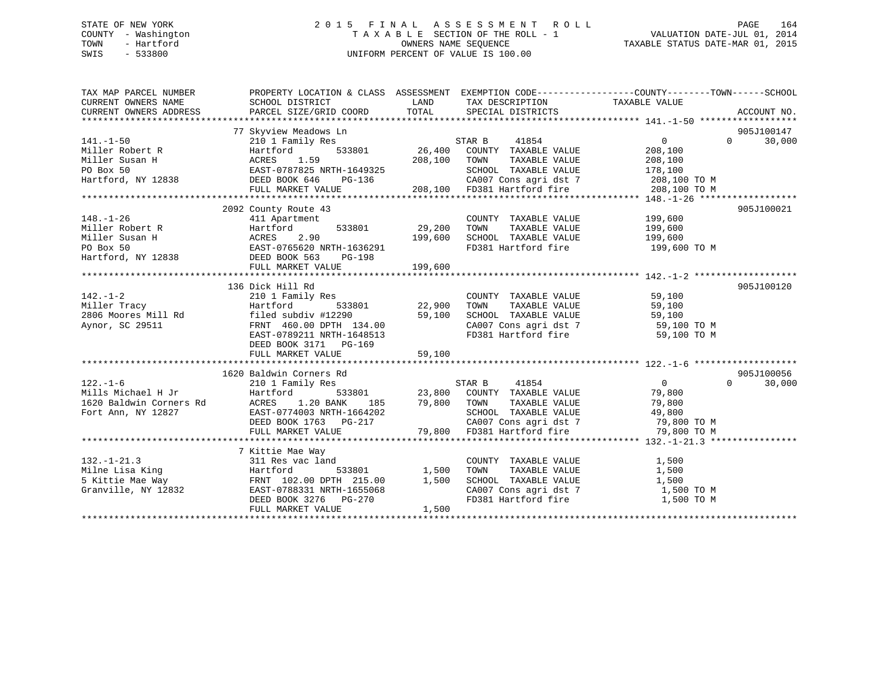## STATE OF NEW YORK 2 0 1 5 F I N A L A S S E S S M E N T R O L L PAGE 164 COUNTY - Washington T A X A B L E SECTION OF THE ROLL - 1 VALUATION DATE-JUL 01, 2014 TOWN - Hartford **TAXABLE STATUS DATE-MAR 01, 2015** OWNERS NAME SEQUENCE TAXABLE STATUS DATE-MAR 01, 2015 SWIS - 533800 UNIFORM PERCENT OF VALUE IS 100.00

| TAX MAP PARCEL NUMBER | PROPERTY LOCATION & CLASS ASSESSMENT EXEMPTION CODE---------------COUNTY-------TOWN------SCHOOL                                                                                                                                                                                                              |       |                                                                                       |                |                    |
|-----------------------|--------------------------------------------------------------------------------------------------------------------------------------------------------------------------------------------------------------------------------------------------------------------------------------------------------------|-------|---------------------------------------------------------------------------------------|----------------|--------------------|
|                       |                                                                                                                                                                                                                                                                                                              |       |                                                                                       |                |                    |
|                       |                                                                                                                                                                                                                                                                                                              |       |                                                                                       |                |                    |
|                       |                                                                                                                                                                                                                                                                                                              |       |                                                                                       |                |                    |
|                       | 77 Skyview Meadows Ln                                                                                                                                                                                                                                                                                        |       |                                                                                       |                | 905J100147         |
| $141. - 1 - 50$       | 210 1 Family Res                                                                                                                                                                                                                                                                                             |       |                                                                                       | $\overline{0}$ | $\Omega$<br>30,000 |
|                       |                                                                                                                                                                                                                                                                                                              |       |                                                                                       |                |                    |
|                       |                                                                                                                                                                                                                                                                                                              |       |                                                                                       |                |                    |
|                       |                                                                                                                                                                                                                                                                                                              |       |                                                                                       |                |                    |
|                       |                                                                                                                                                                                                                                                                                                              |       |                                                                                       |                |                    |
|                       |                                                                                                                                                                                                                                                                                                              |       |                                                                                       |                |                    |
|                       |                                                                                                                                                                                                                                                                                                              |       |                                                                                       |                |                    |
|                       | 2092 County Route 43                                                                                                                                                                                                                                                                                         |       |                                                                                       |                | 905J100021         |
| $148. - 1 - 26$       | 411 Apartment<br>Hartford 533801 29,200                                                                                                                                                                                                                                                                      |       | COUNTY TAXABLE VALUE 199,600                                                          |                |                    |
|                       |                                                                                                                                                                                                                                                                                                              |       |                                                                                       |                |                    |
|                       |                                                                                                                                                                                                                                                                                                              |       |                                                                                       |                |                    |
|                       |                                                                                                                                                                                                                                                                                                              |       |                                                                                       |                |                    |
|                       | Miller Robert R<br>Miller Susan H<br>Miller Susan H<br>Miller Susan H<br>Miller Susan H<br>Miller Susan H<br>Miller Susan H<br>Miller Susan H<br>Miller Susan H<br>Miller Susan H<br>Miller Susan H<br>Miller Susan H<br>Miller Susan H<br>Miller Susan<br>DEED BOOK 563 PG-198<br>FULL MARKET VALUE 199,600 |       |                                                                                       |                |                    |
|                       |                                                                                                                                                                                                                                                                                                              |       |                                                                                       |                |                    |
|                       | 142.-1-2<br>Miller Tracy (2008) Hartford (22,900 TOWN TAXABLE VALUE<br>2006 Moores Mill Rd (29,900 TOWN TAXABLE VALUE 59,100<br>Aynor, SC 29511 (29,000 DPTH 134 00 SCHOOL TAXABLE VALUE 50,100<br>Aynor, SC 29511 (29,000 DPTH 134 00                                                                       |       |                                                                                       |                |                    |
|                       |                                                                                                                                                                                                                                                                                                              |       |                                                                                       |                | 905J100120         |
|                       |                                                                                                                                                                                                                                                                                                              |       |                                                                                       |                |                    |
|                       |                                                                                                                                                                                                                                                                                                              |       |                                                                                       |                |                    |
|                       | filed subdiv #12290 59,100 SCHOOL TAXABLE VALUE 59,100<br>FRNT 460.00 DPTH 134.00 CA007 Cons agri dst 7 59,100 TO M<br>EAST-0789211 NRTH-1648513 FD381 Hartford fire 59,100 TO M                                                                                                                             |       |                                                                                       |                |                    |
|                       |                                                                                                                                                                                                                                                                                                              |       |                                                                                       |                |                    |
|                       |                                                                                                                                                                                                                                                                                                              |       |                                                                                       |                |                    |
|                       | DEED BOOK 3171 PG-169                                                                                                                                                                                                                                                                                        |       |                                                                                       |                |                    |
|                       |                                                                                                                                                                                                                                                                                                              |       |                                                                                       |                |                    |
|                       |                                                                                                                                                                                                                                                                                                              |       |                                                                                       |                |                    |
|                       | 1620 Baldwin Corners Rd                                                                                                                                                                                                                                                                                      |       | Rd<br>533801 23,800 COUNTY TAKABLE VALUE<br>533801 23,800 COUNTY TAKABLE VALUE 79,800 |                | 905J100056         |
|                       |                                                                                                                                                                                                                                                                                                              |       |                                                                                       | $\overline{0}$ | $\Omega$<br>30,000 |
|                       |                                                                                                                                                                                                                                                                                                              |       |                                                                                       |                |                    |
|                       |                                                                                                                                                                                                                                                                                                              |       |                                                                                       |                |                    |
|                       |                                                                                                                                                                                                                                                                                                              |       |                                                                                       |                |                    |
|                       |                                                                                                                                                                                                                                                                                                              |       |                                                                                       |                |                    |
|                       |                                                                                                                                                                                                                                                                                                              |       |                                                                                       |                |                    |
|                       |                                                                                                                                                                                                                                                                                                              |       |                                                                                       |                |                    |
|                       | 7 Kittie Mae Way                                                                                                                                                                                                                                                                                             |       |                                                                                       |                |                    |
|                       |                                                                                                                                                                                                                                                                                                              |       |                                                                                       |                |                    |
|                       |                                                                                                                                                                                                                                                                                                              |       |                                                                                       |                |                    |
|                       |                                                                                                                                                                                                                                                                                                              |       |                                                                                       |                |                    |
|                       |                                                                                                                                                                                                                                                                                                              |       | CA007 Cons agri dst 7 1,500 TO M                                                      |                |                    |
|                       | 132.-1-21.3<br>Milne Lisa King<br>Milne Lisa King<br>S Kittie Mae Way<br>Granville, NY 12832<br>Granville, NY 12832<br>SEED BOOK 3276<br>DEED BOOK 3276<br>PG-270<br>TEAS PG-270<br>FEAST PG-270<br>FEAS PG-270<br>FEAS PG-270<br>FEAS PG-270<br>FEAS PG-2                                                   |       |                                                                                       | 1,500 TO M     |                    |
|                       | FULL MARKET VALUE                                                                                                                                                                                                                                                                                            | 1,500 |                                                                                       |                |                    |
|                       |                                                                                                                                                                                                                                                                                                              |       |                                                                                       |                |                    |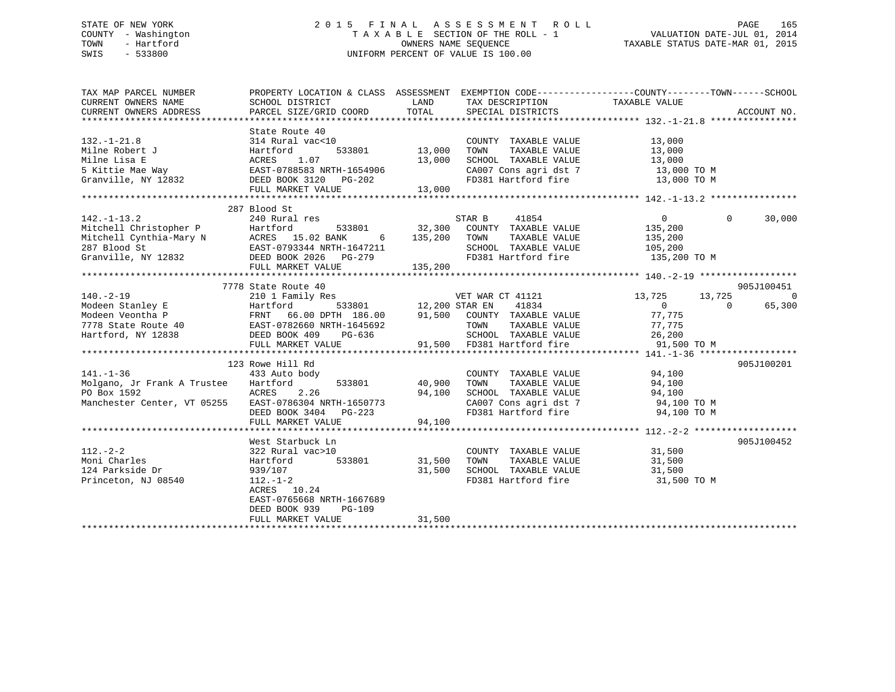## STATE OF NEW YORK 2 0 1 5 F I N A L A S S E S S M E N T R O L L PAGE 165 COUNTY - Washington T A X A B L E SECTION OF THE ROLL - 1 VALUATION DATE-JUL 01, 2014 TOWN - Hartford **TAXABLE STATUS DATE-MAR 01, 2015** OWNERS NAME SEQUENCE TAXABLE STATUS DATE-MAR 01, 2015 SWIS - 533800 UNIFORM PERCENT OF VALUE IS 100.00

| TAX MAP PARCEL NUMBER<br>CURRENT OWNERS NAME<br>CURRENT OWNERS ADDRESS                                                                                                                                                                                                                                                                                                                                                                                                                                                                                                              | PROPERTY LOCATION & CLASS ASSESSMENT<br>SCHOOL DISTRICT<br>PARCEL SIZE/GRID COORD                                                                                                          | LAND<br>TOTAL              | TAX DESCRIPTION TAXABLE VALUE SPECIAL DISTRICTS                                                     | EXEMPTION CODE-----------------COUNTY-------TOWN------SCHOOL                        | ACCOUNT NO.                          |
|-------------------------------------------------------------------------------------------------------------------------------------------------------------------------------------------------------------------------------------------------------------------------------------------------------------------------------------------------------------------------------------------------------------------------------------------------------------------------------------------------------------------------------------------------------------------------------------|--------------------------------------------------------------------------------------------------------------------------------------------------------------------------------------------|----------------------------|-----------------------------------------------------------------------------------------------------|-------------------------------------------------------------------------------------|--------------------------------------|
| $132. - 1 - 21.8$<br>Milne Robert J<br>Milne Lisa E<br>5 Kittie Mae Way<br>5 Kittie Mae Way 6 EAST-0788583 NRTH-1654906<br>Granville, NY 12832                                                                                                                                                                                                                                                                                                                                                                                                                                      | State Route 40<br>314 Rural vac<10<br>Hartford<br>533801 13,000<br>1.07<br>ACRES<br>DEED BOOK 3120 PG-202<br>FULL MARKET VALUE                                                             | 13,000<br>13,000           | COUNTY TAXABLE VALUE<br>TOWN<br>TAXABLE VALUE<br>SCHOOL TAXABLE VALUE<br>FD381 Hartford fire        | 13,000<br>13,000<br>13,000<br>CA007 Cons agri dst 7 13,000 TO M<br>13,000 TO M      |                                      |
| $142. - 1 - 13.2$                                                                                                                                                                                                                                                                                                                                                                                                                                                                                                                                                                   | 287 Blood St<br>240 Rural res                                                                                                                                                              |                            | 41854<br>STAR B                                                                                     | $\overline{0}$                                                                      | $\Omega$<br>30,000                   |
| Mitchell Christopher P Hartford 533801<br>Mitchell Cynthia-Mary N ACRES 15.02 BANK 6<br>287 Blood St EAST-0793344 NRTH-1647211<br>Granville, NY 12832 DEED BOOK 2026 PG-279<br>NEW MARKET MARKET MARKET<br>$\begin{tabular}{lllllllll} 287 \text{ Blood St} & \text{EAST}-0793344 \text{ NRTH}-1647211 & \text{SCHOOL} & \text{TAXABLE VALUE} & 105,200 \\ \text{Gramville, NY 12832} & \text{DEED BOOK 2026} & \text{PG}-279 & \text{TD381 Hartford fire} & 135,200 \text{ TO M} \\ & & & & & & \\ \text{FULL MARKET VALUE} & 135,200 & & & \\ & & & & & 135,200 \\ \end{tabular}$ |                                                                                                                                                                                            |                            |                                                                                                     | 135,200<br>135,200                                                                  |                                      |
|                                                                                                                                                                                                                                                                                                                                                                                                                                                                                                                                                                                     | 7778 State Route 40                                                                                                                                                                        |                            |                                                                                                     |                                                                                     | 905J100451                           |
| $140. -2 - 19$<br>Modeen Stanley E<br>Modeen Veontha P<br>2,200 STAR EN 41834<br>Modeen Veontha P<br>2,778 State Route 40<br>EAST-0782660 NRTH-1645692<br>EAST-0782660 NRTH-1645692<br>2000 TOWN TAXABLE VALUE<br>2000 TOWN TAXABLE VALUE<br>Hartford, NY 12838 DEED BOOK 409                                                                                                                                                                                                                                                                                                       | 210 1 Family Res<br>PG-636<br>FULL MARKET VALUE                                                                                                                                            | 533801 12,200 STAR EN      | VET WAR CT 41121<br>SCHOOL TAXABLE VALUE 26,200<br>91,500 FD381 Hartford fire 91,500                | 13,725<br>13,725<br>$\overline{0}$<br>77,775<br>TAXABLE VALUE 77,775<br>91,500 TO M | $\overline{0}$<br>$\Omega$<br>65,300 |
|                                                                                                                                                                                                                                                                                                                                                                                                                                                                                                                                                                                     | 123 Rowe Hill Rd                                                                                                                                                                           |                            |                                                                                                     |                                                                                     | 905J100201                           |
| $141. - 1 - 36$<br>Molgano, Jr Frank A Trustee<br>PO Box 1592<br>Manchester Center, VT 05255                                                                                                                                                                                                                                                                                                                                                                                                                                                                                        | 433 Auto body<br>533801<br>Hartford<br>ACRES 2.26<br>EAST-0786304 NRTH-1650773<br>DEED BOOK 3404 PG-223<br>FULL MARKET VALUE                                                               | 40,900<br>94,100<br>94,100 | COUNTY TAXABLE VALUE 94,100<br>TOWN<br>TAXABLE VALUE<br>SCHOOL TAXABLE VALUE<br>FD381 Hartford fire | 94,100<br>94,100<br>CA007 Cons agri dst 7 $94,100$ TO M<br>94,100 TO M              |                                      |
|                                                                                                                                                                                                                                                                                                                                                                                                                                                                                                                                                                                     |                                                                                                                                                                                            |                            |                                                                                                     |                                                                                     |                                      |
| $112. - 2 - 2$<br>Moni Charles<br>124 Parkside Dr<br>Princeton, NJ 08540                                                                                                                                                                                                                                                                                                                                                                                                                                                                                                            | West Starbuck Ln<br>322 Rural vac>10<br>533801<br>Hartford<br>939/107<br>$112. - 1 - 2$<br>ACRES 10.24<br>EAST-0765668 NRTH-1667689<br>DEED BOOK 939<br><b>PG-109</b><br>FULL MARKET VALUE | 31,500<br>31,500<br>31,500 | COUNTY TAXABLE VALUE<br>TOWN<br>TAXABLE VALUE<br>SCHOOL TAXABLE VALUE                               | 31,500<br>31,500<br>31,500<br>FD381 Hartford fire 31,500 TO M                       | 905J100452                           |
|                                                                                                                                                                                                                                                                                                                                                                                                                                                                                                                                                                                     |                                                                                                                                                                                            |                            |                                                                                                     |                                                                                     |                                      |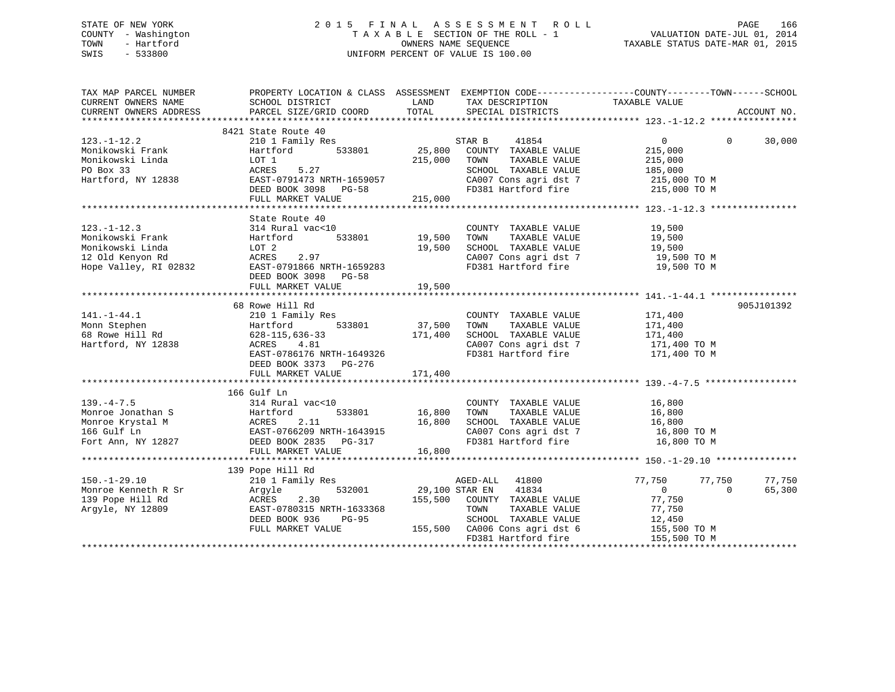## STATE OF NEW YORK 2 0 1 5 F I N A L A S S E S S M E N T R O L L PAGE 166 COUNTY - Washington T A X A B L E SECTION OF THE ROLL - 1 VALUATION DATE-JUL 01, 2014 TOWN - Hartford **TAXABLE STATUS DATE-MAR 01, 2015** OWNERS NAME SEQUENCE TAXABLE STATUS DATE-MAR 01, 2015 SWIS - 533800 UNIFORM PERCENT OF VALUE IS 100.00

| TAX MAP PARCEL NUMBER                                                                                  | PROPERTY LOCATION & CLASS ASSESSMENT EXEMPTION CODE----------------COUNTY-------TOWN------SCHOOL                                       |                                                 |                                                                                                                                                |                                                                              |                  |
|--------------------------------------------------------------------------------------------------------|----------------------------------------------------------------------------------------------------------------------------------------|-------------------------------------------------|------------------------------------------------------------------------------------------------------------------------------------------------|------------------------------------------------------------------------------|------------------|
|                                                                                                        |                                                                                                                                        |                                                 |                                                                                                                                                |                                                                              |                  |
| $123. - 1 - 12.2$<br>Monikowski Frank                                                                  | 8421 State Route 40<br>210 1 Family Res<br>533801<br>Hartford                                                                          | $\begin{array}{cc} 801 & 25,800 \end{array}$ ST | STAR B<br>41854<br>COUNTY TAXABLE VALUE                                                                                                        | $0 \qquad \qquad$<br>$\Omega$<br>215,000                                     | 30,000           |
| Monikowski Linda<br>PO Box 33<br>Hartford, NY 12838                                                    | LOT 1<br>ACRES<br>5.27<br>EAST-0791473 NRTH-1659057                                                                                    | 215,000                                         | TAXABLE VALUE<br>TOWN<br>SCHOOL TAXABLE VALUE<br>CA007 Cons agri dst 7 215,000 TO M                                                            | 215,000<br>185,000                                                           |                  |
|                                                                                                        | DEED BOOK 3098 PG-58<br>FULL MARKET VALUE                                                                                              | 215,000                                         | FD381 Hartford fire 215,000 TO M                                                                                                               |                                                                              |                  |
|                                                                                                        |                                                                                                                                        |                                                 |                                                                                                                                                |                                                                              |                  |
| $123. - 1 - 12.3$<br>Monikowski Frank<br>Monikowski Linda<br>12 Old Kenyon Rd<br>Hope Valley, RI 02832 | State Route 40<br>314 Rural vac<10<br>Hartford<br>LOT 2<br>ACRES<br>2.97<br>EAST-0791866 NRTH-1659283<br>DEED BOOK 3098 PG-58          | 533801 19,500<br>19,500                         | COUNTY TAXABLE VALUE<br>TAXABLE VALUE<br>TOWN<br>SCHOOL TAXABLE VALUE<br>CA007 Cons agri dst 7<br>CA007 Cons agri dst 7<br>FD381 Hartford fire | 19,500<br>19,500<br>19,500<br>19,500 TO M<br>19,500 TO M                     |                  |
|                                                                                                        |                                                                                                                                        |                                                 |                                                                                                                                                |                                                                              |                  |
|                                                                                                        |                                                                                                                                        |                                                 |                                                                                                                                                |                                                                              |                  |
|                                                                                                        | 68 Rowe Hill Rd                                                                                                                        |                                                 |                                                                                                                                                |                                                                              | 905J101392       |
| $141. - 1 - 44.1$<br>Monn Stephen<br>68 Rowe Hill Rd<br>Hartford, NY 12838                             | 210 1 Family Res<br>533801<br>Hartford<br>$628 - 115, 636 - 33$<br>ACRES<br>4.81<br>EAST-0786176 NRTH-1649326<br>DEED BOOK 3373 PG-276 | 37,500<br>171,400                               | COUNTY TAXABLE VALUE<br>TAXABLE VALUE<br>TOWN<br>SCHOOL TAXABLE VALUE<br>CA007 Cons agri dst 7<br>FD381 Hartford fire                          | 171,400<br>171,400<br>171,400<br>171,400 TO M<br>171,400 TO M                |                  |
|                                                                                                        |                                                                                                                                        |                                                 |                                                                                                                                                |                                                                              |                  |
|                                                                                                        |                                                                                                                                        |                                                 |                                                                                                                                                |                                                                              |                  |
|                                                                                                        | 166 Gulf Ln                                                                                                                            |                                                 |                                                                                                                                                |                                                                              |                  |
| $139. -4 - 7.5$<br>Monroe Jonathan S<br>Monroe Krystal M<br>166 Gulf Ln<br>Fort Ann, NY 12827          | 314 Rural vac<10<br>Hartford 533801 16,800<br>ACRES 2.11 16,800<br>EAST-0766209<br>DEED BOOK 2835 PG-317<br>16.800                     |                                                 | COUNTY TAXABLE VALUE<br>TAXABLE VALUE<br>TOWN<br>SCHOOL TAXABLE VALUE<br>CA007 Cons agri dst 7<br>FD381 Hartford fire                          | 16,800<br>16,800<br>16,800<br>16,800 TO M<br>16,800 TO M                     |                  |
|                                                                                                        |                                                                                                                                        |                                                 |                                                                                                                                                |                                                                              |                  |
|                                                                                                        |                                                                                                                                        |                                                 |                                                                                                                                                |                                                                              |                  |
| $150. - 1 - 29.10$<br>Monroe Kenneth R Sr<br>139 Pope Hill Rd<br>Argyle, NY 12809                      | 139 Pope Hill Rd<br>210 1 Family Res<br>532001<br>Argyle<br>ACRES<br>2.30<br>EAST-0780315 NRTH-1633368<br>DEED BOOK 936<br>PG-95       |                                                 | AGED-ALL 41800<br>29,100 STAR EN 41834<br>155,500 COUNTY TAXABLE VALUE<br>TOWN<br>TAXABLE VALUE<br>SCHOOL TAXABLE VALUE                        | 77,750<br>77,750<br>$\Omega$<br>$\overline{0}$<br>77,750<br>77,750<br>12,450 | 77,750<br>65,300 |
|                                                                                                        | FULL MARKET VALUE                                                                                                                      |                                                 | 155,500 CA006 Cons agri dst 6<br>FD381 Hartford fire                                                                                           | $12,722$<br>155,500 TO M<br>155,500 TO M                                     |                  |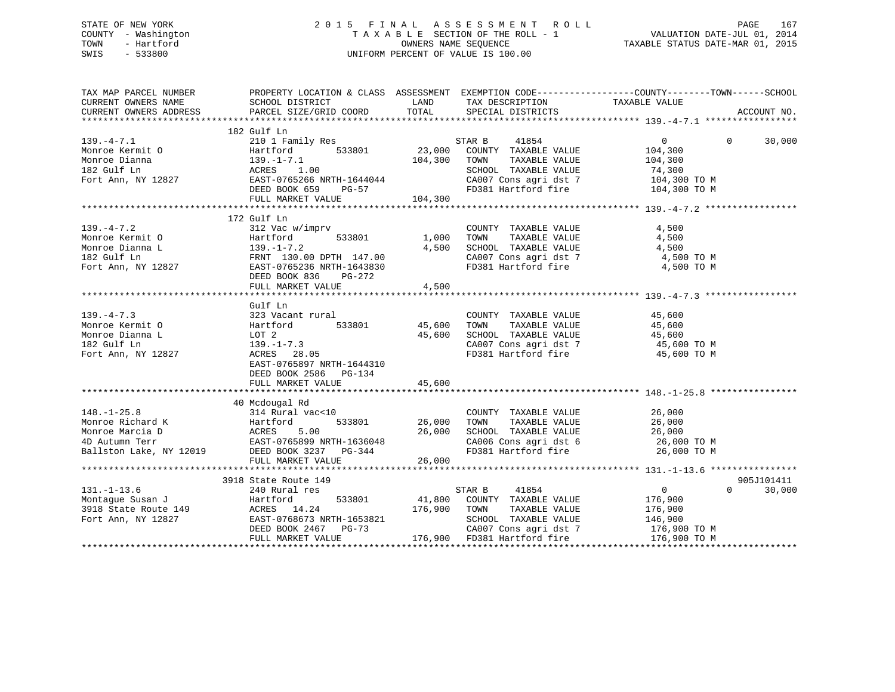## STATE OF NEW YORK 2 0 1 5 F I N A L A S S E S S M E N T R O L L PAGE 167 COUNTY - Washington T A X A B L E SECTION OF THE ROLL - 1 VALUATION DATE-JUL 01, 2014 TOWN - Hartford **TAXABLE STATUS DATE-MAR 01, 2015** OWNERS NAME SEQUENCE TAXABLE STATUS DATE-MAR 01, 2015 SWIS - 533800 UNIFORM PERCENT OF VALUE IS 100.00

| TAX MAP PARCEL NUMBER<br>CURRENT OWNERS NAME<br>CURRENT OWNERS ADDRESS                                                                                                                                                                                                                        |                                                                                                                                                                 |              |                                                                                                                                                                                                                                                                                                                        | PROPERTY LOCATION & CLASS ASSESSMENT EXEMPTION CODE---------------COUNTY-------TOWN-----SCHOOL | ACCOUNT NO. |
|-----------------------------------------------------------------------------------------------------------------------------------------------------------------------------------------------------------------------------------------------------------------------------------------------|-----------------------------------------------------------------------------------------------------------------------------------------------------------------|--------------|------------------------------------------------------------------------------------------------------------------------------------------------------------------------------------------------------------------------------------------------------------------------------------------------------------------------|------------------------------------------------------------------------------------------------|-------------|
|                                                                                                                                                                                                                                                                                               |                                                                                                                                                                 |              |                                                                                                                                                                                                                                                                                                                        |                                                                                                |             |
| 139.-4-7.1<br>Monroe Kermit 0<br>Monroe Dianna<br>139.-1-7.1<br>182 Gulf Ln<br>Fort Ann, NY 12827<br>12827<br>182 Gulf Ln<br>12827<br>182 Gulf Ln<br>12827<br>182 Gulf Ln<br>12827<br>182 Gulf Ln<br>12827<br>182 Gulf Ln<br>12827<br>182 Gulf Ln<br>12827<br>182 G                           | 182 Gulf Ln<br>FULL MARKET VALUE                                                                                                                                | 104,300      | CA007 Cons agri dst 7 104,300 TO M<br>FD381 Hartford fire 104,300 TO M                                                                                                                                                                                                                                                 | $\overline{0}$<br>$\Omega$<br>104,300<br>TAXABLE VALUE 104,300<br>74,300                       | 30,000      |
|                                                                                                                                                                                                                                                                                               |                                                                                                                                                                 |              |                                                                                                                                                                                                                                                                                                                        |                                                                                                |             |
| $139. - 4 - 7.2$<br>139.-4-7.2<br>Monroe Kermit 0<br>Monroe Dianna L<br>1,000<br>1,000<br>1,000<br>139.-1-7.2<br>139.-1-7.2<br>4,500<br>139.-1-7.2<br>4,500<br>Fort Ann, NY 12827<br>EAST-0765236 NRTH-1643830                                                                                | 172 Gulf Ln<br>312 Vac w/imprv<br>DEED BOOK 836 PG-272                                                                                                          | $1,000$ TOWN | COUNTY TAXABLE VALUE<br>TAXABLE VALUE<br>SCHOOL TAXABLE VALUE<br>$\begin{array}{lllllll} \texttt{CA007} & \texttt{Cons}\ \texttt{agri}\ \texttt{dst}\ \texttt{7} & \texttt{4,500}\ \texttt{T0}\ \texttt{M} & \texttt{FD381}\ \texttt{Hartford}\ \texttt{fire} & \texttt{4,500}\ \texttt{T0}\ \texttt{M} & \end{array}$ | 4,500<br>4,500<br>4,500                                                                        |             |
|                                                                                                                                                                                                                                                                                               | FULL MARKET VALUE 4,500                                                                                                                                         |              |                                                                                                                                                                                                                                                                                                                        |                                                                                                |             |
|                                                                                                                                                                                                                                                                                               | Gulf Ln                                                                                                                                                         |              |                                                                                                                                                                                                                                                                                                                        |                                                                                                |             |
| $139. -4 - 7.3$<br>Monroe Kermit O<br>Monroe Dianna L<br>Fort Ann, NY 12827                                                                                                                                                                                                                   | 323 Vacant rural<br>t rural COUNT<br>533801 45,600 TOWN<br>Hartford<br>LOT 2<br>139.-1-7.3<br>ACRES 28.05<br>EAST-0765897 NRTH-1644310<br>DEED BOOK 2586 PG-134 | 45,600       | COUNTY TAXABLE VALUE<br>TAXABLE VALUE<br>SCHOOL TAXABLE VALUE 45,600<br>CA007 Cons agri dst 7 45,600 TO M<br>FD381 Hartford fire 45,600 TO M                                                                                                                                                                           | 45,600<br>45,600                                                                               |             |
|                                                                                                                                                                                                                                                                                               | FULL MARKET VALUE                                                                                                                                               | 45,600       |                                                                                                                                                                                                                                                                                                                        |                                                                                                |             |
|                                                                                                                                                                                                                                                                                               |                                                                                                                                                                 |              |                                                                                                                                                                                                                                                                                                                        |                                                                                                |             |
| $148. - 1 - 25.8$<br>148.-1-25.8<br>Monroe Richard K<br>Monroe Marcia D<br>4D Autumn Terr<br>Ballston Lake, NY 12019<br>26,000<br>26,000<br>26,000<br>26,000<br>26,000<br>26,000<br>26,000<br>26,000<br>26,000<br>26,000<br>26,000<br>26,000<br>26,000<br>26,000<br>26,000<br>26,000<br>26,00 | 40 Mcdougal Rd<br>rcuougai kd<br>314 Rural vac<10                                                                                                               |              | COUNTY TAXABLE VALUE 26,000<br>TOWN TAXABLE VALUE 26,000<br>SCHOOL TAXABLE VALUE $26,000$<br>CA006 Cons agri dst 6 $26,000$ TO M<br>FD381 Hartford fire $26,000$ TO M                                                                                                                                                  |                                                                                                |             |
|                                                                                                                                                                                                                                                                                               |                                                                                                                                                                 |              |                                                                                                                                                                                                                                                                                                                        |                                                                                                |             |
|                                                                                                                                                                                                                                                                                               | 3918 State Route 149                                                                                                                                            |              |                                                                                                                                                                                                                                                                                                                        |                                                                                                | 905J101411  |
| $131. - 1 - 13.6$<br>Fort Ann, NY 12827                                                                                                                                                                                                                                                       | 240 Rural res<br>EAST-0768673 NRTH-1653821<br>DEED BOOK 2467 PG-73<br>FULL MARKET VALUE                                                                         | 176,900      | STAR B<br>41854<br>533801 $\begin{array}{cccc} 41,800 & \text{COUNTY} & \text{TAXABLE VALUE} \\ 175,900 & \text{TOMI} & \text{TAYDIF, VAYIIF} \end{array}$<br>TAXABLE VALUE<br>TOWN<br>SCHOOL TAXABLE VALUE<br>CA007 Cons agri dst 7<br>176,900 FD381 Hartford fire 176,900 TO M                                       | $\overline{0}$<br>$\Omega$<br>176,900<br>176,900<br>146,900<br>176,900 TO M                    | 30,000      |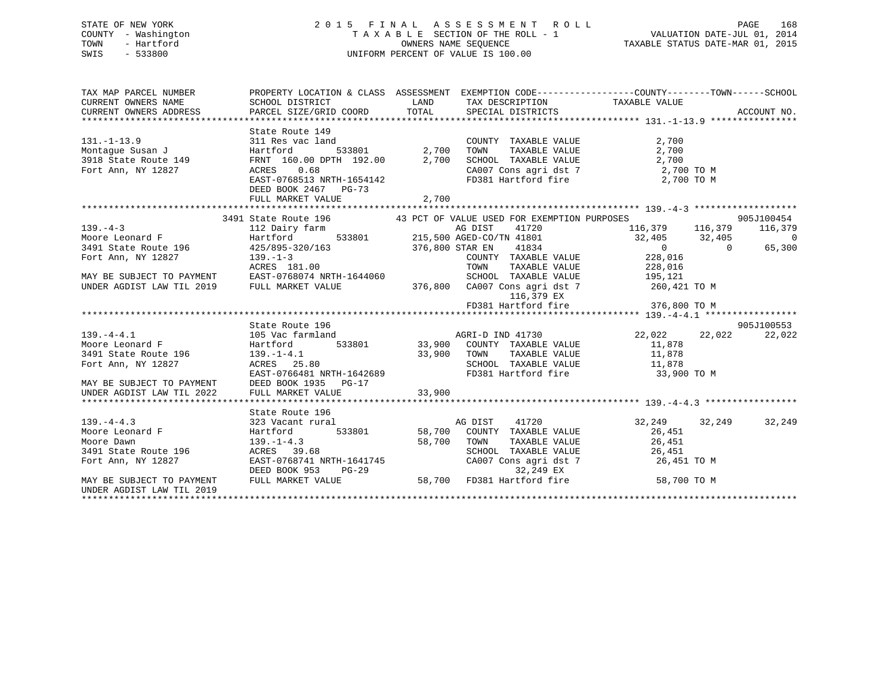# STATE OF NEW YORK 2015 FINAL ASSESSMENT ROLL PAGE 168 COUNTY - Washington  $T A X A B L E$  SECTION OF THE ROLL - 1<br>TOWN - Hartford SWIS - 533800 UNIFORM PERCENT OF VALUE IS 100.00

VALUATION DATE-JUL 01, 2014

| TAX MAP PARCEL NUMBER     |                                  | PROPERTY LOCATION & CLASS ASSESSMENT EXEMPTION CODE---------------COUNTY-------TOWN------SCHOOL                                                                                                                                                                                              |            |
|---------------------------|----------------------------------|----------------------------------------------------------------------------------------------------------------------------------------------------------------------------------------------------------------------------------------------------------------------------------------------|------------|
|                           |                                  |                                                                                                                                                                                                                                                                                              |            |
|                           |                                  |                                                                                                                                                                                                                                                                                              |            |
|                           |                                  |                                                                                                                                                                                                                                                                                              |            |
|                           |                                  |                                                                                                                                                                                                                                                                                              |            |
|                           |                                  |                                                                                                                                                                                                                                                                                              |            |
|                           |                                  |                                                                                                                                                                                                                                                                                              |            |
|                           |                                  |                                                                                                                                                                                                                                                                                              |            |
|                           |                                  | CA007 Cons agri dst 7 2,700 TO M                                                                                                                                                                                                                                                             |            |
|                           |                                  | State Route 149<br>131.-1-13.9<br>Montague Susan J<br>Montague Susan J<br>2,700<br>3918 State Route 149<br>FRNT 160.00 DPTH 192.00<br>Fort Ann, NY 12827<br>EAST 0.68<br>EAST 0.68<br>EAST 0.67<br>EAST 1654142<br>FRNT 1654142<br>FRNT 1654142<br>FRNT 16<br>FD381 Hartford fire 2,700 TO M |            |
|                           | DEED BOOK 2467 PG-73             |                                                                                                                                                                                                                                                                                              |            |
|                           | FULL MARKET VALUE                | 2,700                                                                                                                                                                                                                                                                                        |            |
|                           |                                  |                                                                                                                                                                                                                                                                                              |            |
|                           |                                  |                                                                                                                                                                                                                                                                                              | 905J100454 |
|                           |                                  |                                                                                                                                                                                                                                                                                              | 116,379    |
|                           |                                  |                                                                                                                                                                                                                                                                                              | $\sim$ 0   |
|                           |                                  |                                                                                                                                                                                                                                                                                              | 65,300     |
|                           |                                  |                                                                                                                                                                                                                                                                                              |            |
|                           |                                  |                                                                                                                                                                                                                                                                                              |            |
|                           |                                  |                                                                                                                                                                                                                                                                                              |            |
|                           |                                  |                                                                                                                                                                                                                                                                                              |            |
|                           |                                  | 116,379 EX                                                                                                                                                                                                                                                                                   |            |
|                           |                                  | $FD381$ Hartford fire<br>FD381 Hartford fire<br>All $1 + 376$ , $200$ TO M                                                                                                                                                                                                                   |            |
|                           |                                  |                                                                                                                                                                                                                                                                                              |            |
|                           | State Route 196                  |                                                                                                                                                                                                                                                                                              | 905J100553 |
|                           |                                  |                                                                                                                                                                                                                                                                                              | 22,022     |
|                           |                                  |                                                                                                                                                                                                                                                                                              |            |
|                           |                                  | 139.-4-4.1<br>Moore Leonard F<br>Moore Leonard F<br>3491 State Route 196 139.-1-4.1<br>Fort Ann, NY 12827 22,022<br>EAST-0766481 NRTH-1642689 533801 33,900 COUNTY TAXABLE VALUE<br>TOWN TAXABLE VALUE 11,878<br>SCHOOL TAXABLE VALUE 11,878                                                 |            |
|                           |                                  |                                                                                                                                                                                                                                                                                              |            |
|                           |                                  |                                                                                                                                                                                                                                                                                              |            |
|                           |                                  |                                                                                                                                                                                                                                                                                              |            |
|                           |                                  |                                                                                                                                                                                                                                                                                              |            |
|                           |                                  |                                                                                                                                                                                                                                                                                              |            |
|                           | State Route 196                  |                                                                                                                                                                                                                                                                                              |            |
|                           |                                  |                                                                                                                                                                                                                                                                                              | 32,249     |
|                           |                                  | 139.-4-4.3<br>Moore Leonard F Moore Example 26,451<br>Moore Dawn 139.-1-4.3<br>Moore Dawn 139.-1-4.3<br>Moore Dawn 139.-1-4.3<br>Moore Dawn 139.-1-4.3<br>Moore Dawn 26,451<br>Moore Dawn 26,451                                                                                             |            |
|                           |                                  | $58,700$ TOWN                                                                                                                                                                                                                                                                                |            |
|                           | 3491 State Route 196 MCRES 39.68 | SCHOOL TAXABLE VALUE 26,451                                                                                                                                                                                                                                                                  |            |
|                           |                                  |                                                                                                                                                                                                                                                                                              |            |
|                           |                                  | 3491 Scale Route 190<br>Fort Ann, NY 12827 EAST-0768741 NRTH-1641745<br>DEED BOOK 953 PG-29 32,249 EX<br>MAY BE SUBJECT TO PAYMENT FULL MARKET VALUE 58,700 FD381 Hartford fire 58,700 TO M                                                                                                  |            |
|                           |                                  |                                                                                                                                                                                                                                                                                              |            |
| UNDER AGDIST LAW TIL 2019 |                                  |                                                                                                                                                                                                                                                                                              |            |
|                           |                                  |                                                                                                                                                                                                                                                                                              |            |
|                           |                                  |                                                                                                                                                                                                                                                                                              |            |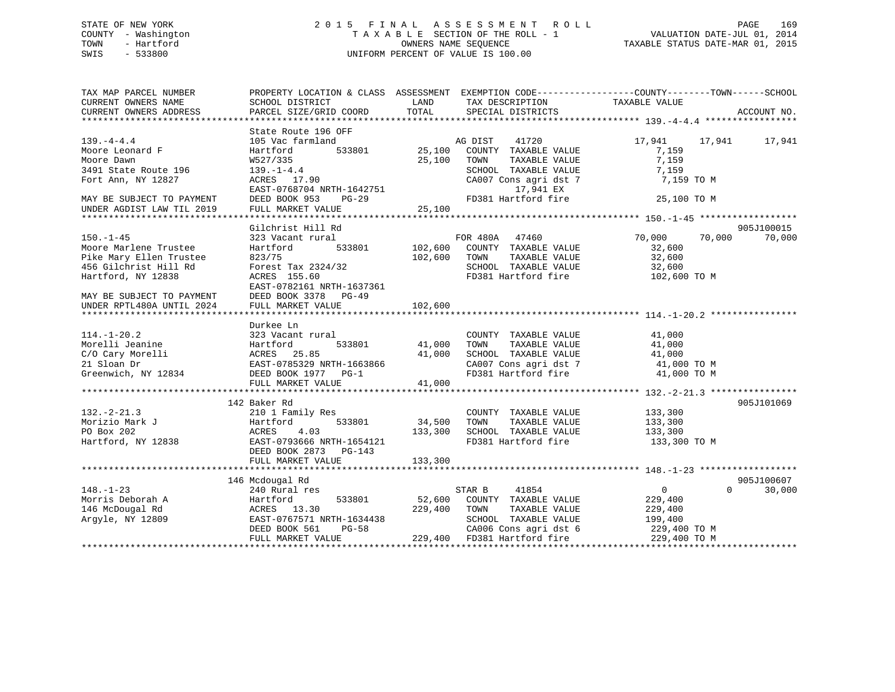## STATE OF NEW YORK 2 0 1 5 F I N A L A S S E S S M E N T R O L L PAGE 169 COUNTY - Washington T A X A B L E SECTION OF THE ROLL - 1 VALUATION DATE-JUL 01, 2014 TOWN - Hartford **TAXABLE STATUS DATE-MAR 01, 2015** OWNERS NAME SEQUENCE TAXABLE STATUS DATE-MAR 01, 2015 SWIS - 533800 UNIFORM PERCENT OF VALUE IS 100.00

| TAX MAP PARCEL NUMBER<br>CURRENT OWNERS NAME | SCHOOL DISTRICT           | LAND    | PROPERTY LOCATION & CLASS ASSESSMENT EXEMPTION CODE----------------COUNTY-------TOWN------SCHOOL<br>TAX DESCRIPTION | TAXABLE VALUE    |                    |
|----------------------------------------------|---------------------------|---------|---------------------------------------------------------------------------------------------------------------------|------------------|--------------------|
| CURRENT OWNERS ADDRESS                       | PARCEL SIZE/GRID COORD    | TOTAL   | SPECIAL DISTRICTS                                                                                                   |                  | ACCOUNT NO.        |
|                                              |                           |         |                                                                                                                     |                  |                    |
|                                              | State Route 196 OFF       |         |                                                                                                                     |                  |                    |
| $139. -4 - 4.4$                              | 105 Vac farmland          |         | AG DIST 41720                                                                                                       | 17,941 17,941    | 17,941             |
| Moore Leonard F                              | 533801<br>Hartford        | 25,100  | COUNTY TAXABLE VALUE                                                                                                | 7,159            |                    |
| Moore Dawn                                   | W527/335                  | 25,100  | TOWN<br>TAXABLE VALUE                                                                                               | 7,159            |                    |
| 3491 State Route 196                         | $139. - 1 - 4.4$          |         | SCHOOL TAXABLE VALUE                                                                                                | 7,159            |                    |
| Fort Ann, NY 12827                           | ACRES 17.90               |         | CA007 Cons agri dst 7                                                                                               | 7,159 TO M       |                    |
|                                              | EAST-0768704 NRTH-1642751 |         | 17,941 EX                                                                                                           |                  |                    |
| MAY BE SUBJECT TO PAYMENT                    | DEED BOOK 953<br>$PG-29$  |         | FD381 Hartford fire                                                                                                 | 25,100 TO M      |                    |
| UNDER AGDIST LAW TIL 2019                    | FULL MARKET VALUE         | 25,100  |                                                                                                                     |                  |                    |
|                                              |                           |         |                                                                                                                     |                  |                    |
|                                              | Gilchrist Hill Rd         |         |                                                                                                                     |                  | 905J100015         |
| $150. - 1 - 45$                              | 323 Vacant rural          |         | FOR 480A 47460                                                                                                      | 70,000<br>70,000 | 70,000             |
| Moore Marlene Trustee                        | 533801<br>Hartford        |         | 102,600 COUNTY TAXABLE VALUE                                                                                        | 32,600           |                    |
| Pike Mary Ellen Trustee                      | 823/75                    | 102,600 | TOWN<br>TAXABLE VALUE                                                                                               | 32,600           |                    |
| 456 Gilchrist Hill Rd                        | Forest Tax 2324/32        |         | SCHOOL TAXABLE VALUE                                                                                                | 32,600           |                    |
| Hartford, NY 12838                           | ACRES 155.60              |         | FD381 Hartford fire                                                                                                 | 102,600 TO M     |                    |
|                                              | EAST-0782161 NRTH-1637361 |         |                                                                                                                     |                  |                    |
| MAY BE SUBJECT TO PAYMENT                    | DEED BOOK 3378 PG-49      |         |                                                                                                                     |                  |                    |
| UNDER RPTL480A UNTIL 2024                    | FULL MARKET VALUE         | 102,600 |                                                                                                                     |                  |                    |
|                                              |                           |         |                                                                                                                     |                  |                    |
|                                              | Durkee Ln                 |         |                                                                                                                     |                  |                    |
| $114. - 1 - 20.2$                            | 323 Vacant rural          |         | COUNTY TAXABLE VALUE                                                                                                | 41,000           |                    |
| Morelli Jeanine                              | Hartford<br>533801        | 41,000  | TAXABLE VALUE<br>TOWN                                                                                               | 41,000           |                    |
| C/O Cary Morelli                             | ACRES<br>25.85            | 41,000  | SCHOOL TAXABLE VALUE                                                                                                | 41,000           |                    |
| 21 Sloan Dr                                  | EAST-0785329 NRTH-1663866 |         | CA007 Cons agri dst 7                                                                                               | 41,000 TO M      |                    |
| Greenwich, NY 12834                          | DEED BOOK 1977 PG-1       |         | FD381 Hartford fire                                                                                                 | 41,000 TO M      |                    |
|                                              | FULL MARKET VALUE         | 41,000  |                                                                                                                     |                  |                    |
|                                              |                           |         |                                                                                                                     |                  |                    |
|                                              | 142 Baker Rd              |         |                                                                                                                     |                  | 905J101069         |
| $132. - 2 - 21.3$                            | 210 1 Family Res          |         | COUNTY TAXABLE VALUE                                                                                                | 133,300          |                    |
| Morizio Mark J                               | 533801<br>Hartford        | 34,500  | TOWN<br>TAXABLE VALUE                                                                                               | 133,300          |                    |
| PO Box 202                                   | ACRES<br>4.03             | 133,300 | SCHOOL TAXABLE VALUE                                                                                                | 133,300          |                    |
| Hartford, NY 12838                           | EAST-0793666 NRTH-1654121 |         | FD381 Hartford fire                                                                                                 | 133,300 TO M     |                    |
|                                              | DEED BOOK 2873 PG-143     |         |                                                                                                                     |                  |                    |
|                                              | FULL MARKET VALUE         | 133,300 |                                                                                                                     |                  |                    |
|                                              |                           |         |                                                                                                                     |                  |                    |
|                                              | 146 Mcdougal Rd           |         |                                                                                                                     |                  | 905J100607         |
| $148. - 1 - 23$                              | 240 Rural res             |         | 41854<br>STAR B                                                                                                     | $\overline{0}$   | $\Omega$<br>30,000 |
| Morris Deborah A                             | 533801<br>Hartford        | 52,600  | COUNTY TAXABLE VALUE                                                                                                | 229,400          |                    |
| 146 McDougal Rd                              | ACRES 13.30               | 229,400 | TOWN<br>TAXABLE VALUE                                                                                               | 229,400          |                    |
| Argyle, NY 12809                             | EAST-0767571 NRTH-1634438 |         | SCHOOL TAXABLE VALUE                                                                                                | 199,400          |                    |
|                                              | DEED BOOK 561<br>$PG-58$  |         | CA006 Cons agri dst 6                                                                                               | 229,400 TO M     |                    |
|                                              | FULL MARKET VALUE         |         | 229,400 FD381 Hartford fire                                                                                         | 229,400 TO M     |                    |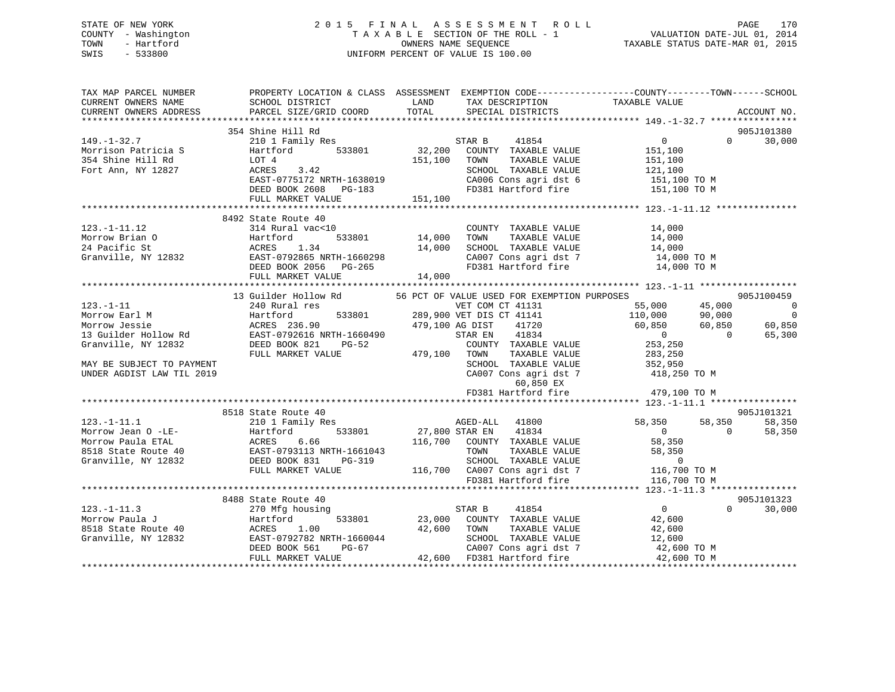## STATE OF NEW YORK 2 0 1 5 F I N A L A S S E S S M E N T R O L L PAGE 170 COUNTY - Washington T A X A B L E SECTION OF THE ROLL - 1 VALUATION DATE-JUL 01, 2014 TOWN - Hartford **TAXABLE STATUS DATE-MAR 01, 2015** OWNERS NAME SEQUENCE TAXABLE STATUS DATE-MAR 01, 2015 SWIS - 533800 UNIFORM PERCENT OF VALUE IS 100.00

| TAX MAP PARCEL NUMBER                                                           | PROPERTY LOCATION & CLASS ASSESSMENT EXEMPTION CODE----------------COUNTY-------TOWN------SCHOOL                                                                                                                                                                                                                                                           |                        |                                                                                                                                                           |                                                                                                                                                                                                                                  |                                     |
|---------------------------------------------------------------------------------|------------------------------------------------------------------------------------------------------------------------------------------------------------------------------------------------------------------------------------------------------------------------------------------------------------------------------------------------------------|------------------------|-----------------------------------------------------------------------------------------------------------------------------------------------------------|----------------------------------------------------------------------------------------------------------------------------------------------------------------------------------------------------------------------------------|-------------------------------------|
| CURRENT OWNERS NAME                                                             | SCHOOL DISTRICT<br><b>EXAMPLE EXAMPLE THE EXAMPLE EXAMPLE EXAMPLE EXAMPLE EXAMPLE EXAMPLE EXAMPLE EXAMPLE EXAMPLE EXAMPLE EXAMPLE E</b>                                                                                                                                                                                                                    |                        | TAX DESCRIPTION<br>SPECIAL DISTRICTS                                                                                                                      |                                                                                                                                                                                                                                  |                                     |
| CURRENT OWNERS ADDRESS                                                          | PARCEL SIZE/GRID COORD                                                                                                                                                                                                                                                                                                                                     | TOTAL                  | SPECIAL DISTRICTS                                                                                                                                         |                                                                                                                                                                                                                                  | ACCOUNT NO.                         |
|                                                                                 |                                                                                                                                                                                                                                                                                                                                                            |                        |                                                                                                                                                           |                                                                                                                                                                                                                                  |                                     |
|                                                                                 | 354 Shine Hill Rd                                                                                                                                                                                                                                                                                                                                          |                        |                                                                                                                                                           |                                                                                                                                                                                                                                  | 905J101380<br>$\Omega$ and $\Omega$ |
| $149. - 1 - 32.7$                                                               | 210 1 Family Res                                                                                                                                                                                                                                                                                                                                           |                        | 41854<br>STAR B                                                                                                                                           | $\overline{0}$                                                                                                                                                                                                                   | 30,000                              |
| 11. 11.<br>Morrison Patricia Santista Hartfo<br>354 Shine Hill Rd (1970) 1007 4 | Hartford                                                                                                                                                                                                                                                                                                                                                   |                        | 533801 32,200 COUNTY TAXABLE VALUE                                                                                                                        | 151,100                                                                                                                                                                                                                          |                                     |
|                                                                                 | ACRES 3.42                                                                                                                                                                                                                                                                                                                                                 | 151,100 TOWN           | TAXABLE VALUE                                                                                                                                             | 151,100                                                                                                                                                                                                                          |                                     |
| Fort Ann, NY 12827                                                              |                                                                                                                                                                                                                                                                                                                                                            |                        |                                                                                                                                                           | SCHOOL TAXABLE VALUE 121,100<br>CA006 Cons agri dst 6 151,100 TO M                                                                                                                                                               |                                     |
|                                                                                 | EAST-0775172 NRTH-1638019                                                                                                                                                                                                                                                                                                                                  |                        | CA006 Cons agri dst 6<br>FD381 Hartford fire 151,100 TO M                                                                                                 |                                                                                                                                                                                                                                  |                                     |
|                                                                                 | DEED BOOK 2608 PG-183                                                                                                                                                                                                                                                                                                                                      |                        |                                                                                                                                                           |                                                                                                                                                                                                                                  |                                     |
|                                                                                 | FULL MARKET VALUE                                                                                                                                                                                                                                                                                                                                          | 151,100                |                                                                                                                                                           |                                                                                                                                                                                                                                  |                                     |
|                                                                                 |                                                                                                                                                                                                                                                                                                                                                            |                        |                                                                                                                                                           |                                                                                                                                                                                                                                  |                                     |
| $123. - 1 - 11.12$                                                              | 8492 State Route 40<br>314 Rural vac<10                                                                                                                                                                                                                                                                                                                    |                        | COUNTY TAXABLE VALUE                                                                                                                                      |                                                                                                                                                                                                                                  |                                     |
|                                                                                 | 123.-1-11.12<br>Morrow Brian 0<br>24 Pacific St 81 MCRES<br>Cranville, NY 12832<br>CRES 1.34<br>CRES 1.34<br>CRES 1.34<br>DEED BOOK 2056 PG-265                                                                                                                                                                                                            | 」<br>533801     14,000 | TOWN                                                                                                                                                      | TAXABLE VALUE 14,000<br>TAXABLE VALUE 14,000                                                                                                                                                                                     |                                     |
|                                                                                 |                                                                                                                                                                                                                                                                                                                                                            | 14,000                 |                                                                                                                                                           |                                                                                                                                                                                                                                  |                                     |
|                                                                                 |                                                                                                                                                                                                                                                                                                                                                            |                        |                                                                                                                                                           | $\begin{tabular}{lllllllll} \texttt{SCHOOL} & \texttt{TAXABLE} & \texttt{VAJUE} & & & 14,000 \\ \texttt{CA007} & \texttt{Cons}\ \texttt{agri}\ \texttt{dst}\ 7 && & 14,000\ \texttt{\footnotesize TO}\ \texttt{M} \end{tabular}$ |                                     |
|                                                                                 |                                                                                                                                                                                                                                                                                                                                                            |                        |                                                                                                                                                           | FD381 Hartford fire 14,000 TO M                                                                                                                                                                                                  |                                     |
|                                                                                 |                                                                                                                                                                                                                                                                                                                                                            | 14,000                 |                                                                                                                                                           |                                                                                                                                                                                                                                  |                                     |
|                                                                                 | FULL MARKET VALUE                                                                                                                                                                                                                                                                                                                                          |                        |                                                                                                                                                           |                                                                                                                                                                                                                                  |                                     |
|                                                                                 | 13 Guilder Hollow Rd                                                                                                                                                                                                                                                                                                                                       |                        | 56 PCT OF VALUE USED FOR EXEMPTION PURPOSES                                                                                                               |                                                                                                                                                                                                                                  | 905J100459                          |
|                                                                                 |                                                                                                                                                                                                                                                                                                                                                            |                        | VET COM CT 41151<br>533801 289,900 VET DIS CT 41141<br>479,100 AG DIST 41720                                                                              |                                                                                                                                                                                                                                  | $\sim$ 0                            |
|                                                                                 |                                                                                                                                                                                                                                                                                                                                                            |                        |                                                                                                                                                           |                                                                                                                                                                                                                                  |                                     |
|                                                                                 |                                                                                                                                                                                                                                                                                                                                                            |                        |                                                                                                                                                           |                                                                                                                                                                                                                                  |                                     |
|                                                                                 | $\begin{tabular}{lllllllllllllllllllll} \textbf{123. -1-11} & \textbf{23. -1-11} & \textbf{23. -1-11} & \textbf{24. -1} & \textbf{25. -1-11} & \textbf{26. -1-11} & \textbf{27. -1-11} & \textbf{28. -1-11} & \textbf{28. -1-12} & \textbf{28. -1-12} & \textbf{28. -1-13} & \textbf{28. -1-13} & \textbf{28. -1-13} & \textbf{28. -1-14} & \textbf{28. -$ |                        |                                                                                                                                                           |                                                                                                                                                                                                                                  |                                     |
|                                                                                 |                                                                                                                                                                                                                                                                                                                                                            |                        |                                                                                                                                                           |                                                                                                                                                                                                                                  |                                     |
|                                                                                 |                                                                                                                                                                                                                                                                                                                                                            |                        | COUNTY TAXABLE VALUE<br>TOWN     TAXABLE VALUE                                                                                                            | 253,250<br>283,250                                                                                                                                                                                                               |                                     |
|                                                                                 |                                                                                                                                                                                                                                                                                                                                                            |                        |                                                                                                                                                           |                                                                                                                                                                                                                                  |                                     |
| MAY BE SUBJECT TO PAYMENT                                                       |                                                                                                                                                                                                                                                                                                                                                            |                        |                                                                                                                                                           | SCHOOL TAXABLE VALUE 352,950<br>CA007 Cons agri dst 7 418,250 TO M                                                                                                                                                               |                                     |
| UNDER AGDIST LAW TIL 2019                                                       |                                                                                                                                                                                                                                                                                                                                                            |                        |                                                                                                                                                           |                                                                                                                                                                                                                                  |                                     |
|                                                                                 |                                                                                                                                                                                                                                                                                                                                                            |                        | 60,850 EX                                                                                                                                                 |                                                                                                                                                                                                                                  |                                     |
|                                                                                 |                                                                                                                                                                                                                                                                                                                                                            |                        | FD381 Hartford fire                                                                                                                                       | 479,100 TO M                                                                                                                                                                                                                     |                                     |
|                                                                                 |                                                                                                                                                                                                                                                                                                                                                            |                        |                                                                                                                                                           |                                                                                                                                                                                                                                  |                                     |
|                                                                                 | 8518 State Route 40                                                                                                                                                                                                                                                                                                                                        |                        |                                                                                                                                                           |                                                                                                                                                                                                                                  | 905J101321                          |
| $123. - 1 - 11.1$                                                               | 210 1 Family Res                                                                                                                                                                                                                                                                                                                                           |                        | AGED-ALL 41800                                                                                                                                            | 58,350                                                                                                                                                                                                                           | 58,350 58,350                       |
| Morrow Jean O -LE-                                                              | 533801                                                                                                                                                                                                                                                                                                                                                     |                        | 27,800 STAR EN 41834                                                                                                                                      | $\overline{0}$                                                                                                                                                                                                                   | 58,350<br>$\overline{0}$            |
| Morrow Paula ETAL                                                               | E10 1 Family Res<br>Hartford 533801<br>ACRES 6.66<br>EAST-0793113 NRTH-1661043<br>DEED BOOK 831 PG-319<br>FULL MARKET MALLER                                                                                                                                                                                                                               |                        | 116,700 COUNTY TAXABLE VALUE                                                                                                                              | 58,350<br>58,350                                                                                                                                                                                                                 |                                     |
| 8518 State Route 40                                                             |                                                                                                                                                                                                                                                                                                                                                            |                        | TAXABLE VALUE<br>TOWN                                                                                                                                     |                                                                                                                                                                                                                                  |                                     |
| Granville, NY 12832                                                             |                                                                                                                                                                                                                                                                                                                                                            |                        | SCHOOL TAXABLE VALUE 0<br>116,700 CA007 Consider dst 7 116,700 TO M                                                                                       |                                                                                                                                                                                                                                  |                                     |
|                                                                                 | FULL MARKET VALUE                                                                                                                                                                                                                                                                                                                                          |                        | FD381 Hartford fire                                                                                                                                       |                                                                                                                                                                                                                                  |                                     |
|                                                                                 |                                                                                                                                                                                                                                                                                                                                                            |                        |                                                                                                                                                           | 116,700 TO M                                                                                                                                                                                                                     |                                     |
|                                                                                 |                                                                                                                                                                                                                                                                                                                                                            |                        |                                                                                                                                                           |                                                                                                                                                                                                                                  |                                     |
|                                                                                 | 8488 State Route 40                                                                                                                                                                                                                                                                                                                                        |                        |                                                                                                                                                           |                                                                                                                                                                                                                                  | 905J101323                          |
| $123. - 1 - 11.3$                                                               |                                                                                                                                                                                                                                                                                                                                                            |                        | 41854<br>STAR B                                                                                                                                           | $\overline{0}$                                                                                                                                                                                                                   | $\Omega$<br>30,000                  |
| Morrow Paula J                                                                  |                                                                                                                                                                                                                                                                                                                                                            |                        | 533801 23,000 COUNTY TAXABLE VALUE<br>TAXABLE VALUE                                                                                                       | 42,600                                                                                                                                                                                                                           |                                     |
| 8518 State Route 40                                                             |                                                                                                                                                                                                                                                                                                                                                            |                        | TOWN                                                                                                                                                      | 42,600                                                                                                                                                                                                                           |                                     |
| Granville, NY 12832                                                             | 270 Mfg housing<br>270 Mfg housing<br>Hartford 533801 23,000<br>23,000<br>23,000<br>23,000<br>23,000<br>23,000<br>23,000<br>23,000<br>23,000<br>23,000<br>23,000<br>23,000<br>23,000<br>23,000<br>23,000<br>23,000<br>23,000<br>23,000                                                                                                                     |                        | $\begin{tabular}{lllllllllll} \texttt{SCHOOL} & \texttt{TAXABLE VALUE} & & & 12,600 \\ \texttt{CA007 Cons agri dst 7} & & & 42,600 TO M \\ \end{tabular}$ |                                                                                                                                                                                                                                  |                                     |
|                                                                                 |                                                                                                                                                                                                                                                                                                                                                            |                        |                                                                                                                                                           |                                                                                                                                                                                                                                  |                                     |
|                                                                                 |                                                                                                                                                                                                                                                                                                                                                            |                        |                                                                                                                                                           | 42,600 TO M                                                                                                                                                                                                                      |                                     |
|                                                                                 |                                                                                                                                                                                                                                                                                                                                                            |                        |                                                                                                                                                           |                                                                                                                                                                                                                                  |                                     |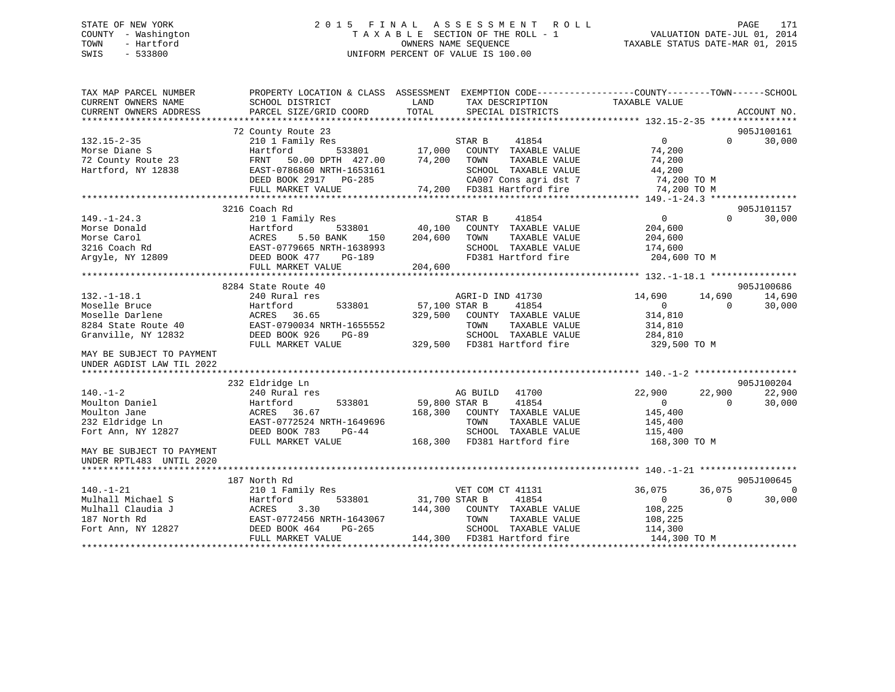## STATE OF NEW YORK 2 0 1 5 F I N A L A S S E S S M E N T R O L L PAGE 171 COUNTY - Washington T A X A B L E SECTION OF THE ROLL - 1 VALUATION DATE-JUL 01, 2014 TOWN - Hartford OWNERS NAME SEQUENCE TAXABLE STATUS DATE-MAR 01, 2015 SWIS - 533800 UNIFORM PERCENT OF VALUE IS 100.00

| TAX MAP PARCEL NUMBER     | PROPERTY LOCATION & CLASS ASSESSMENT |                                  | EXEMPTION CODE-----------------COUNTY-------TOWN------SCHOOL |
|---------------------------|--------------------------------------|----------------------------------|--------------------------------------------------------------|
| CURRENT OWNERS NAME       | SCHOOL DISTRICT                      | LAND<br>TAX DESCRIPTION          | TAXABLE VALUE                                                |
| CURRENT OWNERS ADDRESS    | PARCEL SIZE/GRID COORD               | TOTAL<br>SPECIAL DISTRICTS       | ACCOUNT NO.                                                  |
|                           |                                      |                                  |                                                              |
|                           | 72 County Route 23                   |                                  | 905J100161                                                   |
| $132.15 - 2 - 35$         | 210 1 Family Res                     | STAR B<br>41854                  | $\overline{0}$<br>30,000<br>$\Omega$                         |
| Morse Diane S             | 533801<br>Hartford                   | 17,000<br>COUNTY TAXABLE VALUE   | 74,200                                                       |
| 72 County Route 23        | FRNT<br>50.00 DPTH 427.00            | 74,200<br>TOWN<br>TAXABLE VALUE  | 74,200                                                       |
| Hartford, NY 12838        | EAST-0786860 NRTH-1653161            | SCHOOL TAXABLE VALUE             | 44,200                                                       |
|                           | DEED BOOK 2917 PG-285                | CA007 Cons agri dst 7            | 74,200 TO M                                                  |
|                           | FULL MARKET VALUE                    | 74,200 FD381 Hartford fire       | 74,200 TO M                                                  |
|                           |                                      |                                  |                                                              |
|                           | 3216 Coach Rd                        |                                  | 905J101157                                                   |
| $149. - 1 - 24.3$         | 210 1 Family Res                     | 41854<br>STAR B                  | $\Omega$<br>30,000<br>$\overline{0}$                         |
| Morse Donald              | Hartford<br>533801                   | 40,100<br>COUNTY TAXABLE VALUE   | 204,600                                                      |
| Morse Carol               | ACRES<br>5.50 BANK<br>150            | 204,600<br>TOWN<br>TAXABLE VALUE | 204,600                                                      |
|                           |                                      | SCHOOL TAXABLE VALUE             |                                                              |
| 3216 Coach Rd             | EAST-0779665 NRTH-1638993            |                                  | 174,600                                                      |
| Argyle, NY 12809          | DEED BOOK 477<br>PG-189              | FD381 Hartford fire              | 204,600 TO M                                                 |
|                           | FULL MARKET VALUE                    | 204,600                          |                                                              |
|                           |                                      |                                  |                                                              |
|                           | 8284 State Route 40                  |                                  | 905J100686                                                   |
| $132. - 1 - 18.1$         | 240 Rural res                        | AGRI-D IND 41730                 | 14,690<br>14,690<br>14,690                                   |
| Moselle Bruce             | Hartford<br>533801                   | 57,100 STAR B<br>41854           | $\overline{0}$<br>$\Omega$<br>30,000                         |
| Moselle Darlene           | ACRES<br>36.65                       | 329,500<br>COUNTY TAXABLE VALUE  | 314,810                                                      |
| 8284 State Route 40       | EAST-0790034 NRTH-1655552            | TOWN<br>TAXABLE VALUE            | 314,810                                                      |
| Granville, NY 12832       | DEED BOOK 926<br>$PG-89$             | SCHOOL TAXABLE VALUE             | 284,810                                                      |
|                           | FULL MARKET VALUE                    | 329,500<br>FD381 Hartford fire   | 329,500 TO M                                                 |
| MAY BE SUBJECT TO PAYMENT |                                      |                                  |                                                              |
| UNDER AGDIST LAW TIL 2022 |                                      |                                  |                                                              |
|                           |                                      |                                  |                                                              |
|                           | 232 Eldridge Ln                      |                                  | 905J100204                                                   |
| $140. - 1 - 2$            | 240 Rural res                        | AG BUILD<br>41700                | 22,900<br>22,900<br>22,900                                   |
| Moulton Daniel            | Hartford<br>533801                   | 41854<br>59,800 STAR B           | $\Omega$<br>$\Omega$<br>30,000                               |
| Moulton Jane              | ACRES 36.67                          | 168,300<br>COUNTY TAXABLE VALUE  | 145,400                                                      |
| 232 Eldridge Ln           | EAST-0772524 NRTH-1649696            | TAXABLE VALUE<br>TOWN            | 145,400                                                      |
| Fort Ann, NY 12827        | DEED BOOK 783<br>$PG-44$             | SCHOOL TAXABLE VALUE             | 115,400                                                      |
|                           | FULL MARKET VALUE                    | FD381 Hartford fire<br>168,300   | 168,300 TO M                                                 |
| MAY BE SUBJECT TO PAYMENT |                                      |                                  |                                                              |
| UNDER RPTL483 UNTIL 2020  |                                      |                                  |                                                              |
|                           |                                      |                                  |                                                              |
|                           | 187 North Rd                         |                                  | 905J100645                                                   |
| $140. - 1 - 21$           | 210 1 Family Res                     | VET COM CT 41131                 | 36,075<br>36,075<br>$\Omega$                                 |
| Mulhall Michael S         | Hartford<br>533801                   | 31,700 STAR B<br>41854           | 30,000<br>$\overline{0}$<br>$\Omega$                         |
| Mulhall Claudia J         | ACRES<br>3.30                        | 144,300<br>COUNTY TAXABLE VALUE  | 108,225                                                      |
|                           |                                      |                                  |                                                              |
| 187 North Rd              | EAST-0772456 NRTH-1643067            | TAXABLE VALUE<br>TOWN            | 108,225                                                      |
| Fort Ann, NY 12827        | DEED BOOK 464<br>PG-265              | SCHOOL TAXABLE VALUE             | 114,300                                                      |
|                           | FULL MARKET VALUE                    | 144,300 FD381 Hartford fire      | 144,300 TO M                                                 |
|                           |                                      |                                  |                                                              |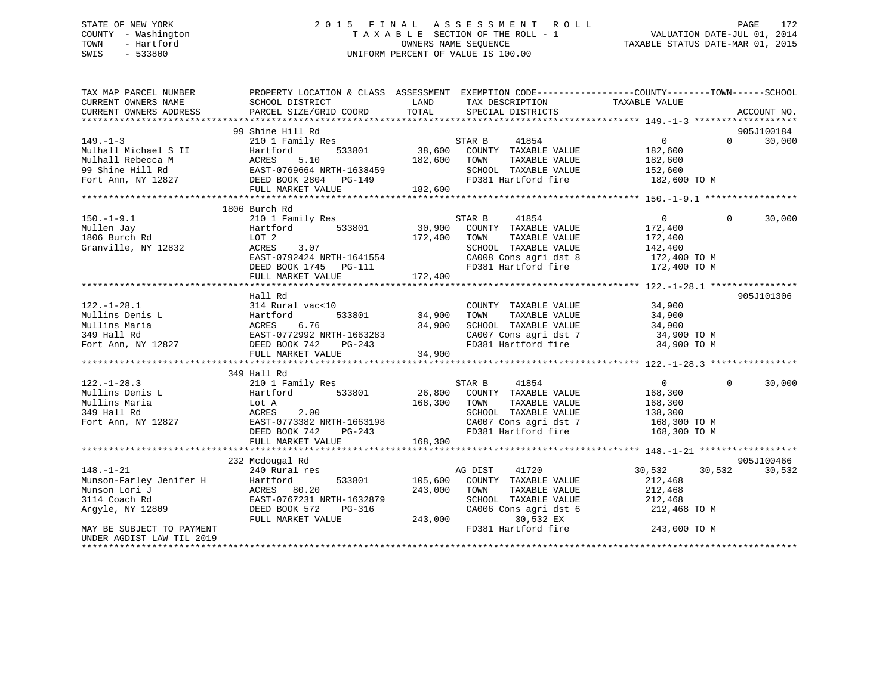## STATE OF NEW YORK 2 0 1 5 F I N A L A S S E S S M E N T R O L L PAGE 172 COUNTY - Washington T A X A B L E SECTION OF THE ROLL - 1 VALUATION DATE-JUL 01, 2014 TOWN - Hartford **TAXABLE STATUS DATE-MAR 01, 2015** OWNERS NAME SEQUENCE TAXABLE STATUS DATE-MAR 01, 2015 SWIS - 533800 UNIFORM PERCENT OF VALUE IS 100.00

| TAX MAP PARCEL NUMBER<br>CURRENT OWNERS NAME | SCHOOL DISTRICT                                                                                                                                                                                                                                              | PROPERTY LOCATION & CLASS ASSESSMENT EXEMPTION CODE---------------COUNTY-------TOWN-----SCHOOL<br>LAND TAX DESCRIPTION TAXABLE VALUE COORD TOTAL SPECIAL DISTRICTS                                                                                                         |                                              |
|----------------------------------------------|--------------------------------------------------------------------------------------------------------------------------------------------------------------------------------------------------------------------------------------------------------------|----------------------------------------------------------------------------------------------------------------------------------------------------------------------------------------------------------------------------------------------------------------------------|----------------------------------------------|
| CURRENT OWNERS ADDRESS                       | PARCEL SIZE/GRID COORD                                                                                                                                                                                                                                       |                                                                                                                                                                                                                                                                            | ACCOUNT NO.                                  |
|                                              | 99 Shine Hill Rd                                                                                                                                                                                                                                             |                                                                                                                                                                                                                                                                            | 905J100184                                   |
|                                              |                                                                                                                                                                                                                                                              |                                                                                                                                                                                                                                                                            | 30,000<br>$\Omega$                           |
|                                              |                                                                                                                                                                                                                                                              |                                                                                                                                                                                                                                                                            |                                              |
|                                              |                                                                                                                                                                                                                                                              |                                                                                                                                                                                                                                                                            |                                              |
|                                              |                                                                                                                                                                                                                                                              |                                                                                                                                                                                                                                                                            |                                              |
|                                              |                                                                                                                                                                                                                                                              |                                                                                                                                                                                                                                                                            |                                              |
|                                              |                                                                                                                                                                                                                                                              |                                                                                                                                                                                                                                                                            |                                              |
|                                              |                                                                                                                                                                                                                                                              |                                                                                                                                                                                                                                                                            |                                              |
|                                              | 1806 Burch Rd                                                                                                                                                                                                                                                |                                                                                                                                                                                                                                                                            |                                              |
| $150. - 1 - 9.1$                             | 210 1 Family Res                                                                                                                                                                                                                                             | STAR B<br>41854                                                                                                                                                                                                                                                            | $\overline{0}$<br>30,000<br>$\Omega$         |
|                                              | Hartford                                                                                                                                                                                                                                                     | --2 112,400<br>533801 30,900 COUNTY TAXABLE VALUE 172,400<br>172,400 TOWN TAXABLE VALUE 172,400                                                                                                                                                                            |                                              |
|                                              |                                                                                                                                                                                                                                                              |                                                                                                                                                                                                                                                                            |                                              |
| Granville, NY 12832                          | LOT 2<br>ACRES 3.07                                                                                                                                                                                                                                          | SCHOOL TAXABLE VALUE 142,400                                                                                                                                                                                                                                               |                                              |
|                                              |                                                                                                                                                                                                                                                              |                                                                                                                                                                                                                                                                            |                                              |
|                                              |                                                                                                                                                                                                                                                              |                                                                                                                                                                                                                                                                            |                                              |
|                                              |                                                                                                                                                                                                                                                              |                                                                                                                                                                                                                                                                            |                                              |
|                                              |                                                                                                                                                                                                                                                              |                                                                                                                                                                                                                                                                            |                                              |
|                                              | Hall Rd                                                                                                                                                                                                                                                      |                                                                                                                                                                                                                                                                            | 905J101306                                   |
| $122. - 1 - 28.1$                            | 314 Rural vac<10                                                                                                                                                                                                                                             | COUNTY TAXABLE VALUE                                                                                                                                                                                                                                                       | 34,900                                       |
|                                              |                                                                                                                                                                                                                                                              | TOWN                                                                                                                                                                                                                                                                       |                                              |
|                                              | $533801$ $34,900$<br>6                                                                                                                                                                                                                                       | SCHOOL TAXABLE VALUE                                                                                                                                                                                                                                                       | TAXABLE VALUE 34,900<br>TAXABLE VALUE 34,900 |
|                                              |                                                                                                                                                                                                                                                              | CA007 Cons agri dst 7 34,900 TO M                                                                                                                                                                                                                                          |                                              |
|                                              |                                                                                                                                                                                                                                                              | FD381 Hartford fire                                                                                                                                                                                                                                                        | 34,900 TO M                                  |
|                                              | 122.-1-28.1<br>Mullins Denis L<br>Mullins Maria (ACRES 6.76 34,900<br>34,900<br>34,900<br>34,900<br>34,900<br>34,900<br>34,900<br>34,900<br>26 EAST-0772992 NRTH-1663283<br>Fort Ann, NY 12827<br>DEED BOOK 742 PG-243<br>FULL MARKET VALUE<br>24.900<br>24, |                                                                                                                                                                                                                                                                            |                                              |
|                                              |                                                                                                                                                                                                                                                              |                                                                                                                                                                                                                                                                            |                                              |
|                                              | 349 Hall Rd                                                                                                                                                                                                                                                  |                                                                                                                                                                                                                                                                            |                                              |
|                                              |                                                                                                                                                                                                                                                              |                                                                                                                                                                                                                                                                            | $\Omega$<br>30,000                           |
|                                              |                                                                                                                                                                                                                                                              |                                                                                                                                                                                                                                                                            |                                              |
|                                              |                                                                                                                                                                                                                                                              |                                                                                                                                                                                                                                                                            |                                              |
|                                              |                                                                                                                                                                                                                                                              |                                                                                                                                                                                                                                                                            |                                              |
|                                              |                                                                                                                                                                                                                                                              | CA007 Cons agri dst 7 168,300 TO M                                                                                                                                                                                                                                         |                                              |
|                                              |                                                                                                                                                                                                                                                              | 122.-1-28.3 210 1 Family Res<br>Mullins Denis L Hartford 533801 26,800 COUNTY TAXABLE VALUE 168,300<br>Mullins Maria Lot A 168,300 TOWN TAXABLE VALUE 168,300<br>349 Hall Rd ACRES 2.00 SCHOOL TAXABLE VALUE 138,300<br>Fort Ann, NY 1<br>FD381 Hartford fire 168,300 TO M |                                              |
|                                              | FULL MARKET VALUE                                                                                                                                                                                                                                            | 168,300                                                                                                                                                                                                                                                                    |                                              |
|                                              |                                                                                                                                                                                                                                                              |                                                                                                                                                                                                                                                                            |                                              |
|                                              | 232 Mcdougal Rd                                                                                                                                                                                                                                              |                                                                                                                                                                                                                                                                            | 905J100466                                   |
|                                              |                                                                                                                                                                                                                                                              | A Surface Control of the Magnus Magnus AG DIST<br>Hartford 533801 105,600 COUNTY TAXABLE VALUE                                                                                                                                                                             | 30,532 30,532<br>30,532                      |
|                                              |                                                                                                                                                                                                                                                              |                                                                                                                                                                                                                                                                            | 212,468                                      |
|                                              |                                                                                                                                                                                                                                                              | 243,000<br>TOWN<br>TAXABLE VALUE                                                                                                                                                                                                                                           | 212,468                                      |
|                                              |                                                                                                                                                                                                                                                              |                                                                                                                                                                                                                                                                            |                                              |
|                                              | 148.-1-21<br>Munson-Farley Jenifer H<br>Munson Lori J<br>Munson Lori J<br>3114 Coach Rd<br>Argyle, NY 12809<br>200 RAST-0767231 NRTH-1632879<br>200 RAST-0767231 NRTH-1632879<br>200 DEED BOOK 572<br>2016                                                   | $\begin{tabular}{lllllllllll} \texttt{SCHOOL} & \texttt{TAXABLE VALUE} & & & & 212,468 \\ \texttt{CA006 Cons agri dst 6} & & & 212,468 \texttt{ TO M} \end{tabular}$                                                                                                       |                                              |
|                                              | FULL MARKET VALUE                                                                                                                                                                                                                                            | 243,000<br>30,532 EX<br>FD381 Hartford fire                                                                                                                                                                                                                                |                                              |
| MAY BE SUBJECT TO PAYMENT                    |                                                                                                                                                                                                                                                              |                                                                                                                                                                                                                                                                            | 243,000 TO M                                 |
| UNDER AGDIST LAW TIL 2019                    |                                                                                                                                                                                                                                                              |                                                                                                                                                                                                                                                                            |                                              |
|                                              |                                                                                                                                                                                                                                                              |                                                                                                                                                                                                                                                                            |                                              |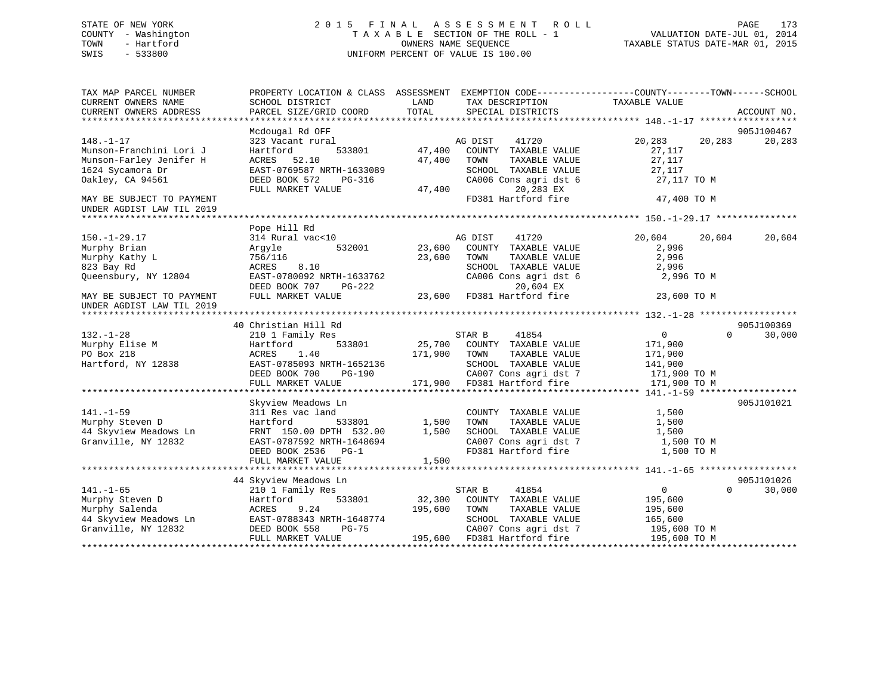## STATE OF NEW YORK 2 0 1 5 F I N A L A S S E S S M E N T R O L L PAGE 173 COUNTY - Washington T A X A B L E SECTION OF THE ROLL - 1 VALUATION DATE-JUL 01, 2014 TOWN - Hartford **TAXABLE STATUS DATE-MAR 01, 2015** OWNERS NAME SEQUENCE TAXABLE STATUS DATE-MAR 01, 2015 SWIS - 533800 UNIFORM PERCENT OF VALUE IS 100.00

| TAX MAP PARCEL NUMBER<br>CURRENT OWNERS NAME | PROPERTY LOCATION & CLASS ASSESSMENT<br>SCHOOL DISTRICT | LAND<br>TAX DESCRIPTION          | EXEMPTION CODE-----------------COUNTY-------TOWN------SCHOOL<br>TAXABLE VALUE |
|----------------------------------------------|---------------------------------------------------------|----------------------------------|-------------------------------------------------------------------------------|
| CURRENT OWNERS ADDRESS                       | PARCEL SIZE/GRID COORD                                  | TOTAL<br>SPECIAL DISTRICTS       | ACCOUNT NO.                                                                   |
|                                              | Mcdougal Rd OFF                                         |                                  | 905J100467                                                                    |
| $148. - 1 - 17$                              | 323 Vacant rural                                        | AG DIST<br>41720                 | 20,283<br>20,283<br>20,283                                                    |
| Munson-Franchini Lori J                      | 533801<br>Hartford                                      | 47,400<br>COUNTY TAXABLE VALUE   | 27,117                                                                        |
| Munson-Farley Jenifer H                      | ACRES 52.10                                             | 47,400<br>TOWN<br>TAXABLE VALUE  | 27,117                                                                        |
| 1624 Sycamora Dr                             | EAST-0769587 NRTH-1633089                               | SCHOOL TAXABLE VALUE             | 27,117                                                                        |
| Oakley, CA 94561                             | DEED BOOK 572<br>PG-316                                 | CA006 Cons agri dst 6            | 27,117 TO M                                                                   |
|                                              | FULL MARKET VALUE                                       | 20,283 EX<br>47,400              |                                                                               |
| MAY BE SUBJECT TO PAYMENT                    |                                                         | FD381 Hartford fire              | 47,400 TO M                                                                   |
| UNDER AGDIST LAW TIL 2019                    |                                                         |                                  |                                                                               |
|                                              |                                                         |                                  |                                                                               |
|                                              | Pope Hill Rd                                            |                                  |                                                                               |
| $150. - 1 - 29.17$                           | 314 Rural vac<10                                        | AG DIST<br>41720                 | 20,604<br>20,604<br>20,604                                                    |
| Murphy Brian                                 | 532001<br>Argyle                                        | 23,600<br>COUNTY TAXABLE VALUE   | 2,996                                                                         |
| Murphy Kathy L                               | 756/116                                                 | 23,600<br>TAXABLE VALUE<br>TOWN  | 2,996                                                                         |
| 823 Bay Rd                                   | ACRES<br>8.10                                           | SCHOOL TAXABLE VALUE             | 2,996                                                                         |
|                                              | EAST-0780092 NRTH-1633762                               |                                  | 2,996 TO M                                                                    |
| Queensbury, NY 12804                         |                                                         | CA006 Cons agri dst 6            |                                                                               |
|                                              | DEED BOOK 707<br>PG-222                                 | 20,604 EX                        |                                                                               |
| MAY BE SUBJECT TO PAYMENT                    | FULL MARKET VALUE                                       | 23,600<br>FD381 Hartford fire    | 23,600 TO M                                                                   |
| UNDER AGDIST LAW TIL 2019                    |                                                         |                                  |                                                                               |
|                                              |                                                         |                                  | 905J100369                                                                    |
|                                              | 40 Christian Hill Rd                                    |                                  | $\Omega$                                                                      |
| $132. - 1 - 28$                              | 210 1 Family Res                                        | 41854<br>STAR B                  | $\overline{0}$<br>30,000                                                      |
| Murphy Elise M                               | 533801<br>Hartford                                      | 25,700<br>COUNTY TAXABLE VALUE   | 171,900                                                                       |
| PO Box 218                                   | 1.40<br>ACRES                                           | 171,900<br>TOWN<br>TAXABLE VALUE | 171,900                                                                       |
| Hartford, NY 12838                           | EAST-0785093 NRTH-1652136                               | SCHOOL TAXABLE VALUE             | 141,900                                                                       |
|                                              | DEED BOOK 700<br>$PG-190$                               | CA007 Cons agri dst 7            | 171,900 TO M                                                                  |
|                                              | FULL MARKET VALUE                                       | 171,900<br>FD381 Hartford fire   | 171,900 TO M                                                                  |
|                                              |                                                         |                                  |                                                                               |
|                                              | Skyview Meadows Ln                                      |                                  | 905J101021                                                                    |
| $141. - 1 - 59$                              | 311 Res vac land                                        | COUNTY TAXABLE VALUE             | 1,500                                                                         |
| Murphy Steven D                              | 533801<br>Hartford                                      | 1,500<br>TOWN<br>TAXABLE VALUE   | 1,500                                                                         |
| 44 Skyview Meadows Ln                        | FRNT 150.00 DPTH 532.00                                 | 1,500<br>SCHOOL TAXABLE VALUE    | 1,500                                                                         |
| Granville, NY 12832                          | EAST-0787592 NRTH-1648694                               | CA007 Cons agri dst 7            | 1,500 TO M                                                                    |
|                                              | DEED BOOK 2536 PG-1                                     | FD381 Hartford fire              | 1,500 TO M                                                                    |
|                                              | FULL MARKET VALUE                                       | 1,500                            |                                                                               |
|                                              |                                                         |                                  |                                                                               |
|                                              | 44 Skyview Meadows Ln                                   |                                  | 905J101026                                                                    |
| $141. - 1 - 65$                              | 210 1 Family Res                                        | STAR B<br>41854                  | $\Omega$<br>30,000<br>0                                                       |
| Murphy Steven D                              | 533801<br>Hartford                                      | 32,300<br>COUNTY TAXABLE VALUE   | 195,600                                                                       |
| Murphy Salenda                               | 9.24<br>ACRES                                           | 195,600<br>TOWN<br>TAXABLE VALUE | 195,600                                                                       |
| 44 Skyview Meadows Ln                        | EAST-0788343 NRTH-1648774                               | SCHOOL TAXABLE VALUE             | 165,600                                                                       |
| Granville, NY 12832                          | DEED BOOK 558<br>PG-75                                  | CA007 Cons agri dst 7            | 195,600 ТО М                                                                  |
|                                              | FULL MARKET VALUE                                       | 195,600<br>FD381 Hartford fire   | 195,600 TO M                                                                  |
|                                              |                                                         |                                  |                                                                               |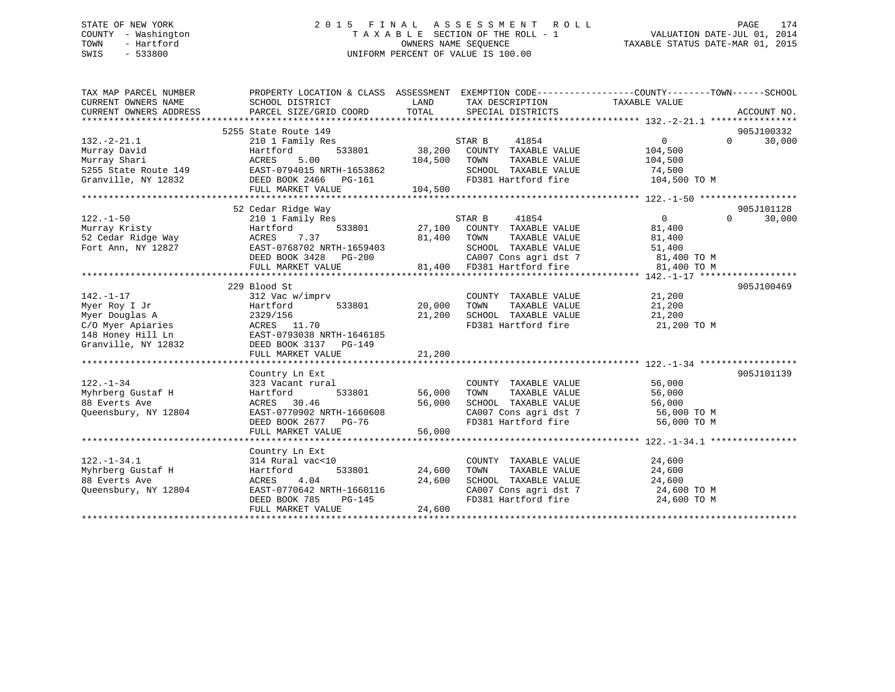## STATE OF NEW YORK 2 0 1 5 F I N A L A S S E S S M E N T R O L L PAGE 174 COUNTY - Washington T A X A B L E SECTION OF THE ROLL - 1 VALUATION DATE-JUL 01, 2014 TOWN - Hartford **TAXABLE STATUS DATE-MAR 01, 2015** OWNERS NAME SEQUENCE TAXABLE STATUS DATE-MAR 01, 2015 SWIS - 533800 UNIFORM PERCENT OF VALUE IS 100.00

| TAX MAP PARCEL NUMBER<br>CURRENT OWNERS NAME<br>CURRENT OWNERS ADDRESS | PROPERTY LOCATION & CLASS ASSESSMENT EXEMPTION CODE----------------COUNTY-------TOWN-----SCHOOL<br>SCHOOL DISTRICT<br>PARCEL SIZE/GRID COORD | LAND<br>TOTAL | TAX DESCRIPTION TAXABLE VALUE<br>SPECIAL DISTRICTS   |                                                  | ACCOUNT NO.        |
|------------------------------------------------------------------------|----------------------------------------------------------------------------------------------------------------------------------------------|---------------|------------------------------------------------------|--------------------------------------------------|--------------------|
|                                                                        | 5255 State Route 149                                                                                                                         |               |                                                      |                                                  | 905J100332         |
| $132. - 2 - 21.1$                                                      | 210 1 Family Res                                                                                                                             |               | 41854<br>STAR B                                      | 0                                                | $\Omega$<br>30,000 |
| Murray David                                                           | Hartford<br>5.00                                                                                                                             | 533801 38,200 | COUNTY TAXABLE VALUE                                 | 104,500                                          |                    |
| Murray Shari<br>5255 State Route 149 EAST-0794015 NRTH-1653862         | ACRES                                                                                                                                        | 104,500       | TOWN<br>TAXABLE VALUE<br>SCHOOL TAXABLE VALUE 74,500 | 104,500                                          |                    |
|                                                                        |                                                                                                                                              |               |                                                      |                                                  |                    |
| Granville, NY 12832 DEED BOOK 2466                                     | PG-161                                                                                                                                       |               |                                                      | FD381 Hartford fire 104,500 TO M                 |                    |
|                                                                        | FULL MARKET VALUE                                                                                                                            | 104,500       |                                                      |                                                  |                    |
|                                                                        | 52 Cedar Ridge Way                                                                                                                           |               |                                                      |                                                  | 905J101128         |
| $122. - 1 - 50$                                                        |                                                                                                                                              |               | STAR B 41854                                         | $\overline{0}$                                   | $\Omega$<br>30,000 |
| Murray Kristy                                                          | 210 1 Family Res<br>Hartford                                                                                                                 |               | 533801 27,100 COUNTY TAXABLE VALUE                   | 81,400                                           |                    |
|                                                                        |                                                                                                                                              |               | TAXABLE VALUE                                        | 81,400                                           |                    |
| 52 Cedar Ridge Way<br>Fort Ann. NY 12827<br>Fort Ann, NY 12827         | ACRES 7.37 81,400 TOWN<br>EAST-0768702 NRTH-1659403                                                                                          |               | SCHOOL TAXABLE VALUE                                 | 51,400                                           |                    |
|                                                                        | DEED BOOK 3428 PG-200                                                                                                                        |               |                                                      | CA007 Cons agri dst 7 $81,400$ TO M              |                    |
|                                                                        | FULL MARKET VALUE                                                                                                                            |               | 81,400 FD381 Hartford fire                           | 81,400 TO M                                      |                    |
|                                                                        |                                                                                                                                              |               |                                                      |                                                  |                    |
|                                                                        | 229 Blood St                                                                                                                                 |               |                                                      |                                                  | 905J100469         |
| $142. - 1 - 17$                                                        | 312 Vac w/imprv                                                                                                                              |               | COUNTY TAXABLE VALUE                                 | 21,200                                           |                    |
| Myer Roy I Jr                                                          | Hartford 533801                                                                                                                              | 20,000        | TOWN<br>TAXABLE VALUE                                | 21,200                                           |                    |
| Myer Douglas A                                                         | 2329/156                                                                                                                                     | 21,200        | SCHOOL TAXABLE VALUE                                 | 21,200                                           |                    |
|                                                                        | ACRES 11.70                                                                                                                                  |               |                                                      | FD381 Hartford fire 21,200 TO M                  |                    |
| C/O Myer Apiaries<br>148 Honey Hill Ln                                 | EAST-0793038 NRTH-1646185                                                                                                                    |               |                                                      |                                                  |                    |
| Granville, NY 12832                                                    | DEED BOOK 3137 PG-149                                                                                                                        |               |                                                      |                                                  |                    |
|                                                                        | FULL MARKET VALUE                                                                                                                            | 21,200        |                                                      |                                                  |                    |
|                                                                        |                                                                                                                                              |               |                                                      |                                                  |                    |
|                                                                        | Country Ln Ext                                                                                                                               |               |                                                      |                                                  | 905J101139         |
| $122. - 1 - 34$                                                        | 323 Vacant rural                                                                                                                             |               | COUNTY TAXABLE VALUE                                 |                                                  |                    |
| Myhrberg Gustaf H                                                      | 533801<br>Hartford                                                                                                                           | 56,000        | TAXABLE VALUE<br>TOWN                                | 56,000<br>56,000                                 |                    |
| 88 Everts Ave                                                          | ACRES 30.46                                                                                                                                  | 56,000        | SCHOOL TAXABLE VALUE                                 | 56,000                                           |                    |
| Queensbury, NY 12804                                                   | EAST-0770902 NRTH-1660608                                                                                                                    |               |                                                      |                                                  |                    |
|                                                                        | DEED BOOK 2677 PG-76                                                                                                                         |               | FD381 Hartford fire                                  | CA007 Cons agri dst 7 56,000 TO M<br>56,000 TO M |                    |
|                                                                        | FULL MARKET VALUE                                                                                                                            | 56,000        |                                                      |                                                  |                    |
|                                                                        |                                                                                                                                              |               |                                                      |                                                  |                    |
|                                                                        | Country Ln Ext                                                                                                                               |               |                                                      |                                                  |                    |
| $122. - 1 - 34.1$                                                      | 314 Rural vac<10                                                                                                                             |               | COUNTY TAXABLE VALUE                                 | 24,600                                           |                    |
| Myhrberg Gustaf H                                                      | 533801<br>Hartford                                                                                                                           | 24,600        | TOWN<br>TAXABLE VALUE                                | 24,600                                           |                    |
| 88 Everts Ave                                                          | 4.04<br>ACRES                                                                                                                                | 24,600        | SCHOOL TAXABLE VALUE                                 | 24,600                                           |                    |
| Oueensbury, NY 12804                                                   | EAST-0770642 NRTH-1660116                                                                                                                    |               |                                                      | CA007 Cons agri dst 7 24,600 TO M                |                    |
|                                                                        | DEED BOOK 785<br>PG-145                                                                                                                      |               |                                                      | FD381 Hartford fire 24,600 TO M                  |                    |
|                                                                        | FULL MARKET VALUE                                                                                                                            | 24,600        |                                                      |                                                  |                    |
|                                                                        |                                                                                                                                              |               |                                                      |                                                  |                    |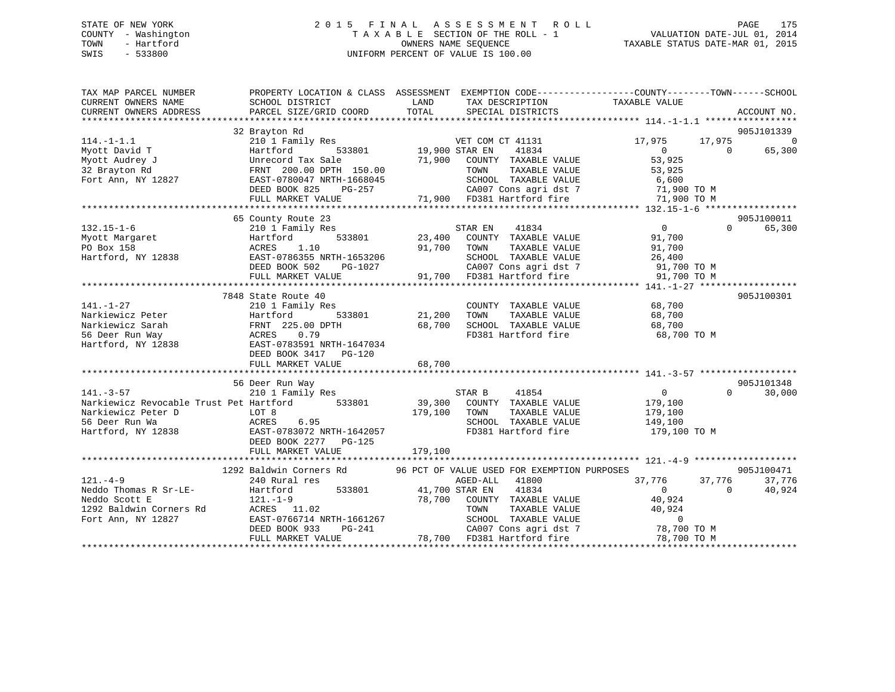#### STATE OF NEW YORK 2 0 1 5 F I N A L A S S E S S M E N T R O L L PAGE 175COUNTY - Washington  $T A X A B L E$  SECTION OF THE ROLL - 1<br>TOWN - Hartford OWNERS NAME SEQUENCE TAXABLE STATUS DATE-MAR 01, 2015 SWIS - 533800 UNIFORM PERCENT OF VALUE IS 100.00

| TAX MAP PARCEL NUMBER                          |                                                    |                       |                                                                                                                            | PROPERTY LOCATION & CLASS ASSESSMENT EXEMPTION CODE---------------COUNTY-------TOWN-----SCHOOL |                    |
|------------------------------------------------|----------------------------------------------------|-----------------------|----------------------------------------------------------------------------------------------------------------------------|------------------------------------------------------------------------------------------------|--------------------|
| CURRENT OWNERS NAME                            | SCHOOL DISTRICT                                    | LAND                  | TAX DESCRIPTION                                                                                                            | TAXABLE VALUE                                                                                  |                    |
| CURRENT OWNERS ADDRESS                         | PARCEL SIZE/GRID COORD                             | TOTAL                 | SPECIAL DISTRICTS                                                                                                          |                                                                                                | ACCOUNT NO.        |
|                                                | 32 Brayton Rd                                      |                       |                                                                                                                            |                                                                                                | 905J101339         |
| $114. - 1 - 1.1$                               | 210 1 Family Res                                   |                       | VET COM CT 41131                                                                                                           | 17,975<br>17,975                                                                               | $\overline{0}$     |
| Myott David T                                  | Hartford                                           | 533801 19,900 STAR EN | 41834                                                                                                                      | $\Omega$<br>$\overline{0}$                                                                     | 65,300             |
| Myott Audrey J                                 |                                                    |                       |                                                                                                                            | 53,925                                                                                         |                    |
| 32 Brayton Rd                                  |                                                    |                       |                                                                                                                            | 53,925                                                                                         |                    |
| Fort Ann, NY 12827                             | EAST-0780047 NRTH-1668045                          |                       | SCHOOL TAXABLE VALUE                                                                                                       | 6,600<br>71,900 то м                                                                           |                    |
|                                                | DEED BOOK 825<br>PG-257                            |                       |                                                                                                                            |                                                                                                |                    |
|                                                | FULL MARKET VALUE                                  |                       |                                                                                                                            |                                                                                                |                    |
|                                                |                                                    |                       |                                                                                                                            |                                                                                                |                    |
|                                                | 65 County Route 23                                 |                       |                                                                                                                            |                                                                                                | 905J100011         |
| $132.15 - 1 - 6$                               | 210 1 Family Res                                   |                       | STAR EN<br>41834                                                                                                           | $\overline{0}$<br>$\Omega$                                                                     | 65,300             |
| Myott Margaret<br>PO Box 158                   | 533801<br>Hartford<br>ACRES<br>1.10                | 23,400<br>91,700 TOWN | COUNTY TAXABLE VALUE<br>TAXABLE VALUE                                                                                      | 91,700                                                                                         |                    |
| Hartford, NY 12838                             | EAST-0786355 NRTH-1653206                          |                       |                                                                                                                            | 91,700<br>26,400                                                                               |                    |
|                                                | DEED BOOK 502<br>PG-1027                           |                       |                                                                                                                            |                                                                                                |                    |
|                                                | FULL MARKET VALUE                                  |                       | 1653206 SCHOOL TAXABLE VALUE 26,400<br>26-1027 2A007 Cons agridst 7 31,700 TO M<br>291,700 5D381 Hartford fire 31,700 TO M |                                                                                                |                    |
|                                                |                                                    |                       |                                                                                                                            |                                                                                                |                    |
|                                                | 7848 State Route 40                                |                       |                                                                                                                            |                                                                                                | 905J100301         |
| $141. - 1 - 27$                                | 210 1 Family Res                                   |                       | COUNTY TAXABLE VALUE                                                                                                       | 68,700                                                                                         |                    |
| Narkiewicz Peter                               | Hartford<br>533801                                 | 21,200                | TAXABLE VALUE<br>TOWN                                                                                                      | 68,700                                                                                         |                    |
| Narkiewicz Sarah                               | FRNT 225.00 DPTH                                   | 68,700                | SCHOOL TAXABLE VALUE                                                                                                       | 68,700                                                                                         |                    |
| 56 Deer Run Way                                | ACRES 0.79                                         |                       | FD381 Hartford fire                                                                                                        | 68,700 TO M                                                                                    |                    |
| Hartford, NY 12838                             | EAST-0783591 NRTH-1647034                          |                       |                                                                                                                            |                                                                                                |                    |
|                                                | DEED BOOK 3417 PG-120                              |                       |                                                                                                                            |                                                                                                |                    |
|                                                | FULL MARKET VALUE                                  | 68,700                |                                                                                                                            |                                                                                                |                    |
|                                                |                                                    |                       |                                                                                                                            |                                                                                                |                    |
|                                                | 56 Deer Run Way                                    |                       |                                                                                                                            |                                                                                                | 905J101348         |
| $141. - 3 - 57$                                | 210 1 Family Res                                   |                       | 41854<br>STAR B                                                                                                            | $\overline{0}$                                                                                 | $\Omega$<br>30,000 |
| Narkiewicz Revocable Trust Pet Hartford 533801 |                                                    | 39,300                | COUNTY TAXABLE VALUE                                                                                                       | 179,100                                                                                        |                    |
| Narkiewicz Peter D                             | LOT 8                                              | 179,100               | TOWN<br>TAXABLE VALUE                                                                                                      | 179,100                                                                                        |                    |
| 56 Deer Run Wa                                 | ACRES<br>6.95                                      |                       | SCHOOL TAXABLE VALUE<br>FD381 Hartford fire                                                                                | 149,100                                                                                        |                    |
| Hartford, NY 12838                             | EAST-0783072 NRTH-1642057<br>DEED BOOK 2277 PG-125 |                       |                                                                                                                            | 179,100 TO M                                                                                   |                    |
|                                                |                                                    |                       |                                                                                                                            |                                                                                                |                    |
|                                                |                                                    |                       |                                                                                                                            |                                                                                                |                    |
|                                                | 1292 Baldwin Corners Rd                            |                       | 96 PCT OF VALUE USED FOR EXEMPTION PURPOSES                                                                                |                                                                                                | 905J100471         |
| $121 - 4 - 9$                                  | 240 Rural res                                      |                       | AGED-ALL 41800                                                                                                             | 37,776<br>37,776                                                                               | 37,776             |
| Neddo Thomas R Sr-LE-                          | Hartford                                           | 533801 41,700 STAR EN | 41834                                                                                                                      | $\overline{0}$<br>$\sim$ 0                                                                     | 40,924             |
| Neddo Scott E                                  | $121. - 1 - 9$                                     |                       | 78,700 COUNTY TAXABLE VALUE                                                                                                | 40,924                                                                                         |                    |
| 1292 Baldwin Corners Rd                        | ACRES 11.02                                        |                       | TOWN                                                                                                                       | TAXABLE VALUE 40,924                                                                           |                    |
| Fort Ann, NY 12827                             | EAST-0766714 NRTH-1661267                          |                       |                                                                                                                            |                                                                                                |                    |
|                                                | DEED BOOK 933                                      |                       | PG-241<br>PG-241<br>E 78,700 FD381 Hartford fire                                                                           | SCHOOL TAXABLE VALUE 0<br>CA007 Cons agri dst 7                        78,700 TO M             |                    |
|                                                | FULL MARKET VALUE                                  |                       |                                                                                                                            | 78,700 TO M                                                                                    |                    |
|                                                |                                                    |                       |                                                                                                                            |                                                                                                |                    |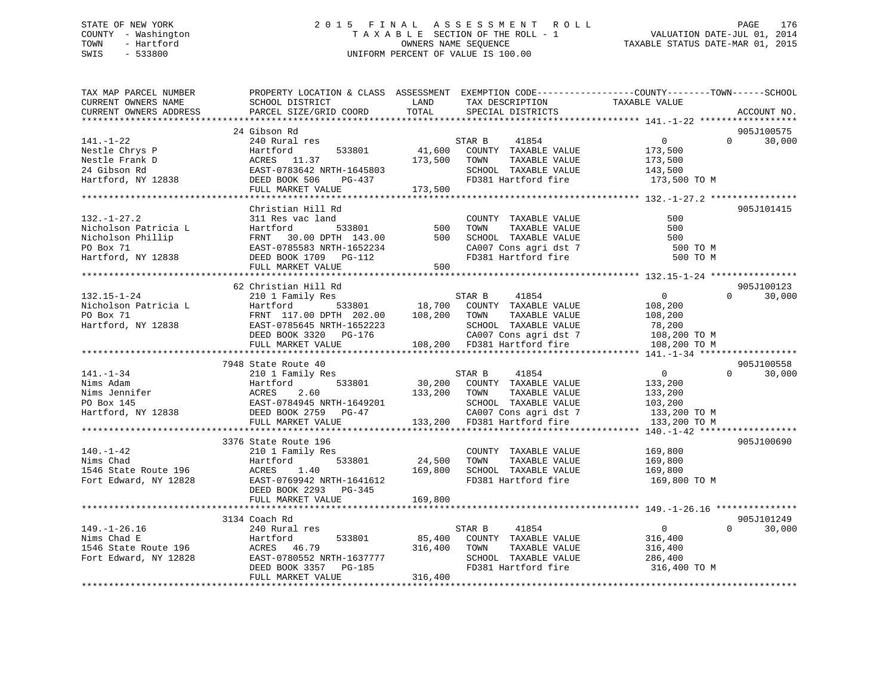# STATE OF NEW YORK 2 0 1 5 F I N A L A S S E S S M E N T R O L L PAGE 176COUNTY - Washington  $T A X A B L E$  SECTION OF THE ROLL - 1<br>TOWN - Hartford SWIS - 533800 UNIFORM PERCENT OF VALUE IS 100.00

VALUATION DATE-JUL 01, 2014

TAXABLE STATUS DATE-MAR 01, 2015

| SCHOOL DISTRICT<br>TAXABLE VALUE<br>CURRENT OWNERS NAME<br>LAND<br>TAX DESCRIPTION<br>TOTAL<br>PARCEL SIZE/GRID COORD<br>SPECIAL DISTRICTS<br>CURRENT OWNERS ADDRESS<br>ACCOUNT NO.<br>24 Gibson Rd<br>905J100575<br>$\Omega$<br>$141. - 1 - 22$<br>240 Rural res<br>30,000<br>533801<br>FD381 Hartford fire<br>173,500 TO M<br>173,500<br>FULL MARKET VALUE<br>Christian Hill Rd<br>905J101415<br>500<br>$132. - 1 - 27.2$<br>311 Res vac land<br>COUNTY TAXABLE VALUE<br>Nicholson Patricia L<br>Martford 533801 500<br>Nicholson Phillip FRNT 30.00 DPTH 143.00 500<br>PO Box 71<br>Hartford, NY 12838 DEED BOOK 1709 PG-112<br>THE MART MART MART PRODUCED PG-112<br>500<br>TOWN       TAXABLE  VALUE<br>SCHOOL    TAXABLE  VALUE<br>500<br>CA007 Cons agri dst 7<br>FD381 Hartford fire<br>500 TO M<br>500 TO M<br>FULL MARKET VALUE<br>500<br>*********************<br>62 Christian Hill Rd<br>905J100123<br>$\overline{0}$<br>$0 \t 30,000$<br>STAR B<br>41854<br>210 1 Family Res<br>132.15-1-24 $\mu$ 108,200<br>Nicholson Patricia L Hartford 533801 18,700 COUNTI IAAADLE VALUE 108,200<br>PO Box 71 FRNT 117.00 DPTH 202.00 108,200 TOWN TAXABLE VALUE 108,200<br>Hartford, NY 12838 EAST-0785645 NRTH-1652223 SCHOOL<br>7948 State Route 40<br>905J100558<br>$\overline{0}$<br>$\Omega$<br>$141. - 1 - 34$<br>41854<br>30,000<br>210 1 Family Res<br>STAR B<br>533801<br>30,200 COUNTY TAXABLE VALUE<br>133,200<br>133,200<br>Nims Adam Martford 533801 30,200<br>Nims Jennifer ACRES 2.60 133,200<br>PO Box 145 EAST-0784945 NRTH-1649201<br>Hartford, NY 12838 DEED BOOK 2759 PG-47<br>133,200 TOWN<br>TAXABLE VALUE<br>SCHOOL TAXABLE VALUE 103,200<br>CA007 Cons agri dst 7 133,200 TO M<br>133,200 FD381 Hartford fire<br>FULL MARKET VALUE<br>133,200 TO M<br>3376 State Route 196<br>905J100690<br>$140. - 1 - 42$<br>210 1 Family Res<br>Hartford 533801 24,500<br>COUNTY TAXABLE VALUE 169,800<br>TOWN TAXABLE VALUE 169,800<br>Nims Chad<br>TOWN<br>Hartford<br>1546 State Route 196<br>ACRES 1.40<br>169,800<br>SCHOOL TAXABLE VALUE<br>169,800<br>FD381 Hartford fire<br>Fort Edward, NY 12828<br>EAST-0769942 NRTH-1641612<br>169,800 TO M<br>DEED BOOK 2293 PG-345<br>FULL MARKET VALUE<br>169,800<br>3134 Coach Rd<br>905J101249<br>$\overline{0}$<br>$\Omega$<br>30,000<br>149.-1-26.16 240 Rural res<br>Nims Chad E<br>1546 State Route 196 240 Rural res<br>1546 State Route 196 200 RCRES 46.79 316,400<br>16,400<br>16,400<br>16,400<br>16,400<br>16,400<br>16,400<br>16,400<br>16,400<br>16,400<br>16,400<br>216,400<br>216,400<br>2<br>STAR B<br>41854<br>85,400<br>316,400<br>COUNTY TAXABLE VALUE<br>316,400<br>316,400<br>TAXABLE VALUE<br>TOWN<br>SCHOOL TAXABLE VALUE 286,400<br>FD381 Hartford fire 316,400 TO M<br>316,400<br>FULL MARKET VALUE | TAX MAP PARCEL NUMBER | PROPERTY LOCATION & CLASS ASSESSMENT EXEMPTION CODE----------------COUNTY-------TOWN------SCHOOL |  |  |  |
|-------------------------------------------------------------------------------------------------------------------------------------------------------------------------------------------------------------------------------------------------------------------------------------------------------------------------------------------------------------------------------------------------------------------------------------------------------------------------------------------------------------------------------------------------------------------------------------------------------------------------------------------------------------------------------------------------------------------------------------------------------------------------------------------------------------------------------------------------------------------------------------------------------------------------------------------------------------------------------------------------------------------------------------------------------------------------------------------------------------------------------------------------------------------------------------------------------------------------------------------------------------------------------------------------------------------------------------------------------------------------------------------------------------------------------------------------------------------------------------------------------------------------------------------------------------------------------------------------------------------------------------------------------------------------------------------------------------------------------------------------------------------------------------------------------------------------------------------------------------------------------------------------------------------------------------------------------------------------------------------------------------------------------------------------------------------------------------------------------------------------------------------------------------------------------------------------------------------------------------------------------------------------------------------------------------------------------------------------------------------------------------------------------------------------------------------------------------------------------------------------------------------------------------------------------------------------------------------------------------------------------------------------------------------------------------------------------------------------------------------------------------------------------------------|-----------------------|--------------------------------------------------------------------------------------------------|--|--|--|
|                                                                                                                                                                                                                                                                                                                                                                                                                                                                                                                                                                                                                                                                                                                                                                                                                                                                                                                                                                                                                                                                                                                                                                                                                                                                                                                                                                                                                                                                                                                                                                                                                                                                                                                                                                                                                                                                                                                                                                                                                                                                                                                                                                                                                                                                                                                                                                                                                                                                                                                                                                                                                                                                                                                                                                                           |                       |                                                                                                  |  |  |  |
|                                                                                                                                                                                                                                                                                                                                                                                                                                                                                                                                                                                                                                                                                                                                                                                                                                                                                                                                                                                                                                                                                                                                                                                                                                                                                                                                                                                                                                                                                                                                                                                                                                                                                                                                                                                                                                                                                                                                                                                                                                                                                                                                                                                                                                                                                                                                                                                                                                                                                                                                                                                                                                                                                                                                                                                           |                       |                                                                                                  |  |  |  |
|                                                                                                                                                                                                                                                                                                                                                                                                                                                                                                                                                                                                                                                                                                                                                                                                                                                                                                                                                                                                                                                                                                                                                                                                                                                                                                                                                                                                                                                                                                                                                                                                                                                                                                                                                                                                                                                                                                                                                                                                                                                                                                                                                                                                                                                                                                                                                                                                                                                                                                                                                                                                                                                                                                                                                                                           |                       |                                                                                                  |  |  |  |
|                                                                                                                                                                                                                                                                                                                                                                                                                                                                                                                                                                                                                                                                                                                                                                                                                                                                                                                                                                                                                                                                                                                                                                                                                                                                                                                                                                                                                                                                                                                                                                                                                                                                                                                                                                                                                                                                                                                                                                                                                                                                                                                                                                                                                                                                                                                                                                                                                                                                                                                                                                                                                                                                                                                                                                                           |                       |                                                                                                  |  |  |  |
|                                                                                                                                                                                                                                                                                                                                                                                                                                                                                                                                                                                                                                                                                                                                                                                                                                                                                                                                                                                                                                                                                                                                                                                                                                                                                                                                                                                                                                                                                                                                                                                                                                                                                                                                                                                                                                                                                                                                                                                                                                                                                                                                                                                                                                                                                                                                                                                                                                                                                                                                                                                                                                                                                                                                                                                           |                       |                                                                                                  |  |  |  |
|                                                                                                                                                                                                                                                                                                                                                                                                                                                                                                                                                                                                                                                                                                                                                                                                                                                                                                                                                                                                                                                                                                                                                                                                                                                                                                                                                                                                                                                                                                                                                                                                                                                                                                                                                                                                                                                                                                                                                                                                                                                                                                                                                                                                                                                                                                                                                                                                                                                                                                                                                                                                                                                                                                                                                                                           |                       |                                                                                                  |  |  |  |
|                                                                                                                                                                                                                                                                                                                                                                                                                                                                                                                                                                                                                                                                                                                                                                                                                                                                                                                                                                                                                                                                                                                                                                                                                                                                                                                                                                                                                                                                                                                                                                                                                                                                                                                                                                                                                                                                                                                                                                                                                                                                                                                                                                                                                                                                                                                                                                                                                                                                                                                                                                                                                                                                                                                                                                                           |                       |                                                                                                  |  |  |  |
|                                                                                                                                                                                                                                                                                                                                                                                                                                                                                                                                                                                                                                                                                                                                                                                                                                                                                                                                                                                                                                                                                                                                                                                                                                                                                                                                                                                                                                                                                                                                                                                                                                                                                                                                                                                                                                                                                                                                                                                                                                                                                                                                                                                                                                                                                                                                                                                                                                                                                                                                                                                                                                                                                                                                                                                           |                       |                                                                                                  |  |  |  |
|                                                                                                                                                                                                                                                                                                                                                                                                                                                                                                                                                                                                                                                                                                                                                                                                                                                                                                                                                                                                                                                                                                                                                                                                                                                                                                                                                                                                                                                                                                                                                                                                                                                                                                                                                                                                                                                                                                                                                                                                                                                                                                                                                                                                                                                                                                                                                                                                                                                                                                                                                                                                                                                                                                                                                                                           |                       |                                                                                                  |  |  |  |
|                                                                                                                                                                                                                                                                                                                                                                                                                                                                                                                                                                                                                                                                                                                                                                                                                                                                                                                                                                                                                                                                                                                                                                                                                                                                                                                                                                                                                                                                                                                                                                                                                                                                                                                                                                                                                                                                                                                                                                                                                                                                                                                                                                                                                                                                                                                                                                                                                                                                                                                                                                                                                                                                                                                                                                                           |                       |                                                                                                  |  |  |  |
|                                                                                                                                                                                                                                                                                                                                                                                                                                                                                                                                                                                                                                                                                                                                                                                                                                                                                                                                                                                                                                                                                                                                                                                                                                                                                                                                                                                                                                                                                                                                                                                                                                                                                                                                                                                                                                                                                                                                                                                                                                                                                                                                                                                                                                                                                                                                                                                                                                                                                                                                                                                                                                                                                                                                                                                           |                       |                                                                                                  |  |  |  |
|                                                                                                                                                                                                                                                                                                                                                                                                                                                                                                                                                                                                                                                                                                                                                                                                                                                                                                                                                                                                                                                                                                                                                                                                                                                                                                                                                                                                                                                                                                                                                                                                                                                                                                                                                                                                                                                                                                                                                                                                                                                                                                                                                                                                                                                                                                                                                                                                                                                                                                                                                                                                                                                                                                                                                                                           |                       |                                                                                                  |  |  |  |
|                                                                                                                                                                                                                                                                                                                                                                                                                                                                                                                                                                                                                                                                                                                                                                                                                                                                                                                                                                                                                                                                                                                                                                                                                                                                                                                                                                                                                                                                                                                                                                                                                                                                                                                                                                                                                                                                                                                                                                                                                                                                                                                                                                                                                                                                                                                                                                                                                                                                                                                                                                                                                                                                                                                                                                                           |                       |                                                                                                  |  |  |  |
|                                                                                                                                                                                                                                                                                                                                                                                                                                                                                                                                                                                                                                                                                                                                                                                                                                                                                                                                                                                                                                                                                                                                                                                                                                                                                                                                                                                                                                                                                                                                                                                                                                                                                                                                                                                                                                                                                                                                                                                                                                                                                                                                                                                                                                                                                                                                                                                                                                                                                                                                                                                                                                                                                                                                                                                           |                       |                                                                                                  |  |  |  |
|                                                                                                                                                                                                                                                                                                                                                                                                                                                                                                                                                                                                                                                                                                                                                                                                                                                                                                                                                                                                                                                                                                                                                                                                                                                                                                                                                                                                                                                                                                                                                                                                                                                                                                                                                                                                                                                                                                                                                                                                                                                                                                                                                                                                                                                                                                                                                                                                                                                                                                                                                                                                                                                                                                                                                                                           |                       |                                                                                                  |  |  |  |
|                                                                                                                                                                                                                                                                                                                                                                                                                                                                                                                                                                                                                                                                                                                                                                                                                                                                                                                                                                                                                                                                                                                                                                                                                                                                                                                                                                                                                                                                                                                                                                                                                                                                                                                                                                                                                                                                                                                                                                                                                                                                                                                                                                                                                                                                                                                                                                                                                                                                                                                                                                                                                                                                                                                                                                                           |                       |                                                                                                  |  |  |  |
|                                                                                                                                                                                                                                                                                                                                                                                                                                                                                                                                                                                                                                                                                                                                                                                                                                                                                                                                                                                                                                                                                                                                                                                                                                                                                                                                                                                                                                                                                                                                                                                                                                                                                                                                                                                                                                                                                                                                                                                                                                                                                                                                                                                                                                                                                                                                                                                                                                                                                                                                                                                                                                                                                                                                                                                           |                       |                                                                                                  |  |  |  |
|                                                                                                                                                                                                                                                                                                                                                                                                                                                                                                                                                                                                                                                                                                                                                                                                                                                                                                                                                                                                                                                                                                                                                                                                                                                                                                                                                                                                                                                                                                                                                                                                                                                                                                                                                                                                                                                                                                                                                                                                                                                                                                                                                                                                                                                                                                                                                                                                                                                                                                                                                                                                                                                                                                                                                                                           |                       |                                                                                                  |  |  |  |
|                                                                                                                                                                                                                                                                                                                                                                                                                                                                                                                                                                                                                                                                                                                                                                                                                                                                                                                                                                                                                                                                                                                                                                                                                                                                                                                                                                                                                                                                                                                                                                                                                                                                                                                                                                                                                                                                                                                                                                                                                                                                                                                                                                                                                                                                                                                                                                                                                                                                                                                                                                                                                                                                                                                                                                                           |                       |                                                                                                  |  |  |  |
|                                                                                                                                                                                                                                                                                                                                                                                                                                                                                                                                                                                                                                                                                                                                                                                                                                                                                                                                                                                                                                                                                                                                                                                                                                                                                                                                                                                                                                                                                                                                                                                                                                                                                                                                                                                                                                                                                                                                                                                                                                                                                                                                                                                                                                                                                                                                                                                                                                                                                                                                                                                                                                                                                                                                                                                           | 132.15-1-24           |                                                                                                  |  |  |  |
|                                                                                                                                                                                                                                                                                                                                                                                                                                                                                                                                                                                                                                                                                                                                                                                                                                                                                                                                                                                                                                                                                                                                                                                                                                                                                                                                                                                                                                                                                                                                                                                                                                                                                                                                                                                                                                                                                                                                                                                                                                                                                                                                                                                                                                                                                                                                                                                                                                                                                                                                                                                                                                                                                                                                                                                           |                       |                                                                                                  |  |  |  |
|                                                                                                                                                                                                                                                                                                                                                                                                                                                                                                                                                                                                                                                                                                                                                                                                                                                                                                                                                                                                                                                                                                                                                                                                                                                                                                                                                                                                                                                                                                                                                                                                                                                                                                                                                                                                                                                                                                                                                                                                                                                                                                                                                                                                                                                                                                                                                                                                                                                                                                                                                                                                                                                                                                                                                                                           |                       |                                                                                                  |  |  |  |
|                                                                                                                                                                                                                                                                                                                                                                                                                                                                                                                                                                                                                                                                                                                                                                                                                                                                                                                                                                                                                                                                                                                                                                                                                                                                                                                                                                                                                                                                                                                                                                                                                                                                                                                                                                                                                                                                                                                                                                                                                                                                                                                                                                                                                                                                                                                                                                                                                                                                                                                                                                                                                                                                                                                                                                                           |                       |                                                                                                  |  |  |  |
|                                                                                                                                                                                                                                                                                                                                                                                                                                                                                                                                                                                                                                                                                                                                                                                                                                                                                                                                                                                                                                                                                                                                                                                                                                                                                                                                                                                                                                                                                                                                                                                                                                                                                                                                                                                                                                                                                                                                                                                                                                                                                                                                                                                                                                                                                                                                                                                                                                                                                                                                                                                                                                                                                                                                                                                           |                       |                                                                                                  |  |  |  |
|                                                                                                                                                                                                                                                                                                                                                                                                                                                                                                                                                                                                                                                                                                                                                                                                                                                                                                                                                                                                                                                                                                                                                                                                                                                                                                                                                                                                                                                                                                                                                                                                                                                                                                                                                                                                                                                                                                                                                                                                                                                                                                                                                                                                                                                                                                                                                                                                                                                                                                                                                                                                                                                                                                                                                                                           |                       |                                                                                                  |  |  |  |
|                                                                                                                                                                                                                                                                                                                                                                                                                                                                                                                                                                                                                                                                                                                                                                                                                                                                                                                                                                                                                                                                                                                                                                                                                                                                                                                                                                                                                                                                                                                                                                                                                                                                                                                                                                                                                                                                                                                                                                                                                                                                                                                                                                                                                                                                                                                                                                                                                                                                                                                                                                                                                                                                                                                                                                                           |                       |                                                                                                  |  |  |  |
|                                                                                                                                                                                                                                                                                                                                                                                                                                                                                                                                                                                                                                                                                                                                                                                                                                                                                                                                                                                                                                                                                                                                                                                                                                                                                                                                                                                                                                                                                                                                                                                                                                                                                                                                                                                                                                                                                                                                                                                                                                                                                                                                                                                                                                                                                                                                                                                                                                                                                                                                                                                                                                                                                                                                                                                           |                       |                                                                                                  |  |  |  |
|                                                                                                                                                                                                                                                                                                                                                                                                                                                                                                                                                                                                                                                                                                                                                                                                                                                                                                                                                                                                                                                                                                                                                                                                                                                                                                                                                                                                                                                                                                                                                                                                                                                                                                                                                                                                                                                                                                                                                                                                                                                                                                                                                                                                                                                                                                                                                                                                                                                                                                                                                                                                                                                                                                                                                                                           |                       |                                                                                                  |  |  |  |
|                                                                                                                                                                                                                                                                                                                                                                                                                                                                                                                                                                                                                                                                                                                                                                                                                                                                                                                                                                                                                                                                                                                                                                                                                                                                                                                                                                                                                                                                                                                                                                                                                                                                                                                                                                                                                                                                                                                                                                                                                                                                                                                                                                                                                                                                                                                                                                                                                                                                                                                                                                                                                                                                                                                                                                                           |                       |                                                                                                  |  |  |  |
|                                                                                                                                                                                                                                                                                                                                                                                                                                                                                                                                                                                                                                                                                                                                                                                                                                                                                                                                                                                                                                                                                                                                                                                                                                                                                                                                                                                                                                                                                                                                                                                                                                                                                                                                                                                                                                                                                                                                                                                                                                                                                                                                                                                                                                                                                                                                                                                                                                                                                                                                                                                                                                                                                                                                                                                           |                       |                                                                                                  |  |  |  |
|                                                                                                                                                                                                                                                                                                                                                                                                                                                                                                                                                                                                                                                                                                                                                                                                                                                                                                                                                                                                                                                                                                                                                                                                                                                                                                                                                                                                                                                                                                                                                                                                                                                                                                                                                                                                                                                                                                                                                                                                                                                                                                                                                                                                                                                                                                                                                                                                                                                                                                                                                                                                                                                                                                                                                                                           |                       |                                                                                                  |  |  |  |
|                                                                                                                                                                                                                                                                                                                                                                                                                                                                                                                                                                                                                                                                                                                                                                                                                                                                                                                                                                                                                                                                                                                                                                                                                                                                                                                                                                                                                                                                                                                                                                                                                                                                                                                                                                                                                                                                                                                                                                                                                                                                                                                                                                                                                                                                                                                                                                                                                                                                                                                                                                                                                                                                                                                                                                                           |                       |                                                                                                  |  |  |  |
|                                                                                                                                                                                                                                                                                                                                                                                                                                                                                                                                                                                                                                                                                                                                                                                                                                                                                                                                                                                                                                                                                                                                                                                                                                                                                                                                                                                                                                                                                                                                                                                                                                                                                                                                                                                                                                                                                                                                                                                                                                                                                                                                                                                                                                                                                                                                                                                                                                                                                                                                                                                                                                                                                                                                                                                           |                       |                                                                                                  |  |  |  |
|                                                                                                                                                                                                                                                                                                                                                                                                                                                                                                                                                                                                                                                                                                                                                                                                                                                                                                                                                                                                                                                                                                                                                                                                                                                                                                                                                                                                                                                                                                                                                                                                                                                                                                                                                                                                                                                                                                                                                                                                                                                                                                                                                                                                                                                                                                                                                                                                                                                                                                                                                                                                                                                                                                                                                                                           |                       |                                                                                                  |  |  |  |
|                                                                                                                                                                                                                                                                                                                                                                                                                                                                                                                                                                                                                                                                                                                                                                                                                                                                                                                                                                                                                                                                                                                                                                                                                                                                                                                                                                                                                                                                                                                                                                                                                                                                                                                                                                                                                                                                                                                                                                                                                                                                                                                                                                                                                                                                                                                                                                                                                                                                                                                                                                                                                                                                                                                                                                                           |                       |                                                                                                  |  |  |  |
|                                                                                                                                                                                                                                                                                                                                                                                                                                                                                                                                                                                                                                                                                                                                                                                                                                                                                                                                                                                                                                                                                                                                                                                                                                                                                                                                                                                                                                                                                                                                                                                                                                                                                                                                                                                                                                                                                                                                                                                                                                                                                                                                                                                                                                                                                                                                                                                                                                                                                                                                                                                                                                                                                                                                                                                           |                       |                                                                                                  |  |  |  |
|                                                                                                                                                                                                                                                                                                                                                                                                                                                                                                                                                                                                                                                                                                                                                                                                                                                                                                                                                                                                                                                                                                                                                                                                                                                                                                                                                                                                                                                                                                                                                                                                                                                                                                                                                                                                                                                                                                                                                                                                                                                                                                                                                                                                                                                                                                                                                                                                                                                                                                                                                                                                                                                                                                                                                                                           |                       |                                                                                                  |  |  |  |
|                                                                                                                                                                                                                                                                                                                                                                                                                                                                                                                                                                                                                                                                                                                                                                                                                                                                                                                                                                                                                                                                                                                                                                                                                                                                                                                                                                                                                                                                                                                                                                                                                                                                                                                                                                                                                                                                                                                                                                                                                                                                                                                                                                                                                                                                                                                                                                                                                                                                                                                                                                                                                                                                                                                                                                                           |                       |                                                                                                  |  |  |  |
|                                                                                                                                                                                                                                                                                                                                                                                                                                                                                                                                                                                                                                                                                                                                                                                                                                                                                                                                                                                                                                                                                                                                                                                                                                                                                                                                                                                                                                                                                                                                                                                                                                                                                                                                                                                                                                                                                                                                                                                                                                                                                                                                                                                                                                                                                                                                                                                                                                                                                                                                                                                                                                                                                                                                                                                           |                       |                                                                                                  |  |  |  |
|                                                                                                                                                                                                                                                                                                                                                                                                                                                                                                                                                                                                                                                                                                                                                                                                                                                                                                                                                                                                                                                                                                                                                                                                                                                                                                                                                                                                                                                                                                                                                                                                                                                                                                                                                                                                                                                                                                                                                                                                                                                                                                                                                                                                                                                                                                                                                                                                                                                                                                                                                                                                                                                                                                                                                                                           |                       |                                                                                                  |  |  |  |
|                                                                                                                                                                                                                                                                                                                                                                                                                                                                                                                                                                                                                                                                                                                                                                                                                                                                                                                                                                                                                                                                                                                                                                                                                                                                                                                                                                                                                                                                                                                                                                                                                                                                                                                                                                                                                                                                                                                                                                                                                                                                                                                                                                                                                                                                                                                                                                                                                                                                                                                                                                                                                                                                                                                                                                                           |                       |                                                                                                  |  |  |  |
|                                                                                                                                                                                                                                                                                                                                                                                                                                                                                                                                                                                                                                                                                                                                                                                                                                                                                                                                                                                                                                                                                                                                                                                                                                                                                                                                                                                                                                                                                                                                                                                                                                                                                                                                                                                                                                                                                                                                                                                                                                                                                                                                                                                                                                                                                                                                                                                                                                                                                                                                                                                                                                                                                                                                                                                           |                       |                                                                                                  |  |  |  |
|                                                                                                                                                                                                                                                                                                                                                                                                                                                                                                                                                                                                                                                                                                                                                                                                                                                                                                                                                                                                                                                                                                                                                                                                                                                                                                                                                                                                                                                                                                                                                                                                                                                                                                                                                                                                                                                                                                                                                                                                                                                                                                                                                                                                                                                                                                                                                                                                                                                                                                                                                                                                                                                                                                                                                                                           |                       |                                                                                                  |  |  |  |
|                                                                                                                                                                                                                                                                                                                                                                                                                                                                                                                                                                                                                                                                                                                                                                                                                                                                                                                                                                                                                                                                                                                                                                                                                                                                                                                                                                                                                                                                                                                                                                                                                                                                                                                                                                                                                                                                                                                                                                                                                                                                                                                                                                                                                                                                                                                                                                                                                                                                                                                                                                                                                                                                                                                                                                                           |                       |                                                                                                  |  |  |  |
|                                                                                                                                                                                                                                                                                                                                                                                                                                                                                                                                                                                                                                                                                                                                                                                                                                                                                                                                                                                                                                                                                                                                                                                                                                                                                                                                                                                                                                                                                                                                                                                                                                                                                                                                                                                                                                                                                                                                                                                                                                                                                                                                                                                                                                                                                                                                                                                                                                                                                                                                                                                                                                                                                                                                                                                           |                       |                                                                                                  |  |  |  |
|                                                                                                                                                                                                                                                                                                                                                                                                                                                                                                                                                                                                                                                                                                                                                                                                                                                                                                                                                                                                                                                                                                                                                                                                                                                                                                                                                                                                                                                                                                                                                                                                                                                                                                                                                                                                                                                                                                                                                                                                                                                                                                                                                                                                                                                                                                                                                                                                                                                                                                                                                                                                                                                                                                                                                                                           |                       |                                                                                                  |  |  |  |
|                                                                                                                                                                                                                                                                                                                                                                                                                                                                                                                                                                                                                                                                                                                                                                                                                                                                                                                                                                                                                                                                                                                                                                                                                                                                                                                                                                                                                                                                                                                                                                                                                                                                                                                                                                                                                                                                                                                                                                                                                                                                                                                                                                                                                                                                                                                                                                                                                                                                                                                                                                                                                                                                                                                                                                                           |                       |                                                                                                  |  |  |  |
|                                                                                                                                                                                                                                                                                                                                                                                                                                                                                                                                                                                                                                                                                                                                                                                                                                                                                                                                                                                                                                                                                                                                                                                                                                                                                                                                                                                                                                                                                                                                                                                                                                                                                                                                                                                                                                                                                                                                                                                                                                                                                                                                                                                                                                                                                                                                                                                                                                                                                                                                                                                                                                                                                                                                                                                           |                       |                                                                                                  |  |  |  |
|                                                                                                                                                                                                                                                                                                                                                                                                                                                                                                                                                                                                                                                                                                                                                                                                                                                                                                                                                                                                                                                                                                                                                                                                                                                                                                                                                                                                                                                                                                                                                                                                                                                                                                                                                                                                                                                                                                                                                                                                                                                                                                                                                                                                                                                                                                                                                                                                                                                                                                                                                                                                                                                                                                                                                                                           |                       |                                                                                                  |  |  |  |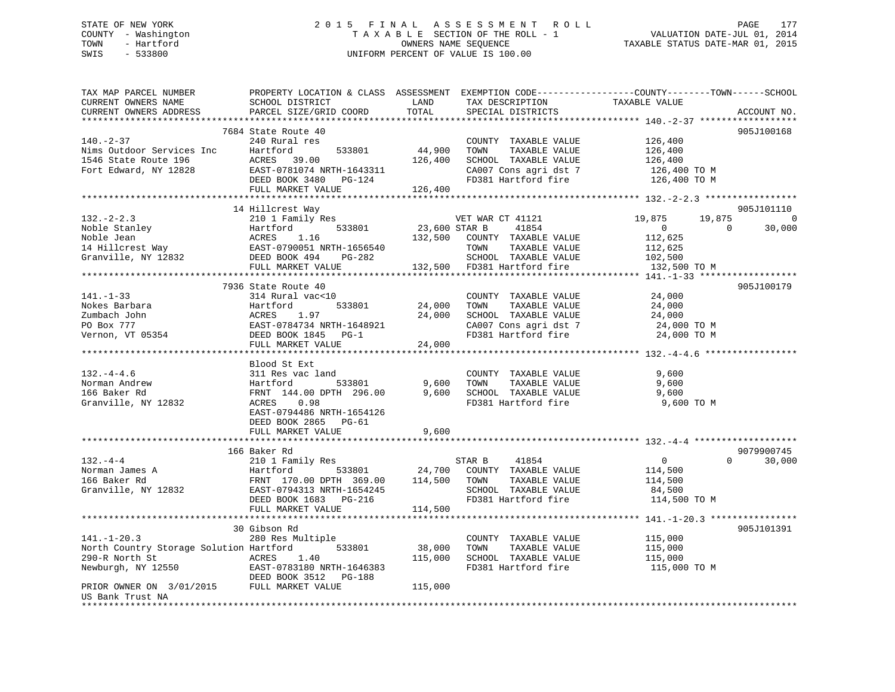## STATE OF NEW YORK 2 0 1 5 F I N A L A S S E S S M E N T R O L L PAGE 177 COUNTY - Washington T A X A B L E SECTION OF THE ROLL - 1 VALUATION DATE-JUL 01, 2014 TOWN - Hartford **TAXABLE STATUS DATE-MAR 01, 2015** OWNERS NAME SEQUENCE TAXABLE STATUS DATE-MAR 01, 2015 SWIS - 533800 UNIFORM PERCENT OF VALUE IS 100.00

| TAX MAP PARCEL NUMBER<br>CURRENT OWNERS NAME<br>CURRENT OWNERS ADDRESS                                                                                       | PROPERTY LOCATION & CLASS ASSESSMENT<br>SCHOOL DISTRICT<br>PARCEL SIZE/GRID COORD | LAND<br>TOTAL | TAX DESCRIPTION<br>SPECIAL DISTRICTS                                 | EXEMPTION CODE-----------------COUNTY-------TOWN------SCHOOL<br>TAXABLE VALUE | ACCOUNT NO.              |
|--------------------------------------------------------------------------------------------------------------------------------------------------------------|-----------------------------------------------------------------------------------|---------------|----------------------------------------------------------------------|-------------------------------------------------------------------------------|--------------------------|
| *********************                                                                                                                                        | **************************                                                        |               |                                                                      |                                                                               |                          |
| $140. - 2 - 37$<br>Nims Outdoor Services Inc                                                                                                                 | 7684 State Route 40<br>240 Rural res<br>Hartford<br>533801                        | 44,900        | COUNTY TAXABLE VALUE<br>TAXABLE VALUE<br>TOWN                        | 126,400<br>126,400                                                            | 905J100168               |
| 1546 State Route 196<br>Fort Edward, NY 12828                                                                                                                | ACRES<br>39.00<br>EAST-0781074 NRTH-1643311                                       | 126,400       | SCHOOL TAXABLE VALUE<br>CA007 Cons agri dst 7<br>FD381 Hartford fire | 126,400<br>126,400 TO M                                                       |                          |
|                                                                                                                                                              | DEED BOOK 3480 PG-124<br>FULL MARKET VALUE                                        | 126,400       |                                                                      | 126,400 TO M                                                                  |                          |
|                                                                                                                                                              |                                                                                   |               |                                                                      |                                                                               |                          |
|                                                                                                                                                              | 14 Hillcrest Way                                                                  |               |                                                                      |                                                                               | 905J101110               |
| $132 - 2 - 2.3$                                                                                                                                              | 210 1 Family Res                                                                  |               | VET WAR CT 41121                                                     | 19,875<br>19,875                                                              | $\overline{\phantom{0}}$ |
| Noble Stanley Martford 533801<br>Noble Jean (16 Moble Jean ACRES 1.16<br>14 Hillcrest Way (1790051 NRTH-1656540<br>Granville, NY 12832 (DEED BOOK 494 PG-282 |                                                                                   | 23,600 STAR B | 41854                                                                | $\overline{0}$                                                                | 30,000<br>$\Omega$       |
|                                                                                                                                                              |                                                                                   |               | 132,500 COUNTY TAXABLE VALUE                                         | 112,625                                                                       |                          |
|                                                                                                                                                              |                                                                                   |               | TOWN<br>TAXABLE VALUE                                                | 112,625                                                                       |                          |
|                                                                                                                                                              |                                                                                   |               | SCHOOL TAXABLE VALUE                                                 | 102,500                                                                       |                          |
|                                                                                                                                                              | FULL MARKET VALUE                                                                 |               | 132,500 FD381 Hartford fire                                          | 132,500 TO M                                                                  |                          |
|                                                                                                                                                              |                                                                                   |               |                                                                      |                                                                               |                          |
|                                                                                                                                                              | 7936 State Route 40                                                               |               |                                                                      |                                                                               | 905J100179               |
| $141. - 1 - 33$                                                                                                                                              | 314 Rural vac<10                                                                  |               | COUNTY TAXABLE VALUE                                                 | 24,000                                                                        |                          |
| Nokes Barbara                                                                                                                                                | Hartford<br>533801                                                                | 24,000        | TOWN<br>TAXABLE VALUE                                                | 24,000                                                                        |                          |
| Zumbach John                                                                                                                                                 | ACRES<br>1.97                                                                     | 24,000        | SCHOOL TAXABLE VALUE                                                 | 24,000                                                                        |                          |
| Zumbach John<br>PO Box 777<br>Vernon, VT 05354                                                                                                               | EAST-0784734 NRTH-1648921<br>DEED BOOK 1845 PG-1                                  |               | CA007 Cons agri dst 7<br>FD381 Hartford fire                         | 24,000 TO M<br>24,000 TO M                                                    |                          |
|                                                                                                                                                              | FULL MARKET VALUE                                                                 | 24,000        |                                                                      |                                                                               |                          |
|                                                                                                                                                              |                                                                                   |               |                                                                      |                                                                               |                          |
|                                                                                                                                                              | Blood St Ext                                                                      |               |                                                                      |                                                                               |                          |
| $132. - 4 - 4.6$                                                                                                                                             | 311 Res vac land                                                                  |               | COUNTY TAXABLE VALUE                                                 | 9,600                                                                         |                          |
| Norman Andrew                                                                                                                                                | Hartford<br>533801                                                                | 9,600         | TOWN<br>TAXABLE VALUE                                                | 9,600                                                                         |                          |
| 166 Baker Rd                                                                                                                                                 | FRNT 144.00 DPTH 296.00                                                           | 9,600         | SCHOOL TAXABLE VALUE                                                 | 9,600                                                                         |                          |
| Granville, NY 12832                                                                                                                                          | 0.98<br>ACRES                                                                     |               | FD381 Hartford fire                                                  | 9,600 TO M                                                                    |                          |
|                                                                                                                                                              | EAST-0794486 NRTH-1654126                                                         |               |                                                                      |                                                                               |                          |
|                                                                                                                                                              | DEED BOOK 2865 PG-61                                                              |               |                                                                      |                                                                               |                          |
|                                                                                                                                                              | FULL MARKET VALUE                                                                 | 9,600         |                                                                      |                                                                               |                          |
|                                                                                                                                                              |                                                                                   |               |                                                                      |                                                                               |                          |
|                                                                                                                                                              | 166 Baker Rd                                                                      |               |                                                                      |                                                                               | 9079900745               |
| $132 - 4 - 4$                                                                                                                                                | 210 1 Family Res                                                                  |               | 41854<br>STAR B                                                      | $\overline{0}$                                                                | $\Omega$<br>30,000       |
| Norman James A                                                                                                                                               | 533801                                                                            |               | 24,700 COUNTY TAXABLE VALUE                                          | 114,500                                                                       |                          |
| 166 Baker Rd                                                                                                                                                 |                                                                                   | 114,500 TOWN  | TAXABLE VALUE                                                        | 114,500                                                                       |                          |
| Granville, NY 12832                                                                                                                                          | EAST-0794313 NRTH-1654245                                                         |               | SCHOOL TAXABLE VALUE                                                 | 84,500                                                                        |                          |
|                                                                                                                                                              | DEED BOOK 1683 PG-216                                                             |               | FD381 Hartford fire                                                  | 114,500 TO M                                                                  |                          |
|                                                                                                                                                              | FULL MARKET VALUE                                                                 | 114,500       |                                                                      |                                                                               |                          |
|                                                                                                                                                              | 30 Gibson Rd                                                                      |               |                                                                      |                                                                               | 905J101391               |
| $141. - 1 - 20.3$                                                                                                                                            | 280 Res Multiple                                                                  |               | COUNTY TAXABLE VALUE                                                 | 115,000                                                                       |                          |
| North Country Storage Solution Hartford                                                                                                                      | 533801                                                                            | 38,000        | TOWN<br>TAXABLE VALUE                                                | 115,000                                                                       |                          |
| 290-R North St                                                                                                                                               | ACRES 1.40                                                                        | 115,000       | SCHOOL TAXABLE VALUE                                                 | 115,000                                                                       |                          |
| Newburgh, NY 12550                                                                                                                                           | EAST-0783180 NRTH-1646383                                                         |               | FD381 Hartford fire                                                  | 115,000 TO M                                                                  |                          |
|                                                                                                                                                              |                                                                                   |               |                                                                      |                                                                               |                          |
| DEED BOOK 3512 PG-188<br>PRIOR OWNER ON 3/01/2015 FULL MARKET VALUE                                                                                          |                                                                                   | 115,000       |                                                                      |                                                                               |                          |
| US Bank Trust NA                                                                                                                                             |                                                                                   |               |                                                                      |                                                                               |                          |
|                                                                                                                                                              |                                                                                   |               |                                                                      |                                                                               |                          |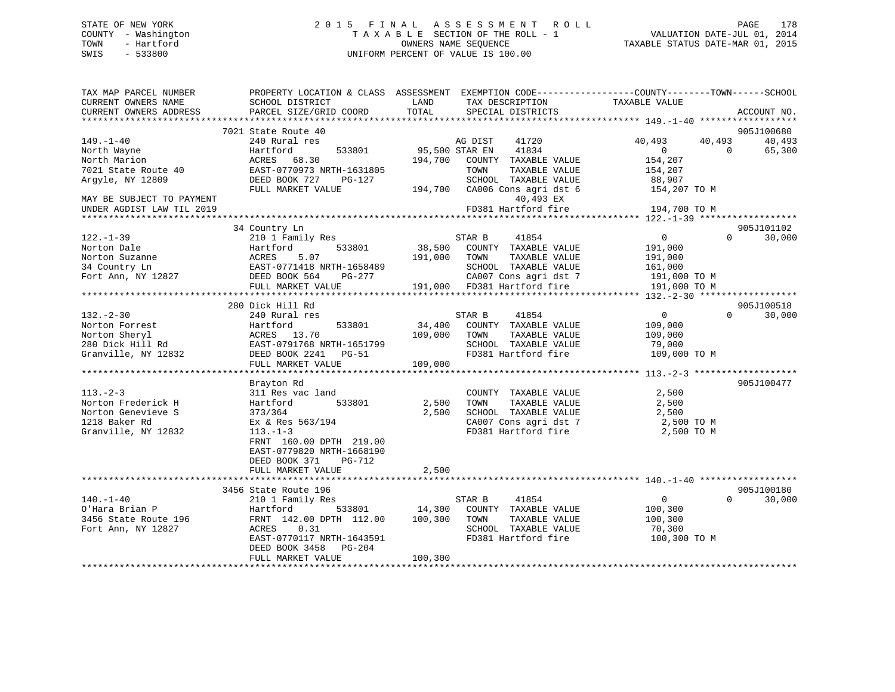## STATE OF NEW YORK 2 0 1 5 F I N A L A S S E S S M E N T R O L L PAGE 178 COUNTY - Washington T A X A B L E SECTION OF THE ROLL - 1 VALUATION DATE-JUL 01, 2014 TOWN - Hartford **TAXABLE STATUS DATE-MAR 01, 2015** OWNERS NAME SEQUENCE TAXABLE STATUS DATE-MAR 01, 2015 SWIS - 533800 UNIFORM PERCENT OF VALUE IS 100.00

| TAX MAP PARCEL NUMBER<br>CURRENT OWNERS NAME | SCHOOL DISTRICT                             | LAND<br>TAX DESCRIPTION                                  | PROPERTY LOCATION & CLASS ASSESSMENT EXEMPTION CODE---------------COUNTY-------TOWN-----SCHOOL<br>TAXABLE VALUE |
|----------------------------------------------|---------------------------------------------|----------------------------------------------------------|-----------------------------------------------------------------------------------------------------------------|
| CURRENT OWNERS ADDRESS                       | PARCEL SIZE/GRID COORD                      | TOTAL<br>SPECIAL DISTRICTS                               | ACCOUNT NO.                                                                                                     |
|                                              | 7021 State Route 40                         |                                                          | 905J100680                                                                                                      |
| $149. - 1 - 40$                              | 240 Rural res                               | AG DIST<br>41720                                         | 40,493<br>40,493<br>40,493                                                                                      |
| North Wayne                                  | 533801<br>Hartford                          | 95,500 STAR EN<br>41834                                  | $\Omega$<br>$\Omega$<br>65,300                                                                                  |
| North Marion                                 | ACRES<br>68.30<br>EAST-0770973 NRTH-1631805 | 194,700<br>COUNTY TAXABLE VALUE<br>TAXABLE VALUE<br>TOWN | 154,207                                                                                                         |
| 7021 State Route 40<br>Argyle, NY 12809      | DEED BOOK 727<br>PG-127                     | SCHOOL TAXABLE VALUE                                     | 154,207<br>88,907                                                                                               |
|                                              | FULL MARKET VALUE                           | 194,700<br>CA006 Cons agri dst 6                         | 154,207 TO M                                                                                                    |
| MAY BE SUBJECT TO PAYMENT                    |                                             | 40,493 EX                                                |                                                                                                                 |
| UNDER AGDIST LAW TIL 2019                    |                                             | FD381 Hartford fire                                      | 194,700 TO M                                                                                                    |
|                                              |                                             |                                                          |                                                                                                                 |
|                                              | 34 Country Ln                               |                                                          | 905J101102                                                                                                      |
| $122. - 1 - 39$                              | 210 1 Family Res                            | 41854<br>STAR B                                          | 30,000<br>$\mathbf{0}$<br>$\Omega$                                                                              |
| Norton Dale                                  | 533801<br>Hartford                          | 38,500<br>COUNTY TAXABLE VALUE                           | 191,000                                                                                                         |
| Norton Suzanne                               | 5.07<br>ACRES                               | 191,000<br>TOWN<br>TAXABLE VALUE                         | 191,000                                                                                                         |
| 34 Country Ln                                | EAST-0771418 NRTH-1658489                   | SCHOOL TAXABLE VALUE                                     | 161,000                                                                                                         |
| Fort Ann, NY 12827                           | DEED BOOK 564<br>PG-277                     | CA007 Cons agri dst 7                                    | 191,000 TO M                                                                                                    |
|                                              | FULL MARKET VALUE                           | 191,000 FD381 Hartford fire                              | 191,000 TO M                                                                                                    |
|                                              |                                             |                                                          |                                                                                                                 |
|                                              | 280 Dick Hill Rd                            |                                                          | 905J100518                                                                                                      |
| $132 - 2 - 30$                               | 240 Rural res                               | STAR B<br>41854                                          | 30,000<br>$\mathbf{0}$<br>$\Omega$                                                                              |
| Norton Forrest                               | 533801<br>Hartford                          | 34,400<br>COUNTY TAXABLE VALUE                           | 109,000                                                                                                         |
| Norton Sheryl                                | ACRES 13.70                                 | 109,000<br>TOWN<br>TAXABLE VALUE                         | 109,000                                                                                                         |
| 280 Dick Hill Rd                             | EAST-0791768 NRTH-1651799                   | SCHOOL TAXABLE VALUE                                     | 79,000                                                                                                          |
| Granville, NY 12832                          | DEED BOOK 2241 PG-51                        | FD381 Hartford fire                                      | 109,000 TO M                                                                                                    |
|                                              | FULL MARKET VALUE                           | 109,000                                                  |                                                                                                                 |
|                                              |                                             |                                                          | 905J100477                                                                                                      |
| $113. - 2 - 3$                               | Brayton Rd<br>311 Res vac land              | COUNTY TAXABLE VALUE                                     | 2,500                                                                                                           |
| Norton Frederick H                           | 533801<br>Hartford                          | 2,500<br>TAXABLE VALUE<br>TOWN                           | 2,500                                                                                                           |
| Norton Genevieve S                           | 373/364                                     | 2,500<br>SCHOOL TAXABLE VALUE                            | 2,500                                                                                                           |
| 1218 Baker Rd                                | Ex & Res 563/194                            | CA007 Cons agri dst 7                                    | 2,500 TO M                                                                                                      |
| Granville, NY 12832                          | $113. - 1 - 3$                              | FD381 Hartford fire                                      | 2,500 TO M                                                                                                      |
|                                              | FRNT 160.00 DPTH 219.00                     |                                                          |                                                                                                                 |
|                                              | EAST-0779820 NRTH-1668190                   |                                                          |                                                                                                                 |
|                                              | DEED BOOK 371<br>PG-712                     |                                                          |                                                                                                                 |
|                                              | FULL MARKET VALUE                           | 2,500                                                    |                                                                                                                 |
|                                              |                                             |                                                          |                                                                                                                 |
|                                              | 3456 State Route 196                        |                                                          | 905J100180                                                                                                      |
| $140. - 1 - 40$                              | 210 1 Family Res                            | STAR B<br>41854                                          | $\overline{0}$<br>$\Omega$<br>30,000                                                                            |
| O'Hara Brian P                               | Hartford<br>533801                          | 14,300<br>COUNTY TAXABLE VALUE                           | 100,300                                                                                                         |
| 3456 State Route 196                         | FRNT 142.00 DPTH 112.00                     | 100,300<br>TOWN<br>TAXABLE VALUE                         | 100,300                                                                                                         |
| Fort Ann, NY 12827                           | ACRES<br>0.31                               | SCHOOL TAXABLE VALUE                                     | 70,300                                                                                                          |
|                                              | EAST-0770117 NRTH-1643591                   | FD381 Hartford fire                                      | 100,300 TO M                                                                                                    |
|                                              | DEED BOOK 3458<br>PG-204                    |                                                          |                                                                                                                 |
|                                              | FULL MARKET VALUE                           | 100,300                                                  |                                                                                                                 |
|                                              |                                             |                                                          |                                                                                                                 |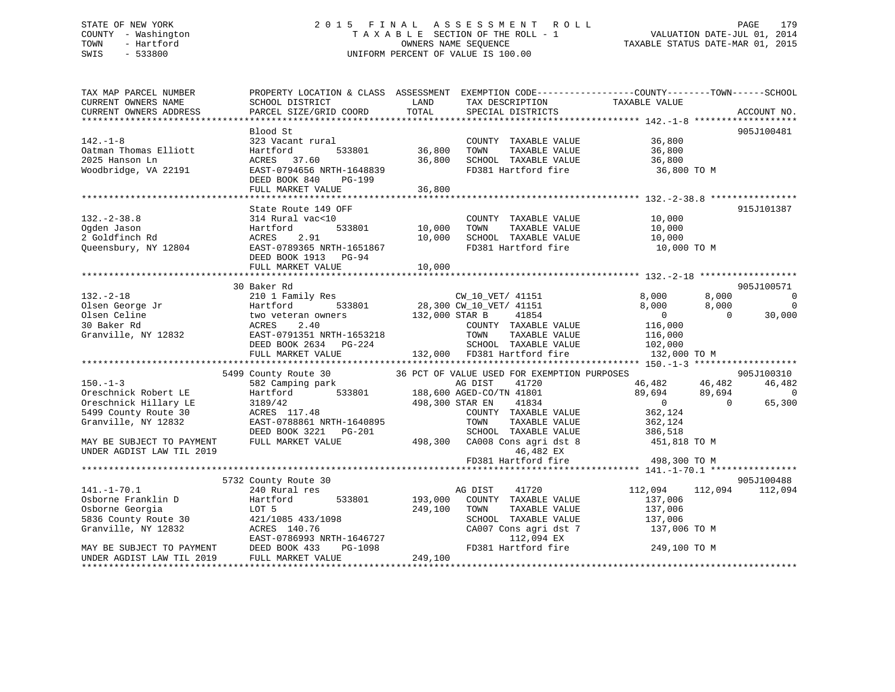## STATE OF NEW YORK 2 0 1 5 F I N A L A S S E S S M E N T R O L L PAGE 179 COUNTY - Washington T A X A B L E SECTION OF THE ROLL - 1 VALUATION DATE-JUL 01, 2014 TOWN - Hartford **TAXABLE STATUS DATE-MAR 01, 2015** OWNERS NAME SEQUENCE TAXABLE STATUS DATE-MAR 01, 2015 SWIS - 533800 UNIFORM PERCENT OF VALUE IS 100.00

| TAX MAP PARCEL NUMBER<br>CURRENT OWNERS NAME<br>CURRENT OWNERS ADDRESS | PROPERTY LOCATION & CLASS ASSESSMENT<br>SCHOOL DISTRICT<br>PARCEL SIZE/GRID COORD | LAND<br>TOTAL   | TAX DESCRIPTION<br>SPECIAL DISTRICTS        | EXEMPTION CODE-----------------COUNTY-------TOWN------SCHOOL<br>TAXABLE VALUE | ACCOUNT NO.              |
|------------------------------------------------------------------------|-----------------------------------------------------------------------------------|-----------------|---------------------------------------------|-------------------------------------------------------------------------------|--------------------------|
|                                                                        |                                                                                   |                 |                                             |                                                                               |                          |
|                                                                        | Blood St                                                                          |                 |                                             |                                                                               | 905J100481               |
| $142. - 1 - 8$                                                         | 323 Vacant rural                                                                  |                 | COUNTY TAXABLE VALUE                        | 36,800                                                                        |                          |
| Oatman Thomas Elliott                                                  | 533801<br>Hartford                                                                | 36,800          | TOWN<br>TAXABLE VALUE                       | 36,800                                                                        |                          |
| 2025 Hanson Ln                                                         | 37.60<br>ACRES                                                                    | 36,800          | SCHOOL TAXABLE VALUE                        | 36,800                                                                        |                          |
| Woodbridge, VA 22191                                                   | EAST-0794656 NRTH-1648839<br>DEED BOOK 840<br>PG-199<br>FULL MARKET VALUE         | 36,800          | FD381 Hartford fire                         | 36,800 TO M                                                                   |                          |
|                                                                        |                                                                                   |                 |                                             |                                                                               |                          |
|                                                                        | State Route 149 OFF                                                               |                 |                                             |                                                                               | 915J101387               |
| $132. - 2 - 38.8$                                                      | 314 Rural vac<10                                                                  |                 | COUNTY TAXABLE VALUE                        | 10,000                                                                        |                          |
| Ogden Jason                                                            | Hartford<br>533801                                                                | 10,000          | TOWN<br>TAXABLE VALUE                       | 10,000                                                                        |                          |
| 2 Goldfinch Rd                                                         | ACRES<br>2.91                                                                     | 10,000          | SCHOOL TAXABLE VALUE                        | 10,000                                                                        |                          |
| Queensbury, NY 12804                                                   | EAST-0789365 NRTH-1651867                                                         |                 | FD381 Hartford fire                         | 10,000 TO M                                                                   |                          |
|                                                                        | DEED BOOK 1913 PG-94                                                              |                 |                                             |                                                                               |                          |
|                                                                        | FULL MARKET VALUE                                                                 | 10,000          |                                             |                                                                               |                          |
|                                                                        |                                                                                   |                 |                                             |                                                                               |                          |
|                                                                        | 30 Baker Rd                                                                       |                 |                                             |                                                                               | 905J100571               |
| $132 - 2 - 18$                                                         | 210 1 Family Res                                                                  |                 | CW 10 VET/ 41151                            | 8,000<br>8,000                                                                | $\overline{0}$           |
| Olsen George Jr                                                        | 533801<br>Hartford                                                                |                 | 28,300 CW 10 VET/ 41151                     | 8,000<br>8,000                                                                | $\overline{0}$           |
| Olsen Celine                                                           | two veteran owners                                                                | 132,000 STAR B  | 41854                                       | $\overline{0}$                                                                | 30,000<br>$\Omega$       |
| 30 Baker Rd                                                            | ACRES<br>2.40                                                                     |                 | COUNTY TAXABLE VALUE                        | 116,000                                                                       |                          |
| Granville, NY 12832                                                    | EAST-0791351 NRTH-1653218                                                         |                 | TOWN<br>TAXABLE VALUE                       | 116,000                                                                       |                          |
|                                                                        | DEED BOOK 2634 PG-224                                                             |                 | SCHOOL TAXABLE VALUE                        | 102,000                                                                       |                          |
|                                                                        | FULL MARKET VALUE                                                                 |                 | 132,000 FD381 Hartford fire                 | 132,000 TO M                                                                  |                          |
|                                                                        | 5499 County Route 30                                                              |                 | 36 PCT OF VALUE USED FOR EXEMPTION PURPOSES |                                                                               | 905J100310               |
| $150. - 1 - 3$                                                         | 582 Camping park                                                                  |                 |                                             | 46,482<br>46,482                                                              | 46,482                   |
| Oreschnick Robert LE                                                   | Hartford                                                                          |                 |                                             | 89,694<br>89,694                                                              | $\overline{0}$           |
| Oreschnick Hillary LE                                                  | 3189/42                                                                           | 498,300 STAR EN | 41834                                       | $\overline{0}$                                                                | 65,300<br>$\overline{0}$ |
| 5499 County Route 30                                                   | ACRES 117.48                                                                      |                 | COUNTY TAXABLE VALUE                        | 362,124                                                                       |                          |
| Granville, NY 12832                                                    | EAST-0788861 NRTH-1640895                                                         |                 | TOWN<br>TAXABLE VALUE                       | 362,124                                                                       |                          |
|                                                                        | DEED BOOK 3221<br>PG-201                                                          |                 | SCHOOL TAXABLE VALUE                        | 386,518                                                                       |                          |
| MAY BE SUBJECT TO PAYMENT                                              | FULL MARKET VALUE                                                                 | 498,300         | CA008 Cons agri dst 8                       | 451,818 TO M                                                                  |                          |
| UNDER AGDIST LAW TIL 2019                                              |                                                                                   |                 | 46,482 EX                                   |                                                                               |                          |
|                                                                        |                                                                                   |                 | FD381 Hartford fire                         | 498,300 TO M                                                                  |                          |
|                                                                        |                                                                                   |                 |                                             |                                                                               |                          |
|                                                                        | 5732 County Route 30                                                              |                 |                                             |                                                                               | 905J100488               |
| $141. - 1 - 70.1$                                                      | 240 Rural res                                                                     |                 | 41720<br>AG DIST                            | 112,094                                                                       | 112,094 112,094          |
| Osborne Franklin D                                                     | 533801<br>Hartford                                                                | 193,000         | COUNTY TAXABLE VALUE                        | 137,006                                                                       |                          |
| Osborne Georgia                                                        | LOT 5                                                                             | 249,100         | TOWN<br>TAXABLE VALUE                       | 137,006                                                                       |                          |
| 5836 County Route 30                                                   | 421/1085 433/1098                                                                 |                 | SCHOOL TAXABLE VALUE                        | 137,006                                                                       |                          |
| Granville, NY 12832                                                    | ACRES 140.76                                                                      |                 | CA007 Cons agri dst 7                       | 137,006 TO M                                                                  |                          |
|                                                                        | EAST-0786993 NRTH-1646727                                                         |                 | 112,094 EX<br>FD381 Hartford fire           |                                                                               |                          |
| MAY BE SUBJECT TO PAYMENT<br>UNDER AGDIST LAW TIL 2019                 | DEED BOOK 433<br>PG-1098<br>FULL MARKET VALUE                                     | 249,100         |                                             | 249,100 TO M                                                                  |                          |
| **********************                                                 |                                                                                   |                 |                                             |                                                                               |                          |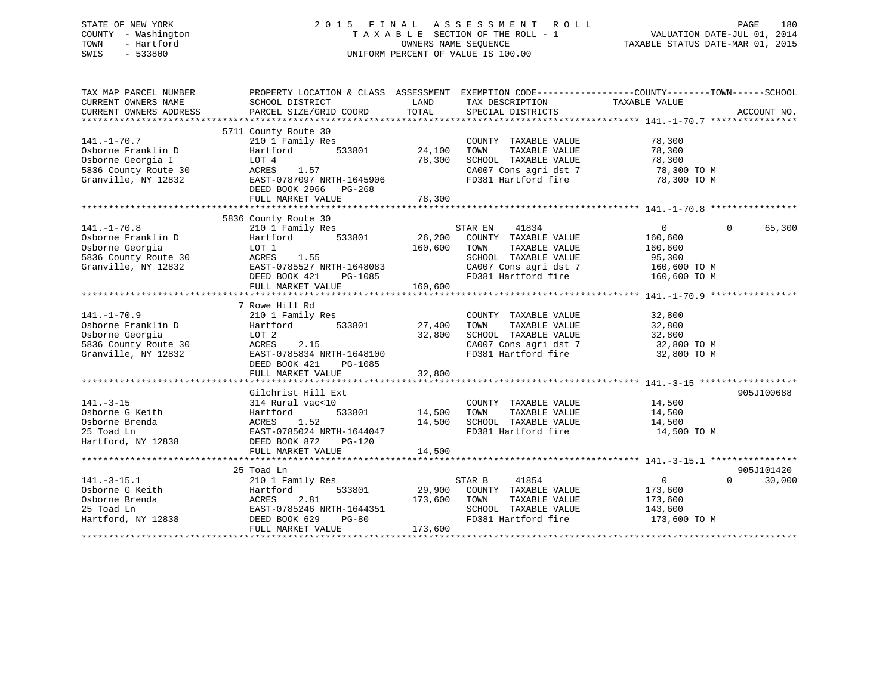## STATE OF NEW YORK 2 0 1 5 F I N A L A S S E S S M E N T R O L L PAGE 180 COUNTY - Washington T A X A B L E SECTION OF THE ROLL - 1 VALUATION DATE-JUL 01, 2014 TOWN - Hartford **TAXABLE STATUS DATE-MAR 01, 2015** OWNERS NAME SEQUENCE TAXABLE STATUS DATE-MAR 01, 2015 SWIS - 533800 UNIFORM PERCENT OF VALUE IS 100.00

| TAX MAP PARCEL NUMBER<br>CURRENT OWNERS NAME<br>CURRENT OWNERS ADDRESS                                                                                                                                                                                                    | PROPERTY LOCATION & CLASS ASSESSMENT EXEMPTION CODE----------------COUNTY-------TOWN------SCHOOL<br>SCHOOL DISTRICT<br>PARCEL SIZE/GRID COORD TOTAL                                       | LAND                    | TAX DESCRIPTION TAXABLE VALUE SPECIAL DISTRICTS                                                                                                                                                                                                                                         |                                                                 | ACCOUNT NO.                      |
|---------------------------------------------------------------------------------------------------------------------------------------------------------------------------------------------------------------------------------------------------------------------------|-------------------------------------------------------------------------------------------------------------------------------------------------------------------------------------------|-------------------------|-----------------------------------------------------------------------------------------------------------------------------------------------------------------------------------------------------------------------------------------------------------------------------------------|-----------------------------------------------------------------|----------------------------------|
| $141. - 1 - 70.7$<br>Osborne Franklin D<br>Osborne Georgia I<br>5836 County Route 30<br>Granville, NY 12832                                                                                                                                                               | 5711 County Route 30<br>210 1 Family Res<br>533801<br>Hartford<br>LOT 4<br>LOT 4<br>ACRES 1.57<br>EAST-0787097 NRTH-1645906<br>DEED BOOK 2966 PG-268                                      | 24,100<br>78,300        | COUNTY TAXABLE VALUE<br>TAXABLE VALUE<br>TOWN<br>SCHOOL TAXABLE VALUE<br>CA007 Cons agri dst 7 78,300 TO M<br>FD381 Hartford fire 78,300 TO M                                                                                                                                           | 78,300<br>78,300<br>78,300                                      |                                  |
|                                                                                                                                                                                                                                                                           |                                                                                                                                                                                           |                         |                                                                                                                                                                                                                                                                                         |                                                                 |                                  |
| 141.-1-70.8<br>Osborne Franklin D<br>Osborne Georgia<br>Granville, NY 12832 EAST-0785527 NRTH-1648083                                                                                                                                                                     | 5836 County Route 30<br>210 1 Family Res<br>Hartford 533801 26,200 COUNTY TAXABLE VALUE<br>LOT 1<br>AUKES 1.55<br>EAST-0785527 NRTH-1648083<br>DEED BOOK 421 PG-1085<br>FULL MARKET VALUE | 160,600 TOWN<br>160,600 | STAR EN<br>41834<br>TAXABLE VALUE<br>SCHOOL TAXABLE VALUE<br>CA007 Cons agri dst 7 160,600 TO M<br>FD381 Hartford fire 160,600 TO M                                                                                                                                                     | $\overline{0}$<br>160,600<br>160,600<br>95,300                  | $\Omega$<br>65,300               |
|                                                                                                                                                                                                                                                                           | 7 Rowe Hill Rd                                                                                                                                                                            |                         |                                                                                                                                                                                                                                                                                         |                                                                 |                                  |
| $141. - 1 - 70.9$<br>Osborne Franklin D<br>Continued a contract of the contract of the contract of the contract of the contract of the contract of the contract of the contract of the contract of the contract of the contract of the contract of the contract of the co | ACRES 2.15<br>EAST-0785834 NRTH-1648100<br>DEED BOOK 421 PG-1085<br>FULL MARKET VALUE                                                                                                     | 32,800<br>32,800        | COUNTY TAXABLE VALUE<br>TOWN TAXABLE VALUE<br>SCHOOL TAXABLE VALUE 32,800<br>CA007 Cons agri dst 7 32,800 TO M<br>CA007 Cons agri dst 7 32,800 TO M<br>FD381 Hartford fire 32,800 TO M                                                                                                  | 32,800<br>32,800                                                |                                  |
|                                                                                                                                                                                                                                                                           | Gilchrist Hill Ext                                                                                                                                                                        |                         |                                                                                                                                                                                                                                                                                         |                                                                 | 905J100688                       |
| $141. - 3 - 15$<br>Osborne G Keith<br>Osborne Brenda<br>25 Toad Ln<br>Hartford, NY 12838                                                                                                                                                                                  | 314 Rural vac<10<br>Hartford<br>ACRES<br>1.52<br>EAST-0785024 NRTH-1644047<br>DEED BOOK 872 PG-120<br>FULL MARKET VALUE                                                                   | 14,500                  | COUNTY TAXABLE VALUE 14,500<br>$\begin{array}{cccccc} \texttt{533801} & \texttt{14,500} & \texttt{TOWN} & \texttt{TAXABLE VALUE} & \texttt{14,500} \\ & \texttt{14,500} & \texttt{SCHOOL} & \texttt{TAXABLE VALUE} & \texttt{14,500} \\ \end{array}$<br>FD381 Hartford fire 14,500 TO M |                                                                 |                                  |
|                                                                                                                                                                                                                                                                           |                                                                                                                                                                                           |                         |                                                                                                                                                                                                                                                                                         |                                                                 |                                  |
| $141. - 3 - 15.1$<br>Osborne G Keith<br>Osborne Brenda                                                                                                                                                                                                                    | 25 Toad Ln<br>210 1 Family Res<br>533801<br>Hartford<br>2.81<br>ACRES<br>FULL MARKET VALUE                                                                                                | 173,600 TOWN<br>173,600 | STAR B<br>41854<br>29,900 COUNTY TAXABLE VALUE<br>TAXABLE VALUE<br>SCHOOL TAXABLE VALUE<br>FD381 Hartford fire                                                                                                                                                                          | $\overline{0}$<br>173,600<br>173,600<br>143,600<br>173,600 TO M | 905J101420<br>$\Omega$<br>30,000 |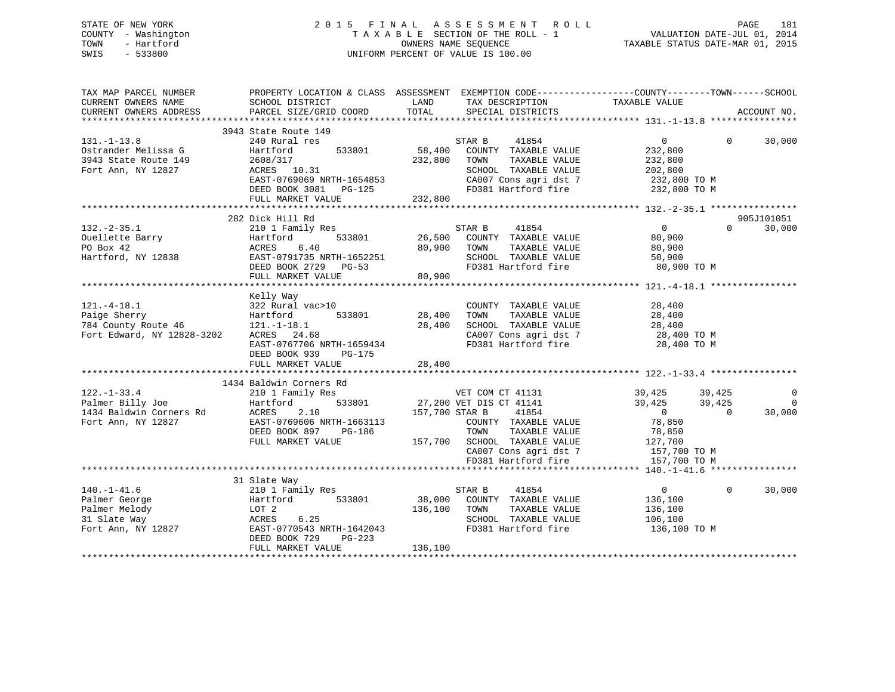## STATE OF NEW YORK 2 0 1 5 F I N A L A S S E S S M E N T R O L L PAGE 181COUNTY - Washington  $T A X A B L E$  SECTION OF THE ROLL - 1<br>TOWN - Hartford OWNERS NAME SEQUENCE TAXABLE STATUS DATE-MAR 01, 2015 SWIS - 533800 UNIFORM PERCENT OF VALUE IS 100.00

| SCHOOL DISTRICT<br>PARCEL SIZE/GRID COORD                                                                       | LAND<br>TOTAL                                                                                                                                                               | TAX DESCRIPTION<br>SPECIAL DISTRICTS                                                                                                  |                                                                                                                                                                                                        | ACCOUNT NO.                                                                                                                                                                                                                                                                                                                                                                                  |
|-----------------------------------------------------------------------------------------------------------------|-----------------------------------------------------------------------------------------------------------------------------------------------------------------------------|---------------------------------------------------------------------------------------------------------------------------------------|--------------------------------------------------------------------------------------------------------------------------------------------------------------------------------------------------------|----------------------------------------------------------------------------------------------------------------------------------------------------------------------------------------------------------------------------------------------------------------------------------------------------------------------------------------------------------------------------------------------|
|                                                                                                                 |                                                                                                                                                                             |                                                                                                                                       |                                                                                                                                                                                                        |                                                                                                                                                                                                                                                                                                                                                                                              |
| 240 Rural res<br>533801<br>Hartford<br>2608/317<br>ACRES 10.31<br>DEED BOOK 3081<br>PG-125<br>FULL MARKET VALUE |                                                                                                                                                                             | 41854<br>COUNTY TAXABLE VALUE<br>TAXABLE VALUE<br>TOWN<br>SCHOOL TAXABLE VALUE<br>CA007 Cons agri dst 7                               | $\overline{0}$<br>232,800<br>232,800<br>202,800<br>232,800 TO M<br>232,800 TO M                                                                                                                        | $\Omega$<br>30,000                                                                                                                                                                                                                                                                                                                                                                           |
|                                                                                                                 |                                                                                                                                                                             |                                                                                                                                       |                                                                                                                                                                                                        |                                                                                                                                                                                                                                                                                                                                                                                              |
| 533801<br>Hartford<br>ACRES<br>6.40<br>EAST-0791735 NRTH-1652251<br>DEED BOOK 2729 PG-53<br>FULL MARKET VALUE   |                                                                                                                                                                             | 41854<br>TOWN<br>TAXABLE VALUE<br>SCHOOL TAXABLE VALUE                                                                                | $\overline{0}$<br>$\Omega$<br>80,900<br>80,900<br>50,900<br>80,900 TO M                                                                                                                                | 905J101051<br>30,000                                                                                                                                                                                                                                                                                                                                                                         |
|                                                                                                                 |                                                                                                                                                                             |                                                                                                                                       |                                                                                                                                                                                                        |                                                                                                                                                                                                                                                                                                                                                                                              |
| $121.-1-18.1$<br>ACRES 24.68<br>DEED BOOK 939<br>$PG-175$                                                       | 28,400<br>28,400                                                                                                                                                            | COUNTY TAXABLE VALUE<br>TAXABLE VALUE<br>TOWN<br>FD381 Hartford fire                                                                  | 28,400<br>28,400<br>28,400<br>28,400 TO M                                                                                                                                                              |                                                                                                                                                                                                                                                                                                                                                                                              |
|                                                                                                                 |                                                                                                                                                                             |                                                                                                                                       |                                                                                                                                                                                                        |                                                                                                                                                                                                                                                                                                                                                                                              |
| 210 1 Family Res<br>533801<br>2.10<br>EAST-0769606 NRTH-1663113<br>DEED BOOK 897 PG-186<br>FULL MARKET VALUE    |                                                                                                                                                                             | 41854<br>TOWN                                                                                                                         | 39,425<br>39,425<br>$\overline{0}$<br>$\overline{0}$<br>78,850<br>78,850<br>157,700 TO M                                                                                                               | $\overline{0}$<br>$\overline{0}$<br>30,000                                                                                                                                                                                                                                                                                                                                                   |
|                                                                                                                 |                                                                                                                                                                             |                                                                                                                                       |                                                                                                                                                                                                        |                                                                                                                                                                                                                                                                                                                                                                                              |
| 210 1 Family Res<br>533801<br>LOT 2<br>6.25<br>DEED BOOK 729<br>$PG-223$<br>FULL MARKET VALUE                   | 136,100<br>136,100                                                                                                                                                          | 41854<br>COUNTY TAXABLE VALUE<br>TOWN<br>TAXABLE VALUE<br>SCHOOL TAXABLE VALUE<br>FD381 Hartford fire                                 | $\overline{0}$<br>$\Omega$<br>136,100<br>136,100<br>106,100<br>136,100 TO M                                                                                                                            | 30,000                                                                                                                                                                                                                                                                                                                                                                                       |
|                                                                                                                 | 3943 State Route 149<br>282 Dick Hill Rd<br>Kelly Way<br>Hartford<br>FULL MARKET VALUE<br>1434 Baldwin Corners Rd<br>Hartford<br>ACRES<br>31 Slate Way<br>Hartford<br>ACRES | EAST-0769069 NRTH-1654853<br>210 1 Family Res<br>322 Rural vac>10<br>533801<br>EAST-0767706 NRTH-1659434<br>EAST-0770543 NRTH-1642043 | STAR B<br>58,400<br>232,800<br>232,800<br>STAR B<br>80,900<br>80,900<br>28,400<br>27,200 VET DIS CT 41141<br>157,700 STAR B<br>157,700 SCHOOL TAXABLE VALUE<br>FD381 Hartford fire<br>STAR B<br>38,000 | PROPERTY LOCATION & CLASS ASSESSMENT EXEMPTION CODE----------------COUNTY-------TOWN------SCHOOL<br>TAXABLE VALUE<br>$FD381$ Hartford fire<br>26,500 COUNTY TAXABLE VALUE<br>FD381 Hartford fire<br>SCHOOL TAXABLE VALUE<br>CA007 Cons agri dst 7 28,400 TO M<br>VET COM CT 41131 39,425 39,425<br>COUNTY TAXABLE VALUE<br>TAXABLE VALUE<br>127,700<br>CA007 Cons agri dst 7<br>157,700 TO M |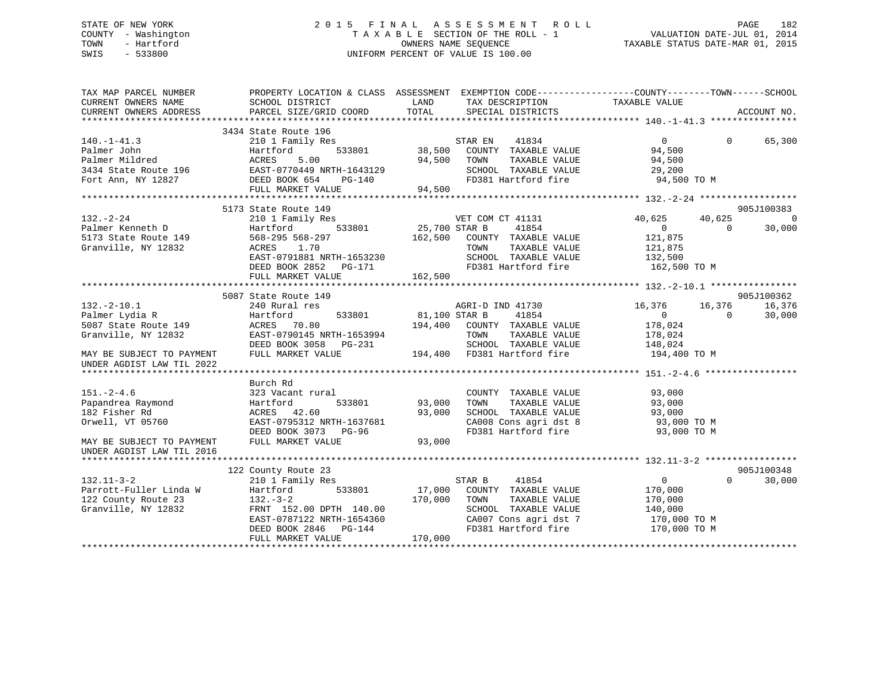# STATE OF NEW YORK 2 0 1 5 F I N A L A S S E S S M E N T R O L L PAGE 182 COUNTY - Washington T A X A B L E SECTION OF THE ROLL - 1 VALUATION DATE-JUL 01, 2014 TOWN - Hartford **TAXABLE STATUS DATE-MAR 01, 2015** OWNERS NAME SEQUENCE TAXABLE STATUS DATE-MAR 01, 2015 SWIS - 533800 UNIFORM PERCENT OF VALUE IS 100.00

| TAX MAP PARCEL NUMBER<br>CURRENT OWNERS NAME | SCHOOL DISTRICT           | PROPERTY LOCATION & CLASS ASSESSMENT EXEMPTION CODE---------------COUNTY-------TOWN------SCHOOL<br>LAND<br>TAX DESCRIPTION | TAXABLE VALUE                        |
|----------------------------------------------|---------------------------|----------------------------------------------------------------------------------------------------------------------------|--------------------------------------|
| CURRENT OWNERS ADDRESS                       | PARCEL SIZE/GRID COORD    | TOTAL<br>SPECIAL DISTRICTS                                                                                                 | ACCOUNT NO.                          |
|                                              |                           |                                                                                                                            |                                      |
|                                              | 3434 State Route 196      |                                                                                                                            |                                      |
| $140. - 1 - 41.3$                            | 210 1 Family Res          | STAR EN<br>41834                                                                                                           | $\overline{0}$<br>$\Omega$<br>65,300 |
| Palmer John                                  | 533801<br>Hartford        | 38,500 COUNTY TAXABLE VALUE                                                                                                | 94,500                               |
| Palmer Mildred                               | ACRES<br>5.00             | 94,500<br>TOWN<br>TAXABLE VALUE                                                                                            | 94,500                               |
| 3434 State Route 196                         | EAST-0770449 NRTH-1643129 | SCHOOL TAXABLE VALUE                                                                                                       | 29,200                               |
| Fort Ann, NY 12827                           | DEED BOOK 654<br>PG-140   | FD381 Hartford fire                                                                                                        | 94,500 TO M                          |
|                                              | FULL MARKET VALUE         | 94,500                                                                                                                     |                                      |
|                                              |                           |                                                                                                                            |                                      |
|                                              | 5173 State Route 149      |                                                                                                                            | 905J100383                           |
| $132 - 2 - 24$                               | 210 1 Family Res          | VET COM CT 41131                                                                                                           | 40,625<br>$\bigcirc$<br>40,625       |
| Palmer Kenneth D                             | 533801<br>Hartford        | 25,700 STAR B<br>41854                                                                                                     | $\overline{0}$<br>$\Omega$<br>30,000 |
| 5173 State Route 149                         | 568-295 568-297           | 162,500<br>COUNTY TAXABLE VALUE                                                                                            | 121,875                              |
| Granville, NY 12832                          | ACRES<br>1.70             | TOWN<br>TAXABLE VALUE                                                                                                      | 121,875                              |
|                                              | EAST-0791881 NRTH-1653230 | SCHOOL TAXABLE VALUE                                                                                                       | 132,500                              |
|                                              |                           | FD381 Hartford fire                                                                                                        |                                      |
|                                              | DEED BOOK 2852 PG-171     |                                                                                                                            | 162,500 TO M                         |
|                                              | FULL MARKET VALUE         | 162,500                                                                                                                    |                                      |
|                                              |                           |                                                                                                                            |                                      |
|                                              | 5087 State Route 149      |                                                                                                                            | 905J100362                           |
| $132. - 2 - 10.1$                            | 240 Rural res             | AGRI-D IND 41730                                                                                                           | 16,376<br>16,376<br>16,376           |
| Palmer Lydia R                               | Hartford                  | 533801 81,100 STAR B<br>41854                                                                                              | 30,000<br>$\overline{0}$<br>$\Omega$ |
| 5087 State Route 149                         | ACRES 70.80               | 194,400<br>COUNTY TAXABLE VALUE                                                                                            | 178,024                              |
| Granville, NY 12832                          | EAST-0790145 NRTH-1653994 | TAXABLE VALUE<br>TOWN                                                                                                      | 178,024                              |
|                                              | DEED BOOK 3058 PG-231     | SCHOOL TAXABLE VALUE                                                                                                       | 148,024                              |
| MAY BE SUBJECT TO PAYMENT                    | FULL MARKET VALUE         | 194,400 FD381 Hartford fire                                                                                                | 194,400 TO M                         |
| UNDER AGDIST LAW TIL 2022                    |                           |                                                                                                                            |                                      |
|                                              |                           |                                                                                                                            |                                      |
|                                              | Burch Rd                  |                                                                                                                            |                                      |
| $151. - 2 - 4.6$                             | 323 Vacant rural          | COUNTY TAXABLE VALUE                                                                                                       | 93,000                               |
| Papandrea Raymond                            | Hartford<br>533801        | 93,000<br>TAXABLE VALUE<br>TOWN                                                                                            | 93,000                               |
|                                              |                           |                                                                                                                            |                                      |
| 182 Fisher Rd                                | ACRES 42.60               | 93,000<br>SCHOOL TAXABLE VALUE                                                                                             | 93,000                               |
| Orwell, VT 05760                             | EAST-0795312 NRTH-1637681 | CA008 Cons agri dst 8                                                                                                      | 93,000 TO M                          |
|                                              | DEED BOOK 3073 PG-96      | FD381 Hartford fire                                                                                                        | 93,000 TO M                          |
| MAY BE SUBJECT TO PAYMENT                    | FULL MARKET VALUE         | 93,000                                                                                                                     |                                      |
| UNDER AGDIST LAW TIL 2016                    |                           |                                                                                                                            |                                      |
|                                              |                           |                                                                                                                            |                                      |
|                                              | 122 County Route 23       |                                                                                                                            | 905J100348                           |
| $132.11 - 3 - 2$                             | 210 1 Family Res          | STAR B<br>41854                                                                                                            | $\overline{0}$<br>$\Omega$<br>30,000 |
| Parrott-Fuller Linda W                       | Hartford<br>533801        | 17,000<br>COUNTY TAXABLE VALUE                                                                                             | 170,000                              |
| 122 County Route 23                          | $132 - 3 - 2$             | 170,000<br>TAXABLE VALUE<br>TOWN                                                                                           | 170,000                              |
| Granville, NY 12832                          | FRNT 152.00 DPTH 140.00   | SCHOOL TAXABLE VALUE                                                                                                       | 140,000                              |
|                                              | EAST-0787122 NRTH-1654360 | CA007 Cons agri dst 7                                                                                                      | 170,000 TO M                         |
|                                              | DEED BOOK 2846 PG-144     | FD381 Hartford fire                                                                                                        | 170,000 TO M                         |
|                                              | FULL MARKET VALUE         | 170,000                                                                                                                    |                                      |
|                                              |                           |                                                                                                                            |                                      |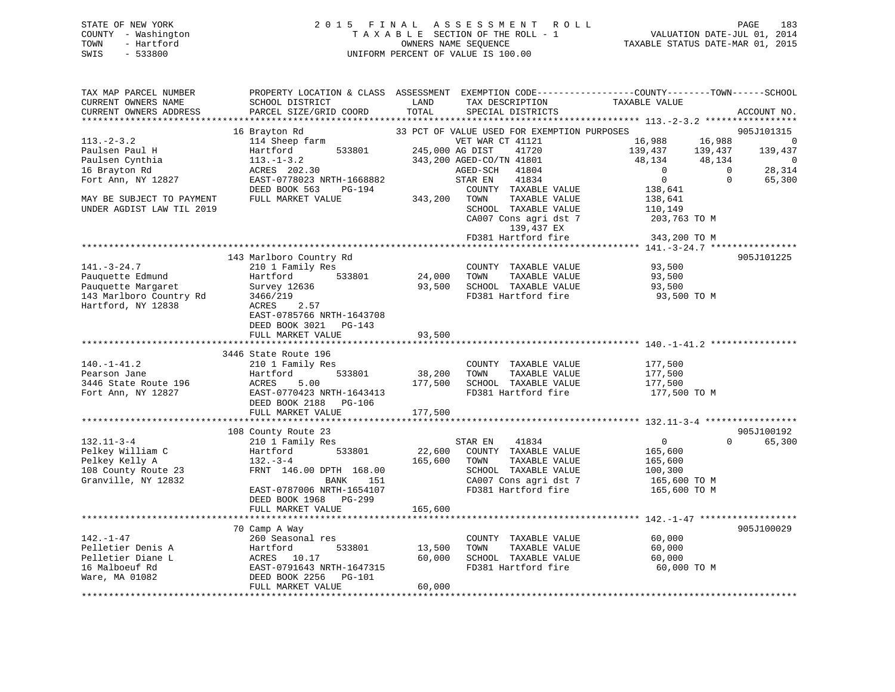# STATE OF NEW YORK 2 0 1 5 F I N A L A S S E S S M E N T R O L L PAGE 183 COUNTY - Washington T A X A B L E SECTION OF THE ROLL - 1 VALUATION DATE-JUL 01, 2014 TOWN - Hartford **TAXABLE STATUS DATE-MAR 01, 2015** OWNERS NAME SEQUENCE TAXABLE STATUS DATE-MAR 01, 2015 SWIS - 533800 UNIFORM PERCENT OF VALUE IS 100.00

| TAX MAP PARCEL NUMBER<br>CURRENT OWNERS NAME   | PROPERTY LOCATION & CLASS ASSESSMENT EXEMPTION CODE----------------COUNTY-------TOWN-----SCHOOL<br>SCHOOL DISTRICT | LAND            | TAX DESCRIPTION                             | TAXABLE VALUE      |                        |                |
|------------------------------------------------|--------------------------------------------------------------------------------------------------------------------|-----------------|---------------------------------------------|--------------------|------------------------|----------------|
| CURRENT OWNERS ADDRESS<br>******************** | PARCEL SIZE/GRID COORD<br>***********************                                                                  | TOTAL           | SPECIAL DISTRICTS                           |                    | ACCOUNT NO.            |                |
|                                                | 16 Brayton Rd                                                                                                      |                 | 33 PCT OF VALUE USED FOR EXEMPTION PURPOSES |                    | 905J101315             |                |
| $113 - 2 - 3.2$                                | 114 Sheep farm                                                                                                     |                 | VET WAR CT 41121                            | 16,988<br>16,988   |                        | $\overline{0}$ |
| Paulsen Paul H                                 | Hartford<br>533801                                                                                                 | 245,000 AG DIST | 41720                                       | 139,437<br>139,437 | 139,437                |                |
| Paulsen Cynthia                                | $113. - 1 - 3.2$                                                                                                   |                 | 343,200 AGED-CO/TN 41801                    | 48,134             | 48,134                 | 0              |
| 16 Brayton Rd                                  | ACRES 202.30                                                                                                       |                 | AGED-SCH 41804                              | $\overline{0}$     | 28,314<br>$\bigcirc$   |                |
| Fort Ann, NY 12827                             | EAST-0778023 NRTH-1668882                                                                                          |                 | 41834<br>STAR EN                            | $\overline{0}$     | $\mathbf{0}$<br>65,300 |                |
|                                                | DEED BOOK 563<br>PG-194                                                                                            |                 | COUNTY TAXABLE VALUE                        | 138,641            |                        |                |
| MAY BE SUBJECT TO PAYMENT                      | FULL MARKET VALUE                                                                                                  | 343,200         | TOWN<br>TAXABLE VALUE                       | 138,641            |                        |                |
| UNDER AGDIST LAW TIL 2019                      |                                                                                                                    |                 | SCHOOL TAXABLE VALUE                        | 110,149            |                        |                |
|                                                |                                                                                                                    |                 | CA007 Cons agri dst 7                       | 203,763 TO M       |                        |                |
|                                                |                                                                                                                    |                 | 139,437 EX                                  |                    |                        |                |
|                                                |                                                                                                                    |                 | FD381 Hartford fire                         | 343,200 TO M       |                        |                |
|                                                |                                                                                                                    |                 |                                             |                    |                        |                |
|                                                | 143 Marlboro Country Rd                                                                                            |                 |                                             |                    | 905J101225             |                |
| $141. - 3 - 24.7$                              | 210 1 Family Res                                                                                                   |                 | COUNTY TAXABLE VALUE                        | 93,500             |                        |                |
| Pauquette Edmund                               | 533801<br>Hartford                                                                                                 | 24,000          | TOWN<br>TAXABLE VALUE                       | 93,500             |                        |                |
| Pauquette Margaret                             | Survey 12636                                                                                                       | 93,500          | SCHOOL TAXABLE VALUE                        | 93,500             |                        |                |
| 143 Marlboro Country Rd                        | 3466/219                                                                                                           |                 | FD381 Hartford fire                         | 93,500 TO M        |                        |                |
| Hartford, NY 12838                             | 2.57<br>ACRES                                                                                                      |                 |                                             |                    |                        |                |
|                                                | EAST-0785766 NRTH-1643708                                                                                          |                 |                                             |                    |                        |                |
|                                                | DEED BOOK 3021 PG-143                                                                                              |                 |                                             |                    |                        |                |
|                                                | FULL MARKET VALUE                                                                                                  | 93,500          |                                             |                    |                        |                |
|                                                |                                                                                                                    |                 |                                             |                    |                        |                |
|                                                | 3446 State Route 196                                                                                               |                 |                                             |                    |                        |                |
| $140.-1-41.2$                                  | 210 1 Family Res                                                                                                   |                 | COUNTY TAXABLE VALUE                        | 177,500            |                        |                |
| Pearson Jane                                   | Hartford<br>533801                                                                                                 | 38,200          | TAXABLE VALUE<br>TOWN                       | 177,500            |                        |                |
| 3446 State Route 196                           | ACRES<br>5.00                                                                                                      | 177,500         | SCHOOL TAXABLE VALUE                        | 177,500            |                        |                |
| Fort Ann, NY 12827                             | EAST-0770423 NRTH-1643413                                                                                          |                 | FD381 Hartford fire                         | 177,500 TO M       |                        |                |
|                                                | DEED BOOK 2188 PG-106                                                                                              |                 |                                             |                    |                        |                |
|                                                | FULL MARKET VALUE                                                                                                  | 177,500         |                                             |                    |                        |                |
|                                                |                                                                                                                    |                 |                                             |                    |                        |                |
|                                                | 108 County Route 23                                                                                                |                 |                                             |                    | 905J100192             |                |
| $132.11 - 3 - 4$                               | 210 1 Family Res                                                                                                   |                 | STAR EN<br>41834                            | $\overline{0}$     | $\Omega$<br>65,300     |                |
| Pelkey William C                               | 533801<br>Hartford                                                                                                 | 22,600          | COUNTY TAXABLE VALUE                        | 165,600            |                        |                |
| Pelkey Kelly A                                 | $132 - 3 - 4$                                                                                                      | 165,600         | TOWN<br>TAXABLE VALUE                       | 165,600            |                        |                |
| 108 County Route 23                            | FRNT 146.00 DPTH 168.00                                                                                            |                 | SCHOOL TAXABLE VALUE                        | 100,300            |                        |                |
| Granville, NY 12832                            | BANK<br>151                                                                                                        |                 | CA007 Cons agri dst 7                       | 165,600 TO M       |                        |                |
|                                                | EAST-0787006 NRTH-1654107                                                                                          |                 | FD381 Hartford fire                         | 165,600 TO M       |                        |                |
|                                                | DEED BOOK 1968 PG-299                                                                                              |                 |                                             |                    |                        |                |
|                                                | FULL MARKET VALUE                                                                                                  | 165,600         |                                             |                    |                        |                |
|                                                |                                                                                                                    |                 |                                             |                    |                        |                |
|                                                | 70 Camp A Way                                                                                                      |                 |                                             |                    | 905J100029             |                |
| $142. - 1 - 47$                                | 260 Seasonal res                                                                                                   |                 | COUNTY TAXABLE VALUE                        | 60,000             |                        |                |
| Pelletier Denis A                              |                                                                                                                    | 13,500          | TOWN<br>TAXABLE VALUE                       | 60,000             |                        |                |
| Pelletier Diane L                              |                                                                                                                    | 60,000          | SCHOOL TAXABLE VALUE                        | 60,000             |                        |                |
| 16 Malboeuf Rd                                 |                                                                                                                    |                 | FD381 Hartford fire                         | 60,000 TO M        |                        |                |
| Ware, MA 01082                                 | Hartford 533801<br>ACRES 10.17<br>EAST-0791643 NRTH-1647315<br>DEED BOOK 2256 PG-101                               |                 |                                             |                    |                        |                |
|                                                | FULL MARKET VALUE                                                                                                  | 60,000          |                                             |                    |                        |                |
|                                                |                                                                                                                    |                 |                                             |                    |                        |                |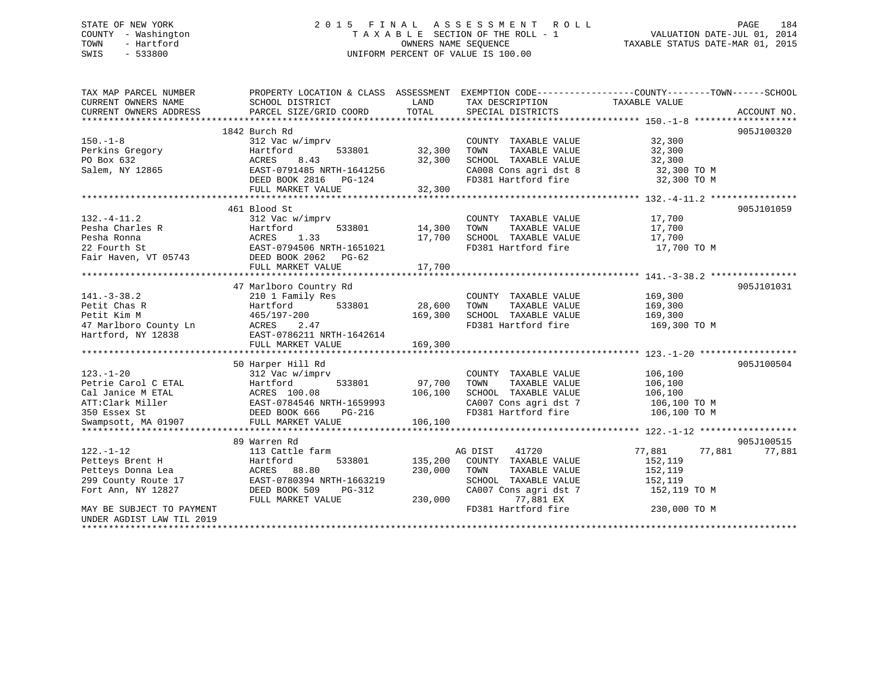# STATE OF NEW YORK 2 0 1 5 F I N A L A S S E S S M E N T R O L L PAGE 184 COUNTY - Washington T A X A B L E SECTION OF THE ROLL - 1 VALUATION DATE-JUL 01, 2014 TOWN - Hartford **TAXABLE STATUS DATE-MAR 01, 2015** OWNERS NAME SEQUENCE TAXABLE STATUS DATE-MAR 01, 2015 SWIS - 533800 UNIFORM PERCENT OF VALUE IS 100.00

| TAX MAP PARCEL NUMBER                                                                 | PROPERTY LOCATION & CLASS ASSESSMENT EXEMPTION CODE---------------COUNTY-------TOWN------SCHOOL                                                                                                                                      |                                            |                                                      |                  |            |
|---------------------------------------------------------------------------------------|--------------------------------------------------------------------------------------------------------------------------------------------------------------------------------------------------------------------------------------|--------------------------------------------|------------------------------------------------------|------------------|------------|
| CURRENT OWNERS NAME                                                                   | SCHOOL DISTRICT                                                                                                                                                                                                                      | <b>EXAMPLE THE STATE OF STATE OF STATE</b> | TAX DESCRIPTION                                      | TAXABLE VALUE    |            |
| CURRENT OWNERS ADDRESS                                                                |                                                                                                                                                                                                                                      |                                            |                                                      |                  |            |
|                                                                                       |                                                                                                                                                                                                                                      |                                            |                                                      |                  |            |
|                                                                                       | 1842 Burch Rd                                                                                                                                                                                                                        |                                            |                                                      |                  | 905J100320 |
| $150. - 1 - 8$                                                                        | 312 Vac w/imprv                                                                                                                                                                                                                      |                                            | COUNTY TAXABLE VALUE                                 | 32,300           |            |
| Perkins Gregory                                                                       | Hartford<br>533801                                                                                                                                                                                                                   | 32,300                                     | TOWN<br>TAXABLE VALUE                                | 32,300           |            |
| PO Box 632                                                                            | ACRES<br>8.43                                                                                                                                                                                                                        | 32,300                                     | SCHOOL TAXABLE VALUE                                 | 32,300           |            |
| Salem, NY 12865                                                                       | EAST-0791485 NRTH-1641256                                                                                                                                                                                                            |                                            | CA008 Cons agri dst 8 32,300 TO M                    |                  |            |
|                                                                                       | DEED BOOK 2816    PG-124                                                                                                                                                                                                             |                                            | FD381 Hartford fire                                  | 32,300 TO M      |            |
|                                                                                       | FULL MARKET VALUE                                                                                                                                                                                                                    | 32,300                                     |                                                      |                  |            |
|                                                                                       |                                                                                                                                                                                                                                      |                                            |                                                      |                  |            |
|                                                                                       | 461 Blood St                                                                                                                                                                                                                         |                                            |                                                      |                  | 905J101059 |
| $132. - 4 - 11.2$                                                                     | 312 Vac w/imprv                                                                                                                                                                                                                      |                                            | COUNTY TAXABLE VALUE 17,700                          |                  |            |
|                                                                                       |                                                                                                                                                                                                                                      | 14,300                                     | TOWN      TAXABLE  VALUE<br>SCHOOL    TAXABLE  VALUE | 17,700<br>17,700 |            |
|                                                                                       |                                                                                                                                                                                                                                      | 17,700                                     |                                                      |                  |            |
|                                                                                       |                                                                                                                                                                                                                                      |                                            | FD381 Hartford fire 17,700 TO M                      |                  |            |
|                                                                                       | Pesha Charles R<br>Pesha Ronna<br>22 Fourth St<br>Fair Haven, VT 05743<br>DEED BOOK 2062<br>Pesha Rasmeter Bass Rasmeter Pair Haven, VT 05743<br>DEED BOOK 2062<br>Person Person                                                     |                                            |                                                      |                  |            |
|                                                                                       | FULL MARKET VALUE                                                                                                                                                                                                                    | 17,700                                     |                                                      |                  |            |
|                                                                                       |                                                                                                                                                                                                                                      |                                            |                                                      |                  |            |
|                                                                                       | 47 Marlboro Country Rd                                                                                                                                                                                                               |                                            |                                                      |                  | 905J101031 |
| $141. - 3 - 38.2$                                                                     | 210 1 Family Res                                                                                                                                                                                                                     |                                            | COUNTY TAXABLE VALUE                                 | 169,300          |            |
| Petit Chas R                                                                          | Hartford                                                                                                                                                                                                                             | 533801 28,600                              | TAXABLE VALUE<br>TOWN                                | 169,300          |            |
| Petit Kim M                                                                           | Hartforu<br>465/197-200                                                                                                                                                                                                              | 169,300                                    | SCHOOL TAXABLE VALUE                                 | 169,300          |            |
|                                                                                       | 2.47                                                                                                                                                                                                                                 |                                            | FD381 Hartford fire                                  | 169,300 TO M     |            |
| 47 Marlboro County Ln<br>Hartford, NY 12838<br>Hartford, NY 12838<br>The County Lines | EAST-0786211 NRTH-1642614                                                                                                                                                                                                            |                                            |                                                      |                  |            |
|                                                                                       | FULL MARKET VALUE                                                                                                                                                                                                                    | 169,300                                    |                                                      |                  |            |
|                                                                                       |                                                                                                                                                                                                                                      |                                            |                                                      |                  |            |
|                                                                                       | 50 Harper Hill Rd                                                                                                                                                                                                                    |                                            |                                                      |                  | 905J100504 |
| $123. - 1 - 20$                                                                       | 312 Vac w/imprv                                                                                                                                                                                                                      |                                            | COUNTY TAXABLE VALUE 106,100                         |                  |            |
|                                                                                       |                                                                                                                                                                                                                                      |                                            |                                                      |                  |            |
|                                                                                       |                                                                                                                                                                                                                                      |                                            |                                                      |                  |            |
|                                                                                       |                                                                                                                                                                                                                                      |                                            |                                                      |                  |            |
|                                                                                       |                                                                                                                                                                                                                                      |                                            |                                                      |                  |            |
|                                                                                       | Petrie Carol C ETAL Fartford 533801 97,700 TOWN TAXABLE VALUE 106,100<br>Cal Janice M ETAL ACRES 100.08 106,100 SCHOOL TAXABLE VALUE 106,100<br>ATT:Clark Miller EAST-0784546 NRTH-1659993 CA007 Cons agri dst 7 106,100 TO M<br>Swa |                                            |                                                      |                  |            |
|                                                                                       | 89 Warren Rd                                                                                                                                                                                                                         |                                            |                                                      |                  | 905J100515 |
| $122. - 1 - 12$                                                                       | 113 Cattle farm                                                                                                                                                                                                                      |                                            | AG DIST<br>41720                                     | 77,881<br>77,881 | 77,881     |
| Petteys Brent H                                                                       | Hartford                                                                                                                                                                                                                             | 533801 135,200                             | COUNTY TAXABLE VALUE                                 | 152,119          |            |
| Petteys Donna Lea                                                                     | ACRES 88.80                                                                                                                                                                                                                          | 230,000                                    | TOWN<br>TAXABLE VALUE                                | 152,119          |            |
| 299 County Route 17                                                                   | EAST-0780394 NRTH-1663219                                                                                                                                                                                                            |                                            | SCHOOL TAXABLE VALUE                                 | 152,119          |            |
| Fort Ann, NY 12827                                                                    | DEED BOOK 509<br>PG-312                                                                                                                                                                                                              |                                            | CA007 Cons agri dst 7 152,119 TO M                   |                  |            |
|                                                                                       | FULL MARKET VALUE                                                                                                                                                                                                                    | 230,000                                    | 77,881 EX                                            |                  |            |
| MAY BE SUBJECT TO PAYMENT                                                             |                                                                                                                                                                                                                                      |                                            | FD381 Hartford fire                                  | 230,000 TO M     |            |
| UNDER AGDIST LAW TIL 2019                                                             |                                                                                                                                                                                                                                      |                                            |                                                      |                  |            |
|                                                                                       |                                                                                                                                                                                                                                      |                                            |                                                      |                  |            |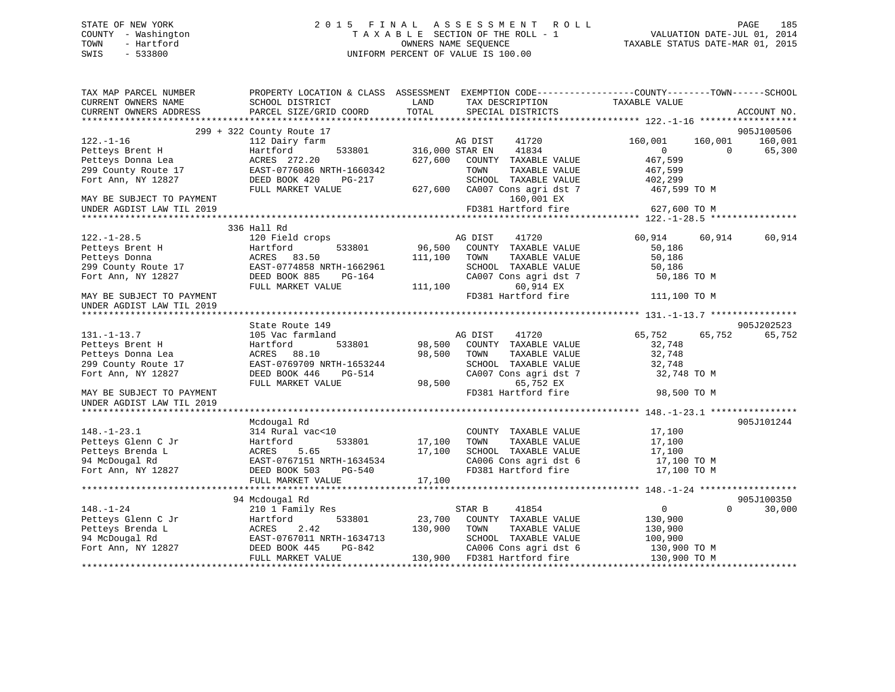# STATE OF NEW YORK 2 0 1 5 F I N A L A S S E S S M E N T R O L L PAGE 185 COUNTY - Washington T A X A B L E SECTION OF THE ROLL - 1 VALUATION DATE-JUL 01, 2014 TOWN - Hartford **TAXABLE STATUS DATE-MAR 01, 2015** OWNERS NAME SEQUENCE TAXABLE STATUS DATE-MAR 01, 2015 SWIS - 533800 UNIFORM PERCENT OF VALUE IS 100.00

| TAX MAP PARCEL NUMBER     |                           |                 |                                              | PROPERTY LOCATION & CLASS ASSESSMENT EXEMPTION CODE---------------COUNTY-------TOWN-----SCHOOL |             |
|---------------------------|---------------------------|-----------------|----------------------------------------------|------------------------------------------------------------------------------------------------|-------------|
| CURRENT OWNERS NAME       | SCHOOL DISTRICT           | LAND            | TAX DESCRIPTION                              | TAXABLE VALUE                                                                                  |             |
| CURRENT OWNERS ADDRESS    | PARCEL SIZE/GRID COORD    | TOTAL           | SPECIAL DISTRICTS                            |                                                                                                | ACCOUNT NO. |
|                           |                           |                 |                                              |                                                                                                |             |
|                           | 299 + 322 County Route 17 |                 |                                              |                                                                                                | 905J100506  |
| $122. - 1 - 16$           | 112 Dairy farm            |                 | AG DIST<br>41720                             | 160,001<br>160,001                                                                             | 160,001     |
| Petteys Brent H           | 533801<br>Hartford        | 316,000 STAR EN | 41834                                        | $\overline{0}$<br>$\Omega$                                                                     | 65,300      |
| Petteys Donna Lea         | ACRES 272.20              | 627,600         | COUNTY TAXABLE VALUE                         | 467,599                                                                                        |             |
| 299 County Route 17       | EAST-0776086 NRTH-1660342 |                 | TOWN<br>TAXABLE VALUE                        | 467,599                                                                                        |             |
| Fort Ann, NY 12827        | DEED BOOK 420<br>PG-217   |                 | SCHOOL TAXABLE VALUE                         | 402,299                                                                                        |             |
|                           | FULL MARKET VALUE         |                 | 627,600 CA007 Cons agri dst 7                | 467,599 TO M                                                                                   |             |
| MAY BE SUBJECT TO PAYMENT |                           |                 | 160,001 EX                                   |                                                                                                |             |
| UNDER AGDIST LAW TIL 2019 |                           |                 | FD381 Hartford fire                          | 627,600 TO M                                                                                   |             |
|                           |                           |                 |                                              |                                                                                                |             |
|                           | 336 Hall Rd               |                 |                                              |                                                                                                |             |
| $122. - 1 - 28.5$         | 120 Field crops           |                 | AG DIST<br>41720                             | 60,914<br>60,914                                                                               | 60,914      |
| Petteys Brent H           | 533801<br>Hartford        | 96,500          | COUNTY TAXABLE VALUE                         | 50,186                                                                                         |             |
| Petteys Donna             | 83.50<br>ACRES            | 111,100         | TOWN<br>TAXABLE VALUE                        | 50,186                                                                                         |             |
| 299 County Route 17       | EAST-0774858 NRTH-1662961 |                 | SCHOOL TAXABLE VALUE                         | 50,186                                                                                         |             |
| Fort Ann, NY 12827        | DEED BOOK 885<br>PG-164   |                 | CA007 Cons agri dst 7                        | 50,186 TO M                                                                                    |             |
|                           | FULL MARKET VALUE         | 111,100         | 60,914 EX                                    |                                                                                                |             |
| MAY BE SUBJECT TO PAYMENT |                           |                 | FD381 Hartford fire                          | 111,100 TO M                                                                                   |             |
| UNDER AGDIST LAW TIL 2019 |                           |                 |                                              |                                                                                                |             |
|                           |                           |                 |                                              |                                                                                                |             |
|                           | State Route 149           |                 |                                              |                                                                                                | 905J202523  |
| $131. - 1 - 13.7$         | 105 Vac farmland          |                 | AG DIST<br>41720                             | 65,752<br>65,752                                                                               | 65,752      |
| Petteys Brent H           | 533801<br>Hartford        | 98,500          | COUNTY TAXABLE VALUE                         | 32,748                                                                                         |             |
| Petteys Donna Lea         | ACRES<br>88.10            | 98,500          | TOWN<br>TAXABLE VALUE                        | 32,748                                                                                         |             |
| 299 County Route 17       | EAST-0769709 NRTH-1653244 |                 | SCHOOL TAXABLE VALUE                         | 32,748                                                                                         |             |
| Fort Ann, NY 12827        | DEED BOOK 446<br>PG-514   |                 | CA007 Cons agri dst 7                        | 32,748 TO M                                                                                    |             |
|                           | FULL MARKET VALUE         | 98,500          | 65,752 EX                                    |                                                                                                |             |
| MAY BE SUBJECT TO PAYMENT |                           |                 | FD381 Hartford fire                          | 98,500 TO M                                                                                    |             |
| UNDER AGDIST LAW TIL 2019 |                           |                 |                                              |                                                                                                |             |
|                           |                           |                 |                                              |                                                                                                |             |
|                           | Mcdougal Rd               |                 |                                              |                                                                                                | 905J101244  |
| $148. - 1 - 23.1$         | 314 Rural vac<10          |                 | COUNTY TAXABLE VALUE                         | 17,100                                                                                         |             |
| Petteys Glenn C Jr        | 533801<br>Hartford        | 17,100          | TOWN<br>TAXABLE VALUE                        | 17,100                                                                                         |             |
| Petteys Brenda L          | ACRES<br>5.65             | 17,100          | SCHOOL TAXABLE VALUE                         | 17,100                                                                                         |             |
| 94 McDougal Rd            | EAST-0767151 NRTH-1634534 |                 | CA006 Cons agri dst 6<br>FD381 Hartford fire | 17,100 TO M                                                                                    |             |
| Fort Ann, NY 12827        | DEED BOOK 503<br>PG-540   |                 |                                              | 17,100 TO M                                                                                    |             |
|                           | FULL MARKET VALUE         | 17,100          |                                              |                                                                                                |             |
|                           |                           |                 |                                              |                                                                                                |             |
|                           | 94 Mcdougal Rd            |                 |                                              |                                                                                                | 905J100350  |
| $148. - 1 - 24$           | 210 1 Family Res          |                 | STAR B<br>41854                              | $\overline{0}$<br>$\Omega$                                                                     | 30,000      |
| Petteys Glenn C Jr        | Hartford<br>533801        | 23,700          | COUNTY TAXABLE VALUE                         | 130,900                                                                                        |             |
| Petteys Brenda L          | 2.42<br>ACRES             | 130,900         | TOWN<br>TAXABLE VALUE                        | 130,900                                                                                        |             |
| 94 McDougal Rd            | EAST-0767011 NRTH-1634713 |                 | SCHOOL TAXABLE VALUE                         | 100,900                                                                                        |             |
| Fort Ann, NY 12827        | DEED BOOK 445<br>PG-842   |                 | CA006 Cons agri dst 6                        | 130,900 TO M                                                                                   |             |
|                           | FULL MARKET VALUE         | 130,900         | FD381 Hartford fire                          | 130,900 TO M                                                                                   |             |
|                           |                           |                 |                                              |                                                                                                |             |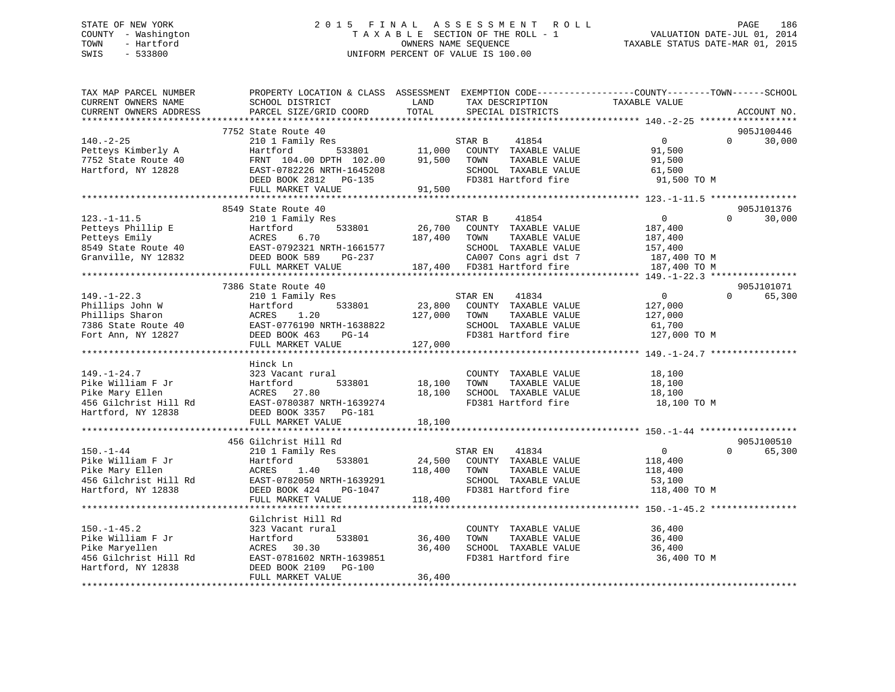# STATE OF NEW YORK 2 0 1 5 F I N A L A S S E S S M E N T R O L L PAGE 186 COUNTY - Washington T A X A B L E SECTION OF THE ROLL - 1 VALUATION DATE-JUL 01, 2014 TOWN - Hartford **TAXABLE STATUS DATE-MAR 01, 2015** OWNERS NAME SEQUENCE TAXABLE STATUS DATE-MAR 01, 2015 SWIS - 533800 UNIFORM PERCENT OF VALUE IS 100.00

| TAX MAP PARCEL NUMBER<br>CURRENT OWNERS NAME<br>CURRENT OWNERS ADDRESS                                                                                                                           | PROPERTY LOCATION & CLASS ASSESSMENT EXEMPTION CODE---------------COUNTY-------TOWN------SCHOOL<br>SCHOOL DISTRICT<br>PARCEL SIZE/GRID COORD                   | LAND<br>TOTAL                | TAX DESCRIPTION<br>SPECIAL DISTRICTS                                                                                                             | TAXABLE VALUE                                                                   | ACCOUNT NO.                      |
|--------------------------------------------------------------------------------------------------------------------------------------------------------------------------------------------------|----------------------------------------------------------------------------------------------------------------------------------------------------------------|------------------------------|--------------------------------------------------------------------------------------------------------------------------------------------------|---------------------------------------------------------------------------------|----------------------------------|
| ************************                                                                                                                                                                         |                                                                                                                                                                |                              |                                                                                                                                                  |                                                                                 |                                  |
| $140. -2 - 25$<br>Petteys Kimberly A<br>7752 State Route 40<br>Hartford, NY 12828                                                                                                                | 7752 State Route 40<br>210 1 Family Res<br>Hartford<br>533801<br>FRNT 104.00 DPTH 102.00<br>EAST-0782226 NRTH-1645208<br>DEED BOOK 2812 PG-135                 | 11,000<br>91,500             | 41854<br>STAR B<br>COUNTY TAXABLE VALUE<br>TOWN<br>TAXABLE VALUE<br>SCHOOL TAXABLE VALUE<br>FD381 Hartford fire                                  | $\overline{0}$<br>91,500<br>91,500<br>61,500<br>91,500 TO M                     | 905J100446<br>$\Omega$<br>30,000 |
|                                                                                                                                                                                                  | FULL MARKET VALUE                                                                                                                                              | 91,500                       |                                                                                                                                                  |                                                                                 |                                  |
|                                                                                                                                                                                                  |                                                                                                                                                                |                              |                                                                                                                                                  |                                                                                 |                                  |
| $123. - 1 - 11.5$<br>Petteys Phillip E<br>Petteys Emily<br>8549 State Route 40<br>Granville, NY 12832                                                                                            | 8549 State Route 40<br>210 1 Family Res<br>533801<br>Hartford<br>ACRES<br>6.70<br>EAST-0792321 NRTH-1661577<br>DEED BOOK 589<br>PG-237<br>FULL MARKET VALUE    | 26,700<br>187,400            | 41854<br>STAR B<br>COUNTY TAXABLE VALUE<br>TAXABLE VALUE<br>TOWN<br>SCHOOL TAXABLE VALUE<br>CA007 Cons agri dst 7<br>187,400 FD381 Hartford fire | $\overline{0}$<br>187,400<br>187,400<br>157,400<br>187,400 TO M<br>187,400 TO M | 905J101376<br>30,000<br>$\Omega$ |
|                                                                                                                                                                                                  |                                                                                                                                                                |                              |                                                                                                                                                  |                                                                                 |                                  |
| $149. - 1 - 22.3$<br>Phillips John W<br>Phillips Sharon<br>Phillips Sharon<br>7386 State Route 40<br>Fort Ann, NY 12827<br>Fort Ann, NY 12827<br>PEED BOOK 463<br>PEED BOOK 463<br>PEED BOOK 463 | 7386 State Route 40<br>210 1 Family Res<br>Hartford<br>533801<br>FULL MARKET VALUE                                                                             | 23,800<br>127,000<br>127,000 | 41834<br>STAR EN<br>COUNTY TAXABLE VALUE<br>TOWN<br>TAXABLE VALUE<br>SCHOOL TAXABLE VALUE<br>FD381 Hartford fire                                 | $\overline{0}$<br>127,000<br>127,000<br>61,700<br>127,000 TO M                  | 905J101071<br>65,300<br>$\Omega$ |
|                                                                                                                                                                                                  | Hinck Ln                                                                                                                                                       |                              |                                                                                                                                                  |                                                                                 |                                  |
| $149. - 1 - 24.7$<br>Pike William F Jr<br>Pike Mary Ellen<br>456 Gilchrist Hill Rd<br>Hartford, NY 12838                                                                                         | 323 Vacant rural<br>533801<br>Hartford<br>ACRES 27.80<br>EAST-0780387 NRTH-1639274<br>DEED BOOK 3357 PG-181<br>FULL MARKET VALUE                               | 18,100<br>18,100<br>18,100   | COUNTY TAXABLE VALUE<br>TOWN<br>TAXABLE VALUE<br>SCHOOL TAXABLE VALUE<br>FD381 Hartford fire                                                     | 18,100<br>18,100<br>18,100<br>18,100 TO M                                       |                                  |
|                                                                                                                                                                                                  | *******************************                                                                                                                                |                              |                                                                                                                                                  |                                                                                 |                                  |
| $150. - 1 - 44$<br>Pike William F Jr<br>Pike Mary Ellen<br>456 Gilchrist Hill Rd<br>Hartford, NY 12838                                                                                           | 456 Gilchrist Hill Rd<br>210 1 Family Res<br>533801<br>Hartford<br>ACRES<br>1.40<br>EAST-0782050 NRTH-1639291<br>DEED BOOK 424<br>PG-1047<br>FULL MARKET VALUE | 24,500<br>118,400<br>118,400 | 41834<br>STAR EN<br>COUNTY TAXABLE VALUE<br>TOWN<br>TAXABLE VALUE<br>SCHOOL TAXABLE VALUE<br>FD381 Hartford fire                                 | $\overline{0}$<br>118,400<br>118,400<br>53,100<br>118,400 TO M                  | 905J100510<br>$\Omega$<br>65,300 |
|                                                                                                                                                                                                  | Gilchrist Hill Rd                                                                                                                                              |                              |                                                                                                                                                  |                                                                                 |                                  |
| $150. - 1 - 45.2$<br>Pike William F Jr<br>Pike Maryellen<br>456 Gilchrist Hill Rd<br>Hartford, NY 12838                                                                                          | 323 Vacant rural<br>533801<br>Hartford<br>ACRES<br>30.30<br>EAST-0781602 NRTH-1639851<br>DEED BOOK 2109 PG-100                                                 | 36,400<br>36,400             | COUNTY TAXABLE VALUE<br>TOWN<br>TAXABLE VALUE<br>SCHOOL TAXABLE VALUE<br>FD381 Hartford fire                                                     | 36,400<br>36,400<br>36,400<br>36,400 TO M                                       |                                  |
|                                                                                                                                                                                                  | FULL MARKET VALUE                                                                                                                                              | 36,400                       |                                                                                                                                                  |                                                                                 |                                  |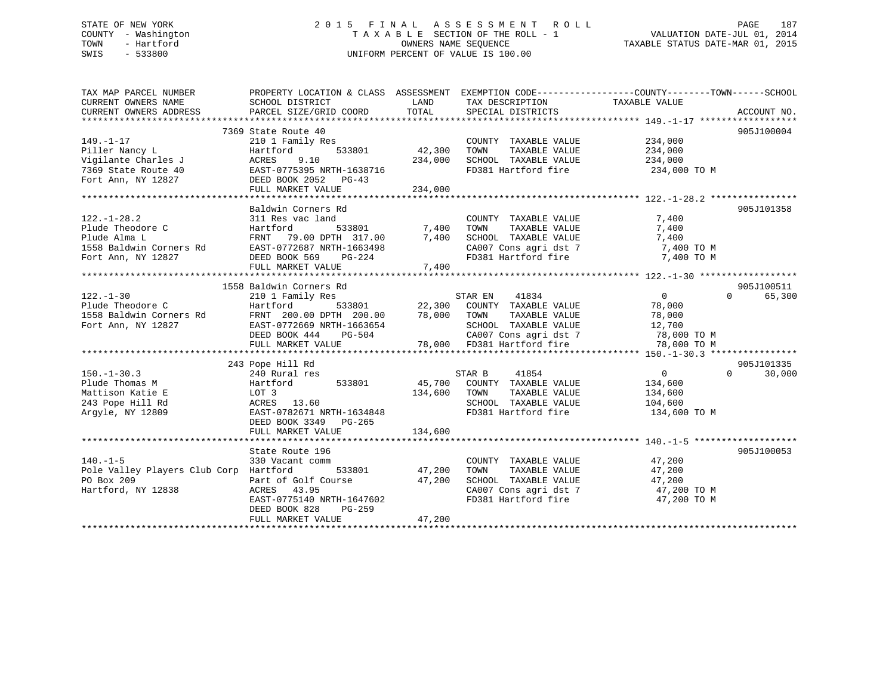# STATE OF NEW YORK 2 0 1 5 F I N A L A S S E S S M E N T R O L L PAGE 187 COUNTY - Washington T A X A B L E SECTION OF THE ROLL - 1 VALUATION DATE-JUL 01, 2014 TOWN - Hartford **TAXABLE STATUS DATE-MAR 01, 2015** OWNERS NAME SEQUENCE TAXABLE STATUS DATE-MAR 01, 2015 SWIS - 533800 UNIFORM PERCENT OF VALUE IS 100.00

| TAX MAP PARCEL NUMBER<br>CURRENT OWNERS NAME | PROPERTY LOCATION & CLASS ASSESSMENT EXEMPTION CODE---------------COUNTY-------TOWN-----SCHOOL<br>SCHOOL DISTRICT                                                                                |                      | LAND TAX DESCRIPTION                 | TAXABLE VALUE                                                                 |                    |
|----------------------------------------------|--------------------------------------------------------------------------------------------------------------------------------------------------------------------------------------------------|----------------------|--------------------------------------|-------------------------------------------------------------------------------|--------------------|
| CURRENT OWNERS ADDRESS                       | PARCEL SIZE/GRID COORD                                                                                                                                                                           | TOTAL                | SPECIAL DISTRICTS                    |                                                                               | ACCOUNT NO.        |
|                                              |                                                                                                                                                                                                  |                      |                                      |                                                                               |                    |
|                                              | 7369 State Route 40                                                                                                                                                                              |                      |                                      |                                                                               | 905J100004         |
| $149. - 1 - 17$                              | 210 1 Family Res                                                                                                                                                                                 | COUNT<br>42,300 TOWN | COUNTY TAXABLE VALUE                 | 234,000                                                                       |                    |
| Piller Nancy L                               | 533801<br>Hartford                                                                                                                                                                               |                      | TAXABLE VALUE                        | 234,000                                                                       |                    |
| Vigilante Charles J                          | 9.10<br>ACRES                                                                                                                                                                                    |                      | 234,000 SCHOOL TAXABLE VALUE 234,000 |                                                                               |                    |
| 7369 State Route 40                          | EAST-0775395 NRTH-1638716<br>DEED BOOK 2052 PG-43                                                                                                                                                |                      |                                      | FD381 Hartford fire 234,000 TO M                                              |                    |
| Fort Ann, NY 12827                           |                                                                                                                                                                                                  |                      |                                      |                                                                               |                    |
|                                              | FULL MARKET VALUE                                                                                                                                                                                | 234,000              |                                      |                                                                               |                    |
|                                              |                                                                                                                                                                                                  |                      |                                      |                                                                               |                    |
|                                              | Baldwin Corners Rd                                                                                                                                                                               |                      |                                      |                                                                               | 905J101358         |
| $122. - 1 - 28.2$                            |                                                                                                                                                                                                  |                      |                                      |                                                                               |                    |
| Plude Theodore C                             |                                                                                                                                                                                                  |                      |                                      |                                                                               |                    |
| Plude Alma L                                 |                                                                                                                                                                                                  |                      |                                      |                                                                               |                    |
|                                              |                                                                                                                                                                                                  |                      |                                      | CA007 Cons agri dst 7 7,400 TO M                                              |                    |
|                                              |                                                                                                                                                                                                  |                      | FD381 Hartford fire                  | 7,400 TO M                                                                    |                    |
|                                              | FULL MARKET VALUE                                                                                                                                                                                | 7,400                |                                      |                                                                               |                    |
|                                              |                                                                                                                                                                                                  |                      |                                      |                                                                               |                    |
|                                              | 1558 Baldwin Corners Rd                                                                                                                                                                          |                      |                                      |                                                                               | 905J100511         |
| $122. - 1 - 30$                              | 210 1 Family Res                                                                                                                                                                                 |                      | STAR EN<br>41834                     | $\overline{0}$                                                                | $\Omega$<br>65,300 |
| Plude Theodore C                             |                                                                                                                                                                                                  |                      |                                      | 78,000                                                                        |                    |
| 1558 Baldwin Corners Rd                      |                                                                                                                                                                                                  |                      |                                      | 78,000                                                                        |                    |
| Fort Ann, NY 12827                           |                                                                                                                                                                                                  |                      | SCHOOL TAXABLE VALUE 12,700          |                                                                               |                    |
|                                              | Hartford 533801 22,300 COUNTY TAXABLE VALUE<br>FRNT 200.00 DPTH 200.00 78,000 TOWN TAXABLE VALUE<br>EAST-0772669 NRTH-1663654 SCHOOL TAXABLE VALUE<br>DEED BOOK 444 PG-504 CA007 Cons agri dst 7 |                      |                                      | 78,000 TO M                                                                   |                    |
|                                              | FULL MARKET VALUE                                                                                                                                                                                |                      |                                      | 78,000 TO M                                                                   |                    |
|                                              |                                                                                                                                                                                                  |                      |                                      |                                                                               |                    |
|                                              | 243 Pope Hill Rd                                                                                                                                                                                 |                      |                                      |                                                                               | 905J101335         |
| $150. - 1 - 30.3$                            | 240 Rural res                                                                                                                                                                                    |                      | 41854<br>STAR B                      | $\overline{0}$                                                                | $\Omega$<br>30,000 |
| Plude Thomas M                               | Hartford 533801<br>Hartfo<br>LOT 3                                                                                                                                                               |                      | 45,700 COUNTY TAXABLE VALUE          | 134,600                                                                       |                    |
| Mattison Katie E                             |                                                                                                                                                                                                  | 134,600 TOWN         | TAXABLE VALUE                        | 134,600                                                                       |                    |
| 243 Pope Hill Rd                             | ACRES 13.60                                                                                                                                                                                      |                      | SCHOOL TAXABLE VALUE 104,600         |                                                                               |                    |
| Argyle, NY 12809                             | EAST-0782671 NRTH-1634848                                                                                                                                                                        |                      | FD381 Hartford fire                  | 134,600 TO M                                                                  |                    |
|                                              | DEED BOOK 3349 PG-265                                                                                                                                                                            |                      |                                      |                                                                               |                    |
|                                              | FULL MARKET VALUE                                                                                                                                                                                | 134,600              |                                      |                                                                               |                    |
|                                              |                                                                                                                                                                                                  |                      |                                      |                                                                               |                    |
|                                              | State Route 196                                                                                                                                                                                  |                      |                                      |                                                                               | 905J100053         |
| $140. -1 - 5$                                | 330 Vacant comm                                                                                                                                                                                  |                      | COUNTY TAXABLE VALUE                 | 47,200                                                                        |                    |
| Pole Valley Players Club Corp Hartford       |                                                                                                                                                                                                  | 533801 47,200        | TOWN<br>TAXABLE VALUE                | 47,200                                                                        |                    |
| PO Box 209                                   | Part of Golf Course 47,200                                                                                                                                                                       |                      | SCHOOL TAXABLE VALUE                 | 47,200                                                                        |                    |
| Hartford, NY 12838                           | ACRES 43.95                                                                                                                                                                                      |                      |                                      |                                                                               |                    |
|                                              | EAST-0775140 NRTH-1647602                                                                                                                                                                        |                      |                                      | CA007 Cons agri dst 7 <a><br/>FD381 Hartford fire <a><br/>47,200 TO M</a></a> |                    |
|                                              | DEED BOOK 828<br>PG-259                                                                                                                                                                          |                      |                                      |                                                                               |                    |
|                                              | FULL MARKET VALUE                                                                                                                                                                                | 47,200               |                                      |                                                                               |                    |
|                                              |                                                                                                                                                                                                  |                      |                                      |                                                                               |                    |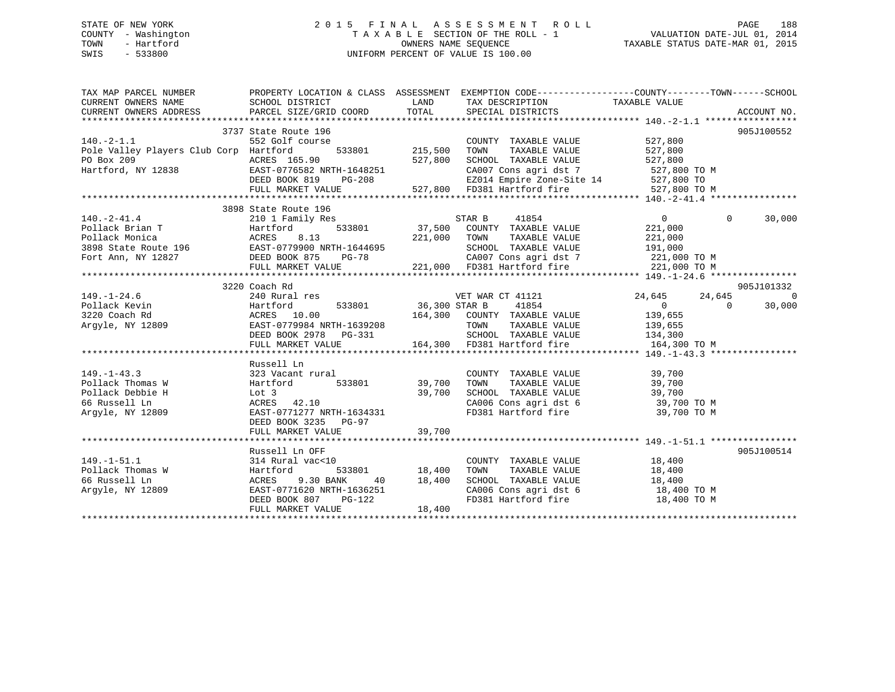# STATE OF NEW YORK 2 0 1 5 F I N A L A S S E S S M E N T R O L L PAGE 188 COUNTY - Washington T A X A B L E SECTION OF THE ROLL - 1 VALUATION DATE-JUL 01, 2014 TOWN - Hartford **TAXABLE STATUS DATE-MAR 01, 2015** OWNERS NAME SEQUENCE TAXABLE STATUS DATE-MAR 01, 2015 SWIS - 533800 UNIFORM PERCENT OF VALUE IS 100.00

| TAX MAP PARCEL NUMBER                                                                                                                                                                                                                                                                                                                                                                                                   | PROPERTY LOCATION & CLASS ASSESSMENT EXEMPTION CODE----------------COUNTY-------TOWN------SCHOOL                                                          |        |                                                                                               |                |          |            |
|-------------------------------------------------------------------------------------------------------------------------------------------------------------------------------------------------------------------------------------------------------------------------------------------------------------------------------------------------------------------------------------------------------------------------|-----------------------------------------------------------------------------------------------------------------------------------------------------------|--------|-----------------------------------------------------------------------------------------------|----------------|----------|------------|
|                                                                                                                                                                                                                                                                                                                                                                                                                         |                                                                                                                                                           |        |                                                                                               |                |          |            |
|                                                                                                                                                                                                                                                                                                                                                                                                                         | 3737 State Route 196                                                                                                                                      |        |                                                                                               |                |          | 905J100552 |
| $140. -2 - 1.1$                                                                                                                                                                                                                                                                                                                                                                                                         | 552 Golf course                                                                                                                                           |        | COUNTY TAXABLE VALUE                                                                          | 527,800        |          |            |
| Pole Valley Players Club Corp Hartford                                                                                                                                                                                                                                                                                                                                                                                  | $\frac{3}{2}$ 1.50<br>ourse 533801 215,500                                                                                                                |        | TAXABLE VALUE 527,800<br>TOWN                                                                 |                |          |            |
|                                                                                                                                                                                                                                                                                                                                                                                                                         |                                                                                                                                                           |        |                                                                                               |                |          |            |
|                                                                                                                                                                                                                                                                                                                                                                                                                         |                                                                                                                                                           |        |                                                                                               |                |          |            |
|                                                                                                                                                                                                                                                                                                                                                                                                                         |                                                                                                                                                           |        |                                                                                               |                |          |            |
| FOR EXAMPLE PERSON CRIMINAL COLLOCATER AND MATE OF THE VALUE<br>FOR 209 RESS 165.90 EXT-0776582 NRTH-1648251 CA007 CONS agri dst 7 527,800 TO M<br>DEED BOOK 819 PG-208 EZ014 Empire Zone-Site 14 527,800 TO M<br>FULL MARKET VALUE                                                                                                                                                                                     |                                                                                                                                                           |        |                                                                                               |                |          |            |
|                                                                                                                                                                                                                                                                                                                                                                                                                         |                                                                                                                                                           |        |                                                                                               |                |          |            |
| 3898 State Route 196<br>Pollack Brian T<br>Pollack Monica Morto 210 1 Family Res<br>Pollack Monica ACRES 8.13<br>3898 State Route 196<br>EAST-0779900 NRTH-1644695<br>Fort Ann, NY 12827 DEED BOOK 875 PG-78<br>221,000 TOWN TAXABLE VALUE<br>                                                                                                                                                                          | 3898 State Route 196                                                                                                                                      |        |                                                                                               |                |          |            |
|                                                                                                                                                                                                                                                                                                                                                                                                                         |                                                                                                                                                           |        |                                                                                               | $\overline{0}$ | $\Omega$ | 30,000     |
|                                                                                                                                                                                                                                                                                                                                                                                                                         |                                                                                                                                                           |        |                                                                                               |                |          |            |
|                                                                                                                                                                                                                                                                                                                                                                                                                         |                                                                                                                                                           |        |                                                                                               |                |          |            |
|                                                                                                                                                                                                                                                                                                                                                                                                                         |                                                                                                                                                           |        |                                                                                               |                |          |            |
|                                                                                                                                                                                                                                                                                                                                                                                                                         |                                                                                                                                                           |        |                                                                                               |                |          |            |
|                                                                                                                                                                                                                                                                                                                                                                                                                         |                                                                                                                                                           |        |                                                                                               |                |          |            |
|                                                                                                                                                                                                                                                                                                                                                                                                                         |                                                                                                                                                           |        |                                                                                               |                |          |            |
|                                                                                                                                                                                                                                                                                                                                                                                                                         |                                                                                                                                                           |        |                                                                                               |                |          |            |
|                                                                                                                                                                                                                                                                                                                                                                                                                         | 3220 Coach Rd                                                                                                                                             |        |                                                                                               |                |          | 905J101332 |
|                                                                                                                                                                                                                                                                                                                                                                                                                         |                                                                                                                                                           |        |                                                                                               |                |          |            |
|                                                                                                                                                                                                                                                                                                                                                                                                                         |                                                                                                                                                           |        |                                                                                               |                |          |            |
|                                                                                                                                                                                                                                                                                                                                                                                                                         |                                                                                                                                                           |        |                                                                                               |                |          |            |
|                                                                                                                                                                                                                                                                                                                                                                                                                         |                                                                                                                                                           |        |                                                                                               |                |          |            |
|                                                                                                                                                                                                                                                                                                                                                                                                                         |                                                                                                                                                           |        |                                                                                               |                |          |            |
| $\begin{tabular}{cccccccc} 149.-1-24.6 & 3420 \text{ Couch }\atop & 240 \text{ Rurl}\atop & 240 \text{ Rurl}\atop & 240 \text{ Rurl}\atop & 240 \text{ Rurl}\atop & 240 \text{ Rurl}\atop & 240 \text{ Rurl}\atop & 240 \text{ Rurl}\atop & 240 \text{ Rurl}\atop & 240 \text{ Rurl}\atop & 240 \text{ Rurl}\atop & 240 \text{ Rurl}\atop & 240 \text{ Rurl}\atop & 240 \text{ Rurl}\atop & 240 \text{ Rurl}\atop & 24$ |                                                                                                                                                           |        |                                                                                               |                |          |            |
|                                                                                                                                                                                                                                                                                                                                                                                                                         |                                                                                                                                                           |        |                                                                                               |                |          |            |
|                                                                                                                                                                                                                                                                                                                                                                                                                         | Russell Ln                                                                                                                                                |        |                                                                                               |                |          |            |
|                                                                                                                                                                                                                                                                                                                                                                                                                         |                                                                                                                                                           |        |                                                                                               |                |          |            |
|                                                                                                                                                                                                                                                                                                                                                                                                                         |                                                                                                                                                           |        | COUNTY TAXABLE VALUE 39,700<br>TOWN      TAXABLE VALUE 39,700                                 |                |          |            |
|                                                                                                                                                                                                                                                                                                                                                                                                                         |                                                                                                                                                           |        |                                                                                               |                |          |            |
| 149.-1-43.3<br>Pollack Thomas W<br>Pollack Debbie H<br>Pollack Debbie H<br>Samuel Martford<br>Samuel Martford<br>Samuel Martford<br>Samuel Martford<br>Samuel Martford<br>Samuel Martford<br>Samuel Martford<br>Samuel Martford<br>Samuel Martford<br>Sa                                                                                                                                                                |                                                                                                                                                           |        | SCHOOL TAXABLE VALUE 39,700<br>CA006 Cons agri dst 6 39,700 TO M                              |                |          |            |
| Argyle, NY 12809                                                                                                                                                                                                                                                                                                                                                                                                        | EAST-0771277 NRTH-1634331                                                                                                                                 |        | FD381 Hartford fire 39,700 TO M                                                               |                |          |            |
|                                                                                                                                                                                                                                                                                                                                                                                                                         | DEED BOOK 3235 PG-97                                                                                                                                      |        |                                                                                               |                |          |            |
|                                                                                                                                                                                                                                                                                                                                                                                                                         | FULL MARKET VALUE                                                                                                                                         | 39,700 |                                                                                               |                |          |            |
|                                                                                                                                                                                                                                                                                                                                                                                                                         |                                                                                                                                                           |        |                                                                                               |                |          |            |
|                                                                                                                                                                                                                                                                                                                                                                                                                         |                                                                                                                                                           |        |                                                                                               |                |          |            |
|                                                                                                                                                                                                                                                                                                                                                                                                                         |                                                                                                                                                           |        |                                                                                               |                |          | 905J100514 |
| $149. - 1 - 51.1$                                                                                                                                                                                                                                                                                                                                                                                                       |                                                                                                                                                           |        | COUNTY TAXABLE VALUE 18,400                                                                   |                |          |            |
| Pollack Thomas W                                                                                                                                                                                                                                                                                                                                                                                                        |                                                                                                                                                           |        | TOWN TAXABLE VALUE 18,400<br>SCHOOL TAXABLE VALUE 18,400<br>CA006 Cons agri dst 6 18,400 TO M |                |          |            |
| 66 Russell Ln                                                                                                                                                                                                                                                                                                                                                                                                           |                                                                                                                                                           |        |                                                                                               |                |          |            |
| Argyle, NY 12809                                                                                                                                                                                                                                                                                                                                                                                                        |                                                                                                                                                           |        |                                                                                               |                |          |            |
|                                                                                                                                                                                                                                                                                                                                                                                                                         |                                                                                                                                                           |        | FD381 Hartford fire 18,400 TO M                                                               |                |          |            |
|                                                                                                                                                                                                                                                                                                                                                                                                                         | Russell Ln OFF<br>Natural vac<10<br>Hartford 533801 18,400<br>DERES 9.30 BANK 40 18,400<br>DEED BOOK 807 PG-122<br>FULL MARKET VALUE<br>TULL MARKET VALUE |        |                                                                                               |                |          |            |
|                                                                                                                                                                                                                                                                                                                                                                                                                         |                                                                                                                                                           |        |                                                                                               |                |          |            |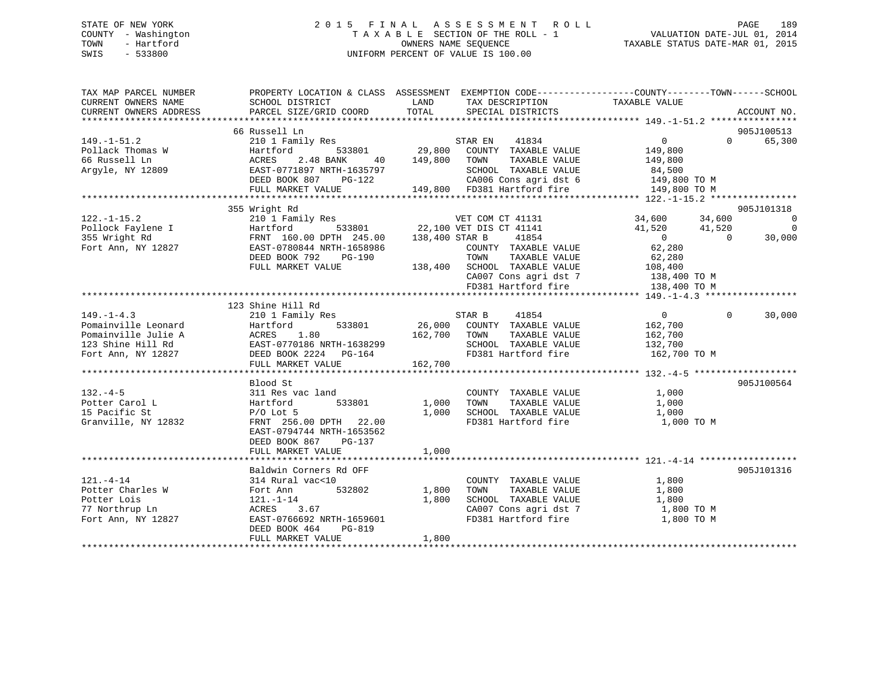# STATE OF NEW YORK 2 0 1 5 F I N A L A S S E S S M E N T R O L L PAGE 189 COUNTY - Washington T A X A B L E SECTION OF THE ROLL - 1 VALUATION DATE-JUL 01, 2014 TOWN - Hartford **TAXABLE STATUS DATE-MAR 01, 2015** OWNERS NAME SEQUENCE TAXABLE STATUS DATE-MAR 01, 2015 SWIS - 533800 UNIFORM PERCENT OF VALUE IS 100.00

| TAX MAP PARCEL NUMBER<br>CURRENT OWNERS NAME<br>CURRENT OWNERS ADDRESS | SCHOOL DISTRICT<br>PARCEL SIZE/GRID COORD     | LAND<br>TAX DESCRIPTION TAXABLE VALUE SPECIAL DISTRICTS<br>TOTAL<br>SPECIAL DISTRICTS                                                                                                                                                        | PROPERTY LOCATION & CLASS ASSESSMENT EXEMPTION CODE----------------COUNTY-------TOWN------SCHOOL<br>ACCOUNT NO.                                                                                       |
|------------------------------------------------------------------------|-----------------------------------------------|----------------------------------------------------------------------------------------------------------------------------------------------------------------------------------------------------------------------------------------------|-------------------------------------------------------------------------------------------------------------------------------------------------------------------------------------------------------|
|                                                                        |                                               |                                                                                                                                                                                                                                              |                                                                                                                                                                                                       |
|                                                                        | 66 Russell Ln                                 |                                                                                                                                                                                                                                              | 905J100513                                                                                                                                                                                            |
| $149. - 1 - 51.2$                                                      | Xusseii in:<br>210 1 Family Res 533801 29,800 | 41834<br>STAR EN                                                                                                                                                                                                                             | $\overline{0}$<br>65,300<br>$\Omega$                                                                                                                                                                  |
| Pollack Thomas W                                                       |                                               | COUNTY TAXABLE VALUE                                                                                                                                                                                                                         | 149,800                                                                                                                                                                                               |
| 66 Russell Ln                                                          | 2.48 BANK<br>ACRES<br>40                      | 149,800<br>TAXABLE VALUE<br>TOWN                                                                                                                                                                                                             | 149,800                                                                                                                                                                                               |
| Argyle, NY 12809                                                       | EAST-0771897 NRTH-1635797                     | SCHOOL TAXABLE VALUE                                                                                                                                                                                                                         | 84,500                                                                                                                                                                                                |
|                                                                        |                                               | CA006 Cons agri dst 6 149,800 TO M                                                                                                                                                                                                           |                                                                                                                                                                                                       |
|                                                                        |                                               | EAST-0771897 NRTH-1635797 SCHOOL TAXABLE VALUE<br>DEED BOOK 807 PG-122 CA006 Cons agri dst 6<br>FULL MARKET VALUE 149,800 FD381 Hartford fire                                                                                                | 149,800 TO M                                                                                                                                                                                          |
|                                                                        |                                               |                                                                                                                                                                                                                                              |                                                                                                                                                                                                       |
|                                                                        | 355 Wright Rd                                 |                                                                                                                                                                                                                                              | 905J101318                                                                                                                                                                                            |
| $122. - 1 - 15.2$                                                      |                                               | VET COM CT 41131                                                                                                                                                                                                                             | 34,600 34,600<br>$\overline{0}$                                                                                                                                                                       |
|                                                                        |                                               | 210 I Family Res<br>Hartford 533801 22,100 VET DIS CT 41141<br>FRNT 160.00 DPTH 245.00 138,400 STAR B 41854                                                                                                                                  | $\overline{\phantom{0}}$<br>41,520<br>41,520                                                                                                                                                          |
| Pollock Faylene I<br>355 Wright Rd                                     |                                               | 41854                                                                                                                                                                                                                                        | $\overline{0}$<br>$\overline{0}$<br>30,000                                                                                                                                                            |
| Fort Ann, NY 12827                                                     | EAST-0780844 NRTH-1658986                     | COUNTY TAXABLE VALUE                                                                                                                                                                                                                         | 62,280                                                                                                                                                                                                |
|                                                                        | DEED BOOK 792<br>PG-190                       | TOWN<br>TAXABLE VALUE                                                                                                                                                                                                                        | 62,280                                                                                                                                                                                                |
|                                                                        |                                               | 138,400 SCHOOL TAXABLE VALUE 108,400                                                                                                                                                                                                         |                                                                                                                                                                                                       |
|                                                                        | FULL MARKET VALUE                             |                                                                                                                                                                                                                                              |                                                                                                                                                                                                       |
|                                                                        |                                               |                                                                                                                                                                                                                                              | $\begin{array}{lll} \texttt{CA007} \texttt{ Cons} & \texttt{agri} \texttt{dst} & 7 & 138,400 \texttt{ TO M} \\ \texttt{FD381} & \texttt{Hartford} \texttt{fire} & 138,400 \texttt{ TO M} \end{array}$ |
|                                                                        |                                               |                                                                                                                                                                                                                                              |                                                                                                                                                                                                       |
|                                                                        |                                               |                                                                                                                                                                                                                                              |                                                                                                                                                                                                       |
|                                                                        | 123 Shine Hill Rd                             |                                                                                                                                                                                                                                              |                                                                                                                                                                                                       |
| $149. - 1 - 4.3$                                                       |                                               |                                                                                                                                                                                                                                              | $\overline{0}$<br>$\Omega$<br>30,000                                                                                                                                                                  |
| Pomainville Leonard                                                    |                                               | 9110 1 Family Res<br>26,000 COUNTY TAXABLE VALUE<br>26,000 COUNTY TAXABLE VALUE<br>26,000 COUNTY TAXABLE VALUE<br>26,000 COUNTY TAXABLE VALUE<br>26,700 TOWN TAXABLE VALUE<br>EAST-0770186 NRTH-1638299 SCHOOL TAXABLE VALUE<br>DEED BOOK 22 | 162,700                                                                                                                                                                                               |
| Pomainville Julie A                                                    |                                               |                                                                                                                                                                                                                                              | 162,700                                                                                                                                                                                               |
| 123 Shine Hill Rd                                                      |                                               | SCHOOL TAXABLE VALUE                                                                                                                                                                                                                         | 132,700                                                                                                                                                                                               |
| Fort Ann, NY 12827                                                     |                                               |                                                                                                                                                                                                                                              | FD381 Hartford fire 162,700 TO M                                                                                                                                                                      |
|                                                                        | FULL MARKET VALUE                             | 162,700                                                                                                                                                                                                                                      |                                                                                                                                                                                                       |
|                                                                        |                                               |                                                                                                                                                                                                                                              |                                                                                                                                                                                                       |
|                                                                        | Blood St                                      |                                                                                                                                                                                                                                              | 905J100564                                                                                                                                                                                            |
| $132 - 4 - 5$                                                          | 311 Res vac land                              | COUNTY TAXABLE VALUE                                                                                                                                                                                                                         | 1,000                                                                                                                                                                                                 |
| Potter Carol L                                                         | 533801 1,000<br>Hartford                      | TOWN<br>TAXABLE VALUE                                                                                                                                                                                                                        | 1,000                                                                                                                                                                                                 |
| 15 Pacific St                                                          | $P/O$ Lot 5                                   | 1,000<br>SCHOOL TAXABLE VALUE                                                                                                                                                                                                                | 1,000                                                                                                                                                                                                 |
| Granville, NY 12832                                                    | FRNT 256.00 DPTH 22.00                        | FD381 Hartford fire                                                                                                                                                                                                                          | 1,000 TO M                                                                                                                                                                                            |
|                                                                        | EAST-0794744 NRTH-1653562                     |                                                                                                                                                                                                                                              |                                                                                                                                                                                                       |
|                                                                        | DEED BOOK 867<br>PG-137                       |                                                                                                                                                                                                                                              |                                                                                                                                                                                                       |
|                                                                        | FULL MARKET VALUE                             | 1,000                                                                                                                                                                                                                                        |                                                                                                                                                                                                       |
|                                                                        |                                               |                                                                                                                                                                                                                                              |                                                                                                                                                                                                       |
|                                                                        |                                               |                                                                                                                                                                                                                                              |                                                                                                                                                                                                       |
|                                                                        | Baldwin Corners Rd OFF                        |                                                                                                                                                                                                                                              | 905J101316                                                                                                                                                                                            |
| $121. - 4 - 14$                                                        | 314 Rural vac<10                              | COUNTY TAXABLE VALUE                                                                                                                                                                                                                         | 1,800                                                                                                                                                                                                 |
| Potter Charles W                                                       | 532802<br>Fort Ann                            | 1,800<br>TOWN<br>TAXABLE VALUE                                                                                                                                                                                                               | 1,800                                                                                                                                                                                                 |
| Potter Lois                                                            | $121. - 1 - 14$                               | 1,800<br>SCHOOL TAXABLE VALUE                                                                                                                                                                                                                | 1,800                                                                                                                                                                                                 |
| 77 Northrup Ln                                                         | ACRES<br>3.67                                 |                                                                                                                                                                                                                                              | $\frac{1}{20007}$ Cons agri dst 7 1,800 TO M                                                                                                                                                          |
| Fort Ann, NY 12827                                                     | EAST-0766692 NRTH-1659601                     | FD381 Hartford fire                                                                                                                                                                                                                          | 1,800 TO M                                                                                                                                                                                            |
|                                                                        | DEED BOOK 464<br>PG-819                       |                                                                                                                                                                                                                                              |                                                                                                                                                                                                       |
|                                                                        | FULL MARKET VALUE                             | 1,800                                                                                                                                                                                                                                        |                                                                                                                                                                                                       |
|                                                                        |                                               |                                                                                                                                                                                                                                              |                                                                                                                                                                                                       |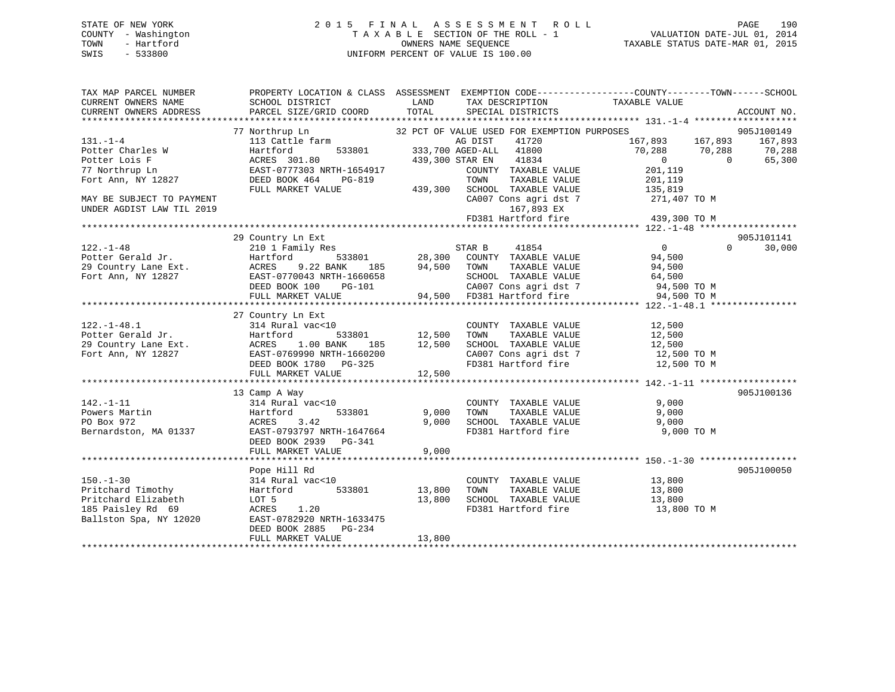# STATE OF NEW YORK 2 0 1 5 F I N A L A S S E S S M E N T R O L L PAGE 190 COUNTY - Washington T A X A B L E SECTION OF THE ROLL - 1 VALUATION DATE-JUL 01, 2014 TOWN - Hartford **TAXABLE STATUS DATE-MAR 01, 2015** OWNERS NAME SEQUENCE TAXABLE STATUS DATE-MAR 01, 2015 SWIS - 533800 UNIFORM PERCENT OF VALUE IS 100.00

| TAX MAP PARCEL NUMBER<br>CURRENT OWNERS NAME<br>CURRENT OWNERS ADDRESS                                                                                | SCHOOL DISTRICT<br>PARCEL SIZE/GRID COORD                                                                                                                              | LAND<br>TOTAL              | TAX DESCRIPTION<br>SPECIAL DISTRICTS                                                                                                                                                                                                | PROPERTY LOCATION & CLASS ASSESSMENT EXEMPTION CODE---------------COUNTY-------TOWN-----SCHOOL<br>TAXABLE VALUE                              | ACCOUNT NO.                                           |
|-------------------------------------------------------------------------------------------------------------------------------------------------------|------------------------------------------------------------------------------------------------------------------------------------------------------------------------|----------------------------|-------------------------------------------------------------------------------------------------------------------------------------------------------------------------------------------------------------------------------------|----------------------------------------------------------------------------------------------------------------------------------------------|-------------------------------------------------------|
|                                                                                                                                                       |                                                                                                                                                                        |                            |                                                                                                                                                                                                                                     |                                                                                                                                              |                                                       |
| $131. - 1 - 4$<br>Potter Charles W<br>Potter Lois F<br>77 Northrup Ln<br>Fort Ann, NY 12827<br>MAY BE SUBJECT TO PAYMENT<br>UNDER AGDIST LAW TIL 2019 | 77 Northrup Ln<br>113 Cattle farm<br>533801<br>Hartford<br>ACRES 301.80<br>EAST-0777303 NRTH-1654917<br>DEED BOOK 464<br>PG-819<br>FULL MARKET VALUE                   | 439,300                    | 32 PCT OF VALUE USED FOR EXEMPTION PURPOSES<br>AG DIST<br>41720<br>333,700 AGED-ALL 41800<br>41834<br>439,300 STAR EN<br>COUNTY TAXABLE VALUE<br>TOWN<br>TAXABLE VALUE<br>SCHOOL TAXABLE VALUE<br>167,893 EX<br>FD381 Hartford fire | 167,893 167,893<br>70,288<br>70,288<br>$\overline{0}$<br>201,119<br>201,119<br>135,819<br>CA007 Cons agri dst 7 271,407 TO M<br>439,300 TO M | 905J100149<br>167,893<br>70,288<br>$\Omega$<br>65,300 |
| $122. - 1 - 48$<br>Potter Gerald Jr.<br>29 Country Lane Ext.<br>Fort Ann, NY 12827                                                                    | 29 Country Ln Ext<br>210 1 Family Res<br>533801<br>Hartford<br>185<br>ACRES 9.22 BANK 185<br>EAST-0770043 NRTH-1660658<br>DEED BOOK 100<br>PG-101<br>FULL MARKET VALUE | 28,300<br>94,500           | STAR B<br>41854<br>COUNTY TAXABLE VALUE<br>TOWN<br>TAXABLE VALUE<br>SCHOOL TAXABLE VALUE<br>94,500 FD381 Hartford fire                                                                                                              | $\overline{0}$<br>94,500<br>94,500<br>64,500<br>CA007 Cons agri dst 7 94,500 TO M<br>94,500 TO M                                             | 905J101141<br>$\Omega$<br>30,000                      |
| $122. - 1 - 48.1$                                                                                                                                     | 27 Country Ln Ext<br>314 Rural vac<10<br>533801<br>185<br>EAST-0769990 NRTH-1660200<br>DEED BOOK 1780 PG-325<br>FULL MARKET VALUE                                      | 12,500<br>12,500<br>12,500 | COUNTY TAXABLE VALUE<br>TOWN       TAXABLE  VALUE<br>SCHOOL    TAXABLE  VALUE<br>CA007 Cons agri dst 7<br>FD381 Hartford fire                                                                                                       | 12,500<br>12,500<br>12,500<br>12,500 TO M<br>12,500 TO M                                                                                     |                                                       |
| $142. - 1 - 11$<br>Powers Martin<br>PO Box 972<br>Bernardston, MA 01337                                                                               | 13 Camp A Way<br>314 Rural vac<10<br>Hartford<br>533801<br>3.42<br>ACRES<br>EAST-0793797 NRTH-1647664<br>DEED BOOK 2939 PG-341<br>FULL MARKET VALUE                    | 9,000<br>9,000<br>9,000    | COUNTY TAXABLE VALUE<br>TAXABLE VALUE<br>TOWN<br>SCHOOL TAXABLE VALUE 9,000<br>FD381 Hartford fire                                                                                                                                  | 9,000<br>9,000<br>9,000 TO M                                                                                                                 | 905J100136                                            |
| $150. - 1 - 30$<br>Pritchard Timothy<br>Pritchard Elizabeth<br>185 Paisley Rd 69<br>Ballston Spa, NY 12020                                            | Pope Hill Rd<br>314 Rural vac<10<br>533801<br>Hartford<br>LOT 5<br>ACRES 1.20<br>EAST-0782920 NRTH-1633475<br>DEED BOOK 2885<br>PG-234<br>FULL MARKET VALUE            | 13,800<br>13,800<br>13,800 | COUNTY TAXABLE VALUE<br>TAXABLE VALUE<br>TOWN<br>SCHOOL TAXABLE VALUE<br>FD381 Hartford fire                                                                                                                                        | 13,800<br>13,800<br>13,800<br>13,800 TO M                                                                                                    | 905J100050                                            |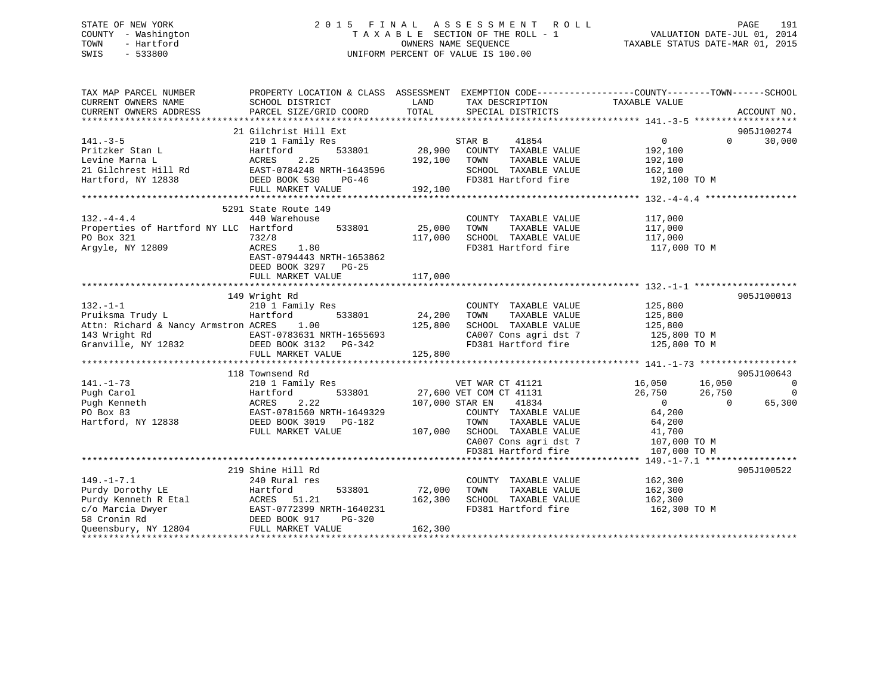# STATE OF NEW YORK 2 0 1 5 F I N A L A S S E S S M E N T R O L L PAGE 191 COUNTY - Washington T A X A B L E SECTION OF THE ROLL - 1 VALUATION DATE-JUL 01, 2014 TOWN - Hartford **TAXABLE STATUS DATE-MAR 01, 2015** OWNERS NAME SEQUENCE TAXABLE STATUS DATE-MAR 01, 2015 SWIS - 533800 UNIFORM PERCENT OF VALUE IS 100.00

| TOTAL<br>PARCEL SIZE/GRID COORD<br>SPECIAL DISTRICTS<br>ACCOUNT NO.<br>21 Gilchrist Hill Ext<br>905J100274<br>30,000<br>$141. - 3 - 5$<br>41854<br>$\Omega$<br>210 1 Family Res<br>STAR B<br>$\Omega$<br>28,900 COUNTY TAXABLE VALUE<br>Pritzker Stan L<br>533801<br>192,100<br>Hartford<br>ACRES 2.25<br>Rd EAST-0784248 NRTH-1643596<br>192,100<br>TAXABLE VALUE<br>TOWN<br>192,100<br>21 Gilchrest Hill Rd<br>SCHOOL TAXABLE VALUE<br>162,100<br>DEED BOOK 530<br>FD381 Hartford fire<br>PG-46<br>192,100 TO M<br>FULL MARKET VALUE<br>192,100<br>5291 State Route 149<br>440 Warehouse<br>COUNTY TAXABLE VALUE<br>117,000<br>25,000<br>Properties of Hartford NY LLC Hartford<br>533801<br>117,000<br>TOWN<br>TAXABLE VALUE<br>732/8<br>SCHOOL TAXABLE VALUE<br>117,000<br>117,000<br>1.80<br>FD381 Hartford fire<br>ACRES<br>117,000 TO M<br>EAST-0794443 NRTH-1653862<br>DEED BOOK 3297 PG-25<br>FULL MARKET VALUE<br>117,000<br>905J100013<br>149 Wright Rd<br>$132. - 1 - 1$<br>210 1 Family Res<br>COUNTY TAXABLE VALUE<br>125,800<br>Pruiksma Trudy L<br>Hartford<br>24,200<br>TAXABLE VALUE<br>125,800<br>533801<br>TOWN<br>125,800<br>Attn: Richard & Nancy Armstron ACRES<br>1.00<br>125,800<br>SCHOOL TAXABLE VALUE<br>$\begin{tabular}{llllll} 143 \text{ Wright Rd} & \multicolumn{2}{c}{ \text{EAST-0783631 NRTH-165565}} \\ \text{Granville, NY 12832} & \multicolumn{2}{c}{ \text{DEED BOK 3132} } & \text{PG-342} \end{tabular}$<br>CA007 Cons agri dst 7<br>125,800 TO M<br>EAST-0783631 NRTH-1655693<br>125,800 TO M<br>FD381 Hartford fire<br>125,800<br>FULL MARKET VALUE<br>118 Townsend Rd<br>905J100643<br>$\overline{0}$<br>$141. - 1 - 73$<br>VET WAR CT 41121<br>16,050<br>16,050<br>210 1 Family Res<br>27,600 VET COM CT 41131<br>26,750<br>$\Omega$<br>Pugh Carol<br>Hartford<br>533801<br>26,750<br>65,300<br>2.22<br>107,000 STAR EN<br>41834<br>Pugh Kenneth<br>ACRES<br>$\overline{0}$<br>$\Omega$<br>EAST-0781560 NRTH-1649329<br>64,200<br>PO Box 83<br>COUNTY TAXABLE VALUE<br>Hartford, NY 12838<br>DEED BOOK 3019 PG-182<br>TAXABLE VALUE<br>TOWN<br>64,200<br>FULL MARKET VALUE<br>107,000 SCHOOL TAXABLE VALUE<br>41,700<br>CA007 Cons agri dst 7<br>107,000 TO M<br>FD381 Hartford fire<br>107,000 TO M<br>905J100522<br>219 Shine Hill Rd<br>$149. - 1 - 7.1$<br>162,300<br>240 Rural res<br>COUNTY TAXABLE VALUE<br>Purdy Dorothy LE<br>72,000<br>TAXABLE VALUE<br>162,300<br>Hartford<br>533801<br>TOWN<br>SCHOOL TAXABLE VALUE<br>Purdy Kenneth R Etal<br>ACRES 51.21<br>162,300<br>162,300<br>ACRES 51.21<br>EAST-0772399 NRTH-1640231<br>DEED BOOK 917 PG-320<br>FULL MARKET VALUE<br>FD381 Hartford fire<br>c/o Marcia Dwyer<br>162,300 TO M<br>58 Cronin Rd<br>Queensbury, NY 12804<br>162,300 | TAX MAP PARCEL NUMBER<br>CURRENT OWNERS NAME | PROPERTY LOCATION & CLASS ASSESSMENT EXEMPTION CODE----------------COUNTY-------TOWN------SCHOOL<br>SCHOOL DISTRICT | LAND | TAX DESCRIPTION | TAXABLE VALUE |  |
|-----------------------------------------------------------------------------------------------------------------------------------------------------------------------------------------------------------------------------------------------------------------------------------------------------------------------------------------------------------------------------------------------------------------------------------------------------------------------------------------------------------------------------------------------------------------------------------------------------------------------------------------------------------------------------------------------------------------------------------------------------------------------------------------------------------------------------------------------------------------------------------------------------------------------------------------------------------------------------------------------------------------------------------------------------------------------------------------------------------------------------------------------------------------------------------------------------------------------------------------------------------------------------------------------------------------------------------------------------------------------------------------------------------------------------------------------------------------------------------------------------------------------------------------------------------------------------------------------------------------------------------------------------------------------------------------------------------------------------------------------------------------------------------------------------------------------------------------------------------------------------------------------------------------------------------------------------------------------------------------------------------------------------------------------------------------------------------------------------------------------------------------------------------------------------------------------------------------------------------------------------------------------------------------------------------------------------------------------------------------------------------------------------------------------------------------------------------------------------------------------------------------------------------------------------------------------------------------------------------------------------------------------------------------------------------------------------------------------------------------------------|----------------------------------------------|---------------------------------------------------------------------------------------------------------------------|------|-----------------|---------------|--|
|                                                                                                                                                                                                                                                                                                                                                                                                                                                                                                                                                                                                                                                                                                                                                                                                                                                                                                                                                                                                                                                                                                                                                                                                                                                                                                                                                                                                                                                                                                                                                                                                                                                                                                                                                                                                                                                                                                                                                                                                                                                                                                                                                                                                                                                                                                                                                                                                                                                                                                                                                                                                                                                                                                                                                     | CURRENT OWNERS ADDRESS                       |                                                                                                                     |      |                 |               |  |
|                                                                                                                                                                                                                                                                                                                                                                                                                                                                                                                                                                                                                                                                                                                                                                                                                                                                                                                                                                                                                                                                                                                                                                                                                                                                                                                                                                                                                                                                                                                                                                                                                                                                                                                                                                                                                                                                                                                                                                                                                                                                                                                                                                                                                                                                                                                                                                                                                                                                                                                                                                                                                                                                                                                                                     |                                              |                                                                                                                     |      |                 |               |  |
|                                                                                                                                                                                                                                                                                                                                                                                                                                                                                                                                                                                                                                                                                                                                                                                                                                                                                                                                                                                                                                                                                                                                                                                                                                                                                                                                                                                                                                                                                                                                                                                                                                                                                                                                                                                                                                                                                                                                                                                                                                                                                                                                                                                                                                                                                                                                                                                                                                                                                                                                                                                                                                                                                                                                                     |                                              |                                                                                                                     |      |                 |               |  |
|                                                                                                                                                                                                                                                                                                                                                                                                                                                                                                                                                                                                                                                                                                                                                                                                                                                                                                                                                                                                                                                                                                                                                                                                                                                                                                                                                                                                                                                                                                                                                                                                                                                                                                                                                                                                                                                                                                                                                                                                                                                                                                                                                                                                                                                                                                                                                                                                                                                                                                                                                                                                                                                                                                                                                     |                                              |                                                                                                                     |      |                 |               |  |
|                                                                                                                                                                                                                                                                                                                                                                                                                                                                                                                                                                                                                                                                                                                                                                                                                                                                                                                                                                                                                                                                                                                                                                                                                                                                                                                                                                                                                                                                                                                                                                                                                                                                                                                                                                                                                                                                                                                                                                                                                                                                                                                                                                                                                                                                                                                                                                                                                                                                                                                                                                                                                                                                                                                                                     |                                              |                                                                                                                     |      |                 |               |  |
|                                                                                                                                                                                                                                                                                                                                                                                                                                                                                                                                                                                                                                                                                                                                                                                                                                                                                                                                                                                                                                                                                                                                                                                                                                                                                                                                                                                                                                                                                                                                                                                                                                                                                                                                                                                                                                                                                                                                                                                                                                                                                                                                                                                                                                                                                                                                                                                                                                                                                                                                                                                                                                                                                                                                                     | Levine Marna L                               |                                                                                                                     |      |                 |               |  |
|                                                                                                                                                                                                                                                                                                                                                                                                                                                                                                                                                                                                                                                                                                                                                                                                                                                                                                                                                                                                                                                                                                                                                                                                                                                                                                                                                                                                                                                                                                                                                                                                                                                                                                                                                                                                                                                                                                                                                                                                                                                                                                                                                                                                                                                                                                                                                                                                                                                                                                                                                                                                                                                                                                                                                     |                                              |                                                                                                                     |      |                 |               |  |
|                                                                                                                                                                                                                                                                                                                                                                                                                                                                                                                                                                                                                                                                                                                                                                                                                                                                                                                                                                                                                                                                                                                                                                                                                                                                                                                                                                                                                                                                                                                                                                                                                                                                                                                                                                                                                                                                                                                                                                                                                                                                                                                                                                                                                                                                                                                                                                                                                                                                                                                                                                                                                                                                                                                                                     | Hartford, NY 12838                           |                                                                                                                     |      |                 |               |  |
|                                                                                                                                                                                                                                                                                                                                                                                                                                                                                                                                                                                                                                                                                                                                                                                                                                                                                                                                                                                                                                                                                                                                                                                                                                                                                                                                                                                                                                                                                                                                                                                                                                                                                                                                                                                                                                                                                                                                                                                                                                                                                                                                                                                                                                                                                                                                                                                                                                                                                                                                                                                                                                                                                                                                                     |                                              |                                                                                                                     |      |                 |               |  |
|                                                                                                                                                                                                                                                                                                                                                                                                                                                                                                                                                                                                                                                                                                                                                                                                                                                                                                                                                                                                                                                                                                                                                                                                                                                                                                                                                                                                                                                                                                                                                                                                                                                                                                                                                                                                                                                                                                                                                                                                                                                                                                                                                                                                                                                                                                                                                                                                                                                                                                                                                                                                                                                                                                                                                     |                                              |                                                                                                                     |      |                 |               |  |
|                                                                                                                                                                                                                                                                                                                                                                                                                                                                                                                                                                                                                                                                                                                                                                                                                                                                                                                                                                                                                                                                                                                                                                                                                                                                                                                                                                                                                                                                                                                                                                                                                                                                                                                                                                                                                                                                                                                                                                                                                                                                                                                                                                                                                                                                                                                                                                                                                                                                                                                                                                                                                                                                                                                                                     |                                              |                                                                                                                     |      |                 |               |  |
|                                                                                                                                                                                                                                                                                                                                                                                                                                                                                                                                                                                                                                                                                                                                                                                                                                                                                                                                                                                                                                                                                                                                                                                                                                                                                                                                                                                                                                                                                                                                                                                                                                                                                                                                                                                                                                                                                                                                                                                                                                                                                                                                                                                                                                                                                                                                                                                                                                                                                                                                                                                                                                                                                                                                                     | $132. -4 - 4.4$                              |                                                                                                                     |      |                 |               |  |
|                                                                                                                                                                                                                                                                                                                                                                                                                                                                                                                                                                                                                                                                                                                                                                                                                                                                                                                                                                                                                                                                                                                                                                                                                                                                                                                                                                                                                                                                                                                                                                                                                                                                                                                                                                                                                                                                                                                                                                                                                                                                                                                                                                                                                                                                                                                                                                                                                                                                                                                                                                                                                                                                                                                                                     |                                              |                                                                                                                     |      |                 |               |  |
|                                                                                                                                                                                                                                                                                                                                                                                                                                                                                                                                                                                                                                                                                                                                                                                                                                                                                                                                                                                                                                                                                                                                                                                                                                                                                                                                                                                                                                                                                                                                                                                                                                                                                                                                                                                                                                                                                                                                                                                                                                                                                                                                                                                                                                                                                                                                                                                                                                                                                                                                                                                                                                                                                                                                                     | PO Box 321                                   |                                                                                                                     |      |                 |               |  |
|                                                                                                                                                                                                                                                                                                                                                                                                                                                                                                                                                                                                                                                                                                                                                                                                                                                                                                                                                                                                                                                                                                                                                                                                                                                                                                                                                                                                                                                                                                                                                                                                                                                                                                                                                                                                                                                                                                                                                                                                                                                                                                                                                                                                                                                                                                                                                                                                                                                                                                                                                                                                                                                                                                                                                     | Argyle, NY 12809                             |                                                                                                                     |      |                 |               |  |
|                                                                                                                                                                                                                                                                                                                                                                                                                                                                                                                                                                                                                                                                                                                                                                                                                                                                                                                                                                                                                                                                                                                                                                                                                                                                                                                                                                                                                                                                                                                                                                                                                                                                                                                                                                                                                                                                                                                                                                                                                                                                                                                                                                                                                                                                                                                                                                                                                                                                                                                                                                                                                                                                                                                                                     |                                              |                                                                                                                     |      |                 |               |  |
|                                                                                                                                                                                                                                                                                                                                                                                                                                                                                                                                                                                                                                                                                                                                                                                                                                                                                                                                                                                                                                                                                                                                                                                                                                                                                                                                                                                                                                                                                                                                                                                                                                                                                                                                                                                                                                                                                                                                                                                                                                                                                                                                                                                                                                                                                                                                                                                                                                                                                                                                                                                                                                                                                                                                                     |                                              |                                                                                                                     |      |                 |               |  |
|                                                                                                                                                                                                                                                                                                                                                                                                                                                                                                                                                                                                                                                                                                                                                                                                                                                                                                                                                                                                                                                                                                                                                                                                                                                                                                                                                                                                                                                                                                                                                                                                                                                                                                                                                                                                                                                                                                                                                                                                                                                                                                                                                                                                                                                                                                                                                                                                                                                                                                                                                                                                                                                                                                                                                     |                                              |                                                                                                                     |      |                 |               |  |
|                                                                                                                                                                                                                                                                                                                                                                                                                                                                                                                                                                                                                                                                                                                                                                                                                                                                                                                                                                                                                                                                                                                                                                                                                                                                                                                                                                                                                                                                                                                                                                                                                                                                                                                                                                                                                                                                                                                                                                                                                                                                                                                                                                                                                                                                                                                                                                                                                                                                                                                                                                                                                                                                                                                                                     |                                              |                                                                                                                     |      |                 |               |  |
|                                                                                                                                                                                                                                                                                                                                                                                                                                                                                                                                                                                                                                                                                                                                                                                                                                                                                                                                                                                                                                                                                                                                                                                                                                                                                                                                                                                                                                                                                                                                                                                                                                                                                                                                                                                                                                                                                                                                                                                                                                                                                                                                                                                                                                                                                                                                                                                                                                                                                                                                                                                                                                                                                                                                                     |                                              |                                                                                                                     |      |                 |               |  |
|                                                                                                                                                                                                                                                                                                                                                                                                                                                                                                                                                                                                                                                                                                                                                                                                                                                                                                                                                                                                                                                                                                                                                                                                                                                                                                                                                                                                                                                                                                                                                                                                                                                                                                                                                                                                                                                                                                                                                                                                                                                                                                                                                                                                                                                                                                                                                                                                                                                                                                                                                                                                                                                                                                                                                     |                                              |                                                                                                                     |      |                 |               |  |
|                                                                                                                                                                                                                                                                                                                                                                                                                                                                                                                                                                                                                                                                                                                                                                                                                                                                                                                                                                                                                                                                                                                                                                                                                                                                                                                                                                                                                                                                                                                                                                                                                                                                                                                                                                                                                                                                                                                                                                                                                                                                                                                                                                                                                                                                                                                                                                                                                                                                                                                                                                                                                                                                                                                                                     |                                              |                                                                                                                     |      |                 |               |  |
|                                                                                                                                                                                                                                                                                                                                                                                                                                                                                                                                                                                                                                                                                                                                                                                                                                                                                                                                                                                                                                                                                                                                                                                                                                                                                                                                                                                                                                                                                                                                                                                                                                                                                                                                                                                                                                                                                                                                                                                                                                                                                                                                                                                                                                                                                                                                                                                                                                                                                                                                                                                                                                                                                                                                                     |                                              |                                                                                                                     |      |                 |               |  |
|                                                                                                                                                                                                                                                                                                                                                                                                                                                                                                                                                                                                                                                                                                                                                                                                                                                                                                                                                                                                                                                                                                                                                                                                                                                                                                                                                                                                                                                                                                                                                                                                                                                                                                                                                                                                                                                                                                                                                                                                                                                                                                                                                                                                                                                                                                                                                                                                                                                                                                                                                                                                                                                                                                                                                     |                                              |                                                                                                                     |      |                 |               |  |
|                                                                                                                                                                                                                                                                                                                                                                                                                                                                                                                                                                                                                                                                                                                                                                                                                                                                                                                                                                                                                                                                                                                                                                                                                                                                                                                                                                                                                                                                                                                                                                                                                                                                                                                                                                                                                                                                                                                                                                                                                                                                                                                                                                                                                                                                                                                                                                                                                                                                                                                                                                                                                                                                                                                                                     |                                              |                                                                                                                     |      |                 |               |  |
|                                                                                                                                                                                                                                                                                                                                                                                                                                                                                                                                                                                                                                                                                                                                                                                                                                                                                                                                                                                                                                                                                                                                                                                                                                                                                                                                                                                                                                                                                                                                                                                                                                                                                                                                                                                                                                                                                                                                                                                                                                                                                                                                                                                                                                                                                                                                                                                                                                                                                                                                                                                                                                                                                                                                                     |                                              |                                                                                                                     |      |                 |               |  |
|                                                                                                                                                                                                                                                                                                                                                                                                                                                                                                                                                                                                                                                                                                                                                                                                                                                                                                                                                                                                                                                                                                                                                                                                                                                                                                                                                                                                                                                                                                                                                                                                                                                                                                                                                                                                                                                                                                                                                                                                                                                                                                                                                                                                                                                                                                                                                                                                                                                                                                                                                                                                                                                                                                                                                     |                                              |                                                                                                                     |      |                 |               |  |
|                                                                                                                                                                                                                                                                                                                                                                                                                                                                                                                                                                                                                                                                                                                                                                                                                                                                                                                                                                                                                                                                                                                                                                                                                                                                                                                                                                                                                                                                                                                                                                                                                                                                                                                                                                                                                                                                                                                                                                                                                                                                                                                                                                                                                                                                                                                                                                                                                                                                                                                                                                                                                                                                                                                                                     |                                              |                                                                                                                     |      |                 |               |  |
|                                                                                                                                                                                                                                                                                                                                                                                                                                                                                                                                                                                                                                                                                                                                                                                                                                                                                                                                                                                                                                                                                                                                                                                                                                                                                                                                                                                                                                                                                                                                                                                                                                                                                                                                                                                                                                                                                                                                                                                                                                                                                                                                                                                                                                                                                                                                                                                                                                                                                                                                                                                                                                                                                                                                                     |                                              |                                                                                                                     |      |                 |               |  |
|                                                                                                                                                                                                                                                                                                                                                                                                                                                                                                                                                                                                                                                                                                                                                                                                                                                                                                                                                                                                                                                                                                                                                                                                                                                                                                                                                                                                                                                                                                                                                                                                                                                                                                                                                                                                                                                                                                                                                                                                                                                                                                                                                                                                                                                                                                                                                                                                                                                                                                                                                                                                                                                                                                                                                     |                                              |                                                                                                                     |      |                 |               |  |
|                                                                                                                                                                                                                                                                                                                                                                                                                                                                                                                                                                                                                                                                                                                                                                                                                                                                                                                                                                                                                                                                                                                                                                                                                                                                                                                                                                                                                                                                                                                                                                                                                                                                                                                                                                                                                                                                                                                                                                                                                                                                                                                                                                                                                                                                                                                                                                                                                                                                                                                                                                                                                                                                                                                                                     |                                              |                                                                                                                     |      |                 |               |  |
|                                                                                                                                                                                                                                                                                                                                                                                                                                                                                                                                                                                                                                                                                                                                                                                                                                                                                                                                                                                                                                                                                                                                                                                                                                                                                                                                                                                                                                                                                                                                                                                                                                                                                                                                                                                                                                                                                                                                                                                                                                                                                                                                                                                                                                                                                                                                                                                                                                                                                                                                                                                                                                                                                                                                                     |                                              |                                                                                                                     |      |                 |               |  |
|                                                                                                                                                                                                                                                                                                                                                                                                                                                                                                                                                                                                                                                                                                                                                                                                                                                                                                                                                                                                                                                                                                                                                                                                                                                                                                                                                                                                                                                                                                                                                                                                                                                                                                                                                                                                                                                                                                                                                                                                                                                                                                                                                                                                                                                                                                                                                                                                                                                                                                                                                                                                                                                                                                                                                     |                                              |                                                                                                                     |      |                 |               |  |
|                                                                                                                                                                                                                                                                                                                                                                                                                                                                                                                                                                                                                                                                                                                                                                                                                                                                                                                                                                                                                                                                                                                                                                                                                                                                                                                                                                                                                                                                                                                                                                                                                                                                                                                                                                                                                                                                                                                                                                                                                                                                                                                                                                                                                                                                                                                                                                                                                                                                                                                                                                                                                                                                                                                                                     |                                              |                                                                                                                     |      |                 |               |  |
|                                                                                                                                                                                                                                                                                                                                                                                                                                                                                                                                                                                                                                                                                                                                                                                                                                                                                                                                                                                                                                                                                                                                                                                                                                                                                                                                                                                                                                                                                                                                                                                                                                                                                                                                                                                                                                                                                                                                                                                                                                                                                                                                                                                                                                                                                                                                                                                                                                                                                                                                                                                                                                                                                                                                                     |                                              |                                                                                                                     |      |                 |               |  |
|                                                                                                                                                                                                                                                                                                                                                                                                                                                                                                                                                                                                                                                                                                                                                                                                                                                                                                                                                                                                                                                                                                                                                                                                                                                                                                                                                                                                                                                                                                                                                                                                                                                                                                                                                                                                                                                                                                                                                                                                                                                                                                                                                                                                                                                                                                                                                                                                                                                                                                                                                                                                                                                                                                                                                     |                                              |                                                                                                                     |      |                 |               |  |
|                                                                                                                                                                                                                                                                                                                                                                                                                                                                                                                                                                                                                                                                                                                                                                                                                                                                                                                                                                                                                                                                                                                                                                                                                                                                                                                                                                                                                                                                                                                                                                                                                                                                                                                                                                                                                                                                                                                                                                                                                                                                                                                                                                                                                                                                                                                                                                                                                                                                                                                                                                                                                                                                                                                                                     |                                              |                                                                                                                     |      |                 |               |  |
|                                                                                                                                                                                                                                                                                                                                                                                                                                                                                                                                                                                                                                                                                                                                                                                                                                                                                                                                                                                                                                                                                                                                                                                                                                                                                                                                                                                                                                                                                                                                                                                                                                                                                                                                                                                                                                                                                                                                                                                                                                                                                                                                                                                                                                                                                                                                                                                                                                                                                                                                                                                                                                                                                                                                                     |                                              |                                                                                                                     |      |                 |               |  |
|                                                                                                                                                                                                                                                                                                                                                                                                                                                                                                                                                                                                                                                                                                                                                                                                                                                                                                                                                                                                                                                                                                                                                                                                                                                                                                                                                                                                                                                                                                                                                                                                                                                                                                                                                                                                                                                                                                                                                                                                                                                                                                                                                                                                                                                                                                                                                                                                                                                                                                                                                                                                                                                                                                                                                     |                                              |                                                                                                                     |      |                 |               |  |
|                                                                                                                                                                                                                                                                                                                                                                                                                                                                                                                                                                                                                                                                                                                                                                                                                                                                                                                                                                                                                                                                                                                                                                                                                                                                                                                                                                                                                                                                                                                                                                                                                                                                                                                                                                                                                                                                                                                                                                                                                                                                                                                                                                                                                                                                                                                                                                                                                                                                                                                                                                                                                                                                                                                                                     |                                              |                                                                                                                     |      |                 |               |  |
|                                                                                                                                                                                                                                                                                                                                                                                                                                                                                                                                                                                                                                                                                                                                                                                                                                                                                                                                                                                                                                                                                                                                                                                                                                                                                                                                                                                                                                                                                                                                                                                                                                                                                                                                                                                                                                                                                                                                                                                                                                                                                                                                                                                                                                                                                                                                                                                                                                                                                                                                                                                                                                                                                                                                                     |                                              |                                                                                                                     |      |                 |               |  |
|                                                                                                                                                                                                                                                                                                                                                                                                                                                                                                                                                                                                                                                                                                                                                                                                                                                                                                                                                                                                                                                                                                                                                                                                                                                                                                                                                                                                                                                                                                                                                                                                                                                                                                                                                                                                                                                                                                                                                                                                                                                                                                                                                                                                                                                                                                                                                                                                                                                                                                                                                                                                                                                                                                                                                     |                                              |                                                                                                                     |      |                 |               |  |
|                                                                                                                                                                                                                                                                                                                                                                                                                                                                                                                                                                                                                                                                                                                                                                                                                                                                                                                                                                                                                                                                                                                                                                                                                                                                                                                                                                                                                                                                                                                                                                                                                                                                                                                                                                                                                                                                                                                                                                                                                                                                                                                                                                                                                                                                                                                                                                                                                                                                                                                                                                                                                                                                                                                                                     |                                              |                                                                                                                     |      |                 |               |  |
|                                                                                                                                                                                                                                                                                                                                                                                                                                                                                                                                                                                                                                                                                                                                                                                                                                                                                                                                                                                                                                                                                                                                                                                                                                                                                                                                                                                                                                                                                                                                                                                                                                                                                                                                                                                                                                                                                                                                                                                                                                                                                                                                                                                                                                                                                                                                                                                                                                                                                                                                                                                                                                                                                                                                                     |                                              |                                                                                                                     |      |                 |               |  |
|                                                                                                                                                                                                                                                                                                                                                                                                                                                                                                                                                                                                                                                                                                                                                                                                                                                                                                                                                                                                                                                                                                                                                                                                                                                                                                                                                                                                                                                                                                                                                                                                                                                                                                                                                                                                                                                                                                                                                                                                                                                                                                                                                                                                                                                                                                                                                                                                                                                                                                                                                                                                                                                                                                                                                     |                                              |                                                                                                                     |      |                 |               |  |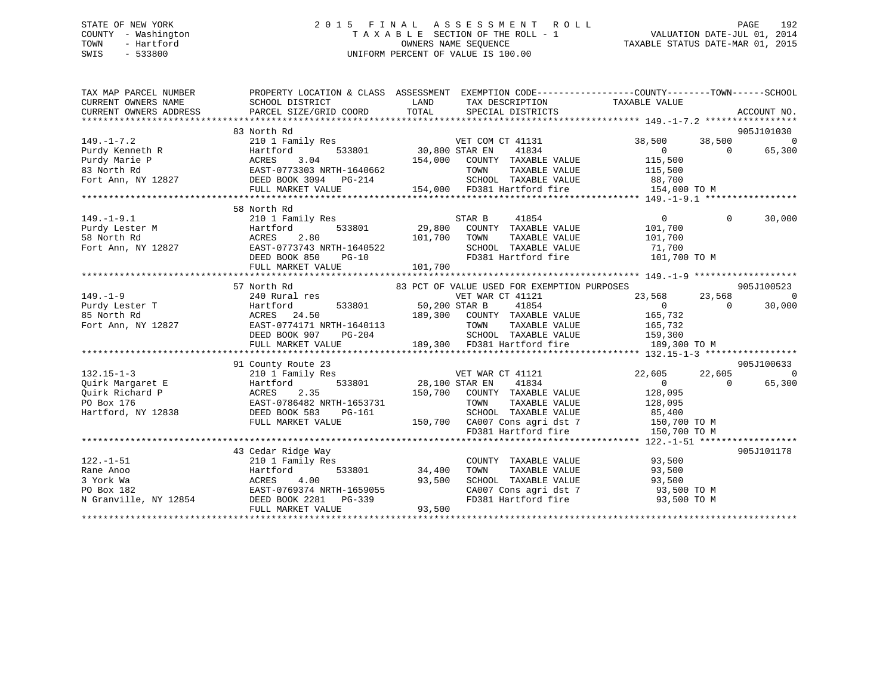# STATE OF NEW YORK 2 0 1 5 F I N A L A S S E S S M E N T R O L L PAGE 192 COUNTY - Washington T A X A B L E SECTION OF THE ROLL - 1 VALUATION DATE-JUL 01, 2014 TOWN - Hartford **TAXABLE STATUS DATE-MAR 01, 2015** OWNERS NAME SEQUENCE TAXABLE STATUS DATE-MAR 01, 2015 SWIS - 533800 UNIFORM PERCENT OF VALUE IS 100.00

| TAX MAP PARCEL NUMBER<br>CURRENT OWNERS NAME<br>CURRENT OWNERS ADDRESS                                                                                                                                                                                                   | PROPERTY LOCATION & CLASS ASSESSMENT EXEMPTION CODE---------------COUNTY-------TOWN------SCHOOL<br>SCHOOL DISTRICT                                   | <b>Example 12</b> LAND | TAX DESCRIPTION TAXABLE VALUE                                                                 |                                                |                |                |
|--------------------------------------------------------------------------------------------------------------------------------------------------------------------------------------------------------------------------------------------------------------------------|------------------------------------------------------------------------------------------------------------------------------------------------------|------------------------|-----------------------------------------------------------------------------------------------|------------------------------------------------|----------------|----------------|
|                                                                                                                                                                                                                                                                          | 83 North Rd                                                                                                                                          |                        |                                                                                               |                                                |                | 905J101030     |
| $149. - 1 - 7.2$                                                                                                                                                                                                                                                         | 210 1 Family Res                                                                                                                                     |                        | VET COM CT 41131                                                                              | 38,500 38,500                                  |                | $\overline{0}$ |
|                                                                                                                                                                                                                                                                          | 533801 30,800 STAR EN                                                                                                                                |                        | 41834                                                                                         |                                                | $\overline{0}$ | 65,300         |
|                                                                                                                                                                                                                                                                          |                                                                                                                                                      |                        | 154,000 COUNTY TAXABLE VALUE                                                                  | $\begin{array}{c} 0 \\ 115,500 \end{array}$    |                |                |
|                                                                                                                                                                                                                                                                          |                                                                                                                                                      |                        | TOWN                                                                                          | TAXABLE VALUE 115,500                          |                |                |
|                                                                                                                                                                                                                                                                          |                                                                                                                                                      |                        |                                                                                               |                                                |                |                |
|                                                                                                                                                                                                                                                                          | FULL MARKET VALUE                                                                                                                                    |                        | $3-214$ SCHOOL TAXABLE VALUE $88,700$<br>154,000 FD381 Hartford fire $154,000$ TO M           |                                                |                |                |
|                                                                                                                                                                                                                                                                          |                                                                                                                                                      |                        |                                                                                               |                                                |                |                |
|                                                                                                                                                                                                                                                                          | 58 North Rd                                                                                                                                          |                        |                                                                                               |                                                |                |                |
| 149.-1-9.1<br>Purdy Lester M<br>58 North Rd<br>Fort Ann, NY 12827<br>29,800<br>EAST-0773743 NRTH-1640522<br>DEED BOOK 850<br>PC-10<br>29,800<br>29,800<br>29,800<br>29,800<br>29,800<br>29,800<br>29,800<br>29,800<br>29,800<br>29,800<br>29,800<br>29,800<br>29,800<br> |                                                                                                                                                      |                        | 41854                                                                                         | $\Omega$                                       | $\Omega$       | 30,000         |
|                                                                                                                                                                                                                                                                          | Hartford 533801 29,800 COUNTY TAXABLE VALUE                                                                                                          |                        |                                                                                               | 101,700                                        |                |                |
|                                                                                                                                                                                                                                                                          |                                                                                                                                                      |                        | TAXABLE VALUE                                                                                 | 101,700                                        |                |                |
|                                                                                                                                                                                                                                                                          |                                                                                                                                                      |                        |                                                                                               |                                                |                |                |
|                                                                                                                                                                                                                                                                          |                                                                                                                                                      |                        | SCHOOL TAXABLE VALUE 71,700<br>FD381 Hartford fire 101,700 TO M                               |                                                |                |                |
|                                                                                                                                                                                                                                                                          |                                                                                                                                                      |                        |                                                                                               |                                                |                |                |
|                                                                                                                                                                                                                                                                          |                                                                                                                                                      |                        |                                                                                               |                                                |                |                |
|                                                                                                                                                                                                                                                                          | 57 North Rd                                                                                                                                          |                        | 83 PCT OF VALUE USED FOR EXEMPTION PURPOSES                                                   |                                                |                | 905J100523     |
|                                                                                                                                                                                                                                                                          |                                                                                                                                                      |                        |                                                                                               |                                                |                |                |
|                                                                                                                                                                                                                                                                          |                                                                                                                                                      |                        |                                                                                               |                                                |                |                |
|                                                                                                                                                                                                                                                                          |                                                                                                                                                      |                        |                                                                                               |                                                |                |                |
|                                                                                                                                                                                                                                                                          |                                                                                                                                                      |                        |                                                                                               |                                                |                |                |
|                                                                                                                                                                                                                                                                          |                                                                                                                                                      |                        |                                                                                               |                                                |                |                |
| 149.-1-9<br>Purdy Lester T<br>Purdy Lester T<br>240 Rural res<br>B North Rd<br>240 Rural res<br>240 Rural res<br>240 Rural res<br>240 Rural res<br>240 Rural res<br>240 Rural res<br>24.50<br>26 165,732<br>24.50<br>26 165,732<br>24.50<br>26 165,732<br>26 165         |                                                                                                                                                      |                        |                                                                                               |                                                |                |                |
|                                                                                                                                                                                                                                                                          |                                                                                                                                                      |                        |                                                                                               |                                                |                |                |
|                                                                                                                                                                                                                                                                          | 91 County Route 23                                                                                                                                   |                        |                                                                                               |                                                |                | 905J100633     |
| $132.15 - 1 - 3$                                                                                                                                                                                                                                                         | ES<br>Res<br>533801 28,100 STAR EN<br>533801 28,100 STAR EN<br>210 1 Family Res                                                                      |                        | VET WAR CT 41121                                                                              | 22,605 22,605 0                                |                |                |
|                                                                                                                                                                                                                                                                          |                                                                                                                                                      |                        | 41834                                                                                         | $\overline{0}$                                 | $\overline{0}$ | 65,300         |
| Puirk Margaret E<br>Po Box 176<br>Hartford BACRES 2.35<br>Po Box 176<br>Hartford, NY 12838<br>BEED BOOK 583<br>Po Hartford, NY 12838<br>DEED BOOK 583<br>Po Hartford, NY 12838                                                                                           |                                                                                                                                                      |                        | 150,700 COUNTY TAXABLE VALUE                                                                  |                                                |                |                |
|                                                                                                                                                                                                                                                                          |                                                                                                                                                      |                        | TOWN                                                                                          | TAXABLE VALUE 128,095<br>TAXABLE VALUE 128,095 |                |                |
|                                                                                                                                                                                                                                                                          |                                                                                                                                                      |                        |                                                                                               |                                                |                |                |
|                                                                                                                                                                                                                                                                          |                                                                                                                                                      |                        |                                                                                               |                                                |                |                |
|                                                                                                                                                                                                                                                                          | DEED BOOK 583 PG-161 SCHOOL TAXABLE VALUE 85,400<br>FULL MARKET VALUE 150,700 CA007 Cons agri dst 7 150,700 TO M<br>FD381 Hartford fire 150,700 TO M |                        |                                                                                               |                                                |                |                |
|                                                                                                                                                                                                                                                                          |                                                                                                                                                      |                        |                                                                                               |                                                |                |                |
|                                                                                                                                                                                                                                                                          | 43 Cedar Ridge Way                                                                                                                                   |                        |                                                                                               |                                                |                | 905J101178     |
| $122. - 1 - 51$                                                                                                                                                                                                                                                          | 210 1 Family Res                                                                                                                                     |                        | COUNTY TAXABLE VALUE 93,500                                                                   |                                                |                |                |
|                                                                                                                                                                                                                                                                          |                                                                                                                                                      |                        |                                                                                               |                                                |                |                |
|                                                                                                                                                                                                                                                                          |                                                                                                                                                      |                        | TOWN TAXABLE VALUE 93,500<br>SCHOOL TAXABLE VALUE 93,500<br>CA007 Cons agri dst 7 93,500 TO M |                                                |                |                |
|                                                                                                                                                                                                                                                                          |                                                                                                                                                      |                        |                                                                                               |                                                |                |                |
|                                                                                                                                                                                                                                                                          |                                                                                                                                                      |                        |                                                                                               | FD381 Hartford fire 93,500 TO M                |                |                |
| 122.-1-51<br>Rane Anoo Hartford 533801 34,400<br>3 York Wa ACRES 4.00 93,500<br>PO Box 182 EAST-0769374 NRTH-1659055<br>N Granville, NY 12854 DEED BOOK 2281 PG-339<br>FULL MARKET VALUE 93,500                                                                          |                                                                                                                                                      |                        |                                                                                               |                                                |                |                |
|                                                                                                                                                                                                                                                                          |                                                                                                                                                      |                        |                                                                                               |                                                |                |                |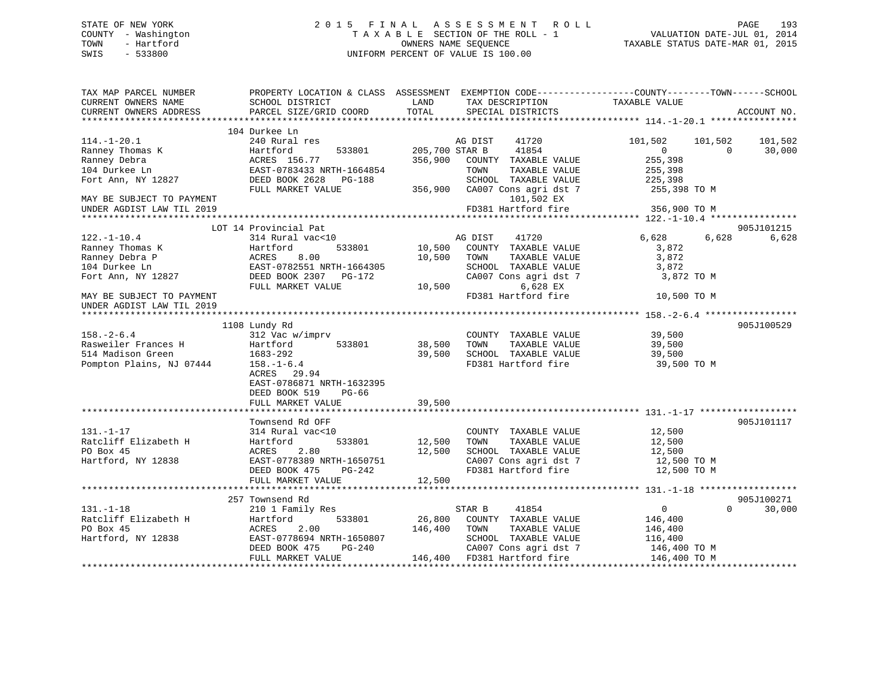# STATE OF NEW YORK 2 0 1 5 F I N A L A S S E S S M E N T R O L L PAGE 193 COUNTY - Washington T A X A B L E SECTION OF THE ROLL - 1 VALUATION DATE-JUL 01, 2014 TOWN - Hartford **TAXABLE STATUS DATE-MAR 01, 2015** OWNERS NAME SEQUENCE TAXABLE STATUS DATE-MAR 01, 2015 SWIS - 533800 UNIFORM PERCENT OF VALUE IS 100.00

| TAX MAP PARCEL NUMBER<br>CURRENT OWNERS NAME           | PROPERTY LOCATION & CLASS ASSESSMENT EXEMPTION CODE----------------COUNTY-------TOWN------SCHOOL<br>SCHOOL DISTRICT | LAND           | TAX DESCRIPTION                 | TAXABLE VALUE        |             |
|--------------------------------------------------------|---------------------------------------------------------------------------------------------------------------------|----------------|---------------------------------|----------------------|-------------|
| CURRENT OWNERS ADDRESS                                 | PARCEL SIZE/GRID COORD                                                                                              | TOTAL          | SPECIAL DISTRICTS               |                      | ACCOUNT NO. |
|                                                        | 104 Durkee Ln                                                                                                       |                |                                 |                      |             |
| $114. - 1 - 20.1$                                      | 240 Rural res                                                                                                       |                | AG DIST<br>41720                | 101,502<br>101,502   | 101,502     |
| Ranney Thomas K                                        | Hartford<br>533801                                                                                                  | 205,700 STAR B | 41854                           | $\Omega$<br>$\Omega$ | 30,000      |
| Ranney Debra                                           | ACRES 156.77                                                                                                        | 356,900        | COUNTY TAXABLE VALUE            | 255,398              |             |
| 104 Durkee Ln                                          | EAST-0783433 NRTH-1664854                                                                                           |                | TAXABLE VALUE<br>TOWN           | 255,398              |             |
| Fort Ann, NY 12827                                     | DEED BOOK 2628<br><b>PG-188</b>                                                                                     |                | SCHOOL TAXABLE VALUE            | 225,398              |             |
|                                                        | FULL MARKET VALUE                                                                                                   | 356,900        | CA007 Cons agri dst 7           | 255,398 TO M         |             |
| MAY BE SUBJECT TO PAYMENT                              |                                                                                                                     |                | 101,502 EX                      |                      |             |
| UNDER AGDIST LAW TIL 2019                              |                                                                                                                     |                | FD381 Hartford fire             | 356,900 TO M         |             |
|                                                        |                                                                                                                     |                |                                 |                      |             |
|                                                        | LOT 14 Provincial Pat                                                                                               |                |                                 |                      | 905J101215  |
| $122. - 1 - 10.4$                                      | 314 Rural vac<10                                                                                                    |                | AG DIST<br>41720                | 6,628<br>6,628       | 6,628       |
| Ranney Thomas K                                        | 533801<br>Hartford                                                                                                  | 10,500         | COUNTY TAXABLE VALUE            | 3,872                |             |
| Ranney Debra P                                         | 8.00<br>ACRES                                                                                                       | 10,500         | TAXABLE VALUE<br>TOWN           | 3,872                |             |
| 104 Durkee Ln                                          | EAST-0782551 NRTH-1664305                                                                                           |                | SCHOOL TAXABLE VALUE            | 3,872                |             |
| Fort Ann, NY 12827                                     | DEED BOOK 2307 PG-172                                                                                               |                | CA007 Cons agri dst 7           | 3,872 TO M           |             |
|                                                        | FULL MARKET VALUE                                                                                                   | 10,500         | 6,628 EX<br>FD381 Hartford fire | 10,500 TO M          |             |
| MAY BE SUBJECT TO PAYMENT<br>UNDER AGDIST LAW TIL 2019 |                                                                                                                     |                |                                 |                      |             |
|                                                        |                                                                                                                     |                |                                 |                      |             |
|                                                        | 1108 Lundy Rd                                                                                                       |                |                                 |                      | 905J100529  |
| $158. - 2 - 6.4$                                       | 312 Vac w/imprv                                                                                                     |                | COUNTY TAXABLE VALUE            | 39,500               |             |
| Rasweiler Frances H                                    | Hartford<br>533801                                                                                                  | 38,500         | TAXABLE VALUE<br>TOWN           | 39,500               |             |
| 514 Madison Green                                      | 1683-292                                                                                                            | 39,500         | SCHOOL TAXABLE VALUE            | 39,500               |             |
| Pompton Plains, NJ 07444                               | $158. - 1 - 6.4$                                                                                                    |                | FD381 Hartford fire             | 39,500 TO M          |             |
|                                                        | ACRES<br>29.94                                                                                                      |                |                                 |                      |             |
|                                                        | EAST-0786871 NRTH-1632395                                                                                           |                |                                 |                      |             |
|                                                        | DEED BOOK 519<br>PG-66                                                                                              |                |                                 |                      |             |
|                                                        | FULL MARKET VALUE                                                                                                   | 39,500         |                                 |                      |             |
|                                                        |                                                                                                                     |                |                                 |                      |             |
|                                                        | Townsend Rd OFF                                                                                                     |                |                                 |                      | 905J101117  |
| $131. - 1 - 17$                                        | 314 Rural vac<10                                                                                                    |                | COUNTY TAXABLE VALUE            | 12,500               |             |
| Ratcliff Elizabeth H                                   | 533801<br>Hartford                                                                                                  | 12,500         | TAXABLE VALUE<br>TOWN           | 12,500               |             |
| PO Box 45                                              | ACRES<br>2.80                                                                                                       | 12,500         | SCHOOL TAXABLE VALUE            | 12,500               |             |
| Hartford, NY 12838                                     | EAST-0778389 NRTH-1650751                                                                                           |                | CA007 Cons agri dst 7           | 12,500 TO M          |             |
|                                                        | DEED BOOK 475<br>PG-242                                                                                             |                | FD381 Hartford fire             | 12,500 TO M          |             |
|                                                        | FULL MARKET VALUE                                                                                                   | 12,500         |                                 |                      |             |
|                                                        |                                                                                                                     |                |                                 |                      |             |
|                                                        | 257 Townsend Rd                                                                                                     |                |                                 |                      | 905J100271  |
| $131. - 1 - 18$                                        | 210 1 Family Res                                                                                                    |                | 41854<br>STAR B                 | 0<br>$\Omega$        | 30,000      |
| Ratcliff Elizabeth H                                   | 533801<br>Hartford                                                                                                  | 26,800         | COUNTY TAXABLE VALUE            | 146,400              |             |
| PO Box 45                                              | 2.00<br>ACRES                                                                                                       | 146,400        | TAXABLE VALUE<br>TOWN           | 146,400              |             |
| Hartford, NY 12838                                     | EAST-0778694 NRTH-1650807                                                                                           |                | SCHOOL TAXABLE VALUE            | 116,400              |             |
|                                                        | DEED BOOK 475<br>PG-240                                                                                             |                | CA007 Cons agri dst 7           | 146,400 TO M         |             |
|                                                        | FULL MARKET VALUE                                                                                                   |                | 146,400 FD381 Hartford fire     | 146,400 TO M         |             |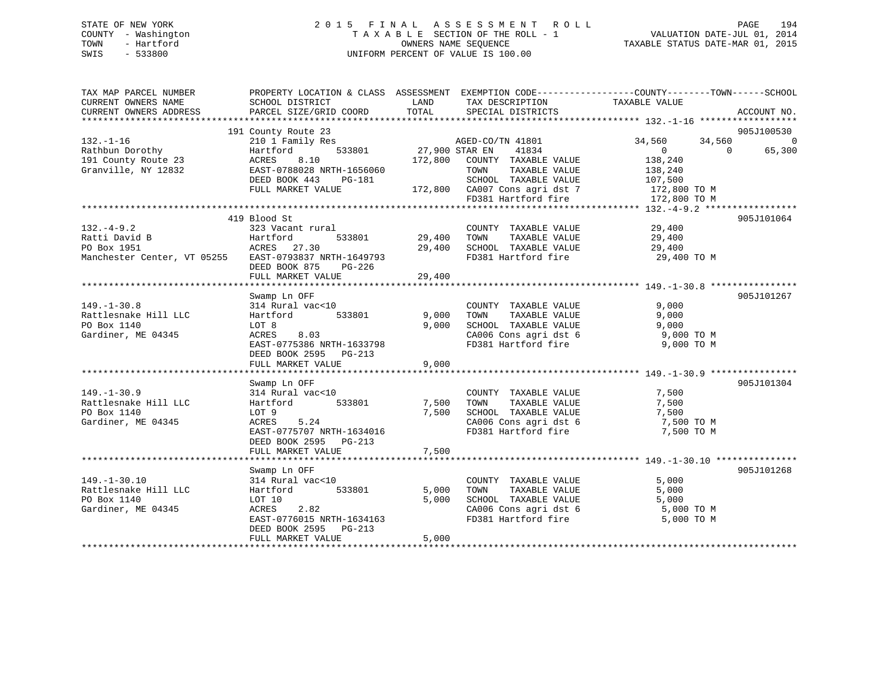# STATE OF NEW YORK 2 0 1 5 F I N A L A S S E S S M E N T R O L L PAGE 194 COUNTY - Washington T A X A B L E SECTION OF THE ROLL - 1 VALUATION DATE-JUL 01, 2014 TOWN - Hartford **TAXABLE STATUS DATE-MAR 01, 2015** OWNERS NAME SEQUENCE TAXABLE STATUS DATE-MAR 01, 2015 SWIS - 533800 UNIFORM PERCENT OF VALUE IS 100.00

| TAX MAP PARCEL NUMBER<br>CURRENT OWNERS NAME<br>CURRENT OWNERS ADDRESS                                   | PROPERTY LOCATION & CLASS ASSESSMENT EXEMPTION CODE----------------COUNTY-------TOWN------SCHOOL<br>SCHOOL DISTRICT<br>PARCEL SIZE/GRID COORD                                                | LAND<br>TOTAL              | TAX DESCRIPTION<br>SPECIAL DISTRICTS                                                                                                                       | TAXABLE VALUE                                                                                                   | ACCOUNT NO.                      |
|----------------------------------------------------------------------------------------------------------|----------------------------------------------------------------------------------------------------------------------------------------------------------------------------------------------|----------------------------|------------------------------------------------------------------------------------------------------------------------------------------------------------|-----------------------------------------------------------------------------------------------------------------|----------------------------------|
| $132. - 1 - 16$<br>Rathbun Dorothy<br>191 County Route 23<br>Granville, NY 12832                         | 191 County Route 23<br>210 1 Family Res<br>533801<br>Hartford<br>8.10<br>ACRES<br>EAST-0788028 NRTH-1656060<br>DEED BOOK 443<br>PG-181<br>FULL MARKET VALUE                                  | 27,900 STAR EN<br>172,800  | AGED-CO/TN 41801<br>41834<br>COUNTY TAXABLE VALUE<br>TAXABLE VALUE<br>TOWN<br>SCHOOL TAXABLE VALUE<br>172,800 CA007 Cons agri dst 7<br>FD381 Hartford fire | 34,560<br>34,560<br>$\Omega$<br>$\overline{0}$<br>138,240<br>138,240<br>107,500<br>172,800 TO M<br>172,800 TO M | 905J100530<br>$\Omega$<br>65,300 |
| $132 - 4 - 9.2$<br>Ratti David B<br>PO Box 1951<br>Manchester Center, VT 05255 EAST-0793837 NRTH-1649793 | 419 Blood St<br>323 Vacant rural<br>Hartford<br>533801<br>ACRES 27.30<br>DEED BOOK 875<br>PG-226<br>FULL MARKET VALUE                                                                        | 29,400<br>29,400<br>29,400 | COUNTY TAXABLE VALUE<br>TAXABLE VALUE<br>TOWN<br>SCHOOL TAXABLE VALUE<br>FD381 Hartford fire                                                               | 29,400<br>29,400<br>29,400<br>29,400 TO M                                                                       | 905J101064                       |
| $149. - 1 - 30.8$<br>Rattlesnake Hill LLC<br>PO Box 1140<br>Gardiner, ME 04345                           | Swamp Ln OFF<br>314 Rural vac<10<br>Hartford<br>533801<br>LOT 8<br>8.03<br>ACRES<br>EAST-0775386 NRTH-1633798<br>DEED BOOK 2595 PG-213<br>FULL MARKET VALUE                                  | 9,000<br>9,000<br>9,000    | COUNTY TAXABLE VALUE<br>TAXABLE VALUE<br>TOWN<br>SCHOOL TAXABLE VALUE<br>CA006 Cons agri dst 6<br>FD381 Hartford fire                                      | 9,000<br>9,000<br>9,000<br>9,000 TO M<br>9,000 TO M                                                             | 905J101267                       |
| $149. - 1 - 30.9$<br>Rattlesnake Hill LLC<br>PO Box 1140<br>Gardiner, ME 04345                           | Swamp Ln OFF<br>314 Rural vac<10<br>533801<br>Hartford<br>LOT 9<br>ACRES<br>5.24<br>EAST-0775707 NRTH-1634016<br>DEED BOOK 2595 PG-213<br>FULL MARKET VALUE                                  | 7,500<br>7,500<br>7,500    | COUNTY TAXABLE VALUE<br>TAXABLE VALUE<br>TOWN<br>SCHOOL TAXABLE VALUE<br>CA006 Cons agri dst 6<br>FD381 Hartford fire                                      | 7,500<br>7,500<br>7,500<br>7,500 TO M<br>7,500 TO M                                                             | 905J101304                       |
| $149. - 1 - 30.10$<br>Rattlesnake Hill LLC<br>PO Box 1140<br>Gardiner, ME 04345                          | Swamp Ln OFF<br>314 Rural vac<10<br>533801<br>Hartford<br>LOT 10<br>ACRES<br>2.82<br>EAST-0776015 NRTH-1634163<br>DEED BOOK 2595 PG-213<br>FULL MARKET VALUE<br>**************************** | 5,000<br>5,000<br>5,000    | COUNTY TAXABLE VALUE<br>TAXABLE VALUE<br>TOWN<br>SCHOOL TAXABLE VALUE<br>CA006 Cons agri dst 6<br>FD381 Hartford fire                                      | 5,000<br>5,000<br>5,000<br>5,000 TO M<br>5,000 TO M                                                             | 905J101268                       |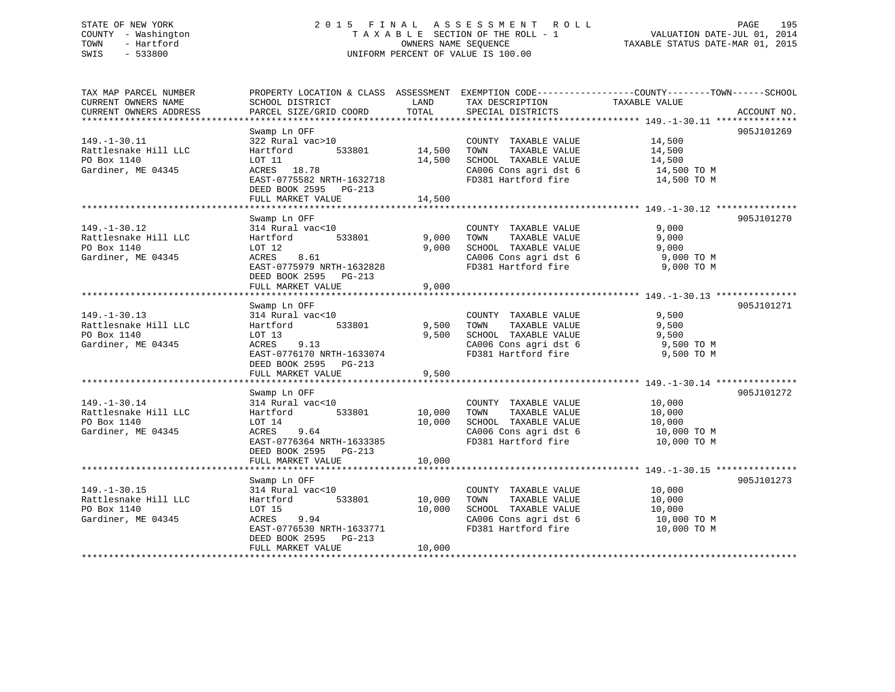# STATE OF NEW YORK 2 0 1 5 F I N A L A S S E S S M E N T R O L L PAGE 195 COUNTY - Washington T A X A B L E SECTION OF THE ROLL - 1 VALUATION DATE-JUL 01, 2014 TOWN - Hartford OWNERS NAME SEQUENCE TAXABLE STATUS DATE-MAR 01, 2015 SWIS - 533800 UNIFORM PERCENT OF VALUE IS 100.00

| TAX MAP PARCEL NUMBER<br>CURRENT OWNERS NAME | SCHOOL DISTRICT                          | LAND           | TAX DESCRIPTION                               | PROPERTY LOCATION & CLASS ASSESSMENT EXEMPTION CODE-----------------COUNTY--------TOWN------SCHOOL<br>TAXABLE VALUE |
|----------------------------------------------|------------------------------------------|----------------|-----------------------------------------------|---------------------------------------------------------------------------------------------------------------------|
| CURRENT OWNERS ADDRESS                       | PARCEL SIZE/GRID COORD                   | TOTAL          | SPECIAL DISTRICTS                             | ACCOUNT NO.                                                                                                         |
| ******************************               |                                          |                |                                               |                                                                                                                     |
|                                              | Swamp Ln OFF                             |                |                                               | 905J101269                                                                                                          |
| $149. - 1 - 30.11$                           | 322 Rural vac>10                         |                | COUNTY TAXABLE VALUE                          | 14,500                                                                                                              |
| Rattlesnake Hill LLC                         | 533801<br>Hartford                       | 14,500         | TOWN<br>TAXABLE VALUE                         | 14,500                                                                                                              |
| PO Box 1140                                  | LOT 11                                   | 14,500         | SCHOOL TAXABLE VALUE                          | 14,500                                                                                                              |
| Gardiner, ME 04345                           | ACRES 18.78<br>EAST-0775582 NRTH-1632718 |                | CA006 Cons agri dst 6<br>FD381 Hartford fire  | 14,500 TO M                                                                                                         |
|                                              | DEED BOOK 2595 PG-213                    |                |                                               | 14,500 TO M                                                                                                         |
|                                              | FULL MARKET VALUE                        | 14,500         |                                               |                                                                                                                     |
|                                              |                                          | ************** |                                               |                                                                                                                     |
|                                              | Swamp Ln OFF                             |                |                                               | 905J101270                                                                                                          |
| $149. - 1 - 30.12$                           | 314 Rural vac<10                         |                | COUNTY TAXABLE VALUE                          | 9.000                                                                                                               |
| Rattlesnake Hill LLC                         | 533801<br>Hartford                       | 9,000          | TOWN<br>TAXABLE VALUE                         | 9,000                                                                                                               |
| PO Box 1140                                  | LOT 12                                   | 9,000          | SCHOOL TAXABLE VALUE                          | 9,000                                                                                                               |
| Gardiner, ME 04345                           | ACRES<br>8.61                            |                | CA006 Cons agri dst 6                         | 9,000 TO M                                                                                                          |
|                                              | EAST-0775979 NRTH-1632828                |                | FD381 Hartford fire                           | 9,000 TO M                                                                                                          |
|                                              | DEED BOOK 2595 PG-213                    |                |                                               |                                                                                                                     |
|                                              | FULL MARKET VALUE                        | 9,000          |                                               |                                                                                                                     |
|                                              |                                          |                |                                               |                                                                                                                     |
|                                              | Swamp Ln OFF                             |                |                                               | 905J101271                                                                                                          |
| $149. - 1 - 30.13$<br>Rattlesnake Hill LLC   | 314 Rural vac<10<br>533801               | 9,500          | COUNTY TAXABLE VALUE<br>TAXABLE VALUE<br>TOWN | 9,500                                                                                                               |
| PO Box 1140                                  | Hartford<br>LOT 13                       | 9.500          | SCHOOL TAXABLE VALUE                          | 9,500<br>9,500                                                                                                      |
| Gardiner, ME 04345                           | 9.13<br>ACRES                            |                | CA006 Cons agri dst 6                         | 9,500 TO M                                                                                                          |
|                                              | EAST-0776170 NRTH-1633074                |                | FD381 Hartford fire                           | 9,500 TO M                                                                                                          |
|                                              | DEED BOOK 2595 PG-213                    |                |                                               |                                                                                                                     |
|                                              | FULL MARKET VALUE                        | 9,500          |                                               |                                                                                                                     |
|                                              |                                          |                |                                               |                                                                                                                     |
|                                              | Swamp Ln OFF                             |                |                                               | 905J101272                                                                                                          |
| $149. - 1 - 30.14$                           | 314 Rural vac<10                         |                | COUNTY TAXABLE VALUE                          | 10,000                                                                                                              |
| Rattlesnake Hill LLC                         | 533801<br>Hartford                       | 10,000         | TAXABLE VALUE<br>TOWN                         | 10,000                                                                                                              |
| PO Box 1140                                  | LOT 14                                   | 10,000         | SCHOOL TAXABLE VALUE                          | 10,000                                                                                                              |
| Gardiner, ME 04345                           | ACRES<br>9.64                            |                | CA006 Cons agri dst 6                         | 10,000 TO M                                                                                                         |
|                                              | EAST-0776364 NRTH-1633385                |                | FD381 Hartford fire                           | 10,000 TO M                                                                                                         |
|                                              | DEED BOOK 2595 PG-213                    |                |                                               |                                                                                                                     |
|                                              | FULL MARKET VALUE                        | 10,000         |                                               |                                                                                                                     |
|                                              | Swamp Ln OFF                             |                |                                               | 905J101273                                                                                                          |
| $149. - 1 - 30.15$                           | 314 Rural vac<10                         |                | COUNTY TAXABLE VALUE                          | 10,000                                                                                                              |
| Rattlesnake Hill LLC                         | 533801<br>Hartford                       | 10,000         | TAXABLE VALUE<br>TOWN                         | 10,000                                                                                                              |
| PO Box 1140                                  | LOT 15                                   | 10,000         | SCHOOL TAXABLE VALUE                          | 10,000                                                                                                              |
| Gardiner, ME 04345                           | ACRES<br>9.94                            |                | CA006 Cons agri dst 6                         | 10,000 TO M                                                                                                         |
|                                              | EAST-0776530 NRTH-1633771                |                | FD381 Hartford fire                           | 10,000 TO M                                                                                                         |
|                                              | DEED BOOK 2595 PG-213                    |                |                                               |                                                                                                                     |
|                                              | FULL MARKET VALUE                        | 10,000         |                                               |                                                                                                                     |
|                                              |                                          |                |                                               |                                                                                                                     |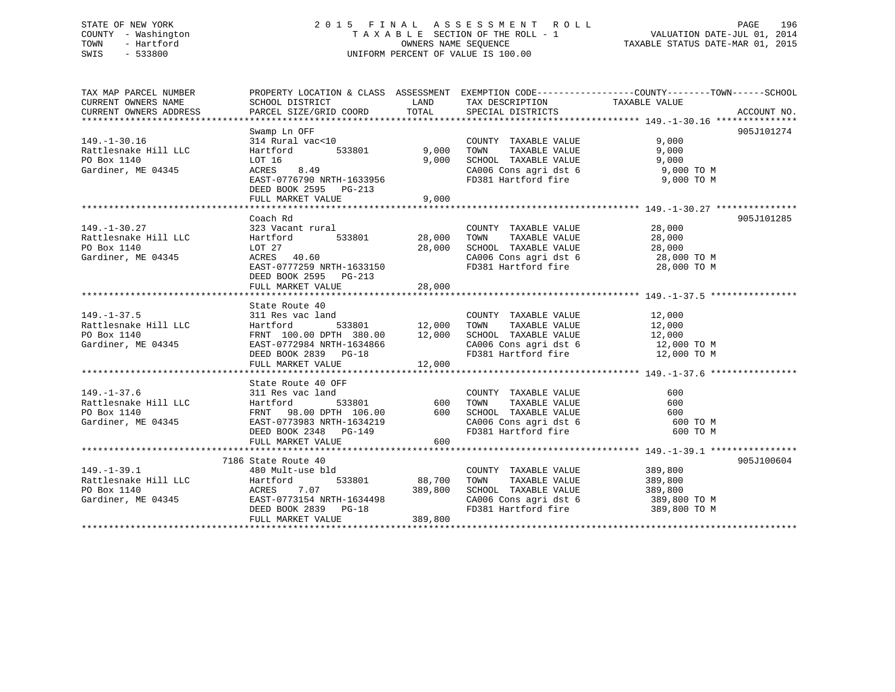# STATE OF NEW YORK 2 0 1 5 F I N A L A S S E S S M E N T R O L L PAGE 196 COUNTY - Washington T A X A B L E SECTION OF THE ROLL - 1 VALUATION DATE-JUL 01, 2014 TOWN - Hartford **TAXABLE STATUS DATE-MAR 01, 2015** OWNERS NAME SEQUENCE TAXABLE STATUS DATE-MAR 01, 2015 SWIS - 533800 UNIFORM PERCENT OF VALUE IS 100.00

| TAX MAP PARCEL NUMBER | PROPERTY LOCATION & CLASS ASSESSMENT EXEMPTION CODE---------------COUNTY-------TOWN-----SCHOOL                                                                                                                                                       |                    |                                                                                                                                                                                                                                                                                 |                       |            |
|-----------------------|------------------------------------------------------------------------------------------------------------------------------------------------------------------------------------------------------------------------------------------------------|--------------------|---------------------------------------------------------------------------------------------------------------------------------------------------------------------------------------------------------------------------------------------------------------------------------|-----------------------|------------|
| CURRENT OWNERS NAME   | SCHOOL DISTRICT                                                                                                                                                                                                                                      |                    | LAND TAX DESCRIPTION TAXABLE VALUE                                                                                                                                                                                                                                              |                       |            |
|                       |                                                                                                                                                                                                                                                      |                    |                                                                                                                                                                                                                                                                                 |                       |            |
|                       |                                                                                                                                                                                                                                                      |                    |                                                                                                                                                                                                                                                                                 |                       |            |
|                       | Swamp Ln OFF                                                                                                                                                                                                                                         |                    |                                                                                                                                                                                                                                                                                 |                       | 905J101274 |
| $149. - 1 - 30.16$    | 314 Rural vac<10                                                                                                                                                                                                                                     |                    | $\begin{tabular}{lllllllllll} \multicolumn{2}{c}{\textbf{COUNTY}} & \textbf{TXABLE VALUE} & & & & 9,000 \\ \multicolumn{2}{c}{\textbf{TOWN}} & \textbf{TXABLE VALUE} & & & & 9,000 \\ \multicolumn{2}{c}{\textbf{TOWN}} & \textbf{TXABLE VALUE} & & & & 9,000 \\ \end{tabular}$ |                       |            |
| Rattlesnake Hill LLC  | Hartford                                                                                                                                                                                                                                             | 533801 9,000 TOWN  |                                                                                                                                                                                                                                                                                 |                       |            |
| PO Box 1140           | LOT 16                                                                                                                                                                                                                                               | 9,000              | SCHOOL TAXABLE VALUE 9,000                                                                                                                                                                                                                                                      |                       |            |
| Gardiner, ME 04345    |                                                                                                                                                                                                                                                      |                    |                                                                                                                                                                                                                                                                                 |                       |            |
|                       | EAST-0776790 NRTH-1633956                                                                                                                                                                                                                            |                    | CA006 Cons agri dst 6 9,000 TO M<br>FD381 Hartford fire 9,000 TO M                                                                                                                                                                                                              |                       |            |
|                       | DEED BOOK 2595 PG-213                                                                                                                                                                                                                                |                    |                                                                                                                                                                                                                                                                                 |                       |            |
|                       | FULL MARKET VALUE 9,000                                                                                                                                                                                                                              |                    |                                                                                                                                                                                                                                                                                 |                       |            |
|                       |                                                                                                                                                                                                                                                      |                    |                                                                                                                                                                                                                                                                                 |                       |            |
|                       | Coach Rd                                                                                                                                                                                                                                             |                    |                                                                                                                                                                                                                                                                                 |                       | 905J101285 |
| $149. - 1 - 30.27$    |                                                                                                                                                                                                                                                      |                    | COUNTY TAXABLE VALUE 28,000                                                                                                                                                                                                                                                     |                       |            |
| Rattlesnake Hill LLC  |                                                                                                                                                                                                                                                      |                    | TOWN                                                                                                                                                                                                                                                                            | TAXABLE VALUE 28,000  |            |
| PO Box 1140           |                                                                                                                                                                                                                                                      |                    |                                                                                                                                                                                                                                                                                 |                       |            |
| Gardiner, ME 04345    | LOT 27<br>ACRES 40.60                                                                                                                                                                                                                                | 28,000             |                                                                                                                                                                                                                                                                                 |                       |            |
|                       | EAST-0777259 NRTH-1633150                                                                                                                                                                                                                            |                    | FD381 Hartford fire 28,000 TO M                                                                                                                                                                                                                                                 |                       |            |
|                       | DEED BOOK 2595 PG-213                                                                                                                                                                                                                                |                    |                                                                                                                                                                                                                                                                                 |                       |            |
|                       | FULL MARKET VALUE                                                                                                                                                                                                                                    |                    |                                                                                                                                                                                                                                                                                 |                       |            |
|                       |                                                                                                                                                                                                                                                      | 28,000             |                                                                                                                                                                                                                                                                                 |                       |            |
|                       | State Route 40                                                                                                                                                                                                                                       |                    |                                                                                                                                                                                                                                                                                 |                       |            |
|                       |                                                                                                                                                                                                                                                      |                    |                                                                                                                                                                                                                                                                                 |                       |            |
|                       |                                                                                                                                                                                                                                                      |                    |                                                                                                                                                                                                                                                                                 |                       |            |
|                       |                                                                                                                                                                                                                                                      |                    |                                                                                                                                                                                                                                                                                 |                       |            |
|                       |                                                                                                                                                                                                                                                      |                    |                                                                                                                                                                                                                                                                                 |                       |            |
|                       |                                                                                                                                                                                                                                                      |                    |                                                                                                                                                                                                                                                                                 |                       |            |
|                       |                                                                                                                                                                                                                                                      |                    |                                                                                                                                                                                                                                                                                 |                       |            |
|                       | 149.-1-37.5<br>2000 EXTI FRAME COUNTY TAXABLE VALUE<br>219.-1-37.5<br>211 Res vac land<br>211 Res vac land<br>233801<br>22,000 TOWN TAXABLE VALUE<br>22,000<br>22,000 EXABLE VALUE<br>22,000 EXABLE VALUE<br>22,000 EXABLE VALUE<br>22,000 EXABLE VA |                    |                                                                                                                                                                                                                                                                                 |                       |            |
|                       |                                                                                                                                                                                                                                                      |                    |                                                                                                                                                                                                                                                                                 |                       |            |
| $149. - 1 - 37.6$     | State Route 40 OFF<br>311 Res vac land                                                                                                                                                                                                               |                    |                                                                                                                                                                                                                                                                                 |                       |            |
|                       |                                                                                                                                                                                                                                                      |                    | COUNTY TAXABLE VALUE                                                                                                                                                                                                                                                            | 600                   |            |
|                       |                                                                                                                                                                                                                                                      |                    |                                                                                                                                                                                                                                                                                 |                       |            |
|                       |                                                                                                                                                                                                                                                      |                    |                                                                                                                                                                                                                                                                                 |                       |            |
|                       |                                                                                                                                                                                                                                                      |                    |                                                                                                                                                                                                                                                                                 |                       |            |
|                       |                                                                                                                                                                                                                                                      |                    |                                                                                                                                                                                                                                                                                 |                       |            |
|                       | 149.-1-37.6<br>Rattlesnake Hill LLC Hartford 533801 600 TOWN TAXABLE VALUE<br>PO Box 1140 FRNT 98.00 DPTH 106.00 600 SCHOOL TAXABLE VALUE<br>Gardiner, ME 04345 EAST-0773983 NRTH-1634219 CA006 Cons agri dst 6 600 TO M<br>DEED BOOK                |                    |                                                                                                                                                                                                                                                                                 |                       |            |
|                       |                                                                                                                                                                                                                                                      |                    |                                                                                                                                                                                                                                                                                 |                       |            |
|                       | 7186 State Route 40                                                                                                                                                                                                                                  |                    | COUNTY TAXABLE VALUE 389,800                                                                                                                                                                                                                                                    |                       | 905J100604 |
| $149. - 1 - 39.1$     | 480 Mult-use bld                                                                                                                                                                                                                                     |                    |                                                                                                                                                                                                                                                                                 | TAXABLE VALUE 389,800 |            |
|                       |                                                                                                                                                                                                                                                      | 533801 88,700 TOWN |                                                                                                                                                                                                                                                                                 |                       |            |
|                       |                                                                                                                                                                                                                                                      |                    |                                                                                                                                                                                                                                                                                 |                       |            |
|                       |                                                                                                                                                                                                                                                      |                    |                                                                                                                                                                                                                                                                                 |                       |            |
|                       | 149.-1-39.1<br>Rattlesnake Hill LLC Hartford 533801 88,700<br>PO Box 1140<br>Gardiner, ME 04345<br>RASST-0773154 NRTH-1634498<br>DEED BOOK 2839 PG-18<br>PO-18<br>PO-18<br>PO-18<br>PO-18<br>PO-18<br>PO-18<br>PO-18<br>289,800                      |                    |                                                                                                                                                                                                                                                                                 |                       |            |
|                       | FULL MARKET VALUE                                                                                                                                                                                                                                    | 389,800            |                                                                                                                                                                                                                                                                                 |                       |            |
|                       |                                                                                                                                                                                                                                                      |                    |                                                                                                                                                                                                                                                                                 |                       |            |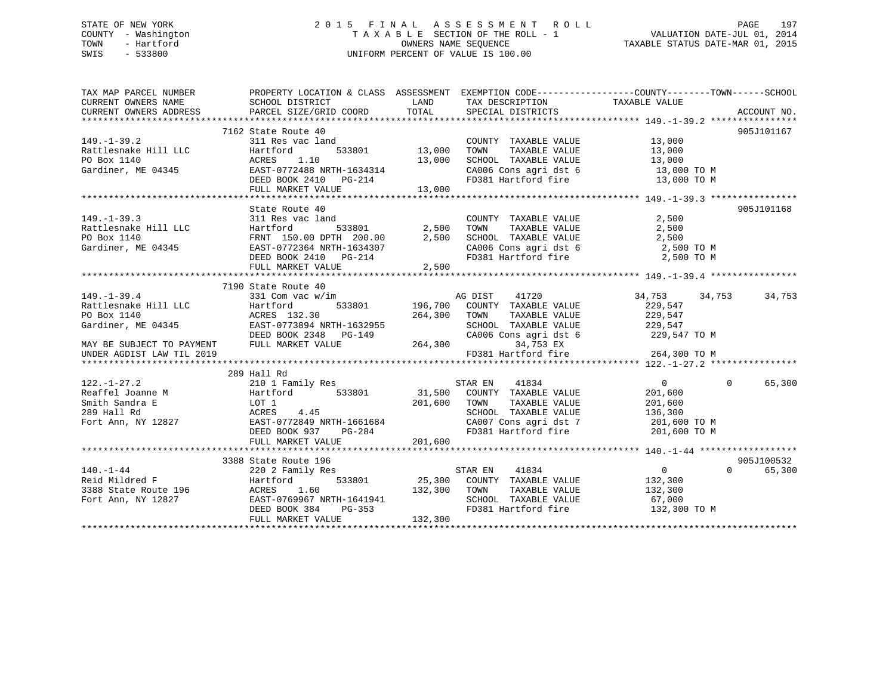# STATE OF NEW YORK 2 0 1 5 F I N A L A S S E S S M E N T R O L L PAGE 197 COUNTY - Washington T A X A B L E SECTION OF THE ROLL - 1 VALUATION DATE-JUL 01, 2014 TOWN - Hartford **TAXABLE STATUS DATE-MAR 01, 2015** OWNERS NAME SEQUENCE TAXABLE STATUS DATE-MAR 01, 2015 SWIS - 533800 UNIFORM PERCENT OF VALUE IS 100.00

| TAX MAP PARCEL NUMBER<br>CURRENT OWNERS NAME                                                                                                                                                                                                                           | PROPERTY LOCATION & CLASS ASSESSMENT EXEMPTION CODE---------------COUNTY-------TOWN------SCHOOL<br>SCHOOL DISTRICT                                                                                                                     | <b>LAND</b> | TAX DESCRIPTION TAXABLE VALUE SPECIAL DISTRICTS                                                          |                                                            |                    |
|------------------------------------------------------------------------------------------------------------------------------------------------------------------------------------------------------------------------------------------------------------------------|----------------------------------------------------------------------------------------------------------------------------------------------------------------------------------------------------------------------------------------|-------------|----------------------------------------------------------------------------------------------------------|------------------------------------------------------------|--------------------|
| CURRENT OWNERS ADDRESS                                                                                                                                                                                                                                                 | PARCEL SIZE/GRID COORD                                                                                                                                                                                                                 | TOTAL       |                                                                                                          |                                                            | ACCOUNT NO.        |
|                                                                                                                                                                                                                                                                        |                                                                                                                                                                                                                                        |             |                                                                                                          |                                                            |                    |
|                                                                                                                                                                                                                                                                        | 7162 State Route 40                                                                                                                                                                                                                    |             |                                                                                                          |                                                            | 905J101167         |
|                                                                                                                                                                                                                                                                        |                                                                                                                                                                                                                                        |             | COUNTY TAXABLE VALUE 13,000                                                                              |                                                            |                    |
|                                                                                                                                                                                                                                                                        |                                                                                                                                                                                                                                        |             | TOWN<br>TOWN TAXABLE VALUE 13,000<br>SCHOOL TAXABLE VALUE 13,000                                         |                                                            |                    |
|                                                                                                                                                                                                                                                                        |                                                                                                                                                                                                                                        |             |                                                                                                          |                                                            |                    |
|                                                                                                                                                                                                                                                                        |                                                                                                                                                                                                                                        |             | CA006 Cons agri dst 6 $13,000$ TO M                                                                      |                                                            |                    |
|                                                                                                                                                                                                                                                                        |                                                                                                                                                                                                                                        |             | FD381 Hartford fire                                                                                      | 13,000 TO M                                                |                    |
| 149.-1-39.2<br>Rattlesnake Hill LLC (Hartford 533001 13,000<br>PO Box 1140 (Gardiner, ME 04345 EAST-0772488 NRTH-1634314 DEED BOOK 2410 PG-214 13,000 13,000                                                                                                           |                                                                                                                                                                                                                                        |             |                                                                                                          |                                                            |                    |
|                                                                                                                                                                                                                                                                        |                                                                                                                                                                                                                                        |             |                                                                                                          |                                                            |                    |
|                                                                                                                                                                                                                                                                        | State Route 40                                                                                                                                                                                                                         |             |                                                                                                          |                                                            | 905J101168         |
| $149. - 1 - 39.3$                                                                                                                                                                                                                                                      |                                                                                                                                                                                                                                        |             |                                                                                                          |                                                            |                    |
| Rattlesnake Hill LLC<br>PO Box 1140                                                                                                                                                                                                                                    |                                                                                                                                                                                                                                        |             |                                                                                                          |                                                            |                    |
| Gardiner, ME 04345                                                                                                                                                                                                                                                     |                                                                                                                                                                                                                                        |             |                                                                                                          |                                                            |                    |
|                                                                                                                                                                                                                                                                        |                                                                                                                                                                                                                                        |             | CA006 Cons agri dst 6 2,500 TO M                                                                         | 2,500 TO M                                                 |                    |
|                                                                                                                                                                                                                                                                        | 311 Res vac land COUNTY TAXABLE VALUE 2,500<br>Hartford 533801 2,500 TOWN TAXABLE VALUE 2,500<br>FRNT 150.00 DPTH 200.00 2,500 SCHOOL TAXABLE VALUE 2,500<br>EAST-0772364 NRTH-1634307 CA006 Cons agri dst 6 2,500<br>DEED BOOK 2410 P |             |                                                                                                          |                                                            |                    |
|                                                                                                                                                                                                                                                                        |                                                                                                                                                                                                                                        |             |                                                                                                          |                                                            |                    |
|                                                                                                                                                                                                                                                                        | 7190 State Route 40                                                                                                                                                                                                                    |             |                                                                                                          |                                                            |                    |
| $149. - 1 - 39.4$                                                                                                                                                                                                                                                      | 331 Com vac w/im                                                                                                                                                                                                                       |             | 41720<br>AG DIST                                                                                         | 34,753<br>34,753                                           | 34,753             |
|                                                                                                                                                                                                                                                                        |                                                                                                                                                                                                                                        |             | 533801 196,700 COUNTY TAXABLE VALUE                                                                      | 229,547                                                    |                    |
|                                                                                                                                                                                                                                                                        |                                                                                                                                                                                                                                        | 264,300     | TAXABLE VALUE<br>TOWN                                                                                    | 229,547                                                    |                    |
|                                                                                                                                                                                                                                                                        |                                                                                                                                                                                                                                        |             | SCHOOL TAXABLE VALUE 229,547                                                                             |                                                            |                    |
|                                                                                                                                                                                                                                                                        |                                                                                                                                                                                                                                        |             | CA006 Cons agri dst 6 229,547 TO M                                                                       |                                                            |                    |
| FORD TRINING CONDUCTED TRINING TRINING TRINING CONTROL DEED BOOK 2348 PG-149 CA006 CONTRACT CONTRACT CALCULAR PULL MARKET VALUE                                                                                                                                        |                                                                                                                                                                                                                                        |             | 34,753 EX                                                                                                |                                                            |                    |
| UNDER AGDIST LAW TIL 2019                                                                                                                                                                                                                                              |                                                                                                                                                                                                                                        |             | FD381 Hartford fire                                                                                      | 264,300 TO M                                               |                    |
|                                                                                                                                                                                                                                                                        |                                                                                                                                                                                                                                        |             |                                                                                                          |                                                            |                    |
|                                                                                                                                                                                                                                                                        | 289 Hall Rd                                                                                                                                                                                                                            |             |                                                                                                          |                                                            |                    |
| 122.-1-27.2<br>Reaffel Joanne M<br>Smith Sandra E<br>289 Hall Rd<br>Fort Ann, NY 12827<br>289 Hall Rd<br>201.600 TOWN TAXABLE VALUE<br>201.600 TOWN TAXABLE VALUE<br>201.600 TOWN TAXABLE VALUE<br>201.600 TOWN TAXABLE VALUE<br>201.600 TOWN TAX                      |                                                                                                                                                                                                                                        |             |                                                                                                          | $\begin{array}{c}\n0 \\ 201 \end{array}$<br>$\overline{0}$ | 65,300             |
|                                                                                                                                                                                                                                                                        |                                                                                                                                                                                                                                        |             |                                                                                                          |                                                            |                    |
|                                                                                                                                                                                                                                                                        |                                                                                                                                                                                                                                        |             | TAXABLE VALUE                                                                                            | 201,600                                                    |                    |
|                                                                                                                                                                                                                                                                        |                                                                                                                                                                                                                                        |             |                                                                                                          |                                                            |                    |
|                                                                                                                                                                                                                                                                        |                                                                                                                                                                                                                                        |             | SCHOOL TAXABLE VALUE 136,300<br>CA007 Cons agri dst 7 1201,600 TO M<br>FD381 Hartford fire 1201,600 TO M |                                                            |                    |
|                                                                                                                                                                                                                                                                        | DEED BOOK 937 PG-284                                                                                                                                                                                                                   |             |                                                                                                          |                                                            |                    |
|                                                                                                                                                                                                                                                                        | FULL MARKET VALUE                                                                                                                                                                                                                      | 201,600     |                                                                                                          |                                                            |                    |
|                                                                                                                                                                                                                                                                        |                                                                                                                                                                                                                                        |             |                                                                                                          |                                                            |                    |
|                                                                                                                                                                                                                                                                        | 3388 State Route 196                                                                                                                                                                                                                   |             |                                                                                                          |                                                            | 905J100532         |
|                                                                                                                                                                                                                                                                        | State Route 196<br>220 2 Family Res                                                                                                                                                                                                    |             |                                                                                                          | $\overline{0}$                                             | $\Omega$<br>65,300 |
| 140.-1-44<br>Reid Mildred F<br>Reid Mildred F<br>3388 State Route 196<br>Fort Ann, NY 12827<br>REED BOOK 384<br>REED BOOK 384<br>PG-353<br>PG-353<br>PG-353<br>PG-353<br>PG-353<br>PG-353<br>PG-353<br>PG-353<br>PG-353<br>PG-353<br>PG-353<br>PG-353<br>PG-353<br>PG- |                                                                                                                                                                                                                                        |             |                                                                                                          |                                                            |                    |
|                                                                                                                                                                                                                                                                        |                                                                                                                                                                                                                                        |             |                                                                                                          |                                                            |                    |
|                                                                                                                                                                                                                                                                        |                                                                                                                                                                                                                                        |             |                                                                                                          |                                                            |                    |
|                                                                                                                                                                                                                                                                        |                                                                                                                                                                                                                                        |             |                                                                                                          | FD381 Hartford fire 132,300 TO M                           |                    |
|                                                                                                                                                                                                                                                                        |                                                                                                                                                                                                                                        |             |                                                                                                          |                                                            |                    |
|                                                                                                                                                                                                                                                                        |                                                                                                                                                                                                                                        |             |                                                                                                          |                                                            |                    |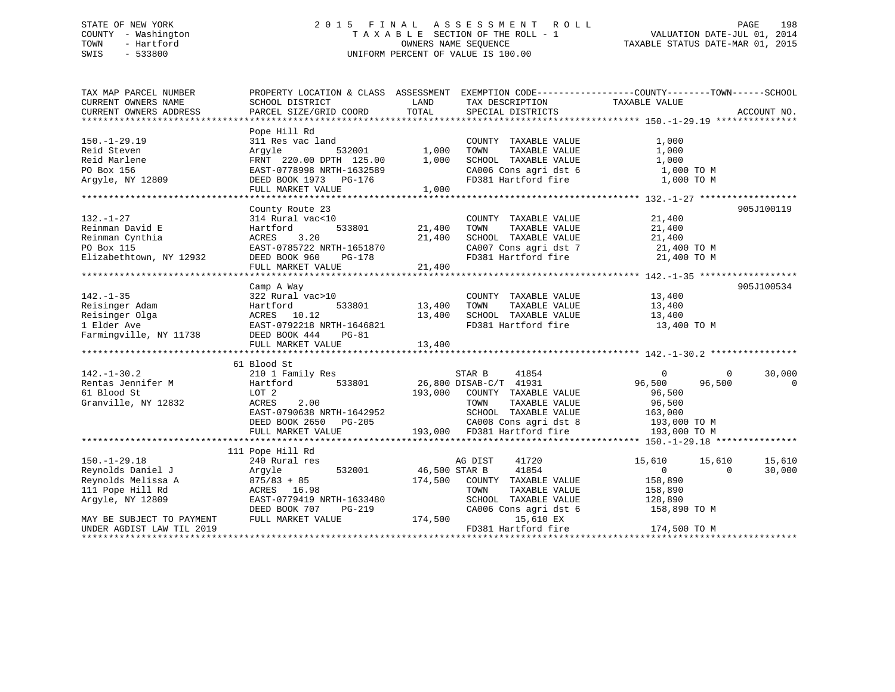# STATE OF NEW YORK 2 0 1 5 F I N A L A S S E S S M E N T R O L L PAGE 198 COUNTY - Washington T A X A B L E SECTION OF THE ROLL - 1 VALUATION DATE-JUL 01, 2014 TOWN - Hartford **TAXABLE STATUS DATE-MAR 01, 2015** OWNERS NAME SEQUENCE TAXABLE STATUS DATE-MAR 01, 2015 SWIS - 533800 UNIFORM PERCENT OF VALUE IS 100.00

| TAX MAP PARCEL NUMBER     |                               |               |                                    | PROPERTY LOCATION & CLASS ASSESSMENT EXEMPTION CODE---------------COUNTY-------TOWN------SCHOOL |             |
|---------------------------|-------------------------------|---------------|------------------------------------|-------------------------------------------------------------------------------------------------|-------------|
| CURRENT OWNERS NAME       | SCHOOL DISTRICT               | LAND          | TAX DESCRIPTION                    | TAXABLE VALUE                                                                                   |             |
| CURRENT OWNERS ADDRESS    | PARCEL SIZE/GRID COORD        | TOTAL         | SPECIAL DISTRICTS                  |                                                                                                 | ACCOUNT NO. |
|                           |                               |               |                                    |                                                                                                 |             |
|                           | Pope Hill Rd                  |               |                                    |                                                                                                 |             |
| $150. - 1 - 29.19$        | 311 Res vac land              |               | COUNTY TAXABLE VALUE               | 1,000                                                                                           |             |
| Reid Steven               | Arqyle                        | 532001 1,000  | TOWN<br>TAXABLE VALUE              | 1,000                                                                                           |             |
| Reid Marlene              | FRNT 220.00 DPTH 125.00       | 1,000         | SCHOOL TAXABLE VALUE               | 1,000                                                                                           |             |
|                           |                               |               | CA006 Cons agri dst 6              |                                                                                                 |             |
| PO Box 156                | EAST-0778998 NRTH-1632589     |               |                                    | 1,000 TO M                                                                                      |             |
| Argyle, NY 12809          | DEED BOOK 1973 PG-176         | 1,000         | FD381 Hartford fire                | 1,000 TO M                                                                                      |             |
|                           | FULL MARKET VALUE             |               |                                    |                                                                                                 |             |
|                           |                               |               |                                    |                                                                                                 |             |
|                           | County Route 23               |               |                                    |                                                                                                 | 905J100119  |
| $132. - 1 - 27$           | 314 Rural vac<10              |               | COUNTY TAXABLE VALUE               | 21,400                                                                                          |             |
| Reinman David E           | 533801<br>Hartford            | 21,400        | TOWN<br>TAXABLE VALUE              | 21,400                                                                                          |             |
| Reinman Cynthia           | 3.20<br>ACRES                 | 21,400        | SCHOOL TAXABLE VALUE               | 21,400                                                                                          |             |
| PO Box 115                | EAST-0785722 NRTH-1651870     |               | CA007 Cons agri dst 7 21,400 TO M  |                                                                                                 |             |
| Elizabethtown, NY 12932   | DEED BOOK 960<br>PG-178       |               | FD381 Hartford fire                | 21,400 TO M                                                                                     |             |
|                           | FULL MARKET VALUE             | 21,400        |                                    |                                                                                                 |             |
|                           |                               |               |                                    |                                                                                                 |             |
|                           | Camp A Way                    |               |                                    |                                                                                                 | 905J100534  |
| $142. - 1 - 35$           | 322 Rural vac>10              |               | COUNTY TAXABLE VALUE               | 13,400                                                                                          |             |
|                           |                               |               |                                    |                                                                                                 |             |
| Reisinger Adam            | 533801<br>Hartford            | 13,400        | TOWN<br>TAXABLE VALUE              | 13,400                                                                                          |             |
| Reisinger Olga            | ACRES 10.12                   | 13,400        | SCHOOL TAXABLE VALUE               | 13,400                                                                                          |             |
| 1 Elder Ave               | EAST-0792218 NRTH-1646821     |               | FD381 Hartford fire                | 13,400 TO M                                                                                     |             |
| Farmingville, NY 11738    | DEED BOOK 444<br><b>PG-81</b> |               |                                    |                                                                                                 |             |
|                           | FULL MARKET VALUE             | 13,400        |                                    |                                                                                                 |             |
|                           |                               |               |                                    |                                                                                                 |             |
|                           | 61 Blood St                   |               |                                    |                                                                                                 |             |
| $142. - 1 - 30.2$         | 210 1 Family Res              |               | STAR B<br>41854                    | $\overline{0}$<br>$\overline{0}$                                                                | 30,000      |
| Rentas Jennifer M         | 533801<br>Hartford            |               | 26,800 DISAB-C/T 41931             | 96,500<br>96,500                                                                                | $\Omega$    |
| 61 Blood St               | LOT 2                         | 193,000       | COUNTY TAXABLE VALUE               | 96,500                                                                                          |             |
| Granville, NY 12832       | 2.00<br>ACRES                 |               | TOWN<br>TAXABLE VALUE              | 96,500                                                                                          |             |
|                           | EAST-0790638 NRTH-1642952     |               | SCHOOL TAXABLE VALUE               | 163,000                                                                                         |             |
|                           | DEED BOOK 2650 PG-205         |               | CA008 Cons agri dst 8 193,000 TO M |                                                                                                 |             |
|                           | FULL MARKET VALUE             |               | 193,000 FD381 Hartford fire        | 193,000 TO M                                                                                    |             |
|                           |                               |               |                                    |                                                                                                 |             |
|                           | 111 Pope Hill Rd              |               |                                    |                                                                                                 |             |
| $150. - 1 - 29.18$        |                               |               | 41720                              |                                                                                                 |             |
|                           | 240 Rural res                 |               | AG DIST                            | 15,610<br>15,610                                                                                | 15,610      |
| Reynolds Daniel J         | 532001<br>Argyle              | 46,500 STAR B | 41854                              | $\Omega$<br>$\Omega$                                                                            | 30,000      |
| Reynolds Melissa A        | $875/83 + 85$                 | 174,500       | COUNTY TAXABLE VALUE               | 158,890                                                                                         |             |
| 111 Pope Hill Rd          | ACRES 16.98                   |               | TOWN<br>TAXABLE VALUE              | 158,890                                                                                         |             |
| Argyle, NY 12809          | EAST-0779419 NRTH-1633480     |               | SCHOOL TAXABLE VALUE               | 128,890                                                                                         |             |
|                           | DEED BOOK 707<br>PG-219       |               | CA006 Cons agri dst 6              | 158,890 TO M                                                                                    |             |
| MAY BE SUBJECT TO PAYMENT | FULL MARKET VALUE             | 174,500       | 15,610 EX                          |                                                                                                 |             |
| UNDER AGDIST LAW TIL 2019 |                               |               | FD381 Hartford fire                | 174,500 TO M                                                                                    |             |
|                           |                               |               |                                    |                                                                                                 |             |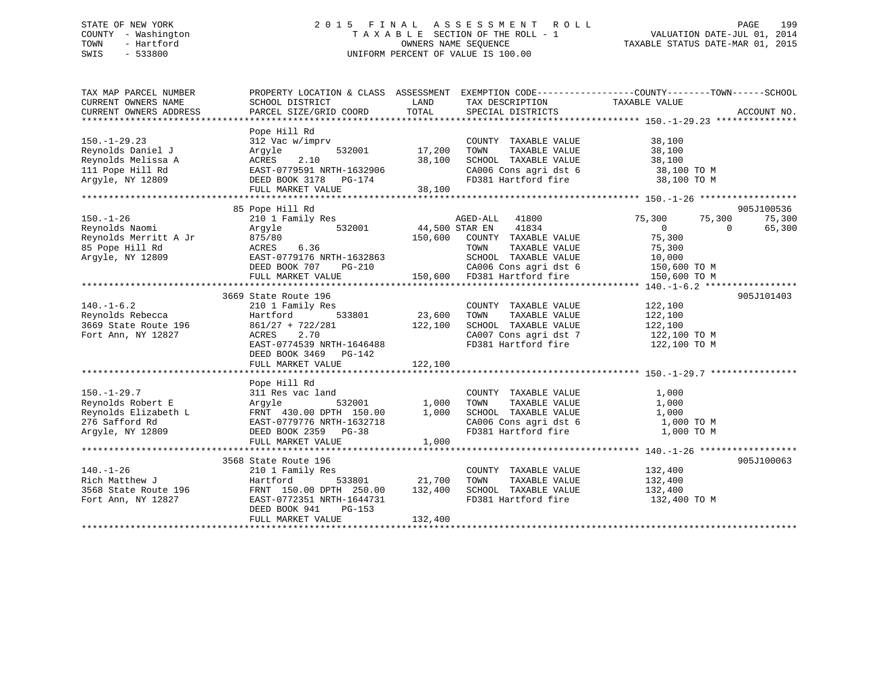# STATE OF NEW YORK 2 0 1 5 F I N A L A S S E S S M E N T R O L L PAGE 199 COUNTY - Washington T A X A B L E SECTION OF THE ROLL - 1 VALUATION DATE-JUL 01, 2014 TOWN - Hartford **TAXABLE STATUS DATE-MAR 01, 2015** OWNERS NAME SEQUENCE TAXABLE STATUS DATE-MAR 01, 2015 SWIS - 533800 UNIFORM PERCENT OF VALUE IS 100.00

| Pope Hill Rd<br>$150. - 1 - 29.23$<br>312 Vac w/imprv<br>38,100<br>COUNTY TAXABLE VALUE<br>Reynolds Daniel J<br>532001<br>17,200<br>TAXABLE VALUE<br>38,100<br>Arqyle<br>TOWN<br>2.10<br>38,100<br>Reynolds Melissa A<br>ACRES<br>SCHOOL TAXABLE VALUE<br>38,100<br>111 Pope Hill Rd<br>EAST-0779591 NRTH-1632906<br>CA006 Cons agri dst 6 38,100 TO M<br>Argyle, NY 12809<br>FD381 Hartford fire<br>38,100 TO M<br>DEED BOOK 3178 PG-174<br>FULL MARKET VALUE<br>38,100<br>905J100536<br>85 Pope Hill Rd<br>$150. - 1 - 26$<br>210 1 Family Res<br>75,300<br>75,300<br>75,300<br>AGED-ALL 41800<br>532001<br>44,500 STAR EN<br>Reynolds Naomi<br>Argyle<br>41834<br>$\overline{0}$<br>$\Omega$<br>65,300<br>75,300<br>Reynolds Merritt A Jr<br>875/80<br>150,600 COUNTY TAXABLE VALUE<br>85 Pope Hill Rd<br>6.36<br>TAXABLE VALUE<br>ACRES<br>TOWN<br>75,300<br>Argyle, NY 12809<br>EAST-0779176 NRTH-1632863<br>SCHOOL TAXABLE VALUE<br>10,000<br>150,600 TO M<br>CA006 Cons agri dst 6<br>DEED BOOK 707<br>PG-210<br>150,600 FD381 Hartford fire<br>FULL MARKET VALUE<br>150,600 TO M<br>905J101403<br>3669 State Route 196<br>$140. - 1 - 6.2$<br>122,100<br>210 1 Family Res<br>COUNTY TAXABLE VALUE<br>Reynolds Rebecca<br>Hartford<br>533801<br>23,600<br>TAXABLE VALUE<br>122,100<br>TOWN<br>$861/27 + 722/281$<br>122,100<br>3669 State Route 196<br>SCHOOL TAXABLE VALUE<br>122,100<br>CA007 Cons agri dst 7<br>Fort Ann, NY 12827<br>ACRES<br>2.70<br>122,100 TO M<br>FD381 Hartford fire<br>EAST-0774539 NRTH-1646488<br>122,100 TO M<br>DEED BOOK 3469 PG-142<br>122,100<br>FULL MARKET VALUE<br>Pope Hill Rd<br>$150. - 1 - 29.7$<br>311 Res vac land<br>COUNTY TAXABLE VALUE<br>1,000<br>Reynolds Robert E<br>532001<br>1,000<br>TAXABLE VALUE<br>1,000<br>Arqyle<br>TOWN<br>Reynolds Elizabeth L<br>FRNT 430.00 DPTH 150.00<br>1,000<br>SCHOOL TAXABLE VALUE<br>1,000<br>276 Safford Rd<br>CA006 Cons agri dst 6<br>1,000 TO M<br>EAST-0779776 NRTH-1632718<br>Argyle, NY 12809<br>FD381 Hartford fire<br>1,000 TO M<br>DEED BOOK 2359 PG-38<br>1,000<br>FULL MARKET VALUE<br>3568 State Route 196<br>905J100063<br>$140. - 1 - 26$<br>210 1 Family Res<br>COUNTY TAXABLE VALUE<br>132,400<br>Rich Matthew J<br>Hartford<br>533801 21,700<br>TOWN<br>TAXABLE VALUE<br>132,400<br>FRNT 150.00 DPTH 250.00 132,400<br>3568 State Route 196<br>SCHOOL TAXABLE VALUE<br>132,400<br>EAST-0772351 NRTH-1644731<br>FD381 Hartford fire<br>132,400 TO M<br>Fort Ann, NY 12827 | TAX MAP PARCEL NUMBER<br>CURRENT OWNERS NAME<br>CURRENT OWNERS ADDRESS | PROPERTY LOCATION & CLASS ASSESSMENT<br>SCHOOL DISTRICT<br>PARCEL SIZE/GRID COORD | LAND<br>TOTAL | EXEMPTION CODE-----------------COUNTY-------TOWN------SCHOOL<br>TAX DESCRIPTION TAXABLE VALUE<br>SPECIAL DISTRICTS | ACCOUNT NO. |
|---------------------------------------------------------------------------------------------------------------------------------------------------------------------------------------------------------------------------------------------------------------------------------------------------------------------------------------------------------------------------------------------------------------------------------------------------------------------------------------------------------------------------------------------------------------------------------------------------------------------------------------------------------------------------------------------------------------------------------------------------------------------------------------------------------------------------------------------------------------------------------------------------------------------------------------------------------------------------------------------------------------------------------------------------------------------------------------------------------------------------------------------------------------------------------------------------------------------------------------------------------------------------------------------------------------------------------------------------------------------------------------------------------------------------------------------------------------------------------------------------------------------------------------------------------------------------------------------------------------------------------------------------------------------------------------------------------------------------------------------------------------------------------------------------------------------------------------------------------------------------------------------------------------------------------------------------------------------------------------------------------------------------------------------------------------------------------------------------------------------------------------------------------------------------------------------------------------------------------------------------------------------------------------------------------------------------------------------------------------------------------------------------------------------------------------------------------------------------------------|------------------------------------------------------------------------|-----------------------------------------------------------------------------------|---------------|--------------------------------------------------------------------------------------------------------------------|-------------|
|                                                                                                                                                                                                                                                                                                                                                                                                                                                                                                                                                                                                                                                                                                                                                                                                                                                                                                                                                                                                                                                                                                                                                                                                                                                                                                                                                                                                                                                                                                                                                                                                                                                                                                                                                                                                                                                                                                                                                                                                                                                                                                                                                                                                                                                                                                                                                                                                                                                                                       |                                                                        |                                                                                   |               |                                                                                                                    |             |
|                                                                                                                                                                                                                                                                                                                                                                                                                                                                                                                                                                                                                                                                                                                                                                                                                                                                                                                                                                                                                                                                                                                                                                                                                                                                                                                                                                                                                                                                                                                                                                                                                                                                                                                                                                                                                                                                                                                                                                                                                                                                                                                                                                                                                                                                                                                                                                                                                                                                                       |                                                                        |                                                                                   |               |                                                                                                                    |             |
|                                                                                                                                                                                                                                                                                                                                                                                                                                                                                                                                                                                                                                                                                                                                                                                                                                                                                                                                                                                                                                                                                                                                                                                                                                                                                                                                                                                                                                                                                                                                                                                                                                                                                                                                                                                                                                                                                                                                                                                                                                                                                                                                                                                                                                                                                                                                                                                                                                                                                       |                                                                        |                                                                                   |               |                                                                                                                    |             |
|                                                                                                                                                                                                                                                                                                                                                                                                                                                                                                                                                                                                                                                                                                                                                                                                                                                                                                                                                                                                                                                                                                                                                                                                                                                                                                                                                                                                                                                                                                                                                                                                                                                                                                                                                                                                                                                                                                                                                                                                                                                                                                                                                                                                                                                                                                                                                                                                                                                                                       |                                                                        |                                                                                   |               |                                                                                                                    |             |
|                                                                                                                                                                                                                                                                                                                                                                                                                                                                                                                                                                                                                                                                                                                                                                                                                                                                                                                                                                                                                                                                                                                                                                                                                                                                                                                                                                                                                                                                                                                                                                                                                                                                                                                                                                                                                                                                                                                                                                                                                                                                                                                                                                                                                                                                                                                                                                                                                                                                                       |                                                                        |                                                                                   |               |                                                                                                                    |             |
|                                                                                                                                                                                                                                                                                                                                                                                                                                                                                                                                                                                                                                                                                                                                                                                                                                                                                                                                                                                                                                                                                                                                                                                                                                                                                                                                                                                                                                                                                                                                                                                                                                                                                                                                                                                                                                                                                                                                                                                                                                                                                                                                                                                                                                                                                                                                                                                                                                                                                       |                                                                        |                                                                                   |               |                                                                                                                    |             |
|                                                                                                                                                                                                                                                                                                                                                                                                                                                                                                                                                                                                                                                                                                                                                                                                                                                                                                                                                                                                                                                                                                                                                                                                                                                                                                                                                                                                                                                                                                                                                                                                                                                                                                                                                                                                                                                                                                                                                                                                                                                                                                                                                                                                                                                                                                                                                                                                                                                                                       |                                                                        |                                                                                   |               |                                                                                                                    |             |
|                                                                                                                                                                                                                                                                                                                                                                                                                                                                                                                                                                                                                                                                                                                                                                                                                                                                                                                                                                                                                                                                                                                                                                                                                                                                                                                                                                                                                                                                                                                                                                                                                                                                                                                                                                                                                                                                                                                                                                                                                                                                                                                                                                                                                                                                                                                                                                                                                                                                                       |                                                                        |                                                                                   |               |                                                                                                                    |             |
|                                                                                                                                                                                                                                                                                                                                                                                                                                                                                                                                                                                                                                                                                                                                                                                                                                                                                                                                                                                                                                                                                                                                                                                                                                                                                                                                                                                                                                                                                                                                                                                                                                                                                                                                                                                                                                                                                                                                                                                                                                                                                                                                                                                                                                                                                                                                                                                                                                                                                       |                                                                        |                                                                                   |               |                                                                                                                    |             |
|                                                                                                                                                                                                                                                                                                                                                                                                                                                                                                                                                                                                                                                                                                                                                                                                                                                                                                                                                                                                                                                                                                                                                                                                                                                                                                                                                                                                                                                                                                                                                                                                                                                                                                                                                                                                                                                                                                                                                                                                                                                                                                                                                                                                                                                                                                                                                                                                                                                                                       |                                                                        |                                                                                   |               |                                                                                                                    |             |
|                                                                                                                                                                                                                                                                                                                                                                                                                                                                                                                                                                                                                                                                                                                                                                                                                                                                                                                                                                                                                                                                                                                                                                                                                                                                                                                                                                                                                                                                                                                                                                                                                                                                                                                                                                                                                                                                                                                                                                                                                                                                                                                                                                                                                                                                                                                                                                                                                                                                                       |                                                                        |                                                                                   |               |                                                                                                                    |             |
|                                                                                                                                                                                                                                                                                                                                                                                                                                                                                                                                                                                                                                                                                                                                                                                                                                                                                                                                                                                                                                                                                                                                                                                                                                                                                                                                                                                                                                                                                                                                                                                                                                                                                                                                                                                                                                                                                                                                                                                                                                                                                                                                                                                                                                                                                                                                                                                                                                                                                       |                                                                        |                                                                                   |               |                                                                                                                    |             |
|                                                                                                                                                                                                                                                                                                                                                                                                                                                                                                                                                                                                                                                                                                                                                                                                                                                                                                                                                                                                                                                                                                                                                                                                                                                                                                                                                                                                                                                                                                                                                                                                                                                                                                                                                                                                                                                                                                                                                                                                                                                                                                                                                                                                                                                                                                                                                                                                                                                                                       |                                                                        |                                                                                   |               |                                                                                                                    |             |
|                                                                                                                                                                                                                                                                                                                                                                                                                                                                                                                                                                                                                                                                                                                                                                                                                                                                                                                                                                                                                                                                                                                                                                                                                                                                                                                                                                                                                                                                                                                                                                                                                                                                                                                                                                                                                                                                                                                                                                                                                                                                                                                                                                                                                                                                                                                                                                                                                                                                                       |                                                                        |                                                                                   |               |                                                                                                                    |             |
|                                                                                                                                                                                                                                                                                                                                                                                                                                                                                                                                                                                                                                                                                                                                                                                                                                                                                                                                                                                                                                                                                                                                                                                                                                                                                                                                                                                                                                                                                                                                                                                                                                                                                                                                                                                                                                                                                                                                                                                                                                                                                                                                                                                                                                                                                                                                                                                                                                                                                       |                                                                        |                                                                                   |               |                                                                                                                    |             |
|                                                                                                                                                                                                                                                                                                                                                                                                                                                                                                                                                                                                                                                                                                                                                                                                                                                                                                                                                                                                                                                                                                                                                                                                                                                                                                                                                                                                                                                                                                                                                                                                                                                                                                                                                                                                                                                                                                                                                                                                                                                                                                                                                                                                                                                                                                                                                                                                                                                                                       |                                                                        |                                                                                   |               |                                                                                                                    |             |
|                                                                                                                                                                                                                                                                                                                                                                                                                                                                                                                                                                                                                                                                                                                                                                                                                                                                                                                                                                                                                                                                                                                                                                                                                                                                                                                                                                                                                                                                                                                                                                                                                                                                                                                                                                                                                                                                                                                                                                                                                                                                                                                                                                                                                                                                                                                                                                                                                                                                                       |                                                                        |                                                                                   |               |                                                                                                                    |             |
|                                                                                                                                                                                                                                                                                                                                                                                                                                                                                                                                                                                                                                                                                                                                                                                                                                                                                                                                                                                                                                                                                                                                                                                                                                                                                                                                                                                                                                                                                                                                                                                                                                                                                                                                                                                                                                                                                                                                                                                                                                                                                                                                                                                                                                                                                                                                                                                                                                                                                       |                                                                        |                                                                                   |               |                                                                                                                    |             |
|                                                                                                                                                                                                                                                                                                                                                                                                                                                                                                                                                                                                                                                                                                                                                                                                                                                                                                                                                                                                                                                                                                                                                                                                                                                                                                                                                                                                                                                                                                                                                                                                                                                                                                                                                                                                                                                                                                                                                                                                                                                                                                                                                                                                                                                                                                                                                                                                                                                                                       |                                                                        |                                                                                   |               |                                                                                                                    |             |
|                                                                                                                                                                                                                                                                                                                                                                                                                                                                                                                                                                                                                                                                                                                                                                                                                                                                                                                                                                                                                                                                                                                                                                                                                                                                                                                                                                                                                                                                                                                                                                                                                                                                                                                                                                                                                                                                                                                                                                                                                                                                                                                                                                                                                                                                                                                                                                                                                                                                                       |                                                                        |                                                                                   |               |                                                                                                                    |             |
|                                                                                                                                                                                                                                                                                                                                                                                                                                                                                                                                                                                                                                                                                                                                                                                                                                                                                                                                                                                                                                                                                                                                                                                                                                                                                                                                                                                                                                                                                                                                                                                                                                                                                                                                                                                                                                                                                                                                                                                                                                                                                                                                                                                                                                                                                                                                                                                                                                                                                       |                                                                        |                                                                                   |               |                                                                                                                    |             |
|                                                                                                                                                                                                                                                                                                                                                                                                                                                                                                                                                                                                                                                                                                                                                                                                                                                                                                                                                                                                                                                                                                                                                                                                                                                                                                                                                                                                                                                                                                                                                                                                                                                                                                                                                                                                                                                                                                                                                                                                                                                                                                                                                                                                                                                                                                                                                                                                                                                                                       |                                                                        |                                                                                   |               |                                                                                                                    |             |
|                                                                                                                                                                                                                                                                                                                                                                                                                                                                                                                                                                                                                                                                                                                                                                                                                                                                                                                                                                                                                                                                                                                                                                                                                                                                                                                                                                                                                                                                                                                                                                                                                                                                                                                                                                                                                                                                                                                                                                                                                                                                                                                                                                                                                                                                                                                                                                                                                                                                                       |                                                                        |                                                                                   |               |                                                                                                                    |             |
|                                                                                                                                                                                                                                                                                                                                                                                                                                                                                                                                                                                                                                                                                                                                                                                                                                                                                                                                                                                                                                                                                                                                                                                                                                                                                                                                                                                                                                                                                                                                                                                                                                                                                                                                                                                                                                                                                                                                                                                                                                                                                                                                                                                                                                                                                                                                                                                                                                                                                       |                                                                        |                                                                                   |               |                                                                                                                    |             |
|                                                                                                                                                                                                                                                                                                                                                                                                                                                                                                                                                                                                                                                                                                                                                                                                                                                                                                                                                                                                                                                                                                                                                                                                                                                                                                                                                                                                                                                                                                                                                                                                                                                                                                                                                                                                                                                                                                                                                                                                                                                                                                                                                                                                                                                                                                                                                                                                                                                                                       |                                                                        |                                                                                   |               |                                                                                                                    |             |
|                                                                                                                                                                                                                                                                                                                                                                                                                                                                                                                                                                                                                                                                                                                                                                                                                                                                                                                                                                                                                                                                                                                                                                                                                                                                                                                                                                                                                                                                                                                                                                                                                                                                                                                                                                                                                                                                                                                                                                                                                                                                                                                                                                                                                                                                                                                                                                                                                                                                                       |                                                                        |                                                                                   |               |                                                                                                                    |             |
|                                                                                                                                                                                                                                                                                                                                                                                                                                                                                                                                                                                                                                                                                                                                                                                                                                                                                                                                                                                                                                                                                                                                                                                                                                                                                                                                                                                                                                                                                                                                                                                                                                                                                                                                                                                                                                                                                                                                                                                                                                                                                                                                                                                                                                                                                                                                                                                                                                                                                       |                                                                        |                                                                                   |               |                                                                                                                    |             |
|                                                                                                                                                                                                                                                                                                                                                                                                                                                                                                                                                                                                                                                                                                                                                                                                                                                                                                                                                                                                                                                                                                                                                                                                                                                                                                                                                                                                                                                                                                                                                                                                                                                                                                                                                                                                                                                                                                                                                                                                                                                                                                                                                                                                                                                                                                                                                                                                                                                                                       |                                                                        |                                                                                   |               |                                                                                                                    |             |
|                                                                                                                                                                                                                                                                                                                                                                                                                                                                                                                                                                                                                                                                                                                                                                                                                                                                                                                                                                                                                                                                                                                                                                                                                                                                                                                                                                                                                                                                                                                                                                                                                                                                                                                                                                                                                                                                                                                                                                                                                                                                                                                                                                                                                                                                                                                                                                                                                                                                                       |                                                                        |                                                                                   |               |                                                                                                                    |             |
|                                                                                                                                                                                                                                                                                                                                                                                                                                                                                                                                                                                                                                                                                                                                                                                                                                                                                                                                                                                                                                                                                                                                                                                                                                                                                                                                                                                                                                                                                                                                                                                                                                                                                                                                                                                                                                                                                                                                                                                                                                                                                                                                                                                                                                                                                                                                                                                                                                                                                       |                                                                        |                                                                                   |               |                                                                                                                    |             |
|                                                                                                                                                                                                                                                                                                                                                                                                                                                                                                                                                                                                                                                                                                                                                                                                                                                                                                                                                                                                                                                                                                                                                                                                                                                                                                                                                                                                                                                                                                                                                                                                                                                                                                                                                                                                                                                                                                                                                                                                                                                                                                                                                                                                                                                                                                                                                                                                                                                                                       |                                                                        |                                                                                   |               |                                                                                                                    |             |
|                                                                                                                                                                                                                                                                                                                                                                                                                                                                                                                                                                                                                                                                                                                                                                                                                                                                                                                                                                                                                                                                                                                                                                                                                                                                                                                                                                                                                                                                                                                                                                                                                                                                                                                                                                                                                                                                                                                                                                                                                                                                                                                                                                                                                                                                                                                                                                                                                                                                                       |                                                                        |                                                                                   |               |                                                                                                                    |             |
|                                                                                                                                                                                                                                                                                                                                                                                                                                                                                                                                                                                                                                                                                                                                                                                                                                                                                                                                                                                                                                                                                                                                                                                                                                                                                                                                                                                                                                                                                                                                                                                                                                                                                                                                                                                                                                                                                                                                                                                                                                                                                                                                                                                                                                                                                                                                                                                                                                                                                       |                                                                        |                                                                                   |               |                                                                                                                    |             |
|                                                                                                                                                                                                                                                                                                                                                                                                                                                                                                                                                                                                                                                                                                                                                                                                                                                                                                                                                                                                                                                                                                                                                                                                                                                                                                                                                                                                                                                                                                                                                                                                                                                                                                                                                                                                                                                                                                                                                                                                                                                                                                                                                                                                                                                                                                                                                                                                                                                                                       |                                                                        |                                                                                   |               |                                                                                                                    |             |
|                                                                                                                                                                                                                                                                                                                                                                                                                                                                                                                                                                                                                                                                                                                                                                                                                                                                                                                                                                                                                                                                                                                                                                                                                                                                                                                                                                                                                                                                                                                                                                                                                                                                                                                                                                                                                                                                                                                                                                                                                                                                                                                                                                                                                                                                                                                                                                                                                                                                                       |                                                                        |                                                                                   |               |                                                                                                                    |             |
|                                                                                                                                                                                                                                                                                                                                                                                                                                                                                                                                                                                                                                                                                                                                                                                                                                                                                                                                                                                                                                                                                                                                                                                                                                                                                                                                                                                                                                                                                                                                                                                                                                                                                                                                                                                                                                                                                                                                                                                                                                                                                                                                                                                                                                                                                                                                                                                                                                                                                       |                                                                        |                                                                                   |               |                                                                                                                    |             |
|                                                                                                                                                                                                                                                                                                                                                                                                                                                                                                                                                                                                                                                                                                                                                                                                                                                                                                                                                                                                                                                                                                                                                                                                                                                                                                                                                                                                                                                                                                                                                                                                                                                                                                                                                                                                                                                                                                                                                                                                                                                                                                                                                                                                                                                                                                                                                                                                                                                                                       |                                                                        |                                                                                   |               |                                                                                                                    |             |
|                                                                                                                                                                                                                                                                                                                                                                                                                                                                                                                                                                                                                                                                                                                                                                                                                                                                                                                                                                                                                                                                                                                                                                                                                                                                                                                                                                                                                                                                                                                                                                                                                                                                                                                                                                                                                                                                                                                                                                                                                                                                                                                                                                                                                                                                                                                                                                                                                                                                                       |                                                                        |                                                                                   |               |                                                                                                                    |             |
|                                                                                                                                                                                                                                                                                                                                                                                                                                                                                                                                                                                                                                                                                                                                                                                                                                                                                                                                                                                                                                                                                                                                                                                                                                                                                                                                                                                                                                                                                                                                                                                                                                                                                                                                                                                                                                                                                                                                                                                                                                                                                                                                                                                                                                                                                                                                                                                                                                                                                       |                                                                        |                                                                                   |               |                                                                                                                    |             |
|                                                                                                                                                                                                                                                                                                                                                                                                                                                                                                                                                                                                                                                                                                                                                                                                                                                                                                                                                                                                                                                                                                                                                                                                                                                                                                                                                                                                                                                                                                                                                                                                                                                                                                                                                                                                                                                                                                                                                                                                                                                                                                                                                                                                                                                                                                                                                                                                                                                                                       |                                                                        |                                                                                   |               |                                                                                                                    |             |
| DEED BOOK 941<br>PG-153                                                                                                                                                                                                                                                                                                                                                                                                                                                                                                                                                                                                                                                                                                                                                                                                                                                                                                                                                                                                                                                                                                                                                                                                                                                                                                                                                                                                                                                                                                                                                                                                                                                                                                                                                                                                                                                                                                                                                                                                                                                                                                                                                                                                                                                                                                                                                                                                                                                               |                                                                        |                                                                                   |               |                                                                                                                    |             |
| 132,400<br>FULL MARKET VALUE                                                                                                                                                                                                                                                                                                                                                                                                                                                                                                                                                                                                                                                                                                                                                                                                                                                                                                                                                                                                                                                                                                                                                                                                                                                                                                                                                                                                                                                                                                                                                                                                                                                                                                                                                                                                                                                                                                                                                                                                                                                                                                                                                                                                                                                                                                                                                                                                                                                          |                                                                        |                                                                                   |               |                                                                                                                    |             |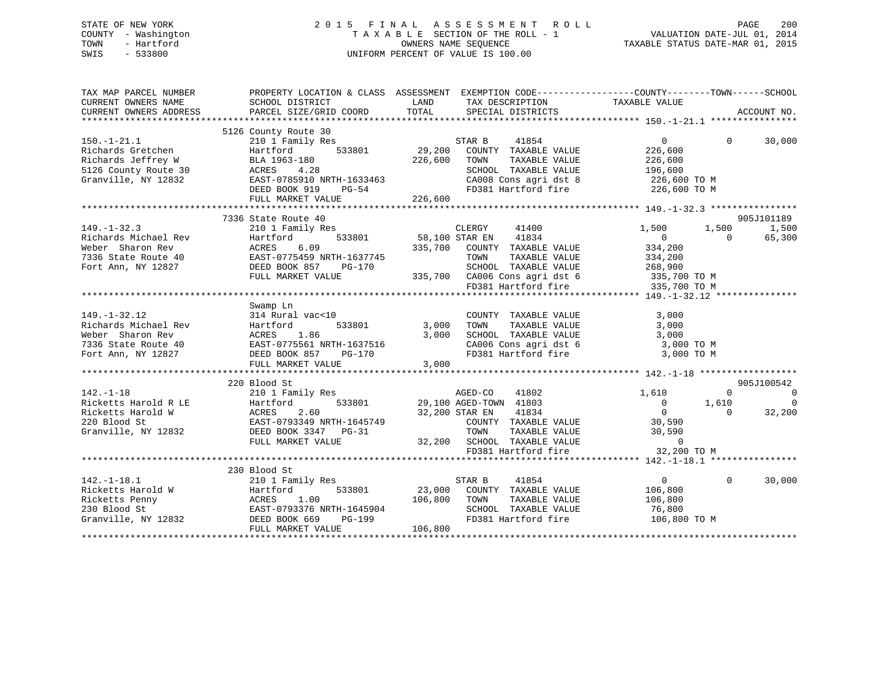# STATE OF NEW YORK 2 0 1 5 F I N A L A S S E S S M E N T R O L L PAGE 200 COUNTY - Washington T A X A B L E SECTION OF THE ROLL - 1 VALUATION DATE-JUL 01, 2014 TOWN - Hartford OWNERS NAME SEQUENCE TAXABLE STATUS DATE-MAR 01, 2015 SWIS - 533800 UNIFORM PERCENT OF VALUE IS 100.00

| 5126 County Route 30<br>$150. - 1 - 21.1$<br>210 1 Family Res<br>STAR B<br>41854<br>$\overline{0}$<br>$\Omega$<br>29,200<br>533801<br>Richards Gretchen<br>Hartford<br>COUNTY TAXABLE VALUE<br>226,600<br>226,600<br>Richards Jeffrey W<br>BLA 1963-180<br>TAXABLE VALUE<br>TOWN<br>226,600<br>5126 County Route 30<br>SCHOOL TAXABLE VALUE<br>ACRES<br>4.28<br>196,600<br>SCHOOL TAXABLE VALUE 196,600<br>CA008 Cons agri dst 8 226,600 TO M<br>FD381 Hartford fire 226,600 TO M<br>EAST-0785910 NRTH-1633463<br>DEED BOOK 919 PG-54<br>FULL MARKET VALUE<br>Granville, NY 12832<br>905J101189<br>7336 State Route 40<br>$149. - 1 - 32.3$<br>210 1 Family Res<br>CLERGY<br>41400<br>1,500<br>1,500<br>533801 58,100 STAR EN 41834<br>Richards Michael Rev<br>Hartford 533801<br>ACRES 6.09<br>EAST-0775459 NRTH-1637745<br>DEED BOOK 857 PG-170<br>THE BOOK 857 PG-170<br>$\overline{0}$<br>$\Omega$<br>Weber Sharon Rev<br>335,700 COUNTY TAXABLE VALUE<br>334,200<br>7336 State Route 40<br>TOWN<br>TAXABLE VALUE<br>334,200<br>Fort Ann, NY 12827 | ACCOUNT NO.          |
|--------------------------------------------------------------------------------------------------------------------------------------------------------------------------------------------------------------------------------------------------------------------------------------------------------------------------------------------------------------------------------------------------------------------------------------------------------------------------------------------------------------------------------------------------------------------------------------------------------------------------------------------------------------------------------------------------------------------------------------------------------------------------------------------------------------------------------------------------------------------------------------------------------------------------------------------------------------------------------------------------------------------------------------------------------|----------------------|
|                                                                                                                                                                                                                                                                                                                                                                                                                                                                                                                                                                                                                                                                                                                                                                                                                                                                                                                                                                                                                                                        | 30,000               |
|                                                                                                                                                                                                                                                                                                                                                                                                                                                                                                                                                                                                                                                                                                                                                                                                                                                                                                                                                                                                                                                        |                      |
|                                                                                                                                                                                                                                                                                                                                                                                                                                                                                                                                                                                                                                                                                                                                                                                                                                                                                                                                                                                                                                                        |                      |
|                                                                                                                                                                                                                                                                                                                                                                                                                                                                                                                                                                                                                                                                                                                                                                                                                                                                                                                                                                                                                                                        |                      |
|                                                                                                                                                                                                                                                                                                                                                                                                                                                                                                                                                                                                                                                                                                                                                                                                                                                                                                                                                                                                                                                        | 1,500<br>65,300      |
|                                                                                                                                                                                                                                                                                                                                                                                                                                                                                                                                                                                                                                                                                                                                                                                                                                                                                                                                                                                                                                                        |                      |
| SCHOOL TAXABLE VALUE 268,900<br>335,700 CA006 Cons agri dst 6 335,700 TO M<br>FULL MARKET VALUE<br>FD381 Hartford fire<br>335,700 TO M                                                                                                                                                                                                                                                                                                                                                                                                                                                                                                                                                                                                                                                                                                                                                                                                                                                                                                                 |                      |
|                                                                                                                                                                                                                                                                                                                                                                                                                                                                                                                                                                                                                                                                                                                                                                                                                                                                                                                                                                                                                                                        |                      |
| Swamp Ln<br>$149. - 1 - 32.12$<br>314 Rural vac<10<br>3,000<br>COUNTY TAXABLE VALUE<br>533801 3,000<br>TAXABLE VALUE<br>TOWN<br>3,000                                                                                                                                                                                                                                                                                                                                                                                                                                                                                                                                                                                                                                                                                                                                                                                                                                                                                                                  |                      |
| 149.-1-32.12<br>Richards Michael Rev Hartford 533801<br>Richards Michael Rev Hartford 533801<br>Weber Sharon Rev ACRES 1.86<br>7336 State Route 40 EAST-0775561 NRTH-1637516<br>Fort Ann, NY 12827 DEED BOOK 857 PG-170<br>3,000<br>SCHOOL TAXABLE VALUE<br>$3,000$ TO M<br>$3,000$ TO M<br>$\begin{array}{lllllll} \texttt{CA006} & \texttt{Cons}\ \texttt{agri}\ \texttt{dst}\ \texttt{6} & \texttt{3,000}\ \texttt{TO}\ \texttt{M} & \texttt{3,000}\ \texttt{TO}\ \texttt{M} & \texttt{1,000}\ \texttt{C} & \texttt{M} & \texttt{1,000}\ \texttt{M} & \texttt{M} & \texttt{M} & \texttt{M} & \texttt{M} \end{array}$                                                                                                                                                                                                                                                                                                                                                                                                                                |                      |
| 3,000<br>FULL MARKET VALUE                                                                                                                                                                                                                                                                                                                                                                                                                                                                                                                                                                                                                                                                                                                                                                                                                                                                                                                                                                                                                             |                      |
|                                                                                                                                                                                                                                                                                                                                                                                                                                                                                                                                                                                                                                                                                                                                                                                                                                                                                                                                                                                                                                                        |                      |
| 220 Blood St<br>905J100542                                                                                                                                                                                                                                                                                                                                                                                                                                                                                                                                                                                                                                                                                                                                                                                                                                                                                                                                                                                                                             |                      |
| $142. - 1 - 18$<br>210 1 Family Res<br>AGED-CO 41802<br>1,610<br>$\Omega$<br>533801 29,100 AGED-TOWN 41803<br>1,610<br>$\begin{matrix} 0 \\ 0 \end{matrix}$                                                                                                                                                                                                                                                                                                                                                                                                                                                                                                                                                                                                                                                                                                                                                                                                                                                                                            | $\sim$ 0<br>$\Omega$ |
| Ficketts Harold R LE<br>Ricketts Harold W (ACRES 2.60<br>220 Blood St (BAST-0793349 NRTH-1645749<br>32,200 STAR EN 41834<br>$\Omega$<br>COUNTY TAXABLE VALUE 30,590<br>Granville, NY 12832<br>TOWN TAXABLE VALUE 30,590<br>32,200 SCHOOL TAXABLE VALUE 0<br>FD381 Hartford fire 32,200<br>DEED BOOK 3347 PG-31                                                                                                                                                                                                                                                                                                                                                                                                                                                                                                                                                                                                                                                                                                                                         | 32,200               |
| FULL MARKET VALUE<br>32,200 TO M                                                                                                                                                                                                                                                                                                                                                                                                                                                                                                                                                                                                                                                                                                                                                                                                                                                                                                                                                                                                                       |                      |
|                                                                                                                                                                                                                                                                                                                                                                                                                                                                                                                                                                                                                                                                                                                                                                                                                                                                                                                                                                                                                                                        |                      |
| 230 Blood St                                                                                                                                                                                                                                                                                                                                                                                                                                                                                                                                                                                                                                                                                                                                                                                                                                                                                                                                                                                                                                           |                      |
| $142. - 1 - 18.1$<br>210 1 Family Res<br>STAR B<br>41854<br>$\overline{0}$<br>$\Omega$<br>142.-1-18.1 210 1 Family Res<br>Ricketts Harold W Hartford 533801 23,000<br>Ricketts Penny ACRES 1.00 106,800<br>230 Blood St EAST-0793376 NRTH-1645904<br>Granville, NY 12832 DEED BOOK 669 PG-199<br>23,000 COUNTY TAXABLE VALUE<br>106,800<br>106,800<br>TOWN<br>TAXABLE VALUE<br>106,800<br>SCHOOL TAXABLE VALUE<br>76,800<br>FD381 Hartford fire<br>106,800 TO M                                                                                                                                                                                                                                                                                                                                                                                                                                                                                                                                                                                        | 30,000               |
| 106,800<br>FULL MARKET VALUE                                                                                                                                                                                                                                                                                                                                                                                                                                                                                                                                                                                                                                                                                                                                                                                                                                                                                                                                                                                                                           |                      |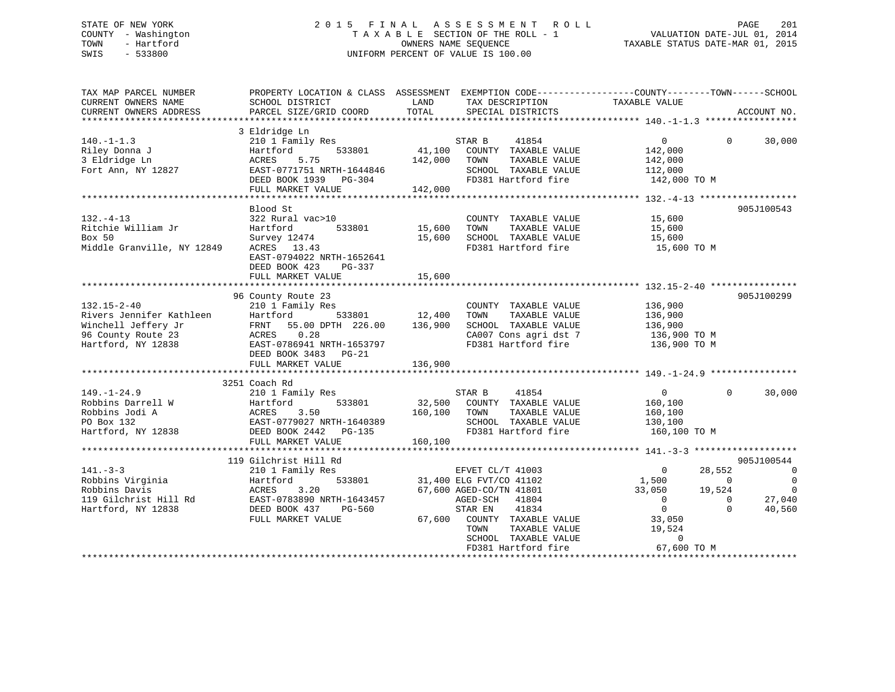# STATE OF NEW YORK 2 0 1 5 F I N A L A S S E S S M E N T R O L L PAGE 201 COUNTY - Washington T A X A B L E SECTION OF THE ROLL - 1 VALUATION DATE-JUL 01, 2014 TOWN - Hartford **TAXABLE STATUS DATE-MAR 01, 2015** OWNERS NAME SEQUENCE TAXABLE STATUS DATE-MAR 01, 2015 SWIS - 533800 UNIFORM PERCENT OF VALUE IS 100.00

| TAX MAP PARCEL NUMBER<br>CURRENT OWNERS NAME<br>CURRENT OWNERS ADDRESS                                           | PROPERTY LOCATION & CLASS ASSESSMENT EXEMPTION CODE----------------COUNTY-------TOWN------SCHOOL<br>SCHOOL DISTRICT<br>PARCEL SIZE/GRID COORD                                   | LAND<br>TOTAL            | TAX DESCRIPTION<br>SPECIAL DISTRICTS                                                                                                                                                                                       | TAXABLE VALUE                                                                                                              |                                                                  | ACCOUNT NO.                                                            |
|------------------------------------------------------------------------------------------------------------------|---------------------------------------------------------------------------------------------------------------------------------------------------------------------------------|--------------------------|----------------------------------------------------------------------------------------------------------------------------------------------------------------------------------------------------------------------------|----------------------------------------------------------------------------------------------------------------------------|------------------------------------------------------------------|------------------------------------------------------------------------|
|                                                                                                                  |                                                                                                                                                                                 |                          |                                                                                                                                                                                                                            |                                                                                                                            |                                                                  |                                                                        |
| $140. - 1 - 1.3$<br>Riley Donna J<br>3 Eldridge Ln<br>Fort Ann, NY 12827                                         | 3 Eldridge Ln<br>210 1 Family Res<br>533801<br>Hartford<br>ACRES<br>5.75<br>EAST-0771751 NRTH-1644846<br>DEED BOOK 1939 PG-304<br>FULL MARKET VALUE                             | 142,000 TOWN<br>142,000  | STAR B<br>41854<br>41,100 COUNTY TAXABLE VALUE<br>TAXABLE VALUE<br>SCHOOL TAXABLE VALUE 112,000<br>FD381 Hartford fire 142,000 TO M                                                                                        | $\overline{0}$<br>142,000<br>142,000                                                                                       | $\Omega$                                                         | 30,000                                                                 |
|                                                                                                                  |                                                                                                                                                                                 |                          |                                                                                                                                                                                                                            |                                                                                                                            |                                                                  |                                                                        |
| $132. -4 - 13$<br>Ritchie William Jr<br>Box 50<br>Middle Granville, NY 12849                                     | Blood St<br>322 Rural vac>10<br>533801<br>Hartford<br>Survey 12474<br>ACRES 13.43<br>EAST-0794022 NRTH-1652641<br>DEED BOOK 423<br>PG-337<br>FULL MARKET VALUE                  | 15,600<br>15,600         | COUNTY TAXABLE VALUE<br>TAXABLE VALUE<br>TOWN<br>15,600 SCHOOL TAXABLE VALUE<br>FD381 Hartford fire                                                                                                                        | 15,600<br>15,600<br>15,600<br>15,600 TO M                                                                                  |                                                                  | 905J100543                                                             |
|                                                                                                                  |                                                                                                                                                                                 |                          |                                                                                                                                                                                                                            |                                                                                                                            |                                                                  |                                                                        |
| $132.15 - 2 - 40$<br>Rivers Jennifer Kathleen<br>Winchell Jeffery Jr<br>96 County Route 23<br>Hartford, NY 12838 | 96 County Route 23<br>210 1 Family Res<br>Hartford<br>FRNT 55.00 DPTH 226.00 136,900<br>ACRES<br>0.28<br>EAST-0786941 NRTH-1653797<br>DEED BOOK 3483 PG-21<br>FULL MARKET VALUE | 533801 12,400<br>136,900 | COUNTY TAXABLE VALUE<br>TOWN<br>TAXABLE VALUE<br>SCHOOL TAXABLE VALUE<br>CA007 Cons agri dst 7 136,900 TO M<br>FD381 Hartford fire                                                                                         | 136,900<br>136,900<br>136,900<br>136,900 ТО М                                                                              |                                                                  | 905J100299                                                             |
|                                                                                                                  | 3251 Coach Rd                                                                                                                                                                   |                          |                                                                                                                                                                                                                            |                                                                                                                            |                                                                  |                                                                        |
| $149. - 1 - 24.9$<br>Robbins Darrell W<br>Robbins Jodi A<br>PO Box 132<br>Hartford, NY 12838                     | 210 1 Family Res<br>533801<br>Hartford<br>ACRES 3.50<br>EAST-0779027 NRTH-1640389<br>DEED BOOK 2442 PG-135                                                                      | 160,100 TOWN             | STAR B 41854<br>32,500 COUNTY TAXABLE VALUE<br>TAXABLE VALUE<br>SCHOOL TAXABLE VALUE 130,100<br>FD381 Hartford fire                                                                                                        | $\overline{0}$<br>160,100<br>160,100<br>160,100 TO M                                                                       | $\Omega$                                                         | 30,000                                                                 |
|                                                                                                                  | FULL MARKET VALUE                                                                                                                                                               | 160,100                  |                                                                                                                                                                                                                            |                                                                                                                            |                                                                  |                                                                        |
|                                                                                                                  | 119 Gilchrist Hill Rd                                                                                                                                                           |                          |                                                                                                                                                                                                                            |                                                                                                                            |                                                                  | 905J100544                                                             |
| $141. - 3 - 3$<br>Robbins Virginia<br>Robbins Davis<br>119 Gilchrist Hill Rd<br>Hartford, NY 12838               | 210 1 Family Res<br>Hartford<br>ACRES 3.20<br>EAST-0783890 NRTH-1643457<br>DEED BOOK 437<br>PG-560<br>FULL MARKET VALUE                                                         |                          | EFVET CL/T 41003<br>533801 31,400 ELG FVT/CO 41102<br>67,600 AGED-CO/TN 41801<br>AGED-SCH 41804<br>STAR EN<br>41834<br>67,600 COUNTY TAXABLE VALUE<br>TOWN<br>TAXABLE VALUE<br>SCHOOL TAXABLE VALUE<br>FD381 Hartford fire | $\overline{0}$<br>1,500<br>33,050<br>$\overline{0}$<br>$\overline{0}$<br>33,050<br>19,524<br>$\overline{0}$<br>67,600 TO M | 28,552<br>$\overline{0}$<br>19,524<br>$\overline{0}$<br>$\Omega$ | $\overline{0}$<br>$\overline{0}$<br>$\overline{0}$<br>27,040<br>40,560 |
|                                                                                                                  |                                                                                                                                                                                 |                          |                                                                                                                                                                                                                            |                                                                                                                            |                                                                  |                                                                        |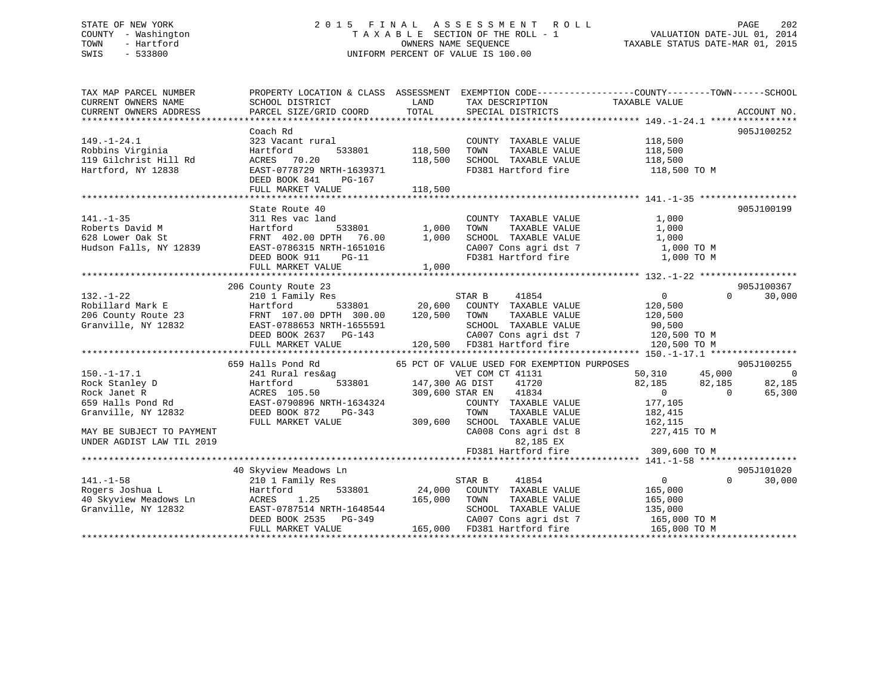# STATE OF NEW YORK 2 0 1 5 F I N A L A S S E S S M E N T R O L L PAGE 202 COUNTY - Washington T A X A B L E SECTION OF THE ROLL - 1 VALUATION DATE-JUL 01, 2014 TOWN - Hartford **TAXABLE STATUS DATE-MAR 01, 2015** OWNERS NAME SEQUENCE TAXABLE STATUS DATE-MAR 01, 2015 SWIS - 533800 UNIFORM PERCENT OF VALUE IS 100.00

| TAX MAP PARCEL NUMBER                                                                                                                                                                                                                                  | PROPERTY LOCATION & CLASS ASSESSMENT                                                                                                                      |                                                                                 |                                                                                                      | EXEMPTION CODE-----------------COUNTY-------TOWN------SCHOOL                                                                                                                                                                                                                                                                                                                                                                                                                         |                                 |
|--------------------------------------------------------------------------------------------------------------------------------------------------------------------------------------------------------------------------------------------------------|-----------------------------------------------------------------------------------------------------------------------------------------------------------|---------------------------------------------------------------------------------|------------------------------------------------------------------------------------------------------|--------------------------------------------------------------------------------------------------------------------------------------------------------------------------------------------------------------------------------------------------------------------------------------------------------------------------------------------------------------------------------------------------------------------------------------------------------------------------------------|---------------------------------|
| $149. - 1 - 24.1$<br>Robbins Virginia<br>119 Gilchrist Hill Rd<br>Hartford, NY 12838                                                                                                                                                                   | Coach Rd<br>323 Vacant rural<br>Hartford<br>533801<br>ACRES 70.20<br>EAST-0778729 NRTH-1639371                                                            | 118,500<br>118,500                                                              | COUNTY TAXABLE VALUE<br>TOWN<br>TAXABLE VALUE<br>SCHOOL TAXABLE VALUE 118,500<br>FD381 Hartford fire | 118,500<br>118,500<br>118,500 TO M                                                                                                                                                                                                                                                                                                                                                                                                                                                   | 905J100252                      |
|                                                                                                                                                                                                                                                        | DEED BOOK 841<br>PG-167<br>FULL MARKET VALUE                                                                                                              | 118,500                                                                         |                                                                                                      |                                                                                                                                                                                                                                                                                                                                                                                                                                                                                      |                                 |
|                                                                                                                                                                                                                                                        |                                                                                                                                                           |                                                                                 |                                                                                                      |                                                                                                                                                                                                                                                                                                                                                                                                                                                                                      |                                 |
| $141. - 1 - 35$<br>Roberts David M<br>628 Lower Oak St<br>Hudson Falls, NY 12839                                                                                                                                                                       | State Route 40<br>311 Res vac land<br>Hartford<br>Hartford<br>FRNT 402.00 DPTH 76.00 1,00<br>1,00<br>$PG-11$<br>DEED BOOK 911                             | 533801 1,000<br>1,000<br>$\begin{array}{cc} 1 & 0 & 0 \\ 0 & 0 & 0 \end{array}$ | COUNTY TAXABLE VALUE<br>TAXABLE VALUE<br>TOWN                                                        | 1,000<br>1,000<br>${\tt SCH OOL} \quad {\tt TAXABLE} \quad {\tt VALUE} \qquad \qquad {\tt 1,000} \quad {\tt CO7} \quad {\tt Cons} \quad {\tt get} \quad {\tt 7} \qquad \qquad {\tt 1,000} \quad {\tt TO} \quad {\tt M} \qquad \qquad {\tt 0,000} \quad {\tt 0,000} \quad {\tt 1,000} \quad {\tt 1,000} \quad {\tt 1,000} \quad {\tt 1,000} \quad {\tt 2,000} \quad {\tt 3,000} \quad {\tt 4,000} \quad {\tt 5,000} \quad {\tt 6,000} \quad {\tt 7$<br>FD381 Hartford fire 1,000 TO M | 905J100199                      |
|                                                                                                                                                                                                                                                        | FULL MARKET VALUE                                                                                                                                         | 1,000                                                                           |                                                                                                      |                                                                                                                                                                                                                                                                                                                                                                                                                                                                                      |                                 |
|                                                                                                                                                                                                                                                        |                                                                                                                                                           |                                                                                 |                                                                                                      |                                                                                                                                                                                                                                                                                                                                                                                                                                                                                      |                                 |
|                                                                                                                                                                                                                                                        | 206 County Route 23                                                                                                                                       |                                                                                 |                                                                                                      |                                                                                                                                                                                                                                                                                                                                                                                                                                                                                      | 905J100367                      |
| $132. - 1 - 22$                                                                                                                                                                                                                                        | 210 1 Family Res                                                                                                                                          |                                                                                 | STAR B<br>41854                                                                                      | $\overline{0}$                                                                                                                                                                                                                                                                                                                                                                                                                                                                       | $\Omega$<br>30,000              |
| 132.-1 22<br>Robillard Mark E<br>206 County Route 23<br>Granville, NY 12832                                                                                                                                                                            | $Hartford$ 533801 20,600 COUNTY TAXABLE VALUE<br>FRNT 107.00 DPTH 300.00 120,500 TOWN TAXABLE VALUE<br>EAST-0788653 NRTH-1655591<br>DEED BOOK 2637 PG-143 |                                                                                 |                                                                                                      | 120,500<br>120,500<br>SCHOOL TAXABLE VALUE<br>CAOOL TAXABLE VALUE 90,500<br>CAOOZ Cons agri dst 7 120,500 TO M<br>55591 SCHOOL TAXABLE VALUE 90,500<br>143 CA007 Cons agri dst 7 120,500 TO M<br>120,500 FD381 Hartford fire 120,500 TO M                                                                                                                                                                                                                                            |                                 |
|                                                                                                                                                                                                                                                        | FULL MARKET VALUE                                                                                                                                         |                                                                                 |                                                                                                      |                                                                                                                                                                                                                                                                                                                                                                                                                                                                                      |                                 |
|                                                                                                                                                                                                                                                        |                                                                                                                                                           |                                                                                 |                                                                                                      |                                                                                                                                                                                                                                                                                                                                                                                                                                                                                      |                                 |
|                                                                                                                                                                                                                                                        | 659 Halls Pond Rd                                                                                                                                         |                                                                                 | 65 PCT OF VALUE USED FOR EXEMPTION PURPOSES                                                          |                                                                                                                                                                                                                                                                                                                                                                                                                                                                                      | 905J100255                      |
|                                                                                                                                                                                                                                                        | 241 Rural res&ag                                                                                                                                          |                                                                                 | VET COM CT 41131                                                                                     | 50,310 45,000                                                                                                                                                                                                                                                                                                                                                                                                                                                                        | $\overline{0}$                  |
| 150.-1-17.1<br>Rock Stanley D                                                                                                                                                                                                                          | 533801 147,300 AG DIST                                                                                                                                    |                                                                                 | 41720                                                                                                | $82,185$ $82,185$ 0                                                                                                                                                                                                                                                                                                                                                                                                                                                                  | 82,185                          |
|                                                                                                                                                                                                                                                        |                                                                                                                                                           |                                                                                 | 309,600 STAR EN 41834                                                                                |                                                                                                                                                                                                                                                                                                                                                                                                                                                                                      | $\Omega$<br>65,300              |
|                                                                                                                                                                                                                                                        |                                                                                                                                                           |                                                                                 | COUNTY TAXABLE VALUE                                                                                 | 177,105                                                                                                                                                                                                                                                                                                                                                                                                                                                                              |                                 |
| Rock Stanley D<br>Rock Janet R<br>659 Halls Pond Rd<br>659 Halls Pond Rd<br>679 Halls Pond Rd<br>679 Halls Pond Rd<br>679 Halls Pond Rd<br>679 Halls Pond Rd<br>679 Halls Pond Rd<br>679 Halls Pond Rd<br>679 Halls Pond Rd<br>6850 Halls Pond Rd<br>6 |                                                                                                                                                           |                                                                                 | TAXABLE VALUE<br>TOWN                                                                                | 182,415                                                                                                                                                                                                                                                                                                                                                                                                                                                                              |                                 |
|                                                                                                                                                                                                                                                        | FULL MARKET VALUE                                                                                                                                         | 309,600                                                                         | SCHOOL TAXABLE VALUE                                                                                 | 162, 115                                                                                                                                                                                                                                                                                                                                                                                                                                                                             |                                 |
| MAY BE SUBJECT TO PAYMENT<br>UNDER AGDIST LAW TIL 2019                                                                                                                                                                                                 |                                                                                                                                                           |                                                                                 | CA008 Cons agri dst 8<br>82,185 EX                                                                   | 227,415 TO M                                                                                                                                                                                                                                                                                                                                                                                                                                                                         |                                 |
|                                                                                                                                                                                                                                                        |                                                                                                                                                           |                                                                                 | FD381 Hartford fire                                                                                  | 309,600 TO M                                                                                                                                                                                                                                                                                                                                                                                                                                                                         |                                 |
|                                                                                                                                                                                                                                                        |                                                                                                                                                           |                                                                                 |                                                                                                      |                                                                                                                                                                                                                                                                                                                                                                                                                                                                                      |                                 |
|                                                                                                                                                                                                                                                        | 40 Skyview Meadows Ln                                                                                                                                     |                                                                                 |                                                                                                      | $\overline{0}$                                                                                                                                                                                                                                                                                                                                                                                                                                                                       | 905J101020<br>$0 \qquad \qquad$ |
| $141. - 1 - 58$                                                                                                                                                                                                                                        | 210 1 Family Res                                                                                                                                          | 533801 24,000                                                                   | 41854<br>STAR B<br>COUNTY TAXABLE VALUE                                                              |                                                                                                                                                                                                                                                                                                                                                                                                                                                                                      | 30,000                          |
| Rogers Joshua L                                                                                                                                                                                                                                        | Hartford<br>ACRES 1.25                                                                                                                                    | 165,000                                                                         | TOWN<br>TAXABLE VALUE                                                                                | 165,000                                                                                                                                                                                                                                                                                                                                                                                                                                                                              |                                 |
| 40 Skyview Meadows Ln<br>Granville, NY 12832<br>Granville, NY 12832                                                                                                                                                                                    | EAST-0787514 NRTH-1648544                                                                                                                                 |                                                                                 | SCHOOL TAXABLE VALUE                                                                                 | 165,000<br>135,000                                                                                                                                                                                                                                                                                                                                                                                                                                                                   |                                 |
|                                                                                                                                                                                                                                                        | DEED BOOK 2535 PG-349                                                                                                                                     |                                                                                 | CA007 Cons agri dst 7                                                                                |                                                                                                                                                                                                                                                                                                                                                                                                                                                                                      |                                 |
|                                                                                                                                                                                                                                                        | FULL MARKET VALUE                                                                                                                                         |                                                                                 | 165,000 FD381 Hartford fire                                                                          | 165,000 ТО М<br>165,000 ТО М                                                                                                                                                                                                                                                                                                                                                                                                                                                         |                                 |
|                                                                                                                                                                                                                                                        |                                                                                                                                                           |                                                                                 |                                                                                                      |                                                                                                                                                                                                                                                                                                                                                                                                                                                                                      |                                 |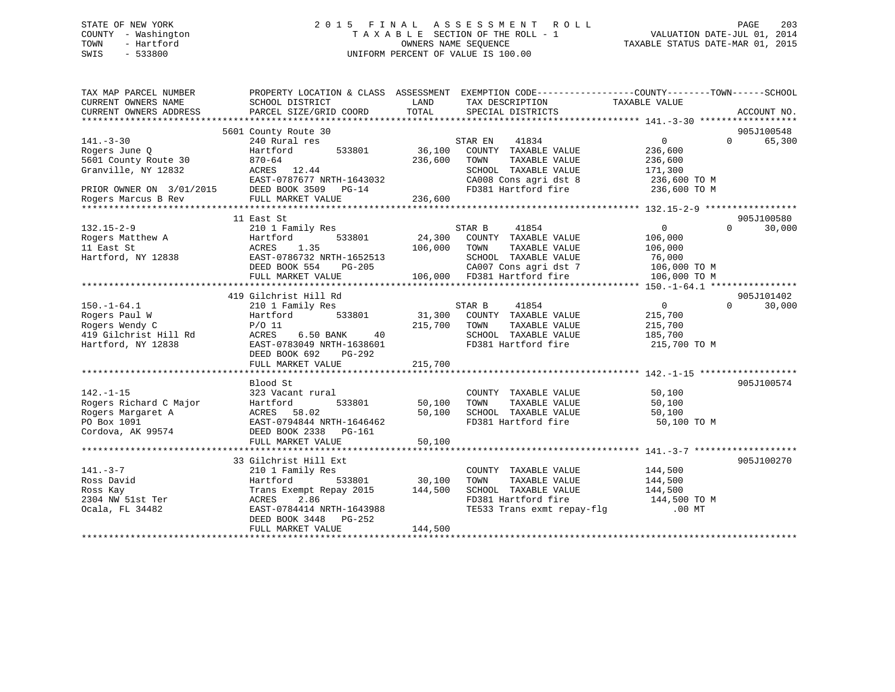# STATE OF NEW YORK 2 0 1 5 F I N A L A S S E S S M E N T R O L L PAGE 203 COUNTY - Washington T A X A B L E SECTION OF THE ROLL - 1 VALUATION DATE-JUL 01, 2014 TOWN - Hartford **TAXABLE STATUS DATE-MAR 01, 2015** OWNERS NAME SEQUENCE TAXABLE STATUS DATE-MAR 01, 2015 SWIS - 533800 UNIFORM PERCENT OF VALUE IS 100.00

| TAX MAP PARCEL NUMBER<br>CURRENT OWNERS NAME<br>CURRENT OWNERS ADDRESS | PROPERTY LOCATION & CLASS ASSESSMENT<br>SCHOOL DISTRICT<br>PARCEL SIZE/GRID COORD | LAND<br>TOTAL | TAX DESCRIPTION<br>SPECIAL DISTRICTS                 | EXEMPTION CODE----------------COUNTY-------TOWN-----SCHOOL<br>TAXABLE VALUE | ACCOUNT NO.        |
|------------------------------------------------------------------------|-----------------------------------------------------------------------------------|---------------|------------------------------------------------------|-----------------------------------------------------------------------------|--------------------|
|                                                                        |                                                                                   |               |                                                      |                                                                             |                    |
|                                                                        | 5601 County Route 30                                                              |               |                                                      |                                                                             | 905J100548         |
| $141. - 3 - 30$                                                        | 240 Rural res                                                                     |               | STAR EN<br>41834                                     | $\overline{0}$                                                              | 65,300<br>$\Omega$ |
| Rogers June Q                                                          | Hartford<br>533801                                                                | 36,100        | COUNTY TAXABLE VALUE                                 | 236,600                                                                     |                    |
| 5601 County Route 30                                                   | $870 - 64$                                                                        | 236,600       | TOWN<br>TAXABLE VALUE                                | 236,600                                                                     |                    |
| Granville, NY 12832                                                    | ACRES 12.44                                                                       |               | SCHOOL TAXABLE VALUE                                 | 171,300                                                                     |                    |
|                                                                        | EAST-0787677 NRTH-1643032                                                         |               | CA008 Cons agri dst 8                                | 236,600 TO M                                                                |                    |
| PRIOR OWNER ON 3/01/2015<br>Rogers Marcus B Rev                        | DEED BOOK 3509 PG-14                                                              |               |                                                      | FD381 Hartford fire 236,600 TO M                                            |                    |
|                                                                        | FULL MARKET VALUE                                                                 | 236,600       |                                                      |                                                                             |                    |
|                                                                        |                                                                                   |               |                                                      |                                                                             |                    |
|                                                                        | 11 East St                                                                        |               |                                                      |                                                                             | 905J100580         |
| $132.15 - 2 - 9$                                                       | 210 1 Family Res                                                                  |               | STAR B<br>41854                                      | $\overline{0}$                                                              | $\Omega$<br>30,000 |
| Rogers Matthew A                                                       | 533801<br>Hartford                                                                | 24,300        | COUNTY TAXABLE VALUE                                 | 106,000                                                                     |                    |
| 11 East St                                                             | 1.35<br>ACRES                                                                     | 106,000       | TAXABLE VALUE<br>TOWN                                | 106,000                                                                     |                    |
| Hartford, NY 12838                                                     | EAST-0786732 NRTH-1652513                                                         |               | SCHOOL TAXABLE VALUE                                 | 76,000                                                                      |                    |
|                                                                        | DEED BOOK 554<br>PG-205                                                           |               | CA007 Cons agri dst 7<br>106,000 FD381 Hartford fire | 106,000 TO M                                                                |                    |
|                                                                        | FULL MARKET VALUE                                                                 |               |                                                      | 106,000 TO M                                                                |                    |
|                                                                        |                                                                                   |               |                                                      |                                                                             |                    |
|                                                                        | 419 Gilchrist Hill Rd                                                             |               |                                                      |                                                                             | 905J101402         |
| $150. - 1 - 64.1$                                                      | 210 1 Family Res                                                                  |               | STAR B<br>41854                                      | $\overline{0}$                                                              | $\Omega$<br>30,000 |
| Rogers Paul W                                                          | 533801<br>Hartford                                                                |               | 31,300 COUNTY TAXABLE VALUE                          | 215,700                                                                     |                    |
| Rogers Wendy C                                                         | $P/O$ 11                                                                          | 215,700       | TAXABLE VALUE<br>TOWN                                | 215,700                                                                     |                    |
| 419 Gilchrist Hill Rd                                                  | ACRES<br>6.50 BANK<br>40                                                          |               | SCHOOL TAXABLE VALUE                                 | 185,700                                                                     |                    |
| Hartford, NY 12838                                                     | EAST-0783049 NRTH-1638601                                                         |               | FD381 Hartford fire                                  | 215,700 TO M                                                                |                    |
|                                                                        | DEED BOOK 692<br>PG-292                                                           |               |                                                      |                                                                             |                    |
|                                                                        | FULL MARKET VALUE                                                                 | 215,700       |                                                      |                                                                             |                    |
|                                                                        |                                                                                   |               |                                                      |                                                                             |                    |
|                                                                        | Blood St                                                                          |               |                                                      |                                                                             | 905J100574         |
| $142. - 1 - 15$                                                        | 323 Vacant rural                                                                  |               | COUNTY TAXABLE VALUE                                 | 50,100                                                                      |                    |
| Rogers Richard C Major                                                 | 533801<br>Hartford                                                                | 50,100        | TAXABLE VALUE<br>TOWN                                | 50,100                                                                      |                    |
| Rogers Margaret A                                                      | ACRES 58.02                                                                       | 50,100        | SCHOOL TAXABLE VALUE                                 | 50,100                                                                      |                    |
| PO Box 1091                                                            | EAST-0794844 NRTH-1646462                                                         |               | FD381 Hartford fire                                  | 50,100 TO M                                                                 |                    |
| Cordova, AK 99574                                                      | DEED BOOK 2338 PG-161                                                             |               |                                                      |                                                                             |                    |
|                                                                        | FULL MARKET VALUE                                                                 | 50,100        |                                                      |                                                                             |                    |
|                                                                        |                                                                                   |               |                                                      |                                                                             |                    |
|                                                                        | 33 Gilchrist Hill Ext                                                             |               |                                                      |                                                                             | 905J100270         |
| $141. - 3 - 7$                                                         | 210 1 Family Res                                                                  |               | COUNTY TAXABLE VALUE                                 | 144,500                                                                     |                    |
| Ross David                                                             | Hartford<br>533801                                                                | 30,100        | TOWN<br>TAXABLE VALUE                                | 144,500                                                                     |                    |
|                                                                        |                                                                                   | 144,500       | SCHOOL TAXABLE VALUE                                 |                                                                             |                    |
| Ross Kay<br>2304 NW 51st Ter                                           | Trans Exempt Repay 2015<br>2.86                                                   |               | FD381 Hartford fire                                  | 144,500                                                                     |                    |
|                                                                        | ACRES<br>EAST-0784414 NRTH-1643988                                                |               |                                                      | 144,500 TO M<br>$.00$ MT                                                    |                    |
| Ocala, FL 34482                                                        |                                                                                   |               | TE533 Trans exmt repay-flg                           |                                                                             |                    |
|                                                                        | DEED BOOK 3448 PG-252                                                             |               |                                                      |                                                                             |                    |
|                                                                        | FULL MARKET VALUE                                                                 | 144,500       |                                                      |                                                                             |                    |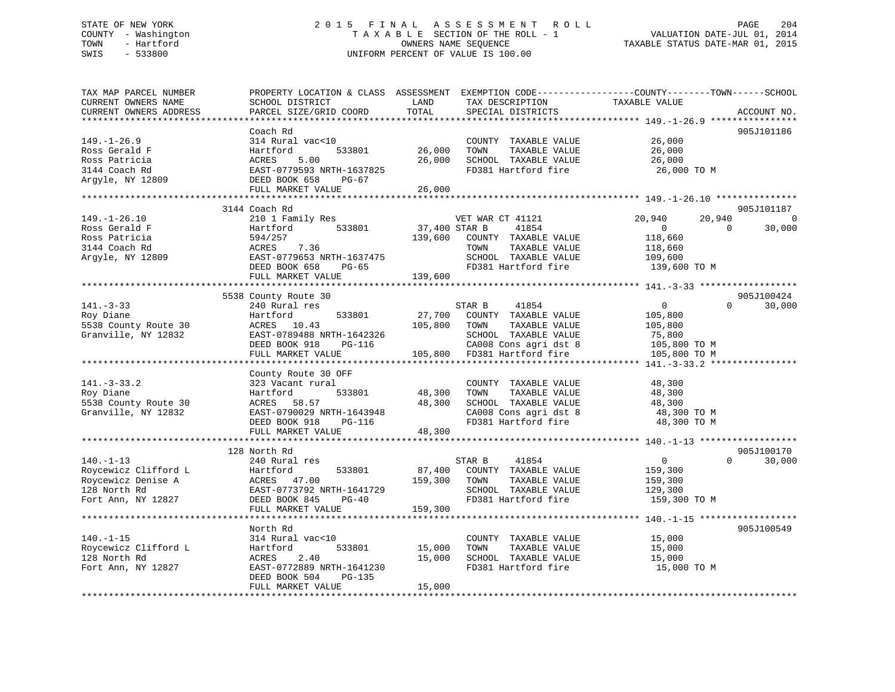# STATE OF NEW YORK 2 0 1 5 F I N A L A S S E S S M E N T R O L L PAGE 204 COUNTY - Washington T A X A B L E SECTION OF THE ROLL - 1 VALUATION DATE-JUL 01, 2014 TOWN - Hartford OWNERS NAME SEQUENCE TAXABLE STATUS DATE-MAR 01, 2015 SWIS - 533800 UNIFORM PERCENT OF VALUE IS 100.00

TAX MAP PARCEL NUMBER PROPERTY LOCATION & CLASS ASSESSMENT EXEMPTION CODE------------------COUNTY--------TOWN------SCHOOL CURRENT OWNERS NAME SCHOOL DISTRICT LAND TAX DESCRIPTION TAXABLE VALUE CURRENT OWNERS ADDRESS PARCEL SIZE/GRID COORD TOTAL SPECIAL DISTRICTS ACCOUNT NO. \*\*\*\*\*\*\*\*\*\*\*\*\*\*\*\*\*\*\*\*\*\*\*\*\*\*\*\*\*\*\*\*\*\*\*\*\*\*\*\*\*\*\*\*\*\*\*\*\*\*\*\*\*\*\*\*\*\*\*\*\*\*\*\*\*\*\*\*\*\*\*\*\*\*\*\*\*\*\*\*\*\*\*\*\*\*\*\*\*\*\*\*\*\*\*\*\*\*\*\*\*\*\* 149.-1-26.9 \*\*\*\*\*\*\*\*\*\*\*\*\*\*\*\* Coach Rd 905J101186149.-1-26.9 314 Rural vac<10 COUNTY TAXABLE VALUE 26,000 Ross Gerald F Hartford 533801 26,000 TOWN TAXABLE VALUE 26,000 Ross Patricia ACRES 5.00 26,000 SCHOOL TAXABLE VALUE 26,000 3144 Coach Rd EAST-0779593 NRTH-1637825 FD381 Hartford fire 26,000 TO M Argyle, NY 12809 DEED BOOK 658 PG-67 FULL MARKET VALUE 26,000 \*\*\*\*\*\*\*\*\*\*\*\*\*\*\*\*\*\*\*\*\*\*\*\*\*\*\*\*\*\*\*\*\*\*\*\*\*\*\*\*\*\*\*\*\*\*\*\*\*\*\*\*\*\*\*\*\*\*\*\*\*\*\*\*\*\*\*\*\*\*\*\*\*\*\*\*\*\*\*\*\*\*\*\*\*\*\*\*\*\*\*\*\*\*\*\*\*\*\*\*\*\*\* 149.-1-26.10 \*\*\*\*\*\*\*\*\*\*\*\*\*\*\*3144 Coach Rd و3144 Coach Rd<br>149.-1-26.10 20,940 2010 1 Family Res (20,940 20,940 20,940 20,940 20,940 20,940 20,940 Ross Gerald F Hartford 533801 37,400 STAR B 41854 0 0 30,000 Ross Patricia 594/257 139,600 COUNTY TAXABLE VALUE 118,660 3144 Coach Rd ACRES 7.36 TOWN TAXABLE VALUE 118,660 Argyle, NY 12809 EAST-0779653 NRTH-1637475 SCHOOL TAXABLE VALUE 109,600 DEED BOOK 658 PG-65 FD381 Hartford fire 139,600 TO M FULL MARKET VALUE 139,600 \*\*\*\*\*\*\*\*\*\*\*\*\*\*\*\*\*\*\*\*\*\*\*\*\*\*\*\*\*\*\*\*\*\*\*\*\*\*\*\*\*\*\*\*\*\*\*\*\*\*\*\*\*\*\*\*\*\*\*\*\*\*\*\*\*\*\*\*\*\*\*\*\*\*\*\*\*\*\*\*\*\*\*\*\*\*\*\*\*\*\*\*\*\*\*\*\*\*\*\*\*\*\* 141.-3-33 \*\*\*\*\*\*\*\*\*\*\*\*\*\*\*\*\*\* 5538 County Route 30 905J100424 141.-3-33 240 Rural res STAR B 41854 0 0 30,000 Roy Diane Hartford 533801 27,700 COUNTY TAXABLE VALUE 105,800 5538 County Route 30 ACRES 10.43 105,800 TOWN TAXABLE VALUE 105,800 Granville, NY 12832 EAST-0789488 NRTH-1642326 SCHOOL TAXABLE VALUE 75,800 DEED BOOK 918 PG-116 CA008 Cons agri dst 8 105,800 TO M FULL MARKET VALUE 105,800 FD381 Hartford fire 105,800 TO M \*\*\*\*\*\*\*\*\*\*\*\*\*\*\*\*\*\*\*\*\*\*\*\*\*\*\*\*\*\*\*\*\*\*\*\*\*\*\*\*\*\*\*\*\*\*\*\*\*\*\*\*\*\*\*\*\*\*\*\*\*\*\*\*\*\*\*\*\*\*\*\*\*\*\*\*\*\*\*\*\*\*\*\*\*\*\*\*\*\*\*\*\*\*\*\*\*\*\*\*\*\*\* 141.-3-33.2 \*\*\*\*\*\*\*\*\*\*\*\*\*\*\*\* County Route 30 OFF 141.-3-33.2 323 Vacant rural COUNTY TAXABLE VALUE 48,300 Roy Diane Hartford 533801 48,300 TOWN TAXABLE VALUE 48,300 5538 County Route 30 ACRES 58.57 48,300 SCHOOL TAXABLE VALUE 48,300 Granville, NY 12832 EAST-0790029 NRTH-1643948 CA008 Cons agri dst 8 48,300 TO M DEED BOOK 918 PG-116 FD381 Hartford fire 48,300 TO M EAST-0790029 NKIR-100020<br>DEED BOOK 918 PG-116 48,300 F \*\*\*\*\*\*\*\*\*\*\*\*\*\*\*\*\*\*\*\*\*\*\*\*\*\*\*\*\*\*\*\*\*\*\*\*\*\*\*\*\*\*\*\*\*\*\*\*\*\*\*\*\*\*\*\*\*\*\*\*\*\*\*\*\*\*\*\*\*\*\*\*\*\*\*\*\*\*\*\*\*\*\*\*\*\*\*\*\*\*\*\*\*\*\*\*\*\*\*\*\*\*\* 140.-1-13 \*\*\*\*\*\*\*\*\*\*\*\*\*\*\*\*\*\*905J100170 128 North Rd 905J100170 $0 \t30.000$ 140.-1-13 240 Rural res STAR B 41854 0 0 30,000 Roycewicz Clifford L Hartford 533801 87,400 COUNTY TAXABLE VALUE 159,300 Roycewicz Denise A ACRES 47.00 159,300 TOWN TAXABLE VALUE 159,300 128 North Rd EAST-0773792 NRTH-1641729 SCHOOL TAXABLE VALUE 129,300 Fort Ann, NY 12827 DEED BOOK 845 PG-40 FD381 Hartford fire 159,300 TO M FULL MARKET VALUE 159,300 \*\*\*\*\*\*\*\*\*\*\*\*\*\*\*\*\*\*\*\*\*\*\*\*\*\*\*\*\*\*\*\*\*\*\*\*\*\*\*\*\*\*\*\*\*\*\*\*\*\*\*\*\*\*\*\*\*\*\*\*\*\*\*\*\*\*\*\*\*\*\*\*\*\*\*\*\*\*\*\*\*\*\*\*\*\*\*\*\*\*\*\*\*\*\*\*\*\*\*\*\*\*\* 140.-1-15 \*\*\*\*\*\*\*\*\*\*\*\*\*\*\*\*\*\*905.T100549 North Rd 905J100549140.-1-15 314 Rural vac<10 COUNTY TAXABLE VALUE 15,000 Roycewicz Clifford L Hartford 533801 15,000 TOWN TAXABLE VALUE 15,000 128 North Rd ACRES 2.40 15,000 SCHOOL TAXABLE VALUE 15,000 Fort Ann, NY 12827 EAST-0772889 NRTH-1641230 FD381 Hartford fire 15,000 TO M DEED BOOK 504 PG-135 FULL MARKET VALUE 15,000 \*\*\*\*\*\*\*\*\*\*\*\*\*\*\*\*\*\*\*\*\*\*\*\*\*\*\*\*\*\*\*\*\*\*\*\*\*\*\*\*\*\*\*\*\*\*\*\*\*\*\*\*\*\*\*\*\*\*\*\*\*\*\*\*\*\*\*\*\*\*\*\*\*\*\*\*\*\*\*\*\*\*\*\*\*\*\*\*\*\*\*\*\*\*\*\*\*\*\*\*\*\*\*\*\*\*\*\*\*\*\*\*\*\*\*\*\*\*\*\*\*\*\*\*\*\*\*\*\*\*\*\*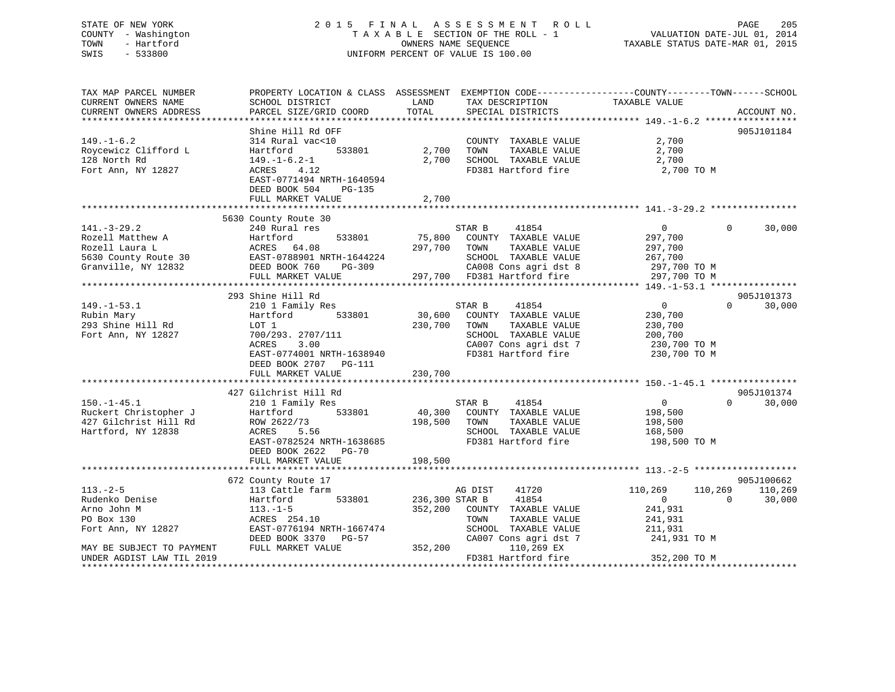# STATE OF NEW YORK 2 0 1 5 F I N A L A S S E S S M E N T R O L L PAGE 205 COUNTY - Washington T A X A B L E SECTION OF THE ROLL - 1 VALUATION DATE-JUL 01, 2014 TOWN - Hartford **TAXABLE STATUS DATE-MAR 01, 2015** OWNERS NAME SEQUENCE TAXABLE STATUS DATE-MAR 01, 2015 SWIS - 533800 UNIFORM PERCENT OF VALUE IS 100.00

| TAX MAP PARCEL NUMBER     |                                                   |                  |                             | PROPERTY LOCATION & CLASS ASSESSMENT EXEMPTION CODE---------------COUNTY-------TOWN------SCHOOL |        |
|---------------------------|---------------------------------------------------|------------------|-----------------------------|-------------------------------------------------------------------------------------------------|--------|
| CURRENT OWNERS NAME       | SCHOOL DISTRICT                                   | LAND             | TAX DESCRIPTION             | TAXABLE VALUE                                                                                   |        |
| CURRENT OWNERS ADDRESS    | PARCEL SIZE/GRID COORD                            | TOTAL            | SPECIAL DISTRICTS           | ACCOUNT NO.                                                                                     |        |
|                           |                                                   |                  |                             |                                                                                                 |        |
|                           | Shine Hill Rd OFF                                 |                  |                             | 905J101184                                                                                      |        |
| $149. - 1 - 6.2$          | 314 Rural vac<10                                  |                  | COUNTY TAXABLE VALUE        | 2,700                                                                                           |        |
| Roycewicz Clifford L      | Hartford<br>533801                                | 2,700            | TAXABLE VALUE<br>TOWN       | 2,700                                                                                           |        |
| 128 North Rd              | $149. - 1 - 6.2 - 1$                              | 2,700            | SCHOOL TAXABLE VALUE        | 2,700                                                                                           |        |
| Fort Ann, NY 12827        | 4.12<br>ACRES                                     |                  | FD381 Hartford fire         | 2,700 TO M                                                                                      |        |
|                           | EAST-0771494 NRTH-1640594                         |                  |                             |                                                                                                 |        |
|                           | DEED BOOK 504<br>PG-135                           |                  |                             |                                                                                                 |        |
|                           | FULL MARKET VALUE                                 | 2,700            |                             |                                                                                                 |        |
|                           |                                                   |                  |                             |                                                                                                 |        |
|                           | 5630 County Route 30                              |                  |                             |                                                                                                 |        |
| $141. - 3 - 29.2$         | 240 Rural res                                     |                  | STAR B<br>41854             | $\overline{0}$<br>$\Omega$                                                                      | 30,000 |
| Rozell Matthew A          | Hartford<br>533801                                | 75,800           | COUNTY TAXABLE VALUE        | 297,700                                                                                         |        |
| Rozell Laura L            | ACRES 64.08                                       | 297,700          | TOWN<br>TAXABLE VALUE       | 297,700                                                                                         |        |
| 5630 County Route 30      |                                                   |                  | SCHOOL TAXABLE VALUE        | 267,700                                                                                         |        |
| Granville, NY 12832       | EAST-0788901 NRTH-1644224<br>DEED BOOK 760 PG-309 | $\angle$ 4 $\pm$ | CA008 Cons agri dst 8       | 297,700 TO M                                                                                    |        |
|                           | FULL MARKET VALUE                                 |                  | 297,700 FD381 Hartford fire | 297,700 TO M                                                                                    |        |
|                           |                                                   |                  |                             |                                                                                                 |        |
|                           | 293 Shine Hill Rd                                 |                  |                             | 905J101373                                                                                      |        |
| $149. - 1 - 53.1$         | 210 1 Family Res                                  |                  | 41854<br>STAR B             | $\overline{0}$<br>$\Omega$                                                                      | 30,000 |
| Rubin Mary                | Hartford<br>533801                                | 30,600           | COUNTY TAXABLE VALUE        | 230,700                                                                                         |        |
|                           |                                                   |                  |                             |                                                                                                 |        |
| 293 Shine Hill Rd         | LOT 1                                             | 230,700          | TOWN<br>TAXABLE VALUE       | 230,700                                                                                         |        |
| Fort Ann, NY 12827        | 700/293. 2707/111                                 |                  | SCHOOL TAXABLE VALUE        | 200,700                                                                                         |        |
|                           | 3.00<br>ACRES                                     |                  | CA007 Cons agri dst 7       | 230,700 TO M                                                                                    |        |
|                           | EAST-0774001 NRTH-1638940                         |                  | FD381 Hartford fire         | 230,700 TO M                                                                                    |        |
|                           | DEED BOOK 2707 PG-111                             |                  |                             |                                                                                                 |        |
|                           | FULL MARKET VALUE                                 | 230,700          |                             |                                                                                                 |        |
|                           |                                                   |                  |                             |                                                                                                 |        |
|                           | 427 Gilchrist Hill Rd                             |                  |                             | 905J101374                                                                                      |        |
| $150. - 1 - 45.1$         | 210 1 Family Res                                  |                  | 41854<br>STAR B             | $\overline{0}$<br>$\Omega$                                                                      | 30,000 |
| Ruckert Christopher J     | 533801<br>Hartford                                |                  | 40,300 COUNTY TAXABLE VALUE | 198,500                                                                                         |        |
| 427 Gilchrist Hill Rd     | ROW 2622/73                                       | 198,500          | TOWN<br>TAXABLE VALUE       | 198,500                                                                                         |        |
| Hartford, NY 12838        | ACRES<br>5.56                                     |                  | SCHOOL TAXABLE VALUE        | 168,500                                                                                         |        |
|                           | EAST-0782524 NRTH-1638685                         |                  | FD381 Hartford fire         | 198,500 TO M                                                                                    |        |
|                           | DEED BOOK 2622<br><b>PG-70</b>                    |                  |                             |                                                                                                 |        |
|                           | FULL MARKET VALUE                                 | 198,500          |                             |                                                                                                 |        |
|                           |                                                   |                  |                             |                                                                                                 |        |
|                           | 672 County Route 17                               |                  |                             | 905J100662                                                                                      |        |
| $113. - 2 - 5$            | 113 Cattle farm                                   |                  | AG DIST<br>41720            | 110,269<br>110,269<br>110,269                                                                   |        |
| Rudenko Denise            | 533801<br>Hartford                                | 236,300 STAR B   | 41854                       | $\overline{0}$<br>$\Omega$                                                                      | 30,000 |
| Arno John M               | $113.-1-5$                                        | 352,200          | COUNTY TAXABLE VALUE        | 241,931                                                                                         |        |
| PO Box 130                | ACRES 254.10                                      |                  | TOWN<br>TAXABLE VALUE       | 241,931                                                                                         |        |
| Fort Ann, NY 12827        | EAST-0776194 NRTH-1667474                         |                  | SCHOOL TAXABLE VALUE        | 211,931                                                                                         |        |
|                           | DEED BOOK 3370 PG-57                              |                  | CA007 Cons agri dst 7       | 241,931 TO M                                                                                    |        |
| MAY BE SUBJECT TO PAYMENT | FULL MARKET VALUE                                 | 352,200          | 110,269 EX                  |                                                                                                 |        |
| UNDER AGDIST LAW TIL 2019 |                                                   |                  | FD381 Hartford fire         | 352,200 TO M                                                                                    |        |
|                           |                                                   |                  |                             |                                                                                                 |        |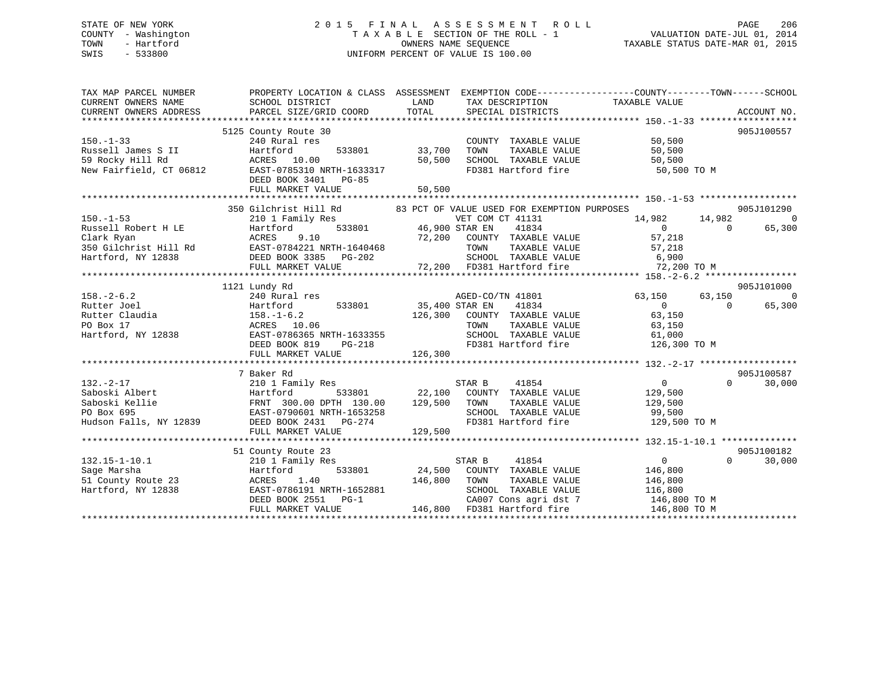# STATE OF NEW YORK 2 0 1 5 F I N A L A S S E S S M E N T R O L L PAGE 206 COUNTY - Washington T A X A B L E SECTION OF THE ROLL - 1 VALUATION DATE-JUL 01, 2014 TOWN - Hartford **TAXABLE STATUS DATE-MAR 01, 2015** OWNERS NAME SEQUENCE TAXABLE STATUS DATE-MAR 01, 2015 SWIS - 533800 UNIFORM PERCENT OF VALUE IS 100.00

| TAX MAP PARCEL NUMBER                                                                                                                                                                                                                                     | PROPERTY LOCATION & CLASS ASSESSMENT EXEMPTION CODE---------------COUNTY-------TOWN------SCHOOL         |         |                                                                                             |                                     |                          |
|-----------------------------------------------------------------------------------------------------------------------------------------------------------------------------------------------------------------------------------------------------------|---------------------------------------------------------------------------------------------------------|---------|---------------------------------------------------------------------------------------------|-------------------------------------|--------------------------|
|                                                                                                                                                                                                                                                           |                                                                                                         |         |                                                                                             |                                     |                          |
|                                                                                                                                                                                                                                                           | 5125 County Route 30                                                                                    |         |                                                                                             |                                     | 905J100557               |
| $150. - 1 - 33$                                                                                                                                                                                                                                           | 240 Rural res                                                                                           |         | COUNTY TAXABLE VALUE                                                                        | 50,500                              |                          |
|                                                                                                                                                                                                                                                           | 533801 33,700                                                                                           |         |                                                                                             |                                     |                          |
| Russell James S II (1998)<br>Same S Hartford (1998)<br>Same S Hall Rd (1998)<br>New Fairfield, CT 06812 (1998)<br>EAST-0785310 NRTH-1633317                                                                                                               |                                                                                                         | 50,500  | TOWN TAXABLE VALUE 50,500<br>SCHOOL TAXABLE VALUE 50,500<br>FD381 Hartford fire 50,500 TO M |                                     |                          |
|                                                                                                                                                                                                                                                           |                                                                                                         |         |                                                                                             |                                     |                          |
|                                                                                                                                                                                                                                                           | DEED BOOK 3401 PG-85                                                                                    |         |                                                                                             |                                     |                          |
|                                                                                                                                                                                                                                                           | FULL MARKET VALUE                                                                                       | 50,500  |                                                                                             |                                     |                          |
|                                                                                                                                                                                                                                                           |                                                                                                         |         |                                                                                             |                                     |                          |
|                                                                                                                                                                                                                                                           | 350 Gilchrist Hill Rd 83 PCT OF VALUE USED FOR EXEMPTION PURPOSES                                       |         |                                                                                             |                                     | 905J101290               |
| $150. -1 - 53$                                                                                                                                                                                                                                            |                                                                                                         |         | VET COM CT 41131                                                                            | ES<br>14,982<br>14,982<br>0 65      | $\overline{0}$           |
|                                                                                                                                                                                                                                                           | 210 1 Family Res WET COM<br>Hartford 533801 46,900 STAR EN                                              |         |                                                                                             | $14.982$<br>$1131$<br>$14.982$<br>0 |                          |
|                                                                                                                                                                                                                                                           |                                                                                                         |         |                                                                                             |                                     |                          |
|                                                                                                                                                                                                                                                           |                                                                                                         |         |                                                                                             |                                     |                          |
|                                                                                                                                                                                                                                                           |                                                                                                         |         |                                                                                             |                                     |                          |
|                                                                                                                                                                                                                                                           |                                                                                                         |         |                                                                                             |                                     |                          |
| 190.-1-53<br>Russell Robert H LE Hartford 533801 46,900 STAR EN 41834<br>210 1 Falling Form 1933801 46,900 STAR EN 47.702<br>210 1 Falling 533801 46,900 STAR 41834 0<br>216 ACRES 9.10 72,200 COUNTY TAXABLE VALUE 57,218<br>350 Gilchr                  |                                                                                                         |         |                                                                                             |                                     |                          |
|                                                                                                                                                                                                                                                           | 1121 Lundy Rd                                                                                           |         |                                                                                             |                                     | 905J101000               |
|                                                                                                                                                                                                                                                           | 240 Rural res<br>Hartford 533801 533801 35,400 STAR EN 41834<br>158.-1-6.2 126,300 COUNTY TAXABLE VALUE |         | AGED-CO/TN 41801 63,150                                                                     |                                     | 63,150<br>$\overline{0}$ |
|                                                                                                                                                                                                                                                           |                                                                                                         |         |                                                                                             | $\overline{0}$                      | 65,300<br>$\Omega$       |
|                                                                                                                                                                                                                                                           |                                                                                                         |         |                                                                                             | 63,150                              |                          |
|                                                                                                                                                                                                                                                           |                                                                                                         |         |                                                                                             |                                     |                          |
|                                                                                                                                                                                                                                                           |                                                                                                         |         |                                                                                             |                                     |                          |
|                                                                                                                                                                                                                                                           |                                                                                                         |         |                                                                                             |                                     |                          |
|                                                                                                                                                                                                                                                           |                                                                                                         |         |                                                                                             |                                     |                          |
|                                                                                                                                                                                                                                                           |                                                                                                         |         |                                                                                             |                                     |                          |
|                                                                                                                                                                                                                                                           | 7 Baker Rd                                                                                              |         |                                                                                             |                                     | 905J100587               |
| $132. - 2 - 17$                                                                                                                                                                                                                                           | 210 1 Family Res                                                                                        |         | STAR B<br>41854                                                                             | 0<br>129,500<br>129,500             | $\overline{0}$<br>30,000 |
|                                                                                                                                                                                                                                                           |                                                                                                         |         |                                                                                             |                                     |                          |
|                                                                                                                                                                                                                                                           |                                                                                                         |         | TAXABLE VALUE                                                                               |                                     |                          |
|                                                                                                                                                                                                                                                           |                                                                                                         |         | SCHOOL TAXABLE VALUE 99,500                                                                 |                                     |                          |
| 132.-2-17 210 1 Family Res<br>Saboski Albert Hartford 533801 22,100 COUNTY TAXABLE VALUE<br>Saboski Kellie FRNT 300.00 DPTH 130.00 129,500 TOWN TAXABLE VALUE<br>PO Box 695 EAST-0790601 NRTH-1653258 SCHOOL TAXABLE VALUE<br>Hudson F                    |                                                                                                         |         | FD381 Hartford fire                                                                         | 129,500 TO M                        |                          |
|                                                                                                                                                                                                                                                           | FULL MARKET VALUE                                                                                       | 129,500 |                                                                                             |                                     |                          |
|                                                                                                                                                                                                                                                           |                                                                                                         |         |                                                                                             |                                     |                          |
|                                                                                                                                                                                                                                                           | 51 County Route 23                                                                                      | STAR B  |                                                                                             |                                     | 905J100182               |
| $132.15 - 1 - 10.1$                                                                                                                                                                                                                                       | 210 1 Family Res                                                                                        |         | 41854                                                                                       | $\overline{0}$                      | $\Omega$<br>30,000       |
|                                                                                                                                                                                                                                                           |                                                                                                         |         | 533801 24,500 COUNTY TAXABLE VALUE 146,800                                                  |                                     |                          |
|                                                                                                                                                                                                                                                           |                                                                                                         |         | TOWN TAXABLE VALUE 146,800<br>SCHOOL TAXABLE VALUE 116,800                                  |                                     |                          |
|                                                                                                                                                                                                                                                           |                                                                                                         |         |                                                                                             |                                     |                          |
| 132.15-1-10.1<br>Sage Marsha<br>Sage Marsha<br>Sage Marsha<br>Sage Marsha<br>Sage Marsha<br>Sage Marsha<br>Sage Marsha<br>Sage Marsha<br>24, 500<br>TOWN TAXABLE VALUE<br>TAXABLE VALUE<br>SCHOOL TAXABLE VALUE<br>SCHOOL TAXABLE VALUE<br>SCHOOL TAXABLE |                                                                                                         |         | CA007 Cons agri dst 7 146,800 TO M                                                          |                                     |                          |
|                                                                                                                                                                                                                                                           |                                                                                                         |         |                                                                                             | 146,800 TO M                        |                          |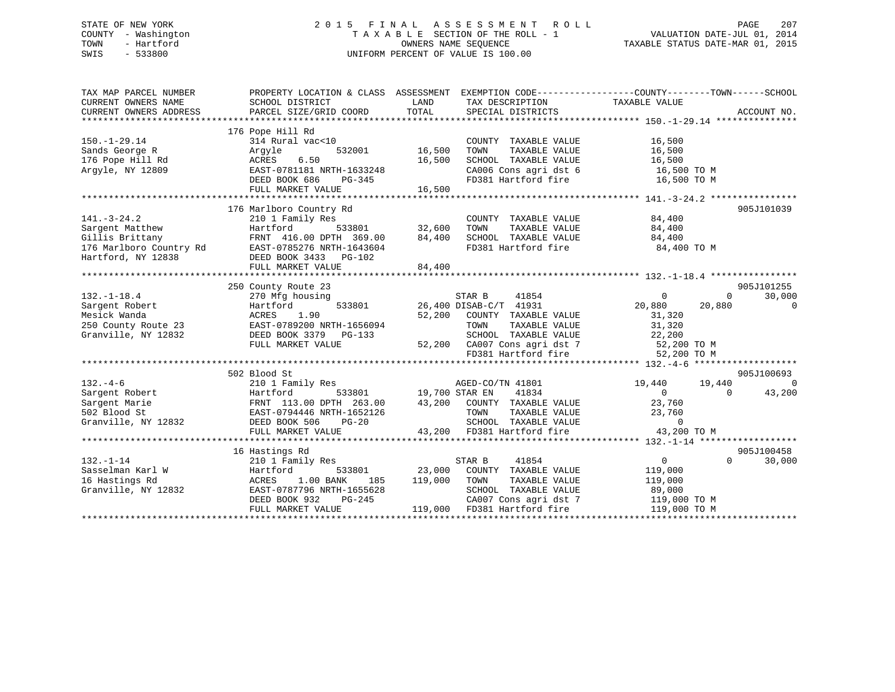# STATE OF NEW YORK 2 0 1 5 F I N A L A S S E S S M E N T R O L L PAGE 207 COUNTY - Washington T A X A B L E SECTION OF THE ROLL - 1 VALUATION DATE-JUL 01, 2014 TOWN - Hartford **TAXABLE STATUS DATE-MAR 01, 2015** OWNERS NAME SEQUENCE TAXABLE STATUS DATE-MAR 01, 2015 SWIS - 533800 UNIFORM PERCENT OF VALUE IS 100.00

| TAX MAP PARCEL NUMBER<br>CURRENT OWNERS NAME<br>CURRENT OWNERS ADDRESS                                   | PROPERTY LOCATION & CLASS ASSESSMENT<br>SCHOOL DISTRICT<br>PARCEL SIZE/GRID COORD                                                                                    | LAND<br>TOTAL                     | TAX DESCRIPTION<br>SPECIAL DISTRICTS                                                                                                                                             | EXEMPTION CODE----------------COUNTY-------TOWN------SCHOOL<br>TAXABLE VALUE                         | ACCOUNT NO.                      |
|----------------------------------------------------------------------------------------------------------|----------------------------------------------------------------------------------------------------------------------------------------------------------------------|-----------------------------------|----------------------------------------------------------------------------------------------------------------------------------------------------------------------------------|------------------------------------------------------------------------------------------------------|----------------------------------|
|                                                                                                          |                                                                                                                                                                      |                                   |                                                                                                                                                                                  |                                                                                                      |                                  |
| $150. - 1 - 29.14$<br>Sands George R<br>176 Pope Hill Rd<br>Argyle, NY 12809                             | 176 Pope Hill Rd<br>314 Rural vac<10<br>532001<br>Argyle<br>6.50<br>ACRES<br>EAST-0781181 NRTH-1633248<br>DEED BOOK 686<br>PG-345                                    | 16,500<br>16,500                  | COUNTY TAXABLE VALUE<br>TOWN<br>TAXABLE VALUE<br>SCHOOL TAXABLE VALUE<br>CA006 Cons agri dst 6 16,500 TO M<br>FD381 Hartford fire                                                | 16,500<br>16,500<br>16,500<br>16,500 TO M                                                            |                                  |
|                                                                                                          | FULL MARKET VALUE                                                                                                                                                    | 16,500                            |                                                                                                                                                                                  |                                                                                                      |                                  |
| $141. - 3 - 24.2$<br>Sargent Matthew<br>Gillis Brittany<br>176 Marlboro Country Rd<br>Hartford, NY 12838 | 176 Marlboro Country Rd<br>210 1 Family Res<br>Hartford<br>FRNT 416.00 DPTH 369.00<br>EAST-0785276 NRTH-1643604<br>DEED BOOK 3433 PG-102<br>FULL MARKET VALUE        | 533801 32,600<br>84,400<br>84,400 | COUNTY TAXABLE VALUE<br>TOWN<br>TAXABLE VALUE<br>SCHOOL TAXABLE VALUE 84,400<br>FD381 Hartford fire                                                                              | 84,400<br>84,400<br>84,400 TO M                                                                      | 905J101039                       |
|                                                                                                          | 250 County Route 23                                                                                                                                                  |                                   |                                                                                                                                                                                  |                                                                                                      | 905J101255                       |
| $132. - 1 - 18.4$<br>Sargent Robert<br>Mesick Wanda<br>250 County Route 23<br>Granville, NY 12832        | 270 Mfg housing<br>533801<br>Hartford<br>ACRES<br>1.90<br>EAST-0789200 NRTH-1656094<br>DEED BOOK 3379 PG-133<br>FULL MARKET VALUE                                    |                                   | STAR B<br>41854<br>26,400 DISAB-C/T 41931<br>52,200 COUNTY TAXABLE VALUE<br>TAXABLE VALUE<br>TOWN<br>SCHOOL TAXABLE VALUE<br>52,200 CA007 Cons agri dst 7<br>FD381 Hartford fire | $\Omega$<br>$\Omega$<br>20,880<br>20,880<br>31,320<br>31,320<br>22,200<br>52,200 TO M<br>52,200 TO M | 30,000<br>$\mathbf 0$            |
|                                                                                                          |                                                                                                                                                                      |                                   |                                                                                                                                                                                  |                                                                                                      |                                  |
| $132 - 4 - 6$<br>Sargent Robert<br>Sargent Marie<br>502 Blood St<br>Granville, NY 12832                  | 502 Blood St<br>210 1 Family Res<br>533801<br>Hartford<br>FRNT 113.00 DPTH 263.00<br>EAST-0794446 NRTH-1652126<br>DEED BOOK 506<br>PG-20<br>FULL MARKET VALUE        | 19,700 STAR EN                    | AGED-CO/TN 41801<br>41834<br>43,200 COUNTY TAXABLE VALUE<br>TOWN<br>TAXABLE VALUE<br>SCHOOL TAXABLE VALUE<br>43,200 FD381 Hartford fire                                          | 19,440<br>19,440<br>$\Omega$<br>$\Omega$<br>23,760<br>23,760<br>$\Omega$<br>43,200 TO M              | 905J100693<br>$\Omega$<br>43,200 |
|                                                                                                          |                                                                                                                                                                      |                                   |                                                                                                                                                                                  |                                                                                                      |                                  |
| $132. - 1 - 14$<br>Sasselman Karl W<br>16 Hastings Rd<br>Granville, NY 12832                             | 16 Hastings Rd<br>210 1 Family Res<br>533801<br>Hartford<br>ACRES<br>1.00 BANK<br>185<br>EAST-0787796 NRTH-1655628<br>DEED BOOK 932<br>$PG-245$<br>FULL MARKET VALUE | 23,000<br>119,000                 | STAR B<br>41854<br>COUNTY TAXABLE VALUE<br>TOWN<br>TAXABLE VALUE<br>SCHOOL<br>TAXABLE VALUE<br>CA007 Cons agri dst 7<br>119,000 FD381 Hartford fire                              | $\overline{0}$<br>$\Omega$<br>119,000<br>119,000<br>89,000<br>119,000 TO M<br>119,000 TO M           | 905J100458<br>30,000             |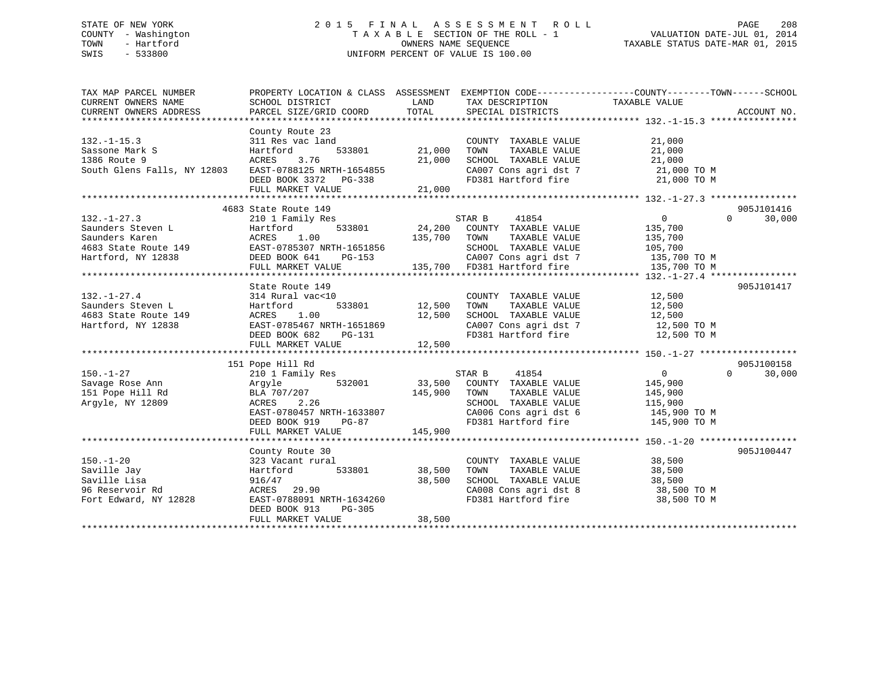# STATE OF NEW YORK 2 0 1 5 F I N A L A S S E S S M E N T R O L L PAGE 208 COUNTY - Washington T A X A B L E SECTION OF THE ROLL - 1 VALUATION DATE-JUL 01, 2014 TOWN - Hartford **TAXABLE STATUS DATE-MAR 01, 2015** OWNERS NAME SEQUENCE TAXABLE STATUS DATE-MAR 01, 2015 SWIS - 533800 UNIFORM PERCENT OF VALUE IS 100.00

| TAX MAP PARCEL NUMBER                                       | PROPERTY LOCATION & CLASS ASSESSMENT EXEMPTION CODE---------------COUNTY-------TOWN-----SCHOOL |                   |                                                                        |                     |                    |
|-------------------------------------------------------------|------------------------------------------------------------------------------------------------|-------------------|------------------------------------------------------------------------|---------------------|--------------------|
| CURRENT OWNERS NAME                                         | SCHOOL DISTRICT                                                                                | <b>Example 18</b> | TAX DESCRIPTION                                                        | TAXABLE VALUE       |                    |
| CURRENT OWNERS ADDRESS                                      | PARCEL SIZE/GRID COORD                                                                         | TOTAL             | SPECIAL DISTRICTS                                                      |                     | ACCOUNT NO.        |
|                                                             |                                                                                                |                   |                                                                        |                     |                    |
|                                                             | County Route 23                                                                                |                   |                                                                        |                     |                    |
| $132. - 1 - 15.3$<br>$\begin{bmatrix} S \\ S \end{bmatrix}$ | $311$ Res vac land<br>Hartford 533801 21,000                                                   |                   | COUNTY TAXABLE VALUE                                                   | $\frac{21,000}{21}$ |                    |
| Sassone Mark S                                              |                                                                                                |                   | TAXABLE VALUE<br>TOWN                                                  |                     |                    |
| 1386 Route 9                                                |                                                                                                |                   | SCHOOL TAXABLE VALUE                                                   | 21,000              |                    |
| South Glens Falls, NY 12803                                 |                                                                                                |                   | CA007 Cons agri dst 7 21,000 TO M<br>FD381 Hartford fire 21,000 TO M   |                     |                    |
|                                                             | ACRES 3.76 21,000<br>EAST-0788125 NRTH-1654855 21,000<br>DEED BOOK 3372 PG-338                 |                   |                                                                        |                     |                    |
|                                                             | FULL MARKET VALUE                                                                              | 21,000            |                                                                        |                     |                    |
|                                                             |                                                                                                |                   |                                                                        |                     |                    |
|                                                             | 4683 State Route 149                                                                           |                   |                                                                        |                     | 905J101416         |
| $132. - 1 - 27.3$                                           |                                                                                                |                   |                                                                        | $\overline{0}$      | $\Omega$<br>30,000 |
|                                                             |                                                                                                |                   |                                                                        |                     |                    |
|                                                             |                                                                                                |                   |                                                                        |                     |                    |
|                                                             |                                                                                                |                   |                                                                        |                     |                    |
|                                                             |                                                                                                |                   |                                                                        |                     |                    |
|                                                             |                                                                                                |                   |                                                                        |                     |                    |
|                                                             |                                                                                                |                   |                                                                        |                     |                    |
|                                                             | State Route 149                                                                                |                   |                                                                        |                     | 905J101417         |
| $132. - 1 - 27.4$                                           | 314 Rural vac<10                                                                               |                   | COUNTY TAXABLE VALUE 12,500                                            |                     |                    |
| Saunders Steven L                                           | 533801 12,500 TOWN<br>Hartford                                                                 |                   | TAXABLE VALUE                                                          | 12,500              |                    |
| 4683 State Route 149                                        | ACRES 1.00                                                                                     | 12,500            | SCHOOL TAXABLE VALUE                                                   | 12,500              |                    |
| Hartford, NY 12838                                          |                                                                                                |                   | CA007 Cons agri dst 7 12,500 TO M                                      |                     |                    |
|                                                             | EAST-0785467 NRTH-1651869<br>DEED BOOK 682 PG-131                                              |                   | FD381 Hartford fire                                                    | 12,500 TO M         |                    |
|                                                             | FULL MARKET VALUE                                                                              | 12,500            |                                                                        |                     |                    |
|                                                             |                                                                                                |                   |                                                                        |                     |                    |
|                                                             | 151 Pope Hill Rd                                                                               |                   |                                                                        |                     | 905J100158         |
| $150. - 1 - 27$                                             | 210 1 Family Res                                                                               |                   | STAR B 41854                                                           | $\overline{0}$      | $\Omega$<br>30,000 |
| Savage Rose Ann                                             | Argyle 532001 533,500 COUNTY TAXABLE VALUE BLA 707/207                                         |                   |                                                                        | 145,900<br>145,900  |                    |
| 151 Pope Hill Rd                                            |                                                                                                |                   |                                                                        |                     |                    |
| Argyle, NY 12809                                            | ACRES<br>2.26                                                                                  |                   |                                                                        |                     |                    |
|                                                             | EAST-0780457 NRTH-1633807                                                                      |                   | SCHOOL TAXABLE VALUE 115,900<br>CA006 Cons agri dst 6 145,900 TO M     |                     |                    |
|                                                             | DEED BOOK 919                                                                                  | $PG-87$           | CA006 Cons agri dst 6 145,900 TO M<br>FD381 Hartford fire 145,900 TO M |                     |                    |
|                                                             | FULL MARKET VALUE                                                                              | 145,900           |                                                                        |                     |                    |
|                                                             |                                                                                                |                   |                                                                        |                     |                    |
|                                                             | County Route 30                                                                                |                   |                                                                        |                     | 905J100447         |
| $150. - 1 - 20$                                             | 323 Vacant rural                                                                               |                   | COUNTY TAXABLE VALUE                                                   | 38,500<br>יח פר     |                    |
| Saville Jay                                                 | Hartford 533801 38,500                                                                         |                   | TAXABLE VALUE<br>TOWN                                                  |                     |                    |
| Saville Lisa                                                |                                                                                                | 38,500            | SCHOOL TAXABLE VALUE                                                   | 38,500              |                    |
| 96 Reservoir Rd                                             | 916/47<br>ACRES 29.90                                                                          |                   |                                                                        |                     |                    |
| Fort Edward, NY 12828                                       | EAST-0788091 NRTH-1634260                                                                      |                   | CA008 Cons agri dst 8 38,500 TO M<br>FD381 Hartford fire 38,500 TO M   |                     |                    |
|                                                             | DEED BOOK 913<br>PG-305                                                                        |                   |                                                                        |                     |                    |
|                                                             | FULL MARKET VALUE                                                                              | 38,500            |                                                                        |                     |                    |
|                                                             |                                                                                                |                   |                                                                        |                     |                    |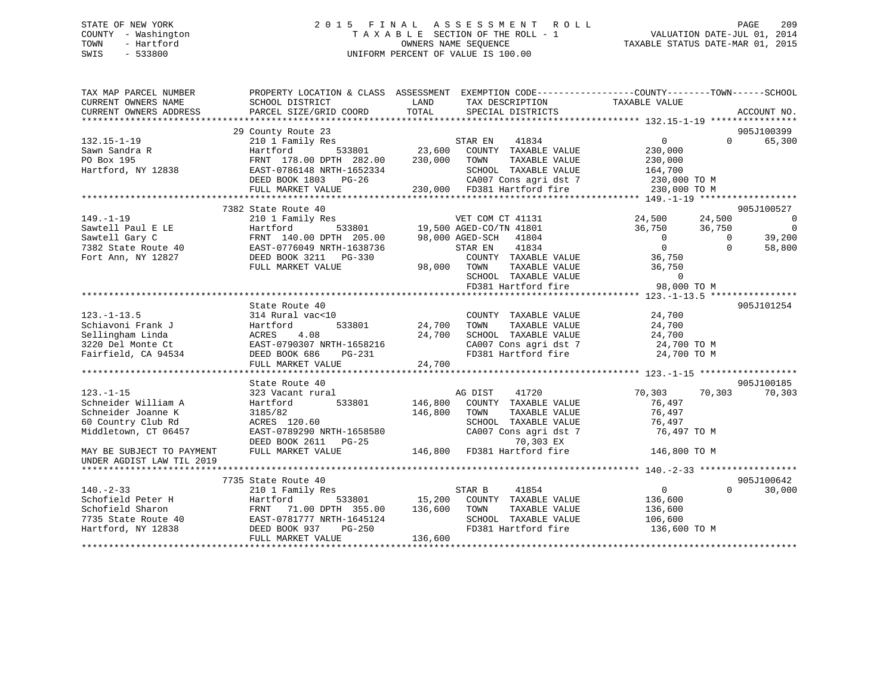# STATE OF NEW YORK 2 0 1 5 F I N A L A S S E S S M E N T R O L L PAGE 209 COUNTY - Washington T A X A B L E SECTION OF THE ROLL - 1 VALUATION DATE-JUL 01, 2014 TOWN - Hartford OWNERS NAME SEQUENCE TAXABLE STATUS DATE-MAR 01, 2015 SWIS - 533800 UNIFORM PERCENT OF VALUE IS 100.00

| TAX MAP PARCEL NUMBER     | PROPERTY LOCATION & CLASS ASSESSMENT |                                                                                                                         | EXEMPTION CODE-----------------COUNTY-------TOWN------SCHOOL |
|---------------------------|--------------------------------------|-------------------------------------------------------------------------------------------------------------------------|--------------------------------------------------------------|
| CURRENT OWNERS NAME       | SCHOOL DISTRICT                      | LAND<br>TAX DESCRIPTION<br>TOTAL                                                                                        | TAXABLE VALUE                                                |
| CURRENT OWNERS ADDRESS    | PARCEL SIZE/GRID COORD               | SPECIAL DISTRICTS                                                                                                       | ACCOUNT NO.                                                  |
|                           |                                      |                                                                                                                         |                                                              |
|                           | 29 County Route 23                   |                                                                                                                         | 905J100399                                                   |
| $132.15 - 1 - 19$         | 210 1 Family Res                     | $\begin{array}{cccc}\n\texttt{STAR EN} & 41834 \\ 3801 & 23,600 & \texttt{COUNTY} & \texttt{TXABLE VALUE}\n\end{array}$ | $\Omega$<br>65,300<br>$\Omega$                               |
| Sawn Sandra R             | 533801<br>Hartford                   |                                                                                                                         | 230,000                                                      |
| PO Box 195                | FRNT 178.00 DPTH 282.00              | 230,000<br>TOWN<br>TAXABLE VALUE                                                                                        | 230,000                                                      |
| Hartford, NY 12838        | EAST-0786148 NRTH-1652334            | SCHOOL TAXABLE VALUE                                                                                                    | 164,700                                                      |
|                           | DEED BOOK 1803 PG-26                 | CA007 Cons agri dst 7 230,000 TO M                                                                                      |                                                              |
|                           | FULL MARKET VALUE                    | 230,000 FD381 Hartford fire                                                                                             | 230,000 TO M                                                 |
|                           |                                      |                                                                                                                         |                                                              |
|                           | 7382 State Route 40                  |                                                                                                                         | 905J100527                                                   |
| $149. - 1 - 19$           | 210 1 Family Res                     | VET COM CT 41131                                                                                                        | 24,500<br>24,500<br>$\overline{0}$                           |
| Sawtell Paul E LE         | Hartford                             | 533801 19,500 AGED-CO/TN 41801                                                                                          | $\Omega$<br>36,750<br>36,750                                 |
| Sawtell Gary C            | FRNT 140.00 DPTH 205.00              | 98,000 AGED-SCH 41804                                                                                                   | $\overline{0}$<br>$\bigcirc$<br>39,200                       |
| 7382 State Route 40       | EAST-0776049 NRTH-1638736            | STAR EN<br>41834                                                                                                        | $\overline{0}$<br>58,800<br>$\Omega$                         |
| Fort Ann, NY 12827        | DEED BOOK 3211 PG-330                | COUNTY TAXABLE VALUE                                                                                                    | 36,750                                                       |
|                           | FULL MARKET VALUE                    | 98,000 TOWN<br>TAXABLE VALUE                                                                                            | 36,750                                                       |
|                           |                                      | SCHOOL TAXABLE VALUE                                                                                                    | $\Omega$                                                     |
|                           |                                      | SCHOOL TAXABLE VALUE<br>FD381 Hartford fire                                                                             | 98,000 TO M                                                  |
|                           |                                      |                                                                                                                         |                                                              |
|                           | State Route 40                       |                                                                                                                         | 905J101254                                                   |
| $123. - 1 - 13.5$         | 314 Rural vac<10                     | COUNTY TAXABLE VALUE                                                                                                    | 24,700                                                       |
| Schiavoni Frank J         | Hartford<br>533801                   | 24,700<br>TOWN<br>TAXABLE VALUE                                                                                         | 24,700                                                       |
| Sellingham Linda          | 4.08                                 | 24,700<br>SCHOOL TAXABLE VALUE                                                                                          |                                                              |
|                           | ACRES                                | CA007 Cons agri dst 7<br>CA007 Cons agri dst 7                                                                          | 24,700                                                       |
| 3220 Del Monte Ct         | EAST-0790307 NRTH-1658216            |                                                                                                                         | 24,700 TO M                                                  |
| Fairfield, CA 94534       | DEED BOOK 686<br>PG-231              |                                                                                                                         | 24,700 TO M                                                  |
|                           | FULL MARKET VALUE                    | 24,700                                                                                                                  |                                                              |
|                           |                                      |                                                                                                                         |                                                              |
|                           | State Route 40                       |                                                                                                                         | 905J100185                                                   |
| $123. - 1 - 15$           | 323 Vacant rural                     | AG DIST<br>41720                                                                                                        | 70,303<br>70,303<br>70,303                                   |
| Schneider William A       | Hartford<br>533801                   | 146,800<br>COUNTY TAXABLE VALUE                                                                                         | 76,497                                                       |
| Schneider Joanne K        | 3185/82                              | 146,800<br>TOWN<br>TAXABLE VALUE                                                                                        | 76,497                                                       |
| 60 Country Club Rd        | ACRES 120.60                         | SCHOOL TAXABLE VALUE                                                                                                    | 76,497                                                       |
| Middletown, CT 06457      | EAST-0789290 NRTH-1658580            | CA007 Cons agri dst 7                                                                                                   | 76,497 TO M                                                  |
|                           | DEED BOOK 2611 PG-25                 | 70,303 EX                                                                                                               |                                                              |
| MAY BE SUBJECT TO PAYMENT | FULL MARKET VALUE                    | 146,800 FD381 Hartford fire                                                                                             | 146,800 TO M                                                 |
| UNDER AGDIST LAW TIL 2019 |                                      |                                                                                                                         |                                                              |
|                           |                                      |                                                                                                                         |                                                              |
|                           | 7735 State Route 40                  |                                                                                                                         | 905J100642                                                   |
| $140. - 2 - 33$           | 210 1 Family Res                     | STAR B<br>41854                                                                                                         | $\overline{0}$<br>30,000<br>$\Omega$                         |
| Schofield Peter H         | Hartford                             | 533801 15,200<br>COUNTY TAXABLE VALUE                                                                                   | 136,600                                                      |
| Schofield Sharon          | FRNT<br>71.00 DPTH 355.00            | 136,600<br>TOWN<br>TAXABLE VALUE                                                                                        | 136,600                                                      |
| 7735 State Route 40       | EAST-0781777 NRTH-1645124            | SCHOOL TAXABLE VALUE                                                                                                    | 106,600                                                      |
| Hartford, NY 12838        | DEED BOOK 937<br>PG-250              | FD381 Hartford fire                                                                                                     | 136,600 TO M                                                 |
|                           |                                      |                                                                                                                         |                                                              |
|                           | FULL MARKET VALUE                    | 136,600                                                                                                                 |                                                              |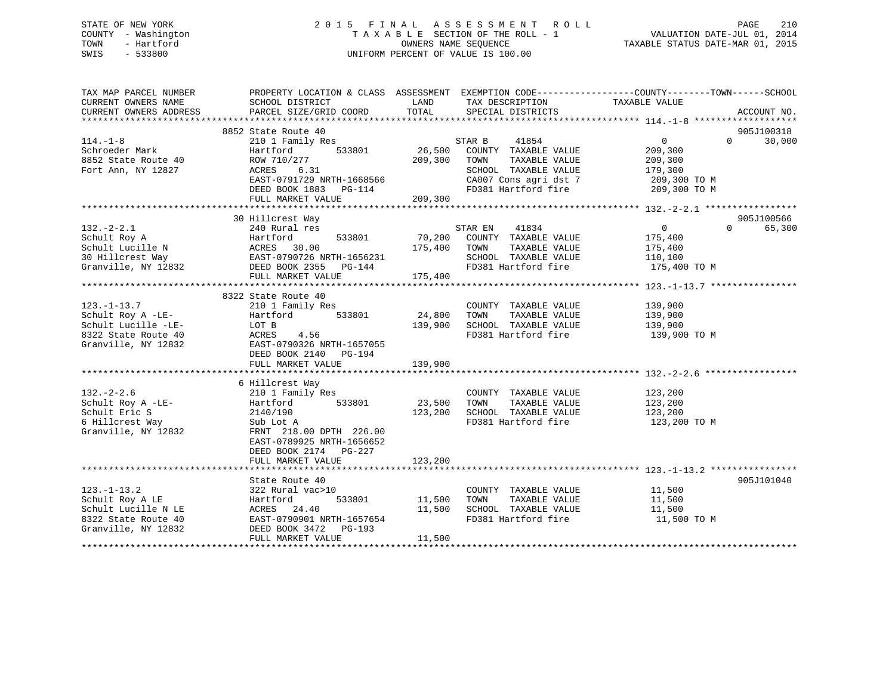# STATE OF NEW YORK 2 0 1 5 F I N A L A S S E S S M E N T R O L L PAGE 210 COUNTY - Washington T A X A B L E SECTION OF THE ROLL - 1 VALUATION DATE-JUL 01, 2014 TOWN - Hartford **TAXABLE STATUS DATE-MAR 01, 2015** OWNERS NAME SEQUENCE TAXABLE STATUS DATE-MAR 01, 2015 SWIS - 533800 UNIFORM PERCENT OF VALUE IS 100.00

| TAX MAP PARCEL NUMBER<br>CURRENT OWNERS NAME | PROPERTY LOCATION & CLASS ASSESSMENT<br>SCHOOL DISTRICT | LAND    | TAX DESCRIPTION       | EXEMPTION CODE-----------------COUNTY-------TOWN------SCHOOL<br>TAXABLE VALUE |                    |
|----------------------------------------------|---------------------------------------------------------|---------|-----------------------|-------------------------------------------------------------------------------|--------------------|
| CURRENT OWNERS ADDRESS                       | PARCEL SIZE/GRID COORD                                  | TOTAL   | SPECIAL DISTRICTS     |                                                                               | ACCOUNT NO.        |
|                                              | 8852 State Route 40                                     |         |                       |                                                                               | 905J100318         |
| $114. - 1 - 8$                               | 210 1 Family Res                                        |         | 41854<br>STAR B       | $\Omega$                                                                      | 30,000<br>$\Omega$ |
| Schroeder Mark                               | 533801<br>Hartford                                      | 26,500  | COUNTY TAXABLE VALUE  | 209,300                                                                       |                    |
| 8852 State Route 40                          | ROW 710/277                                             | 209,300 | TOWN<br>TAXABLE VALUE | 209,300                                                                       |                    |
| Fort Ann, NY 12827                           | ACRES<br>6.31                                           |         | SCHOOL TAXABLE VALUE  | 179,300                                                                       |                    |
|                                              | EAST-0791729 NRTH-1668566                               |         | CA007 Cons agri dst 7 | 209,300 TO M                                                                  |                    |
|                                              | DEED BOOK 1883 PG-114                                   |         | FD381 Hartford fire   | 209,300 TO M                                                                  |                    |
|                                              | FULL MARKET VALUE                                       | 209,300 |                       |                                                                               |                    |
|                                              |                                                         |         |                       |                                                                               |                    |
|                                              | 30 Hillcrest Way                                        |         |                       |                                                                               | 905J100566         |
| $132. - 2 - 2.1$                             | 240 Rural res                                           |         | STAR EN<br>41834      | $\overline{0}$                                                                | $\Omega$<br>65,300 |
| Schult Roy A                                 | 533801<br>Hartford                                      | 70,200  | COUNTY TAXABLE VALUE  | 175,400                                                                       |                    |
| Schult Lucille N                             |                                                         | 175,400 | TOWN<br>TAXABLE VALUE | 175,400                                                                       |                    |
| 30 Hillcrest Way                             | ACRES 30.00<br>EAST-0790726 NRTH-1656231                |         | SCHOOL TAXABLE VALUE  | 110,100                                                                       |                    |
|                                              | $Granville, NY 12832$ DEED BOOK 2355 PG-144             |         | FD381 Hartford fire   | 175,400 TO M                                                                  |                    |
|                                              | FULL MARKET VALUE                                       | 175,400 |                       |                                                                               |                    |
|                                              |                                                         |         |                       |                                                                               |                    |
|                                              | 8322 State Route 40                                     |         |                       |                                                                               |                    |
| $123. - 1 - 13.7$                            | 210 1 Family Res                                        |         | COUNTY TAXABLE VALUE  | 139,900                                                                       |                    |
| Schult Roy A -LE-                            | Hartford<br>533801                                      | 24,800  | TOWN<br>TAXABLE VALUE | 139,900                                                                       |                    |
| Schult Lucille -LE-                          | LOT B                                                   | 139,900 | SCHOOL TAXABLE VALUE  | 139,900                                                                       |                    |
| 8322 State Route 40                          | ACRES<br>4.56                                           |         | FD381 Hartford fire   | 139,900 TO M                                                                  |                    |
| Granville, NY 12832                          | EAST-0790326 NRTH-1657055                               |         |                       |                                                                               |                    |
|                                              | DEED BOOK 2140 PG-194                                   |         |                       |                                                                               |                    |
|                                              | FULL MARKET VALUE                                       | 139,900 |                       |                                                                               |                    |
|                                              |                                                         |         |                       |                                                                               |                    |
|                                              | 6 Hillcrest Way                                         |         |                       |                                                                               |                    |
| $132 - 2 - 2.6$                              | 210 1 Family Res                                        |         | COUNTY TAXABLE VALUE  | 123,200                                                                       |                    |
| Schult Roy A -LE-                            | 533801<br>Hartford                                      | 23,500  | TOWN<br>TAXABLE VALUE | 123,200                                                                       |                    |
| Schult Eric S                                | 2140/190                                                | 123,200 | SCHOOL TAXABLE VALUE  | 123,200                                                                       |                    |
| 6 Hillcrest Way                              | Sub Lot A                                               |         | FD381 Hartford fire   | 123,200 TO M                                                                  |                    |
| Granville, NY 12832                          | FRNT 218.00 DPTH 226.00                                 |         |                       |                                                                               |                    |
|                                              | EAST-0789925 NRTH-1656652                               |         |                       |                                                                               |                    |
|                                              | DEED BOOK 2174 PG-227                                   |         |                       |                                                                               |                    |
|                                              | FULL MARKET VALUE                                       | 123,200 |                       |                                                                               |                    |
|                                              |                                                         |         |                       |                                                                               |                    |
|                                              | State Route 40                                          |         |                       |                                                                               | 905J101040         |
| $123. - 1 - 13.2$                            | 322 Rural vac>10                                        |         | COUNTY TAXABLE VALUE  | 11,500                                                                        |                    |
| Schult Roy A LE                              | Hartford<br>533801                                      | 11,500  | TAXABLE VALUE<br>TOWN | 11,500                                                                        |                    |
| Schult Lucille N LE                          | ACRES 24.40                                             | 11,500  | SCHOOL TAXABLE VALUE  | 11,500                                                                        |                    |
| 8322 State Route 40                          | EAST-0790901 NRTH-1657654                               |         | FD381 Hartford fire   | 11,500 TO M                                                                   |                    |
| Granville, NY 12832                          | DEED BOOK 3472 PG-193                                   |         |                       |                                                                               |                    |
|                                              | FULL MARKET VALUE                                       | 11,500  |                       |                                                                               |                    |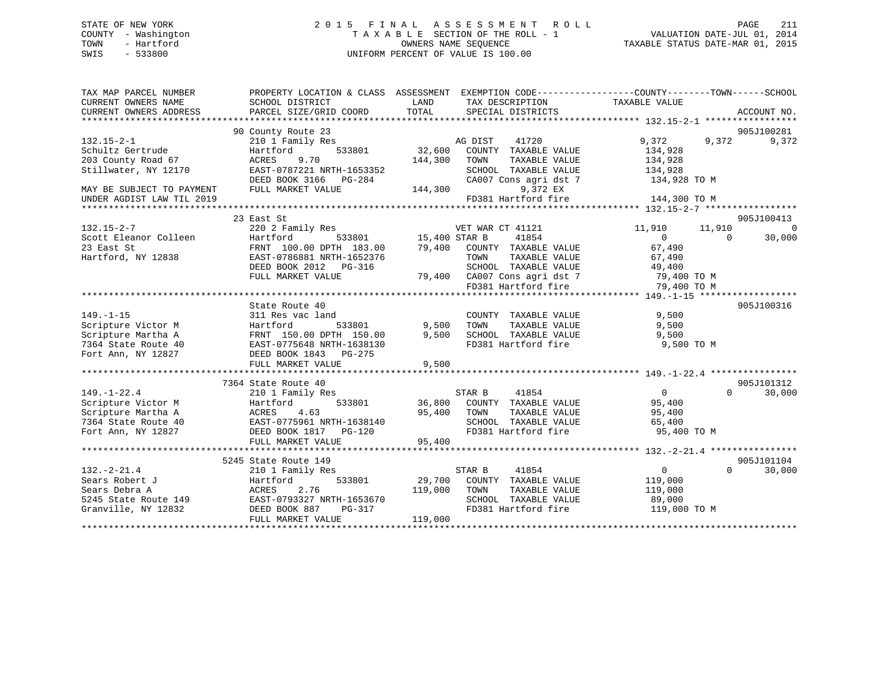# STATE OF NEW YORK 2 0 1 5 F I N A L A S S E S S M E N T R O L L PAGE 211 COUNTY - Washington T A X A B L E SECTION OF THE ROLL - 1 VALUATION DATE-JUL 01, 2014 TOWN - Hartford **TAXABLE STATUS DATE-MAR 01, 2015** OWNERS NAME SEQUENCE TAXABLE STATUS DATE-MAR 01, 2015 SWIS - 533800 UNIFORM PERCENT OF VALUE IS 100.00

| TAX MAP PARCEL NUMBER<br>CURRENT OWNERS NAME | PROPERTY LOCATION & CLASS ASSESSMENT EXEMPTION CODE---------------COUNTY-------TOWN-----SCHOOL<br>SCHOOL DISTRICT | LAND          | TAX DESCRIPTION              | TAXABLE VALUE                      |                    |
|----------------------------------------------|-------------------------------------------------------------------------------------------------------------------|---------------|------------------------------|------------------------------------|--------------------|
| CURRENT OWNERS ADDRESS                       | PARCEL SIZE/GRID COORD                                                                                            | TOTAL         | SPECIAL DISTRICTS            |                                    | ACCOUNT NO.        |
|                                              |                                                                                                                   |               |                              |                                    |                    |
|                                              | 90 County Route 23                                                                                                |               |                              |                                    | 905J100281         |
| $132.15 - 2 - 1$                             | 210 1 Family Res                                                                                                  |               | AG DIST<br>41720             | 9,372<br>9,372                     | 9,372              |
| Schultz Gertrude                             | 533801<br>Hartford                                                                                                | 32,600        | COUNTY TAXABLE VALUE         | 134,928                            |                    |
| 203 County Road 67                           | 9.70<br>ACRES                                                                                                     | 144,300       | TOWN<br>TAXABLE VALUE        | 134,928                            |                    |
| Stillwater, NY 12170                         | EAST-0787221 NRTH-1653352                                                                                         |               | SCHOOL TAXABLE VALUE         | 134,928                            |                    |
|                                              | DEED BOOK 3166 PG-284                                                                                             |               | CA007 Cons agri dst 7        | 134,928 TO M                       |                    |
| MAY BE SUBJECT TO PAYMENT                    | FULL MARKET VALUE                                                                                                 | 144,300       | 9,372 EX                     |                                    |                    |
| UNDER AGDIST LAW TIL 2019                    |                                                                                                                   |               | FD381 Hartford fire          | 144,300 TO M                       |                    |
|                                              | 23 East St                                                                                                        |               |                              |                                    | 905J100413         |
| $132.15 - 2 - 7$                             | 220 2 Family Res                                                                                                  |               |                              |                                    | $\overline{0}$     |
| Scott Eleanor Colleen                        | Hartford                                                                                                          |               | VET WAR CT 41121<br>41854    | 11,910<br>11,910<br>$\overline{0}$ | $\Omega$<br>30,000 |
| 23 East St                                   |                                                                                                                   |               | 79,400 COUNTY TAXABLE VALUE  | 67,490                             |                    |
| Hartford, NY 12838                           | FRNT 100.00 DPTH 183.00<br>EAST-0786881 NRTH-1652376                                                              |               | TOWN<br>TAXABLE VALUE        |                                    |                    |
|                                              |                                                                                                                   |               | SCHOOL TAXABLE VALUE         | 67,490                             |                    |
|                                              | DEED BOOK 2012 PG-316<br>FULL MARKET VALUE                                                                        |               | 79,400 CA007 Cons agri dst 7 | 49,400                             |                    |
|                                              |                                                                                                                   |               | FD381 Hartford fire          | 79,400 TO M<br>79,400 TO M         |                    |
|                                              |                                                                                                                   |               |                              |                                    |                    |
|                                              | State Route 40                                                                                                    |               |                              |                                    | 905J100316         |
| $149. - 1 - 15$                              | 311 Res vac land                                                                                                  |               | COUNTY TAXABLE VALUE         | 9,500                              |                    |
| Scripture Victor M                           | Hartford<br>533801                                                                                                | 9,500         | TOWN<br>TAXABLE VALUE        | 9,500                              |                    |
| Scripture Martha A                           | FRNT 150.00 DPTH 150.00                                                                                           | 9,500         | SCHOOL TAXABLE VALUE         | 9,500                              |                    |
| 7364 State Route 40                          | EAST-0775648 NRTH-1638130                                                                                         |               | FD381 Hartford fire          | 9,500 TO M                         |                    |
| Fort Ann, NY 12827                           | DEED BOOK 1843 PG-275                                                                                             |               |                              |                                    |                    |
|                                              | FULL MARKET VALUE                                                                                                 | 9,500         |                              |                                    |                    |
|                                              |                                                                                                                   |               |                              |                                    |                    |
|                                              | 7364 State Route 40                                                                                               |               |                              |                                    | 905J101312         |
| $149. - 1 - 22.4$                            | 210 1 Family Res                                                                                                  |               | STAR B<br>41854              | $\overline{0}$                     | 30,000<br>$\Omega$ |
| Scripture Victor M                           | Hartford                                                                                                          | 533801 36,800 | COUNTY TAXABLE VALUE         | 95,400                             |                    |
| Scripture Martha A                           |                                                                                                                   | 95,400        | TOWN<br>TAXABLE VALUE        | 95,400                             |                    |
| 7364 State Route 40                          |                                                                                                                   |               | SCHOOL TAXABLE VALUE         | 65,400                             |                    |
| Fort Ann, NY 12827                           | ACRES 4.00<br>EAST-0775961 NRTH-1638140<br>DEED BOOK 1817<br>PG-120                                               |               | FD381 Hartford fire          | 95,400 TO M                        |                    |
|                                              | FULL MARKET VALUE                                                                                                 | 95,400        |                              |                                    |                    |
|                                              |                                                                                                                   |               |                              |                                    |                    |
|                                              | 5245 State Route 149                                                                                              |               |                              |                                    | 905J101104         |
| $132 - 2 - 21.4$                             | 210 1 Family Res                                                                                                  |               | STAR B<br>41854              | $\overline{0}$                     | $\Omega$<br>30,000 |
| Sears Robert J                               | 533801<br>Hartford                                                                                                |               | 29,700 COUNTY TAXABLE VALUE  | 119,000                            |                    |
| Sears Debra A                                | 2.76<br>ACRES                                                                                                     | 119,000       | TAXABLE VALUE<br>TOWN        | 119,000                            |                    |
| 5245 State Route 149                         | EAST-0793327 NRTH-1653670                                                                                         |               | SCHOOL TAXABLE VALUE         | 89,000                             |                    |
| Granville, NY 12832                          | PG-317<br>DEED BOOK 887                                                                                           |               | FD381 Hartford fire          | 119,000 TO M                       |                    |
|                                              | FULL MARKET VALUE                                                                                                 | 119,000       |                              |                                    |                    |
|                                              |                                                                                                                   |               |                              |                                    |                    |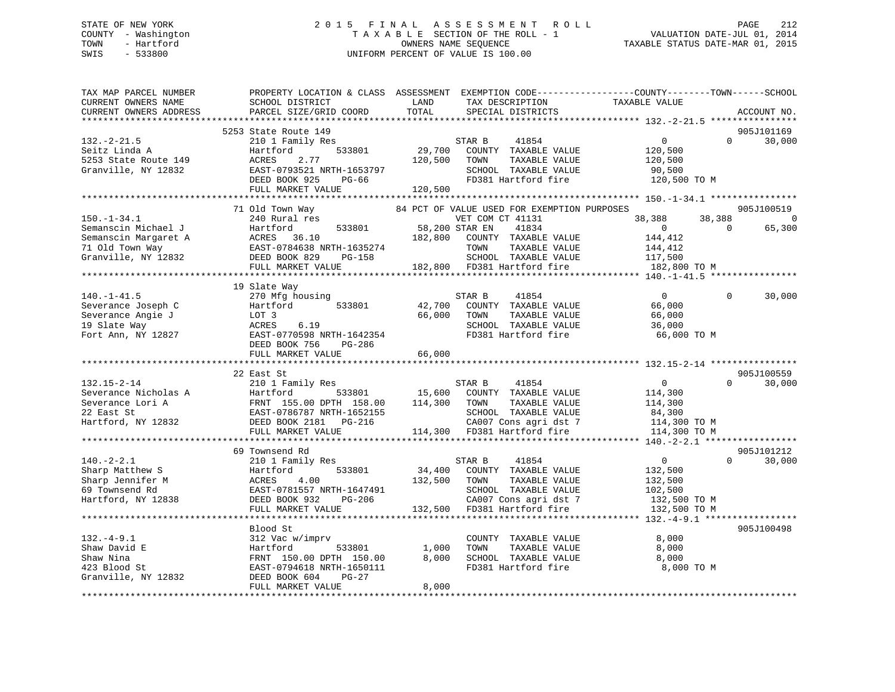# STATE OF NEW YORK 2 0 1 5 F I N A L A S S E S S M E N T R O L L PAGE 212 COUNTY - Washington T A X A B L E SECTION OF THE ROLL - 1 VALUATION DATE-JUL 01, 2014 TOWN - Hartford OWNERS NAME SEQUENCE TAXABLE STATUS DATE-MAR 01, 2015 SWIS - 533800 UNIFORM PERCENT OF VALUE IS 100.00

| TAX MAP PARCEL NUMBER<br>CURRENT OWNERS NAME<br>CURRENT OWNERS ADDRESS                                     | PROPERTY LOCATION & CLASS ASSESSMENT<br>SCHOOL DISTRICT<br>PARCEL SIZE/GRID COORD                                                               | LAND<br>TOTAL             | EXEMPTION CODE-----------------COUNTY-------TOWN------SCHOOL<br>TAX DESCRIPTION<br>SPECIAL DISTRICTS                                             | TAXABLE VALUE                                                                  |                    | ACCOUNT NO.           |
|------------------------------------------------------------------------------------------------------------|-------------------------------------------------------------------------------------------------------------------------------------------------|---------------------------|--------------------------------------------------------------------------------------------------------------------------------------------------|--------------------------------------------------------------------------------|--------------------|-----------------------|
| *************************                                                                                  |                                                                                                                                                 |                           |                                                                                                                                                  |                                                                                |                    |                       |
| $132. - 2 - 21.5$<br>Seitz Linda A<br>5253 State Route 149<br>Granville, NY 12832                          | 5253 State Route 149<br>210 1 Family Res<br>Hartford<br>533801<br>ACRES<br>2.77<br>EAST-0793521 NRTH-1653797<br>DEED BOOK 925<br>PG-66          | 29,700<br>120,500         | STAR B<br>41854<br>COUNTY TAXABLE VALUE<br>TAXABLE VALUE<br>TOWN<br>SCHOOL TAXABLE VALUE<br>FD381 Hartford fire                                  | $\overline{0}$<br>120,500<br>120,500<br>90,500<br>120,500 TO M                 | $\Omega$           | 905J101169<br>30,000  |
|                                                                                                            | FULL MARKET VALUE                                                                                                                               | 120,500                   |                                                                                                                                                  |                                                                                |                    |                       |
|                                                                                                            |                                                                                                                                                 |                           |                                                                                                                                                  |                                                                                |                    |                       |
|                                                                                                            | 71 Old Town Way                                                                                                                                 |                           | 84 PCT OF VALUE USED FOR EXEMPTION PURPOSES                                                                                                      |                                                                                |                    | 905J100519            |
| $150. - 1 - 34.1$<br>Semanscin Michael J<br>Semanscin Margaret A<br>71 Old Town Way<br>Granville, NY 12832 | 240 Rural res<br>Hartford<br>533801<br>ACRES 36.10<br>EAST-0784638 NRTH-1635274<br>DEED BOOK 829<br><b>PG-158</b><br>FULL MARKET VALUE          | 58,200 STAR EN<br>182,800 | VET COM CT 41131<br>41834<br>COUNTY TAXABLE VALUE<br>TOWN<br>TAXABLE VALUE<br>SCHOOL TAXABLE VALUE<br>182,800 FD381 Hartford fire                | 38,388<br>$\overline{0}$<br>144,412<br>144,412<br>117,500<br>182,800 TO M      | 38,388<br>$\Omega$ | $\mathbf 0$<br>65,300 |
| *********************                                                                                      |                                                                                                                                                 |                           |                                                                                                                                                  |                                                                                |                    |                       |
| $140.-1-41.5$<br>Severance Joseph C<br>Severance Angie J<br>19 Slate Way<br>Fort Ann, NY 12827             | 19 Slate Way<br>270 Mfg housing<br>533801<br>Hartford<br>LOT 3<br>ACRES<br>6.19<br>EAST-0770598 NRTH-1642354<br>DEED BOOK 756<br>PG-286         | 42,700<br>66,000          | STAR B<br>41854<br>COUNTY TAXABLE VALUE<br>TOWN<br>TAXABLE VALUE<br>SCHOOL TAXABLE VALUE<br>FD381 Hartford fire                                  | $\overline{0}$<br>66,000<br>66,000<br>36,000<br>66,000 TO M                    | $\Omega$           | 30,000                |
|                                                                                                            | FULL MARKET VALUE                                                                                                                               | 66,000                    |                                                                                                                                                  |                                                                                |                    |                       |
|                                                                                                            |                                                                                                                                                 |                           |                                                                                                                                                  |                                                                                |                    |                       |
|                                                                                                            | 22 East St                                                                                                                                      |                           |                                                                                                                                                  |                                                                                |                    | 905J100559            |
| $132.15 - 2 - 14$<br>Severance Nicholas A<br>Severance Lori A<br>22 East St<br>Hartford, NY 12832          | 210 1 Family Res<br>533801<br>Hartford<br>FRNT 155.00 DPTH 158.00<br>EAST-0786787 NRTH-1652155<br>DEED BOOK 2181    PG-216<br>FULL MARKET VALUE | 15,600<br>114,300         | 41854<br>STAR B<br>COUNTY TAXABLE VALUE<br>TOWN<br>TAXABLE VALUE<br>SCHOOL TAXABLE VALUE<br>CA007 Cons agri dst 7<br>114,300 FD381 Hartford fire | $\overline{0}$<br>114,300<br>114,300<br>84,300<br>114,300 TO M<br>114,300 TO M | $\Omega$           | 30,000                |
|                                                                                                            |                                                                                                                                                 |                           |                                                                                                                                                  |                                                                                |                    |                       |
|                                                                                                            | 69 Townsend Rd                                                                                                                                  |                           |                                                                                                                                                  |                                                                                |                    | 905J101212            |
| $140. -2 - 2.1$<br>Sharp Matthew S<br>Sharp Jennifer M<br>69 Townsend Rd<br>Hartford, NY 12838             | 210 1 Family Res<br>533801<br>Hartford<br>ACRES<br>4.00<br>EAST-0781557 NRTH-1647491<br>DEED BOOK 932<br>PG-206                                 | 34,400<br>132,500         | 41854<br>STAR B<br>COUNTY TAXABLE VALUE<br>TOWN<br>TAXABLE VALUE<br>SCHOOL TAXABLE VALUE<br>CA007 Cons agri dst 7                                | $\overline{0}$<br>132,500<br>132,500<br>102,500<br>132,500 TO M                | $\cap$             | 30,000                |
|                                                                                                            | FULL MARKET VALUE                                                                                                                               | 132,500                   | FD381 Hartford fire                                                                                                                              | 132,500 TO M                                                                   |                    |                       |
| $132. -4 - 9.1$<br>Shaw David E<br>Shaw Nina<br>423 Blood St<br>Granville, NY 12832                        | Blood St<br>312 Vac w/imprv<br>Hartford<br>533801<br>FRNT 150.00 DPTH 150.00<br>EAST-0794618 NRTH-1650111<br>DEED BOOK 604<br>$PG-27$           | 1,000<br>8,000            | COUNTY TAXABLE VALUE<br>TOWN<br>TAXABLE VALUE<br>SCHOOL TAXABLE VALUE<br>FD381 Hartford fire                                                     | 8,000<br>8,000<br>8,000<br>8,000 TO M                                          |                    | 905J100498            |
|                                                                                                            | FULL MARKET VALUE                                                                                                                               | 8,000                     |                                                                                                                                                  |                                                                                |                    |                       |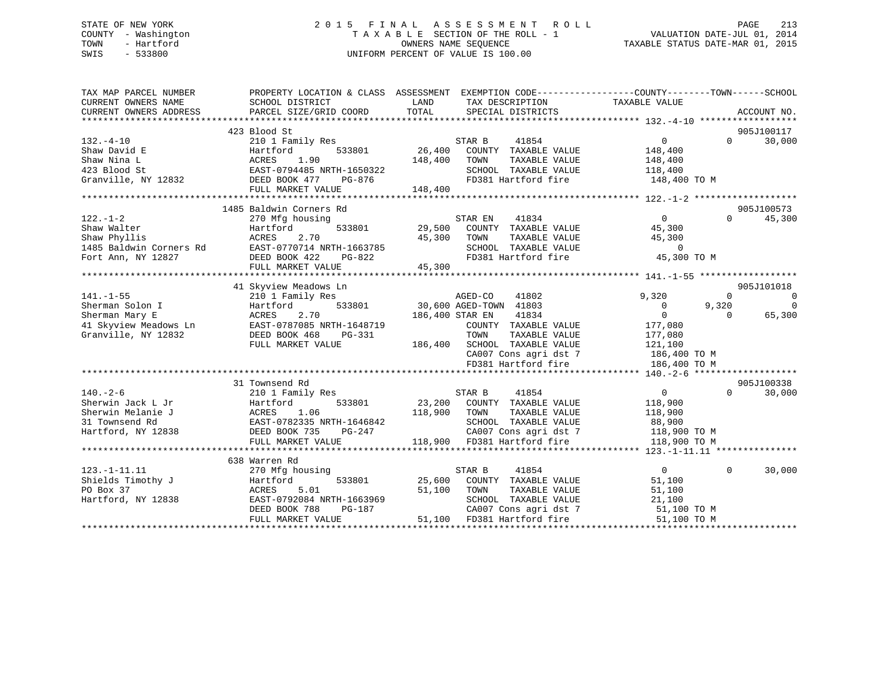# STATE OF NEW YORK 2 0 1 5 F I N A L A S S E S S M E N T R O L L PAGE 213 COUNTY - Washington T A X A B L E SECTION OF THE ROLL - 1 VALUATION DATE-JUL 01, 2014 TOWN - Hartford **TAXABLE STATUS DATE-MAR 01, 2015** OWNERS NAME SEQUENCE TAXABLE STATUS DATE-MAR 01, 2015 SWIS - 533800 UNIFORM PERCENT OF VALUE IS 100.00

| TAX MAP PARCEL NUMBER<br>CURRENT OWNERS NAME | PROPERTY LOCATION & CLASS ASSESSMENT<br>SCHOOL DISTRICT | LAND<br>TAX DESCRIPTION                           | EXEMPTION CODE-----------------COUNTY-------TOWN------SCHOOL<br>TAXABLE VALUE |
|----------------------------------------------|---------------------------------------------------------|---------------------------------------------------|-------------------------------------------------------------------------------|
| CURRENT OWNERS ADDRESS                       | PARCEL SIZE/GRID COORD                                  | TOTAL<br>SPECIAL DISTRICTS                        | ACCOUNT NO.                                                                   |
|                                              | 423 Blood St                                            |                                                   | 905J100117                                                                    |
| $132. - 4 - 10$                              | 210 1 Family Res                                        | STAR B<br>41854                                   | 30,000<br>$\overline{0}$<br>$\Omega$                                          |
| Shaw David E                                 | 533801<br>Hartford                                      | 26,400<br>COUNTY TAXABLE VALUE                    | 148,400                                                                       |
| Shaw Nina L                                  | ACRES<br>1.90                                           | 148,400<br>TOWN<br>TAXABLE VALUE                  | 148,400                                                                       |
| 423 Blood St                                 | EAST-0794485 NRTH-1650322                               | SCHOOL TAXABLE VALUE                              | 118,400                                                                       |
| Granville, NY 12832                          | DEED BOOK 477<br>PG-876                                 | FD381 Hartford fire                               | 148,400 TO M                                                                  |
|                                              | FULL MARKET VALUE                                       | 148,400                                           |                                                                               |
|                                              |                                                         |                                                   |                                                                               |
|                                              | 1485 Baldwin Corners Rd                                 |                                                   | 905J100573                                                                    |
| $122. - 1 - 2$                               | 270 Mfg housing                                         | 41834<br>STAR EN                                  | 0<br>$\Omega$<br>45,300                                                       |
| Shaw Walter                                  | Hartford<br>533801                                      | 29,500<br>COUNTY TAXABLE VALUE                    | 45,300                                                                        |
| Shaw Phyllis                                 | ACRES<br>2.70                                           | 45,300<br>TAXABLE VALUE<br>TOWN                   | 45,300                                                                        |
| 1485 Baldwin Corners Rd                      | EAST-0770714 NRTH-1663785                               | SCHOOL TAXABLE VALUE                              | $\overline{0}$                                                                |
| Fort Ann, NY 12827                           | DEED BOOK 422<br>PG-822                                 | FD381 Hartford fire                               | 45,300 TO M                                                                   |
|                                              | FULL MARKET VALUE                                       | 45,300                                            |                                                                               |
|                                              |                                                         |                                                   |                                                                               |
|                                              | 41 Skyview Meadows Ln                                   |                                                   | 905J101018                                                                    |
| $141. - 1 - 55$                              | 210 1 Family Res                                        | AGED-CO<br>41802                                  | 9,320<br>$\Omega$<br>$\Omega$                                                 |
| Sherman Solon I                              | 533801<br>Hartford                                      | 30,600 AGED-TOWN 41803                            | 9,320<br>$\Omega$<br>$\overline{0}$                                           |
| Sherman Mary E                               | 2.70<br>ACRES                                           | 186,400 STAR EN<br>41834                          | $\mathbf{0}$<br>$\Omega$<br>65,300                                            |
| 41 Skyview Meadows Ln                        | EAST-0787085 NRTH-1648719                               | COUNTY TAXABLE VALUE                              | 177,080                                                                       |
| Granville, NY 12832                          | DEED BOOK 468<br>PG-331                                 | TOWN<br>TAXABLE VALUE                             | 177,080                                                                       |
|                                              | FULL MARKET VALUE                                       | 186,400<br>SCHOOL TAXABLE VALUE                   | 121,100                                                                       |
|                                              |                                                         | CA007 Cons agri dst 7                             | 186,400 TO M                                                                  |
|                                              |                                                         | FD381 Hartford fire                               | 186,400 TO M                                                                  |
|                                              |                                                         |                                                   |                                                                               |
| $140. - 2 - 6$                               | 31 Townsend Rd                                          |                                                   | 905J100338<br>$\overline{0}$<br>$\Omega$                                      |
| Sherwin Jack L Jr                            | 210 1 Family Res<br>533801                              | STAR B<br>41854<br>23,200<br>COUNTY TAXABLE VALUE | 30,000                                                                        |
| Sherwin Melanie J                            | Hartford<br>ACRES<br>1.06                               | 118,900<br>TOWN<br>TAXABLE VALUE                  | 118,900                                                                       |
| 31 Townsend Rd                               | EAST-0782335 NRTH-1646842                               | SCHOOL TAXABLE VALUE                              | 118,900<br>88,900                                                             |
| Hartford, NY 12838                           | DEED BOOK 735<br>$PG-247$                               | CA007 Cons agri dst 7                             | 118,900 TO M                                                                  |
|                                              | FULL MARKET VALUE                                       | 118,900 FD381 Hartford fire                       | 118,900 TO M                                                                  |
|                                              |                                                         |                                                   |                                                                               |
|                                              | 638 Warren Rd                                           |                                                   |                                                                               |
| $123. - 1 - 11.11$                           | 270 Mfg housing                                         | 41854<br>STAR B                                   | $\overline{0}$<br>$\Omega$<br>30,000                                          |
| Shields Timothy J                            | 533801<br>Hartford                                      | 25,600<br>COUNTY TAXABLE VALUE                    | 51,100                                                                        |
| PO Box 37                                    | 5.01<br>ACRES                                           | 51,100<br>TOWN<br>TAXABLE VALUE                   | 51,100                                                                        |
| Hartford, NY 12838                           | EAST-0792084 NRTH-1663969                               | SCHOOL TAXABLE VALUE                              | 21,100                                                                        |
|                                              | DEED BOOK 788<br>PG-187                                 | CA007 Cons agri dst 7                             | 51,100 TO M                                                                   |
|                                              | FULL MARKET VALUE                                       | 51,100<br>FD381 Hartford fire                     | 51,100 TO M                                                                   |
|                                              |                                                         |                                                   |                                                                               |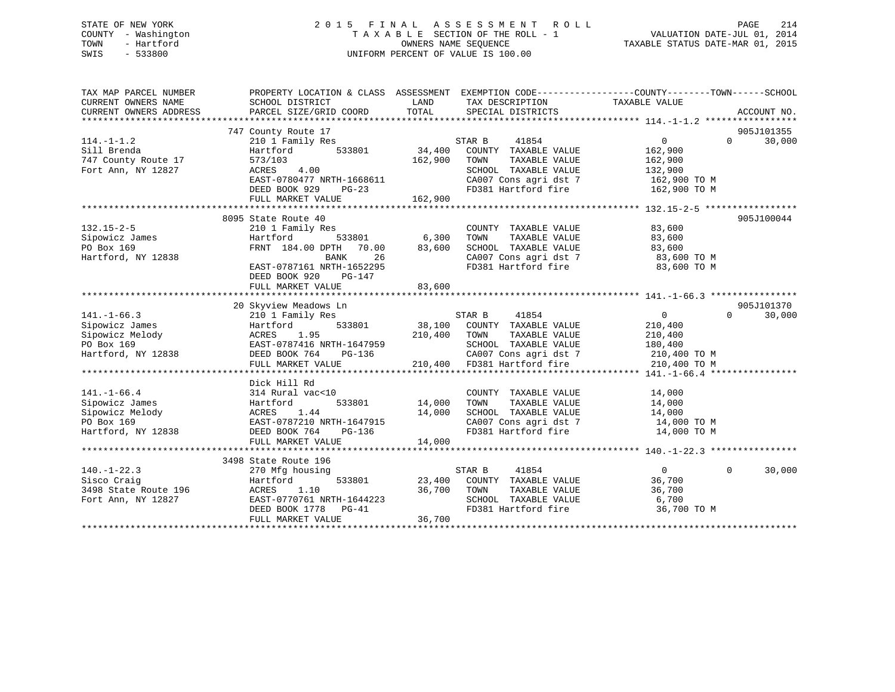# STATE OF NEW YORK 2 0 1 5 F I N A L A S S E S S M E N T R O L L PAGE 214 COUNTY - Washington T A X A B L E SECTION OF THE ROLL - 1 VALUATION DATE-JUL 01, 2014 TOWN - Hartford **TAXABLE STATUS DATE-MAR 01, 2015** OWNERS NAME SEQUENCE TAXABLE STATUS DATE-MAR 01, 2015 SWIS - 533800 UNIFORM PERCENT OF VALUE IS 100.00

| TAX MAP PARCEL NUMBER<br>CURRENT OWNERS NAME | PROPERTY LOCATION & CLASS ASSESSMENT EXEMPTION CODE---------------COUNTY-------TOWN-----SCHOOL<br>SCHOOL DISTRICT                                                                            | LAND                  | TAX DESCRIPTION                                                                                            | TAXABLE VALUE              |                    |
|----------------------------------------------|----------------------------------------------------------------------------------------------------------------------------------------------------------------------------------------------|-----------------------|------------------------------------------------------------------------------------------------------------|----------------------------|--------------------|
| CURRENT OWNERS ADDRESS                       | PARCEL SIZE/GRID COORD                                                                                                                                                                       | TOTAL                 | SPECIAL DISTRICTS                                                                                          |                            | ACCOUNT NO.        |
|                                              | 747 County Route 17                                                                                                                                                                          |                       |                                                                                                            |                            | 905J101355         |
| $114. - 1 - 1.2$                             | 210 1 Family Res                                                                                                                                                                             |                       | STAR B<br>41854                                                                                            | 0                          | $\Omega$<br>30,000 |
| Sill Brenda                                  | Hartford<br>533801                                                                                                                                                                           | 34,400                | COUNTY TAXABLE VALUE                                                                                       | 162,900                    |                    |
| 747 County Route 17                          | 573/103                                                                                                                                                                                      | 162,900               | TOWN<br>TAXABLE VALUE                                                                                      | 162,900                    |                    |
| Fort Ann, NY 12827                           | 4.00<br>ACRES                                                                                                                                                                                |                       | SCHOOL TAXABLE VALUE                                                                                       | 132,900                    |                    |
|                                              | EAST-0780477 NRTH-1668611                                                                                                                                                                    |                       |                                                                                                            |                            |                    |
|                                              | DEED BOOK 929 PG-23                                                                                                                                                                          |                       | CA007 Cons agri dst 7 162,900 TO M<br>FD381 Hartford fire 162,900 TO M                                     |                            |                    |
|                                              | FULL MARKET VALUE                                                                                                                                                                            | 162,900               |                                                                                                            |                            |                    |
|                                              |                                                                                                                                                                                              |                       |                                                                                                            |                            |                    |
|                                              | 8095 State Route 40                                                                                                                                                                          |                       |                                                                                                            |                            | 905J100044         |
|                                              | 210 1 Family Res                                                                                                                                                                             |                       | COUNTY TAXABLE VALUE                                                                                       | 83,600                     |                    |
| 132.15-2-5<br>Sipowicz James                 | Hartford                                                                                                                                                                                     | ,<br>533801     6,300 | TAXABLE VALUE<br>TAXABLE VALUE                                                                             |                            |                    |
|                                              | FRNT 184.00 DPTH 70.00                                                                                                                                                                       | 83,600                | TOWN TAXABLE VALUE 83,600<br>SCHOOL TAXABLE VALUE 83,600 TO M                                              |                            |                    |
| Hartford, NY 12838                           | 26<br>BANK                                                                                                                                                                                   |                       |                                                                                                            |                            |                    |
|                                              | EAST-0787161 NRTH-1652295                                                                                                                                                                    |                       | CA007 Cons agri dst 7<br>FD381 Hartford fire                                                               | 83,600 TO M                |                    |
|                                              | DEED BOOK 920<br>PG-147                                                                                                                                                                      |                       |                                                                                                            |                            |                    |
|                                              | FULL MARKET VALUE                                                                                                                                                                            | 83,600                |                                                                                                            |                            |                    |
|                                              |                                                                                                                                                                                              |                       |                                                                                                            |                            |                    |
|                                              | 20 Skyview Meadows Ln                                                                                                                                                                        |                       |                                                                                                            |                            | 905J101370         |
| $141. - 1 - 66.3$                            | 210 1 Family Res                                                                                                                                                                             |                       | STAR B 41854                                                                                               | $\overline{0}$<br>$\Omega$ | 30,000             |
| Sipowicz James                               | Hartford                                                                                                                                                                                     |                       | 533801 38,100 COUNTY TAXABLE VALUE                                                                         | 210,400                    |                    |
| Sipowicz Melody                              |                                                                                                                                                                                              |                       |                                                                                                            | 210,400                    |                    |
| PO Box 169                                   |                                                                                                                                                                                              |                       | SCHOOL TAXABLE VALUE 180,400                                                                               |                            |                    |
| Hartford, NY 12838                           |                                                                                                                                                                                              |                       | CA007 Cons agri dst 7 $\begin{array}{ccc} 210,400 \text{ TO M} \\ \text{F2221} & \text{H2321} \end{array}$ |                            |                    |
|                                              | ACRES 1.95 210,400 TOWN TAXABLE VALUE<br>EAST-0787416 NRTH-1647959 SCHOOL TAXABLE VALUE<br>DEED BOOK 764 PG-136 210,400 FD381 Hartford fire<br>FULL MARKET VALUE 210,400 FD381 Hartford fire |                       |                                                                                                            | 210,400 TO M               |                    |
|                                              |                                                                                                                                                                                              |                       |                                                                                                            |                            |                    |
|                                              | Dick Hill Rd                                                                                                                                                                                 |                       |                                                                                                            |                            |                    |
| $141. - 1 - 66.4$                            | 314 Rural vac<10                                                                                                                                                                             |                       | COUNTY TAXABLE VALUE                                                                                       | 14,000                     |                    |
| Sipowicz James                               | Hartford                                                                                                                                                                                     | 533801 14,000         | TOWN<br>TAXABLE VALUE                                                                                      | 14,000                     |                    |
| Sipowicz Melody                              |                                                                                                                                                                                              | 14,000                | SCHOOL TAXABLE VALUE 14,000<br>CA007 Cons agri dst 7 14,000 TO M                                           |                            |                    |
| PO Box 169                                   | ACRES 1.44<br>EAST-0787210 NRTH-1647915<br>ACRES 100 100 100 100 136                                                                                                                         |                       |                                                                                                            |                            |                    |
| Hartford, NY 12838                           |                                                                                                                                                                                              |                       | FD381 Hartford fire                                                                                        | 14,000 TO M                |                    |
|                                              | FULL MARKET VALUE                                                                                                                                                                            | 14,000                |                                                                                                            |                            |                    |
|                                              |                                                                                                                                                                                              |                       |                                                                                                            |                            |                    |
|                                              | 3498 State Route 196                                                                                                                                                                         |                       |                                                                                                            | $\Omega$                   |                    |
| $140. - 1 - 22.3$                            | 270 Mfg housing                                                                                                                                                                              |                       | 41854<br>STAR B                                                                                            | $\overline{0}$             | 30,000             |
| Sisco Craig                                  | Hartford                                                                                                                                                                                     |                       | 533801 23,400 COUNTY TAXABLE VALUE 36,700                                                                  |                            |                    |
| 3498 State Route 196                         | ACRES 1.10<br>EAST-0770761 NRTH-1644223                                                                                                                                                      |                       | 36,700 TOWN<br>TAXABLE VALUE                                                                               | 36,700                     |                    |
| Fort Ann, NY 12827                           |                                                                                                                                                                                              |                       | FD381 Hartford fire                                                                                        | 36,700 TO M                |                    |
|                                              | DEED BOOK 1778 PG-41<br>FULL MARKET VALUE                                                                                                                                                    | 36,700                |                                                                                                            |                            |                    |
|                                              |                                                                                                                                                                                              |                       |                                                                                                            |                            |                    |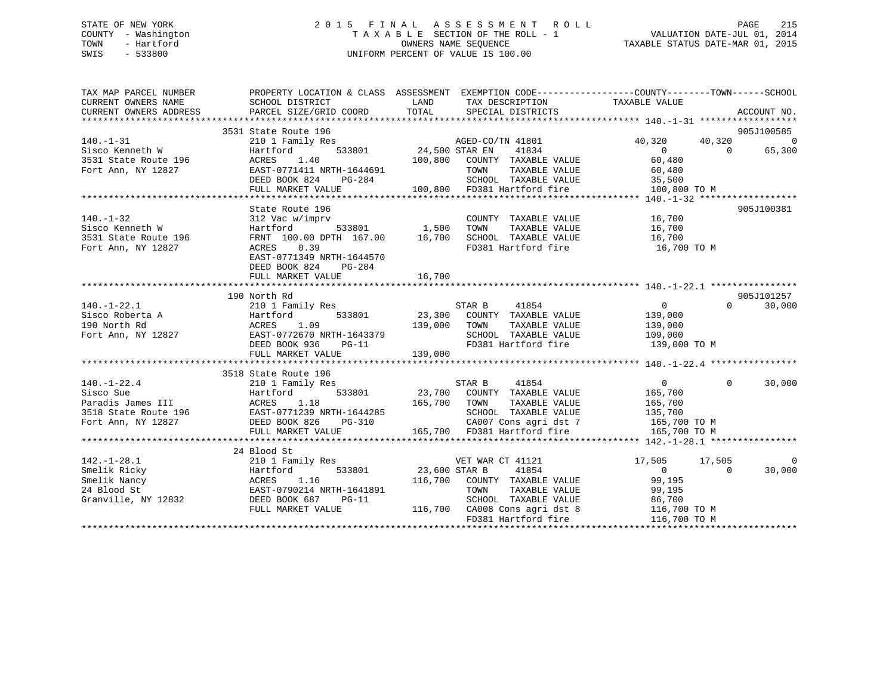# STATE OF NEW YORK 2 0 1 5 F I N A L A S S E S S M E N T R O L L PAGE 215 COUNTY - Washington T A X A B L E SECTION OF THE ROLL - 1 VALUATION DATE-JUL 01, 2014 TOWN - Hartford **TAXABLE STATUS DATE-MAR 01, 2015** OWNERS NAME SEQUENCE TAXABLE STATUS DATE-MAR 01, 2015 SWIS - 533800 UNIFORM PERCENT OF VALUE IS 100.00

| TAX MAP PARCEL NUMBER<br>CURRENT OWNERS NAME<br>CURRENT OWNERS ADDRESS           | SCHOOL DISTRICT                                                                                                                                                                                                                         | LAND TAX DESCRIPTION<br>PARCEL SIZE/GRID COORD TOTAL SPECIAL DISTRICTS                                  | PROPERTY LOCATION & CLASS ASSESSMENT EXEMPTION CODE---------------COUNTY-------TOWN-----SCHOOL<br>TAXABLE VALUE<br>ACCOUNT NO. |
|----------------------------------------------------------------------------------|-----------------------------------------------------------------------------------------------------------------------------------------------------------------------------------------------------------------------------------------|---------------------------------------------------------------------------------------------------------|--------------------------------------------------------------------------------------------------------------------------------|
| $140. - 1 - 31$<br>Sisco Kenneth W<br>Sisco Kenneth W<br>3531 State Route 196    | 3531 State Route 196<br>210 1 Family Res<br>Hartford                                                                                                                                                                                    |                                                                                                         | 905J100585<br>40,320<br>- 0<br>$\overline{0}$<br>65,300                                                                        |
|                                                                                  | 1.40<br>ACRES<br>Fort Ann, NY 12827 EAST-0771411 NRTH-1644691<br>DEED BOOK 824 PG-284<br>FULL MARKET VALUE                                                                                                                              | 4691 TOWN TAXABLE VALUE 60,480<br>84 SCHOOL TAXABLE VALUE 35,500<br>100,800 FD381 Hartford fire 100,800 | 100,800 TO M                                                                                                                   |
|                                                                                  |                                                                                                                                                                                                                                         |                                                                                                         |                                                                                                                                |
| $140. - 1 - 32$<br>Sisco Kenneth W<br>3531 State Route 196<br>Fort Ann, NY 12827 | State Route 196<br>0.39<br>ACRES<br>EAST-0771349 NRTH-1644570<br>DEED BOOK 824<br>PG-284<br>FULL MARKET VALUE                                                                                                                           | FD381 Hartford fire 16,700 TO M<br>16,700                                                               | 905J100381                                                                                                                     |
|                                                                                  |                                                                                                                                                                                                                                         |                                                                                                         |                                                                                                                                |
|                                                                                  | 190 North Rd                                                                                                                                                                                                                            |                                                                                                         | 905J101257                                                                                                                     |
|                                                                                  | 140.-1-22.1 210 1 Family ACL<br>Sisco Roberta A Hartford 533801 23,300 CODN.<br>190 North Rd ACRES 1.09 139,000 TOWN<br>Fort Ann, NY 12827 EAST-0772670 NRTH-1643379 SCHOOL<br>DEED BOOK 936 PG-11 139,000 FD381 H<br>THE MADAGER VALUE | STAR B 41854<br>23,300 COUNTY TAXABLE VALUE                                                             | $\overline{0}$<br>30,000<br>$\Omega$<br>139,000<br>TAXABLE VALUE 139,000                                                       |
|                                                                                  |                                                                                                                                                                                                                                         |                                                                                                         |                                                                                                                                |
|                                                                                  | 3518 State Route 196                                                                                                                                                                                                                    |                                                                                                         | $\Omega$<br>30,000                                                                                                             |
|                                                                                  |                                                                                                                                                                                                                                         |                                                                                                         |                                                                                                                                |
|                                                                                  |                                                                                                                                                                                                                                         |                                                                                                         |                                                                                                                                |
| $142. - 1 - 28.1$                                                                | 24 Blood St<br>210 1 Family Res<br>142.-1-28.1 210 1 Family Res<br>Smelik Ricky Hartford 533801<br>Smelik Nancy ACRES 1.16<br>24 Blood St EAST-0790214 NRTH-1641891<br>Granville, NY 12832 DEED BOOK 687 PG-11<br>FULL MARKET VALUE     | 116,700 CA008 Cons agri dst 8                                                                           | 17,505 17,505<br>$\Omega$<br>30,000<br>116,700 TO M                                                                            |
|                                                                                  |                                                                                                                                                                                                                                         | FD381 Hartford fire                                                                                     | 116,700 TO M                                                                                                                   |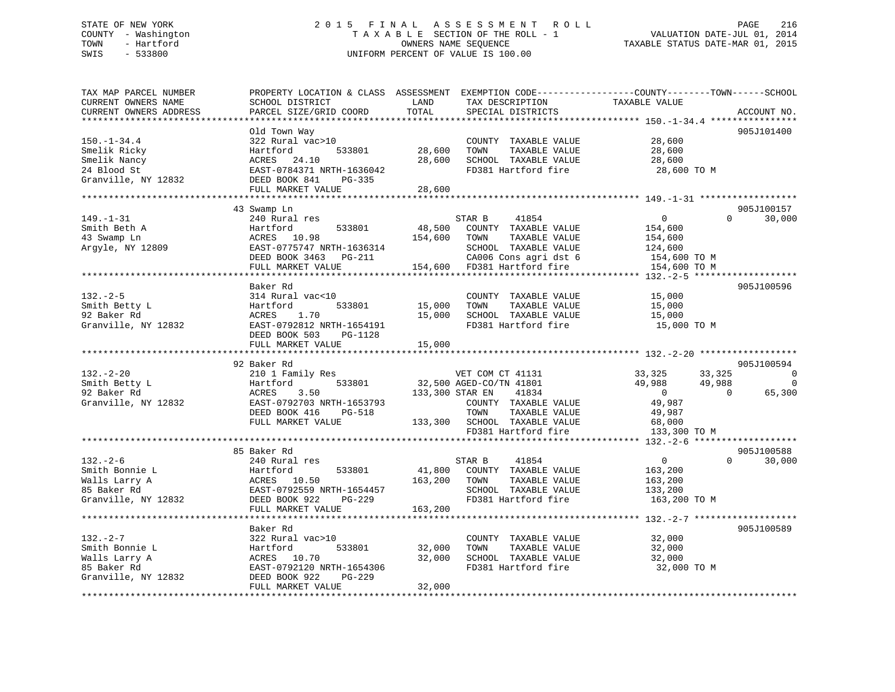# STATE OF NEW YORK 2 0 1 5 F I N A L A S S E S S M E N T R O L L PAGE 216 COUNTY - Washington T A X A B L E SECTION OF THE ROLL - 1 VALUATION DATE-JUL 01, 2014 TOWN - Hartford **TAXABLE STATUS DATE-MAR 01, 2015** OWNERS NAME SEQUENCE TAXABLE STATUS DATE-MAR 01, 2015 SWIS - 533800 UNIFORM PERCENT OF VALUE IS 100.00

| TAX MAP PARCEL NUMBER<br>CURRENT OWNERS NAME<br>CURRENT OWNERS ADDRESS                  | PROPERTY LOCATION & CLASS ASSESSMENT<br>SCHOOL DISTRICT<br>PARCEL SIZE/GRID COORD                                                                     | LAND<br>TOTAL              | TAX DESCRIPTION<br>SPECIAL DISTRICTS                                                                                                                 | EXEMPTION CODE-----------------COUNTY-------TOWN------SCHOOL<br>TAXABLE VALUE                  | ACCOUNT NO.                      |
|-----------------------------------------------------------------------------------------|-------------------------------------------------------------------------------------------------------------------------------------------------------|----------------------------|------------------------------------------------------------------------------------------------------------------------------------------------------|------------------------------------------------------------------------------------------------|----------------------------------|
| *******************                                                                     | **********************                                                                                                                                |                            |                                                                                                                                                      |                                                                                                |                                  |
| $150. - 1 - 34.4$<br>Smelik Ricky<br>Smelik Nancy<br>24 Blood St<br>Granville, NY 12832 | Old Town Way<br>322 Rural vac>10<br>Hartford<br>533801<br>ACRES<br>24.10<br>EAST-0784371 NRTH-1636042<br>DEED BOOK 841<br>PG-335<br>FULL MARKET VALUE | 28,600<br>28,600<br>28,600 | COUNTY TAXABLE VALUE<br>TOWN<br>TAXABLE VALUE<br>SCHOOL TAXABLE VALUE<br>FD381 Hartford fire                                                         | 28,600<br>28,600<br>28,600<br>28,600 TO M                                                      | 905J101400                       |
|                                                                                         | ********************                                                                                                                                  |                            |                                                                                                                                                      |                                                                                                |                                  |
| $149. - 1 - 31$<br>Smith Beth A                                                         | 43 Swamp Ln<br>240 Rural res<br>533801<br>Hartford                                                                                                    | 48,500                     | STAR B<br>41854<br>COUNTY TAXABLE VALUE                                                                                                              | $\mathbf{0}$<br>154,600                                                                        | 905J100157<br>$\Omega$<br>30,000 |
| 43 Swamp Ln<br>Argyle, NY 12809                                                         | ACRES 10.98<br>EAST-0775747 NRTH-1636314<br>DEED BOOK 3463 PG-211<br>FULL MARKET VALUE                                                                | 154,600                    | TOWN<br>TAXABLE VALUE<br>SCHOOL TAXABLE VALUE<br>CA006 Cons agri dst 6<br>154,600 FD381 Hartford fire                                                | 154,600<br>124,600<br>154,600 TO M<br>154,600 TO M                                             |                                  |
|                                                                                         | *******************************                                                                                                                       |                            |                                                                                                                                                      | ****** 132.-2-5 ******                                                                         |                                  |
|                                                                                         | Baker Rd                                                                                                                                              |                            |                                                                                                                                                      |                                                                                                | 905J100596                       |
| $132 - 2 - 5$<br>Smith Betty L<br>92 Baker Rd<br>Granville, NY 12832                    | 314 Rural vac<10<br>533801<br>Hartford<br>1.70<br>ACRES<br>EAST-0792812 NRTH-1654191<br>DEED BOOK 503<br>PG-1128<br>FULL MARKET VALUE                 | 15,000<br>15,000<br>15,000 | COUNTY TAXABLE VALUE<br>TOWN<br>TAXABLE VALUE<br>SCHOOL TAXABLE VALUE<br>FD381 Hartford fire                                                         | 15,000<br>15,000<br>15,000<br>15,000 TO M                                                      |                                  |
|                                                                                         |                                                                                                                                                       | ********                   |                                                                                                                                                      | *********** 132.-2-20 ******************                                                       |                                  |
|                                                                                         | 92 Baker Rd                                                                                                                                           |                            |                                                                                                                                                      |                                                                                                | 905J100594                       |
| $132. - 2 - 20$<br>Smith Betty L<br>92 Baker Rd<br>Granville, NY 12832                  | 210 1 Family Res<br>Hartford<br>533801<br>ACRES<br>3.50<br>EAST-0792703 NRTH-1653793<br>DEED BOOK 416<br>PG-518<br>FULL MARKET VALUE                  | 133,300 STAR EN<br>133,300 | VET COM CT 41131<br>32,500 AGED-CO/TN 41801<br>41834<br>COUNTY TAXABLE VALUE<br>TOWN<br>TAXABLE VALUE<br>SCHOOL TAXABLE VALUE<br>FD381 Hartford fire | 33,325<br>33,325<br>49,988<br>49,988<br>$\Omega$<br>49,987<br>49,987<br>68,000<br>133,300 TO M | 0<br>0<br>65,300<br>$\Omega$     |
|                                                                                         | **********************************                                                                                                                    |                            | ***********************************                                                                                                                  | ********* 132.-2-6 ********************                                                        |                                  |
| $132 - 2 - 6$<br>Smith Bonnie L<br>Walls Larry A<br>85 Baker Rd<br>Granville, NY 12832  | 85 Baker Rd<br>240 Rural res<br>Hartford<br>533801<br>ACRES 10.50<br>EAST-0792559 NRTH-1654457<br>DEED BOOK 922<br>$PG-229$                           | 41,800<br>163,200          | STAR B<br>41854<br>COUNTY TAXABLE VALUE<br>TAXABLE VALUE<br>TOWN<br>SCHOOL TAXABLE VALUE<br>FD381 Hartford fire                                      | $\overline{0}$<br>163,200<br>163,200<br>133,200<br>163,200 TO M                                | 905J100588<br>$\Omega$<br>30,000 |
|                                                                                         | FULL MARKET VALUE                                                                                                                                     | 163,200                    |                                                                                                                                                      |                                                                                                |                                  |
|                                                                                         | **********************<br>Baker Rd                                                                                                                    |                            |                                                                                                                                                      |                                                                                                | 905J100589                       |
| $132. - 2 - 7$<br>Smith Bonnie L<br>Walls Larry A<br>85 Baker Rd<br>Granville, NY 12832 | 322 Rural vac>10<br>533801<br>Hartford<br>10.70<br>ACRES<br>EAST-0792120 NRTH-1654306<br>DEED BOOK 922<br>PG-229<br>FULL MARKET VALUE                 | 32,000<br>32,000<br>32,000 | COUNTY TAXABLE VALUE<br>TOWN<br>TAXABLE VALUE<br>SCHOOL TAXABLE VALUE<br>FD381 Hartford fire                                                         | 32,000<br>32,000<br>32,000<br>32,000 TO M                                                      |                                  |
|                                                                                         |                                                                                                                                                       |                            |                                                                                                                                                      |                                                                                                |                                  |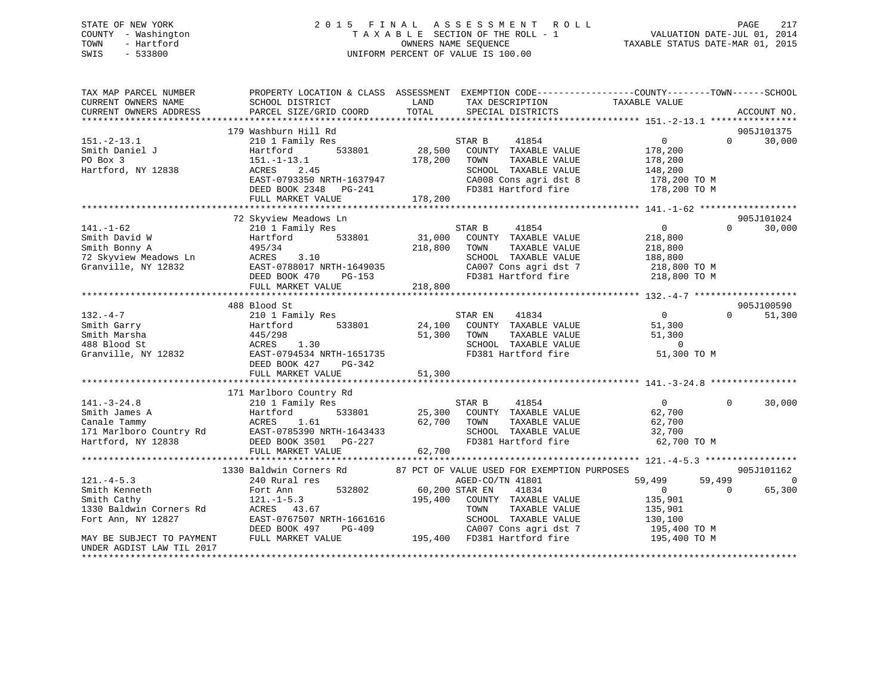## STATE OF NEW YORK 2 0 1 5 F I N A L A S S E S S M E N T R O L L PAGE 217 COUNTY - Washington T A X A B L E SECTION OF THE ROLL - 1 VALUATION DATE-JUL 01, 2014 TOWN - Hartford **TAXABLE STATUS DATE-MAR 01, 2015** OWNERS NAME SEQUENCE TAXABLE STATUS DATE-MAR 01, 2015 SWIS - 533800 UNIFORM PERCENT OF VALUE IS 100.00

| TAX MAP PARCEL NUMBER<br>CURRENT OWNERS NAME<br>CURRENT OWNERS ADDRESS                                                                                     | PROPERTY LOCATION & CLASS ASSESSMENT<br>SCHOOL DISTRICT<br>PARCEL SIZE/GRID COORD                                                                                              | LAND<br>TOTAL                | TAX DESCRIPTION<br>SPECIAL DISTRICTS                                                                                                                                                                      | EXEMPTION CODE-----------------COUNTY-------TOWN------SCHOOL<br>TAXABLE VALUE                                   | ACCOUNT NO.               |
|------------------------------------------------------------------------------------------------------------------------------------------------------------|--------------------------------------------------------------------------------------------------------------------------------------------------------------------------------|------------------------------|-----------------------------------------------------------------------------------------------------------------------------------------------------------------------------------------------------------|-----------------------------------------------------------------------------------------------------------------|---------------------------|
| $151. - 2 - 13.1$<br>Smith Daniel J<br>PO Box 3<br>Hartford, NY 12838                                                                                      | 179 Washburn Hill Rd<br>210 1 Family Res<br>533801<br>Hartford<br>$151.-1-13.1$<br>ACRES 2.45<br>EAST-0793350 NRTH-1637947<br>DEED BOOK 2348<br>PG-241<br>FULL MARKET VALUE    | 28,500<br>178,200<br>178,200 | STAR B<br>41854<br>COUNTY TAXABLE VALUE<br>TAXABLE VALUE<br>TOWN<br>SCHOOL TAXABLE VALUE<br>CA008 Cons agri dst 8<br>FD381 Hartford fire                                                                  | $\overline{0}$<br>$\Omega$<br>178,200<br>178,200<br>148,200<br>178,200 TO M<br>178,200 TO M                     | 905J101375<br>30,000      |
| $141. - 1 - 62$<br>Smith David W<br>Smith Bonny A<br>72 Skyview Meadows Ln<br>Granville, NY 12832                                                          | 72 Skyview Meadows Ln<br>210 1 Family Res<br>533801<br>Hartford<br>495/34<br>ACRES<br>3.10<br>EAST-0788017 NRTH-1649035<br>DEED BOOK 470<br>PG-153<br>FULL MARKET VALUE        | 218,800<br>218,800           | STAR B<br>41854<br>31,000 COUNTY TAXABLE VALUE<br>TAXABLE VALUE<br>TOWN<br>SCHOOL TAXABLE VALUE<br>CA007 Cons agri dst 7<br>FD381 Hartford fire                                                           | $\overline{0}$<br>$\Omega$<br>218,800<br>218,800<br>188,800<br>218,800 TO M<br>218,800 TO M                     | 905J101024<br>30,000      |
| $132 - 4 - 7$<br>Smith Garry<br>Smith Marsha<br>488 Blood St<br>Granville, NY 12832                                                                        | 488 Blood St<br>210 1 Family Res<br>Hartford 533801<br>445/298<br>ACRES 1.30<br>EAST-0794534 NRTH-1651735<br>DEED BOOK 427<br>$PG-342$<br>FULL MARKET VALUE                    | 51,300<br>51,300             | STAR EN<br>41834<br>24,100 COUNTY TAXABLE VALUE<br>TOWN<br>TAXABLE VALUE<br>SCHOOL TAXABLE VALUE<br>FD381 Hartford fire                                                                                   | $\overline{0}$<br>$\Omega$<br>51,300<br>51,300<br>$\overline{0}$<br>51,300 TO M                                 | 905J100590<br>51,300      |
| $141. - 3 - 24.8$<br>Smith James A<br>Canale Tammy<br>171 Marlboro Country Rd<br>Hartford, NY 12838                                                        | 171 Marlboro Country Rd<br>210 1 Family Res<br>Hartford<br>533801<br>ACRES<br>1.61<br>EAST-0785390 NRTH-1643433<br>DEED BOOK 3501<br>PG-227<br>FULL MARKET VALUE               | 62,700<br>62,700             | STAR B<br>41854<br>25,300 COUNTY TAXABLE VALUE<br>TOWN<br>TAXABLE VALUE<br>SCHOOL TAXABLE VALUE<br>FD381 Hartford fire                                                                                    | $\overline{0}$<br>$\Omega$<br>62,700<br>62,700<br>32,700<br>62,700 TO M                                         | 30,000                    |
| $121. -4 - 5.3$<br>Smith Kenneth<br>Smith Cathy<br>1330 Baldwin Corners Rd<br>Fort Ann, NY 12827<br>MAY BE SUBJECT TO PAYMENT<br>UNDER AGDIST LAW TIL 2017 | 1330 Baldwin Corners Rd<br>240 Rural res<br>532802<br>Fort Ann<br>$121. - 1 - 5.3$<br>ACRES 43.67<br>EAST-0767507 NRTH-1661616<br>PG-409<br>DEED BOOK 497<br>FULL MARKET VALUE | 60,200 STAR EN<br>195,400    | 87 PCT OF VALUE USED FOR EXEMPTION PURPOSES<br>AGED-CO/TN 41801<br>41834<br>COUNTY TAXABLE VALUE<br>TAXABLE VALUE<br>TOWN<br>SCHOOL TAXABLE VALUE<br>CA007 Cons agri dst 7<br>195,400 FD381 Hartford fire | 59,499<br>59,499<br>$\overline{0}$<br>$\Omega$<br>135,901<br>135,901<br>130,100<br>195,400 TO M<br>195,400 TO M | 905J101162<br>0<br>65,300 |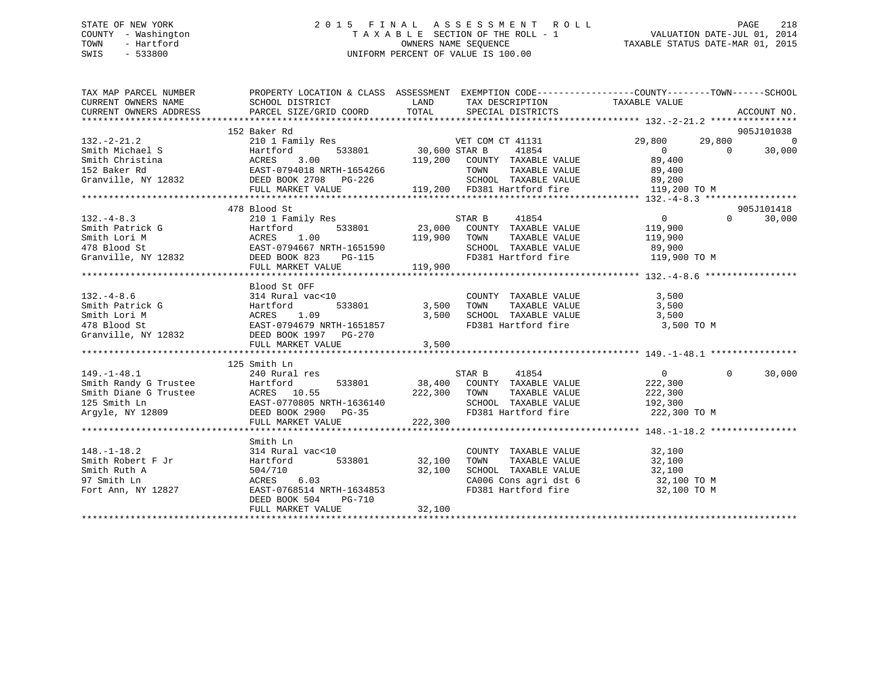## STATE OF NEW YORK 2 0 1 5 F I N A L A S S E S S M E N T R O L L PAGE 218 COUNTY - Washington T A X A B L E SECTION OF THE ROLL - 1 VALUATION DATE-JUL 01, 2014 TOWN - Hartford **TAXABLE STATUS DATE-MAR 01, 2015** OWNERS NAME SEQUENCE TAXABLE STATUS DATE-MAR 01, 2015 SWIS - 533800 UNIFORM PERCENT OF VALUE IS 100.00

| TAX MAP PARCEL NUMBER | PROPERTY LOCATION & CLASS ASSESSMENT EXEMPTION CODE----------------COUNTY-------TOWN------SCHOOL                                                                                                                                                                                        |               |                                                                                                          |                                |                              |
|-----------------------|-----------------------------------------------------------------------------------------------------------------------------------------------------------------------------------------------------------------------------------------------------------------------------------------|---------------|----------------------------------------------------------------------------------------------------------|--------------------------------|------------------------------|
| $132. -2 - 21.2$      | 152 Baker Rd<br>210 1 Family Res                                                                                                                                                                                                                                                        |               |                                                                                                          | VET COM CT 41131 29,800 29,800 | 905J101038<br>$\overline{0}$ |
|                       |                                                                                                                                                                                                                                                                                         |               |                                                                                                          |                                | $\overline{0}$               |
|                       |                                                                                                                                                                                                                                                                                         |               |                                                                                                          |                                | 30,000                       |
|                       |                                                                                                                                                                                                                                                                                         |               |                                                                                                          |                                |                              |
|                       |                                                                                                                                                                                                                                                                                         |               |                                                                                                          |                                |                              |
|                       |                                                                                                                                                                                                                                                                                         |               |                                                                                                          |                                |                              |
|                       | 30,600 STAR B<br>Smith Michael S<br>Smith Christina (ACRES 3.00<br>152 Baker Rd EAST-0794018 NRTH-1654266 TOWN TAXABLE VALUE 89,400<br>Granville, NY 12832 DEED BOOK 2708 PG-226 SCHOOL TAXABLE VALUE 119,200 TO M<br>TULL MARKET VALUE                                                 |               |                                                                                                          |                                |                              |
|                       | 478 Blood St                                                                                                                                                                                                                                                                            |               |                                                                                                          |                                | 905J101418                   |
| $132 - 4 - 8.3$       |                                                                                                                                                                                                                                                                                         |               |                                                                                                          | $\overline{0}$                 | $\Omega$<br>30,000           |
|                       |                                                                                                                                                                                                                                                                                         |               |                                                                                                          |                                |                              |
|                       |                                                                                                                                                                                                                                                                                         |               |                                                                                                          |                                |                              |
|                       |                                                                                                                                                                                                                                                                                         |               |                                                                                                          |                                |                              |
|                       |                                                                                                                                                                                                                                                                                         |               | SCHOOL TAXABLE VALUE                      89,900<br>FD381 Hartford fire                     119,900 TO M |                                |                              |
|                       |                                                                                                                                                                                                                                                                                         |               |                                                                                                          |                                |                              |
|                       |                                                                                                                                                                                                                                                                                         |               |                                                                                                          |                                |                              |
|                       | Blood St OFF                                                                                                                                                                                                                                                                            |               |                                                                                                          |                                |                              |
|                       |                                                                                                                                                                                                                                                                                         |               |                                                                                                          |                                |                              |
|                       |                                                                                                                                                                                                                                                                                         |               |                                                                                                          |                                |                              |
|                       |                                                                                                                                                                                                                                                                                         |               |                                                                                                          |                                |                              |
|                       |                                                                                                                                                                                                                                                                                         |               | FD381 Hartford fire 3,500 TO M                                                                           |                                |                              |
|                       |                                                                                                                                                                                                                                                                                         |               |                                                                                                          |                                |                              |
|                       | 132.-4-8.6<br>Smith Patrick G<br>Smith Lori M<br>478 Blood St<br>Granville, NY 12832<br>Granville, NY 12832<br>FULL MARKET VALUE<br>FULL MARKET VALUE<br>FULL MARKET VALUE<br>76-270<br>3,500<br>3,500<br>8,500<br>8,500<br>8,500<br>8,500<br>8,500<br>8,500<br>8,<br>FULL MARKET VALUE |               |                                                                                                          |                                |                              |
|                       |                                                                                                                                                                                                                                                                                         | 3,500         |                                                                                                          |                                |                              |
|                       | 125 Smith Ln                                                                                                                                                                                                                                                                            |               |                                                                                                          |                                |                              |
| $149. - 1 - 48.1$     | 240 Rural res                                                                                                                                                                                                                                                                           |               |                                                                                                          | $\overline{0}$<br>$\Omega$     | 30,000                       |
|                       |                                                                                                                                                                                                                                                                                         |               | STAR B<br>41854                                                                                          |                                |                              |
|                       |                                                                                                                                                                                                                                                                                         |               | 533801 38,400 COUNTY TAXABLE VALUE 222,300                                                               |                                |                              |
|                       |                                                                                                                                                                                                                                                                                         | 222,300 TOWN  | TAXABLE VALUE<br>SCHOOL TAXABLE VALUE 192,300                                                            | 222,300                        |                              |
|                       |                                                                                                                                                                                                                                                                                         |               |                                                                                                          |                                |                              |
|                       |                                                                                                                                                                                                                                                                                         |               | FD381 Hartford fire 222,300 TO M                                                                         |                                |                              |
|                       | 149.-1-48.1<br>Smith Randy G Trustee<br>Smith Diane G Trustee<br>125 Smith Ln<br>Argyle, NY 12809<br>222,300<br>PULL MARKET VALUE<br>222,300<br>PULL MARKET VALUE<br>222,300<br>222,300<br>222,300<br>222,300<br>222,300<br>222,300                                                     |               |                                                                                                          |                                |                              |
|                       |                                                                                                                                                                                                                                                                                         |               |                                                                                                          |                                |                              |
|                       | Smith Ln<br>314 Rural vac<10                                                                                                                                                                                                                                                            |               |                                                                                                          |                                |                              |
| $148. - 1 - 18.2$     |                                                                                                                                                                                                                                                                                         |               | COUNTY TAXABLE VALUE                                                                                     | 32,100                         |                              |
| Smith Robert F Jr     | Hartford                                                                                                                                                                                                                                                                                | 533801 32,100 | TOWN                                                                                                     | TAXABLE VALUE 32,100           |                              |
| Smith Ruth A          | 504/710 32,100<br>ACRES 6.03 32,100                                                                                                                                                                                                                                                     |               | SCHOOL TAXABLE VALUE 32,100<br>CA006 Cons agri dst 6 32,100 TO M<br>FD381 Hartford fire 32,100 TO M      |                                |                              |
| 97 Smith Ln           | ACRES        6.03<br>EAST-0768514  NRTH-1634853                                                                                                                                                                                                                                         |               |                                                                                                          |                                |                              |
| Fort Ann, NY 12827    |                                                                                                                                                                                                                                                                                         |               |                                                                                                          |                                |                              |
|                       | DEED BOOK 504<br><b>PG-710</b>                                                                                                                                                                                                                                                          |               |                                                                                                          |                                |                              |
|                       |                                                                                                                                                                                                                                                                                         |               |                                                                                                          |                                |                              |
|                       |                                                                                                                                                                                                                                                                                         |               |                                                                                                          |                                |                              |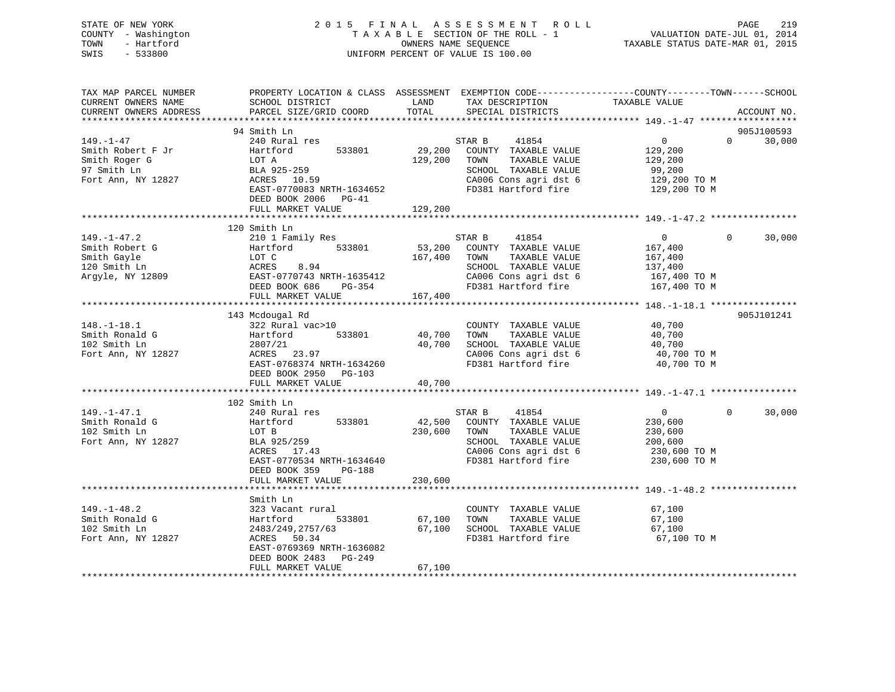## STATE OF NEW YORK 2 0 1 5 F I N A L A S S E S S M E N T R O L L PAGE 219 COUNTY - Washington T A X A B L E SECTION OF THE ROLL - 1 VALUATION DATE-JUL 01, 2014 TOWN - Hartford **TAXABLE STATUS DATE-MAR 01, 2015** OWNERS NAME SEQUENCE TAXABLE STATUS DATE-MAR 01, 2015 SWIS - 533800 UNIFORM PERCENT OF VALUE IS 100.00

| TAX MAP PARCEL NUMBER  | PROPERTY LOCATION & CLASS ASSESSMENT EXEMPTION CODE----------------COUNTY-------TOWN------SCHOOL |         |                                   |                |          |             |
|------------------------|--------------------------------------------------------------------------------------------------|---------|-----------------------------------|----------------|----------|-------------|
| CURRENT OWNERS NAME    | SCHOOL DISTRICT                                                                                  | LAND    | TAX DESCRIPTION                   | TAXABLE VALUE  |          |             |
| CURRENT OWNERS ADDRESS | PARCEL SIZE/GRID COORD                                                                           | TOTAL   | SPECIAL DISTRICTS                 |                |          | ACCOUNT NO. |
|                        |                                                                                                  |         |                                   |                |          |             |
|                        | 94 Smith Ln                                                                                      |         |                                   |                |          | 905J100593  |
| 149. – 1–47            | 240 Rural res                                                                                    |         | 41854<br>STAR B                   | $\overline{0}$ | $\Omega$ | 30,000      |
| Smith Robert F Jr      | 533801<br>Hartford                                                                               | 29,200  | COUNTY TAXABLE VALUE              | 129,200        |          |             |
| Smith Roger G          | LOT A                                                                                            | 129,200 | TOWN<br>TAXABLE VALUE             | 129,200        |          |             |
| 97 Smith Ln            | BLA 925-259                                                                                      |         | SCHOOL TAXABLE VALUE              | 99,200         |          |             |
| Fort Ann, NY 12827     | ACRES 10.59                                                                                      |         | CA006 Cons agri dst 6             | 129,200 TO M   |          |             |
|                        | EAST-0770083 NRTH-1634652                                                                        |         | FD381 Hartford fire 129,200 TO M  |                |          |             |
|                        | DEED BOOK 2006 PG-41                                                                             |         |                                   |                |          |             |
|                        | FULL MARKET VALUE                                                                                | 129,200 |                                   |                |          |             |
|                        |                                                                                                  |         |                                   |                |          |             |
|                        | 120 Smith Ln                                                                                     |         |                                   |                |          |             |
| $149. - 1 - 47.2$      | 210 1 Family Res                                                                                 |         | STAR B<br>41854                   | $\overline{0}$ | $\Omega$ | 30,000      |
| Smith Robert G         | 533801<br>Hartford                                                                               |         | 53,200 COUNTY TAXABLE VALUE       | 167,400        |          |             |
| Smith Gayle            | LOT C<br>ACRES     8.94<br>EAST-0770743 NRTH-1635412                                             | 167,400 | TOWN<br>TAXABLE VALUE             | 167,400        |          |             |
| 120 Smith Ln           |                                                                                                  |         | SCHOOL TAXABLE VALUE              | 137,400        |          |             |
| Argyle, NY 12809       |                                                                                                  |         | CA006 Cons agri dst 6             | $167,400$ TO M |          |             |
|                        | DEED BOOK 686<br>PG-354                                                                          |         | FD381 Hartford fire               | 167,400 ТО М   |          |             |
|                        | FULL MARKET VALUE                                                                                | 167,400 |                                   |                |          |             |
|                        |                                                                                                  |         |                                   |                |          |             |
|                        | 143 Mcdougal Rd                                                                                  |         |                                   |                |          | 905J101241  |
| $148. - 1 - 18.1$      | 322 Rural vac>10                                                                                 |         | COUNTY TAXABLE VALUE              | 40,700         |          |             |
| Smith Ronald G         | 533801                                                                                           | 40,700  | TOWN<br>TAXABLE VALUE             | 40,700         |          |             |
| 102 Smith Ln           | Hartford<br>2807/21<br>2807/21                                                                   | 40,700  | SCHOOL TAXABLE VALUE              | 40,700         |          |             |
| Fort Ann, NY 12827     | ACRES 23.97                                                                                      |         | CA006 Cons agri dst 6 40,700 TO M |                |          |             |
|                        | EAST-0768374 NRTH-1634260                                                                        |         | FD381 Hartford fire               | 40,700 TO M    |          |             |
|                        | DEED BOOK 2950 PG-103                                                                            |         |                                   |                |          |             |
|                        | FULL MARKET VALUE                                                                                | 40,700  |                                   |                |          |             |
|                        |                                                                                                  |         |                                   |                |          |             |
|                        | 102 Smith Ln                                                                                     |         |                                   |                |          |             |
| $149. - 1 - 47.1$      | 240 Rural res                                                                                    |         | STAR B<br>41854                   | $\overline{0}$ | $\Omega$ | 30,000      |
| Smith Ronald G         | 533801<br>Hartford                                                                               | 42,500  | COUNTY TAXABLE VALUE              | 230,600        |          |             |
| 102 Smith Ln           | LOT B                                                                                            | 230,600 | TOWN<br>TAXABLE VALUE             | 230,600        |          |             |
| Fort Ann, NY 12827     | BLA 925/259                                                                                      |         | SCHOOL TAXABLE VALUE              | 200,600        |          |             |
|                        | ACRES 17.43                                                                                      |         | CA006 Cons agri dst 6             | 230,600 TO M   |          |             |
|                        | EAST-0770534 NRTH-1634640                                                                        |         | FD381 Hartford fire               | 230,600 TO M   |          |             |
|                        | DEED BOOK 359<br>PG-188                                                                          |         |                                   |                |          |             |
|                        | FULL MARKET VALUE                                                                                | 230,600 |                                   |                |          |             |
|                        |                                                                                                  |         |                                   |                |          |             |
|                        | Smith Ln                                                                                         |         |                                   |                |          |             |
| $149. - 1 - 48.2$      | 323 Vacant rural                                                                                 |         | COUNTY TAXABLE VALUE              | 67,100         |          |             |
| Smith Ronald G         | Hartford<br>533801                                                                               | 67,100  | TOWN<br>TAXABLE VALUE             | 67,100         |          |             |
| 102 Smith Ln           | 2483/249,2757/63                                                                                 | 67,100  | SCHOOL TAXABLE VALUE              | 67,100         |          |             |
| Fort Ann, NY 12827     | ACRES 50.34                                                                                      |         | FD381 Hartford fire               | 67,100 TO M    |          |             |
|                        | EAST-0769369 NRTH-1636082                                                                        |         |                                   |                |          |             |
|                        | DEED BOOK 2483 PG-249                                                                            |         |                                   |                |          |             |
|                        | FULL MARKET VALUE                                                                                | 67,100  |                                   |                |          |             |
|                        |                                                                                                  |         |                                   |                |          |             |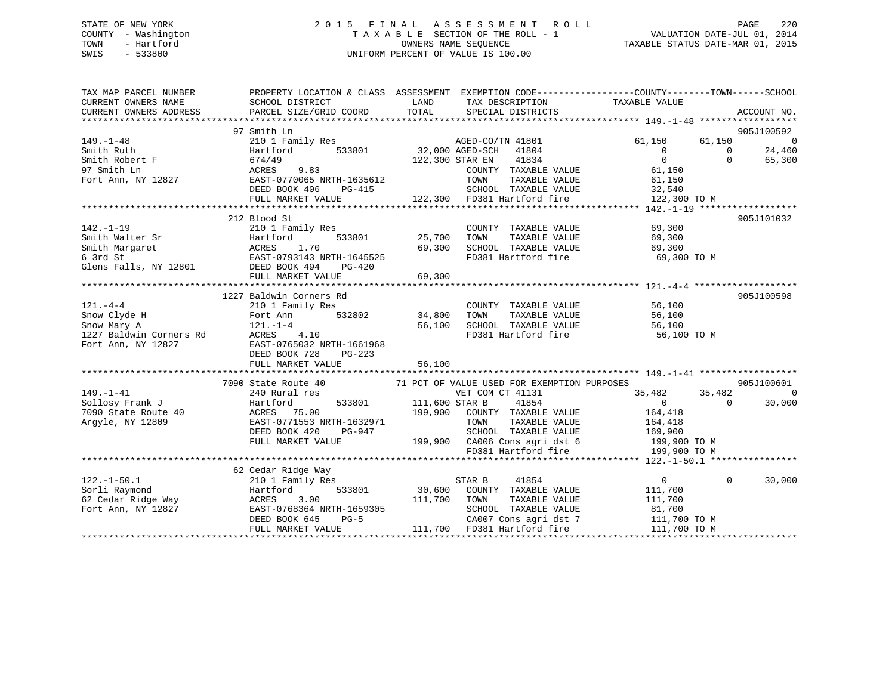## STATE OF NEW YORK 2 0 1 5 F I N A L A S S E S S M E N T R O L L PAGE 220 COUNTY - Washington T A X A B L E SECTION OF THE ROLL - 1 VALUATION DATE-JUL 01, 2014 TOWN - Hartford **TAXABLE STATUS DATE-MAR 01, 2015** OWNERS NAME SEQUENCE TAXABLE STATUS DATE-MAR 01, 2015 SWIS - 533800 UNIFORM PERCENT OF VALUE IS 100.00

| TAX MAP PARCEL NUMBER<br>THA WAP PARCEL NOWBER<br>CURRENT OWNERS NAME SCHOOL DISTRICT<br>CURRENT OWNERS ADDRESS PARCEL SIZE/GRIL | PROPERTY LOCATION & CLASS ASSESSMENT EXEMPTION CODE----------------COUNTY-------TOWN------SCHOOL                                                                                                                                                                              |        |                                                                                                                |                                                   |                    |
|----------------------------------------------------------------------------------------------------------------------------------|-------------------------------------------------------------------------------------------------------------------------------------------------------------------------------------------------------------------------------------------------------------------------------|--------|----------------------------------------------------------------------------------------------------------------|---------------------------------------------------|--------------------|
|                                                                                                                                  |                                                                                                                                                                                                                                                                               |        |                                                                                                                |                                                   |                    |
|                                                                                                                                  | 97 Smith Ln                                                                                                                                                                                                                                                                   |        |                                                                                                                |                                                   | 905J100592         |
| $149. -1 - 48$                                                                                                                   | 210 1 Family Res<br>Hartford 533801 32,000 AGED-SCH 41804<br>674/49 533801 122,300 STAR EN 41834                                                                                                                                                                              |        |                                                                                                                | $61,150$ $61,150$ 0<br>0<br>0<br>0<br>0<br>55,300 |                    |
|                                                                                                                                  |                                                                                                                                                                                                                                                                               |        |                                                                                                                |                                                   |                    |
|                                                                                                                                  |                                                                                                                                                                                                                                                                               |        |                                                                                                                |                                                   |                    |
|                                                                                                                                  | Smith Robert F<br>97 Smith Ln<br>97 Smith Ln<br>Port Ann, NY 12827<br>Fort Ann, NY 12827<br>EAST-0770065 NRTH-1635612                                                                                                                                                         |        | COUNTY TAXABLE VALUE 61,150<br>TOWN TAXABLE VALUE 61,150                                                       | 61,150                                            |                    |
|                                                                                                                                  |                                                                                                                                                                                                                                                                               |        |                                                                                                                |                                                   |                    |
|                                                                                                                                  |                                                                                                                                                                                                                                                                               |        |                                                                                                                |                                                   |                    |
|                                                                                                                                  |                                                                                                                                                                                                                                                                               |        |                                                                                                                |                                                   |                    |
|                                                                                                                                  |                                                                                                                                                                                                                                                                               |        |                                                                                                                |                                                   |                    |
|                                                                                                                                  | 212 Blood St                                                                                                                                                                                                                                                                  |        |                                                                                                                |                                                   | 905J101032         |
|                                                                                                                                  |                                                                                                                                                                                                                                                                               |        | COUNTY TAXABLE VALUE 69,300                                                                                    |                                                   |                    |
|                                                                                                                                  |                                                                                                                                                                                                                                                                               |        | TOWN TAXABLE VALUE 69,300<br>SCHOOL TAXABLE VALUE 69,300                                                       |                                                   |                    |
|                                                                                                                                  |                                                                                                                                                                                                                                                                               |        |                                                                                                                |                                                   |                    |
|                                                                                                                                  |                                                                                                                                                                                                                                                                               |        |                                                                                                                | FD381 Hartford fire 69,300 TO M                   |                    |
|                                                                                                                                  | 142.-1-19<br>Smith Walter Sr (COUNT:<br>Smith Margaret Hartford 533801 25,700 TOWN<br>69,300 SCHOOI<br>69,300 SCHOOI<br>69,300 SCHOOI<br>69,300 SCHOOI<br>69,300 SCHOOI<br>69,300 SCHOOI<br>EED BOOK 494 PG-420<br>FULL MARKET VALUE 69.300                                   |        |                                                                                                                |                                                   |                    |
|                                                                                                                                  | FULL MARKET VALUE                                                                                                                                                                                                                                                             |        |                                                                                                                |                                                   |                    |
|                                                                                                                                  |                                                                                                                                                                                                                                                                               |        |                                                                                                                |                                                   |                    |
|                                                                                                                                  | 1227 Baldwin Corners Rd                                                                                                                                                                                                                                                       |        |                                                                                                                |                                                   | 905J100598         |
|                                                                                                                                  |                                                                                                                                                                                                                                                                               |        | COUNTY TAXABLE VALUE 56,100                                                                                    |                                                   |                    |
|                                                                                                                                  |                                                                                                                                                                                                                                                                               |        |                                                                                                                |                                                   |                    |
|                                                                                                                                  |                                                                                                                                                                                                                                                                               |        |                                                                                                                |                                                   |                    |
|                                                                                                                                  |                                                                                                                                                                                                                                                                               |        | 56,100<br>34,800 TOWN TAXABLE VALUE 56,100<br>56,100 SCHOOL TAXABLE VALUE 56,100<br>FD381 Hartford fire 56,100 | FD381 Hartford fire 56,100 TO M                   |                    |
|                                                                                                                                  |                                                                                                                                                                                                                                                                               |        |                                                                                                                |                                                   |                    |
|                                                                                                                                  | 121.-4-4<br>Show Clyde H<br>Show Mary A<br>121.-1-4<br>1227 Baldwin Corners Rd<br>Fort Ann, NY 12827<br>12827<br>12827<br>12827<br>12827<br>12827<br>12827<br>12827<br>12827<br>12827<br>12827<br>12827<br>12827<br>12827<br>12827<br>12827<br>12827<br>12827<br>12827<br>128 |        |                                                                                                                |                                                   |                    |
|                                                                                                                                  | FULL MARKET VALUE                                                                                                                                                                                                                                                             | 56,100 |                                                                                                                |                                                   |                    |
|                                                                                                                                  |                                                                                                                                                                                                                                                                               |        |                                                                                                                |                                                   |                    |
|                                                                                                                                  | 7090 State Route 40<br>71 PCT OF VALUE USED FOR EXEMPTION PURPOSES<br>71 PCT OF VALUE USED FOR EXEMPTION PURPOSES<br>701 DESITENT COM CT 41131<br>735,482<br>7090 State Route 40<br>7090 State Route 40<br>7090 State Route 40<br>83,000<br>80,0                              |        |                                                                                                                |                                                   |                    |
|                                                                                                                                  |                                                                                                                                                                                                                                                                               |        |                                                                                                                |                                                   |                    |
|                                                                                                                                  |                                                                                                                                                                                                                                                                               |        |                                                                                                                |                                                   |                    |
|                                                                                                                                  |                                                                                                                                                                                                                                                                               |        |                                                                                                                |                                                   |                    |
|                                                                                                                                  |                                                                                                                                                                                                                                                                               |        |                                                                                                                |                                                   |                    |
|                                                                                                                                  |                                                                                                                                                                                                                                                                               |        |                                                                                                                |                                                   |                    |
|                                                                                                                                  |                                                                                                                                                                                                                                                                               |        |                                                                                                                |                                                   |                    |
|                                                                                                                                  | EAST-0771553 NRTH-1632971<br>DEED BOOK 420 PG-947 SCHOOL TAXABLE VALUE<br>FULL MARKET VALUE 199,900 CA006 Cons agri dst 6 199,900 TO M<br>FULL MARKET VALUE 199,900 CA006 Cons agri dst 6 199,900 TO M<br>FD381 Hartford fire<br>FID381                                       |        |                                                                                                                |                                                   |                    |
|                                                                                                                                  |                                                                                                                                                                                                                                                                               |        |                                                                                                                |                                                   |                    |
|                                                                                                                                  | 62 Cedar Ridge Way                                                                                                                                                                                                                                                            |        |                                                                                                                |                                                   |                    |
| $122. - 1 - 50.1$                                                                                                                | Cedar Ridge Way<br>210 1 Family Res                                                                                                                                                                                                                                           |        | 41854<br>STAR B                                                                                                | $\overline{0}$                                    | $\Omega$<br>30,000 |
|                                                                                                                                  |                                                                                                                                                                                                                                                                               |        |                                                                                                                |                                                   |                    |
|                                                                                                                                  |                                                                                                                                                                                                                                                                               |        |                                                                                                                |                                                   |                    |
|                                                                                                                                  |                                                                                                                                                                                                                                                                               |        |                                                                                                                |                                                   |                    |
|                                                                                                                                  |                                                                                                                                                                                                                                                                               |        |                                                                                                                |                                                   |                    |
|                                                                                                                                  |                                                                                                                                                                                                                                                                               |        |                                                                                                                |                                                   |                    |
|                                                                                                                                  |                                                                                                                                                                                                                                                                               |        |                                                                                                                |                                                   |                    |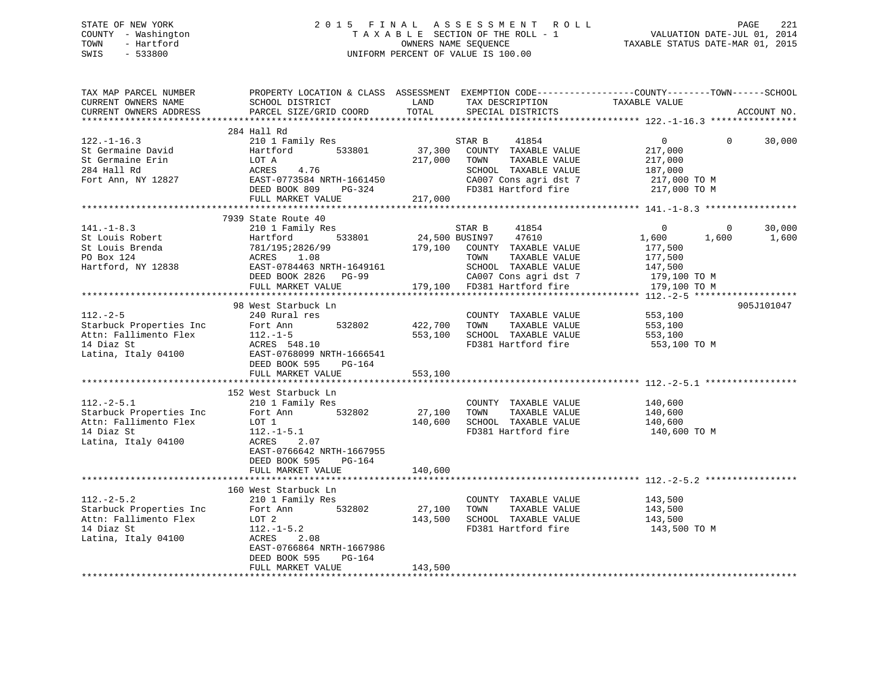## STATE OF NEW YORK 2 0 1 5 F I N A L A S S E S S M E N T R O L L PAGE 221 COUNTY - Washington T A X A B L E SECTION OF THE ROLL - 1 VALUATION DATE-JUL 01, 2014 TOWN - Hartford **TAXABLE STATUS DATE-MAR 01, 2015** OWNERS NAME SEQUENCE TAXABLE STATUS DATE-MAR 01, 2015 SWIS - 533800 UNIFORM PERCENT OF VALUE IS 100.00

| TAX MAP PARCEL NUMBER<br>CURRENT OWNERS NAME<br>CURRENT OWNERS ADDRESS                                                                                                                                                        | PROPERTY LOCATION & CLASS ASSESSMENT EXEMPTION CODE----------------COUNTY-------TOWN------SCHOOL<br><b>Example 12</b> LAND<br>SCHOOL DISTRICT<br>PARCEL SIZE/GRID COORD                                                  | TOTAL                          | TAX DESCRIPTION TAXABLE VALUE<br>SPECIAL DISTRICTS                                                                                                                                                                                                                                                                                                                                                                                                                                                                                                      |                                                                           | ACCOUNT NO.        |
|-------------------------------------------------------------------------------------------------------------------------------------------------------------------------------------------------------------------------------|--------------------------------------------------------------------------------------------------------------------------------------------------------------------------------------------------------------------------|--------------------------------|---------------------------------------------------------------------------------------------------------------------------------------------------------------------------------------------------------------------------------------------------------------------------------------------------------------------------------------------------------------------------------------------------------------------------------------------------------------------------------------------------------------------------------------------------------|---------------------------------------------------------------------------|--------------------|
| $122. - 1 - 16.3$<br>St Germaine David<br>St Germaine Erin<br>284 Hall Rd<br>Fort Ann, NY 12827<br>EAST-0773584 NRTH-1661450                                                                                                  | 284 Hall Rd<br>210 1 Family Res<br>533801<br>DEED BOOK 809 PG-324<br>FULL MARKET VALUE                                                                                                                                   | 217,000 TOWN<br>217,000        | STAR B<br>41854<br>37,300 COUNTY TAXABLE VALUE<br>TAXABLE VALUE<br>SCHOOL TAXABLE VALUE 187,000<br>CA007 Cons agri dst 7 1217,000 TO M<br>FD381 Hartford fire                                                                                                                                                                                                                                                                                                                                                                                           | $\overline{0}$<br>217,000<br>217,000<br>217,000 TO M                      | $\Omega$<br>30,000 |
| $141. - 1 - 8.3$<br>St Louis Robert<br>St Louis Brenda<br>PO Box 124<br>Hartford, NY 12838                                                                                                                                    | 7939 State Route 40<br>210 1 Family Res<br>533801<br>Hartford !<br>781/195;2826/99<br>ACRES 1.08<br>EAST-0784463 NRTI<br>EAST-0784463 NRTH-1649161<br>DEED BOOK 2926 - 1955<br>DEED BOOK 2826 PG-99<br>FULL MARKET VALUE |                                | STAR B<br>41854<br>24,500 BUSIN97 47610<br>179,100 COUNTY TAXABLE VALUE<br>TOWN<br>TAXABLE VALUE<br>SCHOOL TAXABLE VALUE<br>2G-99 2G-99 CA007 Cons agridst 7<br>179,100 TO M 5D381 Hartford fire 179,100 TO M                                                                                                                                                                                                                                                                                                                                           | $\Omega$<br>$\bigcirc$<br>1,600<br>1,600<br>177,500<br>177,500<br>147,500 | 30,000<br>1,600    |
| $112. - 2 - 5$<br>Starbuck Properties Inc Fort Ann<br>Attn: Fallimento Flex<br>112.-1-5<br>14 Diaz St<br>Latina, Italy 04100<br>DEED BOOK 595<br>PG-164<br>REED BOOK 595<br>PG-164                                            | 98 West Starbuck Ln<br>240 Rural res<br>FULL MARKET VALUE                                                                                                                                                                | 532802 422,700 TOWN<br>553,100 | COUNTY TAXABLE VALUE<br>TAXABLE VALUE<br>553,100 SCHOOL TAXABLE VALUE<br>FD381 Hartford fire                                                                                                                                                                                                                                                                                                                                                                                                                                                            | 553,100<br>553,100<br>553,100<br>553,100 TO M                             | 905J101047         |
| Continues the control of the Starbuck Properties Inc 210 1 Family Res<br>Starbuck Properties Inc Fort Ann 532802<br>Attn: Fallimento Flex LOT 1<br>14 Diaz St<br>Latina The Control Control 212.-1-5.1<br>Latina, Italy 04100 | 152 West Starbuck Ln<br>210 1 Family Res<br>2.07<br>ACRES<br>EAST-0766642 NRTH-1667955<br>DEED BOOK 595<br>PG-164<br>FULL MARKET VALUE                                                                                   | 27,100<br>140,600<br>140,600   | $\begin{tabular}{llllll} \multicolumn{2}{l}{{\small \texttt{COUNTY}}} & \multicolumn{2}{l}{\small \texttt{TAXABLE} } \texttt{VALUE} & \multicolumn{2}{l}{\small \texttt{140,600}} \\ \multicolumn{2}{l}{\small \texttt{TONNN}} & \multicolumn{2}{l}{\small \texttt{TAXABLE} } \texttt{VALUE} & \multicolumn{2}{l}{\small \texttt{140,600}} \\ \multicolumn{2}{l}{\small \texttt{TONNN}} & \multicolumn{2}{l}{\small \texttt{TAXABLE} } \texttt{VALUE} & \multicolumn{2}{l}{\small \texttt{140,6$<br>SCHOOL TAXABLE VALUE 140,600<br>FD381 Hartford fire | 140,600 TO M                                                              |                    |
| $112.-2-5.2$<br>Starbuck Properties Inc 532802 27,100 TOWN<br>Attn: Fallimento Flex<br>14 Diaz St<br>Latina, Italy 04100                                                                                                      | 160 West Starbuck Ln<br>210 1 Family Res<br>LOT 2<br>$112. - 1 - 5.2$<br>ACRES<br>2.08<br>EAST-0766864 NRTH-1667986<br>DEED BOOK 595<br>PG-164<br>FULL MARKET VALUE                                                      | 143,500                        | COUNTY TAXABLE VALUE<br>TAXABLE VALUE<br>143,500 SCHOOL TAXABLE VALUE<br>FD381 Hartford fire 143,500 TO M                                                                                                                                                                                                                                                                                                                                                                                                                                               | 143,500<br>143,500<br>143,500                                             |                    |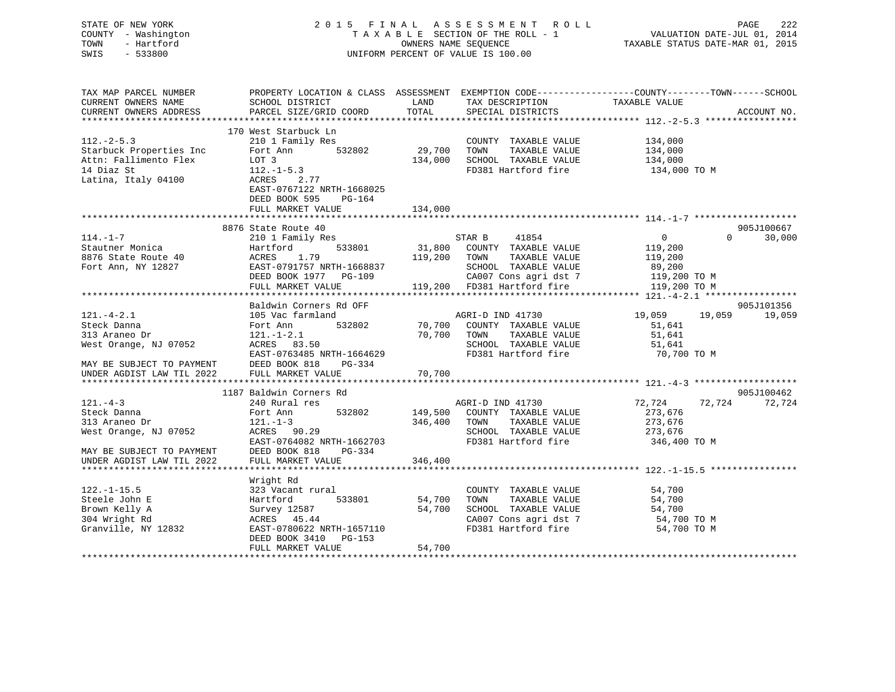| STATE OF NEW YORK<br>COUNTY - Washington<br>- Hartford<br>TOWN<br>SWIS - 533800                                 |                                                                                                                                                                                                           |             | 2015 FINAL ASSESSMENT ROLL<br>PAGE 222 PAGE 222<br>TAXABLE SECTION OF THE ROLL - 1 VALUATION DATE-JUL 01, 2014<br>OWNERS NAME SEQUENCE TAXABLE STATUS DATE-MAR 01, 2015<br>UNIFORM PERCENT OF VALUE IS 100.00 |                            | 222<br>PAGE          |
|-----------------------------------------------------------------------------------------------------------------|-----------------------------------------------------------------------------------------------------------------------------------------------------------------------------------------------------------|-------------|---------------------------------------------------------------------------------------------------------------------------------------------------------------------------------------------------------------|----------------------------|----------------------|
| TAX MAP PARCEL NUMBER<br>CURRENT OWNERS NAME                                                                    | PROPERTY LOCATION & CLASS ASSESSMENT EXEMPTION CODE----------------COUNTY-------TOWN------SCHOOL<br>SCHOOL DISTRICT                                                                                       |             | LAND TAX DESCRIPTION TAXABLE VALUE                                                                                                                                                                            |                            |                      |
| CURRENT OWNERS ADDRESS                                                                                          | PARCEL SIZE/GRID COORD TOTAL SPECIAL DISTRICTS                                                                                                                                                            |             |                                                                                                                                                                                                               |                            | ACCOUNT NO.          |
|                                                                                                                 |                                                                                                                                                                                                           |             |                                                                                                                                                                                                               |                            |                      |
| $112. - 2 - 5.3$<br>Starbuck Properties Inc<br>Attn: Fallimento Flex LOT 3<br>14 Diaz St<br>Latina, Italy 04100 | 170 West Starbuck Ln<br>210 1 Family Res<br>Fort Ann 532802 29,700 TOWN<br>$112. -1 - 5.3$<br>ACRES 2.77<br>EAST-0767122 NRTH-1668025                                                                     |             | COUNTY TAXABLE VALUE 134,000<br>134,000 SCHOOL TAXABLE VALUE 134,000<br>FD381 Hartford fire 134,000 TO M                                                                                                      | TAXABLE VALUE 134,000      |                      |
|                                                                                                                 | DEED BOOK 595 PG-164                                                                                                                                                                                      |             |                                                                                                                                                                                                               |                            |                      |
|                                                                                                                 | FULL MARKET VALUE                                                                                                                                                                                         | 134,000     |                                                                                                                                                                                                               |                            |                      |
|                                                                                                                 |                                                                                                                                                                                                           |             |                                                                                                                                                                                                               |                            |                      |
| $114. - 1 - 7$                                                                                                  | 8876 State Route 40<br>210 1 Family Res                                                                                                                                                                   |             | 41854<br>STAR B                                                                                                                                                                                               | $\overline{0}$<br>$\Omega$ | 905J100667<br>30,000 |
| Stautner Monica                                                                                                 | Hartford                                                                                                                                                                                                  |             | 533801 31,800 COUNTY TAXABLE VALUE 119,200                                                                                                                                                                    |                            |                      |
| 8876 State Route 40                                                                                             | ACRES 1.79 119,200 TOWN                                                                                                                                                                                   |             |                                                                                                                                                                                                               |                            |                      |
| Fort Ann, NY 12827 EAST-0791757 NRTH-1668837                                                                    |                                                                                                                                                                                                           |             |                                                                                                                                                                                                               |                            |                      |
|                                                                                                                 |                                                                                                                                                                                                           |             |                                                                                                                                                                                                               |                            |                      |
|                                                                                                                 | ACRES 1.79 119,200 TOWN TAXABLE VALUE ---<br>EAST-0791757 NRTH-1668837 SCHOOL TAXABLE VALUE 89,200<br>DEED BOOK 1977 PG-109 119,200 CA007 Cons agri dst 7 119,200 TO M<br>TRR1 Hartford fire 119,200 TO M |             |                                                                                                                                                                                                               |                            |                      |
|                                                                                                                 |                                                                                                                                                                                                           |             |                                                                                                                                                                                                               |                            |                      |
|                                                                                                                 | Baldwin Corners Rd OFF                                                                                                                                                                                    |             |                                                                                                                                                                                                               |                            | 905J101356           |
| $121 - 4 - 2.1$<br>Steck Danna                                                                                  | 105 Vac farmland<br>Fort Ann                                                                                                                                                                              |             | AGRI-D IND 41730<br>532802 70,700 COUNTY TAXABLE VALUE 51,641                                                                                                                                                 | 19,059 19,059              | 19,059               |
| 313 Araneo Dr                                                                                                   | $121. - 1 - 2.1$                                                                                                                                                                                          | 70,700 TOWN |                                                                                                                                                                                                               |                            |                      |
| West Orange, NJ 07052                                                                                           | ACRES 83.50                                                                                                                                                                                               |             | TOWN TAXABLE VALUE 51,641<br>SCHOOL TAXABLE VALUE 51,641<br>FD381 Hartford fire 70,700                                                                                                                        |                            |                      |
|                                                                                                                 | EAST-0763485 NRTH-1664629                                                                                                                                                                                 |             | FD381 Hartford fire                                                                                                                                                                                           | 70,700 TO M                |                      |

MAY BE SUBJECT TO PAYMENT DEED BOOK 818 PG-334 UNDER AGDIST LAW TIL 2022 FULL MARKET VALUE 70,700 \*\*\*\*\*\*\*\*\*\*\*\*\*\*\*\*\*\*\*\*\*\*\*\*\*\*\*\*\*\*\*\*\*\*\*\*\*\*\*\*\*\*\*\*\*\*\*\*\*\*\*\*\*\*\*\*\*\*\*\*\*\*\*\*\*\*\*\*\*\*\*\*\*\*\*\*\*\*\*\*\*\*\*\*\*\*\*\*\*\*\*\*\*\*\*\*\*\*\*\*\*\*\* 121.-4-3 \*\*\*\*\*\*\*\*\*\*\*\*\*\*\*\*\*\*\* 1187 Baldwin Corners Rd 905J100462121.-4-3 240 Rural res AGRI-D IND 41730 72,724 72,724 72,724 Steck Danna Fort Ann 532802 149,500 COUNTY TAXABLE VALUE 273,676 313 Araneo Dr 121.-1-3 346,400 TOWN TAXABLE VALUE 273,676<br>
West Orange, NJ 07052 ACRES 90.29<br>
Next Orange, NJ 07052 ACRES 90.29<br>
Next Orange, NJ 07052 ACRES 90.29 West Orange, NJ 07052 ACRES 90.29 SCHOOL TAXABLE VALUE 273,676 EAST-0764082 NRTH-1662703 FD381 Hartford fire 346,400 TO M MAY BE SUBJECT TO PAYMENT DEED BOOK 818 PG-334 UNDER AGDIST LAW TIL 2022 FULL MARKET VALUE 346,400 \*\*\*\*\*\*\*\*\*\*\*\*\*\*\*\*\*\*\*\*\*\*\*\*\*\*\*\*\*\*\*\*\*\*\*\*\*\*\*\*\*\*\*\*\*\*\*\*\*\*\*\*\*\*\*\*\*\*\*\*\*\*\*\*\*\*\*\*\*\*\*\*\*\*\*\*\*\*\*\*\*\*\*\*\*\*\*\*\*\*\*\*\*\*\*\*\*\*\*\*\*\*\* 122.-1-15.5 \*\*\*\*\*\*\*\*\*\*\*\*\*\*\*\* Wright Rd 122.-1-15.5 323 Vacant rural COUNTY TAXABLE VALUE 54,700 Steele John E Hartford 533801 54,700 TOWN TAXABLE VALUE 54,700 Brown Kelly A Survey 12587 54,700 SCHOOL TAXABLE VALUE 54,700 304 Wright Rd ACRES 45.44 CA007 Cons agri dst 7 54,700 TO M EAST-0780622 NRTH-1657110

\*\*\*\*\*\*\*\*\*\*\*\*\*\*\*\*\*\*\*\*\*\*\*\*\*\*\*\*\*\*\*\*\*\*\*\*\*\*\*\*\*\*\*\*\*\*\*\*\*\*\*\*\*\*\*\*\*\*\*\*\*\*\*\*\*\*\*\*\*\*\*\*\*\*\*\*\*\*\*\*\*\*\*\*\*\*\*\*\*\*\*\*\*\*\*\*\*\*\*\*\*\*\*\*\*\*\*\*\*\*\*\*\*\*\*\*\*\*\*\*\*\*\*\*\*\*\*\*\*\*\*\*

DEED BOOK 3410 PG-153

FULL MARKET VALUE 54,700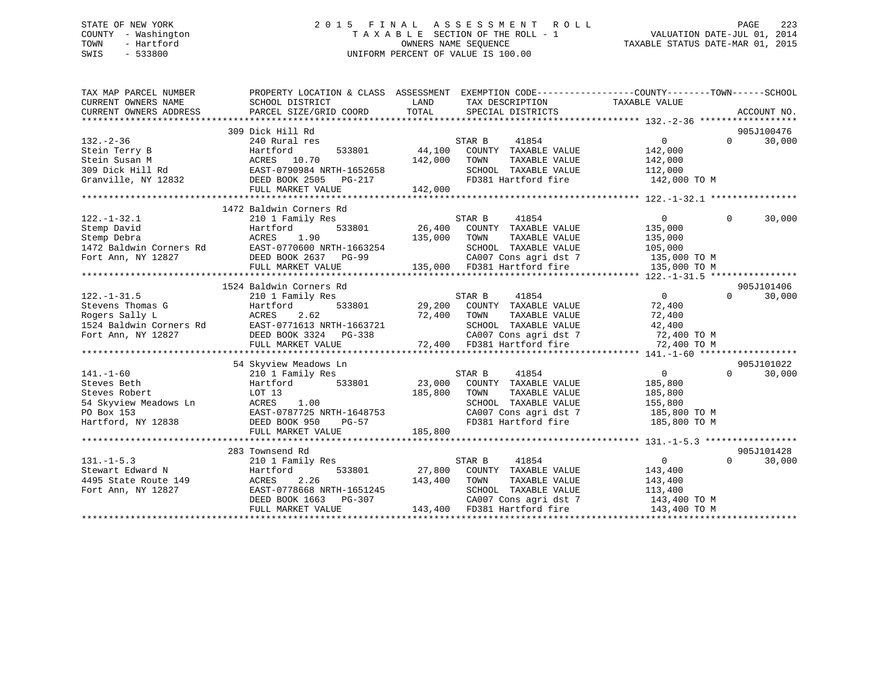## STATE OF NEW YORK 2 0 1 5 F I N A L A S S E S S M E N T R O L L PAGE 223 COUNTY - Washington T A X A B L E SECTION OF THE ROLL - 1 VALUATION DATE-JUL 01, 2014 TOWN - Hartford **TAXABLE STATUS DATE-MAR 01, 2015** OWNERS NAME SEQUENCE TAXABLE STATUS DATE-MAR 01, 2015 SWIS - 533800 UNIFORM PERCENT OF VALUE IS 100.00

| TAX MAP PARCEL NUMBER<br>CURRENT OWNERS NAME<br>CURRENT OWNERS ADDRESS | PROPERTY LOCATION & CLASS ASSESSMENT EXEMPTION CODE----------------COUNTY-------TOWN-----SCHOOL<br>SCHOOL DISTRICT<br>PARCEL SIZE/GRID COORD | LAND<br>TOTAL | TAX DESCRIPTION<br>SPECIAL DISTRICTS         | TAXABLE VALUE  |            | ACCOUNT NO. |
|------------------------------------------------------------------------|----------------------------------------------------------------------------------------------------------------------------------------------|---------------|----------------------------------------------|----------------|------------|-------------|
|                                                                        |                                                                                                                                              |               |                                              |                |            |             |
|                                                                        | 309 Dick Hill Rd                                                                                                                             |               |                                              |                | 905J100476 |             |
| $132 - 2 - 36$                                                         | 240 Rural res                                                                                                                                |               | STAR B<br>41854                              | $\Omega$       | $\Omega$   | 30,000      |
| Stein Terry B                                                          |                                                                                                                                              | 533801 44,100 | COUNTY TAXABLE VALUE                         | 142,000        |            |             |
| Stein Susan M                                                          |                                                                                                                                              | 142,000       | TOWN<br>TAXABLE VALUE                        | 142,000        |            |             |
| 309 Dick Hill Rd                                                       | Hartford 533801<br>ACRES 10.70<br>Rd EAST-0790984 NRTH-1652658<br>Fig. 10.77 CENT DO 317                                                     |               | SCHOOL TAXABLE VALUE 112,000                 |                |            |             |
| Granville, NY 12832 DEED BOOK 2505 PG-217                              |                                                                                                                                              |               | FD381 Hartford fire 142,000 TO M             |                |            |             |
|                                                                        | FULL MARKET VALUE                                                                                                                            | 142,000       |                                              |                |            |             |
|                                                                        |                                                                                                                                              |               |                                              |                |            |             |
|                                                                        | 1472 Baldwin Corners Rd                                                                                                                      |               |                                              |                |            |             |
| $122. - 1 - 32.1$                                                      | 210 1 Family Res                                                                                                                             |               | STAR B<br>41854                              | $\overline{0}$ | $\Omega$   | 30,000      |
| Stemp David                                                            | Hartford                                                                                                                                     |               | 533801 26,400 COUNTY TAXABLE VALUE           | 135,000        |            |             |
| Stemp Debra                                                            |                                                                                                                                              | 135,000 TOWN  | TAXABLE VALUE                                | 135,000        |            |             |
| 1472 Baldwin Corners Rd                                                |                                                                                                                                              |               | SCHOOL TAXABLE VALUE                         | 105,000        |            |             |
| Fort Ann, NY 12827                                                     |                                                                                                                                              |               | CA007 Cons agri dst 7 135,000 TO M           |                |            |             |
|                                                                        |                                                                                                                                              |               | 135,000 FD381 Hartford fire                  | 135,000 TO M   |            |             |
|                                                                        |                                                                                                                                              |               |                                              |                |            |             |
|                                                                        | 1524 Baldwin Corners Rd                                                                                                                      |               |                                              |                |            | 905J101406  |
| $122. - 1 - 31.5$                                                      |                                                                                                                                              |               | STAR B 41854<br>29,200 COUNTY TAXABLE VALUE  | $\overline{0}$ | $\Omega$   | 30,000      |
|                                                                        |                                                                                                                                              |               |                                              |                |            |             |
|                                                                        |                                                                                                                                              |               |                                              |                |            |             |
|                                                                        |                                                                                                                                              |               |                                              |                |            |             |
|                                                                        |                                                                                                                                              |               |                                              |                |            |             |
|                                                                        |                                                                                                                                              |               |                                              |                |            |             |
|                                                                        |                                                                                                                                              |               |                                              |                |            |             |
|                                                                        | 54 Skyview Meadows Ln                                                                                                                        |               |                                              |                |            | 905J101022  |
| $141. - 1 - 60$                                                        | 210 1 Family Res                                                                                                                             |               | STAR B<br>41854                              | $\overline{0}$ | $\Omega$   | 30,000      |
| Steves Beth                                                            | 533801<br>Hartford                                                                                                                           | 23,000        | COUNTY TAXABLE VALUE                         | 185,800        |            |             |
| Steves Robert                                                          | LOT 13                                                                                                                                       | 185,800       | TOWN<br>TAXABLE VALUE                        | 185,800        |            |             |
| 54 Skyview Meadows Ln                                                  | 1.00<br>ACRES                                                                                                                                |               | SCHOOL TAXABLE VALUE                         | 155,800        |            |             |
|                                                                        |                                                                                                                                              |               | CA007 Cons agri dst 7                        | 185,800 TO M   |            |             |
|                                                                        |                                                                                                                                              |               | FD381 Hartford fire                          | 185,800 TO M   |            |             |
|                                                                        | FULL MARKET VALUE                                                                                                                            | 185,800       |                                              |                |            |             |
|                                                                        |                                                                                                                                              |               |                                              |                |            |             |
|                                                                        | 283 Townsend Rd                                                                                                                              |               |                                              |                |            | 905J101428  |
| $131. -1 - 5.3$                                                        | 210 1 Family Res                                                                                                                             |               | STAR B<br>41854                              | $\overline{0}$ | $\Omega$   | 30,000      |
|                                                                        | Hartford<br>533801                                                                                                                           |               | 27,800 COUNTY TAXABLE VALUE                  | 143,400        |            |             |
| Stewart Edward N<br>4495 State Route 149<br>Fort Ann. NY 12827         | 2.26<br>ACRES                                                                                                                                | 143,400 TOWN  | TAXABLE VALUE                                | 143,400        |            |             |
|                                                                        | EAST-0778668 NRTH-1651245                                                                                                                    |               | SCHOOL TAXABLE VALUE                         | 113,400        |            |             |
|                                                                        | DEED BOOK 1663                                                                                                                               |               | CA007 Cons agri dst 7 143,400 TO M           |                |            |             |
|                                                                        | FULL MARKET VALUE                                                                                                                            |               | PG-307<br>PG-307 143,400 PD381 Hartford fire | 143,400 TO M   |            |             |
|                                                                        |                                                                                                                                              |               |                                              |                |            |             |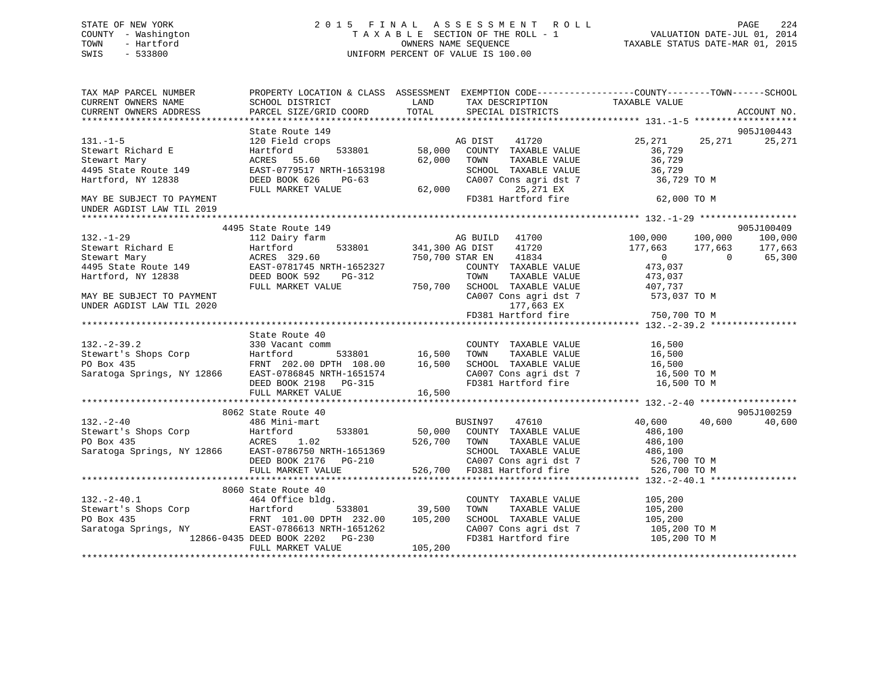## STATE OF NEW YORK 2 0 1 5 F I N A L A S S E S S M E N T R O L L PAGE 224 COUNTY - Washington T A X A B L E SECTION OF THE ROLL - 1 VALUATION DATE-JUL 01, 2014 TOWN - Hartford **TAXABLE STATUS DATE-MAR 01, 2015** OWNERS NAME SEQUENCE TAXABLE STATUS DATE-MAR 01, 2015 SWIS - 533800 UNIFORM PERCENT OF VALUE IS 100.00

| TAX MAP PARCEL NUMBER<br>CURRENT OWNERS NAME<br>CURRENT OWNERS ADDRESS                                                                                                                                                                                                                                                                                                                                                          | PROPERTY LOCATION & CLASS ASSESSMENT EXEMPTION CODE----------------COUNTY-------TOWN------SCHOOL<br>SCHOOL DISTRICT<br>PARCEL SIZE/GRID COORD | LAND<br>TOTAL      | TAX DESCRIPTION TAXABLE VALUE SPECIAL DISTRICTS                                   |                                                                                                                                                                                               | ACCOUNT NO. |
|---------------------------------------------------------------------------------------------------------------------------------------------------------------------------------------------------------------------------------------------------------------------------------------------------------------------------------------------------------------------------------------------------------------------------------|-----------------------------------------------------------------------------------------------------------------------------------------------|--------------------|-----------------------------------------------------------------------------------|-----------------------------------------------------------------------------------------------------------------------------------------------------------------------------------------------|-------------|
|                                                                                                                                                                                                                                                                                                                                                                                                                                 |                                                                                                                                               |                    |                                                                                   |                                                                                                                                                                                               |             |
|                                                                                                                                                                                                                                                                                                                                                                                                                                 | State Route 149                                                                                                                               |                    |                                                                                   |                                                                                                                                                                                               | 905J100443  |
| $131. -1 - 5$                                                                                                                                                                                                                                                                                                                                                                                                                   | 120 Field crops                                                                                                                               | 533801 58,000      | AG DIST<br>41720                                                                  | 25, 271 25, 271 25, 271                                                                                                                                                                       |             |
| Stewart Richard E                                                                                                                                                                                                                                                                                                                                                                                                               | Hartford<br>ACRES 55.60                                                                                                                       | 62,000             | COUNTY TAXABLE VALUE<br>TOWN                                                      | 36,729                                                                                                                                                                                        |             |
| Stewart Mary<br>4495 State Route 149                                                                                                                                                                                                                                                                                                                                                                                            | EAST-0779517 NRTH-1653198                                                                                                                     |                    | TOWN TAXABLE VALUE 36,729<br>SCHOOL TAXABLE VALUE 36,729                          |                                                                                                                                                                                               |             |
| Hartford, NY 12838                                                                                                                                                                                                                                                                                                                                                                                                              | DEED BOOK 626<br>PG-63                                                                                                                        |                    | CA007 Cons agri dst 7                                                             | 36,729 TO M                                                                                                                                                                                   |             |
|                                                                                                                                                                                                                                                                                                                                                                                                                                 | FULL MARKET VALUE                                                                                                                             | 62,000             | 25,271 EX                                                                         |                                                                                                                                                                                               |             |
| MAY BE SUBJECT TO PAYMENT                                                                                                                                                                                                                                                                                                                                                                                                       |                                                                                                                                               |                    | FD381 Hartford fire                                                               | 62,000 TO M                                                                                                                                                                                   |             |
| UNDER AGDIST LAW TIL 2019                                                                                                                                                                                                                                                                                                                                                                                                       |                                                                                                                                               |                    |                                                                                   |                                                                                                                                                                                               |             |
|                                                                                                                                                                                                                                                                                                                                                                                                                                 |                                                                                                                                               |                    |                                                                                   |                                                                                                                                                                                               |             |
|                                                                                                                                                                                                                                                                                                                                                                                                                                 | 4495 State Route 149                                                                                                                          |                    |                                                                                   | $\begin{array}{ccc} 100\,, 000 && 100\,, 000\ 177\,, 663 && 177\,, 663\ 0 && 0\ 473\,, 037 \end{array}$                                                                                       | 905J100409  |
| $132. - 1 - 29$                                                                                                                                                                                                                                                                                                                                                                                                                 | 112 Dairy farm                                                                                                                                |                    | -----<br>Farm              AG BUILD   41700<br>533801     341,300 AG DIST   41720 |                                                                                                                                                                                               | 100,000     |
| Stewart Richard E<br>Stewart Mary<br>ACRES 329.60<br>4495 State Route 149<br>Hartford, NY 12838<br>BEED BOOK 592<br>PG-312                                                                                                                                                                                                                                                                                                      |                                                                                                                                               |                    |                                                                                   |                                                                                                                                                                                               | 177,663     |
|                                                                                                                                                                                                                                                                                                                                                                                                                                 |                                                                                                                                               |                    | 41834<br>750,700 STAR EN                                                          |                                                                                                                                                                                               | 65,300      |
|                                                                                                                                                                                                                                                                                                                                                                                                                                 |                                                                                                                                               |                    | COUNTY TAXABLE VALUE                                                              |                                                                                                                                                                                               |             |
|                                                                                                                                                                                                                                                                                                                                                                                                                                 |                                                                                                                                               | $T=312$ $T=50,700$ | TOWN                                                                              | TAXABLE VALUE 473,037                                                                                                                                                                         |             |
|                                                                                                                                                                                                                                                                                                                                                                                                                                 | FULL MARKET VALUE                                                                                                                             |                    |                                                                                   |                                                                                                                                                                                               |             |
| MAY BE SUBJECT TO PAYMENT                                                                                                                                                                                                                                                                                                                                                                                                       |                                                                                                                                               |                    |                                                                                   | SCHOOL TAXABLE VALUE 407,737<br>CA007 Cons agri dst 7 573,037 TO M                                                                                                                            |             |
|                                                                                                                                                                                                                                                                                                                                                                                                                                 |                                                                                                                                               |                    |                                                                                   |                                                                                                                                                                                               |             |
|                                                                                                                                                                                                                                                                                                                                                                                                                                 |                                                                                                                                               |                    |                                                                                   |                                                                                                                                                                                               |             |
|                                                                                                                                                                                                                                                                                                                                                                                                                                 | State Route 40                                                                                                                                |                    |                                                                                   |                                                                                                                                                                                               |             |
| $132. - 2 - 39.2$                                                                                                                                                                                                                                                                                                                                                                                                               | 330 Vacant comm                                                                                                                               |                    |                                                                                   |                                                                                                                                                                                               |             |
|                                                                                                                                                                                                                                                                                                                                                                                                                                 |                                                                                                                                               |                    |                                                                                   |                                                                                                                                                                                               |             |
|                                                                                                                                                                                                                                                                                                                                                                                                                                 |                                                                                                                                               |                    |                                                                                   |                                                                                                                                                                                               |             |
|                                                                                                                                                                                                                                                                                                                                                                                                                                 |                                                                                                                                               |                    |                                                                                   |                                                                                                                                                                                               |             |
|                                                                                                                                                                                                                                                                                                                                                                                                                                 |                                                                                                                                               |                    |                                                                                   | COUNTY TAXABLE VALUE 16,500<br>TOWN TAXABLE VALUE 16,500<br>SCHOOL TAXABLE VALUE 16,500<br>CA007 Cons agri dst 7 16,500 TO M<br>FD381 Hartford fire 16,500 TO M<br>16,500 TO M<br>16,500 TO M |             |
|                                                                                                                                                                                                                                                                                                                                                                                                                                 |                                                                                                                                               |                    |                                                                                   |                                                                                                                                                                                               |             |
| $\begin{tabular}{lllllllllllllllllll} \multicolumn{3.5}{lcll} \multicolumn{3.5}{lcll} \multicolumn{3.5}{lcll} \multicolumn{3.5}{lcll} \multicolumn{3.5}{lcll} \multicolumn{3.5}{lcll} \multicolumn{3.5}{lcll} \multicolumn{3.5}{lcll} \multicolumn{3.5}{lcll} \multicolumn{3.5}{lcll} \multicolumn{3.5}{lcll} \multicolumn{3.5}{lcll} \multicolumn{3.5}{lcll} \multicolumn{3.5}{lcll} \multicolumn{3.5}{lcll} \multicolumn{3.5$ |                                                                                                                                               |                    |                                                                                   |                                                                                                                                                                                               |             |
|                                                                                                                                                                                                                                                                                                                                                                                                                                 | 8062 State Route 40                                                                                                                           |                    |                                                                                   |                                                                                                                                                                                               | 905J100259  |
| $132 - 2 - 40$                                                                                                                                                                                                                                                                                                                                                                                                                  | 486 Mini-mart                                                                                                                                 |                    | BUSIN97<br>47610                                                                  | 40,600<br>40,600                                                                                                                                                                              | 40,600      |
|                                                                                                                                                                                                                                                                                                                                                                                                                                 |                                                                                                                                               |                    |                                                                                   |                                                                                                                                                                                               |             |
|                                                                                                                                                                                                                                                                                                                                                                                                                                 |                                                                                                                                               |                    |                                                                                   |                                                                                                                                                                                               |             |
| Stewart's Shops Corp<br>PO Box 435<br>Saratoga Springs, NY 12866<br>EAST-0786                                                                                                                                                                                                                                                                                                                                                   |                                                                                                                                               |                    |                                                                                   |                                                                                                                                                                                               |             |
|                                                                                                                                                                                                                                                                                                                                                                                                                                 |                                                                                                                                               |                    |                                                                                   |                                                                                                                                                                                               |             |
|                                                                                                                                                                                                                                                                                                                                                                                                                                 |                                                                                                                                               |                    |                                                                                   |                                                                                                                                                                                               |             |
|                                                                                                                                                                                                                                                                                                                                                                                                                                 |                                                                                                                                               |                    |                                                                                   |                                                                                                                                                                                               |             |
|                                                                                                                                                                                                                                                                                                                                                                                                                                 | 8060 State Route 40                                                                                                                           |                    | COUNTY TAXABLE VALUE                                                              | 105,200                                                                                                                                                                                       |             |
|                                                                                                                                                                                                                                                                                                                                                                                                                                 |                                                                                                                                               |                    | TAXABLE VALUE<br>TOWN                                                             | 105,200                                                                                                                                                                                       |             |
| 132.-2-40.1 12.-2-40.1 464 Office bldg.<br>Stewart's Shops Corp 11.00 533801 39,500<br>PO Box 435 FRNT 101.00 DPTH 232.00 105,200                                                                                                                                                                                                                                                                                               |                                                                                                                                               |                    | SCHOOL TAXABLE VALUE                                                              | 105, 200                                                                                                                                                                                      |             |
| Saratoga Springs, NY                                                                                                                                                                                                                                                                                                                                                                                                            |                                                                                                                                               |                    |                                                                                   |                                                                                                                                                                                               |             |
|                                                                                                                                                                                                                                                                                                                                                                                                                                 | EAST-0786613 NRTH-1651262<br>DEED BOOK 2202 PG-230<br>12866-0435 DEED BOOK 2202 PG-230                                                        |                    |                                                                                   | $\begin{array}{lll} \texttt{CA007} \texttt{ Cons} & \texttt{apri} \texttt{dst} & 7 & \texttt{105,200 T0 M} \\ \texttt{FD381} & \texttt{Hartford fire} & & \texttt{105,200 T0 M} \end{array}$  |             |
|                                                                                                                                                                                                                                                                                                                                                                                                                                 | FULL MARKET VALUE                                                                                                                             | 105, 200           |                                                                                   |                                                                                                                                                                                               |             |
|                                                                                                                                                                                                                                                                                                                                                                                                                                 |                                                                                                                                               |                    |                                                                                   |                                                                                                                                                                                               |             |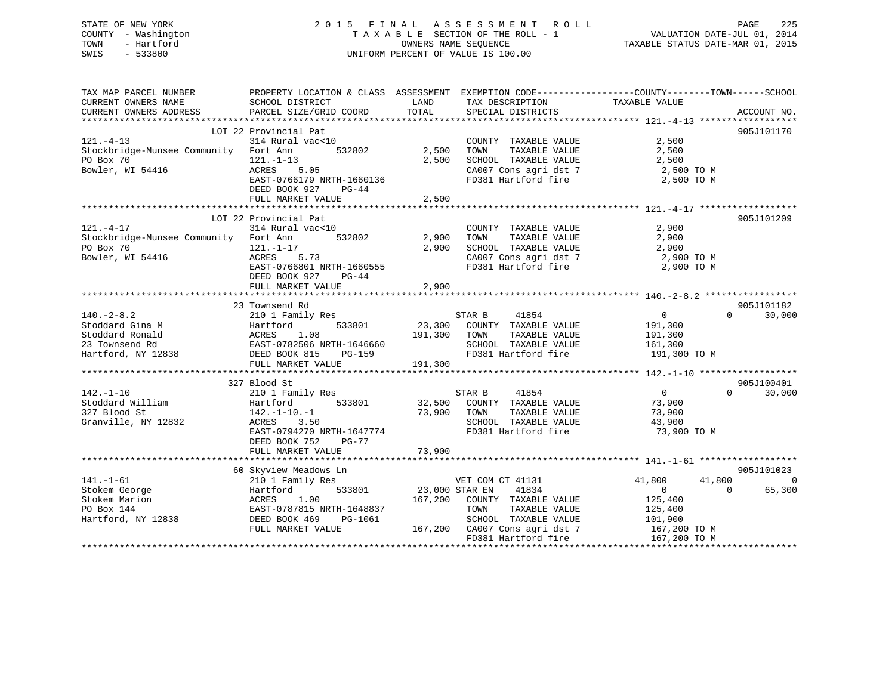## STATE OF NEW YORK 2 0 1 5 F I N A L A S S E S S M E N T R O L L PAGE 225 COUNTY - Washington T A X A B L E SECTION OF THE ROLL - 1 VALUATION DATE-JUL 01, 2014 TOWN - Hartford **TAXABLE STATUS DATE-MAR 01, 2015** OWNERS NAME SEQUENCE TAXABLE STATUS DATE-MAR 01, 2015 SWIS - 533800 UNIFORM PERCENT OF VALUE IS 100.00

| TAX MAP PARCEL NUMBER<br>CURRENT OWNERS NAME                                                   | PROPERTY LOCATION & CLASS ASSESSMENT<br>SCHOOL DISTRICT                                                                                                               | LAND                         | TAX DESCRIPTION                                                                                                       | EXEMPTION CODE-----------------COUNTY-------TOWN------SCHOOL<br>TAXABLE VALUE |                                    |
|------------------------------------------------------------------------------------------------|-----------------------------------------------------------------------------------------------------------------------------------------------------------------------|------------------------------|-----------------------------------------------------------------------------------------------------------------------|-------------------------------------------------------------------------------|------------------------------------|
| CURRENT OWNERS ADDRESS                                                                         | PARCEL SIZE/GRID COORD                                                                                                                                                | TOTAL                        | SPECIAL DISTRICTS                                                                                                     |                                                                               | ACCOUNT NO.                        |
|                                                                                                |                                                                                                                                                                       |                              |                                                                                                                       |                                                                               |                                    |
| $121. - 4 - 13$<br>Stockbridge-Munsee Community Fort Ann<br>PO Box 70<br>Bowler, WI 54416      | LOT 22 Provincial Pat<br>314 Rural vac<10<br>532802<br>$121. - 1 - 13$<br>ACRES<br>5.05<br>EAST-0766179 NRTH-1660136<br>DEED BOOK 927<br>$PG-44$<br>FULL MARKET VALUE | 2,500<br>2,500<br>2,500      | COUNTY TAXABLE VALUE<br>TOWN<br>TAXABLE VALUE<br>SCHOOL TAXABLE VALUE<br>CA007 Cons agri dst 7<br>FD381 Hartford fire | 2,500<br>2,500<br>2,500<br>2,500 TO M<br>2,500 TO M                           | 905J101170                         |
|                                                                                                |                                                                                                                                                                       |                              |                                                                                                                       |                                                                               |                                    |
| $121. - 4 - 17$<br>Stockbridge-Munsee Community Fort Ann<br>PO Box 70<br>Bowler, WI 54416      | LOT 22 Provincial Pat<br>314 Rural vac<10<br>532802<br>$121. - 1 - 17$<br>5.73<br>ACRES<br>EAST-0766801 NRTH-1660555<br>DEED BOOK 927<br>PG-44<br>FULL MARKET VALUE   | 2,900<br>2,900<br>2,900      | COUNTY TAXABLE VALUE<br>TOWN<br>TAXABLE VALUE<br>SCHOOL TAXABLE VALUE<br>CA007 Cons agri dst 7<br>FD381 Hartford fire | 2,900<br>2,900<br>2,900<br>2,900 TO M<br>2,900 TO M                           | 905J101209                         |
|                                                                                                |                                                                                                                                                                       |                              |                                                                                                                       |                                                                               |                                    |
| $140. - 2 - 8.2$<br>Stoddard Gina M<br>Stoddard Ronald<br>23 Townsend Rd<br>Hartford, NY 12838 | 23 Townsend Rd<br>210 1 Family Res<br>533801<br>Hartford<br>1.08<br>ACRES<br>EAST-0782506 NRTH-1646660<br>DEED BOOK 815<br>PG-159<br>FULL MARKET VALUE                | 23,300<br>191,300<br>191,300 | STAR B<br>41854<br>COUNTY TAXABLE VALUE<br>TOWN<br>TAXABLE VALUE<br>SCHOOL TAXABLE VALUE<br>FD381 Hartford fire       | $\Omega$<br>$\Omega$<br>191,300<br>191,300<br>161,300<br>191,300 TO M         | 905J101182<br>30,000               |
|                                                                                                |                                                                                                                                                                       |                              |                                                                                                                       |                                                                               |                                    |
| $142. - 1 - 10$<br>Stoddard William<br>327 Blood St<br>Granville, NY 12832                     | 327 Blood St<br>210 1 Family Res<br>533801<br>Hartford<br>$142.-1-10.-1$<br>ACRES<br>3.50<br>EAST-0794270 NRTH-1647774<br>DEED BOOK 752<br>$PG-77$                    | 32,500<br>73,900             | STAR B<br>41854<br>COUNTY TAXABLE VALUE<br>TOWN<br>TAXABLE VALUE<br>SCHOOL TAXABLE VALUE<br>FD381 Hartford fire       | $\circ$<br>$\Omega$<br>73,900<br>73,900<br>43,900<br>73,900 TO M              | 905J100401<br>30,000               |
|                                                                                                | FULL MARKET VALUE                                                                                                                                                     | 73,900                       |                                                                                                                       |                                                                               |                                    |
| $141. - 1 - 61$<br>Stokem George<br>Stokem Marion<br>PO Box 144                                | 60 Skyview Meadows Ln<br>210 1 Family Res<br>533801<br>Hartford<br>ACRES<br>1.00<br>EAST-0787815 NRTH-1648837                                                         | 23,000 STAR EN<br>167,200    | VET COM CT 41131<br>41834<br>COUNTY TAXABLE VALUE<br>TOWN<br>TAXABLE VALUE                                            | 41,800<br>41,800<br>$\overline{0}$<br>$\Omega$<br>125,400<br>125,400          | 905J101023<br>$\bigcirc$<br>65,300 |
| Hartford, NY 12838                                                                             | DEED BOOK 469<br>PG-1061<br>FULL MARKET VALUE                                                                                                                         | 167,200                      | SCHOOL TAXABLE VALUE<br>CA007 Cons agri dst 7<br>FD381 Hartford fire                                                  | 101,900<br>167,200 TO M<br>167,200 TO M                                       |                                    |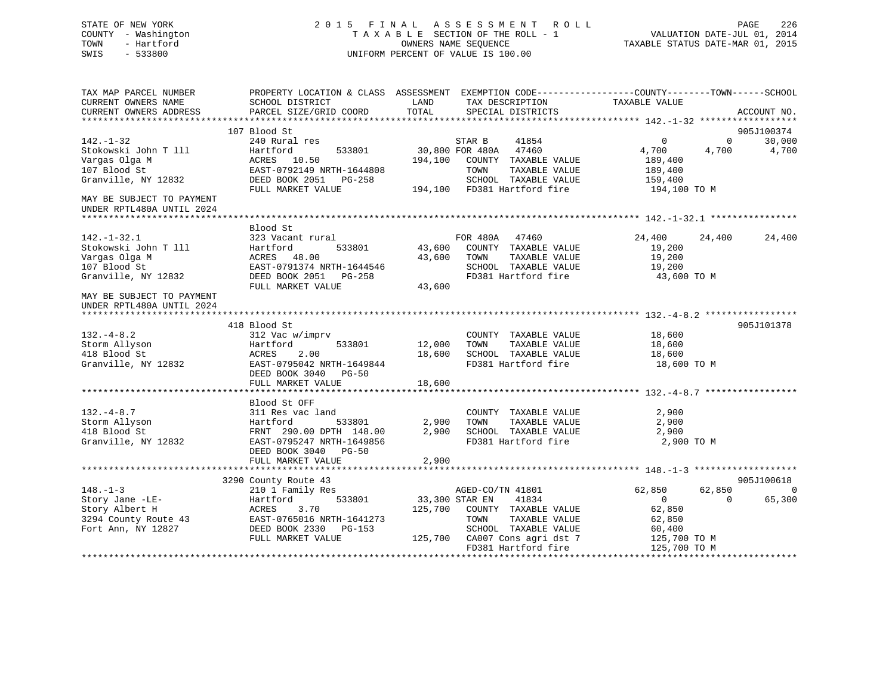## STATE OF NEW YORK 2 0 1 5 F I N A L A S S E S S M E N T R O L L PAGE 226 COUNTY - Washington T A X A B L E SECTION OF THE ROLL - 1 VALUATION DATE-JUL 01, 2014 TOWN - Hartford **TAXABLE STATUS DATE-MAR 01, 2015** OWNERS NAME SEQUENCE TAXABLE STATUS DATE-MAR 01, 2015 SWIS - 533800 UNIFORM PERCENT OF VALUE IS 100.00

| TAX MAP PARCEL NUMBER<br>CURRENT OWNERS NAME           | PROPERTY LOCATION & CLASS ASSESSMENT EXEMPTION CODE----------------COUNTY-------TOWN------SCHOOL<br>SCHOOL DISTRICT | LAND                  |                  | TAX DESCRIPTION                                     | TAXABLE VALUE  |              |             |
|--------------------------------------------------------|---------------------------------------------------------------------------------------------------------------------|-----------------------|------------------|-----------------------------------------------------|----------------|--------------|-------------|
| CURRENT OWNERS ADDRESS                                 | PARCEL SIZE/GRID COORD                                                                                              | TOTAL                 |                  | SPECIAL DISTRICTS                                   |                |              | ACCOUNT NO. |
|                                                        |                                                                                                                     |                       |                  |                                                     |                |              |             |
|                                                        | 107 Blood St                                                                                                        |                       |                  |                                                     |                |              | 905J100374  |
| $142. - 1 - 32$                                        | 240 Rural res                                                                                                       |                       | STAR B           | 41854                                               | $\mathbf{0}$   | $\mathbf{0}$ | 30,000      |
| Stokowski John T 111                                   | 533801<br>Hartford                                                                                                  | 30,800 FOR 480A 47460 |                  |                                                     | 4,700          | 4,700        | 4,700       |
| Vargas Olga M                                          | ACRES 10.50                                                                                                         |                       |                  | 194,100 COUNTY TAXABLE VALUE                        | 189,400        |              |             |
| 107 Blood St                                           | EAST-0792149 NRTH-1644808                                                                                           |                       | TOWN             | TAXABLE VALUE                                       | 189,400        |              |             |
| Granville, NY 12832                                    | DEED BOOK 2051 PG-258                                                                                               |                       |                  | SCHOOL TAXABLE VALUE<br>194,100 FD381 Hartford fire | 159,400        |              |             |
|                                                        | FULL MARKET VALUE                                                                                                   |                       |                  |                                                     | 194,100 TO M   |              |             |
| MAY BE SUBJECT TO PAYMENT<br>UNDER RPTL480A UNTIL 2024 |                                                                                                                     |                       |                  |                                                     |                |              |             |
|                                                        |                                                                                                                     |                       |                  |                                                     |                |              |             |
|                                                        | Blood St                                                                                                            |                       |                  |                                                     |                |              |             |
| $142. - 1 - 32.1$                                      | 323 Vacant rural                                                                                                    |                       | FOR 480A 47460   |                                                     | 24,400         | 24,400       | 24,400      |
| Stokowski John T 111                                   | Hartford<br>533801                                                                                                  |                       |                  | 43,600 COUNTY TAXABLE VALUE                         | 19,200         |              |             |
| Vargas Olga M                                          | ACRES 48.00                                                                                                         | 43,600                | TOWN             | TAXABLE VALUE                                       | 19,200         |              |             |
| 107 Blood St                                           | EAST-0791374 NRTH-1644546                                                                                           |                       |                  | SCHOOL TAXABLE VALUE                                | 19,200         |              |             |
| Granville, NY 12832                                    | DEED BOOK 2051    PG-258                                                                                            |                       |                  | FD381 Hartford fire                                 | 43,600 TO M    |              |             |
|                                                        | FULL MARKET VALUE                                                                                                   | 43,600                |                  |                                                     |                |              |             |
| MAY BE SUBJECT TO PAYMENT                              |                                                                                                                     |                       |                  |                                                     |                |              |             |
| UNDER RPTL480A UNTIL 2024                              |                                                                                                                     |                       |                  |                                                     |                |              |             |
|                                                        | 418 Blood St                                                                                                        |                       |                  |                                                     |                |              | 905J101378  |
| $132. -4 - 8.2$                                        | 312 Vac w/imprv                                                                                                     |                       |                  | COUNTY TAXABLE VALUE                                | 18,600         |              |             |
|                                                        | Hartford<br>533801                                                                                                  | 12,000                | TOWN             | TAXABLE VALUE                                       | 18,600         |              |             |
| Storm Allyson<br>418 Blood St<br>418 Blood St          | 2.00<br>ACRES                                                                                                       | 18,600                |                  | SCHOOL TAXABLE VALUE                                | 18,600         |              |             |
| Granville, NY 12832                                    | EAST-0795042 NRTH-1649844                                                                                           |                       |                  | FD381 Hartford fire                                 | 18,600 TO M    |              |             |
|                                                        | DEED BOOK 3040 PG-50                                                                                                |                       |                  |                                                     |                |              |             |
|                                                        | FULL MARKET VALUE                                                                                                   | 18,600                |                  |                                                     |                |              |             |
|                                                        |                                                                                                                     |                       |                  |                                                     |                |              |             |
|                                                        | Blood St OFF                                                                                                        |                       |                  |                                                     |                |              |             |
| $132 - 4 - 8.7$                                        | 311 Res vac land                                                                                                    |                       |                  | COUNTY TAXABLE VALUE                                | 2,900          |              |             |
| Storm Allyson                                          | 533801<br>Hartford                                                                                                  | 2,900                 | TOWN             | TAXABLE VALUE                                       | 2,900          |              |             |
| 418 Blood St                                           | FRNT 290.00 DPTH 148.00                                                                                             | 2,900                 |                  | SCHOOL TAXABLE VALUE                                | 2,900          |              |             |
| Granville, NY 12832                                    | EAST-0795247 NRTH-1649856                                                                                           |                       |                  | FD381 Hartford fire                                 | 2,900 TO M     |              |             |
|                                                        | DEED BOOK 3040 PG-50                                                                                                |                       |                  |                                                     |                |              |             |
|                                                        | FULL MARKET VALUE                                                                                                   | 2,900                 |                  |                                                     |                |              |             |
|                                                        |                                                                                                                     |                       |                  |                                                     |                |              |             |
|                                                        | 3290 County Route 43                                                                                                |                       |                  |                                                     |                |              | 905J100618  |
| $148. - 1 - 3$                                         | 210 1 Family Res                                                                                                    |                       | AGED-CO/TN 41801 |                                                     | 62,850         | 62,850       | $\mathbf 0$ |
| Story Jane -LE-                                        | Hartford<br>533801                                                                                                  | 33,300 STAR EN        |                  | 41834                                               | $\overline{0}$ | $\Omega$     | 65,300      |
| Story Albert H                                         | ACRES<br>3.70                                                                                                       |                       |                  | 125,700 COUNTY TAXABLE VALUE                        | 62,850         |              |             |
| 3294 County Route 43                                   | EAST-0765016 NRTH-1641273                                                                                           |                       | TOWN             | TAXABLE VALUE                                       | 62,850         |              |             |
| Fort Ann, NY 12827                                     | DEED BOOK 2330 PG-153                                                                                               |                       |                  | SCHOOL TAXABLE VALUE                                | 60,400         |              |             |
|                                                        | FULL MARKET VALUE                                                                                                   |                       |                  | 125,700 CA007 Cons agri dst 7                       | 125,700 TO M   |              |             |
|                                                        |                                                                                                                     |                       |                  | FD381 Hartford fire                                 | 125,700 TO M   |              |             |
|                                                        |                                                                                                                     |                       |                  |                                                     |                |              |             |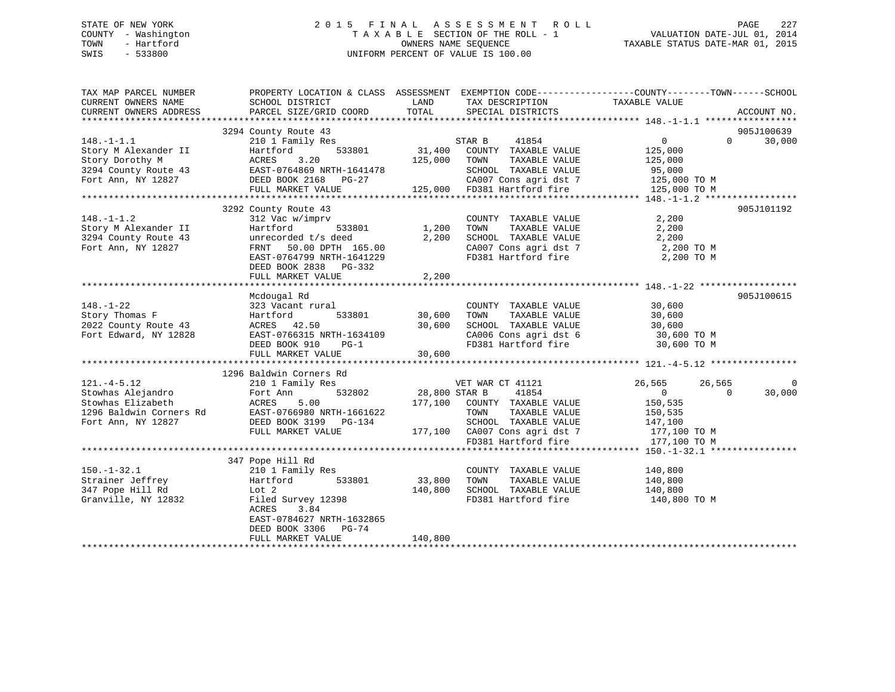## STATE OF NEW YORK 2 0 1 5 F I N A L A S S E S S M E N T R O L L PAGE 227 COUNTY - Washington T A X A B L E SECTION OF THE ROLL - 1 VALUATION DATE-JUL 01, 2014 TOWN - Hartford **TAXABLE STATUS DATE-MAR 01, 2015** OWNERS NAME SEQUENCE TAXABLE STATUS DATE-MAR 01, 2015 SWIS - 533800 UNIFORM PERCENT OF VALUE IS 100.00

| TAX MAP PARCEL NUMBER<br>CURRENT OWNERS NAME | PROPERTY LOCATION & CLASS ASSESSMENT EXEMPTION CODE---------------COUNTY-------TOWN-----SCHOOL<br>SCHOOL DISTRICT | LAND          | TAX DESCRIPTION                                                                                               | TAXABLE VALUE                 |                      |
|----------------------------------------------|-------------------------------------------------------------------------------------------------------------------|---------------|---------------------------------------------------------------------------------------------------------------|-------------------------------|----------------------|
| CURRENT OWNERS ADDRESS                       | PARCEL SIZE/GRID COORD                                                                                            | TOTAL         | SPECIAL DISTRICTS                                                                                             |                               | ACCOUNT NO.          |
|                                              |                                                                                                                   |               |                                                                                                               |                               |                      |
| $148. - 1 - 1.1$                             | 3294 County Route 43<br>210 1 Family Res                                                                          |               | STAR B<br>41854                                                                                               | $0 \qquad \qquad$<br>$\Omega$ | 905J100639<br>30,000 |
| Story M Alexander II                         | 533801<br>Hartford                                                                                                |               | 31,400 COUNTY TAXABLE VALUE                                                                                   | 125,000                       |                      |
| Story Dorothy M                              | 3.20<br>ACRES                                                                                                     | 125,000 TOWN  | TAXABLE VALUE                                                                                                 | 125,000                       |                      |
|                                              |                                                                                                                   |               | SCHOOL TAXABLE VALUE                                                                                          | 95,000                        |                      |
|                                              |                                                                                                                   |               |                                                                                                               |                               |                      |
|                                              | FULL MARKET VALUE                                                                                                 |               | SCHOOL TAXABLE VALUE 95,000<br>CA007 Cons agri dst 7 125,000 TO M<br>125,000 FD381 Hartford fire 125,000 TO M |                               |                      |
|                                              |                                                                                                                   |               |                                                                                                               |                               |                      |
|                                              | 3292 County Route 43                                                                                              |               |                                                                                                               |                               | 905J101192           |
| $148. - 1 - 1.2$                             | 312 Vac w/imprv                                                                                                   |               | COUNTY TAXABLE VALUE                                                                                          | 2,200                         |                      |
| Story M Alexander II                         | Hartford<br>533801                                                                                                | 1,200         | TOWN<br>TAXABLE VALUE                                                                                         | 2,200                         |                      |
| 3294 County Route 43                         | unrecorded t/s deed                                                                                               | 2,200         | SCHOOL TAXABLE VALUE                                                                                          | 2,200                         |                      |
| Fort Ann, NY 12827                           |                                                                                                                   |               | CA007 Cons agri dst 7 2,200 TO M                                                                              |                               |                      |
|                                              | FRNT 50.00 DPTH 165.00<br>EAST-0764799 NRTH-1641229                                                               |               | FD381 Hartford fire                                                                                           | 2,200 TO M                    |                      |
|                                              | DEED BOOK 2838 PG-332                                                                                             |               |                                                                                                               |                               |                      |
|                                              | FULL MARKET VALUE                                                                                                 | 2,200         |                                                                                                               |                               |                      |
|                                              |                                                                                                                   |               |                                                                                                               |                               |                      |
|                                              | Mcdougal Rd                                                                                                       |               |                                                                                                               |                               | 905J100615           |
| $148. - 1 - 22$                              | 323 Vacant rural                                                                                                  |               | COUNTY TAXABLE VALUE                                                                                          | 30,600                        |                      |
| Story Thomas F                               | Hartford                                                                                                          | 533801 30,600 | TAXABLE VALUE<br>TOWN                                                                                         | 30,600                        |                      |
| 2022 County Route 43                         | ACRES 42.50                                                                                                       | 30,600        | SCHOOL TAXABLE VALUE                                                                                          | 30,600                        |                      |
| Fort Edward, NY 12828                        | EAST-0766315 NRTH-1634109                                                                                         |               | CA006 Cons agri dst 6 30,600 TO M                                                                             |                               |                      |
|                                              | DEED BOOK 910<br>$PG-1$                                                                                           |               | FD381 Hartford fire                                                                                           | 30,600 TO M                   |                      |
|                                              | FULL MARKET VALUE                                                                                                 | 30,600        |                                                                                                               |                               |                      |
|                                              |                                                                                                                   |               |                                                                                                               |                               |                      |
|                                              | 1296 Baldwin Corners Rd                                                                                           |               |                                                                                                               |                               |                      |
| $121. -4 - 5.12$                             | 210 1 Family Res                                                                                                  |               | VET WAR CT 41121                                                                                              | 26,565<br>26,565              | $\Omega$             |
| Stowhas Alejandro                            | 532802<br>Fort Ann                                                                                                | 28,800 STAR B | 41854                                                                                                         | $\overline{0}$<br>$\Omega$    | 30,000               |
| Stowhas Elizabeth                            | 5.00<br>ACRES                                                                                                     |               | 177,100 COUNTY TAXABLE VALUE                                                                                  | 150,535                       |                      |
| 1296 Baldwin Corners Rd                      | EAST-0766980 NRTH-1661622                                                                                         |               | TAXABLE VALUE<br>TOWN                                                                                         | 150,535                       |                      |
| Fort Ann, NY 12827                           | DEED BOOK 3199 PG-134                                                                                             |               | SCHOOL TAXABLE VALUE                                                                                          | 147,100                       |                      |
|                                              | FULL MARKET VALUE                                                                                                 |               | $177,100$ CA007 Cons agri dst 7<br>$22.77 + 5 \times 100$                                                     | 177,100 TO M                  |                      |
|                                              |                                                                                                                   |               | FD381 Hartford fire                                                                                           | 177,100 TO M                  |                      |
|                                              |                                                                                                                   |               |                                                                                                               |                               |                      |
|                                              | 347 Pope Hill Rd                                                                                                  |               |                                                                                                               |                               |                      |
| $150. - 1 - 32.1$                            | 210 1 Family Res                                                                                                  | 33,800        | COUNTY TAXABLE VALUE                                                                                          | 140,800                       |                      |
| Strainer Jeffrey                             | 533801<br>Hartford                                                                                                |               | TOWN<br>TAXABLE VALUE                                                                                         | 140,800                       |                      |
| 347 Pope Hill Rd                             | Lot 2                                                                                                             | 140,800       | SCHOOL TAXABLE VALUE 140,800                                                                                  |                               |                      |
| Granville, NY 12832                          | Filed Survey 12398                                                                                                |               | FD381 Hartford fire                                                                                           | 140,800 TO M                  |                      |
|                                              | 3.84<br>ACRES                                                                                                     |               |                                                                                                               |                               |                      |
|                                              | EAST-0784627 NRTH-1632865                                                                                         |               |                                                                                                               |                               |                      |
|                                              | DEED BOOK 3306 PG-74                                                                                              |               |                                                                                                               |                               |                      |
|                                              | FULL MARKET VALUE                                                                                                 | 140,800       |                                                                                                               |                               |                      |
|                                              |                                                                                                                   |               |                                                                                                               |                               |                      |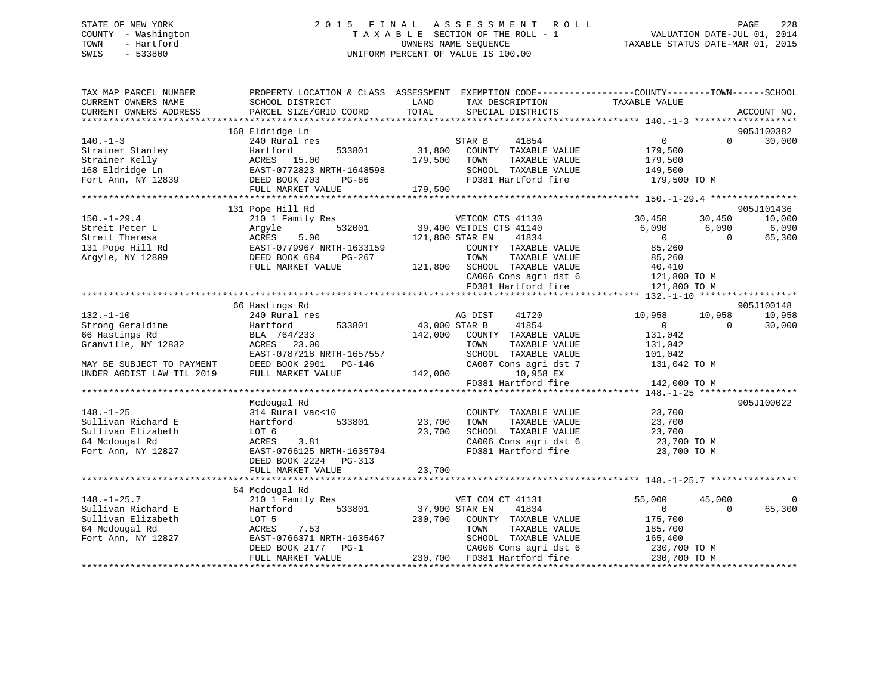## STATE OF NEW YORK 2 0 1 5 F I N A L A S S E S S M E N T R O L L PAGE 228 COUNTY - Washington T A X A B L E SECTION OF THE ROLL - 1 VALUATION DATE-JUL 01, 2014 TOWN - Hartford OWNERS NAME SEQUENCE TAXABLE STATUS DATE-MAR 01, 2015 SWIS - 533800 UNIFORM PERCENT OF VALUE IS 100.00

| TAX MAP PARCEL NUMBER<br>CURRENT OWNERS NAME<br>CURRENT OWNERS ADDRESS | SCHOOL DISTRICT                          | PROPERTY LOCATION & CLASS ASSESSMENT EXEMPTION CODE---------------COUNTY-------TOWN-----SCHOOL<br>LAND<br>TAX DESCRIPTION<br>TOTAL<br>SPECIAL DISTRICTS | TAXABLE VALUE                                  | ACCOUNT NO.      |
|------------------------------------------------------------------------|------------------------------------------|---------------------------------------------------------------------------------------------------------------------------------------------------------|------------------------------------------------|------------------|
|                                                                        | PARCEL SIZE/GRID COORD                   |                                                                                                                                                         |                                                |                  |
|                                                                        | 168 Eldridge Ln                          |                                                                                                                                                         |                                                | 905J100382       |
| $140. - 1 - 3$                                                         | 240 Rural res                            | 41854<br>STAR B                                                                                                                                         | $0 \qquad \qquad$<br>$\Omega$                  | 30,000           |
| Strainer Stanley                                                       | Hartford<br>533801                       | 31,800<br>COUNTY TAXABLE VALUE                                                                                                                          | 179,500                                        |                  |
| Strainer Kelly                                                         | ACRES 15.00                              | 179,500<br>TOWN<br>TAXABLE VALUE                                                                                                                        | 179,500                                        |                  |
| 168 Eldridge Ln                                                        | EAST-0772823 NRTH-1648598                | SCHOOL TAXABLE VALUE                                                                                                                                    | 149,500                                        |                  |
| Fort Ann, NY 12839                                                     | DEED BOOK 703<br>PG-86                   | FD381 Hartford fire                                                                                                                                     | 179,500 TO M                                   |                  |
|                                                                        | FULL MARKET VALUE                        | 179,500                                                                                                                                                 |                                                |                  |
|                                                                        |                                          |                                                                                                                                                         |                                                |                  |
|                                                                        | 131 Pope Hill Rd                         |                                                                                                                                                         |                                                | 905J101436       |
| $150. - 1 - 29.4$                                                      | 210 1 Family Res                         | VETCOM CTS 41130                                                                                                                                        | 30,450<br>30,450                               | 10,000           |
| Streit Peter L                                                         | 532001<br>Argyle                         | 39,400 VETDIS CTS 41140                                                                                                                                 | 6,090<br>6,090                                 | 6,090            |
| Streit Theresa                                                         | 5.00<br>ACRES                            | 121,800 STAR EN<br>41834                                                                                                                                | $\overline{0}$<br>$\Omega$                     | 65,300           |
| 131 Pope Hill Rd                                                       | EAST-0779967 NRTH-1633159                | COUNTY TAXABLE VALUE                                                                                                                                    | 85,260                                         |                  |
| Argyle, NY 12809                                                       | DEED BOOK 684<br>PG-267                  | TOWN<br>TAXABLE VALUE                                                                                                                                   | 85,260                                         |                  |
|                                                                        | FULL MARKET VALUE                        | SCHOOL TAXABLE VALUE<br>121,800                                                                                                                         | 40,410                                         |                  |
|                                                                        |                                          | CA006 Cons agri dst 6                                                                                                                                   | 121,800 TO M                                   |                  |
|                                                                        |                                          | FD381 Hartford fire                                                                                                                                     | 121,800 TO M                                   |                  |
|                                                                        |                                          |                                                                                                                                                         |                                                |                  |
|                                                                        | 66 Hastings Rd                           |                                                                                                                                                         |                                                | 905J100148       |
| $132. - 1 - 10$<br>Strong Geraldine                                    | 240 Rural res                            | AG DIST<br>41720<br>41854                                                                                                                               | 10,958<br>10,958<br>$\overline{0}$<br>$\Omega$ | 10,958<br>30,000 |
| 66 Hastings Rd                                                         | Hartford<br>533801                       | 43,000 STAR B                                                                                                                                           |                                                |                  |
|                                                                        | BLA 764/233                              | 142,000<br>COUNTY TAXABLE VALUE                                                                                                                         | 131,042                                        |                  |
| Granville, NY 12832                                                    | ACRES 23.00<br>EAST-0787218 NRTH-1657557 | TAXABLE VALUE<br>TOWN<br>SCHOOL TAXABLE VALUE                                                                                                           | 131,042                                        |                  |
| MAY BE SUBJECT TO PAYMENT                                              | DEED BOOK 2901<br>PG-146                 | CA007 Cons agri dst 7                                                                                                                                   | 101,042<br>131,042 TO M                        |                  |
| UNDER AGDIST LAW TIL 2019                                              | FULL MARKET VALUE                        | 142,000<br>10,958 EX                                                                                                                                    |                                                |                  |
|                                                                        |                                          | FD381 Hartford fire                                                                                                                                     | 142,000 TO M                                   |                  |
|                                                                        |                                          |                                                                                                                                                         |                                                |                  |
|                                                                        | Mcdougal Rd                              |                                                                                                                                                         |                                                | 905J100022       |
| $148. - 1 - 25$                                                        | 314 Rural vac<10                         | COUNTY TAXABLE VALUE                                                                                                                                    | 23,700                                         |                  |
| Sullivan Richard E                                                     | Hartford<br>533801                       | 23,700<br>TOWN<br>TAXABLE VALUE                                                                                                                         | 23,700                                         |                  |
| Sullivan Elizabeth                                                     | LOT 6                                    | 23,700<br>SCHOOL TAXABLE VALUE                                                                                                                          | 23,700                                         |                  |
| 64 Mcdougal Rd                                                         | 3.81<br>ACRES                            | CA006 Cons agri dst 6                                                                                                                                   | 23,700 TO M                                    |                  |
| Fort Ann, NY 12827                                                     | EAST-0766125 NRTH-1635704                | FD381 Hartford fire                                                                                                                                     | 23,700 TO M                                    |                  |
|                                                                        | DEED BOOK 2224 PG-313                    |                                                                                                                                                         |                                                |                  |
|                                                                        | FULL MARKET VALUE                        | 23,700                                                                                                                                                  |                                                |                  |
|                                                                        | **********************                   |                                                                                                                                                         |                                                |                  |
|                                                                        | 64 Mcdougal Rd                           |                                                                                                                                                         |                                                |                  |
| $148. - 1 - 25.7$                                                      | 210 1 Family Res                         | VET COM CT 41131                                                                                                                                        | 55,000<br>45,000                               |                  |
| Sullivan Richard E                                                     | 533801<br>Hartford                       | 37,900 STAR EN<br>41834                                                                                                                                 | $\overline{0}$<br>$\Omega$                     | 65,300           |
| Sullivan Elizabeth                                                     | LOT 5                                    | 230,700<br>COUNTY TAXABLE VALUE                                                                                                                         | 175,700                                        |                  |
| 64 Mcdougal Rd                                                         | 7.53<br>ACRES                            | TOWN<br>TAXABLE VALUE                                                                                                                                   | 185,700                                        |                  |
| Fort Ann, NY 12827                                                     | EAST-0766371 NRTH-1635467                | SCHOOL TAXABLE VALUE                                                                                                                                    | 165,400                                        |                  |
|                                                                        | DEED BOOK 2177 PG-1                      | CA006 Cons agri dst 6                                                                                                                                   | 230,700 TO M                                   |                  |
|                                                                        | FULL MARKET VALUE                        | 230,700 FD381 Hartford fire                                                                                                                             | 230,700 TO M                                   |                  |
|                                                                        |                                          |                                                                                                                                                         |                                                |                  |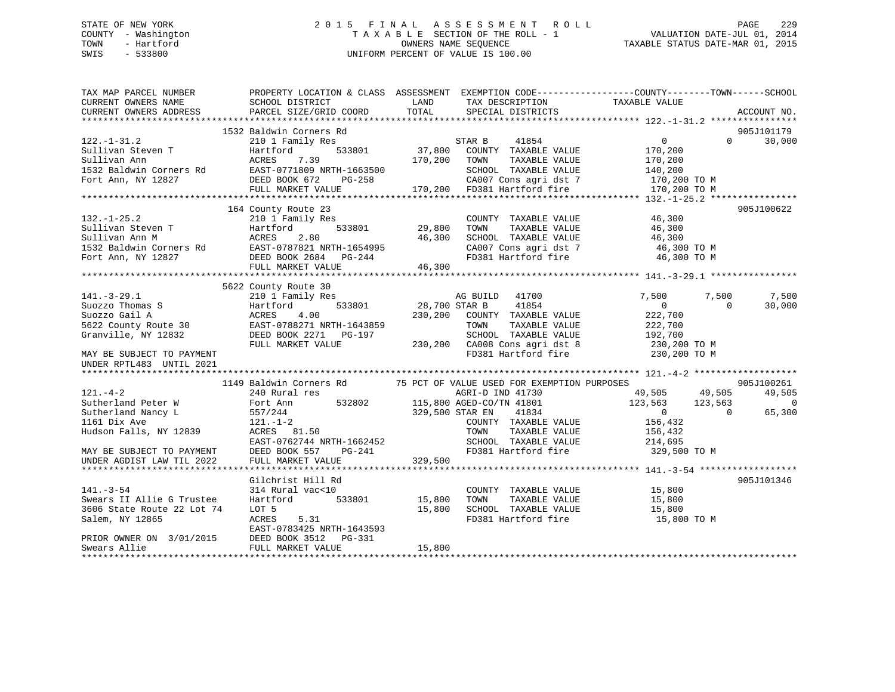## STATE OF NEW YORK 2 0 1 5 F I N A L A S S E S S M E N T R O L L PAGE 229 COUNTY - Washington T A X A B L E SECTION OF THE ROLL - 1 VALUATION DATE-JUL 01, 2014 TOWN - Hartford **TAXABLE STATUS DATE-MAR 01, 2015** OWNERS NAME SEQUENCE TAXABLE STATUS DATE-MAR 01, 2015 SWIS - 533800 UNIFORM PERCENT OF VALUE IS 100.00

| TAX MAP PARCEL NUMBER                                                                                                       | PROPERTY LOCATION & CLASS ASSESSMENT EXEMPTION CODE-----------------COUNTY-------TOWN------SCHOOL                                                                                      |         |                                                                    |                                                 |                |                          |
|-----------------------------------------------------------------------------------------------------------------------------|----------------------------------------------------------------------------------------------------------------------------------------------------------------------------------------|---------|--------------------------------------------------------------------|-------------------------------------------------|----------------|--------------------------|
| CURRENT OWNERS NAME                                                                                                         | SCHOOL DISTRICT                                                                                                                                                                        | LAND    | TAX DESCRIPTION                                                    | TAXABLE VALUE                                   |                |                          |
| CURRENT OWNERS ADDRESS                                                                                                      | PARCEL SIZE/GRID COORD                                                                                                                                                                 | TOTAL   | SPECIAL DISTRICTS                                                  |                                                 |                | ACCOUNT NO.              |
|                                                                                                                             |                                                                                                                                                                                        |         |                                                                    |                                                 |                |                          |
|                                                                                                                             | 1532 Baldwin Corners Rd                                                                                                                                                                |         |                                                                    |                                                 |                | 905J101179               |
| $122. - 1 - 31.2$                                                                                                           | 210 1 Family Res                                                                                                                                                                       |         | STAR B 41854                                                       | $\overline{0}$                                  |                | $\Omega$<br>30,000       |
| Sullivan Steven T<br>$\begin{tabular}{ll} \tt Sullivan & \tt Rartfo \\ \tt Sullivan & \tt Ann & \tt ACRES \\ \end{tabular}$ | 533801<br>Hartford                                                                                                                                                                     |         | 37,800 COUNTY TAXABLE VALUE<br>170,200 TOWN TAXABLE VALUE          | 170,200<br>170,200                              |                |                          |
|                                                                                                                             | 7.39                                                                                                                                                                                   |         |                                                                    |                                                 |                |                          |
|                                                                                                                             |                                                                                                                                                                                        |         | SCHOOL TAXABLE VALUE 140,200<br>CA007 Cons agri dst 7 170,200 TO M |                                                 |                |                          |
|                                                                                                                             |                                                                                                                                                                                        |         |                                                                    |                                                 |                |                          |
|                                                                                                                             | FULL MARKET VALUE                                                                                                                                                                      |         | 170,200 FD381 Hartford fire                                        | 170,200 TO M                                    |                |                          |
|                                                                                                                             |                                                                                                                                                                                        |         |                                                                    |                                                 |                |                          |
|                                                                                                                             | 164 County Route 23                                                                                                                                                                    |         |                                                                    |                                                 |                | 905J100622               |
| $132. - 1 - 25.2$                                                                                                           | 210 1 Family Res                                                                                                                                                                       |         | COUNTY TAXABLE VALUE 46,300                                        |                                                 |                |                          |
| Sullivan Steven T                                                                                                           | Hartford 533801 29,800<br>ACRES 2.80 46,300                                                                                                                                            |         | TAXABLE VALUE<br>TOWN                                              | 46,300<br>46,300                                |                |                          |
|                                                                                                                             |                                                                                                                                                                                        |         | SCHOOL TAXABLE VALUE 46,300<br>CA007 Cons agri dst 7 16,300 TO M   |                                                 |                |                          |
|                                                                                                                             |                                                                                                                                                                                        |         |                                                                    |                                                 |                |                          |
|                                                                                                                             |                                                                                                                                                                                        |         | FD381 Hartford fire                                                | 46,300 TO M                                     |                |                          |
|                                                                                                                             | Sullivan Ann M<br>1532 Baldwin Corners Rd<br>Fort Ann, NY 12827<br>Fort Ann, NY 12827<br>Fort Ann, NY 12827<br>FORED BOOK 2684<br>FILIT, MARKET VALUE<br>FILIT, MARKET VALUE<br>16,300 |         |                                                                    |                                                 |                |                          |
|                                                                                                                             |                                                                                                                                                                                        |         |                                                                    |                                                 |                |                          |
|                                                                                                                             | 5622 County Route 30                                                                                                                                                                   |         |                                                                    |                                                 |                |                          |
|                                                                                                                             | 210 1 Family Res                                                                                                                                                                       |         |                                                                    |                                                 | 7,500          | 7,500                    |
|                                                                                                                             |                                                                                                                                                                                        |         |                                                                    |                                                 | $\overline{0}$ | 30,000                   |
|                                                                                                                             |                                                                                                                                                                                        |         |                                                                    |                                                 |                |                          |
|                                                                                                                             |                                                                                                                                                                                        |         |                                                                    |                                                 |                |                          |
|                                                                                                                             |                                                                                                                                                                                        |         |                                                                    |                                                 |                |                          |
|                                                                                                                             |                                                                                                                                                                                        |         |                                                                    |                                                 |                |                          |
|                                                                                                                             |                                                                                                                                                                                        |         |                                                                    |                                                 |                |                          |
| UNDER RPTL483 UNTIL 2021                                                                                                    |                                                                                                                                                                                        |         |                                                                    |                                                 |                |                          |
|                                                                                                                             |                                                                                                                                                                                        |         |                                                                    |                                                 |                |                          |
|                                                                                                                             | 1149 Baldwin Corners Rd 75 PCT OF VALUE USED FOR EXEMPTION PURPOSES                                                                                                                    |         |                                                                    |                                                 |                | 905J100261               |
| $121. - 4 - 2$                                                                                                              | Baldwin Corners and<br>240 Rural res<br>Fort Ann 532802 115,800 AGED-CO/TN 41801<br>229 E00 STAR EN 41834                                                                              |         |                                                                    | $49,505$<br>$123,563$<br>$123,563$<br>$123,563$ |                | 49,505                   |
| Sutherland Peter W                                                                                                          |                                                                                                                                                                                        |         |                                                                    |                                                 |                | $\overline{\phantom{0}}$ |
| Sutherland Nancy L                                                                                                          |                                                                                                                                                                                        |         | 329,500 STAR EN                                                    | $\overline{0}$                                  | $\Omega$       | 65,300                   |
| 1161 Dix Ave                                                                                                                | $121. - 1 - 2$                                                                                                                                                                         |         | COUNTY TAXABLE VALUE                                               | 156,432<br>156,432                              |                |                          |
| Hudson Falls, NY 12839                                                                                                      | $ACRES$ 81.50                                                                                                                                                                          |         | TOWN<br>TAXABLE VALUE                                              |                                                 |                |                          |
|                                                                                                                             |                                                                                                                                                                                        |         |                                                                    |                                                 |                |                          |
| MAY BE SUBJECT TO PAYMENT                                                                                                   |                                                                                                                                                                                        |         |                                                                    |                                                 |                |                          |
| UNDER AGDIST LAW TIL 2022                                                                                                   | FULL MARKET VALUE                                                                                                                                                                      | 329,500 |                                                                    |                                                 |                |                          |
|                                                                                                                             |                                                                                                                                                                                        |         |                                                                    |                                                 |                |                          |
|                                                                                                                             | Gilchrist Hill Rd                                                                                                                                                                      |         |                                                                    |                                                 |                | 905J101346               |
| $141. - 3 - 54$                                                                                                             | 314 Rural vac<10                                                                                                                                                                       |         | COUNTY TAXABLE VALUE 15,800                                        |                                                 |                |                          |
| Swears II Allie G Trustee                                                                                                   | 533801<br>Hartford                                                                                                                                                                     | 15,800  | TOWN                                                               | TAXABLE VALUE 15,800<br>TAXABLE VALUE 15,800    |                |                          |
| 3606 State Route 22 Lot 74                                                                                                  | LOT 5                                                                                                                                                                                  | 15,800  | SCHOOL TAXABLE VALUE                                               |                                                 |                |                          |
| Salem, NY 12865                                                                                                             | ACRES<br>5.31                                                                                                                                                                          |         | FD381 Hartford fire 15,800 TO M                                    |                                                 |                |                          |
|                                                                                                                             | EAST-0783425 NRTH-1643593                                                                                                                                                              |         |                                                                    |                                                 |                |                          |
| PRIOR OWNER ON 3/01/2015                                                                                                    | DEED BOOK 3512 PG-331                                                                                                                                                                  |         |                                                                    |                                                 |                |                          |
| Swears Allie                                                                                                                | FULL MARKET VALUE                                                                                                                                                                      | 15,800  |                                                                    |                                                 |                |                          |
|                                                                                                                             |                                                                                                                                                                                        |         |                                                                    |                                                 |                |                          |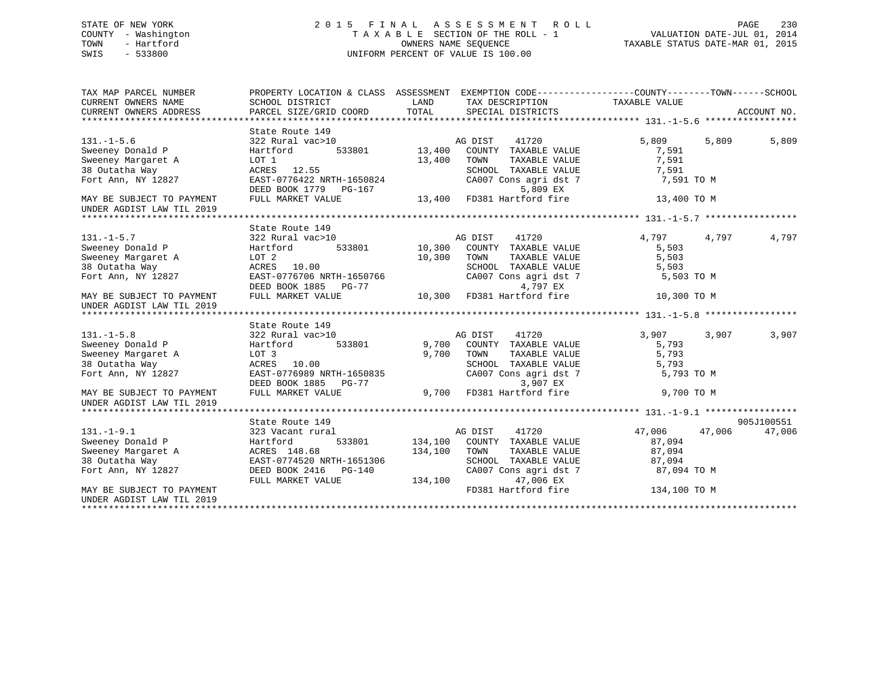## STATE OF NEW YORK 2 0 1 5 F I N A L A S S E S S M E N T R O L L PAGE 230 COUNTY - Washington T A X A B L E SECTION OF THE ROLL - 1 VALUATION DATE-JUL 01, 2014 TOWN - Hartford **TAXABLE STATUS DATE-MAR 01, 2015** OWNERS NAME SEQUENCE TAXABLE STATUS DATE-MAR 01, 2015 SWIS - 533800 UNIFORM PERCENT OF VALUE IS 100.00

| TAX MAP PARCEL NUMBER<br>CURRENT OWNERS NAME           | PROPERTY LOCATION & CLASS ASSESSMENT EXEMPTION CODE----------------COUNTY-------TOWN-----SCHOOL<br>SCHOOL DISTRICT<br>PARCEL SIZE/GRID COORD TOTAL | LAND        | TAX DESCRIPTION TAXABLE VALUE                         |                |             |
|--------------------------------------------------------|----------------------------------------------------------------------------------------------------------------------------------------------------|-------------|-------------------------------------------------------|----------------|-------------|
| CURRENT OWNERS ADDRESS                                 |                                                                                                                                                    |             | SPECIAL DISTRICTS                                     |                | ACCOUNT NO. |
|                                                        | State Route 149                                                                                                                                    |             |                                                       |                |             |
| $131. -1 - 5.6$                                        | 322 Rural vac>10                                                                                                                                   |             | 41720<br>AG DIST                                      | 5,809<br>5,809 | 5,809       |
| Sweeney Donald P                                       | Hartford                                                                                                                                           |             | 0 MG DIST 41720<br>533801 13,400 COUNTY TAXABLE VALUE | 7,591          |             |
| Sweeney Margaret A                                     | LOT 1                                                                                                                                              | 13,400      | TOWN<br>TAXABLE VALUE                                 | 7,591          |             |
| 38 Outatha Way                                         | ACRES 12.55                                                                                                                                        |             | SCHOOL TAXABLE VALUE                                  | 7,591          |             |
| Fort Ann, NY 12827                                     | EAST-0776422 NRTH-1650824                                                                                                                          |             | CA007 Cons agri dst 7                                 | 7,591 TO M     |             |
|                                                        | DEED BOOK 1779 PG-167                                                                                                                              |             | 5,809 EX                                              |                |             |
| MAY BE SUBJECT TO PAYMENT                              | FULL MARKET VALUE                                                                                                                                  | 13,400      | FD381 Hartford fire                                   | 13,400 TO M    |             |
| UNDER AGDIST LAW TIL 2019                              |                                                                                                                                                    |             |                                                       |                |             |
|                                                        |                                                                                                                                                    |             |                                                       |                |             |
|                                                        | State Route 149                                                                                                                                    |             |                                                       |                |             |
| $131. - 1 - 5.7$                                       | 322 Rural vac>10                                                                                                                                   |             | AG DIST 41720<br>10,300 COUNTY TAXABLE                | 4,797<br>4,797 | 4,797       |
| Sweeney Donald P                                       | 533801<br>Hartford                                                                                                                                 |             | 10,300 COUNTY TAXABLE VALUE                           | 5,503          |             |
| Sweeney Margaret A                                     | LOT <sub>2</sub>                                                                                                                                   | 10,300 TOWN | TAXABLE VALUE                                         | 5,503          |             |
| 38 Outatha Way                                         | ACRES 10.00                                                                                                                                        |             | SCHOOL TAXABLE VALUE                                  | 5,503          |             |
| Fort Ann, NY 12827                                     | EAST-0776706 NRTH-1650766                                                                                                                          |             | CA007 Cons agri dst 7                                 | 5,503 TO M     |             |
|                                                        | DEED BOOK 1885 PG-77                                                                                                                               |             | 4,797 EX                                              |                |             |
| MAY BE SUBJECT TO PAYMENT                              | FULL MARKET VALUE                                                                                                                                  |             | 4,797 EX<br>10,300 FD381 Hartford fire                | 10,300 TO M    |             |
| UNDER AGDIST LAW TIL 2019                              |                                                                                                                                                    |             |                                                       |                |             |
|                                                        |                                                                                                                                                    |             |                                                       |                |             |
|                                                        | State Route 149                                                                                                                                    |             |                                                       |                |             |
| $131. -1 - 5.8$                                        | 322 Rural vac>10                                                                                                                                   |             | 41720<br>AG DIST                                      | 3,907<br>3,907 | 3,907       |
| Sweeney Donald P                                       | 533801<br>Hartford                                                                                                                                 |             | 9,700 COUNTY TAXABLE VALUE                            | 5,793          |             |
| Sweeney Margaret A                                     | LOT 3                                                                                                                                              | 9,700       | TOWN<br>TAXABLE VALUE                                 | 5,793          |             |
| 38 Outatha Way                                         | ACRES 10.00                                                                                                                                        |             | SCHOOL TAXABLE VALUE                                  | 5,793          |             |
| Fort Ann, NY 12827                                     | EAST-0776989 NRTH-1650835                                                                                                                          |             | CA007 Cons agri dst 7                                 | 5,793 TO M     |             |
|                                                        | DEED BOOK 1885 PG-77                                                                                                                               |             | 3,907 EX                                              |                |             |
| MAY BE SUBJECT TO PAYMENT<br>UNDER AGDIST LAW TIL 2019 | FULL MARKET VALUE                                                                                                                                  | 9,700       | FD381 Hartford fire                                   | 9,700 TO M     |             |
|                                                        |                                                                                                                                                    |             |                                                       |                |             |
|                                                        | State Route 149                                                                                                                                    |             |                                                       |                | 905J100551  |
| $131. - 1 - 9.1$                                       | 323 Vacant rural                                                                                                                                   |             | AG DIST<br>41720                                      | 47,006 47,006  | 47,006      |
| Sweeney Donald P                                       | 533801<br>Hartford                                                                                                                                 |             | 134,100 COUNTY TAXABLE VALUE                          | 87,094         |             |
| Sweeney Margaret A                                     | ACRES 148.68                                                                                                                                       | 134,100     | TOWN<br>TAXABLE VALUE                                 | 87,094         |             |
| 38 Outatha Way                                         | EAST-0774520 NRTH-1651306                                                                                                                          |             | SCHOOL TAXABLE VALUE                                  | 87,094         |             |
| Fort Ann, NY 12827                                     | DEED BOOK 2416    PG-140                                                                                                                           |             | CA007 Cons agri dst 7                                 | 87,094 TO M    |             |
|                                                        | FULL MARKET VALUE                                                                                                                                  | 134,100     | 47,006 EX                                             |                |             |
| MAY BE SUBJECT TO PAYMENT                              |                                                                                                                                                    |             | FD381 Hartford fire                                   | 134,100 TO M   |             |
| UNDER AGDIST LAW TIL 2019                              |                                                                                                                                                    |             |                                                       |                |             |
|                                                        |                                                                                                                                                    |             |                                                       |                |             |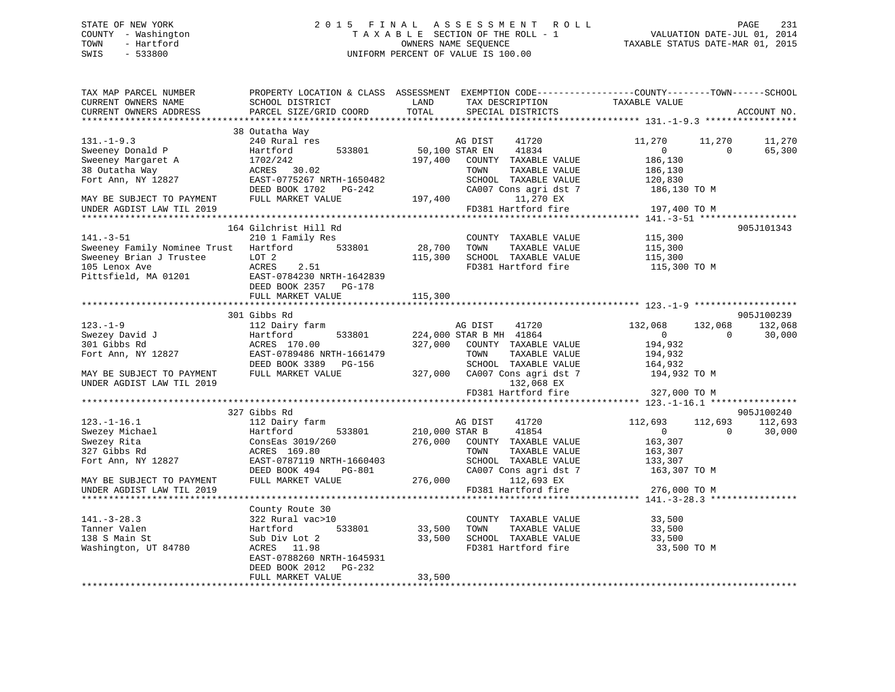## STATE OF NEW YORK 2 0 1 5 F I N A L A S S E S S M E N T R O L L PAGE 231 COUNTY - Washington T A X A B L E SECTION OF THE ROLL - 1 VALUATION DATE-JUL 01, 2014 TOWN - Hartford **TAXABLE STATUS DATE-MAR 01, 2015** OWNERS NAME SEQUENCE TAXABLE STATUS DATE-MAR 01, 2015 SWIS - 533800 UNIFORM PERCENT OF VALUE IS 100.00

| TAX MAP PARCEL NUMBER<br>CURRENT OWNERS NAME<br>CURRENT OWNERS ADDRESS | SCHOOL DISTRICT<br>PARCEL SIZE/GRID COORD    | LAND<br>TOTAL  | TAX DESCRIPTION<br>SPECIAL DISTRICTS | PROPERTY LOCATION & CLASS ASSESSMENT EXEMPTION CODE----------------COUNTY-------TOWN-----SCHOOL<br>TAXABLE VALUE | ACCOUNT NO. |
|------------------------------------------------------------------------|----------------------------------------------|----------------|--------------------------------------|------------------------------------------------------------------------------------------------------------------|-------------|
|                                                                        |                                              |                |                                      |                                                                                                                  |             |
|                                                                        | 38 Outatha Way                               |                |                                      |                                                                                                                  |             |
| $131. -1 - 9.3$                                                        | 240 Rural res                                |                | 41720<br>AG DIST                     | 11,270<br>11,270                                                                                                 | 11,270      |
| Sweeney Donald P                                                       | 533801<br>Hartford                           | 50,100 STAR EN | 41834                                | $\overline{0}$<br>$\Omega$                                                                                       | 65,300      |
| Sweeney Margaret A                                                     | 1702/242                                     | 197,400        | COUNTY TAXABLE VALUE                 | 186,130                                                                                                          |             |
| 38 Outatha Way                                                         | ACRES 30.02                                  |                | TOWN<br>TAXABLE VALUE                | 186,130                                                                                                          |             |
| Fort Ann, NY 12827                                                     | EAST-0775267 NRTH-1650482                    |                | SCHOOL TAXABLE VALUE                 | 120,830                                                                                                          |             |
|                                                                        | DEED BOOK 1702 PG-242                        |                | CA007 Cons agri dst 7                | 186,130 TO M                                                                                                     |             |
| MAY BE SUBJECT TO PAYMENT                                              | FULL MARKET VALUE                            | 197,400        | 11,270 EX                            |                                                                                                                  |             |
| UNDER AGDIST LAW TIL 2019                                              |                                              |                | FD381 Hartford fire                  | 197,400 TO M                                                                                                     |             |
|                                                                        |                                              |                |                                      |                                                                                                                  |             |
|                                                                        | 164 Gilchrist Hill Rd                        |                |                                      |                                                                                                                  | 905J101343  |
| $141. - 3 - 51$                                                        | 210 1 Family Res                             |                | COUNTY TAXABLE VALUE                 | 115,300                                                                                                          |             |
| Sweeney Family Nominee Trust Hartford                                  | 533801                                       | 28,700         | TOWN<br>TAXABLE VALUE                | 115,300                                                                                                          |             |
| Sweeney Brian J Trustee                                                | LOT <sub>2</sub>                             | 115,300        | SCHOOL TAXABLE VALUE                 | 115,300                                                                                                          |             |
| 105 Lenox Ave                                                          | ACRES<br>2.51                                |                | FD381 Hartford fire                  | 115,300 TO M                                                                                                     |             |
| Pittsfield, MA 01201                                                   | EAST-0784230 NRTH-1642839                    |                |                                      |                                                                                                                  |             |
|                                                                        | DEED BOOK 2357 PG-178<br>FULL MARKET VALUE   | 115,300        |                                      |                                                                                                                  |             |
|                                                                        |                                              |                |                                      |                                                                                                                  |             |
|                                                                        | 301 Gibbs Rd                                 |                |                                      |                                                                                                                  | 905J100239  |
| $123. - 1 - 9$                                                         | 112 Dairy farm                               |                | 41720<br>AG DIST                     | 132,068<br>132,068                                                                                               | 132,068     |
| Swezey David J<br>Swezey David J                                       | Hartford<br>533801                           |                | 224,000 STAR B MH 41864              | $\overline{0}$<br>$\Omega$                                                                                       | 30,000      |
| 301 Gibbs Rd                                                           | ACRES 170.00                                 | 327,000        | COUNTY TAXABLE VALUE                 | 194,932                                                                                                          |             |
| Fort Ann, NY 12827                                                     | EAST-0789486 NRTH-1661479                    |                | TOWN<br>TAXABLE VALUE                | 194,932                                                                                                          |             |
|                                                                        | DEED BOOK 3389 PG-156                        |                | SCHOOL TAXABLE VALUE                 | 164,932                                                                                                          |             |
| MAY BE SUBJECT TO PAYMENT                                              | FULL MARKET VALUE                            |                | 327,000 CA007 Cons agri dst 7        | 194,932 TO M                                                                                                     |             |
| UNDER AGDIST LAW TIL 2019                                              |                                              |                | 132,068 EX                           |                                                                                                                  |             |
|                                                                        |                                              |                | FD381 Hartford fire                  | 327,000 TO M                                                                                                     |             |
|                                                                        |                                              |                |                                      |                                                                                                                  |             |
|                                                                        | 327 Gibbs Rd                                 |                |                                      |                                                                                                                  | 905J100240  |
| $123. - 1 - 16.1$                                                      | 112 Dairy farm                               |                | 41720<br>AG DIST                     | 112,693<br>112,693                                                                                               | 112,693     |
| Swezey Michael                                                         | Hartford<br>533801                           | 210,000 STAR B | 41854                                | $\overline{0}$<br>$\Omega$                                                                                       | 30,000      |
| Swezey Rita                                                            | ConsEas 3019/260                             | 276,000        | COUNTY TAXABLE VALUE                 | 163,307                                                                                                          |             |
| 327 Gibbs Rd                                                           | ACRES 169.80                                 |                | TOWN<br>TAXABLE VALUE                | 163,307                                                                                                          |             |
| Fort Ann, NY 12827                                                     | EAST-0787119 NRTH-1660403                    |                | SCHOOL TAXABLE VALUE                 | 133,307                                                                                                          |             |
|                                                                        | DEED BOOK 494<br>PG-801<br>FULL MARKET VALUE | 276,000        | CA007 Cons agri dst 7<br>112,693 EX  | 163,307 TO M                                                                                                     |             |
| MAY BE SUBJECT TO PAYMENT<br>UNDER AGDIST LAW TIL 2019                 |                                              |                | FD381 Hartford fire                  | 276,000 TO M                                                                                                     |             |
|                                                                        |                                              |                |                                      |                                                                                                                  |             |
|                                                                        | County Route 30                              |                |                                      |                                                                                                                  |             |
| $141. - 3 - 28.3$                                                      | 322 Rural vac>10                             |                | COUNTY TAXABLE VALUE                 | 33,500                                                                                                           |             |
| Tanner Valen                                                           | 533801<br>Hartford                           | 33,500         | TOWN<br>TAXABLE VALUE                | 33,500                                                                                                           |             |
| 138 S Main St                                                          | Sub Div Lot 2                                | 33,500         | SCHOOL TAXABLE VALUE                 | 33,500                                                                                                           |             |
| Washington, UT 84780                                                   | ACRES 11.98                                  |                | FD381 Hartford fire                  | 33,500 TO M                                                                                                      |             |
|                                                                        | EAST-0788260 NRTH-1645931                    |                |                                      |                                                                                                                  |             |
|                                                                        | DEED BOOK 2012 PG-232                        |                |                                      |                                                                                                                  |             |
|                                                                        | FULL MARKET VALUE                            | 33,500         |                                      |                                                                                                                  |             |
|                                                                        |                                              |                |                                      |                                                                                                                  |             |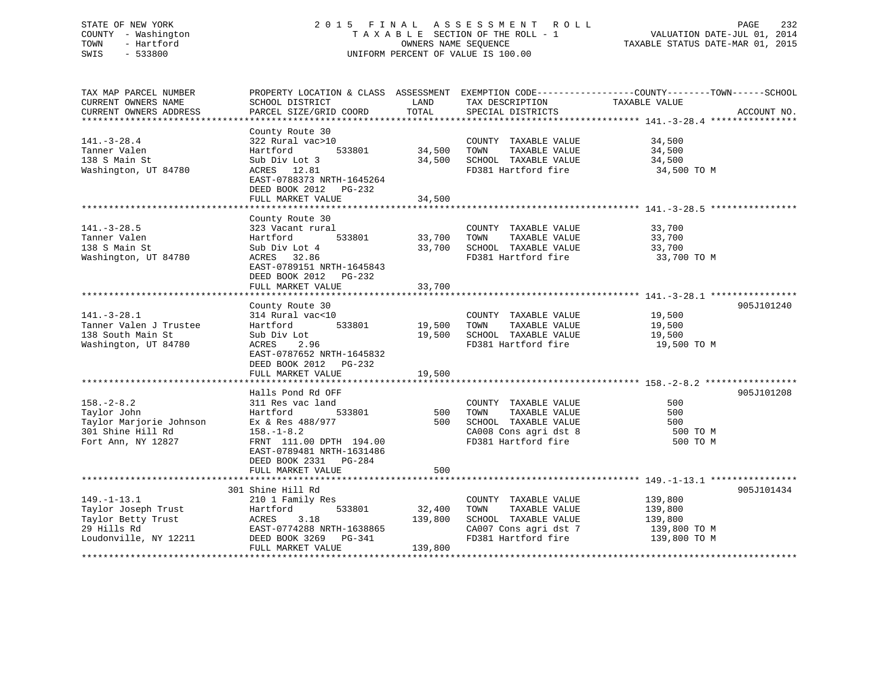## STATE OF NEW YORK 2 0 1 5 F I N A L A S S E S S M E N T R O L L PAGE 232 COUNTY - Washington T A X A B L E SECTION OF THE ROLL - 1 VALUATION DATE-JUL 01, 2014 TOWN - Hartford OWNERS NAME SEQUENCE TAXABLE STATUS DATE-MAR 01, 2015 SWIS - 533800 UNIFORM PERCENT OF VALUE IS 100.00

| TAX MAP PARCEL NUMBER                     | PROPERTY LOCATION & CLASS ASSESSMENT EXEMPTION CODE-----------------COUNTY-------TOWN------SCHOOL |               |                       |               |             |
|-------------------------------------------|---------------------------------------------------------------------------------------------------|---------------|-----------------------|---------------|-------------|
| CURRENT OWNERS NAME                       | SCHOOL DISTRICT                                                                                   | LAND          | TAX DESCRIPTION       | TAXABLE VALUE |             |
| CURRENT OWNERS ADDRESS                    | PARCEL SIZE/GRID COORD                                                                            | TOTAL         | SPECIAL DISTRICTS     |               | ACCOUNT NO. |
|                                           |                                                                                                   |               |                       |               |             |
|                                           |                                                                                                   |               |                       |               |             |
|                                           | County Route 30                                                                                   |               |                       |               |             |
| $141. - 3 - 28.4$                         | 322 Rural vac>10                                                                                  |               | COUNTY TAXABLE VALUE  | 34,500        |             |
| Tanner Valen                              | 533801<br>Hartford                                                                                | $34,500$ TOWN | TAXABLE VALUE         | 34,500        |             |
| 138 S Main St                             | Sub Div Lot 3                                                                                     | 34,500        | SCHOOL TAXABLE VALUE  | 34,500        |             |
| Washington, UT 84780                      | ACRES 12.81                                                                                       |               | FD381 Hartford fire   | 34,500 TO M   |             |
|                                           | EAST-0788373 NRTH-1645264                                                                         |               |                       |               |             |
|                                           | DEED BOOK 2012 PG-232                                                                             |               |                       |               |             |
|                                           | FULL MARKET VALUE                                                                                 | 34,500        |                       |               |             |
|                                           |                                                                                                   |               |                       |               |             |
|                                           |                                                                                                   |               |                       |               |             |
|                                           | County Route 30                                                                                   |               |                       |               |             |
| $141. - 3 - 28.5$                         | 323 Vacant rural                                                                                  |               | COUNTY TAXABLE VALUE  | 33,700        |             |
| Tanner Valen                              | 533801<br>Hartford                                                                                | 33,700 TOWN   | TAXABLE VALUE         | 33,700        |             |
| 138 S Main St                             | Sub Div Lot 4                                                                                     | 33,700        | SCHOOL TAXABLE VALUE  | 33,700        |             |
| Washington, UT 84780                      | ACRES 32.86                                                                                       |               | FD381 Hartford fire   | 33,700 TO M   |             |
|                                           | EAST-0789151 NRTH-1645843                                                                         |               |                       |               |             |
|                                           | DEED BOOK 2012    PG-232                                                                          |               |                       |               |             |
|                                           | FULL MARKET VALUE                                                                                 | 33,700        |                       |               |             |
|                                           |                                                                                                   |               |                       |               |             |
|                                           |                                                                                                   |               |                       |               |             |
|                                           | County Route 30                                                                                   |               |                       |               | 905J101240  |
| $141. - 3 - 28.1$                         | 314 Rural vac<10                                                                                  |               | COUNTY TAXABLE VALUE  | 19,500        |             |
| Tanner Valen J Trustee                    | 533801<br>Hartford                                                                                | 19,500 TOWN   | TAXABLE VALUE         | 19,500        |             |
| 138 South Main St                         | Sub Div Lot                                                                                       | 19,500        | SCHOOL TAXABLE VALUE  | 19,500        |             |
| Washington, UT 84780                      | ACRES 2.96                                                                                        |               | FD381 Hartford fire   | 19,500 TO M   |             |
|                                           | EAST-0787652 NRTH-1645832                                                                         |               |                       |               |             |
|                                           | DEED BOOK 2012 PG-232                                                                             |               |                       |               |             |
|                                           |                                                                                                   |               |                       |               |             |
|                                           | FULL MARKET VALUE                                                                                 | 19,500        |                       |               |             |
|                                           |                                                                                                   |               |                       |               |             |
|                                           | Halls Pond Rd OFF                                                                                 |               |                       |               | 905J101208  |
| $158. - 2 - 8.2$                          | 311 Res vac land                                                                                  |               | COUNTY TAXABLE VALUE  | 500           |             |
| Taylor John                               | Hartford<br>533801                                                                                | 500           | TOWN<br>TAXABLE VALUE | 500           |             |
| Taylor Marjorie Johnson<br>2004 - Will Pl | Ex & Res 488/977                                                                                  | 500           | SCHOOL TAXABLE VALUE  | 500           |             |
| 301 Shine Hill Rd                         | $158. - 1 - 8.2$                                                                                  |               | CA008 Cons agri dst 8 | 500 TO M      |             |
| Fort Ann, NY 12827                        | FRNT 111.00 DPTH 194.00                                                                           |               | FD381 Hartford fire   | 500 TO M      |             |
|                                           |                                                                                                   |               |                       |               |             |
|                                           | EAST-0789481 NRTH-1631486                                                                         |               |                       |               |             |
|                                           | DEED BOOK 2331 PG-284                                                                             |               |                       |               |             |
|                                           | FULL MARKET VALUE                                                                                 | 500           |                       |               |             |
|                                           |                                                                                                   |               |                       |               |             |
|                                           | 301 Shine Hill Rd                                                                                 |               |                       |               | 905J101434  |
| $149. - 1 - 13.1$                         | 210 1 Family Res                                                                                  |               | COUNTY TAXABLE VALUE  | 139,800       |             |
| Taylor Joseph Trust                       | Hartford<br>533801                                                                                | 32,400        | TAXABLE VALUE<br>TOWN | 139,800       |             |
| Taylor Betty Trust                        | ACRES<br>3.18                                                                                     | 139,800       | SCHOOL TAXABLE VALUE  | 139,800       |             |
| 29 Hills Rd                               | EAST-0774288 NRTH-1638865                                                                         |               | CA007 Cons agri dst 7 |               |             |
|                                           |                                                                                                   |               |                       | 139,800 TO M  |             |
| Loudonville, NY 12211                     | DEED BOOK 3269    PG-341                                                                          |               | FD381 Hartford fire   | 139,800 TO M  |             |
|                                           | FULL MARKET VALUE                                                                                 | 139,800       |                       |               |             |
|                                           |                                                                                                   |               |                       |               |             |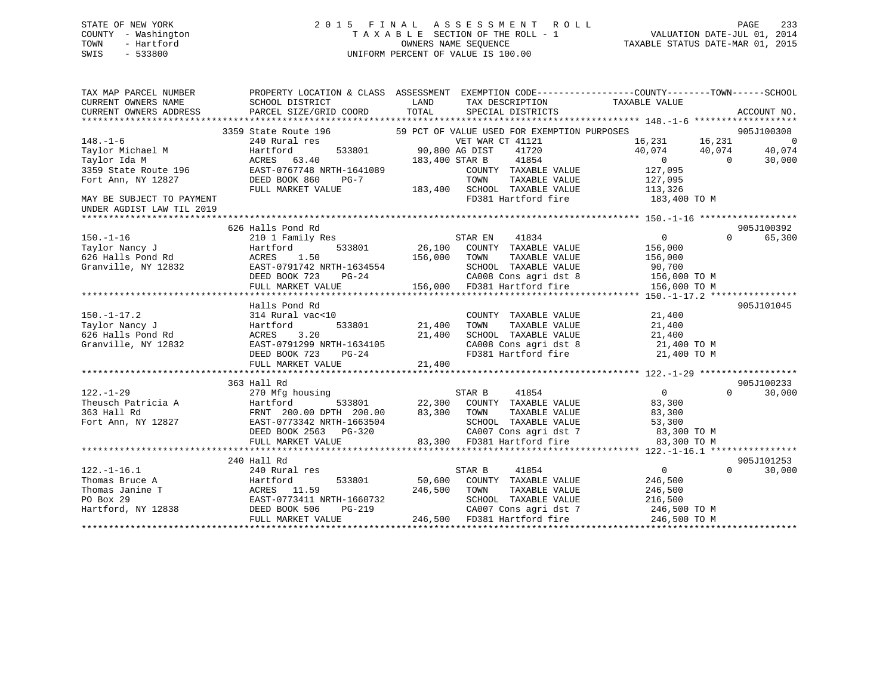## STATE OF NEW YORK 2 0 1 5 F I N A L A S S E S S M E N T R O L L PAGE 233 COUNTY - Washington T A X A B L E SECTION OF THE ROLL - 1 VALUATION DATE-JUL 01, 2014 TOWN - Hartford **TAXABLE STATUS DATE-MAR 01, 2015** OWNERS NAME SEQUENCE TAXABLE STATUS DATE-MAR 01, 2015 SWIS - 533800 UNIFORM PERCENT OF VALUE IS 100.00

| TAX MAP PARCEL NUMBER<br>CURRENT OWNERS NAME<br>CURRENT OWNERS ADDRESS | PROPERTY LOCATION & CLASS ASSESSMENT<br>SCHOOL DISTRICT<br>PARCEL SIZE/GRID COORD | LAND<br>TOTAL  | EXEMPTION CODE----------------COUNTY-------TOWN------SCHOOL<br>TAX DESCRIPTION<br>SPECIAL DISTRICTS | TAXABLE VALUE    | ACCOUNT NO.            |
|------------------------------------------------------------------------|-----------------------------------------------------------------------------------|----------------|-----------------------------------------------------------------------------------------------------|------------------|------------------------|
|                                                                        |                                                                                   |                |                                                                                                     |                  |                        |
|                                                                        | 3359 State Route 196                                                              |                | 59 PCT OF VALUE USED FOR EXEMPTION PURPOSES                                                         |                  | 905J100308             |
| $148. - 1 - 6$                                                         | 240 Rural res                                                                     |                | VET WAR CT 41121                                                                                    | 16,231<br>16,231 | - 0                    |
| Taylor Michael M                                                       | 533801<br>Hartford                                                                | 90,800 AG DIST | 41720                                                                                               | 40,074<br>40,074 | 40,074                 |
| Taylor Ida M                                                           | ACRES 63.40                                                                       | 183,400 STAR B | 41854                                                                                               | $\overline{0}$   | 30,000<br>$\Omega$     |
| 3359 State Route 196                                                   | EAST-0767748 NRTH-1641089                                                         |                | COUNTY TAXABLE VALUE                                                                                | 127,095          |                        |
| Fort Ann, NY 12827                                                     | DEED BOOK 860<br>PG-7                                                             |                | TOWN<br>TAXABLE VALUE                                                                               | 127,095          |                        |
|                                                                        | FULL MARKET VALUE                                                                 | 183,400        | SCHOOL TAXABLE VALUE                                                                                | 113,326          |                        |
| MAY BE SUBJECT TO PAYMENT<br>UNDER AGDIST LAW TIL 2019                 |                                                                                   |                | FD381 Hartford fire                                                                                 | 183,400 TO M     |                        |
|                                                                        |                                                                                   |                |                                                                                                     |                  |                        |
|                                                                        | 626 Halls Pond Rd                                                                 |                |                                                                                                     |                  | 905J100392<br>$\Omega$ |
| $150. - 1 - 16$                                                        | 210 1 Family Res                                                                  |                | STAR EN<br>41834                                                                                    | $\overline{0}$   | 65,300                 |
| Taylor Nancy J                                                         | 533801<br>Hartford<br>1.50                                                        | 26,100         | COUNTY TAXABLE VALUE                                                                                | 156,000          |                        |
| 626 Halls Pond Rd                                                      | ACRES                                                                             | 156,000        | TOWN<br>TAXABLE VALUE                                                                               | 156,000          |                        |
| Granville, NY 12832                                                    | EAST-0791742 NRTH-1634554                                                         |                | SCHOOL TAXABLE VALUE                                                                                | 90,700           |                        |
|                                                                        | DEED BOOK 723<br>PG-24                                                            |                | CA008 Cons agri dst 8                                                                               | 156,000 TO M     |                        |
|                                                                        | FULL MARKET VALUE                                                                 |                | 156,000 FD381 Hartford fire                                                                         | 156,000 TO M     |                        |
|                                                                        | Halls Pond Rd                                                                     |                |                                                                                                     |                  | 905J101045             |
|                                                                        |                                                                                   |                |                                                                                                     | 21,400           |                        |
| $150. - 1 - 17.2$<br>Taylor Nancy J                                    | 314 Rural vac<10<br>533801                                                        | 21,400         | COUNTY TAXABLE VALUE<br>TOWN<br>TAXABLE VALUE                                                       | 21,400           |                        |
| 626 Halls Pond Rd                                                      | Hartford<br>3.20<br>ACRES                                                         | 21,400         | SCHOOL TAXABLE VALUE                                                                                | 21,400           |                        |
| Granville, NY 12832                                                    | EAST-0791299 NRTH-1634105                                                         |                | CA008 Cons agri dst 8                                                                               | 21,400 TO M      |                        |
|                                                                        |                                                                                   |                | FD381 Hartford fire                                                                                 |                  |                        |
|                                                                        | DEED BOOK 723<br>PG-24                                                            |                |                                                                                                     | 21,400 TO M      |                        |
|                                                                        | FULL MARKET VALUE                                                                 | 21,400         |                                                                                                     |                  |                        |
|                                                                        |                                                                                   |                |                                                                                                     |                  | 905J100233             |
| $122. - 1 - 29$                                                        | 363 Hall Rd                                                                       |                |                                                                                                     | $\overline{0}$   | $\Omega$               |
| Theusch Patricia A                                                     | 270 Mfg housing<br>533801                                                         | 22,300         | 41854<br>STAR B<br>COUNTY TAXABLE VALUE                                                             | 83,300           | 30,000                 |
| 363 Hall Rd                                                            | Hartford                                                                          | 83,300         | TOWN                                                                                                |                  |                        |
|                                                                        | FRNT 200.00 DPTH 200.00                                                           |                | TAXABLE VALUE<br>SCHOOL TAXABLE VALUE                                                               | 83,300           |                        |
| Fort Ann, NY 12827                                                     | EAST-0773342 NRTH-1663504                                                         |                |                                                                                                     | 53,300           |                        |
|                                                                        | DEED BOOK 2563<br>PG-320                                                          |                | CA007 Cons agri dst 7<br>83,300 FD381 Hartford fire                                                 | 83,300 TO M      |                        |
|                                                                        | FULL MARKET VALUE                                                                 |                |                                                                                                     | 83,300 TO M      |                        |
|                                                                        |                                                                                   |                |                                                                                                     |                  | 905J101253             |
| $122. - 1 - 16.1$                                                      | 240 Hall Rd                                                                       |                |                                                                                                     | $\overline{0}$   | $\Omega$<br>30,000     |
| Thomas Bruce A                                                         | 240 Rural res                                                                     | 50,600         | STAR B<br>41854                                                                                     |                  |                        |
|                                                                        | 533801<br>Hartford                                                                |                | COUNTY TAXABLE VALUE                                                                                | 246,500          |                        |
| Thomas Janine T                                                        | ACRES 11.59                                                                       | 246,500        | TOWN<br>TAXABLE VALUE                                                                               | 246,500          |                        |
| PO Box 29                                                              | EAST-0773411 NRTH-1660732                                                         |                | SCHOOL TAXABLE VALUE                                                                                | 216,500          |                        |
| Hartford, NY 12838                                                     | DEED BOOK 506<br><b>PG-219</b>                                                    |                | CA007 Cons agri dst 7                                                                               | 246,500 TO M     |                        |
|                                                                        | FULL MARKET VALUE                                                                 |                | 246,500 FD381 Hartford fire                                                                         | 246,500 TO M     |                        |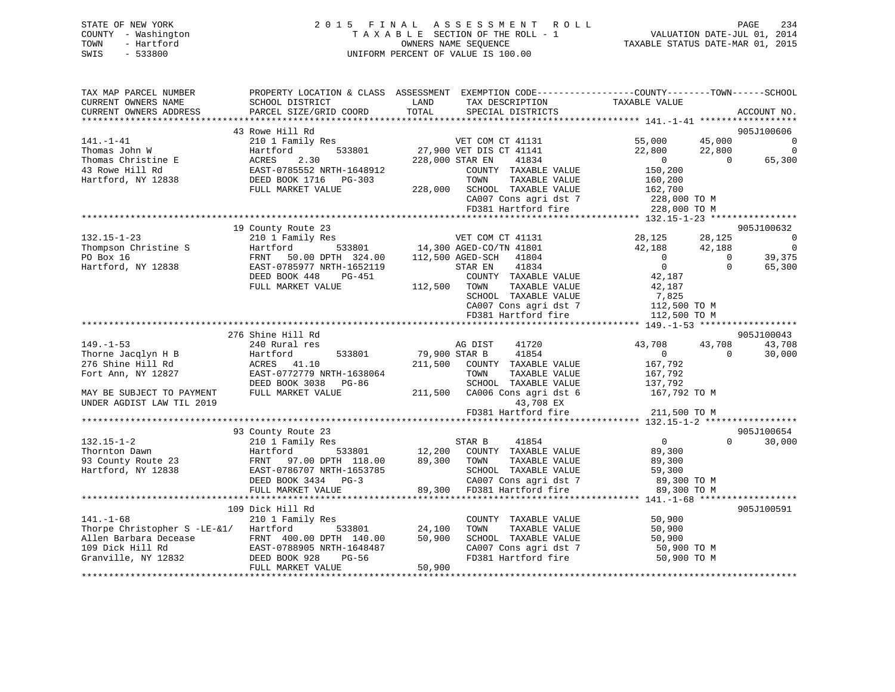|      | STATE OF NEW YORK   |  |  | 2015 FINAL ASSESSMENT ROLL         | PAGE                             | 234 |
|------|---------------------|--|--|------------------------------------|----------------------------------|-----|
|      | COUNTY - Washington |  |  | TAXABLE SECTION OF THE ROLL - 1    | VALUATION DATE-JUL 01, 2014      |     |
| TOWN | - Hartford          |  |  | OWNERS NAME SEOUENCE               | TAXABLE STATUS DATE-MAR 01, 2015 |     |
| SWIS | $-533800$           |  |  | UNIFORM PERCENT OF VALUE IS 100.00 |                                  |     |

| TAX MAP PARCEL NUMBER                 | PROPERTY LOCATION & CLASS ASSESSMENT EXEMPTION CODE----------------COUNTY-------TOWN------SCHOOL |               |                                                                                 |                              |                |                          |
|---------------------------------------|--------------------------------------------------------------------------------------------------|---------------|---------------------------------------------------------------------------------|------------------------------|----------------|--------------------------|
| CURRENT OWNERS NAME                   | SCHOOL DISTRICT                                                                                  | LAND          | TAX DESCRIPTION                                                                 | TAXABLE VALUE                |                |                          |
| CURRENT OWNERS ADDRESS                | PARCEL SIZE/GRID COORD                                                                           | TOTAL         | SPECIAL DISTRICTS                                                               |                              |                | ACCOUNT NO.              |
|                                       |                                                                                                  |               |                                                                                 |                              |                |                          |
|                                       | 43 Rowe Hill Rd                                                                                  |               |                                                                                 |                              |                | 905J100606               |
| 141.-1-41                             | 210 1 Family Res                                                                                 |               | VET COM CT 41131                                                                | 55,000                       | 45,000         | $\overline{0}$           |
| Thomas John W                         | 533801<br>Hartford                                                                               |               | 27,900 VET DIS CT 41141                                                         | 22,800                       | 22,800         | $\overline{0}$           |
| Thomas Christine E                    | ACRES<br>2.30                                                                                    |               | 228,000 STAR EN<br>41834                                                        | $\overline{0}$<br>150,200    | $\overline{0}$ | 65,300                   |
| 43 Rowe Hill Rd                       | EAST-0785552 NRTH-1648912                                                                        |               | COUNTY TAXABLE VALUE<br>TOWN                                                    |                              |                |                          |
| Hartford, NY 12838                    | DEED BOOK 1716 PG-303<br>FULL MARKET VALUE                                                       |               | TAXABLE VALUE<br>228,000 SCHOOL TAXABLE VALUE                                   | 160,200<br>162,700           |                |                          |
|                                       |                                                                                                  |               | CA007 Cons agri dst 7                                                           |                              |                |                          |
|                                       |                                                                                                  |               | FD381 Hartford fire                                                             | 228,000 ТО М<br>228,000 ТО М |                |                          |
|                                       |                                                                                                  |               |                                                                                 |                              |                |                          |
|                                       | 19 County Route 23                                                                               |               |                                                                                 |                              |                | 905J100632               |
| $132.15 - 1 - 23$                     | 210 1 Family Res                                                                                 |               | VET COM CT 41131                                                                | 28,125                       | 28,125         | $\overline{\phantom{0}}$ |
| Thompson Christine S                  | Hartford                                                                                         |               | 533801 14,300 AGED-CO/TN 41801                                                  | 42,188                       | 42,188         | $\overline{\phantom{0}}$ |
| PO Box 16                             | FRNT 50.00 DPTH 324.00 112,500 AGED-SCH 41804                                                    |               |                                                                                 | $\overline{0}$               | $\Omega$       | 39,375                   |
| Hartford, NY 12838                    | EAST-0785977 NRTH-1652119                                                                        |               | 41834<br>STAR EN                                                                | $\overline{0}$               | $\Omega$       | 65,300                   |
|                                       | DEED BOOK 448<br>PG-451                                                                          |               | COUNTY TAXABLE VALUE                                                            | 42,187                       |                |                          |
|                                       | FULL MARKET VALUE                                                                                | 112,500 TOWN  | TAXABLE VALUE                                                                   | 42,187                       |                |                          |
|                                       |                                                                                                  |               | SCHOOL TAXABLE VALUE                                                            | 7,825                        |                |                          |
|                                       |                                                                                                  |               | CA007 Cons agri dst 7 $112,500$ TO M                                            |                              |                |                          |
|                                       |                                                                                                  |               | FD381 Hartford fire                                                             | 112,500 TO M                 |                |                          |
|                                       |                                                                                                  |               |                                                                                 |                              |                |                          |
|                                       | 276 Shine Hill Rd                                                                                |               |                                                                                 |                              |                | 905J100043               |
| $149. - 1 - 53$                       | 240 Rural res                                                                                    |               | AG DIST<br>41720                                                                | 43,708                       | 43,708         | 43,708                   |
| Thorne Jacqlyn H B                    | 533801<br>Hartford                                                                               | 79,900 STAR B | 41854                                                                           | $\overline{0}$               | $\Omega$       | 30,000                   |
| 276 Shine Hill Rd                     | ACRES 41.10                                                                                      |               | 211,500 COUNTY TAXABLE VALUE                                                    | 167,792                      |                |                          |
| Fort Ann, NY 12827                    | EAST-0772779 NRTH-1638064                                                                        |               | TOWN<br>TAXABLE VALUE                                                           | 167,792                      |                |                          |
|                                       | DEED BOOK 3038 PG-86                                                                             |               | SCHOOL TAXABLE VALUE                                                            | 137,792                      |                |                          |
| MAY BE SUBJECT TO PAYMENT             | FULL MARKET VALUE                                                                                |               | 211,500 CA006 Cons agri dst 6                                                   | 167,792 TO M                 |                |                          |
| UNDER AGDIST LAW TIL 2019             |                                                                                                  |               | 43,708 EX                                                                       |                              |                |                          |
|                                       |                                                                                                  |               | FD381 Hartford fire                                                             | 211,500 TO M                 |                |                          |
|                                       | 93 County Route 23                                                                               |               |                                                                                 |                              |                | 905J100654               |
| $132.15 - 1 - 2$                      | 210 1 Family Res                                                                                 |               | 41854<br>STAR B                                                                 | $\overline{0}$               | $\Omega$       | 30,000                   |
| Thornton Dawn                         | Hartford                                                                                         |               | 533801 12,200 COUNTY TAXABLE VALUE                                              | 89,300                       |                |                          |
| 93 County Route 23                    |                                                                                                  |               | 89,300 TOWN<br>TAXABLE VALUE                                                    | 89,300                       |                |                          |
| Hartford, NY 12838                    | FRNT 97.00 DPTH 118.00<br>EAST-0786707 NRTH-1653785                                              |               | SCHOOL TAXABLE VALUE                                                            | 59,300                       |                |                          |
|                                       | DEED BOOK 3434 PG-3                                                                              |               |                                                                                 | 89,300 TO M                  |                |                          |
|                                       | FULL MARKET VALUE                                                                                |               | SCHOOD Information dst 7<br>CA007 Cons agri dst 7<br>89,300 FD381 Hartford fire | 89,300 TO M                  |                |                          |
|                                       |                                                                                                  |               |                                                                                 |                              |                |                          |
|                                       | 109 Dick Hill Rd                                                                                 |               |                                                                                 |                              |                | 905J100591               |
| $141. - 1 - 68$                       | 210 1 Family Res                                                                                 |               | COUNTY TAXABLE VALUE                                                            | 50,900                       |                |                          |
| Thorpe Christopher S -LE-&1/ Hartford | 533801                                                                                           | 24,100        | TOWN<br>TAXABLE VALUE                                                           | 50,900                       |                |                          |
| Allen Barbara Decease                 | FRNT 400.00 DPTH 140.00                                                                          | 50,900        | SCHOOL TAXABLE VALUE                                                            | 50,900                       |                |                          |
| 109 Dick Hill Rd                      | EAST-0788905 I<br>32 DEED BOOK 928<br>EAST-0788905 NRTH-1648487                                  |               | CA007 Cons agri dst 7                                                           | 50,900 TO M                  |                |                          |
| Granville, NY 12832                   | PG-56                                                                                            |               | FD381 Hartford fire                                                             | 50,900 TO M                  |                |                          |
|                                       | FULL MARKET VALUE                                                                                | 50,900        |                                                                                 |                              |                |                          |
|                                       |                                                                                                  |               |                                                                                 |                              |                |                          |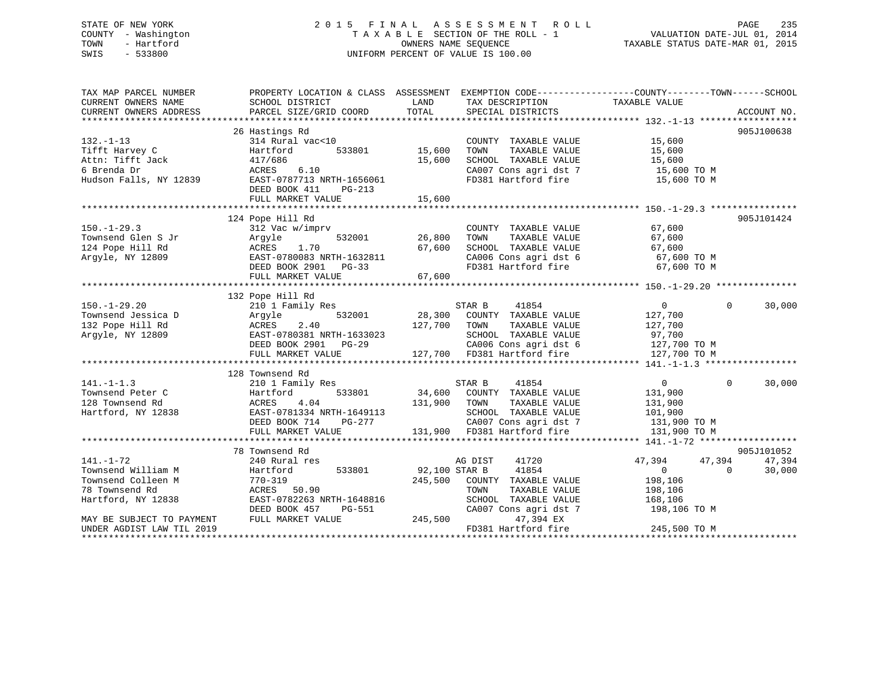# STATE OF NEW YORK 235 2 0 1 5 F I N A L A S S E S S M E N T R O L L PAGE 235 COUNTY - Washington  $T A X A B L E$  SECTION OF THE ROLL - 1<br>TOWN - Hartford SWIS - 533800 UNIFORM PERCENT OF VALUE IS 100.00

TAXABLE STATUS DATE-MAR 01, 2015

| TAX MAP PARCEL NUMBER     | PROPERTY LOCATION & CLASS ASSESSMENT |               | EXEMPTION CODE-----------------COUNTY-------TOWN------SCHOOL |                                |             |
|---------------------------|--------------------------------------|---------------|--------------------------------------------------------------|--------------------------------|-------------|
| CURRENT OWNERS NAME       | SCHOOL DISTRICT                      | LAND          | TAX DESCRIPTION                                              | TAXABLE VALUE                  |             |
| CURRENT OWNERS ADDRESS    | PARCEL SIZE/GRID COORD               | TOTAL         | SPECIAL DISTRICTS                                            |                                | ACCOUNT NO. |
| ************************* |                                      |               |                                                              |                                |             |
|                           | 26 Hastings Rd                       |               |                                                              |                                | 905J100638  |
| $132. - 1 - 13$           | 314 Rural vac<10                     |               | COUNTY TAXABLE VALUE                                         | 15,600                         |             |
| Tifft Harvey C            | 533801<br>Hartford                   | 15,600        | TOWN<br>TAXABLE VALUE                                        | 15,600                         |             |
| Attn: Tifft Jack          | 417/686                              | 15,600        | SCHOOL TAXABLE VALUE                                         | 15,600                         |             |
| 6 Brenda Dr               | ACRES<br>6.10                        |               | CA007 Cons agri dst 7                                        | 15,600 TO M                    |             |
| Hudson Falls, NY 12839    | EAST-0787713 NRTH-1656061            |               | FD381 Hartford fire                                          | 15,600 TO M                    |             |
|                           | DEED BOOK 411<br>$PG-213$            |               |                                                              |                                |             |
|                           | FULL MARKET VALUE                    | 15,600        |                                                              |                                |             |
|                           |                                      |               |                                                              |                                |             |
|                           | 124 Pope Hill Rd                     |               |                                                              |                                | 905J101424  |
| $150. - 1 - 29.3$         | 312 Vac w/imprv                      |               | COUNTY TAXABLE VALUE                                         | 67,600                         |             |
| Townsend Glen S Jr        | 532001<br>Arqyle                     | 26,800        | TOWN<br>TAXABLE VALUE                                        | 67,600                         |             |
| 124 Pope Hill Rd          | 1.70<br>ACRES                        | 67,600        | SCHOOL TAXABLE VALUE                                         | 67,600                         |             |
| Argyle, NY 12809          | EAST-0780083 NRTH-1632811            |               | SCHOOL TAXABLE VALUE<br>CA006 Cons agri dst 6                | 67,600 TO M                    |             |
|                           | DEED BOOK 2901<br>$PG-33$            |               | FD381 Hartford fire                                          | 67,600 TO M                    |             |
|                           | FULL MARKET VALUE                    | 67,600        |                                                              |                                |             |
|                           |                                      |               |                                                              |                                |             |
|                           | 132 Pope Hill Rd                     |               |                                                              |                                |             |
| $150. - 1 - 29.20$        | 210 1 Family Res                     |               | 41854<br>STAR B                                              | $\overline{0}$<br>$\mathbf{0}$ | 30,000      |
| Townsend Jessica D        | 532001<br>Argyle                     | 28,300        | COUNTY TAXABLE VALUE                                         | 127,700                        |             |
| 132 Pope Hill Rd          | 2.40<br>ACRES                        | 127,700       | TOWN<br>TAXABLE VALUE                                        | 127,700                        |             |
| Arqyle, NY 12809          | EAST-0780381 NRTH-1633023            |               | SCHOOL TAXABLE VALUE                                         | 97,700                         |             |
|                           | DEED BOOK 2901 PG-29                 |               | CA006 Cons agri dst 6                                        | 127,700 TO M                   |             |
|                           | FULL MARKET VALUE                    |               | 127,700 FD381 Hartford fire                                  | 127,700 TO M                   |             |
|                           |                                      |               |                                                              |                                |             |
|                           | 128 Townsend Rd                      |               |                                                              |                                |             |
| $141. - 1 - 1.3$          | 210 1 Family Res                     |               | STAR B<br>41854                                              | $\overline{0}$<br>$\Omega$     | 30,000      |
| Townsend Peter C          | 533801<br>Hartford                   |               | 34,600 COUNTY TAXABLE VALUE                                  | 131,900                        |             |
| 128 Townsend Rd           | 4.04<br>ACRES                        | 131,900       | TOWN<br>TAXABLE VALUE                                        | 131,900                        |             |
| Hartford, NY 12838        | EAST-0781334 NRTH-1649113            |               | SCHOOL TAXABLE VALUE                                         | 101,900                        |             |
|                           | DEED BOOK 714<br>PG-277              |               | CA007 Cons agri dst 7                                        | 131,900 TO M                   |             |
|                           | FULL MARKET VALUE                    |               | 131,900 FD381 Hartford fire                                  | 131,900 TO M                   |             |
|                           |                                      |               |                                                              |                                |             |
|                           | 78 Townsend Rd                       |               |                                                              |                                | 905J101052  |
| $141. - 1 - 72$           | 240 Rural res                        |               | 41720<br>AG DIST                                             | 47,394<br>47,394               | 47,394      |
| Townsend William M        | Hartford<br>533801                   | 92,100 STAR B | 41854                                                        | $\overline{0}$<br>$\Omega$     | 30,000      |
| Townsend Colleen M        | $770 - 319$                          | 245,500       | COUNTY TAXABLE VALUE                                         | 198,106                        |             |
| 78 Townsend Rd            | ACRES 50.90                          |               | TOWN<br>TAXABLE VALUE                                        | 198,106                        |             |
| Hartford, NY 12838        | EAST-0782263 NRTH-1648816            |               | SCHOOL TAXABLE VALUE                                         |                                |             |
|                           | DEED BOOK 457<br>PG-551              |               | CA007 Cons agri dst 7                                        | 168,106<br>198,106 TO M        |             |
| MAY BE SUBJECT TO PAYMENT | FULL MARKET VALUE                    | 245,500       | 47,394 EX                                                    |                                |             |
| UNDER AGDIST LAW TIL 2019 |                                      |               | FD381 Hartford fire                                          | 245,500 TO M                   |             |
|                           |                                      |               |                                                              |                                |             |
|                           |                                      |               |                                                              |                                |             |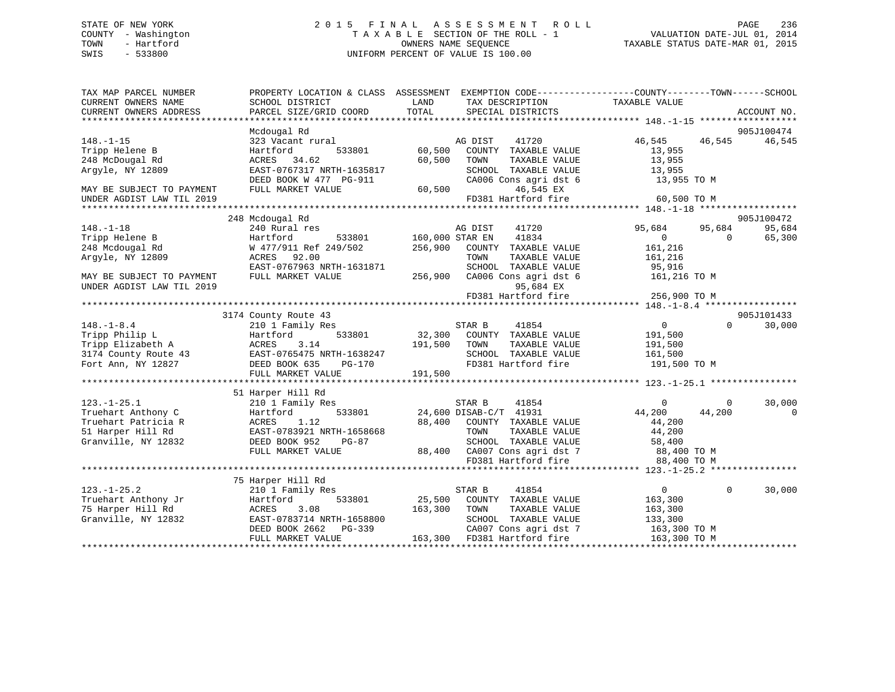## STATE OF NEW YORK 2 0 1 5 F I N A L A S S E S S M E N T R O L L PAGE 236 COUNTY - Washington T A X A B L E SECTION OF THE ROLL - 1 VALUATION DATE-JUL 01, 2014 TOWN - Hartford **TAXABLE STATUS DATE-MAR 01, 2015** OWNERS NAME SEQUENCE TAXABLE STATUS DATE-MAR 01, 2015 SWIS - 533800 UNIFORM PERCENT OF VALUE IS 100.00

| ACCOUNT NO.<br>905J100474<br>Mcdougal Rd<br>46,545 46,545<br>46,545<br>$148. - 1 - 15$<br>323 Vacant rural<br>AG DIST<br>41720<br>Tripp Helene B<br>Hartford<br>533801<br>60,500<br>COUNTY TAXABLE VALUE<br>13,955<br>248 McDougal Rd<br>ACRES 34.62<br>60,500<br>13,955<br>TOWN<br>TAXABLE VALUE<br>EAST-0767317 NRTH-1635817<br>Argyle, NY 12809<br>SCHOOL TAXABLE VALUE<br>13,955<br>13,955 TO M<br>DEED BOOK W 477 PG-911<br>CA006 Cons agri dst 6<br>FULL MARKET VALUE<br>60,500<br>46,545 EX<br>MAY BE SUBJECT TO PAYMENT<br>FD381 Hartford fire<br>60,500 TO M<br>UNDER AGDIST LAW TIL 2019<br>248 Mcdougal Rd<br>905J100472<br>95,684<br>AG DIST<br>41720<br>95,684<br>240 Rural res<br>95,684<br>533801<br>160,000 STAR EN<br>41834<br>$\overline{0}$<br>65,300<br>Hartford<br>$\Omega$<br>W 477/911 Ref 249/502<br>256,900<br>COUNTY TAXABLE VALUE<br>161,216<br>ACRES 92.00<br>TOWN<br>TAXABLE VALUE<br>161,216<br>EAST-0767963 NRTH-1631871<br>SCHOOL TAXABLE VALUE<br>95,916<br>MAY BE SUBJECT TO PAYMENT<br>256,900 CA006 Cons agri dst 6<br>FULL MARKET VALUE<br>161,216 TO M<br>95,684 EX<br>FD381 Hartford fire<br>256,900 TO M<br>3174 County Route 43<br>905J101433<br>$\overline{0}$<br>41854<br>$\Omega$<br>30,000<br>210 1 Family Res<br>STAR B<br>533801<br>32,300 COUNTY TAXABLE VALUE<br>191,500<br>Hartford<br>ACRES<br>3.14<br>191,500 TOWN<br>TAXABLE VALUE<br>191,500<br>3174 County Route 43 EAST-0765475 NRTH-1638247<br>161,500<br>SCHOOL TAXABLE VALUE<br>FD381 Hartford fire<br>DEED BOOK 635<br>PG-170<br>191,500 TO M<br>191,500<br>FULL MARKET VALUE<br>51 Harper Hill Rd<br>30,000<br>210 1 Family Res<br>STAR B<br>41854<br>$\mathbf{0}$<br>0<br>24,600 DISAB-C/T 41931<br>44,200<br>Hartford<br>533801<br>44,200<br>$\Omega$<br>1.12<br>88,400 COUNTY TAXABLE VALUE<br>ACRES<br>44,200<br>EAST-0783921 NRTH-1658668<br>TAXABLE VALUE<br>44,200<br>TOWN<br>DEED BOOK 952<br>SCHOOL TAXABLE VALUE<br>58,400<br>PG-87<br>88,400 CA007 Cons agridst 7 88,400 TO M<br>FD381 Hartford fire 88,400 TO M<br>FULL MARKET VALUE<br>FD381 Hartford fire<br>88,400 TO M<br>75 Harper Hill Rd<br>30,000<br>$123. - 1 - 25.2$<br>210 1 Family Res<br>STAR B<br>41854<br>$\overline{0}$<br>$\Omega$<br>Truehart Anthony Jr<br>533801<br>25,500 COUNTY TAXABLE VALUE<br>Hartford<br>163,300<br>75 Harper Hill Rd<br>ACRES<br>3.08<br>163,300<br>TOWN<br>TAXABLE VALUE<br>163,300<br>Granville, NY 12832<br>SCHOOL TAXABLE VALUE<br>EAST-0783714 NRTH-1658800<br>133,300<br>DEED BOOK 2662    PG-339<br>CA007 Cons agri dst 7<br>163,300 TO M<br>163,300 FD381 Hartford fire<br>FULL MARKET VALUE<br>163,300 TO M | TAX MAP PARCEL NUMBER<br>CURRENT OWNERS NAME | SCHOOL DISTRICT        | PROPERTY LOCATION & CLASS ASSESSMENT EXEMPTION CODE----------------COUNTY-------TOWN-----SCHOOL<br>LAND<br>TAX DESCRIPTION<br>TOTAL | TAXABLE VALUE |  |
|------------------------------------------------------------------------------------------------------------------------------------------------------------------------------------------------------------------------------------------------------------------------------------------------------------------------------------------------------------------------------------------------------------------------------------------------------------------------------------------------------------------------------------------------------------------------------------------------------------------------------------------------------------------------------------------------------------------------------------------------------------------------------------------------------------------------------------------------------------------------------------------------------------------------------------------------------------------------------------------------------------------------------------------------------------------------------------------------------------------------------------------------------------------------------------------------------------------------------------------------------------------------------------------------------------------------------------------------------------------------------------------------------------------------------------------------------------------------------------------------------------------------------------------------------------------------------------------------------------------------------------------------------------------------------------------------------------------------------------------------------------------------------------------------------------------------------------------------------------------------------------------------------------------------------------------------------------------------------------------------------------------------------------------------------------------------------------------------------------------------------------------------------------------------------------------------------------------------------------------------------------------------------------------------------------------------------------------------------------------------------------------------------------------------------------------------------------------------------------------------------------------------------------------------------------------------------------------------------------------------------------------|----------------------------------------------|------------------------|-------------------------------------------------------------------------------------------------------------------------------------|---------------|--|
|                                                                                                                                                                                                                                                                                                                                                                                                                                                                                                                                                                                                                                                                                                                                                                                                                                                                                                                                                                                                                                                                                                                                                                                                                                                                                                                                                                                                                                                                                                                                                                                                                                                                                                                                                                                                                                                                                                                                                                                                                                                                                                                                                                                                                                                                                                                                                                                                                                                                                                                                                                                                                                          | CURRENT OWNERS ADDRESS                       | PARCEL SIZE/GRID COORD | SPECIAL DISTRICTS                                                                                                                   |               |  |
|                                                                                                                                                                                                                                                                                                                                                                                                                                                                                                                                                                                                                                                                                                                                                                                                                                                                                                                                                                                                                                                                                                                                                                                                                                                                                                                                                                                                                                                                                                                                                                                                                                                                                                                                                                                                                                                                                                                                                                                                                                                                                                                                                                                                                                                                                                                                                                                                                                                                                                                                                                                                                                          |                                              |                        |                                                                                                                                     |               |  |
|                                                                                                                                                                                                                                                                                                                                                                                                                                                                                                                                                                                                                                                                                                                                                                                                                                                                                                                                                                                                                                                                                                                                                                                                                                                                                                                                                                                                                                                                                                                                                                                                                                                                                                                                                                                                                                                                                                                                                                                                                                                                                                                                                                                                                                                                                                                                                                                                                                                                                                                                                                                                                                          |                                              |                        |                                                                                                                                     |               |  |
|                                                                                                                                                                                                                                                                                                                                                                                                                                                                                                                                                                                                                                                                                                                                                                                                                                                                                                                                                                                                                                                                                                                                                                                                                                                                                                                                                                                                                                                                                                                                                                                                                                                                                                                                                                                                                                                                                                                                                                                                                                                                                                                                                                                                                                                                                                                                                                                                                                                                                                                                                                                                                                          |                                              |                        |                                                                                                                                     |               |  |
|                                                                                                                                                                                                                                                                                                                                                                                                                                                                                                                                                                                                                                                                                                                                                                                                                                                                                                                                                                                                                                                                                                                                                                                                                                                                                                                                                                                                                                                                                                                                                                                                                                                                                                                                                                                                                                                                                                                                                                                                                                                                                                                                                                                                                                                                                                                                                                                                                                                                                                                                                                                                                                          |                                              |                        |                                                                                                                                     |               |  |
|                                                                                                                                                                                                                                                                                                                                                                                                                                                                                                                                                                                                                                                                                                                                                                                                                                                                                                                                                                                                                                                                                                                                                                                                                                                                                                                                                                                                                                                                                                                                                                                                                                                                                                                                                                                                                                                                                                                                                                                                                                                                                                                                                                                                                                                                                                                                                                                                                                                                                                                                                                                                                                          |                                              |                        |                                                                                                                                     |               |  |
|                                                                                                                                                                                                                                                                                                                                                                                                                                                                                                                                                                                                                                                                                                                                                                                                                                                                                                                                                                                                                                                                                                                                                                                                                                                                                                                                                                                                                                                                                                                                                                                                                                                                                                                                                                                                                                                                                                                                                                                                                                                                                                                                                                                                                                                                                                                                                                                                                                                                                                                                                                                                                                          |                                              |                        |                                                                                                                                     |               |  |
|                                                                                                                                                                                                                                                                                                                                                                                                                                                                                                                                                                                                                                                                                                                                                                                                                                                                                                                                                                                                                                                                                                                                                                                                                                                                                                                                                                                                                                                                                                                                                                                                                                                                                                                                                                                                                                                                                                                                                                                                                                                                                                                                                                                                                                                                                                                                                                                                                                                                                                                                                                                                                                          |                                              |                        |                                                                                                                                     |               |  |
|                                                                                                                                                                                                                                                                                                                                                                                                                                                                                                                                                                                                                                                                                                                                                                                                                                                                                                                                                                                                                                                                                                                                                                                                                                                                                                                                                                                                                                                                                                                                                                                                                                                                                                                                                                                                                                                                                                                                                                                                                                                                                                                                                                                                                                                                                                                                                                                                                                                                                                                                                                                                                                          |                                              |                        |                                                                                                                                     |               |  |
|                                                                                                                                                                                                                                                                                                                                                                                                                                                                                                                                                                                                                                                                                                                                                                                                                                                                                                                                                                                                                                                                                                                                                                                                                                                                                                                                                                                                                                                                                                                                                                                                                                                                                                                                                                                                                                                                                                                                                                                                                                                                                                                                                                                                                                                                                                                                                                                                                                                                                                                                                                                                                                          |                                              |                        |                                                                                                                                     |               |  |
|                                                                                                                                                                                                                                                                                                                                                                                                                                                                                                                                                                                                                                                                                                                                                                                                                                                                                                                                                                                                                                                                                                                                                                                                                                                                                                                                                                                                                                                                                                                                                                                                                                                                                                                                                                                                                                                                                                                                                                                                                                                                                                                                                                                                                                                                                                                                                                                                                                                                                                                                                                                                                                          |                                              |                        |                                                                                                                                     |               |  |
|                                                                                                                                                                                                                                                                                                                                                                                                                                                                                                                                                                                                                                                                                                                                                                                                                                                                                                                                                                                                                                                                                                                                                                                                                                                                                                                                                                                                                                                                                                                                                                                                                                                                                                                                                                                                                                                                                                                                                                                                                                                                                                                                                                                                                                                                                                                                                                                                                                                                                                                                                                                                                                          | $148. - 1 - 18$                              |                        |                                                                                                                                     |               |  |
|                                                                                                                                                                                                                                                                                                                                                                                                                                                                                                                                                                                                                                                                                                                                                                                                                                                                                                                                                                                                                                                                                                                                                                                                                                                                                                                                                                                                                                                                                                                                                                                                                                                                                                                                                                                                                                                                                                                                                                                                                                                                                                                                                                                                                                                                                                                                                                                                                                                                                                                                                                                                                                          | Tripp Helene B                               |                        |                                                                                                                                     |               |  |
|                                                                                                                                                                                                                                                                                                                                                                                                                                                                                                                                                                                                                                                                                                                                                                                                                                                                                                                                                                                                                                                                                                                                                                                                                                                                                                                                                                                                                                                                                                                                                                                                                                                                                                                                                                                                                                                                                                                                                                                                                                                                                                                                                                                                                                                                                                                                                                                                                                                                                                                                                                                                                                          | 248 Mcdougal Rd                              |                        |                                                                                                                                     |               |  |
|                                                                                                                                                                                                                                                                                                                                                                                                                                                                                                                                                                                                                                                                                                                                                                                                                                                                                                                                                                                                                                                                                                                                                                                                                                                                                                                                                                                                                                                                                                                                                                                                                                                                                                                                                                                                                                                                                                                                                                                                                                                                                                                                                                                                                                                                                                                                                                                                                                                                                                                                                                                                                                          | Argyle, NY 12809                             |                        |                                                                                                                                     |               |  |
|                                                                                                                                                                                                                                                                                                                                                                                                                                                                                                                                                                                                                                                                                                                                                                                                                                                                                                                                                                                                                                                                                                                                                                                                                                                                                                                                                                                                                                                                                                                                                                                                                                                                                                                                                                                                                                                                                                                                                                                                                                                                                                                                                                                                                                                                                                                                                                                                                                                                                                                                                                                                                                          |                                              |                        |                                                                                                                                     |               |  |
|                                                                                                                                                                                                                                                                                                                                                                                                                                                                                                                                                                                                                                                                                                                                                                                                                                                                                                                                                                                                                                                                                                                                                                                                                                                                                                                                                                                                                                                                                                                                                                                                                                                                                                                                                                                                                                                                                                                                                                                                                                                                                                                                                                                                                                                                                                                                                                                                                                                                                                                                                                                                                                          |                                              |                        |                                                                                                                                     |               |  |
|                                                                                                                                                                                                                                                                                                                                                                                                                                                                                                                                                                                                                                                                                                                                                                                                                                                                                                                                                                                                                                                                                                                                                                                                                                                                                                                                                                                                                                                                                                                                                                                                                                                                                                                                                                                                                                                                                                                                                                                                                                                                                                                                                                                                                                                                                                                                                                                                                                                                                                                                                                                                                                          | UNDER AGDIST LAW TIL 2019                    |                        |                                                                                                                                     |               |  |
|                                                                                                                                                                                                                                                                                                                                                                                                                                                                                                                                                                                                                                                                                                                                                                                                                                                                                                                                                                                                                                                                                                                                                                                                                                                                                                                                                                                                                                                                                                                                                                                                                                                                                                                                                                                                                                                                                                                                                                                                                                                                                                                                                                                                                                                                                                                                                                                                                                                                                                                                                                                                                                          |                                              |                        |                                                                                                                                     |               |  |
|                                                                                                                                                                                                                                                                                                                                                                                                                                                                                                                                                                                                                                                                                                                                                                                                                                                                                                                                                                                                                                                                                                                                                                                                                                                                                                                                                                                                                                                                                                                                                                                                                                                                                                                                                                                                                                                                                                                                                                                                                                                                                                                                                                                                                                                                                                                                                                                                                                                                                                                                                                                                                                          |                                              |                        |                                                                                                                                     |               |  |
|                                                                                                                                                                                                                                                                                                                                                                                                                                                                                                                                                                                                                                                                                                                                                                                                                                                                                                                                                                                                                                                                                                                                                                                                                                                                                                                                                                                                                                                                                                                                                                                                                                                                                                                                                                                                                                                                                                                                                                                                                                                                                                                                                                                                                                                                                                                                                                                                                                                                                                                                                                                                                                          |                                              |                        |                                                                                                                                     |               |  |
|                                                                                                                                                                                                                                                                                                                                                                                                                                                                                                                                                                                                                                                                                                                                                                                                                                                                                                                                                                                                                                                                                                                                                                                                                                                                                                                                                                                                                                                                                                                                                                                                                                                                                                                                                                                                                                                                                                                                                                                                                                                                                                                                                                                                                                                                                                                                                                                                                                                                                                                                                                                                                                          | $148. - 1 - 8.4$                             |                        |                                                                                                                                     |               |  |
|                                                                                                                                                                                                                                                                                                                                                                                                                                                                                                                                                                                                                                                                                                                                                                                                                                                                                                                                                                                                                                                                                                                                                                                                                                                                                                                                                                                                                                                                                                                                                                                                                                                                                                                                                                                                                                                                                                                                                                                                                                                                                                                                                                                                                                                                                                                                                                                                                                                                                                                                                                                                                                          | Tripp Philip L                               |                        |                                                                                                                                     |               |  |
|                                                                                                                                                                                                                                                                                                                                                                                                                                                                                                                                                                                                                                                                                                                                                                                                                                                                                                                                                                                                                                                                                                                                                                                                                                                                                                                                                                                                                                                                                                                                                                                                                                                                                                                                                                                                                                                                                                                                                                                                                                                                                                                                                                                                                                                                                                                                                                                                                                                                                                                                                                                                                                          | Tripp Elizabeth A                            |                        |                                                                                                                                     |               |  |
|                                                                                                                                                                                                                                                                                                                                                                                                                                                                                                                                                                                                                                                                                                                                                                                                                                                                                                                                                                                                                                                                                                                                                                                                                                                                                                                                                                                                                                                                                                                                                                                                                                                                                                                                                                                                                                                                                                                                                                                                                                                                                                                                                                                                                                                                                                                                                                                                                                                                                                                                                                                                                                          |                                              |                        |                                                                                                                                     |               |  |
|                                                                                                                                                                                                                                                                                                                                                                                                                                                                                                                                                                                                                                                                                                                                                                                                                                                                                                                                                                                                                                                                                                                                                                                                                                                                                                                                                                                                                                                                                                                                                                                                                                                                                                                                                                                                                                                                                                                                                                                                                                                                                                                                                                                                                                                                                                                                                                                                                                                                                                                                                                                                                                          | Fort Ann, NY 12827                           |                        |                                                                                                                                     |               |  |
|                                                                                                                                                                                                                                                                                                                                                                                                                                                                                                                                                                                                                                                                                                                                                                                                                                                                                                                                                                                                                                                                                                                                                                                                                                                                                                                                                                                                                                                                                                                                                                                                                                                                                                                                                                                                                                                                                                                                                                                                                                                                                                                                                                                                                                                                                                                                                                                                                                                                                                                                                                                                                                          |                                              |                        |                                                                                                                                     |               |  |
|                                                                                                                                                                                                                                                                                                                                                                                                                                                                                                                                                                                                                                                                                                                                                                                                                                                                                                                                                                                                                                                                                                                                                                                                                                                                                                                                                                                                                                                                                                                                                                                                                                                                                                                                                                                                                                                                                                                                                                                                                                                                                                                                                                                                                                                                                                                                                                                                                                                                                                                                                                                                                                          |                                              |                        |                                                                                                                                     |               |  |
|                                                                                                                                                                                                                                                                                                                                                                                                                                                                                                                                                                                                                                                                                                                                                                                                                                                                                                                                                                                                                                                                                                                                                                                                                                                                                                                                                                                                                                                                                                                                                                                                                                                                                                                                                                                                                                                                                                                                                                                                                                                                                                                                                                                                                                                                                                                                                                                                                                                                                                                                                                                                                                          |                                              |                        |                                                                                                                                     |               |  |
|                                                                                                                                                                                                                                                                                                                                                                                                                                                                                                                                                                                                                                                                                                                                                                                                                                                                                                                                                                                                                                                                                                                                                                                                                                                                                                                                                                                                                                                                                                                                                                                                                                                                                                                                                                                                                                                                                                                                                                                                                                                                                                                                                                                                                                                                                                                                                                                                                                                                                                                                                                                                                                          | $123. - 1 - 25.1$                            |                        |                                                                                                                                     |               |  |
|                                                                                                                                                                                                                                                                                                                                                                                                                                                                                                                                                                                                                                                                                                                                                                                                                                                                                                                                                                                                                                                                                                                                                                                                                                                                                                                                                                                                                                                                                                                                                                                                                                                                                                                                                                                                                                                                                                                                                                                                                                                                                                                                                                                                                                                                                                                                                                                                                                                                                                                                                                                                                                          | Truehart Anthony C                           |                        |                                                                                                                                     |               |  |
|                                                                                                                                                                                                                                                                                                                                                                                                                                                                                                                                                                                                                                                                                                                                                                                                                                                                                                                                                                                                                                                                                                                                                                                                                                                                                                                                                                                                                                                                                                                                                                                                                                                                                                                                                                                                                                                                                                                                                                                                                                                                                                                                                                                                                                                                                                                                                                                                                                                                                                                                                                                                                                          | Truehart Patricia R                          |                        |                                                                                                                                     |               |  |
|                                                                                                                                                                                                                                                                                                                                                                                                                                                                                                                                                                                                                                                                                                                                                                                                                                                                                                                                                                                                                                                                                                                                                                                                                                                                                                                                                                                                                                                                                                                                                                                                                                                                                                                                                                                                                                                                                                                                                                                                                                                                                                                                                                                                                                                                                                                                                                                                                                                                                                                                                                                                                                          | 51 Harper Hill Rd                            |                        |                                                                                                                                     |               |  |
|                                                                                                                                                                                                                                                                                                                                                                                                                                                                                                                                                                                                                                                                                                                                                                                                                                                                                                                                                                                                                                                                                                                                                                                                                                                                                                                                                                                                                                                                                                                                                                                                                                                                                                                                                                                                                                                                                                                                                                                                                                                                                                                                                                                                                                                                                                                                                                                                                                                                                                                                                                                                                                          | Granville, NY 12832                          |                        |                                                                                                                                     |               |  |
|                                                                                                                                                                                                                                                                                                                                                                                                                                                                                                                                                                                                                                                                                                                                                                                                                                                                                                                                                                                                                                                                                                                                                                                                                                                                                                                                                                                                                                                                                                                                                                                                                                                                                                                                                                                                                                                                                                                                                                                                                                                                                                                                                                                                                                                                                                                                                                                                                                                                                                                                                                                                                                          |                                              |                        |                                                                                                                                     |               |  |
|                                                                                                                                                                                                                                                                                                                                                                                                                                                                                                                                                                                                                                                                                                                                                                                                                                                                                                                                                                                                                                                                                                                                                                                                                                                                                                                                                                                                                                                                                                                                                                                                                                                                                                                                                                                                                                                                                                                                                                                                                                                                                                                                                                                                                                                                                                                                                                                                                                                                                                                                                                                                                                          |                                              |                        |                                                                                                                                     |               |  |
|                                                                                                                                                                                                                                                                                                                                                                                                                                                                                                                                                                                                                                                                                                                                                                                                                                                                                                                                                                                                                                                                                                                                                                                                                                                                                                                                                                                                                                                                                                                                                                                                                                                                                                                                                                                                                                                                                                                                                                                                                                                                                                                                                                                                                                                                                                                                                                                                                                                                                                                                                                                                                                          |                                              |                        |                                                                                                                                     |               |  |
|                                                                                                                                                                                                                                                                                                                                                                                                                                                                                                                                                                                                                                                                                                                                                                                                                                                                                                                                                                                                                                                                                                                                                                                                                                                                                                                                                                                                                                                                                                                                                                                                                                                                                                                                                                                                                                                                                                                                                                                                                                                                                                                                                                                                                                                                                                                                                                                                                                                                                                                                                                                                                                          |                                              |                        |                                                                                                                                     |               |  |
|                                                                                                                                                                                                                                                                                                                                                                                                                                                                                                                                                                                                                                                                                                                                                                                                                                                                                                                                                                                                                                                                                                                                                                                                                                                                                                                                                                                                                                                                                                                                                                                                                                                                                                                                                                                                                                                                                                                                                                                                                                                                                                                                                                                                                                                                                                                                                                                                                                                                                                                                                                                                                                          |                                              |                        |                                                                                                                                     |               |  |
|                                                                                                                                                                                                                                                                                                                                                                                                                                                                                                                                                                                                                                                                                                                                                                                                                                                                                                                                                                                                                                                                                                                                                                                                                                                                                                                                                                                                                                                                                                                                                                                                                                                                                                                                                                                                                                                                                                                                                                                                                                                                                                                                                                                                                                                                                                                                                                                                                                                                                                                                                                                                                                          |                                              |                        |                                                                                                                                     |               |  |
|                                                                                                                                                                                                                                                                                                                                                                                                                                                                                                                                                                                                                                                                                                                                                                                                                                                                                                                                                                                                                                                                                                                                                                                                                                                                                                                                                                                                                                                                                                                                                                                                                                                                                                                                                                                                                                                                                                                                                                                                                                                                                                                                                                                                                                                                                                                                                                                                                                                                                                                                                                                                                                          |                                              |                        |                                                                                                                                     |               |  |
|                                                                                                                                                                                                                                                                                                                                                                                                                                                                                                                                                                                                                                                                                                                                                                                                                                                                                                                                                                                                                                                                                                                                                                                                                                                                                                                                                                                                                                                                                                                                                                                                                                                                                                                                                                                                                                                                                                                                                                                                                                                                                                                                                                                                                                                                                                                                                                                                                                                                                                                                                                                                                                          |                                              |                        |                                                                                                                                     |               |  |
|                                                                                                                                                                                                                                                                                                                                                                                                                                                                                                                                                                                                                                                                                                                                                                                                                                                                                                                                                                                                                                                                                                                                                                                                                                                                                                                                                                                                                                                                                                                                                                                                                                                                                                                                                                                                                                                                                                                                                                                                                                                                                                                                                                                                                                                                                                                                                                                                                                                                                                                                                                                                                                          |                                              |                        |                                                                                                                                     |               |  |
|                                                                                                                                                                                                                                                                                                                                                                                                                                                                                                                                                                                                                                                                                                                                                                                                                                                                                                                                                                                                                                                                                                                                                                                                                                                                                                                                                                                                                                                                                                                                                                                                                                                                                                                                                                                                                                                                                                                                                                                                                                                                                                                                                                                                                                                                                                                                                                                                                                                                                                                                                                                                                                          |                                              |                        |                                                                                                                                     |               |  |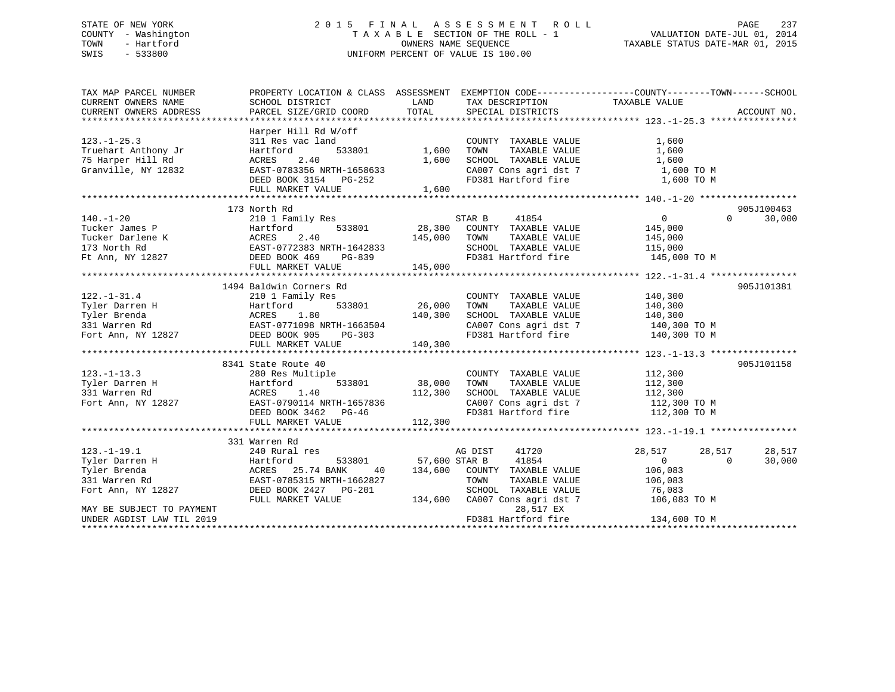## STATE OF NEW YORK 2 0 1 5 F I N A L A S S E S S M E N T R O L L PAGE 237 COUNTY - Washington T A X A B L E SECTION OF THE ROLL - 1 VALUATION DATE-JUL 01, 2014 TOWN - Hartford **TAXABLE STATUS DATE-MAR 01, 2015** OWNERS NAME SEQUENCE TAXABLE STATUS DATE-MAR 01, 2015 SWIS - 533800 UNIFORM PERCENT OF VALUE IS 100.00

| TAX MAP PARCEL NUMBER     | PROPERTY LOCATION & CLASS ASSESSMENT EXEMPTION CODE----------------COUNTY-------TOWN-----SCHOOL     |               |                                    |                                      |                    |
|---------------------------|-----------------------------------------------------------------------------------------------------|---------------|------------------------------------|--------------------------------------|--------------------|
| CURRENT OWNERS NAME       | SCHOOL DISTRICT                                                                                     | LAND          | TAX DESCRIPTION                    | TAXABLE VALUE                        |                    |
| CURRENT OWNERS ADDRESS    | PARCEL SIZE/GRID COORD                                                                              | TOTAL         | SPECIAL DISTRICTS                  |                                      | ACCOUNT NO.        |
|                           |                                                                                                     |               |                                    |                                      |                    |
|                           | Harper Hill Rd W/off                                                                                |               |                                    |                                      |                    |
| $123. - 1 - 25.3$         | 311 Res vac land                                                                                    |               | COUNTY TAXABLE VALUE               | 1,600                                |                    |
| Truehart Anthony Jr       | 533801<br>Hartford                                                                                  | 1,600         | TAXABLE VALUE<br>TOWN              | 1,600                                |                    |
| 75 Harper Hill Rd         | 2.40<br>ACRES                                                                                       | 1,600         | SCHOOL TAXABLE VALUE               | 1,600                                |                    |
| Granville, NY 12832       | EAST-0783356 NRTH-1658633                                                                           |               | CA007 Cons agri dst 7              | 1,600 TO M                           |                    |
|                           | DEED BOOK 3154 PG-252                                                                               |               | FD381 Hartford fire                | 1,600 TO M                           |                    |
|                           | FULL MARKET VALUE                                                                                   | 1,600         |                                    |                                      |                    |
|                           |                                                                                                     |               |                                    |                                      |                    |
|                           | 173 North Rd                                                                                        |               |                                    |                                      | 905J100463         |
| $140. - 1 - 20$           | 210 1 Family Res                                                                                    |               | STAR B<br>41854                    | $\overline{0}$                       | 30,000<br>$\Omega$ |
| Tucker James P            |                                                                                                     |               | 28,300 COUNTY TAXABLE VALUE        | 145,000                              |                    |
| Tucker Darlene K          |                                                                                                     | 145,000       | TOWN<br>TAXABLE VALUE              | 145,000                              |                    |
| 173 North Rd              |                                                                                                     |               | SCHOOL TAXABLE VALUE               | 115,000                              |                    |
| Ft Ann, NY 12827          | Hartford 533801<br>ACRES 2.40<br>EAST-0772383 NRTH-1642833<br>DEED BOOK 469 PG-839<br>DEED BOOK 469 |               | FD381 Hartford fire                | 145,000 TO M                         |                    |
|                           | FULL MARKET VALUE                                                                                   | 145,000       |                                    |                                      |                    |
|                           |                                                                                                     |               |                                    |                                      |                    |
|                           | 1494 Baldwin Corners Rd                                                                             |               |                                    |                                      | 905J101381         |
| $122. - 1 - 31.4$         | 210 1 Family Res                                                                                    |               | COUNTY TAXABLE VALUE               | 140,300                              |                    |
| Tyler Darren H            | Hartford<br>533801                                                                                  | 26,000        | TAXABLE VALUE<br>TOWN              | 140,300                              |                    |
| Tyler Brenda              |                                                                                                     | 140,300       | SCHOOL TAXABLE VALUE               | 140,300                              |                    |
| 331 Warren Rd             | Hartford 533801<br>ACRES 1.80<br>EAST-0771098 NRTH-1663504<br>27 DEED BOOK 905 PG-303               |               | CA007 Cons agri dst 7              |                                      |                    |
|                           |                                                                                                     |               |                                    | 140,300 TO M                         |                    |
| Fort Ann, NY 12827        |                                                                                                     |               | FD381 Hartford fire                | 140,300 TO M                         |                    |
|                           | FULL MARKET VALUE                                                                                   | 140,300       |                                    |                                      |                    |
|                           |                                                                                                     |               |                                    |                                      |                    |
|                           | 8341 State Route 40                                                                                 |               |                                    |                                      | 905J101158         |
| $123. - 1 - 13.3$         | 280 Res Multiple                                                                                    |               | COUNTY TAXABLE VALUE               | 112,300                              |                    |
| Tyler Darren H            | 533801<br>Hartford                                                                                  | 38,000        | TOWN<br>TAXABLE VALUE              |                                      |                    |
| 331 Warren Rd             | 1.40<br>ACRES                                                                                       | 112,300       | SCHOOL TAXABLE VALUE               | $\frac{112}{112}$ , $\frac{300}{12}$ |                    |
| Fort Ann, NY 12827        | EAST-0790114 NRTH-1657836                                                                           |               | CA007 Cons agri dst 7 112,300 TO M |                                      |                    |
|                           | DEED BOOK 3462 PG-46                                                                                |               | FD381 Hartford fire                | 112,300 TO M                         |                    |
|                           | FULL MARKET VALUE                                                                                   | 112,300       |                                    |                                      |                    |
|                           |                                                                                                     |               |                                    |                                      |                    |
|                           | 331 Warren Rd                                                                                       |               |                                    |                                      |                    |
| $123. - 1 - 19.1$         | 240 Rural res                                                                                       |               | AG DIST<br>41720                   | 28,517<br>28,517                     | 28,517             |
| Tyler Darren H            | 533801<br>Hartford                                                                                  | 57,600 STAR B | 41854                              | $\overline{0}$                       | 30,000<br>$\Omega$ |
| Tyler Brenda              | ACRES 25.74 BANK<br>40                                                                              | 134,600       | COUNTY TAXABLE VALUE               | 106,083                              |                    |
| 331 Warren Rd             | EAST-0785315 NRTH-1662827                                                                           |               | TOWN<br>TAXABLE VALUE              | 106,083                              |                    |
| Fort Ann, NY 12827        | DEED BOOK 2427    PG-201                                                                            |               | SCHOOL TAXABLE VALUE               | 76,083                               |                    |
|                           | FULL MARKET VALUE                                                                                   |               | 134,600 CA007 Cons agri dst 7      | 106,083 TO M                         |                    |
| MAY BE SUBJECT TO PAYMENT |                                                                                                     |               | 28,517 EX                          |                                      |                    |
| UNDER AGDIST LAW TIL 2019 |                                                                                                     |               | FD381 Hartford fire                | 134,600 TO M                         |                    |
|                           |                                                                                                     |               |                                    |                                      |                    |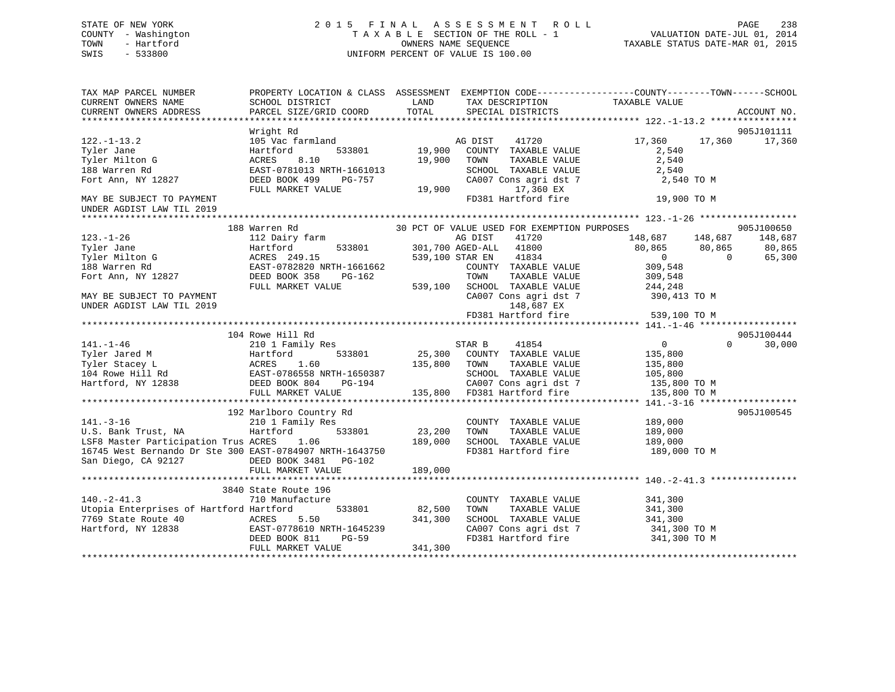## STATE OF NEW YORK 2 0 1 5 F I N A L A S S E S S M E N T R O L L PAGE 238 COUNTY - Washington T A X A B L E SECTION OF THE ROLL - 1 VALUATION DATE-JUL 01, 2014 TOWN - Hartford OWNERS NAME SEQUENCE TAXABLE STATUS DATE-MAR 01, 2015 SWIS - 533800 UNIFORM PERCENT OF VALUE IS 100.00

| SCHOOL DISTRICT<br>TAXABLE VALUE<br>LAND<br>TAX DESCRIPTION<br>TOTAL<br>PARCEL SIZE/GRID COORD<br>SPECIAL DISTRICTS<br>ACCOUNT NO.<br>905J101111<br>Wright Rd<br>105 Vac farmland<br>AG DIST 41720<br>17,360<br>17,360<br>17,360<br>533801 19,900 COUNTY TAXABLE VALUE<br>Hartford<br>2,540<br>2,540<br>Tyler Milton G<br>ACRES<br>8.10<br>19,900 TOWN<br>TAXABLE VALUE<br>188 Warren Rd<br>EAST-0781013 NRTH-1661013<br>$\begin{tabular}{lllllllll} \texttt{SCHODL} & \texttt{TAXABLE VALUE} & & & & 2,540 \\ \texttt{CA007 Cons agri det 7} & & & 2,540 \\ & & 17,360 \text{ EX} & & & \end{tabular}$<br>DEED BOOK 499 PG-757<br>DEED BOOK 499 PG-757<br>Fort Ann, NY 12827<br>2,540 TO M<br>19,900<br>FULL MARKET VALUE<br>FD381 Hartford fire 19,900 TO M<br>UNDER AGDIST LAW TIL 2019<br>30 PCT OF VALUE USED FOR EXEMPTION PURPOSES<br>905J100650<br>188 Warren Rd<br>148,687    148,687    148,687<br>$123. - 1 - 26$<br>112 Dairy farm<br>AG DIST<br>41720<br>$\overline{0}$<br>65,300<br>CA007 Cons agri dst 7 390,413 TO M<br>UNDER AGDIST LAW TIL 2019<br>148,687 EX<br>FD381 Hartford fire 539,100 TO M<br>104 Rowe Hill Rd<br>905J100444<br>210 1 Family Res 30 STAR B<br>$\overline{0}$<br>$141. - 1 - 46$<br>41854<br>$\Omega$<br>30,000<br>$[141. -1-46$ $[141. -1-46$ $[141. -1-46$ $[141. -1-46$<br>$[141. -1-46$ $[141. -1-46$<br>$[141. -1-46$ $[141. -1-46$ $[141. -1-46$ $[141. -1-46$ $[141. -1-46$ $[141. -1-46$ $[141. -1-46$ $[141. -1-46$ $[141. -1-46$ $[141. -1-46$ $[141. -1-46$<br>905J100545<br>192 Marlboro Country Rd<br>192 Marlboro Country Rd<br>210 1 Family Res<br>U.S. Bank Trust, NA<br>16210 1 Family Res<br>1633801<br>189,000 SCHOO!<br>16745 West Bernando Dr Ste 300 EAST-0784907 NRTH-1643750<br>189,000 SCHOO!<br>189,000 SCHOO!<br>COUNTY TAXABLE VALUE 189,000<br>TOWN TAXABLE VALUE 189,000<br>SCHOOL TAXABLE VALUE 189,000<br>FD381 Hartford fire<br>189,000 TO M<br>San Diego, CA 92127<br>DEED BOOK 3481 PG-102 | TAX MAP PARCEL NUMBER     | PROPERTY LOCATION & CLASS ASSESSMENT EXEMPTION CODE----------------COUNTY-------TOWN------SCHOOL |  |  |  |
|-----------------------------------------------------------------------------------------------------------------------------------------------------------------------------------------------------------------------------------------------------------------------------------------------------------------------------------------------------------------------------------------------------------------------------------------------------------------------------------------------------------------------------------------------------------------------------------------------------------------------------------------------------------------------------------------------------------------------------------------------------------------------------------------------------------------------------------------------------------------------------------------------------------------------------------------------------------------------------------------------------------------------------------------------------------------------------------------------------------------------------------------------------------------------------------------------------------------------------------------------------------------------------------------------------------------------------------------------------------------------------------------------------------------------------------------------------------------------------------------------------------------------------------------------------------------------------------------------------------------------------------------------------------------------------------------------------------------------------------------------------------------------------------------------------------------------------------------------------------------------------------------------------------------------------------------------------------------------|---------------------------|--------------------------------------------------------------------------------------------------|--|--|--|
|                                                                                                                                                                                                                                                                                                                                                                                                                                                                                                                                                                                                                                                                                                                                                                                                                                                                                                                                                                                                                                                                                                                                                                                                                                                                                                                                                                                                                                                                                                                                                                                                                                                                                                                                                                                                                                                                                                                                                                       | CURRENT OWNERS NAME       |                                                                                                  |  |  |  |
|                                                                                                                                                                                                                                                                                                                                                                                                                                                                                                                                                                                                                                                                                                                                                                                                                                                                                                                                                                                                                                                                                                                                                                                                                                                                                                                                                                                                                                                                                                                                                                                                                                                                                                                                                                                                                                                                                                                                                                       | CURRENT OWNERS ADDRESS    |                                                                                                  |  |  |  |
|                                                                                                                                                                                                                                                                                                                                                                                                                                                                                                                                                                                                                                                                                                                                                                                                                                                                                                                                                                                                                                                                                                                                                                                                                                                                                                                                                                                                                                                                                                                                                                                                                                                                                                                                                                                                                                                                                                                                                                       |                           |                                                                                                  |  |  |  |
|                                                                                                                                                                                                                                                                                                                                                                                                                                                                                                                                                                                                                                                                                                                                                                                                                                                                                                                                                                                                                                                                                                                                                                                                                                                                                                                                                                                                                                                                                                                                                                                                                                                                                                                                                                                                                                                                                                                                                                       |                           |                                                                                                  |  |  |  |
|                                                                                                                                                                                                                                                                                                                                                                                                                                                                                                                                                                                                                                                                                                                                                                                                                                                                                                                                                                                                                                                                                                                                                                                                                                                                                                                                                                                                                                                                                                                                                                                                                                                                                                                                                                                                                                                                                                                                                                       | $122. - 1 - 13.2$         |                                                                                                  |  |  |  |
|                                                                                                                                                                                                                                                                                                                                                                                                                                                                                                                                                                                                                                                                                                                                                                                                                                                                                                                                                                                                                                                                                                                                                                                                                                                                                                                                                                                                                                                                                                                                                                                                                                                                                                                                                                                                                                                                                                                                                                       | Tyler Jane                |                                                                                                  |  |  |  |
|                                                                                                                                                                                                                                                                                                                                                                                                                                                                                                                                                                                                                                                                                                                                                                                                                                                                                                                                                                                                                                                                                                                                                                                                                                                                                                                                                                                                                                                                                                                                                                                                                                                                                                                                                                                                                                                                                                                                                                       |                           |                                                                                                  |  |  |  |
|                                                                                                                                                                                                                                                                                                                                                                                                                                                                                                                                                                                                                                                                                                                                                                                                                                                                                                                                                                                                                                                                                                                                                                                                                                                                                                                                                                                                                                                                                                                                                                                                                                                                                                                                                                                                                                                                                                                                                                       |                           |                                                                                                  |  |  |  |
|                                                                                                                                                                                                                                                                                                                                                                                                                                                                                                                                                                                                                                                                                                                                                                                                                                                                                                                                                                                                                                                                                                                                                                                                                                                                                                                                                                                                                                                                                                                                                                                                                                                                                                                                                                                                                                                                                                                                                                       |                           |                                                                                                  |  |  |  |
|                                                                                                                                                                                                                                                                                                                                                                                                                                                                                                                                                                                                                                                                                                                                                                                                                                                                                                                                                                                                                                                                                                                                                                                                                                                                                                                                                                                                                                                                                                                                                                                                                                                                                                                                                                                                                                                                                                                                                                       |                           |                                                                                                  |  |  |  |
|                                                                                                                                                                                                                                                                                                                                                                                                                                                                                                                                                                                                                                                                                                                                                                                                                                                                                                                                                                                                                                                                                                                                                                                                                                                                                                                                                                                                                                                                                                                                                                                                                                                                                                                                                                                                                                                                                                                                                                       | MAY BE SUBJECT TO PAYMENT |                                                                                                  |  |  |  |
|                                                                                                                                                                                                                                                                                                                                                                                                                                                                                                                                                                                                                                                                                                                                                                                                                                                                                                                                                                                                                                                                                                                                                                                                                                                                                                                                                                                                                                                                                                                                                                                                                                                                                                                                                                                                                                                                                                                                                                       |                           |                                                                                                  |  |  |  |
|                                                                                                                                                                                                                                                                                                                                                                                                                                                                                                                                                                                                                                                                                                                                                                                                                                                                                                                                                                                                                                                                                                                                                                                                                                                                                                                                                                                                                                                                                                                                                                                                                                                                                                                                                                                                                                                                                                                                                                       |                           |                                                                                                  |  |  |  |
|                                                                                                                                                                                                                                                                                                                                                                                                                                                                                                                                                                                                                                                                                                                                                                                                                                                                                                                                                                                                                                                                                                                                                                                                                                                                                                                                                                                                                                                                                                                                                                                                                                                                                                                                                                                                                                                                                                                                                                       |                           |                                                                                                  |  |  |  |
|                                                                                                                                                                                                                                                                                                                                                                                                                                                                                                                                                                                                                                                                                                                                                                                                                                                                                                                                                                                                                                                                                                                                                                                                                                                                                                                                                                                                                                                                                                                                                                                                                                                                                                                                                                                                                                                                                                                                                                       |                           |                                                                                                  |  |  |  |
|                                                                                                                                                                                                                                                                                                                                                                                                                                                                                                                                                                                                                                                                                                                                                                                                                                                                                                                                                                                                                                                                                                                                                                                                                                                                                                                                                                                                                                                                                                                                                                                                                                                                                                                                                                                                                                                                                                                                                                       |                           |                                                                                                  |  |  |  |
|                                                                                                                                                                                                                                                                                                                                                                                                                                                                                                                                                                                                                                                                                                                                                                                                                                                                                                                                                                                                                                                                                                                                                                                                                                                                                                                                                                                                                                                                                                                                                                                                                                                                                                                                                                                                                                                                                                                                                                       |                           |                                                                                                  |  |  |  |
|                                                                                                                                                                                                                                                                                                                                                                                                                                                                                                                                                                                                                                                                                                                                                                                                                                                                                                                                                                                                                                                                                                                                                                                                                                                                                                                                                                                                                                                                                                                                                                                                                                                                                                                                                                                                                                                                                                                                                                       |                           |                                                                                                  |  |  |  |
|                                                                                                                                                                                                                                                                                                                                                                                                                                                                                                                                                                                                                                                                                                                                                                                                                                                                                                                                                                                                                                                                                                                                                                                                                                                                                                                                                                                                                                                                                                                                                                                                                                                                                                                                                                                                                                                                                                                                                                       |                           |                                                                                                  |  |  |  |
|                                                                                                                                                                                                                                                                                                                                                                                                                                                                                                                                                                                                                                                                                                                                                                                                                                                                                                                                                                                                                                                                                                                                                                                                                                                                                                                                                                                                                                                                                                                                                                                                                                                                                                                                                                                                                                                                                                                                                                       |                           |                                                                                                  |  |  |  |
|                                                                                                                                                                                                                                                                                                                                                                                                                                                                                                                                                                                                                                                                                                                                                                                                                                                                                                                                                                                                                                                                                                                                                                                                                                                                                                                                                                                                                                                                                                                                                                                                                                                                                                                                                                                                                                                                                                                                                                       |                           |                                                                                                  |  |  |  |
|                                                                                                                                                                                                                                                                                                                                                                                                                                                                                                                                                                                                                                                                                                                                                                                                                                                                                                                                                                                                                                                                                                                                                                                                                                                                                                                                                                                                                                                                                                                                                                                                                                                                                                                                                                                                                                                                                                                                                                       |                           |                                                                                                  |  |  |  |
|                                                                                                                                                                                                                                                                                                                                                                                                                                                                                                                                                                                                                                                                                                                                                                                                                                                                                                                                                                                                                                                                                                                                                                                                                                                                                                                                                                                                                                                                                                                                                                                                                                                                                                                                                                                                                                                                                                                                                                       |                           |                                                                                                  |  |  |  |
|                                                                                                                                                                                                                                                                                                                                                                                                                                                                                                                                                                                                                                                                                                                                                                                                                                                                                                                                                                                                                                                                                                                                                                                                                                                                                                                                                                                                                                                                                                                                                                                                                                                                                                                                                                                                                                                                                                                                                                       |                           |                                                                                                  |  |  |  |
|                                                                                                                                                                                                                                                                                                                                                                                                                                                                                                                                                                                                                                                                                                                                                                                                                                                                                                                                                                                                                                                                                                                                                                                                                                                                                                                                                                                                                                                                                                                                                                                                                                                                                                                                                                                                                                                                                                                                                                       |                           |                                                                                                  |  |  |  |
|                                                                                                                                                                                                                                                                                                                                                                                                                                                                                                                                                                                                                                                                                                                                                                                                                                                                                                                                                                                                                                                                                                                                                                                                                                                                                                                                                                                                                                                                                                                                                                                                                                                                                                                                                                                                                                                                                                                                                                       |                           |                                                                                                  |  |  |  |
|                                                                                                                                                                                                                                                                                                                                                                                                                                                                                                                                                                                                                                                                                                                                                                                                                                                                                                                                                                                                                                                                                                                                                                                                                                                                                                                                                                                                                                                                                                                                                                                                                                                                                                                                                                                                                                                                                                                                                                       |                           |                                                                                                  |  |  |  |
|                                                                                                                                                                                                                                                                                                                                                                                                                                                                                                                                                                                                                                                                                                                                                                                                                                                                                                                                                                                                                                                                                                                                                                                                                                                                                                                                                                                                                                                                                                                                                                                                                                                                                                                                                                                                                                                                                                                                                                       |                           |                                                                                                  |  |  |  |
|                                                                                                                                                                                                                                                                                                                                                                                                                                                                                                                                                                                                                                                                                                                                                                                                                                                                                                                                                                                                                                                                                                                                                                                                                                                                                                                                                                                                                                                                                                                                                                                                                                                                                                                                                                                                                                                                                                                                                                       |                           |                                                                                                  |  |  |  |
|                                                                                                                                                                                                                                                                                                                                                                                                                                                                                                                                                                                                                                                                                                                                                                                                                                                                                                                                                                                                                                                                                                                                                                                                                                                                                                                                                                                                                                                                                                                                                                                                                                                                                                                                                                                                                                                                                                                                                                       |                           |                                                                                                  |  |  |  |
|                                                                                                                                                                                                                                                                                                                                                                                                                                                                                                                                                                                                                                                                                                                                                                                                                                                                                                                                                                                                                                                                                                                                                                                                                                                                                                                                                                                                                                                                                                                                                                                                                                                                                                                                                                                                                                                                                                                                                                       |                           |                                                                                                  |  |  |  |
|                                                                                                                                                                                                                                                                                                                                                                                                                                                                                                                                                                                                                                                                                                                                                                                                                                                                                                                                                                                                                                                                                                                                                                                                                                                                                                                                                                                                                                                                                                                                                                                                                                                                                                                                                                                                                                                                                                                                                                       |                           |                                                                                                  |  |  |  |
|                                                                                                                                                                                                                                                                                                                                                                                                                                                                                                                                                                                                                                                                                                                                                                                                                                                                                                                                                                                                                                                                                                                                                                                                                                                                                                                                                                                                                                                                                                                                                                                                                                                                                                                                                                                                                                                                                                                                                                       |                           |                                                                                                  |  |  |  |
|                                                                                                                                                                                                                                                                                                                                                                                                                                                                                                                                                                                                                                                                                                                                                                                                                                                                                                                                                                                                                                                                                                                                                                                                                                                                                                                                                                                                                                                                                                                                                                                                                                                                                                                                                                                                                                                                                                                                                                       |                           |                                                                                                  |  |  |  |
|                                                                                                                                                                                                                                                                                                                                                                                                                                                                                                                                                                                                                                                                                                                                                                                                                                                                                                                                                                                                                                                                                                                                                                                                                                                                                                                                                                                                                                                                                                                                                                                                                                                                                                                                                                                                                                                                                                                                                                       |                           |                                                                                                  |  |  |  |
|                                                                                                                                                                                                                                                                                                                                                                                                                                                                                                                                                                                                                                                                                                                                                                                                                                                                                                                                                                                                                                                                                                                                                                                                                                                                                                                                                                                                                                                                                                                                                                                                                                                                                                                                                                                                                                                                                                                                                                       |                           |                                                                                                  |  |  |  |
|                                                                                                                                                                                                                                                                                                                                                                                                                                                                                                                                                                                                                                                                                                                                                                                                                                                                                                                                                                                                                                                                                                                                                                                                                                                                                                                                                                                                                                                                                                                                                                                                                                                                                                                                                                                                                                                                                                                                                                       |                           |                                                                                                  |  |  |  |
|                                                                                                                                                                                                                                                                                                                                                                                                                                                                                                                                                                                                                                                                                                                                                                                                                                                                                                                                                                                                                                                                                                                                                                                                                                                                                                                                                                                                                                                                                                                                                                                                                                                                                                                                                                                                                                                                                                                                                                       |                           |                                                                                                  |  |  |  |
|                                                                                                                                                                                                                                                                                                                                                                                                                                                                                                                                                                                                                                                                                                                                                                                                                                                                                                                                                                                                                                                                                                                                                                                                                                                                                                                                                                                                                                                                                                                                                                                                                                                                                                                                                                                                                                                                                                                                                                       |                           |                                                                                                  |  |  |  |
|                                                                                                                                                                                                                                                                                                                                                                                                                                                                                                                                                                                                                                                                                                                                                                                                                                                                                                                                                                                                                                                                                                                                                                                                                                                                                                                                                                                                                                                                                                                                                                                                                                                                                                                                                                                                                                                                                                                                                                       |                           |                                                                                                  |  |  |  |
| 3840 State Route 196                                                                                                                                                                                                                                                                                                                                                                                                                                                                                                                                                                                                                                                                                                                                                                                                                                                                                                                                                                                                                                                                                                                                                                                                                                                                                                                                                                                                                                                                                                                                                                                                                                                                                                                                                                                                                                                                                                                                                  |                           |                                                                                                  |  |  |  |
| 710 Manufacture<br>COUNTY TAXABLE VALUE 341,300                                                                                                                                                                                                                                                                                                                                                                                                                                                                                                                                                                                                                                                                                                                                                                                                                                                                                                                                                                                                                                                                                                                                                                                                                                                                                                                                                                                                                                                                                                                                                                                                                                                                                                                                                                                                                                                                                                                       | $140. -2 - 41.3$          |                                                                                                  |  |  |  |
| $533801$ $82,500$<br>Utopia Enterprises of Hartford Hartford<br>TOWN<br>TAXABLE VALUE 341,300<br>TAXABLE VALUE 341,300                                                                                                                                                                                                                                                                                                                                                                                                                                                                                                                                                                                                                                                                                                                                                                                                                                                                                                                                                                                                                                                                                                                                                                                                                                                                                                                                                                                                                                                                                                                                                                                                                                                                                                                                                                                                                                                |                           |                                                                                                  |  |  |  |
| SCHOOL TAXABLE VALUE                                                                                                                                                                                                                                                                                                                                                                                                                                                                                                                                                                                                                                                                                                                                                                                                                                                                                                                                                                                                                                                                                                                                                                                                                                                                                                                                                                                                                                                                                                                                                                                                                                                                                                                                                                                                                                                                                                                                                  | 7769 State Route 40       |                                                                                                  |  |  |  |
| 341,300<br>ACRES 5.50<br>EAST-0778610 NRTH-1645239<br>DERT ROOK 811 PG-59<br>CA007 Cons agri dst 7 341,300 TO M<br>FD381 Hartford fire 341,300 TO M                                                                                                                                                                                                                                                                                                                                                                                                                                                                                                                                                                                                                                                                                                                                                                                                                                                                                                                                                                                                                                                                                                                                                                                                                                                                                                                                                                                                                                                                                                                                                                                                                                                                                                                                                                                                                   | Hartford, NY 12838        |                                                                                                  |  |  |  |
| DEED BOOK 811<br>PG-59                                                                                                                                                                                                                                                                                                                                                                                                                                                                                                                                                                                                                                                                                                                                                                                                                                                                                                                                                                                                                                                                                                                                                                                                                                                                                                                                                                                                                                                                                                                                                                                                                                                                                                                                                                                                                                                                                                                                                |                           |                                                                                                  |  |  |  |
| FULL MARKET VALUE<br>341,300                                                                                                                                                                                                                                                                                                                                                                                                                                                                                                                                                                                                                                                                                                                                                                                                                                                                                                                                                                                                                                                                                                                                                                                                                                                                                                                                                                                                                                                                                                                                                                                                                                                                                                                                                                                                                                                                                                                                          |                           |                                                                                                  |  |  |  |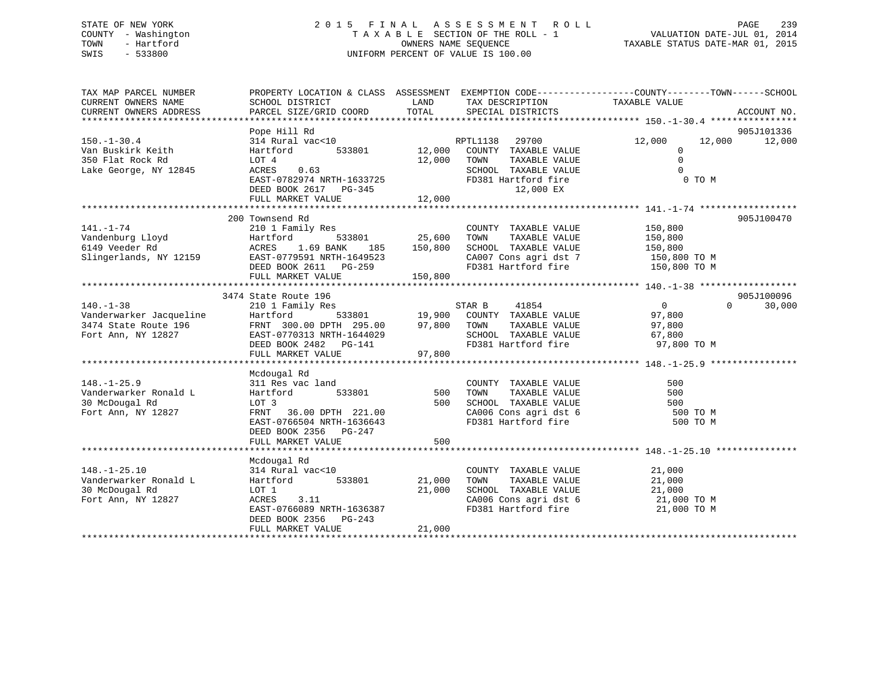## STATE OF NEW YORK 2 0 1 5 F I N A L A S S E S S M E N T R O L L PAGE 239 COUNTY - Washington T A X A B L E SECTION OF THE ROLL - 1 VALUATION DATE-JUL 01, 2014 TOWN - Hartford **TAXABLE STATUS DATE-MAR 01, 2015** OWNERS NAME SEQUENCE TAXABLE STATUS DATE-MAR 01, 2015 SWIS - 533800 UNIFORM PERCENT OF VALUE IS 100.00

| TAX MAP PARCEL NUMBER<br>CURRENT OWNERS NAME<br>CURRENT OWNERS ADDRESS | PROPERTY LOCATION & CLASS ASSESSMENT<br>SCHOOL DISTRICT<br>PARCEL SIZE/GRID COORD | LAND<br>TOTAL                    | TAX DESCRIPTION<br>SPECIAL DISTRICTS         | EXEMPTION CODE-----------------COUNTY-------TOWN------SCHOOL<br>TAXABLE VALUE | ACCOUNT NO. |
|------------------------------------------------------------------------|-----------------------------------------------------------------------------------|----------------------------------|----------------------------------------------|-------------------------------------------------------------------------------|-------------|
|                                                                        |                                                                                   |                                  |                                              |                                                                               |             |
|                                                                        | Pope Hill Rd                                                                      |                                  |                                              |                                                                               | 905J101336  |
| $150. - 1 - 30.4$                                                      | 314 Rural vac<10                                                                  |                                  | RPTL1138<br>29700                            | 12,000<br>12,000                                                              | 12,000      |
| Van Buskirk Keith                                                      | 533801<br>Hartford                                                                | 12,000                           | COUNTY TAXABLE VALUE                         | $\mathbf{0}$                                                                  |             |
| 350 Flat Rock Rd                                                       | LOT 4                                                                             | 12,000                           | TAXABLE VALUE<br>TOWN                        | $\Omega$                                                                      |             |
| Lake George, NY 12845                                                  | 0.63<br>ACRES                                                                     |                                  | SCHOOL TAXABLE VALUE                         | $\mathbf 0$                                                                   |             |
|                                                                        | EAST-0782974 NRTH-1633725                                                         |                                  | FD381 Hartford fire                          | 0 TO M                                                                        |             |
|                                                                        | DEED BOOK 2617 PG-345                                                             |                                  | 12,000 EX                                    |                                                                               |             |
|                                                                        | FULL MARKET VALUE                                                                 | 12,000                           |                                              |                                                                               |             |
|                                                                        |                                                                                   |                                  |                                              |                                                                               |             |
|                                                                        | 200 Townsend Rd                                                                   |                                  |                                              |                                                                               | 905J100470  |
| $141. - 1 - 74$                                                        | 210 1 Family Res                                                                  |                                  | COUNTY TAXABLE VALUE                         | 150,800                                                                       |             |
| Vandenburg Lloyd<br>6149 Veeder Rd                                     | Hartford                                                                          | 533801 25,600<br>ANK 185 150.800 | TOWN<br>TAXABLE VALUE                        | 150,800                                                                       |             |
| 6149 Veeder Rd                                                         | ACRES 1.69 BANK<br>185                                                            | 150,800                          | SCHOOL TAXABLE VALUE                         | 150,800                                                                       |             |
| Slingerlands, NY 12159                                                 | EAST-0779591 NRTH-1649523                                                         |                                  |                                              | CA007 Cons agri dst 7 150,800 TO M                                            |             |
|                                                                        | DEED BOOK 2611 PG-259                                                             |                                  | FD381 Hartford fire                          | 150,800 TO M                                                                  |             |
|                                                                        | FULL MARKET VALUE                                                                 | 150,800                          |                                              |                                                                               |             |
|                                                                        |                                                                                   |                                  |                                              |                                                                               | 905J100096  |
| $140. - 1 - 38$                                                        | 3474 State Route 196<br>210 1 Family Res                                          |                                  |                                              | $\overline{0}$<br>$\Omega$                                                    | 30,000      |
|                                                                        | Hartford                                                                          |                                  |                                              | 97,800                                                                        |             |
| Vanderwarker Jacqueline<br>3474 State Route 196                        | FRNT 300.00 DPTH 295.00                                                           | 97,800 TOWN                      | TAXABLE VALUE                                | 97,800                                                                        |             |
| Fort Ann, NY 12827                                                     | EAST-0770313 NRTH-1644029                                                         |                                  |                                              | 67,800                                                                        |             |
|                                                                        | DEED BOOK 2482    PG-141                                                          |                                  | SCHOOL TAXABLE VALUE<br>FD381 Hartford fire  | 97,800 TO M                                                                   |             |
|                                                                        | FULL MARKET VALUE                                                                 | 97,800                           |                                              |                                                                               |             |
|                                                                        |                                                                                   |                                  |                                              |                                                                               |             |
|                                                                        | Mcdougal Rd                                                                       |                                  |                                              |                                                                               |             |
| $148. - 1 - 25.9$                                                      | 311 Res vac land                                                                  |                                  | COUNTY TAXABLE VALUE                         | 500                                                                           |             |
| Vanderwarker Ronald L                                                  | 533801<br>Hartford                                                                | 500                              | TAXABLE VALUE<br>TOWN                        | 500                                                                           |             |
| 30 McDougal Rd                                                         | LOT 3                                                                             | 500                              | SCHOOL TAXABLE VALUE                         | 500                                                                           |             |
| Fort Ann, NY 12827                                                     | FRNT<br>36.00 DPTH 221.00                                                         |                                  |                                              | 500 TO M                                                                      |             |
|                                                                        | EAST-0766504 NRTH-1636643                                                         |                                  | CA006 Cons agri dst 6<br>FD381 Hartford fire | 500 TO M                                                                      |             |
|                                                                        | DEED BOOK 2356 PG-247                                                             |                                  |                                              |                                                                               |             |
|                                                                        | FULL MARKET VALUE                                                                 | 500                              |                                              |                                                                               |             |
|                                                                        |                                                                                   |                                  |                                              |                                                                               |             |
|                                                                        | Mcdougal Rd                                                                       |                                  |                                              |                                                                               |             |
| $148. - 1 - 25.10$                                                     | 314 Rural vac<10                                                                  |                                  | COUNTY TAXABLE VALUE                         | 21,000                                                                        |             |
| Vanderwarker Ronald L                                                  | 533801<br>Hartford                                                                | 21,000                           | TAXABLE VALUE<br>TOWN                        | 21,000                                                                        |             |
| 30 McDougal Rd                                                         | LOT 1                                                                             | 21,000                           | SCHOOL TAXABLE VALUE                         | 21,000                                                                        |             |
| Fort Ann, NY 12827                                                     | ACRES<br>3.11                                                                     |                                  |                                              | CA006 Cons agri dst 6 21,000 TO M                                             |             |
|                                                                        | EAST-0766089 NRTH-1636387                                                         |                                  | FD381 Hartford fire                          | 21,000 TO M                                                                   |             |
|                                                                        | DEED BOOK 2356<br>PG-243                                                          |                                  |                                              |                                                                               |             |
|                                                                        | FULL MARKET VALUE                                                                 | 21,000                           |                                              |                                                                               |             |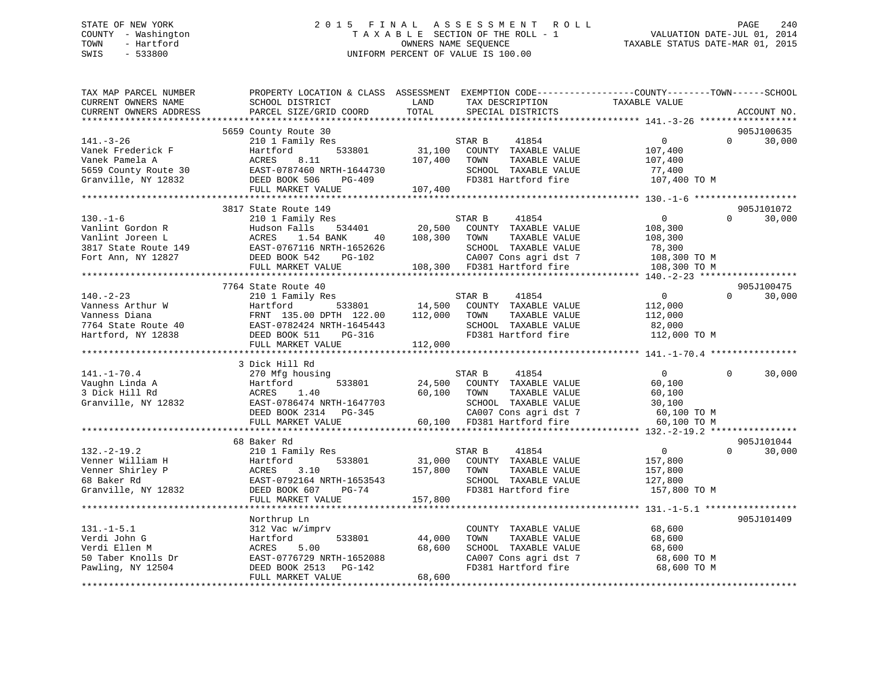## STATE OF NEW YORK 2 0 1 5 F I N A L A S S E S S M E N T R O L L PAGE 240 COUNTY - Washington T A X A B L E SECTION OF THE ROLL - 1 VALUATION DATE-JUL 01, 2014 TOWN - Hartford **TAXABLE STATUS DATE-MAR 01, 2015** OWNERS NAME SEQUENCE TAXABLE STATUS DATE-MAR 01, 2015 SWIS - 533800 UNIFORM PERCENT OF VALUE IS 100.00

| TAX MAP PARCEL NUMBER                        | PROPERTY LOCATION & CLASS ASSESSMENT |         |                             | EXEMPTION CODE-----------------COUNTY-------TOWN------SCHOOL |            |             |
|----------------------------------------------|--------------------------------------|---------|-----------------------------|--------------------------------------------------------------|------------|-------------|
| CURRENT OWNERS NAME                          | SCHOOL DISTRICT                      | LAND    | TAX DESCRIPTION             | TAXABLE VALUE                                                |            |             |
| CURRENT OWNERS ADDRESS<br>****************** | PARCEL SIZE/GRID COORD               | TOTAL   | SPECIAL DISTRICTS           |                                                              |            | ACCOUNT NO. |
|                                              |                                      |         |                             |                                                              |            |             |
|                                              | 5659 County Route 30                 |         |                             |                                                              | 905J100635 |             |
| $141. - 3 - 26$                              | 210 1 Family Res                     |         | STAR B<br>41854             | $\mathbf{0}$                                                 | $\Omega$   | 30,000      |
| Vanek Frederick F                            | 533801<br>Hartford                   | 31,100  | COUNTY TAXABLE VALUE        | 107,400                                                      |            |             |
| Vanek Pamela A                               | ACRES<br>8.11                        | 107,400 | TOWN<br>TAXABLE VALUE       | 107,400                                                      |            |             |
| 5659 County Route 30                         | EAST-0787460 NRTH-1644730            |         | SCHOOL TAXABLE VALUE        | 77,400                                                       |            |             |
| Granville, NY 12832                          | DEED BOOK 506<br>PG-409              |         | FD381 Hartford fire         | 107,400 TO M                                                 |            |             |
|                                              | FULL MARKET VALUE                    | 107,400 |                             |                                                              |            |             |
|                                              |                                      |         |                             | ***************** 130.-1-6 ********************              |            |             |
|                                              | 3817 State Route 149                 |         |                             |                                                              |            | 905J101072  |
| $130. - 1 - 6$                               | 210 1 Family Res                     |         | STAR B<br>41854             | $\overline{0}$                                               | $\Omega$   | 30,000      |
| Vanlint Gordon R                             | Hudson Falls<br>534401               | 20,500  | COUNTY TAXABLE VALUE        | 108,300                                                      |            |             |
| Vanlint Joreen L                             | ACRES<br>1.54 BANK<br>40             | 108,300 | TOWN<br>TAXABLE VALUE       | 108,300                                                      |            |             |
| 3817 State Route 149<br>Fort Ann NY 12827    | EAST-0767116 NRTH-1652626            |         | SCHOOL TAXABLE VALUE        | 78,300                                                       |            |             |
| Fort Ann, NY 12827                           | DEED BOOK 542<br>PG-102              |         | CA007 Cons agri dst 7       | 108,300 TO M                                                 |            |             |
|                                              | FULL MARKET VALUE                    |         | 108,300 FD381 Hartford fire | 108,300 TO M                                                 |            |             |
|                                              |                                      |         |                             |                                                              |            |             |
|                                              | 7764 State Route 40                  |         |                             |                                                              | 905J100475 |             |
| $140. - 2 - 23$                              | 210 1 Family Res                     |         | STAR B<br>41854             | $\overline{0}$                                               | $\Omega$   | 30,000      |
| Vanness Arthur W                             | Hartford<br>533801                   | 14,500  | COUNTY TAXABLE VALUE        | 112,000                                                      |            |             |
| Vanness Diana                                | FRNT 135.00 DPTH 122.00              | 112,000 | TAXABLE VALUE<br>TOWN       | 112,000                                                      |            |             |
| 7764 State Route 40                          | EAST-0782424 NRTH-1645443            |         | SCHOOL TAXABLE VALUE        | 82,000                                                       |            |             |
| Hartford, NY 12838                           | DEED BOOK 511<br>PG-316              |         | FD381 Hartford fire         | 112,000 TO M                                                 |            |             |
|                                              | FULL MARKET VALUE                    | 112,000 |                             |                                                              |            |             |
|                                              |                                      |         |                             |                                                              |            |             |
|                                              | 3 Dick Hill Rd                       |         |                             |                                                              |            |             |
| $141. - 1 - 70.4$                            | 270 Mfg housing                      |         | 41854<br>STAR B             | $\overline{0}$                                               | $\Omega$   | 30,000      |
| Vaughn Linda A                               | 533801<br>Hartford                   | 24,500  | COUNTY TAXABLE VALUE        | 60,100                                                       |            |             |
| 3 Dick Hill Rd                               | ACRES<br>1.40                        | 60,100  | TOWN<br>TAXABLE VALUE       | 60,100                                                       |            |             |
| Granville, NY 12832                          | EAST-0786474 NRTH-1647703            |         | SCHOOL TAXABLE VALUE        | 30,100                                                       |            |             |
|                                              | DEED BOOK 2314 PG-345                |         | CA007 Cons agri dst 7       | 60,100 TO M                                                  |            |             |
|                                              | FULL MARKET VALUE                    |         | 60,100 FD381 Hartford fire  | 60,100 TO M                                                  |            |             |
|                                              |                                      |         |                             |                                                              |            |             |
|                                              | 68 Baker Rd                          |         |                             |                                                              |            | 905J101044  |
| $132. - 2 - 19.2$                            | 210 1 Family Res                     |         | STAR B<br>41854             | $\overline{0}$                                               | $\Omega$   | 30,000      |
| Venner William H                             | 533801<br>Hartford                   | 31,000  | COUNTY TAXABLE VALUE        | 157,800                                                      |            |             |
| Venner Shirley P                             | ACRES<br>3.10                        | 157,800 | TAXABLE VALUE<br>TOWN       | 157,800                                                      |            |             |
| 68 Baker Rd                                  | EAST-0792164 NRTH-1653543            |         | SCHOOL TAXABLE VALUE        | 127,800                                                      |            |             |
| Granville, NY 12832                          | DEED BOOK 607<br>PG-74               |         | FD381 Hartford fire         | 157,800 TO M                                                 |            |             |
|                                              | FULL MARKET VALUE                    | 157,800 |                             |                                                              |            |             |
|                                              |                                      |         |                             |                                                              |            |             |
|                                              | Northrup Ln                          |         |                             |                                                              | 905J101409 |             |
| $131.-1-5.1$                                 | 312 Vac w/imprv                      |         | COUNTY TAXABLE VALUE        | 68,600                                                       |            |             |
| Verdi John G                                 | 533801<br>Hartford                   | 44,000  | TAXABLE VALUE<br>TOWN       | 68,600                                                       |            |             |
| Verdi Ellen M                                | ACRES<br>5.00                        | 68,600  | SCHOOL TAXABLE VALUE        | 68,600                                                       |            |             |
| 50 Taber Knolls Dr                           | EAST-0776729 NRTH-1652088            |         | CA007 Cons agri dst 7       | 68,600 TO M                                                  |            |             |
| Pawling, NY 12504                            | DEED BOOK 2513<br>PG-142             |         | FD381 Hartford fire         | 68,600 TO M                                                  |            |             |
|                                              | FULL MARKET VALUE                    | 68,600  |                             |                                                              |            |             |
|                                              |                                      |         |                             |                                                              |            |             |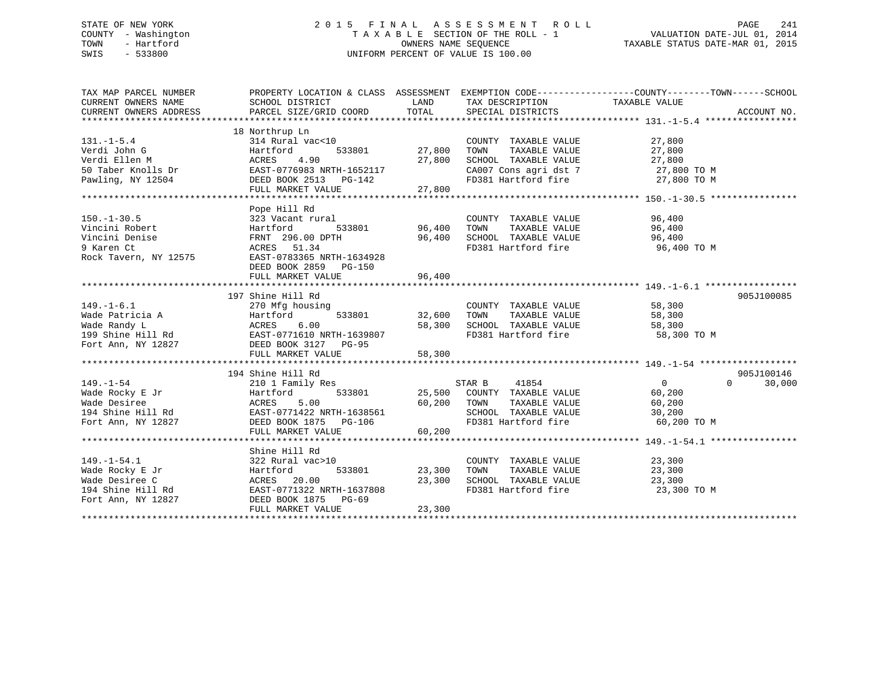## STATE OF NEW YORK 2 0 1 5 F I N A L A S S E S S M E N T R O L L PAGE 241 COUNTY - Washington T A X A B L E SECTION OF THE ROLL - 1 VALUATION DATE-JUL 01, 2014 TOWN - Hartford OWNERS NAME SEQUENCE TAXABLE STATUS DATE-MAR 01, 2015 SWIS - 533800 UNIFORM PERCENT OF VALUE IS 100.00

| TAX MAP PARCEL NUMBER<br>CURRENT OWNERS NAME<br>CURRENT OWNERS ADDRESS                            | PROPERTY LOCATION & CLASS ASSESSMENT EXEMPTION CODE----------------COUNTY-------TOWN-----SCHOOL<br>SCHOOL DISTRICT<br>PARCEL SIZE/GRID COORD                         | LAND<br>TOTAL              | TAX DESCRIPTION TAXABLE VALUE<br>SPECIAL DISTRICTS                                                                                |                                                             | ACCOUNT NO.                      |
|---------------------------------------------------------------------------------------------------|----------------------------------------------------------------------------------------------------------------------------------------------------------------------|----------------------------|-----------------------------------------------------------------------------------------------------------------------------------|-------------------------------------------------------------|----------------------------------|
| $131. - 1 - 5.4$<br>Verdi John G<br>Verdi Ellen M<br>50 Taber Knolls Dr<br>Pawling, NY 12504      | 18 Northrup Ln<br>314 Rural vac<10<br>Hartford<br>533801<br>4.90<br>ACRES<br>EAST-0776983 NRTH-1652117<br>DEED BOOK 2513 PG-142<br>FULL MARKET VALUE                 | 27,800<br>27,800<br>27,800 | COUNTY TAXABLE VALUE<br>TOWN<br>TAXABLE VALUE<br>SCHOOL TAXABLE VALUE<br>CA007 Cons agri dst 7 27,800 TO M<br>FD381 Hartford fire | 27,800<br>27,800<br>27,800<br>27,800 TO M                   |                                  |
| $150. - 1 - 30.5$<br>Vincini Robert<br>Vincini Denise<br>9 Karen Ct<br>Rock Tavern, NY 12575      | Pope Hill Rd<br>323 Vacant rural<br>Hartford<br>533801<br>FRNT 296.00 DPTH<br>ACRES 51.34<br>EAST-0783365 NRTH-1634928<br>DEED BOOK 2859 PG-150<br>FULL MARKET VALUE | 96,400<br>96,400<br>96,400 | COUNTY TAXABLE VALUE<br>TOWN<br>TAXABLE VALUE<br>SCHOOL TAXABLE VALUE<br>FD381 Hartford fire                                      | 96,400<br>96,400<br>96,400<br>96,400 TO M                   |                                  |
| $149. - 1 - 6.1$<br>Wade Patricia A<br>Wade Randy L<br>199 Shine Hill Rd<br>Fort Ann, NY 12827    | 197 Shine Hill Rd<br>270 Mfg housing<br>533801<br>Hartford 533801<br>ACRES 6.00<br>EAST-0771610 NRTH-1639807<br>DEED BOOK 3127 PG-95<br>FULL MARKET VALUE            | 32,600<br>58,300<br>58,300 | COUNTY TAXABLE VALUE<br>TAXABLE VALUE<br>TOWN<br>SCHOOL TAXABLE VALUE<br>WALUE COMMANDS VALUE                                     | 58,300<br>58,300<br>58,300<br>58,300 TO M                   | 905J100085                       |
| $149. - 1 - 54$<br>Wade Rocky E Jr<br>Wade Desiree<br>194 Shine Hill Rd<br>Fort Ann, NY 12827     | 194 Shine Hill Rd<br>210 1 Family Res<br>533801<br>Hartford<br>5.00<br>ACRES<br>EAST-0771422 NRTH-1638561<br>DEED BOOK 1875 PG-106<br>FULL MARKET VALUE              | 60,200<br>60,200           | 41854<br>STAR B<br>25,500 COUNTY TAXABLE VALUE<br>TAXABLE VALUE<br>TOWN<br>SCHOOL TAXABLE VALUE<br>FD381 Hartford fire            | $\overline{0}$<br>60,200<br>60,200<br>30,200<br>60,200 TO M | 905J100146<br>30,000<br>$\Omega$ |
| $149. - 1 - 54.1$<br>Wade Rocky E Jr<br>Wade Desiree C<br>194 Shine Hill Rd<br>Fort Ann, NY 12827 | Shine Hill Rd<br>322 Rural vac>10<br>533801<br>Hartford<br>ACRES 20.00<br>EAST-0771322 NRTH-1637808<br>DEED BOOK 1875 PG-69<br>FULL MARKET VALUE                     | 23,300<br>23,300<br>23,300 | COUNTY TAXABLE VALUE<br>TAXABLE VALUE<br>TOWN<br>SCHOOL TAXABLE VALUE 23,300<br>FD381 Hartford fire                               | 23,300<br>23,300<br>23,300 TO M                             |                                  |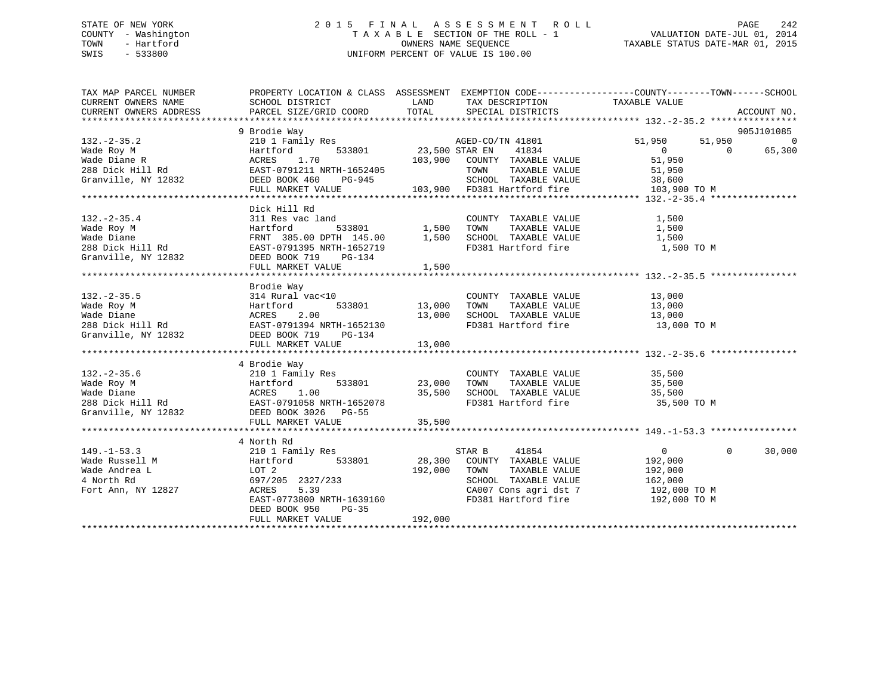## STATE OF NEW YORK 2 0 1 5 F I N A L A S S E S S M E N T R O L L PAGE 242 COUNTY - Washington T A X A B L E SECTION OF THE ROLL - 1 VALUATION DATE-JUL 01, 2014 TOWN - Hartford **TAXABLE STATUS DATE-MAR 01, 2015** OWNERS NAME SEQUENCE TAXABLE STATUS DATE-MAR 01, 2015 SWIS - 533800 UNIFORM PERCENT OF VALUE IS 100.00

| TAX MAP PARCEL NUMBER                                                                                                                                                                                                                                                                                                                                                                                                                             | PROPERTY LOCATION & CLASS ASSESSMENT EXEMPTION CODE---------------COUNTY-------TOWN-----SCHOOL<br>SCHOOL DISTRICT                                                                    |                                                               |                         |          |        |
|---------------------------------------------------------------------------------------------------------------------------------------------------------------------------------------------------------------------------------------------------------------------------------------------------------------------------------------------------------------------------------------------------------------------------------------------------|--------------------------------------------------------------------------------------------------------------------------------------------------------------------------------------|---------------------------------------------------------------|-------------------------|----------|--------|
| CURRENT OWNERS NAME                                                                                                                                                                                                                                                                                                                                                                                                                               |                                                                                                                                                                                      | LAND TAX DESCRIPTION                                          | TAXABLE VALUE           |          |        |
|                                                                                                                                                                                                                                                                                                                                                                                                                                                   |                                                                                                                                                                                      |                                                               |                         |          |        |
|                                                                                                                                                                                                                                                                                                                                                                                                                                                   |                                                                                                                                                                                      |                                                               |                         |          |        |
|                                                                                                                                                                                                                                                                                                                                                                                                                                                   |                                                                                                                                                                                      |                                                               |                         |          |        |
|                                                                                                                                                                                                                                                                                                                                                                                                                                                   |                                                                                                                                                                                      |                                                               |                         |          |        |
|                                                                                                                                                                                                                                                                                                                                                                                                                                                   |                                                                                                                                                                                      |                                                               |                         |          |        |
|                                                                                                                                                                                                                                                                                                                                                                                                                                                   |                                                                                                                                                                                      |                                                               |                         |          |        |
|                                                                                                                                                                                                                                                                                                                                                                                                                                                   |                                                                                                                                                                                      |                                                               |                         |          |        |
|                                                                                                                                                                                                                                                                                                                                                                                                                                                   |                                                                                                                                                                                      |                                                               |                         |          |        |
|                                                                                                                                                                                                                                                                                                                                                                                                                                                   |                                                                                                                                                                                      |                                                               |                         |          |        |
|                                                                                                                                                                                                                                                                                                                                                                                                                                                   | Dick Hill Rd                                                                                                                                                                         |                                                               |                         |          |        |
|                                                                                                                                                                                                                                                                                                                                                                                                                                                   |                                                                                                                                                                                      |                                                               |                         |          |        |
|                                                                                                                                                                                                                                                                                                                                                                                                                                                   |                                                                                                                                                                                      |                                                               |                         |          |        |
|                                                                                                                                                                                                                                                                                                                                                                                                                                                   |                                                                                                                                                                                      |                                                               |                         |          |        |
|                                                                                                                                                                                                                                                                                                                                                                                                                                                   |                                                                                                                                                                                      | FD381 Hartford fire 1,500 TO M                                |                         |          |        |
|                                                                                                                                                                                                                                                                                                                                                                                                                                                   |                                                                                                                                                                                      |                                                               |                         |          |        |
|                                                                                                                                                                                                                                                                                                                                                                                                                                                   |                                                                                                                                                                                      |                                                               |                         |          |        |
|                                                                                                                                                                                                                                                                                                                                                                                                                                                   | Brodie Way                                                                                                                                                                           |                                                               |                         |          |        |
|                                                                                                                                                                                                                                                                                                                                                                                                                                                   |                                                                                                                                                                                      |                                                               |                         |          |        |
|                                                                                                                                                                                                                                                                                                                                                                                                                                                   |                                                                                                                                                                                      |                                                               |                         |          |        |
|                                                                                                                                                                                                                                                                                                                                                                                                                                                   |                                                                                                                                                                                      |                                                               |                         |          |        |
|                                                                                                                                                                                                                                                                                                                                                                                                                                                   |                                                                                                                                                                                      | FD381 Hartford fire 13,000 TO M                               |                         |          |        |
|                                                                                                                                                                                                                                                                                                                                                                                                                                                   |                                                                                                                                                                                      |                                                               |                         |          |        |
| $\begin{array}{cccccc} \texttt{132.-2-35.5} & \texttt{314 Rural vac} & \texttt{COUNTYY} & \texttt{TAXABLE VALUE} & \texttt{13,000} \\ \texttt{Wade Roy M} & \texttt{Hartford} & \texttt{533801} & \texttt{13,000} & \texttt{TOWN} & \texttt{TAXABLE VALUE} & \texttt{13,000} \\ \texttt{Wade Diane} & \texttt{ACRES} & \texttt{2.00} & \texttt{13,000} & \texttt{SCHOOL TAXABLE VALUE} & \texttt{13,000} \\ \texttt{288 Dick Hill Rd} & \texttt{$ |                                                                                                                                                                                      |                                                               |                         |          |        |
|                                                                                                                                                                                                                                                                                                                                                                                                                                                   |                                                                                                                                                                                      |                                                               |                         |          |        |
|                                                                                                                                                                                                                                                                                                                                                                                                                                                   | 4 Brodie Way                                                                                                                                                                         |                                                               |                         |          |        |
|                                                                                                                                                                                                                                                                                                                                                                                                                                                   |                                                                                                                                                                                      |                                                               |                         |          |        |
|                                                                                                                                                                                                                                                                                                                                                                                                                                                   |                                                                                                                                                                                      |                                                               |                         |          |        |
|                                                                                                                                                                                                                                                                                                                                                                                                                                                   |                                                                                                                                                                                      |                                                               |                         |          |        |
|                                                                                                                                                                                                                                                                                                                                                                                                                                                   |                                                                                                                                                                                      | FD381 Hartford fire 35,500 TO M                               |                         |          |        |
|                                                                                                                                                                                                                                                                                                                                                                                                                                                   |                                                                                                                                                                                      |                                                               |                         |          |        |
|                                                                                                                                                                                                                                                                                                                                                                                                                                                   |                                                                                                                                                                                      |                                                               |                         |          |        |
|                                                                                                                                                                                                                                                                                                                                                                                                                                                   |                                                                                                                                                                                      |                                                               |                         |          |        |
|                                                                                                                                                                                                                                                                                                                                                                                                                                                   | 4 North Rd                                                                                                                                                                           |                                                               |                         |          |        |
| $149. - 1 - 53.3$                                                                                                                                                                                                                                                                                                                                                                                                                                 | 210 1 Family Res<br>M Hartford 533801 28,300 COUNTY TAXABLE VALUE<br>LOT 2 192,000 TOWN TAXABLE VALUE<br>12827 2327/233 5 2327/233 2327/233 5 26HOOL TAXABLE VALUE<br>12827 2327 233 |                                                               | 0<br>192,000<br>192,000 | $\Omega$ | 30,000 |
| Wade Russell M                                                                                                                                                                                                                                                                                                                                                                                                                                    |                                                                                                                                                                                      |                                                               |                         |          |        |
| $L$<br>$(12827)$<br>Wade Andrea L                                                                                                                                                                                                                                                                                                                                                                                                                 |                                                                                                                                                                                      |                                                               |                         |          |        |
| 4 North Rd                                                                                                                                                                                                                                                                                                                                                                                                                                        |                                                                                                                                                                                      | SCHOOL TAXABLE VALUE 162,000<br>CA007 Cons agri dst 7 192,000 |                         |          |        |
| Fort Ann, NY 12827                                                                                                                                                                                                                                                                                                                                                                                                                                |                                                                                                                                                                                      |                                                               | 192,000 TO M            |          |        |
|                                                                                                                                                                                                                                                                                                                                                                                                                                                   | EAST-0773800 NRTH-1639160                                                                                                                                                            | FD381 Hartford fire 192,000 TO M                              |                         |          |        |
|                                                                                                                                                                                                                                                                                                                                                                                                                                                   | DEED BOOK 950<br>$PG-35$                                                                                                                                                             |                                                               |                         |          |        |
|                                                                                                                                                                                                                                                                                                                                                                                                                                                   |                                                                                                                                                                                      |                                                               |                         |          |        |
|                                                                                                                                                                                                                                                                                                                                                                                                                                                   |                                                                                                                                                                                      |                                                               |                         |          |        |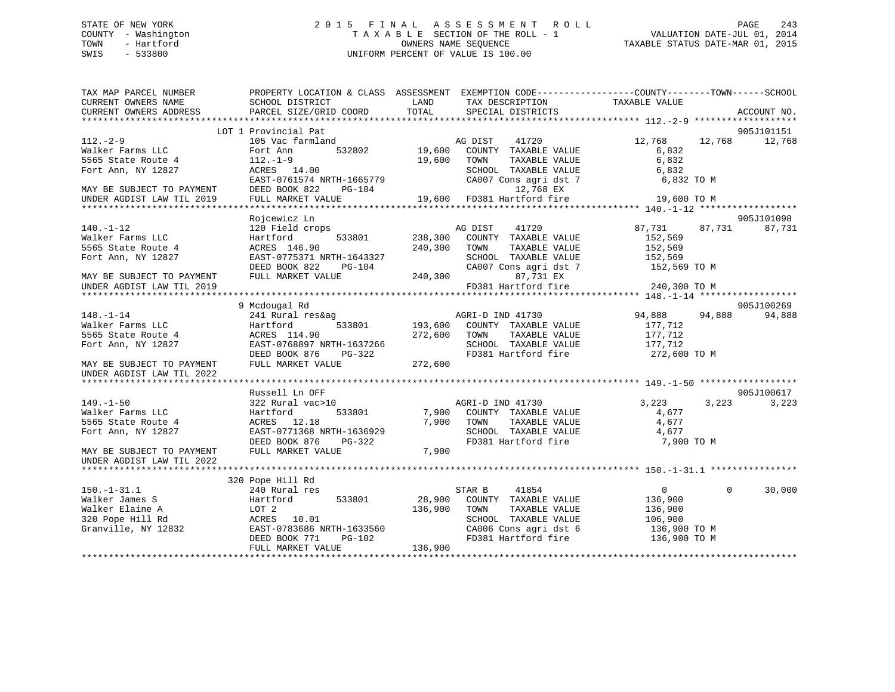## STATE OF NEW YORK 2 0 1 5 F I N A L A S S E S S M E N T R O L L PAGE 243 COUNTY - Washington T A X A B L E SECTION OF THE ROLL - 1 VALUATION DATE-JUL 01, 2014 TOWN - Hartford **TAXABLE STATUS DATE-MAR 01, 2015** OWNERS NAME SEQUENCE TAXABLE STATUS DATE-MAR 01, 2015 SWIS - 533800 UNIFORM PERCENT OF VALUE IS 100.00

| TAX MAP PARCEL NUMBER<br>CURRENT OWNERS NAME<br>CURRENT OWNERS ADDRESS | PROPERTY LOCATION & CLASS ASSESSMENT EXEMPTION CODE---------------COUNTY-------TOWN-----SCHOOL<br>SCHOOL DISTRICT<br>PARCEL SIZE/GRID COORD | LAND<br>TOTAL | TAX DESCRIPTION<br>SPECIAL DISTRICTS | TAXABLE VALUE  | ACCOUNT NO.              |
|------------------------------------------------------------------------|---------------------------------------------------------------------------------------------------------------------------------------------|---------------|--------------------------------------|----------------|--------------------------|
|                                                                        |                                                                                                                                             |               |                                      |                |                          |
|                                                                        | LOT 1 Provincial Pat                                                                                                                        |               |                                      |                | 905J101151<br>12,768     |
| $112. - 2 - 9$                                                         | 105 Vac farmland                                                                                                                            |               | AG DIST<br>41720                     | 12,768 12,768  |                          |
| Walker Farms LLC                                                       | Fort Ann                                                                                                                                    |               | 532802 19,600 COUNTY TAXABLE VALUE   | 6,832          |                          |
| 5565 State Route 4                                                     | $112.-1-9$                                                                                                                                  | 19,600 TOWN   | TAXABLE VALUE                        | 6,832          |                          |
| Fort Ann, NY 12827                                                     | ACRES 14.00                                                                                                                                 |               | SCHOOL TAXABLE VALUE                 | 6,832          |                          |
|                                                                        | EAST-0761574 NRTH-1665779                                                                                                                   |               | CA007 Cons agri dst 7                | 6,832 TO M     |                          |
| MAY BE SUBJECT TO PAYMENT                                              | DEED BOOK 822<br>PG-104                                                                                                                     |               | 12,768 EX                            |                |                          |
| UNDER AGDIST LAW TIL 2019                                              | FULL MARKET VALUE                                                                                                                           |               | 19,600 FD381 Hartford fire           | 19,600 TO M    |                          |
|                                                                        |                                                                                                                                             |               |                                      |                |                          |
|                                                                        | Rojcewicz Ln                                                                                                                                |               |                                      |                | 905J101098               |
| $140. - 1 - 12$                                                        | 120 Field crops                                                                                                                             |               | AG DIST<br>41720                     | 87,731         | 87,731<br>87,731         |
| Walker Farms LLC                                                       | 533801<br>Hartford                                                                                                                          |               | 238,300 COUNTY TAXABLE VALUE         | 152,569        |                          |
| 5565 State Route 4                                                     | ACRES 146.90                                                                                                                                | 240,300       | TOWN<br>TAXABLE VALUE                | 152,569        |                          |
| Fort Ann, NY 12827                                                     | EAST-0775371 NRTH-1643327                                                                                                                   |               | SCHOOL TAXABLE VALUE                 | 152,569        |                          |
|                                                                        | DEED BOOK 822<br>PG-104                                                                                                                     |               | CA007 Cons agri dst 7                | 152,569 TO M   |                          |
| MAY BE SUBJECT TO PAYMENT                                              | FULL MARKET VALUE                                                                                                                           |               | 240,300<br>87,731 EX                 |                |                          |
| UNDER AGDIST LAW TIL 2019                                              |                                                                                                                                             |               | FD381 Hartford fire                  | 240,300 TO M   |                          |
|                                                                        |                                                                                                                                             |               |                                      |                |                          |
|                                                                        | 9 Mcdougal Rd                                                                                                                               |               |                                      |                | 905J100269               |
| $148. - 1 - 14$                                                        | 241 Rural res&ag                                                                                                                            |               | AGRI-D IND 41730                     | 94,888         | 94,888<br>94,888         |
| Walker Farms LLC                                                       | Hartford<br>533801                                                                                                                          |               | 193,600 COUNTY TAXABLE VALUE         | 177,712        |                          |
| 5565 State Route 4                                                     | ACRES 114.90                                                                                                                                | 272,600 TOWN  | TAXABLE VALUE                        | 177,712        |                          |
|                                                                        |                                                                                                                                             |               |                                      |                |                          |
| Fort Ann, NY 12827                                                     | EAST-0768897 NRTH-1637266                                                                                                                   |               | SCHOOL TAXABLE VALUE                 | 177,712        |                          |
|                                                                        | DEED BOOK 876<br>PG-322                                                                                                                     |               | FD381 Hartford fire                  | 272,600 TO M   |                          |
| MAY BE SUBJECT TO PAYMENT                                              | FULL MARKET VALUE                                                                                                                           | 272,600       |                                      |                |                          |
| UNDER AGDIST LAW TIL 2022                                              |                                                                                                                                             |               |                                      |                |                          |
|                                                                        |                                                                                                                                             |               |                                      |                |                          |
|                                                                        | Russell Ln OFF                                                                                                                              |               |                                      |                | 905J100617               |
| $149. - 1 - 50$                                                        | 322 Rural vac>10                                                                                                                            |               | AGRI-D IND 41730                     | 3,223          | 3,223<br>3,223           |
| Walker Farms LLC                                                       | Hartford<br>533801                                                                                                                          |               | 7,900 COUNTY TAXABLE VALUE           | 4,677          |                          |
| 5565 State Route 4                                                     | ACRES 12.18                                                                                                                                 | 7,900         | TOWN<br>TAXABLE VALUE                | 4,677          |                          |
| Fort Ann, NY 12827                                                     | EAST-0771368 NRTH-1636929                                                                                                                   |               | SCHOOL TAXABLE VALUE                 | 4,677          |                          |
|                                                                        | DEED BOOK 876<br>PG-322                                                                                                                     |               | FD381 Hartford fire                  | 7,900 TO M     |                          |
| MAY BE SUBJECT TO PAYMENT                                              | FULL MARKET VALUE                                                                                                                           | 7,900         |                                      |                |                          |
| UNDER AGDIST LAW TIL 2022                                              |                                                                                                                                             |               |                                      |                |                          |
|                                                                        |                                                                                                                                             |               |                                      |                |                          |
|                                                                        | 320 Pope Hill Rd                                                                                                                            |               |                                      |                |                          |
| $150.-1-31.1$                                                          | 240 Rural res                                                                                                                               |               | STAR B<br>41854                      | $\overline{0}$ | $\overline{0}$<br>30,000 |
| Walker James S                                                         | 533801<br>Hartford                                                                                                                          | 28,900        | COUNTY TAXABLE VALUE                 | 136,900        |                          |
| Walker Elaine A                                                        | LOT 2                                                                                                                                       | 136,900       | TOWN<br>TAXABLE VALUE                | 136,900        |                          |
| 320 Pope Hill Rd                                                       | ACRES 10.01                                                                                                                                 |               | SCHOOL TAXABLE VALUE                 | 106,900        |                          |
| Granville, NY 12832                                                    | EAST-0783686 NRTH-1633560                                                                                                                   |               | CA006 Cons agri dst 6                | 136,900 TO M   |                          |
|                                                                        | DEED BOOK 771<br>$PG-102$                                                                                                                   |               | FD381 Hartford fire                  | 136,900 TO M   |                          |
|                                                                        |                                                                                                                                             |               |                                      |                |                          |
|                                                                        | FULL MARKET VALUE                                                                                                                           | 136,900       |                                      |                |                          |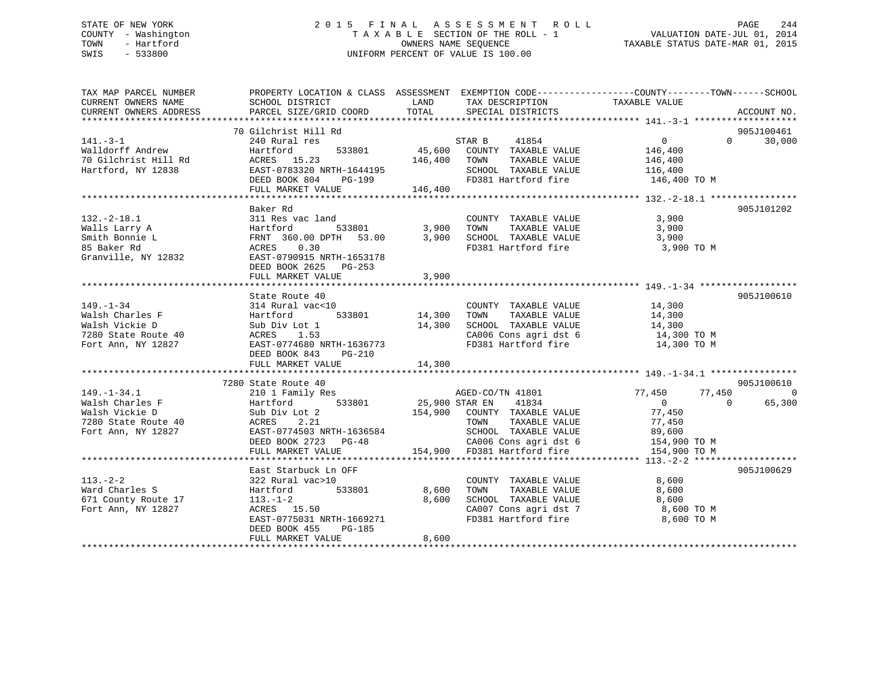## STATE OF NEW YORK 2 0 1 5 F I N A L A S S E S S M E N T R O L L PAGE 244 COUNTY - Washington T A X A B L E SECTION OF THE ROLL - 1 VALUATION DATE-JUL 01, 2014 TOWN - Hartford **TAXABLE STATUS DATE-MAR 01, 2015** OWNERS NAME SEQUENCE TAXABLE STATUS DATE-MAR 01, 2015 SWIS - 533800 UNIFORM PERCENT OF VALUE IS 100.00

| TAX MAP PARCEL NUMBER<br>CURRENT OWNERS NAME<br>CURRENT OWNERS ADDRESS                                                                                                                                                                                                       | PROPERTY LOCATION & CLASS ASSESSMENT EXEMPTION CODE---------------COUNTY-------TOWN-----SCHOOL<br><b>EXAMPLE SERVICE SERVICE SERVICE SERVICE SERVICE SERVICE SERVICE SERVICE SERVICE SERVICE SERVICE SERVICE SERVICE</b><br>SCHOOL DISTRICT<br>PARCEL SIZE/GRID COORD | TOTAL | TAX DESCRIPTION TAXABLE VALUE<br>SPECIAL DISTRICTS TAXABLE VALUE                                                                                                                                                 | ACCOUNT NO.                      |
|------------------------------------------------------------------------------------------------------------------------------------------------------------------------------------------------------------------------------------------------------------------------------|-----------------------------------------------------------------------------------------------------------------------------------------------------------------------------------------------------------------------------------------------------------------------|-------|------------------------------------------------------------------------------------------------------------------------------------------------------------------------------------------------------------------|----------------------------------|
| $141. -3 - 1$<br>walldorff Andrew<br>11.5 10<br>Walldorff Andrew Hartford 533801 45,600 COUNTY TAXABLE VALUE 146,400<br>70 Gilchrist Hill Rd ACRES 15.23 146,400 TOWN TAXABLE VALUE 146,400<br>Hartford, NY 12838 EAST-0783320 NRTH-1644195 SCHOOL TAXABLE VALUE 116,400<br> |                                                                                                                                                                                                                                                                       |       |                                                                                                                                                                                                                  | 905J100461<br>30,000<br>$\Omega$ |
| 132.-2-18.1<br>Walls Larry A Hartford 533801<br>Malls Larry A Hartford 533801 3,900 TOWN TAXABLE VALUE 3,900<br>Smith Bonnie L FRNT 360.00 DPTH 53.00 3,900 SCHOOL TAXABLE VALUE 3,900<br>S Baker Rd ACRES 0.30 ACRES 2625 PG-253<br>G                                       | FULL MARKET VALUE                                                                                                                                                                                                                                                     | 3,900 | FD381 Hartford fire 3,900 TO M                                                                                                                                                                                   | 905J101202                       |
| 149.-1-34<br>314 Rural vac<10<br>Walsh Charles F<br>14,300<br>Nalsh Vickie D<br>316 Bub Div Lot 1<br>7280 State Route 40<br>7280 State Route 40<br>7280 State Route 40<br>7280 NRTH-1636773<br>7280 NRTH-1636773<br>7280 NRTH-1636773<br>7280 NRTH                           | State Route 40<br>$533801$ $14,300$<br>bt 1 $14,300$                                                                                                                                                                                                                  |       | COUNTY TAXABLE VALUE 14,300<br>TOWN TAXABLE VALUE 14,300<br>SCHOOL TAXABLE VALUE 14,300<br>CA006 Cons agri dst 6 14,300 TO M<br>FD381 Hartford fire 14,300 TO M                                                  | 905J100610                       |
|                                                                                                                                                                                                                                                                              | 7280 State Route 40                                                                                                                                                                                                                                                   |       |                                                                                                                                                                                                                  | 905J100610                       |
| 113.-2-2<br>Ward Charles S<br>671 County Route 17<br>Fort Ann NY 12927<br>13.-1-2<br>Fort Ann, NY 12827                                                                                                                                                                      | East Starbuck Ln OFF<br>Hartford 533801 8,600<br>$113.-1-2$ 8,600<br>ACRES 15.50 8,600<br>ACRES     15.50<br>EAST-0775031  NRTH-1669271<br>DEED BOOK 455<br>PG-185<br>FULL MARKET VALUE                                                                               | 8,600 | $\begin{minipage}{.4\linewidth} \textbf{COUNTY} & \textbf{TAXABLE} & \textbf{VALUE} & \textbf{0} & \textbf{0} & \textbf{0} \end{minipage}$<br>CA007 Cons agri dst 7 8,600 TO M<br>FD381 Hartford fire 8,600 TO M | 905J100629                       |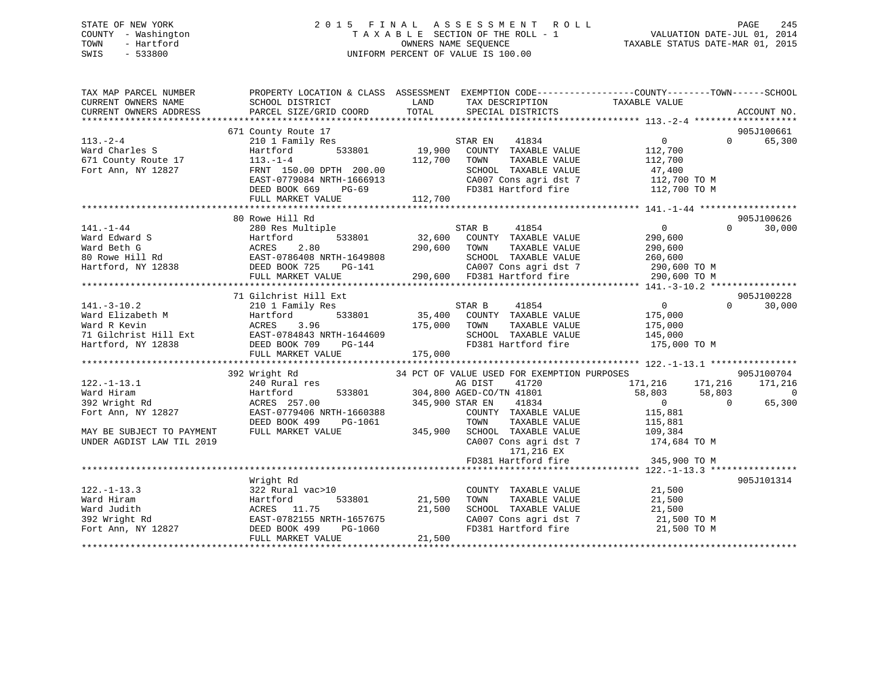## STATE OF NEW YORK 2 0 1 5 F I N A L A S S E S S M E N T R O L L PAGE 245 COUNTY - Washington T A X A B L E SECTION OF THE ROLL - 1 VALUATION DATE-JUL 01, 2014 TOWN - Hartford **TAXABLE STATUS DATE-MAR 01, 2015** OWNERS NAME SEQUENCE TAXABLE STATUS DATE-MAR 01, 2015 SWIS - 533800 UNIFORM PERCENT OF VALUE IS 100.00

| TAX MAP PARCEL NUMBER              | PROPERTY LOCATION & CLASS ASSESSMENT EXEMPTION CODE----------------COUNTY-------TOWN------SCHOOL      |                 |                                             |                   |          |                |
|------------------------------------|-------------------------------------------------------------------------------------------------------|-----------------|---------------------------------------------|-------------------|----------|----------------|
| CURRENT OWNERS NAME                | SCHOOL DISTRICT                                                                                       | LAND            | TAX DESCRIPTION                             | TAXABLE VALUE     |          |                |
| CURRENT OWNERS ADDRESS             | PARCEL SIZE/GRID COORD                                                                                | TOTAL           | SPECIAL DISTRICTS                           |                   |          | ACCOUNT NO.    |
|                                    |                                                                                                       |                 |                                             |                   |          |                |
|                                    | 671 County Route 17                                                                                   |                 |                                             |                   |          | 905J100661     |
| $113. - 2 - 4$                     | 210 1 Family Res                                                                                      |                 | 41834<br>STAR EN                            | $0 \qquad \qquad$ | $\Omega$ | 65,300         |
| Ward Charles S                     | 533801<br>Hartford                                                                                    | 19,900          | COUNTY TAXABLE VALUE                        | 112,700           |          |                |
| 671 County Route 17                | $113. - 1 - 4$                                                                                        | 112,700         | TOWN<br>TAXABLE VALUE                       | 112,700           |          |                |
| Fort Ann, NY 12827                 | FRNT 150.00 DPTH 200.00                                                                               |                 | SCHOOL TAXABLE VALUE                        | 47,400            |          |                |
|                                    | EAST-0779084 NRTH-1666913                                                                             |                 | CA007 Cons agri dst 7                       | 112,700 TO M      |          |                |
|                                    | DEED BOOK 669<br>PG-69                                                                                |                 | FD381 Hartford fire                         | 112,700 TO M      |          |                |
|                                    | FULL MARKET VALUE                                                                                     | 112,700         |                                             |                   |          |                |
|                                    |                                                                                                       |                 |                                             |                   |          |                |
|                                    | 80 Rowe Hill Rd                                                                                       |                 |                                             |                   |          | 905J100626     |
| $141. - 1 - 44$                    | 280 Res Multiple                                                                                      |                 | STAR B<br>41854                             | $\overline{0}$    | $\Omega$ | 30,000         |
| Ward Edward S                      | 533801<br>Hartford                                                                                    | 32,600          | COUNTY TAXABLE VALUE                        | 290,600           |          |                |
|                                    |                                                                                                       | 290,600         | TOWN<br>TAXABLE VALUE                       | 290,600           |          |                |
|                                    |                                                                                                       |                 | SCHOOL TAXABLE VALUE                        | 260,600           |          |                |
|                                    | Ward Beth G<br>80 Rowe Hill Rd<br>Hartford, NY 12838<br>Hartford, NY 12838<br>DEED BOOK 725<br>PG-141 |                 | CA007 Cons agri dst 7 290,600 TO M          |                   |          |                |
|                                    | FULL MARKET VALUE                                                                                     |                 | 290,600 FD381 Hartford fire                 | 290,600 TO M      |          |                |
|                                    |                                                                                                       |                 |                                             |                   |          |                |
|                                    | 71 Gilchrist Hill Ext                                                                                 |                 |                                             |                   |          | 905J100228     |
| $141. - 3 - 10.2$                  | 210 1 Family Res                                                                                      |                 | STAR B<br>41854                             | $\overline{0}$    | $\Omega$ | 30,000         |
| Ward Elizabeth M                   | 533801<br>Hartford                                                                                    |                 | 35,400 COUNTY TAXABLE VALUE                 | 175,000           |          |                |
| Ward R Kevin                       | 3.96<br>ACRES                                                                                         | 175,000         | TOWN<br>TAXABLE VALUE                       | 175,000           |          |                |
|                                    | 71 Gilchrist Hill Ext EAST-0784843 NRTH-1644609                                                       |                 | SCHOOL TAXABLE VALUE                        | 145,000           |          |                |
| Hartford, NY 12838                 | DEED BOOK 709 PG-144                                                                                  |                 | FD381 Hartford fire                         | 175,000 TO M      |          |                |
|                                    | FULL MARKET VALUE                                                                                     | 175,000         |                                             |                   |          |                |
|                                    |                                                                                                       |                 |                                             |                   |          |                |
|                                    | 392 Wright Rd                                                                                         |                 | 34 PCT OF VALUE USED FOR EXEMPTION PURPOSES |                   |          | 905J100704     |
| $122. - 1 - 13.1$                  | 240 Rural res                                                                                         |                 | 41720<br>AG DIST                            | 171,216 171,216   |          | 171,216        |
| Ward Hiram                         | 533801<br>Hartford                                                                                    |                 | 304,800 AGED-CO/TN 41801                    | 58,803 58,803     |          | $\overline{0}$ |
| 392 Wright Rd                      | ACRES 257.00                                                                                          | 345,900 STAR EN | 41834                                       | $\sim$ 0          | $\Omega$ | 65,300         |
| Fort Ann, NY 12827                 | EAST-0779406 NRTH-1660388                                                                             |                 | COUNTY TAXABLE VALUE                        | 115,881           |          |                |
|                                    | DEED BOOK 499<br>PG-1061                                                                              |                 | TOWN<br>TAXABLE VALUE                       | 115,881           |          |                |
| MAY BE SUBJECT TO PAYMENT          | FULL MARKET VALUE                                                                                     | 345,900         | SCHOOL TAXABLE VALUE                        | 109,384           |          |                |
| UNDER AGDIST LAW TIL 2019          |                                                                                                       |                 | CA007 Cons agri dst 7                       | 174,684 TO M      |          |                |
|                                    |                                                                                                       |                 | 171,216 EX                                  |                   |          |                |
|                                    |                                                                                                       |                 | FD381 Hartford fire                         | 345,900 TO M      |          |                |
|                                    |                                                                                                       |                 |                                             |                   |          |                |
|                                    | Wright Rd                                                                                             |                 |                                             |                   |          | 905J101314     |
| $122. - 1 - 13.3$                  | 322 Rural vac>10                                                                                      |                 | COUNTY TAXABLE VALUE                        | 21,500            |          |                |
|                                    |                                                                                                       |                 |                                             |                   |          |                |
| Ward Hiram                         | Hartford<br>533801                                                                                    | 21,500          | TAXABLE VALUE<br>TOWN                       | 21,500            |          |                |
| Ward Judith                        | ACRES 11.75                                                                                           | 21,500          | SCHOOL TAXABLE VALUE                        | 21,500            |          |                |
|                                    | EAST-0782155 NRTH-1657675                                                                             |                 | CA007 Cons agri dst 7                       | 21,500 TO M       |          |                |
| دد wright Rd<br>Fort Ann, NY 12827 | DEED BOOK 499<br>PG-1060                                                                              |                 | FD381 Hartford fire                         | 21,500 TO M       |          |                |
|                                    | FULL MARKET VALUE                                                                                     | 21,500          |                                             |                   |          |                |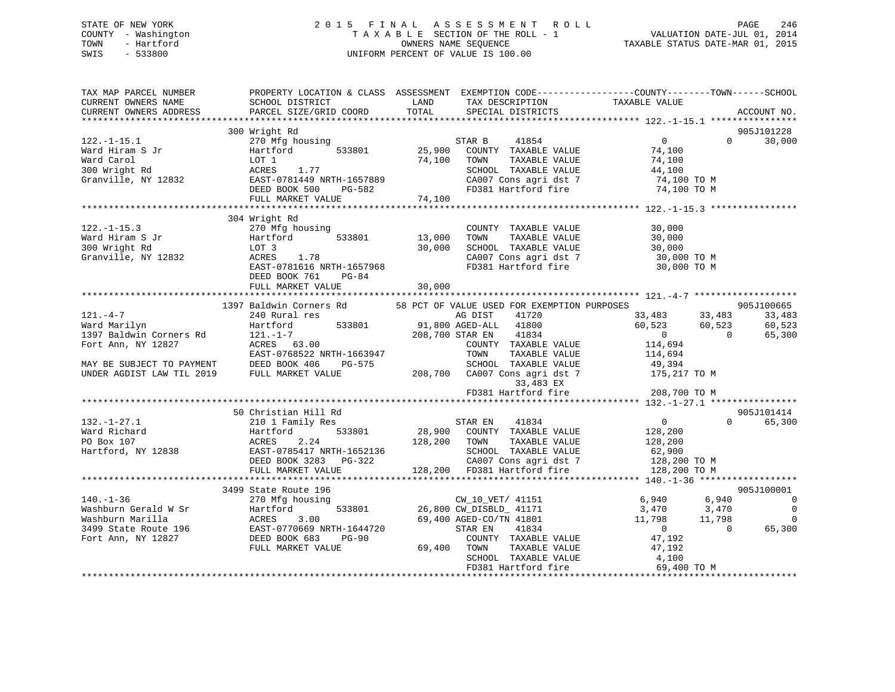## STATE OF NEW YORK 2 0 1 5 F I N A L A S S E S S M E N T R O L L PAGE 246 COUNTY - Washington T A X A B L E SECTION OF THE ROLL - 1 VALUATION DATE-JUL 01, 2014 TOWN - Hartford **TAXABLE STATUS DATE-MAR 01, 2015** OWNERS NAME SEQUENCE TAXABLE STATUS DATE-MAR 01, 2015 SWIS - 533800 UNIFORM PERCENT OF VALUE IS 100.00

| TAX MAP PARCEL NUMBER<br>CURRENT OWNERS NAME<br>CURRENT OWNERS ADDRESS | SCHOOL DISTRICT<br>PARCEL SIZE/GRID COORD                   | PROPERTY LOCATION & CLASS ASSESSMENT EXEMPTION CODE---------------COUNTY-------TOWN------SCHOOL<br>LAND<br>TAX DESCRIPTION<br>TOTAL<br>SPECIAL DISTRICTS | TAXABLE VALUE<br>ACCOUNT NO.                       |
|------------------------------------------------------------------------|-------------------------------------------------------------|----------------------------------------------------------------------------------------------------------------------------------------------------------|----------------------------------------------------|
|                                                                        | 300 Wright Rd                                               |                                                                                                                                                          | 905J101228                                         |
| $122. - 1 - 15.1$                                                      | 270 Mfg housing                                             | 41854<br>STAR B                                                                                                                                          | $\overline{0}$<br>$\Omega$<br>30,000               |
| Ward Hiram S Jr                                                        | 533801<br>Hartford                                          | 25,900 COUNTY TAXABLE VALUE                                                                                                                              | 74,100                                             |
| Ward Carol                                                             | LOT 1                                                       | 74,100 TOWN<br>TAXABLE VALUE                                                                                                                             | 74,100                                             |
| 300 Wright Rd                                                          | ACRES 1.77                                                  | SCHOOL TAXABLE VALUE                                                                                                                                     | 44,100                                             |
| Granville, NY 12832                                                    | EAST-0781449 NRTH-1657889                                   | CA007 Cons agri dst 7                                                                                                                                    | 74,100 TO M                                        |
|                                                                        | DEED BOOK 500 PG-582                                        | FD381 Hartford fire                                                                                                                                      | 74,100 TO M                                        |
|                                                                        | FULL MARKET VALUE                                           | 74,100                                                                                                                                                   |                                                    |
|                                                                        |                                                             |                                                                                                                                                          |                                                    |
|                                                                        | 304 Wright Rd                                               |                                                                                                                                                          |                                                    |
| $122. - 1 - 15.3$                                                      | 270 Mfg housing                                             | COUNTY TAXABLE VALUE                                                                                                                                     | 30,000                                             |
| Ward Hiram S Jr                                                        | Hartford<br>533801                                          | 13,000<br>TOWN<br>TAXABLE VALUE                                                                                                                          | 30,000                                             |
| 300 Wright Rd                                                          | LOT 3                                                       | 30,000<br>SCHOOL TAXABLE VALUE                                                                                                                           | 30,000                                             |
| Granville, NY 12832                                                    | ACRES<br>1.78                                               | CA007 Cons agri dst 7                                                                                                                                    | 30,000 TO M                                        |
|                                                                        | EAST-0781616 NRTH-1657968                                   | FD381 Hartford fire                                                                                                                                      | 30,000 TO M                                        |
|                                                                        | $PG-84$<br>DEED BOOK 761                                    |                                                                                                                                                          |                                                    |
|                                                                        | FULL MARKET VALUE                                           | 30,000                                                                                                                                                   |                                                    |
|                                                                        |                                                             |                                                                                                                                                          |                                                    |
|                                                                        | 1397 Baldwin Corners Rd                                     | 58 PCT OF VALUE USED FOR EXEMPTION PURPOSES                                                                                                              | 905J100665                                         |
| $121. -4 -7$<br>Ward Marilyn                                           | 240 Rural res<br>533801<br>Hartford                         | AG DIST<br>41720<br>91,800 AGED-ALL 41800                                                                                                                | 33,483<br>33,483 33,483<br>60,523 60,523<br>60,523 |
| 1397 Baldwin Corners Rd                                                |                                                             | 208,700 STAR EN 41834                                                                                                                                    | $\overline{0}$<br>$\Omega$<br>65,300               |
| Fort Ann, NY 12827                                                     | $ACRES$ 63.00                                               | COUNTY TAXABLE VALUE                                                                                                                                     | 114,694                                            |
|                                                                        | EAST-0768522 NRTH-1663947                                   | TOWN<br>TAXABLE VALUE                                                                                                                                    | 114,694                                            |
| MAY BE SUBJECT TO PAYMENT                                              | DEED BOOK 406<br>PG-575                                     | SCHOOL TAXABLE VALUE                                                                                                                                     | 49,394                                             |
| UNDER AGDIST LAW TIL 2019                                              | FULL MARKET VALUE                                           |                                                                                                                                                          | 175,217 TO M                                       |
|                                                                        |                                                             |                                                                                                                                                          |                                                    |
|                                                                        |                                                             | 208,700 CA007 Cons agri dst 7<br>33,483 EX<br>FD381 Hartford fire                                                                                        | 208,700 TO M                                       |
|                                                                        |                                                             |                                                                                                                                                          |                                                    |
|                                                                        | 50 Christian Hill Rd                                        |                                                                                                                                                          | 905J101414                                         |
| $132. - 1 - 27.1$                                                      | 210 1 Family Res                                            | STAR EN 41834                                                                                                                                            | $\overline{0}$<br>65,300<br>$\Omega$               |
| Ward Richard                                                           | 533801<br>Hartford                                          | 28,900 COUNTY TAXABLE VALUE                                                                                                                              | 128,200                                            |
| PO Box 107                                                             | ACRES<br>2.24                                               | 128,200 TOWN<br>TAXABLE VALUE                                                                                                                            | 128,200                                            |
| Hartford, NY 12838                                                     | EAST-0785417 NRTH-1652136                                   | SCHOOL TAXABLE VALUE                                                                                                                                     | 62,900                                             |
|                                                                        | DEED BOOK 3283 PG-322                                       | CA007 Cons agri dst 7                                                                                                                                    | 128,200 TO M                                       |
|                                                                        | FULL MARKET VALUE                                           |                                                                                                                                                          | 128,200 TO M                                       |
|                                                                        |                                                             |                                                                                                                                                          |                                                    |
|                                                                        | 3499 State Route 196                                        |                                                                                                                                                          | 905J100001                                         |
| $140. - 1 - 36$                                                        | 270 Mfg housing                                             | CW_10_VET/ 41151                                                                                                                                         | 6,940<br>6,940<br>$\Omega$                         |
| Washburn Gerald W Sr                                                   | Hartford                                                    | 533801 26,800 CW_DISBLD_ 41171                                                                                                                           | $3,470$ $3,470$<br>$\overline{0}$                  |
| Washburn Marilla                                                       | ACRES<br>3.00                                               | 69,400 AGED-CO/TN 41801                                                                                                                                  | 11,798 11,798<br>$\overline{\phantom{0}}$          |
| 3499 State Route 196                                                   | ----- -<br>EAST-0770669 NRTH-1644720<br>DEED BOOK 683 PG-90 | STAR EN<br>41834                                                                                                                                         | $\overline{0}$<br>$\Omega$<br>65,300               |
| Fort Ann, NY 12827                                                     | FULL MARKET VALUE                                           | COUNTY TAXABLE VALUE<br>69,400 TOWN<br>TAXABLE VALUE                                                                                                     | 47,192<br>47,192                                   |
|                                                                        |                                                             | SCHOOL TAXABLE VALUE                                                                                                                                     | 47,192<br>4,100                                    |
|                                                                        |                                                             | FD381 Hartford fire                                                                                                                                      | 69,400 TO M                                        |
|                                                                        |                                                             |                                                                                                                                                          |                                                    |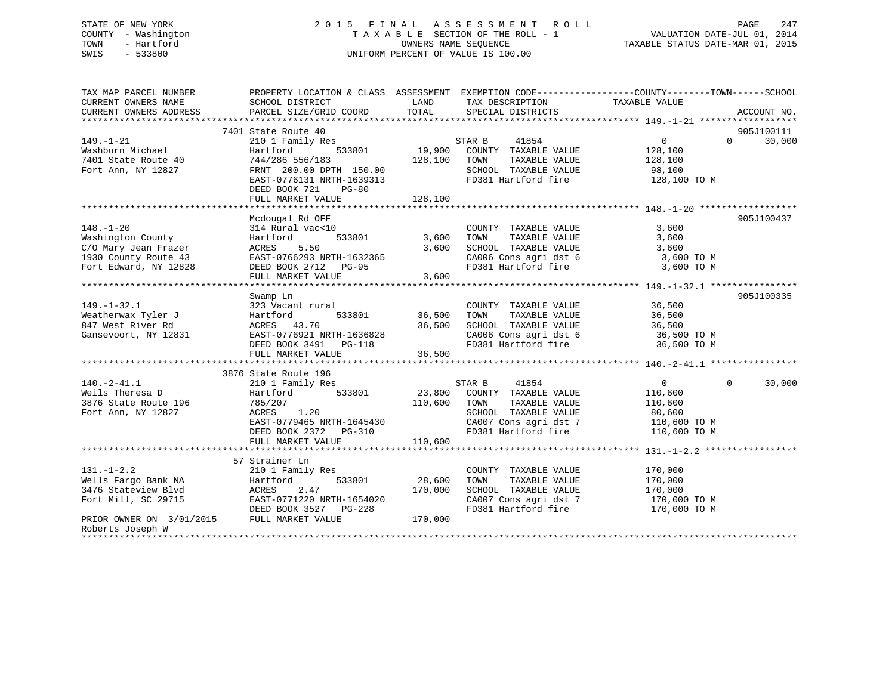## STATE OF NEW YORK 2 0 1 5 F I N A L A S S E S S M E N T R O L L PAGE 247 COUNTY - Washington T A X A B L E SECTION OF THE ROLL - 1 VALUATION DATE-JUL 01, 2014 TOWN - Hartford **TAXABLE STATUS DATE-MAR 01, 2015** OWNERS NAME SEQUENCE TAXABLE STATUS DATE-MAR 01, 2015 SWIS - 533800 UNIFORM PERCENT OF VALUE IS 100.00

| TAX MAP PARCEL NUMBER                      | PROPERTY LOCATION & CLASS ASSESSMENT EXEMPTION CODE---------------COUNTY-------TOWN------SCHOOL |              |                                              |                   |                    |
|--------------------------------------------|-------------------------------------------------------------------------------------------------|--------------|----------------------------------------------|-------------------|--------------------|
| CURRENT OWNERS NAME                        | SCHOOL DISTRICT                                                                                 | LAND         | TAX DESCRIPTION                              | TAXABLE VALUE     |                    |
| CURRENT OWNERS ADDRESS                     | PARCEL SIZE/GRID COORD                                                                          | TOTAL        | SPECIAL DISTRICTS                            |                   | ACCOUNT NO.        |
|                                            |                                                                                                 |              |                                              |                   |                    |
|                                            | 7401 State Route 40                                                                             |              |                                              |                   | 905J100111         |
| 149.-1-21                                  | 210 1 Family Res                                                                                |              | STAR B<br>41854                              | $\overline{0}$    | 30,000<br>$\Omega$ |
| Washburn Michael                           | 533801<br>Hartford                                                                              |              | 19,900 COUNTY TAXABLE VALUE                  | 128,100           |                    |
| 7401 State Route 40                        | 744/286 556/183                                                                                 | 128,100 TOWN | TAXABLE VALUE                                | 128,100           |                    |
| Fort Ann, NY 12827                         | FRNT 200.00 DPTH 150.00                                                                         |              | SCHOOL TAXABLE VALUE                         | 98,100            |                    |
|                                            | EAST-0776131 NRTH-1639313                                                                       |              | FD381 Hartford fire                          | 128,100 TO M      |                    |
|                                            | DEED BOOK 721<br>$PG-80$                                                                        |              |                                              |                   |                    |
|                                            |                                                                                                 |              |                                              |                   |                    |
|                                            |                                                                                                 |              |                                              |                   |                    |
|                                            | Mcdougal Rd OFF                                                                                 |              |                                              |                   | 905J100437         |
| $148. - 1 - 20$                            | 314 Rural vac<10                                                                                |              | COUNTY TAXABLE VALUE                         | 3,600             |                    |
| Washington County                          | 533801<br>Hartford                                                                              | 3,600        | TAXABLE VALUE<br>TOWN                        | 3,600             |                    |
| C/O Mary Jean Frazer                       | 5.50<br>ACRES                                                                                   | 3,600        | SCHOOL TAXABLE VALUE                         | 3,600             |                    |
| 1930 County Route 43                       | EAST-0766293 NRTH-1632365                                                                       |              | CA006 Cons agri dst 6                        | 3,600 TO M        |                    |
| Fort Edward, NY 12828                      | DEED BOOK 2712 PG-95                                                                            |              | FD381 Hartford fire                          | 3,600 TO M        |                    |
|                                            | FULL MARKET VALUE                                                                               | 3,600        |                                              |                   |                    |
|                                            |                                                                                                 |              |                                              |                   |                    |
|                                            | Swamp Ln                                                                                        |              |                                              |                   | 905J100335         |
| $149. - 1 - 32.1$                          | 323 Vacant rural                                                                                |              | COUNTY TAXABLE VALUE                         | 36,500            |                    |
| Weatherwax Tyler J                         | Hartford<br>533801                                                                              | 36,500       | TAXABLE VALUE<br>TOWN                        | 36,500            |                    |
| 847 West River Rd                          | ACRES 43.70                                                                                     | 36,500       | SCHOOL TAXABLE VALUE                         | 36,500            |                    |
| Gansevoort, NY 12831                       | EAST-0776921 NRTH-1636828                                                                       |              | CA006 Cons agri dst 6<br>FD381 Hartford fire | 36,500 TO M       |                    |
|                                            | DEED BOOK 3491 PG-118                                                                           |              |                                              | 36,500 TO M       |                    |
|                                            | FULL MARKET VALUE                                                                               | 36,500       |                                              |                   |                    |
|                                            |                                                                                                 |              |                                              |                   |                    |
|                                            | 3876 State Route 196                                                                            |              |                                              |                   | $\Omega$           |
| $140. -2 - 41.1$                           | 210 1 Family Res                                                                                |              | STAR B 41854                                 | $0 \qquad \qquad$ | 30,000             |
| Weils Theresa D                            | 533801<br>Hartford                                                                              |              | 23,800 COUNTY TAXABLE VALUE                  | 110,600           |                    |
| 3876 State Route 196                       | 785/207                                                                                         | 110,600 TOWN | TAXABLE VALUE                                | 110,600           |                    |
| Fort Ann, NY 12827                         | ACRES<br>1.20                                                                                   |              | SCHOOL TAXABLE VALUE                         | 80,600            |                    |
|                                            | EAST-0779465 NRTH-1645430                                                                       |              | CA007 Cons agri dst 7 110,600 TO M           |                   |                    |
|                                            | DEED BOOK 2372    PG-310                                                                        | 110,600      | FD381 Hartford fire                          | 110,600 TO M      |                    |
|                                            | FULL MARKET VALUE                                                                               |              |                                              |                   |                    |
|                                            | 57 Strainer Ln                                                                                  |              |                                              |                   |                    |
| $131. - 1 - 2.2$                           | 210 1 Family Res                                                                                |              | COUNTY TAXABLE VALUE                         | 170,000           |                    |
| Wells Fargo Bank NA                        | 533801<br>Hartford                                                                              | 28,600       | TOWN<br>TAXABLE VALUE                        | 170,000           |                    |
| 3476 Stateview Blvd                        | ACRES<br>2.47                                                                                   | 170,000      | SCHOOL TAXABLE VALUE                         | 170,000           |                    |
| Fort Mill, SC 29715                        | EAST-0771220 NRTH-1654020                                                                       |              | CA007 Cons agri dst 7                        | 170,000 TO M      |                    |
|                                            | DEED BOOK 3527 PG-228                                                                           |              | FD381 Hartford fire                          | 170,000 TO M      |                    |
| PRIOR OWNER ON 3/01/2015 FULL MARKET VALUE |                                                                                                 | 170,000      |                                              |                   |                    |
| Roberts Joseph W                           |                                                                                                 |              |                                              |                   |                    |
|                                            |                                                                                                 |              |                                              |                   |                    |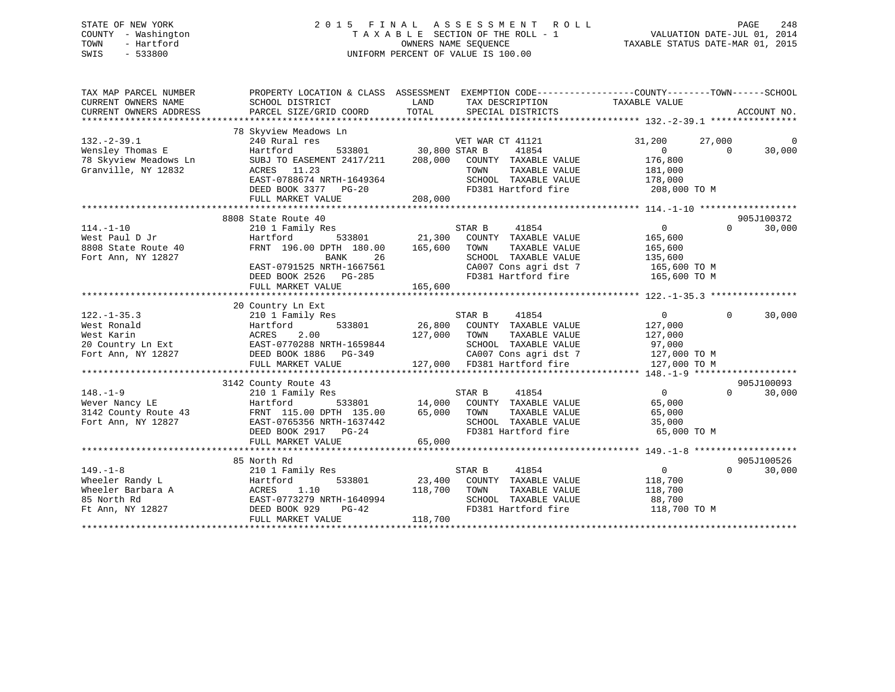## STATE OF NEW YORK 2 0 1 5 F I N A L A S S E S S M E N T R O L L PAGE 248 COUNTY - Washington T A X A B L E SECTION OF THE ROLL - 1 VALUATION DATE-JUL 01, 2014 TOWN - Hartford **TAXABLE STATUS DATE-MAR 01, 2015** OWNERS NAME SEQUENCE TAXABLE STATUS DATE-MAR 01, 2015 SWIS - 533800 UNIFORM PERCENT OF VALUE IS 100.00

| TAX MAP PARCEL NUMBER<br>CURRENT OWNERS NAME<br>CURRENT OWNERS ADDRESS                    | PROPERTY LOCATION & CLASS ASSESSMENT<br>SCHOOL DISTRICT<br>PARCEL SIZE/GRID COORD                                                                                                           | LAND<br>TOTAL                              | EXEMPTION CODE----------------COUNTY-------TOWN------SCHOOL<br>TAX DESCRIPTION<br>SPECIAL DISTRICTS                                              | TAXABLE VALUE                                                                   |                    | ACCOUNT NO.          |
|-------------------------------------------------------------------------------------------|---------------------------------------------------------------------------------------------------------------------------------------------------------------------------------------------|--------------------------------------------|--------------------------------------------------------------------------------------------------------------------------------------------------|---------------------------------------------------------------------------------|--------------------|----------------------|
| $132. - 2 - 39.1$<br>Wensley Thomas E<br>78 Skyview Meadows Ln<br>Granville, NY 12832     | 78 Skyview Meadows Ln<br>240 Rural res<br>Hartford<br>SUBJ TO EASEMENT 2417/211<br>ACRES 11.23<br>EAST-0788674 NRTH-1649364<br>DEED BOOK 3377 PG-20<br>FULL MARKET VALUE                    | 533801 30,800 STAR B<br>208,000<br>208,000 | VET WAR CT 41121<br>41854<br>COUNTY TAXABLE VALUE<br>TOWN<br>TAXABLE VALUE<br>SCHOOL TAXABLE VALUE<br>FD381 Hartford fire                        | 31,200<br>$\overline{0}$<br>176,800<br>181,000<br>178,000<br>208,000 TO M       | 27,000<br>$\Omega$ | 0<br>30,000          |
|                                                                                           |                                                                                                                                                                                             |                                            |                                                                                                                                                  |                                                                                 |                    | 905J100372           |
| $114. - 1 - 10$<br>West Paul D Jr<br>8808 State Route 40<br>Fort Ann, NY 12827            | 8808 State Route 40<br>210 1 Family Res<br>Hartford<br>533801<br>FRNT 196.00 DPTH 180.00<br><b>BANK</b><br>26<br>EAST-0791525 NRTH-1667561<br>DEED BOOK 2526<br>PG-285<br>FULL MARKET VALUE | 21,300<br>165,600<br>165,600               | STAR B<br>41854<br>COUNTY TAXABLE VALUE<br>TAXABLE VALUE<br>TOWN<br>SCHOOL TAXABLE VALUE<br>CA007 Cons agri dst 7<br>FD381 Hartford fire         | $\overline{0}$<br>165,600<br>165,600<br>135,600<br>165,600 TO M<br>165,600 TO M | $\Omega$           | 30,000               |
|                                                                                           | 20 Country Ln Ext                                                                                                                                                                           |                                            |                                                                                                                                                  |                                                                                 |                    |                      |
| $122. - 1 - 35.3$<br>West Ronald<br>West Karin<br>20 Country Ln Ext<br>Fort Ann, NY 12827 | 210 1 Family Res<br>533801<br>Hartford<br>2.00<br>ACRES<br>EAST-0770288 NRTH-1659844<br>DEED BOOK 1886 PG-349<br>FULL MARKET VALUE                                                          | 26,800<br>127,000                          | STAR B<br>41854<br>COUNTY TAXABLE VALUE<br>TOWN<br>TAXABLE VALUE<br>SCHOOL TAXABLE VALUE<br>CA007 Cons agri dst 7<br>127,000 FD381 Hartford fire | $\Omega$<br>127,000<br>127,000<br>97,000<br>127,000 TO M<br>127,000 TO M        | $\Omega$           | 30,000               |
|                                                                                           |                                                                                                                                                                                             |                                            |                                                                                                                                                  | ***************** 148.-1-9 *************                                        |                    |                      |
| $148. - 1 - 9$<br>Wever Nancy LE<br>3142 County Route 43<br>Fort Ann, NY 12827            | 3142 County Route 43<br>210 1 Family Res<br>533801<br>Hartford<br>FRNT 115.00 DPTH 135.00<br>EAST-0765356 NRTH-1637442<br>DEED BOOK 2917<br>$PG-24$<br>FULL MARKET VALUE                    | 14,000<br>65,000<br>65,000                 | 41854<br>STAR B<br>COUNTY TAXABLE VALUE<br>TOWN<br>TAXABLE VALUE<br>SCHOOL TAXABLE VALUE<br>FD381 Hartford fire                                  | $\Omega$<br>65,000<br>65,000<br>35,000<br>65,000 TO M                           | $\Omega$           | 905J100093<br>30,000 |
|                                                                                           | ********************************                                                                                                                                                            |                                            |                                                                                                                                                  |                                                                                 |                    |                      |
| $149. - 1 - 8$<br>Wheeler Randy L<br>Wheeler Barbara A<br>85 North Rd<br>Ft Ann, NY 12827 | 85 North Rd<br>210 1 Family Res<br>533801<br>Hartford<br>1.10<br>ACRES<br>EAST-0773279 NRTH-1640994<br>DEED BOOK 929<br>$PG-42$<br>FULL MARKET VALUE                                        | 23,400<br>118,700<br>118,700               | 41854<br>STAR B<br>COUNTY TAXABLE VALUE<br>TOWN<br>TAXABLE VALUE<br>SCHOOL TAXABLE VALUE<br>FD381 Hartford fire                                  | $\overline{0}$<br>118,700<br>118,700<br>88,700<br>118,700 TO M                  | $\Omega$           | 905J100526<br>30,000 |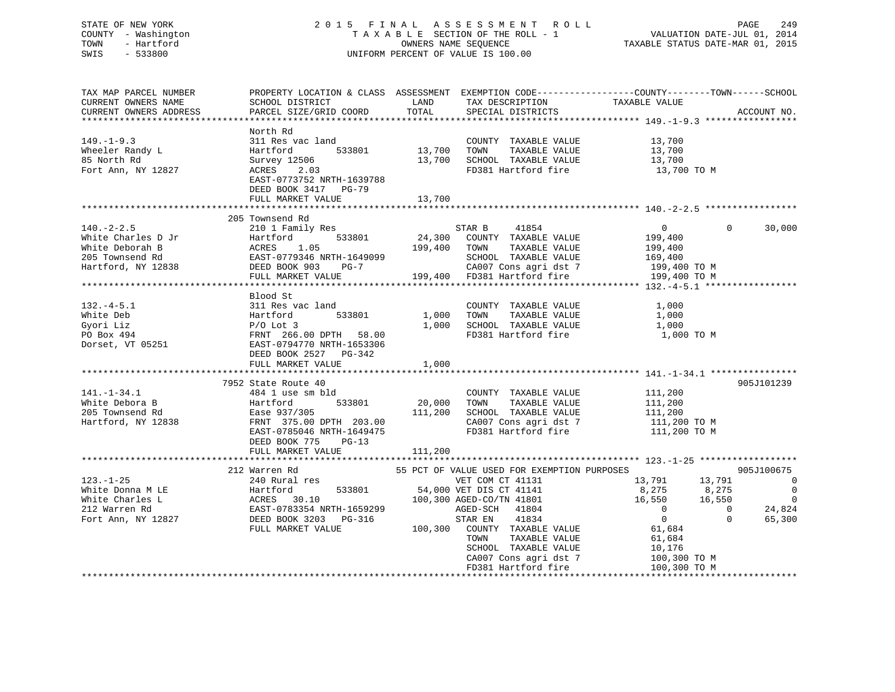| STATE OF NEW YORK 20<br>COUNTY - Washington<br>TOWN - Hartford<br>SWIS - 533800                                                                                                                                                                                                                                                                                                                                                                                     | 2015 FINAL ASSESSMENT ROLL<br>UNIFORM PERCENT OF VALUE IS 100.00                                                                                                                      | FINAL ASSESSMENT ROLL PAGE 249<br>TAXABLE SECTION OF THE ROLL - 1 VALUATION DATE-JUL 01, 2014<br>OWNERS NAME SEQUENCE TAXABLE STATUS DATE-MAR 01, 2015 |                                                                                                                                                                  |                                                                                                                                                                                                                                                   |                    |
|---------------------------------------------------------------------------------------------------------------------------------------------------------------------------------------------------------------------------------------------------------------------------------------------------------------------------------------------------------------------------------------------------------------------------------------------------------------------|---------------------------------------------------------------------------------------------------------------------------------------------------------------------------------------|--------------------------------------------------------------------------------------------------------------------------------------------------------|------------------------------------------------------------------------------------------------------------------------------------------------------------------|---------------------------------------------------------------------------------------------------------------------------------------------------------------------------------------------------------------------------------------------------|--------------------|
| TAX MAP PARCEL NUMBER<br>CURRENT OWNERS NAME<br>CURRENT OWNERS ADDRESS                                                                                                                                                                                                                                                                                                                                                                                              | PROPERTY LOCATION & CLASS ASSESSMENT EXEMPTION CODE----------------COUNTY-------TOWN------SCHOOL<br>SCHOOL DISTRICT LAND<br>PARCEL SIZE/GRID COORD                                    | TOTAL                                                                                                                                                  | TAX DESCRIPTION<br>SPECIAL PISTRICES<br>SPECIAL DISTRICTS                                                                                                        | TAXABLE VALUE                                                                                                                                                                                                                                     | ACCOUNT NO.        |
|                                                                                                                                                                                                                                                                                                                                                                                                                                                                     | North Rd                                                                                                                                                                              |                                                                                                                                                        |                                                                                                                                                                  |                                                                                                                                                                                                                                                   |                    |
| $149. - 1 - 9.3$<br>Wheeler Randy L<br>85 North Rd<br>85 North Rd<br>Fort Ann, NY 12827                                                                                                                                                                                                                                                                                                                                                                             | 311 Res vac land<br>Hartford 533801<br>Survey 12506<br>ACRES 2.03<br>EAST-0773752 NRTH-1639788<br>DEED BOOK 3417 PG-79                                                                |                                                                                                                                                        | COUNTY TAXABLE VALUE 13,700<br>13,700 TOWN TAXABLE VALUE<br>13,700 SCHOOL TAXABLE VALUE<br>FD381 Hartford fire                                                   | 13,700<br>13,700<br>13,700 TO M                                                                                                                                                                                                                   |                    |
|                                                                                                                                                                                                                                                                                                                                                                                                                                                                     | FULL MARKET VALUE                                                                                                                                                                     | 13,700                                                                                                                                                 |                                                                                                                                                                  |                                                                                                                                                                                                                                                   |                    |
| $\begin{tabular}{lllllllllllllllllllll} \hline & 140.-2-2.5 && 205\text{ 'Townsend }\kappa \\ \hline \hline \text{White Charles D Jr} && \text{Hartford} && 533801 && 24,300\text{ COUNTY TAXABLE VALUE} \\ \hline \text{White Deboran B} && \text{ACRES} && 1.05 && 199,400\text{ TOWN TAXABLE VALUE} \\ \hline \text{205 Townsend }\kappa \\ \hline \text{205 Townsend }\kappa \\ \text{Rartford, NY} && 12838 && \text{DEED BOOK 903} && \text{PG-7} && 199,400$ | 205 Townsend Rd                                                                                                                                                                       |                                                                                                                                                        |                                                                                                                                                                  | 0<br>199,400<br>199,400<br>169,400<br>199,400 TO M<br>199,400 TO M                                                                                                                                                                                | 30,000<br>$\Omega$ |
|                                                                                                                                                                                                                                                                                                                                                                                                                                                                     | Blood St                                                                                                                                                                              |                                                                                                                                                        |                                                                                                                                                                  |                                                                                                                                                                                                                                                   |                    |
| 132.-4-5.1<br>White Deb Hartford 533801<br>Gyori Liz P/O Lot 3<br>P/O Lot 3<br>Dorset, VT 05251<br>Dorset, VT 05251<br>PRNT 266.00 DPTH 58.00<br>PORSE CALUB 1,000<br>PORSE CALUB 1,000<br>PORSE CALUB 1,000<br>PORSE CALUB 1,000<br>PORSE CALUB 1,0                                                                                                                                                                                                                | DEED BOOK 2527 PG-342                                                                                                                                                                 |                                                                                                                                                        |                                                                                                                                                                  | 1,000 TO M                                                                                                                                                                                                                                        |                    |
|                                                                                                                                                                                                                                                                                                                                                                                                                                                                     | FULL MARKET VALUE                                                                                                                                                                     | 1,000                                                                                                                                                  |                                                                                                                                                                  |                                                                                                                                                                                                                                                   |                    |
|                                                                                                                                                                                                                                                                                                                                                                                                                                                                     |                                                                                                                                                                                       |                                                                                                                                                        |                                                                                                                                                                  |                                                                                                                                                                                                                                                   |                    |
| $141. - 1 - 34.1$<br>White Debora B<br>205 Townsend Rd<br>Hartford, NY 12838                                                                                                                                                                                                                                                                                                                                                                                        | 7952 State Route 40<br>7952 State Route 40<br>484 1 use sm bld<br>"-wiford 533801<br>Ease 937/305<br>FRNT 375.00 DPTH 203.00<br>EAST-0785046 NRTH-1649475<br>DEED BOOK 775<br>$PG-13$ | $20,000$ TOWN                                                                                                                                          | COUNTY TAXABLE VALUE<br>TAXABLE VALUE<br>111,200 SCHOOL TAXABLE VALUE<br>CA007 Cons agri dst 7 111,200 TO M<br>FD381 Hartford fire 111,200 TO M                  | 111,200<br>111,200<br>111,200                                                                                                                                                                                                                     | 905J101239         |
|                                                                                                                                                                                                                                                                                                                                                                                                                                                                     | FULL MARKET VALUE                                                                                                                                                                     | 111,200                                                                                                                                                |                                                                                                                                                                  |                                                                                                                                                                                                                                                   |                    |
| $123. - 1 - 25$                                                                                                                                                                                                                                                                                                                                                                                                                                                     | 212 Warren Rd<br>240 Rural res                                                                                                                                                        |                                                                                                                                                        | 55 PCT OF VALUE USED FOR EXEMPTION PURPOSES<br>VET COM CT 41131 13,791 13,791 13,791 0<br>TOWN<br>TAXABLE VALUE<br>SCHOOL TAXABLE VALUE<br>CA007 Cons agri dst 7 | $\begin{array}{cccc} 13\, ,79\, ,&\\ 8\, ,275\, &\quad 8\, ,275\, &\quad 0\,\\ 16\, ,550\, &\quad 16\, ,550\, &\quad 0\,\\ 0\, &\quad 0\, &\quad 24\, ,824\,\\ 0\, &\quad 0\, &\quad 65\, ,300\, \end{array}$<br>61,684<br>10,176<br>100,300 ТО М | 905J100675         |
|                                                                                                                                                                                                                                                                                                                                                                                                                                                                     |                                                                                                                                                                                       |                                                                                                                                                        | FD381 Hartford fire                                                                                                                                              | 100,300 TO M                                                                                                                                                                                                                                      |                    |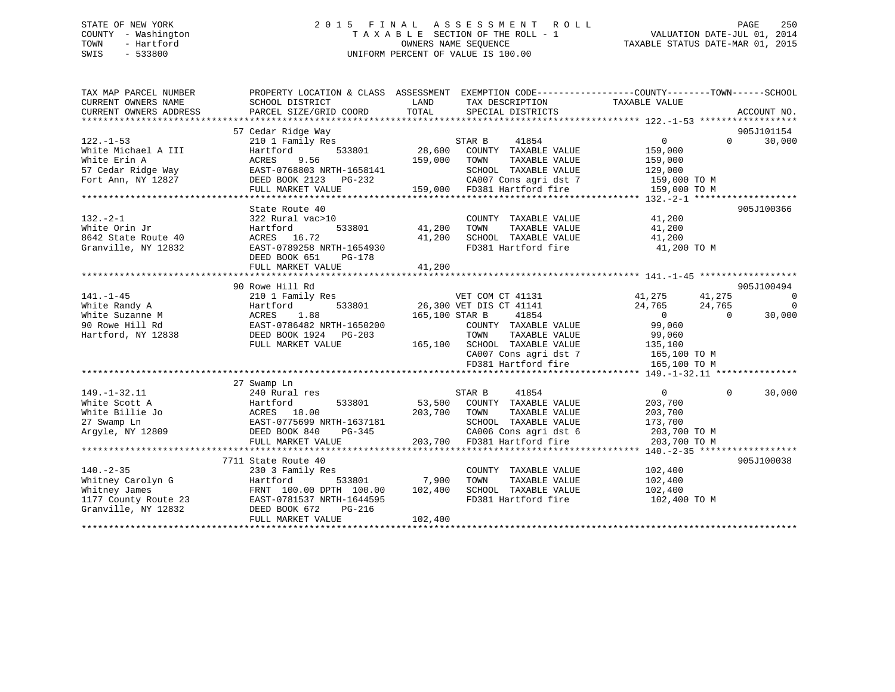## STATE OF NEW YORK 2 0 1 5 F I N A L A S S E S S M E N T R O L L PAGE 250 COUNTY - Washington T A X A B L E SECTION OF THE ROLL - 1 VALUATION DATE-JUL 01, 2014 TOWN - Hartford **TAXABLE STATUS DATE-MAR 01, 2015** OWNERS NAME SEQUENCE TAXABLE STATUS DATE-MAR 01, 2015 SWIS - 533800 UNIFORM PERCENT OF VALUE IS 100.00

| TAX MAP PARCEL NUMBER                    |                                                        |                                                                    | PROPERTY LOCATION & CLASS ASSESSMENT EXEMPTION CODE---------------COUNTY-------TOWN-----SCHOOL |
|------------------------------------------|--------------------------------------------------------|--------------------------------------------------------------------|------------------------------------------------------------------------------------------------|
| CURRENT OWNERS NAME                      | SCHOOL DISTRICT                                        | LAND<br>TAX DESCRIPTION                                            | TAXABLE VALUE                                                                                  |
| CURRENT OWNERS ADDRESS                   | PARCEL SIZE/GRID COORD                                 | TOTAL<br>SPECIAL DISTRICTS                                         | ACCOUNT NO.                                                                                    |
|                                          |                                                        |                                                                    |                                                                                                |
|                                          | 57 Cedar Ridge Way                                     |                                                                    | 905J101154                                                                                     |
| $122. - 1 - 53$                          | 210 1 Family Res                                       | s<br>28,600<br>STAR B<br>41854                                     | 30,000<br>$\overline{0}$<br>$\Omega$                                                           |
| White Michael A III                      | 533801<br>Hartford                                     | COUNTY TAXABLE VALUE<br>159,000<br>TAXABLE VALUE                   | 159,000                                                                                        |
| White Erin A                             | ACRES<br>9.56<br>EAST-0768803 NRTH-1658141             | TOWN                                                               | 159,000                                                                                        |
| 57 Cedar Ridge Way<br>Fort Ann, NY 12827 | DEED BOOK 2123 PG-232                                  | SCHOOL TAXABLE VALUE 129,000<br>CA007 Cons agri dst 7 159,000 TO M |                                                                                                |
|                                          | FULL MARKET VALUE                                      | 159,000 FD381 Hartford fire                                        | 159,000 TO M                                                                                   |
|                                          |                                                        |                                                                    |                                                                                                |
|                                          | State Route 40                                         |                                                                    | 905J100366                                                                                     |
| $132 - 2 - 1$                            | 322 Rural vac>10                                       | COUNTY TAXABLE VALUE                                               | 41,200                                                                                         |
| White Orin Jr                            | 533801<br>Hartford                                     | 41,200<br>TAXABLE VALUE<br>TOWN                                    | 41,200                                                                                         |
| 8642 State Route 40                      | ACRES 16.72                                            | SCHOOL TAXABLE VALUE<br>41,200                                     | 41,200                                                                                         |
| Granville, NY 12832                      | EAST-0789258 NRTH-1654930                              | FD381 Hartford fire 41,200 TO M                                    |                                                                                                |
|                                          | DEED BOOK 651<br>PG-178                                |                                                                    |                                                                                                |
|                                          | FULL MARKET VALUE                                      | 41,200                                                             |                                                                                                |
|                                          |                                                        |                                                                    |                                                                                                |
|                                          | 90 Rowe Hill Rd                                        |                                                                    | 905J100494                                                                                     |
| $141. - 1 - 45$                          | 210 1 Family Res                                       | VET COM CT 41131                                                   | 41,275 41,275<br>$\sim$ 0                                                                      |
| White Randy A                            | Hartford                                               | 533801 26,300 VET DIS CT 41141                                     | $\Omega$<br>24,765<br>24,765                                                                   |
| White Suzanne M                          | 1.88<br>ACRES                                          | 41854<br>165,100 STAR B                                            | $\overline{0}$<br>$\overline{0}$<br>30,000                                                     |
| 90 Rowe Hill Rd                          | EAST-0786482 NRTH-1650200                              | COUNTY TAXABLE VALUE                                               | 99,060                                                                                         |
| Hartford, NY 12838                       | DEED BOOK 1924 PG-203                                  | TOWN TAXABLE VALUE 99,060<br>165,100 SCHOOL TAXABLE VALUE 135,100  |                                                                                                |
|                                          | FULL MARKET VALUE                                      |                                                                    |                                                                                                |
|                                          |                                                        | CA007 Cons agri dst 7 165,100 TO M                                 |                                                                                                |
|                                          |                                                        | FD381 Hartford fire                                                | 165,100 TO M                                                                                   |
|                                          |                                                        |                                                                    |                                                                                                |
|                                          | 27 Swamp Ln                                            |                                                                    |                                                                                                |
| $149. - 1 - 32.11$                       | 240 Rural res                                          | 41854<br>STAR B                                                    | $\overline{0}$<br>$\Omega$<br>30,000                                                           |
| White Scott A                            | 533801<br>Hartford                                     | 53,500 COUNTY TAXABLE VALUE                                        | 203,700                                                                                        |
| White Billie Jo                          | ACRES 18.00<br>EAST-0775699 NRTH-1637181<br>Ann PG-345 | 203,700<br>TOWN<br>TAXABLE VALUE                                   | 203,700                                                                                        |
| 27 Swamp Ln                              |                                                        | SCHOOL TAXABLE VALUE                                               | 173,700                                                                                        |
| Arqyle, NY 12809                         |                                                        | $PG-345$<br>CA006 Cons agri dst 6                                  | 203,700 TO M                                                                                   |
|                                          | FULL MARKET VALUE                                      | 203,700 FD381 Hartford fire                                        | 203,700 TO M                                                                                   |
|                                          |                                                        |                                                                    |                                                                                                |
|                                          | 7711 State Route 40                                    |                                                                    | 905J100038                                                                                     |
| $140. - 2 - 35$                          | 230 3 Family Res                                       | COUNTY TAXABLE VALUE                                               | 102,400                                                                                        |
| Whitney Carolyn G                        | Hartford                                               | 533801 7,900<br>TOWN<br>TAXABLE VALUE                              | 102,400                                                                                        |
| Whitney James                            | FRNT 100.00 DPTH 100.00                                | 102,400<br>SCHOOL TAXABLE VALUE                                    | 102,400                                                                                        |
| 1177 County Route 23                     | EAST-0781537 NRTH-1644595                              | FD381 Hartford fire                                                | 102,400 TO M                                                                                   |
| Granville, NY 12832                      | DEED BOOK 672<br>PG-216                                |                                                                    |                                                                                                |
|                                          | FULL MARKET VALUE                                      | 102,400                                                            |                                                                                                |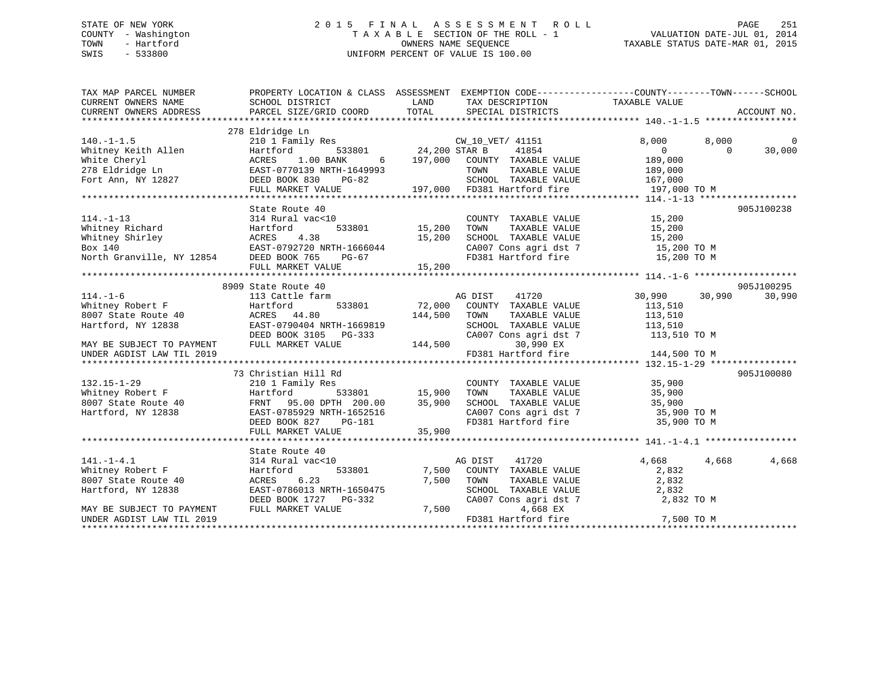## STATE OF NEW YORK 2 0 1 5 F I N A L A S S E S S M E N T R O L L PAGE 251 COUNTY - Washington T A X A B L E SECTION OF THE ROLL - 1 VALUATION DATE-JUL 01, 2014 TOWN - Hartford **TAXABLE STATUS DATE-MAR 01, 2015** OWNERS NAME SEQUENCE TAXABLE STATUS DATE-MAR 01, 2015 SWIS - 533800 UNIFORM PERCENT OF VALUE IS 100.00

| TAX MAP PARCEL NUMBER<br>CURRENT OWNERS NAME<br>CURRENT OWNERS ADDRESS                                                                                                                                                                                               | PROPERTY LOCATION & CLASS ASSESSMENT EXEMPTION CODE---------------COUNTY-------TOWN-----SCHOOL<br>SCHOOL DISTRICT<br><b>LAND</b><br>PARCEL SIZE/GRID COORD TOTAL |                         | TAX DESCRIPTION TAXABLE VALUE<br>SPECIAL DISTRICTS                       |                |          | ACCOUNT NO. |
|----------------------------------------------------------------------------------------------------------------------------------------------------------------------------------------------------------------------------------------------------------------------|------------------------------------------------------------------------------------------------------------------------------------------------------------------|-------------------------|--------------------------------------------------------------------------|----------------|----------|-------------|
|                                                                                                                                                                                                                                                                      |                                                                                                                                                                  |                         |                                                                          |                |          |             |
|                                                                                                                                                                                                                                                                      | 278 Eldridge Ln                                                                                                                                                  |                         |                                                                          |                |          |             |
| $140. -1 - 1.5$                                                                                                                                                                                                                                                      | 210 1 Family Res<br>Hartford 533801 24,200 STAR B<br>ACRES 1.00 BANK 6 197,000 COUNTY                                                                            |                         | CW 10 VET/ 41151                                                         | 8,000          | 8,000    | $\Omega$    |
| Whitney Keith Allen<br>White Cheryl<br>278 Eldridge Ln<br>278 Eldridge Ln<br>278 Eldridge Ln<br>279 Eldridge Ln<br>279 Eldridge Ln<br>279 Eldridge Ln<br>279 Eldridge Ln<br>279 Eldridge Ln<br>279 Eldridge Ln                                                       |                                                                                                                                                                  |                         | 41854                                                                    | $\overline{0}$ | $\Omega$ | 30,000      |
|                                                                                                                                                                                                                                                                      |                                                                                                                                                                  |                         | COUNTY TAXABLE VALUE                                                     | 189,000        |          |             |
|                                                                                                                                                                                                                                                                      |                                                                                                                                                                  |                         | TOWN<br>TAXABLE VALUE                                                    | 189,000        |          |             |
| Fort Ann, NY 12827                                                                                                                                                                                                                                                   | PG-82<br>DEED BOOK 830                                                                                                                                           |                         | SCHOOL TAXABLE VALUE 167,000<br>197,000 FD381 Hartford fire 197,000 TO M |                |          |             |
|                                                                                                                                                                                                                                                                      | FULL MARKET VALUE                                                                                                                                                |                         |                                                                          |                |          |             |
|                                                                                                                                                                                                                                                                      |                                                                                                                                                                  |                         |                                                                          |                |          |             |
|                                                                                                                                                                                                                                                                      | State Route 40                                                                                                                                                   |                         |                                                                          |                |          | 905J100238  |
| $114. - 1 - 13$                                                                                                                                                                                                                                                      | 314 Rural vac<10                                                                                                                                                 |                         | COUNTY TAXABLE VALUE 15,200                                              |                |          |             |
|                                                                                                                                                                                                                                                                      |                                                                                                                                                                  | 15,200                  | TOWN TAXABLE VALUE 15,200<br>SCHOOL TAXABLE VALUE 15,200                 |                |          |             |
|                                                                                                                                                                                                                                                                      |                                                                                                                                                                  | 15,200                  |                                                                          |                |          |             |
|                                                                                                                                                                                                                                                                      |                                                                                                                                                                  |                         | CA007 Cons agri dst 7 15,200 TO M                                        |                |          |             |
| 111.1 TV<br>Whitney Richard<br>Whitney Shirley<br>Box 140<br>North Granville, NY 12854<br>DEED BOOK 765 PG-67<br>PULLE PRINCE PRINCE PRINCE PRINCE<br>PULLE<br>PULLE<br>PULLE<br>PULLE<br>PULLE<br>PULLE<br>PULLE<br>PULLE<br>PULLE<br>PULLE<br>PULLE<br>PULLE<br>PU |                                                                                                                                                                  |                         |                                                                          |                |          |             |
|                                                                                                                                                                                                                                                                      |                                                                                                                                                                  |                         |                                                                          |                |          |             |
|                                                                                                                                                                                                                                                                      |                                                                                                                                                                  |                         |                                                                          |                |          |             |
|                                                                                                                                                                                                                                                                      | 8909 State Route 40                                                                                                                                              |                         |                                                                          |                |          | 905J100295  |
| $114. - 1 - 6$<br>$114. -1 - 0$<br>Whitney Robert F                                                                                                                                                                                                                  | 113 Cattle farm                                                                                                                                                  |                         | AG DIST<br>41720                                                         | 30,990         | 30,990   | 30,990      |
|                                                                                                                                                                                                                                                                      | Hartford                                                                                                                                                         | 533801 72,000           | COUNTY TAXABLE VALUE                                                     | 113,510        |          |             |
| 8007 State Route 40                                                                                                                                                                                                                                                  | ACRES 44.80                                                                                                                                                      | 144,500                 | TOWN<br>TAXABLE VALUE                                                    | 113,510        |          |             |
| Hartford, NY 12838                                                                                                                                                                                                                                                   | EAST-0790404 NRTH-1669819                                                                                                                                        |                         | SCHOOL TAXABLE VALUE                                                     | 113,510        |          |             |
|                                                                                                                                                                                                                                                                      | DEED BOOK 3105 PG-333                                                                                                                                            | 144,500                 | CA007 Cons agri dst 7 113,510 TO M                                       |                |          |             |
| MAY BE SUBJECT TO PAYMENT                                                                                                                                                                                                                                            | FULL MARKET VALUE                                                                                                                                                |                         | 30,990 EX                                                                |                |          |             |
| UNDER AGDIST LAW TIL 2019                                                                                                                                                                                                                                            |                                                                                                                                                                  |                         | FD381 Hartford fire                                                      | 144,500 TO M   |          |             |
|                                                                                                                                                                                                                                                                      |                                                                                                                                                                  |                         |                                                                          |                |          | 905J100080  |
| $132.15 - 1 - 29$                                                                                                                                                                                                                                                    | 73 Christian Hill Rd<br>210 1 Family Res                                                                                                                         |                         | COUNTY TAXABLE VALUE                                                     | 35,900         |          |             |
|                                                                                                                                                                                                                                                                      | Hartford                                                                                                                                                         | s<br>533801 15,900 TOWN | TAXABLE VALUE                                                            | 35,900         |          |             |
| Whitney Robert F<br>8007 State Route 40                                                                                                                                                                                                                              | FRNT 95.00 DPTH 200.00                                                                                                                                           | 35,900                  | SCHOOL TAXABLE VALUE 35,900                                              |                |          |             |
| Hartford, NY 12838                                                                                                                                                                                                                                                   | EAST-0785929 NRTH-1652516                                                                                                                                        |                         |                                                                          |                |          |             |
|                                                                                                                                                                                                                                                                      | DEED BOOK 827<br>PG-181                                                                                                                                          |                         | CA007 Cons agri dst 7 35,900 TO M<br>FD381 Hartford fire 35,900 TO M     |                |          |             |
|                                                                                                                                                                                                                                                                      | FULL MARKET VALUE                                                                                                                                                | 35,900                  |                                                                          |                |          |             |
|                                                                                                                                                                                                                                                                      |                                                                                                                                                                  |                         |                                                                          |                |          |             |
|                                                                                                                                                                                                                                                                      | State Route 40                                                                                                                                                   |                         |                                                                          |                |          |             |
| $141. - 1 - 4.1$                                                                                                                                                                                                                                                     | 314 Rural vac<10                                                                                                                                                 |                         | AG DIST<br>41720                                                         | 4,668          | 4,668    | 4,668       |
| Whitney Robert F                                                                                                                                                                                                                                                     | Hartford<br>533801                                                                                                                                               | 7,500                   | COUNTY TAXABLE VALUE                                                     | 2,832          |          |             |
| 8007 State Route 40                                                                                                                                                                                                                                                  | 6.23<br>ACRES                                                                                                                                                    | 7,500                   | TOWN<br>TAXABLE VALUE                                                    | 2,832          |          |             |
| Hartford, NY 12838                                                                                                                                                                                                                                                   | EAST-0786013 NRTH-1650475                                                                                                                                        |                         | SCHOOL TAXABLE VALUE                                                     | 2,832          |          |             |
|                                                                                                                                                                                                                                                                      | DEED BOOK 1727 PG-332                                                                                                                                            |                         | CA007 Cons agri dst 7                                                    | 2,832 TO M     |          |             |
| MAY BE SUBJECT TO PAYMENT                                                                                                                                                                                                                                            | FULL MARKET VALUE                                                                                                                                                | 7,500                   | 4,668 EX                                                                 |                |          |             |
| UNDER AGDIST LAW TIL 2019                                                                                                                                                                                                                                            |                                                                                                                                                                  |                         | FD381 Hartford fire                                                      | 7,500 TO M     |          |             |
|                                                                                                                                                                                                                                                                      |                                                                                                                                                                  |                         |                                                                          |                |          |             |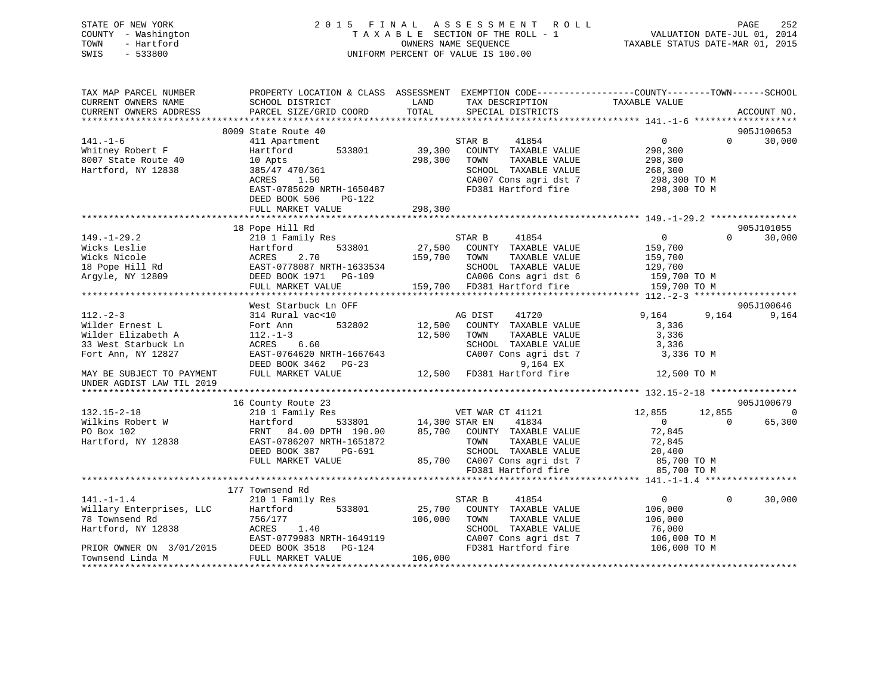## STATE OF NEW YORK 2 0 1 5 F I N A L A S S E S S M E N T R O L L PAGE 252 COUNTY - Washington T A X A B L E SECTION OF THE ROLL - 1 VALUATION DATE-JUL 01, 2014 TOWN - Hartford **TAXABLE STATUS DATE-MAR 01, 2015** OWNERS NAME SEQUENCE TAXABLE STATUS DATE-MAR 01, 2015 SWIS - 533800 UNIFORM PERCENT OF VALUE IS 100.00

| 8009 State Route 40<br>905J100653<br>41854<br>$\overline{0}$<br>30,000<br>411 Apartment<br>STAR B<br>$\Omega$<br>39,300<br>Hartford<br>533801<br>COUNTY TAXABLE VALUE<br>298,300<br>8007 State Route 40<br>298,300<br>TAXABLE VALUE<br>10 Apts<br>TOWN<br>298,300<br>Hartford, NY 12838<br>385/47 470/361<br>SCHOOL TAXABLE VALUE<br>268,300<br>CA007 Cons agri dst 7<br>ACRES<br>1.50<br>298,300 TO M<br>EAST-0785620 NRTH-1650487<br>FD381 Hartford fire<br>298,300 TO M<br>DEED BOOK 506<br>$PG-122$<br>298,300<br>FULL MARKET VALUE<br>18 Pope Hill Rd<br>905J101055<br>$149. - 1 - 29.2$<br>210 1 Family Res<br>41854<br>$\Omega$<br>30,000<br>STAR B<br>$\Omega$<br>Wicks Leslie<br>533801<br>27,500<br>Hartford<br>COUNTY TAXABLE VALUE<br>159,700<br>2.70<br>Wicks Nicole<br>159,700<br>ACRES<br>TOWN<br>TAXABLE VALUE<br>159,700<br>18 Pope Hill Rd<br>EAST-0778087 NRTH-1633534<br>SCHOOL TAXABLE VALUE<br>129,700<br>Argyle, NY 12809<br>DEED BOOK 1971 PG-109<br>CA006 Cons agri dst 6<br>159,700 TO M<br>159,700 FD381 Hartford fire<br>FULL MARKET VALUE<br>159,700 TO M<br>West Starbuck Ln OFF<br>905J100646<br>9,164<br>314 Rural vac<10<br>AG DIST<br>41720<br>9,164<br>9,164<br>532802<br>12,500<br>COUNTY TAXABLE VALUE<br>Fort Ann<br>3,336<br>$112. - 1 - 3$<br>12,500<br>3,336<br>TOWN<br>TAXABLE VALUE<br>6.60<br>SCHOOL TAXABLE VALUE<br>3,336<br>ACRES<br>EAST-0764620 NRTH-1667643<br>CA007 Cons agri dst 7<br>3,336 TO M<br>9,164 EX<br>DEED BOOK 3462 PG-23<br>12,500 FD381 Hartford fire<br>MAY BE SUBJECT TO PAYMENT<br>FULL MARKET VALUE<br>12,500 TO M<br>905J100679<br>16 County Route 23<br>$\overline{0}$<br>$132.15 - 2 - 18$<br>VET WAR CT 41121<br>12,855<br>12,855<br>210 1 Family Res<br>Wilkins Robert W<br>14,300 STAR EN<br>41834<br>65,300<br>Hartford<br>533801<br>$\overline{0}$<br>$\Omega$<br>PO Box 102<br>85,700<br>72,845<br>FRNT 84.00 DPTH 190.00<br>COUNTY TAXABLE VALUE<br>Hartford, NY 12838<br>EAST-0786207 NRTH-1651872<br>TOWN<br>TAXABLE VALUE<br>72,845<br>DEED BOOK 387<br>PG-691<br>SCHOOL TAXABLE VALUE<br>20,400<br>FULL MARKET VALUE<br>85,700 CA007 Cons agri dst 7<br>85,700 TO M<br>FD381 Hartford fire<br>85,700 TO M<br>177 Townsend Rd<br>30,000<br>210 1 Family Res<br>STAR B<br>41854<br>$\mathbf{0}$<br>$\Omega$<br>Willary Enterprises, LLC<br>Hartford<br>533801<br>25,700<br>COUNTY TAXABLE VALUE<br>106,000<br>756/177<br>106,000<br>TOWN<br>TAXABLE VALUE<br>106,000<br>ACRES<br>1.40<br>SCHOOL TAXABLE VALUE<br>76,000<br>EAST-0779983 NRTH-1649119<br>CA007 Cons agri dst 7<br>106,000 TO M<br>DEED BOOK 3518<br>FD381 Hartford fire<br>106,000 TO M<br>PG-124<br>106,000<br>FULL MARKET VALUE | TAX MAP PARCEL NUMBER<br>CURRENT OWNERS NAME<br>CURRENT OWNERS ADDRESS | PROPERTY LOCATION & CLASS ASSESSMENT EXEMPTION CODE---------------COUNTY-------TOWN------SCHOOL<br>SCHOOL DISTRICT<br>PARCEL SIZE/GRID COORD | LAND<br>TOTAL | TAX DESCRIPTION<br>SPECIAL DISTRICTS | TAXABLE VALUE | ACCOUNT NO. |
|-----------------------------------------------------------------------------------------------------------------------------------------------------------------------------------------------------------------------------------------------------------------------------------------------------------------------------------------------------------------------------------------------------------------------------------------------------------------------------------------------------------------------------------------------------------------------------------------------------------------------------------------------------------------------------------------------------------------------------------------------------------------------------------------------------------------------------------------------------------------------------------------------------------------------------------------------------------------------------------------------------------------------------------------------------------------------------------------------------------------------------------------------------------------------------------------------------------------------------------------------------------------------------------------------------------------------------------------------------------------------------------------------------------------------------------------------------------------------------------------------------------------------------------------------------------------------------------------------------------------------------------------------------------------------------------------------------------------------------------------------------------------------------------------------------------------------------------------------------------------------------------------------------------------------------------------------------------------------------------------------------------------------------------------------------------------------------------------------------------------------------------------------------------------------------------------------------------------------------------------------------------------------------------------------------------------------------------------------------------------------------------------------------------------------------------------------------------------------------------------------------------------------------------------------------------------------------------------------------------------------------------------------------------------------------------|------------------------------------------------------------------------|----------------------------------------------------------------------------------------------------------------------------------------------|---------------|--------------------------------------|---------------|-------------|
|                                                                                                                                                                                                                                                                                                                                                                                                                                                                                                                                                                                                                                                                                                                                                                                                                                                                                                                                                                                                                                                                                                                                                                                                                                                                                                                                                                                                                                                                                                                                                                                                                                                                                                                                                                                                                                                                                                                                                                                                                                                                                                                                                                                                                                                                                                                                                                                                                                                                                                                                                                                                                                                                                   |                                                                        |                                                                                                                                              |               |                                      |               |             |
|                                                                                                                                                                                                                                                                                                                                                                                                                                                                                                                                                                                                                                                                                                                                                                                                                                                                                                                                                                                                                                                                                                                                                                                                                                                                                                                                                                                                                                                                                                                                                                                                                                                                                                                                                                                                                                                                                                                                                                                                                                                                                                                                                                                                                                                                                                                                                                                                                                                                                                                                                                                                                                                                                   |                                                                        |                                                                                                                                              |               |                                      |               |             |
|                                                                                                                                                                                                                                                                                                                                                                                                                                                                                                                                                                                                                                                                                                                                                                                                                                                                                                                                                                                                                                                                                                                                                                                                                                                                                                                                                                                                                                                                                                                                                                                                                                                                                                                                                                                                                                                                                                                                                                                                                                                                                                                                                                                                                                                                                                                                                                                                                                                                                                                                                                                                                                                                                   | $141. - 1 - 6$                                                         |                                                                                                                                              |               |                                      |               |             |
|                                                                                                                                                                                                                                                                                                                                                                                                                                                                                                                                                                                                                                                                                                                                                                                                                                                                                                                                                                                                                                                                                                                                                                                                                                                                                                                                                                                                                                                                                                                                                                                                                                                                                                                                                                                                                                                                                                                                                                                                                                                                                                                                                                                                                                                                                                                                                                                                                                                                                                                                                                                                                                                                                   | Whitney Robert F                                                       |                                                                                                                                              |               |                                      |               |             |
|                                                                                                                                                                                                                                                                                                                                                                                                                                                                                                                                                                                                                                                                                                                                                                                                                                                                                                                                                                                                                                                                                                                                                                                                                                                                                                                                                                                                                                                                                                                                                                                                                                                                                                                                                                                                                                                                                                                                                                                                                                                                                                                                                                                                                                                                                                                                                                                                                                                                                                                                                                                                                                                                                   |                                                                        |                                                                                                                                              |               |                                      |               |             |
|                                                                                                                                                                                                                                                                                                                                                                                                                                                                                                                                                                                                                                                                                                                                                                                                                                                                                                                                                                                                                                                                                                                                                                                                                                                                                                                                                                                                                                                                                                                                                                                                                                                                                                                                                                                                                                                                                                                                                                                                                                                                                                                                                                                                                                                                                                                                                                                                                                                                                                                                                                                                                                                                                   |                                                                        |                                                                                                                                              |               |                                      |               |             |
|                                                                                                                                                                                                                                                                                                                                                                                                                                                                                                                                                                                                                                                                                                                                                                                                                                                                                                                                                                                                                                                                                                                                                                                                                                                                                                                                                                                                                                                                                                                                                                                                                                                                                                                                                                                                                                                                                                                                                                                                                                                                                                                                                                                                                                                                                                                                                                                                                                                                                                                                                                                                                                                                                   |                                                                        |                                                                                                                                              |               |                                      |               |             |
|                                                                                                                                                                                                                                                                                                                                                                                                                                                                                                                                                                                                                                                                                                                                                                                                                                                                                                                                                                                                                                                                                                                                                                                                                                                                                                                                                                                                                                                                                                                                                                                                                                                                                                                                                                                                                                                                                                                                                                                                                                                                                                                                                                                                                                                                                                                                                                                                                                                                                                                                                                                                                                                                                   |                                                                        |                                                                                                                                              |               |                                      |               |             |
|                                                                                                                                                                                                                                                                                                                                                                                                                                                                                                                                                                                                                                                                                                                                                                                                                                                                                                                                                                                                                                                                                                                                                                                                                                                                                                                                                                                                                                                                                                                                                                                                                                                                                                                                                                                                                                                                                                                                                                                                                                                                                                                                                                                                                                                                                                                                                                                                                                                                                                                                                                                                                                                                                   |                                                                        |                                                                                                                                              |               |                                      |               |             |
|                                                                                                                                                                                                                                                                                                                                                                                                                                                                                                                                                                                                                                                                                                                                                                                                                                                                                                                                                                                                                                                                                                                                                                                                                                                                                                                                                                                                                                                                                                                                                                                                                                                                                                                                                                                                                                                                                                                                                                                                                                                                                                                                                                                                                                                                                                                                                                                                                                                                                                                                                                                                                                                                                   |                                                                        |                                                                                                                                              |               |                                      |               |             |
|                                                                                                                                                                                                                                                                                                                                                                                                                                                                                                                                                                                                                                                                                                                                                                                                                                                                                                                                                                                                                                                                                                                                                                                                                                                                                                                                                                                                                                                                                                                                                                                                                                                                                                                                                                                                                                                                                                                                                                                                                                                                                                                                                                                                                                                                                                                                                                                                                                                                                                                                                                                                                                                                                   |                                                                        |                                                                                                                                              |               |                                      |               |             |
|                                                                                                                                                                                                                                                                                                                                                                                                                                                                                                                                                                                                                                                                                                                                                                                                                                                                                                                                                                                                                                                                                                                                                                                                                                                                                                                                                                                                                                                                                                                                                                                                                                                                                                                                                                                                                                                                                                                                                                                                                                                                                                                                                                                                                                                                                                                                                                                                                                                                                                                                                                                                                                                                                   |                                                                        |                                                                                                                                              |               |                                      |               |             |
|                                                                                                                                                                                                                                                                                                                                                                                                                                                                                                                                                                                                                                                                                                                                                                                                                                                                                                                                                                                                                                                                                                                                                                                                                                                                                                                                                                                                                                                                                                                                                                                                                                                                                                                                                                                                                                                                                                                                                                                                                                                                                                                                                                                                                                                                                                                                                                                                                                                                                                                                                                                                                                                                                   |                                                                        |                                                                                                                                              |               |                                      |               |             |
|                                                                                                                                                                                                                                                                                                                                                                                                                                                                                                                                                                                                                                                                                                                                                                                                                                                                                                                                                                                                                                                                                                                                                                                                                                                                                                                                                                                                                                                                                                                                                                                                                                                                                                                                                                                                                                                                                                                                                                                                                                                                                                                                                                                                                                                                                                                                                                                                                                                                                                                                                                                                                                                                                   |                                                                        |                                                                                                                                              |               |                                      |               |             |
|                                                                                                                                                                                                                                                                                                                                                                                                                                                                                                                                                                                                                                                                                                                                                                                                                                                                                                                                                                                                                                                                                                                                                                                                                                                                                                                                                                                                                                                                                                                                                                                                                                                                                                                                                                                                                                                                                                                                                                                                                                                                                                                                                                                                                                                                                                                                                                                                                                                                                                                                                                                                                                                                                   |                                                                        |                                                                                                                                              |               |                                      |               |             |
|                                                                                                                                                                                                                                                                                                                                                                                                                                                                                                                                                                                                                                                                                                                                                                                                                                                                                                                                                                                                                                                                                                                                                                                                                                                                                                                                                                                                                                                                                                                                                                                                                                                                                                                                                                                                                                                                                                                                                                                                                                                                                                                                                                                                                                                                                                                                                                                                                                                                                                                                                                                                                                                                                   |                                                                        |                                                                                                                                              |               |                                      |               |             |
|                                                                                                                                                                                                                                                                                                                                                                                                                                                                                                                                                                                                                                                                                                                                                                                                                                                                                                                                                                                                                                                                                                                                                                                                                                                                                                                                                                                                                                                                                                                                                                                                                                                                                                                                                                                                                                                                                                                                                                                                                                                                                                                                                                                                                                                                                                                                                                                                                                                                                                                                                                                                                                                                                   |                                                                        |                                                                                                                                              |               |                                      |               |             |
|                                                                                                                                                                                                                                                                                                                                                                                                                                                                                                                                                                                                                                                                                                                                                                                                                                                                                                                                                                                                                                                                                                                                                                                                                                                                                                                                                                                                                                                                                                                                                                                                                                                                                                                                                                                                                                                                                                                                                                                                                                                                                                                                                                                                                                                                                                                                                                                                                                                                                                                                                                                                                                                                                   |                                                                        |                                                                                                                                              |               |                                      |               |             |
|                                                                                                                                                                                                                                                                                                                                                                                                                                                                                                                                                                                                                                                                                                                                                                                                                                                                                                                                                                                                                                                                                                                                                                                                                                                                                                                                                                                                                                                                                                                                                                                                                                                                                                                                                                                                                                                                                                                                                                                                                                                                                                                                                                                                                                                                                                                                                                                                                                                                                                                                                                                                                                                                                   | $112. - 2 - 3$                                                         |                                                                                                                                              |               |                                      |               |             |
|                                                                                                                                                                                                                                                                                                                                                                                                                                                                                                                                                                                                                                                                                                                                                                                                                                                                                                                                                                                                                                                                                                                                                                                                                                                                                                                                                                                                                                                                                                                                                                                                                                                                                                                                                                                                                                                                                                                                                                                                                                                                                                                                                                                                                                                                                                                                                                                                                                                                                                                                                                                                                                                                                   | Wilder Ernest L                                                        |                                                                                                                                              |               |                                      |               |             |
|                                                                                                                                                                                                                                                                                                                                                                                                                                                                                                                                                                                                                                                                                                                                                                                                                                                                                                                                                                                                                                                                                                                                                                                                                                                                                                                                                                                                                                                                                                                                                                                                                                                                                                                                                                                                                                                                                                                                                                                                                                                                                                                                                                                                                                                                                                                                                                                                                                                                                                                                                                                                                                                                                   | Wilder Elizabeth A                                                     |                                                                                                                                              |               |                                      |               |             |
|                                                                                                                                                                                                                                                                                                                                                                                                                                                                                                                                                                                                                                                                                                                                                                                                                                                                                                                                                                                                                                                                                                                                                                                                                                                                                                                                                                                                                                                                                                                                                                                                                                                                                                                                                                                                                                                                                                                                                                                                                                                                                                                                                                                                                                                                                                                                                                                                                                                                                                                                                                                                                                                                                   | 33 West Starbuck Ln                                                    |                                                                                                                                              |               |                                      |               |             |
|                                                                                                                                                                                                                                                                                                                                                                                                                                                                                                                                                                                                                                                                                                                                                                                                                                                                                                                                                                                                                                                                                                                                                                                                                                                                                                                                                                                                                                                                                                                                                                                                                                                                                                                                                                                                                                                                                                                                                                                                                                                                                                                                                                                                                                                                                                                                                                                                                                                                                                                                                                                                                                                                                   | Fort Ann, NY 12827                                                     |                                                                                                                                              |               |                                      |               |             |
|                                                                                                                                                                                                                                                                                                                                                                                                                                                                                                                                                                                                                                                                                                                                                                                                                                                                                                                                                                                                                                                                                                                                                                                                                                                                                                                                                                                                                                                                                                                                                                                                                                                                                                                                                                                                                                                                                                                                                                                                                                                                                                                                                                                                                                                                                                                                                                                                                                                                                                                                                                                                                                                                                   |                                                                        |                                                                                                                                              |               |                                      |               |             |
|                                                                                                                                                                                                                                                                                                                                                                                                                                                                                                                                                                                                                                                                                                                                                                                                                                                                                                                                                                                                                                                                                                                                                                                                                                                                                                                                                                                                                                                                                                                                                                                                                                                                                                                                                                                                                                                                                                                                                                                                                                                                                                                                                                                                                                                                                                                                                                                                                                                                                                                                                                                                                                                                                   | UNDER AGDIST LAW TIL 2019                                              |                                                                                                                                              |               |                                      |               |             |
|                                                                                                                                                                                                                                                                                                                                                                                                                                                                                                                                                                                                                                                                                                                                                                                                                                                                                                                                                                                                                                                                                                                                                                                                                                                                                                                                                                                                                                                                                                                                                                                                                                                                                                                                                                                                                                                                                                                                                                                                                                                                                                                                                                                                                                                                                                                                                                                                                                                                                                                                                                                                                                                                                   |                                                                        |                                                                                                                                              |               |                                      |               |             |
|                                                                                                                                                                                                                                                                                                                                                                                                                                                                                                                                                                                                                                                                                                                                                                                                                                                                                                                                                                                                                                                                                                                                                                                                                                                                                                                                                                                                                                                                                                                                                                                                                                                                                                                                                                                                                                                                                                                                                                                                                                                                                                                                                                                                                                                                                                                                                                                                                                                                                                                                                                                                                                                                                   |                                                                        |                                                                                                                                              |               |                                      |               |             |
|                                                                                                                                                                                                                                                                                                                                                                                                                                                                                                                                                                                                                                                                                                                                                                                                                                                                                                                                                                                                                                                                                                                                                                                                                                                                                                                                                                                                                                                                                                                                                                                                                                                                                                                                                                                                                                                                                                                                                                                                                                                                                                                                                                                                                                                                                                                                                                                                                                                                                                                                                                                                                                                                                   |                                                                        |                                                                                                                                              |               |                                      |               |             |
|                                                                                                                                                                                                                                                                                                                                                                                                                                                                                                                                                                                                                                                                                                                                                                                                                                                                                                                                                                                                                                                                                                                                                                                                                                                                                                                                                                                                                                                                                                                                                                                                                                                                                                                                                                                                                                                                                                                                                                                                                                                                                                                                                                                                                                                                                                                                                                                                                                                                                                                                                                                                                                                                                   |                                                                        |                                                                                                                                              |               |                                      |               |             |
|                                                                                                                                                                                                                                                                                                                                                                                                                                                                                                                                                                                                                                                                                                                                                                                                                                                                                                                                                                                                                                                                                                                                                                                                                                                                                                                                                                                                                                                                                                                                                                                                                                                                                                                                                                                                                                                                                                                                                                                                                                                                                                                                                                                                                                                                                                                                                                                                                                                                                                                                                                                                                                                                                   |                                                                        |                                                                                                                                              |               |                                      |               |             |
|                                                                                                                                                                                                                                                                                                                                                                                                                                                                                                                                                                                                                                                                                                                                                                                                                                                                                                                                                                                                                                                                                                                                                                                                                                                                                                                                                                                                                                                                                                                                                                                                                                                                                                                                                                                                                                                                                                                                                                                                                                                                                                                                                                                                                                                                                                                                                                                                                                                                                                                                                                                                                                                                                   |                                                                        |                                                                                                                                              |               |                                      |               |             |
|                                                                                                                                                                                                                                                                                                                                                                                                                                                                                                                                                                                                                                                                                                                                                                                                                                                                                                                                                                                                                                                                                                                                                                                                                                                                                                                                                                                                                                                                                                                                                                                                                                                                                                                                                                                                                                                                                                                                                                                                                                                                                                                                                                                                                                                                                                                                                                                                                                                                                                                                                                                                                                                                                   |                                                                        |                                                                                                                                              |               |                                      |               |             |
|                                                                                                                                                                                                                                                                                                                                                                                                                                                                                                                                                                                                                                                                                                                                                                                                                                                                                                                                                                                                                                                                                                                                                                                                                                                                                                                                                                                                                                                                                                                                                                                                                                                                                                                                                                                                                                                                                                                                                                                                                                                                                                                                                                                                                                                                                                                                                                                                                                                                                                                                                                                                                                                                                   |                                                                        |                                                                                                                                              |               |                                      |               |             |
|                                                                                                                                                                                                                                                                                                                                                                                                                                                                                                                                                                                                                                                                                                                                                                                                                                                                                                                                                                                                                                                                                                                                                                                                                                                                                                                                                                                                                                                                                                                                                                                                                                                                                                                                                                                                                                                                                                                                                                                                                                                                                                                                                                                                                                                                                                                                                                                                                                                                                                                                                                                                                                                                                   |                                                                        |                                                                                                                                              |               |                                      |               |             |
|                                                                                                                                                                                                                                                                                                                                                                                                                                                                                                                                                                                                                                                                                                                                                                                                                                                                                                                                                                                                                                                                                                                                                                                                                                                                                                                                                                                                                                                                                                                                                                                                                                                                                                                                                                                                                                                                                                                                                                                                                                                                                                                                                                                                                                                                                                                                                                                                                                                                                                                                                                                                                                                                                   |                                                                        |                                                                                                                                              |               |                                      |               |             |
|                                                                                                                                                                                                                                                                                                                                                                                                                                                                                                                                                                                                                                                                                                                                                                                                                                                                                                                                                                                                                                                                                                                                                                                                                                                                                                                                                                                                                                                                                                                                                                                                                                                                                                                                                                                                                                                                                                                                                                                                                                                                                                                                                                                                                                                                                                                                                                                                                                                                                                                                                                                                                                                                                   | $141. - 1 - 1.4$                                                       |                                                                                                                                              |               |                                      |               |             |
|                                                                                                                                                                                                                                                                                                                                                                                                                                                                                                                                                                                                                                                                                                                                                                                                                                                                                                                                                                                                                                                                                                                                                                                                                                                                                                                                                                                                                                                                                                                                                                                                                                                                                                                                                                                                                                                                                                                                                                                                                                                                                                                                                                                                                                                                                                                                                                                                                                                                                                                                                                                                                                                                                   |                                                                        |                                                                                                                                              |               |                                      |               |             |
|                                                                                                                                                                                                                                                                                                                                                                                                                                                                                                                                                                                                                                                                                                                                                                                                                                                                                                                                                                                                                                                                                                                                                                                                                                                                                                                                                                                                                                                                                                                                                                                                                                                                                                                                                                                                                                                                                                                                                                                                                                                                                                                                                                                                                                                                                                                                                                                                                                                                                                                                                                                                                                                                                   | 78 Townsend Rd                                                         |                                                                                                                                              |               |                                      |               |             |
|                                                                                                                                                                                                                                                                                                                                                                                                                                                                                                                                                                                                                                                                                                                                                                                                                                                                                                                                                                                                                                                                                                                                                                                                                                                                                                                                                                                                                                                                                                                                                                                                                                                                                                                                                                                                                                                                                                                                                                                                                                                                                                                                                                                                                                                                                                                                                                                                                                                                                                                                                                                                                                                                                   | Hartford, NY 12838                                                     |                                                                                                                                              |               |                                      |               |             |
|                                                                                                                                                                                                                                                                                                                                                                                                                                                                                                                                                                                                                                                                                                                                                                                                                                                                                                                                                                                                                                                                                                                                                                                                                                                                                                                                                                                                                                                                                                                                                                                                                                                                                                                                                                                                                                                                                                                                                                                                                                                                                                                                                                                                                                                                                                                                                                                                                                                                                                                                                                                                                                                                                   |                                                                        |                                                                                                                                              |               |                                      |               |             |
|                                                                                                                                                                                                                                                                                                                                                                                                                                                                                                                                                                                                                                                                                                                                                                                                                                                                                                                                                                                                                                                                                                                                                                                                                                                                                                                                                                                                                                                                                                                                                                                                                                                                                                                                                                                                                                                                                                                                                                                                                                                                                                                                                                                                                                                                                                                                                                                                                                                                                                                                                                                                                                                                                   | PRIOR OWNER ON 3/01/2015                                               |                                                                                                                                              |               |                                      |               |             |
|                                                                                                                                                                                                                                                                                                                                                                                                                                                                                                                                                                                                                                                                                                                                                                                                                                                                                                                                                                                                                                                                                                                                                                                                                                                                                                                                                                                                                                                                                                                                                                                                                                                                                                                                                                                                                                                                                                                                                                                                                                                                                                                                                                                                                                                                                                                                                                                                                                                                                                                                                                                                                                                                                   | Townsend Linda M                                                       |                                                                                                                                              |               |                                      |               |             |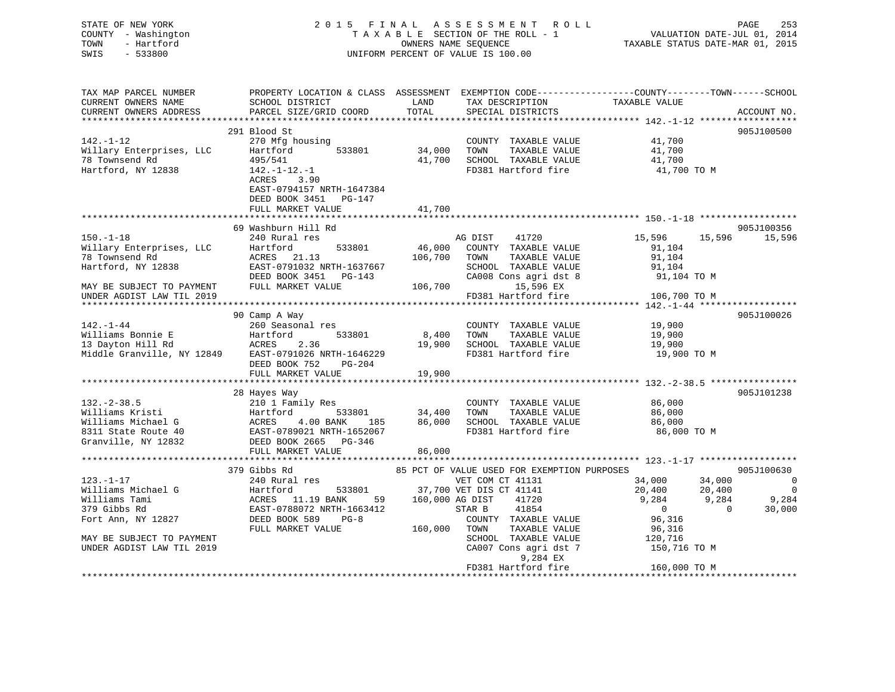| STATE OF NEW YORK<br>COUNTY - Washington<br>- Hartford<br>TOWN<br>SWIS<br>$-533800$ |                                                                                       |                 | 2015 FINAL ASSESSMENT ROLL<br>TAXABLE SECTION OF THE ROLL - 1<br>OWNERS NAME SEQUENCE<br>UNIFORM PERCENT OF VALUE IS 100.00 | VALUATION DATE-JUL 01, 2014<br>TAXABLE STATUS DATE-MAR 01, 2015                                                   | PAGE<br>253     |
|-------------------------------------------------------------------------------------|---------------------------------------------------------------------------------------|-----------------|-----------------------------------------------------------------------------------------------------------------------------|-------------------------------------------------------------------------------------------------------------------|-----------------|
| TAX MAP PARCEL NUMBER<br>CURRENT OWNERS NAME<br>CURRENT OWNERS ADDRESS              | SCHOOL DISTRICT<br>PARCEL SIZE/GRID COORD                                             | LAND<br>TOTAL   | TAX DESCRIPTION<br>SPECIAL DISTRICTS                                                                                        | PROPERTY LOCATION & CLASS ASSESSMENT EXEMPTION CODE----------------COUNTY-------TOWN------SCHOOL<br>TAXABLE VALUE | ACCOUNT NO.     |
|                                                                                     | 291 Blood St                                                                          |                 |                                                                                                                             |                                                                                                                   | 905J100500      |
| $142. - 1 - 12$                                                                     | 270 Mfg housing                                                                       |                 | COUNTY TAXABLE VALUE                                                                                                        | 41,700                                                                                                            |                 |
| Willary Enterprises, LLC                                                            | Hartford<br>533801                                                                    | 34,000          | TOWN<br>TAXABLE VALUE                                                                                                       | 41,700                                                                                                            |                 |
| 78 Townsend Rd                                                                      | 495/541                                                                               | 41,700          | SCHOOL TAXABLE VALUE                                                                                                        | 41,700                                                                                                            |                 |
| Hartford, NY 12838                                                                  | $142.-1-12.-1$<br>ACRES<br>3.90<br>EAST-0794157 NRTH-1647384<br>DEED BOOK 3451 PG-147 |                 | FD381 Hartford fire                                                                                                         | 41,700 TO M                                                                                                       |                 |
|                                                                                     | FULL MARKET VALUE                                                                     | 41,700          |                                                                                                                             |                                                                                                                   |                 |
|                                                                                     | 69 Washburn Hill Rd                                                                   |                 |                                                                                                                             |                                                                                                                   | 905J100356      |
| $150. - 1 - 18$                                                                     | 240 Rural res                                                                         |                 | AG DIST<br>41720                                                                                                            | 15,596                                                                                                            | 15,596 15,596   |
| Willary Enterprises, LLC                                                            | Hartford<br>533801                                                                    | 46,000          | COUNTY TAXABLE VALUE                                                                                                        | 91,104                                                                                                            |                 |
| 78 Townsend Rd                                                                      | ACRES 21.13                                                                           | 106,700         | TOWN<br>TAXABLE VALUE                                                                                                       | 91,104                                                                                                            |                 |
| Hartford, NY 12838                                                                  | EAST-0791032 NRTH-1637667                                                             |                 | SCHOOL TAXABLE VALUE                                                                                                        | 91,104                                                                                                            |                 |
|                                                                                     | DEED BOOK 3451 PG-143                                                                 |                 | CA008 Cons agri dst 8                                                                                                       | 91,104 TO M                                                                                                       |                 |
| MAY BE SUBJECT TO PAYMENT                                                           | FULL MARKET VALUE                                                                     |                 | 106,700 15,596 EX                                                                                                           |                                                                                                                   |                 |
| UNDER AGDIST LAW TIL 2019                                                           |                                                                                       |                 | FD381 Hartford fire                                                                                                         | 106,700 TO M                                                                                                      |                 |
|                                                                                     |                                                                                       |                 |                                                                                                                             |                                                                                                                   |                 |
| 142.-1-44                                                                           | 90 Camp A Way<br>260 Seasonal res                                                     |                 |                                                                                                                             | 19,900                                                                                                            | 905J100026      |
|                                                                                     | Hartford<br>533801                                                                    | 8,400           | COUNTY TAXABLE VALUE<br>TOWN<br>TAXABLE VALUE                                                                               | 19,900                                                                                                            |                 |
| Williams Bonnie E<br>13 Dayton Hill Rd                                              | ACRES<br>2.36                                                                         |                 | 19,900 SCHOOL TAXABLE VALUE                                                                                                 | 19,900                                                                                                            |                 |
| Middle Granville, NY 12849                                                          | EAST-0791026 NRTH-1646229                                                             |                 | FD381 Hartford fire                                                                                                         | 19,900 TO M                                                                                                       |                 |
|                                                                                     | DEED BOOK 752<br>PG-204                                                               |                 |                                                                                                                             |                                                                                                                   |                 |
|                                                                                     | FULL MARKET VALUE                                                                     | 19,900          |                                                                                                                             |                                                                                                                   |                 |
|                                                                                     |                                                                                       |                 |                                                                                                                             |                                                                                                                   |                 |
|                                                                                     | 28 Hayes Way                                                                          |                 |                                                                                                                             |                                                                                                                   | 905J101238      |
| $132 - 2 - 38.5$                                                                    | 210 1 Family Res                                                                      |                 | COUNTY TAXABLE VALUE                                                                                                        | 86,000                                                                                                            |                 |
| Williams Kristi                                                                     | $533801$ $34,400$<br>Hartford                                                         |                 | TAXABLE VALUE<br>TOWN                                                                                                       | 86,000                                                                                                            |                 |
| Williams Michael G<br>8311 State Route 40                                           | ACRES 4.00 BANK 185                                                                   |                 | 86,000 SCHOOL TAXABLE VALUE<br>FD381 Hartford fire                                                                          | 86,000<br>86,000 TO M                                                                                             |                 |
| Granville, NY 12832                                                                 | ACRES 4.00 BANK 185<br>EAST-0789021 NRTH-1652067<br>DEED BOOK 2665                    |                 |                                                                                                                             |                                                                                                                   |                 |
|                                                                                     | FULL MARKET VALUE                                                                     | 86,000          |                                                                                                                             |                                                                                                                   |                 |
|                                                                                     |                                                                                       |                 |                                                                                                                             |                                                                                                                   |                 |
|                                                                                     | 379 Gibbs Rd                                                                          |                 | 85 PCT OF VALUE USED FOR EXEMPTION PURPOSES                                                                                 |                                                                                                                   | 905J100630      |
| $123. - 1 - 17$                                                                     | 240 Rural res                                                                         |                 | VET COM CT 41131                                                                                                            | 34,000<br>34,000                                                                                                  | $\sim$ 0        |
| Williams Michael G                                                                  | 533801<br>Hartford                                                                    |                 | 37,700 VET DIS CT 41141                                                                                                     | 20,400<br>20,400                                                                                                  | $\bigcirc$      |
| Williams Tami                                                                       | Hartford 533<br>ACRES 11.19 BANK<br>ELGT 0700070 NPTU<br>59                           | 160,000 AG DIST | 41720                                                                                                                       | 9,284<br>9,284                                                                                                    | 9,284<br>30.000 |
| 379 Gibbs Rd                                                                        | EAST-0788072 NRTH-1663412                                                             |                 | STAR B<br>41854                                                                                                             | $\overline{0}$<br>$\sim$ 0                                                                                        | 30,000          |
| Fort Ann, NY 12827                                                                  | DEED BOOK 589 PG-8                                                                    |                 | COUNTY TAXABLE VALUE                                                                                                        | 96,316                                                                                                            |                 |
| MAY BE SUBJECT TO PAYMENT                                                           | FULL MARKET VALUE                                                                     | 160,000 TOWN    | TAXABLE VALUE<br>SCHOOL TAXABLE VALUE                                                                                       | 96,316<br>120,716                                                                                                 |                 |
| UNDER AGDIST LAW TIL 2019                                                           |                                                                                       |                 | CA007 Cons agri dst 7                                                                                                       | 150,716 TO M                                                                                                      |                 |
|                                                                                     |                                                                                       |                 | 9,284 EX                                                                                                                    |                                                                                                                   |                 |
|                                                                                     |                                                                                       |                 | FD381 Hartford fire                                                                                                         | 160,000 TO M                                                                                                      |                 |
|                                                                                     |                                                                                       |                 |                                                                                                                             |                                                                                                                   |                 |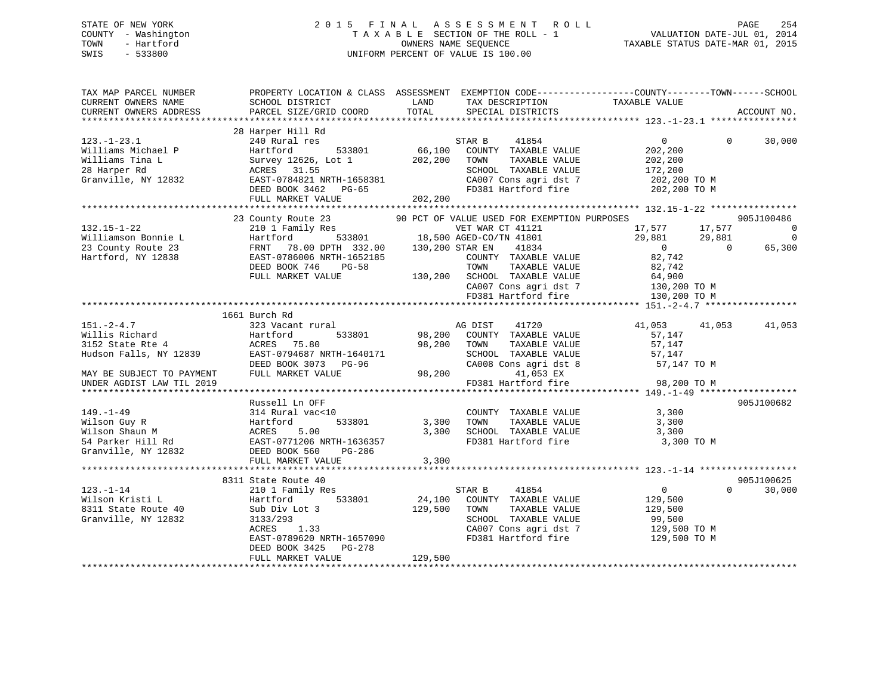# STATE OF NEW YORK 2 0 1 5 F I N A L A S S E S S M E N T R O L L PAGE 254 COUNTY - Washington T A X A B L E SECTION OF THE ROLL - 1 VALUATION DATE-JUL 01, 2014 TOWN - Hartford **TAXABLE STATUS DATE-MAR 01, 2015** OWNERS NAME SEQUENCE TAXABLE STATUS DATE-MAR 01, 2015 SWIS - 533800 UNIFORM PERCENT OF VALUE IS 100.00

| TAX MAP PARCEL NUMBER<br>CURRENT OWNERS NAME<br>CURRENT OWNERS ADDRESS | SCHOOL DISTRICT<br>PARCEL SIZE/GRID COORD                       | LAND<br>TAX DESCRIPTION<br>TOTAL<br>SPECIAL DISTRICTS            | PROPERTY LOCATION & CLASS ASSESSMENT EXEMPTION CODE---------------COUNTY-------TOWN-----SCHOOL<br>TAXABLE VALUE | ACCOUNT NO.                        |
|------------------------------------------------------------------------|-----------------------------------------------------------------|------------------------------------------------------------------|-----------------------------------------------------------------------------------------------------------------|------------------------------------|
|                                                                        |                                                                 |                                                                  |                                                                                                                 |                                    |
| $123. - 1 - 23.1$<br>Williams Michael P                                | 28 Harper Hill Rd<br>240 Rural res<br>Hartford<br>533801        | STAR B<br>66,100<br>COUNTY TAXABLE VALUE                         | 41854<br>$\overline{0}$<br>202,200                                                                              | $\Omega$<br>30,000                 |
| Williams Tina L<br>28 Harper Rd<br>Granville, NY 12832                 | Survey 12626, Lot 1<br>ACRES 31.55<br>EAST-0784821 NRTH-1658381 | 202,200<br>TOWN<br>SCHOOL TAXABLE VALUE<br>CA007 Cons agri dst 7 | TAXABLE VALUE<br>202,200<br>172,200<br>202,200 TO M                                                             |                                    |
|                                                                        | DEED BOOK 3462 PG-65<br>FULL MARKET VALUE                       | FD381 Hartford fire<br>202,200                                   |                                                                                                                 | 202,200 TO M                       |
|                                                                        |                                                                 |                                                                  |                                                                                                                 |                                    |
| $132.15 - 1 - 22$                                                      | 23 County Route 23<br>210 1 Family Res                          | 90 PCT OF VALUE USED FOR EXEMPTION PURPOSES                      | 17,577                                                                                                          | 905J100486<br>$\overline{0}$       |
| Williamson Bonnie L                                                    | а<br>_533801 18<br>---<br>Hartford                              | VET WAR CT 41121<br>18,500 AGED-CO/TN 41801                      | 29,881                                                                                                          | 17,577<br>$\overline{0}$<br>29,881 |
| 23 County Route 23                                                     | FRNT<br>78.00 DPTH 332.00                                       | 130,200 STAR EN                                                  | $\sim$ 0<br>41834                                                                                               | 65,300<br>$\Omega$                 |
| Hartford, NY 12838                                                     | EAST-0786006 NRTH-1652185                                       | COUNTY TAXABLE VALUE                                             | 82,742                                                                                                          |                                    |
|                                                                        | DEED BOOK 746<br><b>PG-58</b>                                   | TOWN                                                             | TAXABLE VALUE<br>82,742                                                                                         |                                    |
|                                                                        | FULL MARKET VALUE                                               | 130,200 SCHOOL TAXABLE VALUE                                     | 64,900                                                                                                          |                                    |
|                                                                        |                                                                 | CA007 Cons agri dst 7                                            | 130,200 TO M                                                                                                    |                                    |
|                                                                        |                                                                 | FD381 Hartford fire                                              | 130,200 TO M                                                                                                    |                                    |
|                                                                        |                                                                 |                                                                  |                                                                                                                 |                                    |
|                                                                        | 1661 Burch Rd                                                   |                                                                  |                                                                                                                 |                                    |
| $151 - 2 - 4.7$                                                        | 323 Vacant rural                                                | AG DIST                                                          | 41720<br>41,053                                                                                                 | 41,053<br>41,053                   |
| Willis Richard                                                         | Hartford<br>533801                                              | 98,200<br>COUNTY TAXABLE VALUE                                   | 57,147                                                                                                          |                                    |
| 3152 State Rte 4                                                       | ACRES 75.80                                                     | 98,200<br>TOWN                                                   | TAXABLE VALUE<br>57,147                                                                                         |                                    |
| Hudson Falls, NY 12839                                                 | EAST-0794687 NRTH-1640171                                       | SCHOOL TAXABLE VALUE                                             | 57,147                                                                                                          |                                    |
|                                                                        | DEED BOOK 3073 PG-96                                            | CA008 Cons agri dst 8                                            |                                                                                                                 | 57,147 TO M                        |
| MAY BE SUBJECT TO PAYMENT                                              | FULL MARKET VALUE                                               | 98,200                                                           | 41,053 EX                                                                                                       |                                    |
| UNDER AGDIST LAW TIL 2019                                              |                                                                 | FD381 Hartford fire                                              |                                                                                                                 | 98,200 TO M                        |
|                                                                        |                                                                 |                                                                  |                                                                                                                 | ************                       |
|                                                                        | Russell Ln OFF                                                  |                                                                  |                                                                                                                 | 905J100682                         |
| $149. - 1 - 49$                                                        | 314 Rural vac<10                                                | COUNTY TAXABLE VALUE                                             | 3,300                                                                                                           |                                    |
| Wilson Guy R                                                           | 533801<br>Hartford                                              | 3,300<br>TOWN                                                    | TAXABLE VALUE<br>3,300                                                                                          |                                    |
| Wilson Shaun M                                                         | ACRES<br>5.00                                                   | 3,300                                                            | SCHOOL TAXABLE VALUE<br>3,300                                                                                   |                                    |
| 54 Parker Hill Rd                                                      | EAST-0771206 NRTH-1636357                                       |                                                                  | FD381 Hartford fire                                                                                             | 3,300 TO M                         |
| Granville, NY 12832                                                    | DEED BOOK 560<br>PG-286                                         |                                                                  |                                                                                                                 |                                    |
|                                                                        | FULL MARKET VALUE                                               | 3,300                                                            |                                                                                                                 |                                    |
|                                                                        |                                                                 |                                                                  |                                                                                                                 |                                    |
| $123. - 1 - 14$                                                        | 8311 State Route 40                                             |                                                                  | 41854<br>$\overline{0}$                                                                                         | 905J100625<br>30,000<br>$\Omega$   |
| Wilson Kristi L                                                        | 210 1 Family Res<br>Hartford<br>533801                          | STAR B<br>24,100<br>COUNTY TAXABLE VALUE                         | 129,500                                                                                                         |                                    |
| 8311 State Route 40                                                    | Sub Div Lot 3                                                   | 129,500<br>TOWN                                                  | TAXABLE VALUE<br>129,500                                                                                        |                                    |
| Granville, NY 12832                                                    | 3133/293                                                        | SCHOOL TAXABLE VALUE                                             | 99,500                                                                                                          |                                    |
|                                                                        | ACRES<br>1.33                                                   | CA007 Cons agri dst 7                                            | 129,500 TO M                                                                                                    |                                    |
|                                                                        | EAST-0789620 NRTH-1657090                                       | FD381 Hartford fire                                              | 129,500 TO M                                                                                                    |                                    |
|                                                                        | DEED BOOK 3425<br>PG-278                                        |                                                                  |                                                                                                                 |                                    |
|                                                                        | FULL MARKET VALUE                                               | 129,500                                                          |                                                                                                                 |                                    |
|                                                                        |                                                                 |                                                                  |                                                                                                                 |                                    |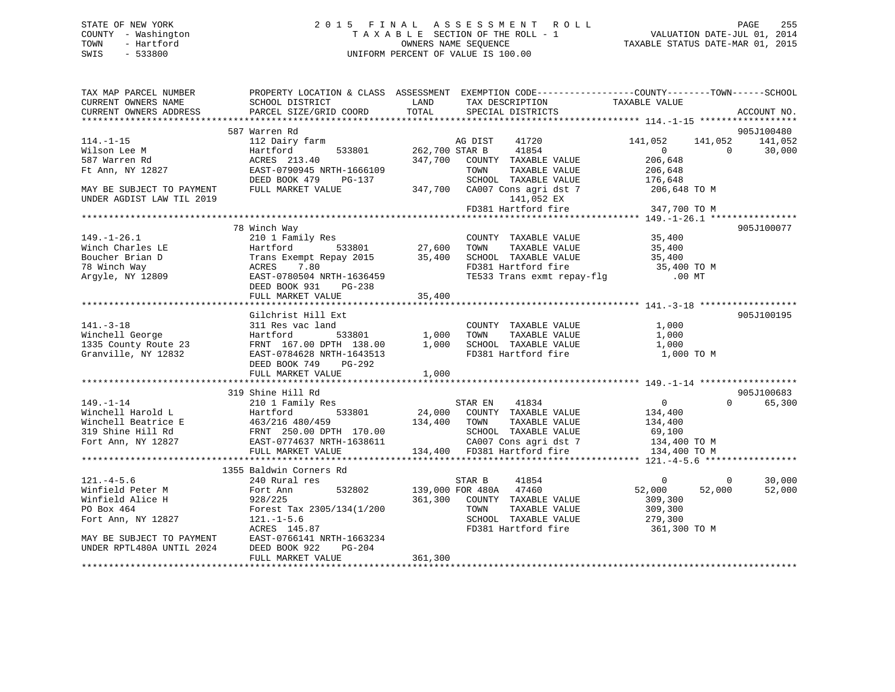# STATE OF NEW YORK 2 0 1 5 F I N A L A S S E S S M E N T R O L L PAGE 255 COUNTY - Washington T A X A B L E SECTION OF THE ROLL - 1 VALUATION DATE-JUL 01, 2014 TOWN - Hartford **TAXABLE STATUS DATE-MAR 01, 2015** OWNERS NAME SEQUENCE TAXABLE STATUS DATE-MAR 01, 2015 SWIS - 533800 UNIFORM PERCENT OF VALUE IS 100.00

| TAX MAP PARCEL NUMBER<br>CURRENT OWNERS NAME<br>CURRENT OWNERS ADDRESS | PROPERTY LOCATION & CLASS ASSESSMENT EXEMPTION CODE----------------COUNTY-------TOWN-----SCHOOL<br>SCHOOL DISTRICT<br>PARCEL SIZE/GRID COORD | LAND<br>TOTAL    | TAX DESCRIPTION<br>SPECIAL DISTRICTS                                                                             | TAXABLE VALUE                                    | ACCOUNT NO.        |
|------------------------------------------------------------------------|----------------------------------------------------------------------------------------------------------------------------------------------|------------------|------------------------------------------------------------------------------------------------------------------|--------------------------------------------------|--------------------|
|                                                                        |                                                                                                                                              |                  |                                                                                                                  |                                                  |                    |
|                                                                        | 587 Warren Rd                                                                                                                                |                  |                                                                                                                  |                                                  | 905J100480         |
| $114. - 1 - 15$                                                        | 112 Dairy farm                                                                                                                               | 262,700 STAR B   | AG DIST<br>41720                                                                                                 | 141,052<br>141,052<br>$\overline{0}$<br>$\Omega$ | 141,052            |
| Wilson Lee M<br>587 Warren Rd                                          | Hartford<br>533801<br>ACRES 213.40                                                                                                           |                  | 41854<br>347,700 COUNTY TAXABLE VALUE                                                                            | 206,648                                          | 30,000             |
| Ft Ann, NY 12827                                                       | EAST-0790945 NRTH-1666109                                                                                                                    |                  | TOWN<br>TAXABLE VALUE                                                                                            | 206,648                                          |                    |
|                                                                        | DEED BOOK 479<br>PG-137                                                                                                                      |                  | SCHOOL TAXABLE VALUE                                                                                             | 176,648                                          |                    |
| MAY BE SUBJECT TO PAYMENT<br>UNDER AGDIST LAW TIL 2019                 | FULL MARKET VALUE                                                                                                                            |                  | 347,700 CA007 Cons agri dst 7<br>141,052 EX                                                                      | 206,648 TO M                                     |                    |
|                                                                        |                                                                                                                                              |                  | FD381 Hartford fire                                                                                              | 347,700 TO M                                     |                    |
|                                                                        |                                                                                                                                              |                  |                                                                                                                  |                                                  |                    |
|                                                                        | 78 Winch Way                                                                                                                                 |                  |                                                                                                                  |                                                  | 905J100077         |
| $149. - 1 - 26.1$                                                      | 210 1 Family Res                                                                                                                             |                  | COUNTY TAXABLE VALUE                                                                                             | 35,400                                           |                    |
| Winch Charles LE                                                       | Hartford<br>533801                                                                                                                           |                  | TOWN<br>TAXABLE VALUE                                                                                            | 35,400                                           |                    |
| Boucher Brian D                                                        | Trans Exempt Repay 2015                                                                                                                      | 27,600<br>35,400 | SCHOOL TAXABLE VALUE                                                                                             | 35,400                                           |                    |
| 78 Winch Way                                                           | 7.80<br>ACRES                                                                                                                                |                  |                                                                                                                  |                                                  |                    |
| Argyle, NY 12809                                                       | ACRES 7.80<br>EAST-0780504 NRTH-1636459                                                                                                      |                  | FD381 Hartford fire 35,400 TO M<br>TE533 Trans exmt repay-flg .00 MT                                             |                                                  |                    |
|                                                                        | DEED BOOK 931<br>PG-238                                                                                                                      |                  |                                                                                                                  |                                                  |                    |
|                                                                        |                                                                                                                                              |                  |                                                                                                                  |                                                  |                    |
|                                                                        |                                                                                                                                              |                  |                                                                                                                  |                                                  |                    |
|                                                                        | Gilchrist Hill Ext                                                                                                                           |                  |                                                                                                                  |                                                  | 905J100195         |
| $141. - 3 - 18$                                                        | 311 Res vac land                                                                                                                             |                  | COUNTY TAXABLE VALUE                                                                                             | 1,000                                            |                    |
| Winchell George                                                        | 533801<br>Hartford                                                                                                                           | 1,000            | TAXABLE VALUE<br>TOWN                                                                                            | 1,000                                            |                    |
| 1335 County Route 23                                                   | FRNT 167.00 DPTH 138.00 1,000                                                                                                                |                  | SCHOOL TAXABLE VALUE                                                                                             | 1,000                                            |                    |
| Granville, NY 12832                                                    | EAST-0784628 NRTH-1643513                                                                                                                    |                  | FD381 Hartford fire                                                                                              | 1,000 TO M                                       |                    |
|                                                                        | DEED BOOK 749<br>PG-292                                                                                                                      |                  |                                                                                                                  |                                                  |                    |
|                                                                        | FULL MARKET VALUE                                                                                                                            | 1,000            |                                                                                                                  |                                                  |                    |
|                                                                        |                                                                                                                                              |                  |                                                                                                                  |                                                  |                    |
|                                                                        | 319 Shine Hill Rd                                                                                                                            |                  |                                                                                                                  |                                                  | 905J100683         |
| $149. - 1 - 14$                                                        | 210 1 Family Res                                                                                                                             |                  | STAR EN<br>41834                                                                                                 | $\overline{0}$                                   | $\Omega$<br>65,300 |
| Winchell Harold L                                                      | 533801<br>Hartford                                                                                                                           |                  | $24,000$ COUNTY TAXABLE VALUE                                                                                    | 134,400                                          |                    |
| Winchell Beatrice E                                                    |                                                                                                                                              |                  | TAXABLE VALUE                                                                                                    | 134,400                                          |                    |
| 319 Shine Hill Rd                                                      | 463/216 480/459 134,400 TOWN<br>FRNT 250.00 DPTH 170.00 5CHOOI<br>EAST-0774637 NRTH-1638611 CA007                                            |                  | SCHOOL TAXABLE VALUE                                                                                             | 69,100                                           |                    |
| Fort Ann, NY 12827                                                     |                                                                                                                                              |                  | $\text{CA007}$ Cons agri dst 7 $\text{C400T}$ ON $\text{F}$ $\text{D34}$ 400 TO M<br>134,400 FD381 Hartford fire |                                                  |                    |
|                                                                        | FULL MARKET VALUE                                                                                                                            |                  |                                                                                                                  | 134,400 TO M                                     |                    |
|                                                                        | 1355 Baldwin Corners Rd                                                                                                                      |                  |                                                                                                                  |                                                  |                    |
| $121. -4 - 5.6$                                                        | 240 Rural res                                                                                                                                |                  | STAR B<br>41854                                                                                                  | $\overline{0}$<br>$\Omega$                       | 30,000             |
| Winfield Peter M                                                       | 532802<br>Fort Ann                                                                                                                           |                  | 139,000 FOR 480A 47460                                                                                           | 52,000<br>52,000                                 | 52,000             |
| Winfield Alice H                                                       | 928/225                                                                                                                                      | 361,300          | COUNTY TAXABLE VALUE                                                                                             | 309,300                                          |                    |
| PO Box 464                                                             | Forest Tax 2305/134(1/200                                                                                                                    |                  | TOWN<br>TAXABLE VALUE                                                                                            | 309,300                                          |                    |
| Fort Ann, NY 12827                                                     | $121. - 1 - 5.6$                                                                                                                             |                  | SCHOOL TAXABLE VALUE                                                                                             | 279,300                                          |                    |
|                                                                        | ACRES 145.87                                                                                                                                 |                  | FD381 Hartford fire                                                                                              | 361,300 TO M                                     |                    |
| MAY BE SUBJECT TO PAYMENT                                              | EAST-0766141 NRTH-1663234                                                                                                                    |                  |                                                                                                                  |                                                  |                    |
| UNDER RPTL480A UNTIL 2024                                              | $PG-204$<br>DEED BOOK 922                                                                                                                    |                  |                                                                                                                  |                                                  |                    |
|                                                                        | FULL MARKET VALUE                                                                                                                            | 361,300          |                                                                                                                  |                                                  |                    |
|                                                                        |                                                                                                                                              |                  |                                                                                                                  |                                                  |                    |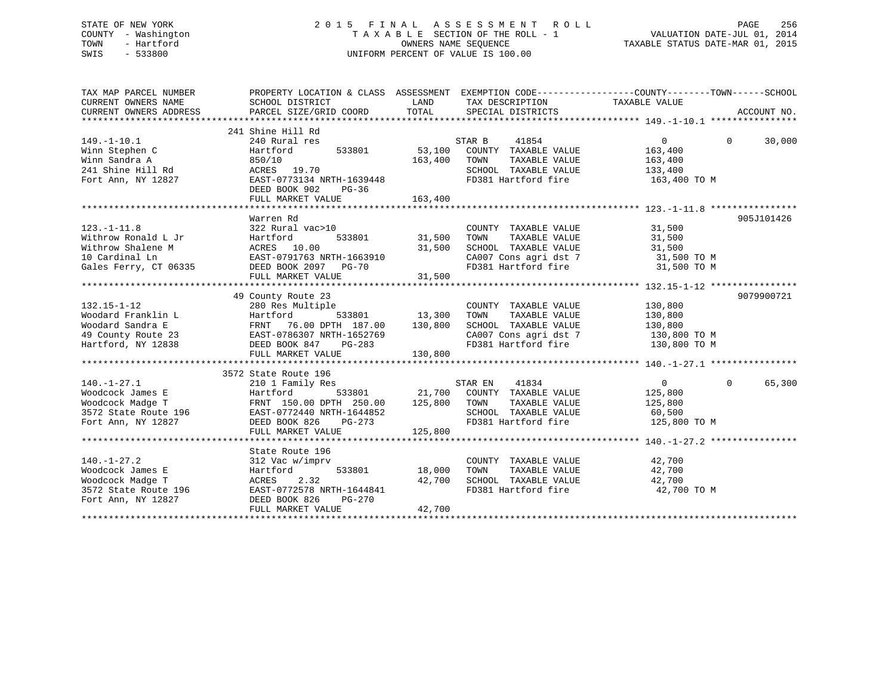# STATE OF NEW YORK 2 0 1 5 F I N A L A S S E S S M E N T R O L L PAGE 256 COUNTY - Washington T A X A B L E SECTION OF THE ROLL - 1 VALUATION DATE-JUL 01, 2014 TOWN - Hartford **TAXABLE STATUS DATE-MAR 01, 2015** OWNERS NAME SEQUENCE TAXABLE STATUS DATE-MAR 01, 2015 SWIS - 533800 UNIFORM PERCENT OF VALUE IS 100.00

| TAX MAP PARCEL NUMBER<br>CURRENT OWNERS ADDRESS                                                                                                                                                                             | PROPERTY LOCATION & CLASS ASSESSMENT                                                                                                                                 |                               | EXEMPTION CODE-----------------COUNTY-------TOWN------SCHOOL                                                                                                                  |                                                         |          |            |
|-----------------------------------------------------------------------------------------------------------------------------------------------------------------------------------------------------------------------------|----------------------------------------------------------------------------------------------------------------------------------------------------------------------|-------------------------------|-------------------------------------------------------------------------------------------------------------------------------------------------------------------------------|---------------------------------------------------------|----------|------------|
| $149. - 1 - 10.1$<br>Winn Stephen C<br>Winn Sandra A<br>241 Shine Hill Rd<br>Fort Ann, NY 12827                                                                                                                             | 241 Shine Hill Rd<br>240 Rural res<br>533801 53,100<br>Hartford<br>850/10<br>ACRES 19.70<br>EAST-0773134 NRTH-1639448<br>DEED BOOK 902<br>PG-36<br>FULL MARKET VALUE | 163,400<br>163,400            | 41854<br>STAR B<br>COUNTY TAXABLE VALUE<br>TOWN<br>TAXABLE VALUE<br>SCHOOL TAXABLE VALUE<br>FD381 Hartford fire 163,400 TO M                                                  | $\Omega$<br>163,400<br>163,400<br>133,400               | $\Omega$ | 30,000     |
| $123. - 1 - 11.8$<br>Withrow Ronald L Jr<br>Withrow Shalene M<br>10 Cardinal Ln<br>Gales Ferry, CT 06335 DEED BOOK 2097 PG-70                                                                                               | Warren Rd<br>322 Rural vac>10<br>Hartford 533001<br>ACRES 10.00 31,500<br>EAST-0791763 NRTH-1663910 31,500<br>PERD ROOK 2097 PG-70 31 500<br>FULL MARKET VALUE       | 31,500                        | COUNTY TAXABLE VALUE 31,500<br>TOWN<br>TAXABLE VALUE<br>SCHOOL TAXABLE VALUE 31,500<br>CA007 Cons agri dst 7 31,500 TO M<br>FD381 Hartford fire 31,500 TO M                   | 31,500                                                  |          | 905J101426 |
|                                                                                                                                                                                                                             | 49 County Route 23                                                                                                                                                   |                               |                                                                                                                                                                               |                                                         |          | 9079900721 |
| $132.15 - 1 - 12$<br>132.13-1-12<br>Woodard Franklin L Hartford 533801 13,300<br>Woodard Sandra E FRNT 76.00 DPTH 187.00 130,800<br>49 County Route 23 EAST-0786307 NRTH-1652769<br>Hartford, NY 12838 DEED BOOK 847 PG-283 | 280 Res Multiple<br>FULL MARKET VALUE                                                                                                                                | -<br>533801 13,300<br>130,800 | COUNTY TAXABLE VALUE<br>TOWN<br>TAXABLE VALUE<br>SCHOOL TAXABLE VALUE<br>CA007 Cons agri dst 7 130,800 TO M<br>FD381 Hartford fire 130,800 TO M                               | 130,800<br>130,800<br>130,800                           |          |            |
|                                                                                                                                                                                                                             | 3572 State Route 196                                                                                                                                                 |                               |                                                                                                                                                                               |                                                         |          |            |
| $140. - 1 - 27.1$<br>Woodcock James E<br>Woodcock Madge T<br>3572 State Route 196 EAST-0772440 NRTH-1644852<br>Fort Ann, NY 12827                                                                                           | 210 1 Family Res<br>210 1 ram11y Res<br>Hartford 533801 21,700 COUNT<br>FRNT 150.00 DPTH 250.00 125,800 TOWN<br>DEED BOOK 826<br>PG-273<br>FULL MARKET VALUE         | 125,800                       | STAR EN<br>41834<br>533801 21,700 COUNTY TAXABLE VALUE<br>TAXABLE VALUE<br>SCHOOL TAXABLE VALUE 60,500<br>FD381 Hartford fire                                                 | $0 \qquad \qquad$<br>125,800<br>125,800<br>125,800 TO M | $\Omega$ | 65,300     |
|                                                                                                                                                                                                                             |                                                                                                                                                                      |                               |                                                                                                                                                                               |                                                         |          |            |
| $140. - 1 - 27.2$<br>Woodcock James E<br>Woodcock Madge T<br>3572 State Route 196<br>Fort Ann, NY 12827                                                                                                                     | State Route 196<br>312 Vac w/imprv<br>533801<br>Hartford<br>ACRES 2.32<br>EAST-0772578 NRTH-1644841<br>DEED BOOK 826<br>PG-270<br>FULL MARKET VALUE                  | 18,000<br>42,700<br>42,700    | COUNTY TAXABLE VALUE<br>TOWN TAXABLE VALUE $\begin{array}{ccc} 42,700 \\ \text{SCH OOL} & \text{TAXABLE VALUE} \\ \text{FD381 } \text{Hartford fire} & 42,700 \\ \end{array}$ | 42,700<br>42,700                                        |          |            |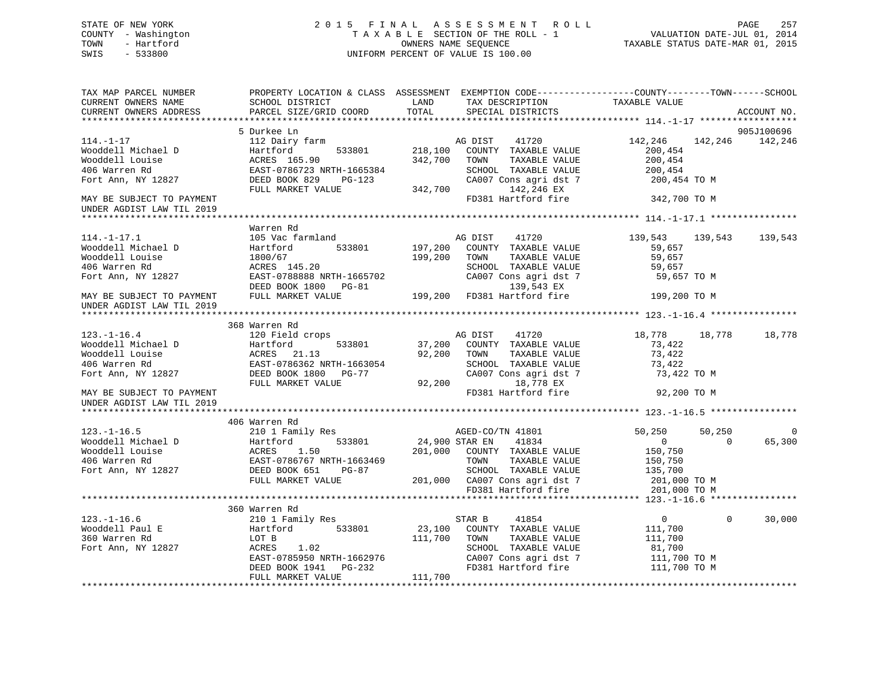# STATE OF NEW YORK 2 0 1 5 F I N A L A S S E S S M E N T R O L L PAGE 257 COUNTY - Washington T A X A B L E SECTION OF THE ROLL - 1 VALUATION DATE-JUL 01, 2014 TOWN - Hartford **TAXABLE STATUS DATE-MAR 01, 2015** OWNERS NAME SEQUENCE TAXABLE STATUS DATE-MAR 01, 2015 SWIS - 533800 UNIFORM PERCENT OF VALUE IS 100.00

| TAX MAP PARCEL NUMBER<br>CURRENT OWNERS NAME<br>CURRENT OWNERS ADDRESS                                                                                     | PROPERTY LOCATION & CLASS ASSESSMENT EXEMPTION CODE----------------COUNTY-------TOWN------SCHOOL<br><b>LAND</b><br>SCHOOL DISTRICT<br>PARCEL SIZE/GRID COORD | TOTAL                       | SPECIAL DISTRICTS                   |               | TAX DESCRIPTION TAXABLE VALUE      |                | ACCOUNT NO.     |
|------------------------------------------------------------------------------------------------------------------------------------------------------------|--------------------------------------------------------------------------------------------------------------------------------------------------------------|-----------------------------|-------------------------------------|---------------|------------------------------------|----------------|-----------------|
|                                                                                                                                                            |                                                                                                                                                              |                             |                                     |               |                                    |                |                 |
|                                                                                                                                                            | 5 Durkee Ln                                                                                                                                                  |                             |                                     |               |                                    |                | 905J100696      |
| $114. - 1 - 17$                                                                                                                                            | 112 Dairy farm                                                                                                                                               |                             | AG DIST 41720                       |               | 142,246                            |                | 142,246 142,246 |
| Wooddell Michael D                                                                                                                                         | Hartford                                                                                                                                                     |                             | 533801 218,100 COUNTY TAXABLE VALUE |               | 200,454                            |                |                 |
| Wooddell Louise                                                                                                                                            | ACRES 165.90                                                                                                                                                 | 342,700                     | TOWN                                | TAXABLE VALUE | 200,454                            |                |                 |
| 406 Warren Rd                                                                                                                                              | EAST-0786723 NRTH-1665384                                                                                                                                    |                             | SCHOOL TAXABLE VALUE                |               | 200,454                            |                |                 |
| Fort Ann, NY 12827                                                                                                                                         | DEED BOOK 829                                                                                                                                                |                             |                                     |               | CA007 Cons agri dst 7 200,454 TO M |                |                 |
|                                                                                                                                                            | PG-123 CA00<br>LUE 342,700<br>FULL MARKET VALUE                                                                                                              |                             | 142,246 EX                          |               |                                    |                |                 |
| MAY BE SUBJECT TO PAYMENT                                                                                                                                  |                                                                                                                                                              |                             | FD381 Hartford fire                 |               | 342,700 TO M                       |                |                 |
| UNDER AGDIST LAW TIL 2019                                                                                                                                  |                                                                                                                                                              |                             |                                     |               |                                    |                |                 |
|                                                                                                                                                            |                                                                                                                                                              |                             |                                     |               |                                    |                |                 |
|                                                                                                                                                            | Warren Rd                                                                                                                                                    |                             |                                     |               |                                    |                |                 |
| $114. - 1 - 17.1$                                                                                                                                          | 105 Vac farmland                                                                                                                                             |                             | AG DIST 41720                       |               | 139,543                            | 139,543        | 139,543         |
| Wooddell Michael D                                                                                                                                         | Hartford                                                                                                                                                     |                             | 533801 197,200 COUNTY TAXABLE VALUE |               | 59,657                             |                |                 |
| Wooddell Louise                                                                                                                                            | 1800/67                                                                                                                                                      | 199,200 TOWN                |                                     | TAXABLE VALUE | 59,657                             |                |                 |
| 406 Warren Rd                                                                                                                                              | ACRES 145.20                                                                                                                                                 |                             | SCHOOL TAXABLE VALUE                |               | 59,657                             |                |                 |
| Fort Ann, NY 12827                                                                                                                                         | EAST-0788888 NRTH-1665702                                                                                                                                    |                             | CA007 Cons agri dst 7               |               | 59,657 TO M                        |                |                 |
|                                                                                                                                                            |                                                                                                                                                              |                             |                                     | 139,543 EX    |                                    |                |                 |
| MAY BE SUBJECT TO PAYMENT                                                                                                                                  | EAST-0788888 NRTH-1665702 CA007 Cons agri dst<br>DEED BOOK 1800 PG-81 199,200 FD381 Hartford fire<br>FULL MARKET VALUE 199,200 FD381 Hartford fire           |                             |                                     |               | 199,200 TO M                       |                |                 |
| UNDER AGDIST LAW TIL 2019                                                                                                                                  |                                                                                                                                                              |                             |                                     |               |                                    |                |                 |
|                                                                                                                                                            |                                                                                                                                                              |                             |                                     |               |                                    |                |                 |
|                                                                                                                                                            | 368 Warren Rd                                                                                                                                                |                             |                                     |               |                                    |                |                 |
|                                                                                                                                                            |                                                                                                                                                              |                             | AG DIST<br>41720                    |               | 18,778 18,778                      |                | 18,778          |
|                                                                                                                                                            |                                                                                                                                                              |                             | 37,200 COUNTY TAXABLE VALUE         |               | 73,422                             |                |                 |
| 123.-1-16.4<br>Wooddell Michael D<br>Wooddell Louise (1.13 EAST-0786362 NRTH-1663054<br>406 Warren Rd<br>2006 2008 NRTH-1663054                            |                                                                                                                                                              |                             |                                     |               |                                    |                |                 |
|                                                                                                                                                            |                                                                                                                                                              |                             | 92,200 TOWN                         | TAXABLE VALUE | 73,422                             |                |                 |
|                                                                                                                                                            |                                                                                                                                                              |                             | SCHOOL TAXABLE VALUE                |               | 73,422                             |                |                 |
| Fort Ann, NY 12827                                                                                                                                         | DEED BOOK 1800 PG-77                                                                                                                                         |                             | CA007 Cons agri dst 7               |               | 73,422 TO M                        |                |                 |
|                                                                                                                                                            | FULL MARKET VALUE                                                                                                                                            | SCHOOL<br>CA007 C<br>92,200 |                                     | 18,778 EX     |                                    |                |                 |
| MAY BE SUBJECT TO PAYMENT                                                                                                                                  |                                                                                                                                                              |                             | FD381 Hartford fire                 |               | 92,200 TO M                        |                |                 |
| UNDER AGDIST LAW TIL 2019                                                                                                                                  |                                                                                                                                                              |                             |                                     |               |                                    |                |                 |
|                                                                                                                                                            |                                                                                                                                                              |                             |                                     |               |                                    |                |                 |
|                                                                                                                                                            | 406 Warren Rd                                                                                                                                                |                             |                                     |               |                                    |                |                 |
|                                                                                                                                                            | 210 1 Family Res                                                                                                                                             |                             | AGED-CO/TN 41801                    |               | 50,250                             | 50,250         | $\overline{0}$  |
|                                                                                                                                                            | 533801 24,900 STAR EN                                                                                                                                        |                             | 41834                               |               | $\overline{0}$                     | $\overline{0}$ | 65,300          |
|                                                                                                                                                            |                                                                                                                                                              |                             | 201,000 COUNTY TAXABLE VALUE        |               | 150,750                            |                |                 |
|                                                                                                                                                            |                                                                                                                                                              |                             | TOWN                                | TAXABLE VALUE | 150,750                            |                |                 |
| 123.-1-16.5<br>Wooddell Michael D<br>Wooddell Louise Bartford 533801<br>406 Warren Rd<br>Fort Ann, NY 12827<br>Fort Ann, NY 12827<br>EED BOOK 651<br>PG-87 |                                                                                                                                                              |                             | SCHOOL TAXABLE VALUE                |               | 135,700                            |                |                 |
|                                                                                                                                                            | FULL MARKET VALUE                                                                                                                                            |                             | 201,000 CA007 Cons agri dst 7       |               | 201,000 TO M                       |                |                 |
|                                                                                                                                                            |                                                                                                                                                              |                             | FD381 Hartford fire                 |               | 201,000 TO M                       |                |                 |
|                                                                                                                                                            |                                                                                                                                                              |                             |                                     |               |                                    |                |                 |
|                                                                                                                                                            | 360 Warren Rd                                                                                                                                                |                             |                                     |               |                                    |                |                 |
| $123. - 1 - 16.6$                                                                                                                                          | 210 1 Family Res                                                                                                                                             |                             | STAR B<br>41854                     |               | $\overline{0}$                     | $\mathbf{0}$   | 30,000          |
|                                                                                                                                                            | 533801<br>Hartford                                                                                                                                           |                             | 23,100 COUNTY TAXABLE VALUE         |               | 111,700                            |                |                 |
| 123.-1-10.0<br>Wooddell Paul E                                                                                                                             | LOT B                                                                                                                                                        | 111,700 TOWN                |                                     | TAXABLE VALUE | 111,700                            |                |                 |
| Fort Ann, NY 12827                                                                                                                                         | 1.02<br>ACRES                                                                                                                                                |                             | SCHOOL TAXABLE VALUE                |               | 81,700                             |                |                 |
|                                                                                                                                                            |                                                                                                                                                              |                             | CA007 Cons agri dst 7               |               | 111,700 TO M                       |                |                 |
|                                                                                                                                                            | DEED BOOK 1941 PG-232                                                                                                                                        |                             | FD381 Hartford fire                 |               | 111,700 TO M                       |                |                 |
|                                                                                                                                                            | FULL MARKET VALUE                                                                                                                                            | 111,700                     |                                     |               |                                    |                |                 |
|                                                                                                                                                            |                                                                                                                                                              |                             |                                     |               |                                    |                |                 |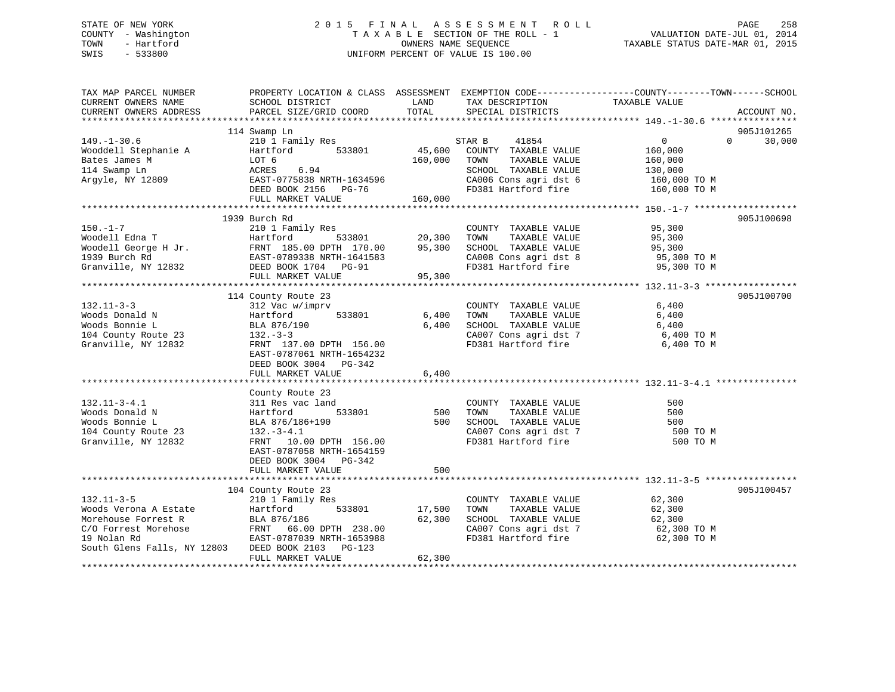# STATE OF NEW YORK 2 0 1 5 F I N A L A S S E S S M E N T R O L L PAGE 258 COUNTY - Washington T A X A B L E SECTION OF THE ROLL - 1 VALUATION DATE-JUL 01, 2014 TOWN - Hartford **TAXABLE STATUS DATE-MAR 01, 2015** OWNERS NAME SEQUENCE TAXABLE STATUS DATE-MAR 01, 2015 SWIS - 533800 UNIFORM PERCENT OF VALUE IS 100.00

| TAX MAP PARCEL NUMBER<br>CURRENT OWNERS NAME                                                                                                     | PROPERTY LOCATION & CLASS ASSESSMENT<br>SCHOOL DISTRICT                                                                                                                                            | LAND                         | EXEMPTION CODE-----------------COUNTY-------TOWN------SCHOOL<br>TAX DESCRIPTION                                                          | TAXABLE VALUE                                                                   |                                  |
|--------------------------------------------------------------------------------------------------------------------------------------------------|----------------------------------------------------------------------------------------------------------------------------------------------------------------------------------------------------|------------------------------|------------------------------------------------------------------------------------------------------------------------------------------|---------------------------------------------------------------------------------|----------------------------------|
| CURRENT OWNERS ADDRESS                                                                                                                           | PARCEL SIZE/GRID COORD                                                                                                                                                                             | TOTAL                        | SPECIAL DISTRICTS                                                                                                                        |                                                                                 | ACCOUNT NO.                      |
|                                                                                                                                                  |                                                                                                                                                                                                    |                              |                                                                                                                                          |                                                                                 |                                  |
| $149. - 1 - 30.6$<br>Wooddell Stephanie A<br>Bates James M<br>114 Swamp Ln<br>Argyle, NY 12809                                                   | 114 Swamp Ln<br>210 1 Family Res<br>Hartford<br>533801<br>LOT 6<br>ACRES<br>6.94<br>EAST-0775838 NRTH-1634596<br>DEED BOOK 2156 PG-76<br>FULL MARKET VALUE                                         | 45,600<br>160,000<br>160,000 | STAR B<br>41854<br>COUNTY TAXABLE VALUE<br>TAXABLE VALUE<br>TOWN<br>SCHOOL TAXABLE VALUE<br>CA006 Cons agri dst 6<br>FD381 Hartford fire | $\overline{0}$<br>160,000<br>160,000<br>130,000<br>160,000 TO M<br>160,000 TO M | 905J101265<br>30,000<br>$\Omega$ |
|                                                                                                                                                  |                                                                                                                                                                                                    |                              |                                                                                                                                          |                                                                                 |                                  |
| $150. - 1 - 7$<br>Woodell Edna T<br>Woodell George H Jr.<br>1939 Burch Rd<br>Granville, NY 12832                                                 | 1939 Burch Rd<br>210 1 Family Res<br>533801<br>Hartford<br>FRNT 185.00 DPTH 170.00<br>EAST-0789338 NRTH-1641583<br>DEED BOOK 1704 PG-91<br>FULL MARKET VALUE                                       | 20,300<br>95,300<br>95,300   | COUNTY TAXABLE VALUE<br>TAXABLE VALUE<br>TOWN<br>SCHOOL TAXABLE VALUE<br>CA008 Cons agri dst 8<br>FD381 Hartford fire                    | 95,300<br>95,300<br>95,300<br>95,300 TO M<br>95,300 TO M                        | 905J100698                       |
|                                                                                                                                                  |                                                                                                                                                                                                    |                              |                                                                                                                                          |                                                                                 | 905J100700                       |
| $132.11 - 3 - 3$<br>Woods Donald N<br>Woods Bonnie L<br>104 County Route 23<br>Granville, NY 12832                                               | 114 County Route 23<br>312 Vac w/imprv<br>533801<br>Hartford<br>BLA 876/190<br>$132 - 3 - 3$<br>FRNT 137.00 DPTH 156.00<br>EAST-0787061 NRTH-1654232<br>DEED BOOK 3004 PG-342<br>FULL MARKET VALUE | 6,400<br>6,400<br>6,400      | COUNTY TAXABLE VALUE<br>TOWN<br>TAXABLE VALUE<br>SCHOOL TAXABLE VALUE<br>CA007 Cons agri dst 7<br>FD381 Hartford fire                    | 6,400<br>6,400<br>6,400<br>6,400 TO M<br>6,400 TO M                             |                                  |
|                                                                                                                                                  | County Route 23                                                                                                                                                                                    |                              |                                                                                                                                          |                                                                                 |                                  |
| $132.11 - 3 - 4.1$<br>Woods Donald N<br>Woods Bonnie L<br>104 County Route 23<br>Granville, NY 12832                                             | 311 Res vac land<br>533801<br>Hartford<br>BLA 876/186+190<br>$132.-3-4.1$<br>FRNT 10.00 DPTH 156.00<br>EAST-0787058 NRTH-1654159<br>DEED BOOK 3004 PG-342                                          | 500<br>500                   | COUNTY TAXABLE VALUE<br>TAXABLE VALUE<br>TOWN<br>SCHOOL TAXABLE VALUE<br>CA007 Cons agri dst 7<br>FD381 Hartford fire                    | 500<br>500<br>500<br>500 TO M<br>500 TO M                                       |                                  |
|                                                                                                                                                  | FULL MARKET VALUE                                                                                                                                                                                  | 500                          |                                                                                                                                          |                                                                                 |                                  |
| $132.11 - 3 - 5$<br>Woods Verona A Estate<br>Morehouse Forrest R<br>rehose<br>C/O Forrest Morehose<br>19 Nolan Rd<br>South Glens Falls, NY 12803 | 104 County Route 23<br>210 1 Family Res<br>Hartford<br>533801<br>BLA 876/186<br>FRNT 66.00 DPTH 238.00<br>EAST-0787039 NRTH-1653988<br>DEED BOOK 2103<br>$PG-123$                                  | 17,500<br>62,300             | COUNTY TAXABLE VALUE<br>TOWN<br>TAXABLE VALUE<br>SCHOOL TAXABLE VALUE<br>CA007 Cons agri dst 7<br>FD381 Hartford fire                    | 62,300<br>62,300<br>62,300<br>62,300 ТО М<br>62,300 TO M                        | 905J100457                       |
|                                                                                                                                                  | FULL MARKET VALUE                                                                                                                                                                                  | 62,300                       |                                                                                                                                          |                                                                                 |                                  |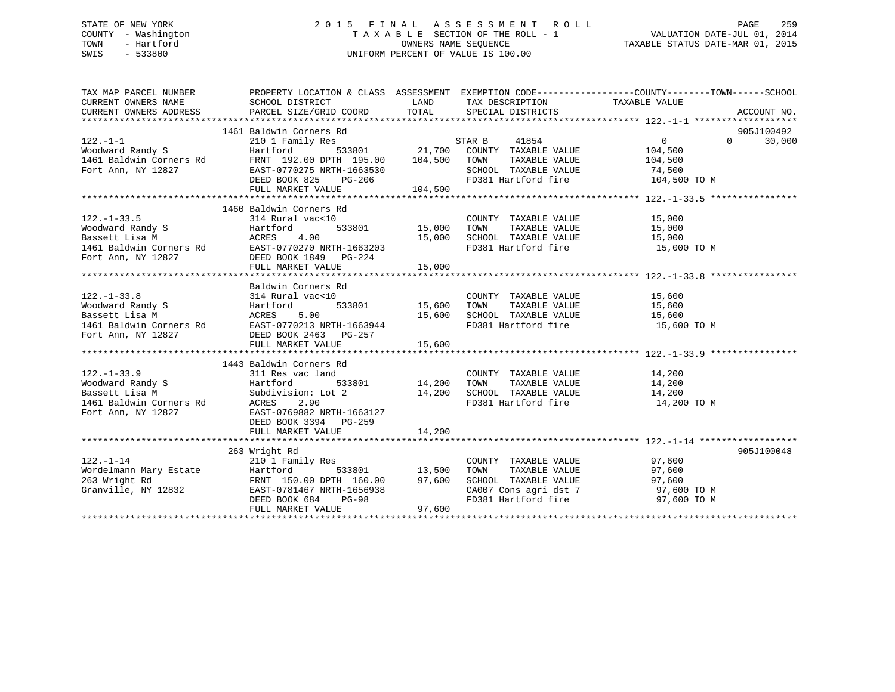# STATE OF NEW YORK 2 0 1 5 F I N A L A S S E S S M E N T R O L L PAGE 259 COUNTY - Washington T A X A B L E SECTION OF THE ROLL - 1 VALUATION DATE-JUL 01, 2014 TOWN - Hartford **TAXABLE STATUS DATE-MAR 01, 2015** OWNERS NAME SEQUENCE TAXABLE STATUS DATE-MAR 01, 2015 SWIS - 533800 UNIFORM PERCENT OF VALUE IS 100.00

|                                                                                                                                                                                                                                       | PROPERTY LOCATION & CLASS ASSESSMENT EXEMPTION CODE----------------COUNTY-------TOWN------SCHOOL |              |                                                                  |                                 |                          |
|---------------------------------------------------------------------------------------------------------------------------------------------------------------------------------------------------------------------------------------|--------------------------------------------------------------------------------------------------|--------------|------------------------------------------------------------------|---------------------------------|--------------------------|
|                                                                                                                                                                                                                                       |                                                                                                  |              | LAND TAX DESCRIPTION TAXABLE VALUE COORD TOTAL SPECIAL DISTRICTS |                                 |                          |
| CURRENT OWNERS ADDRESS                                                                                                                                                                                                                | PARCEL SIZE/GRID COORD TOTAL SPECIAL DISTRICTS                                                   |              |                                                                  |                                 | ACCOUNT NO.              |
|                                                                                                                                                                                                                                       | 1461 Baldwin Corners Rd                                                                          |              |                                                                  |                                 | 905J100492               |
|                                                                                                                                                                                                                                       |                                                                                                  |              |                                                                  |                                 | $\overline{0}$<br>30,000 |
|                                                                                                                                                                                                                                       |                                                                                                  |              |                                                                  |                                 |                          |
|                                                                                                                                                                                                                                       |                                                                                                  |              |                                                                  |                                 |                          |
|                                                                                                                                                                                                                                       |                                                                                                  |              |                                                                  |                                 |                          |
|                                                                                                                                                                                                                                       |                                                                                                  |              |                                                                  |                                 |                          |
|                                                                                                                                                                                                                                       |                                                                                                  |              |                                                                  |                                 |                          |
|                                                                                                                                                                                                                                       |                                                                                                  |              |                                                                  |                                 |                          |
|                                                                                                                                                                                                                                       | 1460 Baldwin Corners Rd                                                                          |              |                                                                  |                                 |                          |
| $122. - 1 - 33.5$                                                                                                                                                                                                                     | 314 Rural vac<10                                                                                 | $\mathbf{r}$ | COUNTY TAXABLE VALUE 15,000                                      |                                 |                          |
|                                                                                                                                                                                                                                       |                                                                                                  |              | 533801 15,000 TOWN TAXABLE VALUE 15,000                          |                                 |                          |
|                                                                                                                                                                                                                                       |                                                                                                  |              |                                                                  |                                 |                          |
| Accress the main value of the Manuford and Manuford and the main of the main of the main of the main of the main of the main of the main of the main of the main of the main of the main of the main of the main of the main o        |                                                                                                  |              |                                                                  |                                 |                          |
|                                                                                                                                                                                                                                       |                                                                                                  |              |                                                                  |                                 |                          |
|                                                                                                                                                                                                                                       |                                                                                                  |              |                                                                  |                                 |                          |
|                                                                                                                                                                                                                                       |                                                                                                  |              |                                                                  |                                 |                          |
|                                                                                                                                                                                                                                       | Baldwin Corners Rd                                                                               |              |                                                                  |                                 |                          |
|                                                                                                                                                                                                                                       |                                                                                                  |              |                                                                  |                                 |                          |
|                                                                                                                                                                                                                                       |                                                                                                  |              |                                                                  |                                 |                          |
|                                                                                                                                                                                                                                       |                                                                                                  |              |                                                                  |                                 |                          |
|                                                                                                                                                                                                                                       |                                                                                                  |              | FD381 Hartford fire 15,600 TO M                                  |                                 |                          |
|                                                                                                                                                                                                                                       |                                                                                                  |              |                                                                  |                                 |                          |
|                                                                                                                                                                                                                                       |                                                                                                  | 15,600       |                                                                  |                                 |                          |
|                                                                                                                                                                                                                                       |                                                                                                  |              |                                                                  |                                 |                          |
|                                                                                                                                                                                                                                       | 1443 Baldwin Corners Rd                                                                          |              |                                                                  |                                 |                          |
| $122. - 1 - 33.9$                                                                                                                                                                                                                     | 311 Res vac land                                                                                 |              | COUNTY TAXABLE VALUE 14,200                                      |                                 |                          |
|                                                                                                                                                                                                                                       | 533801 14,200                                                                                    |              | TOWN<br>TAXABLE VALUE 14,200<br>L TAXABLE VALUE 14,200           |                                 |                          |
|                                                                                                                                                                                                                                       |                                                                                                  | t 2 $14,200$ | SCHOOL TAXABLE VALUE                                             | FD381 Hartford fire 14,200 TO M |                          |
| Moodward Randy S<br>Bassett Lisa M<br>1461 Baldwin Corners Rd<br>1461 Baldwin Corners Rd<br>1461 Baldwin Corners Rd<br>2.90<br>10007 PAST-0769882 NRTH-1                                                                              |                                                                                                  |              |                                                                  |                                 |                          |
| Fort Ann, NY 12827 EAST-0769882 NRTH-1663127                                                                                                                                                                                          | DEED BOOK 3394 PG-259                                                                            |              |                                                                  |                                 |                          |
|                                                                                                                                                                                                                                       | FULL MARKET VALUE                                                                                | 14,200       |                                                                  |                                 |                          |
|                                                                                                                                                                                                                                       |                                                                                                  |              |                                                                  |                                 |                          |
|                                                                                                                                                                                                                                       | 263 Wright Rd                                                                                    |              |                                                                  |                                 | 905J100048               |
|                                                                                                                                                                                                                                       |                                                                                                  |              |                                                                  |                                 |                          |
|                                                                                                                                                                                                                                       |                                                                                                  |              |                                                                  |                                 |                          |
|                                                                                                                                                                                                                                       |                                                                                                  |              |                                                                  |                                 |                          |
|                                                                                                                                                                                                                                       |                                                                                                  |              |                                                                  |                                 |                          |
|                                                                                                                                                                                                                                       |                                                                                                  |              |                                                                  |                                 |                          |
| 122.-1-14<br>Wordelmann Mary Estate 20.9 Wildem Mary 2000 Hamily Res<br>263 Wright Rd FRNT 150.00 DPTH 160.00 97,600 SCHOOL TAXABLE VALUE<br>33801 13,500 TOWN TAXABLE VALUE 97,600<br>263 Wright Rd FRNT 150.00 DPTH 160.00 97,600 S |                                                                                                  |              |                                                                  |                                 |                          |
|                                                                                                                                                                                                                                       |                                                                                                  |              |                                                                  |                                 |                          |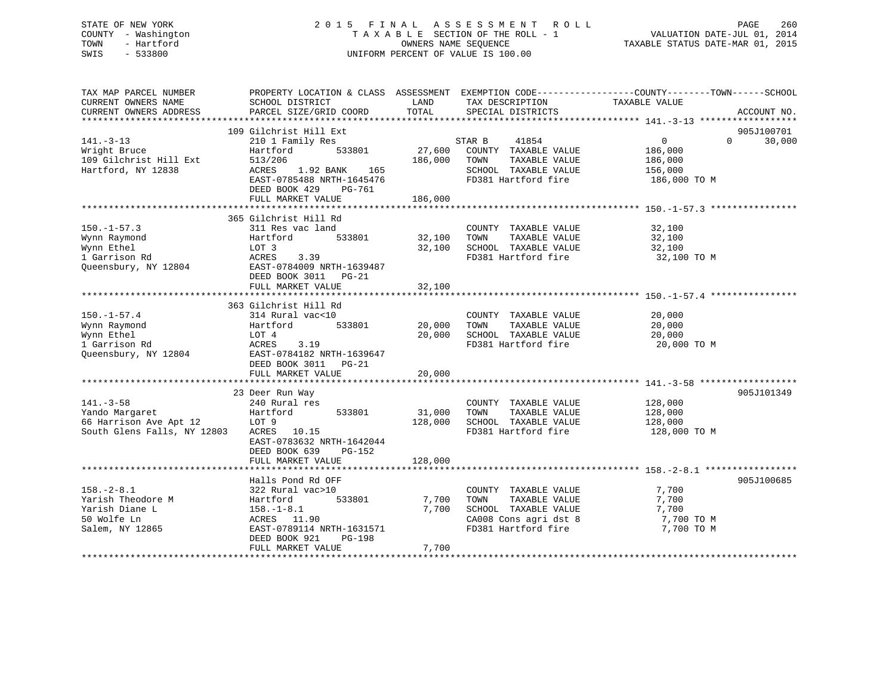# STATE OF NEW YORK 2 0 1 5 F I N A L A S S E S S M E N T R O L L PAGE 260 COUNTY - Washington T A X A B L E SECTION OF THE ROLL - 1 VALUATION DATE-JUL 01, 2014 TOWN - Hartford **TAXABLE STATUS DATE-MAR 01, 2015** OWNERS NAME SEQUENCE TAXABLE STATUS DATE-MAR 01, 2015 SWIS - 533800 UNIFORM PERCENT OF VALUE IS 100.00

| TAX MAP PARCEL NUMBER                  |                                    |                   |                                               | PROPERTY LOCATION & CLASS ASSESSMENT EXEMPTION CODE----------------COUNTY-------TOWN------SCHOOL |             |
|----------------------------------------|------------------------------------|-------------------|-----------------------------------------------|--------------------------------------------------------------------------------------------------|-------------|
| CURRENT OWNERS NAME                    | SCHOOL DISTRICT                    | LAND              | TAX DESCRIPTION                               | TAXABLE VALUE                                                                                    |             |
| CURRENT OWNERS ADDRESS                 | PARCEL SIZE/GRID COORD             | TOTAL             | SPECIAL DISTRICTS                             |                                                                                                  | ACCOUNT NO. |
|                                        |                                    |                   |                                               |                                                                                                  |             |
|                                        | 109 Gilchrist Hill Ext             |                   |                                               | $\Omega$                                                                                         | 905J100701  |
| $141. - 3 - 13$                        | 210 1 Family Res<br>533801         |                   | 41854<br>STAR B                               | $\overline{0}$                                                                                   | 30,000      |
| Wright Bruce<br>109 Gilchrist Hill Ext | Hartford<br>513/206                | 27,600<br>186,000 | COUNTY TAXABLE VALUE<br>TAXABLE VALUE<br>TOWN | 186,000                                                                                          |             |
|                                        | 1.92 BANK 165                      |                   | SCHOOL TAXABLE VALUE                          | 186,000                                                                                          |             |
| Hartford, NY 12838                     | ACRES<br>EAST-0785488 NRTH-1645476 |                   | FD381 Hartford fire                           | 156,000<br>186,000 TO M                                                                          |             |
|                                        | DEED BOOK 429<br>PG-761            |                   |                                               |                                                                                                  |             |
|                                        | FULL MARKET VALUE                  | 186,000           |                                               |                                                                                                  |             |
|                                        |                                    |                   |                                               |                                                                                                  |             |
|                                        | 365 Gilchrist Hill Rd              |                   |                                               |                                                                                                  |             |
| $150. - 1 - 57.3$                      | 311 Res vac land                   |                   | COUNTY TAXABLE VALUE                          | 32,100                                                                                           |             |
| Wynn Raymond                           | Hartford<br>533801                 | 32,100            | TOWN<br>TAXABLE VALUE                         | 32,100                                                                                           |             |
| Wynn Ethel                             | LOT 3                              | 32,100            | SCHOOL TAXABLE VALUE                          | 32,100                                                                                           |             |
| 1 Garrison Rd                          | ACRES<br>3.39                      |                   | FD381 Hartford fire                           | 32,100 TO M                                                                                      |             |
| Queensbury, NY 12804                   | EAST-0784009 NRTH-1639487          |                   |                                               |                                                                                                  |             |
|                                        | DEED BOOK 3011 PG-21               |                   |                                               |                                                                                                  |             |
|                                        | FULL MARKET VALUE                  | 32,100            |                                               |                                                                                                  |             |
|                                        |                                    |                   |                                               |                                                                                                  |             |
|                                        | 363 Gilchrist Hill Rd              |                   |                                               |                                                                                                  |             |
| $150. - 1 - 57.4$                      | 314 Rural vac<10                   |                   | COUNTY TAXABLE VALUE                          | 20,000                                                                                           |             |
| Wynn Raymond                           | 533801<br>Hartford                 | 20,000            | TOWN<br>TAXABLE VALUE                         | 20,000                                                                                           |             |
| Wynn Ethel                             | LOT 4                              | 20,000            | SCHOOL TAXABLE VALUE                          | 20,000                                                                                           |             |
| 1 Garrison Rd                          | ACRES<br>3.19                      |                   | FD381 Hartford fire                           | 20,000 TO M                                                                                      |             |
| Queensbury, NY 12804                   | EAST-0784182 NRTH-1639647          |                   |                                               |                                                                                                  |             |
|                                        | DEED BOOK 3011<br>PG-21            |                   |                                               |                                                                                                  |             |
|                                        | FULL MARKET VALUE                  | 20,000            |                                               |                                                                                                  |             |
|                                        |                                    |                   |                                               |                                                                                                  |             |
|                                        | 23 Deer Run Way                    |                   |                                               |                                                                                                  | 905J101349  |
| $141. - 3 - 58$                        | 240 Rural res                      |                   | COUNTY TAXABLE VALUE                          | 128,000                                                                                          |             |
| Yando Margaret                         | 533801<br>Hartford                 | 31,000            | TOWN<br>TAXABLE VALUE                         | 128,000                                                                                          |             |
| 66 Harrison Ave Apt 12                 | LOT 9                              | 128,000           | SCHOOL TAXABLE VALUE                          | 128,000                                                                                          |             |
| South Glens Falls, NY 12803            | ACRES 10.15                        |                   | FD381 Hartford fire                           | 128,000 TO M                                                                                     |             |
|                                        | EAST-0783632 NRTH-1642044          |                   |                                               |                                                                                                  |             |
|                                        | DEED BOOK 639<br>PG-152            |                   |                                               |                                                                                                  |             |
|                                        | FULL MARKET VALUE                  | 128,000           |                                               |                                                                                                  |             |
|                                        |                                    |                   |                                               |                                                                                                  |             |
|                                        | Halls Pond Rd OFF                  |                   |                                               |                                                                                                  | 905J100685  |
| $158. - 2 - 8.1$                       | 322 Rural vac>10                   |                   | COUNTY TAXABLE VALUE                          | 7,700                                                                                            |             |
| Yarish Theodore M                      | Hartford<br>533801                 | 7,700             | TAXABLE VALUE<br>TOWN                         | 7,700                                                                                            |             |
| Yarish Diane L                         | $158. - 1 - 8.1$                   | 7,700             | SCHOOL TAXABLE VALUE                          | 7,700                                                                                            |             |
| 50 Wolfe Ln                            | ACRES 11.90                        |                   | CA008 Cons agri dst 8                         | 7,700 TO M                                                                                       |             |
| Salem, NY 12865                        | EAST-0789114 NRTH-1631571          |                   | FD381 Hartford fire                           | 7,700 TO M                                                                                       |             |
|                                        | DEED BOOK 921<br>PG-198            |                   |                                               |                                                                                                  |             |
|                                        | FULL MARKET VALUE                  | 7,700             |                                               |                                                                                                  |             |
|                                        |                                    |                   |                                               |                                                                                                  |             |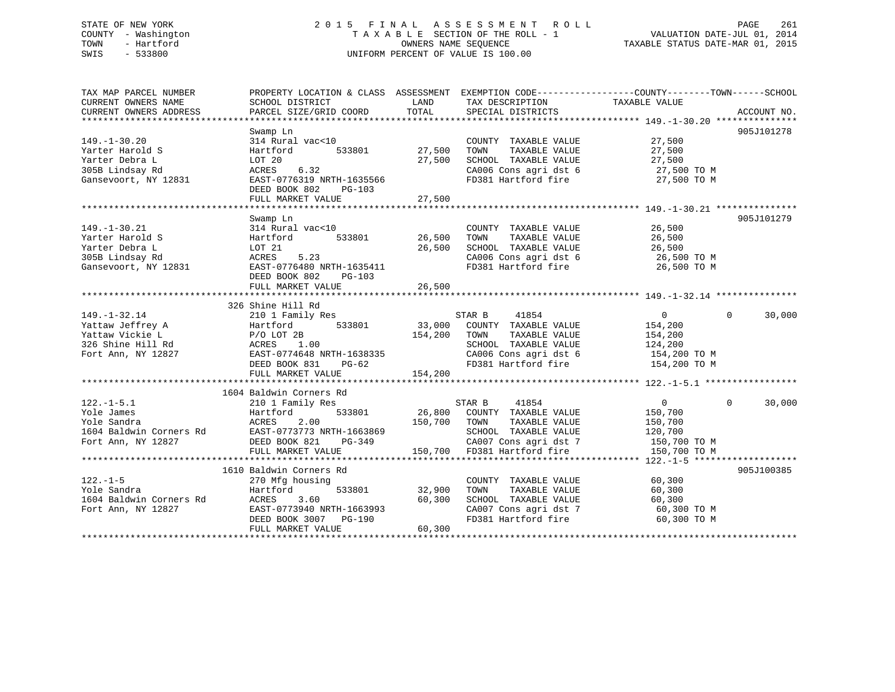# STATE OF NEW YORK 2 0 1 5 F I N A L A S S E S S M E N T R O L L PAGE 261 COUNTY - Washington T A X A B L E SECTION OF THE ROLL - 1 VALUATION DATE-JUL 01, 2014 TOWN - Hartford **TAXABLE STATUS DATE-MAR 01, 2015** OWNERS NAME SEQUENCE TAXABLE STATUS DATE-MAR 01, 2015 SWIS - 533800 UNIFORM PERCENT OF VALUE IS 100.00

| TAX MAP PARCEL NUMBER   |                                              |               |                                               | PROPERTY LOCATION & CLASS ASSESSMENT EXEMPTION CODE--------------COUNTY-------TOWN-----SCHOOL |            |
|-------------------------|----------------------------------------------|---------------|-----------------------------------------------|-----------------------------------------------------------------------------------------------|------------|
| CURRENT OWNERS NAME     | SCHOOL DISTRICT                              | LAND          | TAX DESCRIPTION                               | TAXABLE VALUE                                                                                 |            |
|                         |                                              |               |                                               |                                                                                               |            |
|                         |                                              |               |                                               |                                                                                               |            |
|                         | Swamp Ln                                     |               |                                               |                                                                                               | 905J101278 |
| $149. - 1 - 30.20$      | 314 Rural vac<10                             |               | COUNTY TAXABLE VALUE                          | 27,500                                                                                        |            |
| Yarter Harold S         | 533801<br>Hartford                           | 27,500        | TOWN<br>TAXABLE VALUE                         | 27,500                                                                                        |            |
| Yarter Debra L          | LOT 20                                       | 27,500        | SCHOOL TAXABLE VALUE                          | $\frac{27}{1}$ , 500                                                                          |            |
| 305B Lindsay Rd         | 6.32<br>ACRES                                |               | CA006 Cons agri dst 6 27,500 TO M             |                                                                                               |            |
| Gansevoort, NY 12831    | EAST-0776319 NRTH-1635566                    |               | FD381 Hartford fire                           | 27,500 TO M                                                                                   |            |
|                         | DEED BOOK 802<br>PG-103                      |               |                                               |                                                                                               |            |
|                         | FULL MARKET VALUE                            | 27,500        |                                               |                                                                                               |            |
|                         |                                              |               |                                               |                                                                                               |            |
|                         | Swamp Ln                                     |               |                                               |                                                                                               | 905J101279 |
| $149. - 1 - 30.21$      | 314 Rural vac<10                             |               | COUNTY TAXABLE VALUE                          | 26,500                                                                                        |            |
| Yarter Harold S         | Hartford                                     | 533801 26,500 | TOWN<br>TAXABLE VALUE                         | 26,500                                                                                        |            |
| Yarter Debra L          | LOT 21                                       | 26,500        | SCHOOL TAXABLE VALUE                          | 26,500                                                                                        |            |
| 305B Lindsay Rd         | 5.23<br>ACRES                                |               |                                               | 26,500 TO M                                                                                   |            |
| Gansevoort, NY 12831    | EAST-0776480 NRTH-1635411                    |               | CA006 Cons agri dst 6<br>FD381 Hartford fire  | 26,500 TO M                                                                                   |            |
|                         | DEED BOOK 802<br>PG-103                      |               |                                               |                                                                                               |            |
|                         |                                              |               |                                               |                                                                                               |            |
|                         |                                              |               |                                               |                                                                                               |            |
|                         | 326 Shine Hill Rd                            |               |                                               |                                                                                               |            |
| $149. - 1 - 32.14$      | 210 1 Family Res                             |               | STAR B<br>41854                               | $\overline{0}$<br>$\Omega$                                                                    | 30,000     |
| Yattaw Jeffrey A        | 533801<br>Hartford                           |               | 33,000 COUNTY TAXABLE VALUE                   | 154,200                                                                                       |            |
| Yattaw Vickie L         | Hartford<br>P/O LOT 2B                       | 154,200       | TOWN<br>TAXABLE VALUE                         | 154,200                                                                                       |            |
| 326 Shine Hill Rd       | 1.00                                         |               | SCHOOL TAXABLE VALUE                          | 124,200                                                                                       |            |
| Fort Ann, NY 12827      | ACRES<br>EAST-0<br>EAST-0774648 NRTH-1638335 |               |                                               | 154,200 TO M                                                                                  |            |
|                         | $PG-62$<br>DEED BOOK 831                     |               | CA006 Cons agri dst 6<br>FD381 Hartford fire  | 154,200 TO M                                                                                  |            |
|                         | FULL MARKET VALUE                            | 154,200       |                                               |                                                                                               |            |
|                         |                                              |               |                                               |                                                                                               |            |
|                         | 1604 Baldwin Corners Rd                      |               |                                               |                                                                                               |            |
| $122. - 1 - 5.1$        | 210 1 Family Res                             |               | STAR B<br>41854                               | $\overline{0}$<br>$\Omega$                                                                    | 30,000     |
| Yole James              | Hartford<br>533801                           |               | 26,800 COUNTY TAXABLE VALUE                   | 150,700                                                                                       |            |
| Yole Sandra             | ACRES<br>2.00                                | 150,700       | TOWN<br>TAXABLE VALUE                         | 150,700                                                                                       |            |
| 1604 Baldwin Corners Rd | EAST-0773773 NRTH-1663869                    |               | SCHOOL TAXABLE VALUE                          | 120,700                                                                                       |            |
| Fort Ann, NY 12827      | DEED BOOK 821<br>PG-349                      |               | CA007 Cons agri dst 7                         | 150,700 TO M                                                                                  |            |
|                         | FULL MARKET VALUE                            |               | 150,700 FD381 Hartford fire                   | 150,700 TO M                                                                                  |            |
|                         |                                              |               |                                               |                                                                                               |            |
|                         | 1610 Baldwin Corners Rd                      |               |                                               |                                                                                               | 905J100385 |
| $122. - 1 - 5$          | 270 Mfg housing                              |               | COUNTY TAXABLE VALUE                          | 60,300                                                                                        |            |
| Yole Sandra             | Hartford                                     | 533801 32,900 | TOWN<br>TAXABLE VALUE                         | 60,300                                                                                        |            |
| 1604 Baldwin Corners Rd | ACRES<br>3.60                                | 60,300        |                                               | 60,300                                                                                        |            |
| Fort Ann, NY 12827      | EAST-0773940 NRTH-1663993                    |               | SCHOOL TAXABLE VALUE<br>CA007 Cons agri dst 7 | 60,300 TO M                                                                                   |            |
|                         | DEED BOOK 3007 PG-190                        |               | FD381 Hartford fire                           | 60,300 TO M                                                                                   |            |
|                         | FULL MARKET VALUE                            | 60,300        |                                               |                                                                                               |            |
|                         |                                              |               |                                               |                                                                                               |            |
|                         |                                              |               |                                               |                                                                                               |            |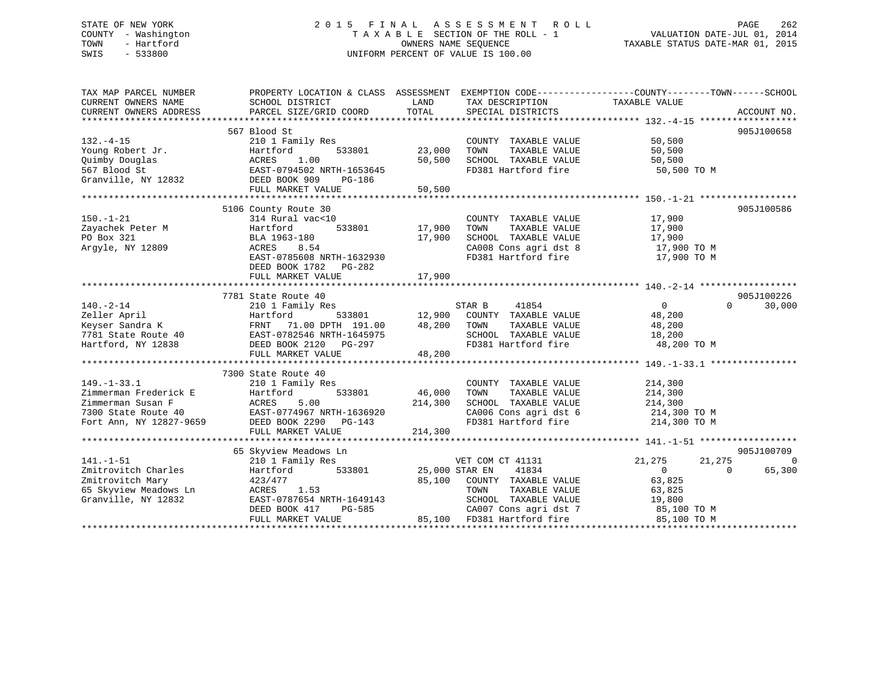# STATE OF NEW YORK 2 0 1 5 F I N A L A S S E S S M E N T R O L L PAGE 262 COUNTY - Washington T A X A B L E SECTION OF THE ROLL - 1 VALUATION DATE-JUL 01, 2014 TOWN - Hartford **TAXABLE STATUS DATE-MAR 01, 2015** OWNERS NAME SEQUENCE TAXABLE STATUS DATE-MAR 01, 2015 SWIS - 533800 UNIFORM PERCENT OF VALUE IS 100.00

| TAX MAP PARCEL NUMBER                        | PROPERTY LOCATION & CLASS ASSESSMENT EXEMPTION CODE---------------COUNTY-------TOWN------SCHOOL                                                                                                                                                                                                                                         |                         |                                                                                                                                                      |                                              |                    |
|----------------------------------------------|-----------------------------------------------------------------------------------------------------------------------------------------------------------------------------------------------------------------------------------------------------------------------------------------------------------------------------------------|-------------------------|------------------------------------------------------------------------------------------------------------------------------------------------------|----------------------------------------------|--------------------|
| CURRENT OWNERS NAME                          | SCHOOL DISTRICT                                                                                                                                                                                                                                                                                                                         | LAND                    | TAX DESCRIPTION                                                                                                                                      | TAXABLE VALUE                                |                    |
| CURRENT OWNERS ADDRESS                       | PARCEL SIZE/GRID COORD                                                                                                                                                                                                                                                                                                                  | TOTAL                   | SPECIAL DISTRICTS                                                                                                                                    |                                              | ACCOUNT NO.        |
|                                              |                                                                                                                                                                                                                                                                                                                                         |                         |                                                                                                                                                      |                                              |                    |
|                                              | 567 Blood St                                                                                                                                                                                                                                                                                                                            |                         |                                                                                                                                                      |                                              | 905J100658         |
| $132 - 4 - 15$                               | 210 1 Family Res                                                                                                                                                                                                                                                                                                                        |                         | COUNTY TAXABLE VALUE<br>TOWN TAXABLE VALUE                                                                                                           | 50,500                                       |                    |
|                                              | 132.-4-15<br>Young Robert Jr.<br>Quimby Douglas<br>567 Blood St<br>Granville, NY 12832<br>The CAST-0794502 NRTH-1653645<br>Cranville, NY 12832<br>The CAST-0794502 NRTH-1653645<br>CREED BOOK 909<br>THE COOK 909<br>THE COOK 909<br>THE COOK 909<br>T                                                                                  | 23,000                  | TOWN                                                                                                                                                 | 50,500                                       |                    |
|                                              |                                                                                                                                                                                                                                                                                                                                         |                         | 50,500 SCHOOL TAXABLE VALUE                                                                                                                          | 50,500                                       |                    |
|                                              |                                                                                                                                                                                                                                                                                                                                         |                         | FD381 Hartford fire                                                                                                                                  | 50,500 TO M                                  |                    |
|                                              |                                                                                                                                                                                                                                                                                                                                         |                         |                                                                                                                                                      |                                              |                    |
|                                              | FULL MARKET VALUE                                                                                                                                                                                                                                                                                                                       | 50,500                  |                                                                                                                                                      |                                              |                    |
|                                              |                                                                                                                                                                                                                                                                                                                                         |                         |                                                                                                                                                      |                                              |                    |
|                                              | 5106 County Route 30                                                                                                                                                                                                                                                                                                                    |                         |                                                                                                                                                      |                                              | 905J100586         |
| $150. - 1 - 21$                              | 314 Rural vac<10                                                                                                                                                                                                                                                                                                                        |                         | COUNTY TAXABLE VALUE                                                                                                                                 |                                              |                    |
| Zayachek Peter M                             | 314 Rurai<br>Hartford<br>BLA 1963-                                                                                                                                                                                                                                                                                                      |                         |                                                                                                                                                      | 17,900<br>17,900                             |                    |
| PO Box 321                                   | BLA 1963-180                                                                                                                                                                                                                                                                                                                            |                         |                                                                                                                                                      |                                              |                    |
| Argyle, NY 12809                             | ACRES 8.54                                                                                                                                                                                                                                                                                                                              |                         |                                                                                                                                                      |                                              |                    |
|                                              | EAST-0785608 NRTH-1632930                                                                                                                                                                                                                                                                                                               |                         | 17,900 TOWN TAXABLE VALUE<br>17,900 SCHOOL TAXABLE VALUE 17,900<br>CA008 Cons agri dst 8 17,900 TO M<br>CA008 Cons agri dst 8<br>FD381 Hartford fire | 17,900 TO M                                  |                    |
|                                              | DEED BOOK 1782    PG-282                                                                                                                                                                                                                                                                                                                |                         |                                                                                                                                                      |                                              |                    |
|                                              | FULL MARKET VALUE                                                                                                                                                                                                                                                                                                                       | 17,900                  |                                                                                                                                                      |                                              |                    |
|                                              |                                                                                                                                                                                                                                                                                                                                         |                         |                                                                                                                                                      |                                              |                    |
|                                              | 7781 State Route 40                                                                                                                                                                                                                                                                                                                     |                         |                                                                                                                                                      |                                              | 905J100226         |
| $140. - 2 - 14$                              |                                                                                                                                                                                                                                                                                                                                         |                         |                                                                                                                                                      | $\overline{0}$                               | $\Omega$<br>30,000 |
|                                              |                                                                                                                                                                                                                                                                                                                                         |                         | 533801 12,900 COUNTY TAXABLE VALUE 48,200                                                                                                            |                                              |                    |
|                                              |                                                                                                                                                                                                                                                                                                                                         |                         |                                                                                                                                                      |                                              |                    |
|                                              |                                                                                                                                                                                                                                                                                                                                         |                         |                                                                                                                                                      | TAXABLE VALUE 48,200<br>TAXABLE VALUE 18,200 |                    |
|                                              |                                                                                                                                                                                                                                                                                                                                         |                         |                                                                                                                                                      |                                              |                    |
|                                              | 210 1 Family Res 31801 12,900 COUNTY<br>210 1 Family Res 33801 12,900 COUNTY<br>210 1 Family Res 33801 12,900 COUNTY<br>210 1 Family Res 533801 12,900 COUNTY<br>210 1 Family Res 533801 21,900 COUNTY<br>210 1 Family Res 533801 21,900                                                                                                |                         |                                                                                                                                                      |                                              |                    |
|                                              | FULL MARKET VALUE                                                                                                                                                                                                                                                                                                                       | 48,200                  |                                                                                                                                                      |                                              |                    |
|                                              |                                                                                                                                                                                                                                                                                                                                         |                         |                                                                                                                                                      |                                              |                    |
|                                              | 7300 State Route 40                                                                                                                                                                                                                                                                                                                     |                         |                                                                                                                                                      |                                              |                    |
|                                              |                                                                                                                                                                                                                                                                                                                                         | 3<br>533801 46,000 TOWN | COUNTY TAXABLE VALUE 214,300<br>TOWN TAXABLE VALUE 214,300                                                                                           |                                              |                    |
|                                              | $\begin{tabular}{lllllllllll} 149.-1-33.1 & 210\ 1\ Family Res \\ \hline \texttt{Zimmerman Frederick E} & Hartford & 533801 & 46,000 \\ \texttt{Zimmerman Susan F} & ACRES & 5.00 & 214,300 \\ \texttt{7300 State Route 40} & EAST-0774967 NRTH-1636920 \\ \texttt{Fort Ann, NY 12827-9659} & DEED BOOK 2290 & PG-143 \\ \end{tabular}$ |                         |                                                                                                                                                      | 214,300                                      |                    |
|                                              |                                                                                                                                                                                                                                                                                                                                         |                         | SCHOOL TAXABLE VALUE 214,300<br>CA006 Cons agri dst 6 214,300 TO M                                                                                   |                                              |                    |
|                                              |                                                                                                                                                                                                                                                                                                                                         |                         | CA006 Cons agri dst 6 214,300 TO M<br>FD381 Hartford fire 214,300 TO M                                                                               |                                              |                    |
|                                              |                                                                                                                                                                                                                                                                                                                                         |                         |                                                                                                                                                      |                                              |                    |
|                                              | FULL MARKET VALUE                                                                                                                                                                                                                                                                                                                       | 214,300                 |                                                                                                                                                      |                                              |                    |
|                                              |                                                                                                                                                                                                                                                                                                                                         |                         |                                                                                                                                                      |                                              |                    |
|                                              | 65 Skyview Meadows Ln                                                                                                                                                                                                                                                                                                                   |                         |                                                                                                                                                      |                                              | 905J100709         |
| $141. - 1 - 51$                              | 210 1 Family Res                                                                                                                                                                                                                                                                                                                        |                         | VET COM CT 41131                                                                                                                                     | 21,275<br>21,275                             | $\Omega$           |
| Zmitrovitch Charles                          | 210 1 Family Res<br>Hartford<br>423/477                                                                                                                                                                                                                                                                                                 |                         | 533801 25,000 STAR EN 41834                                                                                                                          | $\overline{0}$<br>$\overline{0}$             | 65,300             |
| Zmitrovitch Mary                             |                                                                                                                                                                                                                                                                                                                                         |                         | 85,100 COUNTY TAXABLE VALUE 63,825                                                                                                                   |                                              |                    |
| 65 Skyview Meadows Ln<br>Granville. NY 12832 | ACRES 1.53                                                                                                                                                                                                                                                                                                                              |                         | TOWN TAXABLE VALUE 63,825<br>SCHOOL TAXABLE VALUE 19,800                                                                                             |                                              |                    |
| Granville, NY 12832                          | AURED 1.53<br>EAST-0787654 NRTH-1649143                                                                                                                                                                                                                                                                                                 |                         |                                                                                                                                                      |                                              |                    |
|                                              | DEED BOOK 417                                                                                                                                                                                                                                                                                                                           |                         | CA007 Cons agri dst 7 85,100 TO M                                                                                                                    |                                              |                    |
|                                              | FULL MARKET VALUE                                                                                                                                                                                                                                                                                                                       |                         | PG-585 CA007 Cons agri dst 7<br>LUE 85,100 FD381 Hartford fire                                                                                       | 85,100 TO M                                  |                    |
|                                              |                                                                                                                                                                                                                                                                                                                                         |                         |                                                                                                                                                      |                                              |                    |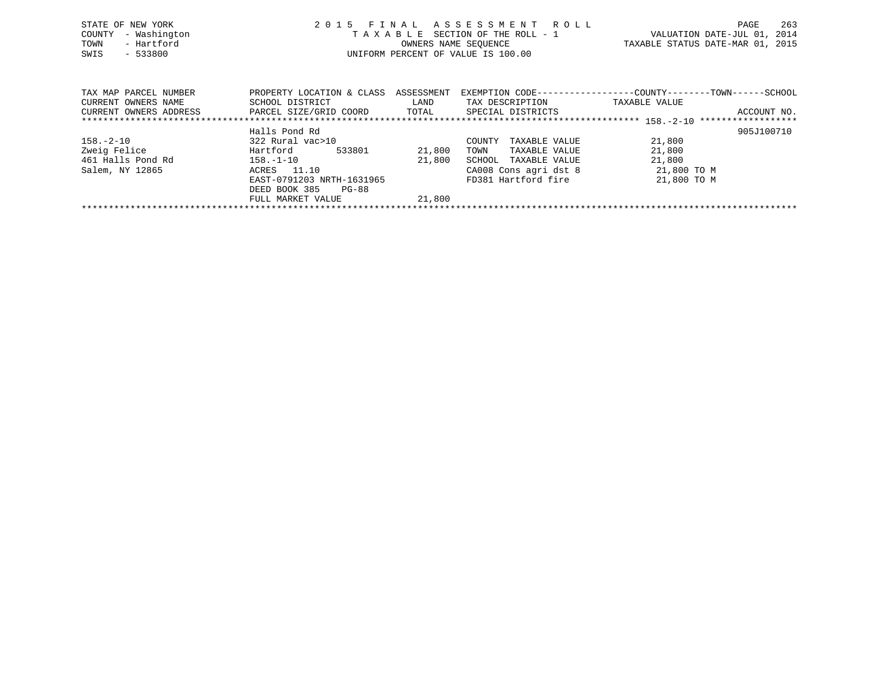| STATE OF NEW YORK<br>- Washington<br>COUNTY<br>- Hartford<br>TOWN<br>SWIS<br>$-533800$ |                                                                        |                             | 2015 FINAL ASSESSMENT ROLL<br>TAXABLE SECTION OF THE ROLL - 1<br>OWNERS NAME SEQUENCE<br>UNIFORM PERCENT OF VALUE IS 100.00 |                                                                                | 263<br>PAGE<br>VALUATION DATE-JUL 01, 2014<br>TAXABLE STATUS DATE-MAR 01, 2015 |
|----------------------------------------------------------------------------------------|------------------------------------------------------------------------|-----------------------------|-----------------------------------------------------------------------------------------------------------------------------|--------------------------------------------------------------------------------|--------------------------------------------------------------------------------|
| TAX MAP PARCEL NUMBER<br>CURRENT OWNERS NAME<br>CURRENT OWNERS ADDRESS                 | PROPERTY LOCATION & CLASS<br>SCHOOL DISTRICT<br>PARCEL SIZE/GRID COORD | ASSESSMENT<br>LAND<br>TOTAL | TAX DESCRIPTION<br>SPECIAL DISTRICTS                                                                                        | EXEMPTION CODE-----------------COUNTY--------TOWN------SCHOOL<br>TAXABLE VALUE | ACCOUNT NO.                                                                    |
|                                                                                        | Halls Pond Rd                                                          |                             |                                                                                                                             |                                                                                | 905J100710                                                                     |

|                   |                           |        |                         |             | --------- |
|-------------------|---------------------------|--------|-------------------------|-------------|-----------|
| 158.–2–10         | 322 Rural vac>10          |        | TAXABLE VALUE<br>COUNTY | 21,800      |           |
| Zweig Felice      | Hartford<br>533801        | 21,800 | TAXABLE VALUE<br>TOWN   | 21,800      |           |
| 461 Halls Pond Rd | $158. - 1 - 10$           | 21,800 | SCHOOL TAXABLE VALUE    | 21,800      |           |
| Salem, NY 12865   | ACRES 11.10               |        | CA008 Cons agri dst 8   | 21,800 TO M |           |
|                   | EAST-0791203 NRTH-1631965 |        | FD381 Hartford fire     | 21,800 TO M |           |
|                   | DEED BOOK 385<br>PG-88    |        |                         |             |           |
|                   | FULL MARKET VALUE         | 21,800 |                         |             |           |
|                   |                           |        |                         |             |           |
|                   |                           |        |                         |             |           |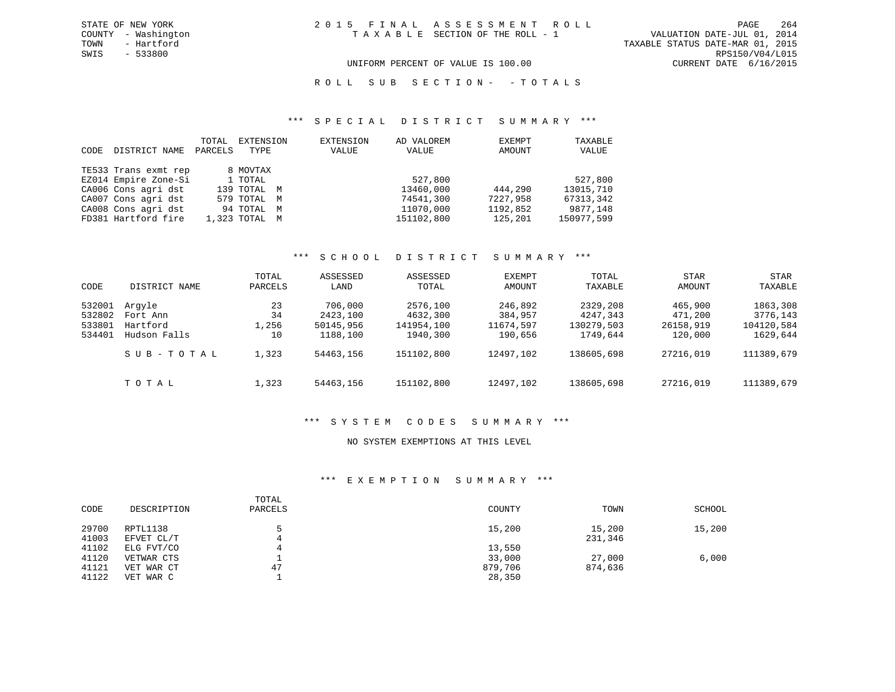ROLL SUB SECTION - - TOTALS

### \*\*\* S P E C I A L D I S T R I C T S U M M A R Y \*\*\*

| CODE | DISTRICT NAME        | TOTAL<br>PARCELS | EXTENSION<br>TYPE | EXTENSION<br>VALUE | AD VALOREM<br>VALUE | EXEMPT<br>AMOUNT | TAXABLE<br>VALUE |
|------|----------------------|------------------|-------------------|--------------------|---------------------|------------------|------------------|
|      | TE533 Trans exmt rep |                  | 8 MOVTAX          |                    |                     |                  |                  |
|      | EZ014 Empire Zone-Si |                  | 1 TOTAL           |                    | 527,800             |                  | 527,800          |
|      | CA006 Cons agri dst  |                  | 139 TOTAL M       |                    | 13460,000           | 444,290          | 13015,710        |
|      | CA007 Cons agri dst  |                  | 579 TOTAL M       |                    | 74541,300           | 7227,958         | 67313,342        |
|      | CA008 Cons agri dst  |                  | 94 TOTAL M        |                    | 11070,000           | 1192,852         | 9877,148         |
|      | FD381 Hartford fire  |                  | 1,323 TOTAL M     |                    | 151102,800          | 125,201          | 150977,599       |

# \*\*\* S C H O O L D I S T R I C T S U M M A R Y \*\*\*

| CODE                                 | DISTRICT NAME                                  | TOTAL<br>PARCELS        | ASSESSED<br>LAND                             | ASSESSED<br>TOTAL                              | EXEMPT<br>AMOUNT                           | TOTAL<br>TAXABLE                               | STAR<br>AMOUNT                             | STAR<br>TAXABLE                                |
|--------------------------------------|------------------------------------------------|-------------------------|----------------------------------------------|------------------------------------------------|--------------------------------------------|------------------------------------------------|--------------------------------------------|------------------------------------------------|
| 532001<br>532802<br>533801<br>534401 | Arqyle<br>Fort Ann<br>Hartford<br>Hudson Falls | 23<br>34<br>1,256<br>10 | 706,000<br>2423,100<br>50145,956<br>1188,100 | 2576,100<br>4632,300<br>141954,100<br>1940,300 | 246,892<br>384,957<br>11674,597<br>190,656 | 2329,208<br>4247,343<br>130279,503<br>1749,644 | 465,900<br>471,200<br>26158,919<br>120,000 | 1863,308<br>3776,143<br>104120,584<br>1629,644 |
|                                      | SUB-TOTAL                                      | 1,323                   | 54463,156                                    | 151102,800                                     | 12497,102                                  | 138605,698                                     | 27216,019                                  | 111389,679                                     |
|                                      | TOTAL                                          | 1,323                   | 54463,156                                    | 151102,800                                     | 12497,102                                  | 138605,698                                     | 27216,019                                  | 111389,679                                     |

### \*\*\* S Y S T E M C O D E S S U M M A R Y \*\*\*

## NO SYSTEM EXEMPTIONS AT THIS LEVEL

# \*\*\* E X E M P T I O N S U M M A R Y \*\*\*

| CODE                    | DESCRIPTION                           | TOTAL<br>PARCELS | COUNTY                      | TOWN              | SCHOOL |
|-------------------------|---------------------------------------|------------------|-----------------------------|-------------------|--------|
| 29700<br>41003          | RPTL1138<br>EFVET CL/T                |                  | 15,200                      | 15,200<br>231,346 | 15,200 |
| 41102                   | ELG FVT/CO                            |                  | 13,550                      |                   |        |
| 41120<br>41121<br>41122 | VETWAR CTS<br>VET WAR CT<br>VET WAR C | 47               | 33,000<br>879,706<br>28,350 | 27,000<br>874,636 | 6,000  |

SWIS - 533800 RPS150/V04/L015 UNIFORM PERCENT OF VALUE IS 100.00 CURRENT DATE 6/16/2015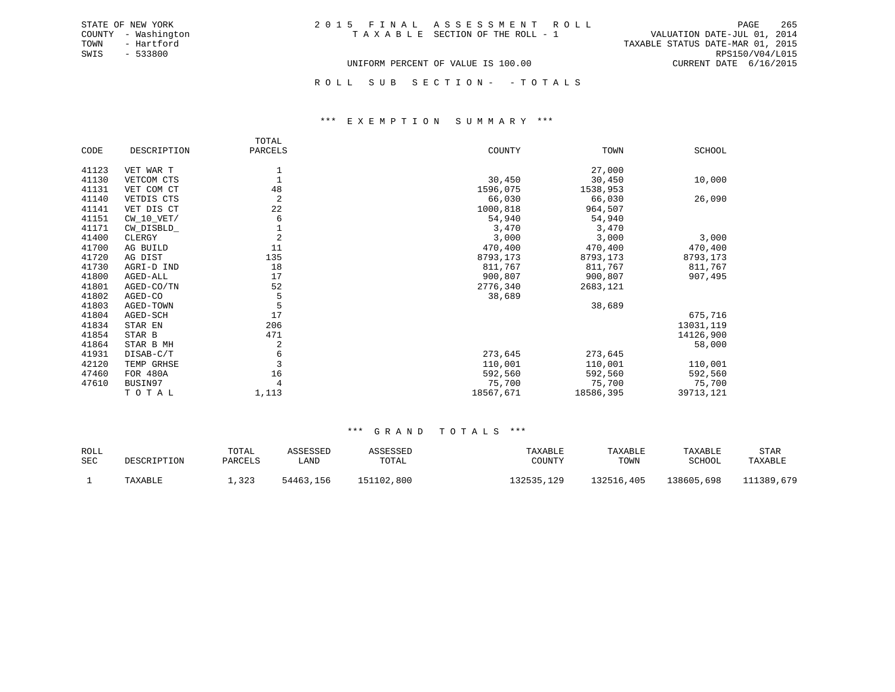|  | 2015 FINAL ASSESSMENT ROLL         |                                  | PAGE                        | - 265 |
|--|------------------------------------|----------------------------------|-----------------------------|-------|
|  | TAXABLE SECTION OF THE ROLL - 1    |                                  | VALUATION DATE-JUL 01, 2014 |       |
|  |                                    | TAXABLE STATUS DATE-MAR 01, 2015 |                             |       |
|  |                                    |                                  | RPS150/V04/L015             |       |
|  | UNIFORM PERCENT OF VALUE IS 100.00 |                                  | CURRENT DATE $6/16/2015$    |       |

ROLL SUB SECTION - - TOTALS

### \*\*\* E X E M P T I O N S U M M A R Y \*\*\*

|       |              | TOTAL          |           |           |           |
|-------|--------------|----------------|-----------|-----------|-----------|
| CODE  | DESCRIPTION  | PARCELS        | COUNTY    | TOWN      | SCHOOL    |
| 41123 | VET WAR T    | 1              |           | 27,000    |           |
| 41130 | VETCOM CTS   |                | 30,450    | 30,450    | 10,000    |
| 41131 | VET COM CT   | 48             | 1596,075  | 1538,953  |           |
| 41140 | VETDIS CTS   | $\overline{2}$ | 66,030    | 66,030    | 26,090    |
| 41141 | VET DIS CT   | 22             | 1000,818  | 964,507   |           |
| 41151 | $CW_10_VET/$ | 6              | 54,940    | 54,940    |           |
| 41171 | CW DISBLD    |                | 3,470     | 3,470     |           |
| 41400 | CLERGY       | $\overline{2}$ | 3,000     | 3,000     | 3,000     |
| 41700 | AG BUILD     | 11             | 470,400   | 470,400   | 470,400   |
| 41720 | AG DIST      | 135            | 8793,173  | 8793,173  | 8793,173  |
| 41730 | AGRI-D IND   | 18             | 811,767   | 811,767   | 811,767   |
| 41800 | AGED-ALL     | 17             | 900,807   | 900,807   | 907,495   |
| 41801 | AGED-CO/TN   | 52             | 2776,340  | 2683,121  |           |
| 41802 | AGED-CO      | 5              | 38,689    |           |           |
| 41803 | AGED-TOWN    | 5              |           | 38,689    |           |
| 41804 | AGED-SCH     | 17             |           |           | 675,716   |
| 41834 | STAR EN      | 206            |           |           | 13031,119 |
| 41854 | STAR B       | 471            |           |           | 14126,900 |
| 41864 | STAR B MH    | $\overline{2}$ |           |           | 58,000    |
| 41931 | DISAB-C/T    | 6              | 273,645   | 273,645   |           |
| 42120 | TEMP GRHSE   | $\overline{3}$ | 110,001   | 110,001   | 110,001   |
| 47460 | FOR 480A     | 16             | 592,560   | 592,560   | 592,560   |
| 47610 | BUSIN97      |                | 75,700    | 75,700    | 75,700    |
|       | TOTAL        | 1,113          | 18567,671 | 18586,395 | 39713,121 |

| <b>ROLL</b><br><b>SEC</b> |                        | TOTAL           | ASSESSED          | RSSED               | TAXABLE              | TAXABLE            | TAXABLE              | STAR                  |
|---------------------------|------------------------|-----------------|-------------------|---------------------|----------------------|--------------------|----------------------|-----------------------|
|                           | DESCRIPTION<br>TAXABLE | PARCELS<br>,323 | LAND<br>54463,156 | TOTAL<br>151102,800 | COUNTY<br>132535,129 | TOWN<br>132516,405 | SCHOOL<br>138605,698 | TAXABLE<br>111389,679 |
|                           |                        |                 |                   |                     |                      |                    |                      |                       |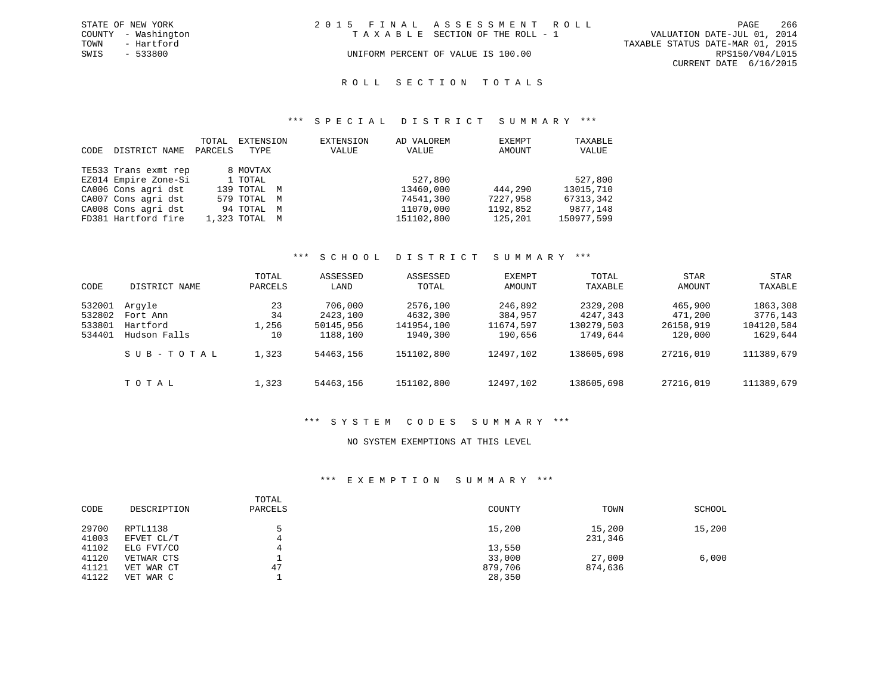|      | STATE OF NEW YORK   | 2015 FINAL ASSESSMENT ROLL         | -266<br>PAGE                     |
|------|---------------------|------------------------------------|----------------------------------|
|      | COUNTY - Washington | TAXABLE SECTION OF THE ROLL - 1    | VALUATION DATE-JUL 01, 2014      |
| TOWN | - Hartford          |                                    | TAXABLE STATUS DATE-MAR 01, 2015 |
| SWIS | - 533800            | UNIFORM PERCENT OF VALUE IS 100.00 | RPS150/V04/L015                  |
|      |                     |                                    | CURRENT DATE 6/16/2015           |

### R O L L S E C T I O N T O T A L S

### \*\*\* S P E C I A L D I S T R I C T S U M M A R Y \*\*\*

| CODE | DISTRICT NAME        | TOTAL<br>PARCELS | EXTENSION<br>TYPE | EXTENSION<br>VALUE | AD VALOREM<br>VALUE | EXEMPT<br>AMOUNT | TAXABLE<br>VALUE |
|------|----------------------|------------------|-------------------|--------------------|---------------------|------------------|------------------|
|      | TE533 Trans exmt rep |                  | 8 MOVTAX          |                    |                     |                  |                  |
|      | EZ014 Empire Zone-Si |                  | 1 TOTAL           |                    | 527,800             |                  | 527,800          |
|      | CA006 Cons agri dst  |                  | 139 TOTAL M       |                    | 13460,000           | 444,290          | 13015,710        |
|      | CA007 Cons agri dst  |                  | 579 TOTAL M       |                    | 74541,300           | 7227,958         | 67313,342        |
|      | CA008 Cons agri dst  |                  | 94 TOTAL M        |                    | 11070,000           | 1192,852         | 9877,148         |
|      | FD381 Hartford fire  |                  | 1,323 TOTAL M     |                    | 151102,800          | 125,201          | 150977,599       |

# \*\*\* S C H O O L D I S T R I C T S U M M A R Y \*\*\*

| CODE                                 | DISTRICT NAME                                  | TOTAL<br>PARCELS        | ASSESSED<br>LAND                             | ASSESSED<br>TOTAL                              | <b>EXEMPT</b><br>AMOUNT                    | TOTAL<br>TAXABLE                               | <b>STAR</b><br>AMOUNT                      | <b>STAR</b><br>TAXABLE                         |
|--------------------------------------|------------------------------------------------|-------------------------|----------------------------------------------|------------------------------------------------|--------------------------------------------|------------------------------------------------|--------------------------------------------|------------------------------------------------|
| 532001<br>532802<br>533801<br>534401 | Arqyle<br>Fort Ann<br>Hartford<br>Hudson Falls | 23<br>34<br>1,256<br>10 | 706,000<br>2423,100<br>50145,956<br>1188,100 | 2576,100<br>4632,300<br>141954,100<br>1940,300 | 246,892<br>384,957<br>11674,597<br>190,656 | 2329,208<br>4247,343<br>130279,503<br>1749,644 | 465,900<br>471,200<br>26158,919<br>120,000 | 1863,308<br>3776,143<br>104120,584<br>1629,644 |
|                                      | SUB-TOTAL                                      | 1,323                   | 54463,156                                    | 151102,800                                     | 12497,102                                  | 138605,698                                     | 27216,019                                  | 111389,679                                     |
|                                      | TOTAL                                          | 1,323                   | 54463,156                                    | 151102,800                                     | 12497,102                                  | 138605,698                                     | 27216,019                                  | 111389,679                                     |

### \*\*\* S Y S T E M C O D E S S U M M A R Y \*\*\*

### NO SYSTEM EXEMPTIONS AT THIS LEVEL

### \*\*\* E X E M P T I O N S U M M A R Y \*\*\*

| CODE           | DESCRIPTION            | TOTAL<br>PARCELS | COUNTY  | TOWN              | SCHOOL |
|----------------|------------------------|------------------|---------|-------------------|--------|
| 29700<br>41003 | RPTL1138<br>EFVET CL/T | 4                | 15,200  | 15,200<br>231,346 | 15,200 |
| 41102          | ELG FVT/CO             |                  | 13,550  |                   |        |
| 41120          | VETWAR CTS             |                  | 33,000  | 27,000            | 6,000  |
| 41121          | VET WAR CT             | 47               | 879,706 | 874,636           |        |
| 41122          | VET WAR C              |                  | 28,350  |                   |        |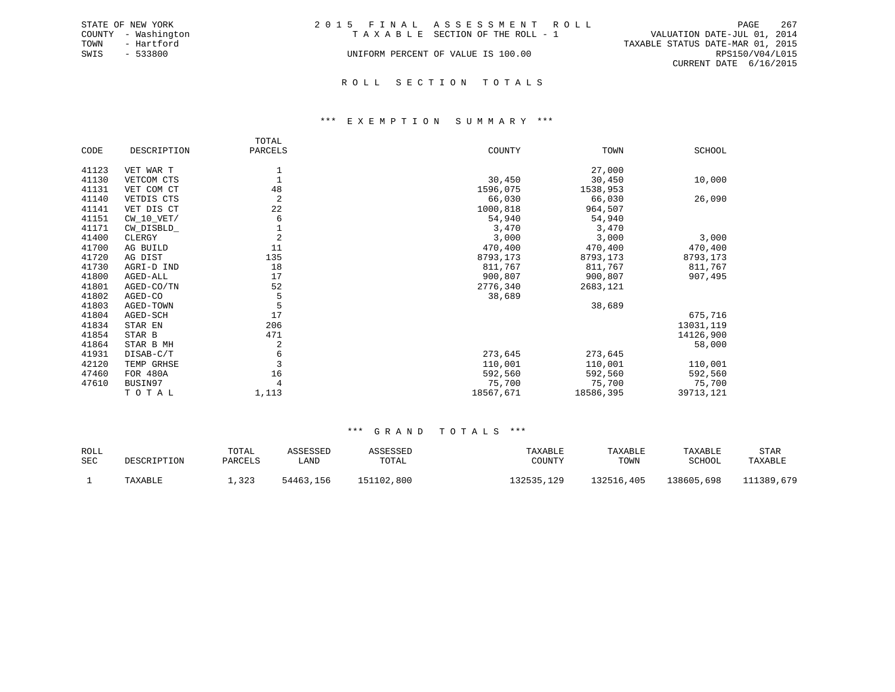|      | STATE OF NEW YORK   | 2015 FINAL ASSESSMENT ROLL         |                                  | PAGE            | 267 |
|------|---------------------|------------------------------------|----------------------------------|-----------------|-----|
|      | COUNTY - Washington | TAXABLE SECTION OF THE ROLL - 1    | VALUATION DATE-JUL 01, 2014      |                 |     |
| TOWN | - Hartford          |                                    | TAXABLE STATUS DATE-MAR 01, 2015 |                 |     |
| SWIS | - 533800            | UNIFORM PERCENT OF VALUE IS 100.00 |                                  | RPS150/V04/L015 |     |
|      |                     |                                    | CURRENT DATE 6/16/2015           |                 |     |
|      |                     |                                    |                                  |                 |     |

### R O L L S E C T I O N T O T A L S

### \*\*\* E X E M P T I O N S U M M A R Y \*\*\*

|       |              | TOTAL          |           |           |           |
|-------|--------------|----------------|-----------|-----------|-----------|
| CODE  | DESCRIPTION  | PARCELS        | COUNTY    | TOWN      | SCHOOL    |
| 41123 | VET WAR T    |                |           | 27,000    |           |
| 41130 | VETCOM CTS   |                | 30,450    | 30,450    | 10,000    |
| 41131 | VET COM CT   | 48             | 1596,075  | 1538,953  |           |
| 41140 | VETDIS CTS   | $\overline{2}$ | 66,030    | 66,030    | 26,090    |
| 41141 | VET DIS CT   | 22             | 1000,818  | 964,507   |           |
| 41151 | $CW_10_VET/$ | 6              | 54,940    | 54,940    |           |
| 41171 | CW_DISBLD_   |                | 3,470     | 3,470     |           |
| 41400 | CLERGY       | $\overline{2}$ | 3,000     | 3,000     | 3,000     |
| 41700 | AG BUILD     | 11             | 470,400   | 470,400   | 470,400   |
| 41720 | AG DIST      | 135            | 8793,173  | 8793,173  | 8793,173  |
| 41730 | AGRI-D IND   | 18             | 811,767   | 811,767   | 811,767   |
| 41800 | AGED-ALL     | 17             | 900,807   | 900,807   | 907,495   |
| 41801 | AGED-CO/TN   | 52             | 2776,340  | 2683,121  |           |
| 41802 | AGED-CO      | 5              | 38,689    |           |           |
| 41803 | AGED-TOWN    | 5              |           | 38,689    |           |
| 41804 | AGED-SCH     | 17             |           |           | 675,716   |
| 41834 | STAR EN      | 206            |           |           | 13031,119 |
| 41854 | STAR B       | 471            |           |           | 14126,900 |
| 41864 | STAR B MH    | 2              |           |           | 58,000    |
| 41931 | DISAB-C/T    | 6              | 273,645   | 273,645   |           |
| 42120 | TEMP GRHSE   | $\overline{3}$ | 110,001   | 110,001   | 110,001   |
| 47460 | FOR 480A     | 16             | 592,560   | 592,560   | 592,560   |
| 47610 | BUSIN97      |                | 75,700    | 75,700    | 75,700    |
|       | TOTAL        | 1,113          | 18567,671 | 18586,395 | 39713,121 |

| <b>ROLL</b><br><b>SEC</b> | DESCRIPTION | TOTAL<br>PARCELS | ASSESSED<br>LAND | ASSESSED<br>TOTAL | TAXABLE<br>COUNTY | TAXABLE<br>TOWN | TAXABLE<br>SCHOOL | STAR<br>TAXABLE |
|---------------------------|-------------|------------------|------------------|-------------------|-------------------|-----------------|-------------------|-----------------|
|                           | TAXABLE     | ⊥,323            | 54463,156        | 151102,800        | 132535,129        | 132516,405      | 138605,698        | 111389,679      |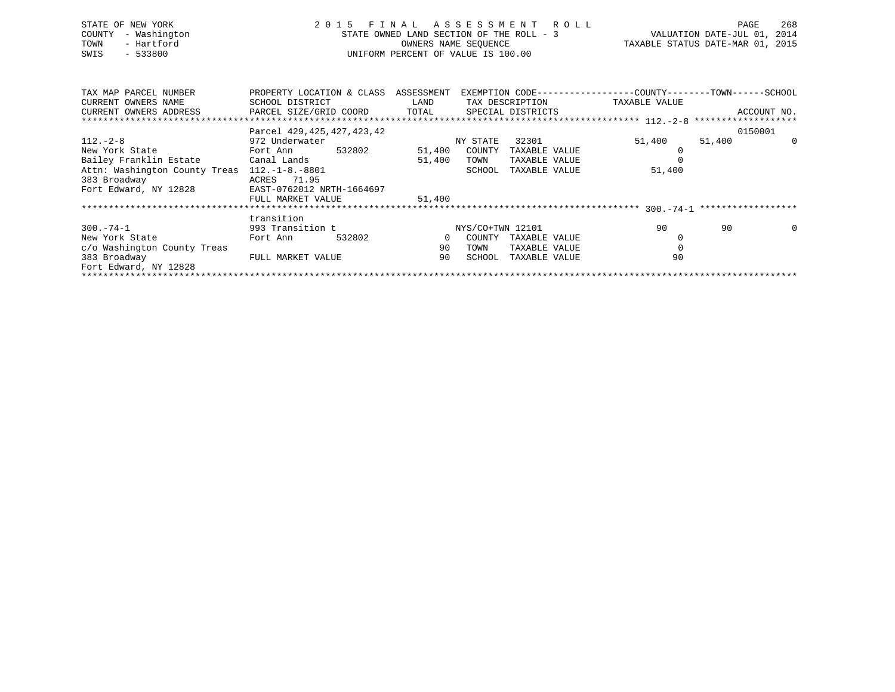| STATE OF NEW YORK<br>COUNTY<br>- Washington<br>TOWN<br>- Hartford<br>$-533800$<br>SWIS |                                                 | STATE OWNED LAND SECTION OF THE ROLL - 3<br>UNIFORM PERCENT OF VALUE IS 100.00 |          | 2015 FINAL ASSESSMENT ROLL | VALUATION DATE-JUL 01, 2014<br>OWNERS NAME SEQUENCE TAXABLE STATUS DATE-MAR 01, 2015                                                                                                                                                                                | PAGE   | 268                 |
|----------------------------------------------------------------------------------------|-------------------------------------------------|--------------------------------------------------------------------------------|----------|----------------------------|---------------------------------------------------------------------------------------------------------------------------------------------------------------------------------------------------------------------------------------------------------------------|--------|---------------------|
| TAX MAP PARCEL NUMBER TROPERTY LOCATION & CLASS ASSESSMENT<br>CURRENT OWNERS NAME      | SCHOOL DISTRICT                                 |                                                                                |          |                            | EXEMPTION CODE-----------------COUNTY-------TOWN------SCHOOL<br>LAND TAX DESCRIPTION TAXABLE VALUE                                                                                                                                                                  |        |                     |
| CURRENT OWNERS ADDRESS FARCEL SIZE/GRID COORD TOTAL SPECIAL DISTRICTS                  |                                                 |                                                                                |          |                            |                                                                                                                                                                                                                                                                     |        | ACCOUNT NO.         |
|                                                                                        |                                                 |                                                                                |          |                            |                                                                                                                                                                                                                                                                     |        |                     |
| $112. - 2 - 8$                                                                         | Parcel 429, 425, 427, 423, 42<br>972 Underwater |                                                                                | NY STATE | 32301                      | 51,400                                                                                                                                                                                                                                                              | 51,400 | 0150001<br>$\Omega$ |
| New York State                                                                         | Fort Ann 532802 51,400 COUNTY                   |                                                                                |          | TAXABLE VALUE              |                                                                                                                                                                                                                                                                     |        |                     |
|                                                                                        |                                                 | 51,400                                                                         | TOWN     | TAXABLE VALUE              |                                                                                                                                                                                                                                                                     |        |                     |
| Attn: Washington County Treas 112.-1-8.-8801                                           |                                                 |                                                                                | SCHOOL   | TAXABLE VALUE              | 51,400                                                                                                                                                                                                                                                              |        |                     |
| 383 Broadway                                                                           | ACRES 71.95                                     |                                                                                |          |                            |                                                                                                                                                                                                                                                                     |        |                     |
| Fort Edward, NY 12828 EAST-0762012 NRTH-1664697                                        |                                                 |                                                                                |          |                            |                                                                                                                                                                                                                                                                     |        |                     |
|                                                                                        | FULL MARKET VALUE                               | 51,400                                                                         |          |                            |                                                                                                                                                                                                                                                                     |        |                     |
|                                                                                        | transition                                      |                                                                                |          |                            |                                                                                                                                                                                                                                                                     |        |                     |
| $300 - 74 - 1$                                                                         | 993 Transition t NYS/CO+TWN 12101               |                                                                                |          |                            | 90                                                                                                                                                                                                                                                                  | 90     | $\overline{0}$      |
| . 그는 그 사람들은 그 사람들은 그 사람들을 지나 않고 있다. 그 사람들은 그 사람들은 그 사람들을 지나 않고 있다.                     |                                                 |                                                                                |          |                            | $\sim$ 0.000 $\sim$ 0.000 $\sim$ 0.000 $\sim$ 0.000 $\sim$ 0.000 $\sim$ 0.000 $\sim$ 0.000 $\sim$ 0.000 $\sim$ 0.000 $\sim$ 0.000 $\sim$ 0.000 $\sim$ 0.000 $\sim$ 0.000 $\sim$ 0.000 $\sim$ 0.000 $\sim$ 0.000 $\sim$ 0.000 $\sim$ 0.000 $\sim$ 0.000 $\sim$ 0.000 |        |                     |

New York State 6 6 20 Fort Ann 532802 0 COUNTY TAXABLE VALUE 0  $\mathbb O$ c/o Washington County Treas 90 TOWN TAXABLE VALUE 0<br>383 Broadway FULL MARKET VALUE 90 SCHOOL TAXABLE VALUE 90 90 SCHOOL TAXABLE VALUE Fort Edward, NY 12828 \*\*\*\*\*\*\*\*\*\*\*\*\*\*\*\*\*\*\*\*\*\*\*\*\*\*\*\*\*\*\*\*\*\*\*\*\*\*\*\*\*\*\*\*\*\*\*\*\*\*\*\*\*\*\*\*\*\*\*\*\*\*\*\*\*\*\*\*\*\*\*\*\*\*\*\*\*\*\*\*\*\*\*\*\*\*\*\*\*\*\*\*\*\*\*\*\*\*\*\*\*\*\*\*\*\*\*\*\*\*\*\*\*\*\*\*\*\*\*\*\*\*\*\*\*\*\*\*\*\*\*\*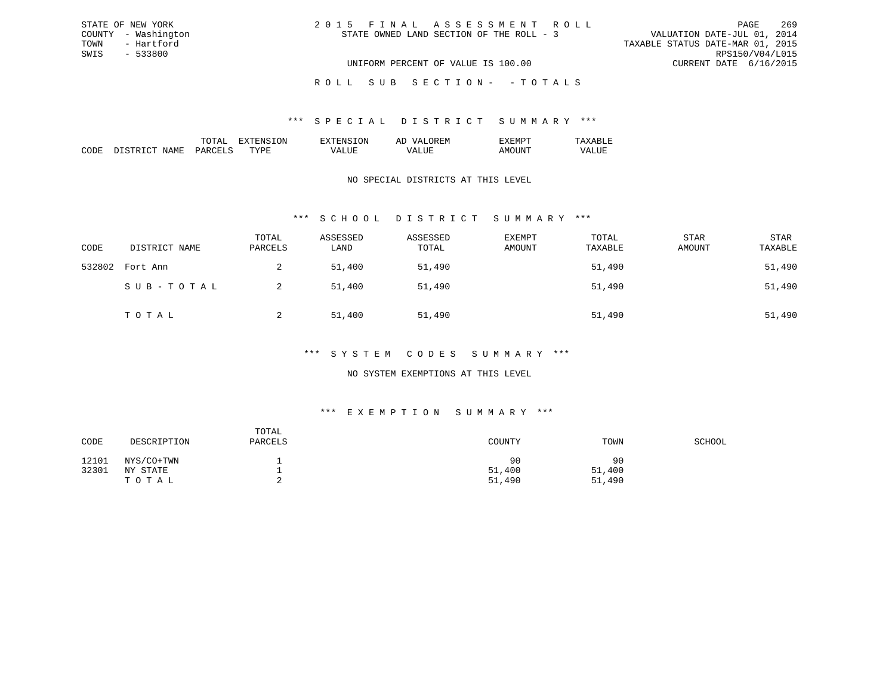| 2015 FINAL ASSESSMENT ROLL               |                                  | PAGE                   | 269             |
|------------------------------------------|----------------------------------|------------------------|-----------------|
| STATE OWNED LAND SECTION OF THE ROLL - 3 | VALUATION DATE-JUL 01, 2014      |                        |                 |
|                                          | TAXABLE STATUS DATE-MAR 01, 2015 |                        |                 |
|                                          |                                  |                        | RPS150/V04/L015 |
| UNIFORM PERCENT OF VALUE IS 100.00       |                                  | CURRENT DATE 6/16/2015 |                 |

ROLL SUB SECTION - - TOTALS

### \*\*\* S P E C I A L D I S T R I C T S U M M A R Y \*\*\*

|                    |    | זור<br>вv. | $\cdots$<br>-- |  |
|--------------------|----|------------|----------------|--|
| חר<br>,,,,,,<br>ľМ | m. |            |                |  |

STATE OF NEW YORK COUNTY - Washington TOWN - Hartford SWIS - 533800

### NO SPECIAL DISTRICTS AT THIS LEVEL

## \*\*\* S C H O O L D I S T R I C T S U M M A R Y \*\*\*

| CODE   | DISTRICT NAME | TOTAL<br>PARCELS | ASSESSED<br>LAND | ASSESSED<br>TOTAL | <b>EXEMPT</b><br>AMOUNT | TOTAL<br>TAXABLE | <b>STAR</b><br>AMOUNT | STAR<br>TAXABLE |
|--------|---------------|------------------|------------------|-------------------|-------------------------|------------------|-----------------------|-----------------|
| 532802 | Fort Ann      | 2                | 51,400           | 51,490            |                         | 51,490           |                       | 51,490          |
|        | SUB-TOTAL     |                  | 51,400           | 51,490            |                         | 51,490           |                       | 51,490          |
|        | TOTAL         |                  | 51,400           | 51,490            |                         | 51,490           |                       | 51,490          |

### \*\*\* S Y S T E M C O D E S S U M M A R Y \*\*\*

## NO SYSTEM EXEMPTIONS AT THIS LEVEL

## \*\*\* E X E M P T I O N S U M M A R Y \*\*\*

| CODE  | DESCRIPTION  | TOTAL<br>PARCELS | COUNTY | TOWN   | SCHOOL |
|-------|--------------|------------------|--------|--------|--------|
| 12101 | NYS/CO+TWN   |                  | 90     | 90     |        |
| 32301 | NY.<br>STATE |                  | 51,400 | 51,400 |        |
|       | TOTAL        |                  | 51,490 | 51,490 |        |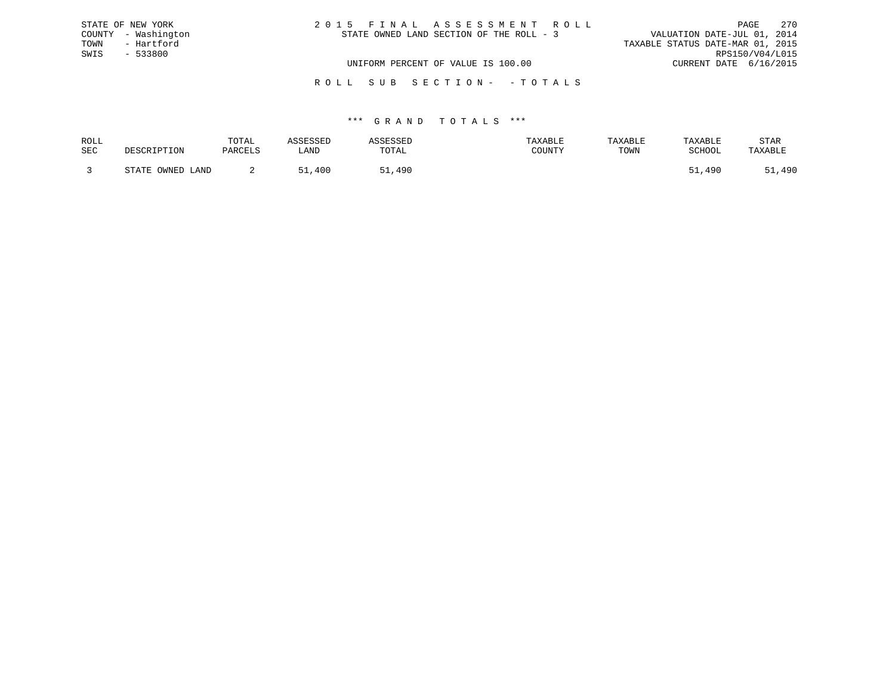|      | STATE OF NEW YORK   | 2015 FINAL ASSESSMENT ROLL                                              |                        | PAGE | 2.70 |
|------|---------------------|-------------------------------------------------------------------------|------------------------|------|------|
|      | COUNTY - Washington | VALUATION DATE-JUL 01, 2014<br>STATE OWNED LAND SECTION OF THE ROLL - 3 |                        |      |      |
| TOWN | - Hartford          | TAXABLE STATUS DATE-MAR 01, 2015                                        |                        |      |      |
| SWIS | $-533800$           |                                                                         | RPS150/V04/L015        |      |      |
|      |                     | UNIFORM PERCENT OF VALUE IS 100.00                                      | CURRENT DATE 6/16/2015 |      |      |
|      |                     |                                                                         |                        |      |      |

R O L L S U B S E C T I O N - - T O T A L S

| ROLL |                        | TOTAL   | ASSESSED | <b>ASSESSED</b> | TAXABLE | TAXABLE | TAXABLE | STAR    |
|------|------------------------|---------|----------|-----------------|---------|---------|---------|---------|
| SEC  | DESCRIPTION            | PARCELS | LAND     | TOTAL           | COUNTY  | TOWN    | SCHOOL  | TAXABLE |
|      | OWNED<br>STATE<br>LAND |         | ,400     | 490             |         |         | 490     | 490     |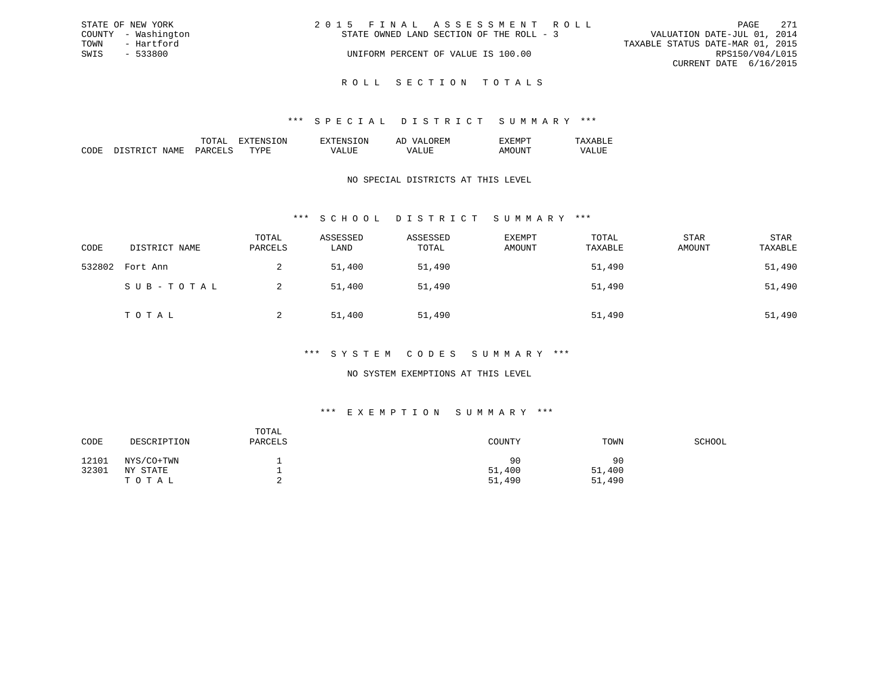| STATE OF NEW YORK   | 2015 FINAL ASSESSMENT ROLL               | 271<br>PAGE                      |
|---------------------|------------------------------------------|----------------------------------|
| COUNTY - Washington | STATE OWNED LAND SECTION OF THE ROLL - 3 | VALUATION DATE-JUL 01, 2014      |
| TOWN<br>- Hartford  |                                          | TAXABLE STATUS DATE-MAR 01, 2015 |
| SWIS<br>- 533800    | UNIFORM PERCENT OF VALUE IS 100.00       | RPS150/V04/L015                  |
|                     |                                          | CURRENT DATE 6/16/2015           |
|                     |                                          |                                  |

R O L L S E C T I O N T O T A L S

### \*\*\* S P E C I A L D I S T R I C T S U M M A R Y \*\*\*

|                                                                                                                               |                      |    | $\cdots$ | . IVI<br>-- |  |
|-------------------------------------------------------------------------------------------------------------------------------|----------------------|----|----------|-------------|--|
| ┓<br>1 V I<br>the contract of the contract of the contract of the contract of the contract of the contract of the contract of | $\sim$ $\sim$ $\sim$ | m. |          |             |  |

## NO SPECIAL DISTRICTS AT THIS LEVEL

## \*\*\* S C H O O L D I S T R I C T S U M M A R Y \*\*\*

| CODE   | DISTRICT NAME | TOTAL<br>PARCELS | ASSESSED<br>LAND | ASSESSED<br>TOTAL | EXEMPT<br>AMOUNT | TOTAL<br>TAXABLE | <b>STAR</b><br>AMOUNT | <b>STAR</b><br>TAXABLE |
|--------|---------------|------------------|------------------|-------------------|------------------|------------------|-----------------------|------------------------|
| 532802 | Fort Ann      | 2                | 51,400           | 51,490            |                  | 51,490           |                       | 51,490                 |
|        | SUB-TOTAL     |                  | 51,400           | 51,490            |                  | 51,490           |                       | 51,490                 |
|        | TOTAL         |                  | 51,400           | 51,490            |                  | 51,490           |                       | 51,490                 |

## \*\*\* S Y S T E M C O D E S S U M M A R Y \*\*\*

## NO SYSTEM EXEMPTIONS AT THIS LEVEL

# \*\*\* E X E M P T I O N S U M M A R Y \*\*\*

| CODE  | DESCRIPTION | TOTAL<br>PARCELS | COUNTY | TOWN   | SCHOOL |
|-------|-------------|------------------|--------|--------|--------|
| 12101 | NYS/CO+TWN  | -                | 90     | 90     |        |
| 32301 | NY STATE    | -                | 51,400 | 51,400 |        |
|       | TOTAL       | ▵                | 51,490 | 51,490 |        |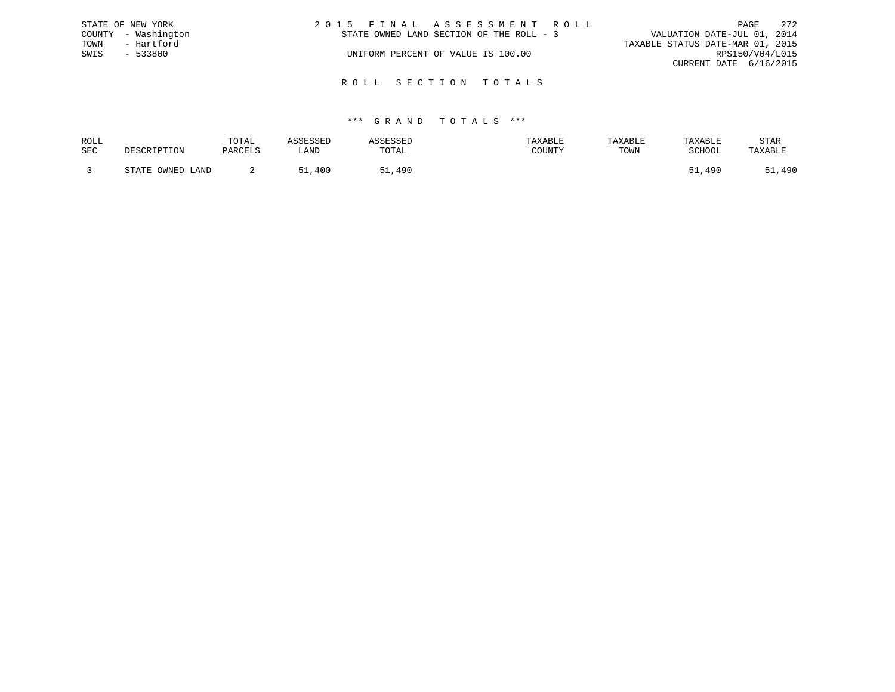| STATE OF NEW YORK   | 2015 FINAL ASSESSMENT ROLL               | 2.72<br>PAGE                     |
|---------------------|------------------------------------------|----------------------------------|
| COUNTY - Washington | STATE OWNED LAND SECTION OF THE ROLL - 3 | VALUATION DATE-JUL 01, 2014      |
| TOWN<br>- Hartford  |                                          | TAXABLE STATUS DATE-MAR 01, 2015 |
| SWIS<br>$-533800$   | UNIFORM PERCENT OF VALUE IS 100.00       | RPS150/V04/L015                  |
|                     |                                          | CURRENT DATE 6/16/2015           |
|                     |                                          |                                  |

R O L L S E C T I O N T O T A L S

| ROLL       |                     | TOTAL   | ASSESSED | ASSESSED | TAXABLE | TAXABLE | TAXABLE          | <b>STAR</b> |
|------------|---------------------|---------|----------|----------|---------|---------|------------------|-------------|
| <b>SEC</b> | DESCRIPTION         | PARCELS | LAND     | TOTAL    | COUNTY  | TOWN    | SCHOOL           | TAXABLE     |
|            | STATE OWNED<br>LAND |         | ,400     | ,490     |         |         | $-1$<br>1,490ء ر | 51,490      |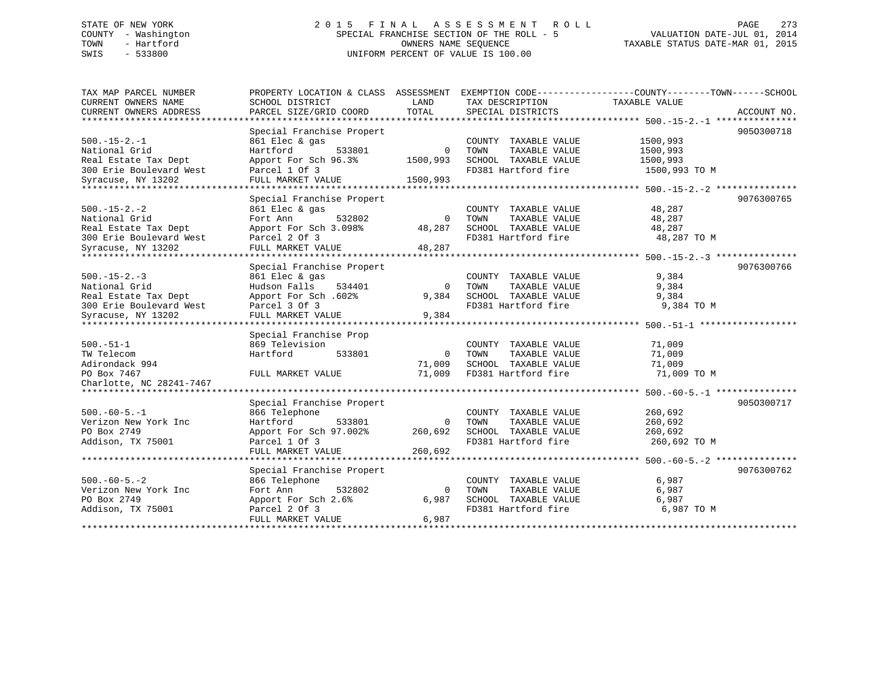# STATE OF NEW YORK 2 0 1 5 F I N A L A S S E S S M E N T R O L L PAGE 273 COUNTY - Washington SPECIAL FRANCHISE SECTION OF THE ROLL - 5 VALUATION DATE-JUL 01, 2014 TOWN - Hartford OWNERS NAME SEQUENCE TAXABLE STATUS DATE-MAR 01, 2015 SWIS - 533800 UNIFORM PERCENT OF VALUE IS 100.00

| TAX MAP PARCEL NUMBER               | PROPERTY LOCATION & CLASS ASSESSMENT |          |                       | EXEMPTION CODE-----------------COUNTY-------TOWN------SCHOOL   |
|-------------------------------------|--------------------------------------|----------|-----------------------|----------------------------------------------------------------|
| CURRENT OWNERS NAME                 | SCHOOL DISTRICT                      | LAND     | TAX DESCRIPTION       | TAXABLE VALUE                                                  |
| CURRENT OWNERS ADDRESS              | PARCEL SIZE/GRID COORD               | TOTAL    | SPECIAL DISTRICTS     | ACCOUNT NO.                                                    |
|                                     |                                      |          |                       |                                                                |
|                                     | Special Franchise Propert            |          |                       | 9050300718                                                     |
| $500. -15 - 2. -1$                  | 861 Elec & gas                       |          | COUNTY TAXABLE VALUE  | 1500,993                                                       |
| National Grid                       | Hartford<br>533801                   | $\Omega$ | TOWN<br>TAXABLE VALUE | 1500,993                                                       |
| Real Estate Tax Dept                | Apport For Sch 96.3%                 | 1500,993 | SCHOOL TAXABLE VALUE  | 1500,993                                                       |
| 300 Erie Boulevard West             | Parcel 1 Of 3                        |          | FD381 Hartford fire   | 1500,993 TO M                                                  |
| Syracuse, NY 13202                  | FULL MARKET VALUE                    | 1500,993 |                       |                                                                |
| **********************              | *********************                |          |                       |                                                                |
|                                     | Special Franchise Propert            |          |                       | 9076300765                                                     |
| $500. -15 - 2. -2$                  | 861 Elec & gas                       |          | COUNTY TAXABLE VALUE  | 48,287                                                         |
| National Grid                       | Fort Ann<br>532802                   | $\Omega$ | TAXABLE VALUE<br>TOWN | 48,287                                                         |
| Real Estate Tax Dept                | Apport For Sch 3.098%                | 48,287   | SCHOOL TAXABLE VALUE  | 48,287                                                         |
| 300 Erie Boulevard West             | Parcel 2 Of 3                        |          | FD381 Hartford fire   | 48,287 TO M                                                    |
| Syracuse, NY 13202                  | FULL MARKET VALUE                    | 48,287   |                       |                                                                |
| * * * * * * * * * * * * * * * * * * | ****************************         |          |                       |                                                                |
|                                     | Special Franchise Propert            |          |                       | 9076300766                                                     |
| $500. -15 - 2. -3$                  | 861 Elec & gas                       |          | COUNTY TAXABLE VALUE  | 9,384                                                          |
| National Grid                       | Hudson Falls<br>534401               | $\Omega$ | TOWN<br>TAXABLE VALUE | 9,384                                                          |
| Real Estate Tax Dept                | Apport For Sch. 602%                 | 9,384    | SCHOOL TAXABLE VALUE  | 9,384                                                          |
| 300 Erie Boulevard West             | Parcel 3 Of 3                        |          | FD381 Hartford fire   | 9,384 TO M                                                     |
| Syracuse, NY 13202                  | FULL MARKET VALUE                    | 9,384    |                       |                                                                |
|                                     |                                      |          |                       |                                                                |
|                                     | Special Franchise Prop               |          |                       |                                                                |
| $500. - 51 - 1$                     | 869 Television                       |          | COUNTY TAXABLE VALUE  | 71,009                                                         |
| TW Telecom                          | Hartford<br>533801                   | $\Omega$ | TAXABLE VALUE<br>TOWN | 71,009                                                         |
| Adirondack 994                      |                                      | 71,009   | SCHOOL TAXABLE VALUE  | 71,009                                                         |
| PO Box 7467                         | FULL MARKET VALUE                    | 71,009   | FD381 Hartford fire   | 71,009 TO M                                                    |
| Charlotte, NC 28241-7467            |                                      |          |                       |                                                                |
| ****************************        |                                      |          |                       |                                                                |
|                                     | Special Franchise Propert            |          |                       | 9050300717                                                     |
| $500. -60 - 5. -1$                  | 866 Telephone                        |          | COUNTY TAXABLE VALUE  | 260,692                                                        |
| Verizon New York Inc                | Hartford<br>533801                   | $\Omega$ | TAXABLE VALUE<br>TOWN | 260,692                                                        |
| PO Box 2749                         | Apport For Sch 97.002%               | 260,692  | SCHOOL TAXABLE VALUE  | 260,692                                                        |
| Addison, TX 75001                   | Parcel 1 Of 3                        |          | FD381 Hartford fire   | 260,692 TO M                                                   |
|                                     | FULL MARKET VALUE                    | 260,692  |                       |                                                                |
|                                     | **********************               |          |                       | ********************************* 500.-60-5.-2 *************** |
|                                     | Special Franchise Propert            |          |                       | 9076300762                                                     |
| $500. -60 - 5. -2$                  | 866 Telephone                        |          | COUNTY TAXABLE VALUE  | 6,987                                                          |
| Verizon New York Inc                | Fort Ann<br>532802                   | $\Omega$ | TOWN<br>TAXABLE VALUE | 6,987                                                          |
| PO Box 2749                         | Apport For Sch 2.6%                  | 6,987    | SCHOOL TAXABLE VALUE  | 6,987                                                          |
| Addison, TX 75001                   | Parcel 2 Of 3                        |          | FD381 Hartford fire   | 6,987 TO M                                                     |
|                                     | FULL MARKET VALUE                    | 6,987    |                       |                                                                |
|                                     |                                      |          |                       |                                                                |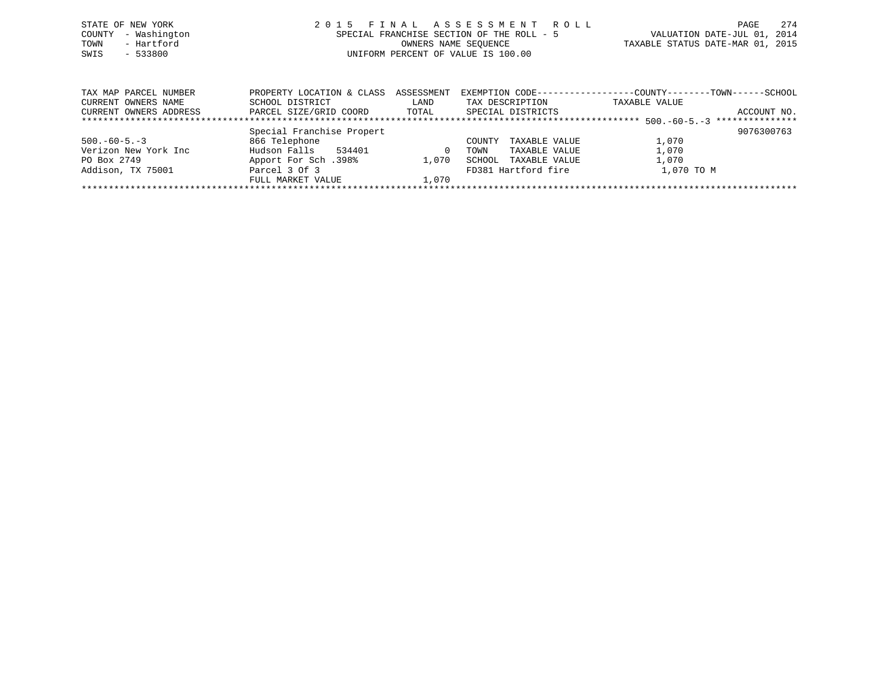|      | STATE OF NEW YORK   | 2015 FINAL ASSESSMENT ROLL                | 274<br>PAGE                      |
|------|---------------------|-------------------------------------------|----------------------------------|
|      | COUNTY - Washington | SPECIAL FRANCHISE SECTION OF THE ROLL - 5 | VALUATION DATE-JUL 01, 2014      |
| TOWN | - Hartford          | OWNERS NAME SEOUENCE                      | TAXABLE STATUS DATE-MAR 01, 2015 |
| SWIS | $-533800$           | UNIFORM PERCENT OF VALUE IS 100.00        |                                  |
|      |                     |                                           |                                  |
|      |                     |                                           |                                  |
|      |                     |                                           |                                  |

| TAX MAP PARCEL NUMBER  | PROPERTY LOCATION & CLASS ASSESSMENT |       |                         |               |             |
|------------------------|--------------------------------------|-------|-------------------------|---------------|-------------|
| CURRENT OWNERS NAME    | SCHOOL DISTRICT                      | LAND  | TAX DESCRIPTION         | TAXABLE VALUE |             |
| CURRENT OWNERS ADDRESS | PARCEL SIZE/GRID COORD               | TOTAL | SPECIAL DISTRICTS       |               | ACCOUNT NO. |
|                        |                                      |       |                         |               |             |
|                        | Special Franchise Propert            |       |                         |               | 9076300763  |
| $500. -60 - 5. -3$     | 866 Telephone                        |       | TAXABLE VALUE<br>COUNTY | 1,070         |             |
| Verizon New York Inc   | Hudson Falls<br>534401               |       | TAXABLE VALUE<br>TOWN   | 1,070         |             |
| PO Box 2749            | 198%. Apport For Sch                 | 1.070 | TAXABLE VALUE<br>SCHOOL | 1,070         |             |
| Addison, TX 75001      | Parcel 3 Of 3                        |       | FD381 Hartford fire     | 1,070 TO M    |             |
|                        | FULL MARKET VALUE                    | 1,070 |                         |               |             |
|                        |                                      |       |                         |               |             |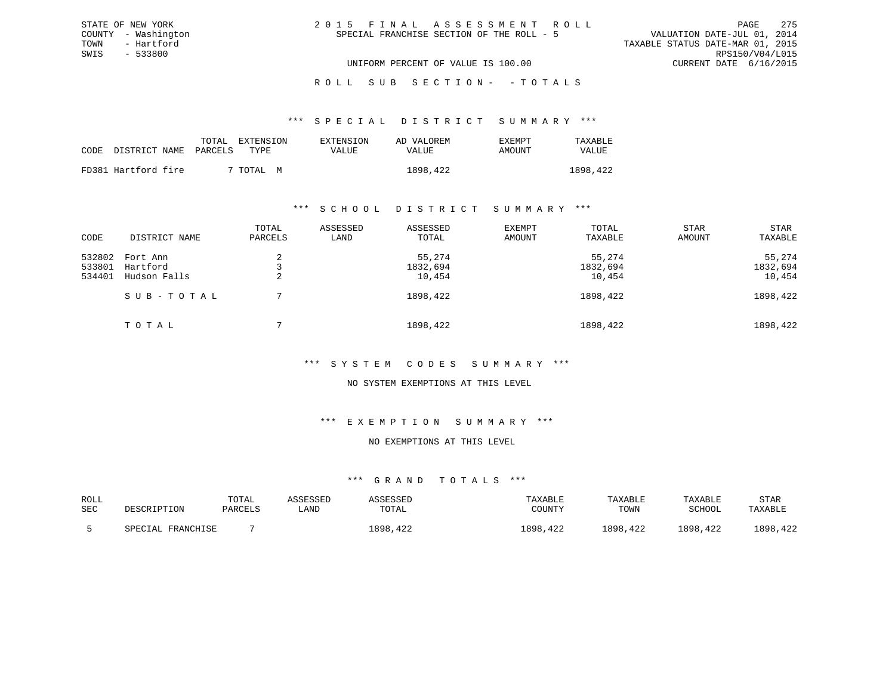| 2015 FINAL ASSESSMENT ROLL                | 2.75<br>PAGE                     |
|-------------------------------------------|----------------------------------|
| SPECIAL FRANCHISE SECTION OF THE ROLL - 5 | VALUATION DATE-JUL 01, 2014      |
|                                           | TAXABLE STATUS DATE-MAR 01, 2015 |
|                                           | RPS150/V04/L015                  |
| UNIFORM PERCENT OF VALUE IS 100.00        | CURRENT DATE 6/16/2015           |

ROLL SUB SECTION - - TOTALS

#### \*\*\* S P E C I A L D I S T R I C T S U M M A R Y \*\*\*

|      |                     | TOTAL   | EXTENSION    | EXTENSION | AD VALOREM | EXEMPT | TAXABLE  |
|------|---------------------|---------|--------------|-----------|------------|--------|----------|
| CODE | DISTRICT NAME       | PARCELS | TYPE.        | VALUE     | VALUE      | AMOUNT | VALUE    |
|      | FD381 Hartford fire |         | 7 TOTAL<br>M |           | 1898,422   |        | 1898,422 |

STATE OF NEW YORK COUNTY - Washington TOWN - Hartford SWIS - 533800

### \*\*\* S C H O O L D I S T R I C T S U M M A R Y \*\*\*

| CODE                       | DISTRICT NAME                        | TOTAL<br>PARCELS | ASSESSED<br>LAND | ASSESSED<br>TOTAL            | EXEMPT<br>AMOUNT | TOTAL<br>TAXABLE             | <b>STAR</b><br>AMOUNT | STAR<br>TAXABLE              |
|----------------------------|--------------------------------------|------------------|------------------|------------------------------|------------------|------------------------------|-----------------------|------------------------------|
| 532802<br>533801<br>534401 | Fort Ann<br>Hartford<br>Hudson Falls |                  |                  | 55,274<br>1832,694<br>10,454 |                  | 55,274<br>1832,694<br>10,454 |                       | 55,274<br>1832,694<br>10,454 |
|                            | SUB-TOTAL                            |                  |                  | 1898,422                     |                  | 1898,422                     |                       | 1898,422                     |
|                            | TOTAL                                |                  |                  | 1898,422                     |                  | 1898,422                     |                       | 1898,422                     |

### \*\*\* S Y S T E M C O D E S S U M M A R Y \*\*\*

### NO SYSTEM EXEMPTIONS AT THIS LEVEL

#### \*\*\* E X E M P T I O N S U M M A R Y \*\*\*

## NO EXEMPTIONS AT THIS LEVEL

| ROLL       |                   | TOTAL   | ASSESSED | <b>\SSESSED</b> | TAXABLE  | TAXABLE  | TAXABLE  | <b>STAR</b> |
|------------|-------------------|---------|----------|-----------------|----------|----------|----------|-------------|
| <b>SEC</b> | DESCRIPTION       | PARCELS | `AND     | TOTAL           | COUNTY   | TOWN     | SCHOOL   | TAXABLE     |
|            | SPECIAL FRANCHISE |         |          | 1898,422        | 1898,422 | 1898,422 | 1898,422 | 1898, 422   |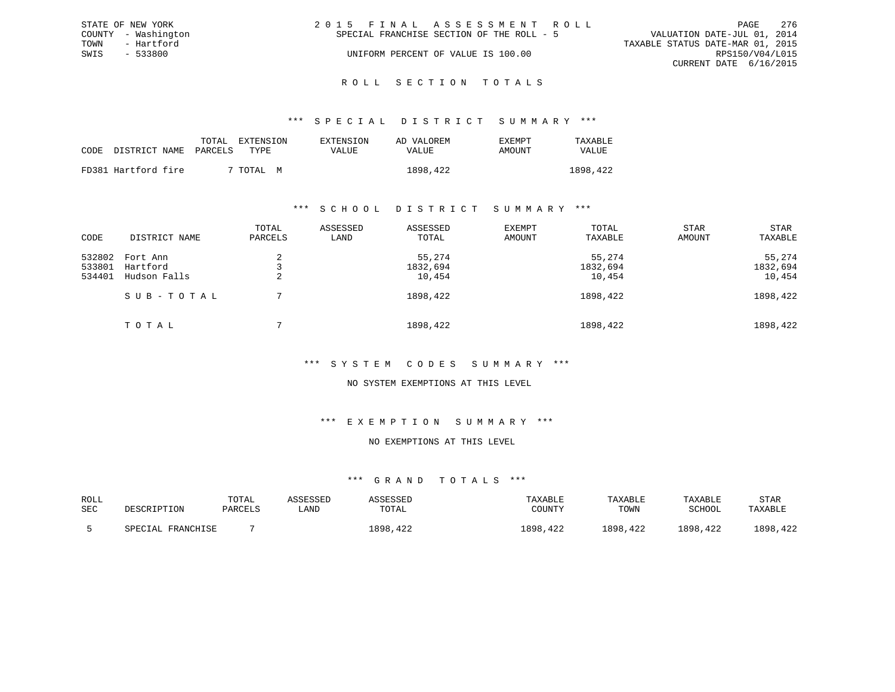|      | STATE OF NEW YORK   | 2015 FINAL ASSESSMENT ROLL                                               | PAGE            | 276 |
|------|---------------------|--------------------------------------------------------------------------|-----------------|-----|
|      | COUNTY - Washington | VALUATION DATE-JUL 01, 2014<br>SPECIAL FRANCHISE SECTION OF THE ROLL - 5 |                 |     |
| TOWN | - Hartford          | TAXABLE STATUS DATE-MAR 01, 2015                                         |                 |     |
| SWIS | $-533800$           | UNIFORM PERCENT OF VALUE IS 100.00                                       | RPS150/V04/L015 |     |
|      |                     | CURRENT DATE 6/16/2015                                                   |                 |     |
|      |                     |                                                                          |                 |     |

# ROLL SECTION TOTALS

### \*\*\* S P E C I A L D I S T R I C T S U M M A R Y \*\*\*

|      |                       | TOTAL<br>EXTENSION | EXTENSION | AD VALOREM | EXEMPT | TAXABLE  |
|------|-----------------------|--------------------|-----------|------------|--------|----------|
| CODE | DISTRICT NAME PARCELS | TYPE.              | VALUE     | VALUE      | AMOUNT | VALUE    |
|      | FD381 Hartford fire   | 7 TOTAL .<br>M     |           | 1898,422   |        | 1898,422 |

### \*\*\* S C H O O L D I S T R I C T S U M M A R Y \*\*\*

| CODE                       | DISTRICT NAME                        | TOTAL<br>PARCELS | ASSESSED<br>LAND | ASSESSED<br>TOTAL            | EXEMPT<br>AMOUNT | TOTAL<br>TAXABLE             | <b>STAR</b><br>AMOUNT | STAR<br>TAXABLE              |
|----------------------------|--------------------------------------|------------------|------------------|------------------------------|------------------|------------------------------|-----------------------|------------------------------|
| 532802<br>533801<br>534401 | Fort Ann<br>Hartford<br>Hudson Falls |                  |                  | 55,274<br>1832,694<br>10,454 |                  | 55,274<br>1832,694<br>10,454 |                       | 55,274<br>1832,694<br>10,454 |
|                            | SUB-TOTAL                            |                  |                  | 1898,422                     |                  | 1898,422                     |                       | 1898,422                     |
|                            | TOTAL                                |                  |                  | 1898,422                     |                  | 1898,422                     |                       | 1898,422                     |

### \*\*\* S Y S T E M C O D E S S U M M A R Y \*\*\*

### NO SYSTEM EXEMPTIONS AT THIS LEVEL

#### \*\*\* E X E M P T I O N S U M M A R Y \*\*\*

### NO EXEMPTIONS AT THIS LEVEL

| ROLL |                   | TOTAL   | ASSESSED | ASSESSED | TAXABLE   | TAXABLE  | TAXABLE  | <b>STAR</b> |
|------|-------------------|---------|----------|----------|-----------|----------|----------|-------------|
| SEC  | DESCRIPTION       | PARCELS | ≒AND     | TOTAL    | COUNTY    | TOWN     | SCHOOL   | TAXABLE     |
|      | SPECIAL FRANCHISE |         |          | 1898,422 | 1898, 422 | 1898,422 | 1898,422 | 1898, 422   |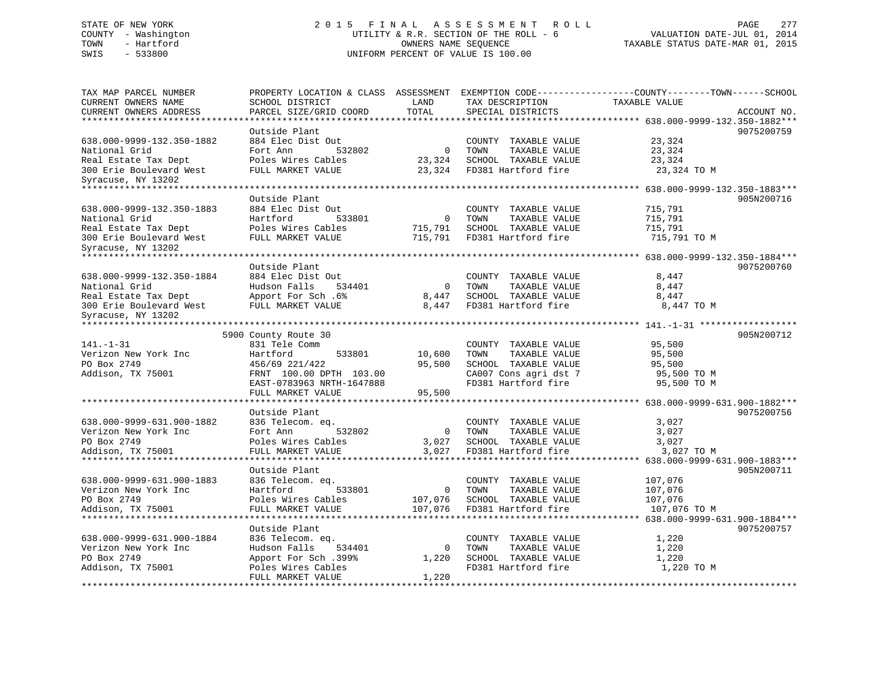# STATE OF NEW YORK 2 0 1 5 F I N A L A S S E S S M E N T R O L L PAGE 277 COUNTY - Washington UTILITY & R.R. SECTION OF THE ROLL - 6 VALUATION DATE-JUL 01, 2014 TOWN - Hartford **TAXABLE STATUS DATE-MAR 01, 2015** OWNERS NAME SEQUENCE TAXABLE STATUS DATE-MAR 01, 2015 SWIS - 533800 UNIFORM PERCENT OF VALUE IS 100.00

| TAX MAP PARCEL NUMBER<br>CURRENT OWNERS NAME<br>CURRENT OWNERS ADDRESS | PROPERTY LOCATION & CLASS ASSESSMENT<br>SCHOOL DISTRICT<br>PARCEL SIZE/GRID COORD | LAND<br>TOTAL  | TAX DESCRIPTION<br>SPECIAL DISTRICTS          | EXEMPTION CODE-----------------COUNTY-------TOWN------SCHOOL<br>TAXABLE VALUE<br>ACCOUNT NO. |
|------------------------------------------------------------------------|-----------------------------------------------------------------------------------|----------------|-----------------------------------------------|----------------------------------------------------------------------------------------------|
| *********************                                                  | *******************<br>Outside Plant                                              |                |                                               | ********************************* 638.000-9999-132.350-1882***<br>9075200759                 |
| 638.000-9999-132.350-1882                                              | 884 Elec Dist Out                                                                 |                | COUNTY TAXABLE VALUE                          | 23,324                                                                                       |
| National Grid                                                          | Fort Ann<br>532802                                                                | $\overline{0}$ | TAXABLE VALUE<br>TOWN                         | 23,324                                                                                       |
| Real Estate Tax Dept                                                   | Poles Wires Cables                                                                | 23,324         | SCHOOL TAXABLE VALUE                          | 23,324                                                                                       |
| 300 Erie Boulevard West                                                | FULL MARKET VALUE                                                                 | 23,324         | FD381 Hartford fire                           | 23,324 TO M                                                                                  |
| Syracuse, NY 13202                                                     |                                                                                   |                |                                               |                                                                                              |
| **************************                                             |                                                                                   |                |                                               |                                                                                              |
|                                                                        | Outside Plant                                                                     |                |                                               | 905N200716                                                                                   |
| 638.000-9999-132.350-1883                                              | 884 Elec Dist Out                                                                 |                | COUNTY TAXABLE VALUE                          | 715,791                                                                                      |
| National Grid                                                          | Hartford<br>533801                                                                | $\mathbf 0$    | TOWN<br>TAXABLE VALUE                         | 715,791                                                                                      |
| Real Estate Tax Dept                                                   | Poles Wires Cables                                                                | 715,791        | SCHOOL TAXABLE VALUE                          | 715,791                                                                                      |
| 300 Erie Boulevard West<br>Syracuse, NY 13202                          | FULL MARKET VALUE                                                                 | 715,791        | FD381 Hartford fire                           | 715,791 TO M                                                                                 |
| ************************                                               | ***********************                                                           |                |                                               |                                                                                              |
|                                                                        | Outside Plant                                                                     |                |                                               | 9075200760                                                                                   |
| 638.000-9999-132.350-1884                                              | 884 Elec Dist Out                                                                 |                | COUNTY TAXABLE VALUE                          | 8,447                                                                                        |
| National Grid                                                          | Hudson Falls<br>534401                                                            | $\Omega$       | TOWN<br>TAXABLE VALUE                         | 8,447                                                                                        |
| Real Estate Tax Dept                                                   | Apport For Sch. 6%                                                                | 8,447          | SCHOOL TAXABLE VALUE                          | 8,447                                                                                        |
| 300 Erie Boulevard West                                                | FULL MARKET VALUE                                                                 | 8,447          | FD381 Hartford fire                           | 8,447 TO M                                                                                   |
| Syracuse, NY 13202                                                     |                                                                                   |                |                                               |                                                                                              |
|                                                                        | 5900 County Route 30                                                              |                |                                               | 905N200712                                                                                   |
| $141. - 1 - 31$                                                        | 831 Tele Comm                                                                     |                | COUNTY TAXABLE VALUE                          | 95,500                                                                                       |
| Verizon New York Inc                                                   | Hartford<br>533801                                                                | 10,600         | TOWN<br>TAXABLE VALUE                         | 95,500                                                                                       |
| PO Box 2749                                                            | 456/69 221/422                                                                    | 95,500         | SCHOOL TAXABLE VALUE                          | 95,500                                                                                       |
| Addison, TX 75001                                                      | FRNT 100.00 DPTH 103.00                                                           |                | CA007 Cons agri dst 7                         | 95,500 TO M                                                                                  |
|                                                                        | EAST-0783963 NRTH-1647888                                                         |                | FD381 Hartford fire                           | 95,500 TO M                                                                                  |
|                                                                        | FULL MARKET VALUE                                                                 | 95,500         |                                               |                                                                                              |
|                                                                        |                                                                                   |                |                                               |                                                                                              |
|                                                                        | Outside Plant                                                                     |                |                                               | 9075200756                                                                                   |
| 638.000-9999-631.900-1882                                              | 836 Telecom. eq.                                                                  |                | COUNTY TAXABLE VALUE                          | 3,027                                                                                        |
| Verizon New York Inc                                                   | Fort Ann<br>532802                                                                | 0              | TOWN<br>TAXABLE VALUE                         | 3,027                                                                                        |
| PO Box 2749                                                            | Poles Wires Cables                                                                | 3,027          | SCHOOL TAXABLE VALUE                          | 3,027                                                                                        |
| Addison, TX 75001<br>*************************                         | FULL MARKET VALUE<br>********************                                         | 3,027          | FD381 Hartford fire                           | 3,027 TO M                                                                                   |
|                                                                        |                                                                                   |                |                                               |                                                                                              |
|                                                                        | Outside Plant                                                                     |                |                                               | 905N200711                                                                                   |
| 638.000-9999-631.900-1883<br>Verizon New York Inc                      | 836 Telecom. eq.<br>Hartford<br>533801                                            | 0              | COUNTY TAXABLE VALUE<br>TOWN<br>TAXABLE VALUE | 107,076<br>107,076                                                                           |
| PO Box 2749                                                            | Poles Wires Cables                                                                | 107,076        | SCHOOL TAXABLE VALUE                          | 107,076                                                                                      |
| Addison, TX 75001                                                      | FULL MARKET VALUE                                                                 | 107,076        | FD381 Hartford fire                           | 107,076 TO M                                                                                 |
|                                                                        |                                                                                   |                |                                               | ***************** 638.000-9999-631.900-1884***                                               |
|                                                                        | Outside Plant                                                                     |                |                                               | 9075200757                                                                                   |
| 638.000-9999-631.900-1884                                              | 836 Telecom. eq.                                                                  |                | COUNTY TAXABLE VALUE                          | 1,220                                                                                        |
| Verizon New York Inc                                                   | Hudson Falls<br>534401                                                            | $\Omega$       | TOWN<br>TAXABLE VALUE                         | 1,220                                                                                        |
| PO Box 2749                                                            | Apport For Sch.399%                                                               | 1,220          | SCHOOL TAXABLE VALUE                          | 1,220                                                                                        |
| Addison, TX 75001                                                      | Poles Wires Cables                                                                |                | FD381 Hartford fire                           | 1,220 TO M                                                                                   |
|                                                                        | FULL MARKET VALUE                                                                 | 1,220          |                                               |                                                                                              |
|                                                                        |                                                                                   |                |                                               |                                                                                              |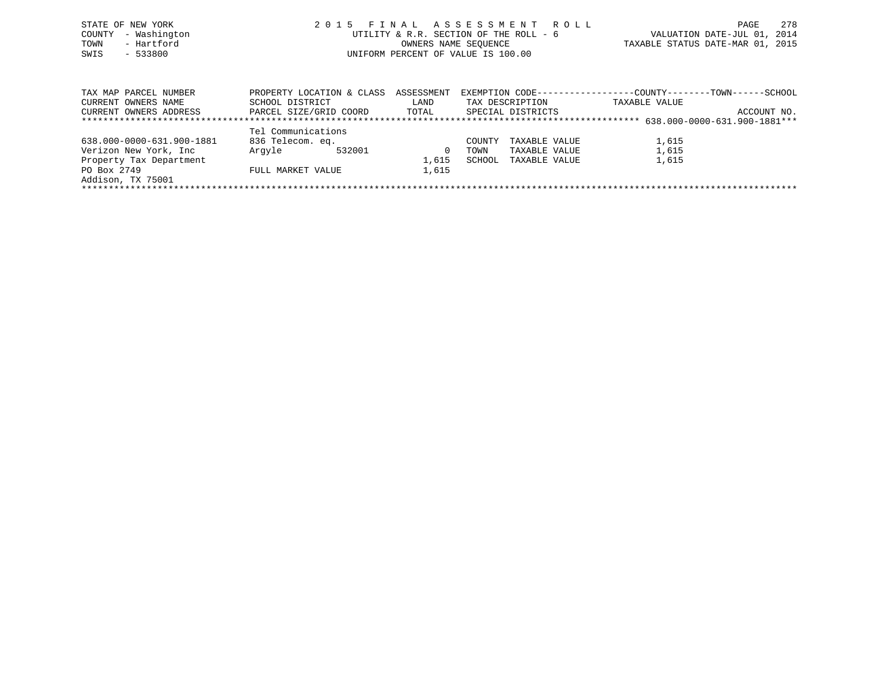| STATE OF NEW YORK<br>COUNTY - Washington<br>- Hartford<br>TOWN<br>$-533800$<br>SWIS | 2015 FINAL ASSESSMENT ROLL<br>UTILITY & R.R. SECTION OF THE ROLL - 6<br>OWNERS NAME SEOUENCE<br>UNIFORM PERCENT OF VALUE IS 100.00 | 2.78<br>PAGE<br>VALUATION DATE-JUL 01, 2014<br>TAXABLE STATUS DATE-MAR 01, 2015 |
|-------------------------------------------------------------------------------------|------------------------------------------------------------------------------------------------------------------------------------|---------------------------------------------------------------------------------|
| TAX MAP PARCEL NUMBER                                                               | PROPERTY LOCATION & CLASS ASSESSMENT EXEMPTION CODE---------------COUNTY-------TOWN-----SCHOOL                                     |                                                                                 |

|                           |                    |                        |       |        |                   |               | ----- | ------      |
|---------------------------|--------------------|------------------------|-------|--------|-------------------|---------------|-------|-------------|
| CURRENT OWNERS NAME       | SCHOOL DISTRICT    |                        | LAND  |        | TAX DESCRIPTION   | TAXABLE VALUE |       |             |
| CURRENT OWNERS ADDRESS    |                    | PARCEL SIZE/GRID COORD | TOTAL |        | SPECIAL DISTRICTS |               |       | ACCOUNT NO. |
|                           |                    |                        |       |        |                   |               |       |             |
|                           | Tel Communications |                        |       |        |                   |               |       |             |
| 638.000-0000-631.900-1881 | 836 Telecom. eq.   |                        |       | COUNTY | TAXABLE VALUE     | 1,615         |       |             |
| Verizon New York, Inc.    | Arqvle             | 532001                 |       | TOWN   | TAXABLE VALUE     | 1,615         |       |             |
| Property Tax Department   |                    |                        | 1,615 | SCHOOL | TAXABLE VALUE     | 1,615         |       |             |
| PO Box 2749               | FULL MARKET VALUE  |                        | 1,615 |        |                   |               |       |             |
| Addison, TX 75001         |                    |                        |       |        |                   |               |       |             |
|                           |                    |                        |       |        |                   |               |       |             |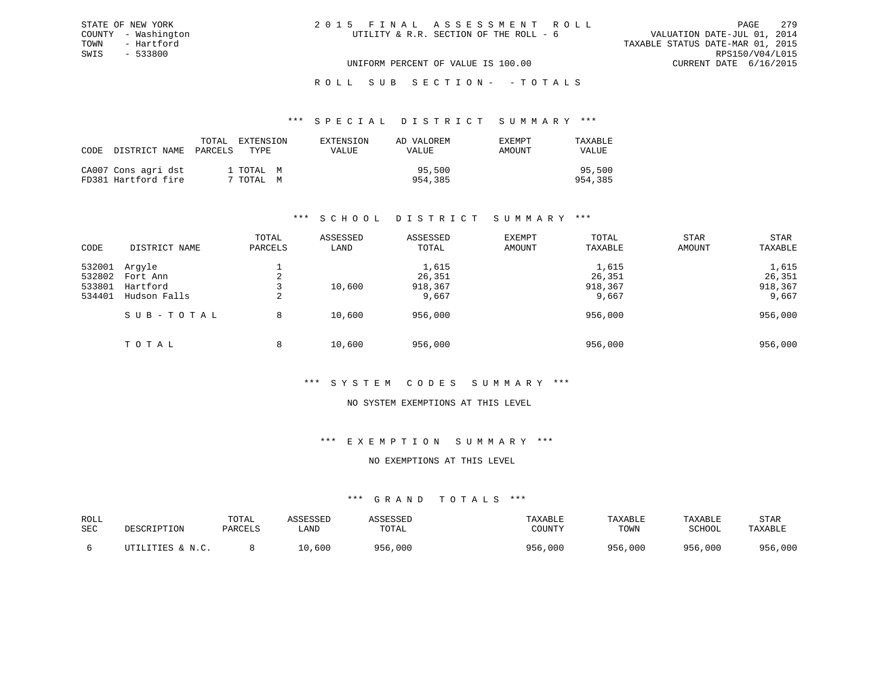#### \*\*\* S P E C I A L D I S T R I C T S U M M A R Y \*\*\*

|                            | TOTAL | EXTENSION | EXTENSION    | AD VALOREM | <b>EXEMPT</b> | TAXABLE |
|----------------------------|-------|-----------|--------------|------------|---------------|---------|
| CODE DISTRICT NAME PARCELS |       | TYPE.     | <b>VALUE</b> | VALUE      | AMOUNT        | VALUE   |
| CA007 Cons agri dst        |       | 1 TOTAL M |              | 95,500     |               | 95,500  |
| FD381 Hartford fire        |       | 7 TOTAL M |              | 954,385    |               | 954,385 |

### \*\*\* S C H O O L D I S T R I C T S U M M A R Y \*\*\*

|        |               | TOTAL   | ASSESSED | ASSESSED | <b>EXEMPT</b> | TOTAL   | <b>STAR</b> | <b>STAR</b> |
|--------|---------------|---------|----------|----------|---------------|---------|-------------|-------------|
| CODE   | DISTRICT NAME | PARCELS | LAND     | TOTAL    | AMOUNT        | TAXABLE | AMOUNT      | TAXABLE     |
| 532001 | Arqyle        |         |          | 1,615    |               | 1,615   |             | 1,615       |
| 532802 | Fort Ann      | 2       |          | 26,351   |               | 26,351  |             | 26,351      |
| 533801 | Hartford      |         | 10,600   | 918,367  |               | 918,367 |             | 918,367     |
| 534401 | Hudson Falls  | 2       |          | 9,667    |               | 9,667   |             | 9,667       |
|        | SUB-TOTAL     | 8       | 10,600   | 956,000  |               | 956,000 |             | 956,000     |
|        | TOTAL         | 8       | 10,600   | 956,000  |               | 956,000 |             | 956,000     |

### \*\*\* S Y S T E M C O D E S S U M M A R Y \*\*\*

#### NO SYSTEM EXEMPTIONS AT THIS LEVEL

### \*\*\* E X E M P T I O N S U M M A R Y \*\*\*

### NO EXEMPTIONS AT THIS LEVEL

| ROLL<br>SEC | DESCRIPTION      | TOTAL<br>PARCELS | ASSESSED<br>LAND | ASSESSED<br>TOTAL | TAXABLE<br>COUNTY | TAXABLE<br>TOWN | TAXABLE<br>SCHOOL | STAR<br>TAXABLE |
|-------------|------------------|------------------|------------------|-------------------|-------------------|-----------------|-------------------|-----------------|
|             | UTILITIES & N.C. |                  | 10,600           | 956,000           | 956,000           | 956,000         | 956,000           | 956,000         |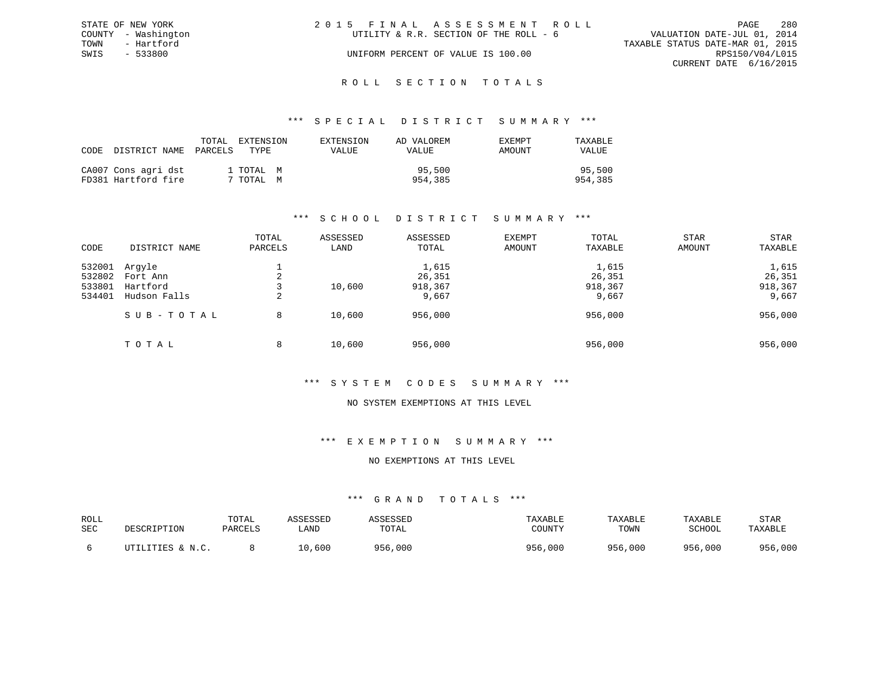|      | STATE OF NEW YORK   | 2015 FINAL ASSESSMENT ROLL                                            |                        | PAGE | 280 |
|------|---------------------|-----------------------------------------------------------------------|------------------------|------|-----|
|      | COUNTY - Washington | VALUATION DATE-JUL 01, 2014<br>UTILITY & R.R. SECTION OF THE ROLL - 6 |                        |      |     |
| TOWN | - Hartford          | TAXABLE STATUS DATE-MAR 01, 2015                                      |                        |      |     |
| SWIS | - 533800            | UNIFORM PERCENT OF VALUE IS 100.00                                    | RPS150/V04/L015        |      |     |
|      |                     |                                                                       | CURRENT DATE 6/16/2015 |      |     |
|      |                     |                                                                       |                        |      |     |

# ROLL SECTION TOTALS

### \*\*\* S P E C I A L D I S T R I C T S U M M A R Y \*\*\*

| CODE | DISTRICT NAME                              | TOTAL<br>PARCELS | EXTENSION<br>TYPE    | EXTENSION<br>VALUE | AD VALOREM<br>VALUE | EXEMPT<br>AMOUNT | TAXABLE<br><b>VALUE</b> |
|------|--------------------------------------------|------------------|----------------------|--------------------|---------------------|------------------|-------------------------|
|      | CA007 Cons agri dst<br>FD381 Hartford fire |                  | 1 TOTAL M<br>TOTAL M |                    | 95,500<br>954,385   |                  | 95,500<br>954,385       |

## \*\*\* S C H O O L D I S T R I C T S U M M A R Y \*\*\*

|        |               | TOTAL          | ASSESSED | ASSESSED | <b>EXEMPT</b> | TOTAL   | <b>STAR</b> | <b>STAR</b> |
|--------|---------------|----------------|----------|----------|---------------|---------|-------------|-------------|
| CODE   | DISTRICT NAME | PARCELS        | LAND     | TOTAL    | AMOUNT        | TAXABLE | AMOUNT      | TAXABLE     |
| 532001 | Arqyle        |                |          | 1,615    |               | 1,615   |             | 1,615       |
| 532802 | Fort Ann      | $\mathfrak{D}$ |          | 26,351   |               | 26,351  |             | 26,351      |
| 533801 | Hartford      |                | 10,600   | 918,367  |               | 918,367 |             | 918,367     |
| 534401 | Hudson Falls  | 2              |          | 9,667    |               | 9,667   |             | 9,667       |
|        | SUB-TOTAL     | 8              | 10,600   | 956,000  |               | 956,000 |             | 956,000     |
|        | TOTAL         | 8              | 10,600   | 956,000  |               | 956,000 |             | 956,000     |

### \*\*\* S Y S T E M C O D E S S U M M A R Y \*\*\*

#### NO SYSTEM EXEMPTIONS AT THIS LEVEL

### \*\*\* E X E M P T I O N S U M M A R Y \*\*\*

## NO EXEMPTIONS AT THIS LEVEL

| ROLL<br>SEC | DESCRIPTION      | TOTAL<br>PARCELS | ASSESSED<br>LAND | ASSESSED<br>TOTAL | TAXABLE<br>COUNTY | TAXABLE<br>TOWN | TAXABLE<br>SCHOOL | STAR<br>TAXABLE |
|-------------|------------------|------------------|------------------|-------------------|-------------------|-----------------|-------------------|-----------------|
|             | UTILITIES & N.C. |                  | 10,600           | 956,000           | 956,000           | 956,000         | 956,000           | 956,000         |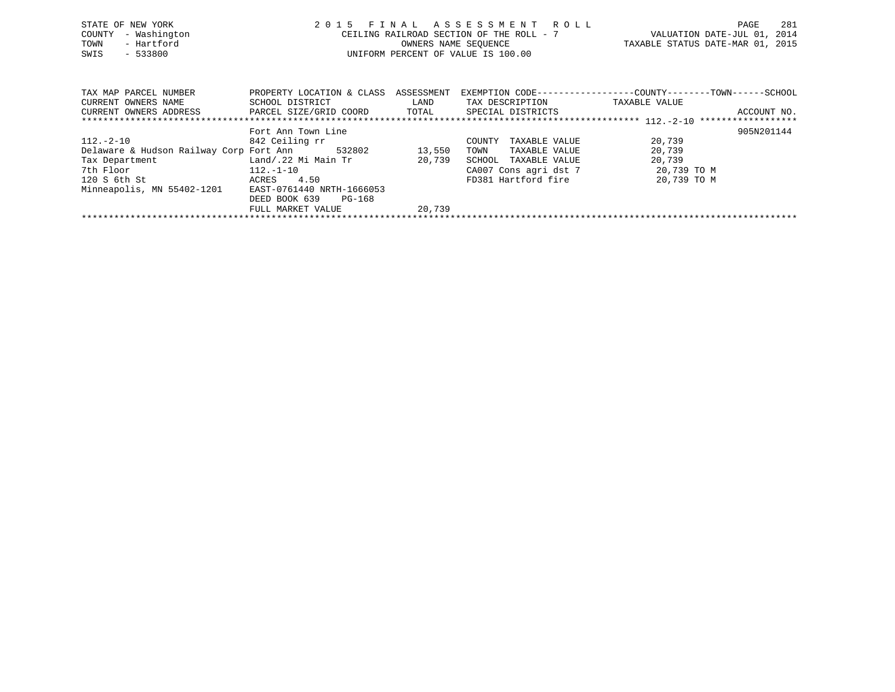| STATE OF NEW YORK<br>- Washington<br>COUNTY<br>- Hartford<br>TOWN<br>$-533800$<br>SWIS                                  |                                                         | OWNERS NAME SEOUENCE | 2015 FINAL ASSESSMENT ROLL<br>CEILING RAILROAD SECTION OF THE ROLL - 7<br>UNIFORM PERCENT OF VALUE IS 100.00 | TAXABLE STATUS DATE-MAR 01, 2015 | 281<br>PAGE<br>VALUATION DATE-JUL 01, 2014 |
|-------------------------------------------------------------------------------------------------------------------------|---------------------------------------------------------|----------------------|--------------------------------------------------------------------------------------------------------------|----------------------------------|--------------------------------------------|
| TAX MAP PARCEL NUMBER<br>CURRENT OWNERS NAME<br>CURRENT OWNERS ADDRESS             PARCEL SIZE/GRID COORD         TOTAL | PROPERTY LOCATION & CLASS ASSESSMENT<br>SCHOOL DISTRICT | LAND                 | EXEMPTION CODE-----------------COUNTY-------TOWN------SCHOOL<br>TAX DESCRIPTION<br>SPECIAL DISTRICTS         | TAXABLE VALUE                    | ACCOUNT NO.                                |
|                                                                                                                         |                                                         |                      |                                                                                                              |                                  |                                            |
|                                                                                                                         | Fort Ann Town Line                                      |                      |                                                                                                              |                                  | 905N201144                                 |
| 112.-2-10                                                                                                               | 842 Ceiling rr                                          |                      | TAXABLE VALUE<br>COUNTY                                                                                      | 20,739                           |                                            |
| Delaware & Hudson Railway Corp Fort Ann                                                                                 | 532802                                                  | 13,550               | TOWN<br>TAXABLE VALUE                                                                                        | 20,739                           |                                            |
| Tax Department                                                                                                          | Land/.22 Mi Main Tr                                     | 20,739               | SCHOOL<br>TAXABLE VALUE                                                                                      | 20,739                           |                                            |
| 7th Floor                                                                                                               | $112.-1-10$                                             |                      | CA007 Cons agri dst 7                                                                                        | 20,739 TO M                      |                                            |
| 120 S 6th St                                                                                                            | 4.50<br>ACRES                                           |                      | FD381 Hartford fire                                                                                          | 20,739 TO M                      |                                            |

Minneapolis, MN 55402-1201 EAST-0761440 NRTH-1666053

 DEED BOOK 639 PG-168FULL MARKET VALUE 20,739 \*\*\*\*\*\*\*\*\*\*\*\*\*\*\*\*\*\*\*\*\*\*\*\*\*\*\*\*\*\*\*\*\*\*\*\*\*\*\*\*\*\*\*\*\*\*\*\*\*\*\*\*\*\*\*\*\*\*\*\*\*\*\*\*\*\*\*\*\*\*\*\*\*\*\*\*\*\*\*\*\*\*\*\*\*\*\*\*\*\*\*\*\*\*\*\*\*\*\*\*\*\*\*\*\*\*\*\*\*\*\*\*\*\*\*\*\*\*\*\*\*\*\*\*\*\*\*\*\*\*\*\*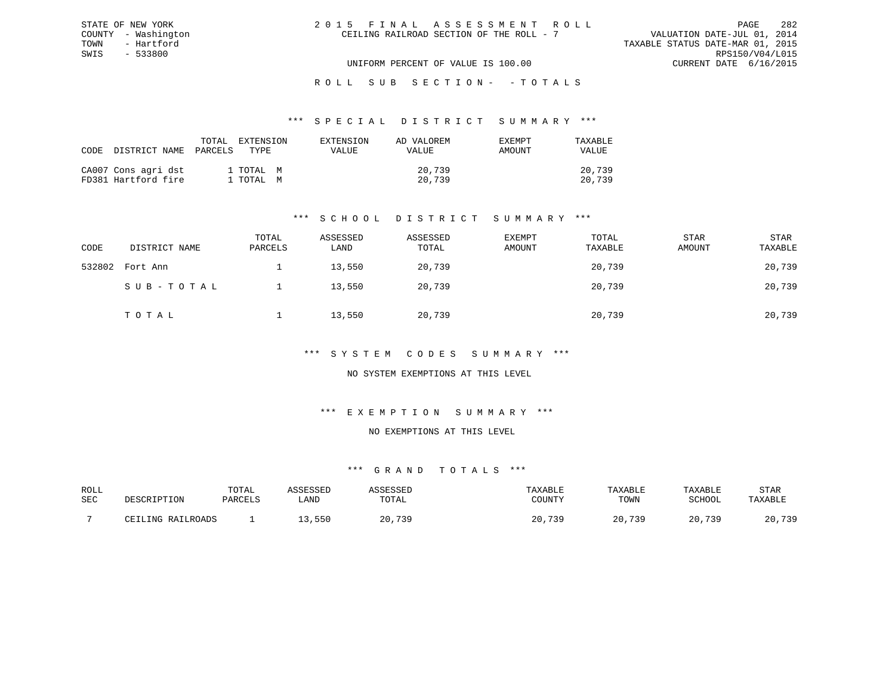| 2015 FINAL ASSESSMENT ROLL               | 282<br>PAGE                      |
|------------------------------------------|----------------------------------|
| CEILING RAILROAD SECTION OF THE ROLL - 7 | VALUATION DATE-JUL 01, 2014      |
|                                          | TAXABLE STATUS DATE-MAR 01, 2015 |
|                                          | RPS150/V04/L015                  |
| UNIFORM PERCENT OF VALUE IS 100.00       | CURRENT DATE 6/16/2015           |

#### \*\*\* S P E C I A L D I S T R I C T S U M M A R Y \*\*\*

| CODE DISTRICT NAME PARCELS                 | TOTAL | EXTENSION<br>TYPE.     | EXTENSION<br><b>VALUE</b> | AD VALOREM<br>VALUE | EXEMPT<br>AMOUNT | TAXABLE<br>VALUE |
|--------------------------------------------|-------|------------------------|---------------------------|---------------------|------------------|------------------|
| CA007 Cons agri dst<br>FD381 Hartford fire |       | 1 TOTAL M<br>1 TOTAL M |                           | 20,739<br>20,739    |                  | 20,739<br>20,739 |

STATE OF NEW YORK COUNTY - Washington TOWN - Hartford SWIS - 533800

## \*\*\* S C H O O L D I S T R I C T S U M M A R Y \*\*\*

| CODE   | DISTRICT NAME | TOTAL<br>PARCELS | ASSESSED<br>LAND | ASSESSED<br>TOTAL | EXEMPT<br>AMOUNT | TOTAL<br>TAXABLE | STAR<br>AMOUNT | STAR<br>TAXABLE |
|--------|---------------|------------------|------------------|-------------------|------------------|------------------|----------------|-----------------|
| 532802 | Fort Ann      |                  | 13,550           | 20,739            |                  | 20,739           |                | 20,739          |
|        | SUB-TOTAL     |                  | 13,550           | 20,739            |                  | 20,739           |                | 20,739          |
|        | TOTAL         |                  | 13,550           | 20,739            |                  | 20,739           |                | 20,739          |

### \*\*\* S Y S T E M C O D E S S U M M A R Y \*\*\*

## NO SYSTEM EXEMPTIONS AT THIS LEVEL

### \*\*\* E X E M P T I O N S U M M A R Y \*\*\*

#### NO EXEMPTIONS AT THIS LEVEL

| ROLL       |                                     | TOTAL   | <b>\CCTCCT</b> |       | TAXABLE                | TAXABLE   | TAXABLE       | STAR         |
|------------|-------------------------------------|---------|----------------|-------|------------------------|-----------|---------------|--------------|
| <b>SEC</b> | DESCRIPTION                         | PARCELS | LAND           | TOTAL | CCTINTTY<br>+ :UUN'I ⊥ | TOWN      | <b>SCHOOL</b> | TAXABLE      |
|            | RAILROADS<br>T. TNIC<br>$\sqrt{17}$ |         | ,550           | 720   | 739<br>20              | 739<br>20 | 720<br>20     | 739<br>ر ر ، |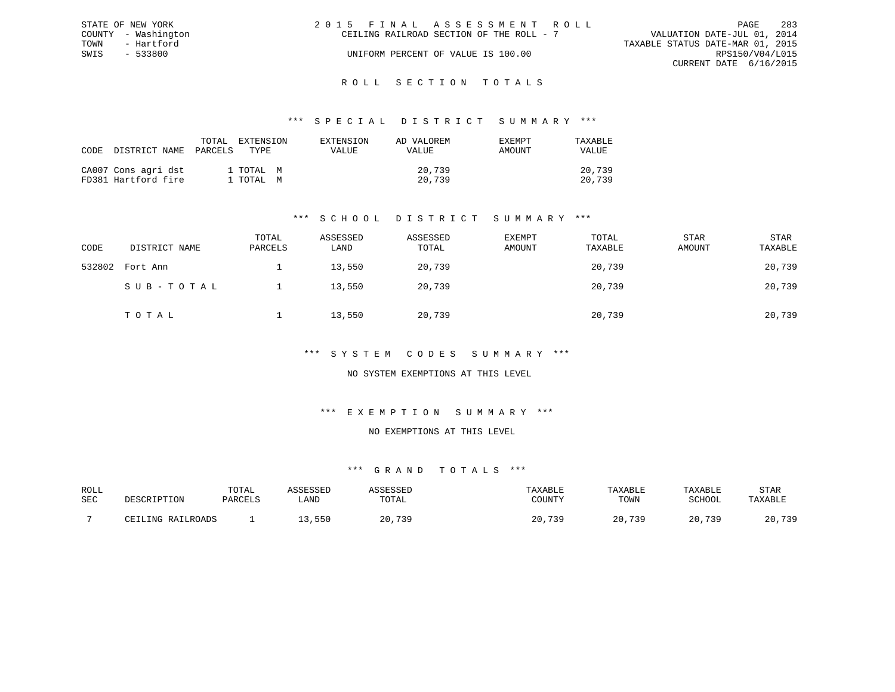| STATE OF NEW YORK   | 2015 FINAL ASSESSMENT ROLL               | 283<br>PAGE                      |
|---------------------|------------------------------------------|----------------------------------|
| COUNTY - Washington | CEILING RAILROAD SECTION OF THE ROLL - 7 | VALUATION DATE-JUL 01, 2014      |
| TOWN<br>- Hartford  |                                          | TAXABLE STATUS DATE-MAR 01, 2015 |
| SWIS<br>- 533800    | UNIFORM PERCENT OF VALUE IS 100.00       | RPS150/V04/L015                  |
|                     |                                          | CURRENT DATE 6/16/2015           |
|                     |                                          |                                  |

### R O L L S E C T I O N T O T A L S

### \*\*\* S P E C I A L D I S T R I C T S U M M A R Y \*\*\*

| CODE | DISTRICT NAME                              | TOTAL<br>PARCELS | EXTENSION<br>TYPE.     | EXTENSION<br>VALUE | AD VALOREM<br><b>VALUE</b> | EXEMPT<br>AMOUNT | TAXABLE<br>VALUE |
|------|--------------------------------------------|------------------|------------------------|--------------------|----------------------------|------------------|------------------|
|      | CA007 Cons agri dst<br>FD381 Hartford fire |                  | 1 ТОТАL М<br>1 ТОТАL М |                    | 20,739<br>20,739           |                  | 20,739<br>20,739 |

## \*\*\* S C H O O L D I S T R I C T S U M M A R Y \*\*\*

| CODE   | DISTRICT NAME | TOTAL<br>PARCELS | ASSESSED<br>LAND | ASSESSED<br>TOTAL | <b>EXEMPT</b><br>AMOUNT | TOTAL<br>TAXABLE | <b>STAR</b><br>AMOUNT | STAR<br>TAXABLE |
|--------|---------------|------------------|------------------|-------------------|-------------------------|------------------|-----------------------|-----------------|
| 532802 | Fort Ann      |                  | 13,550           | 20,739            |                         | 20,739           |                       | 20,739          |
|        | SUB-TOTAL     |                  | 13,550           | 20,739            |                         | 20,739           |                       | 20,739          |
|        | TOTAL         |                  | 13,550           | 20,739            |                         | 20,739           |                       | 20,739          |

### \*\*\* S Y S T E M C O D E S S U M M A R Y \*\*\*

## NO SYSTEM EXEMPTIONS AT THIS LEVEL

# \*\*\* E X E M P T I O N S U M M A R Y \*\*\*

#### NO EXEMPTIONS AT THIS LEVEL

| ROLL | TOTAL  |      |            |            | $\Delta$ $\rm H$ $\rm H$ | ABL.                | STAR             |
|------|--------|------|------------|------------|--------------------------|---------------------|------------------|
| SEC  | דסומתח | ∟AND | 1 A I      | CCTINTEM   | TOWN                     | COUOOT              |                  |
|      |        |      |            |            |                          |                     |                  |
|      |        | 55C  | $\sqrt{2}$ | 720<br>2 U | 720                      | 720<br>$\cap$<br>∠∪ | 72 C<br>n r<br>. |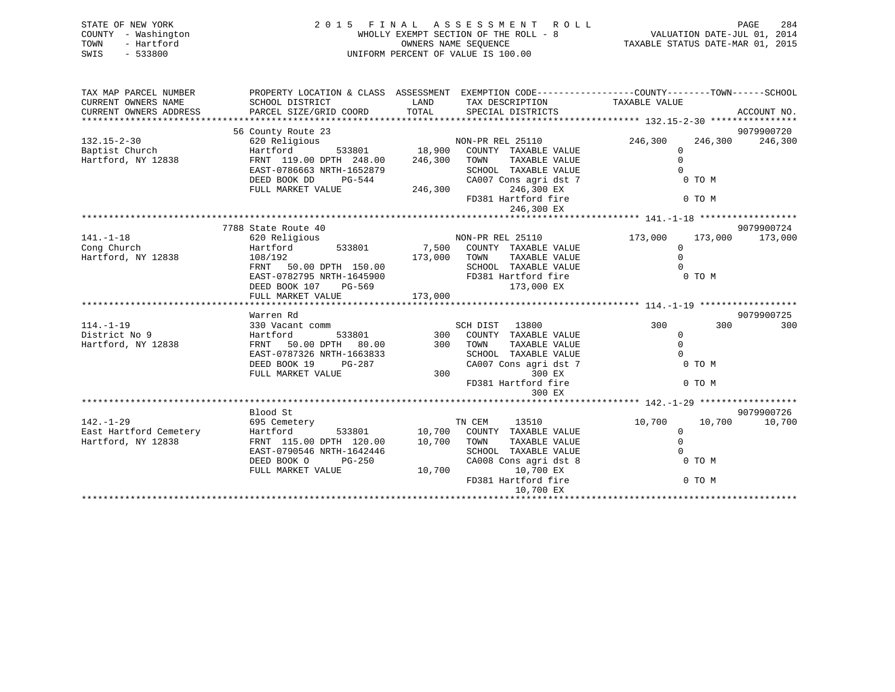| STATE OF NEW YORK<br>COUNTY - Washington<br>- Hartford<br>TOWN<br>SWIS<br>$-533800$ | 2015 FINAL                                                                                                         | WHOLLY EXEMPT SECTION OF THE ROLL - 8<br>OWNERS NAME SEQUENCE<br>UNIFORM PERCENT OF VALUE IS 100.00 |                  | ASSESSMENT ROLL                               | VALUATION DATE-JUL 01, 2014<br>TAXABLE STATUS DATE-MAR 01, 2015 |              | PAGE<br>284 |
|-------------------------------------------------------------------------------------|--------------------------------------------------------------------------------------------------------------------|-----------------------------------------------------------------------------------------------------|------------------|-----------------------------------------------|-----------------------------------------------------------------|--------------|-------------|
| TAX MAP PARCEL NUMBER<br>CURRENT OWNERS NAME                                        | PROPERTY LOCATION & CLASS ASSESSMENT EXEMPTION CODE----------------COUNTY-------TOWN-----SCHOOL<br>SCHOOL DISTRICT | LAND                                                                                                |                  | TAX DESCRIPTION                               | TAXABLE VALUE                                                   |              |             |
| CURRENT OWNERS ADDRESS                                                              | PARCEL SIZE/GRID COORD                                                                                             | TOTAL                                                                                               |                  | SPECIAL DISTRICTS                             |                                                                 |              | ACCOUNT NO. |
|                                                                                     |                                                                                                                    |                                                                                                     |                  |                                               |                                                                 |              |             |
|                                                                                     | 56 County Route 23                                                                                                 |                                                                                                     |                  |                                               |                                                                 |              | 9079900720  |
| $132.15 - 2 - 30$                                                                   | 620 Religious                                                                                                      |                                                                                                     | NON-PR REL 25110 |                                               | 246,300                                                         | 246,300      | 246,300     |
| Baptist Church                                                                      | Hartford<br>533801                                                                                                 |                                                                                                     |                  | 18,900 COUNTY TAXABLE VALUE                   | 0                                                               |              |             |
| Hartford, NY 12838                                                                  | FRNT 119.00 DPTH 248.00                                                                                            | 246,300                                                                                             | TOWN             | TAXABLE VALUE                                 | $\Omega$                                                        | $\Omega$     |             |
|                                                                                     | EAST-0786663 NRTH-1652879<br>DEED BOOK DD                                                                          |                                                                                                     |                  | SCHOOL TAXABLE VALUE<br>CA007 Cons agri dst 7 |                                                                 | 0 TO M       |             |
|                                                                                     | PG-544<br>FULL MARKET VALUE                                                                                        | 246,300                                                                                             |                  | 246,300 EX                                    |                                                                 |              |             |
|                                                                                     |                                                                                                                    |                                                                                                     |                  | FD381 Hartford fire                           |                                                                 | 0 TO M       |             |
|                                                                                     |                                                                                                                    |                                                                                                     |                  | 246,300 EX                                    |                                                                 |              |             |
|                                                                                     |                                                                                                                    |                                                                                                     |                  |                                               |                                                                 |              |             |
|                                                                                     | 7788 State Route 40                                                                                                |                                                                                                     |                  |                                               |                                                                 |              | 9079900724  |
| $141. - 1 - 18$                                                                     | 620 Religious                                                                                                      |                                                                                                     | NON-PR REL 25110 |                                               | 173,000                                                         | 173,000      | 173,000     |
| Cong Church                                                                         | Hartford<br>533801                                                                                                 |                                                                                                     |                  | 7,500 COUNTY TAXABLE VALUE                    | $\mathbf{0}$                                                    |              |             |
| Hartford, NY 12838                                                                  | 108/192                                                                                                            | 173,000 TOWN                                                                                        |                  | TAXABLE VALUE                                 | $\mathbf{0}$                                                    |              |             |
|                                                                                     | 50.00 DPTH 150.00<br>FRNT                                                                                          |                                                                                                     |                  | SCHOOL TAXABLE VALUE                          |                                                                 |              |             |
|                                                                                     | EAST-0782795 NRTH-1645900<br>DEED BOOK 107<br>PG-569                                                               |                                                                                                     |                  | FD381 Hartford fire<br>173,000 EX             |                                                                 | 0 TO M       |             |
|                                                                                     | FULL MARKET VALUE                                                                                                  | 173,000                                                                                             |                  |                                               |                                                                 |              |             |
|                                                                                     |                                                                                                                    |                                                                                                     |                  |                                               |                                                                 |              |             |
|                                                                                     | Warren Rd                                                                                                          |                                                                                                     |                  |                                               |                                                                 |              | 9079900725  |
| $114. - 1 - 19$                                                                     | 330 Vacant comm                                                                                                    |                                                                                                     | SCH DIST         | 13800                                         | 300                                                             | 300          | 300         |
| District No 9                                                                       | 533801<br>Hartford                                                                                                 | 300                                                                                                 |                  | COUNTY TAXABLE VALUE                          |                                                                 | $\mathbf{0}$ |             |
| Hartford, NY 12838                                                                  | 50.00 DPTH 80.00<br>FRNT                                                                                           | 300                                                                                                 | TOWN             | TAXABLE VALUE                                 | $\mathbf{0}$                                                    |              |             |
|                                                                                     | EAST-0787326 NRTH-1663833                                                                                          |                                                                                                     |                  | SCHOOL TAXABLE VALUE                          |                                                                 | $\cap$       |             |
|                                                                                     | DEED BOOK 19<br>$PG-287$                                                                                           |                                                                                                     |                  | CA007 Cons agri dst 7                         |                                                                 | 0 TO M       |             |
|                                                                                     | FULL MARKET VALUE                                                                                                  | 300                                                                                                 |                  | 300 EX<br>FD381 Hartford fire                 |                                                                 | 0 TO M       |             |
|                                                                                     |                                                                                                                    |                                                                                                     |                  | 300 EX                                        |                                                                 |              |             |
|                                                                                     |                                                                                                                    |                                                                                                     |                  |                                               |                                                                 |              |             |
|                                                                                     | Blood St                                                                                                           |                                                                                                     |                  |                                               |                                                                 |              | 9079900726  |
| $142. - 1 - 29$                                                                     | 695 Cemetery                                                                                                       |                                                                                                     | TN CEM           | 13510                                         | 10,700                                                          | 10,700       | 10,700      |

East Hartford Cemetery Hartford 533801 10,700 COUNTY TAXABLE VALUE 0

EAST-0790546 NRTH-1642446 SCHOOL TAXABLE VALUE

DEED BOOK O PG-250 CA008 Cons agri dst 8<br>FULL MARKET VALUE 10,700 10,700 EX

\*\*\*\*\*\*\*\*\*\*\*\*\*\*\*\*\*\*\*\*\*\*\*\*\*\*\*\*\*\*\*\*\*\*\*\*\*\*\*\*\*\*\*\*\*\*\*\*\*\*\*\*\*\*\*\*\*\*\*\*\*\*\*\*\*\*\*\*\*\*\*\*\*\*\*\*\*\*\*\*\*\*\*\*\*\*\*\*\*\*\*\*\*\*\*\*\*\*\*\*\*\*\*\*\*\*\*\*\*\*\*\*\*\*\*\*\*\*\*\*\*\*\*\*\*\*\*\*\*\*\*\*

0<br>0 TO M

FD381 Hartford fire 0 TO M

10,700 EX

FRNT 115.00 DPTH 120.00

FULL MARKET VALUE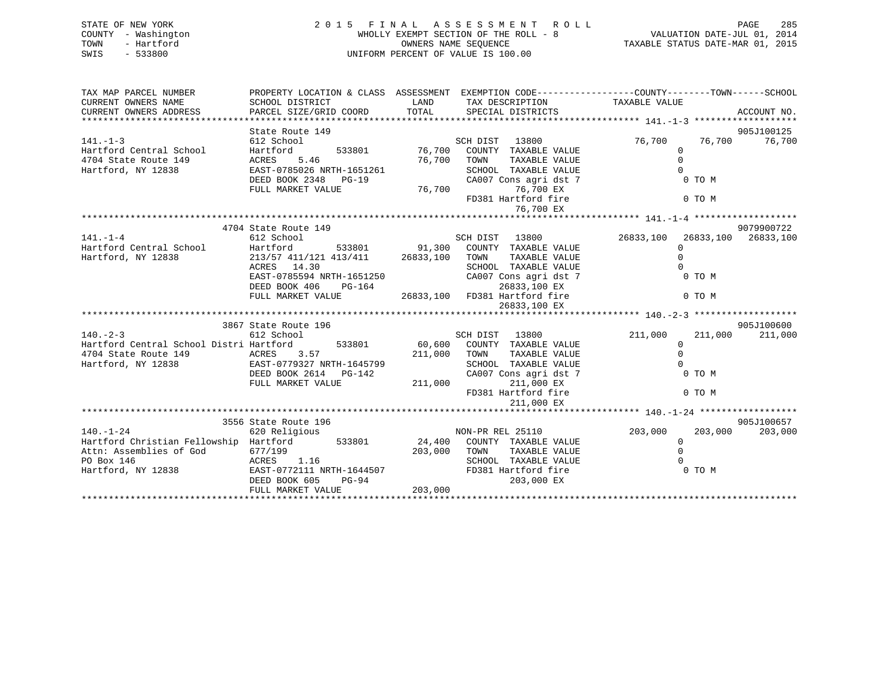| STATE OF NEW YORK<br>COUNTY - Washington<br>- Hartford<br>TOWN<br>SWIS - 533800 | 2 0 1 5 F I N A L A S S E S S M E N T R (WHOLLY EXEMPT SECTION OF THE ROLL - 8<br>WHOLLY EXEMPT SECTION OF THE ROLL - 8<br>OWNERS NAME SEQUENCE<br>UNIFORM PERCENT OF VALUE IS 100.00 | PAGE 285 A S S E S S M E N T R O L L<br>WHOLLY EXEMPT SECTION OF THE ROLL - 8 VALUATION DATE-JUL 01, 2014<br>OWNERS NAME SEQUENCE TAXABLE STATUS DATE-MAR 01, 2015 |                               |                                                               |  |  |  |  |  |
|---------------------------------------------------------------------------------|---------------------------------------------------------------------------------------------------------------------------------------------------------------------------------------|--------------------------------------------------------------------------------------------------------------------------------------------------------------------|-------------------------------|---------------------------------------------------------------|--|--|--|--|--|
| TAX MAP PARCEL NUMBER TROPERTY LOCATION & CLASS ASSESSMENT                      |                                                                                                                                                                                       |                                                                                                                                                                    |                               | EXEMPTION CODE-----------------COUNTY--------TOWN------SCHOOL |  |  |  |  |  |
| CURRENT OWNERS NAME SCHOOL DISTRICT                                             |                                                                                                                                                                                       | <b>LAND</b>                                                                                                                                                        | TAX DESCRIPTION TAXABLE VALUE |                                                               |  |  |  |  |  |
| CURRENT OWNERS ADDRESS PARCEL SIZE/GRID COORD TOTAL SPECIAL DISTRICTS           |                                                                                                                                                                                       |                                                                                                                                                                    |                               | ACCOUNT NO.                                                   |  |  |  |  |  |
|                                                                                 |                                                                                                                                                                                       |                                                                                                                                                                    |                               |                                                               |  |  |  |  |  |
| $141. - 1 - 3$                                                                  | State Route 149<br>612 School                                                                                                                                                         |                                                                                                                                                                    |                               | 905J100125<br>76,700 76,700 76,700                            |  |  |  |  |  |
| Hartford Central School Hartford 533801 76,700 COUNTY TAXABLE VALUE             |                                                                                                                                                                                       |                                                                                                                                                                    | SCH DIST 13800                | 0                                                             |  |  |  |  |  |
| 4704 State Route 149                                                            |                                                                                                                                                                                       |                                                                                                                                                                    | TAXABLE VALUE<br>TOWN         |                                                               |  |  |  |  |  |
| Hartford, NY 12838                                                              | ACRES 5.46 76,700<br>EAST-0785026 NRTH-1651261 76,700                                                                                                                                 |                                                                                                                                                                    | SCHOOL TAXABLE VALUE          |                                                               |  |  |  |  |  |
|                                                                                 |                                                                                                                                                                                       |                                                                                                                                                                    |                               | 0 TO M                                                        |  |  |  |  |  |
|                                                                                 | DEED BOOK 2348 PG-19 CA007 Cons agri dst 7<br>FULL MARKET VALUE 76,700 76,700 EX                                                                                                      |                                                                                                                                                                    |                               |                                                               |  |  |  |  |  |
|                                                                                 |                                                                                                                                                                                       |                                                                                                                                                                    | FD381 Hartford fire           | 0 TO M                                                        |  |  |  |  |  |
|                                                                                 |                                                                                                                                                                                       |                                                                                                                                                                    | 76,700 EX                     |                                                               |  |  |  |  |  |
|                                                                                 |                                                                                                                                                                                       |                                                                                                                                                                    |                               |                                                               |  |  |  |  |  |
|                                                                                 | 4704 State Route 149                                                                                                                                                                  |                                                                                                                                                                    |                               | 9079900722                                                    |  |  |  |  |  |
| $141. -1 - 4$                                                                   | 612 School                                                                                                                                                                            |                                                                                                                                                                    | SCH DIST 13800                | 26833,100 26833,100 26833,100                                 |  |  |  |  |  |
| Hartford Central School                                                         | Hartford 533801 91,300 COUNTY TAXABLE VALUE                                                                                                                                           |                                                                                                                                                                    |                               | <sup>0</sup>                                                  |  |  |  |  |  |
| Hartford, NY 12838                                                              | 213/57 411/121 413/411 26833,100                                                                                                                                                      |                                                                                                                                                                    | TOWN<br>TAXABLE VALUE         |                                                               |  |  |  |  |  |
|                                                                                 | ACRES 14.30                                                                                                                                                                           |                                                                                                                                                                    | TAXABLE VALUE<br>SCHOOL       |                                                               |  |  |  |  |  |
|                                                                                 | EAST-0785594 NRTH-1651250                                                                                                                                                             |                                                                                                                                                                    | CA007 Cons agri dst 7         | 0 TO M                                                        |  |  |  |  |  |
|                                                                                 | DEED BOOK 406 PG-164                                                                                                                                                                  |                                                                                                                                                                    | 26833,100 EX                  |                                                               |  |  |  |  |  |
|                                                                                 | FULL MARKET VALUE                                                                                                                                                                     |                                                                                                                                                                    | 26833,100 FD381 Hartford fire | 0 TO M                                                        |  |  |  |  |  |

|                                         |                           |         | 26833,100 EX            |         |                    |
|-----------------------------------------|---------------------------|---------|-------------------------|---------|--------------------|
|                                         |                           |         |                         |         |                    |
|                                         | 3867 State Route 196      |         |                         |         | 905J100600         |
| $140. -2 - 3$                           | 612 School                |         | 13800<br>SCH DIST       | 211,000 | 211,000<br>211,000 |
| Hartford Central School Distri Hartford | 533801                    | 60,600  | COUNTY<br>TAXABLE VALUE |         |                    |
| 4704 State Route 149                    | ACRES 3.57                | 211,000 | TOWN<br>TAXABLE VALUE   |         |                    |
| Hartford, NY 12838                      | EAST-0779327 NRTH-1645799 |         | SCHOOL<br>TAXABLE VALUE |         |                    |
|                                         | DEED BOOK 2614 PG-142     |         | CA007 Cons agri dst 7   |         | 0 TO M             |
|                                         | FULL MARKET VALUE         | 211,000 | 211,000 EX              |         |                    |
|                                         |                           |         | FD381 Hartford fire     |         | 0 TO M             |
|                                         |                           |         | 211,000 EX              |         |                    |
|                                         |                           |         |                         |         |                    |
|                                         | 3556 State Route 196      |         |                         |         | 905J100657         |
| $140. - 1 - 24$                         | 620 Religious             |         | NON-PR REL 25110        | 203,000 | 203,000<br>203,000 |
| Hartford Christian Fellowship           | Hartford 533801           | 24,400  | COUNTY TAXABLE VALUE    |         |                    |
| Attn: Assemblies of God                 | 677/199                   | 203,000 | TAXABLE VALUE<br>TOWN   |         |                    |
| PO Box 146                              | ACRES 1.16                |         | TAXABLE VALUE<br>SCHOOL |         |                    |
| Hartford, NY 12838                      | EAST-0772111 NRTH-1644507 |         | FD381 Hartford fire     |         | 0 TO M             |
|                                         | DEED BOOK 605<br>PG-94    |         | 203,000 EX              |         |                    |
|                                         | FULL MARKET VALUE         | 203,000 |                         |         |                    |
|                                         |                           |         |                         |         |                    |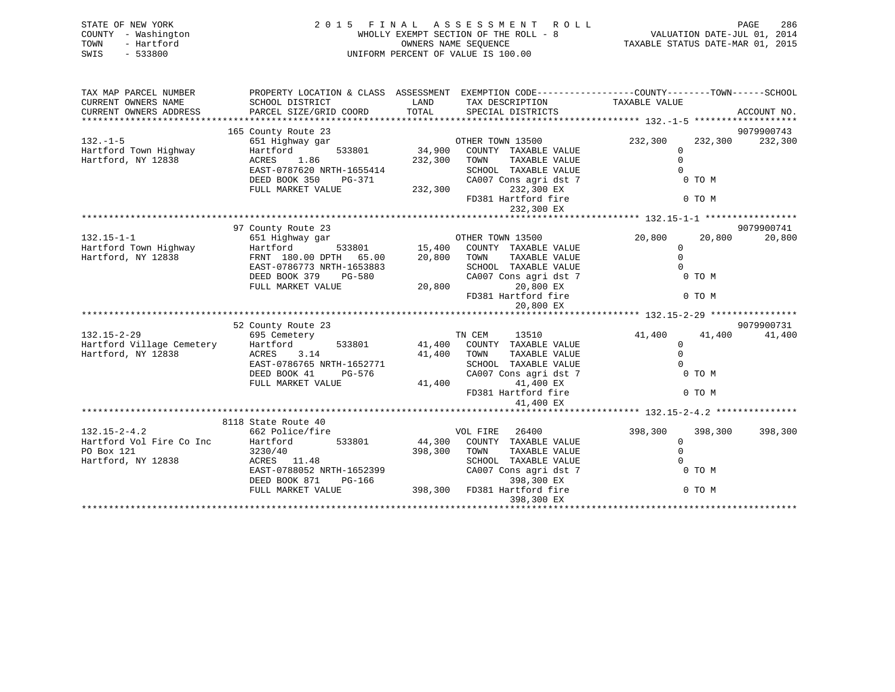| STATE OF NEW YORK<br>COUNTY - Washington<br>TOWN<br>- Hartford<br>SWIS<br>$-533800$ | 2015 FINAL ASSESSMENT ROLL<br>WHOLLY EXEMPT SECTION OF THE ROLL - 8<br>UNIFORM PERCENT OF VALUE IS 100.00                                    | PAGE<br>286<br>PAGE 286 PAGE 286<br>VALUATION DATE-JUL 01, 2014<br>TAXABLE STATUS DATE-MAR 01, 2015 |                                                                                                                                                                     |                                 |                             |             |
|-------------------------------------------------------------------------------------|----------------------------------------------------------------------------------------------------------------------------------------------|-----------------------------------------------------------------------------------------------------|---------------------------------------------------------------------------------------------------------------------------------------------------------------------|---------------------------------|-----------------------------|-------------|
| TAX MAP PARCEL NUMBER<br>CURRENT OWNERS NAME<br>CURRENT OWNERS ADDRESS              | SCHOOL DISTRICT<br>PARCEL SIZE/GRID COORD                                                                                                    | LAND<br>TOTAL                                                                                       | PROPERTY LOCATION & CLASS ASSESSMENT EXEMPTION CODE----------------COUNTY-------TOWN-----SCHOOL<br>TAX DESCRIPTION<br>SPECIAL DISTRICTS                             | TAXABLE VALUE                   |                             | ACCOUNT NO. |
|                                                                                     | 165 County Route 23                                                                                                                          |                                                                                                     |                                                                                                                                                                     |                                 |                             | 9079900743  |
| $132. -1 - 5$<br>Hartford Town Highway<br>Hartford, NY 12838                        | 651 Highway gar<br>533801<br>Hartford<br>1.86<br>ACRES<br>EAST-0787620 NRTH-1655414<br>DEED BOOK 350<br>PG-371<br>FULL MARKET VALUE          | 34,900<br>232,300 TOWN<br>232,300                                                                   | OTHER TOWN 13500<br>COUNTY TAXABLE VALUE<br>TAXABLE VALUE<br>SCHOOL TAXABLE VALUE<br>CA007 Cons agri dst 7<br>232,300 EX<br>FD381 Hartford fire<br>232,300 EX       | 232,300<br>$\Omega$<br>$\Omega$ | 232,300<br>0 TO M<br>0 TO M | 232,300     |
|                                                                                     |                                                                                                                                              |                                                                                                     |                                                                                                                                                                     |                                 |                             |             |
|                                                                                     | 97 County Route 23                                                                                                                           |                                                                                                     |                                                                                                                                                                     |                                 |                             | 9079900741  |
| $132.15 - 1 - 1$<br>Hartford Town Highway<br>Hartford, NY 12838                     | 651 Highway gar<br>533801<br>Hartford<br>FRNT 180.00 DPTH 65.00<br>EAST-0786773 NRTH-1653883<br>DEED BOOK 379<br>PG-580<br>FULL MARKET VALUE | 15,400<br>20,800<br>20,800                                                                          | OTHER TOWN 13500<br>COUNTY TAXABLE VALUE<br>TAXABLE VALUE<br>TOWN<br>SCHOOL TAXABLE VALUE<br>CA007 Cons agri dst 7<br>20,800 EX<br>FD381 Hartford fire<br>20,800 EX | 20,800<br>0<br>$\Omega$         | 20,800<br>0 TO M<br>0 TO M  | 20,800      |
|                                                                                     |                                                                                                                                              |                                                                                                     |                                                                                                                                                                     |                                 |                             |             |
|                                                                                     | 52 County Route 23                                                                                                                           |                                                                                                     |                                                                                                                                                                     |                                 |                             | 9079900731  |
| $132.15 - 2 - 29$<br>Hartford Village Cemetery<br>Hartford, NY 12838                | 695 Cemetery<br>Hartford<br>533801<br>ACRES<br>3.14<br>EAST-0786765 NRTH-1652771<br>DEED BOOK 41<br><b>PG-576</b>                            | 41,400 TOWN                                                                                         | TN CEM<br>13510<br>41,400 COUNTY TAXABLE VALUE<br>TAXABLE VALUE<br>SCHOOL TAXABLE VALUE<br>CA007 Cons agri dst 7                                                    | 41,400<br>0                     | 41,400<br>0 TO M            | 41,400      |

|                          | FULL MARKET VALUE         | 41,400  |          | 41,400 EX             |                    |         |
|--------------------------|---------------------------|---------|----------|-----------------------|--------------------|---------|
|                          |                           |         |          | FD381 Hartford fire   | 0 TO M             |         |
|                          |                           |         |          | 41,400 EX             |                    |         |
|                          |                           |         |          |                       |                    |         |
|                          | 8118 State Route 40       |         |          |                       |                    |         |
| $132.15 - 2 - 4.2$       | 662 Police/fire           |         | VOL FIRE | 26400                 | 398,300<br>398,300 | 398,300 |
| Hartford Vol Fire Co Inc | Hartford<br>533801        | 44,300  | COUNTY   | TAXABLE VALUE         |                    |         |
| PO Box 121               | 3230/40                   | 398,300 | TOWN     | TAXABLE VALUE         |                    |         |
| Hartford, NY 12838       | ACRES 11.48               |         | SCHOOL   | TAXABLE VALUE         |                    |         |
|                          | EAST-0788052 NRTH-1652399 |         |          | CA007 Cons agri dst 7 | 0 TO M             |         |
|                          | DEED BOOK 871<br>PG-166   |         |          | 398,300 EX            |                    |         |
|                          | FULL MARKET VALUE         | 398,300 |          | FD381 Hartford fire   | 0 TO M             |         |
|                          |                           |         |          | 398,300 EX            |                    |         |
|                          |                           |         |          |                       |                    |         |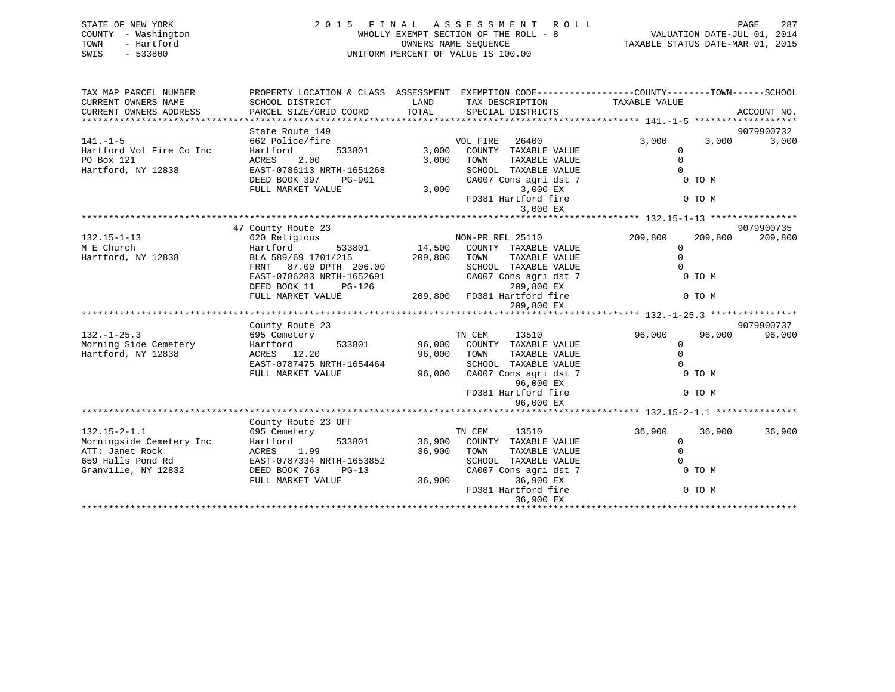| STATE OF NEW YORK<br>- Washington<br>COUNTY<br>- Hartford<br>TOWN<br>$-533800$<br>SWIS | A S S E S S M E N T<br>2015<br>FINAL<br>R O L L<br>WHOLLY EXEMPT SECTION OF THE ROLL - 8<br>OWNERS NAME SEOUENCE<br>UNIFORM PERCENT OF VALUE IS 100.00 |                             |                                                                                                                           | TAXABLE STATUS DATE-MAR 01, 2015                                               | 287<br>PAGE<br>VALUATION DATE-JUL 01, 2014 |
|----------------------------------------------------------------------------------------|--------------------------------------------------------------------------------------------------------------------------------------------------------|-----------------------------|---------------------------------------------------------------------------------------------------------------------------|--------------------------------------------------------------------------------|--------------------------------------------|
| TAX MAP PARCEL NUMBER<br>CURRENT OWNERS NAME<br>CURRENT OWNERS ADDRESS                 | PROPERTY LOCATION & CLASS<br>SCHOOL DISTRICT<br>PARCEL SIZE/GRID COORD                                                                                 | ASSESSMENT<br>LAND<br>TOTAL | TAX DESCRIPTION<br>SPECIAL DISTRICTS                                                                                      | EXEMPTION CODE-----------------COUNTY--------TOWN------SCHOOL<br>TAXABLE VALUE | ACCOUNT NO.                                |
|                                                                                        | State Route 149                                                                                                                                        |                             |                                                                                                                           |                                                                                | 9079900732                                 |
| $141. - 1 - 5$<br>Hartford Vol Fire Co Inc<br>PO Box 121<br>Hartford, NY 12838         | 662 Police/fire<br>Hartford<br>533801<br>2.00<br>ACRES<br>EAST-0786113 NRTH-1651268<br>DEED BOOK 397<br><b>PG-901</b>                                  | 3,000<br>3,000              | 26400<br>VOL FIRE<br>COUNTY<br>TAXABLE VALUE<br>TOWN<br>TAXABLE VALUE<br>SCHOOL<br>TAXABLE VALUE<br>CA007 Cons agri dst 7 | 3,000<br>0 TO M                                                                | 3,000<br>3,000                             |

|                          | DEED BOOK 397<br><b>PG-901</b><br>FULL MARKET VALUE | 3,000   | CA007 Cons agri dst 7<br>3,000 EX                                 | 0 TO M      |                    |
|--------------------------|-----------------------------------------------------|---------|-------------------------------------------------------------------|-------------|--------------------|
|                          |                                                     |         | FD381 Hartford fire<br>3,000 EX                                   | 0 TO M      |                    |
|                          |                                                     |         |                                                                   |             |                    |
|                          | 47 County Route 23                                  |         |                                                                   |             | 9079900735         |
| $132.15 - 1 - 13$        | 620 Religious                                       |         | NON-PR REL 25110                                                  | 209,800     | 209,800<br>209,800 |
| M E Church               | Hartford<br>533801                                  | 14,500  | COUNTY TAXABLE VALUE                                              | 0           |                    |
| Hartford, NY 12838       | BLA 589/69 1701/215                                 | 209,800 | TOWN<br>TAXABLE VALUE                                             | $\Omega$    |                    |
|                          | 87.00 DPTH 206.00<br>FRNT                           |         | SCHOOL TAXABLE VALUE                                              | $\cap$      |                    |
|                          | EAST-0786283 NRTH-1652691                           |         | CA007 Cons agri dst 7                                             | 0 TO M      |                    |
|                          | DEED BOOK 11<br>$PG-126$                            |         | 209,800 EX                                                        |             |                    |
|                          | FULL MARKET VALUE                                   | 209,800 | FD381 Hartford fire                                               | 0 TO M      |                    |
|                          |                                                     |         | 209,800 EX                                                        |             |                    |
|                          | **************************************              |         | **************************************32.-1-25.3 **************** |             |                    |
|                          | County Route 23                                     |         |                                                                   |             | 9079900737         |
| $132. - 1 - 25.3$        | 695 Cemetery                                        |         | 13510<br>TN CEM                                                   | 96,000      | 96,000<br>96,000   |
| Morning Side Cemetery    | Hartford<br>533801                                  | 96,000  | COUNTY TAXABLE VALUE                                              | $\Omega$    |                    |
| Hartford, NY 12838       | ACRES 12.20                                         | 96,000  | TOWN<br>TAXABLE VALUE                                             | $\Omega$    |                    |
|                          | EAST-0787475 NRTH-1654464                           |         | SCHOOL TAXABLE VALUE                                              |             |                    |
|                          | FULL MARKET VALUE                                   | 96,000  | CA007 Cons agri dst 7<br>96,000 EX                                | 0 TO M      |                    |
|                          |                                                     |         | FD381 Hartford fire                                               | 0 TO M      |                    |
|                          |                                                     |         | 96,000 EX                                                         |             |                    |
|                          |                                                     |         |                                                                   |             |                    |
|                          | County Route 23 OFF                                 |         |                                                                   |             |                    |
| $132.15 - 2 - 1.1$       | 695 Cemetery                                        |         | TN CEM<br>13510                                                   | 36,900      | 36,900<br>36,900   |
| Morningside Cemetery Inc | Hartford<br>533801                                  | 36,900  | COUNTY TAXABLE VALUE                                              | 0           |                    |
| ATT: Janet Rock          | 1.99<br>ACRES                                       | 36,900  | TOWN<br>TAXABLE VALUE                                             | $\mathbf 0$ |                    |
| 659 Halls Pond Rd        | EAST-0787334 NRTH-1653852                           |         | SCHOOL<br>TAXABLE VALUE                                           |             |                    |
| Granville, NY 12832      | DEED BOOK 763<br>$PG-13$                            |         | CA007 Cons agri dst 7                                             | 0 TO M      |                    |
|                          | FULL MARKET VALUE                                   | 36,900  | 36,900 EX                                                         |             |                    |
|                          |                                                     |         | FD381 Hartford fire                                               | 0 TO M      |                    |
|                          |                                                     |         | 36,900 EX                                                         |             |                    |
|                          |                                                     |         |                                                                   |             |                    |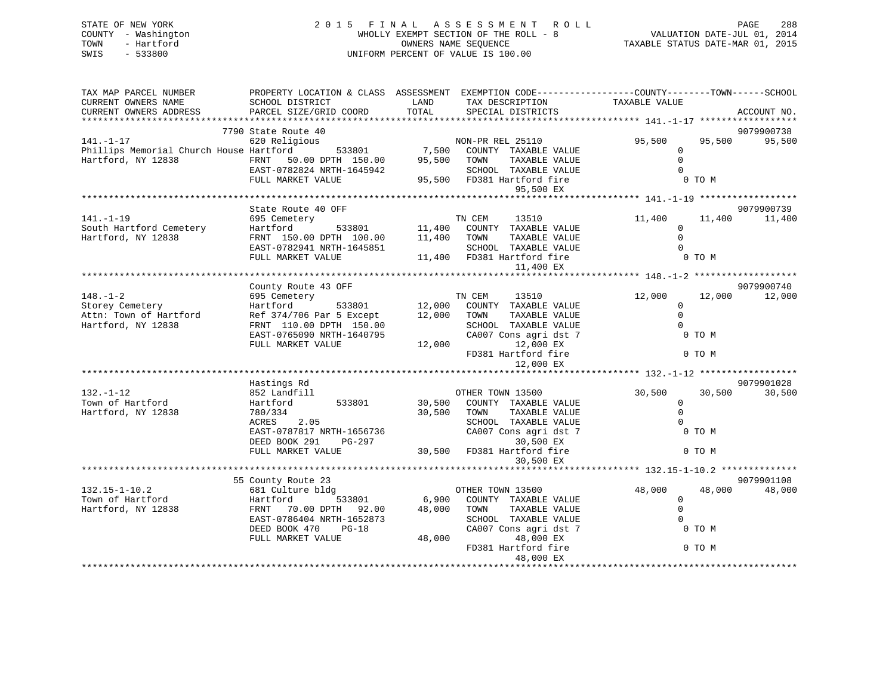| STATE OF NEW YORK   | 2015 FINAL ASSESSMENT ROLL            | 288<br>PAGE                      |
|---------------------|---------------------------------------|----------------------------------|
| COUNTY - Washington | WHOLLY EXEMPT SECTION OF THE ROLL - 8 | VALUATION DATE-JUL 01, 2014      |
| TOWN<br>- Hartford  | OWNERS NAME SEOUENCE                  | TAXABLE STATUS DATE-MAR 01, 2015 |
| SWIS - 533800       | UNIFORM PERCENT OF VALUE IS 100.00    |                                  |
|                     |                                       |                                  |

| TAX MAP PARCEL NUMBER                                         | PROPERTY LOCATION & CLASS ASSESSMENT EXEMPTION CODE----------------COUNTY-------TOWN-----SCHOOL                                                                                                                                |                  |                                                                                                                              |                |                  |
|---------------------------------------------------------------|--------------------------------------------------------------------------------------------------------------------------------------------------------------------------------------------------------------------------------|------------------|------------------------------------------------------------------------------------------------------------------------------|----------------|------------------|
| CURRENT OWNERS NAME                                           | SCHOOL DISTRICT                                                                                                                                                                                                                | LAND             | TAX DESCRIPTION                                                                                                              | TAXABLE VALUE  |                  |
| CURRENT OWNERS ADDRESS                                        | PARCEL SIZE/GRID COORD                                                                                                                                                                                                         |                  | TOTAL SPECIAL DISTRICTS                                                                                                      |                | ACCOUNT NO.      |
|                                                               |                                                                                                                                                                                                                                |                  |                                                                                                                              |                |                  |
|                                                               | 7790 State Route 40                                                                                                                                                                                                            |                  |                                                                                                                              |                | 9079900738       |
| $141. - 1 - 17$                                               | 620 Religious                                                                                                                                                                                                                  |                  |                                                                                                                              | 95,500         | 95,500<br>95,500 |
| Phillips Memorial Church House Hartford                       |                                                                                                                                                                                                                                |                  | ous<br>533801 7,500 COUNTY TAXABLE VALUE                                                                                     | $\Omega$       |                  |
| Hartford, NY 12838                                            | 20011<br>FRNT 50.00 DPTH 150.00<br>EAST-0782824 NPTH 1645040                                                                                                                                                                   | 95,500 TOWN      | TAXABLE VALUE                                                                                                                | $\Omega$       |                  |
|                                                               |                                                                                                                                                                                                                                |                  |                                                                                                                              |                |                  |
|                                                               | FULL MARKET VALUE                                                                                                                                                                                                              |                  | 1645942 SCHOOL TAXABLE VALUE 0<br>95,500 FD381 Hartford fire 0 TO M                                                          |                |                  |
|                                                               |                                                                                                                                                                                                                                |                  | 95,500 EX                                                                                                                    |                |                  |
|                                                               |                                                                                                                                                                                                                                |                  |                                                                                                                              |                |                  |
|                                                               | State Route 40 OFF                                                                                                                                                                                                             |                  |                                                                                                                              |                | 9079900739       |
| $141. - 1 - 19$                                               | 695 Cemetery                                                                                                                                                                                                                   |                  |                                                                                                                              | 11,400         | 11,400<br>11,400 |
| South Hartford Cemetery                                       | Hartford                                                                                                                                                                                                                       |                  | $\begin{tabular}{lllllll} \bf TN & \bf CEM & 13510 \\ \bf 533801 & 11,400 & \bf COUNTY & \bf TAXABLE VALUE \\ \end{tabular}$ | $\Omega$       |                  |
| Hartford, NY 12838                                            |                                                                                                                                                                                                                                |                  | TAXABLE VALUE                                                                                                                | $\Omega$       |                  |
|                                                               | FRNT 150.00 DPTH 100.00 11,400 TOWN                                                                                                                                                                                            |                  |                                                                                                                              | $\Omega$       |                  |
|                                                               | EAST-0782941 NRTH-1645851                                                                                                                                                                                                      |                  | SCHOOL TAXABLE VALUE                                                                                                         |                |                  |
|                                                               | FULL MARKET VALUE                                                                                                                                                                                                              |                  |                                                                                                                              | 0 TO M         |                  |
|                                                               |                                                                                                                                                                                                                                |                  | 11,400 EX                                                                                                                    |                |                  |
|                                                               |                                                                                                                                                                                                                                |                  |                                                                                                                              |                |                  |
|                                                               | County Route 43 OFF                                                                                                                                                                                                            |                  |                                                                                                                              |                | 9079900740       |
| $148. - 1 - 2$                                                | 695 Cemetery                                                                                                                                                                                                                   |                  | EXTEM 13510<br>533801 12,000 COUNTY TAXABLE VALUE                                                                            | 12,000         | 12,000<br>12,000 |
| Storey Cemetery<br>Attn: Town of Hartford<br>Attn: Town 19938 | Hartford                                                                                                                                                                                                                       |                  |                                                                                                                              | $\mathbf 0$    |                  |
|                                                               | Ref 374/706 Par 5 Except 12,000 TOWN                                                                                                                                                                                           |                  | TAXABLE VALUE                                                                                                                | $\Omega$       |                  |
|                                                               | FRNT 110.00 DPTH 150.00                                                                                                                                                                                                        |                  | SCHOOL TAXABLE VALUE                                                                                                         | $\Omega$       |                  |
|                                                               | EAST-0765090 NRTH-1640795                                                                                                                                                                                                      | $12,000$ FD381 H | CA007 Cons agri dst 7                                                                                                        | 0 TO M         |                  |
|                                                               | FULL MARKET VALUE                                                                                                                                                                                                              |                  | 12,000 EX                                                                                                                    |                |                  |
|                                                               |                                                                                                                                                                                                                                |                  | FD381 Hartford fire                                                                                                          | 0 TO M         |                  |
|                                                               |                                                                                                                                                                                                                                |                  |                                                                                                                              |                |                  |
|                                                               |                                                                                                                                                                                                                                |                  |                                                                                                                              |                |                  |
|                                                               | Hastings Rd                                                                                                                                                                                                                    |                  |                                                                                                                              |                | 9079901028       |
| $132. - 1 - 12$                                               | 852 Landfill                                                                                                                                                                                                                   |                  | OTHER TOWN 13500                                                                                                             | 30,500         | 30,500<br>30,500 |
| Town of Hartford                                              | Hartford 533801                                                                                                                                                                                                                |                  | 30,500 COUNTY TAXABLE VALUE                                                                                                  | $\Omega$       |                  |
| Hartford, NY 12838                                            | 780/334                                                                                                                                                                                                                        | 30,500 TOWN      | TAXABLE VALUE                                                                                                                | $\Omega$       |                  |
|                                                               | ACRES 2.05                                                                                                                                                                                                                     |                  | SCHOOL TAXABLE VALUE                                                                                                         | $\Omega$       |                  |
|                                                               | EAST-0787817 NRTH-1656736                                                                                                                                                                                                      |                  | CA007 Cons agri dst 7                                                                                                        | 0 TO M         |                  |
|                                                               | DEED BOOK 291<br>PG-297                                                                                                                                                                                                        |                  | 30,500 EX                                                                                                                    |                |                  |
|                                                               | FULL MARKET VALUE                                                                                                                                                                                                              |                  | 30,500 FD381 Hartford fire                                                                                                   | 0 TO M         |                  |
|                                                               |                                                                                                                                                                                                                                |                  | 30,500 EX                                                                                                                    |                |                  |
|                                                               |                                                                                                                                                                                                                                |                  |                                                                                                                              |                |                  |
|                                                               | 55 County Route 23                                                                                                                                                                                                             |                  |                                                                                                                              |                | 9079901108       |
| $132.15 - 1 - 10.2$                                           | Account to the Same of the Same of the Same of the Same of the Same of the Same of the Same of the Same of the Same of the Same of the Same of the Same of the Same of the Same of the Same of the Same of the Same of the Sam |                  |                                                                                                                              | 48,000         | 48,000<br>48,000 |
| Town of Hartford                                              |                                                                                                                                                                                                                                |                  |                                                                                                                              | $\overline{0}$ |                  |
| Hartford, NY 12838                                            | FRNT 70.00 DPTH 92.00                                                                                                                                                                                                          | 48,000 TOWN      | TAXABLE VALUE                                                                                                                | $\Omega$       |                  |
|                                                               |                                                                                                                                                                                                                                |                  |                                                                                                                              | $\Omega$       |                  |
|                                                               | EAST-0786404 NRTH-1652873                                                                                                                                                                                                      |                  | SCHOOL TAXABLE VALUE                                                                                                         |                |                  |
|                                                               | DEED BOOK 470<br>$PG-18$                                                                                                                                                                                                       |                  | CA007 Cons agri dst 7                                                                                                        | 0 TO M         |                  |
|                                                               | FULL MARKET VALUE                                                                                                                                                                                                              | 48,000           | 48,000 EX                                                                                                                    |                |                  |
|                                                               |                                                                                                                                                                                                                                |                  | FD381 Hartford fire                                                                                                          | 0 TO M         |                  |
|                                                               |                                                                                                                                                                                                                                |                  | 48,000 EX                                                                                                                    |                |                  |
|                                                               |                                                                                                                                                                                                                                |                  |                                                                                                                              |                |                  |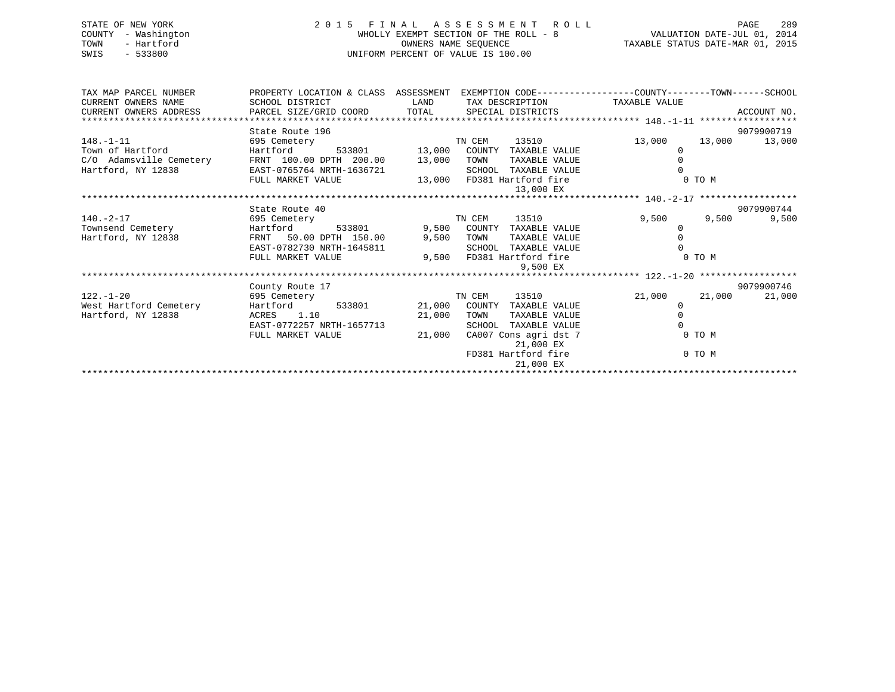| STATE OF NEW YORK<br>COUNTY - Washington<br>- Hartford<br>TOWN<br>$-533800$<br>SWIS | 2 0 1 5                                                                                                                                                              | FINAL                | A S S E S S M E N T R O L L<br>WHOLLY EXEMPT SECTION OF THE ROLL - 8<br>OWNERS NAME SEQUENCE<br>UNIFORM PERCENT OF VALUE IS 100.00 | VALUATION DATE-JUL 01, 2014<br>TAXABLE STATUS DATE-MAR 01, 2015 | 289<br>PAGE      |
|-------------------------------------------------------------------------------------|----------------------------------------------------------------------------------------------------------------------------------------------------------------------|----------------------|------------------------------------------------------------------------------------------------------------------------------------|-----------------------------------------------------------------|------------------|
| TAX MAP PARCEL NUMBER<br>CURRENT OWNERS NAME<br>CURRENT OWNERS ADDRESS              | PROPERTY LOCATION & CLASS ASSESSMENT EXEMPTION CODE---------------COUNTY-------TOWN------SCHOOL<br>SCHOOL DISTRICT<br>PARCEL SIZE/GRID COORD TOTAL SPECIAL DISTRICTS | <b>LAND</b>          | TAX DESCRIPTION TAXABLE VALUE                                                                                                      |                                                                 | ACCOUNT NO.      |
|                                                                                     |                                                                                                                                                                      |                      |                                                                                                                                    |                                                                 |                  |
|                                                                                     | State Route 196                                                                                                                                                      |                      |                                                                                                                                    |                                                                 | 9079900719       |
| $148. - 1 - 11$                                                                     | 695 Cemetery                                                                                                                                                         |                      | 13510<br>TN CEM                                                                                                                    | 13,000                                                          | 13,000<br>13,000 |
| Town of Hartford                                                                    | Hartford                                                                                                                                                             | 533801 13,000 COUNTY | TAXABLE VALUE                                                                                                                      | $\Omega$                                                        |                  |
| C/O Adamsville Cemetery                                                             | FRNT 100.00 DPTH 200.00 13,000 TOWN                                                                                                                                  |                      | TAXABLE VALUE                                                                                                                      |                                                                 |                  |
| Hartford, NY 12838                                                                  | EAST-0765764 NRTH-1636721                                                                                                                                            |                      | TAXABLE VALUE<br>SCHOOL                                                                                                            |                                                                 |                  |
|                                                                                     | FULL MARKET VALUE                                                                                                                                                    |                      | 13,000 FD381 Hartford fire<br>13,000 EX                                                                                            | 0 TO M                                                          |                  |
|                                                                                     |                                                                                                                                                                      |                      |                                                                                                                                    |                                                                 |                  |
|                                                                                     | State Route 40                                                                                                                                                       |                      |                                                                                                                                    |                                                                 | 9079900744       |
| $140. - 2 - 17$                                                                     | 695 Cemetery                                                                                                                                                         |                      | 13510<br>TN CEM                                                                                                                    | 9,500                                                           | 9,500<br>9,500   |
| Townsend Cemetery                                                                   | Hartford<br>533801                                                                                                                                                   | 9,500                | COUNTY<br>TAXABLE VALUE<br>TOWN                                                                                                    | $\mathbf 0$<br>$\Omega$                                         |                  |
| Hartford, NY 12838                                                                  | FRNT 50.00 DPTH 150.00<br>EAST-0782730 NRTH-1645811                                                                                                                  | 9,500                | TAXABLE VALUE<br>SCHOOL<br>TAXABLE VALUE                                                                                           |                                                                 |                  |
|                                                                                     | FULL MARKET VALUE                                                                                                                                                    |                      | 9,500 FD381 Hartford fire                                                                                                          | 0 TO M                                                          |                  |
|                                                                                     |                                                                                                                                                                      |                      | 9,500 EX                                                                                                                           |                                                                 |                  |
|                                                                                     |                                                                                                                                                                      |                      |                                                                                                                                    |                                                                 |                  |

County Route 17 9079900746

EAST-0772257 NRTH-1657713 SCHOOL TAXABLE VALUE 0 FULL MARKET VALUE  $21,000$  CA007 Cons agri dst 7 0 TO M

21,000 COUNTY TAXABLE VALUE

21,000 EX

21,000 EX

FD381 Hartford fire 0 TO M

122.-1-20 695 Cemetery TN CEM 13510 21,000 21,000 21,000

\*\*\*\*\*\*\*\*\*\*\*\*\*\*\*\*\*\*\*\*\*\*\*\*\*\*\*\*\*\*\*\*\*\*\*\*\*\*\*\*\*\*\*\*\*\*\*\*\*\*\*\*\*\*\*\*\*\*\*\*\*\*\*\*\*\*\*\*\*\*\*\*\*\*\*\*\*\*\*\*\*\*\*\*\*\*\*\*\*\*\*\*\*\*\*\*\*\*\*\*\*\*\*\*\*\*\*\*\*\*\*\*\*\*\*\*\*\*\*\*\*\*\*\*\*\*\*\*\*\*\*\*

Hartford, NY 12838 ACRES 1.10 21,000 TOWN TAXABLE VALUE 0

9079900746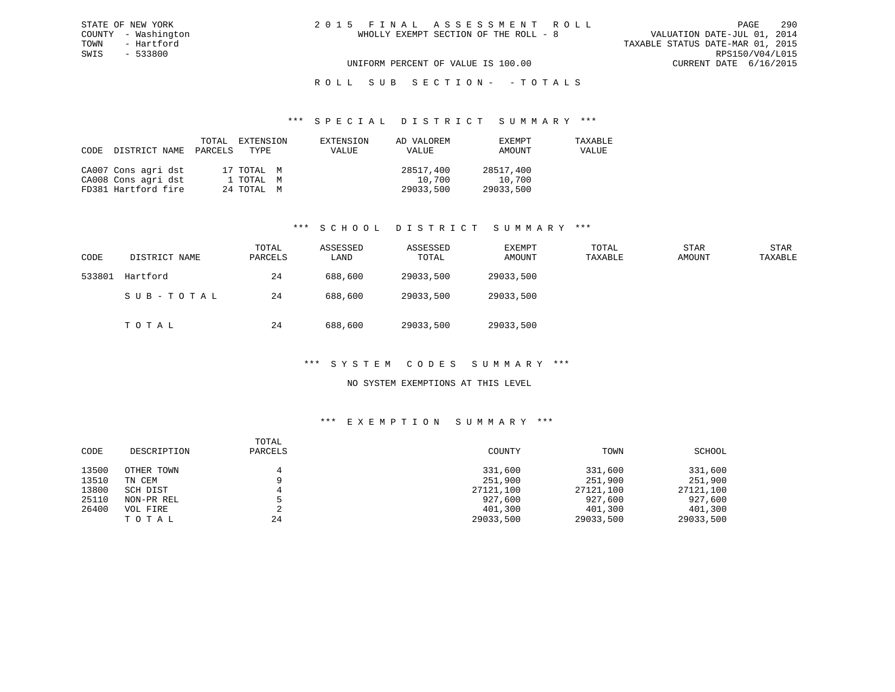# ROLL SUB SECTION - - TOTALS

### \*\*\* S P E C I A L D I S T R I C T S U M M A R Y \*\*\*

| CODE | DISTRICT NAME       | PARCELS | TOTAL EXTENSION<br>TYPE | EXTENSION<br>VALUE | AD VALOREM<br>VALUE | EXEMPT<br>AMOUNT | TAXABLE<br>VALUE |
|------|---------------------|---------|-------------------------|--------------------|---------------------|------------------|------------------|
|      | CA007 Cons agri dst |         | 17 TOTAL M              |                    | 28517,400           | 28517,400        |                  |
|      | CA008 Cons agri dst |         | 1 TOTAL M               |                    | 10,700              | 10,700           |                  |
|      | FD381 Hartford fire |         | 24 TOTAL M              |                    | 29033,500           | 29033,500        |                  |

# \*\*\* S C H O O L D I S T R I C T S U M M A R Y \*\*\*

| CODE   | DISTRICT NAME | TOTAL<br>PARCELS | ASSESSED<br>LAND | ASSESSED<br>TOTAL | EXEMPT<br>AMOUNT | TOTAL<br>TAXABLE | <b>STAR</b><br>AMOUNT | <b>STAR</b><br>TAXABLE |
|--------|---------------|------------------|------------------|-------------------|------------------|------------------|-----------------------|------------------------|
| 533801 | Hartford      | 24               | 688,600          | 29033,500         | 29033,500        |                  |                       |                        |
|        | SUB-TOTAL     | 24               | 688,600          | 29033,500         | 29033,500        |                  |                       |                        |
|        | TOTAL         | 24               | 688,600          | 29033,500         | 29033,500        |                  |                       |                        |

# \*\*\* S Y S T E M C O D E S S U M M A R Y \*\*\*

# NO SYSTEM EXEMPTIONS AT THIS LEVEL

| CODE  | DESCRIPTION | TOTAL<br>PARCELS | COUNTY    | TOWN      | SCHOOL    |
|-------|-------------|------------------|-----------|-----------|-----------|
| 13500 | OTHER TOWN  |                  | 331,600   | 331,600   | 331,600   |
| 13510 | TN CEM      |                  | 251,900   | 251,900   | 251,900   |
| 13800 | SCH DIST    |                  | 27121,100 | 27121,100 | 27121,100 |
| 25110 | NON-PR REL  |                  | 927,600   | 927,600   | 927,600   |
| 26400 | VOL FIRE    | ▵                | 401,300   | 401,300   | 401,300   |
|       | TOTAL       | 24               | 29033,500 | 29033,500 | 29033,500 |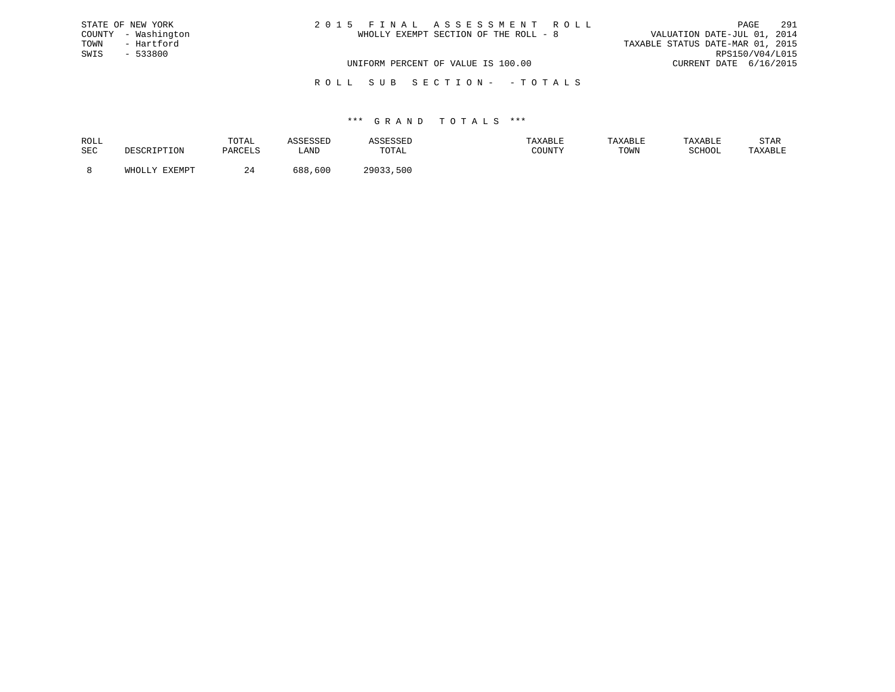| STATE OF NEW YORK   | 2015 FINAL ASSESSMENT ROLL            | 291<br>PAGE                      |
|---------------------|---------------------------------------|----------------------------------|
| COUNTY - Washington | WHOLLY EXEMPT SECTION OF THE ROLL - 8 | VALUATION DATE-JUL 01, 2014      |
| TOWN<br>- Hartford  |                                       | TAXABLE STATUS DATE-MAR 01, 2015 |
| SWIS<br>- 533800    |                                       | RPS150/V04/L015                  |
|                     | UNIFORM PERCENT OF VALUE IS 100.00    | CURRENT DATE 6/16/2015           |
|                     |                                       |                                  |

R O L L S U B S E C T I O N - - T O T A L S

# \*\*\* G R A N D T O T A L S \*\*\*

| ROLL |                             | TOTAL               | ----       | ىىتىن       |        | TAXABLE | TAXABLE          | STAR    |
|------|-----------------------------|---------------------|------------|-------------|--------|---------|------------------|---------|
| SEC  | <sup>י ז ד</sup> י ד<br>ᆂᆂᇦ | DARCFT.S<br>YARULUS | LAND       | TOTAL       | COUNTY | TOWN    | COUOOT<br>SCHOOL | TAXABLE |
|      | <b>DVDMDP</b>               | <u>.</u>            | 600<br>688 | າດ∩າ<br>500 |        |         |                  |         |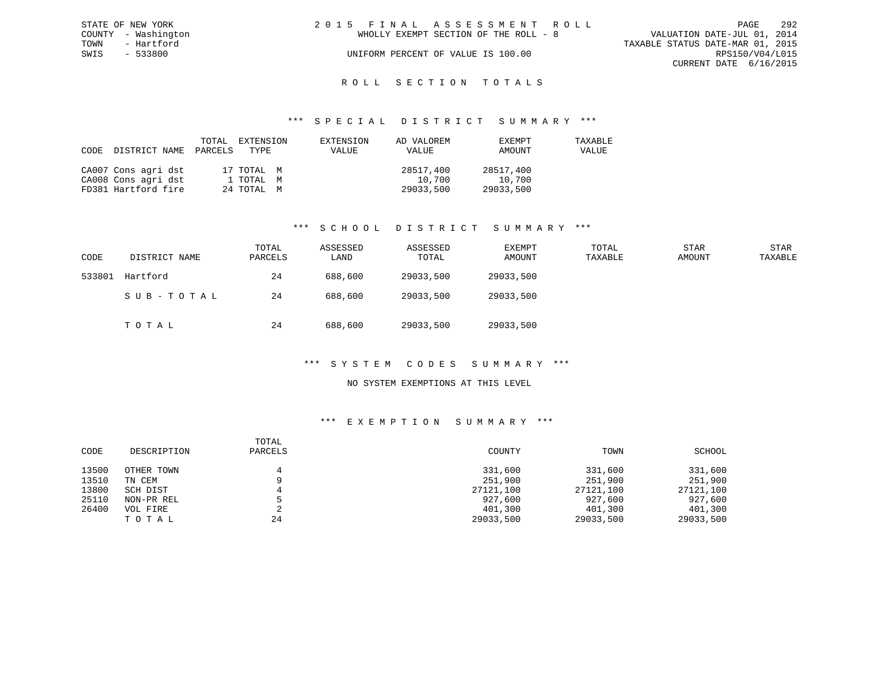| STATE OF NEW YORK   | 2015 FINAL ASSESSMENT ROLL            | -292<br>PAGE                     |
|---------------------|---------------------------------------|----------------------------------|
| COUNTY - Washington | WHOLLY EXEMPT SECTION OF THE ROLL - 8 | VALUATION DATE-JUL 01, 2014      |
| TOWN<br>- Hartford  |                                       | TAXABLE STATUS DATE-MAR 01, 2015 |
| SWIS<br>- 533800    | UNIFORM PERCENT OF VALUE IS 100.00    | RPS150/V04/L015                  |
|                     |                                       | CURRENT DATE 6/16/2015           |
|                     |                                       |                                  |

# ROLL SECTION TOTALS

### \*\*\* S P E C I A L D I S T R I C T S U M M A R Y \*\*\*

| CODE | DISTRICT NAME PARCELS TYPE | TOTAL | EXTENSION  | EXTENSION<br>VALUE | AD VALOREM<br>VALUE | EXEMPT<br>AMOUNT | TAXABLE<br>VALUE |
|------|----------------------------|-------|------------|--------------------|---------------------|------------------|------------------|
|      | CA007 Cons agri dst        |       | 17 TOTAL M |                    | 28517,400           | 28517,400        |                  |
|      | CA008 Cons agri dst        |       | 1 ТОТАL М  |                    | 10,700              | 10,700           |                  |
|      | FD381 Hartford fire        |       | 24 TOTAL M |                    | 29033,500           | 29033,500        |                  |

### \*\*\* S C H O O L D I S T R I C T S U M M A R Y \*\*\*

| CODE   | DISTRICT NAME | TOTAL<br>PARCELS | ASSESSED<br>LAND | ASSESSED<br>TOTAL | EXEMPT<br>AMOUNT | TOTAL<br>TAXABLE | <b>STAR</b><br>AMOUNT | STAR<br>TAXABLE |
|--------|---------------|------------------|------------------|-------------------|------------------|------------------|-----------------------|-----------------|
| 533801 | Hartford      | 24               | 688,600          | 29033,500         | 29033,500        |                  |                       |                 |
|        | SUB-TOTAL     | 24               | 688,600          | 29033,500         | 29033,500        |                  |                       |                 |
|        | TOTAL         | 24               | 688,600          | 29033,500         | 29033,500        |                  |                       |                 |

### \*\*\* S Y S T E M C O D E S S U M M A R Y \*\*\*

### NO SYSTEM EXEMPTIONS AT THIS LEVEL

| CODE  | DESCRIPTION | TOTAL<br>PARCELS | COUNTY    | TOWN      | SCHOOL    |
|-------|-------------|------------------|-----------|-----------|-----------|
| 13500 | OTHER TOWN  |                  | 331,600   | 331,600   | 331,600   |
| 13510 | TN CEM      |                  | 251,900   | 251,900   | 251,900   |
| 13800 | SCH DIST    |                  | 27121,100 | 27121,100 | 27121,100 |
| 25110 | NON-PR REL  |                  | 927,600   | 927,600   | 927,600   |
| 26400 | VOL FIRE    | ∠                | 401,300   | 401,300   | 401,300   |
|       | TOTAL       | 24               | 29033,500 | 29033,500 | 29033,500 |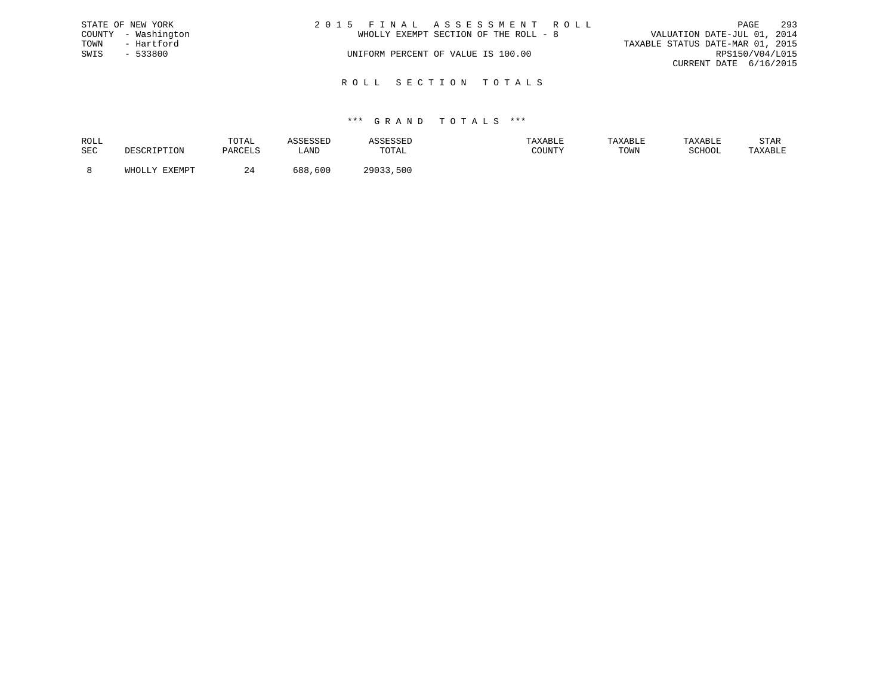|      | STATE OF NEW YORK   | 2015 FINAL ASSESSMENT ROLL            | 293<br>PAGE                      |
|------|---------------------|---------------------------------------|----------------------------------|
|      | COUNTY - Washington | WHOLLY EXEMPT SECTION OF THE ROLL - 8 | VALUATION DATE-JUL 01, 2014      |
| TOWN | - Hartford          |                                       | TAXABLE STATUS DATE-MAR 01, 2015 |
| SWIS | $-533800$           | UNIFORM PERCENT OF VALUE IS 100.00    | RPS150/V04/L015                  |
|      |                     |                                       | CURRENT DATE 6/16/2015           |
|      |                     |                                       |                                  |

R O L L S E C T I O N T O T A L S

# \*\*\* G R A N D T O T A L S \*\*\*

| ROLL |                                      | TOTAL   |             |              | TAXABLE | <b>TAXABL.</b> |        | STAR    |
|------|--------------------------------------|---------|-------------|--------------|---------|----------------|--------|---------|
| SEC  | ים ה                                 | DARCT.S | <b>_AND</b> | TOTAL        | ATINIM  | TOWN           | SCHOOL | TAXABLE |
|      | <b>DVDMDR</b><br>$5.777 \wedge 7.77$ |         | 688<br>,600 | 500<br>つQA33 |         |                |        |         |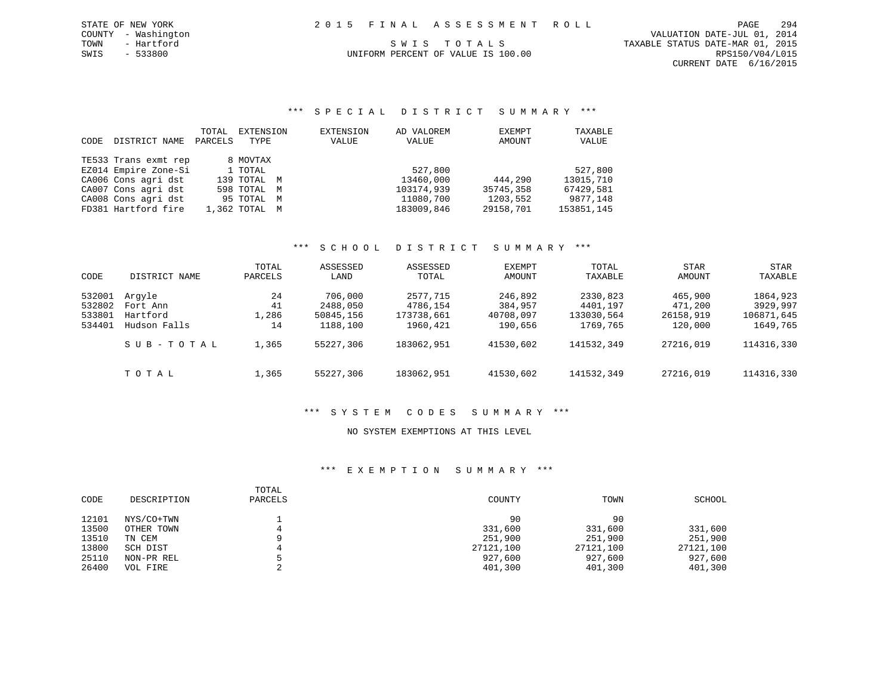CURRENT DATE 6/16/2015

# SWIS - 533800 UNIFORM PERCENT OF VALUE IS 100.00 RPS150/V04/L015

\*\*\* S P E C I A L D I S T R I C T S U M M A R Y \*\*\*

| CODE | DISTRICT NAME        | TOTAL<br>PARCELS | EXTENSION<br>TYPE | EXTENSION<br>VALUE | AD VALOREM<br>VALUE | EXEMPT<br>AMOUNT | TAXABLE<br>VALUE |
|------|----------------------|------------------|-------------------|--------------------|---------------------|------------------|------------------|
|      | TE533 Trans exmt rep |                  | 8 MOVTAX          |                    |                     |                  |                  |
|      | EZ014 Empire Zone-Si |                  | 1 TOTAL           |                    | 527,800             |                  | 527,800          |
|      | CA006 Cons agri dst  |                  | 139 TOTAL M       |                    | 13460,000           | 444,290          | 13015,710        |
|      | CA007 Cons agri dst  |                  | 598 TOTAL M       |                    | 103174,939          | 35745,358        | 67429,581        |
|      | CA008 Cons agri dst  |                  | 95 TOTAL M        |                    | 11080,700           | 1203,552         | 9877,148         |
|      | FD381 Hartford fire  |                  | 1,362 TOTAL M     |                    | 183009,846          | 29158,701        | 153851,145       |

# \*\*\* S C H O O L D I S T R I C T S U M M A R Y \*\*\*

| CODE                                 | DISTRICT NAME                                  | TOTAL<br>PARCELS        | ASSESSED<br>LAND                             | ASSESSED<br>TOTAL                              | EXEMPT<br>AMOUNT                           | TOTAL<br>TAXABLE                               | <b>STAR</b><br>AMOUNT                      | STAR<br>TAXABLE                                |
|--------------------------------------|------------------------------------------------|-------------------------|----------------------------------------------|------------------------------------------------|--------------------------------------------|------------------------------------------------|--------------------------------------------|------------------------------------------------|
| 532001<br>532802<br>533801<br>534401 | Arqyle<br>Fort Ann<br>Hartford<br>Hudson Falls | 24<br>41<br>1,286<br>14 | 706,000<br>2488,050<br>50845,156<br>1188,100 | 2577,715<br>4786,154<br>173738,661<br>1960,421 | 246,892<br>384,957<br>40708,097<br>190,656 | 2330,823<br>4401,197<br>133030,564<br>1769,765 | 465,900<br>471,200<br>26158,919<br>120,000 | 1864,923<br>3929,997<br>106871,645<br>1649,765 |
|                                      | SUB-TOTAL                                      | 1,365                   | 55227,306                                    | 183062,951                                     | 41530,602                                  | 141532,349                                     | 27216,019                                  | 114316,330                                     |
|                                      | TOTAL                                          | 1,365                   | 55227,306                                    | 183062,951                                     | 41530,602                                  | 141532,349                                     | 27216,019                                  | 114316,330                                     |

# \*\*\* S Y S T E M C O D E S S U M M A R Y \*\*\*

# NO SYSTEM EXEMPTIONS AT THIS LEVEL

| CODE  | DESCRIPTION | TOTAL<br>PARCELS | COUNTY    | TOWN      | SCHOOL    |
|-------|-------------|------------------|-----------|-----------|-----------|
| 12101 | NYS/CO+TWN  |                  | 90        | 90        |           |
| 13500 | OTHER TOWN  | 4                | 331,600   | 331,600   | 331,600   |
| 13510 | TN CEM      | Q                | 251,900   | 251,900   | 251,900   |
| 13800 | SCH DIST    | 4                | 27121,100 | 27121,100 | 27121,100 |
| 25110 | NON-PR REL  |                  | 927,600   | 927,600   | 927,600   |
| 26400 | VOL FIRE    |                  | 401,300   | 401,300   | 401,300   |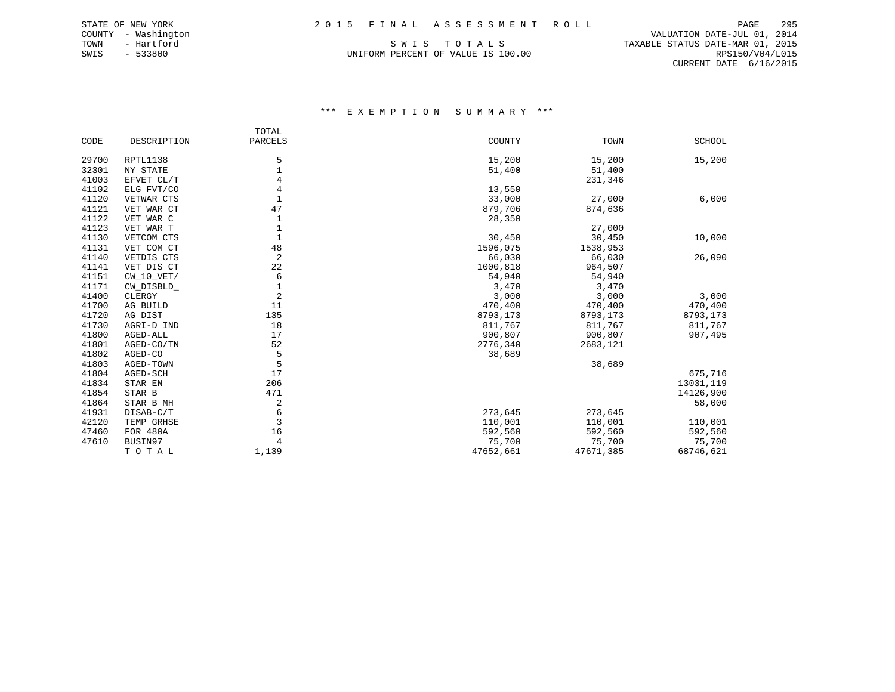SWIS - 533800 UNIFORM PERCENT OF VALUE IS 100.00 RPS150/V04/L015

 COUNTY - Washington VALUATION DATE-JUL 01, 2014 TOWN - Hartford SWIS TO TALS TO THE STATUS DATE-MAR 01, 2015 CURRENT DATE 6/16/2015

|       |              | TOTAL          |           |           |           |
|-------|--------------|----------------|-----------|-----------|-----------|
| CODE  | DESCRIPTION  | PARCELS        | COUNTY    | TOWN      | SCHOOL    |
| 29700 | RPTL1138     | 5              | 15,200    | 15,200    | 15,200    |
| 32301 | NY STATE     | $\mathbf 1$    | 51,400    | 51,400    |           |
| 41003 | EFVET CL/T   | 4              |           | 231,346   |           |
| 41102 | ELG FVT/CO   | 4              | 13,550    |           |           |
| 41120 | VETWAR CTS   | 1              | 33,000    | 27,000    | 6,000     |
| 41121 | VET WAR CT   | 47             | 879,706   | 874,636   |           |
| 41122 | VET WAR C    | 1              | 28,350    |           |           |
| 41123 | VET WAR T    | $\mathbf{1}$   |           | 27,000    |           |
| 41130 | VETCOM CTS   | $\mathbf{1}$   | 30,450    | 30,450    | 10,000    |
| 41131 | VET COM CT   | 48             | 1596,075  | 1538,953  |           |
| 41140 | VETDIS CTS   | 2              | 66,030    | 66,030    | 26,090    |
| 41141 | VET DIS CT   | 22             | 1000,818  | 964,507   |           |
| 41151 | $CW_10_VET/$ | 6              | 54,940    | 54,940    |           |
| 41171 | CW_DISBLD_   | $\mathbf 1$    | 3,470     | 3,470     |           |
| 41400 | CLERGY       | $\overline{2}$ | 3,000     | 3,000     | 3,000     |
| 41700 | AG BUILD     | 11             | 470,400   | 470,400   | 470,400   |
| 41720 | AG DIST      | 135            | 8793,173  | 8793,173  | 8793,173  |
| 41730 | AGRI-D IND   | 18             | 811,767   | 811,767   | 811,767   |
| 41800 | AGED-ALL     | 17             | 900,807   | 900,807   | 907,495   |
| 41801 | AGED-CO/TN   | 52             | 2776,340  | 2683,121  |           |
| 41802 | AGED-CO      | 5              | 38,689    |           |           |
| 41803 | AGED-TOWN    | 5              |           | 38,689    |           |
| 41804 | AGED-SCH     | 17             |           |           | 675,716   |
| 41834 | STAR EN      | 206            |           |           | 13031,119 |
| 41854 | STAR B       | 471            |           |           | 14126,900 |
| 41864 | STAR B MH    | 2              |           |           | 58,000    |
| 41931 | DISAB-C/T    | 6              | 273,645   | 273,645   |           |
| 42120 | TEMP GRHSE   | 3              | 110,001   | 110,001   | 110,001   |
| 47460 | FOR 480A     | 16             | 592,560   | 592,560   | 592,560   |
| 47610 | BUSIN97      | 4              | 75,700    | 75,700    | 75,700    |
|       | TOTAL        | 1,139          | 47652,661 | 47671,385 | 68746,621 |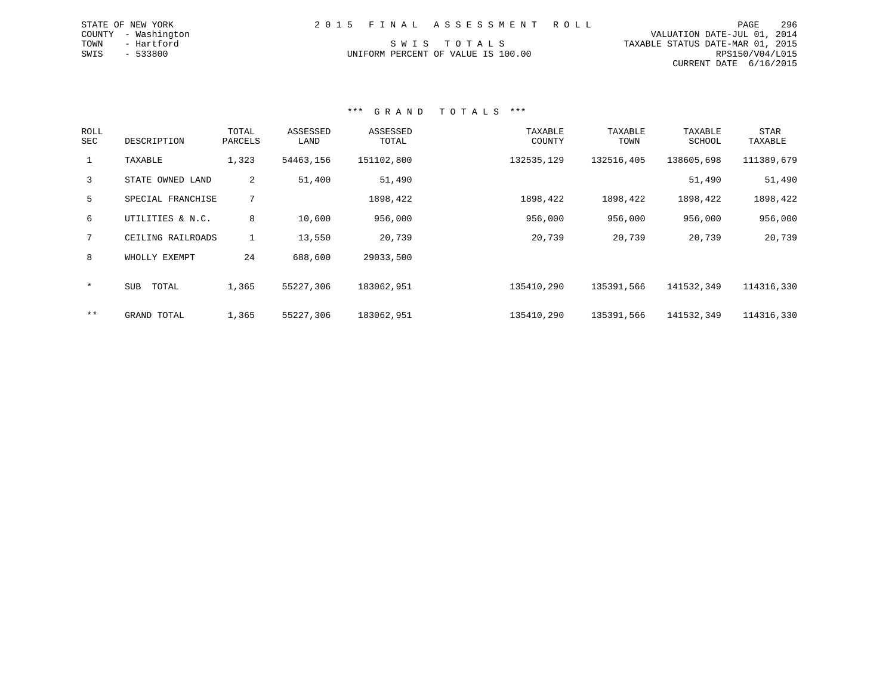|  | 2015 FINAL ASSESSMENT ROLL |                                             | PAGE | 296 |
|--|----------------------------|---------------------------------------------|------|-----|
|  |                            | VALUATION DATE-JUL 01, 2014                 |      |     |
|  | CWTC TOTATO                | ם 101 - 01 תגוא היהיגת מזיהיגיהים הזתגיצגיה |      |     |

CURRENT DATE 6/16/2015

TOWN - Hartford S W I S T O T A L S TAXABLE STATUS DATE-MAR 01, 2015 UNIFORM PERCENT OF VALUE IS 100.00 CONTROLL CAN ACCORDING MALL THAT OF VALUE IS 100.00

\*\*\* G R A N D T O T A L S \*\*\*

| ROLL<br>SEC  | DESCRIPTION       | TOTAL<br>PARCELS | ASSESSED<br>LAND | ASSESSED<br>TOTAL | TAXABLE<br>COUNTY | TAXABLE<br>TOWN | TAXABLE<br>SCHOOL | <b>STAR</b><br>TAXABLE |
|--------------|-------------------|------------------|------------------|-------------------|-------------------|-----------------|-------------------|------------------------|
| $\mathbf{1}$ | TAXABLE           | 1,323            | 54463,156        | 151102,800        | 132535,129        | 132516,405      | 138605,698        | 111389,679             |
| 3            | STATE OWNED LAND  | 2                | 51,400           | 51,490            |                   |                 | 51,490            | 51,490                 |
| 5            | SPECIAL FRANCHISE | 7                |                  | 1898,422          | 1898,422          | 1898,422        | 1898,422          | 1898,422               |
| 6            | UTILITIES & N.C.  | 8                | 10,600           | 956,000           | 956,000           | 956,000         | 956,000           | 956,000                |
| 7            | CEILING RAILROADS | $\mathbf{1}$     | 13,550           | 20,739            | 20,739            | 20,739          | 20,739            | 20,739                 |
| 8            | WHOLLY EXEMPT     | 24               | 688,600          | 29033,500         |                   |                 |                   |                        |
| $\star$      | SUB<br>TOTAL      | 1,365            | 55227,306        | 183062,951        | 135410,290        | 135391,566      | 141532,349        | 114316,330             |
| $***$        | GRAND TOTAL       | 1,365            | 55227,306        | 183062,951        | 135410,290        | 135391,566      | 141532,349        | 114316,330             |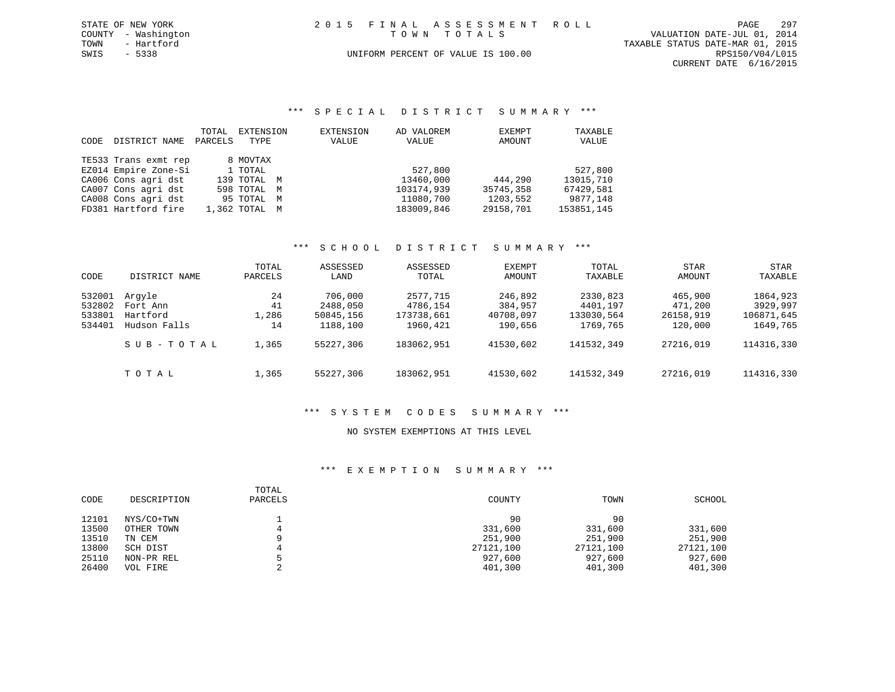| STATE OF NEW YORK |                     |  | 2015 FINAL ASSESSMENT ROLL         |                                  | PAGE            | 297 |
|-------------------|---------------------|--|------------------------------------|----------------------------------|-----------------|-----|
|                   | COUNTY - Washington |  | TOWN TOTALS                        | VALUATION DATE-JUL 01, 2014      |                 |     |
| TOWN              | - Hartford          |  |                                    | TAXABLE STATUS DATE-MAR 01, 2015 |                 |     |
| SWIS              | $-5338$             |  | UNIFORM PERCENT OF VALUE IS 100.00 |                                  | RPS150/V04/L015 |     |
|                   |                     |  |                                    | CURRENT DATE 6/16/2015           |                 |     |

# \*\*\* S P E C I A L D I S T R I C T S U M M A R Y \*\*\*

| CODE. | DISTRICT NAME        | TOTAL<br>PARCELS | EXTENSION<br>TYPE | EXTENSION<br>VALUE | AD VALOREM<br>VALUE | EXEMPT<br>AMOUNT | TAXABLE<br>VALUE |
|-------|----------------------|------------------|-------------------|--------------------|---------------------|------------------|------------------|
|       | TE533 Trans exmt rep |                  | 8 MOVTAX          |                    |                     |                  |                  |
|       | EZ014 Empire Zone-Si |                  | 1 TOTAL           |                    | 527,800             |                  | 527,800          |
|       | CA006 Cons agri dst  |                  | 139 TOTAL M       |                    | 13460,000           | 444,290          | 13015,710        |
|       | CA007 Cons agri dst  |                  | 598 TOTAL M       |                    | 103174,939          | 35745,358        | 67429,581        |
|       | CA008 Cons agri dst  |                  | 95 TOTAL M        |                    | 11080,700           | 1203,552         | 9877,148         |
|       | FD381 Hartford fire  |                  | 1,362 TOTAL M     |                    | 183009,846          | 29158,701        | 153851,145       |

# \*\*\* S C H O O L D I S T R I C T S U M M A R Y \*\*\*

| CODE             | DISTRICT NAME        | TOTAL<br>PARCELS | ASSESSED<br>LAND      | ASSESSED<br>TOTAL      | EXEMPT<br>AMOUNT     | TOTAL<br>TAXABLE       | <b>STAR</b><br>AMOUNT | STAR<br>TAXABLE        |
|------------------|----------------------|------------------|-----------------------|------------------------|----------------------|------------------------|-----------------------|------------------------|
| 532001           | Arqyle               | 24               | 706,000               | 2577,715               | 246,892              | 2330,823               | 465,900               | 1864,923               |
| 532802<br>533801 | Fort Ann<br>Hartford | 41<br>1,286      | 2488,050<br>50845,156 | 4786,154<br>173738,661 | 384,957<br>40708,097 | 4401,197<br>133030,564 | 471,200<br>26158,919  | 3929,997<br>106871,645 |
| 534401           | Hudson Falls         | 14               | 1188,100              | 1960,421               | 190,656              | 1769,765               | 120,000               | 1649,765               |
|                  | SUB-TOTAL            | 1,365            | 55227,306             | 183062,951             | 41530,602            | 141532,349             | 27216,019             | 114316,330             |
|                  | TOTAL                | 1,365            | 55227,306             | 183062,951             | 41530,602            | 141532,349             | 27216,019             | 114316,330             |

# \*\*\* S Y S T E M C O D E S S U M M A R Y \*\*\*

### NO SYSTEM EXEMPTIONS AT THIS LEVEL

| CODE  | DESCRIPTION | TOTAL<br>PARCELS | COUNTY    | TOWN      | SCHOOL    |
|-------|-------------|------------------|-----------|-----------|-----------|
| 12101 | NYS/CO+TWN  |                  | 90        | 90        |           |
| 13500 | OTHER TOWN  |                  | 331,600   | 331,600   | 331,600   |
| 13510 | TN CEM      |                  | 251,900   | 251,900   | 251,900   |
| 13800 | SCH DIST    |                  | 27121,100 | 27121,100 | 27121,100 |
| 25110 | NON-PR REL  |                  | 927,600   | 927,600   | 927,600   |
| 26400 | VOL FIRE    |                  | 401,300   | 401,300   | 401,300   |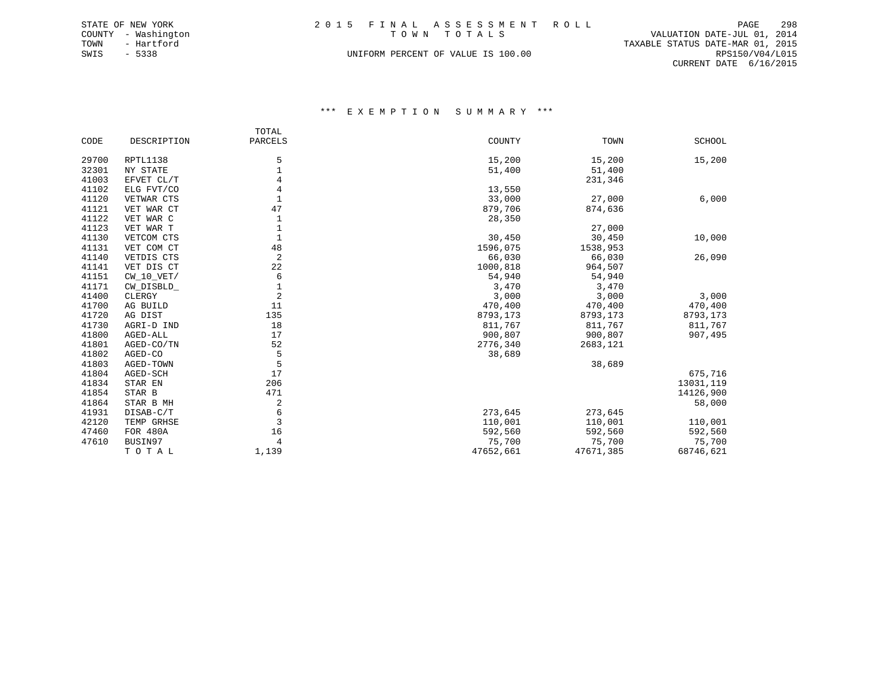|      | STATE OF NEW YORK   | 2015 FINAL ASSESSMENT ROLL         |                                  | PAGE            | 298 |
|------|---------------------|------------------------------------|----------------------------------|-----------------|-----|
|      | COUNTY - Washington | TOWN TOTALS                        | VALUATION DATE-JUL 01, 2014      |                 |     |
| TOWN | - Hartford          |                                    | TAXABLE STATUS DATE-MAR 01, 2015 |                 |     |
| SWIS | - 5338              | UNIFORM PERCENT OF VALUE IS 100.00 |                                  | RPS150/V04/L015 |     |
|      |                     |                                    | CURRENT DATE 6/16/2015           |                 |     |

|       |              | TOTAL          |           |           |               |
|-------|--------------|----------------|-----------|-----------|---------------|
| CODE  | DESCRIPTION  | PARCELS        | COUNTY    | TOWN      | <b>SCHOOL</b> |
| 29700 | RPTL1138     | 5              | 15,200    | 15,200    | 15,200        |
| 32301 | NY STATE     | 1              | 51,400    | 51,400    |               |
| 41003 | EFVET CL/T   | 4              |           | 231,346   |               |
| 41102 | ELG FVT/CO   | 4              | 13,550    |           |               |
| 41120 | VETWAR CTS   | $\mathbf{1}$   | 33,000    | 27,000    | 6,000         |
| 41121 | VET WAR CT   | 47             | 879,706   | 874,636   |               |
| 41122 | VET WAR C    | 1              | 28,350    |           |               |
| 41123 | VET WAR T    |                |           | 27,000    |               |
| 41130 | VETCOM CTS   |                | 30,450    | 30,450    | 10,000        |
| 41131 | VET COM CT   | 48             | 1596,075  | 1538,953  |               |
| 41140 | VETDIS CTS   | 2              | 66,030    | 66,030    | 26,090        |
| 41141 | VET DIS CT   | 22             | 1000,818  | 964,507   |               |
| 41151 | $CW_10_VET/$ | 6              | 54,940    | 54,940    |               |
| 41171 | CW_DISBLD_   | 1              | 3,470     | 3,470     |               |
| 41400 | CLERGY       | 2              | 3,000     | 3,000     | 3,000         |
| 41700 | AG BUILD     | 11             | 470,400   | 470,400   | 470,400       |
| 41720 | AG DIST      | 135            | 8793,173  | 8793,173  | 8793,173      |
| 41730 | AGRI-D IND   | 18             | 811,767   | 811,767   | 811,767       |
| 41800 | AGED-ALL     | 17             | 900,807   | 900,807   | 907,495       |
| 41801 | AGED-CO/TN   | 52             | 2776,340  | 2683,121  |               |
| 41802 | AGED-CO      | 5              | 38,689    |           |               |
| 41803 | AGED-TOWN    | 5              |           | 38,689    |               |
| 41804 | AGED-SCH     | 17             |           |           | 675,716       |
| 41834 | STAR EN      | 206            |           |           | 13031,119     |
| 41854 | STAR B       | 471            |           |           | 14126,900     |
| 41864 | STAR B MH    | 2              |           |           | 58,000        |
| 41931 | DISAB-C/T    | 6              | 273,645   | 273,645   |               |
| 42120 | TEMP GRHSE   | 3              | 110,001   | 110,001   | 110,001       |
| 47460 | FOR 480A     | 16             | 592,560   | 592,560   | 592,560       |
| 47610 | BUSIN97      | $\overline{4}$ | 75,700    | 75,700    | 75,700        |
|       | TOTAL        | 1,139          | 47652,661 | 47671,385 | 68746,621     |